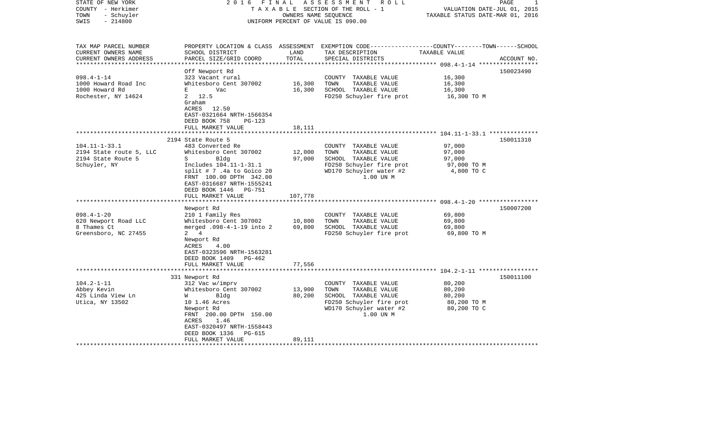| STATE OF NEW YORK<br>COUNTY - Herkimer<br>- Schuyler<br>TOWN<br>$-214800$<br>SWIS                        | 2016 FINAL                                                                                                                                                                                                                                                                        | OWNERS NAME SEQUENCE        | A S S E S S M E N T R O L L<br>TAXABLE SECTION OF THE ROLL - 1<br>UNIFORM PERCENT OF VALUE IS 090.00                                                              | VALUATION DATE-JUL 01, 2015<br>TAXABLE STATUS DATE-MAR 01, 2016   | 1<br>PAGE              |
|----------------------------------------------------------------------------------------------------------|-----------------------------------------------------------------------------------------------------------------------------------------------------------------------------------------------------------------------------------------------------------------------------------|-----------------------------|-------------------------------------------------------------------------------------------------------------------------------------------------------------------|-------------------------------------------------------------------|------------------------|
| TAX MAP PARCEL NUMBER<br>CURRENT OWNERS NAME<br>CURRENT OWNERS ADDRESS                                   | SCHOOL DISTRICT<br>PARCEL SIZE/GRID COORD                                                                                                                                                                                                                                         | LAND<br>TOTAL               | PROPERTY LOCATION & CLASS ASSESSMENT EXEMPTION CODE----------------COUNTY-------TOWN------SCHOOL<br>TAX DESCRIPTION<br>SPECIAL DISTRICTS                          | TAXABLE VALUE                                                     | ACCOUNT NO.            |
|                                                                                                          |                                                                                                                                                                                                                                                                                   |                             |                                                                                                                                                                   |                                                                   |                        |
| $098.4 - 1 - 14$                                                                                         | Off Newport Rd<br>323 Vacant rural                                                                                                                                                                                                                                                |                             | COUNTY TAXABLE VALUE                                                                                                                                              | 16,300                                                            | 150023490              |
| 1000 Howard Road Inc                                                                                     | Whitesboro Cent 307002                                                                                                                                                                                                                                                            | 16,300                      | TOWN<br>TAXABLE VALUE                                                                                                                                             | 16,300                                                            |                        |
| 1000 Howard Rd                                                                                           | E<br>Vac                                                                                                                                                                                                                                                                          | 16,300                      | SCHOOL TAXABLE VALUE                                                                                                                                              | 16,300                                                            |                        |
| Rochester, NY 14624                                                                                      | 2, 12.5<br>Graham<br>ACRES 12.50<br>EAST-0321664 NRTH-1566354<br>DEED BOOK 758<br>$PG-123$                                                                                                                                                                                        |                             | FD250 Schuyler fire prot                                                                                                                                          | 16,300 TO M                                                       |                        |
|                                                                                                          | FULL MARKET VALUE                                                                                                                                                                                                                                                                 | 18,111                      |                                                                                                                                                                   |                                                                   |                        |
|                                                                                                          | **********************                                                                                                                                                                                                                                                            |                             |                                                                                                                                                                   |                                                                   |                        |
| $104.11 - 1 - 33.1$<br>2194 State route 5, LLC<br>2194 State Route 5<br>Schuyler, NY<br>$098.4 - 1 - 20$ | 2194 State Route 5<br>483 Converted Re<br>Whitesboro Cent 307002<br>S<br>Bldg<br>Includes 104.11-1-31.1<br>split $# 7$ . 4a to Goico 20<br>FRNT 100.00 DPTH 342.00<br>EAST-0316687 NRTH-1555241<br>DEED BOOK 1446   PG-751<br>FULL MARKET VALUE<br>Newport Rd<br>210 1 Family Res | 12,000<br>97,000<br>107,778 | COUNTY TAXABLE VALUE<br>TOWN<br>TAXABLE VALUE<br>SCHOOL TAXABLE VALUE<br>FD250 Schuyler fire prot<br>WD170 Schuyler water #2<br>1.00 UN M<br>COUNTY TAXABLE VALUE | 97,000<br>97,000<br>97,000<br>97,000 TO M<br>4,800 TO C<br>69,800 | 150011310<br>150007200 |
| 620 Newport Road LLC                                                                                     | Whitesboro Cent 307002                                                                                                                                                                                                                                                            | 10,800                      | TOWN<br>TAXABLE VALUE                                                                                                                                             | 69,800                                                            |                        |
| 8 Thames Ct<br>Greensboro, NC 27455                                                                      | merged .098-4-1-19 into 2<br>$2 \quad 4$<br>Newport Rd<br>ACRES<br>4.00<br>EAST-0323596 NRTH-1563281<br>DEED BOOK 1409 PG-462<br>FULL MARKET VALUE                                                                                                                                | 69,800<br>77,556            | SCHOOL TAXABLE VALUE<br>FD250 Schuyler fire prot                                                                                                                  | 69,800<br>69,800 TO M                                             |                        |
|                                                                                                          |                                                                                                                                                                                                                                                                                   |                             |                                                                                                                                                                   |                                                                   |                        |
| $104.2 - 1 - 11$<br>Abbey Kevin<br>425 Linda View Ln<br>Utica, NY 13502                                  | 331 Newport Rd<br>312 Vac w/imprv<br>Whitesboro Cent 307002<br>W<br>Bldg<br>10 1.46 Acres<br>Newport Rd<br>FRNT 200.00 DPTH 150.00<br>ACRES<br>1.46<br>EAST-0320497 NRTH-1558443<br>DEED BOOK 1336<br>PG-615<br>FULL MARKET VALUE                                                 | 13,900<br>80,200<br>89,111  | COUNTY TAXABLE VALUE<br>TOWN<br>TAXABLE VALUE<br>SCHOOL TAXABLE VALUE<br>FD250 Schuyler fire prot<br>WD170 Schuyler water #2<br>1.00 UN M                         | 80,200<br>80,200<br>80,200<br>80,200 TO M<br>80,200 TO C          | 150011100              |
|                                                                                                          |                                                                                                                                                                                                                                                                                   |                             |                                                                                                                                                                   |                                                                   |                        |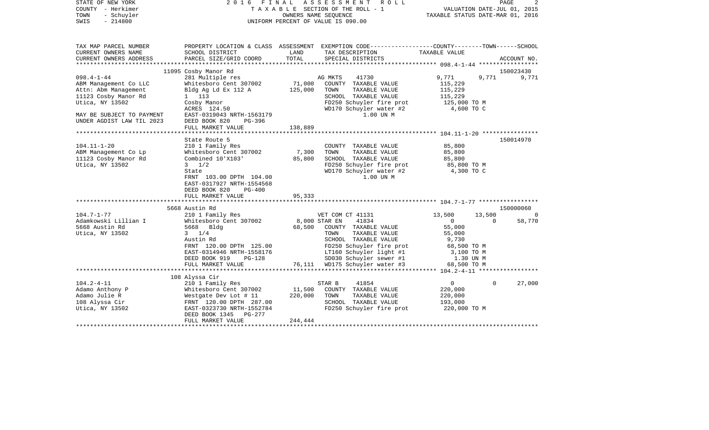| STATE OF NEW YORK<br>COUNTY - Herkimer<br>- Schuyler<br>TOWN<br>$-214800$<br>SWIS                                                         |                                                                                                                                                                                                                        |                              | 2016 FINAL ASSESSMENT ROLL<br>TAXABLE SECTION OF THE ROLL - 1<br>OWNERS NAME SEQUENCE<br>UNIFORM PERCENT OF VALUE IS 090.00                                                                                                   | VALUATION DATE-JUL 01, 2015<br>TAXABLE STATUS DATE-MAR 01, 2016                                                |                    | PAGE<br>2          |
|-------------------------------------------------------------------------------------------------------------------------------------------|------------------------------------------------------------------------------------------------------------------------------------------------------------------------------------------------------------------------|------------------------------|-------------------------------------------------------------------------------------------------------------------------------------------------------------------------------------------------------------------------------|----------------------------------------------------------------------------------------------------------------|--------------------|--------------------|
| TAX MAP PARCEL NUMBER<br>CURRENT OWNERS NAME<br>CURRENT OWNERS ADDRESS                                                                    | SCHOOL DISTRICT<br>PARCEL SIZE/GRID COORD                                                                                                                                                                              | LAND<br>TOTAL                | PROPERTY LOCATION & CLASS ASSESSMENT EXEMPTION CODE----------------COUNTY-------TOWN------SCHOOL<br>TAX DESCRIPTION<br>SPECIAL DISTRICTS                                                                                      | TAXABLE VALUE                                                                                                  |                    | ACCOUNT NO.        |
|                                                                                                                                           |                                                                                                                                                                                                                        |                              |                                                                                                                                                                                                                               |                                                                                                                |                    |                    |
|                                                                                                                                           | 11095 Cosby Manor Rd                                                                                                                                                                                                   |                              |                                                                                                                                                                                                                               |                                                                                                                |                    | 150023430          |
| $098.4 - 1 - 44$<br>ABM Management Co LLC<br>Attn: Abm Management<br>11123 Cosby Manor Rd<br>Utica, NY 13502<br>MAY BE SUBJECT TO PAYMENT | 281 Multiple res<br>Whitesboro Cent 307002<br>Bldg Ag Ld Ex 112 A<br>1 113<br>Cosby Manor<br>ACRES 124.50<br>EAST-0319043 NRTH-1563179                                                                                 | 71,000<br>125,000            | AG MKTS<br>41730<br>COUNTY TAXABLE VALUE<br>TAXABLE VALUE<br>TOWN<br>SCHOOL TAXABLE VALUE<br>FD250 Schuyler fire prot<br>WD170 Schuyler water #2<br>1.00 UN M                                                                 | 9,771<br>115,229<br>115,229<br>115,229<br>125,000 TO M<br>4,600 TO C                                           | 9,771              | 9,771              |
| UNDER AGDIST LAW TIL 2023                                                                                                                 | DEED BOOK 820<br>PG-396<br>FULL MARKET VALUE                                                                                                                                                                           | 138,889                      |                                                                                                                                                                                                                               |                                                                                                                |                    |                    |
|                                                                                                                                           |                                                                                                                                                                                                                        |                              |                                                                                                                                                                                                                               |                                                                                                                |                    |                    |
| $104.11 - 1 - 20$<br>ABM Management Co Lp<br>11123 Cosby Manor Rd<br>Utica, NY 13502                                                      | State Route 5<br>210 1 Family Res<br>Whitesboro Cent 307002<br>Combined 10'X103'<br>$3 \frac{1}{2}$<br>State<br>FRNT 103.00 DPTH 104.00<br>EAST-0317927 NRTH-1554568<br>DEED BOOK 820<br>$PG-400$<br>FULL MARKET VALUE | 7,300<br>85,800<br>95,333    | COUNTY TAXABLE VALUE<br>TAXABLE VALUE<br>TOWN<br>SCHOOL TAXABLE VALUE<br>FD250 Schuyler fire prot<br>WD170 Schuyler water #2<br>1.00 UN M                                                                                     | 85,800<br>85,800<br>85,800<br>85,800 TO M<br>4,300 TO C                                                        |                    | 150014970          |
|                                                                                                                                           | 5668 Austin Rd                                                                                                                                                                                                         |                              |                                                                                                                                                                                                                               |                                                                                                                |                    | 150000060          |
| $104.7 - 1 - 77$<br>Adamkowski Lillian I<br>5668 Austin Rd<br>Utica, NY 13502                                                             | 210 1 Family Res<br>Whitesboro Cent 307002<br>5668 Bldg<br>$3 \t1/4$<br>Austin Rd<br>FRNT 120.00 DPTH 125.00<br>EAST-0314946 NRTH-1558176<br>DEED BOOK 919<br>PG-128<br>FULL MARKET VALUE                              | 8,000 STAR EN                | VET COM CT 41131<br>41834<br>68,500 COUNTY TAXABLE VALUE<br>TAXABLE VALUE<br>TOWN<br>SCHOOL TAXABLE VALUE<br>FD250 Schuyler fire prot<br>LT160 Schuyler light #1<br>SD030 Schuyler sewer #1<br>76,111 WD175 Schuyler water #3 | 13,500<br>$\overline{0}$<br>55,000<br>55,000<br>9,730<br>68,500 TO M<br>3,100 TO M<br>1.30 UN M<br>68,500 TO M | 13,500<br>$\Omega$ | $\Omega$<br>58,770 |
|                                                                                                                                           |                                                                                                                                                                                                                        |                              |                                                                                                                                                                                                                               |                                                                                                                |                    |                    |
| $104.2 - 4 - 11$<br>Adamo Anthony P<br>Adamo Julie R<br>108 Alyssa Cir<br>Utica, NY 13502                                                 | 108 Alyssa Cir<br>210 1 Family Res<br>Whitesboro Cent 307002<br>Westgate Dev Lot # 11<br>FRNT 120.00 DPTH 287.00<br>EAST-0323730 NRTH-1552784<br>DEED BOOK 1345 PG-277<br>FULL MARKET VALUE                            | 11,500<br>220,000<br>244,444 | 41854<br>STAR B<br>COUNTY TAXABLE VALUE<br>TOWN<br>TAXABLE VALUE<br>SCHOOL TAXABLE VALUE<br>FD250 Schuyler fire prot                                                                                                          | $\overline{0}$<br>220,000<br>220,000<br>193,000<br>220,000 TO M                                                | $\Omega$           | 27,000             |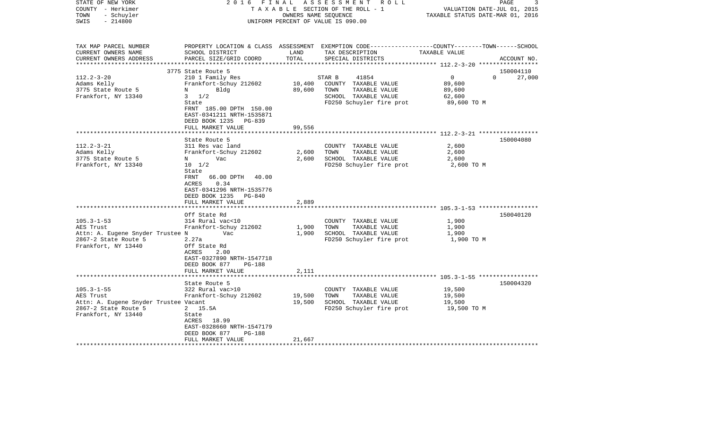| STATE OF NEW YORK<br>COUNTY - Herkimer<br>- Schuyler<br>TOWN<br>$-214800$<br>SWIS | 2016                                                                                                                             | OWNERS NAME SEQUENCE | FINAL ASSESSMENT ROLL<br>TAXABLE SECTION OF THE ROLL - 1<br>UNIFORM PERCENT OF VALUE IS 090.00                                         | VALUATION DATE-JUL 01, 2015<br>TAXABLE STATUS DATE-MAR 01, 2016 | 3<br>PAGE             |
|-----------------------------------------------------------------------------------|----------------------------------------------------------------------------------------------------------------------------------|----------------------|----------------------------------------------------------------------------------------------------------------------------------------|-----------------------------------------------------------------|-----------------------|
| TAX MAP PARCEL NUMBER<br>CURRENT OWNERS NAME<br>CURRENT OWNERS ADDRESS            | SCHOOL DISTRICT<br>PARCEL SIZE/GRID COORD                                                                                        | LAND<br>TOTAL        | PROPERTY LOCATION & CLASS ASSESSMENT EXEMPTION CODE--------------COUNTY-------TOWN------SCHOOL<br>TAX DESCRIPTION<br>SPECIAL DISTRICTS | TAXABLE VALUE                                                   | ACCOUNT NO.           |
|                                                                                   |                                                                                                                                  |                      |                                                                                                                                        |                                                                 |                       |
| $112.2 - 3 - 20$                                                                  | 3775 State Route 5                                                                                                               |                      | 41854                                                                                                                                  |                                                                 | 150004110<br>$\Omega$ |
| Adams Kelly                                                                       | 210 1 Family Res<br>Frankfort-Schuy 212602                                                                                       | 10,400               | STAR B<br>COUNTY TAXABLE VALUE                                                                                                         | $\overline{0}$<br>89,600                                        | 27,000                |
| 3775 State Route 5                                                                | Bldg<br>N                                                                                                                        | 89,600               | TAXABLE VALUE<br>TOWN                                                                                                                  | 89,600                                                          |                       |
| Frankfort, NY 13340                                                               | $3 \frac{1}{2}$                                                                                                                  |                      | SCHOOL TAXABLE VALUE                                                                                                                   | 62,600                                                          |                       |
|                                                                                   | State                                                                                                                            |                      | FD250 Schuyler fire prot                                                                                                               | 89,600 TO M                                                     |                       |
|                                                                                   | FRNT 185.00 DPTH 150.00<br>EAST-0341211 NRTH-1535871<br>DEED BOOK 1235<br>PG-839                                                 |                      |                                                                                                                                        |                                                                 |                       |
|                                                                                   | FULL MARKET VALUE                                                                                                                | 99,556               |                                                                                                                                        |                                                                 |                       |
|                                                                                   | State Route 5                                                                                                                    |                      |                                                                                                                                        |                                                                 | 150004080             |
| $112.2 - 3 - 21$                                                                  | 311 Res vac land                                                                                                                 |                      | COUNTY TAXABLE VALUE                                                                                                                   | 2,600                                                           |                       |
| Adams Kelly                                                                       | Frankfort-Schuy 212602                                                                                                           | 2,600                | TOWN<br>TAXABLE VALUE                                                                                                                  | 2,600                                                           |                       |
| 3775 State Route 5                                                                | $N$ and $N$<br>Vac                                                                                                               | 2,600                | SCHOOL TAXABLE VALUE                                                                                                                   | 2,600                                                           |                       |
| Frankfort, NY 13340                                                               | $10 \t 1/2$                                                                                                                      |                      | FD250 Schuyler fire prot                                                                                                               | 2,600 TO M                                                      |                       |
|                                                                                   | State<br>FRNT<br>66.00 DPTH 40.00<br>ACRES<br>0.34<br>EAST-0341296 NRTH-1535776<br>DEED BOOK 1235<br>PG-840<br>FULL MARKET VALUE | 2,889                |                                                                                                                                        |                                                                 |                       |
|                                                                                   |                                                                                                                                  |                      |                                                                                                                                        |                                                                 |                       |
|                                                                                   | Off State Rd                                                                                                                     |                      |                                                                                                                                        |                                                                 | 150040120             |
| $105.3 - 1 - 53$<br>AES Trust                                                     | 314 Rural vac<10<br>Frankfort-Schuy 212602                                                                                       | 1,900                | COUNTY TAXABLE VALUE<br>TAXABLE VALUE<br>TOWN                                                                                          | 1,900<br>1,900                                                  |                       |
| Attn: A. Eugene Snyder Trustee N                                                  | Vac                                                                                                                              | 1,900                | SCHOOL TAXABLE VALUE                                                                                                                   | 1,900                                                           |                       |
| 2867-2 State Route 5                                                              | 2.27a                                                                                                                            |                      | FD250 Schuyler fire prot                                                                                                               | 1,900 TO M                                                      |                       |
| Frankfort, NY 13440                                                               | Off State Rd<br>2.00<br>ACRES<br>EAST-0327890 NRTH-1547718<br>DEED BOOK 877<br><b>PG-188</b>                                     |                      |                                                                                                                                        |                                                                 |                       |
|                                                                                   | FULL MARKET VALUE                                                                                                                | 2,111                |                                                                                                                                        |                                                                 |                       |
|                                                                                   | State Route 5                                                                                                                    |                      |                                                                                                                                        |                                                                 | 150004320             |
| $105.3 - 1 - 55$                                                                  | 322 Rural vac>10                                                                                                                 |                      | COUNTY TAXABLE VALUE                                                                                                                   | 19,500                                                          |                       |
| AES Trust                                                                         | Frankfort-Schuy 212602                                                                                                           | 19,500               | TOWN<br>TAXABLE VALUE                                                                                                                  | 19,500                                                          |                       |
| Attn: A. Eugene Snyder Trustee Vacant                                             |                                                                                                                                  | 19,500               | SCHOOL TAXABLE VALUE                                                                                                                   | 19,500                                                          |                       |
| 2867-2 State Route 5                                                              | 2 15.5A                                                                                                                          |                      | FD250 Schuyler fire prot                                                                                                               | 19,500 TO M                                                     |                       |
| Frankfort, NY 13440                                                               | State                                                                                                                            |                      |                                                                                                                                        |                                                                 |                       |
|                                                                                   | ACRES 18.99                                                                                                                      |                      |                                                                                                                                        |                                                                 |                       |
|                                                                                   | EAST-0328660 NRTH-1547179                                                                                                        |                      |                                                                                                                                        |                                                                 |                       |
|                                                                                   | DEED BOOK 877<br>PG-188                                                                                                          |                      |                                                                                                                                        |                                                                 |                       |
| *********************                                                             | FULL MARKET VALUE                                                                                                                | 21,667               |                                                                                                                                        |                                                                 |                       |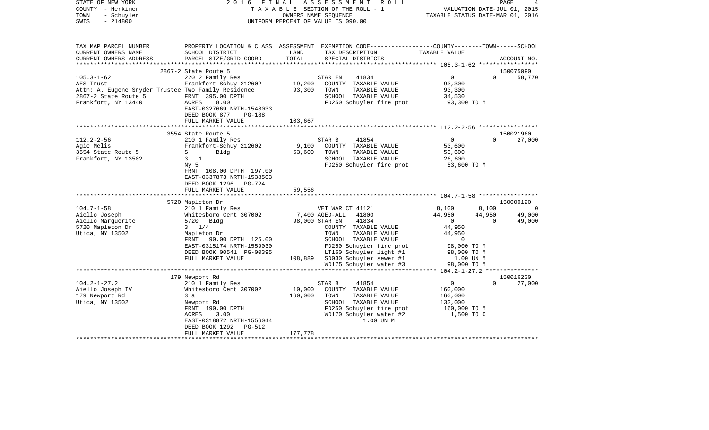| STATE OF NEW YORK<br>COUNTY - Herkimer<br>- Schuyler<br>TOWN<br>$-214800$<br>SWIS                                                   | 2016<br>FINAL                                                                                                                                                                        | TAXABLE SECTION OF THE ROLL - 1<br>UNIFORM PERCENT OF VALUE IS 090.00 | A S S E S S M E N T<br>OWNERS NAME SEQUENCE | R O L L                                                                                                                                                                    | TAXABLE STATUS DATE-MAR 01, 2016                                                          | VALUATION DATE-JUL 01, 2015 | PAGE                |
|-------------------------------------------------------------------------------------------------------------------------------------|--------------------------------------------------------------------------------------------------------------------------------------------------------------------------------------|-----------------------------------------------------------------------|---------------------------------------------|----------------------------------------------------------------------------------------------------------------------------------------------------------------------------|-------------------------------------------------------------------------------------------|-----------------------------|---------------------|
| TAX MAP PARCEL NUMBER<br>CURRENT OWNERS NAME<br>CURRENT OWNERS ADDRESS<br>***********************                                   | PROPERTY LOCATION & CLASS ASSESSMENT EXEMPTION CODE---------------COUNTY-------TOWN-----SCHOOL<br>SCHOOL DISTRICT<br>PARCEL SIZE/GRID COORD                                          | LAND<br>TOTAL                                                         |                                             | TAX DESCRIPTION<br>SPECIAL DISTRICTS                                                                                                                                       | TAXABLE VALUE                                                                             |                             | ACCOUNT NO.         |
| $105.3 - 1 - 62$<br>AES Trust<br>Attn: A. Eugene Snyder Trustee Two Family Residence<br>2867-2 State Route 5<br>Frankfort, NY 13440 | 2867-2 State Route 5<br>220 2 Family Res<br>Frankfort-Schuy 212602<br>FRNT 395.00 DPTH<br>ACRES<br>8.00<br>EAST-0327669 NRTH-1548033<br>DEED BOOK 877<br>PG-188<br>FULL MARKET VALUE | 19,200<br>93,300<br>103,667                                           | STAR EN<br>TOWN                             | 41834<br>COUNTY TAXABLE VALUE<br>TAXABLE VALUE<br>SCHOOL TAXABLE VALUE<br>FD250 Schuyler fire prot                                                                         | $\overline{0}$<br>93,300<br>93,300<br>34,530<br>93,300 TO M                               | $\Omega$                    | 150075090<br>58,770 |
|                                                                                                                                     |                                                                                                                                                                                      |                                                                       |                                             |                                                                                                                                                                            |                                                                                           |                             |                     |
| $112.2 - 2 - 56$                                                                                                                    | 3554 State Route 5<br>210 1 Family Res                                                                                                                                               |                                                                       | STAR B                                      | 41854                                                                                                                                                                      | $\overline{0}$                                                                            | $\Omega$                    | 150021960<br>27,000 |
| Agic Melis<br>3554 State Route 5<br>Frankfort, NY 13502                                                                             | Frankfort-Schuy 212602<br>$S \qquad \qquad$<br>Bldg<br>$3 \quad 1$<br>Ny <sub>5</sub><br>FRNT 108.00 DPTH 197.00<br>EAST-0337873 NRTH-1538503<br>DEED BOOK 1296 PG-724               | 9,100<br>53,600                                                       | TOWN                                        | COUNTY TAXABLE VALUE<br>TAXABLE VALUE<br>SCHOOL TAXABLE VALUE<br>FD250 Schuyler fire prot                                                                                  | 53,600<br>53,600<br>26,600<br>53,600 TO M                                                 |                             |                     |
|                                                                                                                                     | FULL MARKET VALUE                                                                                                                                                                    | 59,556                                                                |                                             |                                                                                                                                                                            |                                                                                           |                             |                     |
|                                                                                                                                     |                                                                                                                                                                                      |                                                                       |                                             |                                                                                                                                                                            |                                                                                           |                             |                     |
|                                                                                                                                     | 5720 Mapleton Dr                                                                                                                                                                     |                                                                       |                                             |                                                                                                                                                                            |                                                                                           |                             | 150000120           |
| $104.7 - 1 - 58$                                                                                                                    | 210 1 Family Res                                                                                                                                                                     |                                                                       | VET WAR CT 41121                            |                                                                                                                                                                            | 8,100                                                                                     | 8,100                       | - 0                 |
| Aiello Joseph<br>Aiello Marquerite                                                                                                  | Whitesboro Cent 307002<br>5720 Bldg                                                                                                                                                  |                                                                       | 7,400 AGED-ALL<br>98,000 STAR EN            | 41800<br>41834                                                                                                                                                             | 44,950<br>$\overline{0}$                                                                  | 44,950<br>$\Omega$          | 49,000<br>49,000    |
| 5720 Mapleton Dr<br>Utica, NY 13502                                                                                                 | $3 \t1/4$<br>Mapleton Dr<br>FRNT 90.00 DPTH 125.00<br>EAST-0315174 NRTH-1559030<br>DEED BOOK 00541 PG-00395<br>FULL MARKET VALUE                                                     | 108,889                                                               | TOWN                                        | COUNTY TAXABLE VALUE<br>TAXABLE VALUE<br>SCHOOL TAXABLE VALUE<br>FD250 Schuyler fire prot<br>LT160 Schuyler light #1<br>SD030 Schuyler sewer #1<br>WD175 Schuyler water #3 | 44,950<br>44,950<br>$\mathbf 0$<br>98,000 TO M<br>98,000 TO M<br>1.00 UN M<br>98,000 TO M |                             |                     |
|                                                                                                                                     |                                                                                                                                                                                      |                                                                       |                                             |                                                                                                                                                                            |                                                                                           |                             |                     |
| $104.2 - 1 - 27.2$<br>Aiello Joseph IV<br>179 Newport Rd<br>Utica, NY 13502                                                         | 179 Newport Rd<br>210 1 Family Res<br>Whitesboro Cent 307002<br>3a<br>Newport Rd<br>FRNT 190.00 DPTH<br>3.00<br>ACRES                                                                | 10,000<br>160,000                                                     | STAR B<br>TOWN                              | 41854<br>COUNTY TAXABLE VALUE<br>TAXABLE VALUE<br>SCHOOL TAXABLE VALUE<br>FD250 Schuyler fire prot<br>WD170 Schuyler water #2                                              | $\overline{0}$<br>160,000<br>160,000<br>133,000<br>160,000 TO M<br>1,500 TO C             | $\Omega$                    | 150016230<br>27,000 |
| ***********************                                                                                                             | EAST-0318872 NRTH-1556044<br>PG-512<br>DEED BOOK 1292<br>FULL MARKET VALUE                                                                                                           | 177,778                                                               |                                             | 1.00 UN M                                                                                                                                                                  |                                                                                           |                             |                     |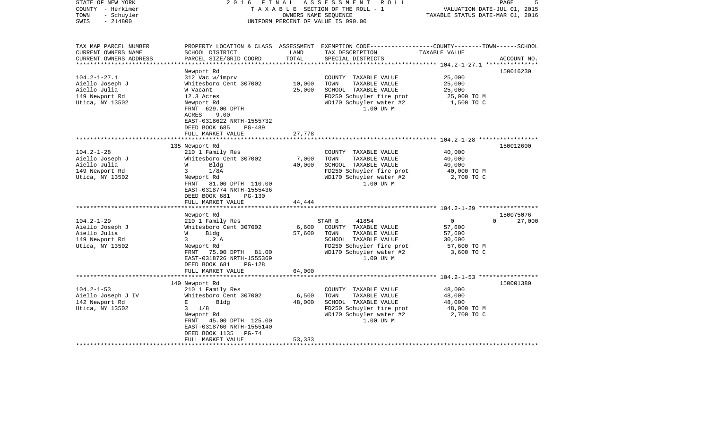| STATE OF NEW YORK<br>COUNTY - Herkimer<br>- Schuyler<br>TOWN<br>$-214800$<br>SWIS | 2 0 1 6<br>FINAL                                                                               | OWNERS NAME SEQUENCE | A S S E S S M E N T R O L L<br>TAXABLE SECTION OF THE ROLL - 1<br>UNIFORM PERCENT OF VALUE IS 090.00                                     | VALUATION DATE-JUL 01, 2015<br>TAXABLE STATUS DATE-MAR 01, 2016 | 5<br>PAGE          |
|-----------------------------------------------------------------------------------|------------------------------------------------------------------------------------------------|----------------------|------------------------------------------------------------------------------------------------------------------------------------------|-----------------------------------------------------------------|--------------------|
| TAX MAP PARCEL NUMBER<br>CURRENT OWNERS NAME<br>CURRENT OWNERS ADDRESS            | SCHOOL DISTRICT<br>PARCEL SIZE/GRID COORD                                                      | LAND<br>TOTAL        | PROPERTY LOCATION & CLASS ASSESSMENT EXEMPTION CODE----------------COUNTY-------TOWN------SCHOOL<br>TAX DESCRIPTION<br>SPECIAL DISTRICTS | TAXABLE VALUE                                                   | ACCOUNT NO.        |
| **************************                                                        |                                                                                                |                      |                                                                                                                                          |                                                                 |                    |
| $104.2 - 1 - 27.1$                                                                | Newport Rd<br>312 Vac w/imprv                                                                  |                      | COUNTY TAXABLE VALUE                                                                                                                     | 25,000                                                          | 150016230          |
| Aiello Joseph J                                                                   | Whitesboro Cent 307002                                                                         | 10,000               | TOWN<br>TAXABLE VALUE                                                                                                                    | 25,000                                                          |                    |
| Aiello Julia                                                                      | W Vacant                                                                                       | 25,000               | SCHOOL TAXABLE VALUE                                                                                                                     | 25,000                                                          |                    |
| 149 Newport Rd                                                                    | 12.3 Acres                                                                                     |                      | FD250 Schuyler fire prot                                                                                                                 | 25,000 TO M                                                     |                    |
| Utica, NY 13502                                                                   | Newport Rd<br>FRNT 629.00 DPTH<br>ACRES<br>9.00<br>EAST-0318622 NRTH-1555732<br><b>PG-489</b>  |                      | WD170 Schuyler water #2<br>1.00 UN M                                                                                                     | 1,500 TO C                                                      |                    |
|                                                                                   | DEED BOOK 685<br>FULL MARKET VALUE                                                             | 27,778               |                                                                                                                                          |                                                                 |                    |
|                                                                                   |                                                                                                |                      |                                                                                                                                          |                                                                 |                    |
|                                                                                   | 135 Newport Rd                                                                                 |                      |                                                                                                                                          |                                                                 | 150012600          |
| $104.2 - 1 - 28$                                                                  | 210 1 Family Res                                                                               |                      | COUNTY TAXABLE VALUE                                                                                                                     | 40,000                                                          |                    |
| Aiello Joseph J                                                                   | Whitesboro Cent 307002                                                                         | 7,000                | TOWN<br>TAXABLE VALUE                                                                                                                    | 40,000                                                          |                    |
| Aiello Julia                                                                      | Bldg<br>W<br>1/8A                                                                              | 40,000               | SCHOOL TAXABLE VALUE<br>FD250 Schuyler fire prot                                                                                         | 40,000                                                          |                    |
| 149 Newport Rd<br>Utica, NY 13502                                                 | 3<br>Newport Rd<br>FRNT 81.00 DPTH 110.00<br>EAST-0318774 NRTH-1555436                         |                      | WD170 Schuyler water #2<br>1.00 UN M                                                                                                     | 40,000 TO M<br>2,700 TO C                                       |                    |
|                                                                                   | DEED BOOK 681<br>$PG-130$                                                                      |                      |                                                                                                                                          |                                                                 |                    |
|                                                                                   | FULL MARKET VALUE                                                                              | 44,444               |                                                                                                                                          |                                                                 |                    |
|                                                                                   | Newport Rd                                                                                     |                      |                                                                                                                                          |                                                                 | 150075076          |
| $104.2 - 1 - 29$                                                                  | 210 1 Family Res                                                                               |                      | STAR B<br>41854                                                                                                                          | $\overline{0}$                                                  | $\Omega$<br>27,000 |
| Aiello Joseph J                                                                   | Whitesboro Cent 307002                                                                         | 6,600                | COUNTY TAXABLE VALUE                                                                                                                     | 57,600                                                          |                    |
| Aiello Julia                                                                      | Bldg<br>W                                                                                      | 57,600               | TOWN<br>TAXABLE VALUE                                                                                                                    | 57,600                                                          |                    |
| 149 Newport Rd                                                                    | .2 A<br>3 <sup>7</sup>                                                                         |                      | SCHOOL TAXABLE VALUE                                                                                                                     | 30,600                                                          |                    |
| Utica, NY 13502                                                                   | Newport Rd<br>FRNT<br>75.00 DPTH 81.00<br>EAST-0318726 NRTH-1555369<br>DEED BOOK 681<br>PG-128 |                      | FD250 Schuyler fire prot<br>WD170 Schuyler water #2<br>1.00 UN M                                                                         | 57,600 TO M<br>3,600 TO C                                       |                    |
|                                                                                   | FULL MARKET VALUE                                                                              | 64,000               |                                                                                                                                          |                                                                 |                    |
|                                                                                   | *************************                                                                      |                      |                                                                                                                                          |                                                                 |                    |
|                                                                                   | 140 Newport Rd                                                                                 |                      |                                                                                                                                          |                                                                 | 150001380          |
| $104.2 - 1 - 53$<br>Aiello Joseph J IV                                            | 210 1 Family Res<br>Whitesboro Cent 307002                                                     | 6,500                | COUNTY TAXABLE VALUE<br>TOWN<br>TAXABLE VALUE                                                                                            | 48,000<br>48,000                                                |                    |
| 142 Newport Rd                                                                    | Е<br>Bldg                                                                                      | 48,000               | SCHOOL TAXABLE VALUE                                                                                                                     | 48,000                                                          |                    |
| Utica, NY 13502                                                                   | $3 \t1/8$                                                                                      |                      | FD250 Schuyler fire prot                                                                                                                 | 48,000 TO M                                                     |                    |
|                                                                                   | Newport Rd<br>FRNT 45.00 DPTH 125.00<br>EAST-0318760 NRTH-1555140<br>DEED BOOK 1135<br>$PG-74$ |                      | WD170 Schuyler water #2<br>1.00 UN M                                                                                                     | 2,700 TO C                                                      |                    |
|                                                                                   | FULL MARKET VALUE                                                                              | 53,333               |                                                                                                                                          |                                                                 |                    |
|                                                                                   | *************************************                                                          |                      |                                                                                                                                          |                                                                 |                    |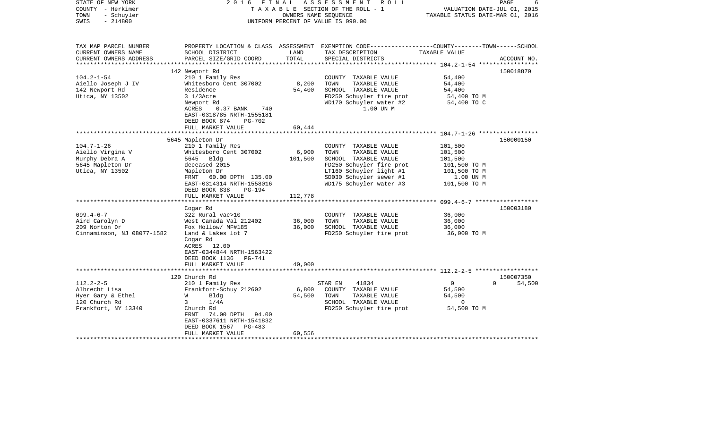| STATE OF NEW YORK<br>COUNTY - Herkimer<br>TOWN<br>- Schuyler<br>SWIS<br>$-214800$             | 2016                                                                                                                                                                                          | FINAL                     | A S S E S S M E N T<br>R O L L<br>TAXABLE SECTION OF THE ROLL - 1<br>OWNERS NAME SEQUENCE<br>UNIFORM PERCENT OF VALUE IS 090.00           | VALUATION DATE-JUL 01, 2015<br>TAXABLE STATUS DATE-MAR 01, 2016     | PAGE               |
|-----------------------------------------------------------------------------------------------|-----------------------------------------------------------------------------------------------------------------------------------------------------------------------------------------------|---------------------------|-------------------------------------------------------------------------------------------------------------------------------------------|---------------------------------------------------------------------|--------------------|
| TAX MAP PARCEL NUMBER<br>CURRENT OWNERS NAME<br>CURRENT OWNERS ADDRESS                        | SCHOOL DISTRICT<br>PARCEL SIZE/GRID COORD                                                                                                                                                     | LAND<br>TOTAL             | PROPERTY LOCATION & CLASS ASSESSMENT EXEMPTION CODE---------------COUNTY-------TOWN------SCHOOL<br>TAX DESCRIPTION<br>SPECIAL DISTRICTS   | TAXABLE VALUE                                                       | ACCOUNT NO.        |
| ***********************                                                                       |                                                                                                                                                                                               |                           |                                                                                                                                           |                                                                     |                    |
| $104.2 - 1 - 54$<br>Aiello Joseph J IV<br>142 Newport Rd<br>Utica, NY 13502                   | 142 Newport Rd<br>210 1 Family Res<br>Whitesboro Cent 307002<br>Residence<br>$31/3$ Acre<br>Newport Rd<br>ACRES<br>$0.37$ BANK<br>740<br>EAST-0318785 NRTH-1555181                            | 8,200<br>54,400           | COUNTY TAXABLE VALUE<br>TOWN<br>TAXABLE VALUE<br>SCHOOL TAXABLE VALUE<br>FD250 Schuyler fire prot<br>WD170 Schuyler water #2<br>1.00 UN M | 54,400<br>54,400<br>54,400<br>54,400 TO M<br>54,400 TO C            | 150018870          |
|                                                                                               | DEED BOOK 874<br><b>PG-702</b>                                                                                                                                                                |                           |                                                                                                                                           |                                                                     |                    |
|                                                                                               | FULL MARKET VALUE                                                                                                                                                                             | 60,444                    |                                                                                                                                           |                                                                     |                    |
| $104.7 - 1 - 26$<br>Aiello Virgina V<br>Murphy Debra A<br>5645 Mapleton Dr<br>Utica, NY 13502 | 5645 Mapleton Dr<br>210 1 Family Res<br>Whitesboro Cent 307002<br>5645 Bldg<br>deceased 2015<br>Mapleton Dr                                                                                   | 6,900<br>101,500          | COUNTY TAXABLE VALUE<br>TAXABLE VALUE<br>TOWN<br>SCHOOL TAXABLE VALUE<br>FD250 Schuyler fire prot<br>LT160 Schuyler light #1              | 101,500<br>101,500<br>101,500<br>101,500 TO M<br>101,500 TO M       | 150000150          |
|                                                                                               | FRNT 60.00 DPTH 135.00<br>EAST-0314314 NRTH-1558016<br>DEED BOOK 838<br>$PG-194$<br>FULL MARKET VALUE                                                                                         | 112,778                   | SD030 Schuyler sewer #1<br>WD175 Schuyler water #3                                                                                        | 1.00 UN M<br>101,500 TO M<br>********************* 099.4-6-7 ****** |                    |
|                                                                                               | Cogar Rd                                                                                                                                                                                      |                           |                                                                                                                                           |                                                                     | 150003180          |
| $099.4 - 6 - 7$<br>Aird Carolyn D<br>209 Norton Dr<br>Cinnaminson, NJ 08077-1582              | 322 Rural vac>10<br>West Canada Val 212402<br>Fox Hollow/ MF#185<br>Land & Lakes lot 7<br>Cogar Rd<br>ACRES 12.00<br>EAST-0344844 NRTH-1563422<br>DEED BOOK 1136<br>PG-741                    | 36,000<br>36,000          | COUNTY TAXABLE VALUE<br>TOWN<br>TAXABLE VALUE<br>SCHOOL TAXABLE VALUE<br>FD250 Schuyler fire prot                                         | 36,000<br>36,000<br>36,000<br>36,000 TO M                           |                    |
|                                                                                               | FULL MARKET VALUE<br>*************************                                                                                                                                                | 40,000                    |                                                                                                                                           |                                                                     |                    |
|                                                                                               | 120 Church Rd                                                                                                                                                                                 |                           |                                                                                                                                           |                                                                     | 150007350          |
| $112.2 - 2 - 5$<br>Albrecht Lisa<br>Hyer Gary & Ethel<br>120 Church Rd<br>Frankfort, NY 13340 | 210 1 Family Res<br>Frankfort-Schuy 212602<br>W<br>Bldg<br>3<br>1/4A<br>Church Rd<br>74.00 DPTH 94.00<br>FRNT<br>EAST-0337611 NRTH-1541832<br>DEED BOOK 1567<br>$PG-483$<br>FULL MARKET VALUE | 6,800<br>54,500<br>60,556 | 41834<br>STAR EN<br>COUNTY TAXABLE VALUE<br>TAXABLE VALUE<br>TOWN<br>SCHOOL TAXABLE VALUE<br>FD250 Schuyler fire prot                     | $\overline{0}$<br>54,500<br>54,500<br>$\mathbf 0$<br>54,500 TO M    | 54,500<br>$\Omega$ |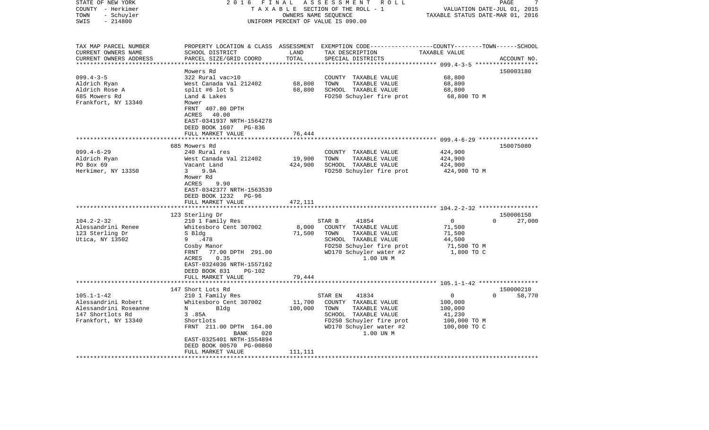| STATE OF NEW YORK<br>COUNTY - Herkimer<br>- Schuyler<br>TOWN<br>$-214800$<br>SWIS                                                                   | 2 0 1 6<br>FINAL                                                                                                                                                                                                                                                                                                                                                                                                   |                                                            | ASSESSMENT ROLL<br>TAXABLE SECTION OF THE ROLL - 1<br>OWNERS NAME SEQUENCE<br>UNIFORM PERCENT OF VALUE IS 090.00                                                                                                                                                  | VALUATION DATE-JUL 01, 2015<br>TAXABLE STATUS DATE-MAR 01, 2016                                                                                                               | PAGE<br>7                                    |
|-----------------------------------------------------------------------------------------------------------------------------------------------------|--------------------------------------------------------------------------------------------------------------------------------------------------------------------------------------------------------------------------------------------------------------------------------------------------------------------------------------------------------------------------------------------------------------------|------------------------------------------------------------|-------------------------------------------------------------------------------------------------------------------------------------------------------------------------------------------------------------------------------------------------------------------|-------------------------------------------------------------------------------------------------------------------------------------------------------------------------------|----------------------------------------------|
| TAX MAP PARCEL NUMBER<br>CURRENT OWNERS NAME                                                                                                        | SCHOOL DISTRICT                                                                                                                                                                                                                                                                                                                                                                                                    | LAND                                                       | PROPERTY LOCATION & CLASS ASSESSMENT EXEMPTION CODE----------------COUNTY-------TOWN------SCHOOL<br>TAX DESCRIPTION                                                                                                                                               | TAXABLE VALUE                                                                                                                                                                 |                                              |
| CURRENT OWNERS ADDRESS<br>**********************                                                                                                    | PARCEL SIZE/GRID COORD                                                                                                                                                                                                                                                                                                                                                                                             | TOTAL                                                      | SPECIAL DISTRICTS                                                                                                                                                                                                                                                 |                                                                                                                                                                               | ACCOUNT NO.                                  |
|                                                                                                                                                     | Mowers Rd                                                                                                                                                                                                                                                                                                                                                                                                          |                                                            |                                                                                                                                                                                                                                                                   |                                                                                                                                                                               | 150003180                                    |
| $099.4 - 3 - 5$<br>Aldrich Ryan<br>Aldrich Rose A<br>685 Mowers Rd<br>Frankfort, NY 13340                                                           | 322 Rural vac>10<br>West Canada Val 212402<br>split #6 lot $5$<br>Land & Lakes<br>Mower<br>FRNT 407.80 DPTH<br>40.00<br>ACRES<br>EAST-0341937 NRTH-1564278                                                                                                                                                                                                                                                         | 68,800<br>68,800                                           | COUNTY TAXABLE VALUE<br>TAXABLE VALUE<br>TOWN<br>SCHOOL TAXABLE VALUE<br>FD250 Schuyler fire prot                                                                                                                                                                 | 68,800<br>68,800<br>68,800<br>68,800 TO M                                                                                                                                     |                                              |
|                                                                                                                                                     | DEED BOOK 1607 PG-836                                                                                                                                                                                                                                                                                                                                                                                              |                                                            |                                                                                                                                                                                                                                                                   |                                                                                                                                                                               |                                              |
|                                                                                                                                                     | FULL MARKET VALUE<br>***********************                                                                                                                                                                                                                                                                                                                                                                       | 76,444<br>*********                                        |                                                                                                                                                                                                                                                                   |                                                                                                                                                                               |                                              |
|                                                                                                                                                     |                                                                                                                                                                                                                                                                                                                                                                                                                    |                                                            |                                                                                                                                                                                                                                                                   |                                                                                                                                                                               |                                              |
| $099.4 - 6 - 29$<br>Aldrich Ryan<br>PO Box 69<br>Herkimer, NY 13350<br>$104.2 - 2 - 32$<br>Alessandrini Renee<br>123 Sterling Dr<br>Utica, NY 13502 | 685 Mowers Rd<br>240 Rural res<br>West Canada Val 212402<br>Vacant Land<br>9.9A<br>3<br>Mower Rd<br>9.90<br>ACRES<br>EAST-0342377 NRTH-1563539<br>DEED BOOK 1232<br>PG-96<br>FULL MARKET VALUE<br>123 Sterling Dr<br>210 1 Family Res<br>Whitesboro Cent 307002<br>S Bldg<br>.478<br>9<br>Cosby Manor<br>77.00 DPTH 291.00<br>FRNT<br>ACRES<br>0.35<br>EAST-0324036 NRTH-1557162<br>DEED BOOK 831<br><b>PG-102</b> | 19,900<br>424,900<br>472,111<br>*******<br>8,000<br>71,500 | COUNTY TAXABLE VALUE<br>TAXABLE VALUE<br>TOWN<br>SCHOOL TAXABLE VALUE<br>FD250 Schuyler fire prot<br>STAR B<br>41854<br>COUNTY TAXABLE VALUE<br>TOWN<br>TAXABLE VALUE<br>SCHOOL TAXABLE VALUE<br>FD250 Schuyler fire prot<br>WD170 Schuyler water #2<br>1.00 UN M | 424,900<br>424,900<br>424,900<br>424,900 TO M<br>******************** 104.2-2-32 ******************<br>$\mathbf 0$<br>71,500<br>71,500<br>44,500<br>71,500 TO M<br>1,800 TO C | 150075080<br>150006150<br>$\Omega$<br>27,000 |
|                                                                                                                                                     | FULL MARKET VALUE                                                                                                                                                                                                                                                                                                                                                                                                  | 79,444                                                     |                                                                                                                                                                                                                                                                   |                                                                                                                                                                               |                                              |
|                                                                                                                                                     | 147 Short Lots Rd                                                                                                                                                                                                                                                                                                                                                                                                  |                                                            |                                                                                                                                                                                                                                                                   |                                                                                                                                                                               | 150000210                                    |
| $105.1 - 1 - 42$<br>Alessandrini Robert<br>Alessandrini Roseanne<br>147 Shortlots Rd<br>Frankfort, NY 13340                                         | 210 1 Family Res<br>Whitesboro Cent 307002<br>N<br>Bldg<br>3.85A<br>Shortlots<br>FRNT 211.00 DPTH 164.00<br>BANK<br>020<br>EAST-0325401 NRTH-1554894<br>DEED BOOK 00570 PG-00860<br>FULL MARKET VALUE                                                                                                                                                                                                              | 11,700<br>100,000<br>111,111                               | STAR EN<br>41834<br>COUNTY TAXABLE VALUE<br>TOWN<br>TAXABLE VALUE<br>SCHOOL TAXABLE VALUE<br>FD250 Schuyler fire prot<br>WD170 Schuyler water #2<br>1.00 UN M                                                                                                     | 0<br>100,000<br>100,000<br>41,230<br>100,000 то м<br>100,000 TO C                                                                                                             | $\Omega$<br>58,770                           |
|                                                                                                                                                     |                                                                                                                                                                                                                                                                                                                                                                                                                    |                                                            |                                                                                                                                                                                                                                                                   |                                                                                                                                                                               |                                              |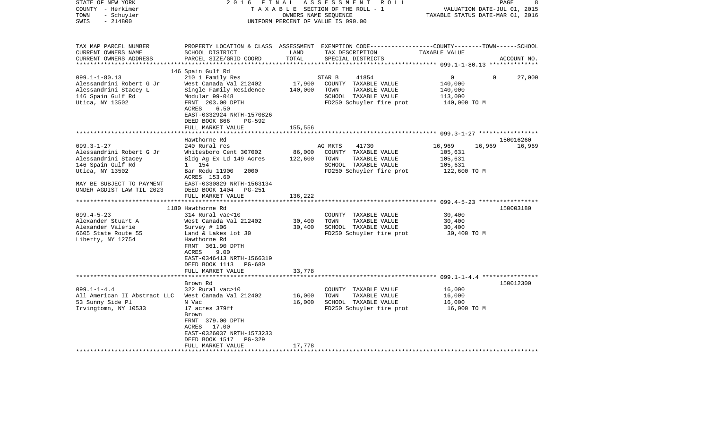| STATE OF NEW YORK<br>COUNTY - Herkimer<br>TOWN<br>- Schuyler                                                                                                                                                                                                                     | 2 0 1 6                                                                                                                                                                                                                                                                                                                                                  | FINAL<br>OWNERS NAME SEQUENCE                    | ASSESSMENT<br>R O L L<br>TAXABLE SECTION OF THE ROLL - 1                                                                                                                                                                      | TAXABLE STATUS DATE-MAR 01, 2016                                                                               | PAGE<br>8<br>VALUATION DATE-JUL 01, 2015 |
|----------------------------------------------------------------------------------------------------------------------------------------------------------------------------------------------------------------------------------------------------------------------------------|----------------------------------------------------------------------------------------------------------------------------------------------------------------------------------------------------------------------------------------------------------------------------------------------------------------------------------------------------------|--------------------------------------------------|-------------------------------------------------------------------------------------------------------------------------------------------------------------------------------------------------------------------------------|----------------------------------------------------------------------------------------------------------------|------------------------------------------|
| $-214800$<br>SWIS                                                                                                                                                                                                                                                                |                                                                                                                                                                                                                                                                                                                                                          |                                                  | UNIFORM PERCENT OF VALUE IS 090.00                                                                                                                                                                                            |                                                                                                                |                                          |
| TAX MAP PARCEL NUMBER<br>CURRENT OWNERS NAME<br>CURRENT OWNERS ADDRESS<br>*************************                                                                                                                                                                              | SCHOOL DISTRICT<br>PARCEL SIZE/GRID COORD                                                                                                                                                                                                                                                                                                                | LAND<br>TOTAL                                    | PROPERTY LOCATION & CLASS ASSESSMENT EXEMPTION CODE----------------COUNTY-------TOWN------SCHOOL<br>TAX DESCRIPTION<br>SPECIAL DISTRICTS                                                                                      | TAXABLE VALUE                                                                                                  | ACCOUNT NO.                              |
|                                                                                                                                                                                                                                                                                  | 146 Spain Gulf Rd                                                                                                                                                                                                                                                                                                                                        |                                                  |                                                                                                                                                                                                                               |                                                                                                                |                                          |
| $099.1 - 1 - 80.13$<br>Alessandrini Robert G Jr<br>Alessandrini Stacey L<br>146 Spain Gulf Rd<br>Utica, NY 13502                                                                                                                                                                 | 210 1 Family Res<br>West Canada Val 212402<br>Single Family Residence<br>Modular 99-048<br>FRNT 203.00 DPTH<br>ACRES<br>6.50<br>EAST-0332924 NRTH-1570826<br>$PG-592$                                                                                                                                                                                    | 17,900<br>140,000                                | STAR B<br>41854<br>COUNTY TAXABLE VALUE<br>TOWN<br>TAXABLE VALUE<br>SCHOOL TAXABLE VALUE<br>FD250 Schuyler fire prot                                                                                                          | 0<br>140,000<br>140,000<br>113,000<br>140,000 TO M                                                             | 27,000<br>$\mathbf 0$                    |
|                                                                                                                                                                                                                                                                                  | DEED BOOK 866<br>FULL MARKET VALUE                                                                                                                                                                                                                                                                                                                       | 155,556                                          |                                                                                                                                                                                                                               |                                                                                                                |                                          |
|                                                                                                                                                                                                                                                                                  |                                                                                                                                                                                                                                                                                                                                                          |                                                  |                                                                                                                                                                                                                               |                                                                                                                |                                          |
|                                                                                                                                                                                                                                                                                  | Hawthorne Rd                                                                                                                                                                                                                                                                                                                                             |                                                  |                                                                                                                                                                                                                               |                                                                                                                | 150016260                                |
| $099.3 - 1 - 27$<br>Alessandrini Robert G Jr<br>Alessandrini Stacey<br>146 Spain Gulf Rd<br>Utica, NY 13502<br>MAY BE SUBJECT TO PAYMENT<br>UNDER AGDIST LAW TIL 2023<br>$099.4 - 5 - 23$<br>Alexander Stuart A<br>Alexander Valerie<br>6605 State Route 55<br>Liberty, NY 12754 | 240 Rural res<br>Whitesboro Cent 307002<br>Bldg Ag Ex Ld 149 Acres<br>1 154<br>2000<br>Bar Redu 11900<br>ACRES 153.60<br>EAST-0330829 NRTH-1563134<br>DEED BOOK 1404<br><b>PG-251</b><br>FULL MARKET VALUE<br>1180 Hawthorne Rd<br>314 Rural vac<10<br>West Canada Val 212402<br>Survey # 106<br>Land & Lakes lot 30<br>Hawthorne Rd<br>FRNT 361.90 DPTH | 86,000<br>122,600<br>136,222<br>30,400<br>30,400 | 41730<br>AG MKTS<br>COUNTY TAXABLE VALUE<br>TOWN<br>TAXABLE VALUE<br>SCHOOL TAXABLE VALUE<br>FD250 Schuyler fire prot<br>COUNTY<br>TAXABLE VALUE<br>TAXABLE VALUE<br>TOWN<br>SCHOOL TAXABLE VALUE<br>FD250 Schuyler fire prot | 16,969<br>16,969<br>105,631<br>105,631<br>105,631<br>122,600 TO M<br>30,400<br>30,400<br>30,400<br>30,400 TO M | 16,969<br>150003180                      |
| $099.1 - 1 - 4.4$<br>All American II Abstract LLC<br>53 Sunny Side Pl<br>Irvingtomn, NY 10533                                                                                                                                                                                    | ACRES<br>9.00<br>EAST-0346413 NRTH-1566319<br>DEED BOOK 1113<br>PG-680<br>FULL MARKET VALUE<br>Brown Rd<br>322 Rural vac>10<br>West Canada Val 212402<br>N Vac<br>17 acres 379ff<br>Brown<br>FRNT 379.00 DPTH<br>17.00<br>ACRES<br>EAST-0326037 NRTH-1573233                                                                                             | 33,778<br>16,000<br>16,000                       | COUNTY TAXABLE VALUE<br>TOWN<br>TAXABLE VALUE<br>SCHOOL TAXABLE VALUE<br>FD250 Schuyler fire prot                                                                                                                             | ************************* 099.1-1-4.4 *****************<br>16,000<br>16,000<br>16,000<br>16,000 TO M           | 150012300                                |
|                                                                                                                                                                                                                                                                                  | DEED BOOK 1517<br><b>PG-329</b><br>FULL MARKET VALUE                                                                                                                                                                                                                                                                                                     | 17,778                                           |                                                                                                                                                                                                                               |                                                                                                                |                                          |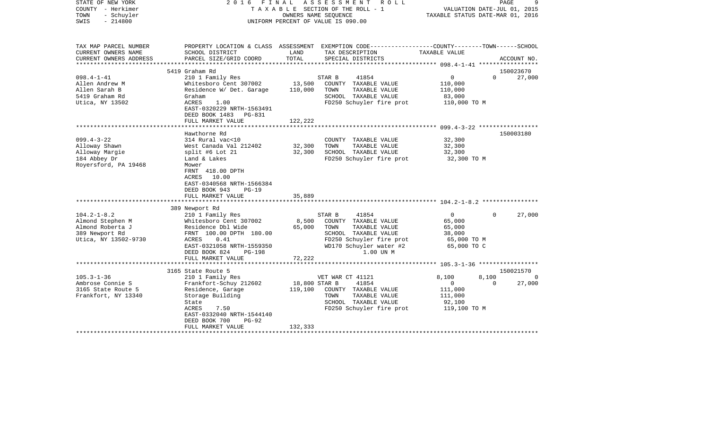| STATE OF NEW YORK<br>COUNTY - Herkimer<br>- Schuyler<br>TOWN<br>$-214800$<br>SWIS | FINAL<br>2016                                                                                                             |               | ASSESSMENT<br>R O L L<br>TAXABLE SECTION OF THE ROLL - 1<br>OWNERS NAME SEOUENCE<br>UNIFORM PERCENT OF VALUE IS 090.00 | VALUATION DATE-JUL 01, 2015<br>TAXABLE STATUS DATE-MAR 01, 2016 | PAGE     | 9           |
|-----------------------------------------------------------------------------------|---------------------------------------------------------------------------------------------------------------------------|---------------|------------------------------------------------------------------------------------------------------------------------|-----------------------------------------------------------------|----------|-------------|
| TAX MAP PARCEL NUMBER<br>CURRENT OWNERS NAME                                      | SCHOOL DISTRICT                                                                                                           | LAND          | PROPERTY LOCATION & CLASS ASSESSMENT EXEMPTION CODE---------------COUNTY-------TOWN------SCHOOL<br>TAX DESCRIPTION     | TAXABLE VALUE                                                   |          |             |
| CURRENT OWNERS ADDRESS<br>**********************                                  | PARCEL SIZE/GRID COORD                                                                                                    | TOTAL         | SPECIAL DISTRICTS                                                                                                      |                                                                 |          | ACCOUNT NO. |
|                                                                                   | 5419 Graham Rd                                                                                                            |               |                                                                                                                        |                                                                 |          | 150023670   |
| $098.4 - 1 - 41$                                                                  | 210 1 Family Res                                                                                                          |               | STAR B<br>41854                                                                                                        | 0                                                               | $\Omega$ | 27,000      |
| Allen Andrew M                                                                    | Whitesboro Cent 307002                                                                                                    | 13,500        | COUNTY TAXABLE VALUE                                                                                                   | 110,000                                                         |          |             |
| Allen Sarah B                                                                     | Residence W/ Det. Garage                                                                                                  | 110,000       | TOWN<br>TAXABLE VALUE                                                                                                  | 110,000                                                         |          |             |
| 5419 Graham Rd                                                                    | Graham                                                                                                                    |               | SCHOOL TAXABLE VALUE                                                                                                   | 83,000                                                          |          |             |
| Utica, NY 13502                                                                   | ACRES<br>1.00<br>EAST-0320229 NRTH-1563491<br>DEED BOOK 1483 PG-831                                                       |               | FD250 Schuyler fire prot                                                                                               | 110,000 TO M                                                    |          |             |
|                                                                                   | FULL MARKET VALUE                                                                                                         | 122,222       |                                                                                                                        |                                                                 |          |             |
|                                                                                   | Hawthorne Rd                                                                                                              |               |                                                                                                                        |                                                                 |          | 150003180   |
| $099.4 - 3 - 22$                                                                  | 314 Rural vac<10                                                                                                          |               | COUNTY TAXABLE VALUE                                                                                                   | 32,300                                                          |          |             |
| Alloway Shawn                                                                     | West Canada Val 212402                                                                                                    | 32,300        | TOWN<br>TAXABLE VALUE                                                                                                  | 32,300                                                          |          |             |
| Alloway Margie                                                                    | split #6 Lot 21                                                                                                           | 32,300        | SCHOOL TAXABLE VALUE                                                                                                   | 32,300                                                          |          |             |
| 184 Abbey Dr                                                                      | Land & Lakes                                                                                                              |               | FD250 Schuyler fire prot                                                                                               | 32,300 TO M                                                     |          |             |
| Royersford, PA 19468                                                              | Mower<br>FRNT 418.00 DPTH<br>10.00<br>ACRES<br>EAST-0340568 NRTH-1566384<br>DEED BOOK 943<br>$PG-19$<br>FULL MARKET VALUE | 35,889        |                                                                                                                        |                                                                 |          |             |
|                                                                                   | *************************                                                                                                 |               |                                                                                                                        |                                                                 |          |             |
|                                                                                   | 389 Newport Rd                                                                                                            |               |                                                                                                                        |                                                                 |          |             |
| $104.2 - 1 - 8.2$                                                                 | 210 1 Family Res                                                                                                          |               | 41854<br>STAR B                                                                                                        | $\mathbf{0}$                                                    | $\Omega$ | 27,000      |
| Almond Stephen M                                                                  | Whitesboro Cent 307002                                                                                                    | 8,500         | COUNTY TAXABLE VALUE                                                                                                   | 65,000                                                          |          |             |
| Almond Roberta J<br>389 Newport Rd                                                | Residence Dbl Wide<br>FRNT 100.00 DPTH 180.00                                                                             | 65,000        | TOWN<br>TAXABLE VALUE<br>SCHOOL TAXABLE VALUE                                                                          | 65,000<br>38,000                                                |          |             |
| Utica, NY 13502-9730                                                              | 0.41<br>ACRES                                                                                                             |               | FD250 Schuyler fire prot                                                                                               | 65,000 TO M                                                     |          |             |
|                                                                                   | EAST-0321058 NRTH-1559350                                                                                                 |               | WD170 Schuyler water #2                                                                                                | 65,000 TO C                                                     |          |             |
|                                                                                   | DEED BOOK 824<br>$PG-198$                                                                                                 |               | 1.00 UN M                                                                                                              |                                                                 |          |             |
|                                                                                   | FULL MARKET VALUE                                                                                                         | 72,222        |                                                                                                                        |                                                                 |          |             |
|                                                                                   | *****************************                                                                                             |               |                                                                                                                        |                                                                 |          |             |
|                                                                                   | 3165 State Route 5                                                                                                        |               |                                                                                                                        |                                                                 |          | 150021570   |
| $105.3 - 1 - 36$                                                                  | 210 1 Family Res                                                                                                          |               | VET WAR CT 41121                                                                                                       | 8,100                                                           | 8,100    | 0           |
| Ambrose Connie S                                                                  | Frankfort-Schuy 212602                                                                                                    | 18,800 STAR B | 41854                                                                                                                  | $\mathbf{0}$                                                    | $\Omega$ | 27,000      |
| 3165 State Route 5                                                                | Residence, Garage                                                                                                         | 119,100       | COUNTY TAXABLE VALUE                                                                                                   | 111,000                                                         |          |             |
| Frankfort, NY 13340                                                               | Storage Building                                                                                                          |               | TOWN<br>TAXABLE VALUE                                                                                                  | 111,000                                                         |          |             |
|                                                                                   | State                                                                                                                     |               | SCHOOL TAXABLE VALUE                                                                                                   | 92,100                                                          |          |             |
|                                                                                   | <b>ACRES</b><br>7.50                                                                                                      |               | FD250 Schuyler fire prot                                                                                               | 119,100 TO M                                                    |          |             |
|                                                                                   | EAST-0332040 NRTH-1544140<br>DEED BOOK 700<br>$PG-92$                                                                     |               |                                                                                                                        |                                                                 |          |             |
|                                                                                   | FULL MARKET VALUE                                                                                                         | 132,333       |                                                                                                                        |                                                                 |          |             |
|                                                                                   |                                                                                                                           |               |                                                                                                                        |                                                                 |          |             |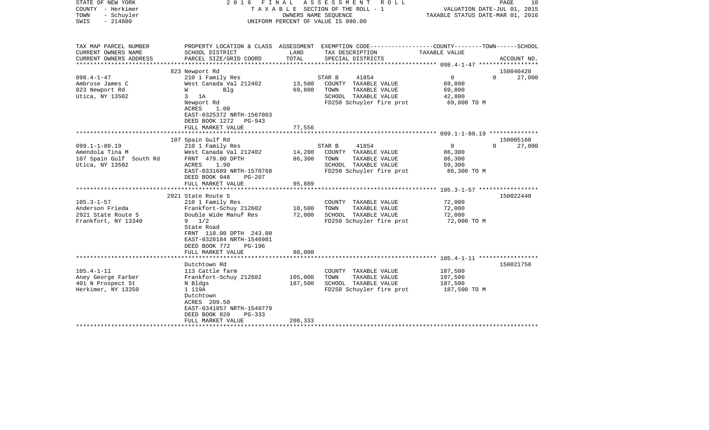| STATE OF NEW YORK<br>COUNTY - Herkimer<br>TOWN<br>- Schuyler<br>$-214800$<br>SWIS    |                                                                                                                                                                                                                              | OWNERS NAME SEQUENCE          | 2016 FINAL ASSESSMENT<br>ROLL<br>T A X A B L E SECTION OF THE ROLL - 1<br>UNIFORM PERCENT OF VALUE IS 090.00         | VALUATION DATE-JUL 01, 2015<br>TAXABLE STATUS DATE-MAR 01, 2016 | PAGE<br>10                      |
|--------------------------------------------------------------------------------------|------------------------------------------------------------------------------------------------------------------------------------------------------------------------------------------------------------------------------|-------------------------------|----------------------------------------------------------------------------------------------------------------------|-----------------------------------------------------------------|---------------------------------|
| TAX MAP PARCEL NUMBER<br>CURRENT OWNERS NAME                                         | SCHOOL DISTRICT                                                                                                                                                                                                              | LAND                          | PROPERTY LOCATION & CLASS ASSESSMENT EXEMPTION CODE---------------COUNTY-------TOWN-----SCHOOL<br>TAX DESCRIPTION    | TAXABLE VALUE                                                   |                                 |
| CURRENT OWNERS ADDRESS                                                               | PARCEL SIZE/GRID COORD                                                                                                                                                                                                       | TOTAL                         | SPECIAL DISTRICTS                                                                                                    |                                                                 | ACCOUNT NO.                     |
|                                                                                      | 823 Newport Rd                                                                                                                                                                                                               |                               |                                                                                                                      |                                                                 | 150040420                       |
| $098.4 - 1 - 47$<br>Ambrose James C<br>823 Newport Rd<br>Utica, NY 13502             | 210 1 Family Res<br>West Canada Val 212402<br><b>W</b><br>Blg<br>$3$ 1A<br>Newport Rd<br>ACRES<br>1.00<br>EAST-0325372 NRTH-1567003<br>DEED BOOK 1272 PG-943                                                                 | 13,500<br>69,800              | 41854<br>STAR B<br>COUNTY TAXABLE VALUE<br>TOWN<br>TAXABLE VALUE<br>SCHOOL TAXABLE VALUE<br>FD250 Schuyler fire prot | $\overline{0}$<br>69,800<br>69,800<br>42,800<br>69,800 TO M     | $\Omega$<br>27,000              |
|                                                                                      | FULL MARKET VALUE                                                                                                                                                                                                            | 77,556                        |                                                                                                                      |                                                                 |                                 |
|                                                                                      |                                                                                                                                                                                                                              |                               |                                                                                                                      |                                                                 |                                 |
| $099.1 - 1 - 80.19$<br>Amendola Tina M<br>107 Spain Gulf South Rd<br>Utica, NY 13502 | 107 Spain Gulf Rd<br>210 1 Family Res<br>West Canada Val 212402<br>FRNT 479.00 DPTH<br>ACRES<br>1.90<br>EAST-0331689 NRTH-1570768<br>DEED BOOK 948<br>$PG-207$<br>FULL MARKET VALUE                                          | 14,200<br>86,300<br>95,889    | STAR B<br>41854<br>COUNTY TAXABLE VALUE<br>TOWN<br>TAXABLE VALUE<br>SCHOOL TAXABLE VALUE<br>FD250 Schuyler fire prot | $\overline{0}$<br>86,300<br>86,300<br>59,300<br>86,300 TO M     | 150005160<br>$\Omega$<br>27,000 |
|                                                                                      |                                                                                                                                                                                                                              |                               |                                                                                                                      |                                                                 |                                 |
| $105.3 - 1 - 57$<br>Anderson Frieda<br>2921 State Route 5<br>Frankfort, NY 13340     | 2921 State Route 5<br>210 1 Family Res<br>Frankfort-Schuy 212602<br>Double Wide Manuf Res<br>$9 \t1/2$<br>State Road<br>FRNT 118.00 DPTH 243.00<br>EAST-0328184 NRTH-1546981<br>DEED BOOK 772<br>PG-196<br>FULL MARKET VALUE | 10,500<br>72,000<br>80,000    | COUNTY TAXABLE VALUE<br>TOWN<br>TAXABLE VALUE<br>SCHOOL TAXABLE VALUE<br>FD250 Schuyler fire prot                    | 72,000<br>72,000<br>72,000<br>72,000 TO M                       | 150022440                       |
|                                                                                      | **********************                                                                                                                                                                                                       |                               |                                                                                                                      |                                                                 |                                 |
| $105.4 - 1 - 11$<br>Aney George Farber<br>401 N Prospect St<br>Herkimer, NY 13350    | Dutchtown Rd<br>113 Cattle farm<br>Frankfort-Schuy 212602<br>N Bldgs<br>1 119A<br>Dutchtown<br>ACRES 209.50<br>EAST-0341057 NRTH-1549779<br>DEED BOOK 820<br>PG-333<br>FULL MARKET VALUE                                     | 105,000<br>187,500<br>208,333 | COUNTY TAXABLE VALUE<br>TOWN<br>TAXABLE VALUE<br>SCHOOL TAXABLE VALUE<br>FD250 Schuyler fire prot                    | 187,500<br>187,500<br>187,500<br>187,500 TO M                   | 150021750                       |
|                                                                                      |                                                                                                                                                                                                                              |                               |                                                                                                                      |                                                                 |                                 |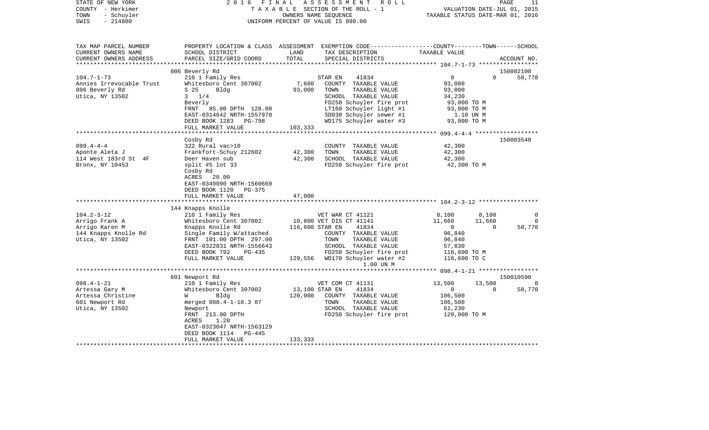| STATE OF NEW YORK<br>COUNTY - Herkimer<br>- Schuyler<br>TOWN<br>$-214800$<br>SWIS | 2 0 1 6<br>FINAL                                                                 | OWNERS NAME SEQUENCE | ASSESSMENT<br>R O L L<br>TAXABLE SECTION OF THE ROLL - 1<br>UNIFORM PERCENT OF VALUE IS 090.00                                          | TAXABLE STATUS DATE-MAR 01, 2016 | PAGE<br>VALUATION DATE-JUL 01, 2015 | 11             |
|-----------------------------------------------------------------------------------|----------------------------------------------------------------------------------|----------------------|-----------------------------------------------------------------------------------------------------------------------------------------|----------------------------------|-------------------------------------|----------------|
| TAX MAP PARCEL NUMBER<br>CURRENT OWNERS NAME<br>CURRENT OWNERS ADDRESS            | SCHOOL DISTRICT<br>PARCEL SIZE/GRID COORD                                        | LAND<br>TOTAL        | PROPERTY LOCATION & CLASS ASSESSMENT EXEMPTION CODE---------------COUNTY-------TOWN------SCHOOL<br>TAX DESCRIPTION<br>SPECIAL DISTRICTS | TAXABLE VALUE                    |                                     | ACCOUNT NO.    |
| ***********************                                                           |                                                                                  |                      |                                                                                                                                         |                                  |                                     |                |
|                                                                                   | 806 Beverly Rd                                                                   |                      |                                                                                                                                         |                                  |                                     | 150002100      |
| $104.7 - 1 - 73$                                                                  | 210 1 Family Res                                                                 |                      | 41834<br>STAR EN                                                                                                                        | $\overline{0}$                   | $\Omega$                            | 58,770         |
| Annies Irrevocable Trust                                                          | Whitesboro Cent 307002                                                           | 7,600                | COUNTY TAXABLE VALUE                                                                                                                    | 93,000                           |                                     |                |
| 806 Beverly Rd                                                                    | Bldg<br>S 25                                                                     | 93,000               | TAXABLE VALUE<br>TOWN                                                                                                                   | 93,000                           |                                     |                |
| Utica, NY 13502                                                                   | $3 \t1/4$                                                                        |                      | SCHOOL TAXABLE VALUE                                                                                                                    | 34,230                           |                                     |                |
|                                                                                   | Beverly<br>85.00 DPTH 128.00<br>FRNT                                             |                      | FD250 Schuyler fire prot                                                                                                                | 93,000 TO M                      |                                     |                |
|                                                                                   | EAST-0314642 NRTH-1557978                                                        |                      | LT160 Schuyler light #1<br>SD030 Schuyler sewer #1                                                                                      | 93,000 TO M<br>1.10 UN M         |                                     |                |
|                                                                                   | DEED BOOK 1283 PG-798                                                            |                      | WD175 Schuyler water #3                                                                                                                 | 93,000 TO M                      |                                     |                |
|                                                                                   | FULL MARKET VALUE                                                                | 103,333              |                                                                                                                                         |                                  |                                     |                |
|                                                                                   |                                                                                  |                      |                                                                                                                                         |                                  |                                     |                |
|                                                                                   | Cosby Rd                                                                         |                      |                                                                                                                                         |                                  |                                     | 150003540      |
| $099.4 - 4 - 4$                                                                   | 322 Rural vac>10                                                                 |                      | COUNTY TAXABLE VALUE                                                                                                                    | 42,300                           |                                     |                |
| Aponte Aleta J                                                                    | Frankfort-Schuy 212602                                                           | 42,300               | TAXABLE VALUE<br>TOWN                                                                                                                   | 42,300                           |                                     |                |
| 114 West 183rd St 4F                                                              | Deer Haven sub                                                                   | 42,300               | SCHOOL TAXABLE VALUE                                                                                                                    | 42,300                           |                                     |                |
| Bronx, NY 10453                                                                   | split #5 lot $33$                                                                |                      | FD250 Schuyler fire prot                                                                                                                | 42,300 TO M                      |                                     |                |
|                                                                                   | Cosby Rd<br>ACRES<br>20.00<br>EAST-0349090 NRTH-1560669<br>DEED BOOK 1120 PG-375 |                      |                                                                                                                                         |                                  |                                     |                |
|                                                                                   | FULL MARKET VALUE                                                                | 47,000               |                                                                                                                                         |                                  |                                     |                |
|                                                                                   |                                                                                  |                      |                                                                                                                                         |                                  |                                     |                |
| $104.2 - 3 - 12$                                                                  | 144 Knapps Knolle<br>210 1 Family Res                                            |                      | VET WAR CT 41121                                                                                                                        | 8,100                            | 8,100                               | $\Omega$       |
| Arrigo Frank A                                                                    | Whitesboro Cent 307002                                                           |                      | 10,800 VET DIS CT 41141                                                                                                                 | 11,660                           | 11,660                              | $\overline{0}$ |
| Arrigo Karen M                                                                    | Knapps Knolle Rd                                                                 | 116,600 STAR EN      | 41834                                                                                                                                   | $\overline{0}$                   | $\Omega$                            | 58,770         |
| 144 Knapps Knolle Rd                                                              | Single Family W/attached                                                         |                      | COUNTY TAXABLE VALUE                                                                                                                    | 96,840                           |                                     |                |
| Utica, NY 13502                                                                   | FRNT 101.00 DPTH 297.00                                                          |                      | TOWN<br>TAXABLE VALUE                                                                                                                   | 96,840                           |                                     |                |
|                                                                                   | EAST-0322831 NRTH-1556643                                                        |                      | SCHOOL TAXABLE VALUE                                                                                                                    | 57,830                           |                                     |                |
|                                                                                   | DEED BOOK 792<br>PG-435                                                          |                      | FD250 Schuyler fire prot                                                                                                                | 116,600 TO M                     |                                     |                |
|                                                                                   | FULL MARKET VALUE                                                                |                      | 129,556 WD170 Schuyler water #2<br>1.00 UN M                                                                                            | 116,600 TO C                     |                                     |                |
|                                                                                   |                                                                                  |                      |                                                                                                                                         |                                  |                                     |                |
|                                                                                   | 601 Newport Rd                                                                   |                      |                                                                                                                                         |                                  |                                     | 150010590      |
| $098.4 - 1 - 21$                                                                  | 210 1 Family Res                                                                 |                      | VET COM CT 41131                                                                                                                        | 13,500                           | 13,500                              | $\Omega$       |
| Artessa Gary M                                                                    | Whitesboro Cent 307002                                                           | 13,100 STAR EN       | 41834                                                                                                                                   | $\overline{0}$                   | $\Omega$                            | 58,770         |
| Artessa Christine                                                                 | Bldg<br>W                                                                        | 120,000              | COUNTY TAXABLE VALUE                                                                                                                    | 106,500                          |                                     |                |
| 601 Newport Rd                                                                    | merged 098.4-1-18.3 07                                                           |                      | TAXABLE VALUE<br>TOWN                                                                                                                   | 106,500                          |                                     |                |
| Utica, NY 13502                                                                   | Newport<br>FRNT 213.00 DPTH                                                      |                      | SCHOOL TAXABLE VALUE<br>FD250 Schuyler fire prot                                                                                        | 61,230<br>120,000 TO M           |                                     |                |
|                                                                                   | ACRES<br>1.20                                                                    |                      |                                                                                                                                         |                                  |                                     |                |
|                                                                                   | EAST-0323047 NRTH-1563129                                                        |                      |                                                                                                                                         |                                  |                                     |                |
|                                                                                   | PG-445<br>DEED BOOK 1114                                                         |                      |                                                                                                                                         |                                  |                                     |                |
|                                                                                   | FULL MARKET VALUE                                                                | 133,333              |                                                                                                                                         |                                  |                                     |                |
| ***********************                                                           |                                                                                  |                      |                                                                                                                                         |                                  |                                     |                |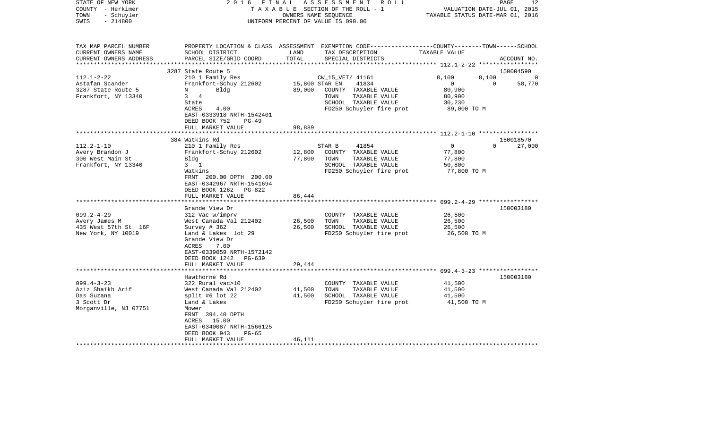| STATE OF NEW YORK<br>COUNTY - Herkimer<br>- Schuyler<br>TOWN<br>$-214800$<br>SWIS | 2016 FINAL                                         |               | ASSESSMENT ROLL<br>TAXABLE SECTION OF THE ROLL - 1<br>OWNERS NAME SEQUENCE<br>UNIFORM PERCENT OF VALUE IS 090.00                        | VALUATION DATE-JUL 01, 2015<br>TAXABLE STATUS DATE-MAR 01, 2016 | 12<br>PAGE         |
|-----------------------------------------------------------------------------------|----------------------------------------------------|---------------|-----------------------------------------------------------------------------------------------------------------------------------------|-----------------------------------------------------------------|--------------------|
| TAX MAP PARCEL NUMBER<br>CURRENT OWNERS NAME<br>CURRENT OWNERS ADDRESS            | SCHOOL DISTRICT<br>PARCEL SIZE/GRID COORD          | LAND<br>TOTAL | PROPERTY LOCATION & CLASS ASSESSMENT EXEMPTION CODE---------------COUNTY-------TOWN------SCHOOL<br>TAX DESCRIPTION<br>SPECIAL DISTRICTS | TAXABLE VALUE                                                   | ACCOUNT NO.        |
|                                                                                   | 3287 State Route 5                                 |               |                                                                                                                                         |                                                                 | 150004590          |
| $112.1 - 2 - 22$                                                                  | 210 1 Family Res                                   |               | CW_15_VET/ 41161                                                                                                                        | 8,100<br>8,100                                                  | - 0                |
| Astafan Scander                                                                   | Frankfort-Schuy 212602                             |               | 15,800 STAR EN<br>41834                                                                                                                 | $\mathbf{0}$<br>$\Omega$                                        | 58,770             |
| 3287 State Route 5                                                                | Bldg<br>N                                          | 89,000        | COUNTY TAXABLE VALUE                                                                                                                    | 80,900                                                          |                    |
| Frankfort, NY 13340                                                               | 3 4                                                |               | TOWN<br>TAXABLE VALUE                                                                                                                   | 80,900                                                          |                    |
|                                                                                   | State<br>ACRES<br>4.00                             |               | SCHOOL TAXABLE VALUE<br>FD250 Schuyler fire prot                                                                                        | 30,230<br>89,000 TO M                                           |                    |
|                                                                                   | EAST-0333918 NRTH-1542401                          |               |                                                                                                                                         |                                                                 |                    |
|                                                                                   | DEED BOOK 752<br>$PG-49$                           |               |                                                                                                                                         |                                                                 |                    |
|                                                                                   | FULL MARKET VALUE                                  | 98,889        |                                                                                                                                         |                                                                 |                    |
|                                                                                   | *********************                              |               |                                                                                                                                         |                                                                 |                    |
|                                                                                   | 384 Watkins Rd                                     |               |                                                                                                                                         |                                                                 | 150018570          |
| $112.2 - 1 - 10$<br>Avery Brandon J                                               | 210 1 Family Res<br>Frankfort-Schuy 212602         | 12,800        | STAR B<br>41854<br>COUNTY TAXABLE VALUE                                                                                                 | $\overline{0}$<br>77,800                                        | $\Omega$<br>27,000 |
| 300 West Main St                                                                  | Blda                                               | 77,800        | TOWN<br>TAXABLE VALUE                                                                                                                   | 77,800                                                          |                    |
| Frankfort, NY 13340                                                               | $3 \quad 1$                                        |               | SCHOOL TAXABLE VALUE                                                                                                                    | 50,800                                                          |                    |
|                                                                                   | Watkins                                            |               | FD250 Schuyler fire prot                                                                                                                | 77,800 TO M                                                     |                    |
|                                                                                   | FRNT 200.00 DPTH 200.00                            |               |                                                                                                                                         |                                                                 |                    |
|                                                                                   | EAST-0342967 NRTH-1541694<br>DEED BOOK 1262 PG-822 |               |                                                                                                                                         |                                                                 |                    |
|                                                                                   | FULL MARKET VALUE                                  | 86,444        |                                                                                                                                         |                                                                 |                    |
|                                                                                   | ************************                           |               |                                                                                                                                         |                                                                 |                    |
|                                                                                   | Grande View Dr                                     |               |                                                                                                                                         |                                                                 | 150003180          |
| $099.2 - 4 - 29$                                                                  | 312 Vac w/imprv                                    |               | COUNTY TAXABLE VALUE                                                                                                                    | 26,500                                                          |                    |
| Avery James M                                                                     | West Canada Val 212402                             | 26,500        | TOWN<br>TAXABLE VALUE                                                                                                                   | 26,500                                                          |                    |
| 435 West 57th St 16F                                                              | Survey # 362                                       | 26,500        | SCHOOL TAXABLE VALUE                                                                                                                    | 26,500                                                          |                    |
| New York, NY 10019                                                                | Land & Lakes lot 29<br>Grande View Dr              |               | FD250 Schuyler fire prot                                                                                                                | 26,500 TO M                                                     |                    |
|                                                                                   | ACRES<br>7.00                                      |               |                                                                                                                                         |                                                                 |                    |
|                                                                                   | EAST-0339059 NRTH-1572142                          |               |                                                                                                                                         |                                                                 |                    |
|                                                                                   | $PG-639$<br>DEED BOOK 1242                         |               |                                                                                                                                         |                                                                 |                    |
|                                                                                   | FULL MARKET VALUE                                  | 29,444        |                                                                                                                                         |                                                                 |                    |
|                                                                                   | Hawthorne Rd                                       |               |                                                                                                                                         |                                                                 |                    |
| $099.4 - 3 - 23$                                                                  | 322 Rural vac>10                                   |               | COUNTY TAXABLE VALUE                                                                                                                    | 41,500                                                          | 150003180          |
| Aziz Shaikh Arif                                                                  | West Canada Val 212402                             | 41,500        | TOWN<br>TAXABLE VALUE                                                                                                                   | 41,500                                                          |                    |
| Das Suzana                                                                        | split #6 lot $22$                                  | 41,500        | SCHOOL TAXABLE VALUE                                                                                                                    | 41,500                                                          |                    |
| 3 Scott Dr                                                                        | Land & Lakes                                       |               | FD250 Schuyler fire prot                                                                                                                | 41,500 TO M                                                     |                    |
| Morganville, NJ 07751                                                             | Mower                                              |               |                                                                                                                                         |                                                                 |                    |
|                                                                                   | FRNT 394.40 DPTH                                   |               |                                                                                                                                         |                                                                 |                    |
|                                                                                   | ACRES 15.00<br>EAST-0340087 NRTH-1566125           |               |                                                                                                                                         |                                                                 |                    |
|                                                                                   | DEED BOOK 943<br>$PG-65$                           |               |                                                                                                                                         |                                                                 |                    |
|                                                                                   | FULL MARKET VALUE                                  | 46,111        |                                                                                                                                         |                                                                 |                    |
|                                                                                   |                                                    |               |                                                                                                                                         |                                                                 |                    |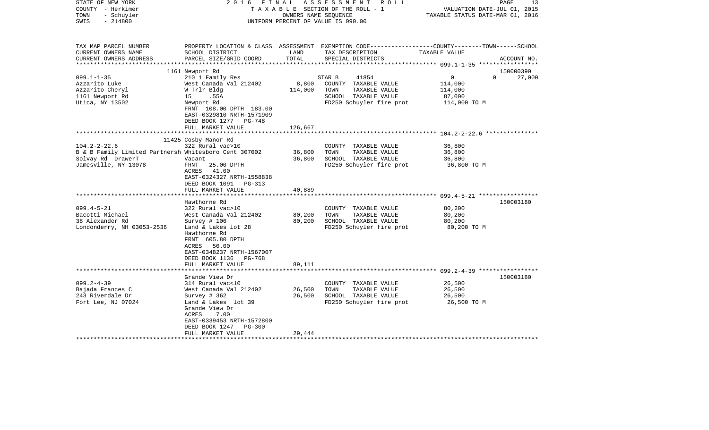| STATE OF NEW YORK<br>COUNTY - Herkimer<br>- Schuyler<br>TOWN<br>$-214800$<br>SWIS                 | 2016 FINAL                                                                                                                      | OWNERS NAME SEQUENCE | ASSESSMENT ROLL<br>TAXABLE SECTION OF THE ROLL - 1<br>UNIFORM PERCENT OF VALUE IS 090.00                                                | VALUATION DATE-JUL 01, 2015<br>TAXABLE STATUS DATE-MAR 01, 2016 | 13<br>PAGE  |
|---------------------------------------------------------------------------------------------------|---------------------------------------------------------------------------------------------------------------------------------|----------------------|-----------------------------------------------------------------------------------------------------------------------------------------|-----------------------------------------------------------------|-------------|
| TAX MAP PARCEL NUMBER<br>CURRENT OWNERS NAME<br>CURRENT OWNERS ADDRESS<br>*********************** | SCHOOL DISTRICT<br>PARCEL SIZE/GRID COORD                                                                                       | LAND<br>TOTAL        | PROPERTY LOCATION & CLASS ASSESSMENT EXEMPTION CODE---------------COUNTY-------TOWN------SCHOOL<br>TAX DESCRIPTION<br>SPECIAL DISTRICTS | TAXABLE VALUE                                                   | ACCOUNT NO. |
|                                                                                                   | 1161 Newport Rd                                                                                                                 |                      |                                                                                                                                         |                                                                 | 150000390   |
| $099.1 - 1 - 35$                                                                                  | 210 1 Family Res                                                                                                                |                      | STAR B<br>41854                                                                                                                         | $\overline{0}$<br>$\Omega$                                      | 27,000      |
| Azzarito Luke                                                                                     | West Canada Val 212402                                                                                                          | 8,800                | COUNTY TAXABLE VALUE                                                                                                                    | 114,000                                                         |             |
| Azzarito Cheryl                                                                                   | W Trlr Bldg                                                                                                                     | 114,000              | TOWN<br>TAXABLE VALUE                                                                                                                   | 114,000                                                         |             |
| 1161 Newport Rd                                                                                   | 15 .55A                                                                                                                         |                      | SCHOOL TAXABLE VALUE                                                                                                                    | 87,000                                                          |             |
| Utica, NY 13502                                                                                   | Newport Rd<br>FRNT 108.00 DPTH 183.00<br>EAST-0329810 NRTH-1571909<br>DEED BOOK 1277<br>$PG-748$<br>FULL MARKET VALUE           | 126,667              | FD250 Schuyler fire prot                                                                                                                | 114,000 TO M                                                    |             |
|                                                                                                   |                                                                                                                                 | * * * * * * * * * *  |                                                                                                                                         |                                                                 |             |
|                                                                                                   | 11425 Cosby Manor Rd                                                                                                            |                      |                                                                                                                                         |                                                                 |             |
| $104.2 - 2 - 22.6$                                                                                | 322 Rural vac>10                                                                                                                |                      | COUNTY TAXABLE VALUE                                                                                                                    | 36,800                                                          |             |
| B & B Family Limited Partnersh Whitesboro Cent 307002                                             |                                                                                                                                 | 36,800               | TOWN<br>TAXABLE VALUE                                                                                                                   | 36,800                                                          |             |
| Solvay Rd DrawerT                                                                                 | Vacant                                                                                                                          | 36,800               | SCHOOL TAXABLE VALUE                                                                                                                    | 36,800                                                          |             |
| Jamesville, NY 13078                                                                              | FRNT<br>25.00 DPTH<br>ACRES<br>41.00<br>EAST-0324327 NRTH-1558838<br>DEED BOOK 1091 PG-313<br>FULL MARKET VALUE                 | 40,889               | FD250 Schuyler fire prot                                                                                                                | 36,800 TO M                                                     |             |
|                                                                                                   |                                                                                                                                 |                      |                                                                                                                                         |                                                                 |             |
|                                                                                                   | Hawthorne Rd                                                                                                                    |                      |                                                                                                                                         |                                                                 | 150003180   |
| $099.4 - 5 - 21$                                                                                  | 322 Rural vac>10                                                                                                                |                      | COUNTY TAXABLE VALUE                                                                                                                    | 80,200                                                          |             |
| Bacotti Michael                                                                                   | West Canada Val 212402                                                                                                          | 80,200               | TAXABLE VALUE<br>TOWN                                                                                                                   | 80,200                                                          |             |
| 38 Alexander Rd                                                                                   | Survey $# 106$                                                                                                                  | 80,200               | SCHOOL TAXABLE VALUE                                                                                                                    | 80,200                                                          |             |
| Londonderry, NH 03053-2536                                                                        | Land & Lakes lot 28<br>Hawthorne Rd<br>FRNT 605.80 DPTH<br>ACRES 50.00<br>EAST-0348237 NRTH-1567007<br>DEED BOOK 1136<br>PG-768 |                      | FD250 Schuyler fire prot                                                                                                                | 80,200 TO M                                                     |             |
|                                                                                                   | FULL MARKET VALUE                                                                                                               | 89,111               |                                                                                                                                         |                                                                 |             |
|                                                                                                   |                                                                                                                                 |                      |                                                                                                                                         |                                                                 |             |
| $099.2 - 4 - 39$                                                                                  | Grande View Dr<br>314 Rural vac<10                                                                                              |                      | COUNTY TAXABLE VALUE                                                                                                                    | 26,500                                                          | 150003180   |
| Bajada Frances C                                                                                  | West Canada Val 212402                                                                                                          | 26,500               | TOWN<br>TAXABLE VALUE                                                                                                                   | 26,500                                                          |             |
| 243 Riverdale Dr                                                                                  | Survey $# 362$                                                                                                                  | 26,500               | SCHOOL TAXABLE VALUE                                                                                                                    | 26,500                                                          |             |
| Fort Lee, NJ 07024                                                                                | Land & Lakes lot 39<br>Grande View Dr<br>ACRES<br>7.00<br>EAST-0339453 NRTH-1572800<br>DEED BOOK 1247<br><b>PG-300</b>          |                      | FD250 Schuyler fire prot                                                                                                                | 26,500 TO M                                                     |             |
|                                                                                                   | FULL MARKET VALUE                                                                                                               | 29,444               |                                                                                                                                         |                                                                 |             |
| *******************                                                                               | ********************                                                                                                            |                      |                                                                                                                                         |                                                                 |             |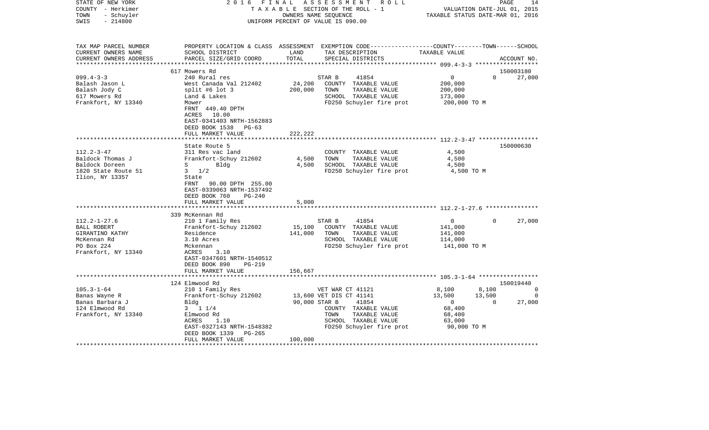| STATE OF NEW YORK<br>COUNTY - Herkimer<br>- Schuyler<br>TOWN<br>SWIS<br>$-214800$                               | 2016                                                                                                                                                                                       | FINAL<br>OWNERS NAME SEQUENCE | ASSESSMENT<br>R O L L<br>TAXABLE SECTION OF THE ROLL - 1<br>UNIFORM PERCENT OF VALUE IS 090.00                                                            | VALUATION DATE-JUL 01, 2015<br>TAXABLE STATUS DATE-MAR 01, 2016                                   | PAGE<br>14                                |
|-----------------------------------------------------------------------------------------------------------------|--------------------------------------------------------------------------------------------------------------------------------------------------------------------------------------------|-------------------------------|-----------------------------------------------------------------------------------------------------------------------------------------------------------|---------------------------------------------------------------------------------------------------|-------------------------------------------|
| TAX MAP PARCEL NUMBER<br>CURRENT OWNERS NAME<br>CURRENT OWNERS ADDRESS                                          | SCHOOL DISTRICT<br>PARCEL SIZE/GRID COORD                                                                                                                                                  | LAND<br>TOTAL                 | PROPERTY LOCATION & CLASS ASSESSMENT EXEMPTION CODE---------------COUNTY-------TOWN------SCHOOL<br>TAX DESCRIPTION<br>SPECIAL DISTRICTS                   | TAXABLE VALUE                                                                                     | ACCOUNT NO.                               |
|                                                                                                                 | 617 Mowers Rd                                                                                                                                                                              |                               |                                                                                                                                                           |                                                                                                   | 150003180                                 |
| $099.4 - 3 - 3$                                                                                                 | 240 Rural res                                                                                                                                                                              |                               | 41854<br>STAR B                                                                                                                                           | $\overline{0}$                                                                                    | $\Omega$<br>27,000                        |
| Balash Jason L<br>Balash Jody C<br>617 Mowers Rd<br>Frankfort, NY 13340                                         | West Canada Val 212402<br>split #6 lot $3$<br>Land & Lakes<br>Mower<br>FRNT 449.40 DPTH                                                                                                    | 24,200<br>200,000             | COUNTY TAXABLE VALUE<br>TOWN<br>TAXABLE VALUE<br>SCHOOL TAXABLE VALUE<br>FD250 Schuyler fire prot                                                         | 200,000<br>200,000<br>173,000<br>200,000 TO M                                                     |                                           |
|                                                                                                                 | 10.00<br>ACRES<br>EAST-0341403 NRTH-1562883<br>DEED BOOK 1538<br>$PG-63$<br>FULL MARKET VALUE                                                                                              | 222,222                       |                                                                                                                                                           |                                                                                                   |                                           |
|                                                                                                                 | State Route 5                                                                                                                                                                              |                               |                                                                                                                                                           |                                                                                                   | 150000630                                 |
| $112.2 - 3 - 47$<br>Baldock Thomas J<br>Baldock Doreen<br>1820 State Route 51<br>Ilion, NY 13357                | 311 Res vac land<br>Frankfort-Schuy 212602<br>$S \qquad \qquad$<br>Bldg<br>$3 \frac{1}{2}$<br>State<br>90.00 DPTH 255.00<br>FRNT<br>EAST-0339063 NRTH-1537492<br>DEED BOOK 760<br>$PG-240$ | 4,500<br>4,500                | COUNTY TAXABLE VALUE<br>TAXABLE VALUE<br>TOWN<br>SCHOOL TAXABLE VALUE<br>FD250 Schuyler fire prot                                                         | 4,500<br>4,500<br>4,500<br>4,500 TO M                                                             |                                           |
|                                                                                                                 | FULL MARKET VALUE                                                                                                                                                                          | 5,000                         |                                                                                                                                                           |                                                                                                   |                                           |
|                                                                                                                 | 339 McKennan Rd                                                                                                                                                                            |                               |                                                                                                                                                           |                                                                                                   |                                           |
| $112.2 - 1 - 27.6$<br><b>BALL ROBERT</b><br>GIRANTINO KATHY<br>McKennan Rd<br>PO Box 224<br>Frankfort, NY 13340 | 210 1 Family Res<br>Frankfort-Schuy 212602<br>Residence<br>3.10 Acres<br>Mckennan<br>ACRES<br>3.10<br>EAST-0347601 NRTH-1540512<br>DEED BOOK 890<br>$PG-219$                               | 15,100<br>141,000             | STAR B<br>41854<br>COUNTY TAXABLE VALUE<br>TOWN<br>TAXABLE VALUE<br>SCHOOL TAXABLE VALUE<br>FD250 Schuyler fire prot                                      | $\overline{0}$<br>141,000<br>141,000<br>114,000<br>141,000 TO M                                   | $\Omega$<br>27,000                        |
|                                                                                                                 | FULL MARKET VALUE                                                                                                                                                                          | 156,667                       |                                                                                                                                                           |                                                                                                   |                                           |
|                                                                                                                 | 124 Elmwood Rd                                                                                                                                                                             |                               |                                                                                                                                                           |                                                                                                   | 150019440                                 |
| $105.3 - 1 - 64$<br>Banas Wayne R<br>Banas Barbara J<br>124 Elmwood Rd<br>Frankfort, NY 13340                   | 210 1 Family Res<br>Frankfort-Schuy 212602<br>Bldg<br>$3 \t1 \t1/4$<br>Elmwood Rd<br>1.10<br>ACRES<br>EAST-0327143 NRTH-1548382<br>DEED BOOK 1339<br>PG-265<br>FULL MARKET VALUE           | 90,000 STAR B<br>100,000      | VET WAR CT 41121<br>13,600 VET DIS CT 41141<br>41854<br>COUNTY TAXABLE VALUE<br>TOWN<br>TAXABLE VALUE<br>SCHOOL TAXABLE VALUE<br>FD250 Schuyler fire prot | 8,100<br>8,100<br>13,500<br>13,500<br>$\overline{0}$<br>68,400<br>68,400<br>63,000<br>90,000 TO M | $\Omega$<br>$\circ$<br>27,000<br>$\Omega$ |
|                                                                                                                 |                                                                                                                                                                                            |                               |                                                                                                                                                           |                                                                                                   |                                           |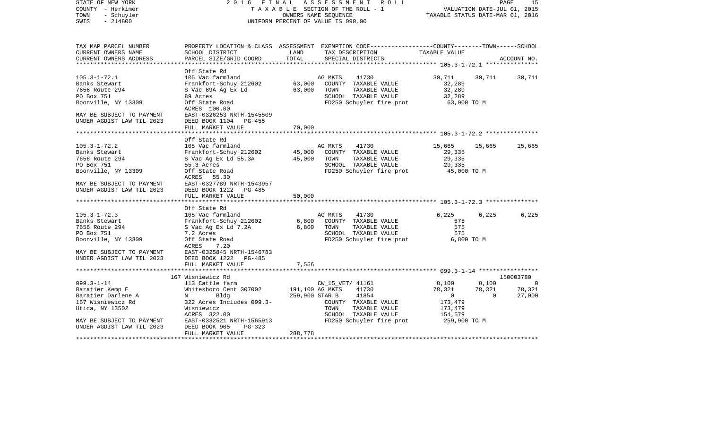| STATE OF NEW YORK<br>COUNTY - Herkimer<br>- Schuyler<br>TOWN<br>$-214800$<br>SWIS | 2016 FINAL                                                        |         | A S S E S S M E N T R O L L<br>TAXABLE SECTION OF THE ROLL - 1<br>OWNERS NAME SEQUENCE<br>UNIFORM PERCENT OF VALUE IS 090.00     | VALUATION DATE-JUL 01, 2015<br>TAXABLE STATUS DATE-MAR 01, 2016 |                | 15<br>PAGE  |
|-----------------------------------------------------------------------------------|-------------------------------------------------------------------|---------|----------------------------------------------------------------------------------------------------------------------------------|-----------------------------------------------------------------|----------------|-------------|
| TAX MAP PARCEL NUMBER<br>CURRENT OWNERS NAME                                      | SCHOOL DISTRICT                                                   | LAND    | PROPERTY LOCATION & CLASS ASSESSMENT EXEMPTION CODE----------------COUNTY-------TOWN-----SCHOOL<br>TAX DESCRIPTION TAXABLE VALUE |                                                                 |                |             |
| CURRENT OWNERS ADDRESS<br>************************                                | PARCEL SIZE/GRID COORD                                            | TOTAL   | SPECIAL DISTRICTS                                                                                                                |                                                                 |                | ACCOUNT NO. |
|                                                                                   | Off State Rd                                                      |         |                                                                                                                                  |                                                                 |                |             |
| $105.3 - 1 - 72.1$                                                                | 105 Vac farmland                                                  |         | AG MKTS<br>41730                                                                                                                 | 30,711                                                          | 30,711         | 30,711      |
| Banks Stewart                                                                     | Frankfort-Schuy 212602                                            | 63,000  | COUNTY TAXABLE VALUE                                                                                                             | 32,289                                                          |                |             |
| 7656 Route 294                                                                    | S Vac 89A Ag Ex Ld                                                | 63,000  | TOWN<br>TAXABLE VALUE                                                                                                            | 32,289                                                          |                |             |
| PO Box 751                                                                        | 89 Acres                                                          |         | SCHOOL TAXABLE VALUE                                                                                                             | 32,289                                                          |                |             |
| Boonville, NY 13309                                                               | Off State Road<br>ACRES 100.00                                    |         | FD250 Schuyler fire prot                                                                                                         | $63,000$ TO M                                                   |                |             |
| MAY BE SUBJECT TO PAYMENT                                                         | EAST-0326253 NRTH-1545509                                         |         |                                                                                                                                  |                                                                 |                |             |
| UNDER AGDIST LAW TIL 2023                                                         | DEED BOOK 1104 PG-455                                             |         |                                                                                                                                  |                                                                 |                |             |
|                                                                                   | FULL MARKET VALUE                                                 | 70,000  |                                                                                                                                  |                                                                 |                |             |
|                                                                                   |                                                                   |         |                                                                                                                                  |                                                                 |                |             |
|                                                                                   | Off State Rd                                                      |         |                                                                                                                                  |                                                                 |                |             |
| $105.3 - 1 - 72.2$<br>Banks Stewart                                               | 105 Vac farmland<br>Frankfort-Schuy 212602                        |         | AG MKTS<br>41730<br>45,000 COUNTY TAXABLE VALUE                                                                                  | 15,665<br>29,335                                                | 15,665         | 15,665      |
| 7656 Route 294                                                                    | S Vac Ag Ex Ld 55.3A                                              | 45,000  | TAXABLE VALUE<br>TOWN                                                                                                            | 29,335                                                          |                |             |
| PO Box 751                                                                        | 55.3 Acres                                                        |         | SCHOOL TAXABLE VALUE                                                                                                             | 29,335                                                          |                |             |
| Boonville, NY 13309                                                               | Off State Road                                                    |         | FD250 Schuyler fire prot                                                                                                         | 45,000 TO M                                                     |                |             |
|                                                                                   | ACRES 55.30                                                       |         |                                                                                                                                  |                                                                 |                |             |
| MAY BE SUBJECT TO PAYMENT                                                         | EAST-0327789 NRTH-1543957                                         |         |                                                                                                                                  |                                                                 |                |             |
| UNDER AGDIST LAW TIL 2023                                                         | DEED BOOK 1222 PG-485                                             |         |                                                                                                                                  |                                                                 |                |             |
|                                                                                   | FULL MARKET VALUE                                                 | 50,000  |                                                                                                                                  |                                                                 |                |             |
|                                                                                   |                                                                   |         |                                                                                                                                  |                                                                 |                |             |
|                                                                                   | Off State Rd                                                      |         |                                                                                                                                  |                                                                 |                |             |
| $105.3 - 1 - 72.3$                                                                | 105 Vac farmland                                                  |         | 41730<br>AG MKTS                                                                                                                 | 6,225                                                           | 6,225          | 6,225       |
| Banks Stewart                                                                     | 105 vac Iarmiand<br>Frankfort-Schuy 212602<br>S Vac Ag Ex Ld 7.2A | 6,800   | COUNTY TAXABLE VALUE                                                                                                             | 575                                                             |                |             |
| 7656 Route 294                                                                    |                                                                   | 6,800   | TOWN<br>TAXABLE VALUE                                                                                                            | 575                                                             |                |             |
| PO Box 751                                                                        | 7.2 Acres                                                         |         | SCHOOL TAXABLE VALUE                                                                                                             | 575                                                             |                |             |
| Boonville, NY 13309                                                               | Off State Road<br>ACRES<br>7.20                                   |         | FD250 Schuyler fire prot                                                                                                         | 6,800 TO M                                                      |                |             |
| MAY BE SUBJECT TO PAYMENT EAST-0325845 NRTH-1546783                               |                                                                   |         |                                                                                                                                  |                                                                 |                |             |
| UNDER AGDIST LAW TIL 2023                                                         | DEED BOOK 1222 PG-485                                             |         |                                                                                                                                  |                                                                 |                |             |
|                                                                                   | FULL MARKET VALUE                                                 | 7,556   |                                                                                                                                  |                                                                 |                |             |
|                                                                                   |                                                                   |         |                                                                                                                                  |                                                                 |                |             |
|                                                                                   | 167 Wisniewicz Rd                                                 |         |                                                                                                                                  |                                                                 |                | 150003780   |
| $099.3 - 1 - 14$                                                                  | 113 Cattle farm                                                   |         | CW_15_VET/ 41161                                                                                                                 | 8,100                                                           | 8,100          | $\sim$ 0    |
| Baratier Kemp E                                                                   | Whitesboro Cent 307002                                            |         | 191,100 AG MKTS 41730                                                                                                            | 78,321                                                          | 78,321         | 78,321      |
| Baratier Darlene A                                                                | $N$ and $N$<br>Bldg                                               |         | 41854<br>259,900 STAR B                                                                                                          | $\overline{0}$                                                  | $\overline{0}$ | 27,000      |
| 167 Wisniewicz Rd                                                                 | 322 Acres Includes 099.3-                                         |         | COUNTY TAXABLE VALUE                                                                                                             | 173,479                                                         |                |             |
| Utica, NY 13502                                                                   | Wisniewicz                                                        |         | TOWN<br>TAXABLE VALUE                                                                                                            | 173,479                                                         |                |             |
|                                                                                   | ACRES 322.00                                                      |         | SCHOOL TAXABLE VALUE                                                                                                             | 154,579                                                         |                |             |
| MAY BE SUBJECT TO PAYMENT                                                         | EAST-0332521 NRTH-1565913                                         |         | FD250 Schuyler fire prot                                                                                                         | 259,900 TO M                                                    |                |             |
| UNDER AGDIST LAW TIL 2023                                                         | DEED BOOK 905<br>$PG-323$                                         |         |                                                                                                                                  |                                                                 |                |             |
|                                                                                   | FULL MARKET VALUE                                                 | 288,778 |                                                                                                                                  |                                                                 |                |             |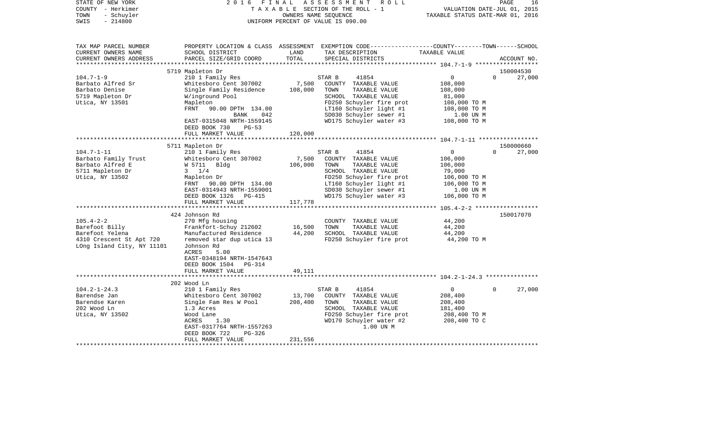| STATE OF NEW YORK<br>COUNTY - Herkimer<br>- Schuyler<br>TOWN<br>SWIS<br>$-214800$                 | 2 0 1 6                                               | FINAL             | ASSESSMENT ROLL<br>T A X A B L E SECTION OF THE ROLL - 1<br>OWNERS NAME SEQUENCE<br>UNIFORM PERCENT OF VALUE IS 090.00                   | VALUATION DATE-JUL 01, 2015<br>TAXABLE STATUS DATE-MAR 01, 2016 | PAGE<br>16         |
|---------------------------------------------------------------------------------------------------|-------------------------------------------------------|-------------------|------------------------------------------------------------------------------------------------------------------------------------------|-----------------------------------------------------------------|--------------------|
| TAX MAP PARCEL NUMBER<br>CURRENT OWNERS NAME<br>CURRENT OWNERS ADDRESS<br>*********************** | SCHOOL DISTRICT<br>PARCEL SIZE/GRID COORD             | LAND<br>TOTAL     | PROPERTY LOCATION & CLASS ASSESSMENT EXEMPTION CODE----------------COUNTY-------TOWN------SCHOOL<br>TAX DESCRIPTION<br>SPECIAL DISTRICTS | TAXABLE VALUE                                                   | ACCOUNT NO.        |
|                                                                                                   | 5719 Mapleton Dr                                      |                   |                                                                                                                                          |                                                                 | 150004530          |
| $104.7 - 1 - 9$                                                                                   | 210 1 Family Res                                      |                   | STAR B<br>41854                                                                                                                          | 0                                                               | $\Omega$<br>27,000 |
| Barbato Alfred Sr                                                                                 | Whitesboro Cent 307002                                | 7,500             | COUNTY TAXABLE VALUE                                                                                                                     | 108,000                                                         |                    |
| Barbato Denise                                                                                    | Single Family Residence                               | 108,000           | TOWN<br>TAXABLE VALUE                                                                                                                    | 108,000                                                         |                    |
| 5719 Mapleton Dr                                                                                  | W/inground Pool                                       |                   | SCHOOL TAXABLE VALUE                                                                                                                     | 81,000                                                          |                    |
| Utica, NY 13501                                                                                   | Mapleton                                              |                   | FD250 Schuyler fire prot                                                                                                                 | 108,000 TO M                                                    |                    |
|                                                                                                   | FRNT<br>90.00 DPTH 134.00                             |                   | LT160 Schuyler light #1                                                                                                                  | 108,000 TO M                                                    |                    |
|                                                                                                   | BANK<br>042                                           |                   | SD030 Schuyler sewer #1                                                                                                                  | 1.00 UN M                                                       |                    |
|                                                                                                   | EAST-0315048 NRTH-1559145<br>DEED BOOK 730<br>$PG-53$ |                   | WD175 Schuyler water #3                                                                                                                  | 108,000 TO M                                                    |                    |
|                                                                                                   | FULL MARKET VALUE                                     | 120,000           |                                                                                                                                          |                                                                 |                    |
|                                                                                                   | 5711 Mapleton Dr                                      |                   |                                                                                                                                          |                                                                 | 150000660          |
| $104.7 - 1 - 11$                                                                                  | 210 1 Family Res                                      |                   | STAR B<br>41854                                                                                                                          | $\mathbf 0$                                                     | $\Omega$<br>27,000 |
| Barbato Family Trust                                                                              | Whitesboro Cent 307002                                | 7,500             | COUNTY TAXABLE VALUE                                                                                                                     | 106,000                                                         |                    |
| Barbato Alfred E                                                                                  | W 5711 Bldg                                           | 106,000           | TOWN<br>TAXABLE VALUE                                                                                                                    | 106,000                                                         |                    |
| 5711 Mapleton Dr                                                                                  | $3 \frac{1}{4}$                                       |                   | SCHOOL TAXABLE VALUE                                                                                                                     | 79,000                                                          |                    |
| Utica, NY 13502                                                                                   | Mapleton Dr                                           |                   | FD250 Schuyler fire prot                                                                                                                 | 106,000 TO M                                                    |                    |
|                                                                                                   | FRNT 90.00 DPTH 134.00                                |                   | LT160 Schuyler light #1                                                                                                                  | 106,000 TO M                                                    |                    |
|                                                                                                   | EAST-0314943 NRTH-1559001                             |                   | SD030 Schuyler sewer #1                                                                                                                  | 1.00 UN M                                                       |                    |
|                                                                                                   | DEED BOOK 1326<br>PG-415<br>FULL MARKET VALUE         | 117,778           | WD175 Schuyler water #3                                                                                                                  | 106,000 TO M                                                    |                    |
|                                                                                                   |                                                       |                   |                                                                                                                                          |                                                                 |                    |
|                                                                                                   | 424 Johnson Rd                                        |                   |                                                                                                                                          |                                                                 | 150017070          |
| $105.4 - 2 - 2$                                                                                   | 270 Mfg housing                                       |                   | COUNTY TAXABLE VALUE<br>TOWN                                                                                                             | 44,200                                                          |                    |
| Barefoot Billy<br>Barefoot Yelena                                                                 | Frankfort-Schuy 212602<br>Manufactured Residence      | 16,500<br>44,200  | TAXABLE VALUE<br>SCHOOL TAXABLE VALUE                                                                                                    | 44,200<br>44,200                                                |                    |
| 4310 Crescent St Apt 720                                                                          | removed star dup utica 13                             |                   | FD250 Schuyler fire prot                                                                                                                 | 44,200 TO M                                                     |                    |
| LOng Island City, NY 11101                                                                        | Johnson Rd<br>ACRES<br>5.00                           |                   |                                                                                                                                          |                                                                 |                    |
|                                                                                                   | EAST-0348194 NRTH-1547643                             |                   |                                                                                                                                          |                                                                 |                    |
|                                                                                                   | DEED BOOK 1504<br>PG-314                              |                   |                                                                                                                                          |                                                                 |                    |
|                                                                                                   | FULL MARKET VALUE                                     | 49,111            |                                                                                                                                          |                                                                 |                    |
|                                                                                                   |                                                       |                   |                                                                                                                                          |                                                                 |                    |
|                                                                                                   | 202 Wood Ln                                           |                   |                                                                                                                                          |                                                                 |                    |
| $104.2 - 1 - 24.3$                                                                                | 210 1 Family Res                                      |                   | STAR B<br>41854                                                                                                                          | 0                                                               | 27,000<br>$\Omega$ |
| Barendse Jan<br>Barendse Karen                                                                    | Whitesboro Cent 307002<br>Single Fam Res W Pool       | 13,700<br>208,400 | COUNTY TAXABLE VALUE<br>TOWN<br>TAXABLE VALUE                                                                                            | 208,400<br>208,400                                              |                    |
| 202 Wood Ln                                                                                       | 1.3 Acres                                             |                   | SCHOOL TAXABLE VALUE                                                                                                                     | 181,400                                                         |                    |
| Utica, NY 13502                                                                                   | Wood Lane                                             |                   | FD250 Schuyler fire prot                                                                                                                 | 208,400 TO M                                                    |                    |
|                                                                                                   | ACRES<br>1.30                                         |                   | WD170 Schuyler water #2                                                                                                                  | 208,400 TO C                                                    |                    |
|                                                                                                   | EAST-0317764 NRTH-1557263                             |                   | 1.00 UN M                                                                                                                                |                                                                 |                    |
|                                                                                                   | DEED BOOK 722<br>$PG-326$                             |                   |                                                                                                                                          |                                                                 |                    |
|                                                                                                   | FULL MARKET VALUE                                     | 231,556           |                                                                                                                                          |                                                                 |                    |
|                                                                                                   |                                                       |                   |                                                                                                                                          |                                                                 |                    |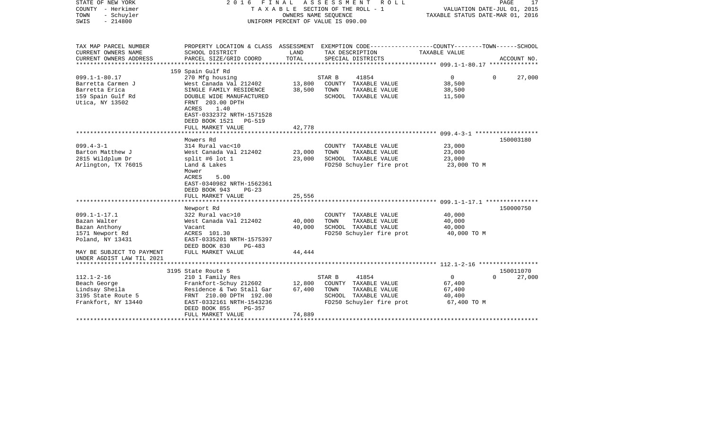| STATE OF NEW YORK<br>COUNTY - Herkimer<br>TOWN<br>- Schuyler<br>SWIS<br>$-214800$ | 2016                                                                                                   | FINAL<br>OWNERS NAME SEQUENCE | ASSESSMENT<br>R O L L<br>TAXABLE SECTION OF THE ROLL - 1<br>UNIFORM PERCENT OF VALUE IS 090.00                     | VALUATION DATE-JUL 01, 2015<br>TAXABLE STATUS DATE-MAR 01, 2016 | 17<br>PAGE            |
|-----------------------------------------------------------------------------------|--------------------------------------------------------------------------------------------------------|-------------------------------|--------------------------------------------------------------------------------------------------------------------|-----------------------------------------------------------------|-----------------------|
| TAX MAP PARCEL NUMBER<br>CURRENT OWNERS NAME                                      | SCHOOL DISTRICT                                                                                        | LAND                          | PROPERTY LOCATION & CLASS ASSESSMENT EXEMPTION CODE---------------COUNTY-------TOWN------SCHOOL<br>TAX DESCRIPTION | TAXABLE VALUE                                                   |                       |
| CURRENT OWNERS ADDRESS<br>**********************                                  | PARCEL SIZE/GRID COORD                                                                                 | TOTAL                         | SPECIAL DISTRICTS                                                                                                  |                                                                 | ACCOUNT NO.           |
|                                                                                   | 159 Spain Gulf Rd                                                                                      |                               |                                                                                                                    |                                                                 |                       |
| $099.1 - 1 - 80.17$                                                               | 270 Mfg housing                                                                                        |                               | 41854<br>STAR B                                                                                                    | 0                                                               | $\Omega$<br>27,000    |
| Barretta Carmen J<br>Barretta Erica                                               | West Canada Val 212402<br>SINGLE FAMILY RESIDENCE                                                      | 13,800<br>38,500              | COUNTY TAXABLE VALUE<br>TOWN<br>TAXABLE VALUE                                                                      | 38,500<br>38,500                                                |                       |
| 159 Spain Gulf Rd<br>Utica, NY 13502                                              | DOUBLE WIDE MANUFACTURED<br>FRNT 203.00 DPTH                                                           |                               | SCHOOL TAXABLE VALUE                                                                                               | 11,500                                                          |                       |
|                                                                                   | ACRES<br>1.40<br>EAST-0332372 NRTH-1571528<br>DEED BOOK 1521<br>PG-519                                 |                               |                                                                                                                    |                                                                 |                       |
|                                                                                   | FULL MARKET VALUE                                                                                      | 42,778                        |                                                                                                                    |                                                                 |                       |
|                                                                                   | ***********************                                                                                |                               |                                                                                                                    |                                                                 |                       |
|                                                                                   | Mowers Rd                                                                                              |                               |                                                                                                                    |                                                                 | 150003180             |
| $099.4 - 3 - 1$<br>Barton Matthew J                                               | 314 Rural vac<10<br>West Canada Val 212402                                                             | 23,000                        | COUNTY TAXABLE VALUE<br>TOWN<br>TAXABLE VALUE                                                                      | 23,000<br>23,000                                                |                       |
| 2815 Wildplum Dr                                                                  | split #6 lot $1$                                                                                       | 23,000                        | SCHOOL TAXABLE VALUE                                                                                               | 23,000                                                          |                       |
| Arlington, TX 76015                                                               | Land & Lakes<br>Mower<br><b>ACRES</b><br>5.00<br>EAST-0340982 NRTH-1562361<br>DEED BOOK 943<br>$PG-23$ |                               | FD250 Schuyler fire prot                                                                                           | 23,000 TO M                                                     |                       |
|                                                                                   | FULL MARKET VALUE                                                                                      | 25,556                        |                                                                                                                    |                                                                 |                       |
|                                                                                   |                                                                                                        |                               |                                                                                                                    |                                                                 | 150000750             |
| $099.1 - 1 - 17.1$                                                                | Newport Rd<br>322 Rural vac>10                                                                         |                               | COUNTY TAXABLE VALUE                                                                                               | 40,000                                                          |                       |
| Bazan Walter                                                                      | West Canada Val 212402                                                                                 | 40,000                        | TOWN<br>TAXABLE VALUE                                                                                              | 40,000                                                          |                       |
| Bazan Anthony                                                                     | Vacant                                                                                                 | 40,000                        | SCHOOL TAXABLE VALUE                                                                                               | 40,000                                                          |                       |
| 1571 Newport Rd                                                                   | ACRES 101.30                                                                                           |                               | FD250 Schuyler fire prot                                                                                           | 40,000 TO M                                                     |                       |
| Poland, NY 13431                                                                  | EAST-0335201 NRTH-1575397                                                                              |                               |                                                                                                                    |                                                                 |                       |
|                                                                                   | DEED BOOK 830<br>$PG-483$                                                                              |                               |                                                                                                                    |                                                                 |                       |
| MAY BE SUBJECT TO PAYMENT<br>UNDER AGDIST LAW TIL 2021                            | FULL MARKET VALUE                                                                                      | 44,444                        |                                                                                                                    |                                                                 |                       |
|                                                                                   |                                                                                                        |                               |                                                                                                                    |                                                                 |                       |
|                                                                                   | 3195 State Route 5                                                                                     |                               |                                                                                                                    | $\mathbf{0}$                                                    | 150011070<br>$\Omega$ |
| $112.1 - 2 - 16$<br>Beach George                                                  | 210 1 Family Res<br>Frankfort-Schuy 212602                                                             | 12,800                        | STAR B<br>41854<br>COUNTY TAXABLE VALUE                                                                            | 67,400                                                          | 27,000                |
| Lindsay Sheila                                                                    | Residence & Two Stall Gar                                                                              | 67,400                        | TAXABLE VALUE<br>TOWN                                                                                              | 67,400                                                          |                       |
| 3195 State Route 5                                                                | FRNT 210.00 DPTH 192.00                                                                                |                               | SCHOOL TAXABLE VALUE                                                                                               | 40,400                                                          |                       |
| Frankfort, NY 13440                                                               | EAST-0332161 NRTH-1543236<br>DEED BOOK 855<br>$PG-357$                                                 |                               | FD250 Schuyler fire prot                                                                                           | 67,400 TO M                                                     |                       |
|                                                                                   | FULL MARKET VALUE                                                                                      | 74,889                        |                                                                                                                    |                                                                 |                       |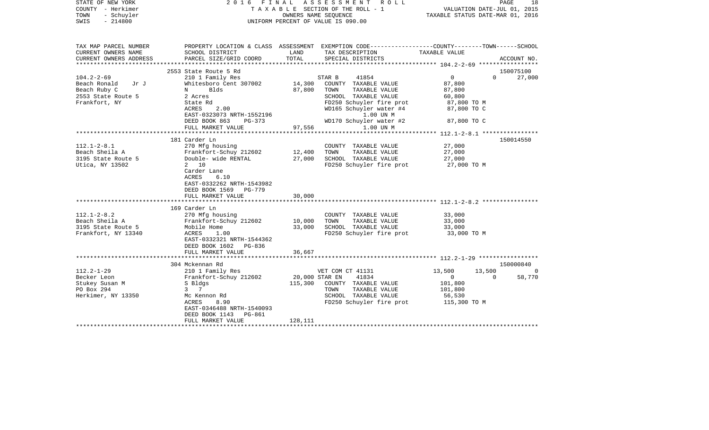| STATE OF NEW YORK<br>COUNTY - Herkimer<br>TOWN<br>- Schuyler<br>SWIS<br>$-214800$            |                                                                                                                                                                                                      | OWNERS NAME SEQUENCE       | 2016 FINAL ASSESSMENT ROLL<br>TAXABLE SECTION OF THE ROLL - 1<br>UNIFORM PERCENT OF VALUE IS 090.00                                                                                                            | VALUATION DATE-JUL 01, 2015<br>TAXABLE STATUS DATE-MAR 01, 2016                           | PAGE<br>18                                      |
|----------------------------------------------------------------------------------------------|------------------------------------------------------------------------------------------------------------------------------------------------------------------------------------------------------|----------------------------|----------------------------------------------------------------------------------------------------------------------------------------------------------------------------------------------------------------|-------------------------------------------------------------------------------------------|-------------------------------------------------|
| TAX MAP PARCEL NUMBER<br>CURRENT OWNERS NAME<br>CURRENT OWNERS ADDRESS                       | SCHOOL DISTRICT<br>PARCEL SIZE/GRID COORD                                                                                                                                                            | LAND<br>TOTAL              | PROPERTY LOCATION & CLASS ASSESSMENT EXEMPTION CODE---------------COUNTY-------TOWN-----SCHOOL<br>TAX DESCRIPTION<br>SPECIAL DISTRICTS                                                                         | TAXABLE VALUE                                                                             | ACCOUNT NO.                                     |
|                                                                                              |                                                                                                                                                                                                      |                            |                                                                                                                                                                                                                |                                                                                           |                                                 |
|                                                                                              | 2553 State Route 5 Rd                                                                                                                                                                                |                            |                                                                                                                                                                                                                |                                                                                           | 150075100                                       |
| $104.2 - 2 - 69$<br>Beach Ronald Jr J<br>Beach Ruby C<br>2553 State Route 5<br>Frankfort, NY | 210 1 Family Res<br>Whitesboro Cent 307002<br>Blds<br>$N$ and $N$<br>2 Acres<br>State Rd<br>2.00<br>ACRES<br>EAST-0323073 NRTH-1552196<br>DEED BOOK 863<br>PG-373<br>FULL MARKET VALUE               | 14,300<br>87,800           | 41854<br>STAR B<br>COUNTY TAXABLE VALUE<br>TAXABLE VALUE<br>TOWN<br>SCHOOL TAXABLE VALUE<br>FD250 Schuyler fire prot<br>WD165 Schuyler water #4<br>1.00 UN M<br>WD170 Schuyler water #2<br>97,556<br>1.00 UN M | $\overline{0}$<br>87,800<br>87,800<br>60,800<br>87,800 TO M<br>87,800 TO C<br>87,800 TO C | $\Omega$<br>27,000                              |
|                                                                                              |                                                                                                                                                                                                      |                            |                                                                                                                                                                                                                |                                                                                           |                                                 |
| $112.1 - 2 - 8.1$<br>Beach Sheila A<br>3195 State Route 5<br>Utica, NY 13502                 | 181 Carder Ln<br>270 Mfg housing<br>Frankfort-Schuy 212602<br>Double- wide RENTAL<br>2 10<br>Carder Lane<br>6.10<br>ACRES<br>EAST-0332262 NRTH-1543982<br>DEED BOOK 1569 PG-779<br>FULL MARKET VALUE | 12,400<br>27,000<br>30,000 | COUNTY TAXABLE VALUE<br>TOWN<br>TAXABLE VALUE<br>SCHOOL TAXABLE VALUE<br>FD250 Schuyler fire prot                                                                                                              | 27,000<br>27,000<br>27,000<br>27,000 TO M                                                 | 150014550                                       |
|                                                                                              | 169 Carder Ln                                                                                                                                                                                        |                            |                                                                                                                                                                                                                |                                                                                           |                                                 |
| $112.1 - 2 - 8.2$<br>Beach Sheila A<br>3195 State Route 5<br>Frankfort, NY 13340             | 270 Mfg housing<br>Frankfort-Schuy 212602 10,000<br>Mobile Home<br>ACRES<br>1.00<br>EAST-0332321 NRTH-1544362<br>DEED BOOK 1602 PG-836<br>FULL MARKET VALUE                                          | 33,000<br>36,667           | COUNTY TAXABLE VALUE<br>TAXABLE VALUE<br>TOWN<br>SCHOOL TAXABLE VALUE<br>FD250 Schuyler fire prot 33,000 TO M                                                                                                  | 33,000<br>33,000<br>33,000                                                                |                                                 |
|                                                                                              |                                                                                                                                                                                                      |                            |                                                                                                                                                                                                                |                                                                                           |                                                 |
| $112.2 - 1 - 29$<br>Becker Leon<br>Stukey Susan M<br>PO Box 294<br>Herkimer, NY 13350        | 304 Mckennan Rd<br>210 1 Family Res<br>Frankfort-Schuy 212602<br>S Bldgs<br>3 7<br>Mc Kennon Rd<br>ACRES<br>8.90<br>EAST-0346488 NRTH-1540093<br>PG-861<br>DEED BOOK 1143                            | 20,000 STAR EN             | VET COM CT 41131<br>41834<br>115,300 COUNTY TAXABLE VALUE<br>TAXABLE VALUE<br>TOWN<br>SCHOOL TAXABLE VALUE<br>FD250 Schuyler fire prot                                                                         | 13,500<br>$\overline{0}$<br>101,800<br>101,800<br>56,530<br>115,300 TO M                  | 150000840<br>13,500<br>$\overline{0}$<br>58,770 |
|                                                                                              | FULL MARKET VALUE                                                                                                                                                                                    | 128,111                    |                                                                                                                                                                                                                |                                                                                           |                                                 |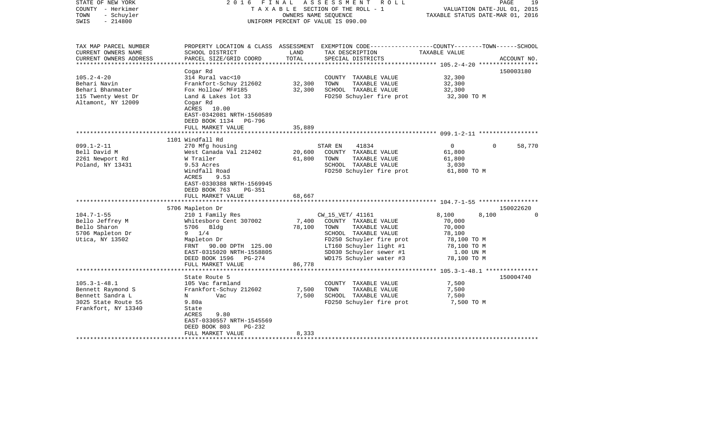| STATE OF NEW YORK<br>COUNTY - Herkimer<br>- Schuyler<br>TOWN<br>$-214800$<br>SWIS                         | 2016 FINAL                                                                                                                                                                                                                         | OWNERS NAME SEQUENCE       | ASSESSMENT<br>R O L L<br>T A X A B L E SECTION OF THE ROLL - 1<br>UNIFORM PERCENT OF VALUE IS 090.00                                                                               | TAXABLE STATUS DATE-MAR 01, 2016                                                     | PAGE<br>VALUATION DATE-JUL 01, 2015 | 19                              |
|-----------------------------------------------------------------------------------------------------------|------------------------------------------------------------------------------------------------------------------------------------------------------------------------------------------------------------------------------------|----------------------------|------------------------------------------------------------------------------------------------------------------------------------------------------------------------------------|--------------------------------------------------------------------------------------|-------------------------------------|---------------------------------|
| TAX MAP PARCEL NUMBER<br>CURRENT OWNERS NAME<br>CURRENT OWNERS ADDRESS                                    | SCHOOL DISTRICT<br>PARCEL SIZE/GRID COORD                                                                                                                                                                                          | LAND<br>TOTAL              | PROPERTY LOCATION & CLASS ASSESSMENT EXEMPTION CODE----------------COUNTY-------TOWN------SCHOOL<br>TAX DESCRIPTION<br>SPECIAL DISTRICTS                                           | TAXABLE VALUE                                                                        |                                     | ACCOUNT NO.                     |
| **********************                                                                                    |                                                                                                                                                                                                                                    | ***************            |                                                                                                                                                                                    |                                                                                      |                                     |                                 |
| $105.2 - 4 - 20$<br>Behari Navin<br>Behari Bhanmater<br>115 Twenty West Dr<br>Altamont, NY 12009          | Cogar Rd<br>314 Rural vac<10<br>Frankfort-Schuy 212602<br>Fox Hollow/ MF#185<br>Land & Lakes lot 33<br>Cogar Rd<br>ACRES 10.00<br>EAST-0342081 NRTH-1560589                                                                        | 32,300<br>32,300           | COUNTY TAXABLE VALUE<br>TOWN<br>TAXABLE VALUE<br>SCHOOL TAXABLE VALUE<br>FD250 Schuyler fire prot                                                                                  | 32,300<br>32,300<br>32,300<br>32,300 TO M                                            |                                     | 150003180                       |
|                                                                                                           | DEED BOOK 1134 PG-796                                                                                                                                                                                                              |                            |                                                                                                                                                                                    |                                                                                      |                                     |                                 |
|                                                                                                           | FULL MARKET VALUE                                                                                                                                                                                                                  | 35,889                     |                                                                                                                                                                                    | ************************ 099.1-2-11 ******************                               |                                     |                                 |
|                                                                                                           | 1101 Windfall Rd                                                                                                                                                                                                                   |                            |                                                                                                                                                                                    |                                                                                      |                                     |                                 |
| $099.1 - 2 - 11$<br>Bell David M<br>2261 Newport Rd<br>Poland, NY 13431<br>$104.7 - 1 - 55$               | 270 Mfg housing<br>West Canada Val 212402<br>W Trailer<br>9.53 Acres<br>Windfall Road<br>ACRES<br>9.53<br>EAST-0330388 NRTH-1569945<br>DEED BOOK 763<br><b>PG-351</b><br>FULL MARKET VALUE<br>5706 Mapleton Dr<br>210 1 Family Res | 20,600<br>61,800<br>68,667 | 41834<br>STAR EN<br>COUNTY TAXABLE VALUE<br>TOWN<br>TAXABLE VALUE<br>SCHOOL TAXABLE VALUE<br>FD250 Schuyler fire prot<br>CW_15_VET/ 41161                                          | $\overline{0}$<br>61,800<br>61,800<br>3,030<br>61,800 TO M<br>8,100                  | $\Omega$<br>8,100                   | 58,770<br>150022620<br>$\Omega$ |
| Bello Jeffrey M<br>Bello Sharon<br>5706 Mapleton Dr<br>Utica, NY 13502                                    | Whitesboro Cent 307002<br>5706 Bldg<br>$9 \t1/4$<br>Mapleton Dr<br>FRNT 90.00 DPTH 125.00<br>EAST-0315020 NRTH-1558805<br>DEED BOOK 1596 PG-274<br>FULL MARKET VALUE                                                               | 7,400<br>78,100<br>86,778  | COUNTY TAXABLE VALUE<br>TOWN<br>TAXABLE VALUE<br>SCHOOL TAXABLE VALUE<br>FD250 Schuyler fire prot<br>LT160 Schuyler light #1<br>SD030 Schuyler sewer #1<br>WD175 Schuyler water #3 | 70,000<br>70,000<br>78,100<br>78,100 TO M<br>78,100 TO M<br>1.00 UN M<br>78,100 TO M |                                     |                                 |
|                                                                                                           | ***********************                                                                                                                                                                                                            |                            |                                                                                                                                                                                    |                                                                                      |                                     |                                 |
| $105.3 - 1 - 48.1$<br>Bennett Raymond S<br>Bennett Sandra L<br>3025 State Route 55<br>Frankfort, NY 13340 | State Route 5<br>105 Vac farmland<br>Frankfort-Schuy 212602<br>Vac<br>$N$ and $N$<br>9.80a<br>State<br>ACRES<br>9.80<br>EAST-0330557 NRTH-1545569<br>DEED BOOK 803<br>PG-232<br>FULL MARKET VALUE                                  | 7,500<br>7,500<br>8,333    | COUNTY TAXABLE VALUE<br>TAXABLE VALUE<br>TOWN<br>SCHOOL TAXABLE VALUE<br>FD250 Schuyler fire prot                                                                                  | 7,500<br>7,500<br>7,500<br>7,500 TO M                                                |                                     | 150004740                       |
|                                                                                                           |                                                                                                                                                                                                                                    |                            |                                                                                                                                                                                    |                                                                                      |                                     |                                 |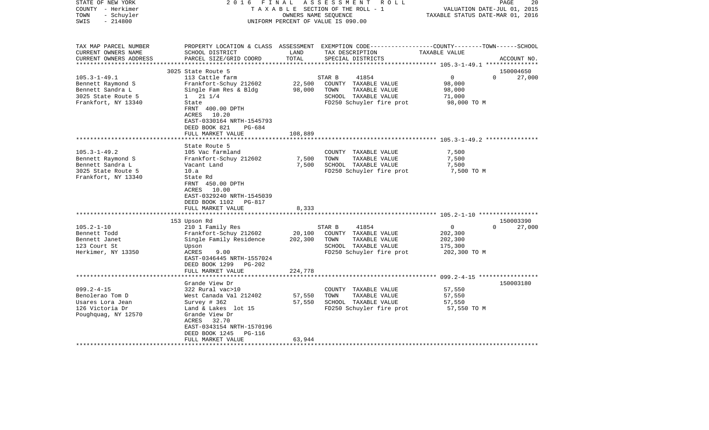| STATE OF NEW YORK<br>COUNTY - Herkimer<br>- Schuyler<br>TOWN<br>$-214800$<br>SWIS | FINAL<br>2016                                                                                                                     | OWNERS NAME SEQUENCE | ASSESSMENT ROLL<br>TAXABLE SECTION OF THE ROLL - 1<br>UNIFORM PERCENT OF VALUE IS 090.00                                               | VALUATION DATE-JUL 01, 2015<br>TAXABLE STATUS DATE-MAR 01, 2016 | PAGE<br>20         |
|-----------------------------------------------------------------------------------|-----------------------------------------------------------------------------------------------------------------------------------|----------------------|----------------------------------------------------------------------------------------------------------------------------------------|-----------------------------------------------------------------|--------------------|
| TAX MAP PARCEL NUMBER<br>CURRENT OWNERS NAME<br>CURRENT OWNERS ADDRESS            | SCHOOL DISTRICT<br>PARCEL SIZE/GRID COORD                                                                                         | LAND<br>TOTAL        | PROPERTY LOCATION & CLASS ASSESSMENT EXEMPTION CODE---------------COUNTY-------TOWN-----SCHOOL<br>TAX DESCRIPTION<br>SPECIAL DISTRICTS | TAXABLE VALUE                                                   | ACCOUNT NO.        |
| ***********************                                                           | 3025 State Route 5                                                                                                                |                      |                                                                                                                                        |                                                                 | 150004650          |
| $105.3 - 1 - 49.1$                                                                | 113 Cattle farm                                                                                                                   |                      | 41854<br>STAR B                                                                                                                        | $\overline{0}$                                                  | $\Omega$<br>27,000 |
| Bennett Raymond S                                                                 | Frankfort-Schuy 212602                                                                                                            | 22,500               | COUNTY TAXABLE VALUE                                                                                                                   | 98,000                                                          |                    |
| Bennett Sandra L                                                                  | Single Fam Res & Bldg                                                                                                             | 98,000               | TOWN<br>TAXABLE VALUE                                                                                                                  | 98,000                                                          |                    |
| 3025 State Route 5                                                                | $1 \t21 \t1/4$                                                                                                                    |                      | SCHOOL TAXABLE VALUE                                                                                                                   | 71,000                                                          |                    |
| Frankfort, NY 13340                                                               | State<br>FRNT 400.00 DPTH<br>10.20<br>ACRES<br>EAST-0330164 NRTH-1545793<br>DEED BOOK 821<br>PG-684                               |                      | FD250 Schuyler fire prot                                                                                                               | 98,000 TO M                                                     |                    |
|                                                                                   | FULL MARKET VALUE                                                                                                                 | 108,889              |                                                                                                                                        |                                                                 |                    |
|                                                                                   |                                                                                                                                   |                      |                                                                                                                                        |                                                                 |                    |
|                                                                                   | State Route 5                                                                                                                     |                      |                                                                                                                                        |                                                                 |                    |
| $105.3 - 1 - 49.2$                                                                | 105 Vac farmland                                                                                                                  |                      | COUNTY TAXABLE VALUE                                                                                                                   | 7,500                                                           |                    |
| Bennett Raymond S                                                                 | Frankfort-Schuy 212602                                                                                                            | 7,500                | TOWN<br>TAXABLE VALUE                                                                                                                  | 7,500                                                           |                    |
| Bennett Sandra L                                                                  | Vacant Land                                                                                                                       | 7,500                | SCHOOL TAXABLE VALUE                                                                                                                   | 7,500                                                           |                    |
| 3025 State Route 5<br>Frankfort, NY 13340                                         | 10.a<br>State Rd<br>FRNT 450.00 DPTH<br>ACRES 10.00<br>EAST-0329240 NRTH-1545039<br>DEED BOOK 1102<br>PG-817<br>FULL MARKET VALUE | 8,333                | FD250 Schuyler fire prot                                                                                                               | 7,500 TO M                                                      |                    |
|                                                                                   | *********************                                                                                                             |                      |                                                                                                                                        |                                                                 |                    |
|                                                                                   | 153 Upson Rd                                                                                                                      |                      |                                                                                                                                        |                                                                 | 150003390          |
| $105.2 - 1 - 10$                                                                  | 210 1 Family Res                                                                                                                  |                      | STAR B<br>41854                                                                                                                        | $\mathbf 0$                                                     | 27,000<br>$\Omega$ |
| Bennett Todd                                                                      | Frankfort-Schuy 212602                                                                                                            | 20,100               | COUNTY TAXABLE VALUE                                                                                                                   | 202,300                                                         |                    |
| Bennett Janet                                                                     | Single Family Residence                                                                                                           | 202,300              | TOWN<br>TAXABLE VALUE                                                                                                                  | 202,300                                                         |                    |
| 123 Court St<br>Herkimer, NY 13350                                                | Upson<br>ACRES<br>9.00<br>EAST-0346445 NRTH-1557024<br>DEED BOOK 1299<br>$PG-202$                                                 |                      | SCHOOL TAXABLE VALUE<br>FD250 Schuyler fire prot                                                                                       | 175,300<br>202,300 TO M                                         |                    |
|                                                                                   | FULL MARKET VALUE                                                                                                                 | 224,778              |                                                                                                                                        |                                                                 |                    |
|                                                                                   |                                                                                                                                   |                      |                                                                                                                                        |                                                                 |                    |
|                                                                                   | Grande View Dr                                                                                                                    |                      |                                                                                                                                        |                                                                 | 150003180          |
| $099.2 - 4 - 15$                                                                  | 322 Rural vac>10                                                                                                                  |                      | COUNTY TAXABLE VALUE                                                                                                                   | 57,550                                                          |                    |
| Benolerao Tom D<br>Usares Lora Jean                                               | West Canada Val 212402<br>Survey $# 362$                                                                                          | 57,550<br>57,550     | TOWN<br>TAXABLE VALUE<br>SCHOOL TAXABLE VALUE                                                                                          | 57,550<br>57,550                                                |                    |
| 126 Victoria Dr                                                                   | Land & Lakes lot 15                                                                                                               |                      | FD250 Schuyler fire prot                                                                                                               | 57,550 TO M                                                     |                    |
| Poughquag, NY 12570                                                               | Grande View Dr<br>ACRES<br>32.70<br>EAST-0343154 NRTH-1570196<br>DEED BOOK 1245<br>PG-116                                         |                      |                                                                                                                                        |                                                                 |                    |
|                                                                                   | FULL MARKET VALUE                                                                                                                 | 63,944               |                                                                                                                                        |                                                                 |                    |
|                                                                                   |                                                                                                                                   |                      |                                                                                                                                        |                                                                 |                    |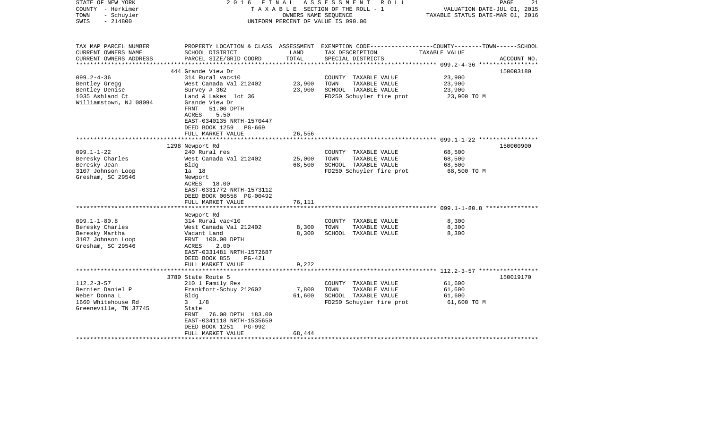| STATE OF NEW YORK<br>COUNTY - Herkimer<br>- Schuyler<br>TOWN<br>$-214800$<br>SWIS                                                                                                                  | FINAL<br>2016                                                                                                                                                                                                                                                                                                                                                      | OWNERS NAME SEQUENCE                         | ASSESSMENT<br>R O L L<br>TAXABLE SECTION OF THE ROLL - 1<br>UNIFORM PERCENT OF VALUE IS 090.00                                                                             | PAGE<br>VALUATION DATE-JUL 01, 2015<br>TAXABLE STATUS DATE-MAR 01, 2016                                           | 21          |
|----------------------------------------------------------------------------------------------------------------------------------------------------------------------------------------------------|--------------------------------------------------------------------------------------------------------------------------------------------------------------------------------------------------------------------------------------------------------------------------------------------------------------------------------------------------------------------|----------------------------------------------|----------------------------------------------------------------------------------------------------------------------------------------------------------------------------|-------------------------------------------------------------------------------------------------------------------|-------------|
| TAX MAP PARCEL NUMBER<br>CURRENT OWNERS NAME<br>CURRENT OWNERS ADDRESS                                                                                                                             | SCHOOL DISTRICT<br>PARCEL SIZE/GRID COORD                                                                                                                                                                                                                                                                                                                          | LAND<br>TOTAL                                | TAX DESCRIPTION<br>SPECIAL DISTRICTS                                                                                                                                       | PROPERTY LOCATION & CLASS ASSESSMENT EXEMPTION CODE----------------COUNTY-------TOWN------SCHOOL<br>TAXABLE VALUE | ACCOUNT NO. |
|                                                                                                                                                                                                    |                                                                                                                                                                                                                                                                                                                                                                    |                                              |                                                                                                                                                                            |                                                                                                                   |             |
| $099.2 - 4 - 36$<br>Bentley Gregg<br>Bentley Denise<br>1035 Ashland Ct<br>Williamstown, NJ 08094                                                                                                   | 444 Grande View Dr<br>314 Rural vac<10<br>West Canada Val 212402<br>Survey # 362<br>Land & Lakes lot 36<br>Grande View Dr<br>FRNT<br>51.00 DPTH<br>ACRES<br>5.50<br>EAST-0340135 NRTH-1570447                                                                                                                                                                      | 23,900<br>23,900                             | COUNTY TAXABLE VALUE<br>TOWN<br>TAXABLE VALUE<br>SCHOOL TAXABLE VALUE<br>FD250 Schuyler fire prot                                                                          | 23,900<br>23,900<br>23,900<br>23,900 TO M                                                                         | 150003180   |
|                                                                                                                                                                                                    | DEED BOOK 1259<br>PG-669                                                                                                                                                                                                                                                                                                                                           |                                              |                                                                                                                                                                            |                                                                                                                   |             |
|                                                                                                                                                                                                    | FULL MARKET VALUE                                                                                                                                                                                                                                                                                                                                                  | 26,556                                       |                                                                                                                                                                            |                                                                                                                   |             |
|                                                                                                                                                                                                    |                                                                                                                                                                                                                                                                                                                                                                    |                                              |                                                                                                                                                                            |                                                                                                                   |             |
| $099.1 - 1 - 22$<br>Beresky Charles<br>Beresky Jean<br>3107 Johnson Loop<br>Gresham, SC 29546<br>$099.1 - 1 - 80.8$<br>Beresky Charles<br>Beresky Martha<br>3107 Johnson Loop<br>Gresham, SC 29546 | 1298 Newport Rd<br>240 Rural res<br>West Canada Val 212402<br>Bldg<br>1a 18<br>Newport<br>ACRES 18.00<br>EAST-0331772 NRTH-1573112<br>DEED BOOK 00558 PG-00492<br>FULL MARKET VALUE<br>Newport Rd<br>314 Rural vac<10<br>West Canada Val 212402<br>Vacant Land<br>FRNT 100.00 DPTH<br>ACRES<br>2.00<br>EAST-0331481 NRTH-1572687<br>DEED BOOK 855<br><b>PG-421</b> | 25,000<br>68,500<br>76,111<br>8,300<br>8,300 | COUNTY TAXABLE VALUE<br>TOWN<br>TAXABLE VALUE<br>SCHOOL TAXABLE VALUE<br>FD250 Schuyler fire prot<br>COUNTY TAXABLE VALUE<br>TOWN<br>TAXABLE VALUE<br>SCHOOL TAXABLE VALUE | 68,500<br>68,500<br>68,500<br>68,500 TO M<br>8,300<br>8,300<br>8,300                                              | 150000900   |
|                                                                                                                                                                                                    | FULL MARKET VALUE                                                                                                                                                                                                                                                                                                                                                  | 9,222                                        |                                                                                                                                                                            | ******************** 112.2-3-57 ******************                                                                |             |
|                                                                                                                                                                                                    | 3780 State Route 5                                                                                                                                                                                                                                                                                                                                                 |                                              |                                                                                                                                                                            |                                                                                                                   | 150019170   |
| $112.2 - 3 - 57$<br>Bernier Daniel P<br>Weber Donna L<br>1660 Whitehouse Rd<br>Greeneville, TN 37745                                                                                               | 210 1 Family Res<br>Frankfort-Schuy 212602<br>Bldg<br>$3 \frac{1}{8}$<br>State<br>FRNT<br>76.00 DPTH 183.00<br>EAST-0341118 NRTH-1535650<br>DEED BOOK 1251<br>PG-992<br>FULL MARKET VALUE                                                                                                                                                                          | 7,800<br>61,600<br>68,444                    | COUNTY TAXABLE VALUE<br>TOWN<br>TAXABLE VALUE<br>SCHOOL TAXABLE VALUE<br>FD250 Schuyler fire prot                                                                          | 61,600<br>61,600<br>61,600<br>61,600 TO M                                                                         |             |
|                                                                                                                                                                                                    |                                                                                                                                                                                                                                                                                                                                                                    |                                              |                                                                                                                                                                            |                                                                                                                   |             |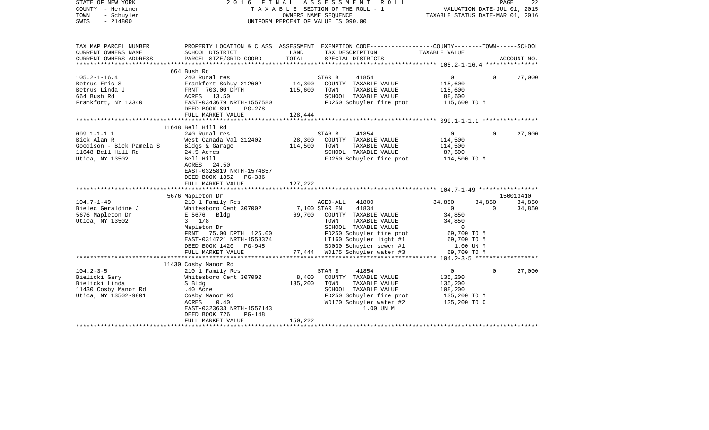| STATE OF NEW YORK<br>COUNTY - Herkimer<br>- Schuyler<br>TOWN<br>$-214800$<br>SWIS                                                                                            |                                                                                                                                                                                                                   |                             | 2016 FINAL ASSESSMENT ROLL<br>TAXABLE SECTION OF THE ROLL - 1<br>OWNERS NAME SEQUENCE<br>UNIFORM PERCENT OF VALUE IS 090.00                                                                                                                                       | VALUATION DATE-JUL 01, 2015<br>TAXABLE STATUS DATE-MAR 01, 2016                    | PAGE     | 22               |
|------------------------------------------------------------------------------------------------------------------------------------------------------------------------------|-------------------------------------------------------------------------------------------------------------------------------------------------------------------------------------------------------------------|-----------------------------|-------------------------------------------------------------------------------------------------------------------------------------------------------------------------------------------------------------------------------------------------------------------|------------------------------------------------------------------------------------|----------|------------------|
| TAX MAP PARCEL NUMBER<br>CURRENT OWNERS NAME                                                                                                                                 | SCHOOL DISTRICT                                                                                                                                                                                                   | LAND                        | PROPERTY LOCATION & CLASS ASSESSMENT EXEMPTION CODE----------------COUNTY-------TOWN------SCHOOL<br>TAX DESCRIPTION                                                                                                                                               | TAXABLE VALUE                                                                      |          |                  |
| CURRENT OWNERS ADDRESS                                                                                                                                                       | PARCEL SIZE/GRID COORD                                                                                                                                                                                            | TOTAL                       | SPECIAL DISTRICTS                                                                                                                                                                                                                                                 |                                                                                    |          | ACCOUNT NO.      |
|                                                                                                                                                                              | 664 Bush Rd                                                                                                                                                                                                       |                             |                                                                                                                                                                                                                                                                   |                                                                                    |          |                  |
| $105.2 - 1 - 16.4$<br>Betrus Eric S<br>Betrus Linda J<br>664 Bush Rd<br>Frankfort, NY 13340<br>Frankfort, NY 13340<br>EAST-0343679 NRTH-1557580<br>EAST-0343679 NRTH-1557580 | 240 Rural res<br>DEED BOOK 891<br>PG-278                                                                                                                                                                          | 115,600                     | 41854<br>STAR B<br>14,300 COUNTY TAXABLE VALUE<br>TOWN<br>TAXABLE VALUE<br>SCHOOL TAXABLE VALUE<br>FD250 Schuyler fire prot 115,600 TO M                                                                                                                          | $0 \qquad \qquad$<br>115,600<br>115,600<br>88,600                                  | $\Omega$ | 27,000           |
|                                                                                                                                                                              | FULL MARKET VALUE                                                                                                                                                                                                 | 128,444                     |                                                                                                                                                                                                                                                                   |                                                                                    |          |                  |
|                                                                                                                                                                              | 11648 Bell Hill Rd                                                                                                                                                                                                |                             |                                                                                                                                                                                                                                                                   |                                                                                    |          |                  |
| $099.1 - 1 - 1.1$<br>Bick Alan R<br>Goodison - Bick Pamela S Bldgs & Garage 114,500<br>11648 Bell Hill Rd 24.5 Acres<br>Utica, NY 13502                                      | 240 Rural res<br>West Canada Val 212402<br>Bell Hill<br>ACRES 24.50<br>EAST-0325819 NRTH-1574857<br>DEED BOOK 1352 PG-386<br>FULL MARKET VALUE                                                                    | 28,300<br>127,222           | STAR B<br>41854<br>COUNTY TAXABLE VALUE<br>TOWN<br>TAXABLE VALUE<br>SCHOOL TAXABLE VALUE<br>FD250 Schuyler fire prot                                                                                                                                              | $0 \qquad \qquad$<br>114,500<br>114,500<br>87,500<br>114,500 TO M                  | $\Omega$ | 27,000           |
|                                                                                                                                                                              |                                                                                                                                                                                                                   |                             |                                                                                                                                                                                                                                                                   |                                                                                    |          |                  |
| $104.7 - 1 - 49$                                                                                                                                                             | 5676 Mapleton Dr                                                                                                                                                                                                  |                             |                                                                                                                                                                                                                                                                   | 34,850                                                                             | 34,850   | 150013410        |
| Bielec Geraldine J<br>5676 Mapleton Dr<br>Utica, NY 13502                                                                                                                    | 210 1 Family Res<br>Whitesboro Cent 307002<br>E 5676 Bldg<br>$3 \t1/8$<br>Mapleton Dr<br>FRNT 75.00 DPTH 125.00<br>EAST-0314721 NRTH-1558374<br>DEED BOOK 1420 PG-945<br>FULL MARKET VALUE                        |                             | AGED-ALL 41800<br>7,100 STAR EN 41834<br>69,700 COUNTY TAXABLE VALUE<br>TOWN<br>TAXABLE VALUE<br>SCHOOL TAXABLE VALUE<br>FD250 Schuyler fire prot<br>LT160 Schuyler light #1 69,700 TO M<br>SD030 Schuvler sewer #1 69,700 TO M<br>77,444 WD175 Schuyler water #3 | $\overline{0}$<br>34,850<br>34,850<br>$\mathbf 0$<br>69,700 TO M                   | $\Omega$ | 34,850<br>34,850 |
|                                                                                                                                                                              |                                                                                                                                                                                                                   |                             |                                                                                                                                                                                                                                                                   |                                                                                    |          |                  |
| $104.2 - 3 - 5$<br>Bielicki Gary<br>Bielicki Linda<br>11430 Cosby Manor Rd<br>Utica, NY 13502-9801                                                                           | 11430 Cosby Manor Rd<br>210 1 Family Res<br>Whitesboro Cent 307002<br>S Bldg<br>.40 Acre<br>.40 ACLE<br>Cosby Manor Rd<br>CODEC 0 40<br>EAST-0323633 NRTH-1557143<br>DEED BOOK 726<br>PG-148<br>FULL MARKET VALUE | 8,400<br>135,200<br>150,222 | 41854<br>STAR B<br>COUNTY TAXABLE VALUE<br>TOWN<br>TAXABLE VALUE<br>SCHOOL TAXABLE VALUE<br>FD250 Schuyler fire prot<br>WD170 Schuyler water #2<br>1.00 UN M                                                                                                      | $0 \qquad \qquad$<br>135,200<br>135,200<br>108,200<br>135,200 TO M<br>135,200 TO C | $\Omega$ | 27,000           |
|                                                                                                                                                                              |                                                                                                                                                                                                                   |                             |                                                                                                                                                                                                                                                                   |                                                                                    |          |                  |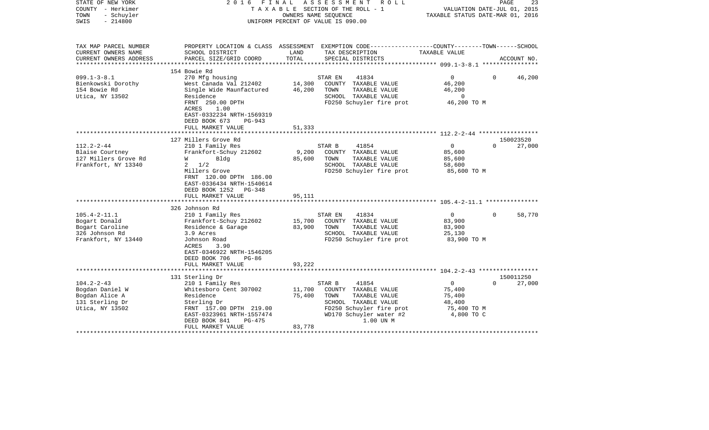| STATE OF NEW YORK<br>COUNTY - Herkimer<br>- Schuyler<br>TOWN<br>$-214800$<br>SWIS | FINAL<br>2016                                                                                  |               | ASSESSMENT<br>R O L L<br>TAXABLE SECTION OF THE ROLL - 1<br>OWNERS NAME SEOUENCE<br>UNIFORM PERCENT OF VALUE IS 090.00 | TAXABLE STATUS DATE-MAR 01, 2016                         | PAGE<br>VALUATION DATE-JUL 01, 2015 | 23 |
|-----------------------------------------------------------------------------------|------------------------------------------------------------------------------------------------|---------------|------------------------------------------------------------------------------------------------------------------------|----------------------------------------------------------|-------------------------------------|----|
| TAX MAP PARCEL NUMBER                                                             |                                                                                                |               | PROPERTY LOCATION & CLASS ASSESSMENT EXEMPTION CODE----------------COUNTY-------TOWN-----SCHOOL                        |                                                          |                                     |    |
| CURRENT OWNERS NAME<br>CURRENT OWNERS ADDRESS                                     | SCHOOL DISTRICT<br>PARCEL SIZE/GRID COORD                                                      | LAND<br>TOTAL | TAX DESCRIPTION<br>SPECIAL DISTRICTS                                                                                   | TAXABLE VALUE                                            | ACCOUNT NO.                         |    |
| **********************                                                            |                                                                                                |               |                                                                                                                        |                                                          |                                     |    |
|                                                                                   | 154 Bowie Rd                                                                                   |               |                                                                                                                        |                                                          |                                     |    |
| $099.1 - 3 - 8.1$                                                                 | 270 Mfg housing                                                                                |               | 41834<br>STAR EN                                                                                                       | $\overline{0}$                                           | 46,200<br>$\Omega$                  |    |
| Bienkowski Dorothy                                                                | West Canada Val 212402                                                                         | 14,300        | COUNTY TAXABLE VALUE                                                                                                   | 46,200                                                   |                                     |    |
| 154 Bowie Rd                                                                      | Single Wide Maunfactured                                                                       | 46,200        | TAXABLE VALUE<br>TOWN                                                                                                  | 46,200                                                   |                                     |    |
| Utica, NY 13502                                                                   | Residence                                                                                      |               | SCHOOL TAXABLE VALUE                                                                                                   | $\mathbf 0$                                              |                                     |    |
|                                                                                   | FRNT 250.00 DPTH<br>ACRES<br>1.00                                                              |               | FD250 Schuyler fire prot                                                                                               | 46,200 TO M                                              |                                     |    |
|                                                                                   | EAST-0332234 NRTH-1569319                                                                      |               |                                                                                                                        |                                                          |                                     |    |
|                                                                                   | DEED BOOK 673<br>$PG-943$                                                                      |               |                                                                                                                        |                                                          |                                     |    |
|                                                                                   | FULL MARKET VALUE                                                                              | 51,333        |                                                                                                                        |                                                          |                                     |    |
|                                                                                   |                                                                                                |               |                                                                                                                        |                                                          |                                     |    |
|                                                                                   | 127 Millers Grove Rd                                                                           |               |                                                                                                                        |                                                          | 150023520                           |    |
| $112.2 - 2 - 44$                                                                  | 210 1 Family Res                                                                               |               | 41854<br>STAR B                                                                                                        | $\overline{0}$                                           | 27,000<br>$\Omega$                  |    |
| Blaise Courtney                                                                   | Frankfort-Schuy 212602                                                                         | 9,200         | COUNTY TAXABLE VALUE                                                                                                   | 85,600                                                   |                                     |    |
| 127 Millers Grove Rd                                                              | Bldg<br>W                                                                                      | 85,600        | TAXABLE VALUE<br>TOWN                                                                                                  | 85,600                                                   |                                     |    |
| Frankfort, NY 13340                                                               | $2 \frac{1}{2}$                                                                                |               | SCHOOL TAXABLE VALUE                                                                                                   | 58,600                                                   |                                     |    |
|                                                                                   | Millers Grove<br>FRNT 120.00 DPTH 186.00<br>EAST-0336434 NRTH-1540614<br>DEED BOOK 1252 PG-348 |               | FD250 Schuyler fire prot                                                                                               | 85,600 TO M                                              |                                     |    |
|                                                                                   | FULL MARKET VALUE                                                                              | 95,111        |                                                                                                                        |                                                          |                                     |    |
|                                                                                   |                                                                                                |               |                                                                                                                        | ************************* 105.4-2-11.1 ***************** |                                     |    |
| $105.4 - 2 - 11.1$                                                                | 326 Johnson Rd                                                                                 |               |                                                                                                                        |                                                          |                                     |    |
| Bogart Donald                                                                     | 210 1 Family Res<br>Frankfort-Schuy 212602                                                     | 15,700        | 41834<br>STAR EN<br>COUNTY TAXABLE VALUE                                                                               | $\overline{0}$<br>83,900                                 | 58,770<br>$\Omega$                  |    |
| Bogart Caroline                                                                   | Residence & Garage                                                                             | 83,900        | TOWN<br>TAXABLE VALUE                                                                                                  | 83,900                                                   |                                     |    |
| 326 Johnson Rd                                                                    | 3.9 Acres                                                                                      |               | SCHOOL TAXABLE VALUE                                                                                                   | 25,130                                                   |                                     |    |
| Frankfort, NY 13440                                                               | Johnson Road                                                                                   |               | FD250 Schuyler fire prot                                                                                               | 83,900 TO M                                              |                                     |    |
|                                                                                   | ACRES<br>3.90                                                                                  |               |                                                                                                                        |                                                          |                                     |    |
|                                                                                   | EAST-0346922 NRTH-1546205                                                                      |               |                                                                                                                        |                                                          |                                     |    |
|                                                                                   | DEED BOOK 706<br>$PG-86$                                                                       |               |                                                                                                                        |                                                          |                                     |    |
|                                                                                   | FULL MARKET VALUE                                                                              | 93,222        |                                                                                                                        |                                                          |                                     |    |
|                                                                                   |                                                                                                |               |                                                                                                                        |                                                          |                                     |    |
| $104.2 - 2 - 43$                                                                  | 131 Sterling Dr<br>210 1 Family Res                                                            |               | 41854<br>STAR B                                                                                                        | $\mathbf{0}$                                             | 150011250<br>27,000                 |    |
| Bogdan Daniel W                                                                   | Whitesboro Cent 307002                                                                         | 11,700        | COUNTY TAXABLE VALUE                                                                                                   | 75,400                                                   |                                     |    |
| Bogdan Alice A                                                                    | Residence                                                                                      | 75,400        | TOWN<br>TAXABLE VALUE                                                                                                  | 75,400                                                   |                                     |    |
| 131 Sterling Dr                                                                   | Sterling Dr                                                                                    |               | SCHOOL TAXABLE VALUE                                                                                                   | 48,400                                                   |                                     |    |
| Utica, NY 13502                                                                   | FRNT 157.00 DPTH 219.00                                                                        |               | FD250 Schuyler fire prot                                                                                               | 75,400 TO M                                              |                                     |    |
|                                                                                   | EAST-0323961 NRTH-1557474                                                                      |               | WD170 Schuyler water #2                                                                                                | 4,800 TO C                                               |                                     |    |
|                                                                                   | DEED BOOK 841<br>PG-475                                                                        |               | 1.00 UN M                                                                                                              |                                                          |                                     |    |
|                                                                                   | FULL MARKET VALUE                                                                              | 83,778        |                                                                                                                        |                                                          |                                     |    |
|                                                                                   |                                                                                                |               |                                                                                                                        |                                                          |                                     |    |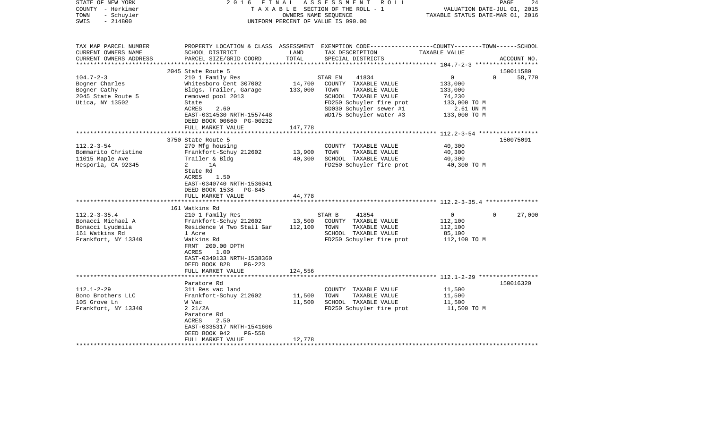| STATE OF NEW YORK<br>COUNTY - Herkimer<br>- Schuyler<br>TOWN<br>$-214800$<br>SWIS                 | 2016 FINAL                                                                                              | OWNERS NAME SEQUENCE | ASSESSMENT ROLL<br>TAXABLE SECTION OF THE ROLL - 1<br>UNIFORM PERCENT OF VALUE IS 090.00                                                 | VALUATION DATE-JUL 01, 2015<br>TAXABLE STATUS DATE-MAR 01, 2016 | 24<br>PAGE  |
|---------------------------------------------------------------------------------------------------|---------------------------------------------------------------------------------------------------------|----------------------|------------------------------------------------------------------------------------------------------------------------------------------|-----------------------------------------------------------------|-------------|
| TAX MAP PARCEL NUMBER<br>CURRENT OWNERS NAME<br>CURRENT OWNERS ADDRESS<br>*********************** | SCHOOL DISTRICT<br>PARCEL SIZE/GRID COORD                                                               | LAND<br>TOTAL        | PROPERTY LOCATION & CLASS ASSESSMENT EXEMPTION CODE----------------COUNTY-------TOWN------SCHOOL<br>TAX DESCRIPTION<br>SPECIAL DISTRICTS | TAXABLE VALUE                                                   | ACCOUNT NO. |
|                                                                                                   | 2045 State Route 5                                                                                      |                      |                                                                                                                                          |                                                                 | 150011580   |
| $104.7 - 2 - 3$                                                                                   | 210 1 Family Res                                                                                        |                      | 41834<br>STAR EN                                                                                                                         | $\overline{0}$<br>$\Omega$                                      | 58,770      |
| Bogner Charles                                                                                    | Whitesboro Cent 307002                                                                                  | 14,700               | COUNTY TAXABLE VALUE                                                                                                                     | 133,000                                                         |             |
| Bogner Cathy                                                                                      | Bldgs, Trailer, Garage                                                                                  | 133,000              | TOWN<br>TAXABLE VALUE                                                                                                                    | 133,000                                                         |             |
| 2045 State Route 5                                                                                | removed pool 2013                                                                                       |                      | SCHOOL TAXABLE VALUE                                                                                                                     | 74,230                                                          |             |
| Utica, NY 13502                                                                                   | State                                                                                                   |                      | FD250 Schuyler fire prot                                                                                                                 | 133,000 TO M                                                    |             |
|                                                                                                   | ACRES<br>2.60                                                                                           |                      | SD030 Schuyler sewer #1                                                                                                                  | 2.61 UN M                                                       |             |
|                                                                                                   | EAST-0314530 NRTH-1557448                                                                               |                      | WD175 Schuyler water #3                                                                                                                  | 133,000 TO M                                                    |             |
|                                                                                                   | DEED BOOK 00660 PG-00232                                                                                |                      |                                                                                                                                          |                                                                 |             |
|                                                                                                   | FULL MARKET VALUE<br>* * * * * * * * * * * * * * * * * * * *                                            | 147,778              |                                                                                                                                          |                                                                 |             |
|                                                                                                   | 3750 State Route 5                                                                                      |                      |                                                                                                                                          |                                                                 | 150075091   |
| $112.2 - 3 - 54$                                                                                  | 270 Mfg housing                                                                                         |                      | COUNTY TAXABLE VALUE                                                                                                                     | 40,300                                                          |             |
| Bommarito Christine                                                                               | Frankfort-Schuy 212602                                                                                  | 13,900               | TOWN<br>TAXABLE VALUE                                                                                                                    | 40,300                                                          |             |
| 11015 Maple Ave                                                                                   | Trailer & Bldg                                                                                          | 40,300               | SCHOOL TAXABLE VALUE                                                                                                                     | 40,300                                                          |             |
| Hesporia, CA 92345                                                                                | $\overline{a}$<br>1A                                                                                    |                      | FD250 Schuyler fire prot                                                                                                                 | 40,300 TO M                                                     |             |
|                                                                                                   | State Rd<br>ACRES<br>1.50<br>EAST-0340740 NRTH-1536041<br>DEED BOOK 1538 PG-845                         |                      |                                                                                                                                          |                                                                 |             |
|                                                                                                   | FULL MARKET VALUE<br>****************************                                                       | 44,778               |                                                                                                                                          |                                                                 |             |
|                                                                                                   | 161 Watkins Rd                                                                                          |                      |                                                                                                                                          |                                                                 |             |
| $112.2 - 3 - 35.4$                                                                                | 210 1 Family Res                                                                                        |                      | STAR B<br>41854                                                                                                                          | $\overline{0}$<br>$\mathbf{0}$                                  | 27,000      |
| Bonacci Michael A                                                                                 | Frankfort-Schuy 212602                                                                                  | 13,500               | COUNTY TAXABLE VALUE                                                                                                                     | 112,100                                                         |             |
| Bonacci Lyudmila                                                                                  | Residence W Two Stall Gar                                                                               | 112,100              | TAXABLE VALUE<br>TOWN                                                                                                                    | 112,100                                                         |             |
| 161 Watkins Rd                                                                                    | 1 Acre                                                                                                  |                      | SCHOOL TAXABLE VALUE                                                                                                                     | 85,100                                                          |             |
| Frankfort, NY 13340                                                                               | Watkins Rd<br>FRNT 200.00 DPTH<br>ACRES<br>1.00<br>EAST-0340133 NRTH-1538360<br>DEED BOOK 828<br>PG-223 |                      | FD250 Schuyler fire prot                                                                                                                 | 112,100 TO M                                                    |             |
|                                                                                                   | FULL MARKET VALUE                                                                                       | 124,556              |                                                                                                                                          |                                                                 |             |
|                                                                                                   | ****************************                                                                            |                      |                                                                                                                                          |                                                                 |             |
|                                                                                                   | Paratore Rd                                                                                             |                      |                                                                                                                                          |                                                                 | 150016320   |
| $112.1 - 2 - 29$                                                                                  | 311 Res vac land                                                                                        |                      | COUNTY TAXABLE VALUE                                                                                                                     | 11,500                                                          |             |
| Bono Brothers LLC                                                                                 | Frankfort-Schuy 212602                                                                                  | 11,500               | TOWN<br>TAXABLE VALUE                                                                                                                    | 11,500                                                          |             |
| 105 Grove Ln                                                                                      | W Vac                                                                                                   | 11,500               | SCHOOL TAXABLE VALUE                                                                                                                     | 11,500                                                          |             |
| Frankfort, NY 13340                                                                               | 2 21/2A<br>Paratore Rd<br>2.50<br>ACRES<br>EAST-0335317 NRTH-1541606                                    |                      | FD250 Schuyler fire prot                                                                                                                 | 11,500 TO M                                                     |             |
|                                                                                                   | DEED BOOK 942<br>PG-558                                                                                 |                      |                                                                                                                                          |                                                                 |             |
|                                                                                                   | FULL MARKET VALUE                                                                                       | 12,778               |                                                                                                                                          |                                                                 |             |
|                                                                                                   |                                                                                                         |                      |                                                                                                                                          |                                                                 |             |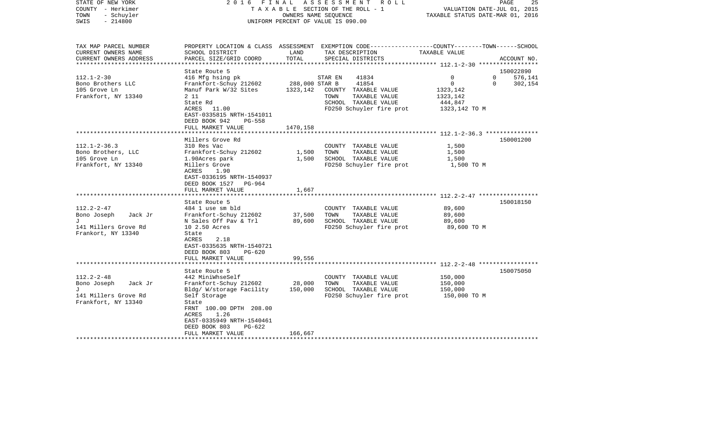| STATE OF NEW YORK<br>COUNTY - Herkimer<br>- Schuyler<br>TOWN<br>SWIS<br>$-214800$                        | 2016 FINAL                                                                                                                                                                                                     |                                        | ASSESSMENT<br>ROLL<br>T A X A B L E SECTION OF THE ROLL - 1<br>OWNERS NAME SEOUENCE<br>UNIFORM PERCENT OF VALUE IS 090.00                | VALUATION DATE-JUL 01, 2015<br>TAXABLE STATUS DATE-MAR 01, 2016                                 | 25<br>PAGE                      |
|----------------------------------------------------------------------------------------------------------|----------------------------------------------------------------------------------------------------------------------------------------------------------------------------------------------------------------|----------------------------------------|------------------------------------------------------------------------------------------------------------------------------------------|-------------------------------------------------------------------------------------------------|---------------------------------|
| TAX MAP PARCEL NUMBER<br>CURRENT OWNERS NAME<br>CURRENT OWNERS ADDRESS<br>*********************          | SCHOOL DISTRICT<br>PARCEL SIZE/GRID COORD                                                                                                                                                                      | LAND<br>TOTAL                          | PROPERTY LOCATION & CLASS ASSESSMENT EXEMPTION CODE----------------COUNTY-------TOWN------SCHOOL<br>TAX DESCRIPTION<br>SPECIAL DISTRICTS | TAXABLE VALUE                                                                                   | ACCOUNT NO.                     |
| $112.1 - 2 - 30$<br>Bono Brothers LLC<br>105 Grove Ln<br>Frankfort, NY 13340                             | State Route 5<br>416 Mfg hsing pk<br>Frankfort-Schuy 212602<br>Manuf Park W/32 Sites<br>2 1 1<br>State Rd<br>ACRES 11.00<br>EAST-0335815 NRTH-1541011<br>DEED BOOK 942<br>$PG-558$<br>FULL MARKET VALUE        | 288,000 STAR B<br>1323,142<br>1470,158 | STAR EN<br>41834<br>41854<br>COUNTY TAXABLE VALUE<br>TOWN<br>TAXABLE VALUE<br>SCHOOL TAXABLE VALUE<br>FD250 Schuyler fire prot           | 0<br>$\Omega$<br>$\mathbf 0$<br>0<br>1323,142<br>1323,142<br>444,847<br>1323,142 TO M           | 150022890<br>576,141<br>302,154 |
| $112.1 - 2 - 36.3$<br>Bono Brothers, LLC<br>105 Grove Ln<br>Frankfort, NY 13340                          | Millers Grove Rd<br>310 Res Vac<br>Frankfort-Schuy 212602<br>1.90Acres park<br>Millers Grove                                                                                                                   | 1,500<br>1,500                         | COUNTY TAXABLE VALUE<br>TOWN<br>TAXABLE VALUE<br>SCHOOL TAXABLE VALUE<br>FD250 Schuyler fire prot                                        | ************************ 112.1-2-36.3 ****************<br>1,500<br>1,500<br>1,500<br>1,500 TO M | 150001200                       |
|                                                                                                          | 1.90<br>ACRES<br>EAST-0336195 NRTH-1540937<br>DEED BOOK 1527 PG-964<br>FULL MARKET VALUE<br>******************                                                                                                 | 1,667<br>************                  |                                                                                                                                          |                                                                                                 |                                 |
| $112.2 - 2 - 47$<br>Bono Joseph<br>Jack Jr<br>$\mathbf{J}$<br>141 Millers Grove Rd<br>Frankort, NY 13340 | State Route 5<br>484 1 use sm bld<br>Frankfort-Schuy 212602<br>N Sales Off Pav & Trl<br>10 2.50 Acres<br>State<br>2.18<br>ACRES<br>EAST-0335635 NRTH-1540721<br>DEED BOOK 803<br>$PG-620$<br>FULL MARKET VALUE | 37,500<br>89,600<br>99,556             | COUNTY TAXABLE VALUE<br>TAXABLE VALUE<br>TOWN<br>SCHOOL TAXABLE VALUE<br>FD250 Schuyler fire prot                                        | 89,600<br>89,600<br>89,600<br>89,600 TO M                                                       | 150018150                       |
| $112.2 - 2 - 48$<br>Bono Joseph<br>Jack Jr<br>T.<br>141 Millers Grove Rd<br>Frankfort, NY 13340          | State Route 5<br>442 MiniWhseSelf<br>Frankfort-Schuy 212602<br>Bldg/ W/storage Facility<br>Self Storage<br>State<br>FRNT 100.00 DPTH 208.00<br>1.26<br>ACRES                                                   | 28,000<br>150,000                      | COUNTY TAXABLE VALUE<br>TOWN<br>TAXABLE VALUE<br>SCHOOL TAXABLE VALUE<br>FD250 Schuyler fire prot                                        | 150,000<br>150,000<br>150,000<br>150,000 TO M                                                   | 150075050                       |
|                                                                                                          | EAST-0335949 NRTH-1540461<br>DEED BOOK 803<br>PG-622<br>FULL MARKET VALUE                                                                                                                                      | 166,667                                |                                                                                                                                          |                                                                                                 |                                 |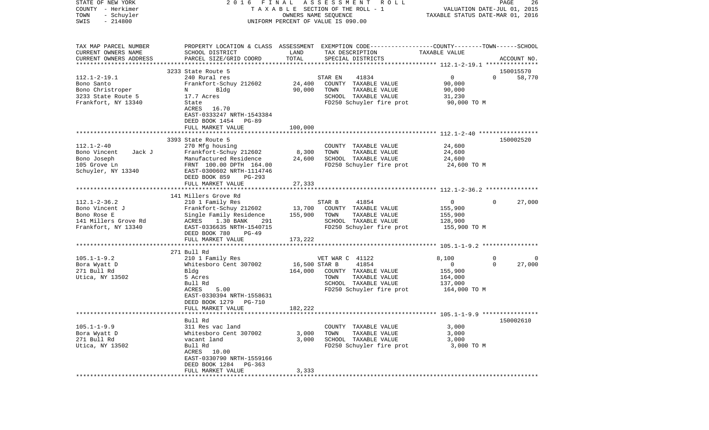| COUNTY<br>- Herkimer<br>TOWN<br>- Schuyler | T A X A B L E SECTION OF THE ROLL - 1       | VALUATION DATE-JUL 01, 2015<br>TAXABLE STATUS DATE-MAR 01, 2016 |                                                                                                 |                |                    |
|--------------------------------------------|---------------------------------------------|-----------------------------------------------------------------|-------------------------------------------------------------------------------------------------|----------------|--------------------|
| SWIS<br>$-214800$                          | UNIFORM PERCENT OF VALUE IS 090.00          |                                                                 |                                                                                                 |                |                    |
|                                            |                                             |                                                                 |                                                                                                 |                |                    |
| TAX MAP PARCEL NUMBER                      |                                             |                                                                 | PROPERTY LOCATION & CLASS ASSESSMENT EXEMPTION CODE---------------COUNTY-------TOWN------SCHOOL |                |                    |
| CURRENT OWNERS NAME                        | SCHOOL DISTRICT                             | LAND                                                            | TAX DESCRIPTION                                                                                 | TAXABLE VALUE  |                    |
| CURRENT OWNERS ADDRESS                     | PARCEL SIZE/GRID COORD                      | TOTAL                                                           | SPECIAL DISTRICTS                                                                               |                | ACCOUNT NO.        |
|                                            |                                             |                                                                 |                                                                                                 |                |                    |
|                                            | 3233 State Route 5                          |                                                                 |                                                                                                 |                | 150015570          |
| $112.1 - 2 - 19.1$                         | 240 Rural res                               |                                                                 | 41834<br>STAR EN                                                                                | $\overline{0}$ | $\Omega$<br>58,770 |
| Bono Santo                                 | Frankfort-Schuy 212602                      | 24,400                                                          | COUNTY TAXABLE VALUE                                                                            | 90,000         |                    |
| Bono Christroper                           | N<br>Bldg                                   | 90,000                                                          | TOWN<br>TAXABLE VALUE                                                                           | 90,000         |                    |
| 3233 State Route 5                         | 17.7 Acres                                  |                                                                 | SCHOOL TAXABLE VALUE                                                                            | 31,230         |                    |
| Frankfort, NY 13340                        | State                                       |                                                                 | FD250 Schuyler fire prot                                                                        | 90,000 TO M    |                    |
|                                            | 16.70<br>ACRES<br>EAST-0333247 NRTH-1543384 |                                                                 |                                                                                                 |                |                    |
|                                            | DEED BOOK 1454<br>PG-89                     |                                                                 |                                                                                                 |                |                    |
|                                            | FULL MARKET VALUE                           | 100,000                                                         |                                                                                                 |                |                    |
|                                            |                                             |                                                                 |                                                                                                 |                |                    |
|                                            | 3393 State Route 5                          |                                                                 |                                                                                                 |                | 150002520          |
| $112.1 - 2 - 40$                           | 270 Mfg housing                             |                                                                 | COUNTY TAXABLE VALUE                                                                            | 24,600         |                    |
| Bono Vincent<br>Jack J                     | Frankfort-Schuy 212602                      | 8,300                                                           | TOWN<br>TAXABLE VALUE                                                                           | 24,600         |                    |
| Bono Joseph                                | Manufactured Residence                      | 24,600                                                          | SCHOOL TAXABLE VALUE                                                                            | 24,600         |                    |
| 105 Grove Ln                               | FRNT 100.00 DPTH 164.00                     |                                                                 | FD250 Schuyler fire prot                                                                        | 24,600 TO M    |                    |
| Schuyler, NY 13340                         | EAST-0300602 NRTH-1114746                   |                                                                 |                                                                                                 |                |                    |
|                                            | DEED BOOK 859<br>PG-293                     |                                                                 |                                                                                                 |                |                    |
|                                            | FULL MARKET VALUE                           | 27,333                                                          |                                                                                                 |                |                    |
|                                            |                                             |                                                                 |                                                                                                 |                |                    |
| $112.1 - 2 - 36.2$                         | 141 Millers Grove Rd                        |                                                                 | STAR B<br>41854                                                                                 | 0              | 27,000<br>$\Omega$ |
| Bono Vincent J                             | 210 1 Family Res<br>Frankfort-Schuy 212602  | 13,700                                                          | COUNTY TAXABLE VALUE                                                                            | 155,900        |                    |
| Bono Rose E                                | Single Family Residence                     | 155,900                                                         | TOWN<br>TAXABLE VALUE                                                                           | 155,900        |                    |
| 141 Millers Grove Rd                       | ACRES<br>1.30 BANK<br>291                   |                                                                 | SCHOOL TAXABLE VALUE                                                                            | 128,900        |                    |
| Frankfort, NY 13340                        | EAST-0336635 NRTH-1540715                   |                                                                 | FD250 Schuyler fire prot                                                                        | 155,900 TO M   |                    |
|                                            | DEED BOOK 780<br>PG-49                      |                                                                 |                                                                                                 |                |                    |
|                                            | FULL MARKET VALUE                           | 173,222                                                         |                                                                                                 |                |                    |
|                                            |                                             |                                                                 |                                                                                                 |                |                    |
|                                            | 271 Bull Rd                                 |                                                                 |                                                                                                 |                |                    |
| $105.1 - 1 - 9.2$                          | 210 1 Family Res                            |                                                                 | VET WAR C 41122                                                                                 | 8,100          | $\mathbf 0$<br>0   |
| Bora Wyatt D                               | Whitesboro Cent 307002                      | 16,500 STAR B                                                   | 41854                                                                                           | $\circ$        | $\Omega$<br>27,000 |
| 271 Bull Rd                                | Bldg                                        | 164,000                                                         | COUNTY TAXABLE VALUE                                                                            | 155,900        |                    |
| Utica, NY 13502                            | 5 Acres                                     |                                                                 | TOWN<br>TAXABLE VALUE                                                                           | 164,000        |                    |
|                                            | Bull Rd<br>5.00<br>ACRES                    |                                                                 | SCHOOL TAXABLE VALUE<br>FD250 Schuyler fire prot                                                | 137,000        |                    |
|                                            | EAST-0330394 NRTH-1558631                   |                                                                 |                                                                                                 | 164,000 TO M   |                    |
|                                            | DEED BOOK 1279<br>PG-710                    |                                                                 |                                                                                                 |                |                    |
|                                            | FULL MARKET VALUE                           | 182,222                                                         |                                                                                                 |                |                    |
|                                            | *************************                   |                                                                 |                                                                                                 |                |                    |
|                                            | Bull Rd                                     |                                                                 |                                                                                                 |                | 150002610          |
| $105.1 - 1 - 9.9$                          | 311 Res vac land                            |                                                                 | COUNTY TAXABLE VALUE                                                                            | 3,000          |                    |
| Bora Wyatt D                               | Whitesboro Cent 307002                      | 3,000                                                           | TOWN<br>TAXABLE VALUE                                                                           | 3,000          |                    |
| 271 Bull Rd                                | vacant land                                 | 3,000                                                           | SCHOOL TAXABLE VALUE                                                                            | 3,000          |                    |
| Utica, NY 13502                            | Bull Rd                                     |                                                                 | FD250 Schuyler fire prot                                                                        | 3,000 TO M     |                    |
|                                            | ACRES 10.00                                 |                                                                 |                                                                                                 |                |                    |
|                                            | EAST-0330790 NRTH-1559166                   |                                                                 |                                                                                                 |                |                    |
|                                            | DEED BOOK 1284<br>PG-363                    |                                                                 |                                                                                                 |                |                    |
|                                            | FULL MARKET VALUE                           | 3,333                                                           |                                                                                                 |                |                    |

PAGE 26

STATE OF NEW YORK 2 0 1 6 F I N A L A S S E S S M E N T R O L L PAGE 26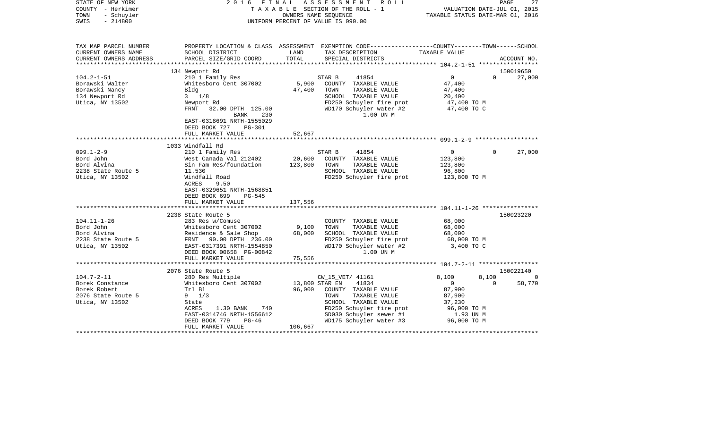| STATE OF NEW YORK<br>COUNTY - Herkimer<br>- Schuyler<br>TOWN<br>$-214800$<br>SWIS | 2 0 1 6<br>FINAL<br>A S S E S S M E N T<br>R O L L<br>TAXABLE SECTION OF THE ROLL - 1<br>OWNERS NAME SEQUENCE<br>UNIFORM PERCENT OF VALUE IS 090.00 |         |                                                                                                | 27<br>PAGE<br>VALUATION DATE-JUL 01, 2015<br>TAXABLE STATUS DATE-MAR 01, 2016 |                    |   |
|-----------------------------------------------------------------------------------|-----------------------------------------------------------------------------------------------------------------------------------------------------|---------|------------------------------------------------------------------------------------------------|-------------------------------------------------------------------------------|--------------------|---|
| TAX MAP PARCEL NUMBER                                                             |                                                                                                                                                     |         | PROPERTY LOCATION & CLASS ASSESSMENT EXEMPTION CODE---------------COUNTY-------TOWN-----SCHOOL |                                                                               |                    |   |
| CURRENT OWNERS NAME                                                               | SCHOOL DISTRICT                                                                                                                                     | LAND    | TAX DESCRIPTION                                                                                | TAXABLE VALUE                                                                 |                    |   |
| CURRENT OWNERS ADDRESS<br>************************                                | PARCEL SIZE/GRID COORD                                                                                                                              | TOTAL   | SPECIAL DISTRICTS                                                                              |                                                                               | ACCOUNT NO.        |   |
|                                                                                   | 134 Newport Rd                                                                                                                                      |         |                                                                                                |                                                                               | 150019650          |   |
| $104.2 - 1 - 51$                                                                  | 210 1 Family Res                                                                                                                                    |         | STAR B<br>41854                                                                                | $\Omega$                                                                      | $\Omega$<br>27,000 |   |
| Borawski Walter                                                                   | Whitesboro Cent 307002                                                                                                                              | 5,900   | COUNTY TAXABLE VALUE                                                                           | 47,400                                                                        |                    |   |
| Borawski Nancy                                                                    | Bldg                                                                                                                                                | 47,400  | TOWN<br>TAXABLE VALUE                                                                          | 47,400                                                                        |                    |   |
| 134 Newport Rd                                                                    | $3 \frac{1}{8}$                                                                                                                                     |         | SCHOOL TAXABLE VALUE                                                                           | 20,400                                                                        |                    |   |
| Utica, NY 13502                                                                   | Newport Rd                                                                                                                                          |         | FD250 Schuyler fire prot                                                                       | 47,400 TO M                                                                   |                    |   |
|                                                                                   | FRNT 32.00 DPTH 125.00<br>BANK<br>230<br>EAST-0318691 NRTH-1555029<br>DEED BOOK 727<br><b>PG-301</b>                                                |         | WD170 Schuyler water #2<br>1.00 UN M                                                           | 47,400 TO C                                                                   |                    |   |
|                                                                                   | FULL MARKET VALUE                                                                                                                                   | 52,667  |                                                                                                |                                                                               |                    |   |
|                                                                                   |                                                                                                                                                     |         |                                                                                                |                                                                               |                    |   |
| $099.1 - 2 - 9$                                                                   | 1033 Windfall Rd                                                                                                                                    |         |                                                                                                | 0                                                                             | 27,000<br>$\Omega$ |   |
| Bord John                                                                         | 210 1 Family Res<br>West Canada Val 212402                                                                                                          | 20,600  | STAR B<br>41854<br>COUNTY TAXABLE VALUE                                                        | 123,800                                                                       |                    |   |
| Bord Alvina                                                                       | Sin Fam Res/foundation                                                                                                                              | 123,800 | TOWN<br>TAXABLE VALUE                                                                          | 123,800                                                                       |                    |   |
| 2238 State Route 5                                                                | 11.530                                                                                                                                              |         | SCHOOL TAXABLE VALUE                                                                           | 96,800                                                                        |                    |   |
| Utica, NY 13502                                                                   | Windfall Road<br>ACRES<br>9.50<br>EAST-0329651 NRTH-1568851<br>DEED BOOK 699<br>$PG-545$                                                            |         | FD250 Schuyler fire prot                                                                       | 123,800 TO M                                                                  |                    |   |
|                                                                                   | FULL MARKET VALUE                                                                                                                                   | 137,556 |                                                                                                |                                                                               |                    |   |
|                                                                                   | 2238 State Route 5                                                                                                                                  |         |                                                                                                |                                                                               | 150023220          |   |
| $104.11 - 1 - 26$                                                                 | 283 Res w/Comuse                                                                                                                                    |         | COUNTY TAXABLE VALUE                                                                           | 68,000                                                                        |                    |   |
| Bord John                                                                         | Whitesboro Cent 307002                                                                                                                              | 9,100   | TAXABLE VALUE<br>TOWN                                                                          | 68,000                                                                        |                    |   |
| Bord Alvina                                                                       | Residence & Sale Shop                                                                                                                               | 68,000  | SCHOOL TAXABLE VALUE                                                                           | 68,000                                                                        |                    |   |
| 2238 State Route 5                                                                | FRNT 90.00 DPTH 236.00                                                                                                                              |         | FD250 Schuyler fire prot                                                                       | 68,000 TO M                                                                   |                    |   |
| Utica, NY 13502                                                                   | EAST-0317391 NRTH-1554850                                                                                                                           |         | WD170 Schuyler water #2                                                                        | 3,400 TO C                                                                    |                    |   |
|                                                                                   | DEED BOOK 00658 PG-00842                                                                                                                            |         | 1.00 UN M                                                                                      |                                                                               |                    |   |
|                                                                                   | FULL MARKET VALUE                                                                                                                                   | 75,556  |                                                                                                |                                                                               |                    |   |
|                                                                                   |                                                                                                                                                     |         |                                                                                                |                                                                               |                    |   |
| $104.7 - 2 - 11$                                                                  | 2076 State Route 5                                                                                                                                  |         |                                                                                                | 8,100                                                                         | 150022140<br>8,100 |   |
| Borek Constance                                                                   | 280 Res Multiple<br>Whitesboro Cent 307002                                                                                                          |         | CW_15_VET/ 41161<br>13,800 STAR EN<br>41834                                                    | $\mathbf{0}$                                                                  | 58,770<br>$\Omega$ | 0 |
| Borek Robert                                                                      | Trl Bl                                                                                                                                              | 96,000  | COUNTY TAXABLE VALUE                                                                           | 87,900                                                                        |                    |   |
| 2076 State Route 5                                                                | $9 \t1/3$                                                                                                                                           |         | TOWN<br>TAXABLE VALUE                                                                          | 87,900                                                                        |                    |   |
| Utica, NY 13502                                                                   | State                                                                                                                                               |         | SCHOOL TAXABLE VALUE                                                                           | 37,230                                                                        |                    |   |
|                                                                                   | ACRES<br>1.30 BANK<br>740                                                                                                                           |         | FD250 Schuyler fire prot                                                                       | 96,000 TO M                                                                   |                    |   |
|                                                                                   | EAST-0314746 NRTH-1556612                                                                                                                           |         | SD030 Schuyler sewer #1                                                                        | 1.93 UN M                                                                     |                    |   |
|                                                                                   | DEED BOOK 779<br>$PG-46$                                                                                                                            |         | WD175 Schuyler water #3                                                                        | 96,000 TO M                                                                   |                    |   |
|                                                                                   | FULL MARKET VALUE                                                                                                                                   | 106,667 |                                                                                                |                                                                               |                    |   |
| ************************                                                          |                                                                                                                                                     |         |                                                                                                |                                                                               |                    |   |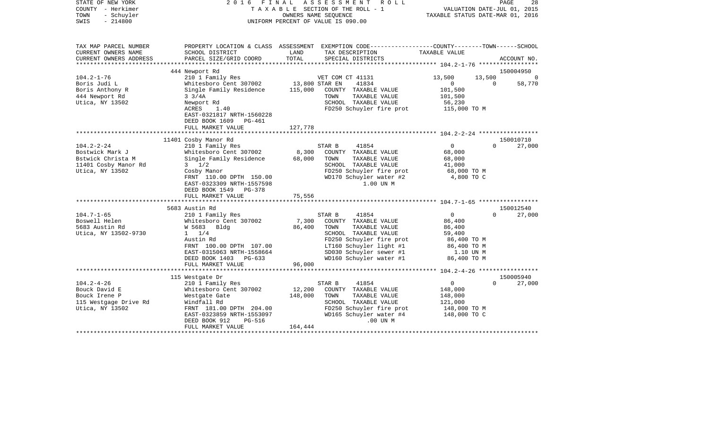| STATE OF NEW YORK<br>COUNTY - Herkimer<br>TOWN<br>- Schuyler<br>$-214800$<br>SWIS | 2016 FINAL                                            |                | ASSESSMENT<br>R O L L<br>TAXABLE SECTION OF THE ROLL - 1<br>OWNERS NAME SEOUENCE<br>UNIFORM PERCENT OF VALUE IS 090.00 | TAXABLE STATUS DATE-MAR 01, 2016 | PAGE<br>28<br>VALUATION DATE-JUL 01, 2015 |
|-----------------------------------------------------------------------------------|-------------------------------------------------------|----------------|------------------------------------------------------------------------------------------------------------------------|----------------------------------|-------------------------------------------|
| TAX MAP PARCEL NUMBER<br>CURRENT OWNERS NAME                                      | SCHOOL DISTRICT                                       | LAND           | PROPERTY LOCATION & CLASS ASSESSMENT EXEMPTION CODE---------------COUNTY-------TOWN-----SCHOOL<br>TAX DESCRIPTION      | TAXABLE VALUE                    |                                           |
| CURRENT OWNERS ADDRESS                                                            | PARCEL SIZE/GRID COORD                                | TOTAL          | SPECIAL DISTRICTS                                                                                                      |                                  | ACCOUNT NO.                               |
| ***********************                                                           |                                                       |                |                                                                                                                        |                                  |                                           |
|                                                                                   | 444 Newport Rd                                        |                |                                                                                                                        |                                  | 150004950                                 |
| $104.2 - 1 - 76$                                                                  | 210 1 Family Res                                      |                | VET COM CT 41131                                                                                                       | 13,500<br>13,500                 | $\Omega$                                  |
| Boris Judi L                                                                      | Whitesboro Cent 307002                                | 13,800 STAR EN | 41834                                                                                                                  | $\overline{0}$                   | 58,770<br>$\mathbf 0$                     |
| Boris Anthony R                                                                   | Single Family Residence                               | 115,000        | COUNTY TAXABLE VALUE                                                                                                   | 101,500                          |                                           |
| 444 Newport Rd<br>Utica, NY 13502                                                 | $3 \frac{3}{4A}$<br>Newport Rd                        |                | TAXABLE VALUE<br>TOWN<br>SCHOOL TAXABLE VALUE                                                                          | 101,500<br>56,230                |                                           |
|                                                                                   | ACRES<br>1.40                                         |                | FD250 Schuyler fire prot                                                                                               | 115,000 TO M                     |                                           |
|                                                                                   | EAST-0321817 NRTH-1560228<br>DEED BOOK 1609<br>PG-461 |                |                                                                                                                        |                                  |                                           |
|                                                                                   | FULL MARKET VALUE                                     | 127,778        |                                                                                                                        |                                  |                                           |
|                                                                                   |                                                       |                |                                                                                                                        |                                  |                                           |
|                                                                                   | 11401 Cosby Manor Rd                                  |                |                                                                                                                        |                                  | 150010710                                 |
| $104.2 - 2 - 24$                                                                  | 210 1 Family Res                                      |                | 41854<br>STAR B                                                                                                        | $\overline{0}$                   | $\Omega$<br>27,000                        |
| Bostwick Mark J                                                                   | Whitesboro Cent 307002                                | 8,300          | COUNTY TAXABLE VALUE                                                                                                   | 68,000                           |                                           |
| Bstwick Christa M                                                                 | Single Family Residence                               | 68,000         | TOWN<br>TAXABLE VALUE                                                                                                  | 68,000                           |                                           |
| 11401 Cosby Manor Rd                                                              | $3 \frac{1}{2}$                                       |                | SCHOOL TAXABLE VALUE                                                                                                   | 41,000                           |                                           |
| Utica, NY 13502                                                                   | Cosby Manor<br>FRNT 110.00 DPTH 150.00                |                | FD250 Schuyler fire prot<br>WD170 Schuyler water #2                                                                    | 68,000 TO M<br>4,800 TO C        |                                           |
|                                                                                   | EAST-0323309 NRTH-1557598                             |                | 1.00 UN M                                                                                                              |                                  |                                           |
|                                                                                   | DEED BOOK 1549 PG-378                                 |                |                                                                                                                        |                                  |                                           |
|                                                                                   | FULL MARKET VALUE                                     | 75,556         |                                                                                                                        |                                  |                                           |
|                                                                                   |                                                       |                |                                                                                                                        |                                  |                                           |
|                                                                                   | 5683 Austin Rd                                        |                |                                                                                                                        |                                  | 150012540                                 |
| $104.7 - 1 - 65$                                                                  | 210 1 Family Res                                      |                | STAR B<br>41854                                                                                                        | $\overline{0}$                   | $\Omega$<br>27,000                        |
| Boswell Helen                                                                     | Whitesboro Cent 307002                                | 7,300          | COUNTY TAXABLE VALUE                                                                                                   | 86,400                           |                                           |
| 5683 Austin Rd                                                                    | W 5683 Bldg                                           | 86,400         | TOWN<br>TAXABLE VALUE                                                                                                  | 86,400                           |                                           |
| Utica, NY 13502-9730                                                              | $1 \t1/4$                                             |                | SCHOOL TAXABLE VALUE                                                                                                   | 59,400                           |                                           |
|                                                                                   | Austin Rd                                             |                | FD250 Schuyler fire prot                                                                                               | 86,400 TO M                      |                                           |
|                                                                                   | FRNT 100.00 DPTH 107.00                               |                | LT160 Schuyler light #1                                                                                                | 86,400 TO M                      |                                           |
|                                                                                   | EAST-0315063 NRTH-1558664                             |                | SD030 Schuyler sewer #1                                                                                                | 1.10 UN M                        |                                           |
|                                                                                   | DEED BOOK 1403 PG-633                                 |                | WD160 Schuyler water #1                                                                                                | 86,400 TO M                      |                                           |
|                                                                                   | FULL MARKET VALUE                                     | 96,000         |                                                                                                                        |                                  |                                           |
|                                                                                   | 115 Westgate Dr                                       |                |                                                                                                                        |                                  | 150005940                                 |
| $104.2 - 4 - 26$                                                                  | 210 1 Family Res                                      |                | 41854<br>STAR B                                                                                                        | $\overline{0}$                   | $\Omega$<br>27,000                        |
| Bouck David E                                                                     | Whitesboro Cent 307002                                | 12,200         | COUNTY TAXABLE VALUE                                                                                                   | 148,000                          |                                           |
| Bouck Irene P                                                                     | Westgate Gate                                         | 148,000        | TOWN<br>TAXABLE VALUE                                                                                                  | 148,000                          |                                           |
| 115 Westgage Drive Rd                                                             | Windfall Rd                                           |                | SCHOOL TAXABLE VALUE                                                                                                   | 121,000                          |                                           |
| Utica, NY 13502                                                                   | FRNT 181.00 DPTH 204.00                               |                | FD250 Schuyler fire prot                                                                                               | 148,000 TO M                     |                                           |
|                                                                                   | EAST-0323859 NRTH-1553097                             |                | WD165 Schuyler water #4                                                                                                | 148,000 TO C                     |                                           |
|                                                                                   | DEED BOOK 912<br>PG-516                               |                | .00 UN M                                                                                                               |                                  |                                           |
|                                                                                   | FULL MARKET VALUE                                     | 164,444        |                                                                                                                        |                                  |                                           |
|                                                                                   |                                                       |                |                                                                                                                        |                                  |                                           |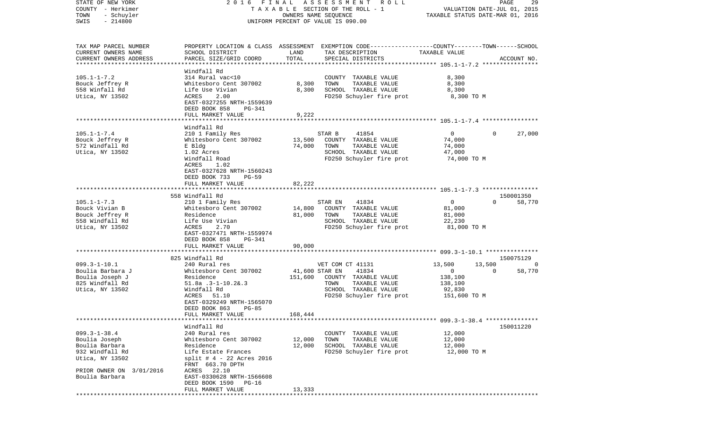| STATE OF NEW YORK<br>COUNTY - Herkimer<br>TOWN<br>- Schuyler<br>$-214800$<br>SWIS                                                         | FINAL<br>2016                                                                                                                                                                             |                           | A S S E S S M E N T R O L L<br>T A X A B L E SECTION OF THE ROLL - 1<br>OWNERS NAME SEQUENCE<br>UNIFORM PERCENT OF VALUE IS 090.00      | VALUATION DATE-JUL 01, 2015<br>TAXABLE STATUS DATE-MAR 01, 2016       | PAGE<br>29                                     |
|-------------------------------------------------------------------------------------------------------------------------------------------|-------------------------------------------------------------------------------------------------------------------------------------------------------------------------------------------|---------------------------|-----------------------------------------------------------------------------------------------------------------------------------------|-----------------------------------------------------------------------|------------------------------------------------|
| TAX MAP PARCEL NUMBER<br>CURRENT OWNERS NAME<br>CURRENT OWNERS ADDRESS<br>*************************                                       | SCHOOL DISTRICT<br>PARCEL SIZE/GRID COORD                                                                                                                                                 | LAND<br>TOTAL             | PROPERTY LOCATION & CLASS ASSESSMENT EXEMPTION CODE---------------COUNTY-------TOWN------SCHOOL<br>TAX DESCRIPTION<br>SPECIAL DISTRICTS | TAXABLE VALUE                                                         | ACCOUNT NO.                                    |
| $105.1 - 1 - 7.2$<br>Bouck Jeffrey R<br>558 Winfall Rd<br>Utica, NY 13502                                                                 | Windfall Rd<br>314 Rural vac<10<br>Whitesboro Cent 307002<br>Life Use Vivian<br>2.00<br>ACRES<br>EAST-0327255 NRTH-1559639<br>DEED BOOK 858<br>PG-341<br>FULL MARKET VALUE                | 8,300<br>8,300<br>9,222   | COUNTY TAXABLE VALUE<br>TOWN<br>TAXABLE VALUE<br>SCHOOL TAXABLE VALUE<br>FD250 Schuyler fire prot                                       | 8,300<br>8,300<br>8,300<br>8,300 TO M                                 |                                                |
|                                                                                                                                           |                                                                                                                                                                                           |                           |                                                                                                                                         |                                                                       |                                                |
| $105.1 - 1 - 7.4$<br>Bouck Jeffrey R<br>572 Windfall Rd<br>Utica, NY 13502                                                                | Windfall Rd<br>210 1 Family Res<br>Whitesboro Cent 307002<br>E Bldg<br>1.02 Acres<br>Windfall Road<br>ACRES<br>1.02<br>EAST-0327628 NRTH-1560243<br>DEED BOOK 733<br>$PG-59$              | 13,500<br>74,000          | 41854<br>STAR B<br>COUNTY TAXABLE VALUE<br>TOWN<br>TAXABLE VALUE<br>SCHOOL TAXABLE VALUE<br>FD250 Schuyler fire prot                    | $\overline{0}$<br>74,000<br>74,000<br>47,000<br>74,000 TO M           | $\Omega$<br>27,000                             |
|                                                                                                                                           | FULL MARKET VALUE                                                                                                                                                                         | 82,222                    |                                                                                                                                         |                                                                       |                                                |
|                                                                                                                                           | 558 Windfall Rd                                                                                                                                                                           |                           |                                                                                                                                         |                                                                       | 150001350                                      |
| $105.1 - 1 - 7.3$<br>Bouck Vivian B<br>Bouck Jeffrey R<br>558 Windfall Rd<br>Utica, NY 13502                                              | 210 1 Family Res<br>Whitesboro Cent 307002<br>Residence<br>Life Use Vivian<br>2.70<br>ACRES<br>EAST-0327471 NRTH-1559974<br>DEED BOOK 858<br>PG-341                                       | 14,800<br>81,000          | 41834<br>STAR EN<br>COUNTY TAXABLE VALUE<br>TAXABLE VALUE<br>TOWN<br>SCHOOL TAXABLE VALUE<br>FD250 Schuyler fire prot                   | $\mathbf 0$<br>81,000<br>81,000<br>22,230<br>81,000 TO M              | $\Omega$<br>58,770                             |
|                                                                                                                                           | FULL MARKET VALUE                                                                                                                                                                         | 90,000                    |                                                                                                                                         |                                                                       |                                                |
|                                                                                                                                           |                                                                                                                                                                                           |                           |                                                                                                                                         |                                                                       |                                                |
|                                                                                                                                           | 825 Windfall Rd                                                                                                                                                                           |                           |                                                                                                                                         |                                                                       | 150075129                                      |
| $099.3 - 1 - 10.1$<br>Boulia Barbara J<br>Boulia Joseph J<br>825 Windfall Rd<br>Utica, NY 13502                                           | 240 Rural res<br>Whitesboro Cent 307002<br>Residence<br>$51.8a$ $.3-1-10.2a.3$<br>Windfall Rd<br>ACRES<br>51.10<br>EAST-0329249 NRTH-1565070<br>DEED BOOK 863<br>$PG-85$                  | 41,600 STAR EN<br>151,600 | VET COM CT 41131<br>41834<br>COUNTY TAXABLE VALUE<br>TAXABLE VALUE<br>TOWN<br>SCHOOL TAXABLE VALUE<br>FD250 Schuyler fire prot          | 13,500<br>13,500<br>0<br>138,100<br>138,100<br>92,830<br>151,600 TO M | $\overline{\phantom{0}}$<br>$\Omega$<br>58,770 |
|                                                                                                                                           | FULL MARKET VALUE                                                                                                                                                                         | 168,444                   |                                                                                                                                         |                                                                       |                                                |
|                                                                                                                                           |                                                                                                                                                                                           |                           |                                                                                                                                         |                                                                       |                                                |
| $099.3 - 1 - 38.4$<br>Boulia Joseph<br>Boulia Barbara<br>932 Windfall Rd<br>Utica, NY 13502<br>PRIOR OWNER ON 3/01/2016<br>Boulia Barbara | Windfall Rd<br>240 Rural res<br>Whitesboro Cent 307002<br>Residence<br>Life Estate Frances<br>$split$ # 4 - 22 Acres 2016<br>FRNT 663.70 DPTH<br>ACRES 22.10<br>EAST-0330628 NRTH-1566608 | 12,000<br>12,000          | COUNTY TAXABLE VALUE<br>TOWN<br>TAXABLE VALUE<br>SCHOOL TAXABLE VALUE<br>FD250 Schuyler fire prot                                       | 12,000<br>12,000<br>12,000<br>12,000 TO M                             | 150011220                                      |
|                                                                                                                                           | DEED BOOK 1590 PG-16<br>FULL MARKET VALUE                                                                                                                                                 | 13,333                    |                                                                                                                                         |                                                                       |                                                |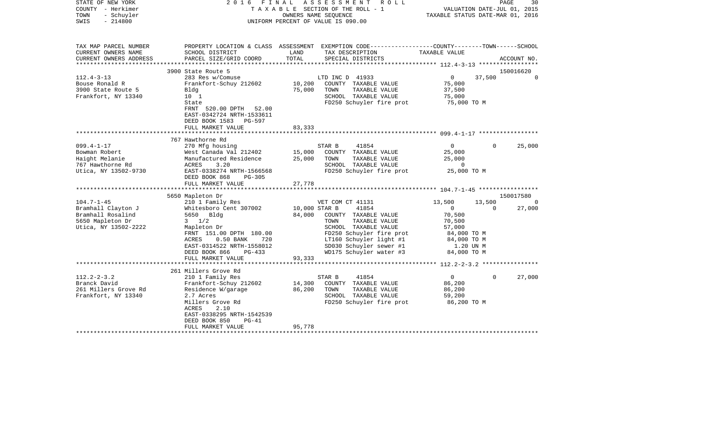| STATE OF NEW YORK<br>COUNTY - Herkimer<br>- Schuyler<br>TOWN<br>$-214800$<br>SWIS | 2016 FINAL                                                                      |               | ASSESSMENT<br>R O L L<br>T A X A B L E SECTION OF THE ROLL - 1<br>OWNERS NAME SEQUENCE<br>UNIFORM PERCENT OF VALUE IS 090.00 | TAXABLE STATUS DATE-MAR 01, 2016 | PAGE<br>VALUATION DATE-JUL 01, 2015 | 30                    |
|-----------------------------------------------------------------------------------|---------------------------------------------------------------------------------|---------------|------------------------------------------------------------------------------------------------------------------------------|----------------------------------|-------------------------------------|-----------------------|
| TAX MAP PARCEL NUMBER                                                             |                                                                                 |               | PROPERTY LOCATION & CLASS ASSESSMENT EXEMPTION CODE---------------COUNTY-------TOWN-----SCHOOL                               |                                  |                                     |                       |
| CURRENT OWNERS NAME<br>CURRENT OWNERS ADDRESS                                     | SCHOOL DISTRICT<br>PARCEL SIZE/GRID COORD                                       | LAND<br>TOTAL | TAX DESCRIPTION<br>SPECIAL DISTRICTS                                                                                         | TAXABLE VALUE                    |                                     | ACCOUNT NO.           |
| **********************                                                            |                                                                                 |               |                                                                                                                              |                                  |                                     |                       |
|                                                                                   | 3900 State Route 5                                                              |               |                                                                                                                              |                                  |                                     | 150016620<br>$\Omega$ |
| $112.4 - 3 - 13$<br>Bouse Ronald R                                                | 283 Res w/Comuse<br>Frankfort-Schuy 212602                                      | 10,200        | LTD INC D 41933                                                                                                              | $\overline{0}$<br>75,000         | 37,500                              |                       |
|                                                                                   |                                                                                 |               | COUNTY TAXABLE VALUE<br>TOWN                                                                                                 |                                  |                                     |                       |
| 3900 State Route 5<br>Frankfort, NY 13340                                         | Bldg<br>10 <sub>1</sub>                                                         | 75,000        | TAXABLE VALUE<br>SCHOOL TAXABLE VALUE                                                                                        | 37,500<br>75,000                 |                                     |                       |
|                                                                                   | State                                                                           |               | FD250 Schuyler fire prot                                                                                                     | 75,000 TO M                      |                                     |                       |
|                                                                                   | FRNT 520.00 DPTH 52.00<br>EAST-0342724 NRTH-1533611<br>DEED BOOK 1583<br>PG-597 |               |                                                                                                                              |                                  |                                     |                       |
|                                                                                   | FULL MARKET VALUE                                                               | 83,333        |                                                                                                                              |                                  |                                     |                       |
|                                                                                   | 767 Hawthorne Rd                                                                |               |                                                                                                                              |                                  |                                     |                       |
| $099.4 - 1 - 17$                                                                  | 270 Mfg housing                                                                 |               | 41854<br>STAR B                                                                                                              | $\overline{0}$                   | $\Omega$                            | 25,000                |
| Bowman Robert                                                                     | West Canada Val 212402                                                          | 15,000        | COUNTY TAXABLE VALUE                                                                                                         | 25,000                           |                                     |                       |
| Haight Melanie                                                                    | Manufactured Residence                                                          | 25,000        | TAXABLE VALUE<br>TOWN                                                                                                        | 25,000                           |                                     |                       |
| 767 Hawthorne Rd                                                                  | ACRES<br>3.20                                                                   |               | SCHOOL TAXABLE VALUE                                                                                                         | $\overline{0}$                   |                                     |                       |
| Utica, NY 13502-9730                                                              | EAST-0338274 NRTH-1566568                                                       |               | FD250 Schuyler fire prot                                                                                                     | 25,000 TO M                      |                                     |                       |
|                                                                                   | DEED BOOK 868<br>PG-305                                                         |               |                                                                                                                              |                                  |                                     |                       |
|                                                                                   | FULL MARKET VALUE                                                               | 27,778        |                                                                                                                              |                                  |                                     |                       |
|                                                                                   |                                                                                 |               |                                                                                                                              |                                  |                                     |                       |
|                                                                                   | 5650 Mapleton Dr                                                                |               |                                                                                                                              |                                  |                                     | 150017580             |
| $104.7 - 1 - 45$                                                                  | 210 1 Family Res                                                                |               | VET COM CT 41131                                                                                                             | 13,500                           | 13,500                              | $\Omega$              |
| Bramhall Clayton J                                                                | Whitesboro Cent 307002                                                          | 10,000 STAR B | 41854                                                                                                                        | $\overline{0}$                   | $\Omega$                            | 27,000                |
| Bramhall Rosalind                                                                 | 5650 Bldg                                                                       | 84,000        | COUNTY TAXABLE VALUE                                                                                                         | 70,500                           |                                     |                       |
| 5650 Mapleton Dr                                                                  | $3 \frac{1}{2}$                                                                 |               | TAXABLE VALUE<br>TOWN                                                                                                        | 70,500                           |                                     |                       |
| Utica, NY 13502-2222                                                              | Mapleton Dr                                                                     |               | SCHOOL TAXABLE VALUE                                                                                                         | 57,000                           |                                     |                       |
|                                                                                   | FRNT 151.00 DPTH 180.00                                                         |               | FD250 Schuyler fire prot                                                                                                     | 84,000 TO M                      |                                     |                       |
|                                                                                   | $0.50$ BANK<br>ACRES<br>720                                                     |               | LT160 Schuyler light #1                                                                                                      | 84,000 TO M                      |                                     |                       |
|                                                                                   | EAST-0314522 NRTH-1558012                                                       |               | SD030 Schuyler sewer #1                                                                                                      | 1.20 UN M                        |                                     |                       |
|                                                                                   | DEED BOOK 866<br>$PG-433$                                                       |               | WD175 Schuyler water #3                                                                                                      | 84,000 TO M                      |                                     |                       |
|                                                                                   | FULL MARKET VALUE                                                               | 93,333        |                                                                                                                              |                                  |                                     |                       |
|                                                                                   | 261 Millers Grove Rd                                                            |               |                                                                                                                              |                                  |                                     |                       |
| $112.2 - 2 - 3.2$                                                                 | 210 1 Family Res                                                                |               | 41854<br>STAR B                                                                                                              | $\overline{0}$                   | $\Omega$                            | 27,000                |
| Branck David                                                                      | Frankfort-Schuy 212602                                                          | 14,300        | COUNTY TAXABLE VALUE                                                                                                         | 86,200                           |                                     |                       |
| 261 Millers Grove Rd                                                              | Residence W/garage                                                              | 86,200        | TAXABLE VALUE<br>TOWN                                                                                                        | 86,200                           |                                     |                       |
| Frankfort, NY 13340                                                               | 2.7 Acres                                                                       |               | SCHOOL TAXABLE VALUE                                                                                                         | 59,200                           |                                     |                       |
|                                                                                   | Millers Grove Rd                                                                |               | FD250 Schuyler fire prot                                                                                                     | 86,200 TO M                      |                                     |                       |
|                                                                                   | ACRES<br>2.10                                                                   |               |                                                                                                                              |                                  |                                     |                       |
|                                                                                   | EAST-0338295 NRTH-1542539                                                       |               |                                                                                                                              |                                  |                                     |                       |
|                                                                                   | DEED BOOK 850<br>$PG-41$                                                        |               |                                                                                                                              |                                  |                                     |                       |
|                                                                                   | FULL MARKET VALUE                                                               | 95,778        |                                                                                                                              |                                  |                                     |                       |
|                                                                                   |                                                                                 |               |                                                                                                                              |                                  |                                     |                       |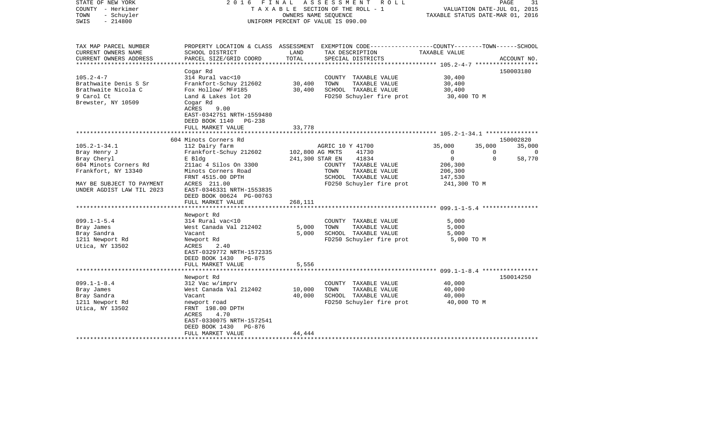| STATE OF NEW YORK<br>COUNTY - Herkimer<br>- Schuyler<br>TOWN<br>$-214800$<br>SWIS                                                                           | 2 0 1 6<br>FINAL                                                                                                                                                                                                      | OWNERS NAME SEOUENCE                          | ASSESSMENT<br>R O L L<br>T A X A B L E SECTION OF THE ROLL - 1<br>UNIFORM PERCENT OF VALUE IS 090.00                                     | VALUATION DATE-JUL 01, 2015<br>TAXABLE STATUS DATE-MAR 01, 2016                                                                         | $\mathop{\mathtt{PAGE}}$          | 31                           |
|-------------------------------------------------------------------------------------------------------------------------------------------------------------|-----------------------------------------------------------------------------------------------------------------------------------------------------------------------------------------------------------------------|-----------------------------------------------|------------------------------------------------------------------------------------------------------------------------------------------|-----------------------------------------------------------------------------------------------------------------------------------------|-----------------------------------|------------------------------|
| TAX MAP PARCEL NUMBER<br>CURRENT OWNERS NAME<br>CURRENT OWNERS ADDRESS                                                                                      | SCHOOL DISTRICT<br>PARCEL SIZE/GRID COORD                                                                                                                                                                             | LAND<br>TOTAL                                 | PROPERTY LOCATION & CLASS ASSESSMENT EXEMPTION CODE----------------COUNTY-------TOWN------SCHOOL<br>TAX DESCRIPTION<br>SPECIAL DISTRICTS | TAXABLE VALUE                                                                                                                           |                                   | ACCOUNT NO.                  |
| *********************                                                                                                                                       |                                                                                                                                                                                                                       | *************                                 |                                                                                                                                          |                                                                                                                                         |                                   |                              |
| $105.2 - 4 - 7$<br>Brathwaite Denis S Sr<br>Brathwaite Nicola C<br>9 Carol Ct<br>Brewster, NY 10509                                                         | Cogar Rd<br>314 Rural vac<10<br>Frankfort-Schuy 212602<br>Fox Hollow/ MF#185<br>Land & Lakes lot 20<br>Cogar Rd<br>ACRES<br>9.00<br>EAST-0342751 NRTH-1559480                                                         | 30,400<br>30,400                              | COUNTY TAXABLE VALUE<br>TOWN<br>TAXABLE VALUE<br>SCHOOL TAXABLE VALUE<br>FD250 Schuyler fire prot                                        | 30,400<br>30,400<br>30,400<br>30,400 TO M                                                                                               |                                   | 150003180                    |
|                                                                                                                                                             | DEED BOOK 1140<br>$PG-238$<br>FULL MARKET VALUE                                                                                                                                                                       | 33,778                                        |                                                                                                                                          |                                                                                                                                         |                                   |                              |
|                                                                                                                                                             | 604 Minots Corners Rd                                                                                                                                                                                                 |                                               |                                                                                                                                          | ********************** 105.2-1-34.1 ****************                                                                                    |                                   | 150002820                    |
| $105.2 - 1 - 34.1$<br>Bray Henry J<br>Bray Cheryl<br>604 Minots Corners Rd<br>Frankfort, NY 13340<br>MAY BE SUBJECT TO PAYMENT<br>UNDER AGDIST LAW TIL 2023 | 112 Dairy farm<br>Frankfort-Schuy 212602<br>E Bldg<br>211ac 4 Silos On 3300<br>Minots Corners Road<br>FRNT 4515.00 DPTH<br>ACRES 211.00<br>EAST-0346331 NRTH-1553835<br>DEED BOOK 00624 PG-00763<br>FULL MARKET VALUE | 102,800 AG MKTS<br>241,300 STAR EN<br>268,111 | AGRIC 10 Y 41700<br>41730<br>41834<br>COUNTY TAXABLE VALUE<br>TAXABLE VALUE<br>TOWN<br>SCHOOL TAXABLE VALUE<br>FD250 Schuyler fire prot  | 35,000<br>$\mathbf{0}$<br>$\mathbf 0$<br>206,300<br>206,300<br>147,530<br>241,300 TO M<br>************************ 099.1-1-5.4 ******** | 35,000<br>$\Omega$<br>$\mathbf 0$ | 35,000<br>$\Omega$<br>58,770 |
| $099.1 - 1 - 5.4$<br>Bray James<br>Bray Sandra<br>1211 Newport Rd<br>Utica, NY 13502                                                                        | Newport Rd<br>314 Rural vac<10<br>West Canada Val 212402<br>Vacant<br>Newport Rd<br>ACRES<br>2.40<br>EAST-0329772 NRTH-1572335<br>DEED BOOK 1430<br><b>PG-875</b>                                                     | 5,000<br>5,000                                | COUNTY TAXABLE VALUE<br>TOWN<br>TAXABLE VALUE<br>SCHOOL TAXABLE VALUE<br>FD250 Schuyler fire prot                                        | 5,000<br>5,000<br>5,000<br>5,000 TO M                                                                                                   |                                   |                              |
|                                                                                                                                                             | FULL MARKET VALUE                                                                                                                                                                                                     | 5,556                                         |                                                                                                                                          |                                                                                                                                         |                                   |                              |
|                                                                                                                                                             |                                                                                                                                                                                                                       |                                               |                                                                                                                                          | **************** 099.1-1-8.4 *****************                                                                                          |                                   | 150014250                    |
| $099.1 - 1 - 8.4$<br>Bray James<br>Bray Sandra<br>1211 Newport Rd<br>Utica, NY 13502                                                                        | Newport Rd<br>312 Vac w/imprv<br>West Canada Val 212402<br>Vacant<br>newport road<br>FRNT 198.00 DPTH<br>4.70<br>ACRES<br>EAST-0330075 NRTH-1572541<br>DEED BOOK 1430<br>PG-876                                       | 10,000<br>40,000                              | COUNTY TAXABLE VALUE<br>TOWN<br>TAXABLE VALUE<br>SCHOOL TAXABLE VALUE<br>FD250 Schuyler fire prot                                        | 40,000<br>40,000<br>40,000<br>40,000 TO M                                                                                               |                                   |                              |
|                                                                                                                                                             | FULL MARKET VALUE                                                                                                                                                                                                     | 44,444                                        |                                                                                                                                          |                                                                                                                                         |                                   |                              |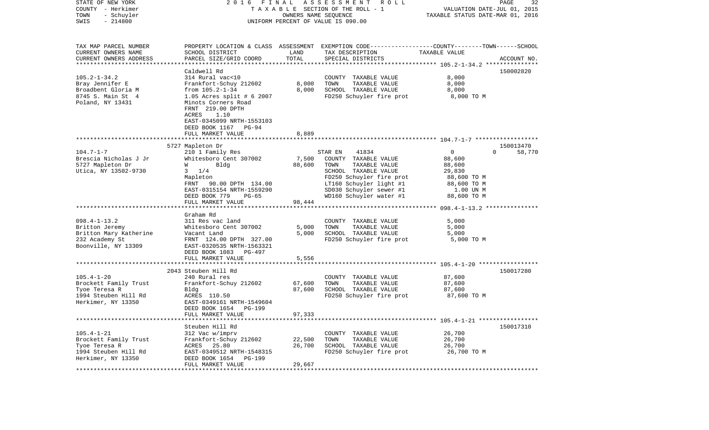| STATE OF NEW YORK<br>COUNTY - Herkimer<br>TOWN<br>- Schuyler<br>$-214800$<br>SWIS | 2016 FINAL<br>TAXABLE SECTION OF THE ROLL - 1<br>UNIFORM PERCENT OF VALUE IS 090.00 | 32<br>PAGE<br>VALUATION DATE-JUL 01, 2015<br>TAXABLE STATUS DATE-MAR 01, 2016 |                                                                                                 |                  |                    |
|-----------------------------------------------------------------------------------|-------------------------------------------------------------------------------------|-------------------------------------------------------------------------------|-------------------------------------------------------------------------------------------------|------------------|--------------------|
| TAX MAP PARCEL NUMBER                                                             |                                                                                     |                                                                               | PROPERTY LOCATION & CLASS ASSESSMENT EXEMPTION CODE---------------COUNTY-------TOWN------SCHOOL |                  |                    |
| CURRENT OWNERS NAME<br>CURRENT OWNERS ADDRESS                                     | SCHOOL DISTRICT<br>PARCEL SIZE/GRID COORD                                           | LAND<br>TOTAL                                                                 | TAX DESCRIPTION<br>SPECIAL DISTRICTS                                                            | TAXABLE VALUE    | ACCOUNT NO.        |
| **********************                                                            |                                                                                     |                                                                               |                                                                                                 |                  |                    |
|                                                                                   | Caldwell Rd                                                                         |                                                                               |                                                                                                 |                  | 150002820          |
| $105.2 - 1 - 34.2$                                                                | 314 Rural vac<10                                                                    |                                                                               | COUNTY TAXABLE VALUE                                                                            | 8,000            |                    |
| Bray Jennifer E                                                                   | Frankfort-Schuy 212602                                                              | 8,000                                                                         | TOWN<br>TAXABLE VALUE                                                                           | 8,000            |                    |
| Broadbent Gloria M                                                                | from $105.2 - 1 - 34$                                                               | 8,000                                                                         | SCHOOL TAXABLE VALUE                                                                            | 8,000            |                    |
| 8745 S. Main St 4<br>Poland, NY 13431                                             | 1.05 Acres split # 6 2007<br>Minots Corners Road                                    |                                                                               | FD250 Schuyler fire prot                                                                        | 8,000 TO M       |                    |
|                                                                                   | FRNT 219.00 DPTH<br>ACRES<br>1.10<br>EAST-0345099 NRTH-1553103                      |                                                                               |                                                                                                 |                  |                    |
|                                                                                   | DEED BOOK 1167 PG-94<br>FULL MARKET VALUE                                           | 8,889                                                                         |                                                                                                 |                  |                    |
|                                                                                   |                                                                                     |                                                                               |                                                                                                 |                  |                    |
|                                                                                   | 5727 Mapleton Dr                                                                    |                                                                               |                                                                                                 |                  | 150013470          |
| $104.7 - 1 - 7$                                                                   | 210 1 Family Res                                                                    |                                                                               | 41834<br>STAR EN                                                                                | $\mathbf{0}$     | $\Omega$<br>58,770 |
| Brescia Nicholas J Jr                                                             | Whitesboro Cent 307002                                                              | 7,500                                                                         | COUNTY TAXABLE VALUE<br>TAXABLE VALUE                                                           | 88,600           |                    |
| 5727 Mapleton Dr<br>Utica, NY 13502-9730                                          | Bldg<br>W<br>1/4<br>3                                                               | 88,600                                                                        | TOWN<br>SCHOOL TAXABLE VALUE                                                                    | 88,600<br>29,830 |                    |
|                                                                                   | Mapleton                                                                            |                                                                               | FD250 Schuyler fire prot                                                                        | 88,600 TO M      |                    |
|                                                                                   | FRNT 90.00 DPTH 134.00                                                              |                                                                               | LT160 Schuyler light #1                                                                         | 88,600 TO M      |                    |
|                                                                                   | EAST-0315154 NRTH-1559290                                                           |                                                                               | SD030 Schuyler sewer #1                                                                         | 1.00 UN M        |                    |
|                                                                                   | DEED BOOK 779<br>$PG-65$                                                            |                                                                               | WD160 Schuyler water #1                                                                         | 88,600 TO M      |                    |
|                                                                                   | FULL MARKET VALUE                                                                   | 98,444                                                                        |                                                                                                 |                  |                    |
|                                                                                   |                                                                                     |                                                                               |                                                                                                 |                  |                    |
| $098.4 - 1 - 13.2$                                                                | Graham Rd<br>311 Res vac land                                                       |                                                                               | COUNTY TAXABLE VALUE                                                                            | 5,000            |                    |
| Britton Jeremy                                                                    | Whitesboro Cent 307002                                                              | 5,000                                                                         | TAXABLE VALUE<br>TOWN                                                                           | 5,000            |                    |
| Britton Mary Katherine                                                            | Vacant Land                                                                         | 5,000                                                                         | SCHOOL TAXABLE VALUE                                                                            | 5,000            |                    |
| 232 Academy St                                                                    | FRNT 124.00 DPTH 327.00                                                             |                                                                               | FD250 Schuyler fire prot                                                                        | 5,000 TO M       |                    |
| Boonville, NY 13309                                                               | EAST-0320535 NRTH-1563321                                                           |                                                                               |                                                                                                 |                  |                    |
|                                                                                   | DEED BOOK 1083<br>PG-497                                                            |                                                                               |                                                                                                 |                  |                    |
|                                                                                   | FULL MARKET VALUE                                                                   | 5,556                                                                         |                                                                                                 |                  |                    |
|                                                                                   | 2043 Steuben Hill Rd                                                                |                                                                               |                                                                                                 |                  | 150017280          |
| $105.4 - 1 - 20$                                                                  | 240 Rural res                                                                       |                                                                               | COUNTY TAXABLE VALUE                                                                            | 87,600           |                    |
| Brockett Family Trust                                                             | Frankfort-Schuy 212602                                                              | 67,600                                                                        | TAXABLE VALUE<br>TOWN                                                                           | 87,600           |                    |
| Tyoe Teresa R                                                                     | Bldg                                                                                | 87,600                                                                        | SCHOOL TAXABLE VALUE                                                                            | 87,600           |                    |
| 1994 Steuben Hill Rd                                                              | ACRES 110.50                                                                        |                                                                               | FD250 Schuyler fire prot                                                                        | 87,600 TO M      |                    |
| Herkimer, NY 13350                                                                | EAST-0349161 NRTH-1549604                                                           |                                                                               |                                                                                                 |                  |                    |
|                                                                                   | DEED BOOK 1654<br>PG-199                                                            |                                                                               |                                                                                                 |                  |                    |
|                                                                                   | FULL MARKET VALUE                                                                   | 97,333                                                                        |                                                                                                 |                  |                    |
|                                                                                   | Steuben Hill Rd                                                                     |                                                                               |                                                                                                 |                  | 150017310          |
| $105.4 - 1 - 21$                                                                  | 312 Vac w/imprv                                                                     |                                                                               | COUNTY TAXABLE VALUE                                                                            | 26,700           |                    |
| Brockett Family Trust                                                             | Frankfort-Schuy 212602                                                              | 22,500                                                                        | TAXABLE VALUE<br>TOWN                                                                           | 26,700           |                    |
| Tyoe Teresa R                                                                     | ACRES 25.80                                                                         | 26,700                                                                        | SCHOOL TAXABLE VALUE                                                                            | 26,700           |                    |
| 1994 Steuben Hill Rd<br>Herkimer, NY 13350                                        | EAST-0349512 NRTH-1548315<br>DEED BOOK 1654 PG-199<br>FULL MARKET VALUE             | 29,667                                                                        | FD250 Schuyler fire prot                                                                        | 26,700 TO M      |                    |
|                                                                                   |                                                                                     |                                                                               |                                                                                                 |                  |                    |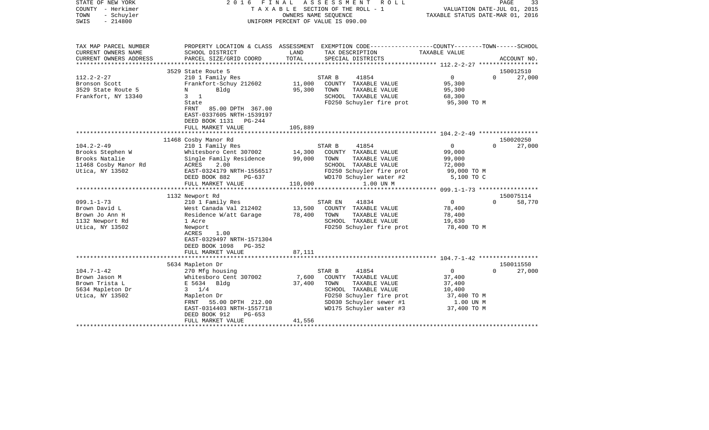| STATE OF NEW YORK<br>COUNTY - Herkimer<br>TOWN<br>- Schuyler<br>SWIS<br>$-214800$                                                                                                              | 2016                                                                                                                                                                                                                                                                                                                                                                                                       |                                                           | FINAL ASSESSMENT<br>R O L L<br>T A X A B L E SECTION OF THE ROLL - 1<br>OWNERS NAME SEOUENCE<br>UNIFORM PERCENT OF VALUE IS 090.00                                                                                                                                                    | TAXABLE STATUS DATE-MAR 01, 2016                                                                                                   | PAGE<br>33<br>VALUATION DATE-JUL 01, 2015                          |
|------------------------------------------------------------------------------------------------------------------------------------------------------------------------------------------------|------------------------------------------------------------------------------------------------------------------------------------------------------------------------------------------------------------------------------------------------------------------------------------------------------------------------------------------------------------------------------------------------------------|-----------------------------------------------------------|---------------------------------------------------------------------------------------------------------------------------------------------------------------------------------------------------------------------------------------------------------------------------------------|------------------------------------------------------------------------------------------------------------------------------------|--------------------------------------------------------------------|
| TAX MAP PARCEL NUMBER<br>CURRENT OWNERS NAME                                                                                                                                                   | SCHOOL DISTRICT                                                                                                                                                                                                                                                                                                                                                                                            | LAND                                                      | PROPERTY LOCATION & CLASS ASSESSMENT EXEMPTION CODE---------------COUNTY-------TOWN------SCHOOL<br>TAX DESCRIPTION                                                                                                                                                                    | TAXABLE VALUE                                                                                                                      |                                                                    |
| CURRENT OWNERS ADDRESS                                                                                                                                                                         | PARCEL SIZE/GRID COORD                                                                                                                                                                                                                                                                                                                                                                                     | TOTAL                                                     | SPECIAL DISTRICTS                                                                                                                                                                                                                                                                     |                                                                                                                                    | ACCOUNT NO.                                                        |
|                                                                                                                                                                                                | 3529 State Route 5                                                                                                                                                                                                                                                                                                                                                                                         |                                                           |                                                                                                                                                                                                                                                                                       |                                                                                                                                    | 150012510                                                          |
| $112.2 - 2 - 27$<br>Bronson Scott<br>3529 State Route 5<br>Frankfort, NY 13340                                                                                                                 | 210 1 Family Res<br>Frankfort-Schuy 212602<br>Bldg<br>$N$ and $N$<br>$3 \quad 1$<br>State<br>FRNT<br>85.00 DPTH 367.00<br>EAST-0337605 NRTH-1539197<br>DEED BOOK 1131 PG-244<br>FULL MARKET VALUE                                                                                                                                                                                                          | 11,000<br>95,300<br>105,889                               | STAR B<br>41854<br>COUNTY TAXABLE VALUE<br>TOWN<br>TAXABLE VALUE<br>SCHOOL TAXABLE VALUE<br>FD250 Schuyler fire prot                                                                                                                                                                  | $\overline{0}$<br>95,300<br>95,300<br>68,300<br>95,300 TO M                                                                        | 27,000<br>$\Omega$                                                 |
|                                                                                                                                                                                                |                                                                                                                                                                                                                                                                                                                                                                                                            |                                                           |                                                                                                                                                                                                                                                                                       |                                                                                                                                    |                                                                    |
| $104.2 - 2 - 49$<br>Brooks Stephen W<br>Brooks Natalie<br>11468 Cosby Manor Rd<br>Utica, NY 13502<br>$099.1 - 1 - 73$<br>Brown David L<br>Brown Jo Ann H<br>1132 Newport Rd<br>Utica, NY 13502 | 11468 Cosby Manor Rd<br>210 1 Family Res<br>Whitesboro Cent 307002<br>Single Family Residence<br>ACRES<br>2.00<br>EAST-0324179 NRTH-1556517<br>DEED BOOK 882<br>PG-637<br>FULL MARKET VALUE<br>1132 Newport Rd<br>210 1 Family Res<br>West Canada Val 212402<br>Residence W/att Garage<br>1 Acre<br>Newport<br>ACRES<br>1.00<br>EAST-0329497 NRTH-1571304<br>DEED BOOK 1098<br>PG-352<br>FULL MARKET VALUE | 14,300<br>99,000<br>110,000<br>13,500<br>78,400<br>87,111 | 41854<br>STAR B<br>COUNTY TAXABLE VALUE<br>TAXABLE VALUE<br>TOWN<br>SCHOOL TAXABLE VALUE<br>FD250 Schuyler fire prot<br>WD170 Schuyler water #2<br>1.00 UN M<br>41834<br>STAR EN<br>COUNTY TAXABLE VALUE<br>TAXABLE VALUE<br>TOWN<br>SCHOOL TAXABLE VALUE<br>FD250 Schuyler fire prot | $\Omega$<br>99,000<br>99,000<br>72,000<br>99,000 TO M<br>5,100 TO C<br>$\overline{0}$<br>78,400<br>78,400<br>19,630<br>78,400 TO M | 150020250<br>27,000<br>$\Omega$<br>150075114<br>$\Omega$<br>58,770 |
|                                                                                                                                                                                                | 5634 Mapleton Dr                                                                                                                                                                                                                                                                                                                                                                                           |                                                           |                                                                                                                                                                                                                                                                                       |                                                                                                                                    | 150011550                                                          |
| $104.7 - 1 - 42$<br>Brown Jason M<br>Brown Trista L<br>5634 Mapleton Dr<br>Utica, NY 13502                                                                                                     | 270 Mfg housing<br>Whitesboro Cent 307002<br>E 5634 Bldg<br>$3 \t1/4$<br>Mapleton Dr<br>FRNT 55.00 DPTH 212.00<br>EAST-0314403 NRTH-1557718<br>DEED BOOK 912<br>$PG-653$<br>FULL MARKET VALUE                                                                                                                                                                                                              | 7,600<br>37,400<br>41,556                                 | STAR B<br>41854<br>COUNTY TAXABLE VALUE<br>TOWN<br>TAXABLE VALUE<br>SCHOOL TAXABLE VALUE<br>FD250 Schuyler fire prot<br>SD030 Schuyler sewer #1<br>WD175 Schuyler water #3                                                                                                            | $\overline{0}$<br>37,400<br>37,400<br>10,400<br>37,400 TO M<br>1.00 UN M<br>37,400 TO M                                            | 27,000<br>$\Omega$                                                 |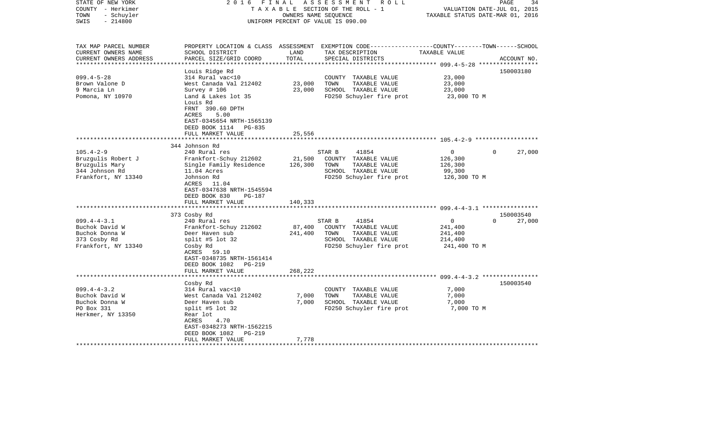| PROPERTY LOCATION & CLASS ASSESSMENT EXEMPTION CODE----------------COUNTY-------TOWN------SCHOOL<br>TAX MAP PARCEL NUMBER<br>CURRENT OWNERS NAME<br>SCHOOL DISTRICT<br>LAND<br>TAX DESCRIPTION<br>TAXABLE VALUE<br>TOTAL<br>CURRENT OWNERS ADDRESS<br>PARCEL SIZE/GRID COORD<br>SPECIAL DISTRICTS<br>ACCOUNT NO.<br>Louis Ridge Rd<br>150003180<br>$099.4 - 5 - 28$<br>314 Rural vac<10<br>23,000<br>COUNTY TAXABLE VALUE<br>Brown Valone D<br>West Canada Val 212402<br>23,000<br>TOWN<br>TAXABLE VALUE<br>23,000<br>9 Marcia Ln<br>23,000<br>SCHOOL TAXABLE VALUE<br>Survey # 106<br>23,000<br>Land & Lakes lot 35<br>FD250 Schuyler fire prot<br>Pomona, NY 10970<br>23,000 TO M<br>Louis Rd<br>FRNT 390.60 DPTH<br>ACRES<br>5.00<br>EAST-0345654 NRTH-1565139<br>DEED BOOK 1114 PG-835<br>FULL MARKET VALUE<br>25,556<br>344 Johnson Rd<br>$105.4 - 2 - 9$<br>240 Rural res<br>STAR B<br>41854<br>$\mathbf{0}$<br>27,000<br>$\Omega$<br>21,500<br>Bruzgulis Robert J<br>Frankfort-Schuy 212602<br>COUNTY TAXABLE VALUE<br>126,300<br>Bruzgulis Mary<br>126,300<br>TOWN<br>TAXABLE VALUE<br>Single Family Residence<br>126,300<br>SCHOOL TAXABLE VALUE<br>344 Johnson Rd<br>11.04 Acres<br>99,300<br>Frankfort, NY 13340<br>FD250 Schuyler fire prot<br>Johnson Rd<br>126,300 TO M<br>ACRES 11.04<br>EAST-0347638 NRTH-1545594<br>DEED BOOK 830<br>PG-187<br>FULL MARKET VALUE<br>140,333<br>**********************<br>**************<br>150003540<br>373 Cosby Rd<br>$\mathbf 0$<br>$099.4 - 4 - 3.1$<br>240 Rural res<br>41854<br>$\Omega$<br>27,000<br>STAR B<br>Buchok David W<br>87,400<br>COUNTY TAXABLE VALUE<br>Frankfort-Schuy 212602<br>241,400<br>Buchok Donna W<br>241,400<br>Deer Haven sub<br>TOWN<br>TAXABLE VALUE<br>241,400<br>SCHOOL TAXABLE VALUE<br>373 Cosby Rd<br>split #5 lot $32$<br>214,400<br>Frankfort, NY 13340<br>FD250 Schuyler fire prot<br>Cosby Rd<br>241,400 TO M<br>ACRES 59.10<br>EAST-0348735 NRTH-1561414<br>DEED BOOK 1082<br>PG-219<br>FULL MARKET VALUE<br>268,222<br>*****************************<br>150003540<br>Cosby Rd<br>$099.4 - 4 - 3.2$<br>314 Rural vac<10<br>7,000<br>COUNTY TAXABLE VALUE<br>Buchok David W<br>West Canada Val 212402<br>7,000<br>TOWN<br>7,000<br>TAXABLE VALUE<br>Buchok Donna W<br>Deer Haven sub<br>7,000<br>SCHOOL TAXABLE VALUE<br>7,000<br>PO Box 331<br>split #5 lot $32$<br>FD250 Schuyler fire prot<br>7,000 TO M<br>Herkmer, NY 13350<br>Rear lot<br>4.70<br>ACRES<br>EAST-0348273 NRTH-1562215<br>DEED BOOK 1082<br>PG-219<br>FULL MARKET VALUE<br>7,778 | STATE OF NEW YORK<br>COUNTY - Herkimer<br>- Schuyler<br>TOWN<br>$-214800$<br>SWIS | FINAL<br>2016 | OWNERS NAME SEQUENCE | ASSESSMENT ROLL<br>TAXABLE SECTION OF THE ROLL - 1<br>UNIFORM PERCENT OF VALUE IS 090.00 | VALUATION DATE-JUL 01, 2015<br>TAXABLE STATUS DATE-MAR 01, 2016 | 34<br>PAGE |
|-----------------------------------------------------------------------------------------------------------------------------------------------------------------------------------------------------------------------------------------------------------------------------------------------------------------------------------------------------------------------------------------------------------------------------------------------------------------------------------------------------------------------------------------------------------------------------------------------------------------------------------------------------------------------------------------------------------------------------------------------------------------------------------------------------------------------------------------------------------------------------------------------------------------------------------------------------------------------------------------------------------------------------------------------------------------------------------------------------------------------------------------------------------------------------------------------------------------------------------------------------------------------------------------------------------------------------------------------------------------------------------------------------------------------------------------------------------------------------------------------------------------------------------------------------------------------------------------------------------------------------------------------------------------------------------------------------------------------------------------------------------------------------------------------------------------------------------------------------------------------------------------------------------------------------------------------------------------------------------------------------------------------------------------------------------------------------------------------------------------------------------------------------------------------------------------------------------------------------------------------------------------------------------------------------------------------------------------------------------------------------------------------------------------------------------------------------------------------------------------------------------------------------------------------|-----------------------------------------------------------------------------------|---------------|----------------------|------------------------------------------------------------------------------------------|-----------------------------------------------------------------|------------|
|                                                                                                                                                                                                                                                                                                                                                                                                                                                                                                                                                                                                                                                                                                                                                                                                                                                                                                                                                                                                                                                                                                                                                                                                                                                                                                                                                                                                                                                                                                                                                                                                                                                                                                                                                                                                                                                                                                                                                                                                                                                                                                                                                                                                                                                                                                                                                                                                                                                                                                                                               |                                                                                   |               |                      |                                                                                          |                                                                 |            |
|                                                                                                                                                                                                                                                                                                                                                                                                                                                                                                                                                                                                                                                                                                                                                                                                                                                                                                                                                                                                                                                                                                                                                                                                                                                                                                                                                                                                                                                                                                                                                                                                                                                                                                                                                                                                                                                                                                                                                                                                                                                                                                                                                                                                                                                                                                                                                                                                                                                                                                                                               |                                                                                   |               |                      |                                                                                          |                                                                 |            |
|                                                                                                                                                                                                                                                                                                                                                                                                                                                                                                                                                                                                                                                                                                                                                                                                                                                                                                                                                                                                                                                                                                                                                                                                                                                                                                                                                                                                                                                                                                                                                                                                                                                                                                                                                                                                                                                                                                                                                                                                                                                                                                                                                                                                                                                                                                                                                                                                                                                                                                                                               |                                                                                   |               |                      |                                                                                          |                                                                 |            |
|                                                                                                                                                                                                                                                                                                                                                                                                                                                                                                                                                                                                                                                                                                                                                                                                                                                                                                                                                                                                                                                                                                                                                                                                                                                                                                                                                                                                                                                                                                                                                                                                                                                                                                                                                                                                                                                                                                                                                                                                                                                                                                                                                                                                                                                                                                                                                                                                                                                                                                                                               |                                                                                   |               |                      |                                                                                          |                                                                 |            |
|                                                                                                                                                                                                                                                                                                                                                                                                                                                                                                                                                                                                                                                                                                                                                                                                                                                                                                                                                                                                                                                                                                                                                                                                                                                                                                                                                                                                                                                                                                                                                                                                                                                                                                                                                                                                                                                                                                                                                                                                                                                                                                                                                                                                                                                                                                                                                                                                                                                                                                                                               |                                                                                   |               |                      |                                                                                          |                                                                 |            |
|                                                                                                                                                                                                                                                                                                                                                                                                                                                                                                                                                                                                                                                                                                                                                                                                                                                                                                                                                                                                                                                                                                                                                                                                                                                                                                                                                                                                                                                                                                                                                                                                                                                                                                                                                                                                                                                                                                                                                                                                                                                                                                                                                                                                                                                                                                                                                                                                                                                                                                                                               |                                                                                   |               |                      |                                                                                          |                                                                 |            |
|                                                                                                                                                                                                                                                                                                                                                                                                                                                                                                                                                                                                                                                                                                                                                                                                                                                                                                                                                                                                                                                                                                                                                                                                                                                                                                                                                                                                                                                                                                                                                                                                                                                                                                                                                                                                                                                                                                                                                                                                                                                                                                                                                                                                                                                                                                                                                                                                                                                                                                                                               |                                                                                   |               |                      |                                                                                          |                                                                 |            |
|                                                                                                                                                                                                                                                                                                                                                                                                                                                                                                                                                                                                                                                                                                                                                                                                                                                                                                                                                                                                                                                                                                                                                                                                                                                                                                                                                                                                                                                                                                                                                                                                                                                                                                                                                                                                                                                                                                                                                                                                                                                                                                                                                                                                                                                                                                                                                                                                                                                                                                                                               |                                                                                   |               |                      |                                                                                          |                                                                 |            |
|                                                                                                                                                                                                                                                                                                                                                                                                                                                                                                                                                                                                                                                                                                                                                                                                                                                                                                                                                                                                                                                                                                                                                                                                                                                                                                                                                                                                                                                                                                                                                                                                                                                                                                                                                                                                                                                                                                                                                                                                                                                                                                                                                                                                                                                                                                                                                                                                                                                                                                                                               |                                                                                   |               |                      |                                                                                          |                                                                 |            |
|                                                                                                                                                                                                                                                                                                                                                                                                                                                                                                                                                                                                                                                                                                                                                                                                                                                                                                                                                                                                                                                                                                                                                                                                                                                                                                                                                                                                                                                                                                                                                                                                                                                                                                                                                                                                                                                                                                                                                                                                                                                                                                                                                                                                                                                                                                                                                                                                                                                                                                                                               |                                                                                   |               |                      |                                                                                          |                                                                 |            |
|                                                                                                                                                                                                                                                                                                                                                                                                                                                                                                                                                                                                                                                                                                                                                                                                                                                                                                                                                                                                                                                                                                                                                                                                                                                                                                                                                                                                                                                                                                                                                                                                                                                                                                                                                                                                                                                                                                                                                                                                                                                                                                                                                                                                                                                                                                                                                                                                                                                                                                                                               |                                                                                   |               |                      |                                                                                          |                                                                 |            |
|                                                                                                                                                                                                                                                                                                                                                                                                                                                                                                                                                                                                                                                                                                                                                                                                                                                                                                                                                                                                                                                                                                                                                                                                                                                                                                                                                                                                                                                                                                                                                                                                                                                                                                                                                                                                                                                                                                                                                                                                                                                                                                                                                                                                                                                                                                                                                                                                                                                                                                                                               |                                                                                   |               |                      |                                                                                          |                                                                 |            |
|                                                                                                                                                                                                                                                                                                                                                                                                                                                                                                                                                                                                                                                                                                                                                                                                                                                                                                                                                                                                                                                                                                                                                                                                                                                                                                                                                                                                                                                                                                                                                                                                                                                                                                                                                                                                                                                                                                                                                                                                                                                                                                                                                                                                                                                                                                                                                                                                                                                                                                                                               |                                                                                   |               |                      |                                                                                          |                                                                 |            |
|                                                                                                                                                                                                                                                                                                                                                                                                                                                                                                                                                                                                                                                                                                                                                                                                                                                                                                                                                                                                                                                                                                                                                                                                                                                                                                                                                                                                                                                                                                                                                                                                                                                                                                                                                                                                                                                                                                                                                                                                                                                                                                                                                                                                                                                                                                                                                                                                                                                                                                                                               |                                                                                   |               |                      |                                                                                          |                                                                 |            |
|                                                                                                                                                                                                                                                                                                                                                                                                                                                                                                                                                                                                                                                                                                                                                                                                                                                                                                                                                                                                                                                                                                                                                                                                                                                                                                                                                                                                                                                                                                                                                                                                                                                                                                                                                                                                                                                                                                                                                                                                                                                                                                                                                                                                                                                                                                                                                                                                                                                                                                                                               |                                                                                   |               |                      |                                                                                          |                                                                 |            |
|                                                                                                                                                                                                                                                                                                                                                                                                                                                                                                                                                                                                                                                                                                                                                                                                                                                                                                                                                                                                                                                                                                                                                                                                                                                                                                                                                                                                                                                                                                                                                                                                                                                                                                                                                                                                                                                                                                                                                                                                                                                                                                                                                                                                                                                                                                                                                                                                                                                                                                                                               |                                                                                   |               |                      |                                                                                          |                                                                 |            |
|                                                                                                                                                                                                                                                                                                                                                                                                                                                                                                                                                                                                                                                                                                                                                                                                                                                                                                                                                                                                                                                                                                                                                                                                                                                                                                                                                                                                                                                                                                                                                                                                                                                                                                                                                                                                                                                                                                                                                                                                                                                                                                                                                                                                                                                                                                                                                                                                                                                                                                                                               |                                                                                   |               |                      |                                                                                          |                                                                 |            |
|                                                                                                                                                                                                                                                                                                                                                                                                                                                                                                                                                                                                                                                                                                                                                                                                                                                                                                                                                                                                                                                                                                                                                                                                                                                                                                                                                                                                                                                                                                                                                                                                                                                                                                                                                                                                                                                                                                                                                                                                                                                                                                                                                                                                                                                                                                                                                                                                                                                                                                                                               |                                                                                   |               |                      |                                                                                          |                                                                 |            |
|                                                                                                                                                                                                                                                                                                                                                                                                                                                                                                                                                                                                                                                                                                                                                                                                                                                                                                                                                                                                                                                                                                                                                                                                                                                                                                                                                                                                                                                                                                                                                                                                                                                                                                                                                                                                                                                                                                                                                                                                                                                                                                                                                                                                                                                                                                                                                                                                                                                                                                                                               |                                                                                   |               |                      |                                                                                          |                                                                 |            |
|                                                                                                                                                                                                                                                                                                                                                                                                                                                                                                                                                                                                                                                                                                                                                                                                                                                                                                                                                                                                                                                                                                                                                                                                                                                                                                                                                                                                                                                                                                                                                                                                                                                                                                                                                                                                                                                                                                                                                                                                                                                                                                                                                                                                                                                                                                                                                                                                                                                                                                                                               |                                                                                   |               |                      |                                                                                          |                                                                 |            |
|                                                                                                                                                                                                                                                                                                                                                                                                                                                                                                                                                                                                                                                                                                                                                                                                                                                                                                                                                                                                                                                                                                                                                                                                                                                                                                                                                                                                                                                                                                                                                                                                                                                                                                                                                                                                                                                                                                                                                                                                                                                                                                                                                                                                                                                                                                                                                                                                                                                                                                                                               |                                                                                   |               |                      |                                                                                          |                                                                 |            |
|                                                                                                                                                                                                                                                                                                                                                                                                                                                                                                                                                                                                                                                                                                                                                                                                                                                                                                                                                                                                                                                                                                                                                                                                                                                                                                                                                                                                                                                                                                                                                                                                                                                                                                                                                                                                                                                                                                                                                                                                                                                                                                                                                                                                                                                                                                                                                                                                                                                                                                                                               |                                                                                   |               |                      |                                                                                          |                                                                 |            |
|                                                                                                                                                                                                                                                                                                                                                                                                                                                                                                                                                                                                                                                                                                                                                                                                                                                                                                                                                                                                                                                                                                                                                                                                                                                                                                                                                                                                                                                                                                                                                                                                                                                                                                                                                                                                                                                                                                                                                                                                                                                                                                                                                                                                                                                                                                                                                                                                                                                                                                                                               |                                                                                   |               |                      |                                                                                          |                                                                 |            |
|                                                                                                                                                                                                                                                                                                                                                                                                                                                                                                                                                                                                                                                                                                                                                                                                                                                                                                                                                                                                                                                                                                                                                                                                                                                                                                                                                                                                                                                                                                                                                                                                                                                                                                                                                                                                                                                                                                                                                                                                                                                                                                                                                                                                                                                                                                                                                                                                                                                                                                                                               |                                                                                   |               |                      |                                                                                          |                                                                 |            |
|                                                                                                                                                                                                                                                                                                                                                                                                                                                                                                                                                                                                                                                                                                                                                                                                                                                                                                                                                                                                                                                                                                                                                                                                                                                                                                                                                                                                                                                                                                                                                                                                                                                                                                                                                                                                                                                                                                                                                                                                                                                                                                                                                                                                                                                                                                                                                                                                                                                                                                                                               |                                                                                   |               |                      |                                                                                          |                                                                 |            |
|                                                                                                                                                                                                                                                                                                                                                                                                                                                                                                                                                                                                                                                                                                                                                                                                                                                                                                                                                                                                                                                                                                                                                                                                                                                                                                                                                                                                                                                                                                                                                                                                                                                                                                                                                                                                                                                                                                                                                                                                                                                                                                                                                                                                                                                                                                                                                                                                                                                                                                                                               |                                                                                   |               |                      |                                                                                          |                                                                 |            |
|                                                                                                                                                                                                                                                                                                                                                                                                                                                                                                                                                                                                                                                                                                                                                                                                                                                                                                                                                                                                                                                                                                                                                                                                                                                                                                                                                                                                                                                                                                                                                                                                                                                                                                                                                                                                                                                                                                                                                                                                                                                                                                                                                                                                                                                                                                                                                                                                                                                                                                                                               |                                                                                   |               |                      |                                                                                          |                                                                 |            |
|                                                                                                                                                                                                                                                                                                                                                                                                                                                                                                                                                                                                                                                                                                                                                                                                                                                                                                                                                                                                                                                                                                                                                                                                                                                                                                                                                                                                                                                                                                                                                                                                                                                                                                                                                                                                                                                                                                                                                                                                                                                                                                                                                                                                                                                                                                                                                                                                                                                                                                                                               |                                                                                   |               |                      |                                                                                          |                                                                 |            |
|                                                                                                                                                                                                                                                                                                                                                                                                                                                                                                                                                                                                                                                                                                                                                                                                                                                                                                                                                                                                                                                                                                                                                                                                                                                                                                                                                                                                                                                                                                                                                                                                                                                                                                                                                                                                                                                                                                                                                                                                                                                                                                                                                                                                                                                                                                                                                                                                                                                                                                                                               |                                                                                   |               |                      |                                                                                          |                                                                 |            |
|                                                                                                                                                                                                                                                                                                                                                                                                                                                                                                                                                                                                                                                                                                                                                                                                                                                                                                                                                                                                                                                                                                                                                                                                                                                                                                                                                                                                                                                                                                                                                                                                                                                                                                                                                                                                                                                                                                                                                                                                                                                                                                                                                                                                                                                                                                                                                                                                                                                                                                                                               |                                                                                   |               |                      |                                                                                          |                                                                 |            |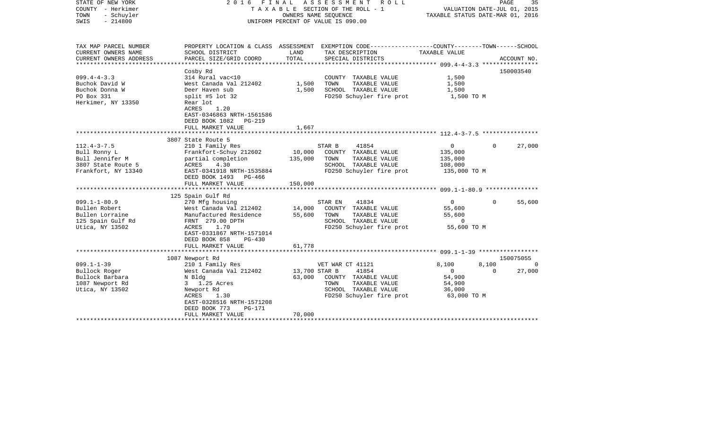| STATE OF NEW YORK<br>COUNTY - Herkimer<br>TOWN<br>- Schuyler<br>$-214800$<br>SWIS | 2016                                                  | FINAL<br>A S S E S S M E N T<br>R O L L<br>TAXABLE SECTION OF THE ROLL - 1<br>OWNERS NAME SEQUENCE<br>UNIFORM PERCENT OF VALUE IS 090.00 |                                                                                                                   |                |          | 35<br>PAGE<br>VALUATION DATE-JUL 01, 2015<br>TAXABLE STATUS DATE-MAR 01, 2016 |  |  |
|-----------------------------------------------------------------------------------|-------------------------------------------------------|------------------------------------------------------------------------------------------------------------------------------------------|-------------------------------------------------------------------------------------------------------------------|----------------|----------|-------------------------------------------------------------------------------|--|--|
|                                                                                   |                                                       |                                                                                                                                          |                                                                                                                   |                |          |                                                                               |  |  |
| TAX MAP PARCEL NUMBER<br>CURRENT OWNERS NAME                                      | SCHOOL DISTRICT                                       | LAND                                                                                                                                     | PROPERTY LOCATION & CLASS ASSESSMENT EXEMPTION CODE---------------COUNTY-------TOWN-----SCHOOL<br>TAX DESCRIPTION | TAXABLE VALUE  |          |                                                                               |  |  |
| CURRENT OWNERS ADDRESS                                                            | PARCEL SIZE/GRID COORD                                | TOTAL                                                                                                                                    | SPECIAL DISTRICTS                                                                                                 |                |          | ACCOUNT NO.                                                                   |  |  |
|                                                                                   |                                                       |                                                                                                                                          |                                                                                                                   |                |          | 150003540                                                                     |  |  |
| $099.4 - 4 - 3.3$                                                                 | Cosby Rd<br>314 Rural vac<10                          |                                                                                                                                          | COUNTY TAXABLE VALUE                                                                                              | 1,500          |          |                                                                               |  |  |
| Buchok David W                                                                    | West Canada Val 212402                                | 1,500                                                                                                                                    | TOWN<br>TAXABLE VALUE                                                                                             | 1,500          |          |                                                                               |  |  |
| Buchok Donna W                                                                    | Deer Haven sub                                        | 1,500                                                                                                                                    | SCHOOL TAXABLE VALUE                                                                                              | 1,500          |          |                                                                               |  |  |
| PO Box 331                                                                        | split #5 lot $32$                                     |                                                                                                                                          | FD250 Schuyler fire prot                                                                                          | 1,500 TO M     |          |                                                                               |  |  |
| Herkimer, NY 13350                                                                | Rear lot                                              |                                                                                                                                          |                                                                                                                   |                |          |                                                                               |  |  |
|                                                                                   | ACRES<br>1.20                                         |                                                                                                                                          |                                                                                                                   |                |          |                                                                               |  |  |
|                                                                                   | EAST-0346863 NRTH-1561586                             |                                                                                                                                          |                                                                                                                   |                |          |                                                                               |  |  |
|                                                                                   | DEED BOOK 1082<br>PG-219                              |                                                                                                                                          |                                                                                                                   |                |          |                                                                               |  |  |
|                                                                                   | FULL MARKET VALUE                                     | 1,667                                                                                                                                    |                                                                                                                   |                |          |                                                                               |  |  |
|                                                                                   | 3807 State Route 5                                    |                                                                                                                                          |                                                                                                                   |                |          |                                                                               |  |  |
| $112.4 - 3 - 7.5$                                                                 | 210 1 Family Res                                      |                                                                                                                                          | STAR B<br>41854                                                                                                   | $\mathbf 0$    | 0        | 27,000                                                                        |  |  |
| Bull Ronny L                                                                      | Frankfort-Schuy 212602                                | 10,000                                                                                                                                   | COUNTY TAXABLE VALUE                                                                                              | 135,000        |          |                                                                               |  |  |
| Bull Jennifer M                                                                   | partial completion                                    | 135,000                                                                                                                                  | TOWN<br>TAXABLE VALUE                                                                                             | 135,000        |          |                                                                               |  |  |
| 3807 State Route 5                                                                | ACRES<br>4.30                                         |                                                                                                                                          | SCHOOL TAXABLE VALUE                                                                                              | 108,000        |          |                                                                               |  |  |
| Frankfort, NY 13340                                                               | EAST-0341918 NRTH-1535884                             |                                                                                                                                          | FD250 Schuyler fire prot                                                                                          | 135,000 TO M   |          |                                                                               |  |  |
|                                                                                   | DEED BOOK 1493 PG-466                                 |                                                                                                                                          |                                                                                                                   |                |          |                                                                               |  |  |
|                                                                                   | FULL MARKET VALUE                                     | 150,000                                                                                                                                  |                                                                                                                   |                |          |                                                                               |  |  |
|                                                                                   |                                                       |                                                                                                                                          |                                                                                                                   |                |          |                                                                               |  |  |
| $099.1 - 1 - 80.9$                                                                | 125 Spain Gulf Rd<br>270 Mfg housing                  |                                                                                                                                          | STAR EN<br>41834                                                                                                  | $\overline{0}$ | $\Omega$ | 55,600                                                                        |  |  |
| Bullen Robert                                                                     | West Canada Val 212402                                | 14,000                                                                                                                                   | COUNTY TAXABLE VALUE                                                                                              | 55,600         |          |                                                                               |  |  |
| Bullen Lorraine                                                                   | Manufactured Residence                                | 55,600                                                                                                                                   | TAXABLE VALUE<br>TOWN                                                                                             | 55,600         |          |                                                                               |  |  |
| 125 Spain Gulf Rd                                                                 | FRNT 279.00 DPTH                                      |                                                                                                                                          | SCHOOL TAXABLE VALUE                                                                                              | $\Omega$       |          |                                                                               |  |  |
| Utica, NY 13502                                                                   | 1.70<br>ACRES                                         |                                                                                                                                          | FD250 Schuyler fire prot                                                                                          | 55,600 TO M    |          |                                                                               |  |  |
|                                                                                   | EAST-0331867 NRTH-1571014                             |                                                                                                                                          |                                                                                                                   |                |          |                                                                               |  |  |
|                                                                                   | DEED BOOK 858<br>$PG-430$                             |                                                                                                                                          |                                                                                                                   |                |          |                                                                               |  |  |
|                                                                                   | FULL MARKET VALUE                                     | 61,778                                                                                                                                   |                                                                                                                   |                |          |                                                                               |  |  |
|                                                                                   |                                                       |                                                                                                                                          |                                                                                                                   |                |          |                                                                               |  |  |
| $099.1 - 1 - 39$                                                                  | 1087 Newport Rd<br>210 1 Family Res                   |                                                                                                                                          | VET WAR CT 41121                                                                                                  | 8,100          | 8,100    | 150075055<br>0                                                                |  |  |
| Bullock Roger                                                                     | West Canada Val 212402                                | 13,700 STAR B                                                                                                                            | 41854                                                                                                             | $\overline{0}$ | $\Omega$ | 27,000                                                                        |  |  |
| Bullock Barbara                                                                   | N Bldg                                                | 63,000                                                                                                                                   | COUNTY TAXABLE VALUE                                                                                              | 54,900         |          |                                                                               |  |  |
| 1087 Newport Rd                                                                   | 3 1.25 Acres                                          |                                                                                                                                          | TOWN<br>TAXABLE VALUE                                                                                             | 54,900         |          |                                                                               |  |  |
| Utica, NY 13502                                                                   | Newport Rd                                            |                                                                                                                                          | SCHOOL TAXABLE VALUE                                                                                              | 36,000         |          |                                                                               |  |  |
|                                                                                   | ACRES<br>1.30                                         |                                                                                                                                          | FD250 Schuyler fire prot                                                                                          | 63,000 TO M    |          |                                                                               |  |  |
|                                                                                   | EAST-0328516 NRTH-1571208                             |                                                                                                                                          |                                                                                                                   |                |          |                                                                               |  |  |
|                                                                                   | DEED BOOK 773<br><b>PG-171</b>                        |                                                                                                                                          |                                                                                                                   |                |          |                                                                               |  |  |
|                                                                                   | FULL MARKET VALUE<br>******************************** | 70,000                                                                                                                                   |                                                                                                                   |                |          |                                                                               |  |  |
|                                                                                   |                                                       |                                                                                                                                          |                                                                                                                   |                |          |                                                                               |  |  |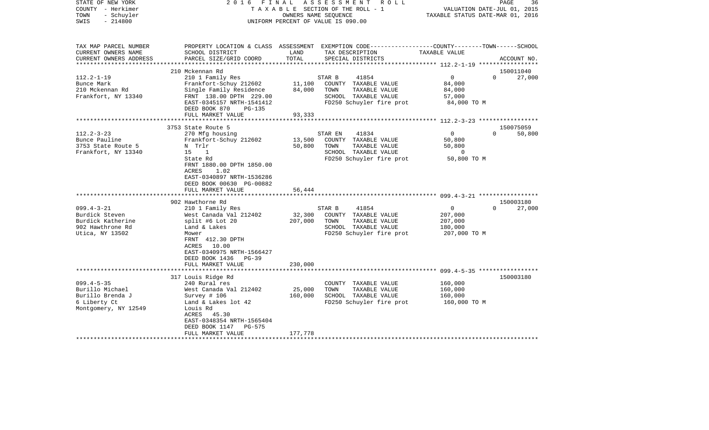| STATE OF NEW YORK<br>COUNTY - Herkimer<br>- Schuyler<br>TOWN<br>$-214800$<br>SWIS                                                                             | FINAL<br>2016                                                                                                                                                                                                                                                                                                                                                        | TAXABLE SECTION OF THE ROLL - 1<br>OWNERS NAME SEOUENCE<br>UNIFORM PERCENT OF VALUE IS 090.00 | ASSESSMENT                        | R O L L                                                                                                                                                                      | TAXABLE STATUS DATE-MAR 01, 2016                                                                                     | 36<br>PAGE<br>VALUATION DATE-JUL 01, 2015                          |
|---------------------------------------------------------------------------------------------------------------------------------------------------------------|----------------------------------------------------------------------------------------------------------------------------------------------------------------------------------------------------------------------------------------------------------------------------------------------------------------------------------------------------------------------|-----------------------------------------------------------------------------------------------|-----------------------------------|------------------------------------------------------------------------------------------------------------------------------------------------------------------------------|----------------------------------------------------------------------------------------------------------------------|--------------------------------------------------------------------|
| TAX MAP PARCEL NUMBER<br>CURRENT OWNERS NAME<br>CURRENT OWNERS ADDRESS<br>*********************                                                               | PROPERTY LOCATION & CLASS ASSESSMENT EXEMPTION CODE----------------COUNTY-------TOWN------SCHOOL<br>SCHOOL DISTRICT<br>PARCEL SIZE/GRID COORD                                                                                                                                                                                                                        | LAND<br>TOTAL                                                                                 |                                   | TAX DESCRIPTION<br>SPECIAL DISTRICTS                                                                                                                                         | TAXABLE VALUE                                                                                                        | ACCOUNT NO.                                                        |
| $112.2 - 1 - 19$<br>Bunce Mark<br>210 Mckennan Rd<br>Frankfort, NY 13340                                                                                      | 210 Mckennan Rd<br>210 1 Family Res<br>Frankfort-Schuy 212602<br>Single Family Residence<br>FRNT 138.00 DPTH 229.00<br>EAST-0345157 NRTH-1541412<br>DEED BOOK 870<br>PG-135<br>FULL MARKET VALUE                                                                                                                                                                     | 11,100<br>84,000<br>93,333                                                                    | STAR B<br>TOWN                    | 41854<br>COUNTY TAXABLE VALUE<br>TAXABLE VALUE<br>SCHOOL TAXABLE VALUE<br>FD250 Schuyler fire prot                                                                           | $\overline{0}$<br>84,000<br>84,000<br>57,000<br>84,000 TO M                                                          | 150011040<br>27,000<br>$\Omega$                                    |
|                                                                                                                                                               |                                                                                                                                                                                                                                                                                                                                                                      |                                                                                               |                                   |                                                                                                                                                                              |                                                                                                                      |                                                                    |
| $112.2 - 3 - 23$<br>Bunce Pauline<br>3753 State Route 5<br>Frankfort, NY 13340<br>$099.4 - 3 - 21$<br>Burdick Steven<br>Burdick Katherine<br>902 Hawthrone Rd | 3753 State Route 5<br>270 Mfg housing<br>Frankfort-Schuy 212602<br>N Trlr<br>15<br><sup>1</sup><br>State Rd<br>FRNT 1880.00 DPTH 1850.00<br>1.02<br>ACRES<br>EAST-0340897 NRTH-1536286<br>DEED BOOK 00630 PG-00882<br>FULL MARKET VALUE<br>********************<br>902 Hawthorne Rd<br>210 1 Family Res<br>West Canada Val 212402<br>split #6 Lot 20<br>Land & Lakes | 13,500<br>50,800<br>56,444<br>* * * * * * * * * * * * *<br>32,300<br>207,000                  | STAR EN<br>TOWN<br>STAR B<br>TOWN | 41834<br>COUNTY TAXABLE VALUE<br>TAXABLE VALUE<br>SCHOOL TAXABLE VALUE<br>FD250 Schuyler fire prot<br>41854<br>COUNTY TAXABLE VALUE<br>TAXABLE VALUE<br>SCHOOL TAXABLE VALUE | $\mathbf{0}$<br>50,800<br>50,800<br>$\overline{0}$<br>50,800 TO M<br>$\overline{0}$<br>207,000<br>207,000<br>180,000 | 150075059<br>50,800<br>$\Omega$<br>150003180<br>27,000<br>$\Omega$ |
| Utica, NY 13502                                                                                                                                               | Mower<br>FRNT 412.30 DPTH<br>ACRES 10.00<br>EAST-0340975 NRTH-1566427<br>DEED BOOK 1436<br>$PG-39$<br>FULL MARKET VALUE                                                                                                                                                                                                                                              | 230,000                                                                                       |                                   | FD250 Schuyler fire prot                                                                                                                                                     | 207,000 TO M                                                                                                         |                                                                    |
|                                                                                                                                                               |                                                                                                                                                                                                                                                                                                                                                                      | ************                                                                                  |                                   |                                                                                                                                                                              |                                                                                                                      |                                                                    |
| $099.4 - 5 - 35$<br>Burillo Michael<br>Burillo Brenda J<br>6 Liberty Ct<br>Montgomery, NY 12549                                                               | 317 Louis Ridge Rd<br>240 Rural res<br>West Canada Val 212402<br>Survey # 106<br>Land & Lakes lot 42<br>Louis Rd<br>ACRES 45.30<br>EAST-0348354 NRTH-1565404<br>DEED BOOK 1147<br>PG-575                                                                                                                                                                             | 25,000<br>160,000                                                                             | TOWN                              | COUNTY TAXABLE VALUE<br>TAXABLE VALUE<br>SCHOOL TAXABLE VALUE<br>FD250 Schuyler fire prot                                                                                    | 160,000<br>160,000<br>160,000<br>160,000 TO M                                                                        | 150003180                                                          |
|                                                                                                                                                               | FULL MARKET VALUE                                                                                                                                                                                                                                                                                                                                                    | 177,778                                                                                       |                                   |                                                                                                                                                                              |                                                                                                                      |                                                                    |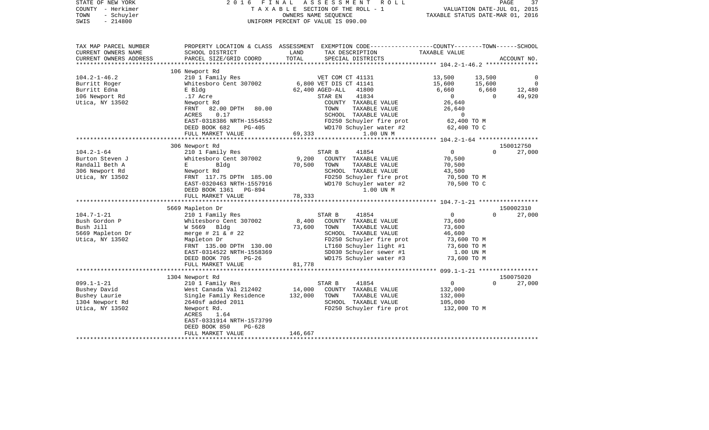| STATE OF NEW YORK<br>COUNTY - Herkimer<br>TOWN<br>- Schuyler<br>$-214800$<br>SWIS | 2 0 1 6<br>FINAL                               |         | ASSESSMENT<br>R O L L<br>TAXABLE SECTION OF THE ROLL - 1<br>OWNERS NAME SEOUENCE<br>UNIFORM PERCENT OF VALUE IS 090.00 | VALUATION DATE-JUL 01, 2015<br>TAXABLE STATUS DATE-MAR 01, 2016 |          | PAGE<br>37     |
|-----------------------------------------------------------------------------------|------------------------------------------------|---------|------------------------------------------------------------------------------------------------------------------------|-----------------------------------------------------------------|----------|----------------|
| TAX MAP PARCEL NUMBER<br>CURRENT OWNERS NAME                                      | SCHOOL DISTRICT                                | LAND    | PROPERTY LOCATION & CLASS ASSESSMENT EXEMPTION CODE---------------COUNTY-------TOWN------SCHOOL<br>TAX DESCRIPTION     | TAXABLE VALUE                                                   |          |                |
| CURRENT OWNERS ADDRESS<br>**********************                                  | PARCEL SIZE/GRID COORD                         | TOTAL   | SPECIAL DISTRICTS                                                                                                      |                                                                 |          | ACCOUNT NO.    |
|                                                                                   | 106 Newport Rd                                 |         |                                                                                                                        |                                                                 |          |                |
| $104.2 - 1 - 46.2$                                                                | 210 1 Family Res                               |         | VET COM CT 41131                                                                                                       | 13,500                                                          | 13,500   |                |
| Burritt Roger                                                                     | Whitesboro Cent 307002                         |         | 6,800 VET DIS CT 41141                                                                                                 | 15,600                                                          | 15,600   | $\overline{0}$ |
| Burritt Edna                                                                      | E Bldg                                         |         | 62,400 AGED-ALL<br>41800                                                                                               | 6,660                                                           | 6,660    | 12,480         |
| 106 Newport Rd                                                                    | .17 Acre                                       |         | 41834<br>STAR EN                                                                                                       | $\overline{0}$                                                  | $\Omega$ | 49,920         |
| Utica, NY 13502                                                                   | Newport Rd                                     |         | COUNTY TAXABLE VALUE                                                                                                   | 26,640                                                          |          |                |
|                                                                                   | 82.00 DPTH 80.00<br>FRNT                       |         | TOWN<br>TAXABLE VALUE                                                                                                  | 26,640                                                          |          |                |
|                                                                                   | 0.17<br>ACRES                                  |         | SCHOOL TAXABLE VALUE                                                                                                   | $\Omega$                                                        |          |                |
|                                                                                   | EAST-0318386 NRTH-1554552<br>PG-405            |         | FD250 Schuyler fire prot<br>WD170 Schuyler water #2                                                                    | 62,400 TO M                                                     |          |                |
|                                                                                   | DEED BOOK 682<br>FULL MARKET VALUE             | 69,333  | 1.00 UN M                                                                                                              | 62,400 TO C                                                     |          |                |
|                                                                                   | **********************                         |         |                                                                                                                        |                                                                 |          |                |
|                                                                                   | 306 Newport Rd                                 |         |                                                                                                                        |                                                                 |          | 150012750      |
| $104.2 - 1 - 64$                                                                  | 210 1 Family Res                               |         | STAR B<br>41854                                                                                                        | $\overline{0}$                                                  | $\Omega$ | 27,000         |
| Burton Steven J                                                                   | Whitesboro Cent 307002                         | 9,200   | COUNTY TAXABLE VALUE                                                                                                   | 70,500                                                          |          |                |
| Randall Beth A                                                                    | $E = 1$<br>Bldg                                | 70,500  | TOWN<br>TAXABLE VALUE                                                                                                  | 70,500                                                          |          |                |
| 306 Newport Rd                                                                    | Newport Rd                                     |         | SCHOOL TAXABLE VALUE                                                                                                   | 43,500                                                          |          |                |
| Utica, NY 13502                                                                   | FRNT 117.75 DPTH 185.00                        |         | FD250 Schuyler fire prot                                                                                               | 70,500 TO M                                                     |          |                |
|                                                                                   | EAST-0320463 NRTH-1557916                      |         | WD170 Schuyler water #2                                                                                                | 70,500 TO C                                                     |          |                |
|                                                                                   | DEED BOOK 1361 PG-894<br>FULL MARKET VALUE     | 78,333  | 1.00 UN M                                                                                                              |                                                                 |          |                |
|                                                                                   | ************************                       |         |                                                                                                                        |                                                                 |          |                |
|                                                                                   | 5669 Mapleton Dr                               |         |                                                                                                                        |                                                                 |          | 150002310      |
| $104.7 - 1 - 21$                                                                  | 210 1 Family Res                               |         | STAR B<br>41854                                                                                                        | $\Omega$                                                        | $\Omega$ | 27,000         |
| Bush Gordon P                                                                     | Whitesboro Cent 307002                         | 8,400   | COUNTY TAXABLE VALUE                                                                                                   | 73,600                                                          |          |                |
| Bush Jill                                                                         | W 5669 Bldg                                    | 73,600  | TOWN<br>TAXABLE VALUE                                                                                                  | 73,600                                                          |          |                |
| 5669 Mapleton Dr                                                                  | merge $# 21 \& # 22$                           |         | SCHOOL TAXABLE VALUE                                                                                                   | 46,600                                                          |          |                |
| Utica, NY 13502                                                                   | Mapleton Dr                                    |         | FD250 Schuyler fire prot                                                                                               | 73,600 TO M                                                     |          |                |
|                                                                                   | FRNT 135.00 DPTH 130.00                        |         | LT160 Schuyler light #1                                                                                                | 73,600 TO M                                                     |          |                |
|                                                                                   | EAST-0314522 NRTH-1558369                      |         | SD030 Schuyler sewer #1                                                                                                | 1.00 UN M                                                       |          |                |
|                                                                                   | DEED BOOK 705<br>$PG-26$                       | 81,778  | WD175 Schuyler water #3                                                                                                | 73,600 TO M                                                     |          |                |
|                                                                                   | FULL MARKET VALUE<br>************************* |         |                                                                                                                        |                                                                 |          |                |
|                                                                                   | 1304 Newport Rd                                |         |                                                                                                                        |                                                                 |          | 150075020      |
| $099.1 - 1 - 21$                                                                  | 210 1 Family Res                               |         | STAR B<br>41854                                                                                                        | $\overline{0}$                                                  | $\Omega$ | 27,000         |
| Bushey David                                                                      | West Canada Val 212402                         | 14,000  | COUNTY TAXABLE VALUE                                                                                                   | 132,000                                                         |          |                |
| Bushey Laurie                                                                     | Single Family Residence                        | 132,000 | TOWN<br>TAXABLE VALUE                                                                                                  | 132,000                                                         |          |                |
| 1304 Newport Rd                                                                   | 2640sf added 2011                              |         | SCHOOL TAXABLE VALUE                                                                                                   | 105,000                                                         |          |                |
| Utica, NY 13502                                                                   | Newport Rd.                                    |         | FD250 Schuyler fire prot                                                                                               | 132,000 TO M                                                    |          |                |
|                                                                                   | ACRES<br>1.64                                  |         |                                                                                                                        |                                                                 |          |                |
|                                                                                   | EAST-0331914 NRTH-1573799                      |         |                                                                                                                        |                                                                 |          |                |
|                                                                                   | DEED BOOK 850<br>$PG-628$<br>FULL MARKET VALUE | 146,667 |                                                                                                                        |                                                                 |          |                |
|                                                                                   |                                                |         |                                                                                                                        |                                                                 |          |                |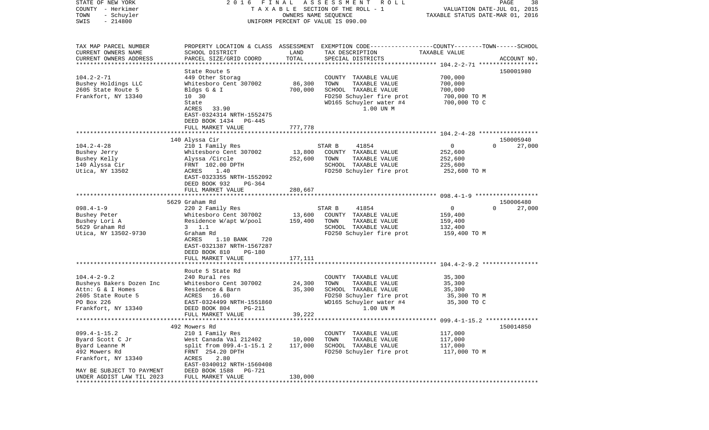| STATE OF NEW YORK<br>COUNTY - Herkimer<br>- Schuyler<br>TOWN<br>SWIS<br>$-214800$                                             | 2016<br>FINAL                                                                                                                                                                                                                     | OWNERS NAME SEQUENCE         | ASSESSMENT<br>R O L L<br>TAXABLE SECTION OF THE ROLL - 1<br>UNIFORM PERCENT OF VALUE IS 090.00                                               | VALUATION DATE-JUL 01, 2015<br>TAXABLE STATUS DATE-MAR 01, 2016 | PAGE<br>38                      |
|-------------------------------------------------------------------------------------------------------------------------------|-----------------------------------------------------------------------------------------------------------------------------------------------------------------------------------------------------------------------------------|------------------------------|----------------------------------------------------------------------------------------------------------------------------------------------|-----------------------------------------------------------------|---------------------------------|
|                                                                                                                               |                                                                                                                                                                                                                                   |                              |                                                                                                                                              |                                                                 |                                 |
| TAX MAP PARCEL NUMBER<br>CURRENT OWNERS NAME<br>CURRENT OWNERS ADDRESS<br>**********************                              | SCHOOL DISTRICT<br>PARCEL SIZE/GRID COORD                                                                                                                                                                                         | LAND<br>TOTAL                | PROPERTY LOCATION & CLASS ASSESSMENT EXEMPTION CODE---------------COUNTY-------TOWN------SCHOOL<br>TAX DESCRIPTION<br>SPECIAL DISTRICTS      | TAXABLE VALUE                                                   | ACCOUNT NO.                     |
|                                                                                                                               | State Route 5                                                                                                                                                                                                                     |                              |                                                                                                                                              |                                                                 | 150001980                       |
| $104.2 - 2 - 71$<br>Bushey Holdings LLC<br>2605 State Route 5<br>Frankfort, NY 13340                                          | 449 Other Storag<br>Whitesboro Cent 307002<br>Bldgs G & I<br>10 30<br>State<br>ACRES<br>33.90<br>EAST-0324314 NRTH-1552475<br>DEED BOOK 1434 PG-445                                                                               | 86,300<br>700,000            | COUNTY<br>TAXABLE VALUE<br>TOWN<br>TAXABLE VALUE<br>SCHOOL TAXABLE VALUE<br>FD250 Schuyler fire prot<br>WD165 Schuyler water #4<br>1.00 UN M | 700,000<br>700,000<br>700,000<br>700,000 TO M<br>700,000 TO C   |                                 |
|                                                                                                                               | FULL MARKET VALUE                                                                                                                                                                                                                 | 777,778                      |                                                                                                                                              |                                                                 |                                 |
| $104.2 - 4 - 28$<br>Bushey Jerry<br>Bushey Kelly<br>140 Alyssa Cir<br>Utica, NY 13502                                         | 140 Alyssa Cir<br>210 1 Family Res<br>Whitesboro Cent 307002<br>Alyssa /Circle<br>FRNT 102.00 DPTH<br>ACRES<br>1.40<br>EAST-0323355 NRTH-1552092<br>DEED BOOK 932<br>PG-364                                                       | 13,800<br>252,600            | STAR B<br>41854<br>COUNTY TAXABLE VALUE<br>TOWN<br>TAXABLE VALUE<br>SCHOOL TAXABLE VALUE<br>FD250 Schuyler fire prot                         | 0<br>252,600<br>252,600<br>225,600<br>252,600 TO M              | 150005940<br>27,000<br>$\Omega$ |
|                                                                                                                               | FULL MARKET VALUE                                                                                                                                                                                                                 | 280,667                      |                                                                                                                                              |                                                                 |                                 |
| $098.4 - 1 - 9$<br>Bushey Peter<br>Bushey Lori A<br>5629 Graham Rd<br>Utica, NY 13502-9730                                    | 5629 Graham Rd<br>220 2 Family Res<br>Whitesboro Cent 307002<br>Residence W/apt W/pool<br>$3 \t1.1$<br>Graham Rd<br>ACRES<br>1.10 BANK<br>720<br>EAST-0321387 NRTH-1567287<br>DEED BOOK 810<br><b>PG-180</b><br>FULL MARKET VALUE | 13,600<br>159,400<br>177,111 | 41854<br>STAR B<br>COUNTY<br>TAXABLE VALUE<br>TOWN<br>TAXABLE VALUE<br>SCHOOL TAXABLE VALUE<br>FD250 Schuyler fire prot                      | 0<br>159,400<br>159,400<br>132,400<br>159,400 TO M              | 150006480<br>$\Omega$<br>27,000 |
|                                                                                                                               | Route 5 State Rd                                                                                                                                                                                                                  |                              |                                                                                                                                              |                                                                 |                                 |
| $104.4 - 2 - 9.2$<br>Busheys Bakers Dozen Inc<br>Attn: G & I Homes<br>2605 State Route 5<br>PO Box 226<br>Frankfort, NY 13340 | 240 Rural res<br>Whitesboro Cent 307002<br>Residence & Barn<br>ACRES 16.60<br>EAST-0324499 NRTH-1551860<br>DEED BOOK 804<br><b>PG-211</b>                                                                                         | 24,300<br>35,300             | COUNTY<br>TAXABLE VALUE<br>TAXABLE VALUE<br>TOWN<br>SCHOOL TAXABLE VALUE<br>FD250 Schuyler fire prot<br>WD165 Schuyler water #4<br>1.00 UN M | 35,300<br>35,300<br>35,300<br>35,300 TO M<br>35,300 TO C        |                                 |
|                                                                                                                               | FULL MARKET VALUE                                                                                                                                                                                                                 | 39,222                       |                                                                                                                                              |                                                                 |                                 |
|                                                                                                                               | 492 Mowers Rd                                                                                                                                                                                                                     |                              |                                                                                                                                              |                                                                 | 150014850                       |
| $099.4 - 1 - 15.2$<br>Byard Scott C Jr<br>Byard Leanne M<br>492 Mowers Rd<br>Frankfort, NY 13340                              | 210 1 Family Res<br>West Canada Val 212402<br>split from 099.4-1-15.1 2<br>FRNT 254.20 DPTH<br>2.80<br>ACRES<br>EAST-0340012 NRTH-1560408                                                                                         | 10,000<br>117,000            | COUNTY TAXABLE VALUE<br>TOWN<br>TAXABLE VALUE<br>SCHOOL TAXABLE VALUE<br>FD250 Schuyler fire prot                                            | 117,000<br>117,000<br>117,000<br>117,000 TO M                   |                                 |
| MAY BE SUBJECT TO PAYMENT<br>UNDER AGDIST LAW TIL 2023                                                                        | DEED BOOK 1588<br>PG-721<br>FULL MARKET VALUE                                                                                                                                                                                     | 130,000                      |                                                                                                                                              |                                                                 |                                 |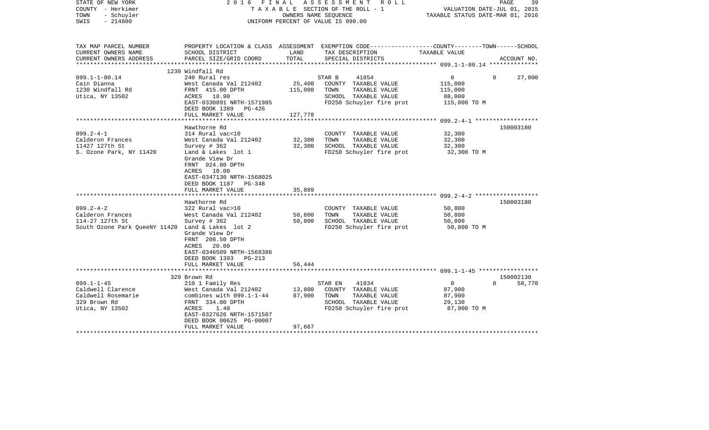| STATE OF NEW YORK<br>COUNTY - Herkimer<br>TOWN<br>- Schuyler<br>$-214800$<br>SWIS | 2016 FINAL                                         |         | A S S E S S M E N T R O L L<br>TAXABLE SECTION OF THE ROLL - 1<br>OWNERS NAME SEOUENCE<br>UNIFORM PERCENT OF VALUE IS 090.00 | VALUATION DATE-JUL 01, 2015<br>TAXABLE STATUS DATE-MAR 01, 2016 | PAGE<br>39    |
|-----------------------------------------------------------------------------------|----------------------------------------------------|---------|------------------------------------------------------------------------------------------------------------------------------|-----------------------------------------------------------------|---------------|
| TAX MAP PARCEL NUMBER                                                             |                                                    |         | PROPERTY LOCATION & CLASS ASSESSMENT EXEMPTION CODE---------------COUNTY-------TOWN------SCHOOL                              |                                                                 |               |
| CURRENT OWNERS NAME                                                               | SCHOOL DISTRICT                                    | LAND    | TAX DESCRIPTION                                                                                                              | TAXABLE VALUE                                                   |               |
| CURRENT OWNERS ADDRESS                                                            | PARCEL SIZE/GRID COORD                             | TOTAL   | SPECIAL DISTRICTS                                                                                                            |                                                                 | ACCOUNT NO.   |
|                                                                                   | 1230 Windfall Rd                                   |         |                                                                                                                              |                                                                 |               |
| $099.1 - 1 - 80.14$                                                               | 240 Rural res                                      |         | STAR B<br>41854                                                                                                              | $\overline{0}$<br>$\Omega$                                      | 27,000        |
| Cain Dianna                                                                       | West Canada Val 212402                             | 25,400  | COUNTY TAXABLE VALUE                                                                                                         | 115,000                                                         |               |
| 1230 Windfall Rd                                                                  | FRNT 415.00 DPTH                                   | 115,000 | TOWN TAXABLE VALUE                                                                                                           | 115,000                                                         |               |
| Utica, NY 13502                                                                   | ACRES 18.90                                        |         | SCHOOL TAXABLE VALUE                                                                                                         | 88,000                                                          |               |
|                                                                                   | EAST-0330891 NRTH-1571985<br>DEED BOOK 1389 PG-426 |         | FD250 Schuyler fire prot                                                                                                     | 115,000 TO M                                                    |               |
|                                                                                   | FULL MARKET VALUE                                  | 127,778 |                                                                                                                              |                                                                 |               |
|                                                                                   |                                                    |         |                                                                                                                              |                                                                 |               |
|                                                                                   | Hawthorne Rd                                       |         |                                                                                                                              |                                                                 | 150003180     |
| $099.2 - 4 - 1$                                                                   | 314 Rural vac<10                                   |         | COUNTY TAXABLE VALUE                                                                                                         | 32,300                                                          |               |
| Calderon Frances                                                                  | West Canada Val 212402                             | 32,300  | TOWN<br>TAXABLE VALUE                                                                                                        | 32,300                                                          |               |
| 11427 127th St                                                                    | Survey # 362<br>Land & Lakes lot 1                 | 32,300  | SCHOOL TAXABLE VALUE                                                                                                         | 32,300                                                          |               |
| S. Ozone Park, NY 11420                                                           | Grande View Dr                                     |         | FD250 Schuyler fire prot                                                                                                     | 32,300 TO M                                                     |               |
|                                                                                   | FRNT 924.80 DPTH                                   |         |                                                                                                                              |                                                                 |               |
|                                                                                   | ACRES 10.00                                        |         |                                                                                                                              |                                                                 |               |
|                                                                                   | EAST-0347130 NRTH-1568025                          |         |                                                                                                                              |                                                                 |               |
|                                                                                   | DEED BOOK 1187 PG-348                              |         |                                                                                                                              |                                                                 |               |
|                                                                                   | FULL MARKET VALUE                                  | 35,889  |                                                                                                                              |                                                                 |               |
|                                                                                   | Hawthorne Rd                                       |         |                                                                                                                              |                                                                 | 150003180     |
| $099.2 - 4 - 2$                                                                   | 322 Rural vac>10                                   |         | COUNTY TAXABLE VALUE                                                                                                         | 50,800                                                          |               |
| Calderon Frances                                                                  | West Canada Val 212402                             | 50,800  | TOWN TAXABLE VALUE                                                                                                           | 50,800                                                          |               |
| 114-27 127th St                                                                   | Survey # 362                                       | 50,800  | SCHOOL TAXABLE VALUE                                                                                                         | 50,800                                                          |               |
| South Ozone Park QueeNY 11420 Land & Lakes lot 2                                  |                                                    |         | FD250 Schuyler fire prot                                                                                                     | 50,800 TO M                                                     |               |
|                                                                                   | Grande View Dr                                     |         |                                                                                                                              |                                                                 |               |
|                                                                                   | FRNT 208.50 DPTH                                   |         |                                                                                                                              |                                                                 |               |
|                                                                                   | ACRES 20.00                                        |         |                                                                                                                              |                                                                 |               |
|                                                                                   | EAST-0346509 NRTH-1568386                          |         |                                                                                                                              |                                                                 |               |
|                                                                                   | DEED BOOK 1393 PG-213<br>FULL MARKET VALUE         | 56,444  |                                                                                                                              |                                                                 |               |
|                                                                                   |                                                    |         |                                                                                                                              |                                                                 |               |
|                                                                                   | 329 Brown Rd                                       |         |                                                                                                                              |                                                                 | 150002130     |
| $099.1 - 1 - 45$                                                                  | 210 1 Family Res                                   |         | STAR EN<br>41834                                                                                                             | $\overline{0}$                                                  | $0 \t 58,770$ |
| Caldwell Clarence                                                                 | West Canada Val 212402                             | 13,800  | COUNTY TAXABLE VALUE                                                                                                         | 87,900                                                          |               |
| Caldwell Rosemarie                                                                | combines with 099.1-1-44                           |         | 87,900 TOWN<br>TAXABLE VALUE                                                                                                 | 87,900                                                          |               |
| 329 Brown Rd                                                                      | FRNT 334.00 DPTH                                   |         | SCHOOL TAXABLE VALUE                                                                                                         | 29,130                                                          |               |
| Utica, NY 13502                                                                   | ACRES<br>1.40<br>EAST-0327626 NRTH-1571507         |         | FD250 Schuyler fire prot                                                                                                     | 87,900 TO M                                                     |               |
|                                                                                   | DEED BOOK 00625 PG-00007                           |         |                                                                                                                              |                                                                 |               |
|                                                                                   | FULL MARKET VALUE                                  | 97,667  |                                                                                                                              |                                                                 |               |
|                                                                                   |                                                    |         |                                                                                                                              |                                                                 |               |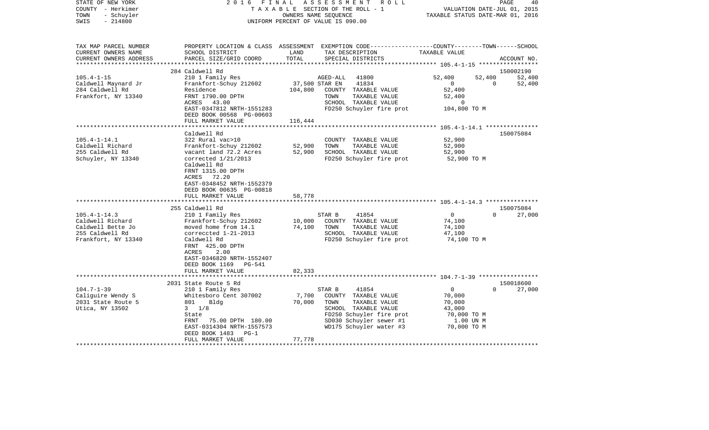| STATE OF NEW YORK<br>COUNTY - Herkimer<br>- Schuyler<br>TOWN<br>SWIS<br>$-214800$                | 2 0 1 6<br>FINAL                                                                | ASSESSMENT<br>R O L L<br>TAXABLE SECTION OF THE ROLL - 1<br>OWNERS NAME SEQUENCE<br>UNIFORM PERCENT OF VALUE IS 090.00                                    | 40<br>PAGE<br>VALUATION DATE-JUL 01, 2015<br>TAXABLE STATUS DATE-MAR 01, 2016 |
|--------------------------------------------------------------------------------------------------|---------------------------------------------------------------------------------|-----------------------------------------------------------------------------------------------------------------------------------------------------------|-------------------------------------------------------------------------------|
| TAX MAP PARCEL NUMBER<br>CURRENT OWNERS NAME<br>CURRENT OWNERS ADDRESS<br>********************** | SCHOOL DISTRICT<br>PARCEL SIZE/GRID COORD                                       | PROPERTY LOCATION & CLASS ASSESSMENT EXEMPTION CODE----------------COUNTY-------TOWN------SCHOOL<br>LAND<br>TAX DESCRIPTION<br>TOTAL<br>SPECIAL DISTRICTS | TAXABLE VALUE<br>ACCOUNT NO.                                                  |
|                                                                                                  | 284 Caldwell Rd                                                                 |                                                                                                                                                           | 150002190                                                                     |
| $105.4 - 1 - 15$                                                                                 | 210 1 Family Res                                                                | 41800<br>AGED-ALL                                                                                                                                         | 52,400<br>52,400<br>52,400                                                    |
| Caldwell Maynard Jr                                                                              | Frankfort-Schuy 212602                                                          | 37,500 STAR EN<br>41834                                                                                                                                   | $\mathbf{0}$<br>$\Omega$<br>52,400                                            |
| 284 Caldwell Rd                                                                                  | Residence                                                                       | 104,800<br>COUNTY TAXABLE VALUE                                                                                                                           | 52,400                                                                        |
| Frankfort, NY 13340                                                                              | FRNT 1790.00 DPTH                                                               | TOWN<br>TAXABLE VALUE                                                                                                                                     | 52,400                                                                        |
|                                                                                                  | 43.00<br>ACRES                                                                  | SCHOOL TAXABLE VALUE                                                                                                                                      | 0                                                                             |
|                                                                                                  | EAST-0347812 NRTH-1551283                                                       | FD250 Schuyler fire prot                                                                                                                                  | 104,800 TO M                                                                  |
|                                                                                                  | DEED BOOK 00568 PG-00603<br>FULL MARKET VALUE                                   | 116,444                                                                                                                                                   |                                                                               |
|                                                                                                  | ********************                                                            |                                                                                                                                                           |                                                                               |
|                                                                                                  | Caldwell Rd                                                                     |                                                                                                                                                           | 150075084                                                                     |
| $105.4 - 1 - 14.1$                                                                               | 322 Rural vac>10                                                                | COUNTY TAXABLE VALUE                                                                                                                                      | 52,900                                                                        |
| Caldwell Richard                                                                                 | Frankfort-Schuy 212602                                                          | 52,900<br>TOWN<br>TAXABLE VALUE                                                                                                                           | 52,900                                                                        |
| 255 Caldwell Rd                                                                                  | vacant land 72.2 Acres                                                          | 52,900<br>SCHOOL TAXABLE VALUE                                                                                                                            | 52,900                                                                        |
| Schuyler, NY 13340                                                                               | corrected 1/21/2013                                                             | FD250 Schuyler fire prot                                                                                                                                  | 52,900 TO M                                                                   |
|                                                                                                  | Caldwell Rd<br>FRNT 1315.00 DPTH<br>72.20<br>ACRES<br>EAST-0348452 NRTH-1552379 |                                                                                                                                                           |                                                                               |
|                                                                                                  | DEED BOOK 00635 PG-00818                                                        |                                                                                                                                                           |                                                                               |
|                                                                                                  | FULL MARKET VALUE<br>**********************                                     | 58,778                                                                                                                                                    |                                                                               |
|                                                                                                  | 255 Caldwell Rd                                                                 |                                                                                                                                                           | 150075084                                                                     |
| $105.4 - 1 - 14.3$                                                                               | 210 1 Family Res                                                                | 41854<br>STAR B                                                                                                                                           | $\mathbf 0$<br>27,000<br>$\Omega$                                             |
| Caldwell Richard                                                                                 | Frankfort-Schuy 212602                                                          | 10,000<br>COUNTY TAXABLE VALUE                                                                                                                            | 74,100                                                                        |
| Caldwell Bette Jo                                                                                | moved home from 14.1                                                            | 74,100<br>TOWN<br>TAXABLE VALUE                                                                                                                           | 74,100                                                                        |
| 255 Caldwell Rd                                                                                  | correccted 1-21-2013                                                            | SCHOOL TAXABLE VALUE                                                                                                                                      | 47,100                                                                        |
| Frankfort, NY 13340                                                                              | Caldwell Rd                                                                     | FD250 Schuyler fire prot                                                                                                                                  | 74,100 TO M                                                                   |
|                                                                                                  | FRNT 425.00 DPTH                                                                |                                                                                                                                                           |                                                                               |
|                                                                                                  | <b>ACRES</b><br>2.00                                                            |                                                                                                                                                           |                                                                               |
|                                                                                                  | EAST-0346820 NRTH-1552407                                                       |                                                                                                                                                           |                                                                               |
|                                                                                                  | DEED BOOK 1169<br><b>PG-541</b>                                                 |                                                                                                                                                           |                                                                               |
|                                                                                                  | FULL MARKET VALUE                                                               | 82,333                                                                                                                                                    | ************************************ 104.7-1-39 ******************            |
|                                                                                                  | 2031 State Route 5 Rd                                                           |                                                                                                                                                           | 150018600                                                                     |
| $104.7 - 1 - 39$                                                                                 | 210 1 Family Res                                                                | STAR B<br>41854                                                                                                                                           | $\mathbf{0}$<br>$\Omega$<br>27,000                                            |
| Caliguire Wendy S                                                                                | Whitesboro Cent 307002                                                          | 7,700<br>COUNTY TAXABLE VALUE                                                                                                                             | 70,000                                                                        |
| 2031 State Route 5                                                                               | 801<br>Bldg                                                                     | 70,000<br>TOWN<br>TAXABLE VALUE                                                                                                                           | 70,000                                                                        |
| Utica, NY 13502                                                                                  | $3 \frac{1}{8}$                                                                 | SCHOOL TAXABLE VALUE                                                                                                                                      | 43,000                                                                        |
|                                                                                                  | State                                                                           | FD250 Schuyler fire prot                                                                                                                                  | 70,000 TO M                                                                   |
|                                                                                                  | FRNT<br>75.00 DPTH 180.00                                                       | SD030 Schuyler sewer #1                                                                                                                                   | 1.00 UN M                                                                     |
|                                                                                                  | EAST-0314304 NRTH-1557573                                                       | WD175 Schuyler water #3                                                                                                                                   | 70,000 TO M                                                                   |
|                                                                                                  | DEED BOOK 1483<br>$PG-1$                                                        |                                                                                                                                                           |                                                                               |
|                                                                                                  | FULL MARKET VALUE                                                               | 77,778                                                                                                                                                    |                                                                               |
|                                                                                                  |                                                                                 |                                                                                                                                                           |                                                                               |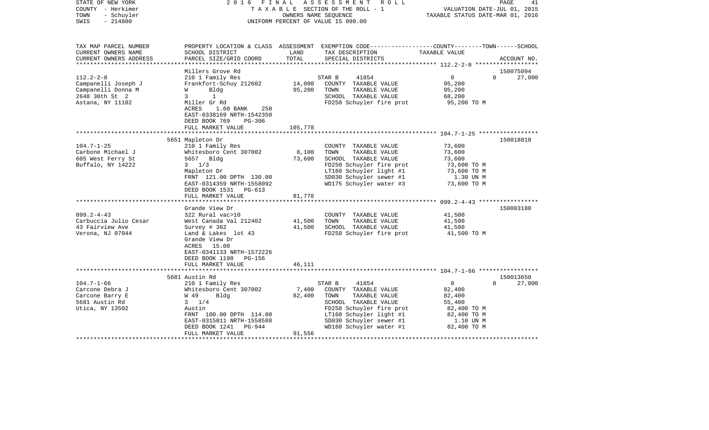| STATE OF NEW YORK<br>COUNTY - Herkimer<br>- Schuyler<br>TOWN<br>$-214800$<br>SWIS                                                                                   | 2016 FINAL                                                                                                                                                                                                                                                                                                                                                                                                                             |                                                         | ASSESSMENT ROLL<br>TAXABLE SECTION OF THE ROLL - 1<br>OWNERS NAME SEOUENCE<br>UNIFORM PERCENT OF VALUE IS 090.00                                                                                                                                                                        | VALUATION DATE-JUL 01, 2015<br>TAXABLE STATUS DATE-MAR 01, 2016                                                                   | PAGE<br>41                      |
|---------------------------------------------------------------------------------------------------------------------------------------------------------------------|----------------------------------------------------------------------------------------------------------------------------------------------------------------------------------------------------------------------------------------------------------------------------------------------------------------------------------------------------------------------------------------------------------------------------------------|---------------------------------------------------------|-----------------------------------------------------------------------------------------------------------------------------------------------------------------------------------------------------------------------------------------------------------------------------------------|-----------------------------------------------------------------------------------------------------------------------------------|---------------------------------|
| TAX MAP PARCEL NUMBER<br>CURRENT OWNERS NAME<br>CURRENT OWNERS ADDRESS                                                                                              | SCHOOL DISTRICT<br>PARCEL SIZE/GRID COORD                                                                                                                                                                                                                                                                                                                                                                                              | LAND<br>TOTAL                                           | PROPERTY LOCATION & CLASS ASSESSMENT EXEMPTION CODE----------------COUNTY-------TOWN------SCHOOL<br>TAX DESCRIPTION<br>SPECIAL DISTRICTS                                                                                                                                                | TAXABLE VALUE                                                                                                                     | ACCOUNT NO.                     |
| ***********************                                                                                                                                             |                                                                                                                                                                                                                                                                                                                                                                                                                                        |                                                         |                                                                                                                                                                                                                                                                                         |                                                                                                                                   |                                 |
| $112.2 - 2 - 8$<br>Campanelli Joseph J<br>Campanelli Donna M<br>2648 30th St 2                                                                                      | Millers Grove Rd<br>210 1 Family Res<br>Frankfort-Schuy 212602<br>W<br>Bldg<br>$\mathbf{3}$<br>$\mathbf{1}$                                                                                                                                                                                                                                                                                                                            | 14,000<br>95,200                                        | 41854<br>STAR B<br>COUNTY TAXABLE VALUE<br>TOWN<br>TAXABLE VALUE<br>SCHOOL TAXABLE VALUE                                                                                                                                                                                                | $\overline{0}$<br>95,200<br>95,200<br>68,200                                                                                      | 150075094<br>$\Omega$<br>27,000 |
| Astana, NY 11102                                                                                                                                                    | Miller Gr Rd<br>ACRES<br>250<br>1.60 BANK<br>EAST-0338169 NRTH-1542350<br>DEED BOOK 769<br>$PG-306$<br>FULL MARKET VALUE                                                                                                                                                                                                                                                                                                               | 105,778                                                 | FD250 Schuyler fire prot                                                                                                                                                                                                                                                                | 95,200 TO M                                                                                                                       |                                 |
|                                                                                                                                                                     |                                                                                                                                                                                                                                                                                                                                                                                                                                        | ***********                                             |                                                                                                                                                                                                                                                                                         |                                                                                                                                   |                                 |
| $104.7 - 1 - 25$<br>Carbone Michael J<br>605 West Ferry St<br>Buffalo, NY 14222<br>$099.2 - 4 - 43$<br>Carbuccia Julio Cesar<br>43 Fairview Ave<br>Verona, NJ 07044 | 5651 Mapleton Dr<br>210 1 Family Res<br>Whitesboro Cent 307002<br>5657 Bldg<br>$3 \frac{1}{3}$<br>Mapleton Dr<br>FRNT 121.00 DPTH 130.00<br>EAST-0314359 NRTH-1558092<br>DEED BOOK 1531 PG-613<br>FULL MARKET VALUE<br>Grande View Dr<br>322 Rural vac>10<br>West Canada Val 212402<br>Survey # 362<br>Land & Lakes lot 43<br>Grande View Dr<br>ACRES 15.00<br>EAST-0341133 NRTH-1572226<br>DEED BOOK 1190 PG-156<br>FULL MARKET VALUE | 8,100<br>73,600<br>81,778<br>41,500<br>41,500<br>46,111 | COUNTY TAXABLE VALUE<br>TOWN<br>TAXABLE VALUE<br>SCHOOL TAXABLE VALUE<br>FD250 Schuyler fire prot<br>LT160 Schuyler light #1<br>SD030 Schuyler sewer #1<br>WD175 Schuyler water #3<br>COUNTY TAXABLE VALUE<br>TOWN<br>TAXABLE VALUE<br>SCHOOL TAXABLE VALUE<br>FD250 Schuyler fire prot | 73,600<br>73,600<br>73,600<br>73,600 TO M<br>73,600 TO M<br>1.30 UN M<br>73,600 TO M<br>41,500<br>41,500<br>41,500<br>41,500 TO M | 150018810<br>150003180          |
|                                                                                                                                                                     | ***************************                                                                                                                                                                                                                                                                                                                                                                                                            |                                                         |                                                                                                                                                                                                                                                                                         |                                                                                                                                   |                                 |
| $104.7 - 1 - 66$<br>Carcone Debra J<br>Carcone Barry E<br>5681 Austin Rd<br>Utica, NY 13502                                                                         | 5681 Austin Rd<br>210 1 Family Res<br>Whitesboro Cent 307002<br>W 49<br>Bldg<br>$3 \t1/4$<br>Austin<br>FRNT 100.00 DPTH 114.00<br>EAST-0315011 NRTH-1558588<br>DEED BOOK 1241 PG-944<br>FULL MARKET VALUE                                                                                                                                                                                                                              | 7,400<br>82,400<br>91,556                               | 41854<br>STAR B<br>COUNTY TAXABLE VALUE<br>TOWN<br>TAXABLE VALUE<br>SCHOOL TAXABLE VALUE<br>FD250 Schuyler fire prot<br>LT160 Schuyler light #1<br>SD030 Schuyler sewer #1<br>WD160 Schuyler water #1                                                                                   | $\overline{0}$<br>82,400<br>82,400<br>55,400<br>82,400 TO M<br>82,400 TO M<br>1.10 UN M<br>82,400 TO M                            | 150013650<br>27,000<br>$\Omega$ |
|                                                                                                                                                                     | **************************                                                                                                                                                                                                                                                                                                                                                                                                             |                                                         |                                                                                                                                                                                                                                                                                         |                                                                                                                                   |                                 |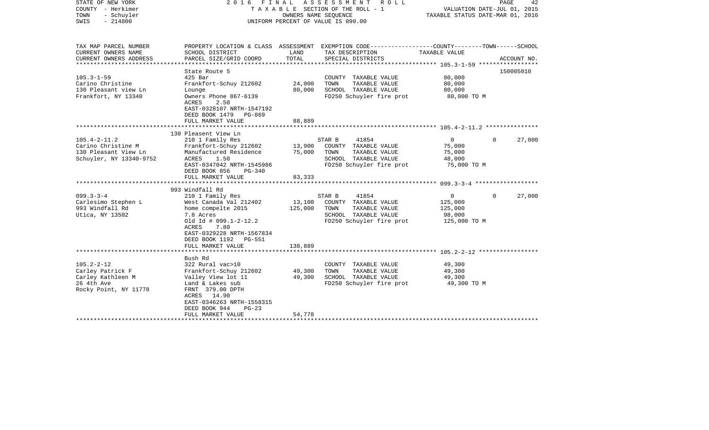| STATE OF NEW YORK<br>COUNTY - Herkimer<br>- Schuyler<br>TOWN<br>$-214800$<br>SWIS                                                                        | F I N A L<br>2016                                                                                                                                                                                                                                                                 | OWNERS NAME SEQUENCE                            | A S S E S S M E N T R O L L<br>T A X A B L E SECTION OF THE ROLL - 1<br>UNIFORM PERCENT OF VALUE IS 090.00                                                                               | TAXABLE STATUS DATE-MAR 01, 2016                                                              | PAGE<br>42<br>VALUATION DATE-JUL 01, 2015 |
|----------------------------------------------------------------------------------------------------------------------------------------------------------|-----------------------------------------------------------------------------------------------------------------------------------------------------------------------------------------------------------------------------------------------------------------------------------|-------------------------------------------------|------------------------------------------------------------------------------------------------------------------------------------------------------------------------------------------|-----------------------------------------------------------------------------------------------|-------------------------------------------|
| TAX MAP PARCEL NUMBER<br>CURRENT OWNERS NAME<br>CURRENT OWNERS ADDRESS<br>*************************                                                      | SCHOOL DISTRICT<br>PARCEL SIZE/GRID COORD                                                                                                                                                                                                                                         | LAND<br>TOTAL                                   | PROPERTY LOCATION & CLASS ASSESSMENT EXEMPTION CODE---------------COUNTY-------TOWN-----SCHOOL<br>TAX DESCRIPTION<br>SPECIAL DISTRICTS                                                   | TAXABLE VALUE                                                                                 | ACCOUNT NO.                               |
| $105.3 - 1 - 59$<br>Carino Christine<br>130 Pleasant view Ln<br>Frankfort, NY 13340                                                                      | State Route 5<br>$425$ Bar<br>Frankfort-Schuy 212602<br>Lounge<br>Owners Phone 867-6139<br><b>ACRES</b><br>2.50<br>EAST-0328107 NRTH-1547192<br>DEED BOOK 1479 PG-869<br>FULL MARKET VALUE                                                                                        | 24,000<br>80,000<br>88,889                      | COUNTY TAXABLE VALUE<br>TAXABLE VALUE<br>TOWN<br>SCHOOL TAXABLE VALUE<br>FD250 Schuyler fire prot                                                                                        | 80,000<br>80,000<br>80,000<br>80,000 TO M                                                     | 150005010                                 |
|                                                                                                                                                          |                                                                                                                                                                                                                                                                                   |                                                 |                                                                                                                                                                                          |                                                                                               |                                           |
| $105.4 - 2 - 11.2$<br>Carino Christine M<br>130 Pleasant View Ln<br>Schuyler, NY 13340-9752<br>$099.3 - 3 - 4$<br>Carlesimo Stephen L<br>993 Windfall Rd | 130 Pleasent View Ln<br>210 1 Family Res<br>Frankfort-Schuy 212602<br>Manufactured Residence<br>ACRES<br>1.50<br>EAST-0347042 NRTH-1545986<br>DEED BOOK 856<br>PG-340<br>FULL MARKET VALUE<br>993 Windfall Rd<br>210 1 Family Res<br>West Canada Val 212402<br>home compelte 2015 | 13,900<br>75,000<br>83,333<br>13,100<br>125,000 | 41854<br>STAR B<br>COUNTY TAXABLE VALUE<br>TOWN<br>TAXABLE VALUE<br>SCHOOL TAXABLE VALUE<br>FD250 Schuyler fire prot<br>41854<br>STAR B<br>COUNTY TAXABLE VALUE<br>TOWN<br>TAXABLE VALUE | $\overline{0}$<br>75,000<br>75,000<br>48,000<br>75,000 TO M<br>$\Omega$<br>125,000<br>125,000 | 27,000<br>$\Omega$<br>27,000<br>$\Omega$  |
| Utica, NY 13502                                                                                                                                          | 7.8 Acres<br>Old Id # 099.1-2-12.2<br>ACRES<br>7.80<br>EAST-0329228 NRTH-1567834<br>DEED BOOK 1192 PG-551<br>FULL MARKET VALUE                                                                                                                                                    | 138,889                                         | SCHOOL TAXABLE VALUE<br>FD250 Schuyler fire prot                                                                                                                                         | 98,000<br>125,000 TO M                                                                        |                                           |
|                                                                                                                                                          |                                                                                                                                                                                                                                                                                   |                                                 |                                                                                                                                                                                          |                                                                                               |                                           |
| $105.2 - 2 - 12$<br>Carley Patrick F<br>Carley Kathleen M<br>26 4th Ave<br>Rocky Point, NY 11778                                                         | Bush Rd<br>322 Rural vac>10<br>Frankfort-Schuy 212602<br>Valley View lot 11<br>Land & Lakes sub<br>FRNT 379.00 DPTH<br>ACRES 14.90<br>EAST-0346263 NRTH-1558315<br>DEED BOOK 944<br>$PG-23$                                                                                       | 49,300<br>49,300                                | COUNTY TAXABLE VALUE<br>TOWN<br>TAXABLE VALUE<br>SCHOOL TAXABLE VALUE<br>FD250 Schuyler fire prot                                                                                        | 49,300<br>49,300<br>49,300<br>49,300 TO M                                                     |                                           |
|                                                                                                                                                          | FULL MARKET VALUE                                                                                                                                                                                                                                                                 | 54,778                                          |                                                                                                                                                                                          |                                                                                               |                                           |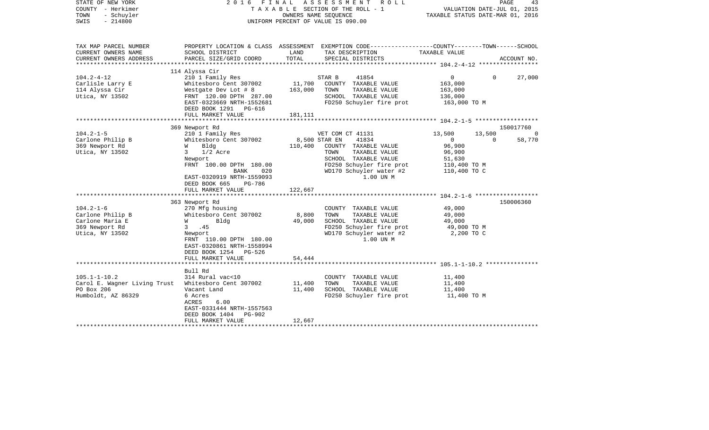| STATE OF NEW YORK<br>COUNTY - Herkimer<br>TOWN<br>- Schuyler<br>SWIS<br>$-214800$                                                                                       |                                                                                                                                                                                                                                                                                                                                                                                                     |                                                        | 2016 FINAL ASSESSMENT ROLL<br>T A X A B L E SECTION OF THE ROLL - 1<br>OWNERS NAME SEQUENCE<br>UNIFORM PERCENT OF VALUE IS 090.00                                                                                                                                                                                   | VALUATION DATE-JUL 01, 2015<br>TAXABLE STATUS DATE-MAR 01, 2016                                                                                       | PAGE<br>43                      |
|-------------------------------------------------------------------------------------------------------------------------------------------------------------------------|-----------------------------------------------------------------------------------------------------------------------------------------------------------------------------------------------------------------------------------------------------------------------------------------------------------------------------------------------------------------------------------------------------|--------------------------------------------------------|---------------------------------------------------------------------------------------------------------------------------------------------------------------------------------------------------------------------------------------------------------------------------------------------------------------------|-------------------------------------------------------------------------------------------------------------------------------------------------------|---------------------------------|
| TAX MAP PARCEL NUMBER<br>CURRENT OWNERS NAME                                                                                                                            | SCHOOL DISTRICT                                                                                                                                                                                                                                                                                                                                                                                     | LAND                                                   | PROPERTY LOCATION & CLASS ASSESSMENT EXEMPTION CODE----------------COUNTY-------TOWN------SCHOOL<br>TAX DESCRIPTION                                                                                                                                                                                                 | TAXABLE VALUE                                                                                                                                         |                                 |
| CURRENT OWNERS ADDRESS                                                                                                                                                  | PARCEL SIZE/GRID COORD                                                                                                                                                                                                                                                                                                                                                                              | TOTAL                                                  | SPECIAL DISTRICTS                                                                                                                                                                                                                                                                                                   |                                                                                                                                                       | ACCOUNT NO.                     |
|                                                                                                                                                                         | 114 Alyssa Cir                                                                                                                                                                                                                                                                                                                                                                                      |                                                        |                                                                                                                                                                                                                                                                                                                     |                                                                                                                                                       |                                 |
| $104.2 - 4 - 12$<br>Carlisle Larry E<br>114 Alyssa Cir<br>Utica, NY 13502                                                                                               | 210 1 Family Res<br>Whitesboro Cent 307002<br>Westgate Dev Lot # 8<br>FRNT 120.00 DPTH 287.00<br>EAST-0323669 NRTH-1552681<br>DEED BOOK 1291 PG-616<br>FULL MARKET VALUE                                                                                                                                                                                                                            | 11,700<br>163,000<br>181,111                           | 41854<br>STAR B<br>COUNTY TAXABLE VALUE<br>TOWN<br>TAXABLE VALUE<br>SCHOOL TAXABLE VALUE<br>FD250 Schuyler fire prot                                                                                                                                                                                                | $\overline{0}$<br>163,000<br>163,000<br>136,000<br>163,000 TO M                                                                                       | 27,000<br>$\mathbf{0}$          |
|                                                                                                                                                                         |                                                                                                                                                                                                                                                                                                                                                                                                     |                                                        |                                                                                                                                                                                                                                                                                                                     |                                                                                                                                                       |                                 |
|                                                                                                                                                                         | 369 Newport Rd                                                                                                                                                                                                                                                                                                                                                                                      |                                                        |                                                                                                                                                                                                                                                                                                                     |                                                                                                                                                       | 150017760                       |
| $104.2 - 1 - 5$<br>Carlone Philip B<br>369 Newport Rd<br>Utica, NY 13502<br>$104.2 - 1 - 6$<br>Carlone Philip B<br>Carlone Maria E<br>369 Newport Rd<br>Utica, NY 13502 | 210 1 Family Res<br>Whitesboro Cent 307002<br>W<br>Bldg<br>$3 \t1/2$ Acre<br>Newport<br>FRNT 100.00 DPTH 180.00<br>BANK<br>020<br>EAST-0320919 NRTH-1559093<br>DEED BOOK 665<br>PG-786<br>FULL MARKET VALUE<br>363 Newport Rd<br>270 Mfg housing<br>Whitesboro Cent 307002<br>Bldg<br><b>W</b><br>3 .45<br>Newport<br>FRNT 110.00 DPTH 180.00<br>EAST-0320861 NRTH-1558994<br>DEED BOOK 1254 PG-526 | 8,500 STAR EN<br>110,400<br>122,667<br>8,800<br>49,000 | VET COM CT 41131<br>41834<br>COUNTY TAXABLE VALUE<br>TAXABLE VALUE<br>TOWN<br>SCHOOL TAXABLE VALUE<br>FD250 Schuyler fire prot<br>WD170 Schuyler water #2<br>1.00 UN M<br>COUNTY TAXABLE VALUE<br>TOWN<br>TAXABLE VALUE<br>SCHOOL TAXABLE VALUE<br>FD250 Schuyler fire prot<br>WD170 Schuyler water #2<br>1.00 UN M | 13,500<br>13,500<br>$\Omega$<br>96,900<br>96,900<br>51,630<br>110,400 TO M<br>110,400 TO C<br>49,000<br>49,000<br>49,000<br>49,000 TO M<br>2,200 TO C | $\Omega$<br>58,770<br>150006360 |
|                                                                                                                                                                         | FULL MARKET VALUE                                                                                                                                                                                                                                                                                                                                                                                   | 54,444                                                 |                                                                                                                                                                                                                                                                                                                     |                                                                                                                                                       |                                 |
| $105.1 - 1 - 10.2$<br>Carol E. Wagner Living Trust<br>PO Box 206<br>Humboldt, AZ 86329                                                                                  | Bull Rd<br>314 Rural vac<10<br>Whitesboro Cent 307002<br>Vacant Land<br>6 Acres<br>6.00<br>ACRES<br>EAST-0331444 NRTH-1557563<br>DEED BOOK 1404<br>PG-902<br>FULL MARKET VALUE<br>*************************                                                                                                                                                                                         | 11,400<br>11,400<br>12,667                             | COUNTY TAXABLE VALUE<br>TOWN<br>TAXABLE VALUE<br>SCHOOL TAXABLE VALUE<br>FD250 Schuyler fire prot                                                                                                                                                                                                                   | 11,400<br>11,400<br>11,400<br>11,400 TO M                                                                                                             |                                 |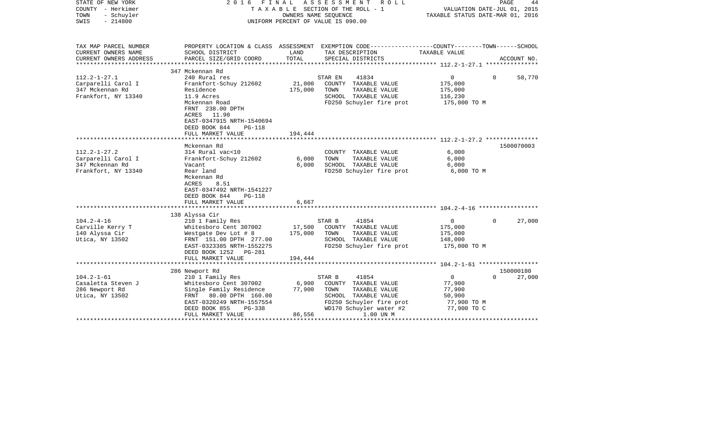| STATE OF NEW YORK<br>COUNTY - Herkimer<br>- Schuyler<br>TOWN<br>$-214800$<br>SWIS  |                                                                                                                                                                                            | OWNERS NAME SEQUENCE         | 2016 FINAL ASSESSMENT<br>R O L L<br>T A X A B L E SECTION OF THE ROLL - 1<br>UNIFORM PERCENT OF VALUE IS 090.00                                              | TAXABLE STATUS DATE-MAR 01, 2016                                        | PAGE<br>44<br>VALUATION DATE-JUL 01, 2015 |
|------------------------------------------------------------------------------------|--------------------------------------------------------------------------------------------------------------------------------------------------------------------------------------------|------------------------------|--------------------------------------------------------------------------------------------------------------------------------------------------------------|-------------------------------------------------------------------------|-------------------------------------------|
| TAX MAP PARCEL NUMBER<br>CURRENT OWNERS NAME                                       | SCHOOL DISTRICT                                                                                                                                                                            | LAND                         | PROPERTY LOCATION & CLASS ASSESSMENT EXEMPTION CODE---------------COUNTY-------TOWN------SCHOOL<br>TAX DESCRIPTION                                           | TAXABLE VALUE                                                           |                                           |
| CURRENT OWNERS ADDRESS<br>***********************                                  | PARCEL SIZE/GRID COORD                                                                                                                                                                     | TOTAL                        | SPECIAL DISTRICTS                                                                                                                                            |                                                                         | ACCOUNT NO.                               |
|                                                                                    | 347 Mckennan Rd                                                                                                                                                                            |                              |                                                                                                                                                              |                                                                         |                                           |
| $112.2 - 1 - 27.1$<br>Carparelli Carol I<br>347 Mckennan Rd<br>Frankfort, NY 13340 | 240 Rural res<br>Frankfort-Schuy 212602<br>Residence<br>11.9 Acres<br>Mckennan Road<br>FRNT 238.00 DPTH<br>ACRES 11.90<br>EAST-0347915 NRTH-1540694                                        | 21,000<br>175,000            | 41834<br>STAR EN<br>COUNTY TAXABLE VALUE<br>TOWN<br>TAXABLE VALUE<br>SCHOOL TAXABLE VALUE<br>FD250 Schuyler fire prot                                        | $\mathbf{0}$<br>175,000<br>175,000<br>116,230<br>175,000 TO M           | $\Omega$<br>58,770                        |
|                                                                                    | DEED BOOK 844<br><b>PG-118</b>                                                                                                                                                             |                              |                                                                                                                                                              |                                                                         |                                           |
|                                                                                    | FULL MARKET VALUE                                                                                                                                                                          | 194,444                      |                                                                                                                                                              |                                                                         |                                           |
|                                                                                    | Mckennan Rd                                                                                                                                                                                |                              |                                                                                                                                                              |                                                                         | 1500070003                                |
| $112.2 - 1 - 27.2$<br>Carparelli Carol I                                           | 314 Rural vac<10<br>Frankfort-Schuy 212602                                                                                                                                                 | 6,000                        | COUNTY TAXABLE VALUE<br>TAXABLE VALUE<br>TOWN                                                                                                                | 6,000<br>6,000                                                          |                                           |
| 347 Mckennan Rd<br>Frankfort, NY 13340                                             | Vacant<br>Rear land<br>Mckennan Rd<br>8.51<br>ACRES<br>EAST-0347492 NRTH-1541227<br>DEED BOOK 844<br>$PG-118$                                                                              | 6,000                        | SCHOOL TAXABLE VALUE<br>FD250 Schuyler fire prot                                                                                                             | 6,000<br>6,000 TO M                                                     |                                           |
|                                                                                    | FULL MARKET VALUE                                                                                                                                                                          | 6,667                        |                                                                                                                                                              |                                                                         |                                           |
|                                                                                    |                                                                                                                                                                                            |                              |                                                                                                                                                              |                                                                         |                                           |
| $104.2 - 4 - 16$<br>Carville Kerry T<br>140 Alyssa Cir<br>Utica, NY 13502          | 138 Alyssa Cir<br>210 1 Family Res<br>Whitesboro Cent 307002<br>Westgate Dev Lot # 8<br>FRNT 151.00 DPTH 277.00<br>EAST-0323385 NRTH-1552275<br>DEED BOOK 1252 PG-281<br>FULL MARKET VALUE | 17,500<br>175,000<br>194,444 | 41854<br>STAR B<br>COUNTY TAXABLE VALUE<br>TOWN<br>TAXABLE VALUE<br>SCHOOL TAXABLE VALUE<br>FD250 Schuyler fire prot                                         | $\overline{0}$<br>175,000<br>175,000<br>148,000<br>175,000 TO M         | 27,000<br>$\Omega$                        |
|                                                                                    |                                                                                                                                                                                            |                              |                                                                                                                                                              |                                                                         |                                           |
|                                                                                    | 286 Newport Rd                                                                                                                                                                             |                              |                                                                                                                                                              |                                                                         | 150000180                                 |
| $104.2 - 1 - 61$<br>Casaletta Steven J<br>286 Newport Rd<br>Utica, NY 13502        | 210 1 Family Res<br>Whitesboro Cent 307002<br>Single Family Residence<br>FRNT 80.00 DPTH 160.00<br>EAST-0320249 NRTH-1557554<br>DEED BOOK 855<br>PG-338<br>FULL MARKET VALUE               | 6,900<br>77,900<br>86,556    | 41854<br>STAR B<br>COUNTY TAXABLE VALUE<br>TOWN<br>TAXABLE VALUE<br>SCHOOL TAXABLE VALUE<br>FD250 Schuyler fire prot<br>WD170 Schuyler water #2<br>1.00 UN M | $\mathbf 0$<br>77,900<br>77,900<br>50,900<br>77,900 TO M<br>77,900 TO C | 27,000<br>$\Omega$                        |
|                                                                                    |                                                                                                                                                                                            | ********************         |                                                                                                                                                              | *************************************                                   |                                           |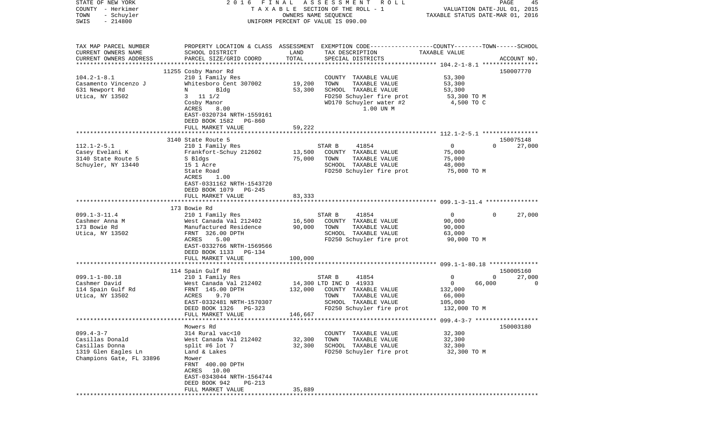| STATE OF NEW YORK<br>COUNTY - Herkimer<br>TOWN<br>- Schuyler<br>$-214800$<br>SWIS                       | FINAL<br>2016                                                                                                                                                                                                | ASSESSMENT<br>R O L L<br>TAXABLE SECTION OF THE ROLL - 1<br>OWNERS NAME SEQUENCE<br>UNIFORM PERCENT OF VALUE IS 090.00                                                     | PAGE<br>45<br>VALUATION DATE-JUL 01, 2015<br>TAXABLE STATUS DATE-MAR 01, 2016                                         |
|---------------------------------------------------------------------------------------------------------|--------------------------------------------------------------------------------------------------------------------------------------------------------------------------------------------------------------|----------------------------------------------------------------------------------------------------------------------------------------------------------------------------|-----------------------------------------------------------------------------------------------------------------------|
| TAX MAP PARCEL NUMBER<br>CURRENT OWNERS NAME<br>CURRENT OWNERS ADDRESS<br>*************************     | SCHOOL DISTRICT<br>PARCEL SIZE/GRID COORD                                                                                                                                                                    | PROPERTY LOCATION & CLASS ASSESSMENT EXEMPTION CODE---------------COUNTY-------TOWN------SCHOOL<br>LAND<br>TAX DESCRIPTION<br>TOTAL<br>SPECIAL DISTRICTS                   | TAXABLE VALUE<br>ACCOUNT NO.                                                                                          |
| $104.2 - 1 - 8.1$<br>Casamento Vincenzo J<br>631 Newport Rd<br>Utica, NY 13502                          | 11255 Cosby Manor Rd<br>210 1 Family Res<br>Whitesboro Cent 307002<br>Bldg<br>N<br>11 1/2<br>3<br>Cosby Manor<br>ACRES<br>8.00<br>EAST-0320734 NRTH-1559161<br>DEED BOOK 1582<br>PG-860<br>FULL MARKET VALUE | COUNTY<br>TAXABLE VALUE<br>19,200<br>TOWN<br>TAXABLE VALUE<br>SCHOOL TAXABLE VALUE<br>53,300<br>FD250 Schuyler fire prot<br>WD170 Schuyler water #2<br>1.00 UN M<br>59,222 | 150007770<br>53,300<br>53,300<br>53,300<br>53,300 TO M<br>4,500 TO C                                                  |
|                                                                                                         |                                                                                                                                                                                                              |                                                                                                                                                                            |                                                                                                                       |
| $112.1 - 2 - 5.1$<br>Casey Evelani K<br>3140 State Route 5<br>Schuyler, NY 13440                        | 3140 State Route 5<br>210 1 Family Res<br>Frankfort-Schuy 212602<br>S Bldgs<br>15 1 Acre<br>State Road<br>ACRES<br>1.00<br>EAST-0331162 NRTH-1543720<br>DEED BOOK 1079<br>PG-245                             | 41854<br>STAR B<br>13,500<br>COUNTY TAXABLE VALUE<br>75,000<br>TOWN<br>TAXABLE VALUE<br>SCHOOL TAXABLE VALUE<br>FD250 Schuyler fire prot                                   | 150075148<br>27,000<br>$\mathbf{0}$<br>$\Omega$<br>75,000<br>75,000<br>48,000<br>75,000 TO M                          |
|                                                                                                         | FULL MARKET VALUE                                                                                                                                                                                            | 83,333                                                                                                                                                                     |                                                                                                                       |
|                                                                                                         | 173 Bowie Rd                                                                                                                                                                                                 |                                                                                                                                                                            |                                                                                                                       |
| $099.1 - 3 - 11.4$<br>Cashmer Anna M<br>173 Bowie Rd<br>Utica, NY 13502                                 | 210 1 Family Res<br>West Canada Val 212402<br>Manufactured Residence<br>FRNT 326.00 DPTH<br>ACRES<br>5.00<br>EAST-0332766 NRTH-1569566<br>DEED BOOK 1133<br>PG-134<br>FULL MARKET VALUE                      | STAR B<br>41854<br>16,500<br>COUNTY TAXABLE VALUE<br>90,000<br>TOWN<br>TAXABLE VALUE<br>SCHOOL TAXABLE VALUE<br>FD250 Schuyler fire prot<br>100,000                        | $\overline{0}$<br>$\Omega$<br>27,000<br>90,000<br>90,000<br>63,000<br>90,000 TO M                                     |
|                                                                                                         |                                                                                                                                                                                                              |                                                                                                                                                                            |                                                                                                                       |
| $099.1 - 1 - 80.18$<br>Cashmer David<br>114 Spain Gulf Rd<br>Utica, NY 13502                            | 114 Spain Gulf Rd<br>210 1 Family Res<br>West Canada Val 212402<br>FRNT 145.00 DPTH<br>ACRES<br>9.70<br>EAST-0332481 NRTH-1570307<br>DEED BOOK 1326<br>$PG-323$<br>FULL MARKET VALUE                         | STAR B<br>41854<br>14,300 LTD INC D 41933<br>132,000<br>COUNTY TAXABLE VALUE<br>TAXABLE VALUE<br>TOWN<br>SCHOOL TAXABLE VALUE<br>FD250 Schuyler fire prot<br>146,667       | 150005160<br>0<br>0<br>27,000<br>$\overline{0}$<br>66,000<br>$\Omega$<br>132,000<br>66,000<br>105,000<br>132,000 TO M |
|                                                                                                         |                                                                                                                                                                                                              |                                                                                                                                                                            |                                                                                                                       |
| $099.4 - 3 - 7$<br>Casillas Donald<br>Casillas Donna<br>1319 Glen Eagles Ln<br>Champions Gate, FL 33896 | Mowers Rd<br>314 Rural vac<10<br>West Canada Val 212402<br>split #6 lot 7<br>Land & Lakes<br>Mower<br>FRNT 400.00 DPTH<br>ACRES 10.00<br>EAST-0343044 NRTH-1564744<br>DEED BOOK 942<br>PG-213                | COUNTY TAXABLE VALUE<br>32,300<br>TOWN<br>TAXABLE VALUE<br>32,300<br>SCHOOL TAXABLE VALUE<br>FD250 Schuyler fire prot                                                      | 150003180<br>32,300<br>32,300<br>32,300<br>32,300 TO M                                                                |
|                                                                                                         | FULL MARKET VALUE                                                                                                                                                                                            | 35,889                                                                                                                                                                     |                                                                                                                       |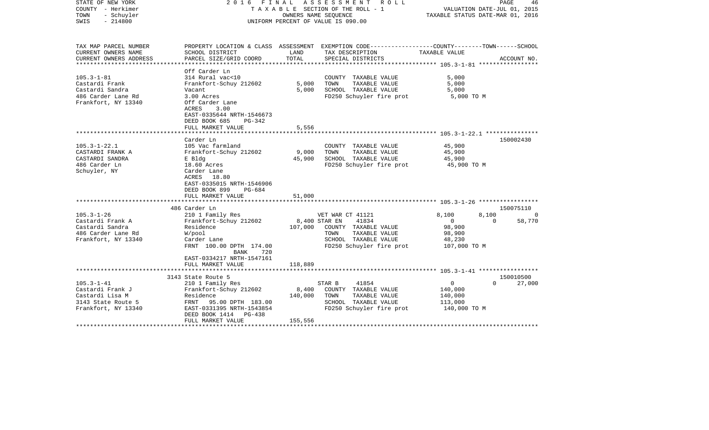| STATE OF NEW YORK<br>COUNTY - Herkimer<br>TOWN<br>- Schuyler<br>$-214800$<br>SWIS | ASSESSMENT<br>2016 FINAL<br>ROLL<br>TAXABLE SECTION OF THE ROLL - 1<br>OWNERS NAME SEOUENCE<br>UNIFORM PERCENT OF VALUE IS 090.00 |                 |                                                                                                  | PAGE<br>46<br>VALUATION DATE-JUL 01, 2015<br>TAXABLE STATUS DATE-MAR 01, 2016 |              |
|-----------------------------------------------------------------------------------|-----------------------------------------------------------------------------------------------------------------------------------|-----------------|--------------------------------------------------------------------------------------------------|-------------------------------------------------------------------------------|--------------|
| TAX MAP PARCEL NUMBER                                                             |                                                                                                                                   |                 | PROPERTY LOCATION & CLASS ASSESSMENT EXEMPTION CODE----------------COUNTY-------TOWN------SCHOOL |                                                                               |              |
| CURRENT OWNERS NAME<br>CURRENT OWNERS ADDRESS                                     | SCHOOL DISTRICT<br>PARCEL SIZE/GRID COORD                                                                                         | LAND<br>TOTAL   | TAX DESCRIPTION<br>SPECIAL DISTRICTS                                                             | TAXABLE VALUE                                                                 | ACCOUNT NO.  |
|                                                                                   |                                                                                                                                   |                 |                                                                                                  |                                                                               |              |
|                                                                                   | Off Carder Ln                                                                                                                     |                 |                                                                                                  |                                                                               |              |
| $105.3 - 1 - 81$                                                                  | 314 Rural vac<10                                                                                                                  |                 | COUNTY TAXABLE VALUE                                                                             | 5,000                                                                         |              |
| Castardi Frank                                                                    | Frankfort-Schuy 212602                                                                                                            | 5,000           | TOWN<br>TAXABLE VALUE                                                                            | 5,000                                                                         |              |
| Castardi Sandra                                                                   | Vacant                                                                                                                            | 5,000           | SCHOOL TAXABLE VALUE                                                                             | 5,000                                                                         |              |
| 486 Carder Lane Rd<br>Frankfort, NY 13340                                         | 3.00 Acres<br>Off Carder Lane                                                                                                     |                 | FD250 Schuyler fire prot                                                                         | 5,000 TO M                                                                    |              |
|                                                                                   | 3.00<br>ACRES                                                                                                                     |                 |                                                                                                  |                                                                               |              |
|                                                                                   | EAST-0335644 NRTH-1546673                                                                                                         |                 |                                                                                                  |                                                                               |              |
|                                                                                   | DEED BOOK 685<br>PG-342                                                                                                           |                 |                                                                                                  |                                                                               |              |
|                                                                                   | FULL MARKET VALUE                                                                                                                 | 5,556           |                                                                                                  |                                                                               |              |
|                                                                                   | *******************                                                                                                               |                 |                                                                                                  |                                                                               |              |
|                                                                                   | Carder Ln                                                                                                                         |                 |                                                                                                  |                                                                               | 150002430    |
| $105.3 - 1 - 22.1$                                                                | 105 Vac farmland                                                                                                                  |                 | COUNTY TAXABLE VALUE                                                                             | 45,900                                                                        |              |
| CASTARDI FRANK A<br>CASTARDI SANDRA                                               | Frankfort-Schuy 212602<br>E Bldg                                                                                                  | 9,000<br>45,900 | TOWN<br>TAXABLE VALUE<br>SCHOOL TAXABLE VALUE                                                    | 45,900<br>45,900                                                              |              |
| 486 Carder Ln                                                                     | 18.60 Acres                                                                                                                       |                 | FD250 Schuyler fire prot                                                                         | 45,900 TO M                                                                   |              |
| Schuyler, NY                                                                      | Carder Lane                                                                                                                       |                 |                                                                                                  |                                                                               |              |
|                                                                                   | ACRES 18.80                                                                                                                       |                 |                                                                                                  |                                                                               |              |
|                                                                                   | EAST-0335015 NRTH-1546906                                                                                                         |                 |                                                                                                  |                                                                               |              |
|                                                                                   | DEED BOOK 899<br>PG-684                                                                                                           |                 |                                                                                                  |                                                                               |              |
|                                                                                   | FULL MARKET VALUE                                                                                                                 | 51,000          |                                                                                                  |                                                                               |              |
|                                                                                   | 486 Carder Ln                                                                                                                     |                 |                                                                                                  |                                                                               | 150075110    |
| $105.3 - 1 - 26$                                                                  | 210 1 Family Res                                                                                                                  |                 | VET WAR CT 41121                                                                                 | 8,100<br>8,100                                                                | $\mathbf{0}$ |
| Castardi Frank A                                                                  | Frankfort-Schuy 212602                                                                                                            |                 | 41834<br>8,400 STAR EN                                                                           | $\overline{0}$<br>$\Omega$                                                    | 58,770       |
| Castardi Sandra                                                                   | Residence                                                                                                                         | 107,000         | COUNTY TAXABLE VALUE                                                                             | 98,900                                                                        |              |
| 486 Carder Lane Rd                                                                | W/pool                                                                                                                            |                 | TAXABLE VALUE<br>TOWN                                                                            | 98,900                                                                        |              |
| Frankfort, NY 13340                                                               | Carder Lane                                                                                                                       |                 | SCHOOL TAXABLE VALUE                                                                             | 48,230                                                                        |              |
|                                                                                   | FRNT 100.00 DPTH 174.00<br>720<br>BANK                                                                                            |                 | FD250 Schuyler fire prot                                                                         | 107,000 TO M                                                                  |              |
|                                                                                   | EAST-0334217 NRTH-1547161                                                                                                         |                 |                                                                                                  |                                                                               |              |
|                                                                                   | FULL MARKET VALUE                                                                                                                 | 118,889         |                                                                                                  |                                                                               |              |
|                                                                                   | 3143 State Route 5                                                                                                                |                 |                                                                                                  |                                                                               | 150010500    |
| $105.3 - 1 - 41$                                                                  | 210 1 Family Res                                                                                                                  |                 | STAR B<br>41854                                                                                  | $\mathbf{0}$<br>$\Omega$                                                      | 27,000       |
| Castardi Frank J                                                                  | Frankfort-Schuy 212602                                                                                                            | 8,400           | COUNTY TAXABLE VALUE                                                                             | 140,000                                                                       |              |
| Castardi Lisa M                                                                   | Residence                                                                                                                         | 140,000         | TOWN<br>TAXABLE VALUE                                                                            | 140,000                                                                       |              |
| 3143 State Route 5                                                                | FRNT<br>95.00 DPTH 183.00                                                                                                         |                 | SCHOOL TAXABLE VALUE                                                                             | 113,000                                                                       |              |
| Frankfort, NY 13340                                                               | EAST-0331395 NRTH-1543854                                                                                                         |                 | FD250 Schuyler fire prot                                                                         | 140,000 TO M                                                                  |              |
|                                                                                   | DEED BOOK 1414 PG-438                                                                                                             |                 |                                                                                                  |                                                                               |              |
|                                                                                   | FULL MARKET VALUE                                                                                                                 | 155,556         |                                                                                                  |                                                                               |              |
|                                                                                   |                                                                                                                                   |                 |                                                                                                  |                                                                               |              |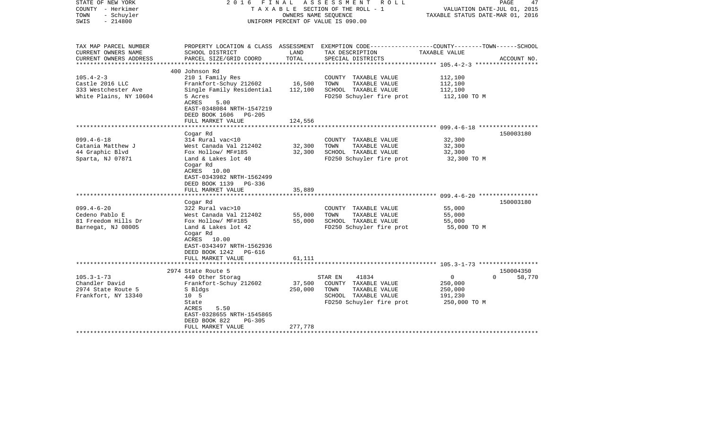| STATE OF NEW YORK<br>COUNTY - Herkimer<br>- Schuyler<br>TOWN<br>$-214800$<br>SWIS |                                                                                                                           | OWNERS NAME SEOUENCE | 2016 FINAL ASSESSMENT ROLL<br>TAXABLE SECTION OF THE ROLL - 1<br>UNIFORM PERCENT OF VALUE IS 090.00                | VALUATION DATE-JUL 01, 2015<br>TAXABLE STATUS DATE-MAR 01, 2016 | 47<br>PAGE         |
|-----------------------------------------------------------------------------------|---------------------------------------------------------------------------------------------------------------------------|----------------------|--------------------------------------------------------------------------------------------------------------------|-----------------------------------------------------------------|--------------------|
| TAX MAP PARCEL NUMBER<br>CURRENT OWNERS NAME                                      | SCHOOL DISTRICT                                                                                                           | LAND                 | PROPERTY LOCATION & CLASS ASSESSMENT EXEMPTION CODE---------------COUNTY-------TOWN------SCHOOL<br>TAX DESCRIPTION | TAXABLE VALUE                                                   |                    |
| CURRENT OWNERS ADDRESS                                                            | PARCEL SIZE/GRID COORD                                                                                                    | TOTAL                | SPECIAL DISTRICTS                                                                                                  |                                                                 | ACCOUNT NO.        |
|                                                                                   | 400 Johnson Rd                                                                                                            |                      |                                                                                                                    |                                                                 |                    |
| $105.4 - 2 - 3$                                                                   | 210 1 Family Res                                                                                                          |                      | COUNTY TAXABLE VALUE                                                                                               | 112,100                                                         |                    |
| Castle 2016 LLC                                                                   | Frankfort-Schuy 212602                                                                                                    | 16,500               | TOWN<br>TAXABLE VALUE                                                                                              | 112,100                                                         |                    |
| 333 Westchester Ave                                                               | Single Family Residential                                                                                                 | 112,100              | SCHOOL TAXABLE VALUE                                                                                               | 112,100                                                         |                    |
| White Plains, NY 10604                                                            | 5 Acres<br>ACRES<br>5.00<br>EAST-0348084 NRTH-1547219<br>DEED BOOK 1606 PG-205                                            |                      | FD250 Schuyler fire prot                                                                                           | 112,100 TO M                                                    |                    |
|                                                                                   | FULL MARKET VALUE                                                                                                         | 124,556              |                                                                                                                    |                                                                 |                    |
|                                                                                   |                                                                                                                           |                      |                                                                                                                    |                                                                 |                    |
|                                                                                   | Cogar Rd                                                                                                                  |                      |                                                                                                                    |                                                                 | 150003180          |
| $099.4 - 6 - 18$                                                                  | 314 Rural vac<10                                                                                                          |                      | COUNTY TAXABLE VALUE                                                                                               | 32,300                                                          |                    |
| Catania Matthew J                                                                 | West Canada Val 212402                                                                                                    | 32,300               | TOWN<br>TAXABLE VALUE                                                                                              | 32,300                                                          |                    |
| 44 Graphic Blvd                                                                   | Fox Hollow/ MF#185                                                                                                        | 32,300               | SCHOOL TAXABLE VALUE                                                                                               | 32,300                                                          |                    |
| Sparta, NJ 07871                                                                  | Land & Lakes lot 40<br>Cogar Rd<br>ACRES 10.00<br>EAST-0343982 NRTH-1562499<br>DEED BOOK 1139 PG-336                      |                      | FD250 Schuyler fire prot                                                                                           | 32,300 TO M                                                     |                    |
|                                                                                   | FULL MARKET VALUE                                                                                                         | 35,889               |                                                                                                                    |                                                                 |                    |
|                                                                                   | *****************************                                                                                             |                      |                                                                                                                    |                                                                 |                    |
|                                                                                   | Cogar Rd                                                                                                                  |                      |                                                                                                                    |                                                                 | 150003180          |
| $099.4 - 6 - 20$                                                                  | 322 Rural vac>10                                                                                                          |                      | COUNTY TAXABLE VALUE<br>TOWN                                                                                       | 55,000                                                          |                    |
| Cedeno Pablo E<br>81 Freedom Hills Dr                                             | West Canada Val 212402<br>Fox Hollow/ MF#185                                                                              | 55,000<br>55,000     | TAXABLE VALUE<br>SCHOOL TAXABLE VALUE                                                                              | 55,000<br>55,000                                                |                    |
| Barnegat, NJ 08005                                                                | Land & Lakes lot 42<br>Cogar Rd<br>ACRES 10.00<br>EAST-0343497 NRTH-1562936<br>DEED BOOK 1242 PG-616<br>FULL MARKET VALUE | 61,111               | FD250 Schuyler fire prot                                                                                           | 55,000 TO M                                                     |                    |
|                                                                                   | **************************                                                                                                |                      |                                                                                                                    |                                                                 |                    |
|                                                                                   | 2974 State Route 5                                                                                                        |                      |                                                                                                                    |                                                                 | 150004350          |
| $105.3 - 1 - 73$                                                                  | 449 Other Storag                                                                                                          |                      | STAR EN<br>41834                                                                                                   | 0                                                               | $\Omega$<br>58,770 |
| Chandler David                                                                    | Frankfort-Schuy 212602                                                                                                    | 37,500               | COUNTY TAXABLE VALUE                                                                                               | 250,000                                                         |                    |
| 2974 State Route 5                                                                | S Bldgs                                                                                                                   | 250,000              | TOWN<br>TAXABLE VALUE                                                                                              | 250,000                                                         |                    |
| Frankfort, NY 13340                                                               | 10 <sub>5</sub><br>State<br>ACRES<br>5.50<br>EAST-0328655 NRTH-1545865                                                    |                      | SCHOOL TAXABLE VALUE<br>FD250 Schuyler fire prot                                                                   | 191,230<br>250,000 TO M                                         |                    |
|                                                                                   | DEED BOOK 822<br><b>PG-305</b>                                                                                            |                      |                                                                                                                    |                                                                 |                    |
|                                                                                   | FULL MARKET VALUE                                                                                                         | 277,778              |                                                                                                                    |                                                                 |                    |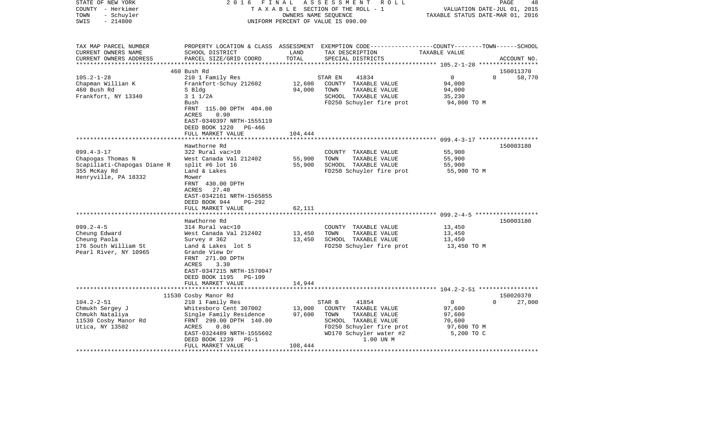| STATE OF NEW YORK<br>COUNTY - Herkimer<br>- Schuyler<br>TOWN<br>$-214800$<br>SWIS | 2 0 1 6<br>FINAL                                                                                                                                               | OWNERS NAME SEQUENCE | A S S E S S M E N T<br>R O L L<br>TAXABLE SECTION OF THE ROLL - 1<br>UNIFORM PERCENT OF VALUE IS 090.00                                  | VALUATION DATE-JUL 01, 2015<br>TAXABLE STATUS DATE-MAR 01, 2016   | PAGE<br>48            |
|-----------------------------------------------------------------------------------|----------------------------------------------------------------------------------------------------------------------------------------------------------------|----------------------|------------------------------------------------------------------------------------------------------------------------------------------|-------------------------------------------------------------------|-----------------------|
|                                                                                   |                                                                                                                                                                |                      |                                                                                                                                          |                                                                   |                       |
| TAX MAP PARCEL NUMBER<br>CURRENT OWNERS NAME<br>CURRENT OWNERS ADDRESS            | SCHOOL DISTRICT<br>PARCEL SIZE/GRID COORD                                                                                                                      | LAND<br>TOTAL        | PROPERTY LOCATION & CLASS ASSESSMENT EXEMPTION CODE----------------COUNTY-------TOWN------SCHOOL<br>TAX DESCRIPTION<br>SPECIAL DISTRICTS | TAXABLE VALUE                                                     | ACCOUNT NO.           |
| ***********************                                                           |                                                                                                                                                                |                      |                                                                                                                                          |                                                                   |                       |
| $105.2 - 1 - 28$                                                                  | 460 Bush Rd                                                                                                                                                    |                      |                                                                                                                                          | $\Omega$                                                          | 150011370<br>$\Omega$ |
| Chapman Willian K<br>460 Bush Rd                                                  | 210 1 Family Res<br>Frankfort-Schuy 212602<br>S Bldg                                                                                                           | 12,600<br>94,000     | STAR EN<br>41834<br>COUNTY TAXABLE VALUE<br>TOWN<br>TAXABLE VALUE                                                                        | 94,000<br>94,000                                                  | 58,770                |
| Frankfort, NY 13340                                                               | 3 1 1/2A<br>Bush<br>FRNT 115.00 DPTH 404.00                                                                                                                    |                      | SCHOOL TAXABLE VALUE<br>FD250 Schuyler fire prot                                                                                         | 35,230<br>94,000 TO M                                             |                       |
|                                                                                   | <b>ACRES</b><br>0.90<br>EAST-0340397 NRTH-1555119<br>DEED BOOK 1220<br>PG-466<br>FULL MARKET VALUE                                                             | 104,444              |                                                                                                                                          |                                                                   |                       |
|                                                                                   |                                                                                                                                                                |                      |                                                                                                                                          |                                                                   |                       |
|                                                                                   | Hawthorne Rd                                                                                                                                                   |                      |                                                                                                                                          |                                                                   | 150003180             |
| $099.4 - 3 - 17$                                                                  | 322 Rural vac>10                                                                                                                                               |                      | COUNTY TAXABLE VALUE                                                                                                                     | 55,900                                                            |                       |
| Chapogas Thomas N                                                                 | West Canada Val 212402                                                                                                                                         | 55,900               | TOWN<br>TAXABLE VALUE                                                                                                                    | 55,900                                                            |                       |
| Scapiliati-Chapogas Diane R<br>355 McKay Rd                                       | split #6 lot $16$<br>Land & Lakes                                                                                                                              | 55,900               | SCHOOL TAXABLE VALUE<br>FD250 Schuyler fire prot                                                                                         | 55,900<br>55,900 TO M                                             |                       |
| Henryville, PA 18332                                                              | Mower<br>FRNT 430.00 DPTH<br>27.40<br>ACRES<br>EAST-0342161 NRTH-1565855<br>DEED BOOK 944<br>PG-292<br>FULL MARKET VALUE                                       | 62,111               |                                                                                                                                          |                                                                   |                       |
|                                                                                   | *****************                                                                                                                                              |                      |                                                                                                                                          | ************************************599.2-4-5 ******************* |                       |
| $099.2 - 4 - 5$                                                                   | Hawthorne Rd<br>314 Rural vac<10                                                                                                                               |                      | COUNTY TAXABLE VALUE                                                                                                                     | 13,450                                                            | 150003180             |
| Cheung Edward                                                                     | West Canada Val 212402                                                                                                                                         | 13,450               | TOWN<br>TAXABLE VALUE                                                                                                                    | 13,450                                                            |                       |
| Cheung Paola                                                                      | Survey # 362                                                                                                                                                   | 13,450               | SCHOOL TAXABLE VALUE                                                                                                                     | 13,450                                                            |                       |
| 176 South William St<br>Pearl River, NY 10965                                     | Land & Lakes lot 5<br>Grande View Dr<br>FRNT 271.00 DPTH<br>ACRES<br>3.30<br>EAST-0347215 NRTH-1570047<br>DEED BOOK 1195<br><b>PG-109</b><br>FULL MARKET VALUE | 14,944               | FD250 Schuyler fire prot                                                                                                                 | 13,450 TO M                                                       |                       |
|                                                                                   | **********************                                                                                                                                         |                      |                                                                                                                                          |                                                                   |                       |
|                                                                                   | 11530 Cosby Manor Rd                                                                                                                                           |                      |                                                                                                                                          |                                                                   | 150020370             |
| $104.2 - 2 - 51$<br>Chmukh Sergey J<br>Chmukh Nataliya                            | 210 1 Family Res<br>Whitesboro Cent 307002<br>Single Family Residence<br>FRNT 299.00 DPTH 140.00                                                               | 13,000<br>97,600     | STAR B<br>41854<br>COUNTY TAXABLE VALUE<br>TOWN<br>TAXABLE VALUE<br>SCHOOL TAXABLE VALUE                                                 | 0<br>97,600<br>97,600                                             | $\Omega$<br>27,000    |
| 11530 Cosby Manor Rd<br>Utica, NY 13502                                           | 0.86<br>ACRES                                                                                                                                                  |                      | FD250 Schuyler fire prot                                                                                                                 | 70,600<br>97,600 TO M                                             |                       |
|                                                                                   | EAST-0324489 NRTH-1555602<br>DEED BOOK 1239<br>$PG-1$<br>FULL MARKET VALUE                                                                                     | 108,444              | WD170 Schuyler water #2<br>1.00 UN M                                                                                                     | 5,200 TO C                                                        |                       |
|                                                                                   |                                                                                                                                                                |                      |                                                                                                                                          |                                                                   |                       |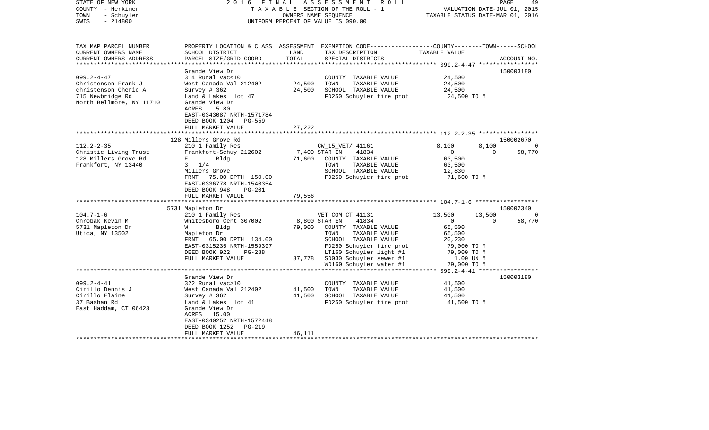| STATE OF NEW YORK<br>COUNTY - Herkimer<br>- Schuyler<br>TOWN<br>$-214800$<br>SWIS   | 2016<br>FINAL                                                                                                                                                  |                  | ASSESSMENT ROLL<br>TAXABLE SECTION OF THE ROLL - 1<br>OWNERS NAME SEQUENCE<br>UNIFORM PERCENT OF VALUE IS 090.00                         | TAXABLE STATUS DATE-MAR 01, 2016                            | VALUATION DATE-JUL 01, 2015 | 49<br>PAGE               |
|-------------------------------------------------------------------------------------|----------------------------------------------------------------------------------------------------------------------------------------------------------------|------------------|------------------------------------------------------------------------------------------------------------------------------------------|-------------------------------------------------------------|-----------------------------|--------------------------|
| TAX MAP PARCEL NUMBER<br>CURRENT OWNERS NAME<br>CURRENT OWNERS ADDRESS              | SCHOOL DISTRICT<br>PARCEL SIZE/GRID COORD                                                                                                                      | LAND<br>TOTAL    | PROPERTY LOCATION & CLASS ASSESSMENT EXEMPTION CODE----------------COUNTY-------TOWN------SCHOOL<br>TAX DESCRIPTION<br>SPECIAL DISTRICTS | TAXABLE VALUE                                               |                             | ACCOUNT NO.              |
| *************************                                                           |                                                                                                                                                                |                  |                                                                                                                                          |                                                             |                             |                          |
| $099.2 - 4 - 47$<br>Christenson Frank J<br>christenson Cherie A<br>715 Newbridge Rd | Grande View Dr<br>314 Rural vac<10<br>West Canada Val 212402<br>Survey $# 362$<br>Land & Lakes lot 47                                                          | 24,500<br>24,500 | COUNTY TAXABLE VALUE<br>TOWN<br>TAXABLE VALUE<br>SCHOOL TAXABLE VALUE<br>FD250 Schuyler fire prot                                        | 24,500<br>24,500<br>24,500<br>24,500 TO M                   |                             | 150003180                |
| North Bellmore, NY 11710                                                            | Grande View Dr<br>ACRES<br>5.80<br>EAST-0343087 NRTH-1571784<br>DEED BOOK 1204<br><b>PG-559</b><br>FULL MARKET VALUE                                           | 27,222           |                                                                                                                                          |                                                             |                             |                          |
|                                                                                     | *****************                                                                                                                                              | **********       | ***************************** 112.2-2-35 *****************                                                                               |                                                             |                             |                          |
| $112.2 - 2 - 35$<br>Christie Living Trust                                           | 128 Millers Grove Rd<br>210 1 Family Res<br>Frankfort-Schuy 212602                                                                                             |                  | CW_15_VET/ 41161<br>7,400 STAR EN<br>41834                                                                                               | 8,100<br>$\mathbf{0}$                                       | 8,100<br>$\mathbf 0$        | 150002670<br>0<br>58,770 |
| 128 Millers Grove Rd<br>Frankfort, NY 13440                                         | $E = 1$<br>Bldg<br>$3 \t1/4$<br>Millers Grove<br>FRNT 75.00 DPTH 150.00                                                                                        | 71,600           | COUNTY TAXABLE VALUE<br>TOWN<br>TAXABLE VALUE<br>SCHOOL TAXABLE VALUE<br>FD250 Schuyler fire prot                                        | 63,500<br>63,500<br>12,830<br>71,600 TO M                   |                             |                          |
|                                                                                     | EAST-0336778 NRTH-1540354<br>DEED BOOK 948<br><b>PG-201</b><br>FULL MARKET VALUE                                                                               | 79,556           |                                                                                                                                          |                                                             |                             |                          |
|                                                                                     | 5731 Mapleton Dr                                                                                                                                               |                  |                                                                                                                                          |                                                             |                             | 150002340                |
| $104.7 - 1 - 6$                                                                     | 210 1 Family Res                                                                                                                                               |                  | VET COM CT 41131                                                                                                                         | 13,500                                                      | 13,500                      | 0                        |
| Chrobak Kevin M<br>5731 Mapleton Dr                                                 | Whitesboro Cent 307002<br>Bldg<br>W                                                                                                                            | 79,000           | 8,800 STAR EN<br>41834<br>COUNTY TAXABLE VALUE                                                                                           | $\mathbf 0$<br>65,500                                       | $\mathbf 0$                 | 58,770                   |
| Utica, NY 13502                                                                     | Mapleton Dr<br>FRNT<br>65.00 DPTH 134.00<br>EAST-0315235 NRTH-1559397<br>DEED BOOK 922<br><b>PG-288</b><br>FULL MARKET VALUE                                   | 87,778           | TAXABLE VALUE<br>TOWN<br>SCHOOL TAXABLE VALUE<br>FD250 Schuyler fire prot<br>LT160 Schuyler light #1<br>SD030 Schuyler sewer #1          | 65,500<br>20,230<br>79,000 TO M<br>79,000 TO M<br>1.00 UN M |                             |                          |
|                                                                                     |                                                                                                                                                                |                  | WD160 Schuyler water #1                                                                                                                  | 79,000 TO M<br>$099.2 - 4 - 41$ *****                       |                             |                          |
| $099.2 - 4 - 41$                                                                    | Grande View Dr<br>322 Rural vac>10                                                                                                                             |                  | COUNTY TAXABLE VALUE                                                                                                                     | 41,500                                                      |                             | 150003180                |
| Cirillo Dennis J<br>Cirillo Elaine<br>37 Bashan Rd<br>East Haddam, CT 06423         | West Canada Val 212402<br>Survey # 362<br>Land & Lakes lot 41<br>Grande View Dr<br>ACRES 15.00<br>EAST-0340252 NRTH-1572448<br>DEED BOOK 1252<br><b>PG-219</b> | 41,500<br>41,500 | TOWN<br>TAXABLE VALUE<br>SCHOOL TAXABLE VALUE<br>FD250 Schuyler fire prot                                                                | 41,500<br>41,500<br>41,500 TO M                             |                             |                          |
|                                                                                     | FULL MARKET VALUE                                                                                                                                              | 46,111           |                                                                                                                                          |                                                             |                             |                          |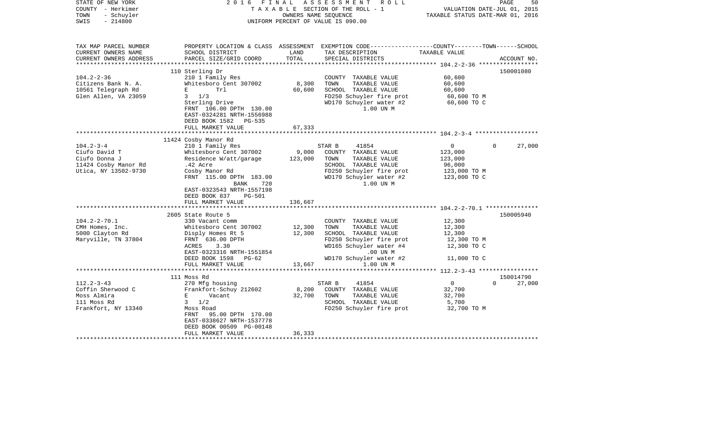| - Schuyler<br>OWNERS NAME SEQUENCE<br>TAXABLE STATUS DATE-MAR 01, 2016<br>TOWN<br>$-214800$<br>UNIFORM PERCENT OF VALUE IS 090.00<br>SWIS<br>PROPERTY LOCATION & CLASS ASSESSMENT EXEMPTION CODE---------------COUNTY-------TOWN------SCHOOL<br>TAX MAP PARCEL NUMBER<br>CURRENT OWNERS NAME<br>SCHOOL DISTRICT<br>LAND<br>TAXABLE VALUE<br>TAX DESCRIPTION<br>TOTAL<br>CURRENT OWNERS ADDRESS<br>PARCEL SIZE/GRID COORD<br>SPECIAL DISTRICTS<br>ACCOUNT NO.<br>**********************<br>110 Sterling Dr<br>150001080<br>$104.2 - 2 - 36$<br>210 1 Family Res<br>COUNTY TAXABLE VALUE<br>60,600<br>8,300<br>Citizens Bank N. A.<br>Whitesboro Cent 307002<br>TOWN<br>TAXABLE VALUE<br>60,600<br>10561 Telegraph Rd<br>Trl<br>60,600<br>SCHOOL TAXABLE VALUE<br>60,600<br>Е<br>Glen Allen, VA 23059<br>$3 \t1/3$<br>FD250 Schuyler fire prot<br>60,600 TO M<br>WD170 Schuyler water #2<br>60,600 TO C<br>Sterling Drive<br>FRNT 106.00 DPTH 130.00<br>1.00 UN M<br>EAST-0324281 NRTH-1556988<br>DEED BOOK 1582<br>PG-535<br>FULL MARKET VALUE<br>67,333<br>******************<br>************<br>11424 Cosby Manor Rd<br>$104.2 - 3 - 4$<br>210 1 Family Res<br>$\mathbf{0}$<br>27,000<br>STAR B<br>41854<br>$\Omega$<br>Ciufo David T<br>Whitesboro Cent 307002<br>9,000<br>COUNTY TAXABLE VALUE<br>123,000<br>Ciufo Donna J<br>Residence W/att/garage<br>123,000<br>TOWN<br>TAXABLE VALUE<br>123,000<br>SCHOOL TAXABLE VALUE<br>11424 Cosby Manor Rd<br>.42 Acre<br>96,000<br>FD250 Schuyler fire prot<br>Utica, NY 13502-9730<br>Cosby Manor Rd<br>123,000 TO M<br>FRNT 115.00 DPTH 183.00<br>WD170 Schuyler water #2<br>123,000 TO C<br>1.00 UN M<br>BANK<br>720<br>EAST-0323543 NRTH-1557198<br>DEED BOOK 837<br><b>PG-501</b><br>136,667<br>FULL MARKET VALUE<br>2605 State Route 5<br>150005940<br>$104.2 - 2 - 70.1$<br>12,300<br>330 Vacant comm<br>COUNTY TAXABLE VALUE<br>12,300<br>TOWN<br>TAXABLE VALUE<br>12,300<br>CMH Homes, Inc.<br>Whitesboro Cent 307002<br>5000 Clayton Rd<br>12,300<br>SCHOOL TAXABLE VALUE<br>Disply Homes Rt 5<br>12,300<br>Maryville, TN 37804<br>FRNT 636.00 DPTH<br>FD250 Schuyler fire prot<br>12,300 TO M<br>WD165 Schuyler water #4<br>ACRES<br>3.30<br>12,300 TO C<br>EAST-0323316 NRTH-1551854<br>$.00$ UN $M$<br>WD170 Schuyler water #2<br>DEED BOOK 1598<br>$PG-62$<br>11,000 TO C<br>FULL MARKET VALUE<br>13,667<br>1.00 UN M<br>**********<br>*************************** 112.2-3-43 *****************<br>111 Moss Rd<br>150014790<br>$112.2 - 3 - 43$<br>270 Mfg housing<br>$\mathbf{0}$<br>STAR B<br>41854<br>$\Omega$<br>27,000<br>Coffin Sherwood C<br>Frankfort-Schuy 212602<br>8,200<br>COUNTY TAXABLE VALUE<br>32,700<br>Moss Almira<br>32,700<br>TOWN<br>TAXABLE VALUE<br>32,700<br>E<br>Vacant<br>111 Moss Rd<br>$3 \frac{1}{2}$<br>SCHOOL TAXABLE VALUE<br>5,700<br>Frankfort, NY 13340<br>FD250 Schuyler fire prot<br>32,700 TO M<br>Moss Road<br>FRNT 95.00 DPTH 170.00<br>EAST-0338627 NRTH-1537778<br>DEED BOOK 00509 PG-00148<br>36,333<br>FULL MARKET VALUE | STATE OF NEW YORK<br>COUNTY - Herkimer | FINAL<br>2016 | ASSESSMENT ROLL<br>TAXABLE SECTION OF THE ROLL - 1 | 50<br>PAGE<br>VALUATION DATE-JUL 01, 2015 |
|---------------------------------------------------------------------------------------------------------------------------------------------------------------------------------------------------------------------------------------------------------------------------------------------------------------------------------------------------------------------------------------------------------------------------------------------------------------------------------------------------------------------------------------------------------------------------------------------------------------------------------------------------------------------------------------------------------------------------------------------------------------------------------------------------------------------------------------------------------------------------------------------------------------------------------------------------------------------------------------------------------------------------------------------------------------------------------------------------------------------------------------------------------------------------------------------------------------------------------------------------------------------------------------------------------------------------------------------------------------------------------------------------------------------------------------------------------------------------------------------------------------------------------------------------------------------------------------------------------------------------------------------------------------------------------------------------------------------------------------------------------------------------------------------------------------------------------------------------------------------------------------------------------------------------------------------------------------------------------------------------------------------------------------------------------------------------------------------------------------------------------------------------------------------------------------------------------------------------------------------------------------------------------------------------------------------------------------------------------------------------------------------------------------------------------------------------------------------------------------------------------------------------------------------------------------------------------------------------------------------------------------------------------------------------------------------------------------------------------------------------------------------------------------------------------------------------------------------------------------------------------------------------------------------------------------------------------------------------------------------------------------------------------|----------------------------------------|---------------|----------------------------------------------------|-------------------------------------------|
|                                                                                                                                                                                                                                                                                                                                                                                                                                                                                                                                                                                                                                                                                                                                                                                                                                                                                                                                                                                                                                                                                                                                                                                                                                                                                                                                                                                                                                                                                                                                                                                                                                                                                                                                                                                                                                                                                                                                                                                                                                                                                                                                                                                                                                                                                                                                                                                                                                                                                                                                                                                                                                                                                                                                                                                                                                                                                                                                                                                                                                 |                                        |               |                                                    |                                           |
|                                                                                                                                                                                                                                                                                                                                                                                                                                                                                                                                                                                                                                                                                                                                                                                                                                                                                                                                                                                                                                                                                                                                                                                                                                                                                                                                                                                                                                                                                                                                                                                                                                                                                                                                                                                                                                                                                                                                                                                                                                                                                                                                                                                                                                                                                                                                                                                                                                                                                                                                                                                                                                                                                                                                                                                                                                                                                                                                                                                                                                 |                                        |               |                                                    |                                           |
|                                                                                                                                                                                                                                                                                                                                                                                                                                                                                                                                                                                                                                                                                                                                                                                                                                                                                                                                                                                                                                                                                                                                                                                                                                                                                                                                                                                                                                                                                                                                                                                                                                                                                                                                                                                                                                                                                                                                                                                                                                                                                                                                                                                                                                                                                                                                                                                                                                                                                                                                                                                                                                                                                                                                                                                                                                                                                                                                                                                                                                 |                                        |               |                                                    |                                           |
|                                                                                                                                                                                                                                                                                                                                                                                                                                                                                                                                                                                                                                                                                                                                                                                                                                                                                                                                                                                                                                                                                                                                                                                                                                                                                                                                                                                                                                                                                                                                                                                                                                                                                                                                                                                                                                                                                                                                                                                                                                                                                                                                                                                                                                                                                                                                                                                                                                                                                                                                                                                                                                                                                                                                                                                                                                                                                                                                                                                                                                 |                                        |               |                                                    |                                           |
|                                                                                                                                                                                                                                                                                                                                                                                                                                                                                                                                                                                                                                                                                                                                                                                                                                                                                                                                                                                                                                                                                                                                                                                                                                                                                                                                                                                                                                                                                                                                                                                                                                                                                                                                                                                                                                                                                                                                                                                                                                                                                                                                                                                                                                                                                                                                                                                                                                                                                                                                                                                                                                                                                                                                                                                                                                                                                                                                                                                                                                 |                                        |               |                                                    |                                           |
|                                                                                                                                                                                                                                                                                                                                                                                                                                                                                                                                                                                                                                                                                                                                                                                                                                                                                                                                                                                                                                                                                                                                                                                                                                                                                                                                                                                                                                                                                                                                                                                                                                                                                                                                                                                                                                                                                                                                                                                                                                                                                                                                                                                                                                                                                                                                                                                                                                                                                                                                                                                                                                                                                                                                                                                                                                                                                                                                                                                                                                 |                                        |               |                                                    |                                           |
|                                                                                                                                                                                                                                                                                                                                                                                                                                                                                                                                                                                                                                                                                                                                                                                                                                                                                                                                                                                                                                                                                                                                                                                                                                                                                                                                                                                                                                                                                                                                                                                                                                                                                                                                                                                                                                                                                                                                                                                                                                                                                                                                                                                                                                                                                                                                                                                                                                                                                                                                                                                                                                                                                                                                                                                                                                                                                                                                                                                                                                 |                                        |               |                                                    |                                           |
|                                                                                                                                                                                                                                                                                                                                                                                                                                                                                                                                                                                                                                                                                                                                                                                                                                                                                                                                                                                                                                                                                                                                                                                                                                                                                                                                                                                                                                                                                                                                                                                                                                                                                                                                                                                                                                                                                                                                                                                                                                                                                                                                                                                                                                                                                                                                                                                                                                                                                                                                                                                                                                                                                                                                                                                                                                                                                                                                                                                                                                 |                                        |               |                                                    |                                           |
|                                                                                                                                                                                                                                                                                                                                                                                                                                                                                                                                                                                                                                                                                                                                                                                                                                                                                                                                                                                                                                                                                                                                                                                                                                                                                                                                                                                                                                                                                                                                                                                                                                                                                                                                                                                                                                                                                                                                                                                                                                                                                                                                                                                                                                                                                                                                                                                                                                                                                                                                                                                                                                                                                                                                                                                                                                                                                                                                                                                                                                 |                                        |               |                                                    |                                           |
|                                                                                                                                                                                                                                                                                                                                                                                                                                                                                                                                                                                                                                                                                                                                                                                                                                                                                                                                                                                                                                                                                                                                                                                                                                                                                                                                                                                                                                                                                                                                                                                                                                                                                                                                                                                                                                                                                                                                                                                                                                                                                                                                                                                                                                                                                                                                                                                                                                                                                                                                                                                                                                                                                                                                                                                                                                                                                                                                                                                                                                 |                                        |               |                                                    |                                           |
|                                                                                                                                                                                                                                                                                                                                                                                                                                                                                                                                                                                                                                                                                                                                                                                                                                                                                                                                                                                                                                                                                                                                                                                                                                                                                                                                                                                                                                                                                                                                                                                                                                                                                                                                                                                                                                                                                                                                                                                                                                                                                                                                                                                                                                                                                                                                                                                                                                                                                                                                                                                                                                                                                                                                                                                                                                                                                                                                                                                                                                 |                                        |               |                                                    |                                           |
|                                                                                                                                                                                                                                                                                                                                                                                                                                                                                                                                                                                                                                                                                                                                                                                                                                                                                                                                                                                                                                                                                                                                                                                                                                                                                                                                                                                                                                                                                                                                                                                                                                                                                                                                                                                                                                                                                                                                                                                                                                                                                                                                                                                                                                                                                                                                                                                                                                                                                                                                                                                                                                                                                                                                                                                                                                                                                                                                                                                                                                 |                                        |               |                                                    |                                           |
|                                                                                                                                                                                                                                                                                                                                                                                                                                                                                                                                                                                                                                                                                                                                                                                                                                                                                                                                                                                                                                                                                                                                                                                                                                                                                                                                                                                                                                                                                                                                                                                                                                                                                                                                                                                                                                                                                                                                                                                                                                                                                                                                                                                                                                                                                                                                                                                                                                                                                                                                                                                                                                                                                                                                                                                                                                                                                                                                                                                                                                 |                                        |               |                                                    |                                           |
|                                                                                                                                                                                                                                                                                                                                                                                                                                                                                                                                                                                                                                                                                                                                                                                                                                                                                                                                                                                                                                                                                                                                                                                                                                                                                                                                                                                                                                                                                                                                                                                                                                                                                                                                                                                                                                                                                                                                                                                                                                                                                                                                                                                                                                                                                                                                                                                                                                                                                                                                                                                                                                                                                                                                                                                                                                                                                                                                                                                                                                 |                                        |               |                                                    |                                           |
|                                                                                                                                                                                                                                                                                                                                                                                                                                                                                                                                                                                                                                                                                                                                                                                                                                                                                                                                                                                                                                                                                                                                                                                                                                                                                                                                                                                                                                                                                                                                                                                                                                                                                                                                                                                                                                                                                                                                                                                                                                                                                                                                                                                                                                                                                                                                                                                                                                                                                                                                                                                                                                                                                                                                                                                                                                                                                                                                                                                                                                 |                                        |               |                                                    |                                           |
|                                                                                                                                                                                                                                                                                                                                                                                                                                                                                                                                                                                                                                                                                                                                                                                                                                                                                                                                                                                                                                                                                                                                                                                                                                                                                                                                                                                                                                                                                                                                                                                                                                                                                                                                                                                                                                                                                                                                                                                                                                                                                                                                                                                                                                                                                                                                                                                                                                                                                                                                                                                                                                                                                                                                                                                                                                                                                                                                                                                                                                 |                                        |               |                                                    |                                           |
|                                                                                                                                                                                                                                                                                                                                                                                                                                                                                                                                                                                                                                                                                                                                                                                                                                                                                                                                                                                                                                                                                                                                                                                                                                                                                                                                                                                                                                                                                                                                                                                                                                                                                                                                                                                                                                                                                                                                                                                                                                                                                                                                                                                                                                                                                                                                                                                                                                                                                                                                                                                                                                                                                                                                                                                                                                                                                                                                                                                                                                 |                                        |               |                                                    |                                           |
|                                                                                                                                                                                                                                                                                                                                                                                                                                                                                                                                                                                                                                                                                                                                                                                                                                                                                                                                                                                                                                                                                                                                                                                                                                                                                                                                                                                                                                                                                                                                                                                                                                                                                                                                                                                                                                                                                                                                                                                                                                                                                                                                                                                                                                                                                                                                                                                                                                                                                                                                                                                                                                                                                                                                                                                                                                                                                                                                                                                                                                 |                                        |               |                                                    |                                           |
|                                                                                                                                                                                                                                                                                                                                                                                                                                                                                                                                                                                                                                                                                                                                                                                                                                                                                                                                                                                                                                                                                                                                                                                                                                                                                                                                                                                                                                                                                                                                                                                                                                                                                                                                                                                                                                                                                                                                                                                                                                                                                                                                                                                                                                                                                                                                                                                                                                                                                                                                                                                                                                                                                                                                                                                                                                                                                                                                                                                                                                 |                                        |               |                                                    |                                           |
|                                                                                                                                                                                                                                                                                                                                                                                                                                                                                                                                                                                                                                                                                                                                                                                                                                                                                                                                                                                                                                                                                                                                                                                                                                                                                                                                                                                                                                                                                                                                                                                                                                                                                                                                                                                                                                                                                                                                                                                                                                                                                                                                                                                                                                                                                                                                                                                                                                                                                                                                                                                                                                                                                                                                                                                                                                                                                                                                                                                                                                 |                                        |               |                                                    |                                           |
|                                                                                                                                                                                                                                                                                                                                                                                                                                                                                                                                                                                                                                                                                                                                                                                                                                                                                                                                                                                                                                                                                                                                                                                                                                                                                                                                                                                                                                                                                                                                                                                                                                                                                                                                                                                                                                                                                                                                                                                                                                                                                                                                                                                                                                                                                                                                                                                                                                                                                                                                                                                                                                                                                                                                                                                                                                                                                                                                                                                                                                 |                                        |               |                                                    |                                           |
|                                                                                                                                                                                                                                                                                                                                                                                                                                                                                                                                                                                                                                                                                                                                                                                                                                                                                                                                                                                                                                                                                                                                                                                                                                                                                                                                                                                                                                                                                                                                                                                                                                                                                                                                                                                                                                                                                                                                                                                                                                                                                                                                                                                                                                                                                                                                                                                                                                                                                                                                                                                                                                                                                                                                                                                                                                                                                                                                                                                                                                 |                                        |               |                                                    |                                           |
|                                                                                                                                                                                                                                                                                                                                                                                                                                                                                                                                                                                                                                                                                                                                                                                                                                                                                                                                                                                                                                                                                                                                                                                                                                                                                                                                                                                                                                                                                                                                                                                                                                                                                                                                                                                                                                                                                                                                                                                                                                                                                                                                                                                                                                                                                                                                                                                                                                                                                                                                                                                                                                                                                                                                                                                                                                                                                                                                                                                                                                 |                                        |               |                                                    |                                           |
|                                                                                                                                                                                                                                                                                                                                                                                                                                                                                                                                                                                                                                                                                                                                                                                                                                                                                                                                                                                                                                                                                                                                                                                                                                                                                                                                                                                                                                                                                                                                                                                                                                                                                                                                                                                                                                                                                                                                                                                                                                                                                                                                                                                                                                                                                                                                                                                                                                                                                                                                                                                                                                                                                                                                                                                                                                                                                                                                                                                                                                 |                                        |               |                                                    |                                           |
|                                                                                                                                                                                                                                                                                                                                                                                                                                                                                                                                                                                                                                                                                                                                                                                                                                                                                                                                                                                                                                                                                                                                                                                                                                                                                                                                                                                                                                                                                                                                                                                                                                                                                                                                                                                                                                                                                                                                                                                                                                                                                                                                                                                                                                                                                                                                                                                                                                                                                                                                                                                                                                                                                                                                                                                                                                                                                                                                                                                                                                 |                                        |               |                                                    |                                           |
|                                                                                                                                                                                                                                                                                                                                                                                                                                                                                                                                                                                                                                                                                                                                                                                                                                                                                                                                                                                                                                                                                                                                                                                                                                                                                                                                                                                                                                                                                                                                                                                                                                                                                                                                                                                                                                                                                                                                                                                                                                                                                                                                                                                                                                                                                                                                                                                                                                                                                                                                                                                                                                                                                                                                                                                                                                                                                                                                                                                                                                 |                                        |               |                                                    |                                           |
|                                                                                                                                                                                                                                                                                                                                                                                                                                                                                                                                                                                                                                                                                                                                                                                                                                                                                                                                                                                                                                                                                                                                                                                                                                                                                                                                                                                                                                                                                                                                                                                                                                                                                                                                                                                                                                                                                                                                                                                                                                                                                                                                                                                                                                                                                                                                                                                                                                                                                                                                                                                                                                                                                                                                                                                                                                                                                                                                                                                                                                 |                                        |               |                                                    |                                           |
|                                                                                                                                                                                                                                                                                                                                                                                                                                                                                                                                                                                                                                                                                                                                                                                                                                                                                                                                                                                                                                                                                                                                                                                                                                                                                                                                                                                                                                                                                                                                                                                                                                                                                                                                                                                                                                                                                                                                                                                                                                                                                                                                                                                                                                                                                                                                                                                                                                                                                                                                                                                                                                                                                                                                                                                                                                                                                                                                                                                                                                 |                                        |               |                                                    |                                           |
|                                                                                                                                                                                                                                                                                                                                                                                                                                                                                                                                                                                                                                                                                                                                                                                                                                                                                                                                                                                                                                                                                                                                                                                                                                                                                                                                                                                                                                                                                                                                                                                                                                                                                                                                                                                                                                                                                                                                                                                                                                                                                                                                                                                                                                                                                                                                                                                                                                                                                                                                                                                                                                                                                                                                                                                                                                                                                                                                                                                                                                 |                                        |               |                                                    |                                           |
|                                                                                                                                                                                                                                                                                                                                                                                                                                                                                                                                                                                                                                                                                                                                                                                                                                                                                                                                                                                                                                                                                                                                                                                                                                                                                                                                                                                                                                                                                                                                                                                                                                                                                                                                                                                                                                                                                                                                                                                                                                                                                                                                                                                                                                                                                                                                                                                                                                                                                                                                                                                                                                                                                                                                                                                                                                                                                                                                                                                                                                 |                                        |               |                                                    |                                           |
|                                                                                                                                                                                                                                                                                                                                                                                                                                                                                                                                                                                                                                                                                                                                                                                                                                                                                                                                                                                                                                                                                                                                                                                                                                                                                                                                                                                                                                                                                                                                                                                                                                                                                                                                                                                                                                                                                                                                                                                                                                                                                                                                                                                                                                                                                                                                                                                                                                                                                                                                                                                                                                                                                                                                                                                                                                                                                                                                                                                                                                 |                                        |               |                                                    |                                           |
|                                                                                                                                                                                                                                                                                                                                                                                                                                                                                                                                                                                                                                                                                                                                                                                                                                                                                                                                                                                                                                                                                                                                                                                                                                                                                                                                                                                                                                                                                                                                                                                                                                                                                                                                                                                                                                                                                                                                                                                                                                                                                                                                                                                                                                                                                                                                                                                                                                                                                                                                                                                                                                                                                                                                                                                                                                                                                                                                                                                                                                 |                                        |               |                                                    |                                           |
|                                                                                                                                                                                                                                                                                                                                                                                                                                                                                                                                                                                                                                                                                                                                                                                                                                                                                                                                                                                                                                                                                                                                                                                                                                                                                                                                                                                                                                                                                                                                                                                                                                                                                                                                                                                                                                                                                                                                                                                                                                                                                                                                                                                                                                                                                                                                                                                                                                                                                                                                                                                                                                                                                                                                                                                                                                                                                                                                                                                                                                 |                                        |               |                                                    |                                           |
|                                                                                                                                                                                                                                                                                                                                                                                                                                                                                                                                                                                                                                                                                                                                                                                                                                                                                                                                                                                                                                                                                                                                                                                                                                                                                                                                                                                                                                                                                                                                                                                                                                                                                                                                                                                                                                                                                                                                                                                                                                                                                                                                                                                                                                                                                                                                                                                                                                                                                                                                                                                                                                                                                                                                                                                                                                                                                                                                                                                                                                 |                                        |               |                                                    |                                           |
|                                                                                                                                                                                                                                                                                                                                                                                                                                                                                                                                                                                                                                                                                                                                                                                                                                                                                                                                                                                                                                                                                                                                                                                                                                                                                                                                                                                                                                                                                                                                                                                                                                                                                                                                                                                                                                                                                                                                                                                                                                                                                                                                                                                                                                                                                                                                                                                                                                                                                                                                                                                                                                                                                                                                                                                                                                                                                                                                                                                                                                 |                                        |               |                                                    |                                           |
|                                                                                                                                                                                                                                                                                                                                                                                                                                                                                                                                                                                                                                                                                                                                                                                                                                                                                                                                                                                                                                                                                                                                                                                                                                                                                                                                                                                                                                                                                                                                                                                                                                                                                                                                                                                                                                                                                                                                                                                                                                                                                                                                                                                                                                                                                                                                                                                                                                                                                                                                                                                                                                                                                                                                                                                                                                                                                                                                                                                                                                 |                                        |               |                                                    |                                           |
|                                                                                                                                                                                                                                                                                                                                                                                                                                                                                                                                                                                                                                                                                                                                                                                                                                                                                                                                                                                                                                                                                                                                                                                                                                                                                                                                                                                                                                                                                                                                                                                                                                                                                                                                                                                                                                                                                                                                                                                                                                                                                                                                                                                                                                                                                                                                                                                                                                                                                                                                                                                                                                                                                                                                                                                                                                                                                                                                                                                                                                 |                                        |               |                                                    |                                           |
|                                                                                                                                                                                                                                                                                                                                                                                                                                                                                                                                                                                                                                                                                                                                                                                                                                                                                                                                                                                                                                                                                                                                                                                                                                                                                                                                                                                                                                                                                                                                                                                                                                                                                                                                                                                                                                                                                                                                                                                                                                                                                                                                                                                                                                                                                                                                                                                                                                                                                                                                                                                                                                                                                                                                                                                                                                                                                                                                                                                                                                 |                                        |               |                                                    |                                           |
|                                                                                                                                                                                                                                                                                                                                                                                                                                                                                                                                                                                                                                                                                                                                                                                                                                                                                                                                                                                                                                                                                                                                                                                                                                                                                                                                                                                                                                                                                                                                                                                                                                                                                                                                                                                                                                                                                                                                                                                                                                                                                                                                                                                                                                                                                                                                                                                                                                                                                                                                                                                                                                                                                                                                                                                                                                                                                                                                                                                                                                 |                                        |               |                                                    |                                           |
|                                                                                                                                                                                                                                                                                                                                                                                                                                                                                                                                                                                                                                                                                                                                                                                                                                                                                                                                                                                                                                                                                                                                                                                                                                                                                                                                                                                                                                                                                                                                                                                                                                                                                                                                                                                                                                                                                                                                                                                                                                                                                                                                                                                                                                                                                                                                                                                                                                                                                                                                                                                                                                                                                                                                                                                                                                                                                                                                                                                                                                 |                                        |               |                                                    |                                           |
|                                                                                                                                                                                                                                                                                                                                                                                                                                                                                                                                                                                                                                                                                                                                                                                                                                                                                                                                                                                                                                                                                                                                                                                                                                                                                                                                                                                                                                                                                                                                                                                                                                                                                                                                                                                                                                                                                                                                                                                                                                                                                                                                                                                                                                                                                                                                                                                                                                                                                                                                                                                                                                                                                                                                                                                                                                                                                                                                                                                                                                 |                                        |               |                                                    |                                           |
|                                                                                                                                                                                                                                                                                                                                                                                                                                                                                                                                                                                                                                                                                                                                                                                                                                                                                                                                                                                                                                                                                                                                                                                                                                                                                                                                                                                                                                                                                                                                                                                                                                                                                                                                                                                                                                                                                                                                                                                                                                                                                                                                                                                                                                                                                                                                                                                                                                                                                                                                                                                                                                                                                                                                                                                                                                                                                                                                                                                                                                 |                                        |               |                                                    |                                           |
|                                                                                                                                                                                                                                                                                                                                                                                                                                                                                                                                                                                                                                                                                                                                                                                                                                                                                                                                                                                                                                                                                                                                                                                                                                                                                                                                                                                                                                                                                                                                                                                                                                                                                                                                                                                                                                                                                                                                                                                                                                                                                                                                                                                                                                                                                                                                                                                                                                                                                                                                                                                                                                                                                                                                                                                                                                                                                                                                                                                                                                 |                                        |               |                                                    |                                           |
|                                                                                                                                                                                                                                                                                                                                                                                                                                                                                                                                                                                                                                                                                                                                                                                                                                                                                                                                                                                                                                                                                                                                                                                                                                                                                                                                                                                                                                                                                                                                                                                                                                                                                                                                                                                                                                                                                                                                                                                                                                                                                                                                                                                                                                                                                                                                                                                                                                                                                                                                                                                                                                                                                                                                                                                                                                                                                                                                                                                                                                 |                                        |               |                                                    |                                           |
|                                                                                                                                                                                                                                                                                                                                                                                                                                                                                                                                                                                                                                                                                                                                                                                                                                                                                                                                                                                                                                                                                                                                                                                                                                                                                                                                                                                                                                                                                                                                                                                                                                                                                                                                                                                                                                                                                                                                                                                                                                                                                                                                                                                                                                                                                                                                                                                                                                                                                                                                                                                                                                                                                                                                                                                                                                                                                                                                                                                                                                 |                                        |               |                                                    |                                           |
|                                                                                                                                                                                                                                                                                                                                                                                                                                                                                                                                                                                                                                                                                                                                                                                                                                                                                                                                                                                                                                                                                                                                                                                                                                                                                                                                                                                                                                                                                                                                                                                                                                                                                                                                                                                                                                                                                                                                                                                                                                                                                                                                                                                                                                                                                                                                                                                                                                                                                                                                                                                                                                                                                                                                                                                                                                                                                                                                                                                                                                 |                                        |               |                                                    |                                           |
|                                                                                                                                                                                                                                                                                                                                                                                                                                                                                                                                                                                                                                                                                                                                                                                                                                                                                                                                                                                                                                                                                                                                                                                                                                                                                                                                                                                                                                                                                                                                                                                                                                                                                                                                                                                                                                                                                                                                                                                                                                                                                                                                                                                                                                                                                                                                                                                                                                                                                                                                                                                                                                                                                                                                                                                                                                                                                                                                                                                                                                 |                                        |               |                                                    |                                           |
|                                                                                                                                                                                                                                                                                                                                                                                                                                                                                                                                                                                                                                                                                                                                                                                                                                                                                                                                                                                                                                                                                                                                                                                                                                                                                                                                                                                                                                                                                                                                                                                                                                                                                                                                                                                                                                                                                                                                                                                                                                                                                                                                                                                                                                                                                                                                                                                                                                                                                                                                                                                                                                                                                                                                                                                                                                                                                                                                                                                                                                 |                                        |               |                                                    |                                           |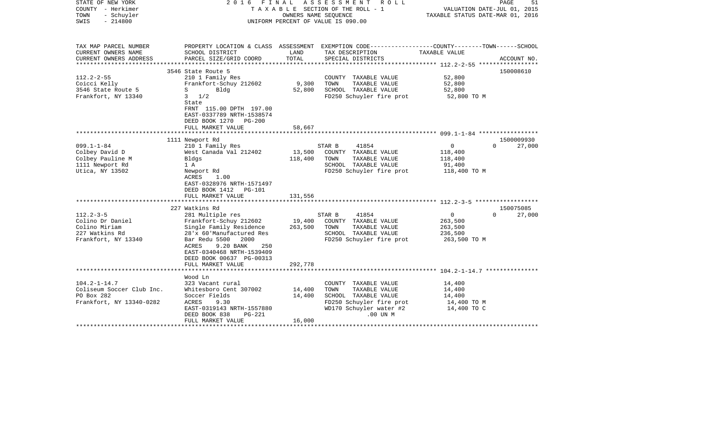| STATE OF NEW YORK<br>COUNTY - Herkimer<br>TOWN<br>- Schuyler<br>$-214800$<br>SWIS             | 2016                                                                                                                                                                                                                                                    |                              | FINAL ASSESSMENT ROLL<br>TAXABLE SECTION OF THE ROLL - 1<br>OWNERS NAME SEQUENCE<br>UNIFORM PERCENT OF VALUE IS 090.00                     |                                                                 | PAGE<br>51<br>VALUATION DATE-JUL 01, 2015<br>TAXABLE STATUS DATE-MAR 01, 2016 |
|-----------------------------------------------------------------------------------------------|---------------------------------------------------------------------------------------------------------------------------------------------------------------------------------------------------------------------------------------------------------|------------------------------|--------------------------------------------------------------------------------------------------------------------------------------------|-----------------------------------------------------------------|-------------------------------------------------------------------------------|
| TAX MAP PARCEL NUMBER<br>CURRENT OWNERS NAME                                                  | SCHOOL DISTRICT                                                                                                                                                                                                                                         | LAND<br>TOTAL                | PROPERTY LOCATION & CLASS ASSESSMENT EXEMPTION CODE----------------COUNTY-------TOWN------SCHOOL<br>TAX DESCRIPTION                        | TAXABLE VALUE                                                   |                                                                               |
| CURRENT OWNERS ADDRESS<br>*************                                                       | PARCEL SIZE/GRID COORD<br>***************************                                                                                                                                                                                                   | **************************   | SPECIAL DISTRICTS                                                                                                                          | *************** 112.2-2-55 **************                       | ACCOUNT NO.                                                                   |
| $112.2 - 2 - 55$<br>Coicci Kelly<br>3546 State Route 5<br>Frankfort, NY 13340                 | 3546 State Route 5<br>210 1 Family Res<br>Frankfort-Schuy 212602<br>Bldg<br>S<br>$3 \frac{1}{2}$<br>State<br>FRNT 115.00 DPTH 197.00                                                                                                                    | 9,300<br>52,800              | COUNTY TAXABLE VALUE<br>TOWN<br>TAXABLE VALUE<br>SCHOOL TAXABLE VALUE<br>FD250 Schuyler fire prot                                          | 52,800<br>52,800<br>52,800<br>52,800 TO M                       | 150008610                                                                     |
|                                                                                               | EAST-0337789 NRTH-1538574<br>DEED BOOK 1270<br><b>PG-200</b><br>FULL MARKET VALUE                                                                                                                                                                       | 58,667                       |                                                                                                                                            |                                                                 |                                                                               |
|                                                                                               | 1111 Newport Rd                                                                                                                                                                                                                                         |                              |                                                                                                                                            |                                                                 | 1500009930                                                                    |
| $099.1 - 1 - 84$<br>Colbey David D<br>Colbey Pauline M<br>1111 Newport Rd<br>Utica, NY 13502  | 210 1 Family Res<br>West Canada Val 212402<br>Bldgs<br>1 A<br>Newport Rd<br>ACRES<br>1.00<br>EAST-0328976 NRTH-1571497<br>DEED BOOK 1412<br>PG-101<br>FULL MARKET VALUE                                                                                 | 13,500<br>118,400<br>131,556 | STAR B<br>41854<br>COUNTY TAXABLE VALUE<br>TOWN<br>TAXABLE VALUE<br>SCHOOL TAXABLE VALUE<br>FD250 Schuyler fire prot                       | $\mathbf{0}$<br>118,400<br>118,400<br>91,400<br>118,400 TO M    | $\Omega$<br>27,000                                                            |
|                                                                                               |                                                                                                                                                                                                                                                         |                              |                                                                                                                                            |                                                                 |                                                                               |
| $112.2 - 3 - 5$<br>Colino Dr Daniel<br>Colino Miriam<br>227 Watkins Rd<br>Frankfort, NY 13340 | 227 Watkins Rd<br>281 Multiple res<br>Frankfort-Schuy 212602<br>Single Family Residence<br>28'x 60'Manufactured Res<br>Bar Redu 5500<br>2000<br>9.20 BANK<br>ACRES<br>250<br>EAST-0340468 NRTH-1539409<br>DEED BOOK 00637 PG-00313<br>FULL MARKET VALUE | 19,400<br>263,500<br>292,778 | STAR B<br>41854<br>COUNTY TAXABLE VALUE<br>TOWN<br>TAXABLE VALUE<br>SCHOOL TAXABLE VALUE<br>FD250 Schuyler fire prot                       | $\overline{0}$<br>263,500<br>263,500<br>236,500<br>263,500 TO M | 150075085<br>27,000<br>$\Omega$                                               |
|                                                                                               |                                                                                                                                                                                                                                                         |                              |                                                                                                                                            |                                                                 |                                                                               |
| $104.2 - 1 - 14.7$<br>Coliseum Soccer Club Inc.<br>PO Box 282<br>Frankfort, NY 13340-0282     | Wood Ln<br>323 Vacant rural<br>Whitesboro Cent 307002<br>Soccer Fields<br>ACRES<br>9.30<br>EAST-0319143 NRTH-1557880<br>DEED BOOK 838<br>PG-221<br>FULL MARKET VALUE                                                                                    | 14,400<br>14,400<br>16,000   | COUNTY TAXABLE VALUE<br>TAXABLE VALUE<br>TOWN<br>SCHOOL TAXABLE VALUE<br>FD250 Schuyler fire prot<br>WD170 Schuyler water #2<br>$.00$ UN M | 14,400<br>14,400<br>14,400<br>14,400 TO M<br>14,400 TO C        |                                                                               |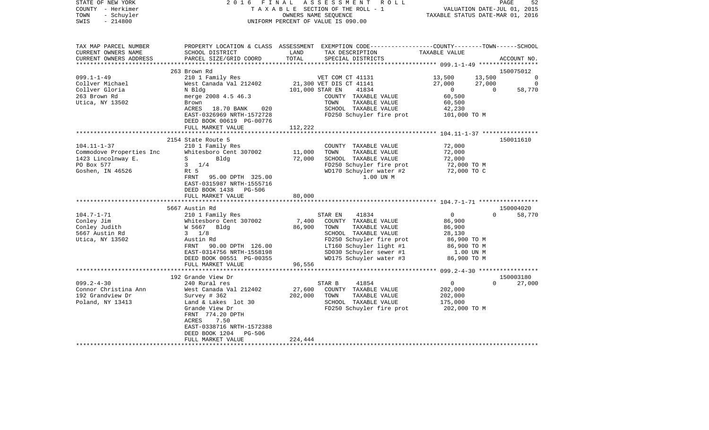| STATE OF NEW YORK<br>COUNTY - Herkimer<br>- Schuyler<br>TOWN<br>$-214800$<br>SWIS | 2016 FINAL                                                                   | OWNERS NAME SEQUENCE | ASSESSMENT ROLL<br>TAXABLE SECTION OF THE ROLL - 1<br>UNIFORM PERCENT OF VALUE IS 090.00                                                 | VALUATION DATE-JUL 01, 2015<br>TAXABLE STATUS DATE-MAR 01, 2016 | PAGE     | 52             |
|-----------------------------------------------------------------------------------|------------------------------------------------------------------------------|----------------------|------------------------------------------------------------------------------------------------------------------------------------------|-----------------------------------------------------------------|----------|----------------|
| TAX MAP PARCEL NUMBER<br>CURRENT OWNERS NAME<br>CURRENT OWNERS ADDRESS            | SCHOOL DISTRICT<br>PARCEL SIZE/GRID COORD                                    | LAND<br>TOTAL        | PROPERTY LOCATION & CLASS ASSESSMENT EXEMPTION CODE----------------COUNTY-------TOWN------SCHOOL<br>TAX DESCRIPTION<br>SPECIAL DISTRICTS | TAXABLE VALUE                                                   |          | ACCOUNT NO.    |
|                                                                                   | 263 Brown Rd                                                                 |                      |                                                                                                                                          |                                                                 |          | 150075012      |
| $099.1 - 1 - 49$                                                                  | 210 1 Family Res                                                             |                      | VET COM CT 41131                                                                                                                         |                                                                 | 13,500   | $\overline{0}$ |
| Collver Michael                                                                   | West Canada Val 212402 21,300 VET DIS CT 41141                               |                      |                                                                                                                                          | 13,500<br>27,000                                                | 27,000   | $\Omega$       |
| Collver Gloria                                                                    | N Bldg                                                                       | 101,000 STAR EN      | 41834                                                                                                                                    | $41,000$<br>0                                                   | $\Omega$ | 58,770         |
| 263 Brown Rd                                                                      | merge 2008 4.5 46.3                                                          |                      | COUNTY TAXABLE VALUE                                                                                                                     | 60,500                                                          |          |                |
| Utica, NY 13502                                                                   | Brown                                                                        |                      | TOWN<br>TAXABLE VALUE                                                                                                                    | 60,500                                                          |          |                |
|                                                                                   | ACRES 18.70 BANK<br>020                                                      |                      | SCHOOL TAXABLE VALUE                                                                                                                     | 42,230                                                          |          |                |
|                                                                                   | EAST-0326969 NRTH-1572728                                                    |                      | FD250 Schuyler fire prot                                                                                                                 | 101,000 TO M                                                    |          |                |
|                                                                                   | DEED BOOK 00619 PG-00776                                                     |                      |                                                                                                                                          |                                                                 |          |                |
|                                                                                   | FULL MARKET VALUE                                                            | 112,222              |                                                                                                                                          |                                                                 |          |                |
|                                                                                   | *************************                                                    |                      |                                                                                                                                          |                                                                 |          |                |
|                                                                                   | 2154 State Route 5                                                           |                      |                                                                                                                                          |                                                                 |          | 150011610      |
| $104.11 - 1 - 37$                                                                 | 210 1 Family Res                                                             |                      | COUNTY TAXABLE VALUE<br>TOWN<br>TAXABLE VALUE                                                                                            | 72,000                                                          |          |                |
| Commodove Properties Inc                                                          | Whitesboro Cent 307002<br>$S \qquad \qquad$<br>Bldg                          | 11,000<br>72,000     | SCHOOL TAXABLE VALUE                                                                                                                     | 72,000<br>72,000                                                |          |                |
| 1423 Lincolnway E.<br>PO Box 577                                                  | $3 \frac{1}{4}$                                                              |                      | FD250 Schuyler fire prot                                                                                                                 | 72,000 TO M                                                     |          |                |
| Goshen, IN 46526                                                                  | Rt 5                                                                         |                      | WD170 Schuyler water #2                                                                                                                  | 72,000 TO C                                                     |          |                |
|                                                                                   | FRNT 95.00 DPTH 325.00<br>EAST-0315987 NRTH-1555716<br>DEED BOOK 1438 PG-506 |                      | 1.00 UN M                                                                                                                                |                                                                 |          |                |
|                                                                                   | FULL MARKET VALUE                                                            | 80,000               |                                                                                                                                          |                                                                 |          |                |
|                                                                                   |                                                                              |                      |                                                                                                                                          |                                                                 |          |                |
|                                                                                   | 5667 Austin Rd                                                               |                      |                                                                                                                                          |                                                                 |          | 150004020      |
| $104.7 - 1 - 71$                                                                  | 210 1 Family Res                                                             |                      | 41834<br>STAR EN                                                                                                                         | $\overline{0}$                                                  | $\Omega$ | 58,770         |
| Conley Jim                                                                        | Whitesboro Cent 307002                                                       |                      | 7,400 COUNTY TAXABLE VALUE                                                                                                               | 86,900                                                          |          |                |
| Conley Judith                                                                     | W 5667 Bldg                                                                  | 86,900               | TAXABLE VALUE<br>TOWN                                                                                                                    | 86,900                                                          |          |                |
| 5667 Austin Rd                                                                    | $3 \frac{1}{8}$                                                              |                      | SCHOOL TAXABLE VALUE                                                                                                                     | 28,130                                                          |          |                |
| Utica, NY 13502                                                                   | Austin Rd                                                                    |                      | FD250 Schuyler fire prot                                                                                                                 | 86,900 ТО М                                                     |          |                |
|                                                                                   | FRNT 90.00 DPTH 126.00<br>EAST-0314756 NRTH-1558198                          |                      | LT160 Schuyler light #1<br>SD030 Schuyler sewer #1                                                                                       | 86,900 ТО М<br>1.00 UN M                                        |          |                |
|                                                                                   |                                                                              |                      | WD175 Schuyler water #3                                                                                                                  | 86,900 TO M                                                     |          |                |
|                                                                                   | DEED BOOK 00551 PG-00355<br>FULL MARKET VALUE                                | 96,556               |                                                                                                                                          |                                                                 |          |                |
|                                                                                   |                                                                              |                      |                                                                                                                                          |                                                                 |          |                |
|                                                                                   | 192 Grande View Dr                                                           |                      |                                                                                                                                          |                                                                 |          | 150003180      |
| $099.2 - 4 - 30$                                                                  | 240 Rural res                                                                |                      | 41854<br>STAR B                                                                                                                          | 0                                                               | $\Omega$ | 27,000         |
| Connor Christina Ann                                                              | West Canada Val 212402                                                       | 27,600               | COUNTY TAXABLE VALUE                                                                                                                     | 202,000                                                         |          |                |
| 192 Grandview Dr                                                                  | Survey # 362                                                                 | 202,000              | TOWN<br>TAXABLE VALUE                                                                                                                    | 202,000                                                         |          |                |
| Poland, NY 13413                                                                  | Land & Lakes lot 30                                                          |                      | SCHOOL TAXABLE VALUE                                                                                                                     | 175,000                                                         |          |                |
|                                                                                   | Grande View Dr<br>FRNT 774.20 DPTH                                           |                      | FD250 Schuyler fire prot                                                                                                                 | 202,000 TO M                                                    |          |                |
|                                                                                   | ACRES<br>7.50<br>EAST-0338716 NRTH-1572388                                   |                      |                                                                                                                                          |                                                                 |          |                |
|                                                                                   | DEED BOOK 1204 PG-506                                                        |                      |                                                                                                                                          |                                                                 |          |                |
|                                                                                   | FULL MARKET VALUE                                                            | 224,444              |                                                                                                                                          |                                                                 |          |                |
|                                                                                   |                                                                              |                      |                                                                                                                                          |                                                                 |          |                |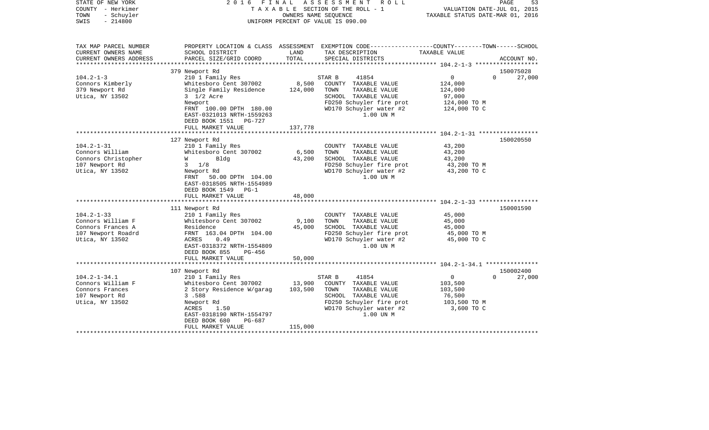| STATE OF NEW YORK<br>COUNTY - Herkimer<br>TOWN<br>- Schuyler<br>$-214800$<br>SWIS                   | 2016                                                                                                                                                                                                                 | OWNERS NAME SEOUENCE         | FINAL ASSESSMENT<br>R O L L<br>TAXABLE SECTION OF THE ROLL - 1<br>UNIFORM PERCENT OF VALUE IS 090.00                                                         | VALUATION DATE-JUL 01, 2015<br>TAXABLE STATUS DATE-MAR 01, 2016            | PAGE<br>53                      |
|-----------------------------------------------------------------------------------------------------|----------------------------------------------------------------------------------------------------------------------------------------------------------------------------------------------------------------------|------------------------------|--------------------------------------------------------------------------------------------------------------------------------------------------------------|----------------------------------------------------------------------------|---------------------------------|
| TAX MAP PARCEL NUMBER<br>CURRENT OWNERS NAME<br>CURRENT OWNERS ADDRESS                              | SCHOOL DISTRICT<br>PARCEL SIZE/GRID COORD                                                                                                                                                                            | LAND<br>TOTAL                | PROPERTY LOCATION & CLASS ASSESSMENT EXEMPTION CODE---------------COUNTY-------TOWN------SCHOOL<br>TAX DESCRIPTION<br>SPECIAL DISTRICTS                      | TAXABLE VALUE                                                              | ACCOUNT NO.                     |
|                                                                                                     |                                                                                                                                                                                                                      |                              |                                                                                                                                                              |                                                                            |                                 |
| $104.2 - 1 - 3$<br>Connors Kimberly<br>379 Newport Rd<br>Utica, NY 13502                            | 379 Newport Rd<br>210 1 Family Res<br>Whitesboro Cent 307002<br>Single Family Residence<br>3 1/2 Acre<br>Newport<br>FRNT 100.00 DPTH 180.00<br>EAST-0321013 NRTH-1559263<br>DEED BOOK 1551 PG-727                    | 8,500<br>124,000             | STAR B<br>41854<br>COUNTY TAXABLE VALUE<br>TOWN<br>TAXABLE VALUE<br>SCHOOL TAXABLE VALUE<br>FD250 Schuyler fire prot<br>WD170 Schuyler water #2<br>1.00 UN M | 0<br>124,000<br>124,000<br>97,000<br>124,000 TO M<br>124,000 TO C          | 150075028<br>$\Omega$<br>27,000 |
|                                                                                                     | FULL MARKET VALUE                                                                                                                                                                                                    | 137,778                      |                                                                                                                                                              |                                                                            |                                 |
| $104.2 - 1 - 31$<br>Connors William<br>Connors Christopher<br>107 Newport Rd<br>Utica, NY 13502     | 127 Newport Rd<br>210 1 Family Res<br>Whitesboro Cent 307002<br>Blda<br><b>W</b><br>$3 \frac{1}{8}$<br>Newport Rd<br>FRNT 50.00 DPTH 104.00<br>EAST-0318505 NRTH-1554989<br>DEED BOOK 1549 PG-1<br>FULL MARKET VALUE | 6,500<br>43,200<br>48,000    | COUNTY TAXABLE VALUE<br>TAXABLE VALUE<br>TOWN<br>SCHOOL TAXABLE VALUE<br>FD250 Schuyler fire prot<br>WD170 Schuyler water #2<br>1.00 UN M                    | 43,200<br>43,200<br>43,200<br>43,200 TO M<br>43,200 TO C                   | 150020550                       |
|                                                                                                     |                                                                                                                                                                                                                      |                              |                                                                                                                                                              |                                                                            |                                 |
| $104.2 - 1 - 33$<br>Connors William F<br>Connors Frances A<br>107 Newport Roadrd<br>Utica, NY 13502 | 111 Newport Rd<br>210 1 Family Res<br>Whitesboro Cent 307002<br>Residence<br>FRNT 163.04 DPTH 104.00<br>ACRES<br>0.49<br>EAST-0318372 NRTH-1554809<br>DEED BOOK 855<br>PG-456<br>FULL MARKET VALUE                   | 9,100<br>45,000<br>50,000    | COUNTY TAXABLE VALUE<br>TOWN<br>TAXABLE VALUE<br>SCHOOL TAXABLE VALUE<br>FD250 Schuyler fire prot<br>WD170 Schuyler water #2<br>1.00 UN M                    | 45,000<br>45,000<br>45,000<br>45,000 TO M<br>45,000 TO C                   | 150001590                       |
|                                                                                                     |                                                                                                                                                                                                                      |                              |                                                                                                                                                              |                                                                            |                                 |
| $104.2 - 1 - 34.1$<br>Connors William F<br>Connors Frances<br>107 Newport Rd<br>Utica, NY 13502     | 107 Newport Rd<br>210 1 Family Res<br>Whitesboro Cent 307002<br>2 Story Residence W/garag<br>3.588<br>Newport Rd<br>ACRES<br>1.50<br>EAST-0318190 NRTH-1554797<br>DEED BOOK 680<br>PG-687<br>FULL MARKET VALUE       | 13,900<br>103,500<br>115,000 | STAR B<br>41854<br>COUNTY TAXABLE VALUE<br>TOWN<br>TAXABLE VALUE<br>SCHOOL TAXABLE VALUE<br>FD250 Schuyler fire prot<br>WD170 Schuyler water #2<br>1.00 UN M | $\mathsf{O}$<br>103,500<br>103,500<br>76,500<br>103,500 TO M<br>3,600 TO C | 150002400<br>$\Omega$<br>27,000 |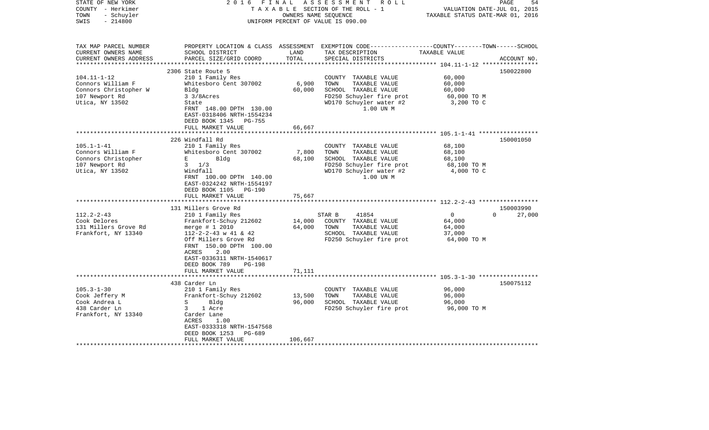| STATE OF NEW YORK<br>COUNTY - Herkimer<br>- Schuyler<br>TOWN<br>$-214800$<br>SWIS | 2 0 1 6<br>FINAL                               | OWNERS NAME SEQUENCE | ASSESSMENT<br>R O L L<br>TAXABLE SECTION OF THE ROLL - 1<br>UNIFORM PERCENT OF VALUE IS 090.00                                          | VALUATION DATE-JUL 01, 2015<br>TAXABLE STATUS DATE-MAR 01, 2016 | PAGE<br>54                      |
|-----------------------------------------------------------------------------------|------------------------------------------------|----------------------|-----------------------------------------------------------------------------------------------------------------------------------------|-----------------------------------------------------------------|---------------------------------|
| TAX MAP PARCEL NUMBER<br>CURRENT OWNERS NAME<br>CURRENT OWNERS ADDRESS            | SCHOOL DISTRICT<br>PARCEL SIZE/GRID COORD      | LAND<br>TOTAL        | PROPERTY LOCATION & CLASS ASSESSMENT EXEMPTION CODE---------------COUNTY-------TOWN------SCHOOL<br>TAX DESCRIPTION<br>SPECIAL DISTRICTS | TAXABLE VALUE                                                   | ACCOUNT NO.                     |
|                                                                                   |                                                |                      |                                                                                                                                         |                                                                 |                                 |
|                                                                                   | 2306 State Route 5                             |                      |                                                                                                                                         |                                                                 | 150022800                       |
| $104.11 - 1 - 12$<br>Connors William F                                            | 210 1 Family Res<br>Whitesboro Cent 307002     | 6,900                | COUNTY TAXABLE VALUE<br>TOWN<br>TAXABLE VALUE                                                                                           | 60,000<br>60,000                                                |                                 |
| Connors Christopher W                                                             | Bldg                                           | 60,000               | SCHOOL TAXABLE VALUE                                                                                                                    | 60,000                                                          |                                 |
| 107 Newport Rd                                                                    | 3 3/8Acres                                     |                      | FD250 Schuyler fire prot                                                                                                                | 60,000 TO M                                                     |                                 |
| Utica, NY 13502                                                                   | State                                          |                      | WD170 Schuyler water #2                                                                                                                 | 3,200 TO C                                                      |                                 |
|                                                                                   | FRNT 148.00 DPTH 130.00                        |                      | 1.00 UN M                                                                                                                               |                                                                 |                                 |
|                                                                                   | EAST-0318406 NRTH-1554234                      |                      |                                                                                                                                         |                                                                 |                                 |
|                                                                                   | DEED BOOK 1345<br>PG-755                       |                      |                                                                                                                                         |                                                                 |                                 |
|                                                                                   | FULL MARKET VALUE                              | 66,667               |                                                                                                                                         |                                                                 |                                 |
|                                                                                   |                                                |                      |                                                                                                                                         |                                                                 |                                 |
| $105.1 - 1 - 41$                                                                  | 226 Windfall Rd<br>210 1 Family Res            |                      | COUNTY TAXABLE VALUE                                                                                                                    | 68,100                                                          | 150001050                       |
| Connors William F                                                                 | Whitesboro Cent 307002                         | 7,800                | TOWN<br>TAXABLE VALUE                                                                                                                   | 68,100                                                          |                                 |
| Connors Christopher                                                               | E<br>Bldg                                      | 68,100               | SCHOOL TAXABLE VALUE                                                                                                                    | 68,100                                                          |                                 |
| 107 Newport Rd                                                                    | $3 \frac{1}{3}$                                |                      | FD250 Schuyler fire prot                                                                                                                | 68,100 TO M                                                     |                                 |
| Utica, NY 13502                                                                   | Windfall                                       |                      | WD170 Schuyler water #2                                                                                                                 | 4,000 TO C                                                      |                                 |
|                                                                                   | FRNT 100.00 DPTH 140.00                        |                      | 1.00 UN M                                                                                                                               |                                                                 |                                 |
|                                                                                   | EAST-0324242 NRTH-1554197                      |                      |                                                                                                                                         |                                                                 |                                 |
|                                                                                   | DEED BOOK 1105<br><b>PG-190</b>                |                      |                                                                                                                                         |                                                                 |                                 |
|                                                                                   | FULL MARKET VALUE<br>************************* | 75,667               |                                                                                                                                         |                                                                 |                                 |
|                                                                                   |                                                |                      |                                                                                                                                         |                                                                 |                                 |
| $112.2 - 2 - 43$                                                                  | 131 Millers Grove Rd                           |                      | 41854<br>STAR B                                                                                                                         | $\mathbf 0$                                                     | 150003990<br>$\Omega$<br>27,000 |
| Cook Delores                                                                      | 210 1 Family Res<br>Frankfort-Schuy 212602     | 14,000               | COUNTY TAXABLE VALUE                                                                                                                    | 64,000                                                          |                                 |
| 131 Millers Grove Rd                                                              | merge $# 1 2010$                               | 64,000               | TAXABLE VALUE<br>TOWN                                                                                                                   | 64,000                                                          |                                 |
| Frankfort, NY 13340                                                               | $112 - 2 - 2 - 43$ w 41 & 42                   |                      | SCHOOL TAXABLE VALUE                                                                                                                    | 37,000                                                          |                                 |
|                                                                                   | Off Millers Grove Rd                           |                      | FD250 Schuyler fire prot                                                                                                                | 64,000 TO M                                                     |                                 |
|                                                                                   | FRNT 150.00 DPTH 100.00                        |                      |                                                                                                                                         |                                                                 |                                 |
|                                                                                   | ACRES<br>2.00                                  |                      |                                                                                                                                         |                                                                 |                                 |
|                                                                                   | EAST-0336311 NRTH-1540617                      |                      |                                                                                                                                         |                                                                 |                                 |
|                                                                                   | DEED BOOK 789<br><b>PG-198</b>                 |                      |                                                                                                                                         |                                                                 |                                 |
|                                                                                   | FULL MARKET VALUE                              | 71,111               |                                                                                                                                         |                                                                 |                                 |
|                                                                                   | 438 Carder Ln                                  |                      |                                                                                                                                         |                                                                 | 150075112                       |
| $105.3 - 1 - 30$                                                                  | 210 1 Family Res                               |                      | COUNTY TAXABLE VALUE                                                                                                                    | 96,000                                                          |                                 |
| Cook Jeffery M                                                                    | Frankfort-Schuy 212602                         | 13,500               | TOWN<br>TAXABLE VALUE                                                                                                                   | 96,000                                                          |                                 |
| Cook Andrea L                                                                     | S<br>Bldg                                      | 96,000               | SCHOOL TAXABLE VALUE                                                                                                                    | 96,000                                                          |                                 |
| 438 Carder Ln                                                                     | 3<br>1 Acre                                    |                      | FD250 Schuyler fire prot                                                                                                                | 96,000 TO M                                                     |                                 |
| Frankfort, NY 13340                                                               | Carder Lane                                    |                      |                                                                                                                                         |                                                                 |                                 |
|                                                                                   | ACRES<br>1.00                                  |                      |                                                                                                                                         |                                                                 |                                 |
|                                                                                   | EAST-0333318 NRTH-1547568                      |                      |                                                                                                                                         |                                                                 |                                 |
|                                                                                   | DEED BOOK 1253<br>$PG-689$                     |                      |                                                                                                                                         |                                                                 |                                 |
|                                                                                   | FULL MARKET VALUE                              | 106,667              |                                                                                                                                         |                                                                 |                                 |
|                                                                                   |                                                |                      |                                                                                                                                         |                                                                 |                                 |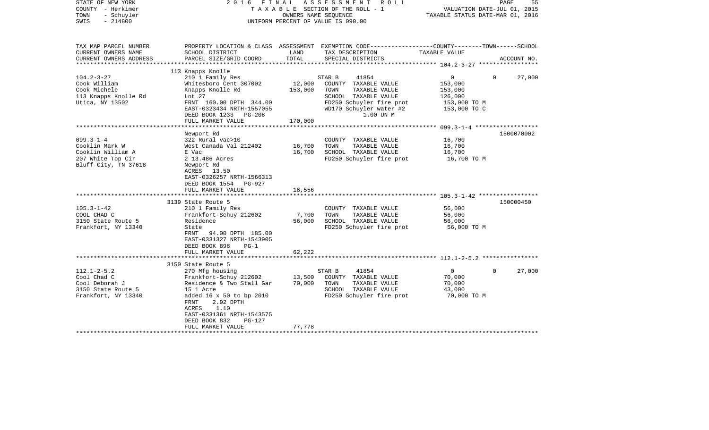| STATE OF NEW YORK<br>COUNTY - Herkimer<br>TOWN<br>- Schuyler<br>$-214800$<br>SWIS | 2016 FINAL                                             |         | ASSESSMENT<br>R O L L<br>TAXABLE SECTION OF THE ROLL - 1<br>OWNERS NAME SEOUENCE<br>UNIFORM PERCENT OF VALUE IS 090.00 | TAXABLE STATUS DATE-MAR 01, 2016 | PAGE<br>55<br>VALUATION DATE-JUL 01, 2015 |
|-----------------------------------------------------------------------------------|--------------------------------------------------------|---------|------------------------------------------------------------------------------------------------------------------------|----------------------------------|-------------------------------------------|
| TAX MAP PARCEL NUMBER                                                             |                                                        |         | PROPERTY LOCATION & CLASS ASSESSMENT EXEMPTION CODE----------------COUNTY-------TOWN------SCHOOL                       |                                  |                                           |
| CURRENT OWNERS NAME                                                               | SCHOOL DISTRICT                                        | LAND    | TAX DESCRIPTION                                                                                                        | TAXABLE VALUE                    |                                           |
| CURRENT OWNERS ADDRESS<br>**********************                                  | PARCEL SIZE/GRID COORD                                 | TOTAL   | SPECIAL DISTRICTS                                                                                                      |                                  | ACCOUNT NO.                               |
|                                                                                   | 113 Knapps Knolle                                      |         |                                                                                                                        |                                  |                                           |
| $104.2 - 3 - 27$                                                                  | 210 1 Family Res                                       |         | STAR B<br>41854                                                                                                        | 0                                | $\Omega$<br>27,000                        |
| Cook William                                                                      | Whitesboro Cent 307002                                 | 12,000  | COUNTY TAXABLE VALUE                                                                                                   | 153,000                          |                                           |
| Cook Michele                                                                      | Knapps Knolle Rd                                       | 153,000 | TOWN<br>TAXABLE VALUE                                                                                                  | 153,000                          |                                           |
| 113 Knapps Knolle Rd                                                              | Lot $27$                                               |         | SCHOOL TAXABLE VALUE                                                                                                   | 126,000                          |                                           |
| Utica, NY 13502                                                                   | FRNT 160.00 DPTH 344.00                                |         | FD250 Schuyler fire prot                                                                                               | 153,000 TO M                     |                                           |
|                                                                                   | EAST-0323434 NRTH-1557055                              |         | WD170 Schuyler water #2                                                                                                | 153,000 TO C                     |                                           |
|                                                                                   | DEED BOOK 1233 PG-208                                  |         | 1.00 UN M                                                                                                              |                                  |                                           |
|                                                                                   | FULL MARKET VALUE                                      | 170,000 |                                                                                                                        |                                  |                                           |
|                                                                                   |                                                        |         |                                                                                                                        |                                  |                                           |
|                                                                                   | Newport Rd                                             |         |                                                                                                                        |                                  | 1500070002                                |
| $099.3 - 1 - 4$                                                                   | 322 Rural vac>10                                       |         | COUNTY TAXABLE VALUE                                                                                                   | 16,700                           |                                           |
| Cooklin Mark W                                                                    | West Canada Val 212402                                 | 16,700  | TAXABLE VALUE<br>TOWN                                                                                                  | 16,700                           |                                           |
| Cooklin William A<br>207 White Top Cir                                            | E Vac<br>2 13.486 Acres                                | 16,700  | SCHOOL TAXABLE VALUE<br>FD250 Schuyler fire prot                                                                       | 16,700<br>16,700 TO M            |                                           |
| Bluff City, TN 37618                                                              | Newport Rd                                             |         |                                                                                                                        |                                  |                                           |
|                                                                                   | ACRES 13.50                                            |         |                                                                                                                        |                                  |                                           |
|                                                                                   | EAST-0326257 NRTH-1566313                              |         |                                                                                                                        |                                  |                                           |
|                                                                                   | DEED BOOK 1554 PG-927                                  |         |                                                                                                                        |                                  |                                           |
|                                                                                   | FULL MARKET VALUE                                      | 18,556  |                                                                                                                        |                                  |                                           |
|                                                                                   |                                                        |         |                                                                                                                        |                                  |                                           |
|                                                                                   | 3139 State Route 5                                     |         |                                                                                                                        |                                  | 150000450                                 |
| $105.3 - 1 - 42$                                                                  | 210 1 Family Res                                       |         | COUNTY TAXABLE VALUE                                                                                                   | 56,000                           |                                           |
| COOL CHAD C                                                                       | Frankfort-Schuy 212602                                 | 7,700   | TOWN<br>TAXABLE VALUE                                                                                                  | 56,000                           |                                           |
| 3150 State Route 5                                                                | Residence                                              | 56,000  | SCHOOL TAXABLE VALUE                                                                                                   | 56,000                           |                                           |
| Frankfort, NY 13340                                                               | State                                                  |         | FD250 Schuyler fire prot                                                                                               | 56,000 TO M                      |                                           |
|                                                                                   | FRNT<br>94.00 DPTH 185.00<br>EAST-0331327 NRTH-1543905 |         |                                                                                                                        |                                  |                                           |
|                                                                                   | DEED BOOK 898<br>$PG-1$                                |         |                                                                                                                        |                                  |                                           |
|                                                                                   | FULL MARKET VALUE                                      | 62,222  |                                                                                                                        |                                  |                                           |
|                                                                                   |                                                        |         |                                                                                                                        |                                  |                                           |
|                                                                                   | 3150 State Route 5                                     |         |                                                                                                                        |                                  |                                           |
| $112.1 - 2 - 5.2$                                                                 | 270 Mfg housing                                        |         | 41854<br>STAR B                                                                                                        | $\overline{0}$                   | 27,000<br>$\Omega$                        |
| Cool Chad C                                                                       | Frankfort-Schuy 212602                                 | 13,500  | COUNTY TAXABLE VALUE                                                                                                   | 70,000                           |                                           |
| Cool Deborah J                                                                    | Residence & Two Stall Gar                              | 70,000  | TOWN<br>TAXABLE VALUE                                                                                                  | 70,000                           |                                           |
| 3150 State Route 5                                                                | 15 1 Acre                                              |         | SCHOOL TAXABLE VALUE                                                                                                   | 43,000                           |                                           |
| Frankfort, NY 13340                                                               | added 16 x 50 to bp 2010                               |         | FD250 Schuyler fire prot                                                                                               | 70,000 TO M                      |                                           |
|                                                                                   | 2.92 DPTH<br>FRNT                                      |         |                                                                                                                        |                                  |                                           |
|                                                                                   | ACRES<br>1.10                                          |         |                                                                                                                        |                                  |                                           |
|                                                                                   | EAST-0331361 NRTH-1543575<br><b>PG-127</b>             |         |                                                                                                                        |                                  |                                           |
|                                                                                   | DEED BOOK 832<br>FULL MARKET VALUE                     | 77,778  |                                                                                                                        |                                  |                                           |
|                                                                                   |                                                        |         |                                                                                                                        |                                  |                                           |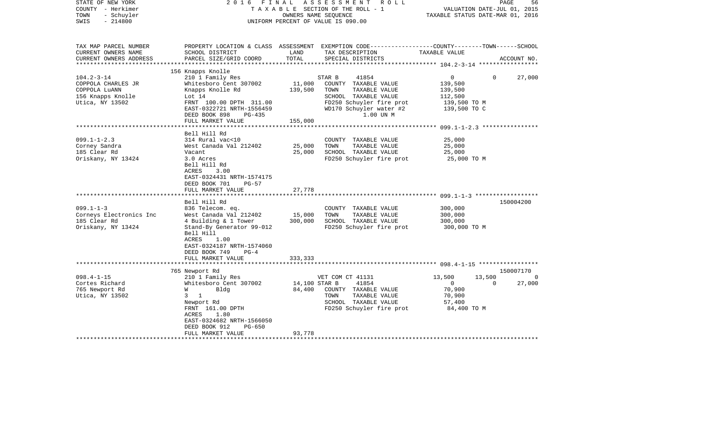| STATE OF NEW YORK<br>COUNTY - Herkimer<br>- Schuyler<br>TOWN<br>$-214800$<br>SWIS                | 2016<br>FINAL                                                                                                                                                                                                                 |                         | ASSESSMENT ROLL<br>TAXABLE SECTION OF THE ROLL - 1<br>OWNERS NAME SEOUENCE<br>UNIFORM PERCENT OF VALUE IS 090.00                                             | VALUATION DATE-JUL 01, 2015<br>TAXABLE STATUS DATE-MAR 01, 2016                                | 56<br>PAGE                     |
|--------------------------------------------------------------------------------------------------|-------------------------------------------------------------------------------------------------------------------------------------------------------------------------------------------------------------------------------|-------------------------|--------------------------------------------------------------------------------------------------------------------------------------------------------------|------------------------------------------------------------------------------------------------|--------------------------------|
| TAX MAP PARCEL NUMBER<br>CURRENT OWNERS NAME<br>CURRENT OWNERS ADDRESS<br>********************** | SCHOOL DISTRICT<br>PARCEL SIZE/GRID COORD                                                                                                                                                                                     | LAND<br>TOTAL           | PROPERTY LOCATION & CLASS ASSESSMENT EXEMPTION CODE---------------COUNTY-------TOWN------SCHOOL<br>TAX DESCRIPTION<br>SPECIAL DISTRICTS                      | TAXABLE VALUE                                                                                  | ACCOUNT NO.                    |
|                                                                                                  | 156 Knapps Knolle                                                                                                                                                                                                             |                         |                                                                                                                                                              |                                                                                                |                                |
| $104.2 - 3 - 14$<br>COPPOLA CHARLES JR<br>COPPOLA LUANN<br>156 Knapps Knolle<br>Utica, NY 13502  | 210 1 Family Res<br>Whitesboro Cent 307002<br>Knapps Knolle Rd<br>Lot 14<br>FRNT 100.00 DPTH 311.00<br>EAST-0322721 NRTH-1556459<br>DEED BOOK 898<br>$PG-435$                                                                 | 11,000<br>139,500       | STAR B<br>41854<br>COUNTY TAXABLE VALUE<br>TOWN<br>TAXABLE VALUE<br>SCHOOL TAXABLE VALUE<br>FD250 Schuyler fire prot<br>WD170 Schuyler water #2<br>1.00 UN M | $\overline{0}$<br>$\Omega$<br>139,500<br>139,500<br>112,500<br>139,500 TO M<br>139,500 TO C    | 27,000                         |
|                                                                                                  | FULL MARKET VALUE                                                                                                                                                                                                             | 155,000                 |                                                                                                                                                              |                                                                                                |                                |
| $099.1 - 1 - 2.3$<br>Corney Sandra<br>185 Clear Rd<br>Oriskany, NY 13424                         | Bell Hill Rd<br>314 Rural vac<10<br>West Canada Val 212402<br>Vacant<br>3.0 Acres<br>Bell Hill Rd<br>ACRES<br>3.00<br>EAST-0324431 NRTH-1574175<br>DEED BOOK 701<br>PG-57                                                     | 25,000<br>25,000        | COUNTY TAXABLE VALUE<br>TOWN<br>TAXABLE VALUE<br>SCHOOL TAXABLE VALUE<br>FD250 Schuyler fire prot                                                            | 25,000<br>25,000<br>25,000<br>25,000 TO M                                                      |                                |
|                                                                                                  | FULL MARKET VALUE                                                                                                                                                                                                             | 27,778                  |                                                                                                                                                              |                                                                                                |                                |
| $099.1 - 1 - 3$<br>Corneys Electronics Inc<br>185 Clear Rd<br>Oriskany, NY 13424                 | ********************<br>Bell Hill Rd<br>836 Telecom. eq.<br>West Canada Val 212402<br>4 Building & 1 Tower<br>Stand-By Generator 99-012<br>Bell Hill<br>1.00<br>ACRES<br>EAST-0324187 NRTH-1574060<br>DEED BOOK 749<br>$PG-4$ | 15,000<br>300,000       | COUNTY TAXABLE VALUE<br>TAXABLE VALUE<br>TOWN<br>SCHOOL TAXABLE VALUE<br>FD250 Schuyler fire prot                                                            | 300,000<br>300,000<br>300,000<br>300,000 TO M                                                  | 150004200                      |
|                                                                                                  | FULL MARKET VALUE                                                                                                                                                                                                             | 333,333                 |                                                                                                                                                              |                                                                                                |                                |
|                                                                                                  |                                                                                                                                                                                                                               |                         |                                                                                                                                                              |                                                                                                |                                |
| $098.4 - 1 - 15$<br>Cortes Richard<br>765 Newport Rd<br>Utica, NY 13502                          | 765 Newport Rd<br>210 1 Family Res<br>Whitesboro Cent 307002<br>Bldg<br>W<br>$\overline{1}$<br>3<br>Newport Rd<br>FRNT 161.00 DPTH<br>ACRES<br>1.80<br>EAST-0324682 NRTH-1566050<br>DEED BOOK 912<br>PG-650                   | 14,100 STAR B<br>84,400 | VET COM CT 41131<br>41854<br>COUNTY TAXABLE VALUE<br>TAXABLE VALUE<br>TOWN<br>SCHOOL TAXABLE VALUE<br>FD250 Schuyler fire prot                               | 13,500<br>13,500<br>$\overline{0}$<br>$\mathbf 0$<br>70,900<br>70,900<br>57,400<br>84,400 TO M | 150007170<br>$\circ$<br>27,000 |
|                                                                                                  | FULL MARKET VALUE                                                                                                                                                                                                             | 93,778                  |                                                                                                                                                              |                                                                                                |                                |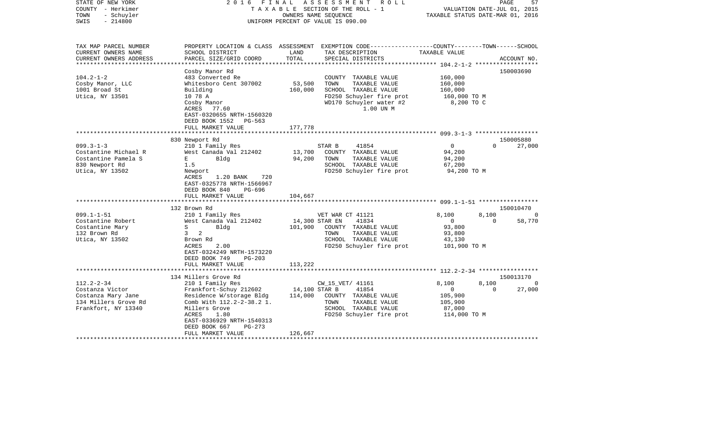| STATE OF NEW YORK      | 2 0 1 6<br>FINAL                 |                | ASSESSMENT<br>R O L L                                                                          |                                  | PAGE     | 57          |
|------------------------|----------------------------------|----------------|------------------------------------------------------------------------------------------------|----------------------------------|----------|-------------|
| COUNTY - Herkimer      |                                  |                | TAXABLE SECTION OF THE ROLL - 1                                                                | VALUATION DATE-JUL 01, 2015      |          |             |
| - Schuyler<br>TOWN     |                                  |                | OWNERS NAME SEQUENCE                                                                           | TAXABLE STATUS DATE-MAR 01, 2016 |          |             |
| $-214800$<br>SWIS      |                                  |                | UNIFORM PERCENT OF VALUE IS 090.00                                                             |                                  |          |             |
|                        |                                  |                |                                                                                                |                                  |          |             |
|                        |                                  |                |                                                                                                |                                  |          |             |
|                        |                                  |                |                                                                                                |                                  |          |             |
| TAX MAP PARCEL NUMBER  |                                  |                | PROPERTY LOCATION & CLASS ASSESSMENT EXEMPTION CODE---------------COUNTY-------TOWN-----SCHOOL |                                  |          |             |
| CURRENT OWNERS NAME    | SCHOOL DISTRICT                  | LAND           | TAX DESCRIPTION                                                                                | TAXABLE VALUE                    |          |             |
| CURRENT OWNERS ADDRESS | PARCEL SIZE/GRID COORD           | TOTAL          | SPECIAL DISTRICTS                                                                              |                                  |          | ACCOUNT NO. |
|                        |                                  |                |                                                                                                |                                  |          |             |
|                        | Cosby Manor Rd                   |                |                                                                                                |                                  |          | 150003690   |
| $104.2 - 1 - 2$        | 483 Converted Re                 |                | COUNTY TAXABLE VALUE                                                                           | 160,000                          |          |             |
| Cosby Manor, LLC       | Whitesboro Cent 307002           | 53,500         | TOWN<br>TAXABLE VALUE                                                                          | 160,000                          |          |             |
| 1001 Broad St          | Building                         | 160,000        | SCHOOL TAXABLE VALUE                                                                           | 160,000                          |          |             |
| Utica, NY 13501        | 10 78 A                          |                | FD250 Schuyler fire prot                                                                       | 160,000 TO M                     |          |             |
|                        | Cosby Manor                      |                | WD170 Schuyler water #2                                                                        | 8,200 TO C                       |          |             |
|                        | ACRES<br>77.60                   |                | 1.00 UN M                                                                                      |                                  |          |             |
|                        | EAST-0320655 NRTH-1560320        |                |                                                                                                |                                  |          |             |
|                        | DEED BOOK 1552<br>$PG-563$       |                |                                                                                                |                                  |          |             |
|                        | FULL MARKET VALUE                | 177,778        |                                                                                                |                                  |          |             |
|                        | *******************              | ***********    | ************************ 099.3-1-3 *******************                                         |                                  |          |             |
|                        | 830 Newport Rd                   |                |                                                                                                |                                  |          | 150005880   |
| $099.3 - 1 - 3$        | 210 1 Family Res                 |                | STAR B<br>41854                                                                                | $\Omega$                         | $\Omega$ | 27,000      |
| Costantine Michael R   | West Canada Val 212402           | 13,700         | COUNTY TAXABLE VALUE                                                                           | 94,200                           |          |             |
| Costantine Pamela S    | Bldg<br>$E = -$                  | 94,200         | TOWN<br>TAXABLE VALUE                                                                          | 94,200                           |          |             |
| 830 Newport Rd         | 1.5                              |                | SCHOOL TAXABLE VALUE                                                                           | 67,200                           |          |             |
| Utica, NY 13502        | Newport                          |                | FD250 Schuyler fire prot                                                                       | 94,200 TO M                      |          |             |
|                        | 720<br><b>ACRES</b><br>1.20 BANK |                |                                                                                                |                                  |          |             |
|                        | EAST-0325778 NRTH-1566967        |                |                                                                                                |                                  |          |             |
|                        | DEED BOOK 840<br>PG-696          |                |                                                                                                |                                  |          |             |
|                        | FULL MARKET VALUE                | 104,667        |                                                                                                |                                  |          |             |
|                        |                                  |                |                                                                                                |                                  |          |             |
|                        | 132 Brown Rd                     |                |                                                                                                |                                  |          | 150010470   |
| $099.1 - 1 - 51$       | 210 1 Family Res                 |                | VET WAR CT 41121                                                                               | 8,100                            | 8,100    | $\Omega$    |
| Costantine Robert      | West Canada Val 212402           | 14,300 STAR EN | 41834                                                                                          | $\mathbf{0}$                     | $\Omega$ | 58,770      |
| Costantine Mary        | S<br>Bldg                        | 101,900        | COUNTY TAXABLE VALUE                                                                           | 93,800                           |          |             |
| 132 Brown Rd           | 3 <sub>2</sub>                   |                | TOWN<br>TAXABLE VALUE                                                                          | 93,800                           |          |             |
| Utica, NY 13502        | Brown Rd                         |                | SCHOOL TAXABLE VALUE                                                                           | 43,130                           |          |             |
|                        | <b>ACRES</b><br>2.00             |                | FD250 Schuyler fire prot                                                                       | 101,900 TO M                     |          |             |
|                        | EAST-0324249 NRTH-1573220        |                |                                                                                                |                                  |          |             |
|                        | DEED BOOK 749<br>$PG-203$        |                |                                                                                                |                                  |          |             |
|                        | FULL MARKET VALUE                | 113,222        |                                                                                                |                                  |          |             |
|                        | *****************                |                | ************************* 112.2-2-34 ******************                                        |                                  |          |             |
|                        | 134 Millers Grove Rd             |                |                                                                                                |                                  |          | 150013170   |
| $112.2 - 2 - 34$       | 210 1 Family Res                 |                | CW_15_VET/ 41161                                                                               | 8,100                            | 8,100    | $\Omega$    |
| Costanza Victor        | Frankfort-Schuy 212602           | 14,100 STAR B  | 41854                                                                                          | $\mathbf{0}$                     | $\Omega$ | 27,000      |
| Costanza Mary Jane     | Residence W/storage Bldg         | 114,000        | COUNTY TAXABLE VALUE                                                                           | 105,900                          |          |             |
| 134 Millers Grove Rd   | Comb With 112.2-2-38.2 1.        |                | TOWN<br>TAXABLE VALUE                                                                          | 105,900                          |          |             |
| Frankfort, NY 13340    | Millers Grove                    |                | SCHOOL TAXABLE VALUE                                                                           | 87,000                           |          |             |
|                        | ACRES<br>1.80                    |                |                                                                                                |                                  |          |             |
|                        | EAST-0336929 NRTH-1540313        |                | FD250 Schuyler fire prot                                                                       | 114,000 TO M                     |          |             |
|                        |                                  |                |                                                                                                |                                  |          |             |
|                        | DEED BOOK 667<br>$PG-273$        |                |                                                                                                |                                  |          |             |
|                        | FULL MARKET VALUE                | 126,667        |                                                                                                |                                  |          |             |
|                        |                                  |                |                                                                                                |                                  |          |             |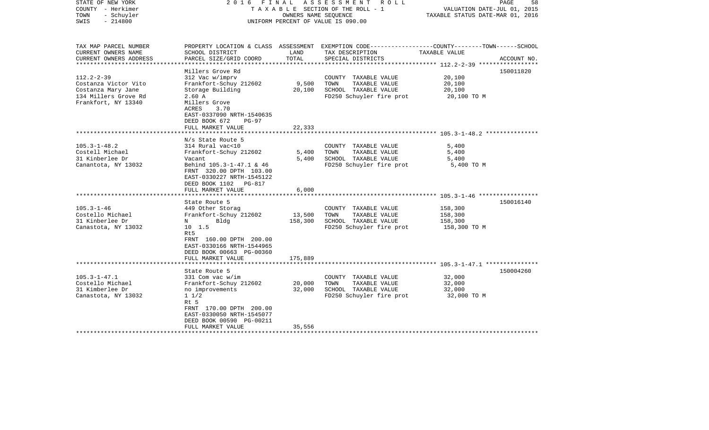| STATE OF NEW YORK<br>COUNTY - Herkimer<br>- Schuyler<br>TOWN<br>$-214800$<br>SWIS                             |                                                                                                                                                                                                            | OWNERS NAME SEOUENCE      | 2016 FINAL ASSESSMENT ROLL<br>TAXABLE SECTION OF THE ROLL - 1<br>UNIFORM PERCENT OF VALUE IS 090.00                                          | VALUATION DATE-JUL 01, 2015<br>TAXABLE STATUS DATE-MAR 01, 2016 | PAGE<br>58  |
|---------------------------------------------------------------------------------------------------------------|------------------------------------------------------------------------------------------------------------------------------------------------------------------------------------------------------------|---------------------------|----------------------------------------------------------------------------------------------------------------------------------------------|-----------------------------------------------------------------|-------------|
| TAX MAP PARCEL NUMBER<br>CURRENT OWNERS NAME<br>CURRENT OWNERS ADDRESS<br>*********************               | SCHOOL DISTRICT<br>PARCEL SIZE/GRID COORD                                                                                                                                                                  | LAND<br>TOTAL             | PROPERTY LOCATION & CLASS ASSESSMENT EXEMPTION CODE---------------COUNTY-------TOWN-----SCHOOL<br>TAX DESCRIPTION<br>SPECIAL DISTRICTS       | TAXABLE VALUE                                                   | ACCOUNT NO. |
| $112.2 - 2 - 39$<br>Costanza Victor Vito<br>Costanza Mary Jane<br>134 Millers Grove Rd<br>Frankfort, NY 13340 | Millers Grove Rd<br>312 Vac w/imprv<br>Frankfort-Schuy 212602<br>Storage Building<br>2.60A<br>Millers Grove<br>ACRES<br>3.70<br>EAST-0337090 NRTH-1540635<br>DEED BOOK 672<br>$PG-97$<br>FULL MARKET VALUE | 9,500<br>20,100<br>22,333 | COUNTY TAXABLE VALUE<br>TAXABLE VALUE<br>TOWN<br>SCHOOL TAXABLE VALUE<br>FD250 Schuyler fire prot                                            | 20,100<br>20,100<br>20,100<br>20,100 TO M                       | 150011820   |
|                                                                                                               | *************************                                                                                                                                                                                  |                           |                                                                                                                                              |                                                                 |             |
| $105.3 - 1 - 48.2$<br>Costell Michael<br>31 Kinberlee Dr<br>Canantota, NY 13032                               | N/s State Route 5<br>314 Rural vac<10<br>Frankfort-Schuy 212602<br>Vacant<br>Behind 105.3-1-47.1 & 46<br>FRNT 320.00 DPTH 103.00<br>EAST-0330227 NRTH-1545122<br>DEED BOOK 1102 PG-817                     | 5,400<br>5,400            | COUNTY TAXABLE VALUE<br>TOWN<br>TAXABLE VALUE<br>SCHOOL TAXABLE VALUE<br>FD250 Schuyler fire prot                                            | 5,400<br>5,400<br>5,400<br>5,400 TO M                           |             |
|                                                                                                               | FULL MARKET VALUE                                                                                                                                                                                          | 6,000                     |                                                                                                                                              |                                                                 |             |
| $105.3 - 1 - 46$<br>Costello Michael<br>31 Kinberlee Dr                                                       | ***********************<br>State Route 5<br>449 Other Storag<br>Frankfort-Schuy 212602<br>$N$ and $N$<br>Bldg                                                                                              | 13,500<br>158,300         | ************************************* 105.3-1-46 ******************<br>COUNTY TAXABLE VALUE<br>TAXABLE VALUE<br>TOWN<br>SCHOOL TAXABLE VALUE | 158,300<br>158,300<br>158,300                                   | 150016140   |
| Canastota, NY 13032                                                                                           | $10 \quad 1.5$<br>Rt5<br>FRNT 160.00 DPTH 200.00<br>EAST-0330166 NRTH-1544965<br>DEED BOOK 00663 PG-00360<br>FULL MARKET VALUE                                                                             | 175,889                   | FD250 Schuyler fire prot                                                                                                                     | 158,300 TO M                                                    |             |
|                                                                                                               | ************************                                                                                                                                                                                   |                           |                                                                                                                                              |                                                                 |             |
| $105.3 - 1 - 47.1$<br>Costello Michael<br>31 Kimberlee Dr<br>Canastota, NY 13032                              | State Route 5<br>331 Com vac w/im<br>Frankfort-Schuy 212602<br>no improvements<br>$1 \; 1/2$<br>Rt 5<br>FRNT 170.00 DPTH 200.00<br>EAST-0330050 NRTH-1545077<br>DEED BOOK 00590 PG-00211                   | 20,000<br>32,000          | COUNTY TAXABLE VALUE<br>TOWN<br>TAXABLE VALUE<br>SCHOOL TAXABLE VALUE<br>FD250 Schuyler fire prot                                            | 32,000<br>32,000<br>32,000<br>32,000 TO M                       | 150004260   |
|                                                                                                               | FULL MARKET VALUE<br>*********************                                                                                                                                                                 | 35,556                    |                                                                                                                                              |                                                                 |             |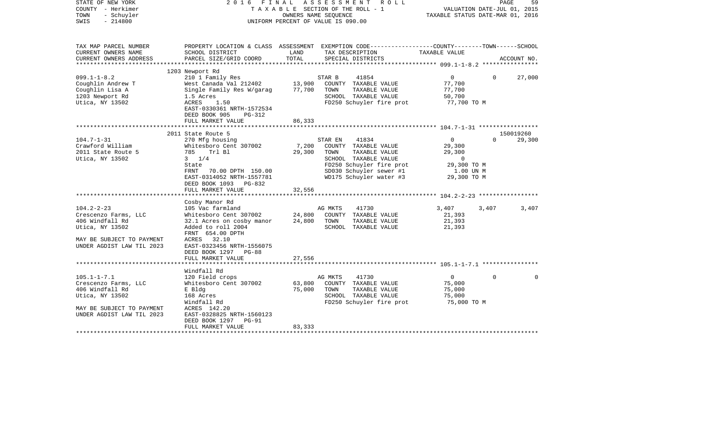| STATE OF NEW YORK<br>COUNTY - Herkimer<br>TOWN<br>- Schuyler<br>$-214800$<br>SWIS | F I N A L<br>2016                                                       |        | ASSESSMENT ROLL<br>TAXABLE SECTION OF THE ROLL - 1<br>OWNERS NAME SEOUENCE<br>UNIFORM PERCENT OF VALUE IS 090.00    | TAXABLE STATUS DATE-MAR 01, 2016 | PAGE<br>VALUATION DATE-JUL 01, 2015 | 59     |
|-----------------------------------------------------------------------------------|-------------------------------------------------------------------------|--------|---------------------------------------------------------------------------------------------------------------------|----------------------------------|-------------------------------------|--------|
| TAX MAP PARCEL NUMBER<br>CURRENT OWNERS NAME                                      | SCHOOL DISTRICT                                                         | LAND   | PROPERTY LOCATION & CLASS ASSESSMENT EXEMPTION CODE----------------COUNTY-------TOWN------SCHOOL<br>TAX DESCRIPTION | TAXABLE VALUE                    |                                     |        |
| CURRENT OWNERS ADDRESS<br>**********************                                  | PARCEL SIZE/GRID COORD                                                  | TOTAL  | SPECIAL DISTRICTS                                                                                                   |                                  | ACCOUNT NO.                         |        |
|                                                                                   | 1203 Newport Rd                                                         |        |                                                                                                                     |                                  |                                     |        |
| $099.1 - 1 - 8.2$                                                                 | 210 1 Family Res                                                        |        | STAR B<br>41854                                                                                                     | $\overline{0}$                   | $\Omega$                            | 27,000 |
| Coughlin Andrew T                                                                 | West Canada Val 212402                                                  | 13,900 | COUNTY TAXABLE VALUE                                                                                                | 77,700                           |                                     |        |
| Coughlin Lisa A                                                                   | Single Family Res W/garag                                               | 77,700 | TOWN<br>TAXABLE VALUE                                                                                               | 77,700                           |                                     |        |
| 1203 Newport Rd                                                                   | 1.5 Acres                                                               |        | SCHOOL TAXABLE VALUE                                                                                                | 50,700                           |                                     |        |
| Utica, NY 13502                                                                   | ACRES<br>1.50<br>EAST-0330361 NRTH-1572534<br>DEED BOOK 905<br>$PG-312$ |        | FD250 Schuyler fire prot                                                                                            | 77,700 TO M                      |                                     |        |
|                                                                                   | FULL MARKET VALUE                                                       | 86,333 |                                                                                                                     |                                  |                                     |        |
|                                                                                   |                                                                         |        |                                                                                                                     |                                  |                                     |        |
| $104.7 - 1 - 31$                                                                  | 2011 State Route 5                                                      |        |                                                                                                                     | $\overline{0}$                   | 150019260<br>$\Omega$               |        |
| Crawford William                                                                  | 270 Mfg housing<br>Whitesboro Cent 307002                               | 7,200  | STAR EN<br>41834<br>COUNTY TAXABLE VALUE                                                                            | 29,300                           |                                     | 29,300 |
| 2011 State Route 5                                                                | 785 Trl Bl                                                              | 29,300 | TOWN<br>TAXABLE VALUE                                                                                               | 29,300                           |                                     |        |
| Utica, NY 13502                                                                   | $3 \t1/4$                                                               |        | SCHOOL TAXABLE VALUE                                                                                                | $\overline{0}$                   |                                     |        |
|                                                                                   | State                                                                   |        | FD250 Schuyler fire prot                                                                                            | 29,300 TO M                      |                                     |        |
|                                                                                   | 70.00 DPTH 150.00<br>FRNT                                               |        | SD030 Schuyler sewer #1                                                                                             | 1.00 UN M                        |                                     |        |
|                                                                                   | EAST-0314052 NRTH-1557781                                               |        | WD175 Schuyler water #3                                                                                             | 29,300 TO M                      |                                     |        |
|                                                                                   | DEED BOOK 1093 PG-832                                                   |        |                                                                                                                     |                                  |                                     |        |
|                                                                                   | FULL MARKET VALUE                                                       | 32,556 |                                                                                                                     |                                  |                                     |        |
|                                                                                   |                                                                         |        |                                                                                                                     |                                  |                                     |        |
|                                                                                   | Cosby Manor Rd                                                          |        |                                                                                                                     |                                  |                                     |        |
| $104.2 - 2 - 23$                                                                  | 105 Vac farmland                                                        |        | AG MKTS<br>41730                                                                                                    | 3,407                            | 3,407                               | 3,407  |
| Crescenzo Farms, LLC                                                              | Whitesboro Cent 307002                                                  | 24,800 | COUNTY TAXABLE VALUE                                                                                                | 21,393                           |                                     |        |
| 406 Windfall Rd                                                                   | 32.1 Acres on cosby manor                                               | 24,800 | TOWN<br>TAXABLE VALUE                                                                                               | 21,393                           |                                     |        |
| Utica, NY 13502                                                                   | Added to roll 2004<br>FRNT 654.00 DPTH                                  |        | SCHOOL TAXABLE VALUE                                                                                                | 21,393                           |                                     |        |
| MAY BE SUBJECT TO PAYMENT                                                         | ACRES 32.10                                                             |        |                                                                                                                     |                                  |                                     |        |
| UNDER AGDIST LAW TIL 2023                                                         | EAST-0323456 NRTH-1556075                                               |        |                                                                                                                     |                                  |                                     |        |
|                                                                                   | DEED BOOK 1297 PG-88                                                    |        |                                                                                                                     |                                  |                                     |        |
|                                                                                   | FULL MARKET VALUE                                                       | 27,556 |                                                                                                                     |                                  |                                     |        |
| **************************                                                        |                                                                         |        |                                                                                                                     |                                  |                                     |        |
|                                                                                   | Windfall Rd                                                             |        |                                                                                                                     |                                  |                                     |        |
| $105.1 - 1 - 7.1$                                                                 | 120 Field crops                                                         |        | AG MKTS<br>41730                                                                                                    | $\overline{0}$                   | $\mathbf 0$                         | 0      |
| Crescenzo Farms, LLC                                                              | Whitesboro Cent 307002                                                  | 63,800 | COUNTY TAXABLE VALUE                                                                                                | 75,000                           |                                     |        |
| 406 Windfall Rd                                                                   | E Bldg                                                                  | 75,000 | TOWN<br>TAXABLE VALUE                                                                                               | 75,000                           |                                     |        |
| Utica, NY 13502                                                                   | 168 Acres                                                               |        | SCHOOL TAXABLE VALUE                                                                                                | 75,000                           |                                     |        |
|                                                                                   | Windfall Rd                                                             |        | FD250 Schuyler fire prot                                                                                            | 75,000 TO M                      |                                     |        |
| MAY BE SUBJECT TO PAYMENT                                                         | ACRES 142.20                                                            |        |                                                                                                                     |                                  |                                     |        |
| UNDER AGDIST LAW TIL 2023                                                         | EAST-0328825 NRTH-1560123<br>DEED BOOK 1297<br><b>PG-91</b>             |        |                                                                                                                     |                                  |                                     |        |
|                                                                                   | FULL MARKET VALUE                                                       | 83,333 |                                                                                                                     |                                  |                                     |        |
|                                                                                   |                                                                         |        |                                                                                                                     |                                  |                                     |        |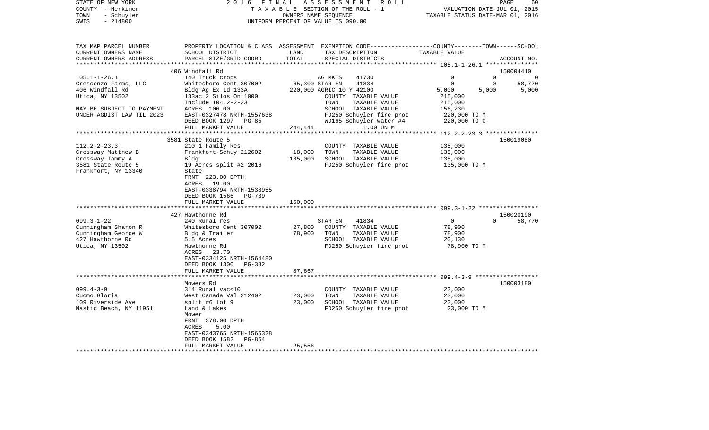| STATE OF NEW YORK                         | 2016 FINAL ASSESSMENT ROLL         | PAGE<br>60                                                   |                                                                                                  |  |  |  |  |  |
|-------------------------------------------|------------------------------------|--------------------------------------------------------------|--------------------------------------------------------------------------------------------------|--|--|--|--|--|
| COUNTY - Herkimer                         | TAXABLE SECTION OF THE ROLL - 1    | VALUATION DATE-JUL 01, 2015                                  |                                                                                                  |  |  |  |  |  |
| TOWN<br>- Schuyler                        |                                    | TAXABLE STATUS DATE-MAR 01, 2016                             |                                                                                                  |  |  |  |  |  |
| SWIS<br>$-214800$                         | UNIFORM PERCENT OF VALUE IS 090.00 |                                                              |                                                                                                  |  |  |  |  |  |
| TAX MAP PARCEL NUMBER                     |                                    |                                                              | PROPERTY LOCATION & CLASS ASSESSMENT EXEMPTION CODE----------------COUNTY-------TOWN------SCHOOL |  |  |  |  |  |
| CURRENT OWNERS NAME                       | SCHOOL DISTRICT                    | TAX DESCRIPTION TAXABLE VALUE<br>LAND                        |                                                                                                  |  |  |  |  |  |
| CURRENT OWNERS ADDRESS                    | PARCEL SIZE/GRID COORD             | TOTAL<br>SPECIAL DISTRICTS                                   | ACCOUNT NO.                                                                                      |  |  |  |  |  |
|                                           |                                    |                                                              |                                                                                                  |  |  |  |  |  |
|                                           | 406 Windfall Rd                    |                                                              | 150004410                                                                                        |  |  |  |  |  |
| $105.1 - 1 - 26.1$                        | 140 Truck crops                    | AG MKTS<br>41730                                             | $\mathbf{0}$<br>$\Omega$<br>$\overline{\phantom{0}}$                                             |  |  |  |  |  |
| Crescenzo Farms, LLC                      | Whitesboro Cent 307002             | 65,300 STAR EN<br>41834                                      | $\mathbf 0$<br>58,770<br>$\mathbf 0$                                                             |  |  |  |  |  |
| 406 Windfall Rd                           | Bldg Ag Ex Ld 133A                 | 220,000 AGRIC 10 Y 42100                                     | 5,000<br>5,000<br>5,000                                                                          |  |  |  |  |  |
| Utica, NY 13502                           | 133ac 2 Silos On 1000              | COUNTY TAXABLE VALUE                                         | 215,000                                                                                          |  |  |  |  |  |
|                                           | Include 104.2-2-23                 | TOWN<br>TAXABLE VALUE                                        | 215,000                                                                                          |  |  |  |  |  |
| MAY BE SUBJECT TO PAYMENT                 | ACRES 106.00                       | SCHOOL TAXABLE VALUE                                         | 156,230                                                                                          |  |  |  |  |  |
| UNDER AGDIST LAW TIL 2023                 | EAST-0327478 NRTH-1557638          | FD250 Schuyler fire prot                                     | 220,000 TO M                                                                                     |  |  |  |  |  |
|                                           | DEED BOOK 1297 PG-85               | WD165 Schuyler water #4                                      | 220,000 TO C                                                                                     |  |  |  |  |  |
|                                           | FULL MARKET VALUE                  | 244,444<br>1.00 UN M                                         |                                                                                                  |  |  |  |  |  |
|                                           |                                    |                                                              |                                                                                                  |  |  |  |  |  |
|                                           | 3581 State Route 5                 |                                                              | 150019080                                                                                        |  |  |  |  |  |
| $112.2 - 2 - 23.3$                        | 210 1 Family Res                   | COUNTY TAXABLE VALUE                                         | 135,000                                                                                          |  |  |  |  |  |
| Crossway Matthew B                        | Frankfort-Schuy 212602             | TAXABLE VALUE<br>18,000 TOWN<br>135,000 SCHOOL TAXABLE VALUE | 135,000                                                                                          |  |  |  |  |  |
| Crossway Tammy A                          | Bldg                               | FD250 Schuyler fire prot                                     | 135,000                                                                                          |  |  |  |  |  |
| 3581 State Route 5<br>Frankfort, NY 13340 | 19 Acres split #2 2016<br>State    |                                                              | 135,000 TO M                                                                                     |  |  |  |  |  |
|                                           | FRNT 223.00 DPTH                   |                                                              |                                                                                                  |  |  |  |  |  |
|                                           | ACRES 19.00                        |                                                              |                                                                                                  |  |  |  |  |  |
|                                           | EAST-0338794 NRTH-1538955          |                                                              |                                                                                                  |  |  |  |  |  |
|                                           | DEED BOOK 1566 PG-739              |                                                              |                                                                                                  |  |  |  |  |  |
|                                           | FULL MARKET VALUE                  | 150,000                                                      |                                                                                                  |  |  |  |  |  |
|                                           |                                    |                                                              |                                                                                                  |  |  |  |  |  |
|                                           | 427 Hawthorne Rd                   |                                                              | 150020190                                                                                        |  |  |  |  |  |
| $099.3 - 1 - 22$                          | 240 Rural res                      | STAR EN<br>41834                                             | $\overline{0}$<br>$\Omega$<br>58,770                                                             |  |  |  |  |  |
| Cunningham Sharon R                       | Whitesboro Cent 307002             | 27,800<br>COUNTY TAXABLE VALUE                               | 78,900                                                                                           |  |  |  |  |  |
| Cunningham George W                       | Bldg & Trailer                     | 78,900 TOWN<br>TAXABLE VALUE                                 | 78,900                                                                                           |  |  |  |  |  |
| 427 Hawthorne Rd                          | 5.5 Acres                          | SCHOOL TAXABLE VALUE                                         | 20,130                                                                                           |  |  |  |  |  |
| Utica, NY 13502                           | Hawthorne Rd                       | FD250 Schuyler fire prot                                     | 78,900 TO M                                                                                      |  |  |  |  |  |
|                                           | ACRES 23.70                        |                                                              |                                                                                                  |  |  |  |  |  |
|                                           | EAST-0334125 NRTH-1564480          |                                                              |                                                                                                  |  |  |  |  |  |
|                                           | DEED BOOK 1300 PG-382              |                                                              |                                                                                                  |  |  |  |  |  |
|                                           | FULL MARKET VALUE                  | 87,667                                                       |                                                                                                  |  |  |  |  |  |
|                                           |                                    |                                                              |                                                                                                  |  |  |  |  |  |
|                                           | Mowers Rd                          |                                                              | 150003180                                                                                        |  |  |  |  |  |
| $099.4 - 3 - 9$                           | 314 Rural vac<10                   | COUNTY TAXABLE VALUE                                         | 23,000                                                                                           |  |  |  |  |  |
| Cuomo Gloria                              | West Canada Val 212402             | 23,000<br>TOWN<br>TAXABLE VALUE                              | 23,000                                                                                           |  |  |  |  |  |
| 109 Riverside Ave                         | split #6 lot 9                     | 23,000 SCHOOL TAXABLE VALUE                                  | 23,000                                                                                           |  |  |  |  |  |
| Mastic Beach, NY 11951                    | Land & Lakes                       | FD250 Schuyler fire prot                                     | 23,000 TO M                                                                                      |  |  |  |  |  |
|                                           | Mower                              |                                                              |                                                                                                  |  |  |  |  |  |
|                                           | FRNT 378.00 DPTH                   |                                                              |                                                                                                  |  |  |  |  |  |
|                                           | 5.00<br>ACRES                      |                                                              |                                                                                                  |  |  |  |  |  |
|                                           | EAST-0343765 NRTH-1565328          |                                                              |                                                                                                  |  |  |  |  |  |
|                                           | DEED BOOK 1582<br>PG-864           |                                                              |                                                                                                  |  |  |  |  |  |
|                                           | FULL MARKET VALUE                  | 25,556                                                       |                                                                                                  |  |  |  |  |  |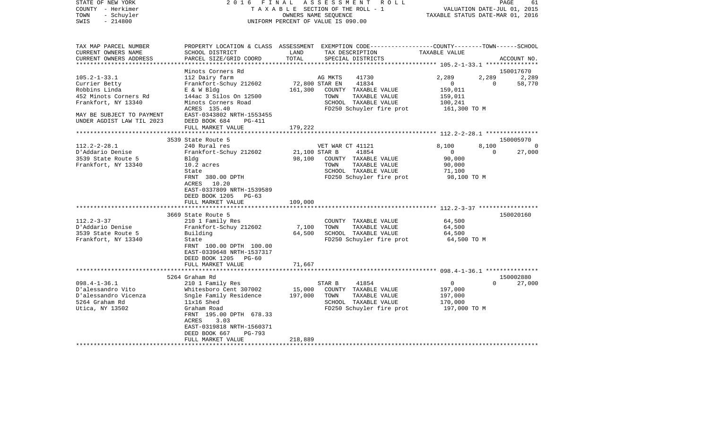| COUNTY<br>– Herkimer                   |                                              |         | TAXABLE SECTION OF THE ROLL - 1                                                                  | VALUATION DATE-JUL 01, 2015<br>TAXABLE STATUS DATE-MAR 01, 2016 |             |             |
|----------------------------------------|----------------------------------------------|---------|--------------------------------------------------------------------------------------------------|-----------------------------------------------------------------|-------------|-------------|
| - Schuyler<br>TOWN                     |                                              |         | OWNERS NAME SEOUENCE                                                                             |                                                                 |             |             |
| SWIS<br>$-214800$                      |                                              |         | UNIFORM PERCENT OF VALUE IS 090.00                                                               |                                                                 |             |             |
| TAX MAP PARCEL NUMBER                  |                                              |         | PROPERTY LOCATION & CLASS ASSESSMENT EXEMPTION CODE----------------COUNTY-------TOWN------SCHOOL |                                                                 |             |             |
| CURRENT OWNERS NAME                    | SCHOOL DISTRICT                              | LAND    | TAX DESCRIPTION                                                                                  | TAXABLE VALUE                                                   |             |             |
| CURRENT OWNERS ADDRESS                 | PARCEL SIZE/GRID COORD                       | TOTAL   | SPECIAL DISTRICTS                                                                                |                                                                 |             | ACCOUNT NO. |
|                                        |                                              |         |                                                                                                  | ************ 105.2-1-33.1 ***************                       |             |             |
|                                        | Minots Corners Rd                            |         |                                                                                                  |                                                                 |             | 150017670   |
| $105.2 - 1 - 33.1$                     | 112 Dairy farm                               |         | AG MKTS<br>41730                                                                                 | 2,289                                                           | 2,289       | 2,289       |
| Currier Betty                          | Frankfort-Schuy 212602                       |         | 41834<br>72,800 STAR EN                                                                          | 0                                                               | $\mathbf 0$ | 58,770      |
| Robbins Linda                          | E & W Bldg                                   | 161,300 | COUNTY TAXABLE VALUE                                                                             | 159,011                                                         |             |             |
| 452 Minots Corners Rd                  | 144ac 3 Silos On 12500                       |         | TOWN<br>TAXABLE VALUE                                                                            | 159,011                                                         |             |             |
| Frankfort, NY 13340                    | Minots Corners Road<br>ACRES 135.40          |         | SCHOOL TAXABLE VALUE<br>FD250 Schuyler fire prot                                                 | 100,241<br>161,300 TO M                                         |             |             |
| MAY BE SUBJECT TO PAYMENT              | EAST-0343802 NRTH-1553455                    |         |                                                                                                  |                                                                 |             |             |
| UNDER AGDIST LAW TIL 2023              | DEED BOOK 684<br>PG-411                      |         |                                                                                                  |                                                                 |             |             |
|                                        | FULL MARKET VALUE                            | 179,222 |                                                                                                  |                                                                 |             |             |
|                                        |                                              |         |                                                                                                  |                                                                 |             |             |
|                                        | 3539 State Route 5                           |         |                                                                                                  |                                                                 |             | 150005970   |
| $112.2 - 2 - 28.1$                     | 240 Rural res                                |         | VET WAR CT 41121                                                                                 | 8,100                                                           | 8,100       |             |
| D'Addario Denise                       | Frankfort-Schuy 212602                       |         | 21,100 STAR B<br>41854                                                                           | $\mathbf 0$                                                     | $\Omega$    | 27,000      |
| 3539 State Route 5                     | Bldg                                         | 98,100  | COUNTY TAXABLE VALUE                                                                             | 90,000                                                          |             |             |
| Frankfort, NY 13340                    | 10.2 acres                                   |         | TAXABLE VALUE<br>TOWN                                                                            | 90,000                                                          |             |             |
|                                        | State                                        |         | SCHOOL TAXABLE VALUE                                                                             | 71,100                                                          |             |             |
|                                        | FRNT 380.00 DPTH                             |         | FD250 Schuyler fire prot                                                                         | 98,100 TO M                                                     |             |             |
|                                        | 10.20<br>ACRES                               |         |                                                                                                  |                                                                 |             |             |
|                                        | EAST-0337809 NRTH-1539589                    |         |                                                                                                  |                                                                 |             |             |
|                                        | DEED BOOK 1205<br>PG-63<br>FULL MARKET VALUE | 109,000 |                                                                                                  |                                                                 |             |             |
|                                        |                                              |         |                                                                                                  |                                                                 |             |             |
|                                        | 3669 State Route 5                           |         |                                                                                                  |                                                                 |             | 150020160   |
| $112.2 - 3 - 37$                       | 210 1 Family Res                             |         | COUNTY TAXABLE VALUE                                                                             | 64,500                                                          |             |             |
| D'Addario Denise                       | Frankfort-Schuy 212602                       | 7,100   | TAXABLE VALUE<br>TOWN                                                                            | 64,500                                                          |             |             |
| 3539 State Route 5                     | Building                                     | 64,500  | SCHOOL TAXABLE VALUE                                                                             | 64,500                                                          |             |             |
| Frankfort, NY 13340                    | State                                        |         | FD250 Schuyler fire prot                                                                         | 64,500 TO M                                                     |             |             |
|                                        | FRNT 100.00 DPTH 100.00                      |         |                                                                                                  |                                                                 |             |             |
|                                        | EAST-0339648 NRTH-1537317                    |         |                                                                                                  |                                                                 |             |             |
|                                        | DEED BOOK 1205<br>PG-60                      |         |                                                                                                  |                                                                 |             |             |
|                                        | FULL MARKET VALUE                            | 71,667  |                                                                                                  |                                                                 |             |             |
|                                        |                                              |         |                                                                                                  |                                                                 |             |             |
|                                        | 5264 Graham Rd                               |         |                                                                                                  |                                                                 |             | 150002880   |
| $098.4 - 1 - 36.1$                     | 210 1 Family Res                             |         | STAR B<br>41854                                                                                  | $\mathbf{0}$                                                    | $\Omega$    | 27,000      |
| D'alessandro Vito                      | Whitesboro Cent 307002                       | 15,000  | COUNTY TAXABLE VALUE                                                                             | 197,000                                                         |             |             |
| D'alessandro Vicenza<br>5264 Graham Rd | Sngle Family Residence<br>$11x16$ Shed       | 197,000 | TOWN<br>TAXABLE VALUE<br>SCHOOL TAXABLE VALUE                                                    | 197,000<br>170,000                                              |             |             |
| Utica, NY 13502                        | Graham Road                                  |         | FD250 Schuyler fire prot                                                                         | 197,000 TO M                                                    |             |             |
|                                        | FRNT 195.00 DPTH 678.33                      |         |                                                                                                  |                                                                 |             |             |
|                                        | ACRES<br>3.03                                |         |                                                                                                  |                                                                 |             |             |
|                                        | EAST-0319818 NRTH-1560371                    |         |                                                                                                  |                                                                 |             |             |
|                                        | DEED BOOK 667<br>PG-793                      |         |                                                                                                  |                                                                 |             |             |
|                                        | FULL MARKET VALUE                            | 218,889 |                                                                                                  |                                                                 |             |             |
|                                        |                                              |         |                                                                                                  |                                                                 |             |             |

PAGE 61

STATE OF NEW YORK 2 0 1 6 F I N A L A S S E S S M E N T R O L L PAGE 61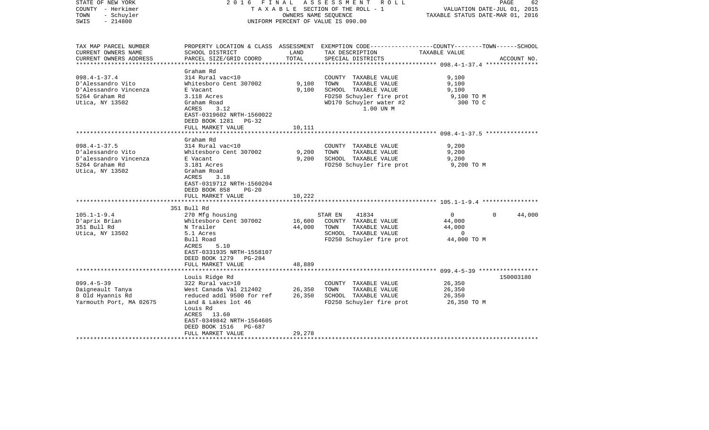| STATE OF NEW YORK<br>COUNTY - Herkimer<br>- Schuyler<br>TOWN<br>$-214800$<br>SWIS                                                                                             | 2016 FINAL                                                                                                                                                                                                                                                                                                                                   | OWNERS NAME SEQUENCE                         | ASSESSMENT ROLL<br>T A X A B L E SECTION OF THE ROLL - 1<br>UNIFORM PERCENT OF VALUE IS 090.00                                                                                                                             | VALUATION DATE-JUL 01, 2015<br>TAXABLE STATUS DATE-MAR 01, 2016                                                    | PAGE<br>62  |
|-------------------------------------------------------------------------------------------------------------------------------------------------------------------------------|----------------------------------------------------------------------------------------------------------------------------------------------------------------------------------------------------------------------------------------------------------------------------------------------------------------------------------------------|----------------------------------------------|----------------------------------------------------------------------------------------------------------------------------------------------------------------------------------------------------------------------------|--------------------------------------------------------------------------------------------------------------------|-------------|
| TAX MAP PARCEL NUMBER<br>CURRENT OWNERS NAME<br>CURRENT OWNERS ADDRESS<br>**********************                                                                              | SCHOOL DISTRICT<br>PARCEL SIZE/GRID COORD                                                                                                                                                                                                                                                                                                    | LAND<br>TOTAL                                | PROPERTY LOCATION & CLASS ASSESSMENT EXEMPTION CODE----------------COUNTY-------TOWN------SCHOOL<br>TAX DESCRIPTION<br>SPECIAL DISTRICTS                                                                                   | TAXABLE VALUE                                                                                                      | ACCOUNT NO. |
| $098.4 - 1 - 37.4$<br>D'Alessandro Vito<br>D'Alessandro Vincenza<br>5264 Graham Rd<br>Utica, NY 13502                                                                         | Graham Rd<br>314 Rural vac<10<br>Whitesboro Cent 307002<br>E Vacant<br>3.118 Acres<br>Graham Road<br>ACRES<br>3.12<br>EAST-0319602 NRTH-1560022<br>DEED BOOK 1281<br>$PG-32$<br>FULL MARKET VALUE                                                                                                                                            | 9,100<br>9,100<br>10,111                     | COUNTY TAXABLE VALUE<br>TOWN<br>TAXABLE VALUE<br>SCHOOL TAXABLE VALUE<br>FD250 Schuyler fire prot<br>WD170 Schuyler water #2<br>1.00 UN M                                                                                  | 9,100<br>9,100<br>9,100<br>9,100 TO M<br>300 TO C                                                                  |             |
|                                                                                                                                                                               |                                                                                                                                                                                                                                                                                                                                              |                                              |                                                                                                                                                                                                                            | *********************** 098.4-1-37.5 ****************                                                              |             |
| $098.4 - 1 - 37.5$<br>D'alessandro Vito<br>D'alessandro Vincenza<br>5264 Graham Rd<br>Utica, NY 13502<br>$105.1 - 1 - 9.4$<br>D'aprix Brian<br>351 Bull Rd<br>Utica, NY 13502 | Graham Rd<br>314 Rural vac<10<br>Whitesboro Cent 307002<br>E Vacant<br>3.181 Acres<br>Graham Road<br>ACRES<br>3.18<br>EAST-0319712 NRTH-1560204<br>DEED BOOK 858<br>$PG-20$<br>FULL MARKET VALUE<br>* * * * * * * * * * * * * * * * * * *<br>351 Bull Rd<br>270 Mfg housing<br>Whitesboro Cent 307002<br>N Trailer<br>5.1 Acres<br>Bull Road | 9,200<br>9,200<br>10,222<br>16,600<br>44,000 | COUNTY TAXABLE VALUE<br>TAXABLE VALUE<br>TOWN<br>SCHOOL TAXABLE VALUE<br>FD250 Schuyler fire prot<br>41834<br>STAR EN<br>COUNTY TAXABLE VALUE<br>TOWN<br>TAXABLE VALUE<br>SCHOOL TAXABLE VALUE<br>FD250 Schuyler fire prot | 9,200<br>9,200<br>9,200<br>9,200 TO M<br>$\Omega$<br>$\Omega$<br>44,000<br>44,000<br>$\overline{0}$<br>44,000 TO M | 44,000      |
|                                                                                                                                                                               | ACRES<br>5.10<br>EAST-0331935 NRTH-1558107<br>DEED BOOK 1279 PG-284<br>FULL MARKET VALUE                                                                                                                                                                                                                                                     | 48,889                                       |                                                                                                                                                                                                                            |                                                                                                                    |             |
|                                                                                                                                                                               | ************************                                                                                                                                                                                                                                                                                                                     |                                              |                                                                                                                                                                                                                            |                                                                                                                    |             |
| $099.4 - 5 - 39$<br>Daigneault Tanya<br>8 Old Hyannis Rd<br>Yarmouth Port, MA 02675                                                                                           | Louis Ridge Rd<br>322 Rural vac>10<br>West Canada Val 212402<br>reduced addl 9500 for ref<br>Land & Lakes lot 46<br>Louis Rd<br>ACRES 13.60<br>EAST-0349842 NRTH-1564605<br>DEED BOOK 1516<br>PG-687<br>FULL MARKET VALUE                                                                                                                    | 26,350<br>26,350<br>29,278                   | COUNTY TAXABLE VALUE<br>TOWN<br>TAXABLE VALUE<br>SCHOOL TAXABLE VALUE<br>FD250 Schuyler fire prot                                                                                                                          | 26,350<br>26,350<br>26,350<br>26,350 TO M                                                                          | 150003180   |
|                                                                                                                                                                               |                                                                                                                                                                                                                                                                                                                                              |                                              |                                                                                                                                                                                                                            |                                                                                                                    |             |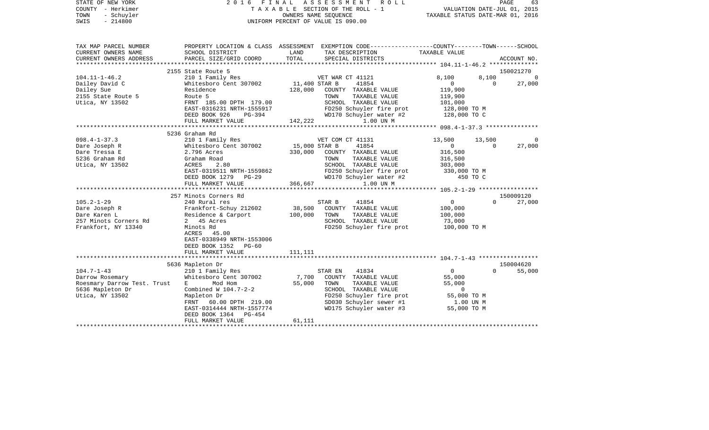| STATE OF NEW YORK<br>COUNTY - Herkimer<br>TOWN<br>- Schuyler<br>$-214800$<br>SWIS                                                                                                              | 2016                                                                                                                                                                                                                                                                                                                                                                                                                                                    | FINAL ASSESSMENT ROLL<br>TAXABLE SECTION OF THE ROLL - 1<br>OWNERS NAME SEQUENCE<br>UNIFORM PERCENT OF VALUE IS 090.00 |                                                                                                                                                                                                                                                                                                |                                                                                                                                                      |                                      | PAGE<br>63<br>VALUATION DATE-JUL 01, 2015<br>TAXABLE STATUS DATE-MAR 01, 2016 |
|------------------------------------------------------------------------------------------------------------------------------------------------------------------------------------------------|---------------------------------------------------------------------------------------------------------------------------------------------------------------------------------------------------------------------------------------------------------------------------------------------------------------------------------------------------------------------------------------------------------------------------------------------------------|------------------------------------------------------------------------------------------------------------------------|------------------------------------------------------------------------------------------------------------------------------------------------------------------------------------------------------------------------------------------------------------------------------------------------|------------------------------------------------------------------------------------------------------------------------------------------------------|--------------------------------------|-------------------------------------------------------------------------------|
| TAX MAP PARCEL NUMBER<br>CURRENT OWNERS NAME<br>CURRENT OWNERS ADDRESS                                                                                                                         | SCHOOL DISTRICT<br>PARCEL SIZE/GRID COORD                                                                                                                                                                                                                                                                                                                                                                                                               | LAND<br>TOTAL                                                                                                          | PROPERTY LOCATION & CLASS ASSESSMENT EXEMPTION CODE---------------COUNTY-------TOWN------SCHOOL<br>TAX DESCRIPTION<br>SPECIAL DISTRICTS                                                                                                                                                        | TAXABLE VALUE                                                                                                                                        |                                      | ACCOUNT NO.                                                                   |
|                                                                                                                                                                                                |                                                                                                                                                                                                                                                                                                                                                                                                                                                         |                                                                                                                        |                                                                                                                                                                                                                                                                                                |                                                                                                                                                      |                                      |                                                                               |
|                                                                                                                                                                                                | 2155 State Route 5                                                                                                                                                                                                                                                                                                                                                                                                                                      |                                                                                                                        |                                                                                                                                                                                                                                                                                                |                                                                                                                                                      |                                      | 150021270                                                                     |
| $104.11 - 1 - 46.2$<br>Dailey David C<br>Dailey Sue<br>2155 State Route 5<br>Utica, NY 13502                                                                                                   | 210 1 Family Res<br>Whitesboro Cent 307002<br>Residence<br>Route 5<br>FRNT 185.00 DPTH 179.00<br>EAST-0316231 NRTH-1555917<br>DEED BOOK 926<br>PG-394                                                                                                                                                                                                                                                                                                   | 11,400 STAR B<br>128,000                                                                                               | VET WAR CT 41121<br>41854<br>COUNTY TAXABLE VALUE<br>TOWN<br>TAXABLE VALUE<br>SCHOOL TAXABLE VALUE<br>FD250 Schuyler fire prot<br>WD170 Schuyler water #2                                                                                                                                      | 8,100<br>$\overline{0}$<br>119,900<br>119,900<br>101,000<br>128,000 TO M<br>128,000 TO C                                                             | 8.100<br>$\overline{0}$              | $\Omega$<br>27,000                                                            |
|                                                                                                                                                                                                | FULL MARKET VALUE                                                                                                                                                                                                                                                                                                                                                                                                                                       | 142,222                                                                                                                | 1.00 UN M                                                                                                                                                                                                                                                                                      |                                                                                                                                                      |                                      |                                                                               |
|                                                                                                                                                                                                |                                                                                                                                                                                                                                                                                                                                                                                                                                                         |                                                                                                                        |                                                                                                                                                                                                                                                                                                |                                                                                                                                                      |                                      |                                                                               |
|                                                                                                                                                                                                | 5236 Graham Rd                                                                                                                                                                                                                                                                                                                                                                                                                                          |                                                                                                                        |                                                                                                                                                                                                                                                                                                |                                                                                                                                                      |                                      |                                                                               |
| $098.4 - 1 - 37.3$<br>Dare Joseph R<br>Dare Tressa E<br>5236 Graham Rd<br>Utica, NY 13502<br>$105.2 - 1 - 29$<br>Dare Joseph R<br>Dare Karen L<br>257 Minots Corners Rd<br>Frankfort, NY 13340 | 210 1 Family Res<br>Whitesboro Cent 307002<br>2.796 Acres<br>Graham Road<br>ACRES<br>2.80<br>EAST-0319511 NRTH-1559862<br>DEED BOOK 1279 PG-29<br>FULL MARKET VALUE<br>257 Minots Corners Rd<br>240 Rural res<br>Frankfort-Schuy 212602<br>Residence & Carport<br>2 45 Acres<br>Minots Rd<br>ACRES 45.00<br>EAST-0338949 NRTH-1553006<br>DEED BOOK 1352 PG-60<br>FULL MARKET VALUE                                                                      | 15,000 STAR B<br>330,000<br>366,667<br>38,500<br>100,000<br>111,111                                                    | VET COM CT 41131<br>41854<br>COUNTY TAXABLE VALUE<br>TAXABLE VALUE<br>TOWN<br>SCHOOL TAXABLE VALUE<br>FD250 Schuyler fire prot<br>WD170 Schuyler water #2<br>1.00 UN M<br>41854<br>STAR B<br>COUNTY TAXABLE VALUE<br>TOWN<br>TAXABLE VALUE<br>SCHOOL TAXABLE VALUE<br>FD250 Schuyler fire prot | 13,500<br>$\overline{0}$<br>316,500<br>316,500<br>303,000<br>330,000 TO M<br>450 TO C<br>$\mathbf 0$<br>100,000<br>100,000<br>73,000<br>100,000 TO M | 13,500<br>$\overline{0}$<br>$\Omega$ | $\Omega$<br>27,000<br>150009120<br>27,000                                     |
|                                                                                                                                                                                                |                                                                                                                                                                                                                                                                                                                                                                                                                                                         |                                                                                                                        |                                                                                                                                                                                                                                                                                                |                                                                                                                                                      |                                      |                                                                               |
| $104.7 - 1 - 43$<br>Darrow Rosemary<br>Roesmary Darrow Test. Trust<br>5636 Mapleton Dr<br>Utica, NY 13502                                                                                      | 5636 Mapleton Dr<br>210 1 Family Res<br>Whitesboro Cent 307002<br>Mod Hom<br>E and the state of the state of the state of the state of the state of the state of the state of the state of the state of the state of the state of the state of the state of the state of the state of the state of the stat<br>Combined W 104.7-2-2<br>Mapleton Dr<br>FRNT 60.00 DPTH 219.00<br>EAST-0314444 NRTH-1557774<br>DEED BOOK 1364 PG-454<br>FULL MARKET VALUE | 7,700<br>55,000<br>61,111                                                                                              | STAR EN<br>41834<br>COUNTY TAXABLE VALUE<br>TOWN<br>TAXABLE VALUE<br>SCHOOL TAXABLE VALUE<br>FD250 Schuyler fire prot<br>SD030 Schuyler sewer #1<br>WD175 Schuyler water #3                                                                                                                    | $\overline{0}$<br>55,000<br>55,000<br>$\overline{0}$<br>55,000 TO M<br>1.00 UN M<br>55,000 TO M                                                      | $\Omega$                             | 150004620<br>55,000                                                           |
|                                                                                                                                                                                                |                                                                                                                                                                                                                                                                                                                                                                                                                                                         |                                                                                                                        |                                                                                                                                                                                                                                                                                                |                                                                                                                                                      |                                      |                                                                               |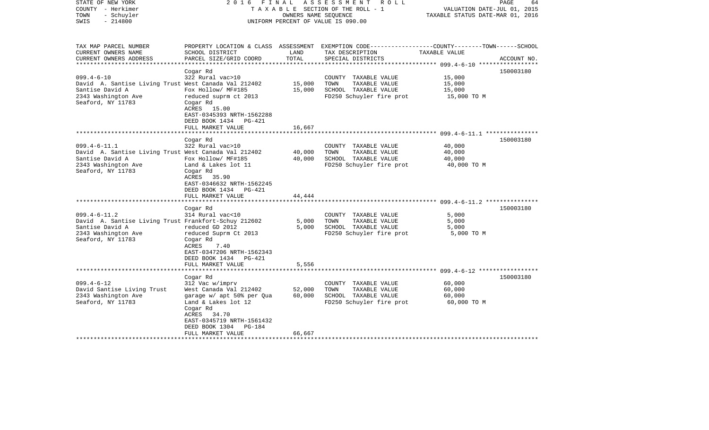| STATE OF NEW YORK<br>COUNTY - Herkimer<br>- Schuyler<br>TOWN<br>$-214800$<br>SWIS                                                         | FINAL<br>2016                                                                                                                                                                               | OWNERS NAME SEOUENCE            | ASSESSMENT<br>R O L L<br>TAXABLE SECTION OF THE ROLL - 1<br>UNIFORM PERCENT OF VALUE IS 090.00                                           | VALUATION DATE-JUL 01, 2015<br>TAXABLE STATUS DATE-MAR 01, 2016 | PAGE<br>64  |
|-------------------------------------------------------------------------------------------------------------------------------------------|---------------------------------------------------------------------------------------------------------------------------------------------------------------------------------------------|---------------------------------|------------------------------------------------------------------------------------------------------------------------------------------|-----------------------------------------------------------------|-------------|
| TAX MAP PARCEL NUMBER<br>CURRENT OWNERS NAME<br>CURRENT OWNERS ADDRESS<br>*********************                                           | SCHOOL DISTRICT<br>PARCEL SIZE/GRID COORD                                                                                                                                                   | LAND<br>TOTAL<br>************** | PROPERTY LOCATION & CLASS ASSESSMENT EXEMPTION CODE----------------COUNTY-------TOWN------SCHOOL<br>TAX DESCRIPTION<br>SPECIAL DISTRICTS | TAXABLE VALUE                                                   | ACCOUNT NO. |
| $099.4 - 6 - 10$<br>David A. Santise Living Trust West Canada Val 212402<br>Santise David A<br>2343 Washington Ave<br>Seaford, NY 11783   | Cogar Rd<br>322 Rural vac>10<br>Fox Hollow/ MF#185<br>reduced suprm ct 2013<br>Cogar Rd<br>ACRES 15.00<br>EAST-0345393 NRTH-1562288<br>DEED BOOK 1434<br><b>PG-421</b><br>FULL MARKET VALUE | 15,000<br>15,000<br>16,667      | COUNTY TAXABLE VALUE<br>TOWN<br>TAXABLE VALUE<br>SCHOOL TAXABLE VALUE<br>FD250 Schuyler fire prot                                        | 15,000<br>15,000<br>15,000<br>15,000 TO M                       | 150003180   |
|                                                                                                                                           |                                                                                                                                                                                             |                                 |                                                                                                                                          | ************************ 099.4-6-11.1 ****************          |             |
| $099.4 - 6 - 11.1$<br>David A. Santise Living Trust West Canada Val 212402<br>Santise David A<br>2343 Washington Ave<br>Seaford, NY 11783 | Cogar Rd<br>322 Rural vac>10<br>Fox Hollow/ MF#185<br>Land & Lakes lot 11<br>Cogar Rd<br>ACRES<br>35.90<br>EAST-0346632 NRTH-1562245<br>DEED BOOK 1434<br>PG-421<br>FULL MARKET VALUE       | 40,000<br>40,000<br>44,444      | COUNTY TAXABLE VALUE<br>TAXABLE VALUE<br>TOWN<br>SCHOOL TAXABLE VALUE<br>FD250 Schuyler fire prot                                        | 40,000<br>40,000<br>40,000<br>40,000 TO M                       | 150003180   |
|                                                                                                                                           | ******************                                                                                                                                                                          |                                 |                                                                                                                                          |                                                                 |             |
| $099.4 - 6 - 11.2$<br>David A. Santise Living Trust Frankfort-Schuy 212602<br>Santise David A<br>2343 Washington Ave<br>Seaford, NY 11783 | Cogar Rd<br>314 Rural vac<10<br>reduced GD 2012<br>reduced Suprm Ct 2013<br>Cogar Rd<br>ACRES<br>7.40<br>EAST-0347206 NRTH-1562343<br>DEED BOOK 1434<br>PG-421                              | 5,000<br>5,000                  | COUNTY TAXABLE VALUE<br>TAXABLE VALUE<br>TOWN<br>SCHOOL TAXABLE VALUE<br>FD250 Schuyler fire prot                                        | 5,000<br>5,000<br>5,000<br>5,000 TO M                           | 150003180   |
|                                                                                                                                           | FULL MARKET VALUE                                                                                                                                                                           | 5,556                           | ***************************** 099.4-6-12 *****************                                                                               |                                                                 |             |
|                                                                                                                                           | Cogar Rd                                                                                                                                                                                    |                                 |                                                                                                                                          |                                                                 | 150003180   |
| $099.4 - 6 - 12$<br>David Santise Living Trust<br>2343 Washington Ave<br>Seaford, NY 11783                                                | 312 Vac w/imprv<br>West Canada Val 212402<br>garage w/ apt 50% per Qua<br>Land & Lakes lot 12<br>Cogar Rd<br>34.70<br>ACRES<br>EAST-0345719 NRTH-1561432<br>DEED BOOK 1304<br>PG-184        | 52,000<br>60,000                | COUNTY TAXABLE VALUE<br>TOWN<br>TAXABLE VALUE<br>SCHOOL TAXABLE VALUE<br>FD250 Schuyler fire prot                                        | 60,000<br>60,000<br>60,000<br>60,000 TO M                       |             |
|                                                                                                                                           | FULL MARKET VALUE                                                                                                                                                                           | 66,667                          |                                                                                                                                          |                                                                 |             |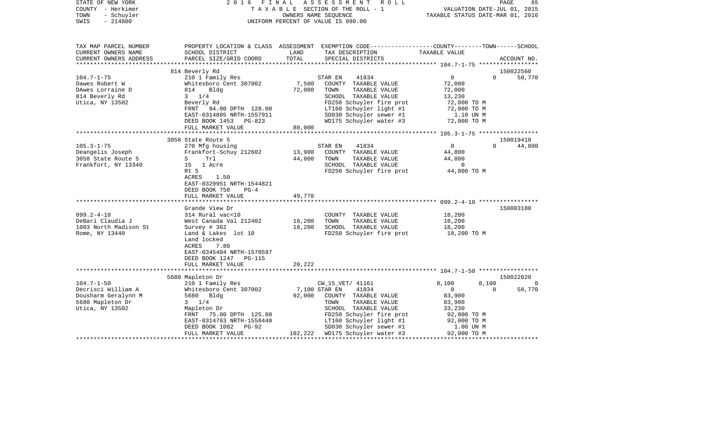| STATE OF NEW YORK<br>COUNTY - Herkimer<br>- Schuyler<br>TOWN<br>$-214800$<br>SWIS                                         | FINAL<br>2016                                                                                                                                                                                                                         |                                      | ASSESSMENT ROLL<br>TAXABLE SECTION OF THE ROLL - 1<br>OWNERS NAME SEQUENCE<br>UNIFORM PERCENT OF VALUE IS 090.00                                                       | VALUATION DATE-JUL 01, 2015<br>TAXABLE STATUS DATE-MAR 01, 2016                         | PAGE<br>65                      |
|---------------------------------------------------------------------------------------------------------------------------|---------------------------------------------------------------------------------------------------------------------------------------------------------------------------------------------------------------------------------------|--------------------------------------|------------------------------------------------------------------------------------------------------------------------------------------------------------------------|-----------------------------------------------------------------------------------------|---------------------------------|
| TAX MAP PARCEL NUMBER<br>CURRENT OWNERS NAME<br>CURRENT OWNERS ADDRESS                                                    | SCHOOL DISTRICT<br>PARCEL SIZE/GRID COORD                                                                                                                                                                                             | LAND<br>TOTAL                        | PROPERTY LOCATION & CLASS ASSESSMENT EXEMPTION CODE----------------COUNTY-------TOWN-----SCHOOL<br>TAX DESCRIPTION<br>SPECIAL DISTRICTS                                | TAXABLE VALUE                                                                           | ACCOUNT NO.                     |
| **********************                                                                                                    |                                                                                                                                                                                                                                       |                                      |                                                                                                                                                                        |                                                                                         |                                 |
|                                                                                                                           | 814 Beverly Rd                                                                                                                                                                                                                        |                                      |                                                                                                                                                                        |                                                                                         | 150022560                       |
| $104.7 - 1 - 75$<br>Dawes Robert W<br>DAwes Lorraine D<br>814 Beverly Rd                                                  | 210 1 Family Res<br>Whitesboro Cent 307002<br>814<br>Bldg<br>$3 \t1/4$                                                                                                                                                                | 7,500<br>72,000                      | STAR EN<br>41834<br>COUNTY TAXABLE VALUE<br>TOWN<br>TAXABLE VALUE<br>SCHOOL TAXABLE VALUE                                                                              | $\overline{0}$<br>72,000<br>72,000<br>13,230                                            | $\Omega$<br>58,770              |
| Utica, NY 13502                                                                                                           | Beverly Rd<br>FRNT 94.00 DPTH 128.00<br>EAST-0314805 NRTH-1557911<br>DEED BOOK 1453 PG-823                                                                                                                                            |                                      | FD250 Schuyler fire prot<br>LT160 Schuyler light #1<br>SD030 Schuyler sewer #1<br>WD175 Schuyler water #3                                                              | 72,000 TO M<br>72,000 TO M<br>1.10 UN M<br>72,000 TO M                                  |                                 |
|                                                                                                                           | FULL MARKET VALUE                                                                                                                                                                                                                     | 80,000                               |                                                                                                                                                                        |                                                                                         |                                 |
|                                                                                                                           | 3058 State Route 5                                                                                                                                                                                                                    |                                      |                                                                                                                                                                        |                                                                                         | 150019410                       |
| $105.3 - 1 - 75$<br>Deangelis Joseph<br>3058 State Route 5<br>Frankfort, NY 13340<br>$099.2 - 4 - 10$<br>DeBari Claudia J | 270 Mfg housing<br>Frankfort-Schuy 212602<br>S Trl<br>15 1 Acre<br>Rt 5<br>ACRES<br>1.50<br>EAST-0329951 NRTH-1544821<br>DEED BOOK 750<br>$PG-4$<br>FULL MARKET VALUE<br>Grande View Dr<br>314 Rural vac<10<br>West Canada Val 212402 | 13,900<br>44,800<br>49,778<br>18,200 | 41834<br>STAR EN<br>COUNTY TAXABLE VALUE<br>TAXABLE VALUE<br>TOWN<br>SCHOOL TAXABLE VALUE<br>FD250 Schuyler fire prot<br>COUNTY TAXABLE VALUE<br>TOWN<br>TAXABLE VALUE | $\overline{0}$<br>44,800<br>44,800<br>$\overline{0}$<br>44,800 TO M<br>18,200<br>18,200 | 44,800<br>$\Omega$<br>150003180 |
| 1003 North Madison St<br>Rome, NY 13440                                                                                   | Survey $#362$<br>Land & Lakes lot 10<br>Land locked<br>ACRES<br>7.80<br>EAST-0345404 NRTH-1570597<br>DEED BOOK 1247 PG-115<br>FULL MARKET VALUE                                                                                       | 18,200<br>20,222                     | SCHOOL TAXABLE VALUE<br>FD250 Schuyler fire prot                                                                                                                       | 18,200<br>18,200 TO M                                                                   |                                 |
|                                                                                                                           |                                                                                                                                                                                                                                       |                                      |                                                                                                                                                                        |                                                                                         |                                 |
| $104.7 - 1 - 50$                                                                                                          | 5680 Mapleton Dr                                                                                                                                                                                                                      |                                      |                                                                                                                                                                        | 8,100                                                                                   | 150022020<br>$\Omega$           |
| Decrisci William A                                                                                                        | 210 1 Family Res<br>Whitesboro Cent 307002                                                                                                                                                                                            | 7,100 STAR EN                        | CW_15_VET/ 41161<br>41834                                                                                                                                              | 8,100<br>$\overline{0}$                                                                 | 58,770<br>$\Omega$              |
| Dousharm Geralynn M<br>5680 Mapleton Dr<br>Utica, NY 13502                                                                | 5680 Bldg<br>$3 \t1/4$<br>Mapleton Dr<br>75.00 DPTH 125.00<br>FRNT                                                                                                                                                                    | 92,000                               | COUNTY TAXABLE VALUE<br>TOWN<br>TAXABLE VALUE<br>SCHOOL TAXABLE VALUE<br>FD250 Schuyler fire prot                                                                      | 83,900<br>83,900<br>33,230<br>92,000 TO M                                               |                                 |
|                                                                                                                           | EAST-0314763 NRTH-1558440<br>DEED BOOK 1082 PG-92                                                                                                                                                                                     |                                      | LT160 Schuyler light #1<br>SD030 Schuyler sewer #1                                                                                                                     | 92,000 TO M<br>1.00 UN M                                                                |                                 |
|                                                                                                                           | FULL MARKET VALUE                                                                                                                                                                                                                     |                                      | 102,222 WD175 Schuyler water #3                                                                                                                                        | 92,000 TO M                                                                             |                                 |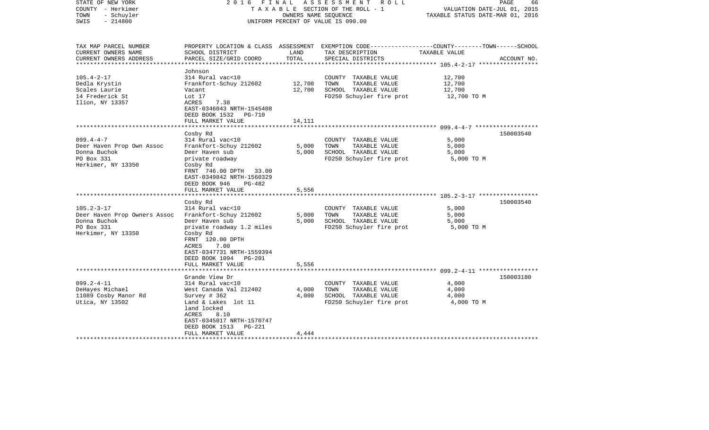| STATE OF NEW YORK<br>COUNTY - Herkimer<br>- Schuyler<br>TOWN<br>$-214800$<br>SWIS                    | 2016 FINAL                                                                                                                                                                                                      | OWNERS NAME SEOUENCE       | ASSESSMENT ROLL<br>T A X A B L E SECTION OF THE ROLL - 1<br>UNIFORM PERCENT OF VALUE IS 090.00                                           | VALUATION DATE-JUL 01, 2015<br>TAXABLE STATUS DATE-MAR 01, 2016 | PAGE<br>66  |
|------------------------------------------------------------------------------------------------------|-----------------------------------------------------------------------------------------------------------------------------------------------------------------------------------------------------------------|----------------------------|------------------------------------------------------------------------------------------------------------------------------------------|-----------------------------------------------------------------|-------------|
| TAX MAP PARCEL NUMBER<br>CURRENT OWNERS NAME<br>CURRENT OWNERS ADDRESS<br>***********************    | SCHOOL DISTRICT<br>PARCEL SIZE/GRID COORD                                                                                                                                                                       | LAND<br>TOTAL              | PROPERTY LOCATION & CLASS ASSESSMENT EXEMPTION CODE----------------COUNTY-------TOWN------SCHOOL<br>TAX DESCRIPTION<br>SPECIAL DISTRICTS | TAXABLE VALUE                                                   | ACCOUNT NO. |
| $105.4 - 2 - 17$<br>Dedla Krystin<br>Scales Laurie<br>14 Frederick St<br>Ilion, NY 13357             | Johnson<br>314 Rural vac<10<br>Frankfort-Schuy 212602<br>Vacant<br>Lot 17<br>ACRES<br>7.38<br>EAST-0346043 NRTH-1545408<br>DEED BOOK 1532 PG-710<br>FULL MARKET VALUE                                           | 12,700<br>12,700<br>14,111 | COUNTY TAXABLE VALUE<br>TOWN<br>TAXABLE VALUE<br>SCHOOL TAXABLE VALUE<br>FD250 Schuyler fire prot                                        | 12,700<br>12,700<br>12,700<br>12,700 TO M                       |             |
|                                                                                                      |                                                                                                                                                                                                                 |                            |                                                                                                                                          |                                                                 |             |
| $099.4 - 4 - 7$<br>Deer Haven Prop Own Assoc<br>Donna Buchok<br>PO Box 331<br>Herkimer, NY 13350     | Cosby Rd<br>314 Rural vac<10<br>Frankfort-Schuy 212602<br>Deer Haven sub<br>private roadway<br>Cosby Rd<br>FRNT 746.00 DPTH 33.00<br>EAST-0349842 NRTH-1560329                                                  | 5,000<br>5,000             | COUNTY TAXABLE VALUE<br>TOWN<br>TAXABLE VALUE<br>SCHOOL TAXABLE VALUE<br>FD250 Schuyler fire prot                                        | 5,000<br>5,000<br>5,000<br>5,000 TO M                           | 150003540   |
| **************************                                                                           | DEED BOOK 946<br>PG-482<br>FULL MARKET VALUE<br>*************************                                                                                                                                       | 5,556                      |                                                                                                                                          |                                                                 |             |
| $105.2 - 3 - 17$<br>Deer Haven Prop Owners Assoc<br>Donna Buchok<br>PO Box 331<br>Herkimer, NY 13350 | Cosby Rd<br>314 Rural vac<10<br>Frankfort-Schuy 212602<br>Deer Haven sub<br>private roadway 1.2 miles<br>Cosby Rd<br>FRNT 120.00 DPTH<br>7.00<br>ACRES<br>EAST-0347731 NRTH-1559394<br>DEED BOOK 1094<br>PG-201 | 5,000<br>5,000             | COUNTY TAXABLE VALUE<br>TOWN<br>TAXABLE VALUE<br>SCHOOL TAXABLE VALUE<br>FD250 Schuyler fire prot                                        | 5,000<br>5,000<br>5,000<br>5,000 TO M                           | 150003540   |
|                                                                                                      | FULL MARKET VALUE<br>*********************                                                                                                                                                                      | 5,556                      |                                                                                                                                          |                                                                 |             |
| $099.2 - 4 - 11$<br>DeHayes Michael<br>11089 Cosby Manor Rd                                          | Grande View Dr<br>314 Rural vac<10<br>West Canada Val 212402<br>Survey $#362$                                                                                                                                   | 4,000<br>4,000             | COUNTY TAXABLE VALUE<br>TOWN<br>TAXABLE VALUE<br>SCHOOL TAXABLE VALUE                                                                    | 4,000<br>4,000<br>4,000                                         | 150003180   |
| Utica, NY 13502<br>******************                                                                | Land & Lakes lot 11<br>land locked<br>ACRES<br>8.10<br>EAST-0345017 NRTH-1570747<br>DEED BOOK 1513<br><b>PG-221</b><br>FULL MARKET VALUE                                                                        | 4,444                      | FD250 Schuyler fire prot                                                                                                                 | 4,000 TO M                                                      |             |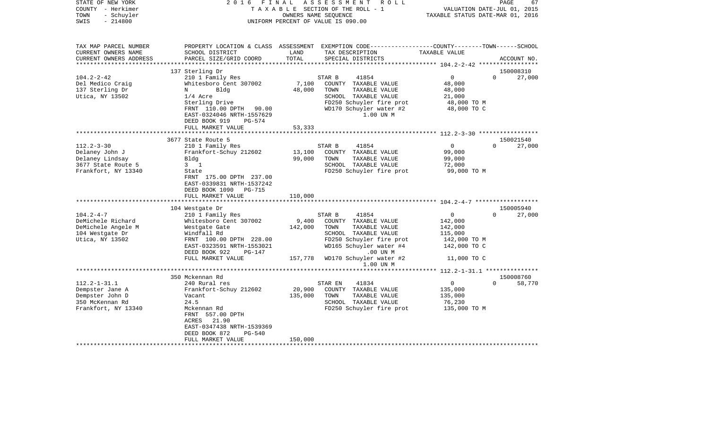| STATE OF NEW YORK<br>COUNTY - Herkimer<br>- Schuyler<br>TOWN<br>$-214800$<br>SWIS | 2 0 1 6<br>FINAL                                                               | OWNERS NAME SEQUENCE | ASSESSMENT<br>R O L L<br>TAXABLE SECTION OF THE ROLL - 1<br>UNIFORM PERCENT OF VALUE IS 090.00                                          | TAXABLE STATUS DATE-MAR 01, 2016                     | PAGE<br>67<br>VALUATION DATE-JUL 01, 2015 |
|-----------------------------------------------------------------------------------|--------------------------------------------------------------------------------|----------------------|-----------------------------------------------------------------------------------------------------------------------------------------|------------------------------------------------------|-------------------------------------------|
| TAX MAP PARCEL NUMBER<br>CURRENT OWNERS NAME<br>CURRENT OWNERS ADDRESS            | SCHOOL DISTRICT<br>PARCEL SIZE/GRID COORD                                      | LAND<br>TOTAL        | PROPERTY LOCATION & CLASS ASSESSMENT EXEMPTION CODE---------------COUNTY-------TOWN------SCHOOL<br>TAX DESCRIPTION<br>SPECIAL DISTRICTS | TAXABLE VALUE                                        | ACCOUNT NO.                               |
|                                                                                   |                                                                                |                      |                                                                                                                                         |                                                      |                                           |
|                                                                                   | 137 Sterling Dr                                                                |                      |                                                                                                                                         |                                                      | 150008310                                 |
| $104.2 - 2 - 42$                                                                  | 210 1 Family Res                                                               |                      | 41854<br>STAR B                                                                                                                         | $\overline{0}$                                       | 27,000<br>$\Omega$                        |
| Del Medico Craig                                                                  | Whitesboro Cent 307002                                                         | 7,100                | COUNTY TAXABLE VALUE                                                                                                                    | 48,000                                               |                                           |
| 137 Sterling Dr                                                                   | Bldg<br>N                                                                      | 48,000               | TOWN<br>TAXABLE VALUE                                                                                                                   | 48,000                                               |                                           |
| Utica, NY 13502                                                                   | $1/4$ Acre                                                                     |                      | SCHOOL TAXABLE VALUE                                                                                                                    | 21,000                                               |                                           |
|                                                                                   | Sterling Drive                                                                 |                      | FD250 Schuyler fire prot                                                                                                                | 48,000 TO M                                          |                                           |
|                                                                                   | FRNT 110.00 DPTH 90.00                                                         |                      | WD170 Schuyler water #2<br>1.00 UN M                                                                                                    | 48,000 TO C                                          |                                           |
|                                                                                   | EAST-0324046 NRTH-1557629                                                      |                      |                                                                                                                                         |                                                      |                                           |
|                                                                                   | DEED BOOK 919<br>PG-574                                                        |                      |                                                                                                                                         |                                                      |                                           |
|                                                                                   | FULL MARKET VALUE                                                              | 53,333               |                                                                                                                                         |                                                      |                                           |
|                                                                                   | 3677 State Route 5                                                             |                      |                                                                                                                                         |                                                      | 150021540                                 |
| $112.2 - 3 - 30$                                                                  | 210 1 Family Res                                                               |                      | STAR B<br>41854                                                                                                                         | $\overline{0}$                                       | $\Omega$<br>27,000                        |
| Delaney John J                                                                    | Frankfort-Schuy 212602                                                         | 13,100               | COUNTY TAXABLE VALUE                                                                                                                    | 99,000                                               |                                           |
| Delaney Lindsay                                                                   | Bldg                                                                           | 99,000               | TOWN<br>TAXABLE VALUE                                                                                                                   | 99,000                                               |                                           |
| 3677 State Route 5                                                                | $3 \quad 1$                                                                    |                      | SCHOOL TAXABLE VALUE                                                                                                                    | 72,000                                               |                                           |
| Frankfort, NY 13340                                                               | State                                                                          |                      | FD250 Schuyler fire prot                                                                                                                | 99,000 TO M                                          |                                           |
|                                                                                   | FRNT 175.00 DPTH 237.00<br>EAST-0339831 NRTH-1537242                           |                      |                                                                                                                                         |                                                      |                                           |
|                                                                                   | DEED BOOK 1090 PG-715                                                          |                      |                                                                                                                                         |                                                      |                                           |
|                                                                                   | FULL MARKET VALUE                                                              | 110,000              |                                                                                                                                         |                                                      |                                           |
|                                                                                   |                                                                                |                      |                                                                                                                                         |                                                      |                                           |
| $104.2 - 4 - 7$                                                                   | 104 Westgate Dr                                                                |                      |                                                                                                                                         | $\mathbf 0$                                          | 150005940<br>$\Omega$                     |
| DeMichele Richard                                                                 | 210 1 Family Res<br>Whitesboro Cent 307002                                     | 9,400                | 41854<br>STAR B<br>COUNTY TAXABLE VALUE                                                                                                 | 142,000                                              | 27,000                                    |
| DeMichele Angele M                                                                |                                                                                | 142,000              | TOWN<br>TAXABLE VALUE                                                                                                                   | 142,000                                              |                                           |
| 104 Westgate Dr                                                                   | Westgate Gate<br>Windfall Rd                                                   |                      | SCHOOL TAXABLE VALUE                                                                                                                    | 115,000                                              |                                           |
| Utica, NY 13502                                                                   | FRNT 100.00 DPTH 228.00                                                        |                      | FD250 Schuyler fire prot                                                                                                                | 142,000 TO M                                         |                                           |
|                                                                                   | EAST-0323591 NRTH-1553021                                                      |                      | WD165 Schuyler water #4                                                                                                                 | 142,000 TO C                                         |                                           |
|                                                                                   | DEED BOOK 922<br>PG-147                                                        |                      | $.00$ UN M                                                                                                                              |                                                      |                                           |
|                                                                                   | FULL MARKET VALUE                                                              | 157,778              | WD170 Schuyler water #2<br>1.00 UN M                                                                                                    | 11,000 TO C                                          |                                           |
|                                                                                   |                                                                                |                      |                                                                                                                                         | ********************** 112.2-1-31.1 **************** |                                           |
|                                                                                   | 350 Mckennan Rd                                                                |                      |                                                                                                                                         |                                                      | 150008760                                 |
| $112.2 - 1 - 31.1$                                                                | 240 Rural res                                                                  |                      | 41834<br>STAR EN                                                                                                                        | $\overline{0}$                                       | $\Omega$<br>58,770                        |
| Dempster Jane A                                                                   | Frankfort-Schuy 212602                                                         | 20,900               | COUNTY TAXABLE VALUE                                                                                                                    | 135,000                                              |                                           |
| Dempster John D                                                                   | Vacant                                                                         | 135,000              | TOWN<br>TAXABLE VALUE                                                                                                                   | 135,000                                              |                                           |
| 350 McKennan Rd                                                                   | 24.5                                                                           |                      | SCHOOL TAXABLE VALUE                                                                                                                    | 76,230                                               |                                           |
| Frankfort, NY 13340                                                               | Mckennan Rd<br>FRNT 557.00 DPTH<br>ACRES<br>21.90<br>EAST-0347438 NRTH-1539369 |                      | FD250 Schuyler fire prot                                                                                                                | 135,000 TO M                                         |                                           |
|                                                                                   | DEED BOOK 872<br>$PG-540$<br>FULL MARKET VALUE                                 | 150,000              |                                                                                                                                         |                                                      |                                           |
|                                                                                   |                                                                                |                      |                                                                                                                                         |                                                      |                                           |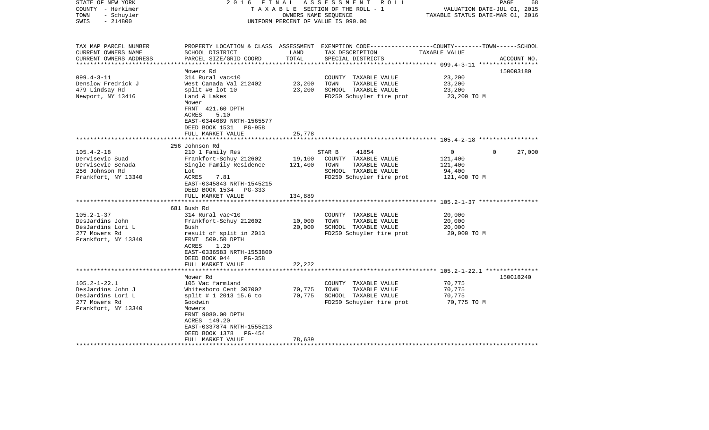| STATE OF NEW YORK<br>COUNTY - Herkimer<br>- Schuyler<br>TOWN<br>$-214800$<br>SWIS                   | FINAL<br>2016                                                                                                                            | OWNERS NAME SEQUENCE | ASSESSMENT ROLL<br>TAXABLE SECTION OF THE ROLL - 1<br>UNIFORM PERCENT OF VALUE IS 090.00                                                 | VALUATION DATE-JUL 01, 2015<br>TAXABLE STATUS DATE-MAR 01, 2016 | PAGE<br>68  |
|-----------------------------------------------------------------------------------------------------|------------------------------------------------------------------------------------------------------------------------------------------|----------------------|------------------------------------------------------------------------------------------------------------------------------------------|-----------------------------------------------------------------|-------------|
| TAX MAP PARCEL NUMBER<br>CURRENT OWNERS NAME<br>CURRENT OWNERS ADDRESS<br>************************* | SCHOOL DISTRICT<br>PARCEL SIZE/GRID COORD                                                                                                | LAND<br>TOTAL        | PROPERTY LOCATION & CLASS ASSESSMENT EXEMPTION CODE----------------COUNTY-------TOWN------SCHOOL<br>TAX DESCRIPTION<br>SPECIAL DISTRICTS | TAXABLE VALUE                                                   | ACCOUNT NO. |
|                                                                                                     | Mowers Rd                                                                                                                                |                      |                                                                                                                                          |                                                                 | 150003180   |
| $099.4 - 3 - 11$                                                                                    | 314 Rural vac<10                                                                                                                         |                      | COUNTY TAXABLE VALUE                                                                                                                     | 23,200                                                          |             |
| Denslow Fredrick J                                                                                  | West Canada Val 212402                                                                                                                   | 23,200               | TOWN<br>TAXABLE VALUE                                                                                                                    | 23,200                                                          |             |
| 479 Lindsay Rd                                                                                      | split #6 lot 10                                                                                                                          | 23,200               | SCHOOL TAXABLE VALUE                                                                                                                     | 23,200                                                          |             |
| Newport, NY 13416                                                                                   | Land & Lakes<br>Mower<br>FRNT 421.60 DPTH<br>ACRES<br>5.10<br>EAST-0344089 NRTH-1565577<br>DEED BOOK 1531<br>PG-958<br>FULL MARKET VALUE | 25,778               | FD250 Schuyler fire prot                                                                                                                 | 23,200 TO M                                                     |             |
|                                                                                                     |                                                                                                                                          |                      |                                                                                                                                          |                                                                 |             |
|                                                                                                     | 256 Johnson Rd                                                                                                                           |                      |                                                                                                                                          | $\Omega$                                                        |             |
| $105.4 - 2 - 18$<br>Dervisevic Suad                                                                 | 210 1 Family Res<br>Frankfort-Schuy 212602                                                                                               | 19,100               | 41854<br>STAR B<br>COUNTY TAXABLE VALUE                                                                                                  | 0<br>121,400                                                    | 27,000      |
| Dervisevic Senada                                                                                   | Single Family Residence                                                                                                                  | 121,400              | TAXABLE VALUE<br>TOWN                                                                                                                    | 121,400                                                         |             |
| 256 Johnson Rd                                                                                      | Lot                                                                                                                                      |                      | SCHOOL TAXABLE VALUE                                                                                                                     | 94,400                                                          |             |
| Frankfort, NY 13340                                                                                 | ACRES<br>7.81<br>EAST-0345843 NRTH-1545215<br>DEED BOOK 1534 PG-333                                                                      |                      | FD250 Schuyler fire prot                                                                                                                 | 121,400 TO M                                                    |             |
|                                                                                                     | FULL MARKET VALUE<br>***********************                                                                                             | 134,889<br>********* |                                                                                                                                          | **************************** 105.2-1-37 *****************       |             |
|                                                                                                     | 681 Bush Rd                                                                                                                              |                      |                                                                                                                                          |                                                                 |             |
| $105.2 - 1 - 37$                                                                                    | 314 Rural vac<10                                                                                                                         |                      | COUNTY TAXABLE VALUE                                                                                                                     | 20,000                                                          |             |
| DesJardins John                                                                                     | Frankfort-Schuy 212602                                                                                                                   | 10,000               | TOWN<br>TAXABLE VALUE                                                                                                                    | 20,000                                                          |             |
| DesJardins Lori L                                                                                   | Bush                                                                                                                                     | 20,000               | SCHOOL TAXABLE VALUE                                                                                                                     | 20,000                                                          |             |
| 277 Mowers Rd<br>Frankfort, NY 13340                                                                | result of split in 2013<br>FRNT 509.50 DPTH<br>ACRES<br>1.20<br>EAST-0336583 NRTH-1553800<br>DEED BOOK 944<br><b>PG-358</b>              |                      | FD250 Schuyler fire prot                                                                                                                 | 20,000 TO M                                                     |             |
|                                                                                                     | FULL MARKET VALUE                                                                                                                        | 22,222               |                                                                                                                                          |                                                                 |             |
|                                                                                                     |                                                                                                                                          |                      |                                                                                                                                          | **************** 105.2-1-22.1 **********                        |             |
| $105.2 - 1 - 22.1$                                                                                  | Mower Rd<br>105 Vac farmland                                                                                                             |                      | COUNTY TAXABLE VALUE                                                                                                                     | 70,775                                                          | 150018240   |
| DesJardins John J                                                                                   | Whitesboro Cent 307002                                                                                                                   | 70,775               | TOWN<br>TAXABLE VALUE                                                                                                                    | 70,775                                                          |             |
| DesJardins Lori L                                                                                   | split # 1 2013 15.6 to                                                                                                                   | 70,775               | SCHOOL TAXABLE VALUE                                                                                                                     | 70,775                                                          |             |
| 277 Mowers Rd                                                                                       | Goodwin                                                                                                                                  |                      | FD250 Schuyler fire prot                                                                                                                 | 70,775 TO M                                                     |             |
| Frankfort, NY 13340                                                                                 | Mowers<br>FRNT 9080.00 DPTH<br>ACRES 149.20<br>EAST-0337874 NRTH-1555213<br>DEED BOOK 1378<br>PG-454                                     |                      |                                                                                                                                          |                                                                 |             |
|                                                                                                     | FULL MARKET VALUE                                                                                                                        | 78,639               |                                                                                                                                          |                                                                 |             |
|                                                                                                     |                                                                                                                                          |                      |                                                                                                                                          |                                                                 |             |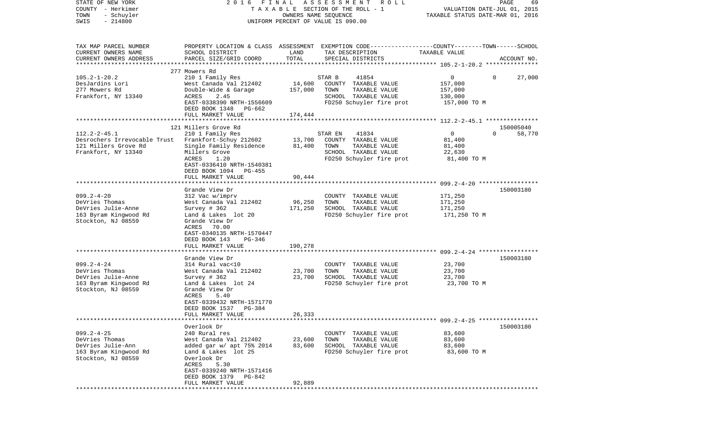| COUNTY<br>– Herkimer<br>TOWN<br>- Schuyler<br>$-214800$<br>SWIS | T A X A B L E SECTION OF THE ROLL - 1<br>UNIFORM PERCENT OF VALUE IS 090.00                     |         | VALUATION DATE-JUL 01, 2015<br>TAXABLE STATUS DATE-MAR 01, 2016 |                |                    |
|-----------------------------------------------------------------|-------------------------------------------------------------------------------------------------|---------|-----------------------------------------------------------------|----------------|--------------------|
|                                                                 |                                                                                                 |         |                                                                 |                |                    |
| TAX MAP PARCEL NUMBER                                           | PROPERTY LOCATION & CLASS ASSESSMENT EXEMPTION CODE---------------COUNTY-------TOWN------SCHOOL |         |                                                                 |                |                    |
| CURRENT OWNERS NAME                                             | SCHOOL DISTRICT                                                                                 | LAND    | TAX DESCRIPTION                                                 | TAXABLE VALUE  |                    |
| CURRENT OWNERS ADDRESS<br>*************************             | PARCEL SIZE/GRID COORD                                                                          | TOTAL   | SPECIAL DISTRICTS                                               |                | ACCOUNT NO.        |
|                                                                 | 277 Mowers Rd                                                                                   |         |                                                                 |                |                    |
| $105.2 - 1 - 20.2$                                              | 210 1 Family Res                                                                                |         | 41854<br>STAR B                                                 | $\overline{0}$ | $\Omega$<br>27,000 |
| DesJardins Lori                                                 | West Canada Val 212402                                                                          | 14,600  | COUNTY TAXABLE VALUE                                            | 157,000        |                    |
| 277 Mowers Rd                                                   | Double-Wide & Garage                                                                            | 157,000 | TOWN<br>TAXABLE VALUE                                           | 157,000        |                    |
| Frankfort, NY 13340                                             | ACRES<br>2.45                                                                                   |         | SCHOOL TAXABLE VALUE                                            | 130,000        |                    |
|                                                                 | EAST-0338390 NRTH-1556609<br>DEED BOOK 1348<br>PG-662                                           |         | FD250 Schuyler fire prot                                        | 157,000 TO M   |                    |
|                                                                 | FULL MARKET VALUE                                                                               | 174,444 |                                                                 |                |                    |
|                                                                 |                                                                                                 |         |                                                                 |                |                    |
|                                                                 | 121 Millers Grove Rd                                                                            |         |                                                                 |                | 150005040          |
| $112.2 - 2 - 45.1$                                              | 210 1 Family Res                                                                                |         | 41834<br>STAR EN                                                | 0              | $\Omega$<br>58,770 |
| Desrochers Irrevocable Trust Frankfort-Schuy 212602             |                                                                                                 | 13,700  | COUNTY TAXABLE VALUE                                            | 81,400         |                    |
| 121 Millers Grove Rd                                            | Single Family Residence                                                                         | 81,400  | TOWN<br>TAXABLE VALUE                                           | 81,400         |                    |
| Frankfort, NY 13340                                             | Millers Grove<br>ACRES<br>1.20                                                                  |         | SCHOOL TAXABLE VALUE<br>FD250 Schuyler fire prot                | 22,630         |                    |
|                                                                 | EAST-0336410 NRTH-1540381<br>DEED BOOK 1094<br><b>PG-455</b>                                    |         |                                                                 | 81,400 TO M    |                    |
|                                                                 | FULL MARKET VALUE                                                                               | 90,444  |                                                                 |                |                    |
|                                                                 |                                                                                                 |         |                                                                 |                |                    |
|                                                                 | Grande View Dr                                                                                  |         |                                                                 |                | 150003180          |
| $099.2 - 4 - 20$                                                | 312 Vac w/imprv                                                                                 |         | COUNTY TAXABLE VALUE                                            | 171,250        |                    |
| DeVries Thomas                                                  | West Canada Val 212402                                                                          | 96,250  | TOWN<br>TAXABLE VALUE                                           | 171,250        |                    |
| DeVries Julie-Anne                                              | Survey # 362                                                                                    | 171,250 | SCHOOL TAXABLE VALUE                                            | 171,250        |                    |
| 163 Byram Kingwood Rd<br>Stockton, NJ 08559                     | Land & Lakes lot 20<br>Grande View Dr<br>ACRES 70.00<br>EAST-0340135 NRTH-1570447               |         | FD250 Schuyler fire prot                                        | 171,250 TO M   |                    |
|                                                                 | DEED BOOK 143<br>PG-346                                                                         |         |                                                                 |                |                    |
|                                                                 | FULL MARKET VALUE                                                                               | 190,278 |                                                                 |                |                    |
|                                                                 | *******************                                                                             |         |                                                                 |                |                    |
|                                                                 | Grande View Dr                                                                                  |         |                                                                 |                | 150003180          |
| $099.2 - 4 - 24$                                                | 314 Rural vac<10                                                                                |         | COUNTY TAXABLE VALUE                                            | 23,700         |                    |
| DeVries Thomas                                                  | West Canada Val 212402                                                                          | 23,700  | TOWN<br>TAXABLE VALUE                                           | 23,700         |                    |
| DeVries Julie-Anne                                              | Survey $# 362$                                                                                  | 23,700  | SCHOOL TAXABLE VALUE                                            | 23,700         |                    |
| 163 Byram Kingwood Rd                                           | Land & Lakes lot 24                                                                             |         | FD250 Schuyler fire prot                                        | 23,700 TO M    |                    |
| Stockton, NJ 08559                                              | Grande View Dr                                                                                  |         |                                                                 |                |                    |
|                                                                 | ACRES<br>5.40                                                                                   |         |                                                                 |                |                    |
|                                                                 | EAST-0339432 NRTH-1571770                                                                       |         |                                                                 |                |                    |
|                                                                 | DEED BOOK 1537<br>$PG-384$                                                                      |         |                                                                 |                |                    |
|                                                                 | FULL MARKET VALUE                                                                               | 26,333  |                                                                 |                |                    |
|                                                                 | Overlook Dr                                                                                     |         |                                                                 |                | 150003180          |
| $099.2 - 4 - 25$                                                | 240 Rural res                                                                                   |         | COUNTY TAXABLE VALUE                                            | 83,600         |                    |
| DeVries Thomas                                                  | West Canada Val 212402                                                                          | 23,600  | TOWN<br>TAXABLE VALUE                                           | 83,600         |                    |
| DeVries Julie-Ann                                               | added gar w/ apt 75% 2014                                                                       | 83,600  | SCHOOL TAXABLE VALUE                                            | 83,600         |                    |
| 163 Byram Kingwood Rd                                           | Land & Lakes lot 25                                                                             |         | FD250 Schuyler fire prot                                        | 83,600 TO M    |                    |
| Stockton, NJ 08559                                              | Overlook Dr                                                                                     |         |                                                                 |                |                    |
|                                                                 | ACRES<br>5.30                                                                                   |         |                                                                 |                |                    |
|                                                                 | EAST-0339240 NRTH-1571416                                                                       |         |                                                                 |                |                    |
|                                                                 | DEED BOOK 1379<br>PG-842                                                                        |         |                                                                 |                |                    |
|                                                                 | FULL MARKET VALUE                                                                               | 92,889  |                                                                 |                |                    |
|                                                                 | **************************                                                                      |         |                                                                 |                |                    |

PAGE 69

STATE OF NEW YORK 2 0 1 6 F I N A L A S S E S S M E N T R O L L PAGE 69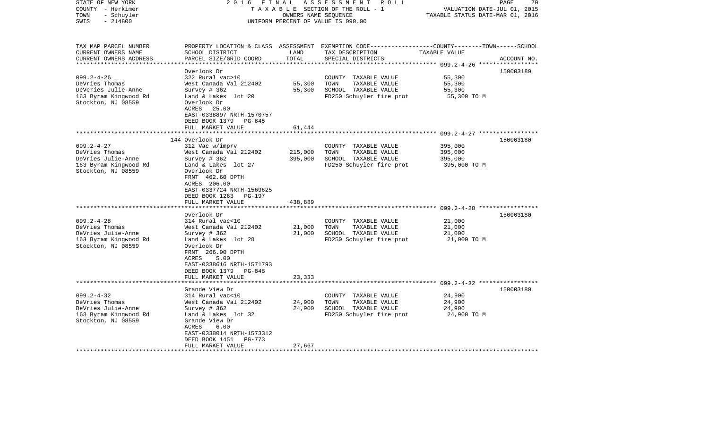| STATE OF NEW YORK<br>COUNTY - Herkimer<br>TOWN<br>- Schuyler<br>$-214800$<br>SWIS                        | 2 0 1 6<br>FINAL                                                                                                                                                                                                                            | OWNERS NAME SEQUENCE          | ASSESSMENT ROLL<br>TAXABLE SECTION OF THE ROLL - 1<br>UNIFORM PERCENT OF VALUE IS 090.00                                                | VALUATION DATE-JUL 01, 2015<br>TAXABLE STATUS DATE-MAR 01, 2016 | PAGE<br>70  |
|----------------------------------------------------------------------------------------------------------|---------------------------------------------------------------------------------------------------------------------------------------------------------------------------------------------------------------------------------------------|-------------------------------|-----------------------------------------------------------------------------------------------------------------------------------------|-----------------------------------------------------------------|-------------|
| TAX MAP PARCEL NUMBER<br>CURRENT OWNERS NAME<br>CURRENT OWNERS ADDRESS<br>*************************      | SCHOOL DISTRICT<br>PARCEL SIZE/GRID COORD                                                                                                                                                                                                   | LAND<br>TOTAL                 | PROPERTY LOCATION & CLASS ASSESSMENT EXEMPTION CODE---------------COUNTY-------TOWN------SCHOOL<br>TAX DESCRIPTION<br>SPECIAL DISTRICTS | TAXABLE VALUE                                                   | ACCOUNT NO. |
| $099.2 - 4 - 26$<br>DeVries Thomas<br>DeVeries Julie-Anne<br>163 Byram Kingwood Rd<br>Stockton, NJ 08559 | Overlook Dr<br>322 Rural vac>10<br>West Canada Val 212402<br>Survey $# 362$<br>Land & Lakes lot 20<br>Overlook Dr<br>ACRES 25.00<br>EAST-0338897 NRTH-1570757                                                                               | 55,300<br>55,300              | COUNTY TAXABLE VALUE<br>TOWN<br>TAXABLE VALUE<br>SCHOOL TAXABLE VALUE<br>FD250 Schuyler fire prot                                       | 55,300<br>55,300<br>55,300<br>55,300 TO M                       | 150003180   |
|                                                                                                          | DEED BOOK 1379<br>PG-845<br>FULL MARKET VALUE                                                                                                                                                                                               | 61,444                        | ***************************** 099.2-4-27 *****************                                                                              |                                                                 |             |
| $099.2 - 4 - 27$<br>DeVries Thomas<br>DeVries Julie-Anne<br>163 Byram Kingwood Rd<br>Stockton, NJ 08559  | 144 Overlook Dr<br>312 Vac w/imprv<br>West Canada Val 212402<br>Survey # 362<br>Land & Lakes lot 27<br>Overlook Dr<br>FRNT 462.60 DPTH<br>ACRES 206.00<br>EAST-0337724 NRTH-1569625<br>DEED BOOK 1263<br><b>PG-197</b><br>FULL MARKET VALUE | 215,000<br>395,000<br>438,889 | COUNTY TAXABLE VALUE<br>TOWN<br>TAXABLE VALUE<br>SCHOOL TAXABLE VALUE<br>FD250 Schuyler fire prot                                       | 395,000<br>395,000<br>395,000<br>395,000 TO M                   | 150003180   |
| $099.2 - 4 - 28$<br>DeVries Thomas<br>DeVries Julie-Anne<br>163 Byram Kingwood Rd<br>Stockton, NJ 08559  | Overlook Dr<br>314 Rural vac<10<br>West Canada Val 212402<br>Survey # 362<br>Land & Lakes lot 28<br>Overlook Dr<br>FRNT 266.90 DPTH<br>ACRES<br>5.00<br>EAST-0338616 NRTH-1571793                                                           | 21,000<br>21,000              | COUNTY TAXABLE VALUE<br>TOWN<br>TAXABLE VALUE<br>SCHOOL TAXABLE VALUE<br>FD250 Schuyler fire prot                                       | 21,000<br>21,000<br>21,000<br>21,000 TO M                       | 150003180   |
|                                                                                                          | DEED BOOK 1379<br>PG-848<br>FULL MARKET VALUE                                                                                                                                                                                               | 23,333                        |                                                                                                                                         |                                                                 |             |
| $099.2 - 4 - 32$<br>DeVries Thomas<br>DeVries Julie-Anne<br>163 Byram Kingwood Rd<br>Stockton, NJ 08559  | Grande View Dr<br>314 Rural vac<10<br>West Canada Val 212402<br>Survey # 362<br>Land & Lakes lot 32<br>Grande View Dr<br>ACRES<br>6.00<br>EAST-0338014 NRTH-1573312<br>DEED BOOK 1451<br>PG-773<br>FULL MARKET VALUE                        | 24,900<br>24,900<br>27,667    | COUNTY TAXABLE VALUE<br>TOWN<br>TAXABLE VALUE<br>SCHOOL TAXABLE VALUE<br>FD250 Schuyler fire prot                                       | 24,900<br>24,900<br>24,900<br>24,900 TO M                       | 150003180   |
|                                                                                                          |                                                                                                                                                                                                                                             |                               |                                                                                                                                         |                                                                 |             |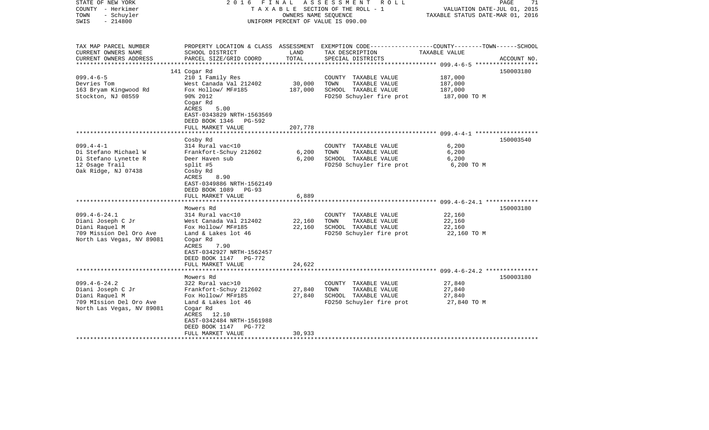| STATE OF NEW YORK<br>COUNTY - Herkimer<br>- Schuyler<br>TOWN<br>$-214800$<br>SWIS                                 | 2016 FINAL                                                                                                                                                                                                                           | OWNERS NAME SEQUENCE                        | A S S E S S M E N T A O L L<br>TAXABLE SECTION OF THE ROLL - 1<br>UNIFORM PERCENT OF VALUE IS 090.00                                     | VALUATION DATE-JUL 01, 2015<br>TAXABLE STATUS DATE-MAR 01, 2016 | 71<br>PAGE  |
|-------------------------------------------------------------------------------------------------------------------|--------------------------------------------------------------------------------------------------------------------------------------------------------------------------------------------------------------------------------------|---------------------------------------------|------------------------------------------------------------------------------------------------------------------------------------------|-----------------------------------------------------------------|-------------|
| TAX MAP PARCEL NUMBER<br>CURRENT OWNERS NAME<br>CURRENT OWNERS ADDRESS<br>**********************                  | SCHOOL DISTRICT<br>PARCEL SIZE/GRID COORD                                                                                                                                                                                            | LAND<br>TOTAL                               | PROPERTY LOCATION & CLASS ASSESSMENT EXEMPTION CODE----------------COUNTY-------TOWN------SCHOOL<br>TAX DESCRIPTION<br>SPECIAL DISTRICTS | TAXABLE VALUE                                                   | ACCOUNT NO. |
| $099.4 - 6 - 5$<br>Devries Tom<br>163 Bryam Kingwood Rd<br>Stockton, NJ 08559                                     | 141 Cogar Rd<br>210 1 Family Res<br>West Canada Val 212402<br>Fox Hollow/ MF#185<br>90% 2012<br>Cogar Rd<br>ACRES<br>5.00<br>EAST-0343829 NRTH-1563569<br>DEED BOOK 1346 PG-592<br>FULL MARKET VALUE                                 | 30,000<br>187,000<br>207,778                | COUNTY TAXABLE VALUE<br>TOWN<br>TAXABLE VALUE<br>SCHOOL TAXABLE VALUE<br>FD250 Schuyler fire prot                                        | 187,000<br>187,000<br>187,000<br>187,000 TO M                   | 150003180   |
|                                                                                                                   |                                                                                                                                                                                                                                      |                                             |                                                                                                                                          |                                                                 |             |
| $099.4 - 4 - 1$<br>Di Stefano Michael W<br>Di Stefano Lynette R<br>12 Osage Trail<br>Oak Ridge, NJ 07438          | Cosby Rd<br>314 Rural vac<10<br>Frankfort-Schuy 212602<br>Deer Haven sub<br>split #5<br>Cosby Rd<br>8.90<br>ACRES<br>EAST-0349886 NRTH-1562149<br>DEED BOOK 1089 PG-93<br>FULL MARKET VALUE                                          | 6,200<br>6,200<br>6,889                     | COUNTY TAXABLE VALUE<br>TOWN<br>TAXABLE VALUE<br>SCHOOL TAXABLE VALUE<br>FD250 Schuyler fire prot                                        | 6,200<br>6,200<br>6,200<br>6,200 TO M                           | 150003540   |
| $099.4 - 6 - 24.1$<br>Diani Joseph C Jr<br>Diani Raquel M<br>709 Mission Del Oro Ave<br>North Las Vegas, NV 89081 | ********************<br>Mowers Rd<br>314 Rural vac<10<br>West Canada Val 212402<br>Fox Hollow/ MF#185<br>Land & Lakes lot 46<br>Cogar Rd<br>ACRES<br>7.90<br>EAST-0342927 NRTH-1562457<br>DEED BOOK 1147 PG-772<br>FULL MARKET VALUE | *************<br>22,160<br>22,160<br>24,622 | COUNTY TAXABLE VALUE<br>TAXABLE VALUE<br>TOWN<br>SCHOOL TAXABLE VALUE<br>FD250 Schuyler fire prot                                        | 22,160<br>22,160<br>22,160<br>22,160 TO M                       | 150003180   |
|                                                                                                                   | ****************************                                                                                                                                                                                                         |                                             |                                                                                                                                          |                                                                 |             |
| $099.4 - 6 - 24.2$<br>Diani Joseph C Jr<br>Diani Raquel M<br>709 MIssion Del Oro Ave<br>North Las Vegas, NV 89081 | Mowers Rd<br>322 Rural vac>10<br>Frankfort-Schuy 212602<br>Fox Hollow/ MF#185<br>Land & Lakes lot 46<br>Cogar Rd<br>ACRES 12.10<br>EAST-0342484 NRTH-1561988<br>DEED BOOK 1147 PG-772<br>FULL MARKET VALUE                           | 27,840<br>27,840<br>30,933                  | COUNTY TAXABLE VALUE<br>TOWN<br>TAXABLE VALUE<br>SCHOOL TAXABLE VALUE<br>FD250 Schuyler fire prot                                        | 27,840<br>27,840<br>27,840<br>27,840 TO M                       | 150003180   |
|                                                                                                                   |                                                                                                                                                                                                                                      |                                             |                                                                                                                                          |                                                                 |             |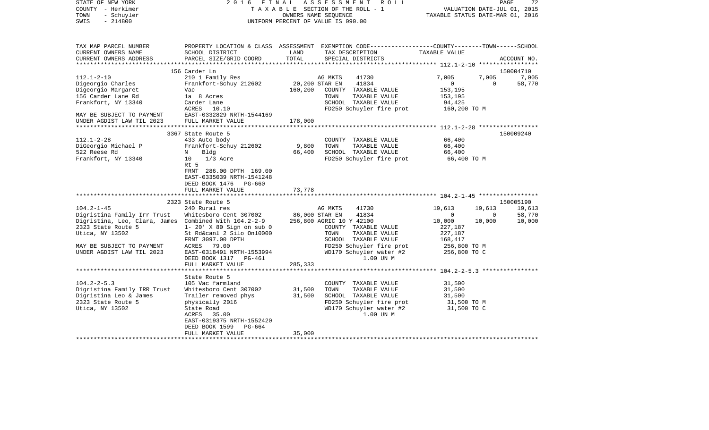| STATE OF NEW YORK<br>COUNTY - Herkimer<br>- Schuyler<br>TOWN<br>$-214800$<br>SWIS |                                                                                                            |                  | 2016 FINAL ASSESSMENT ROLL<br>TAXABLE SECTION OF THE ROLL - 1<br>OWNERS NAME SEQUENCE<br>UNIFORM PERCENT OF VALUE IS 090.00             | TAXABLE STATUS DATE-MAR 01, 2016 | PAGE<br>72<br>VALUATION DATE-JUL 01, 2015 |
|-----------------------------------------------------------------------------------|------------------------------------------------------------------------------------------------------------|------------------|-----------------------------------------------------------------------------------------------------------------------------------------|----------------------------------|-------------------------------------------|
| TAX MAP PARCEL NUMBER<br>CURRENT OWNERS NAME<br>CURRENT OWNERS ADDRESS            | SCHOOL DISTRICT<br>PARCEL SIZE/GRID COORD                                                                  | LAND<br>TOTAL    | PROPERTY LOCATION & CLASS ASSESSMENT EXEMPTION CODE----------------COUNTY-------TOWN-----SCHOOL<br>TAX DESCRIPTION<br>SPECIAL DISTRICTS | TAXABLE VALUE                    | ACCOUNT NO.                               |
| ***********************                                                           |                                                                                                            |                  |                                                                                                                                         |                                  |                                           |
|                                                                                   | 156 Carder Ln                                                                                              |                  |                                                                                                                                         |                                  | 150004710                                 |
| $112.1 - 2 - 10$                                                                  | 210 1 Family Res                                                                                           |                  | 41730<br>AG MKTS                                                                                                                        | 7,005                            | 7,005<br>7,005                            |
| Digeorgio Charles                                                                 | Frankfort-Schuy 212602                                                                                     | 20,200 STAR EN   | 41834                                                                                                                                   | $\overline{0}$                   | $\Omega$<br>58,770                        |
| Digeorgio Margaret                                                                | Vac                                                                                                        | 160,200          | COUNTY TAXABLE VALUE                                                                                                                    | 153,195                          |                                           |
| 156 Carder Lane Rd                                                                | la 8 Acres                                                                                                 |                  | TAXABLE VALUE<br>TOWN                                                                                                                   | 153,195                          |                                           |
| Frankfort, NY 13340                                                               | Carder Lane                                                                                                |                  | SCHOOL TAXABLE VALUE                                                                                                                    | 94,425                           |                                           |
| MAY BE SUBJECT TO PAYMENT                                                         | ACRES 10.10<br>EAST-0332829 NRTH-1544169                                                                   |                  | FD250 Schuyler fire prot                                                                                                                | 160,200 TO M                     |                                           |
| UNDER AGDIST LAW TIL 2023                                                         | FULL MARKET VALUE                                                                                          | 178,000          |                                                                                                                                         |                                  |                                           |
|                                                                                   |                                                                                                            |                  |                                                                                                                                         |                                  |                                           |
|                                                                                   | 3367 State Route 5                                                                                         |                  |                                                                                                                                         |                                  | 150009240                                 |
| $112.1 - 2 - 28$                                                                  | 433 Auto body                                                                                              |                  | COUNTY TAXABLE VALUE                                                                                                                    | 66,400                           |                                           |
| DiGeorgio Michael P                                                               | Frankfort-Schuy 212602                                                                                     | 9,800            | TOWN<br>TAXABLE VALUE                                                                                                                   | 66,400                           |                                           |
| 522 Reese Rd                                                                      | Bldg<br>N                                                                                                  | 66,400           | SCHOOL TAXABLE VALUE                                                                                                                    | 66,400                           |                                           |
| Frankfort, NY 13340                                                               | 10 1/3 Acre                                                                                                |                  | FD250 Schuyler fire prot                                                                                                                | 66,400 TO M                      |                                           |
|                                                                                   | Rt 5<br>FRNT 286.00 DPTH 169.00<br>EAST-0335039 NRTH-1541248<br>DEED BOOK 1476 PG-660<br>FULL MARKET VALUE | 73,778           |                                                                                                                                         |                                  |                                           |
|                                                                                   |                                                                                                            |                  |                                                                                                                                         |                                  |                                           |
|                                                                                   | 2323 State Route 5                                                                                         |                  |                                                                                                                                         |                                  | 150005190                                 |
| $104.2 - 1 - 45$                                                                  | 240 Rural res                                                                                              |                  | AG MKTS<br>41730                                                                                                                        | 19,613<br>19,613                 | 19,613                                    |
| Digristina Family Irr Trust                                                       | Whitesboro Cent 307002                                                                                     | 86,000 STAR EN   | 41834                                                                                                                                   | $\mathbf 0$                      | 58,770<br>$\overline{0}$                  |
| Digristina, Leo, Clara, James Combined With 104.2-2-9<br>2323 State Route 5       | $1 - 20'$ X 80 Sign on sub 0                                                                               |                  | 256,800 AGRIC 10 Y 42100<br>COUNTY TAXABLE VALUE                                                                                        | 10,000<br>10,000<br>227,187      | 10,000                                    |
| Utica, NY 13502                                                                   | St Rd&canl 2 Silo On10000                                                                                  |                  | TOWN<br>TAXABLE VALUE                                                                                                                   | 227,187                          |                                           |
|                                                                                   | FRNT 3097.00 DPTH                                                                                          |                  | SCHOOL TAXABLE VALUE                                                                                                                    | 168,417                          |                                           |
| MAY BE SUBJECT TO PAYMENT                                                         | ACRES 79.00                                                                                                |                  | FD250 Schuyler fire prot                                                                                                                |                                  |                                           |
| UNDER AGDIST LAW TIL 2023                                                         | EAST-0318491 NRTH-1553994                                                                                  |                  | WD170 Schuyler water #2                                                                                                                 | 256,800 TO M<br>256,800 TO C     |                                           |
|                                                                                   | DEED BOOK 1317 PG-461                                                                                      |                  | 1.00 UN M                                                                                                                               |                                  |                                           |
|                                                                                   | FULL MARKET VALUE                                                                                          | 285,333          |                                                                                                                                         |                                  |                                           |
|                                                                                   |                                                                                                            |                  |                                                                                                                                         |                                  |                                           |
|                                                                                   | State Route 5                                                                                              |                  |                                                                                                                                         |                                  |                                           |
| $104.2 - 2 - 5.3$                                                                 | 105 Vac farmland                                                                                           |                  | COUNTY TAXABLE VALUE                                                                                                                    | 31,500                           |                                           |
| Digristina Family IRR Trust<br>Digristina Leo & James                             | Whitesboro Cent 307002                                                                                     | 31,500<br>31,500 | TOWN<br>TAXABLE VALUE<br>SCHOOL TAXABLE VALUE                                                                                           | 31,500<br>31,500                 |                                           |
| 2323 State Route 5                                                                | Trailer removed phys<br>physically 2016                                                                    |                  | FD250 Schuyler fire prot                                                                                                                | 31,500 TO M                      |                                           |
| Utica, NY 13502                                                                   | State Road                                                                                                 |                  | WD170 Schuyler water #2                                                                                                                 | 31,500 TO C                      |                                           |
|                                                                                   | ACRES 35.00                                                                                                |                  | 1.00 UN M                                                                                                                               |                                  |                                           |
|                                                                                   | EAST-0319375 NRTH-1552420                                                                                  |                  |                                                                                                                                         |                                  |                                           |
|                                                                                   | DEED BOOK 1599 PG-664                                                                                      |                  |                                                                                                                                         |                                  |                                           |
|                                                                                   | FULL MARKET VALUE                                                                                          | 35,000           |                                                                                                                                         |                                  |                                           |
|                                                                                   |                                                                                                            |                  |                                                                                                                                         |                                  |                                           |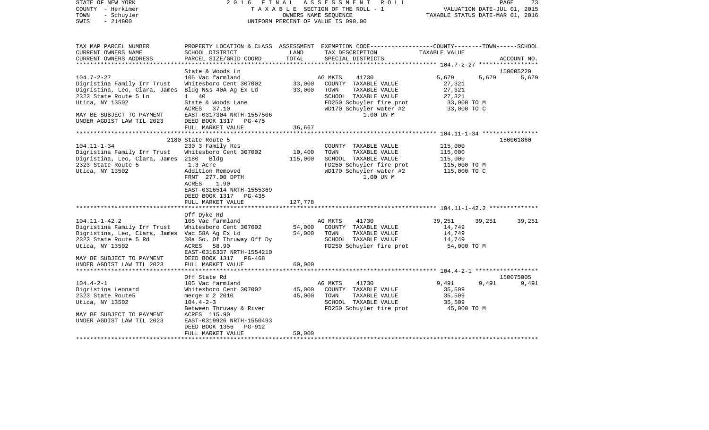| STATE OF NEW YORK<br>COUNTY - Herkimer<br>- Schuyler<br>TOWN<br>$-214800$<br>SWIS                                                                                                                                                                                                        | 2016 FINAL                                                                                                                                                                                                                                                                                                                |                                                  | A S S E S S M E N T<br>R O L L<br>TAXABLE SECTION OF THE ROLL - 1<br>OWNERS NAME SEQUENCE<br>UNIFORM PERCENT OF VALUE IS 090.00                                                                                                                                    | VALUATION DATE-JUL 01, 2015<br>TAXABLE STATUS DATE-MAR 01, 2016                                                                | PAGE<br>73          |
|------------------------------------------------------------------------------------------------------------------------------------------------------------------------------------------------------------------------------------------------------------------------------------------|---------------------------------------------------------------------------------------------------------------------------------------------------------------------------------------------------------------------------------------------------------------------------------------------------------------------------|--------------------------------------------------|--------------------------------------------------------------------------------------------------------------------------------------------------------------------------------------------------------------------------------------------------------------------|--------------------------------------------------------------------------------------------------------------------------------|---------------------|
| TAX MAP PARCEL NUMBER<br>CURRENT OWNERS NAME<br>CURRENT OWNERS ADDRESS<br>**********************                                                                                                                                                                                         | SCHOOL DISTRICT<br>PARCEL SIZE/GRID COORD                                                                                                                                                                                                                                                                                 | LAND<br>TOTAL                                    | PROPERTY LOCATION & CLASS ASSESSMENT EXEMPTION CODE----------------COUNTY-------TOWN------SCHOOL<br>TAX DESCRIPTION<br>SPECIAL DISTRICTS                                                                                                                           | TAXABLE VALUE                                                                                                                  | ACCOUNT NO.         |
|                                                                                                                                                                                                                                                                                          |                                                                                                                                                                                                                                                                                                                           |                                                  |                                                                                                                                                                                                                                                                    |                                                                                                                                |                     |
| $104.7 - 2 - 27$<br>Digristina Family Irr Trust<br>Digristina, Leo, Clara, James Bldg N&s 40A Ag Ex Ld<br>2323 State Route 5 Ln<br>Utica, NY 13502<br>MAY BE SUBJECT TO PAYMENT                                                                                                          | State & Woods Ln<br>105 Vac farmland<br>Whitesboro Cent 307002<br>$1 \quad 40$<br>State & Woods Lane<br>ACRES 37.10<br>EAST-0317304 NRTH-1557506                                                                                                                                                                          | 33,000<br>33,000                                 | AG MKTS<br>41730<br>COUNTY TAXABLE VALUE<br>TOWN<br>TAXABLE VALUE<br>SCHOOL TAXABLE VALUE<br>FD250 Schuyler fire prot<br>WD170 Schuyler water #2<br>1.00 UN M                                                                                                      | 5,679<br>5,679<br>27,321<br>27,321<br>27,321<br>33,000 TO M<br>33,000 TO C                                                     | 150005220<br>5,679  |
| UNDER AGDIST LAW TIL 2023                                                                                                                                                                                                                                                                | DEED BOOK 1317 PG-475<br>FULL MARKET VALUE                                                                                                                                                                                                                                                                                | 36,667                                           |                                                                                                                                                                                                                                                                    |                                                                                                                                |                     |
|                                                                                                                                                                                                                                                                                          |                                                                                                                                                                                                                                                                                                                           |                                                  |                                                                                                                                                                                                                                                                    |                                                                                                                                |                     |
| $104.11 - 1 - 34$<br>Digristina Family Irr Trust<br>Digristina, Leo, Clara, James 2180 Bldg<br>2323 State Route 5<br>Utica, NY 13502<br>$104.11 - 1 - 42.2$<br>Digristina Family Irr Trust<br>Digristina, Leo, Clara, James Vac 58A Ag Ex Ld<br>2323 State Route 5 Rd<br>Utica, NY 13502 | 2180 State Route 5<br>230 3 Family Res<br>Whitesboro Cent 307002<br>1.3 Acre<br>Addition Removed<br>FRNT 277.00 DPTH<br>ACRES<br>1.90<br>EAST-0316514 NRTH-1555369<br>DEED BOOK 1317 PG-435<br>FULL MARKET VALUE<br>Off Dyke Rd<br>105 Vac farmland<br>Whitesboro Cent 307002<br>30a So. Of Thruway Off Dy<br>ACRES 58.90 | 10,400<br>115,000<br>127,778<br>54,000<br>54,000 | COUNTY TAXABLE VALUE<br>TOWN<br>TAXABLE VALUE<br>SCHOOL TAXABLE VALUE<br>FD250 Schuyler fire prot<br>WD170 Schuyler water #2<br>1.00 UN M<br>41730<br>AG MKTS<br>COUNTY TAXABLE VALUE<br>TOWN<br>TAXABLE VALUE<br>SCHOOL TAXABLE VALUE<br>FD250 Schuyler fire prot | 115,000<br>115,000<br>115,000<br>115,000 TO M<br>115,000 TO C<br>39,251<br>39,251<br>14,749<br>14,749<br>14,749<br>54,000 TO M | 150001860<br>39,251 |
| MAY BE SUBJECT TO PAYMENT<br>UNDER AGDIST LAW TIL 2023                                                                                                                                                                                                                                   | EAST-0316337 NRTH-1554210<br>DEED BOOK 1317 PG-468<br>FULL MARKET VALUE                                                                                                                                                                                                                                                   | 60,000                                           |                                                                                                                                                                                                                                                                    |                                                                                                                                |                     |
|                                                                                                                                                                                                                                                                                          | Off State Rd                                                                                                                                                                                                                                                                                                              |                                                  |                                                                                                                                                                                                                                                                    |                                                                                                                                | 150075005           |
| $104.4 - 2 - 1$<br>Digristina Leonard<br>2323 State Route5<br>Utica, NY 13502<br>MAY BE SUBJECT TO PAYMENT<br>UNDER AGDIST LAW TIL 2023                                                                                                                                                  | 105 Vac farmland<br>Whitesboro Cent 307002<br>merge $# 2 2010$<br>$104.4 - 2 - 3$<br>Between Thruway & River<br>ACRES 115.90<br>EAST-0319926 NRTH-1550493<br>DEED BOOK 1356<br>PG-912                                                                                                                                     | 45,000<br>45,000                                 | AG MKTS<br>41730<br>COUNTY TAXABLE VALUE<br>TOWN<br>TAXABLE VALUE<br>SCHOOL TAXABLE VALUE<br>FD250 Schuyler fire prot                                                                                                                                              | 9,491<br>9,491<br>35,509<br>35,509<br>35,509<br>45,000 TO M                                                                    | 9,491               |
|                                                                                                                                                                                                                                                                                          | FULL MARKET VALUE                                                                                                                                                                                                                                                                                                         | 50,000                                           |                                                                                                                                                                                                                                                                    |                                                                                                                                |                     |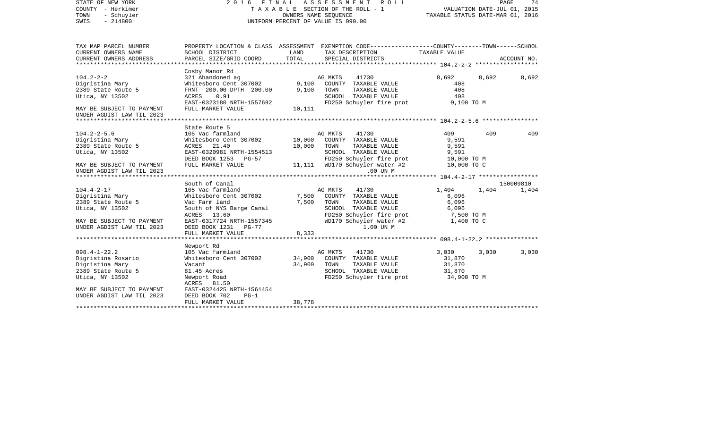| STATE OF NEW YORK<br>COUNTY - Herkimer<br>- Schuyler<br>TOWN<br>$-214800$<br>SWIS                                                      | 2016 FINAL                                                                                                                                                                                              | TAXABLE SECTION OF THE ROLL - 1<br>OWNERS NAME SEQUENCE<br>UNIFORM PERCENT OF VALUE IS 090.00 | ASSESSMENT      | ROLL                                                                                                                                       | TAXABLE STATUS DATE-MAR 01, 2016                             | VALUATION DATE-JUL 01, 2015 | PAGE<br>74         |
|----------------------------------------------------------------------------------------------------------------------------------------|---------------------------------------------------------------------------------------------------------------------------------------------------------------------------------------------------------|-----------------------------------------------------------------------------------------------|-----------------|--------------------------------------------------------------------------------------------------------------------------------------------|--------------------------------------------------------------|-----------------------------|--------------------|
| TAX MAP PARCEL NUMBER<br>CURRENT OWNERS NAME<br>CURRENT OWNERS ADDRESS                                                                 | PROPERTY LOCATION & CLASS ASSESSMENT EXEMPTION CODE---------------COUNTY-------TOWN------SCHOOL<br>SCHOOL DISTRICT<br>PARCEL SIZE/GRID COORD                                                            | LAND<br>TOTAL                                                                                 |                 | TAX DESCRIPTION<br>SPECIAL DISTRICTS                                                                                                       | TAXABLE VALUE                                                |                             | ACCOUNT NO.        |
| ***********************                                                                                                                |                                                                                                                                                                                                         |                                                                                               |                 |                                                                                                                                            |                                                              |                             |                    |
| $104.2 - 2 - 2$<br>Digristina Mary<br>2389 State Route 5<br>Utica, NY 13502                                                            | Cosby Manor Rd<br>321 Abandoned ag<br>Whitesboro Cent 307002<br>FRNT 200.00 DPTH 200.00<br><b>ACRES</b><br>0.91<br>EAST-0323180 NRTH-1557692                                                            | 9,100<br>9,100                                                                                | AG MKTS<br>TOWN | 41730<br>COUNTY TAXABLE VALUE<br>TAXABLE VALUE<br>SCHOOL TAXABLE VALUE<br>FD250 Schuyler fire prot                                         | 8,692<br>408<br>408<br>408<br>9,100 TO M                     | 8,692                       | 8,692              |
| MAY BE SUBJECT TO PAYMENT                                                                                                              | FULL MARKET VALUE                                                                                                                                                                                       | 10,111                                                                                        |                 |                                                                                                                                            |                                                              |                             |                    |
| UNDER AGDIST LAW TIL 2023                                                                                                              |                                                                                                                                                                                                         |                                                                                               |                 |                                                                                                                                            |                                                              |                             |                    |
|                                                                                                                                        |                                                                                                                                                                                                         |                                                                                               |                 |                                                                                                                                            |                                                              |                             |                    |
| $104.2 - 2 - 5.6$<br>Digristina Mary<br>2389 State Route 5                                                                             | State Route 5<br>105 Vac farmland<br>Whitesboro Cent 307002<br>ACRES 21.40                                                                                                                              | 10,000<br>10,000                                                                              | AG MKTS<br>TOWN | 41730<br>COUNTY TAXABLE VALUE<br>TAXABLE VALUE                                                                                             | 409<br>9,591<br>9,591                                        | 409                         | 409                |
| Utica, NY 13502<br>MAY BE SUBJECT TO PAYMENT<br>UNDER AGDIST LAW TIL 2023                                                              | EAST-0320981 NRTH-1554513<br>DEED BOOK 1253<br>$PG-57$<br>FULL MARKET VALUE                                                                                                                             | 11,111                                                                                        |                 | SCHOOL TAXABLE VALUE<br>FD250 Schuyler fire prot<br>WD170 Schuyler water #2<br>$.00$ UN M                                                  | 9,591<br>10,000 TO M<br>10,000 TO C                          |                             |                    |
|                                                                                                                                        |                                                                                                                                                                                                         |                                                                                               |                 |                                                                                                                                            |                                                              |                             |                    |
| $104.4 - 2 - 17$<br>Digristina Mary<br>2389 State Route 5<br>Utica, NY 13502<br>MAY BE SUBJECT TO PAYMENT<br>UNDER AGDIST LAW TIL 2023 | South of Canal<br>105 Vac farmland<br>Whitesboro Cent 307002<br>Vac Farm land<br>South of NYS Barge Canal<br>ACRES 13.60<br>EAST-0317724 NRTH-1557345<br>DEED BOOK 1231<br>$PG-77$<br>FULL MARKET VALUE | 7,500<br>7,500<br>8,333                                                                       | AG MKTS<br>TOWN | 41730<br>COUNTY TAXABLE VALUE<br>TAXABLE VALUE<br>SCHOOL TAXABLE VALUE<br>FD250 Schuyler fire prot<br>WD170 Schuyler water #2<br>1.00 UN M | 1,404<br>6,096<br>6,096<br>6,096<br>7,500 TO M<br>1,400 TO C | 1,404                       | 150009810<br>1,404 |
|                                                                                                                                        | ********************                                                                                                                                                                                    |                                                                                               |                 |                                                                                                                                            |                                                              |                             |                    |
| $098.4 - 1 - 22.2$<br>Digristina Rosario<br>Digristina Mary<br>2389 State Route 5<br>Utica, NY 13502                                   | Newport Rd<br>105 Vac farmland<br>Whitesboro Cent 307002<br>Vacant<br>81.45 Acres<br>Newport Road                                                                                                       | 34,900<br>34,900                                                                              | AG MKTS<br>TOWN | 41730<br>COUNTY TAXABLE VALUE<br>TAXABLE VALUE<br>SCHOOL TAXABLE VALUE<br>FD250 Schuyler fire prot                                         | 3,030<br>31,870<br>31,870<br>31,870<br>34,900 TO M           | 3,030                       | 3,030              |
| MAY BE SUBJECT TO PAYMENT<br>UNDER AGDIST LAW TIL 2023<br>************************                                                     | ACRES 81.50<br>EAST-0324425 NRTH-1561454<br>DEED BOOK 702<br>$PG-1$<br>FULL MARKET VALUE                                                                                                                | 38,778                                                                                        |                 |                                                                                                                                            |                                                              |                             |                    |
|                                                                                                                                        |                                                                                                                                                                                                         |                                                                                               |                 |                                                                                                                                            |                                                              |                             |                    |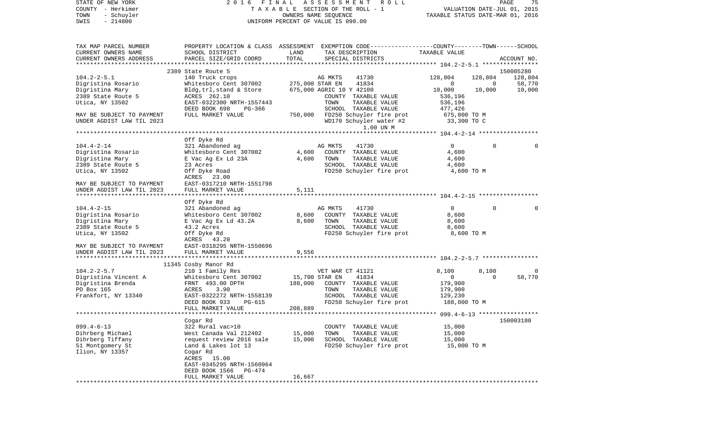| COUNTY<br>– Herkimer<br>TOWN<br>- Schuyler<br>SWIS<br>$-214800$ | T A X A B L E SECTION OF THE ROLL - 1<br>OWNERS NAME SEQUENCE<br>UNIFORM PERCENT OF VALUE IS 090.00 |                |                                                                                                 | VALUATION DATE-JUL 01, 2015<br>TAXABLE STATUS DATE-MAR 01, 2016 |                       |                   |
|-----------------------------------------------------------------|-----------------------------------------------------------------------------------------------------|----------------|-------------------------------------------------------------------------------------------------|-----------------------------------------------------------------|-----------------------|-------------------|
| TAX MAP PARCEL NUMBER                                           |                                                                                                     |                | PROPERTY LOCATION & CLASS ASSESSMENT EXEMPTION CODE---------------COUNTY-------TOWN------SCHOOL |                                                                 |                       |                   |
| CURRENT OWNERS NAME                                             | SCHOOL DISTRICT                                                                                     | LAND           | TAX DESCRIPTION                                                                                 | TAXABLE VALUE                                                   |                       |                   |
| CURRENT OWNERS ADDRESS                                          | PARCEL SIZE/GRID COORD                                                                              | TOTAL          | SPECIAL DISTRICTS                                                                               |                                                                 |                       | ACCOUNT NO.       |
|                                                                 |                                                                                                     |                |                                                                                                 |                                                                 |                       |                   |
|                                                                 | 2389 State Route 5                                                                                  |                |                                                                                                 |                                                                 |                       | 150005280         |
| $104.2 - 2 - 5.1$<br>Digristina Rosario                         | 140 Truck crops<br>Whitesboro Cent 307002                                                           |                | AG MKTS<br>41730<br>275,000 STAR EN<br>41834                                                    | 128,804<br>0                                                    | 128,804<br>0          | 128,804<br>58,770 |
| Digristina Mary                                                 | Bldg, trl, stand & Store                                                                            |                | 675,000 AGRIC 10 Y 42100                                                                        | 10,000                                                          | 10,000                | 10,000            |
| 2389 State Route 5                                              | ACRES 262.10                                                                                        |                | COUNTY TAXABLE VALUE                                                                            | 536,196                                                         |                       |                   |
| Utica, NY 13502                                                 | EAST-0322300 NRTH-1557443                                                                           |                | TOWN<br>TAXABLE VALUE                                                                           | 536,196                                                         |                       |                   |
|                                                                 | DEED BOOK 698<br>PG-366                                                                             |                | SCHOOL TAXABLE VALUE                                                                            | 477,426                                                         |                       |                   |
| MAY BE SUBJECT TO PAYMENT                                       | FULL MARKET VALUE                                                                                   | 750,000        | FD250 Schuyler fire prot                                                                        | 675,000 TO M                                                    |                       |                   |
| UNDER AGDIST LAW TIL 2023                                       |                                                                                                     |                | WD170 Schuyler water #2                                                                         | 33,300 TO C                                                     |                       |                   |
|                                                                 |                                                                                                     |                | 1.00 UN M                                                                                       |                                                                 |                       |                   |
|                                                                 |                                                                                                     |                |                                                                                                 |                                                                 |                       |                   |
|                                                                 | Off Dyke Rd                                                                                         |                |                                                                                                 |                                                                 |                       |                   |
| $104.4 - 2 - 14$<br>Digristina Rosario                          | 321 Abandoned ag                                                                                    |                | AG MKTS<br>41730                                                                                | 0                                                               | $\Omega$              | $\Omega$          |
| Digristina Mary                                                 | Whitesboro Cent 307002<br>E Vac Ag Ex Ld 23A                                                        | 4,600<br>4,600 | COUNTY TAXABLE VALUE<br>TOWN<br>TAXABLE VALUE                                                   | 4,600<br>4,600                                                  |                       |                   |
| 2389 State Route 5                                              | 23 Acres                                                                                            |                | SCHOOL TAXABLE VALUE                                                                            | 4,600                                                           |                       |                   |
| Utica, NY 13502                                                 | Off Dyke Road                                                                                       |                | FD250 Schuyler fire prot                                                                        |                                                                 | 4,600 TO M            |                   |
|                                                                 | 23.00<br>ACRES                                                                                      |                |                                                                                                 |                                                                 |                       |                   |
| MAY BE SUBJECT TO PAYMENT                                       | EAST-0317210 NRTH-1551798                                                                           |                |                                                                                                 |                                                                 |                       |                   |
| UNDER AGDIST LAW TIL 2023                                       | FULL MARKET VALUE                                                                                   | 5,111          |                                                                                                 |                                                                 |                       |                   |
|                                                                 |                                                                                                     |                |                                                                                                 |                                                                 |                       |                   |
|                                                                 | Off Dyke Rd                                                                                         |                |                                                                                                 |                                                                 |                       |                   |
| $104.4 - 2 - 15$<br>Digristina Rosario                          | 321 Abandoned ag<br>Whitesboro Cent 307002                                                          | 8,600          | AG MKTS<br>41730<br>COUNTY TAXABLE VALUE                                                        | 0<br>8,600                                                      | $\Omega$              | 0                 |
| Digristina Mary                                                 | E Vac Ag Ex Ld 43.2A                                                                                | 8,600          | TOWN<br>TAXABLE VALUE                                                                           | 8,600                                                           |                       |                   |
| 2389 State Route 5                                              | 43.2 Acres                                                                                          |                | SCHOOL TAXABLE VALUE                                                                            | 8,600                                                           |                       |                   |
| Utica, NY 13502                                                 | Off Dyke Rd                                                                                         |                | FD250 Schuyler fire prot                                                                        |                                                                 | 8,600 TO M            |                   |
|                                                                 | ACRES 43.20                                                                                         |                |                                                                                                 |                                                                 |                       |                   |
| MAY BE SUBJECT TO PAYMENT                                       | EAST-0318295 NRTH-1550696                                                                           |                |                                                                                                 |                                                                 |                       |                   |
| UNDER AGDIST LAW TIL 2023                                       | FULL MARKET VALUE                                                                                   | 9,556          |                                                                                                 |                                                                 |                       |                   |
|                                                                 |                                                                                                     |                |                                                                                                 |                                                                 |                       |                   |
|                                                                 | 11345 Cosby Manor Rd                                                                                |                |                                                                                                 |                                                                 |                       |                   |
| $104.2 - 2 - 5.7$                                               | 210 1 Family Res                                                                                    |                | VET WAR CT 41121                                                                                | 8,100<br>0                                                      | 8,100<br>$\mathbf{0}$ | 0<br>58,770       |
| Digristina Vincent A<br>Digristina Brenda                       | Whitesboro Cent 307002<br>FRNT 493.00 DPTH                                                          | 188,000        | 15,700 STAR EN<br>41834<br>COUNTY TAXABLE VALUE                                                 | 179,900                                                         |                       |                   |
| PO Box 165                                                      | ACRES<br>3.90                                                                                       |                | TAXABLE VALUE<br>TOWN                                                                           | 179,900                                                         |                       |                   |
| Frankfort, NY 13340                                             | EAST-0322272 NRTH-1558139                                                                           |                | SCHOOL TAXABLE VALUE                                                                            | 129,230                                                         |                       |                   |
|                                                                 | DEED BOOK 933<br>PG-615                                                                             |                | FD250 Schuyler fire prot                                                                        | 188,000 TO M                                                    |                       |                   |
|                                                                 | FULL MARKET VALUE                                                                                   | 208,889        |                                                                                                 |                                                                 |                       |                   |
|                                                                 |                                                                                                     |                |                                                                                                 |                                                                 |                       |                   |
|                                                                 | Cogar Rd                                                                                            |                |                                                                                                 |                                                                 |                       | 150003180         |
| $099.4 - 6 - 13$                                                | 322 Rural vac>10                                                                                    |                | COUNTY TAXABLE VALUE                                                                            | 15,000                                                          |                       |                   |
| Dihrberg Michael                                                | West Canada Val 212402                                                                              | 15,000         | TOWN<br>TAXABLE VALUE                                                                           | 15,000                                                          |                       |                   |
| Dihrberg Tiffany                                                | request review 2016 sale                                                                            | 15,000         | SCHOOL TAXABLE VALUE                                                                            | 15,000                                                          |                       |                   |
| 51 Montgomery St<br>Ilion, NY 13357                             | Land & Lakes lot 13<br>Cogar Rd                                                                     |                | FD250 Schuyler fire prot                                                                        | 15,000 TO M                                                     |                       |                   |
|                                                                 | ACRES 15.00                                                                                         |                |                                                                                                 |                                                                 |                       |                   |
|                                                                 | EAST-0345295 NRTH-1560964                                                                           |                |                                                                                                 |                                                                 |                       |                   |
|                                                                 | DEED BOOK 1566<br>PG-474                                                                            |                |                                                                                                 |                                                                 |                       |                   |
|                                                                 | FULL MARKET VALUE                                                                                   | 16,667         |                                                                                                 |                                                                 |                       |                   |
|                                                                 |                                                                                                     |                |                                                                                                 |                                                                 |                       |                   |

PAGE 75

STATE OF NEW YORK 2 0 1 6 F I N A L A S S E S S M E N T R O L L PAGE 75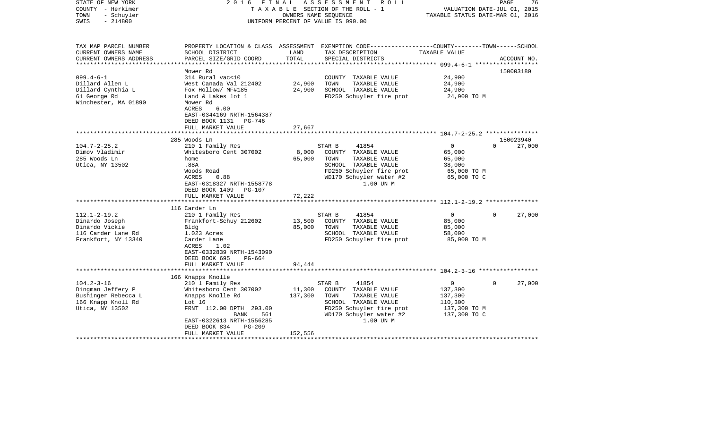| STATE OF NEW YORK<br>COUNTY - Herkimer<br>- Schuyler<br>TOWN<br>$-214800$<br>SWIS                     | 2 0 1 6<br>FINAL                                                                                                                                                                      | OWNERS NAME SEOUENCE      | ASSESSMENT ROLL<br>TAXABLE SECTION OF THE ROLL - 1<br>UNIFORM PERCENT OF VALUE IS 090.00                                                                     | VALUATION DATE-JUL 01, 2015<br>TAXABLE STATUS DATE-MAR 01, 2016               | PAGE<br>76                      |
|-------------------------------------------------------------------------------------------------------|---------------------------------------------------------------------------------------------------------------------------------------------------------------------------------------|---------------------------|--------------------------------------------------------------------------------------------------------------------------------------------------------------|-------------------------------------------------------------------------------|---------------------------------|
| TAX MAP PARCEL NUMBER<br>CURRENT OWNERS NAME<br>CURRENT OWNERS ADDRESS                                | SCHOOL DISTRICT<br>PARCEL SIZE/GRID COORD                                                                                                                                             | LAND<br>TOTAL             | PROPERTY LOCATION & CLASS ASSESSMENT EXEMPTION CODE----------------COUNTY-------TOWN------SCHOOL<br>TAX DESCRIPTION<br>SPECIAL DISTRICTS                     | TAXABLE VALUE                                                                 | ACCOUNT NO.                     |
| ***********************                                                                               |                                                                                                                                                                                       |                           |                                                                                                                                                              |                                                                               |                                 |
| $099.4 - 6 - 1$<br>Dillard Allen L<br>Dillard Cynthia L<br>61 George Rd<br>Winchester, MA 01890       | Mower Rd<br>314 Rural vac<10<br>West Canada Val 212402<br>Fox Hollow/ MF#185<br>Land & Lakes lot 1<br>Mower Rd<br>6.00<br>ACRES<br>EAST-0344169 NRTH-1564387<br>DEED BOOK 1131 PG-746 | 24,900<br>24,900          | COUNTY TAXABLE VALUE<br>TOWN<br>TAXABLE VALUE<br>SCHOOL TAXABLE VALUE<br>FD250 Schuyler fire prot                                                            | 24,900<br>24,900<br>24,900<br>24,900 TO M                                     | 150003180                       |
|                                                                                                       | FULL MARKET VALUE                                                                                                                                                                     | 27,667                    |                                                                                                                                                              |                                                                               |                                 |
|                                                                                                       | *******************************                                                                                                                                                       |                           |                                                                                                                                                              |                                                                               |                                 |
| $104.7 - 2 - 25.2$<br>Dimov Vladimir<br>285 Woods Ln<br>Utica, NY 13502                               | 285 Woods Ln<br>210 1 Family Res<br>Whitesboro Cent 307002<br>home<br>.88A<br>Woods Road<br>0.88<br>ACRES<br>EAST-0318327 NRTH-1558778<br>DEED BOOK 1409 PG-107<br>FULL MARKET VALUE  | 8,000<br>65,000<br>72,222 | 41854<br>STAR B<br>COUNTY TAXABLE VALUE<br>TOWN<br>TAXABLE VALUE<br>SCHOOL TAXABLE VALUE<br>FD250 Schuyler fire prot<br>WD170 Schuyler water #2<br>1.00 UN M | $\mathbf 0$<br>65,000<br>65,000<br>38,000<br>65,000 TO M<br>65,000 TO C       | 150023940<br>$\Omega$<br>27,000 |
|                                                                                                       |                                                                                                                                                                                       |                           |                                                                                                                                                              |                                                                               |                                 |
| $112.1 - 2 - 19.2$<br>Dinardo Joseph<br>Dinardo Vickie<br>116 Carder Lane Rd<br>Frankfort, NY 13340   | 116 Carder Ln<br>210 1 Family Res<br>Frankfort-Schuy 212602<br>Bldg<br>1.023 Acres<br>Carder Lane<br>ACRES<br>1.02<br>EAST-0332839 NRTH-1543090<br>DEED BOOK 695<br>PG-664            | 13,500<br>85,000          | 41854<br>STAR B<br>COUNTY TAXABLE VALUE<br>TAXABLE VALUE<br>TOWN<br>SCHOOL TAXABLE VALUE<br>FD250 Schuyler fire prot                                         | $\Omega$<br>85,000<br>85,000<br>58,000<br>85,000 TO M                         | $\Omega$<br>27,000              |
|                                                                                                       | FULL MARKET VALUE                                                                                                                                                                     | 94,444                    |                                                                                                                                                              |                                                                               |                                 |
|                                                                                                       | 166 Knapps Knolle                                                                                                                                                                     |                           |                                                                                                                                                              |                                                                               |                                 |
| $104.2 - 3 - 16$<br>Dingman Jeffery P<br>Bushinger Rebecca L<br>166 Knapp Knoll Rd<br>Utica, NY 13502 | 210 1 Family Res<br>Whitesboro Cent 307002<br>Knapps Knolle Rd<br>Lot 16<br>FRNT 112.00 DPTH 293.00<br>BANK<br>561<br>EAST-0322613 NRTH-1556285<br>DEED BOOK 834<br>$PG-209$          | 11,300<br>137,300         | STAR B<br>41854<br>COUNTY TAXABLE VALUE<br>TAXABLE VALUE<br>TOWN<br>SCHOOL TAXABLE VALUE<br>FD250 Schuyler fire prot<br>WD170 Schuyler water #2<br>1.00 UN M | $\mathbf{0}$<br>137,300<br>137,300<br>110,300<br>137,300 TO M<br>137,300 TO C | 27,000<br>$\Omega$              |
|                                                                                                       | FULL MARKET VALUE                                                                                                                                                                     | 152,556                   |                                                                                                                                                              |                                                                               |                                 |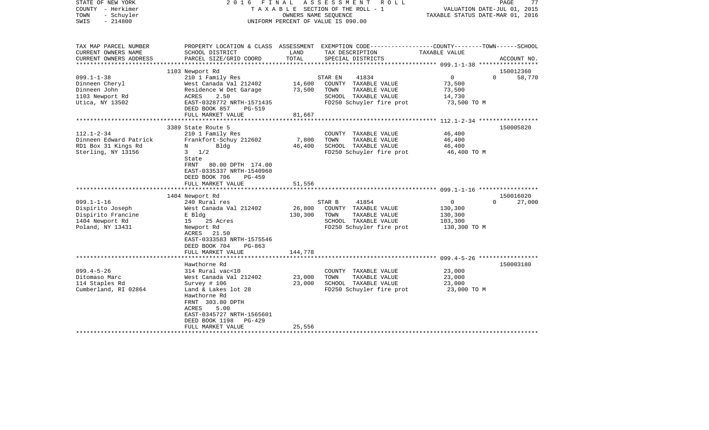| STATE OF NEW YORK<br>COUNTY - Herkimer<br>- Schuyler<br>TOWN<br>$-214800$<br>SWIS | 2016                           | FINAL   | ASSESSMENT<br>R O L L<br>TAXABLE SECTION OF THE ROLL - 1<br>OWNERS NAME SEQUENCE<br>UNIFORM PERCENT OF VALUE IS 090.00 | PAGE<br>77<br>VALUATION DATE-JUL 01, 2015<br>TAXABLE STATUS DATE-MAR 01, 2016                                     |
|-----------------------------------------------------------------------------------|--------------------------------|---------|------------------------------------------------------------------------------------------------------------------------|-------------------------------------------------------------------------------------------------------------------|
| TAX MAP PARCEL NUMBER<br>CURRENT OWNERS NAME                                      | SCHOOL DISTRICT                | LAND    | TAX DESCRIPTION                                                                                                        | PROPERTY LOCATION & CLASS ASSESSMENT EXEMPTION CODE----------------COUNTY-------TOWN------SCHOOL<br>TAXABLE VALUE |
| CURRENT OWNERS ADDRESS<br>****************                                        | PARCEL SIZE/GRID COORD         | TOTAL   | SPECIAL DISTRICTS                                                                                                      | ACCOUNT NO.                                                                                                       |
|                                                                                   | 1103 Newport Rd                |         |                                                                                                                        | 150012360                                                                                                         |
| $099.1 - 1 - 38$                                                                  | 210 1 Family Res               |         | 41834<br>STAR EN                                                                                                       | $\overline{0}$<br>$\Omega$<br>58,770                                                                              |
| Dinneen Cheryl                                                                    | West Canada Val 212402         | 14,600  | COUNTY TAXABLE VALUE                                                                                                   | 73,500                                                                                                            |
| Dinneen John                                                                      | Residence W Det Garage         | 73,500  | TOWN<br>TAXABLE VALUE                                                                                                  | 73,500                                                                                                            |
| 1103 Newport Rd                                                                   | ACRES<br>2.50                  |         | SCHOOL TAXABLE VALUE                                                                                                   | 14,730                                                                                                            |
| Utica, NY 13502                                                                   | EAST-0328772 NRTH-1571435      |         | FD250 Schuyler fire prot                                                                                               | 73,500 TO M                                                                                                       |
|                                                                                   | DEED BOOK 857<br><b>PG-519</b> |         |                                                                                                                        |                                                                                                                   |
|                                                                                   | FULL MARKET VALUE              | 81,667  |                                                                                                                        |                                                                                                                   |
|                                                                                   |                                |         |                                                                                                                        |                                                                                                                   |
|                                                                                   | 3389 State Route 5             |         |                                                                                                                        | 150005820                                                                                                         |
| $112.1 - 2 - 34$                                                                  | 210 1 Family Res               |         | COUNTY TAXABLE VALUE                                                                                                   | 46,400                                                                                                            |
| Dinneen Edward Patrick                                                            | Frankfort-Schuy 212602         | 7,800   | TOWN<br>TAXABLE VALUE                                                                                                  | 46,400                                                                                                            |
| RD1 Box 31 Kings Rd                                                               | Bldg<br>N                      | 46,400  | SCHOOL TAXABLE VALUE                                                                                                   | 46,400                                                                                                            |
| Sterling, NY 13156                                                                | $3 \frac{1}{2}$                |         | FD250 Schuyler fire prot                                                                                               | 46,400 TO M                                                                                                       |
|                                                                                   | State                          |         |                                                                                                                        |                                                                                                                   |
|                                                                                   | FRNT 80.00 DPTH 174.00         |         |                                                                                                                        |                                                                                                                   |
|                                                                                   | EAST-0335337 NRTH-1540960      |         |                                                                                                                        |                                                                                                                   |
|                                                                                   | DEED BOOK 706<br><b>PG-459</b> |         |                                                                                                                        |                                                                                                                   |
|                                                                                   | FULL MARKET VALUE              | 51,556  |                                                                                                                        |                                                                                                                   |
|                                                                                   |                                |         |                                                                                                                        |                                                                                                                   |
|                                                                                   | 1404 Newport Rd                |         |                                                                                                                        | 150016020                                                                                                         |
| $099.1 - 1 - 16$                                                                  | 240 Rural res                  |         | STAR B<br>41854                                                                                                        | $\mathbf{0}$<br>$\Omega$<br>27,000                                                                                |
| Dispirito Joseph                                                                  | West Canada Val 212402         | 26,800  | COUNTY TAXABLE VALUE                                                                                                   | 130,300                                                                                                           |
| Dispirito Francine                                                                | E Bldg                         | 130,300 | TOWN<br>TAXABLE VALUE                                                                                                  | 130,300                                                                                                           |
| 1404 Newport Rd                                                                   | 25 Acres<br>15                 |         | SCHOOL TAXABLE VALUE                                                                                                   | 103,300                                                                                                           |
| Poland, NY 13431                                                                  | Newport Rd                     |         | FD250 Schuyler fire prot                                                                                               | 130,300 TO M                                                                                                      |
|                                                                                   | ACRES 21.50                    |         |                                                                                                                        |                                                                                                                   |
|                                                                                   | EAST-0333583 NRTH-1575546      |         |                                                                                                                        |                                                                                                                   |
|                                                                                   | DEED BOOK 704<br>$PG-863$      |         |                                                                                                                        |                                                                                                                   |
|                                                                                   | FULL MARKET VALUE              | 144,778 |                                                                                                                        |                                                                                                                   |
|                                                                                   |                                |         |                                                                                                                        |                                                                                                                   |
|                                                                                   | Hawthorne Rd                   |         |                                                                                                                        | 150003180                                                                                                         |
| $099.4 - 5 - 26$                                                                  | 314 Rural vac<10               |         | COUNTY TAXABLE VALUE                                                                                                   | 23,000                                                                                                            |
| Ditomaso Marc                                                                     | West Canada Val 212402         | 23,000  | TAXABLE VALUE<br>TOWN                                                                                                  | 23,000                                                                                                            |
| 114 Staples Rd                                                                    | Survey $# 106$                 | 23,000  | SCHOOL TAXABLE VALUE                                                                                                   | 23,000                                                                                                            |
| Cumberland, RI 02864                                                              | Land & Lakes lot 28            |         | FD250 Schuyler fire prot                                                                                               | 23,000 TO M                                                                                                       |
|                                                                                   | Hawthorne Rd                   |         |                                                                                                                        |                                                                                                                   |
|                                                                                   | FRNT 303.80 DPTH               |         |                                                                                                                        |                                                                                                                   |
|                                                                                   | ACRES<br>5.00                  |         |                                                                                                                        |                                                                                                                   |
|                                                                                   | EAST-0345727 NRTH-1565601      |         |                                                                                                                        |                                                                                                                   |
|                                                                                   | DEED BOOK 1198<br>$PG-429$     |         |                                                                                                                        |                                                                                                                   |
|                                                                                   | FULL MARKET VALUE              | 25,556  |                                                                                                                        |                                                                                                                   |
|                                                                                   |                                |         |                                                                                                                        |                                                                                                                   |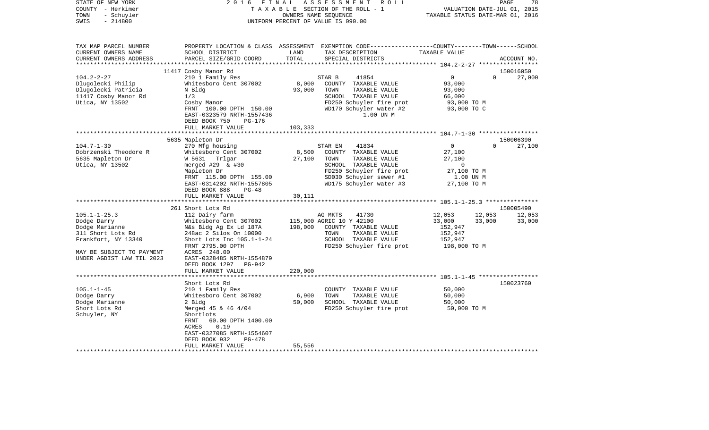| STATE OF NEW YORK         | 2 0 1 6                                   | FINAL           | ASSESSMENT<br>R O L L                                                                            |                                  | PAGE                        | 78                  |
|---------------------------|-------------------------------------------|-----------------|--------------------------------------------------------------------------------------------------|----------------------------------|-----------------------------|---------------------|
| COUNTY - Herkimer         |                                           |                 | TAXABLE SECTION OF THE ROLL - 1                                                                  |                                  | VALUATION DATE-JUL 01, 2015 |                     |
| TOWN<br>- Schuyler        |                                           |                 | OWNERS NAME SEQUENCE                                                                             | TAXABLE STATUS DATE-MAR 01, 2016 |                             |                     |
| SWIS<br>$-214800$         |                                           |                 | UNIFORM PERCENT OF VALUE IS 090.00                                                               |                                  |                             |                     |
|                           |                                           |                 |                                                                                                  |                                  |                             |                     |
| TAX MAP PARCEL NUMBER     |                                           |                 | PROPERTY LOCATION & CLASS ASSESSMENT EXEMPTION CODE----------------COUNTY-------TOWN------SCHOOL |                                  |                             |                     |
| CURRENT OWNERS NAME       | SCHOOL DISTRICT                           | LAND            | TAX DESCRIPTION                                                                                  | TAXABLE VALUE                    |                             |                     |
| CURRENT OWNERS ADDRESS    | PARCEL SIZE/GRID COORD                    | TOTAL           | SPECIAL DISTRICTS                                                                                |                                  |                             | ACCOUNT NO.         |
|                           |                                           |                 |                                                                                                  |                                  |                             |                     |
|                           | 11417 Cosby Manor Rd                      |                 |                                                                                                  |                                  |                             | 150016050           |
| $104.2 - 2 - 27$          | 210 1 Family Res                          |                 | STAR B<br>41854                                                                                  | $\mathbf 0$                      | $\Omega$                    | 27,000              |
| Dlugolecki Philip         | Whitesboro Cent 307002                    | 8,000           | COUNTY TAXABLE VALUE                                                                             | 93,000                           |                             |                     |
| Dlugolecki Patricia       | N Bldg                                    | 93,000          | TOWN<br>TAXABLE VALUE                                                                            | 93,000                           |                             |                     |
| 11417 Cosby Manor Rd      | 1/3                                       |                 | SCHOOL TAXABLE VALUE                                                                             | 66,000                           |                             |                     |
| Utica, NY 13502           | Cosby Manor                               |                 | FD250 Schuyler fire prot                                                                         | 93,000 TO M                      |                             |                     |
|                           | FRNT 100.00 DPTH 150.00                   |                 | WD170 Schuyler water #2                                                                          | 93,000 TO C                      |                             |                     |
|                           | EAST-0323579 NRTH-1557436                 |                 | 1.00 UN M                                                                                        |                                  |                             |                     |
|                           | DEED BOOK 750<br>PG-176                   |                 |                                                                                                  |                                  |                             |                     |
|                           | FULL MARKET VALUE                         | 103,333         |                                                                                                  |                                  |                             |                     |
|                           |                                           |                 |                                                                                                  |                                  |                             |                     |
| $104.7 - 1 - 30$          | 5635 Mapleton Dr                          |                 | 41834                                                                                            | $\overline{0}$                   | $\Omega$                    | 150006390<br>27,100 |
| Dobrzenski Theodore R     | 270 Mfg housing<br>Whitesboro Cent 307002 |                 | STAR EN<br>COUNTY TAXABLE VALUE                                                                  | 27,100                           |                             |                     |
| 5635 Mapleton Dr          | W 5631 Trlgar                             | 8,500<br>27,100 | TAXABLE VALUE<br>TOWN                                                                            | 27,100                           |                             |                     |
|                           |                                           |                 | SCHOOL TAXABLE VALUE                                                                             | $\mathbf 0$                      |                             |                     |
| Utica, NY 13502           | merged #29 $\&$ #30<br>Mapleton Dr        |                 | FD250 Schuyler fire prot                                                                         | 27,100 TO M                      |                             |                     |
|                           | FRNT 115.00 DPTH 155.00                   |                 | SD030 Schuyler sewer #1                                                                          | 1.00 UN M                        |                             |                     |
|                           | EAST-0314202 NRTH-1557805                 |                 | WD175 Schuyler water #3                                                                          | 27,100 TO M                      |                             |                     |
|                           | DEED BOOK 888<br>$PG-48$                  |                 |                                                                                                  |                                  |                             |                     |
|                           | FULL MARKET VALUE                         | 30,111          |                                                                                                  |                                  |                             |                     |
|                           |                                           |                 |                                                                                                  |                                  |                             |                     |
|                           | 261 Short Lots Rd                         |                 |                                                                                                  |                                  |                             | 150005490           |
| $105.1 - 1 - 25.3$        | 112 Dairy farm                            |                 | AG MKTS<br>41730                                                                                 | 12,053                           | 12,053                      | 12,053              |
| Dodge Darry               | Whitesboro Cent 307002                    |                 | 115,000 AGRIC 10 Y 42100                                                                         | 33,000                           | 33,000                      | 33,000              |
| Dodge Marianne            | N&s Bldg Ag Ex Ld 187A                    | 198,000         | COUNTY TAXABLE VALUE                                                                             | 152,947                          |                             |                     |
| 311 Short Lots Rd         | 248ac 2 Silos On 10000                    |                 | TOWN<br>TAXABLE VALUE                                                                            | 152,947                          |                             |                     |
| Frankfort, NY 13340       | Short Lots Inc $105.1 - 1 - 24$           |                 | SCHOOL TAXABLE VALUE                                                                             | 152,947                          |                             |                     |
|                           | FRNT 2795.00 DPTH                         |                 | FD250 Schuyler fire prot                                                                         | 198,000 TO M                     |                             |                     |
| MAY BE SUBJECT TO PAYMENT | ACRES 248.00                              |                 |                                                                                                  |                                  |                             |                     |
| UNDER AGDIST LAW TIL 2023 | EAST-0328485 NRTH-1554879                 |                 |                                                                                                  |                                  |                             |                     |
|                           | DEED BOOK 1297<br>PG-942                  |                 |                                                                                                  |                                  |                             |                     |
|                           | FULL MARKET VALUE                         | 220,000         |                                                                                                  |                                  |                             |                     |
|                           |                                           |                 |                                                                                                  |                                  |                             |                     |
|                           | Short Lots Rd                             |                 |                                                                                                  |                                  |                             | 150023760           |
| $105.1 - 1 - 45$          | 210 1 Family Res                          |                 | COUNTY TAXABLE VALUE                                                                             | 50,000                           |                             |                     |
| Dodge Darry               | Whitesboro Cent 307002                    | 6,900           | TAXABLE VALUE<br>TOWN                                                                            | 50,000                           |                             |                     |
| Dodge Marianne            | 2 Bldg                                    | 50,000          | SCHOOL TAXABLE VALUE                                                                             | 50,000                           |                             |                     |
| Short Lots Rd             | Merged 45 & 46 4/04                       |                 | FD250 Schuyler fire prot                                                                         | 50,000 TO M                      |                             |                     |
| Schuyler, NY              | Shortlots                                 |                 |                                                                                                  |                                  |                             |                     |
|                           | FRNT<br>60.00 DPTH 1400.00                |                 |                                                                                                  |                                  |                             |                     |
|                           | ACRES<br>0.19                             |                 |                                                                                                  |                                  |                             |                     |
|                           | EAST-0327085 NRTH-1554607                 |                 |                                                                                                  |                                  |                             |                     |
|                           | DEED BOOK 932<br>PG-478                   |                 |                                                                                                  |                                  |                             |                     |
|                           | FULL MARKET VALUE                         | 55,556          |                                                                                                  |                                  |                             |                     |
|                           |                                           |                 |                                                                                                  |                                  |                             |                     |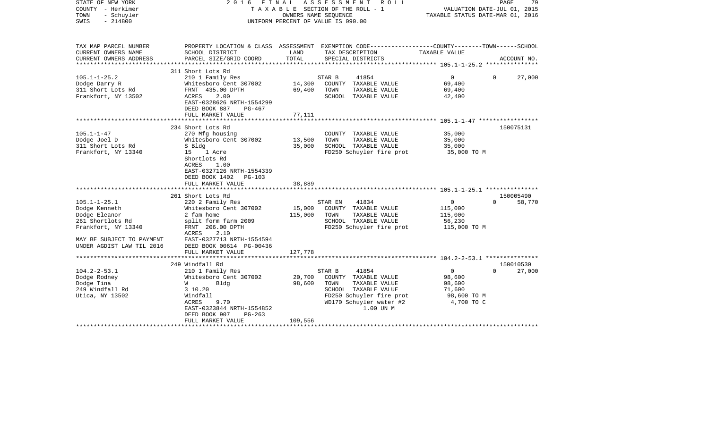| STATE OF NEW YORK<br>COUNTY - Herkimer<br>TOWN<br>- Schuyler<br>$-214800$<br>SWIS                                                                         | 2016 FINAL                                                                                                                                                                                                               |                              | A S S E S S M E N T<br>R O L L<br>TAXABLE SECTION OF THE ROLL - 1<br>OWNERS NAME SEQUENCE<br>UNIFORM PERCENT OF VALUE IS 090.00                              | TAXABLE STATUS DATE-MAR 01, 2016                                          | PAGE<br>79<br>VALUATION DATE-JUL 01, 2015 |
|-----------------------------------------------------------------------------------------------------------------------------------------------------------|--------------------------------------------------------------------------------------------------------------------------------------------------------------------------------------------------------------------------|------------------------------|--------------------------------------------------------------------------------------------------------------------------------------------------------------|---------------------------------------------------------------------------|-------------------------------------------|
| TAX MAP PARCEL NUMBER<br>CURRENT OWNERS NAME                                                                                                              | SCHOOL DISTRICT                                                                                                                                                                                                          | LAND                         | PROPERTY LOCATION & CLASS ASSESSMENT EXEMPTION CODE---------------COUNTY-------TOWN-----SCHOOL<br>TAX DESCRIPTION                                            | TAXABLE VALUE                                                             |                                           |
| CURRENT OWNERS ADDRESS<br>***********************                                                                                                         | PARCEL SIZE/GRID COORD<br>******************************                                                                                                                                                                 | TOTAL                        | SPECIAL DISTRICTS                                                                                                                                            |                                                                           | ACCOUNT NO.                               |
|                                                                                                                                                           | 311 Short Lots Rd                                                                                                                                                                                                        |                              |                                                                                                                                                              |                                                                           |                                           |
| $105.1 - 1 - 25.2$<br>Dodge Darry R<br>311 Short Lots Rd<br>Frankfort, NY 13502                                                                           | 210 1 Family Res<br>Whitesboro Cent 307002<br>FRNT 435.00 DPTH<br>2.00<br>ACRES<br>EAST-0328626 NRTH-1554299<br>DEED BOOK 887<br>PG-467                                                                                  | 14,300<br>69,400             | 41854<br>STAR B<br>COUNTY TAXABLE VALUE<br>TOWN<br>TAXABLE VALUE<br>SCHOOL TAXABLE VALUE                                                                     | $\mathbf{0}$<br>69,400<br>69,400<br>42,400                                | 27,000<br>$\Omega$                        |
|                                                                                                                                                           | FULL MARKET VALUE                                                                                                                                                                                                        | 77,111                       |                                                                                                                                                              |                                                                           |                                           |
| $105.1 - 1 - 47$<br>Dodge Joel D<br>311 Short Lots Rd<br>Frankfort, NY 13340                                                                              | 234 Short Lots Rd<br>270 Mfg housing<br>Whitesboro Cent 307002<br>S Bldg<br>1 Acre<br>15<br>Shortlots Rd<br>ACRES<br>1.00<br>EAST-0327126 NRTH-1554339<br>DEED BOOK 1402<br>$PG-103$                                     | 13,500<br>35,000             | COUNTY TAXABLE VALUE<br>TOWN<br>TAXABLE VALUE<br>SCHOOL TAXABLE VALUE<br>FD250 Schuyler fire prot                                                            | 35,000<br>35,000<br>35,000<br>35,000 TO M                                 | 150075131                                 |
|                                                                                                                                                           | FULL MARKET VALUE                                                                                                                                                                                                        | 38,889                       |                                                                                                                                                              |                                                                           |                                           |
|                                                                                                                                                           | *************************                                                                                                                                                                                                | *************                |                                                                                                                                                              |                                                                           |                                           |
| $105.1 - 1 - 25.1$<br>Dodge Kenneth<br>Dodge Eleanor<br>261 Shortlots Rd<br>Frankfort, NY 13340<br>MAY BE SUBJECT TO PAYMENT<br>UNDER AGDIST LAW TIL 2016 | 261 Short Lots Rd<br>220 2 Family Res<br>Whitesboro Cent 307002<br>2 fam home<br>split form farm 2009<br>FRNT 206.00 DPTH<br>ACRES<br>2.10<br>EAST-0327713 NRTH-1554594<br>DEED BOOK 00614 PG-00436<br>FULL MARKET VALUE | 15,000<br>115,000<br>127,778 | STAR EN<br>41834<br>COUNTY TAXABLE VALUE<br>TAXABLE VALUE<br>TOWN<br>SCHOOL TAXABLE VALUE<br>FD250 Schuyler fire prot                                        | $\mathbf{0}$<br>115,000<br>115,000<br>56,230<br>115,000 TO M              | 150005490<br>$\Omega$<br>58,770           |
|                                                                                                                                                           |                                                                                                                                                                                                                          |                              |                                                                                                                                                              |                                                                           |                                           |
|                                                                                                                                                           | 249 Windfall Rd                                                                                                                                                                                                          |                              |                                                                                                                                                              |                                                                           | 150010530                                 |
| $104.2 - 2 - 53.1$<br>Dodge Rodney<br>Dodge Tina<br>249 Windfall Rd<br>Utica, NY 13502                                                                    | 210 1 Family Res<br>Whitesboro Cent 307002<br><b>W</b><br>Bldg<br>3 10.20<br>Windfall<br>ACRES<br>9.70<br>EAST-0323844 NRTH-1554852<br>DEED BOOK 907<br>$PG-263$<br>FULL MARKET VALUE                                    | 20,700<br>98,600<br>109,556  | 41854<br>STAR B<br>COUNTY TAXABLE VALUE<br>TOWN<br>TAXABLE VALUE<br>SCHOOL TAXABLE VALUE<br>FD250 Schuyler fire prot<br>WD170 Schuyler water #2<br>1.00 UN M | $\overline{0}$<br>98,600<br>98,600<br>71,600<br>98,600 TO M<br>4,700 TO C | $\Omega$<br>27,000                        |
|                                                                                                                                                           |                                                                                                                                                                                                                          |                              |                                                                                                                                                              |                                                                           |                                           |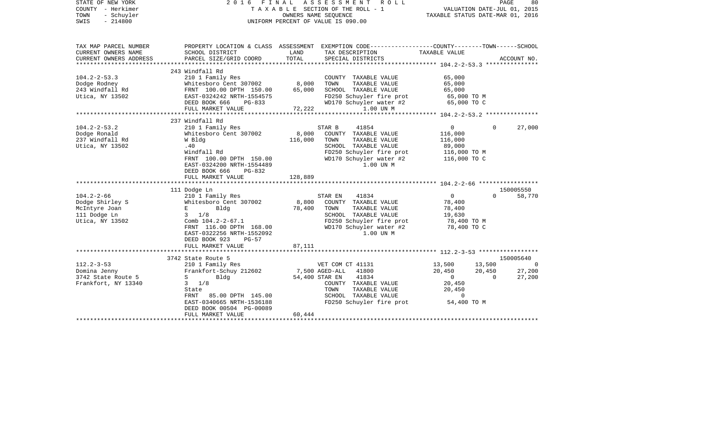| STATE OF NEW YORK<br>COUNTY - Herkimer<br>TOWN<br>- Schuyler<br>SWIS<br>$-214800$       | 2016                                                                                                                                                                                                                                                | OWNERS NAME SEQUENCE        | FINAL ASSESSMENT<br>R O L L<br>TAXABLE SECTION OF THE ROLL - 1<br>UNIFORM PERCENT OF VALUE IS 090.00                                                          | VALUATION DATE-JUL 01, 2015<br>TAXABLE STATUS DATE-MAR 01, 2016                |                              | PAGE<br>80                                      |
|-----------------------------------------------------------------------------------------|-----------------------------------------------------------------------------------------------------------------------------------------------------------------------------------------------------------------------------------------------------|-----------------------------|---------------------------------------------------------------------------------------------------------------------------------------------------------------|--------------------------------------------------------------------------------|------------------------------|-------------------------------------------------|
| TAX MAP PARCEL NUMBER<br>CURRENT OWNERS NAME<br>CURRENT OWNERS ADDRESS                  | SCHOOL DISTRICT<br>PARCEL SIZE/GRID COORD                                                                                                                                                                                                           | LAND<br>TOTAL               | PROPERTY LOCATION & CLASS ASSESSMENT EXEMPTION CODE---------------COUNTY-------TOWN------SCHOOL<br>TAX DESCRIPTION<br>SPECIAL DISTRICTS                       | TAXABLE VALUE                                                                  |                              | ACCOUNT NO.                                     |
|                                                                                         |                                                                                                                                                                                                                                                     |                             |                                                                                                                                                               |                                                                                |                              |                                                 |
| $104.2 - 2 - 53.3$<br>Dodge Rodney<br>243 Windfall Rd<br>Utica, NY 13502                | 243 Windfall Rd<br>210 1 Family Res<br>Whitesboro Cent 307002<br>FRNT 100.00 DPTH 150.00<br>EAST-0324242 NRTH-1554575<br>DEED BOOK 666<br>PG-833<br>FULL MARKET VALUE                                                                               | 8,000<br>65,000<br>72,222   | COUNTY TAXABLE VALUE<br>TAXABLE VALUE<br>TOWN<br>SCHOOL TAXABLE VALUE<br>FD250 Schuyler fire prot<br>WD170 Schuyler water #2<br>1.00 UN M                     | 65,000<br>65,000<br>65,000<br>65,000 TO M<br>65,000 TO C                       |                              |                                                 |
|                                                                                         | 237 Windfall Rd                                                                                                                                                                                                                                     |                             |                                                                                                                                                               |                                                                                |                              |                                                 |
| $104.2 - 2 - 53.2$<br>Dodge Ronald<br>237 Windfall Rd<br>Utica, NY 13502                | 210 1 Family Res<br>Whitesboro Cent 307002<br>W Bldg<br>.40<br>Windfall Rd<br>FRNT 100.00 DPTH 150.00<br>EAST-0324200 NRTH-1554489<br>DEED BOOK 666<br>PG-832<br>FULL MARKET VALUE<br>111 Dodge Ln                                                  | 8,000<br>116,000<br>128,889 | 41854<br>STAR B<br>COUNTY TAXABLE VALUE<br>TOWN<br>TAXABLE VALUE<br>SCHOOL TAXABLE VALUE<br>FD250 Schuyler fire prot<br>WD170 Schuyler water #2<br>1.00 UN M  | $\overline{0}$<br>116,000<br>116,000<br>89,000<br>116,000 TO M<br>116,000 TO C | $\Omega$                     | 27,000<br>150005550                             |
| $104.2 - 2 - 66$<br>Dodge Shirley S<br>McIntyre Joan<br>111 Dodge Ln<br>Utica, NY 13502 | 210 1 Family Res<br>Whitesboro Cent 307002<br>$\mathbf{E}$ and $\mathbf{E}$ and $\mathbf{E}$<br>Bldg<br>$3 \t1/8$<br>Comb $104.2 - 2 - 67.1$<br>FRNT 116.00 DPTH 168.00<br>EAST-0322256 NRTH-1552092<br>DEED BOOK 923<br>PG-57<br>FULL MARKET VALUE | 8,800<br>78,400<br>87,111   | 41834<br>STAR EN<br>COUNTY TAXABLE VALUE<br>TOWN<br>TAXABLE VALUE<br>SCHOOL TAXABLE VALUE<br>FD250 Schuyler fire prot<br>WD170 Schuyler water #2<br>1.00 UN M | $\overline{0}$<br>78,400<br>78,400<br>19,630<br>78,400 TO M<br>78,400 TO C     | $\Omega$                     | 58,770                                          |
|                                                                                         |                                                                                                                                                                                                                                                     |                             |                                                                                                                                                               |                                                                                |                              |                                                 |
| $112.2 - 3 - 53$<br>Domina Jenny<br>3742 State Route 5<br>Frankfort, NY 13340           | 3742 State Route 5<br>210 1 Family Res<br>Frankfort-Schuy 212602<br>$S \qquad \qquad$<br>Bldg<br>$3 \frac{1}{8}$<br>State<br>FRNT 85.00 DPTH 145.00<br>EAST-0340665 NRTH-1536188<br>DEED BOOK 00504 PG-00089                                        | 7,500 AGED-ALL              | VET COM CT 41131<br>41800<br>54,400 STAR EN<br>41834<br>COUNTY TAXABLE VALUE<br>TOWN<br>TAXABLE VALUE<br>SCHOOL TAXABLE VALUE<br>FD250 Schuyler fire prot     | 13,500<br>20,450<br>$\Omega$<br>20,450<br>20,450<br>$\mathbf 0$<br>54,400 TO M | 13,500<br>20,450<br>$\Omega$ | 150005640<br>$\overline{0}$<br>27,200<br>27,200 |
|                                                                                         | FULL MARKET VALUE                                                                                                                                                                                                                                   | 60,444                      |                                                                                                                                                               |                                                                                |                              |                                                 |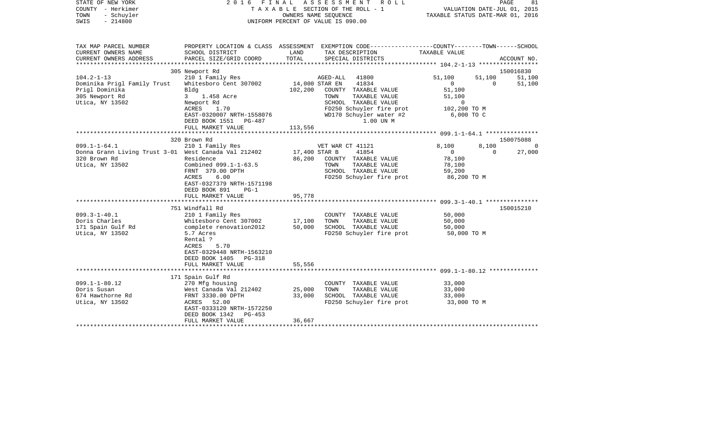| STATE OF NEW YORK<br>COUNTY - Herkimer<br>TOWN<br>- Schuyler<br>$-214800$<br>SWIS                             |                                                                                                                                                                                  |                                   | 2016 FINAL ASSESSMENT<br>ROLL<br>T A X A B L E SECTION OF THE ROLL - 1<br>OWNERS NAME SEQUENCE<br>UNIFORM PERCENT OF VALUE IS 090.00 | VALUATION DATE-JUL 01, 2015<br>TAXABLE STATUS DATE-MAR 01, 2016      | PAGE               | 81                 |
|---------------------------------------------------------------------------------------------------------------|----------------------------------------------------------------------------------------------------------------------------------------------------------------------------------|-----------------------------------|--------------------------------------------------------------------------------------------------------------------------------------|----------------------------------------------------------------------|--------------------|--------------------|
| TAX MAP PARCEL NUMBER<br>CURRENT OWNERS NAME                                                                  | SCHOOL DISTRICT                                                                                                                                                                  | LAND                              | PROPERTY LOCATION & CLASS ASSESSMENT EXEMPTION CODE---------------COUNTY-------TOWN------SCHOOL<br>TAX DESCRIPTION                   | TAXABLE VALUE                                                        |                    |                    |
| CURRENT OWNERS ADDRESS                                                                                        | PARCEL SIZE/GRID COORD                                                                                                                                                           | TOTAL                             | SPECIAL DISTRICTS                                                                                                                    |                                                                      |                    | ACCOUNT NO.        |
|                                                                                                               |                                                                                                                                                                                  |                                   |                                                                                                                                      |                                                                      |                    |                    |
|                                                                                                               | 305 Newport Rd                                                                                                                                                                   |                                   |                                                                                                                                      |                                                                      |                    | 150016830          |
| $104.2 - 1 - 13$<br>Dominika Prigl Family Trust<br>Prigl Dominika<br>305 Newport Rd                           | 210 1 Family Res<br>Whitesboro Cent 307002<br>Bldg<br>3 1.458 Acre                                                                                                               | 14,000 STAR EN<br>102,200         | 41800<br>AGED-ALL<br>41834<br>COUNTY TAXABLE VALUE<br>TOWN<br>TAXABLE VALUE                                                          | 51,100<br>$\overline{0}$<br>51,100<br>51,100                         | 51,100<br>$\Omega$ | 51,100<br>51,100   |
| Utica, NY 13502                                                                                               | Newport Rd<br>ACRES<br>1.70<br>EAST-0320007 NRTH-1558076<br>DEED BOOK 1551 PG-487<br>FULL MARKET VALUE                                                                           | 113,556                           | SCHOOL TAXABLE VALUE<br>FD250 Schuyler fire prot<br>WD170 Schuyler water #2<br>1.00 UN M                                             | $\mathbf 0$<br>102,200 TO M<br>6,000 TO C                            |                    |                    |
|                                                                                                               | ***********************                                                                                                                                                          |                                   |                                                                                                                                      |                                                                      |                    |                    |
|                                                                                                               | 320 Brown Rd                                                                                                                                                                     |                                   |                                                                                                                                      |                                                                      |                    | 150075088          |
| $099.1 - 1 - 64.1$<br>Donna Grann Living Trust 3-01 West Canada Val 212402<br>320 Brown Rd<br>Utica, NY 13502 | 210 1 Family Res<br>Residence<br>Combined 099.1-1-63.5<br>FRNT 379.00 DPTH<br>ACRES<br>6.00<br>EAST-0327379 NRTH-1571198<br>DEED BOOK 891<br>$PG-1$<br>FULL MARKET VALUE         | 17,400 STAR B<br>86,200<br>95,778 | VET WAR CT 41121<br>41854<br>COUNTY TAXABLE VALUE<br>TAXABLE VALUE<br>TOWN<br>SCHOOL TAXABLE VALUE<br>FD250 Schuyler fire prot       | 8,100<br>$\overline{0}$<br>78,100<br>78,100<br>59,200<br>86,200 TO M | 8,100<br>$\Omega$  | $\Omega$<br>27,000 |
|                                                                                                               |                                                                                                                                                                                  |                                   |                                                                                                                                      |                                                                      |                    |                    |
| $099.3 - 1 - 40.1$<br>Doris Charles<br>171 Spain Gulf Rd<br>Utica, NY 13502                                   | 751 Windfall Rd<br>210 1 Family Res<br>Whitesboro Cent 307002<br>complete renovation2012<br>5.7 Acres<br>Rental ?<br>ACRES<br>5.70<br>EAST-0329448 NRTH-1563210                  | 17,100<br>50,000                  | COUNTY TAXABLE VALUE<br>TAXABLE VALUE<br>TOWN<br>SCHOOL TAXABLE VALUE<br>FD250 Schuyler fire prot                                    | 50,000<br>50,000<br>50,000<br>50,000 TO M                            |                    | 150015210          |
|                                                                                                               | DEED BOOK 1405 PG-318<br>FULL MARKET VALUE                                                                                                                                       | 55,556                            |                                                                                                                                      |                                                                      |                    |                    |
|                                                                                                               | ************************                                                                                                                                                         |                                   |                                                                                                                                      |                                                                      |                    |                    |
| $099.1 - 1 - 80.12$<br>Doris Susan<br>674 Hawthorne Rd<br>Utica, NY 13502                                     | 171 Spain Gulf Rd<br>270 Mfg housing<br>West Canada Val 212402<br>FRNT 3330.00 DPTH<br>ACRES 52.00<br>EAST-0333120 NRTH-1572250<br>DEED BOOK 1342<br>PG-453<br>FULL MARKET VALUE | 25,000<br>33,000<br>36,667        | COUNTY TAXABLE VALUE<br>TOWN<br>TAXABLE VALUE<br>SCHOOL TAXABLE VALUE<br>FD250 Schuyler fire prot                                    | 33,000<br>33,000<br>33,000<br>33,000 TO M                            |                    |                    |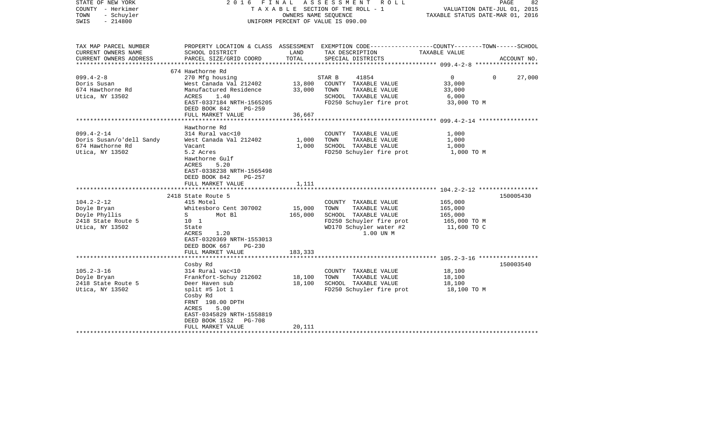| STATE OF NEW YORK<br>COUNTY - Herkimer<br>- Schuyler<br>TOWN<br>$-214800$<br>SWIS |                                                      | OWNERS NAME SEQUENCE | 2016 FINAL ASSESSMENT<br>R O L L<br>TAXABLE SECTION OF THE ROLL - 1<br>UNIFORM PERCENT OF VALUE IS 090.00           | VALUATION DATE-JUL 01, 2015<br>TAXABLE STATUS DATE-MAR 01, 2016 | PAGE<br>82  |
|-----------------------------------------------------------------------------------|------------------------------------------------------|----------------------|---------------------------------------------------------------------------------------------------------------------|-----------------------------------------------------------------|-------------|
| TAX MAP PARCEL NUMBER<br>CURRENT OWNERS NAME                                      | SCHOOL DISTRICT                                      | LAND                 | PROPERTY LOCATION & CLASS ASSESSMENT EXEMPTION CODE----------------COUNTY-------TOWN------SCHOOL<br>TAX DESCRIPTION | TAXABLE VALUE                                                   |             |
| CURRENT OWNERS ADDRESS<br>************************                                | PARCEL SIZE/GRID COORD                               | TOTAL                | SPECIAL DISTRICTS                                                                                                   |                                                                 | ACCOUNT NO. |
|                                                                                   | 674 Hawthorne Rd                                     |                      |                                                                                                                     |                                                                 |             |
| $099.4 - 2 - 8$                                                                   | 270 Mfg housing                                      |                      | STAR B<br>41854                                                                                                     | $0 \qquad \qquad$<br>$\Omega$                                   | 27,000      |
| Doris Susan                                                                       | West Canada Val 212402                               | 13,800               | COUNTY TAXABLE VALUE                                                                                                | 33,000                                                          |             |
| 674 Hawthorne Rd                                                                  | Manufactured Residence                               | 33,000               | TOWN<br>TAXABLE VALUE                                                                                               | 33,000                                                          |             |
| Utica, NY 13502                                                                   | ACRES<br>1.40                                        |                      | SCHOOL TAXABLE VALUE                                                                                                | 6,000                                                           |             |
|                                                                                   | EAST-0337184 NRTH-1565205<br>DEED BOOK 842<br>PG-259 |                      | FD250 Schuyler fire prot                                                                                            | 33,000 TO M                                                     |             |
|                                                                                   | FULL MARKET VALUE                                    | 36,667               |                                                                                                                     |                                                                 |             |
|                                                                                   |                                                      |                      |                                                                                                                     |                                                                 |             |
|                                                                                   | Hawthorne Rd                                         |                      |                                                                                                                     |                                                                 |             |
| $099.4 - 2 - 14$                                                                  | 314 Rural vac<10                                     |                      | COUNTY TAXABLE VALUE                                                                                                | 1,000                                                           |             |
| Doris Susan/o'dell Sandy                                                          | West Canada Val 212402                               | 1,000                | TAXABLE VALUE<br>TOWN                                                                                               | 1,000                                                           |             |
| 674 Hawthorne Rd                                                                  | Vacant                                               | 1,000                | SCHOOL TAXABLE VALUE                                                                                                | 1,000                                                           |             |
| Utica, NY 13502                                                                   | 5.2 Acres                                            |                      | FD250 Schuyler fire prot                                                                                            | 1,000 TO M                                                      |             |
|                                                                                   | Hawthorne Gulf                                       |                      |                                                                                                                     |                                                                 |             |
|                                                                                   | 5.20<br>ACRES                                        |                      |                                                                                                                     |                                                                 |             |
|                                                                                   | EAST-0338238 NRTH-1565498                            |                      |                                                                                                                     |                                                                 |             |
|                                                                                   | DEED BOOK 842<br>PG-257                              |                      |                                                                                                                     |                                                                 |             |
|                                                                                   | FULL MARKET VALUE                                    | 1,111                |                                                                                                                     |                                                                 |             |
|                                                                                   | 2418 State Route 5                                   |                      |                                                                                                                     |                                                                 | 150005430   |
| $104.2 - 2 - 12$                                                                  | 415 Motel                                            |                      | COUNTY TAXABLE VALUE                                                                                                | 165,000                                                         |             |
| Doyle Bryan                                                                       | Whitesboro Cent 307002                               | 15,000               | TOWN<br>TAXABLE VALUE                                                                                               | 165,000                                                         |             |
| Doyle Phyllis                                                                     | $S \qquad \qquad$<br>Mot Bl                          | 165,000              | SCHOOL TAXABLE VALUE                                                                                                | 165,000                                                         |             |
| 2418 State Route 5                                                                | 10 <sub>1</sub>                                      |                      | FD250 Schuyler fire prot                                                                                            | 165,000 TO M                                                    |             |
| Utica, NY 13502                                                                   | State                                                |                      | WD170 Schuyler water #2                                                                                             | 11,600 TO C                                                     |             |
|                                                                                   | 1.20<br>ACRES                                        |                      | 1.00 UN M                                                                                                           |                                                                 |             |
|                                                                                   | EAST-0320369 NRTH-1553013                            |                      |                                                                                                                     |                                                                 |             |
|                                                                                   | DEED BOOK 667<br>$PG-230$                            |                      |                                                                                                                     |                                                                 |             |
|                                                                                   | FULL MARKET VALUE                                    | 183,333              |                                                                                                                     |                                                                 |             |
|                                                                                   |                                                      |                      |                                                                                                                     |                                                                 |             |
|                                                                                   | Cosby Rd                                             |                      |                                                                                                                     |                                                                 | 150003540   |
| $105.2 - 3 - 16$                                                                  | 314 Rural vac<10                                     |                      | COUNTY TAXABLE VALUE                                                                                                | 18,100                                                          |             |
| Doyle Bryan                                                                       | Frankfort-Schuy 212602                               | 18,100               | TOWN<br>TAXABLE VALUE                                                                                               | 18,100                                                          |             |
| 2418 State Route 5                                                                | Deer Haven sub                                       | 18,100               | SCHOOL TAXABLE VALUE                                                                                                | 18,100                                                          |             |
| Utica, NY 13502                                                                   | split #5 lot $1$                                     |                      | FD250 Schuyler fire prot                                                                                            | 18,100 TO M                                                     |             |
|                                                                                   | Cosby Rd                                             |                      |                                                                                                                     |                                                                 |             |
|                                                                                   | FRNT 198.00 DPTH                                     |                      |                                                                                                                     |                                                                 |             |
|                                                                                   | ACRES<br>5.00                                        |                      |                                                                                                                     |                                                                 |             |
|                                                                                   | EAST-0345829 NRTH-1558819                            |                      |                                                                                                                     |                                                                 |             |
|                                                                                   | DEED BOOK 1532<br>PG-708                             |                      |                                                                                                                     |                                                                 |             |
|                                                                                   | FULL MARKET VALUE                                    | 20,111               |                                                                                                                     |                                                                 |             |
|                                                                                   |                                                      |                      |                                                                                                                     |                                                                 |             |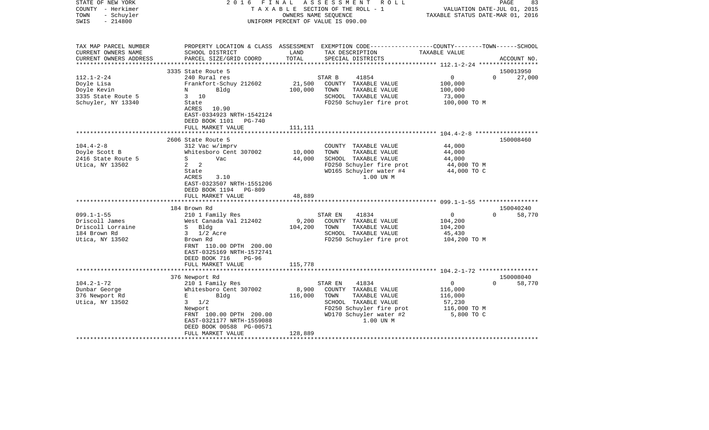| STATE OF NEW YORK<br>COUNTY - Herkimer<br>TOWN<br>- Schuyler<br>$-214800$<br>SWIS | FINAL<br>2016                                                                                  |               | A S S E S S M E N T R O L L<br>TAXABLE SECTION OF THE ROLL - 1<br>OWNERS NAME SEOUENCE<br>UNIFORM PERCENT OF VALUE IS 090.00            | VALUATION DATE-JUL 01, 2015<br>TAXABLE STATUS DATE-MAR 01, 2016 | PAGE<br>83            |
|-----------------------------------------------------------------------------------|------------------------------------------------------------------------------------------------|---------------|-----------------------------------------------------------------------------------------------------------------------------------------|-----------------------------------------------------------------|-----------------------|
| TAX MAP PARCEL NUMBER<br>CURRENT OWNERS NAME<br>CURRENT OWNERS ADDRESS            | SCHOOL DISTRICT<br>PARCEL SIZE/GRID COORD                                                      | LAND<br>TOTAL | PROPERTY LOCATION & CLASS ASSESSMENT EXEMPTION CODE---------------COUNTY-------TOWN------SCHOOL<br>TAX DESCRIPTION<br>SPECIAL DISTRICTS | TAXABLE VALUE                                                   | ACCOUNT NO.           |
| *********************                                                             |                                                                                                |               |                                                                                                                                         |                                                                 |                       |
|                                                                                   | 3335 State Route 5                                                                             |               | 41854                                                                                                                                   | $\overline{0}$                                                  | 150013950<br>$\Omega$ |
| $112.1 - 2 - 24$<br>Doyle Lisa                                                    | 240 Rural res<br>Frankfort-Schuy 212602                                                        | 21,500        | STAR B<br>COUNTY TAXABLE VALUE                                                                                                          | 100,000                                                         | 27,000                |
| Doyle Kevin                                                                       | N<br>Bldg                                                                                      | 100,000       | TOWN<br>TAXABLE VALUE                                                                                                                   | 100,000                                                         |                       |
| 3335 State Route 5                                                                | $3 \t10$                                                                                       |               | SCHOOL TAXABLE VALUE                                                                                                                    | 73,000                                                          |                       |
| Schuyler, NY 13340                                                                | State<br>ACRES<br>10.90<br>EAST-0334923 NRTH-1542124<br>DEED BOOK 1101<br><b>PG-740</b>        |               | FD250 Schuyler fire prot                                                                                                                | 100,000 TO M                                                    |                       |
|                                                                                   | FULL MARKET VALUE                                                                              | 111,111       |                                                                                                                                         |                                                                 |                       |
|                                                                                   |                                                                                                | ********      |                                                                                                                                         | ************************* 104.4-2-8 *******************         |                       |
|                                                                                   | 2606 State Route 5                                                                             |               |                                                                                                                                         |                                                                 | 150008460             |
| $104.4 - 2 - 8$                                                                   | 312 Vac w/imprv                                                                                |               | COUNTY TAXABLE VALUE                                                                                                                    | 44,000                                                          |                       |
| Doyle Scott B                                                                     | Whitesboro Cent 307002                                                                         | 10,000        | TAXABLE VALUE<br>TOWN                                                                                                                   | 44,000                                                          |                       |
| 2416 State Route 5                                                                | S<br>Vac                                                                                       | 44,000        | SCHOOL TAXABLE VALUE                                                                                                                    | 44,000                                                          |                       |
| Utica, NY 13502                                                                   | $2 \quad 2$<br>State<br>ACRES<br>3.10<br>EAST-0323507 NRTH-1551206<br>DEED BOOK 1194<br>PG-809 |               | FD250 Schuyler fire prot<br>WD165 Schuyler water #4<br>1.00 UN M                                                                        | 44,000 TO M<br>44,000 TO C                                      |                       |
|                                                                                   | FULL MARKET VALUE                                                                              | 48,889        |                                                                                                                                         |                                                                 |                       |
|                                                                                   | ************                                                                                   |               |                                                                                                                                         |                                                                 |                       |
|                                                                                   | 184 Brown Rd                                                                                   |               |                                                                                                                                         |                                                                 | 150040240             |
| $099.1 - 1 - 55$<br>Driscoll James                                                | 210 1 Family Res<br>West Canada Val 212402                                                     | 9,200         | 41834<br>STAR EN<br>COUNTY TAXABLE VALUE                                                                                                | $\overline{0}$<br>104,200                                       | 58,770<br>$\Omega$    |
| Driscoll Lorraine                                                                 | S Bldg                                                                                         | 104,200       | TOWN<br>TAXABLE VALUE                                                                                                                   | 104,200                                                         |                       |
| 184 Brown Rd                                                                      | $3 \frac{1}{2}$ Acre                                                                           |               | SCHOOL TAXABLE VALUE                                                                                                                    | 45,430                                                          |                       |
| Utica, NY 13502                                                                   | Brown Rd                                                                                       |               | FD250 Schuyler fire prot                                                                                                                | 104,200 TO M                                                    |                       |
|                                                                                   | FRNT 110.00 DPTH 200.00<br>EAST-0325169 NRTH-1572741<br>DEED BOOK 716<br>$PG-96$               |               |                                                                                                                                         |                                                                 |                       |
|                                                                                   | FULL MARKET VALUE                                                                              | 115,778       |                                                                                                                                         |                                                                 |                       |
|                                                                                   |                                                                                                |               |                                                                                                                                         |                                                                 |                       |
|                                                                                   | 376 Newport Rd                                                                                 |               |                                                                                                                                         |                                                                 | 150008040             |
| $104.2 - 1 - 72$                                                                  | 210 1 Family Res                                                                               |               | 41834<br>STAR EN                                                                                                                        | $\overline{0}$                                                  | $\Omega$<br>58,770    |
| Dunbar George                                                                     | Whitesboro Cent 307002                                                                         | 8,900         | COUNTY TAXABLE VALUE                                                                                                                    | 116,000                                                         |                       |
| 376 Newport Rd                                                                    | E<br>Bldg                                                                                      | 116,000       | TOWN<br>TAXABLE VALUE                                                                                                                   | 116,000                                                         |                       |
| Utica, NY 13502                                                                   | 1/2<br>$3^{\circ}$                                                                             |               | SCHOOL TAXABLE VALUE                                                                                                                    | 57,230                                                          |                       |
|                                                                                   | Newport<br>FRNT 100.00 DPTH 200.00                                                             |               | FD250 Schuyler fire prot<br>WD170 Schuyler water #2                                                                                     | 116,000 TO M<br>5,800 TO C                                      |                       |
|                                                                                   | EAST-0321177 NRTH-1559088<br>DEED BOOK 00588 PG-00571                                          |               | 1.00 UN M                                                                                                                               |                                                                 |                       |
|                                                                                   | FULL MARKET VALUE                                                                              | 128,889       |                                                                                                                                         |                                                                 |                       |
|                                                                                   |                                                                                                |               |                                                                                                                                         |                                                                 |                       |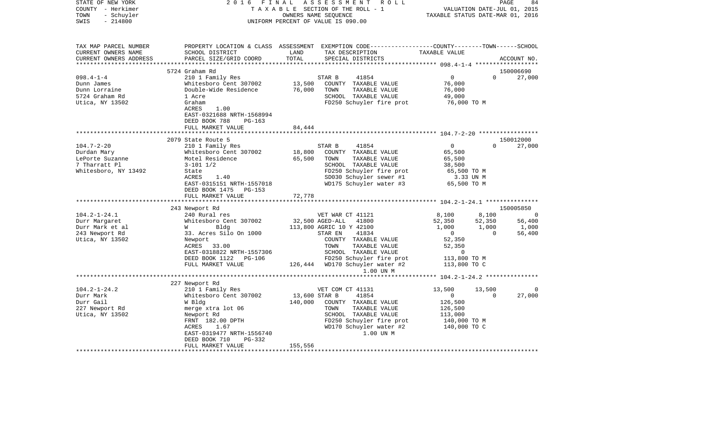| STATE OF NEW YORK<br>COUNTY - Herkimer | 2 0 1 6<br>FINAL                               |               | ASSESSMENT<br>ROLL<br>TAXABLE SECTION OF THE ROLL - 1                                           |                                                | PAGE<br>VALUATION DATE-JUL 01, 2015 | 84             |
|----------------------------------------|------------------------------------------------|---------------|-------------------------------------------------------------------------------------------------|------------------------------------------------|-------------------------------------|----------------|
| - Schuyler<br>TOWN                     |                                                |               | OWNERS NAME SEQUENCE                                                                            | TAXABLE STATUS DATE-MAR 01, 2016               |                                     |                |
| SWIS<br>$-214800$                      |                                                |               | UNIFORM PERCENT OF VALUE IS 090.00                                                              |                                                |                                     |                |
|                                        |                                                |               |                                                                                                 |                                                |                                     |                |
| TAX MAP PARCEL NUMBER                  |                                                |               | PROPERTY LOCATION & CLASS ASSESSMENT EXEMPTION CODE---------------COUNTY-------TOWN------SCHOOL |                                                |                                     |                |
| CURRENT OWNERS NAME                    | SCHOOL DISTRICT                                | LAND          | TAX DESCRIPTION                                                                                 | TAXABLE VALUE                                  |                                     |                |
| CURRENT OWNERS ADDRESS                 | PARCEL SIZE/GRID COORD                         | TOTAL         | SPECIAL DISTRICTS                                                                               |                                                |                                     | ACCOUNT NO.    |
|                                        |                                                |               |                                                                                                 |                                                |                                     |                |
|                                        | 5724 Graham Rd                                 |               |                                                                                                 |                                                |                                     | 150006690      |
| $098.4 - 1 - 4$                        | 210 1 Family Res                               |               | 41854<br>STAR B                                                                                 | $\overline{0}$                                 | $\mathbf{0}$                        | 27,000         |
| Dunn James                             | Whitesboro Cent 307002                         | 13,500        | COUNTY TAXABLE VALUE                                                                            | 76,000                                         |                                     |                |
| Dunn Lorraine                          | Double-Wide Residence                          | 76,000        | TOWN<br>TAXABLE VALUE                                                                           | 76,000                                         |                                     |                |
| 5724 Graham Rd                         | 1 Acre                                         |               | SCHOOL TAXABLE VALUE                                                                            | 49,000                                         |                                     |                |
| Utica, NY 13502                        | Graham                                         |               | FD250 Schuyler fire prot                                                                        | 76,000 TO M                                    |                                     |                |
|                                        | ACRES<br>1.00                                  |               |                                                                                                 |                                                |                                     |                |
|                                        | EAST-0321688 NRTH-1568994                      |               |                                                                                                 |                                                |                                     |                |
|                                        | DEED BOOK 788<br>$PG-163$<br>FULL MARKET VALUE | 84,444        |                                                                                                 |                                                |                                     |                |
|                                        |                                                |               |                                                                                                 |                                                |                                     |                |
|                                        | 2079 State Route 5                             |               |                                                                                                 |                                                |                                     | 150012000      |
| $104.7 - 2 - 20$                       | 210 1 Family Res                               |               | 41854<br>STAR B                                                                                 | $\overline{0}$                                 | $\Omega$                            | 27,000         |
| Durdan Mary                            | Whitesboro Cent 307002                         | 18,800        | COUNTY TAXABLE VALUE                                                                            | 65,500                                         |                                     |                |
| LePorte Suzanne                        | Motel Residence                                | 65,500        | TOWN<br>TAXABLE VALUE                                                                           | 65,500                                         |                                     |                |
| 7 Tharratt Pl                          | $3 - 101$ $1/2$                                |               | SCHOOL TAXABLE VALUE                                                                            | 38,500                                         |                                     |                |
| Whitesboro, NY 13492                   | State                                          |               | FD250 Schuyler fire prot                                                                        | 65,500 TO M                                    |                                     |                |
|                                        | ACRES<br>1.40                                  |               | SD030 Schuyler sewer #1                                                                         | 3.33 UN M                                      |                                     |                |
|                                        | EAST-0315151 NRTH-1557018                      |               | WD175 Schuyler water #3                                                                         | 65,500 TO M                                    |                                     |                |
|                                        | DEED BOOK 1475 PG-153                          |               |                                                                                                 |                                                |                                     |                |
|                                        | FULL MARKET VALUE                              | 72,778        |                                                                                                 |                                                |                                     |                |
|                                        |                                                |               |                                                                                                 |                                                |                                     |                |
|                                        | 243 Newport Rd                                 |               |                                                                                                 |                                                |                                     | 150005850      |
| $104.2 - 1 - 24.1$                     | 240 Rural res                                  |               | VET WAR CT 41121                                                                                | 8,100                                          | 8,100                               | $\overline{0}$ |
| Durr Margaret                          | Whitesboro Cent 307002                         |               | 32,500 AGED-ALL<br>41800                                                                        | 52,350                                         | 52,350                              | 56,400         |
| Durr Mark et al                        | Bldg<br><b>W</b>                               |               | 113,800 AGRIC 10 Y 42100                                                                        | 1,000                                          | 1,000                               | 1,000          |
| 243 Newport Rd                         | 33. Acres Silo On 1000                         |               | STAR EN<br>41834                                                                                | $\overline{0}$                                 | $\Omega$                            | 56,400         |
| Utica, NY 13502                        | Newport                                        |               | COUNTY TAXABLE VALUE                                                                            | 52,350                                         |                                     |                |
|                                        | ACRES 33.00                                    |               | TOWN<br>TAXABLE VALUE                                                                           | 52,350                                         |                                     |                |
|                                        | EAST-0318822 NRTH-1557306                      |               | SCHOOL TAXABLE VALUE                                                                            | $\Omega$                                       |                                     |                |
|                                        | DEED BOOK 1122 PG-106                          |               | FD250 Schuyler fire prot                                                                        | 113,800 TO M                                   |                                     |                |
|                                        | FULL MARKET VALUE                              |               | 126,444 WD170 Schuyler water #2                                                                 | 113,800 TO C                                   |                                     |                |
|                                        | **************************                     |               | 1.00 UN M                                                                                       |                                                |                                     |                |
|                                        |                                                |               |                                                                                                 | **************** 104.2-1-24.2 **************** |                                     |                |
| $104.2 - 1 - 24.2$                     | 227 Newport Rd                                 |               |                                                                                                 |                                                |                                     |                |
| Durr Mark                              | 210 1 Family Res<br>Whitesboro Cent 307002     | 13,600 STAR B | VET COM CT 41131<br>41854                                                                       | 13,500<br>$\overline{0}$                       | 13,500<br>$\Omega$                  | 27,000         |
| Durr Gail                              | W Bldg                                         | 140,000       | COUNTY TAXABLE VALUE                                                                            | 126,500                                        |                                     |                |
| 227 Newport Rd                         | merge xtra lot 06                              |               | TAXABLE VALUE<br>TOWN                                                                           | 126,500                                        |                                     |                |
| Utica, NY 13502                        | Newport Rd                                     |               | SCHOOL TAXABLE VALUE                                                                            | 113,000                                        |                                     |                |
|                                        | FRNT 182.00 DPTH                               |               | FD250 Schuyler fire prot                                                                        | 140,000 TO M                                   |                                     |                |
|                                        | ACRES<br>1.67                                  |               | WD170 Schuyler water #2                                                                         | 140,000 TO C                                   |                                     |                |
|                                        | EAST-0319477 NRTH-1556740                      |               | 1.00 UN M                                                                                       |                                                |                                     |                |
|                                        | DEED BOOK 710<br>PG-332                        |               |                                                                                                 |                                                |                                     |                |
|                                        | FULL MARKET VALUE                              | 155,556       |                                                                                                 |                                                |                                     |                |
|                                        |                                                |               |                                                                                                 |                                                |                                     |                |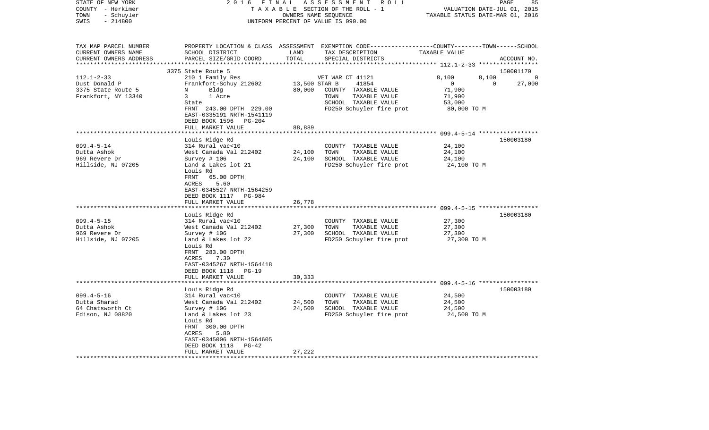| STATE OF NEW YORK<br>COUNTY - Herkimer<br>TOWN<br>- Schuyler<br>SWIS<br>$-214800$                | 2 0 1 6<br>FINAL                                                                                                                                                                                                                           |                            | ASSESSMENT ROLL<br>T A X A B L E SECTION OF THE ROLL - 1<br>OWNERS NAME SEQUENCE<br>UNIFORM PERCENT OF VALUE IS 090.00                  | TAXABLE STATUS DATE-MAR 01, 2016                                                                   | PAGE<br>85<br>VALUATION DATE-JUL 01, 2015 |
|--------------------------------------------------------------------------------------------------|--------------------------------------------------------------------------------------------------------------------------------------------------------------------------------------------------------------------------------------------|----------------------------|-----------------------------------------------------------------------------------------------------------------------------------------|----------------------------------------------------------------------------------------------------|-------------------------------------------|
| TAX MAP PARCEL NUMBER<br>CURRENT OWNERS NAME<br>CURRENT OWNERS ADDRESS<br>********************** | SCHOOL DISTRICT<br>PARCEL SIZE/GRID COORD                                                                                                                                                                                                  | LAND<br>TOTAL              | PROPERTY LOCATION & CLASS ASSESSMENT EXEMPTION CODE---------------COUNTY-------TOWN------SCHOOL<br>TAX DESCRIPTION<br>SPECIAL DISTRICTS | TAXABLE VALUE                                                                                      | ACCOUNT NO.                               |
|                                                                                                  | 3375 State Route 5                                                                                                                                                                                                                         |                            |                                                                                                                                         |                                                                                                    | 150001170                                 |
| $112.1 - 2 - 33$<br>Dust Donald P<br>3375 State Route 5<br>Frankfort, NY 13340                   | 210 1 Family Res<br>Frankfort-Schuy 212602<br>N<br>Bldg<br>3<br>1 Acre<br>State<br>FRNT 243.00 DPTH 229.00<br>EAST-0335191 NRTH-1541119<br>DEED BOOK 1596<br>PG-204                                                                        | 13,500 STAR B<br>80,000    | VET WAR CT 41121<br>41854<br>COUNTY TAXABLE VALUE<br>TAXABLE VALUE<br>TOWN<br>SCHOOL TAXABLE VALUE<br>FD250 Schuyler fire prot          | 8,100<br>8,100<br>$\mathbf{0}$<br>71,900<br>71,900<br>53,000<br>80,000 TO M                        | $\Omega$<br>27,000<br>$\Omega$            |
|                                                                                                  | FULL MARKET VALUE                                                                                                                                                                                                                          | 88,889                     |                                                                                                                                         |                                                                                                    |                                           |
| $099.4 - 5 - 14$<br>Dutta Ashok<br>969 Revere Dr<br>Hillside, NJ 07205                           | Louis Ridge Rd<br>314 Rural vac<10<br>West Canada Val 212402<br>Survey $# 106$<br>Land & Lakes lot 21<br>Louis Rd<br>FRNT<br>65.00 DPTH<br>5.60<br>ACRES<br>EAST-0345527 NRTH-1564259<br>DEED BOOK 1117<br>PG-984<br>FULL MARKET VALUE     | 24,100<br>24,100<br>26,778 | COUNTY TAXABLE VALUE<br>TOWN<br>TAXABLE VALUE<br>SCHOOL TAXABLE VALUE<br>FD250 Schuyler fire prot                                       | *********************** 099.4-5-14 ******************<br>24,100<br>24,100<br>24,100<br>24,100 TO M | 150003180                                 |
| $099.4 - 5 - 15$<br>Dutta Ashok<br>969 Revere Dr<br>Hillside, NJ 07205                           | Louis Ridge Rd<br>314 Rural vac<10<br>West Canada Val 212402<br>Survey $# 106$<br>Land & Lakes lot 22<br>Louis Rd<br>FRNT 283.00 DPTH<br>ACRES<br>7.30<br>EAST-0345267 NRTH-1564418<br>DEED BOOK 1118<br><b>PG-19</b><br>FULL MARKET VALUE | 27,300<br>27,300<br>30,333 | COUNTY TAXABLE VALUE<br>TAXABLE VALUE<br>TOWN<br>SCHOOL TAXABLE VALUE<br>FD250 Schuyler fire prot                                       | 27,300<br>27,300<br>27,300<br>27,300 TO M                                                          | 150003180                                 |
|                                                                                                  | ********************                                                                                                                                                                                                                       | * * * * * * * * * * * * *  | **************************************609.4-5-16 ******************                                                                     |                                                                                                    |                                           |
| $099.4 - 5 - 16$<br>Dutta Sharad<br>64 Chatsworth Ct<br>Edison, NJ 08820                         | Louis Ridge Rd<br>314 Rural vac<10<br>West Canada Val 212402<br>Survey # 106<br>Land & Lakes lot 23<br>Louis Rd<br>FRNT 300.00 DPTH<br>ACRES<br>5.80<br>EAST-0345006 NRTH-1564605<br>DEED BOOK 1118<br>$PG-42$<br>FULL MARKET VALUE        | 24,500<br>24,500<br>27,222 | COUNTY<br>TAXABLE VALUE<br>TOWN<br>TAXABLE VALUE<br>SCHOOL TAXABLE VALUE<br>FD250 Schuyler fire prot                                    | 24,500<br>24,500<br>24,500<br>24,500 TO M                                                          | 150003180                                 |
|                                                                                                  |                                                                                                                                                                                                                                            |                            |                                                                                                                                         |                                                                                                    |                                           |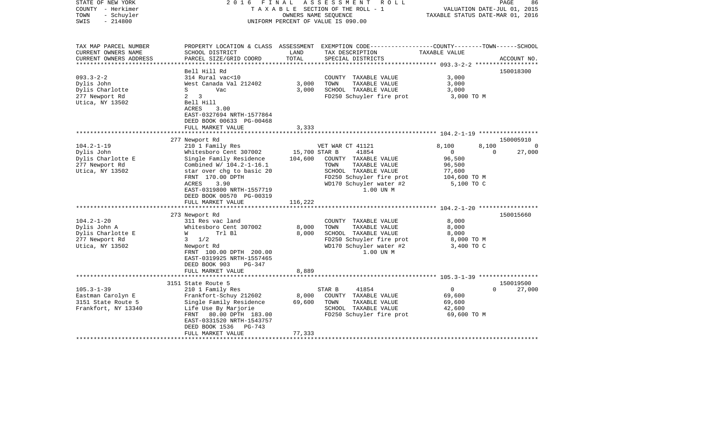| STATE OF NEW YORK<br>COUNTY - Herkimer<br>- Schuyler<br>TOWN<br>$-214800$<br>SWIS          | 2 0 1 6<br>FINAL                                                                                                                                                                                  | OWNERS NAME SEQUENCE     | ASSESSMENT ROLL<br>T A X A B L E SECTION OF THE ROLL - 1<br>UNIFORM PERCENT OF VALUE IS 090.00                                            | VALUATION DATE-JUL 01, 2015<br>TAXABLE STATUS DATE-MAR 01, 2016 | PAGE              | 86          |
|--------------------------------------------------------------------------------------------|---------------------------------------------------------------------------------------------------------------------------------------------------------------------------------------------------|--------------------------|-------------------------------------------------------------------------------------------------------------------------------------------|-----------------------------------------------------------------|-------------------|-------------|
| TAX MAP PARCEL NUMBER<br>CURRENT OWNERS NAME<br>CURRENT OWNERS ADDRESS                     | SCHOOL DISTRICT<br>PARCEL SIZE/GRID COORD                                                                                                                                                         | LAND<br>TOTAL            | PROPERTY LOCATION & CLASS ASSESSMENT EXEMPTION CODE---------------COUNTY-------TOWN-----SCHOOL<br>TAX DESCRIPTION<br>SPECIAL DISTRICTS    | TAXABLE VALUE                                                   |                   | ACCOUNT NO. |
| *************************                                                                  |                                                                                                                                                                                                   |                          |                                                                                                                                           |                                                                 |                   |             |
| $093.3 - 2 - 2$<br>Dylis John<br>Dylis Charlotte<br>277 Newport Rd<br>Utica, NY 13502      | Bell Hill Rd<br>314 Rural vac<10<br>West Canada Val 212402<br>S<br>Vac<br>$2 \quad 3$<br>Bell Hill<br>ACRES<br>3.00<br>EAST-0327694 NRTH-1577864                                                  | 3,000<br>3,000           | COUNTY TAXABLE VALUE<br>TAXABLE VALUE<br>TOWN<br>SCHOOL TAXABLE VALUE<br>FD250 Schuyler fire prot                                         | 3,000<br>3,000<br>3,000<br>3,000 TO M                           |                   | 150018300   |
|                                                                                            | DEED BOOK 00633 PG-00468                                                                                                                                                                          |                          |                                                                                                                                           |                                                                 |                   |             |
|                                                                                            | FULL MARKET VALUE                                                                                                                                                                                 | 3,333<br>********        |                                                                                                                                           |                                                                 |                   |             |
|                                                                                            | 277 Newport Rd                                                                                                                                                                                    |                          |                                                                                                                                           |                                                                 |                   | 150005910   |
| $104.2 - 1 - 19$<br>Dylis John<br>Dylis Charlotte E                                        | 210 1 Family Res<br>Whitesboro Cent 307002<br>Single Family Residence                                                                                                                             | 15,700 STAR B<br>104,600 | VET WAR CT 41121<br>41854<br>COUNTY TAXABLE VALUE                                                                                         | 8,100<br>$\overline{0}$<br>96,500                               | 8,100<br>$\Omega$ | 0<br>27,000 |
| 277 Newport Rd<br>Utica, NY 13502                                                          | Combined W/ 104.2-1-16.1<br>star over chg to basic 20<br>FRNT 170.00 DPTH<br>ACRES<br>3.90<br>EAST-0319800 NRTH-1557719<br>DEED BOOK 00570 PG-00319<br>FULL MARKET VALUE                          | 116,222                  | TOWN<br>TAXABLE VALUE<br>SCHOOL TAXABLE VALUE<br>FD250 Schuyler fire prot<br>WD170 Schuyler water #2<br>1.00 UN M                         | 96,500<br>77,600<br>104,600 TO M<br>5,100 TO C                  |                   |             |
|                                                                                            |                                                                                                                                                                                                   |                          |                                                                                                                                           |                                                                 |                   |             |
| $104.2 - 1 - 20$<br>Dylis John A<br>Dylis Charlotte E<br>277 Newport Rd<br>Utica, NY 13502 | 273 Newport Rd<br>311 Res vac land<br>Whitesboro Cent 307002<br>Trl Bl<br>W<br>$3 \frac{1}{2}$<br>Newport Rd<br>FRNT 100.00 DPTH 200.00<br>EAST-0319925 NRTH-1557465<br>DEED BOOK 903<br>$PG-347$ | 8,000<br>8,000           | COUNTY TAXABLE VALUE<br>TOWN<br>TAXABLE VALUE<br>SCHOOL TAXABLE VALUE<br>FD250 Schuyler fire prot<br>WD170 Schuyler water #2<br>1.00 UN M | 8,000<br>8,000<br>8,000<br>8,000 TO M<br>3,400 TO C             |                   | 150015660   |
|                                                                                            | FULL MARKET VALUE<br>***********************                                                                                                                                                      | 8,889                    |                                                                                                                                           |                                                                 |                   |             |
|                                                                                            | 3151 State Route 5                                                                                                                                                                                |                          |                                                                                                                                           |                                                                 |                   | 150019500   |
| $105.3 - 1 - 39$<br>Eastman Carolyn E<br>3151 State Route 5<br>Frankfort, NY 13340         | 210 1 Family Res<br>Frankfort-Schuy 212602<br>Single Family Residence<br>Life Use By Marjorie<br>FRNT 80.00 DPTH 183.00<br>EAST-0331520 NRTH-1543757<br>DEED BOOK 1536<br>PG-743                  | 8,000<br>69,600          | 41854<br>STAR B<br>COUNTY TAXABLE VALUE<br>TOWN<br>TAXABLE VALUE<br>SCHOOL TAXABLE VALUE<br>FD250 Schuyler fire prot                      | $\overline{0}$<br>69,600<br>69,600<br>42,600<br>69,600 TO M     | $\Omega$          | 27,000      |
|                                                                                            | FULL MARKET VALUE                                                                                                                                                                                 | 77,333                   |                                                                                                                                           |                                                                 |                   |             |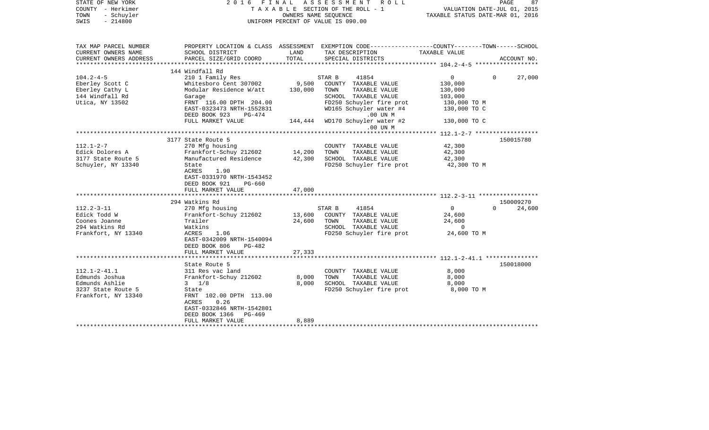| STATE OF NEW YORK<br>COUNTY - Herkimer<br>TOWN<br>- Schuyler<br>SWIS<br>$-214800$                   | 2016                                                                                                                                                                                                          | FINAL<br>OWNERS NAME SEOUENCE | A S S E S S M E N T<br>ROLL<br>T A X A B L E SECTION OF THE ROLL - 1<br>UNIFORM PERCENT OF VALUE IS 090.00                                                      | VALUATION DATE-JUL 01, 2015<br>TAXABLE STATUS DATE-MAR 01, 2016                 | PAGE<br>87                      |
|-----------------------------------------------------------------------------------------------------|---------------------------------------------------------------------------------------------------------------------------------------------------------------------------------------------------------------|-------------------------------|-----------------------------------------------------------------------------------------------------------------------------------------------------------------|---------------------------------------------------------------------------------|---------------------------------|
| TAX MAP PARCEL NUMBER<br>CURRENT OWNERS NAME<br>CURRENT OWNERS ADDRESS                              | SCHOOL DISTRICT<br>PARCEL SIZE/GRID COORD                                                                                                                                                                     | LAND<br>TOTAL                 | PROPERTY LOCATION & CLASS ASSESSMENT EXEMPTION CODE---------------COUNTY-------TOWN------SCHOOL<br>TAX DESCRIPTION<br>SPECIAL DISTRICTS                         | TAXABLE VALUE                                                                   | ACCOUNT NO.                     |
|                                                                                                     |                                                                                                                                                                                                               |                               |                                                                                                                                                                 |                                                                                 |                                 |
|                                                                                                     | 144 Windfall Rd                                                                                                                                                                                               |                               |                                                                                                                                                                 |                                                                                 |                                 |
| $104.2 - 4 - 5$<br>Eberley Scott C<br>Eberley Cathy L<br>144 Windfall Rd<br>Utica, NY 13502         | 210 1 Family Res<br>Whitesboro Cent 307002<br>Modular Residence W/att<br>Garage<br>FRNT 116.00 DPTH 204.00<br>EAST-0323473 NRTH-1552831<br>DEED BOOK 923<br>PG-474<br>FULL MARKET VALUE                       | 9,500<br>130,000              | 41854<br>STAR B<br>COUNTY TAXABLE VALUE<br>TOWN<br>TAXABLE VALUE<br>SCHOOL TAXABLE VALUE<br>FD250 Schuyler fire prot<br>WD165 Schuyler water #4<br>$.00$ UN $M$ | $\overline{0}$<br>130,000<br>130,000<br>103,000<br>130,000 TO M<br>130,000 TO C | 27,000<br>$\Omega$              |
|                                                                                                     |                                                                                                                                                                                                               | 144,444                       | WD170 Schuyler water #2<br>.00 UN M                                                                                                                             | 130,000 TO C                                                                    |                                 |
|                                                                                                     |                                                                                                                                                                                                               |                               |                                                                                                                                                                 |                                                                                 |                                 |
| $112.1 - 2 - 7$<br>Edick Dolores A<br>3177 State Route 5<br>Schuyler, NY 13340                      | 3177 State Route 5<br>270 Mfg housing<br>Frankfort-Schuy 212602<br>Manufactured Residence<br>State<br>ACRES<br>1.90<br>EAST-0331970 NRTH-1543452<br>DEED BOOK 921<br>PG-660<br>FULL MARKET VALUE              | 14,200<br>42,300<br>47,000    | COUNTY TAXABLE VALUE<br>TOWN<br>TAXABLE VALUE<br>SCHOOL TAXABLE VALUE<br>FD250 Schuyler fire prot                                                               | 42,300<br>42,300<br>42,300<br>42,300 TO M                                       | 150015780                       |
|                                                                                                     |                                                                                                                                                                                                               |                               |                                                                                                                                                                 |                                                                                 |                                 |
| $112.2 - 3 - 11$<br>Edick Todd W<br>Coones Joanne<br>294 Watkins Rd<br>Frankfort, NY 13340          | 294 Watkins Rd<br>270 Mfg housing<br>Frankfort-Schuy 212602<br>Trailer<br>Watkins<br>ACRES<br>1.06<br>EAST-0342009 NRTH-1540094<br>DEED BOOK 806<br>PG-482<br>FULL MARKET VALUE                               | 13,600<br>24,600<br>27,333    | STAR B<br>41854<br>COUNTY TAXABLE VALUE<br>TOWN<br>TAXABLE VALUE<br>SCHOOL TAXABLE VALUE<br>FD250 Schuyler fire prot                                            | $\Omega$<br>24,600<br>24,600<br>$\overline{0}$<br>24,600 TO M                   | 150009270<br>$\Omega$<br>24,600 |
|                                                                                                     | ************************                                                                                                                                                                                      |                               |                                                                                                                                                                 |                                                                                 |                                 |
| $112.1 - 2 - 41.1$<br>Edmunds Joshua<br>Edmunds Ashlie<br>3237 State Route 5<br>Frankfort, NY 13340 | State Route 5<br>311 Res vac land<br>Frankfort-Schuy 212602<br>$3 \t1/8$<br>State<br>FRNT 102.00 DPTH 113.00<br>0.26<br>ACRES<br>EAST-0332846 NRTH-1542801<br>DEED BOOK 1366<br>$PG-469$<br>FULL MARKET VALUE | 8,000<br>8,000<br>8,889       | COUNTY TAXABLE VALUE<br>TAXABLE VALUE<br>TOWN<br>SCHOOL TAXABLE VALUE<br>FD250 Schuyler fire prot                                                               | 8,000<br>8,000<br>8,000<br>8,000 TO M                                           | 150018000                       |
|                                                                                                     |                                                                                                                                                                                                               |                               |                                                                                                                                                                 |                                                                                 |                                 |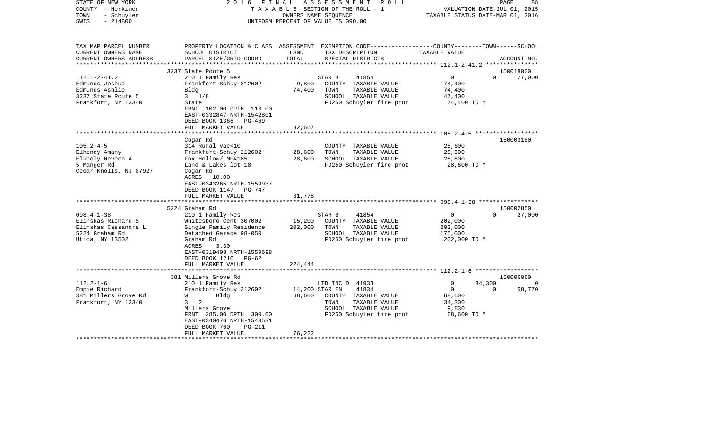| STATE OF NEW YORK<br>COUNTY - Herkimer<br>- Schuyler<br>TOWN<br>$-214800$<br>SWIS                                                                                                                    | 2 0 1 6<br>FINAL                                                                                                                                                                                                                                                                                                                                                                                                  | TAXABLE SECTION OF THE ROLL - 1<br>OWNERS NAME SEQUENCE<br>UNIFORM PERCENT OF VALUE IS 090.00 | ASSESSMENT             | R O L L                                                                                                                                                                                         | VALUATION DATE-JUL 01, 2015<br>TAXABLE STATUS DATE-MAR 01, 2016                                              |          | PAGE<br>88                       |
|------------------------------------------------------------------------------------------------------------------------------------------------------------------------------------------------------|-------------------------------------------------------------------------------------------------------------------------------------------------------------------------------------------------------------------------------------------------------------------------------------------------------------------------------------------------------------------------------------------------------------------|-----------------------------------------------------------------------------------------------|------------------------|-------------------------------------------------------------------------------------------------------------------------------------------------------------------------------------------------|--------------------------------------------------------------------------------------------------------------|----------|----------------------------------|
| TAX MAP PARCEL NUMBER<br>CURRENT OWNERS NAME<br>CURRENT OWNERS ADDRESS<br>**********************                                                                                                     | PROPERTY LOCATION & CLASS ASSESSMENT EXEMPTION CODE---------------COUNTY-------TOWN-----SCHOOL<br>SCHOOL DISTRICT<br>PARCEL SIZE/GRID COORD<br>****************************                                                                                                                                                                                                                                       | LAND<br>TOTAL                                                                                 |                        | TAX DESCRIPTION<br>SPECIAL DISTRICTS                                                                                                                                                            | TAXABLE VALUE                                                                                                |          | ACCOUNT NO.                      |
|                                                                                                                                                                                                      | 3237 State Route 5                                                                                                                                                                                                                                                                                                                                                                                                |                                                                                               |                        |                                                                                                                                                                                                 |                                                                                                              |          | 150018000                        |
| $112.1 - 2 - 41.2$<br>Edmunds Joshua<br>Edmunds Ashlie<br>3237 State Route 5<br>Frankfort, NY 13340                                                                                                  | 210 1 Family Res<br>Frankfort-Schuy 212602<br>Bldg<br>$3 \frac{1}{8}$<br>State<br>FRNT 102.00 DPTH 113.00<br>EAST-0332847 NRTH-1542801                                                                                                                                                                                                                                                                            | 9,800<br>74,400                                                                               | STAR B<br>TOWN         | 41854<br>COUNTY TAXABLE VALUE<br>TAXABLE VALUE<br>SCHOOL TAXABLE VALUE<br>FD250 Schuyler fire prot                                                                                              | $\overline{0}$<br>74,400<br>74,400<br>47,400<br>74,400 TO M                                                  | $\Omega$ | 27,000                           |
|                                                                                                                                                                                                      | DEED BOOK 1366<br>PG-469                                                                                                                                                                                                                                                                                                                                                                                          |                                                                                               |                        |                                                                                                                                                                                                 |                                                                                                              |          |                                  |
|                                                                                                                                                                                                      | FULL MARKET VALUE                                                                                                                                                                                                                                                                                                                                                                                                 | 82,667<br>* * * * * * * *                                                                     |                        |                                                                                                                                                                                                 | ************************ 105.2-4-5 *******************                                                       |          |                                  |
|                                                                                                                                                                                                      |                                                                                                                                                                                                                                                                                                                                                                                                                   |                                                                                               |                        |                                                                                                                                                                                                 |                                                                                                              |          |                                  |
| $105.2 - 4 - 5$<br>Elhendy Amany<br>Elkholy Neveen A<br>5 Manger Rd<br>Cedar Knolls, NJ 07927<br>$098.4 - 1 - 38$<br>Elinskas Richard S<br>Elinskas Cassandra L<br>5224 Graham Rd<br>Utica, NY 13502 | Cogar Rd<br>314 Rural vac<10<br>Frankfort-Schuy 212602<br>Fox Hollow/ MF#185<br>Land & Lakes lot 18<br>Cogar Rd<br>ACRES 10.00<br>EAST-0343265 NRTH-1559937<br>DEED BOOK 1147 PG-747<br>FULL MARKET VALUE<br>5224 Graham Rd<br>210 1 Family Res<br>Whitesboro Cent 307002<br>Single Family Residence<br>Detached Garage 98-050<br>Graham Rd<br>ACRES<br>3.30<br>EAST-0319408 NRTH-1559698<br>DEED BOOK 1210 PG-62 | 28,600<br>28,600<br>31,778<br>15,200<br>202,000                                               | TOWN<br>STAR B<br>TOWN | COUNTY TAXABLE VALUE<br>TAXABLE VALUE<br>SCHOOL TAXABLE VALUE<br>FD250 Schuyler fire prot<br>41854<br>COUNTY TAXABLE VALUE<br>TAXABLE VALUE<br>SCHOOL TAXABLE VALUE<br>FD250 Schuyler fire prot | 28,600<br>28,600<br>28,600<br>28,600 TO M<br>$\overline{0}$<br>202,000<br>202,000<br>175,000<br>202,000 TO M | $\Omega$ | 150003180<br>150002850<br>27,000 |
|                                                                                                                                                                                                      | FULL MARKET VALUE                                                                                                                                                                                                                                                                                                                                                                                                 | 224,444                                                                                       |                        |                                                                                                                                                                                                 |                                                                                                              |          |                                  |
|                                                                                                                                                                                                      | *****************************                                                                                                                                                                                                                                                                                                                                                                                     |                                                                                               |                        |                                                                                                                                                                                                 |                                                                                                              |          |                                  |
| $112.2 - 1 - 6$                                                                                                                                                                                      | 381 Millers Grove Rd<br>210 1 Family Res                                                                                                                                                                                                                                                                                                                                                                          |                                                                                               | LTD INC D 41933        |                                                                                                                                                                                                 | $\Omega$                                                                                                     | 34,300   | 150006060                        |
| Empie Richard<br>381 Millers Grove Rd<br>Frankfort, NY 13340                                                                                                                                         | Frankfort-Schuy 212602<br>W<br>Bldg<br>2<br>$3^{\circ}$<br>Millers Grove<br>FRNT 285.00 DPTH 300.00<br>EAST-0340476 NRTH-1543531<br>DEED BOOK 760<br><b>PG-211</b><br>FULL MARKET VALUE                                                                                                                                                                                                                           | 68,600<br>76,222                                                                              | 14,200 STAR EN<br>TOWN | 41834<br>COUNTY TAXABLE VALUE<br>TAXABLE VALUE<br>SCHOOL TAXABLE VALUE<br>FD250 Schuyler fire prot                                                                                              | $\overline{0}$<br>68,600<br>34,300<br>9,830<br>68,600 TO M                                                   | $\Omega$ | 58,770                           |
|                                                                                                                                                                                                      |                                                                                                                                                                                                                                                                                                                                                                                                                   |                                                                                               |                        |                                                                                                                                                                                                 |                                                                                                              |          |                                  |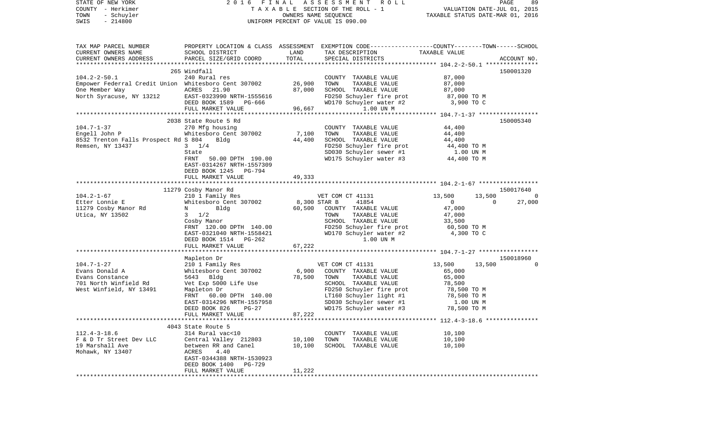| STATE OF NEW YORK                                    | 2016 FINAL                                |                  | ASSESSMENT ROLL                                                                                   |                                  | PAGE<br>89         |
|------------------------------------------------------|-------------------------------------------|------------------|---------------------------------------------------------------------------------------------------|----------------------------------|--------------------|
| COUNTY - Herkimer                                    |                                           |                  | T A X A B L E SECTION OF THE ROLL - 1                                                             | VALUATION DATE-JUL 01, 2015      |                    |
| TOWN<br>- Schuyler                                   |                                           |                  |                                                                                                   | TAXABLE STATUS DATE-MAR 01, 2016 |                    |
| $-214800$<br>SWIS                                    |                                           |                  | UNIFORM PERCENT OF VALUE IS 090.00                                                                |                                  |                    |
|                                                      |                                           |                  |                                                                                                   |                                  |                    |
|                                                      |                                           |                  |                                                                                                   |                                  |                    |
| TAX MAP PARCEL NUMBER                                |                                           |                  | PROPERTY LOCATION & CLASS ASSESSMENT EXEMPTION CODE-----------------COUNTY-------TOWN------SCHOOL |                                  |                    |
| CURRENT OWNERS NAME                                  | SCHOOL DISTRICT                           | LAND             | TAX DESCRIPTION                                                                                   | TAXABLE VALUE                    |                    |
| CURRENT OWNERS ADDRESS                               | PARCEL SIZE/GRID COORD                    | TOTAL            | SPECIAL DISTRICTS                                                                                 |                                  | ACCOUNT NO.        |
|                                                      |                                           |                  |                                                                                                   |                                  |                    |
|                                                      | 265 Windfall                              |                  |                                                                                                   |                                  | 150001320          |
| $104.2 - 2 - 50.1$                                   | 240 Rural res                             |                  | COUNTY TAXABLE VALUE                                                                              | 87,000                           |                    |
| Empower Federral Credit Union Whitesboro Cent 307002 |                                           | 26,900           | TOWN<br>TAXABLE VALUE                                                                             | 87,000                           |                    |
| One Member Way<br>North Syracuse, NY 13212           | ACRES 21.90                               | 87,000           | SCHOOL TAXABLE VALUE                                                                              | 87,000                           |                    |
|                                                      | EAST-0323990 NRTH-1555616                 |                  | FD250 Schuyler fire prot                                                                          | 87,000 TO M                      |                    |
|                                                      | DEED BOOK 1589 PG-666                     |                  | WD170 Schuyler water #2                                                                           | 3,900 TO C                       |                    |
|                                                      | FULL MARKET VALUE                         | 96,667           | 1.00 UN M                                                                                         |                                  |                    |
|                                                      | 2038 State Route 5 Rd                     |                  |                                                                                                   |                                  | 150005340          |
| $104.7 - 1 - 37$                                     | 270 Mfg housing                           |                  | COUNTY TAXABLE VALUE                                                                              | 44,400                           |                    |
| Engell John P                                        | Whitesboro Cent 307002                    | 7,100            | TOWN<br>TAXABLE VALUE                                                                             | 44,400                           |                    |
| 8532 Trenton Falls Prospect Rd S 804                 | Bldg                                      | 44,400           | SCHOOL TAXABLE VALUE                                                                              | 44,400                           |                    |
| Remsen, NY 13437                                     | $3 \t1/4$                                 |                  |                                                                                                   | 44,400 TO M                      |                    |
|                                                      | State                                     |                  |                                                                                                   |                                  |                    |
|                                                      | FRNT<br>50.00 DPTH 190.00                 |                  | FD250 Schuyler fire prot<br>SD030 Schuyler sewer #1<br>WD175 Schuyler water #3                    | 1.00 UN M<br>44,400 TO M         |                    |
|                                                      | EAST-0314267 NRTH-1557309                 |                  |                                                                                                   |                                  |                    |
|                                                      | DEED BOOK 1245 PG-794                     |                  |                                                                                                   |                                  |                    |
|                                                      | FULL MARKET VALUE                         | 49,333           |                                                                                                   |                                  |                    |
|                                                      |                                           |                  |                                                                                                   |                                  |                    |
|                                                      | 11279 Cosby Manor Rd                      |                  |                                                                                                   |                                  | 150017640          |
| $104.2 - 1 - 67$                                     | 210 1 Family Res                          |                  | VET COM CT 41131 13,500                                                                           | 13,500                           | - 0                |
| Etter Lonnie E                                       | Whitesboro Cent 307002                    |                  | 8,300 STAR B<br>41854                                                                             | $\overline{0}$                   | $\Omega$<br>27,000 |
| 11279 Cosby Manor Rd                                 | Bldg<br>$N$ and $N$                       | 60,500           | COUNTY TAXABLE VALUE                                                                              | 47,000                           |                    |
| Utica, NY 13502                                      | $3 \frac{1}{2}$                           |                  | TAXABLE VALUE<br>TOWN                                                                             | 47,000                           |                    |
|                                                      | Cosby Manor                               |                  | SCHOOL TAXABLE VALUE                                                                              | 33,500                           |                    |
|                                                      | FRNT 120.00 DPTH 140.00                   |                  | FD250 Schuyler fire prot                                                                          | 60,500 TO M                      |                    |
|                                                      | EAST-0321040 NRTH-1558421                 |                  | WD170 Schuyler water #2                                                                           | 4,300 TO C                       |                    |
|                                                      | DEED BOOK 1514 PG-262                     |                  | 1.00 UN M                                                                                         |                                  |                    |
|                                                      | FULL MARKET VALUE                         | 67,222           |                                                                                                   |                                  |                    |
|                                                      |                                           |                  |                                                                                                   |                                  |                    |
|                                                      | Mapleton Dr                               |                  |                                                                                                   |                                  | 150018960          |
| $104.7 - 1 - 27$                                     | 210 1 Family Res                          |                  | VET COM CT 41131                                                                                  | 13,500<br>13,500                 | $\overline{0}$     |
| Evans Donald A                                       | Whitesboro Cent 307002                    | 6,900            | COUNTY TAXABLE VALUE                                                                              | 65,000                           |                    |
| Evans Constance                                      | 5643 Bldg                                 | 78,500           | TOWN<br>TAXABLE VALUE                                                                             | 65,000                           |                    |
| 701 North Winfield Rd                                | Vet Exp 5000 Life Use                     |                  | SCHOOL TAXABLE VALUE                                                                              | 78,500                           |                    |
| West Winfield, NY 13491                              | Mapleton Dr                               |                  | FD250 Schuyler fire prot                                                                          | 78,500 TO M                      |                    |
|                                                      | FRNT 60.00 DPTH 140.00                    |                  | LT160 Schuyler light $#1$                                                                         | 78,500 TO M                      |                    |
|                                                      | EAST-0314296 NRTH-1557958                 |                  | SD030 Schuyler sewer #1                                                                           | 1.00 UN M                        |                    |
|                                                      | DEED BOOK 826<br>$PG-27$                  |                  | WD175 Schuyler water #3 78,500 TO M                                                               |                                  |                    |
|                                                      | FULL MARKET VALUE                         | 87,222           |                                                                                                   |                                  |                    |
|                                                      |                                           |                  |                                                                                                   |                                  |                    |
|                                                      | 4043 State Route 5                        |                  |                                                                                                   |                                  |                    |
| $112.4 - 3 - 18.6$<br>F & D Tr Street Dev LLC        | 314 Rural vac<10<br>Central Valley 212803 |                  | COUNTY TAXABLE VALUE<br>TAXABLE VALUE                                                             | 10,100                           |                    |
| 19 Marshall Ave                                      | between RR and Canel                      | 10,100<br>10,100 | TOWN<br>SCHOOL TAXABLE VALUE                                                                      | 10,100<br>10,100                 |                    |
| Mohawk, NY 13407                                     | ACRES<br>4.40                             |                  |                                                                                                   |                                  |                    |
|                                                      | EAST-0344388 NRTH-1530923                 |                  |                                                                                                   |                                  |                    |
|                                                      | DEED BOOK 1400 PG-729                     |                  |                                                                                                   |                                  |                    |
|                                                      | FULL MARKET VALUE                         | 11,222           |                                                                                                   |                                  |                    |
| *****                                                |                                           |                  |                                                                                                   |                                  |                    |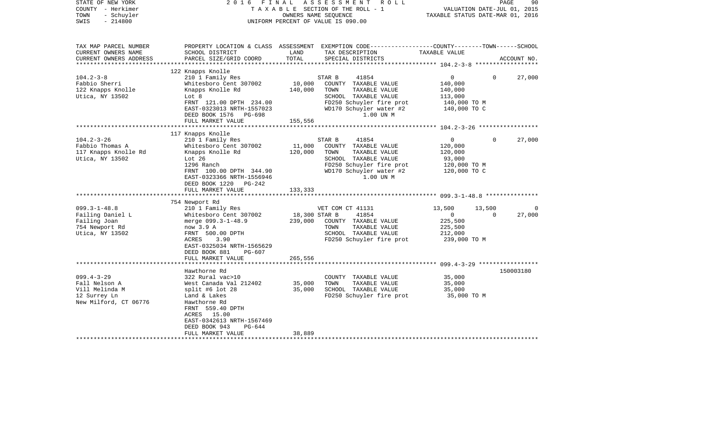| STATE OF NEW YORK<br>COUNTY - Herkimer<br>- Schuyler<br>TOWN<br>$-214800$<br>SWIS                 | 2016<br>FINAL                                                                                                                                                                                                                   |                                     | ASSESSMENT<br>R O L L<br>TAXABLE SECTION OF THE ROLL - 1<br>OWNERS NAME SEOUENCE<br>UNIFORM PERCENT OF VALUE IS 090.00                                       | VALUATION DATE-JUL 01, 2015<br>TAXABLE STATUS DATE-MAR 01, 2016                 | PAGE               | 90          |
|---------------------------------------------------------------------------------------------------|---------------------------------------------------------------------------------------------------------------------------------------------------------------------------------------------------------------------------------|-------------------------------------|--------------------------------------------------------------------------------------------------------------------------------------------------------------|---------------------------------------------------------------------------------|--------------------|-------------|
| TAX MAP PARCEL NUMBER<br>CURRENT OWNERS NAME<br>CURRENT OWNERS ADDRESS<br>*********************** | SCHOOL DISTRICT<br>PARCEL SIZE/GRID COORD                                                                                                                                                                                       | LAND<br>TOTAL                       | PROPERTY LOCATION & CLASS ASSESSMENT EXEMPTION CODE----------------COUNTY-------TOWN------SCHOOL<br>TAX DESCRIPTION<br>SPECIAL DISTRICTS                     | TAXABLE VALUE                                                                   |                    | ACCOUNT NO. |
| $104.2 - 3 - 8$<br>Fabbio Sherri<br>122 Knapps Knolle<br>Utica, NY 13502                          | 122 Knapps Knolle<br>210 1 Family Res<br>Whitesboro Cent 307002<br>Knapps Knolle Rd<br>Lot 8<br>FRNT 121.00 DPTH 234.00<br>EAST-0323013 NRTH-1557023<br>DEED BOOK 1576 PG-698                                                   | 10,000<br>140,000                   | STAR B<br>41854<br>COUNTY TAXABLE VALUE<br>TOWN<br>TAXABLE VALUE<br>SCHOOL TAXABLE VALUE<br>FD250 Schuyler fire prot<br>WD170 Schuyler water #2<br>1.00 UN M | $\overline{0}$<br>140,000<br>140,000<br>113,000<br>140,000 TO M<br>140,000 TO C | $\Omega$           | 27,000      |
|                                                                                                   | FULL MARKET VALUE                                                                                                                                                                                                               | 155,556                             |                                                                                                                                                              |                                                                                 |                    |             |
| $104.2 - 3 - 26$<br>Fabbio Thomas A<br>117 Knapps Knolle Rd<br>Utica, NY 13502                    | 117 Knapps Knolle<br>210 1 Family Res<br>Whitesboro Cent 307002<br>Knapps Knolle Rd<br>Lot 26<br>1296 Ranch<br>FRNT 100.00 DPTH 344.90<br>EAST-0323366 NRTH-1556946<br>DEED BOOK 1220 PG-242<br>FULL MARKET VALUE               | 11,000<br>120,000<br>133,333        | STAR B<br>41854<br>COUNTY TAXABLE VALUE<br>TOWN<br>TAXABLE VALUE<br>SCHOOL TAXABLE VALUE<br>FD250 Schuyler fire prot<br>WD170 Schuyler water #2<br>1.00 UN M | $\overline{0}$<br>120,000<br>120,000<br>93,000<br>120,000 TO M<br>120,000 TO C  | $\Omega$           | 27,000      |
|                                                                                                   | 754 Newport Rd                                                                                                                                                                                                                  |                                     |                                                                                                                                                              |                                                                                 |                    |             |
| $099.3 - 1 - 48.8$<br>Failing Daniel L<br>Failing Joan<br>754 Newport Rd<br>Utica, NY 13502       | 210 1 Family Res<br>Whitesboro Cent 307002<br>merge 099.3-1-48.9<br>now 3.9 A<br>FRNT 500.00 DPTH<br>3.90<br>ACRES<br>EAST-0325034 NRTH-1565629<br>DEED BOOK 881<br>PG-607<br>FULL MARKET VALUE                                 | 18,300 STAR B<br>239,000<br>265,556 | VET COM CT 41131<br>41854<br>COUNTY TAXABLE VALUE<br>TOWN<br>TAXABLE VALUE<br>SCHOOL TAXABLE VALUE<br>FD250 Schuyler fire prot                               | 13,500<br>$\overline{0}$<br>225,500<br>225,500<br>212,000<br>239,000 TO M       | 13,500<br>$\Omega$ | 0<br>27,000 |
|                                                                                                   |                                                                                                                                                                                                                                 |                                     |                                                                                                                                                              |                                                                                 |                    |             |
| $099.4 - 3 - 29$<br>Fall Nelson A<br>Vill Melinda M<br>12 Surrey Ln<br>New Milford, CT 06776      | Hawthorne Rd<br>322 Rural vac>10<br>West Canada Val 212402<br>split #6 lot $28$<br>Land & Lakes<br>Hawthorne Rd<br>FRNT 559.40 DPTH<br>ACRES 15.00<br>EAST-0342613 NRTH-1567469<br>DEED BOOK 943<br>PG-644<br>FULL MARKET VALUE | 35,000<br>35,000                    | COUNTY TAXABLE VALUE<br>TOWN<br>TAXABLE VALUE<br>SCHOOL TAXABLE VALUE<br>FD250 Schuyler fire prot                                                            | 35,000<br>35,000<br>35,000<br>35,000 TO M                                       |                    | 150003180   |
|                                                                                                   |                                                                                                                                                                                                                                 | 38,889                              |                                                                                                                                                              |                                                                                 |                    |             |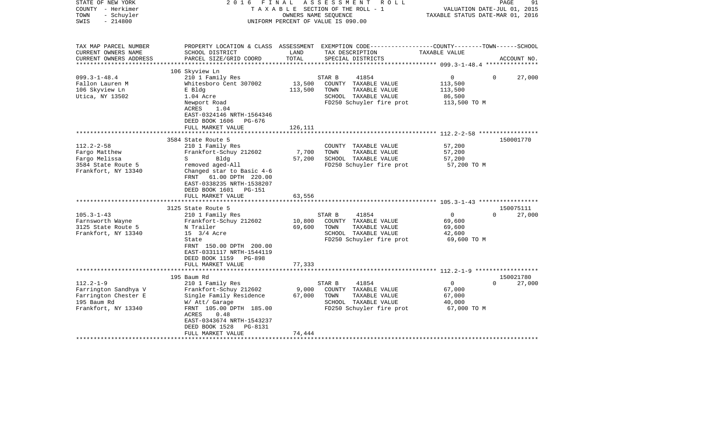| STATE OF NEW YORK<br>COUNTY - Herkimer<br>- Schuyler<br>TOWN<br>$-214800$<br>SWIS                                                                                                    | 2 0 1 6<br>FINAL                                                                                                                                                                                                                                                                                                                                                                                                                                    |                                                          | ASSESSMENT<br>ROLL<br>TAXABLE SECTION OF THE ROLL - 1<br>OWNERS NAME SEQUENCE<br>UNIFORM PERCENT OF VALUE IS 090.00                                                                                                       | VALUATION DATE-JUL 01, 2015<br>TAXABLE STATUS DATE-MAR 01, 2016                                                                                                        | PAGE<br>91                                   |
|--------------------------------------------------------------------------------------------------------------------------------------------------------------------------------------|-----------------------------------------------------------------------------------------------------------------------------------------------------------------------------------------------------------------------------------------------------------------------------------------------------------------------------------------------------------------------------------------------------------------------------------------------------|----------------------------------------------------------|---------------------------------------------------------------------------------------------------------------------------------------------------------------------------------------------------------------------------|------------------------------------------------------------------------------------------------------------------------------------------------------------------------|----------------------------------------------|
| TAX MAP PARCEL NUMBER<br>CURRENT OWNERS NAME<br>CURRENT OWNERS ADDRESS<br>*********************                                                                                      | SCHOOL DISTRICT<br>PARCEL SIZE/GRID COORD                                                                                                                                                                                                                                                                                                                                                                                                           | LAND<br>TOTAL                                            | PROPERTY LOCATION & CLASS ASSESSMENT EXEMPTION CODE----------------COUNTY-------TOWN------SCHOOL<br>TAX DESCRIPTION<br>SPECIAL DISTRICTS                                                                                  | TAXABLE VALUE                                                                                                                                                          | ACCOUNT NO.                                  |
|                                                                                                                                                                                      | 106 Skyview Ln                                                                                                                                                                                                                                                                                                                                                                                                                                      |                                                          |                                                                                                                                                                                                                           |                                                                                                                                                                        |                                              |
| $099.3 - 1 - 48.4$<br>Fallon Lauren M<br>106 Skyview Ln<br>Utica, NY 13502                                                                                                           | 210 1 Family Res<br>Whitesboro Cent 307002<br>E Bldg<br>1.04 Acre<br>Newport Road<br>ACRES<br>1.04<br>EAST-0324146 NRTH-1564346                                                                                                                                                                                                                                                                                                                     | 13,500<br>113,500                                        | 41854<br>STAR B<br>COUNTY TAXABLE VALUE<br>TOWN<br>TAXABLE VALUE<br>SCHOOL TAXABLE VALUE<br>FD250 Schuyler fire prot                                                                                                      | $\circ$<br>113,500<br>113,500<br>86,500<br>113,500 TO M                                                                                                                | 27,000<br>$\Omega$                           |
|                                                                                                                                                                                      | DEED BOOK 1606<br>PG-676                                                                                                                                                                                                                                                                                                                                                                                                                            |                                                          |                                                                                                                                                                                                                           |                                                                                                                                                                        |                                              |
|                                                                                                                                                                                      | FULL MARKET VALUE                                                                                                                                                                                                                                                                                                                                                                                                                                   | 126,111<br>*******                                       |                                                                                                                                                                                                                           | ******************** 112.2-2-58 ******************                                                                                                                     |                                              |
|                                                                                                                                                                                      |                                                                                                                                                                                                                                                                                                                                                                                                                                                     |                                                          |                                                                                                                                                                                                                           |                                                                                                                                                                        |                                              |
| $112.2 - 2 - 58$<br>Fargo Matthew<br>Fargo Melissa<br>3584 State Route 5<br>Frankfort, NY 13340<br>$105.3 - 1 - 43$<br>Farnsworth Wayne<br>3125 State Route 5<br>Frankfort, NY 13340 | 3584 State Route 5<br>210 1 Family Res<br>Frankfort-Schuy 212602<br>$S \qquad \qquad$<br>Bldg<br>removed aged-All<br>Changed star to Basic 4-6<br>FRNT 61.00 DPTH 220.00<br>EAST-0338235 NRTH-1538207<br>DEED BOOK 1601<br>PG-151<br>FULL MARKET VALUE<br>3125 State Route 5<br>210 1 Family Res<br>Frankfort-Schuy 212602<br>N Trailer<br>15 3/4 Acre<br>State<br>FRNT 150.00 DPTH 200.00<br>EAST-0331117 NRTH-1544119<br>DEED BOOK 1159<br>PG-898 | 7,700<br>57,200<br>63,556<br>*******<br>10,800<br>69,600 | COUNTY TAXABLE VALUE<br>TOWN<br>TAXABLE VALUE<br>SCHOOL TAXABLE VALUE<br>FD250 Schuyler fire prot<br>41854<br>STAR B<br>COUNTY TAXABLE VALUE<br>TAXABLE VALUE<br>TOWN<br>SCHOOL TAXABLE VALUE<br>FD250 Schuyler fire prot | 57,200<br>57,200<br>57,200<br>57,200 TO M<br>***************************** 105.3-1-43 *****************<br>$\overline{0}$<br>69,600<br>69,600<br>42,600<br>69,600 TO M | 150001770<br>150075111<br>27,000<br>$\Omega$ |
|                                                                                                                                                                                      | FULL MARKET VALUE                                                                                                                                                                                                                                                                                                                                                                                                                                   | 77,333                                                   |                                                                                                                                                                                                                           |                                                                                                                                                                        |                                              |
|                                                                                                                                                                                      |                                                                                                                                                                                                                                                                                                                                                                                                                                                     |                                                          |                                                                                                                                                                                                                           |                                                                                                                                                                        |                                              |
| $112.2 - 1 - 9$<br>Farrington Sandhya V<br>Farrington Chester E<br>195 Baum Rd<br>Frankfort, NY 13340                                                                                | 195 Baum Rd<br>210 1 Family Res<br>Frankfort-Schuy 212602<br>Single Family Residence<br>W/ Att/ Garage<br>FRNT 105.00 DPTH 185.00<br>ACRES<br>0.48<br>EAST-0343674 NRTH-1543237<br>DEED BOOK 1528<br>PG-8131                                                                                                                                                                                                                                        | 9,000<br>67,000                                          | 41854<br>STAR B<br>COUNTY TAXABLE VALUE<br>TOWN<br>TAXABLE VALUE<br>SCHOOL TAXABLE VALUE<br>FD250 Schuyler fire prot                                                                                                      | $\overline{0}$<br>67,000<br>67,000<br>40,000<br>67,000 TO M                                                                                                            | 150021780<br>27,000<br>$\Omega$              |
|                                                                                                                                                                                      | FULL MARKET VALUE                                                                                                                                                                                                                                                                                                                                                                                                                                   | 74,444                                                   |                                                                                                                                                                                                                           |                                                                                                                                                                        |                                              |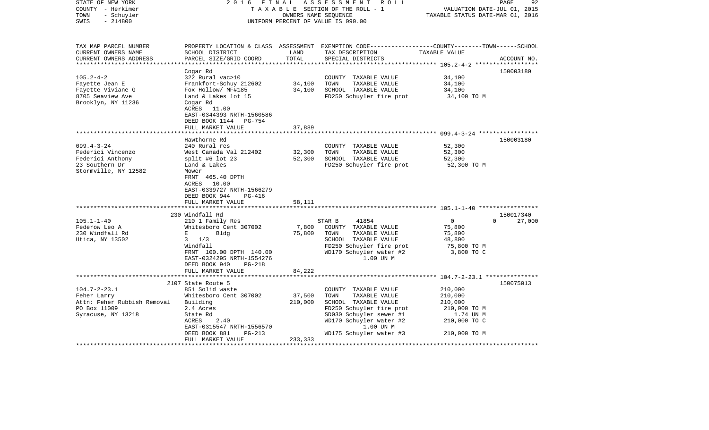| STATE OF NEW YORK<br>COUNTY - Herkimer<br>- Schuyler<br>TOWN<br>$-214800$<br>SWIS | 2016 FINAL                                             | OWNERS NAME SEQUENCE | ASSESSMENT ROLL<br>TAXABLE SECTION OF THE ROLL - 1<br>UNIFORM PERCENT OF VALUE IS 090.00                                                 | VALUATION DATE-JUL 01, 2015<br>TAXABLE STATUS DATE-MAR 01, 2016 | 92<br>PAGE                      |
|-----------------------------------------------------------------------------------|--------------------------------------------------------|----------------------|------------------------------------------------------------------------------------------------------------------------------------------|-----------------------------------------------------------------|---------------------------------|
| TAX MAP PARCEL NUMBER<br>CURRENT OWNERS NAME<br>CURRENT OWNERS ADDRESS            | SCHOOL DISTRICT<br>PARCEL SIZE/GRID COORD              | LAND<br>TOTAL        | PROPERTY LOCATION & CLASS ASSESSMENT EXEMPTION CODE----------------COUNTY-------TOWN------SCHOOL<br>TAX DESCRIPTION<br>SPECIAL DISTRICTS | TAXABLE VALUE                                                   | ACCOUNT NO.                     |
|                                                                                   |                                                        |                      |                                                                                                                                          |                                                                 |                                 |
| $105.2 - 4 - 2$                                                                   | Cogar Rd<br>322 Rural vac>10                           |                      | COUNTY TAXABLE VALUE                                                                                                                     | 34,100                                                          | 150003180                       |
| Fayette Jean E                                                                    | Frankfort-Schuy 212602                                 | 34,100               | TOWN<br>TAXABLE VALUE                                                                                                                    | 34,100                                                          |                                 |
| Fayette Viviane G                                                                 | Fox Hollow/ MF#185                                     | 34,100               | SCHOOL TAXABLE VALUE                                                                                                                     | 34,100                                                          |                                 |
| 8705 Seaview Ave                                                                  | Land & Lakes lot 15                                    |                      | FD250 Schuyler fire prot                                                                                                                 | 34,100 TO M                                                     |                                 |
| Brooklyn, NY 11236                                                                | Cogar Rd                                               |                      |                                                                                                                                          |                                                                 |                                 |
|                                                                                   | ACRES 11.00                                            |                      |                                                                                                                                          |                                                                 |                                 |
|                                                                                   | EAST-0344393 NRTH-1560586                              |                      |                                                                                                                                          |                                                                 |                                 |
|                                                                                   | DEED BOOK 1144<br>PG-754                               |                      |                                                                                                                                          |                                                                 |                                 |
|                                                                                   | FULL MARKET VALUE                                      | 37,889               |                                                                                                                                          |                                                                 |                                 |
|                                                                                   |                                                        |                      |                                                                                                                                          |                                                                 |                                 |
| $099.4 - 3 - 24$                                                                  | Hawthorne Rd<br>240 Rural res                          |                      | COUNTY TAXABLE VALUE                                                                                                                     | 52,300                                                          | 150003180                       |
| Federici Vincenzo                                                                 | West Canada Val 212402                                 | 32,300               | TOWN<br>TAXABLE VALUE                                                                                                                    | 52,300                                                          |                                 |
| Federici Anthony                                                                  | split #6 lot 23                                        | 52,300               | SCHOOL TAXABLE VALUE                                                                                                                     | 52,300                                                          |                                 |
| 23 Southern Dr                                                                    | Land & Lakes                                           |                      | FD250 Schuyler fire prot                                                                                                                 | 52,300 TO M                                                     |                                 |
| Stormville, NY 12582                                                              | Mower                                                  |                      |                                                                                                                                          |                                                                 |                                 |
|                                                                                   | FRNT 465.40 DPTH                                       |                      |                                                                                                                                          |                                                                 |                                 |
|                                                                                   | ACRES 10.00                                            |                      |                                                                                                                                          |                                                                 |                                 |
|                                                                                   | EAST-0339727 NRTH-1566279                              |                      |                                                                                                                                          |                                                                 |                                 |
|                                                                                   | DEED BOOK 944<br>PG-416                                |                      |                                                                                                                                          |                                                                 |                                 |
|                                                                                   | FULL MARKET VALUE                                      | 58,111               |                                                                                                                                          |                                                                 |                                 |
|                                                                                   |                                                        |                      |                                                                                                                                          |                                                                 |                                 |
| $105.1 - 1 - 40$                                                                  | 230 Windfall Rd<br>210 1 Family Res                    |                      | 41854<br>STAR B                                                                                                                          | $\overline{0}$                                                  | 150017340<br>$\Omega$<br>27,000 |
| Federow Leo A                                                                     | Whitesboro Cent 307002                                 | 7,800                | COUNTY TAXABLE VALUE                                                                                                                     | 75,800                                                          |                                 |
| 230 Windfall Rd                                                                   | $\mathbf{E}$ and $\mathbf{E}$ and $\mathbf{E}$<br>Bldg | 75,800               | TOWN<br>TAXABLE VALUE                                                                                                                    | 75,800                                                          |                                 |
| Utica, NY 13502                                                                   | $3 \t1/3$                                              |                      | SCHOOL TAXABLE VALUE                                                                                                                     | 48,800                                                          |                                 |
|                                                                                   | Windfall                                               |                      | FD250 Schuyler fire prot                                                                                                                 | 75,800 TO M                                                     |                                 |
|                                                                                   | FRNT 100.00 DPTH 140.00                                |                      | WD170 Schuyler water #2                                                                                                                  | 3,800 TO C                                                      |                                 |
|                                                                                   | EAST-0324295 NRTH-1554276                              |                      | 1.00 UN M                                                                                                                                |                                                                 |                                 |
|                                                                                   | DEED BOOK 940<br><b>PG-218</b>                         |                      |                                                                                                                                          |                                                                 |                                 |
|                                                                                   | FULL MARKET VALUE                                      | 84,222               |                                                                                                                                          |                                                                 |                                 |
|                                                                                   | *************************                              |                      |                                                                                                                                          |                                                                 |                                 |
|                                                                                   | 2107 State Route 5                                     |                      |                                                                                                                                          |                                                                 | 150075013                       |
| $104.7 - 2 - 23.1$                                                                | 851 Solid waste                                        |                      | COUNTY TAXABLE VALUE                                                                                                                     | 210,000                                                         |                                 |
| Feher Larry<br>Attn: Feher Rubbish Removal                                        | Whitesboro Cent 307002                                 | 37,500<br>210,000    | TOWN<br>TAXABLE VALUE<br>SCHOOL TAXABLE VALUE                                                                                            | 210,000                                                         |                                 |
| PO Box 11009                                                                      | Building<br>2.4 Acres                                  |                      | FD250 Schuyler fire prot                                                                                                                 | 210,000<br>210,000 TO M                                         |                                 |
| Syracuse, NY 13218                                                                | State Rd                                               |                      | SD030 Schuyler sewer #1                                                                                                                  | 1.74 UN M                                                       |                                 |
|                                                                                   | ACRES<br>2.40                                          |                      | WD170 Schuyler water #2                                                                                                                  | 210,000 TO C                                                    |                                 |
|                                                                                   | EAST-0315547 NRTH-1556570                              |                      | 1.00 UN M                                                                                                                                |                                                                 |                                 |
|                                                                                   | DEED BOOK 881<br>$PG-213$                              |                      | WD175 Schuyler water #3                                                                                                                  | 210,000 TO M                                                    |                                 |
|                                                                                   | FULL MARKET VALUE                                      | 233,333              |                                                                                                                                          |                                                                 |                                 |
| ********************                                                              |                                                        |                      |                                                                                                                                          | ***************************                                     |                                 |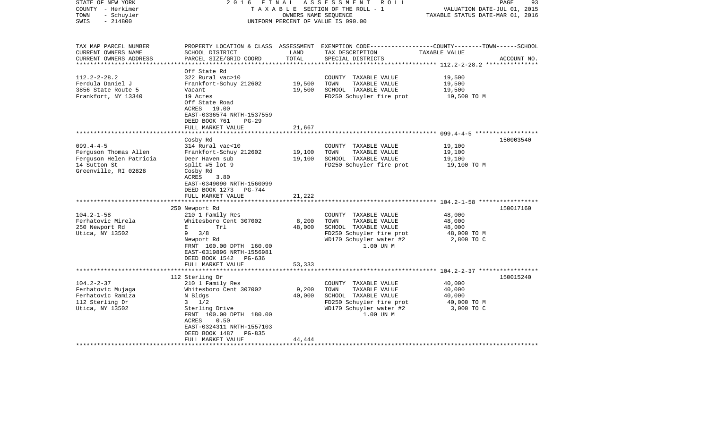| STATE OF NEW YORK<br>COUNTY - Herkimer<br>- Schuyler<br>TOWN<br>$-214800$<br>SWIS                           | 2 0 1 6<br>FINAL                                                                                                                                                                                                   | OWNERS NAME SEQUENCE       | ASSESSMENT<br>R O L L<br>TAXABLE SECTION OF THE ROLL - 1<br>UNIFORM PERCENT OF VALUE IS 090.00                                            | VALUATION DATE-JUL 01, 2015<br>TAXABLE STATUS DATE-MAR 01, 2016 | PAGE<br>93  |
|-------------------------------------------------------------------------------------------------------------|--------------------------------------------------------------------------------------------------------------------------------------------------------------------------------------------------------------------|----------------------------|-------------------------------------------------------------------------------------------------------------------------------------------|-----------------------------------------------------------------|-------------|
| TAX MAP PARCEL NUMBER<br>CURRENT OWNERS NAME<br>CURRENT OWNERS ADDRESS                                      | SCHOOL DISTRICT<br>PARCEL SIZE/GRID COORD                                                                                                                                                                          | LAND<br>TOTAL              | PROPERTY LOCATION & CLASS ASSESSMENT EXEMPTION CODE----------------COUNTY-------TOWN------SCHOOL<br>TAX DESCRIPTION<br>SPECIAL DISTRICTS  | TAXABLE VALUE                                                   | ACCOUNT NO. |
| $112.2 - 2 - 28.2$<br>Ferdula Daniel J<br>3856 State Route 5<br>Frankfort, NY 13340                         | Off State Rd<br>322 Rural vac>10<br>Frankfort-Schuy 212602<br>Vacant<br>19 Acres<br>Off State Road<br>ACRES 19.00<br>EAST-0336574 NRTH-1537559<br>DEED BOOK 761<br>$PG-29$                                         | 19,500<br>19,500           | COUNTY TAXABLE VALUE<br>TOWN<br>TAXABLE VALUE<br>SCHOOL TAXABLE VALUE<br>FD250 Schuyler fire prot                                         | 19,500<br>19,500<br>19,500<br>19,500 TO M                       |             |
|                                                                                                             | FULL MARKET VALUE<br>********************                                                                                                                                                                          | 21,667                     |                                                                                                                                           |                                                                 |             |
| $099.4 - 4 - 5$<br>Ferguson Thomas Allen<br>Ferguson Helen Patricia<br>14 Sutton St<br>Greenville, RI 02828 | Cosby Rd<br>314 Rural vac<10<br>Frankfort-Schuy 212602<br>Deer Haven sub<br>split #5 lot 9<br>Cosby Rd<br>ACRES<br>3.80<br>EAST-0349090 NRTH-1560099<br>DEED BOOK 1273 PG-744<br>FULL MARKET VALUE                 | 19,100<br>19,100<br>21,222 | COUNTY TAXABLE VALUE<br>TOWN<br>TAXABLE VALUE<br>SCHOOL TAXABLE VALUE<br>FD250 Schuyler fire prot                                         | 19,100<br>19,100<br>19,100<br>19,100 TO M                       | 150003540   |
|                                                                                                             |                                                                                                                                                                                                                    |                            |                                                                                                                                           |                                                                 |             |
| $104.2 - 1 - 58$<br>Ferhatovic Mirela<br>250 Newport Rd<br>Utica, NY 13502                                  | 250 Newport Rd<br>210 1 Family Res<br>Whitesboro Cent 307002<br>E<br>Trl<br>$9 \frac{3}{8}$<br>Newport Rd<br>FRNT 100.00 DPTH 160.00<br>EAST-0319896 NRTH-1556981<br>DEED BOOK 1542 PG-636<br>FULL MARKET VALUE    | 8,200<br>48,000<br>53,333  | COUNTY TAXABLE VALUE<br>TOWN<br>TAXABLE VALUE<br>SCHOOL TAXABLE VALUE<br>FD250 Schuyler fire prot<br>WD170 Schuyler water #2<br>1.00 UN M | 48,000<br>48,000<br>48,000<br>48,000 TO M<br>2,800 TO C         | 150017160   |
|                                                                                                             | **********************                                                                                                                                                                                             |                            |                                                                                                                                           |                                                                 |             |
| $104.2 - 2 - 37$<br>Ferhatovic Mujaga<br>Ferhatovic Ramiza<br>112 Sterling Dr<br>Utica, NY 13502            | 112 Sterling Dr<br>210 1 Family Res<br>Whitesboro Cent 307002<br>N Bldgs<br>$3 \frac{1}{2}$<br>Sterling Drive<br>FRNT 100.00 DPTH 180.00<br>ACRES<br>0.50<br>EAST-0324311 NRTH-1557103<br>DEED BOOK 1487<br>PG-835 | 9,200<br>40,000            | COUNTY TAXABLE VALUE<br>TOWN<br>TAXABLE VALUE<br>SCHOOL TAXABLE VALUE<br>FD250 Schuyler fire prot<br>WD170 Schuyler water #2<br>1.00 UN M | 40,000<br>40,000<br>40,000<br>40,000 TO M<br>3,000 TO C         | 150015240   |
|                                                                                                             | FULL MARKET VALUE                                                                                                                                                                                                  | 44,444                     |                                                                                                                                           |                                                                 |             |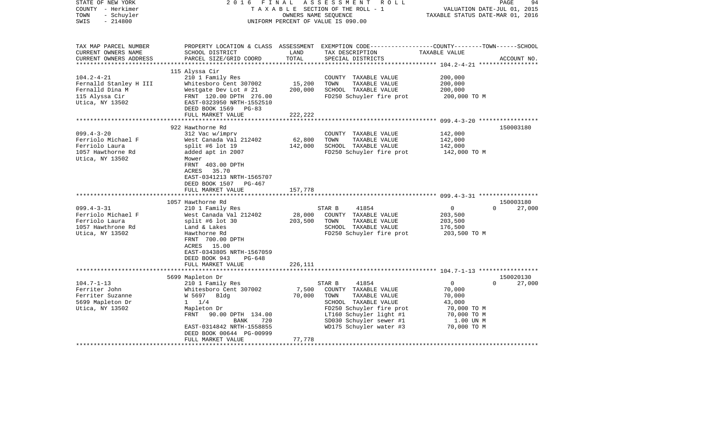| STATE OF NEW YORK<br>COUNTY - Herkimer<br>- Schuyler<br>TOWN<br>$-214800$<br>SWIS                | 2 0 1 6<br>FINAL                                                                                                                                                                                                                | OWNERS NAME SEQUENCE         | ASSESSMENT<br>R O L L<br>TAXABLE SECTION OF THE ROLL - 1<br>UNIFORM PERCENT OF VALUE IS 090.00                                                                                                        | PAGE<br>VALUATION DATE-JUL 01, 2015<br>TAXABLE STATUS DATE-MAR 01, 2016                                            | 94          |
|--------------------------------------------------------------------------------------------------|---------------------------------------------------------------------------------------------------------------------------------------------------------------------------------------------------------------------------------|------------------------------|-------------------------------------------------------------------------------------------------------------------------------------------------------------------------------------------------------|--------------------------------------------------------------------------------------------------------------------|-------------|
| TAX MAP PARCEL NUMBER<br>CURRENT OWNERS NAME<br>CURRENT OWNERS ADDRESS                           | SCHOOL DISTRICT<br>PARCEL SIZE/GRID COORD                                                                                                                                                                                       | LAND<br>TOTAL                | TAX DESCRIPTION<br>SPECIAL DISTRICTS                                                                                                                                                                  | PROPERTY LOCATION & CLASS ASSESSMENT EXEMPTION CODE---------------COUNTY-------TOWN------SCHOOL<br>TAXABLE VALUE   | ACCOUNT NO. |
| $104.2 - 4 - 21$<br>Fernalld Stanley H III                                                       | 115 Alyssa Cir<br>210 1 Family Res<br>Whitesboro Cent 307002                                                                                                                                                                    | 15,200                       | COUNTY TAXABLE VALUE<br>TOWN<br>TAXABLE VALUE                                                                                                                                                         | 200,000<br>200,000                                                                                                 |             |
| Fernalld Dina M<br>115 Alyssa Cir<br>Utica, NY 13502                                             | Westgate Dev Lot # 21<br>FRNT 120.00 DPTH 276.00<br>EAST-0323950 NRTH-1552510<br>DEED BOOK 1569 PG-83                                                                                                                           | 200,000                      | SCHOOL TAXABLE VALUE<br>FD250 Schuyler fire prot                                                                                                                                                      | 200,000<br>200,000 TO M                                                                                            |             |
|                                                                                                  | FULL MARKET VALUE                                                                                                                                                                                                               | 222,222                      |                                                                                                                                                                                                       |                                                                                                                    |             |
|                                                                                                  |                                                                                                                                                                                                                                 |                              |                                                                                                                                                                                                       |                                                                                                                    |             |
| $099.4 - 3 - 20$<br>Ferriolo Michael F<br>Ferriolo Laura<br>1057 Hawthorne Rd<br>Utica, NY 13502 | 922 Hawthorne Rd<br>312 Vac w/imprv<br>West Canada Val 212402<br>split #6 lot 19<br>added apt in 2007<br>Mower<br>FRNT 403.00 DPTH<br>35.70<br>ACRES<br>EAST-0341213 NRTH-1565707<br>DEED BOOK 1507 PG-467<br>FULL MARKET VALUE | 62,800<br>142,000<br>157,778 | COUNTY TAXABLE VALUE<br>TOWN<br>TAXABLE VALUE<br>SCHOOL TAXABLE VALUE<br>FD250 Schuyler fire prot                                                                                                     | 142,000<br>142,000<br>142,000<br>142,000 TO M                                                                      | 150003180   |
|                                                                                                  |                                                                                                                                                                                                                                 |                              |                                                                                                                                                                                                       |                                                                                                                    |             |
|                                                                                                  | 1057 Hawthorne Rd                                                                                                                                                                                                               |                              |                                                                                                                                                                                                       |                                                                                                                    | 150003180   |
| $099.4 - 3 - 31$<br>Ferriolo Michael F<br>Ferriolo Laura<br>1057 Hawthrone Rd<br>Utica, NY 13502 | 210 1 Family Res<br>West Canada Val 212402<br>split #6 lot $30$<br>Land & Lakes<br>Hawthorne Rd<br>FRNT 700.00 DPTH<br>ACRES 15.00<br>EAST-0343805 NRTH-1567059                                                                 | 28,000<br>203,500            | STAR B<br>41854<br>COUNTY TAXABLE VALUE<br>TOWN<br>TAXABLE VALUE<br>SCHOOL TAXABLE VALUE<br>FD250 Schuyler fire prot                                                                                  | $\overline{0}$<br>$\Omega$<br>203,500<br>203,500<br>176,500<br>203,500 TO M                                        | 27,000      |
|                                                                                                  | DEED BOOK 943<br>$PG-648$<br>FULL MARKET VALUE<br>**********************                                                                                                                                                        | 226,111                      |                                                                                                                                                                                                       |                                                                                                                    |             |
|                                                                                                  | 5699 Mapleton Dr                                                                                                                                                                                                                |                              |                                                                                                                                                                                                       |                                                                                                                    | 150020130   |
| $104.7 - 1 - 13$<br>Ferriter John<br>Ferriter Suzanne<br>5699 Mapleton Dr<br>Utica, NY 13502     | 210 1 Family Res<br>Whitesboro Cent 307002<br>W 5697<br>Bldg<br>$1 \t1/4$<br>Mapleton Dr<br>FRNT 90.00 DPTH 134.00<br>720<br>BANK<br>EAST-0314842 NRTH-1558855                                                                  | 7,500<br>70,000              | 41854<br>STAR B<br>COUNTY TAXABLE VALUE<br>TOWN<br>TAXABLE VALUE<br>SCHOOL TAXABLE VALUE<br>FD250 Schuyler fire prot<br>LT160 Schuyler light #1<br>SD030 Schuyler sewer #1<br>WD175 Schuyler water #3 | $\overline{0}$<br>$\Omega$<br>70,000<br>70,000<br>43,000<br>70,000 TO M<br>70,000 TO M<br>1.00 UN M<br>70,000 TO M | 27,000      |
|                                                                                                  | DEED BOOK 00644 PG-00999<br>FULL MARKET VALUE                                                                                                                                                                                   | 77,778                       |                                                                                                                                                                                                       |                                                                                                                    |             |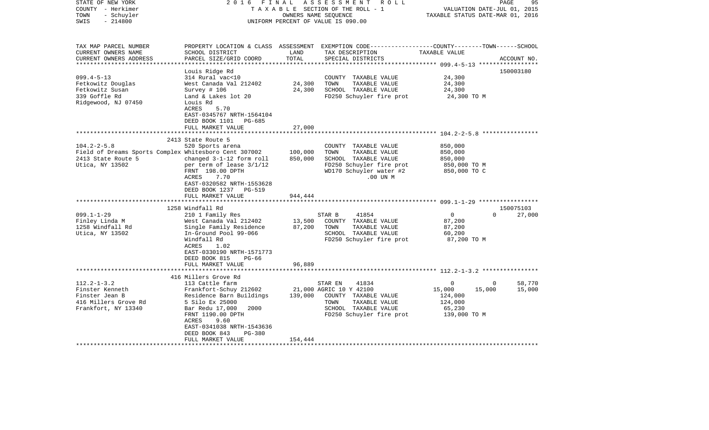| STATE OF NEW YORK<br>COUNTY - Herkimer<br>- Schuyler<br>TOWN<br>$-214800$<br>SWIS                                                                                                                | FINAL<br>2016                                                                                                                                                                                                                                                                                                                                                                                                               | OWNERS NAME SEQUENCE                              | ASSESSMENT ROLL<br>TAXABLE SECTION OF THE ROLL - 1<br>UNIFORM PERCENT OF VALUE IS 090.00                                                                                                                                                                         | VALUATION DATE-JUL 01, 2015<br>TAXABLE STATUS DATE-MAR 01, 2016                                                                       | 95<br>PAGE          |
|--------------------------------------------------------------------------------------------------------------------------------------------------------------------------------------------------|-----------------------------------------------------------------------------------------------------------------------------------------------------------------------------------------------------------------------------------------------------------------------------------------------------------------------------------------------------------------------------------------------------------------------------|---------------------------------------------------|------------------------------------------------------------------------------------------------------------------------------------------------------------------------------------------------------------------------------------------------------------------|---------------------------------------------------------------------------------------------------------------------------------------|---------------------|
| TAX MAP PARCEL NUMBER<br>CURRENT OWNERS NAME<br>CURRENT OWNERS ADDRESS                                                                                                                           | SCHOOL DISTRICT<br>PARCEL SIZE/GRID COORD                                                                                                                                                                                                                                                                                                                                                                                   | LAND<br>TOTAL                                     | PROPERTY LOCATION & CLASS ASSESSMENT EXEMPTION CODE----------------COUNTY-------TOWN------SCHOOL<br>TAX DESCRIPTION<br>SPECIAL DISTRICTS                                                                                                                         | TAXABLE VALUE                                                                                                                         | ACCOUNT NO.         |
| ************************                                                                                                                                                                         |                                                                                                                                                                                                                                                                                                                                                                                                                             |                                                   |                                                                                                                                                                                                                                                                  |                                                                                                                                       |                     |
| $099.4 - 5 - 13$                                                                                                                                                                                 | Louis Ridge Rd<br>314 Rural vac<10                                                                                                                                                                                                                                                                                                                                                                                          |                                                   | COUNTY TAXABLE VALUE                                                                                                                                                                                                                                             | 24,300                                                                                                                                | 150003180           |
| Fetkowitz Douglas                                                                                                                                                                                | West Canada Val 212402                                                                                                                                                                                                                                                                                                                                                                                                      | 24,300                                            | TOWN<br>TAXABLE VALUE                                                                                                                                                                                                                                            | 24,300                                                                                                                                |                     |
| Fetkowitz Susan                                                                                                                                                                                  | Survey # 106                                                                                                                                                                                                                                                                                                                                                                                                                | 24,300                                            | SCHOOL TAXABLE VALUE                                                                                                                                                                                                                                             | 24,300                                                                                                                                |                     |
| 339 Goffle Rd<br>Ridgewood, NJ 07450                                                                                                                                                             | Land & Lakes lot 20<br>Louis Rd<br>5.70<br>ACRES<br>EAST-0345767 NRTH-1564104<br>DEED BOOK 1101<br>PG-685                                                                                                                                                                                                                                                                                                                   |                                                   | FD250 Schuyler fire prot                                                                                                                                                                                                                                         | 24,300 TO M                                                                                                                           |                     |
|                                                                                                                                                                                                  | FULL MARKET VALUE<br>*****************                                                                                                                                                                                                                                                                                                                                                                                      | 27,000                                            |                                                                                                                                                                                                                                                                  |                                                                                                                                       |                     |
|                                                                                                                                                                                                  |                                                                                                                                                                                                                                                                                                                                                                                                                             |                                                   |                                                                                                                                                                                                                                                                  |                                                                                                                                       |                     |
| $104.2 - 2 - 5.8$<br>Field of Dreams Sports Complex Whitesboro Cent 307002<br>2413 State Route 5<br>Utica, NY 13502<br>$099.1 - 1 - 29$<br>Finley Linda M<br>1258 Windfall Rd<br>Utica, NY 13502 | 2413 State Route 5<br>520 Sports arena<br>changed 3-1-12 form roll<br>per term of lease 3/1/12<br>FRNT 198.00 DPTH<br>7.70<br>ACRES<br>EAST-0320582 NRTH-1553628<br>DEED BOOK 1237 PG-519<br>FULL MARKET VALUE<br>1258 Windfall Rd<br>210 1 Family Res<br>West Canada Val 212402<br>Single Family Residence<br>In-Ground Pool 99-066<br>Windfall Rd<br>ACRES<br>1.02<br>EAST-0330190 NRTH-1571773<br>DEED BOOK 815<br>PG-66 | 100,000<br>850,000<br>944,444<br>13,500<br>87,200 | COUNTY TAXABLE VALUE<br>TOWN<br>TAXABLE VALUE<br>SCHOOL TAXABLE VALUE<br>FD250 Schuyler fire prot<br>WD170 Schuyler water #2<br>.00 UN M<br>STAR B<br>41854<br>COUNTY TAXABLE VALUE<br>TOWN<br>TAXABLE VALUE<br>SCHOOL TAXABLE VALUE<br>FD250 Schuyler fire prot | 850,000<br>850,000<br>850,000<br>850,000 TO M<br>850,000 TO C<br>$\mathbf 0$<br>$\Omega$<br>87,200<br>87,200<br>60,200<br>87,200 TO M | 150075103<br>27,000 |
|                                                                                                                                                                                                  | FULL MARKET VALUE                                                                                                                                                                                                                                                                                                                                                                                                           | 96,889                                            |                                                                                                                                                                                                                                                                  |                                                                                                                                       |                     |
|                                                                                                                                                                                                  |                                                                                                                                                                                                                                                                                                                                                                                                                             |                                                   |                                                                                                                                                                                                                                                                  |                                                                                                                                       |                     |
| $112.2 - 1 - 3.2$<br>Finster Kenneth<br>Finster Jean B<br>416 Millers Grove Rd<br>Frankfort, NY 13340                                                                                            | 416 Millers Grove Rd<br>113 Cattle farm<br>Frankfort-Schuy 212602<br>Residence Barn Buildings<br>5 Silo Ex 25000<br>Bar Redu 17,000<br>2000<br>FRNT 1190.00 DPTH<br>ACRES<br>9.60<br>EAST-0341038 NRTH-1543636<br>DEED BOOK 843<br>$PG-380$<br>FULL MARKET VALUE                                                                                                                                                            | 139,000<br>154,444                                | STAR EN<br>41834<br>21,000 AGRIC 10 Y 42100<br>COUNTY TAXABLE VALUE<br>TOWN<br>TAXABLE VALUE<br>SCHOOL TAXABLE VALUE<br>FD250 Schuyler fire prot                                                                                                                 | $\mathbf 0$<br>$\overline{0}$<br>15,000<br>15,000<br>124,000<br>124,000<br>65,230<br>139,000 TO M                                     | 58,770<br>15,000    |
|                                                                                                                                                                                                  |                                                                                                                                                                                                                                                                                                                                                                                                                             |                                                   |                                                                                                                                                                                                                                                                  |                                                                                                                                       |                     |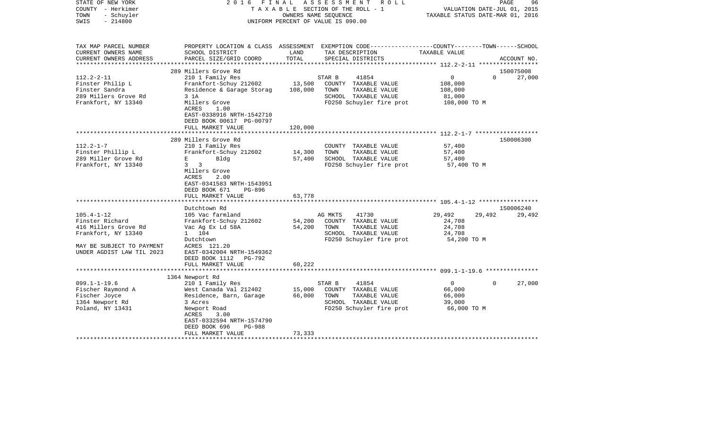| STATE OF NEW YORK<br>COUNTY - Herkimer<br>- Schuyler<br>TOWN<br>$-214800$<br>SWIS                                                                                                                                                  | 2 0 1 6<br>FINAL                                                                                                                                                                                                                                                                                                                                                                                                                                        |                                                          | ASSESSMENT<br>R O L L<br>T A X A B L E SECTION OF THE ROLL - 1<br>OWNERS NAME SEQUENCE<br>UNIFORM PERCENT OF VALUE IS 090.00                                                                                               | VALUATION DATE-JUL 01, 2015<br>TAXABLE STATUS DATE-MAR 01, 2016                                            | PAGE<br>96                       |
|------------------------------------------------------------------------------------------------------------------------------------------------------------------------------------------------------------------------------------|---------------------------------------------------------------------------------------------------------------------------------------------------------------------------------------------------------------------------------------------------------------------------------------------------------------------------------------------------------------------------------------------------------------------------------------------------------|----------------------------------------------------------|----------------------------------------------------------------------------------------------------------------------------------------------------------------------------------------------------------------------------|------------------------------------------------------------------------------------------------------------|----------------------------------|
| TAX MAP PARCEL NUMBER<br>CURRENT OWNERS NAME<br>CURRENT OWNERS ADDRESS<br>**********************                                                                                                                                   | SCHOOL DISTRICT<br>PARCEL SIZE/GRID COORD                                                                                                                                                                                                                                                                                                                                                                                                               | LAND<br>TOTAL                                            | PROPERTY LOCATION & CLASS ASSESSMENT EXEMPTION CODE---------------COUNTY-------TOWN-----SCHOOL<br>TAX DESCRIPTION<br>SPECIAL DISTRICTS                                                                                     | TAXABLE VALUE                                                                                              | ACCOUNT NO.                      |
| $112.2 - 2 - 11$<br>Finster Philip L<br>Finster Sandra<br>289 Millers Grove Rd<br>Frankfort, NY 13340                                                                                                                              | 289 Millers Grove Rd<br>210 1 Family Res<br>Frankfort-Schuy 212602<br>Residence & Garage Storag<br>3 1A<br>Millers Grove<br>ACRES<br>1.00<br>EAST-0338916 NRTH-1542710<br>DEED BOOK 00617 PG-00797<br>FULL MARKET VALUE                                                                                                                                                                                                                                 | 13,500<br>108,000<br>120,000                             | 41854<br>STAR B<br>COUNTY TAXABLE VALUE<br>TOWN<br>TAXABLE VALUE<br>SCHOOL TAXABLE VALUE<br>FD250 Schuyler fire prot                                                                                                       | $\overline{0}$<br>$\Omega$<br>108,000<br>108,000<br>81,000<br>108,000 TO M                                 | 150075008<br>27,000              |
|                                                                                                                                                                                                                                    |                                                                                                                                                                                                                                                                                                                                                                                                                                                         |                                                          |                                                                                                                                                                                                                            | *********************** 112.2-1-7 *******************                                                      |                                  |
| $112.2 - 1 - 7$<br>Finster Phillip L<br>289 Miller Grove Rd<br>Frankfort, NY 13340<br>$105.4 - 1 - 12$<br>Finster Richard<br>416 Millers Grove Rd<br>Frankfort, NY 13340<br>MAY BE SUBJECT TO PAYMENT<br>UNDER AGDIST LAW TIL 2023 | 289 Millers Grove Rd<br>210 1 Family Res<br>Frankfort-Schuy 212602<br>E and the state of the state of the<br>Bldg<br>$3 \overline{3}$<br>Millers Grove<br>ACRES<br>2.00<br>EAST-0341583 NRTH-1543951<br>DEED BOOK 671<br>PG-896<br>FULL MARKET VALUE<br>Dutchtown Rd<br>105 Vac farmland<br>Frankfort-Schuy 212602<br>Vac Ag Ex Ld 58A<br>1 104<br>Dutchtown<br>ACRES 121.20<br>EAST-0342004 NRTH-1549362<br>DEED BOOK 1112 PG-792<br>FULL MARKET VALUE | 14,300<br>57,400<br>63,778<br>54,200<br>54,200<br>60,222 | COUNTY TAXABLE VALUE<br>TAXABLE VALUE<br>TOWN<br>SCHOOL TAXABLE VALUE<br>FD250 Schuyler fire prot<br>41730<br>AG MKTS<br>COUNTY TAXABLE VALUE<br>TOWN<br>TAXABLE VALUE<br>SCHOOL TAXABLE VALUE<br>FD250 Schuyler fire prot | 57,400<br>57,400<br>57,400<br>57,400 TO M<br>29,492<br>29,492<br>24,708<br>24,708<br>24,708<br>54,200 TO M | 150006300<br>150006240<br>29,492 |
|                                                                                                                                                                                                                                    | ***************************                                                                                                                                                                                                                                                                                                                                                                                                                             |                                                          |                                                                                                                                                                                                                            |                                                                                                            |                                  |
| $099.1 - 1 - 19.6$<br>Fischer Raymond A<br>Fischer Joyce<br>1364 Newport Rd<br>Poland, NY 13431                                                                                                                                    | 1364 Newport Rd<br>210 1 Family Res<br>West Canada Val 212402<br>Residence, Barn, Garage<br>3 Acres<br>Newport Road<br>ACRES<br>3.00<br>EAST-0332594 NRTH-1574790<br>DEED BOOK 696<br>PG-988<br>FULL MARKET VALUE                                                                                                                                                                                                                                       | 15,000<br>66,000                                         | 41854<br>STAR B<br>COUNTY TAXABLE VALUE<br>TOWN<br>TAXABLE VALUE<br>SCHOOL TAXABLE VALUE<br>FD250 Schuyler fire prot                                                                                                       | $\overline{0}$<br>$\Omega$<br>66,000<br>66,000<br>39,000<br>66,000 TO M                                    | 27,000                           |
|                                                                                                                                                                                                                                    |                                                                                                                                                                                                                                                                                                                                                                                                                                                         | 73,333                                                   |                                                                                                                                                                                                                            |                                                                                                            |                                  |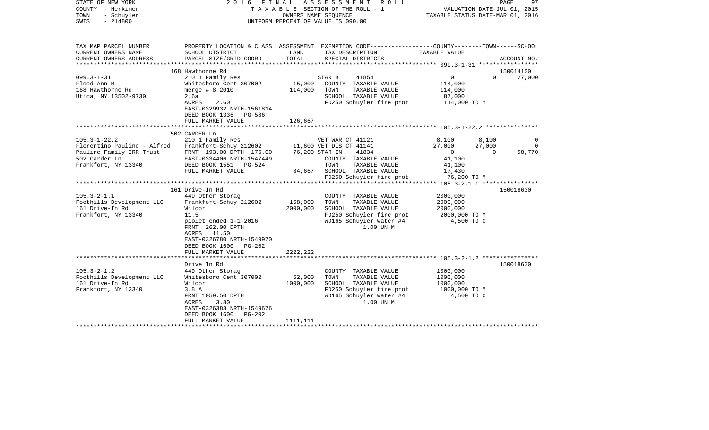| STATE OF NEW YORK<br>COUNTY - Herkimer<br>TOWN<br>- Schuyler<br>SWIS<br>$-214800$ |                                                                                                                     |          | 2016 FINAL ASSESSMENT<br>R O L L<br>T A X A B L E SECTION OF THE ROLL - 1<br>OWNERS NAME SEQUENCE<br>UNIFORM PERCENT OF VALUE IS 090.00 | VALUATION DATE-JUL 01, 2015<br>TAXABLE STATUS DATE-MAR 01, 2016 |                    | 97<br>PAGE    |
|-----------------------------------------------------------------------------------|---------------------------------------------------------------------------------------------------------------------|----------|-----------------------------------------------------------------------------------------------------------------------------------------|-----------------------------------------------------------------|--------------------|---------------|
| TAX MAP PARCEL NUMBER<br>CURRENT OWNERS NAME                                      | PROPERTY LOCATION & CLASS ASSESSMENT EXEMPTION CODE----------------COUNTY-------TOWN------SCHOOL<br>SCHOOL DISTRICT | LAND     | TAX DESCRIPTION                                                                                                                         | TAXABLE VALUE                                                   |                    |               |
| CURRENT OWNERS ADDRESS                                                            | PARCEL SIZE/GRID COORD                                                                                              | TOTAL    | SPECIAL DISTRICTS                                                                                                                       |                                                                 |                    | ACCOUNT NO.   |
|                                                                                   |                                                                                                                     |          |                                                                                                                                         |                                                                 |                    |               |
|                                                                                   | 168 Hawthorne Rd                                                                                                    |          |                                                                                                                                         |                                                                 |                    | 150014100     |
| $099.3 - 1 - 31$                                                                  | 210 1 Family Res                                                                                                    |          | STAR B<br>41854                                                                                                                         | $\overline{0}$                                                  | $\Omega$           | 27,000        |
| Flood Ann M                                                                       | Whitesboro Cent 307002                                                                                              | 15,000   | COUNTY TAXABLE VALUE                                                                                                                    | 114,000                                                         |                    |               |
| 168 Hawthorne Rd                                                                  | merge $# 8 2010$                                                                                                    | 114,000  | TOWN<br>TAXABLE VALUE                                                                                                                   | 114,000                                                         |                    |               |
| Utica, NY 13502-9730                                                              | 2.6a<br>ACRES<br>2.60                                                                                               |          | SCHOOL TAXABLE VALUE<br>FD250 Schuyler fire prot                                                                                        | 87,000<br>114,000 TO M                                          |                    |               |
|                                                                                   | EAST-0329932 NRTH-1561814                                                                                           |          |                                                                                                                                         |                                                                 |                    |               |
|                                                                                   | DEED BOOK 1336 PG-586                                                                                               |          |                                                                                                                                         |                                                                 |                    |               |
|                                                                                   | FULL MARKET VALUE                                                                                                   | 126,667  |                                                                                                                                         |                                                                 |                    |               |
|                                                                                   |                                                                                                                     |          |                                                                                                                                         |                                                                 |                    |               |
|                                                                                   | 502 CARDER Ln                                                                                                       |          |                                                                                                                                         |                                                                 |                    |               |
| $105.3 - 1 - 22.2$                                                                | 210 1 Family Res                                                                                                    |          | VET WAR CT 41121                                                                                                                        | 8,100                                                           | 8,100              | 0<br>$\Omega$ |
| Florentino Pauline - Alfred<br>Pauline Family IRR Trust                           | Frankfort-Schuy 212602<br>FRNT 193.00 DPTH 176.00                                                                   |          | 11,600 VET DIS CT 41141<br>76,200 STAR EN<br>41834                                                                                      | 27,000<br>$\overline{0}$                                        | 27,000<br>$\Omega$ | 58,770        |
| 502 Carder Ln                                                                     | EAST-0334406 NRTH-1547449                                                                                           |          | COUNTY TAXABLE VALUE                                                                                                                    | 41,100                                                          |                    |               |
| Frankfort, NY 13340                                                               | DEED BOOK 1551 PG-524                                                                                               |          | TAXABLE VALUE<br>TOWN                                                                                                                   | 41,100                                                          |                    |               |
|                                                                                   | FULL MARKET VALUE                                                                                                   |          | 84,667 SCHOOL TAXABLE VALUE                                                                                                             | 17,430                                                          |                    |               |
|                                                                                   |                                                                                                                     |          | FD250 Schuyler fire prot                                                                                                                | 76,200 TO M                                                     |                    |               |
|                                                                                   |                                                                                                                     |          |                                                                                                                                         |                                                                 |                    |               |
|                                                                                   | 161 Drive-In Rd                                                                                                     |          |                                                                                                                                         |                                                                 |                    | 150018630     |
| $105.3 - 2 - 1.1$<br>Foothills Development LLC                                    | 449 Other Storag<br>Frankfort-Schuy 212602                                                                          | 168,000  | COUNTY TAXABLE VALUE<br>TOWN<br>TAXABLE VALUE                                                                                           | 2000,000<br>2000,000                                            |                    |               |
| 161 Drive-In Rd                                                                   | Wilcor                                                                                                              | 2000,000 | SCHOOL TAXABLE VALUE                                                                                                                    | 2000,000                                                        |                    |               |
| Frankfort, NY 13340                                                               | 11.5                                                                                                                |          | FD250 Schuyler fire prot                                                                                                                | 2000,000 TO M                                                   |                    |               |
|                                                                                   | piolet ended 1-1-2016                                                                                               |          | WD165 Schuyler water #4                                                                                                                 | 4,500 TO C                                                      |                    |               |
|                                                                                   | FRNT 262.00 DPTH                                                                                                    |          | 1.00 UN M                                                                                                                               |                                                                 |                    |               |
|                                                                                   | ACRES 11.50                                                                                                         |          |                                                                                                                                         |                                                                 |                    |               |
|                                                                                   | EAST-0326780 NRTH-1549970                                                                                           |          |                                                                                                                                         |                                                                 |                    |               |
|                                                                                   | DEED BOOK 1600 PG-202                                                                                               |          |                                                                                                                                         |                                                                 |                    |               |
|                                                                                   | FULL MARKET VALUE                                                                                                   | 2222,222 |                                                                                                                                         |                                                                 |                    |               |
|                                                                                   | Drive In Rd                                                                                                         |          |                                                                                                                                         |                                                                 |                    | 150018630     |
| $105.3 - 2 - 1.2$                                                                 | 449 Other Storag                                                                                                    |          | COUNTY TAXABLE VALUE                                                                                                                    | 1000,000                                                        |                    |               |
| Foothills Development LLC                                                         | Whitesboro Cent 307002                                                                                              | 62,000   | TAXABLE VALUE<br>TOWN                                                                                                                   | 1000,000                                                        |                    |               |
| 161 Drive-In Rd                                                                   | Wilcor                                                                                                              | 1000,000 | SCHOOL TAXABLE VALUE                                                                                                                    | 1000,000                                                        |                    |               |
| Frankfort, NY 13340                                                               | 3.8A                                                                                                                |          | FD250 Schuyler fire prot                                                                                                                | 1000,000 TO M                                                   |                    |               |
|                                                                                   | FRNT 1059.50 DPTH<br>ACRES<br>3.80                                                                                  |          | WD165 Schuyler water #4<br>1.00 UN M                                                                                                    | 4,500 TO C                                                      |                    |               |
|                                                                                   | EAST-0326388 NRTH-1549676                                                                                           |          |                                                                                                                                         |                                                                 |                    |               |
|                                                                                   | DEED BOOK 1600<br>PG-202                                                                                            |          |                                                                                                                                         |                                                                 |                    |               |
|                                                                                   | FULL MARKET VALUE                                                                                                   | 1111,111 |                                                                                                                                         |                                                                 |                    |               |
|                                                                                   |                                                                                                                     |          |                                                                                                                                         |                                                                 |                    |               |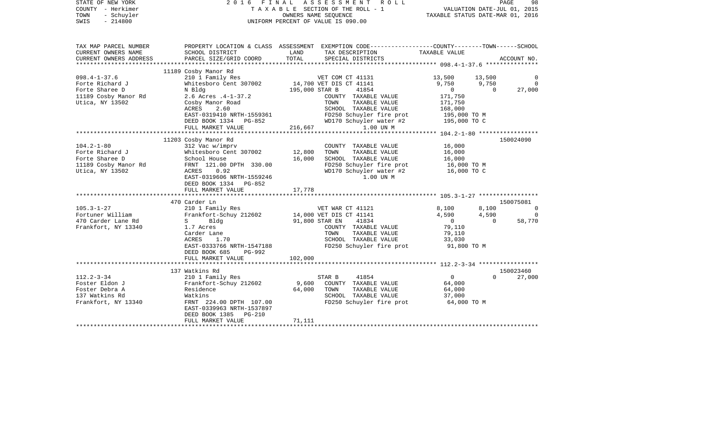| STATE OF NEW YORK<br>COUNTY - Herkimer<br>TOWN<br>- Schuyler<br>SWIS<br>$-214800$ | 2016 FINAL ASSESSMENT ROLL<br>TAXABLE SECTION OF THE ROLL - 1<br>UNIFORM PERCENT OF VALUE IS 090.00                                | VALUATION DATE-JUL 01, 2015<br>TAXABLE STATUS DATE-MAR 01, 2016 | PAGE                                                                                                               | 98                       |              |                |
|-----------------------------------------------------------------------------------|------------------------------------------------------------------------------------------------------------------------------------|-----------------------------------------------------------------|--------------------------------------------------------------------------------------------------------------------|--------------------------|--------------|----------------|
| TAX MAP PARCEL NUMBER<br>CURRENT OWNERS NAME                                      | SCHOOL DISTRICT                                                                                                                    | LAND                                                            | PROPERTY LOCATION & CLASS ASSESSMENT EXEMPTION CODE---------------COUNTY-------TOWN------SCHOOL<br>TAX DESCRIPTION | TAXABLE VALUE            |              |                |
| CURRENT OWNERS ADDRESS                                                            | PARCEL SIZE/GRID COORD                                                                                                             | TOTAL                                                           | SPECIAL DISTRICTS                                                                                                  |                          |              | ACCOUNT NO.    |
|                                                                                   | 11189 Cosby Manor Rd                                                                                                               |                                                                 |                                                                                                                    |                          |              |                |
| $098.4 - 1 - 37.6$                                                                | 210 1 Family Res                                                                                                                   |                                                                 | VET COM CT 41131                                                                                                   | 13,500                   | 13,500       |                |
| Forte Richard J                                                                   | Whitesboro Cent 307002                                                                                                             |                                                                 | 14,700 VET DIS CT 41141                                                                                            | 9,750                    | 9,750        | $\Omega$       |
| Forte Sharee D                                                                    | N Bldg                                                                                                                             | 195,000 STAR B                                                  | 41854                                                                                                              | $\overline{0}$           | $\Omega$     | 27,000         |
| 11189 Cosby Manor Rd                                                              | 2.6 Acres .4-1-37.2                                                                                                                |                                                                 | COUNTY TAXABLE VALUE                                                                                               | 171,750                  |              |                |
| Utica, NY 13502                                                                   | Cosby Manor Road<br>ACRES<br>2.60                                                                                                  |                                                                 | TOWN<br>TAXABLE VALUE<br>SCHOOL TAXABLE VALUE                                                                      | 171,750<br>168,000       |              |                |
|                                                                                   | EAST-0319410 NRTH-1559361                                                                                                          |                                                                 |                                                                                                                    |                          |              |                |
|                                                                                   | DEED BOOK 1334 PG-852                                                                                                              |                                                                 | FD250 Schuyler fire prot 195,000 TO M<br>WD170 Schuyler water #2 195,000 TO C                                      |                          |              |                |
|                                                                                   | FULL MARKET VALUE                                                                                                                  | 216,667                                                         | 1.00 UN M                                                                                                          |                          |              |                |
|                                                                                   |                                                                                                                                    |                                                                 |                                                                                                                    |                          |              |                |
|                                                                                   | 11203 Cosby Manor Rd                                                                                                               |                                                                 |                                                                                                                    |                          |              | 150024090      |
| $104.2 - 1 - 80$<br>Forte Richard J                                               | 312 Vac w/imprv<br>Whitesboro Cent 307002                                                                                          | 12,800                                                          | COUNTY TAXABLE VALUE<br>TOWN<br>TAXABLE VALUE                                                                      | 16,000<br>16,000         |              |                |
| Forte Sharee D                                                                    | School House                                                                                                                       | 16,000                                                          | SCHOOL TAXABLE VALUE                                                                                               | 16,000                   |              |                |
| 11189 Cosby Manor Rd                                                              | FRNT 121.00 DPTH 330.00                                                                                                            |                                                                 | FD250 Schuyler fire prot                                                                                           | 16,000 TO M              |              |                |
| Utica, NY 13502                                                                   | ACRES<br>0.92                                                                                                                      |                                                                 | WD170 Schuyler water #2                                                                                            | 16,000 TO C              |              |                |
|                                                                                   | EAST-0319606 NRTH-1559246                                                                                                          |                                                                 | 1.00 UN M                                                                                                          |                          |              |                |
|                                                                                   | DEED BOOK 1334 PG-852                                                                                                              |                                                                 |                                                                                                                    |                          |              |                |
|                                                                                   | FULL MARKET VALUE                                                                                                                  | 17,778                                                          |                                                                                                                    |                          |              |                |
|                                                                                   | 470 Carder Ln                                                                                                                      |                                                                 |                                                                                                                    |                          |              | 150075081      |
| $105.3 - 1 - 27$                                                                  | 210 1 Family Res                                                                                                                   |                                                                 | VET WAR CT 41121                                                                                                   | 8,100                    | 8,100        | 0              |
| Fortuner William                                                                  | Frankfort-Schuy 212602                                                                                                             |                                                                 | 14,000 VET DIS CT 41141                                                                                            | 4,590                    | 4,590        | $\overline{0}$ |
| 470 Carder Lane Rd                                                                | $S \qquad \qquad$<br>Bldg and the state of the state of the state of the state of the state of the state of the state of the state | 91,800 STAR EN                                                  | 41834                                                                                                              | $\overline{0}$           | $\mathbf{0}$ | 58,770         |
| Frankfort, NY 13340                                                               | 1.7 Acres                                                                                                                          |                                                                 | COUNTY TAXABLE VALUE<br>TAXABLE VALUE<br>TOWN                                                                      | 79,110<br>79,110         |              |                |
|                                                                                   | Carder Lane<br>ACRES<br>1.70                                                                                                       |                                                                 | SCHOOL TAXABLE VALUE                                                                                               | 33,030                   |              |                |
|                                                                                   | EAST-0333766 NRTH-1547188                                                                                                          |                                                                 | FD250 Schuyler fire prot                                                                                           | 91,800 TO M              |              |                |
|                                                                                   | DEED BOOK 685<br>PG-992                                                                                                            |                                                                 |                                                                                                                    |                          |              |                |
|                                                                                   | FULL MARKET VALUE                                                                                                                  | 102,000                                                         |                                                                                                                    |                          |              |                |
|                                                                                   |                                                                                                                                    |                                                                 |                                                                                                                    |                          |              |                |
|                                                                                   | 137 Watkins Rd                                                                                                                     |                                                                 |                                                                                                                    |                          | $\Omega$     | 150023460      |
| $112.2 - 3 - 34$<br>Foster Eldon J                                                | 210 1 Family Res<br>Frankfort-Schuy 212602                                                                                         | 9,600                                                           | 41854<br>STAR B<br>COUNTY TAXABLE VALUE                                                                            | $\overline{0}$<br>64,000 |              | 27,000         |
| Foster Debra A                                                                    | Residence                                                                                                                          | 64,000                                                          | TOWN<br>TAXABLE VALUE                                                                                              | 64,000                   |              |                |
| 137 Watkins Rd                                                                    | Watkins                                                                                                                            |                                                                 | SCHOOL TAXABLE VALUE                                                                                               | 37,000                   |              |                |
| Frankfort, NY 13340                                                               | FRNT 224.00 DPTH 107.00                                                                                                            |                                                                 | FD250 Schuyler fire prot                                                                                           | 64,000 TO M              |              |                |
|                                                                                   | EAST-0339963 NRTH-1537897                                                                                                          |                                                                 |                                                                                                                    |                          |              |                |
|                                                                                   | DEED BOOK 1385 PG-210                                                                                                              |                                                                 |                                                                                                                    |                          |              |                |
|                                                                                   | FULL MARKET VALUE                                                                                                                  | 71,111                                                          |                                                                                                                    |                          |              |                |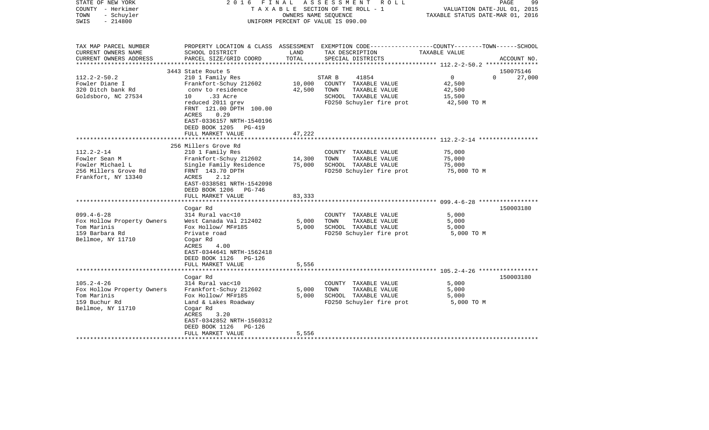| STATE OF NEW YORK<br>COUNTY - Herkimer<br>- Schuyler<br>TOWN<br>$-214800$<br>SWIS                    |                                                                                                                                                                                                               | OWNERS NAME SEQUENCE       | 2016 FINAL ASSESSMENT ROLL<br>TAXABLE SECTION OF THE ROLL - 1<br>UNIFORM PERCENT OF VALUE IS 090.00                                      | VALUATION DATE-JUL 01, 2015<br>TAXABLE STATUS DATE-MAR 01, 2016         | PAGE<br>99  |
|------------------------------------------------------------------------------------------------------|---------------------------------------------------------------------------------------------------------------------------------------------------------------------------------------------------------------|----------------------------|------------------------------------------------------------------------------------------------------------------------------------------|-------------------------------------------------------------------------|-------------|
| TAX MAP PARCEL NUMBER<br>CURRENT OWNERS NAME<br>CURRENT OWNERS ADDRESS<br>********************       | SCHOOL DISTRICT<br>PARCEL SIZE/GRID COORD                                                                                                                                                                     | LAND<br>TOTAL              | PROPERTY LOCATION & CLASS ASSESSMENT EXEMPTION CODE----------------COUNTY-------TOWN------SCHOOL<br>TAX DESCRIPTION<br>SPECIAL DISTRICTS | TAXABLE VALUE                                                           | ACCOUNT NO. |
|                                                                                                      | 3443 State Route 5                                                                                                                                                                                            |                            |                                                                                                                                          |                                                                         | 150075146   |
| $112.2 - 2 - 50.2$<br>Fowler Diane I<br>320 Ditch bank Rd<br>Goldsboro, NC 27534                     | 210 1 Family Res<br>Frankfort-Schuy 212602<br>conv to residence<br>10 .33 Acre<br>reduced 2011 grev<br>FRNT 121.00 DPTH 100.00<br>0.29<br>ACRES<br>EAST-0336157 NRTH-1540196                                  | 10,000<br>42,500           | STAR B<br>41854<br>COUNTY TAXABLE VALUE<br>TOWN<br>TAXABLE VALUE<br>SCHOOL TAXABLE VALUE<br>FD250 Schuyler fire prot                     | $\overline{0}$<br>$\Omega$<br>42,500<br>42,500<br>15,500<br>42,500 TO M | 27,000      |
|                                                                                                      | DEED BOOK 1205 PG-419                                                                                                                                                                                         |                            |                                                                                                                                          |                                                                         |             |
|                                                                                                      | FULL MARKET VALUE                                                                                                                                                                                             | 47,222                     |                                                                                                                                          |                                                                         |             |
|                                                                                                      | *********************                                                                                                                                                                                         |                            |                                                                                                                                          |                                                                         |             |
| $112.2 - 2 - 14$<br>Fowler Sean M<br>Fowler Michael L<br>256 Millers Grove Rd<br>Frankfort, NY 13340 | 256 Millers Grove Rd<br>210 1 Family Res<br>Frankfort-Schuy 212602<br>Single Family Residence<br>FRNT 143.70 DPTH<br>ACRES<br>2.12<br>EAST-0338581 NRTH-1542098<br>DEED BOOK 1206 PG-746<br>FULL MARKET VALUE | 14,300<br>75,000<br>83,333 | COUNTY TAXABLE VALUE<br>TOWN<br>TAXABLE VALUE<br>SCHOOL TAXABLE VALUE<br>FD250 Schuyler fire prot                                        | 75,000<br>75,000<br>75,000<br>75,000 TO M                               |             |
|                                                                                                      |                                                                                                                                                                                                               |                            |                                                                                                                                          |                                                                         |             |
| $099.4 - 6 - 28$<br>Fox Hollow Property Owners<br>Tom Marinis<br>159 Barbara Rd<br>Bellmoe, NY 11710 | Cogar Rd<br>314 Rural vac<10<br>West Canada Val 212402<br>Fox Hollow/ MF#185<br>Private road<br>Cogar Rd<br>4.00<br>ACRES<br>EAST-0344641 NRTH-1562418<br>DEED BOOK 1126 PG-126                               | 5,000<br>5,000             | COUNTY TAXABLE VALUE<br>TOWN<br>TAXABLE VALUE<br>SCHOOL TAXABLE VALUE<br>FD250 Schuyler fire prot                                        | 5,000<br>5,000<br>5,000<br>5,000 TO M                                   | 150003180   |
|                                                                                                      | FULL MARKET VALUE                                                                                                                                                                                             | 5,556                      |                                                                                                                                          |                                                                         |             |
|                                                                                                      | ************************                                                                                                                                                                                      |                            |                                                                                                                                          |                                                                         |             |
| $105.2 - 4 - 26$<br>Fox Hollow Property Owners<br>Tom Marinis<br>159 Buchur Rd<br>Bellmoe, NY 11710  | Cogar Rd<br>314 Rural vac<10<br>Frankfort-Schuy 212602<br>Fox Hollow/ MF#185<br>Land & Lakes Roadway<br>Cogar Rd<br>ACRES<br>3.20<br>EAST-0342852 NRTH-1560312<br>DEED BOOK 1126 PG-126<br>FULL MARKET VALUE  | 5,000<br>5,000<br>5,556    | COUNTY TAXABLE VALUE<br>TOWN<br>TAXABLE VALUE<br>SCHOOL TAXABLE VALUE<br>FD250 Schuyler fire prot                                        | 5,000<br>5,000<br>5,000<br>5,000 TO M                                   | 150003180   |
|                                                                                                      |                                                                                                                                                                                                               |                            |                                                                                                                                          |                                                                         |             |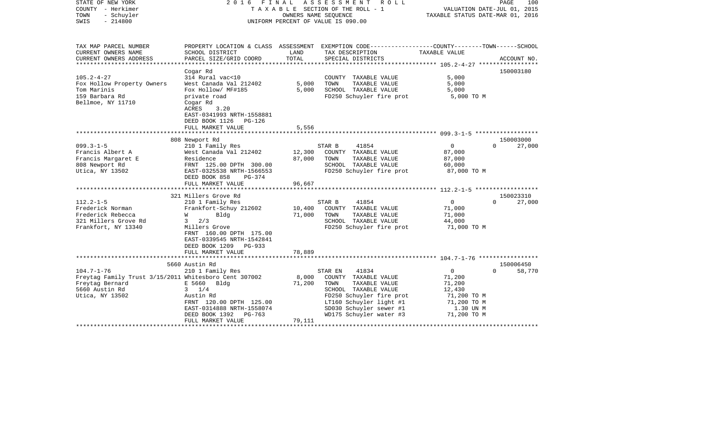| STATE OF NEW YORK<br>COUNTY - Herkimer<br>TOWN<br>- Schuyler<br>$-214800$<br>SWIS                                                                                                  | FINAL<br>2016                                                                                                                                                                                                                                                                                           | OWNERS NAME SEQUENCE                                        | A S S E S S M E N T<br>ROLL<br>T A X A B L E SECTION OF THE ROLL - 1<br>UNIFORM PERCENT OF VALUE IS 090.00                                                                                                       | VALUATION DATE-JUL 01, 2015<br>TAXABLE STATUS DATE-MAR 01, 2016                                                                                           | PAGE<br>100                                                        |
|------------------------------------------------------------------------------------------------------------------------------------------------------------------------------------|---------------------------------------------------------------------------------------------------------------------------------------------------------------------------------------------------------------------------------------------------------------------------------------------------------|-------------------------------------------------------------|------------------------------------------------------------------------------------------------------------------------------------------------------------------------------------------------------------------|-----------------------------------------------------------------------------------------------------------------------------------------------------------|--------------------------------------------------------------------|
| TAX MAP PARCEL NUMBER<br>CURRENT OWNERS NAME                                                                                                                                       | SCHOOL DISTRICT                                                                                                                                                                                                                                                                                         | LAND<br>TOTAL                                               | PROPERTY LOCATION & CLASS ASSESSMENT EXEMPTION CODE----------------COUNTY-------TOWN------SCHOOL<br>TAX DESCRIPTION<br>SPECIAL DISTRICTS                                                                         | TAXABLE VALUE                                                                                                                                             |                                                                    |
| CURRENT OWNERS ADDRESS<br>********************                                                                                                                                     | PARCEL SIZE/GRID COORD                                                                                                                                                                                                                                                                                  |                                                             | *****************************                                                                                                                                                                                    | ************** 105.2-4-27 ******************                                                                                                              | ACCOUNT NO.                                                        |
| $105.2 - 4 - 27$<br>Fox Hollow Property Owners<br>Tom Marinis<br>159 Barbara Rd<br>Bellmoe, NY 11710                                                                               | Cogar Rd<br>314 Rural vac<10<br>West Canada Val 212402<br>Fox Hollow/ MF#185<br>private road<br>Cogar Rd<br>ACRES<br>3.20<br>EAST-0341993 NRTH-1558881<br>DEED BOOK 1126<br>PG-126                                                                                                                      | 5,000<br>5,000                                              | COUNTY TAXABLE VALUE<br>TAXABLE VALUE<br>TOWN<br>SCHOOL TAXABLE VALUE<br>FD250 Schuyler fire prot                                                                                                                | 5,000<br>5,000<br>5,000<br>5,000 TO M                                                                                                                     | 150003180                                                          |
|                                                                                                                                                                                    | FULL MARKET VALUE                                                                                                                                                                                                                                                                                       | 5,556                                                       |                                                                                                                                                                                                                  |                                                                                                                                                           |                                                                    |
|                                                                                                                                                                                    |                                                                                                                                                                                                                                                                                                         |                                                             |                                                                                                                                                                                                                  |                                                                                                                                                           |                                                                    |
| $099.3 - 1 - 5$<br>Francis Albert A<br>Francis Margaret E<br>808 Newport Rd<br>Utica, NY 13502<br>$112.2 - 1 - 5$<br>Frederick Norman<br>Frederick Rebecca<br>321 Millers Grove Rd | 808 Newport Rd<br>210 1 Family Res<br>West Canada Val 212402<br>Residence<br>FRNT 125.00 DPTH 300.00<br>EAST-0325538 NRTH-1566553<br>DEED BOOK 858<br>PG-374<br>FULL MARKET VALUE<br>*******************<br>321 Millers Grove Rd<br>210 1 Family Res<br>Frankfort-Schuy 212602<br>W<br>Bldg<br>2/3<br>3 | 12,300<br>87,000<br>96,667<br>*********<br>10,400<br>71,000 | STAR B<br>41854<br>COUNTY TAXABLE VALUE<br>TOWN<br>TAXABLE VALUE<br>SCHOOL TAXABLE VALUE<br>FD250 Schuyler fire prot<br>STAR B<br>41854<br>COUNTY TAXABLE VALUE<br>TAXABLE VALUE<br>TOWN<br>SCHOOL TAXABLE VALUE | $\mathbf{0}$<br>87,000<br>87,000<br>60,000<br>87,000 TO M<br>********************* 112.2-1-5 *******************<br>$\circ$<br>71,000<br>71,000<br>44,000 | 150003000<br>$\Omega$<br>27,000<br>150023310<br>27,000<br>$\Omega$ |
| Frankfort, NY 13340                                                                                                                                                                | Millers Grove<br>FRNT 160.00 DPTH 175.00<br>EAST-0339545 NRTH-1542841<br>DEED BOOK 1209<br>PG-933<br>FULL MARKET VALUE                                                                                                                                                                                  | 78,889                                                      | FD250 Schuyler fire prot                                                                                                                                                                                         | 71,000 TO M                                                                                                                                               |                                                                    |
|                                                                                                                                                                                    | 5660 Austin Rd                                                                                                                                                                                                                                                                                          |                                                             |                                                                                                                                                                                                                  |                                                                                                                                                           | 150006450                                                          |
| $104.7 - 1 - 76$<br>Freytag Family Trust 3/15/2011 Whitesboro Cent 307002<br>Freytag Bernard<br>5660 Austin Rd<br>Utica, NY 13502                                                  | 210 1 Family Res<br>E 5660<br>Bldg<br>$3 \frac{1}{4}$<br>Austin Rd<br>FRNT 120.00 DPTH 125.00<br>EAST-0314888 NRTH-1558074<br>DEED BOOK 1392<br>PG-763<br>FULL MARKET VALUE                                                                                                                             | 8,000<br>71,200<br>79,111                                   | 41834<br>STAR EN<br>COUNTY TAXABLE VALUE<br>TOWN<br>TAXABLE VALUE<br>SCHOOL TAXABLE VALUE<br>FD250 Schuyler fire prot<br>LT160 Schuyler light #1<br>SD030 Schuyler sewer #1<br>WD175 Schuyler water #3           | $\mathbf{0}$<br>71,200<br>71,200<br>12,430<br>71,200 TO M<br>71,200 TO M<br>1.30 UN M<br>71,200 TO M                                                      | 58,770<br>$\Omega$                                                 |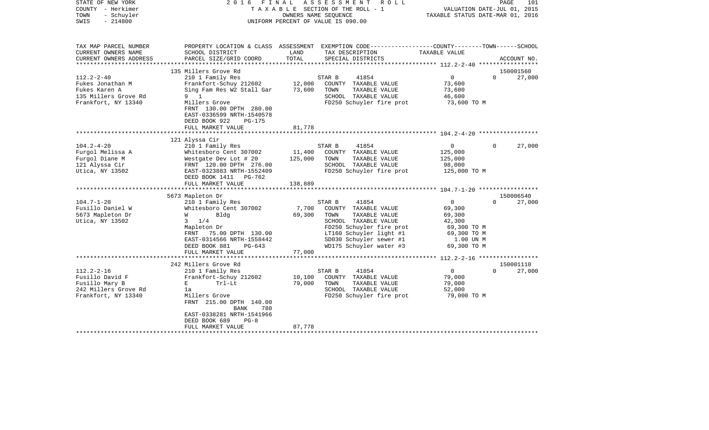| STATE OF NEW YORK<br>COUNTY - Herkimer<br>TOWN<br>- Schuyler<br>$-214800$<br>SWIS                    | 2016                                                                                                                                                                                        | FINAL                     | ASSESSMENT ROLL<br>TAXABLE SECTION OF THE ROLL - 1<br>OWNERS NAME SEQUENCE<br>UNIFORM PERCENT OF VALUE IS 090.00                                                                                      | TAXABLE STATUS DATE-MAR 01, 2016                                                                       | 101<br>PAGE<br>VALUATION DATE-JUL 01, 2015 |
|------------------------------------------------------------------------------------------------------|---------------------------------------------------------------------------------------------------------------------------------------------------------------------------------------------|---------------------------|-------------------------------------------------------------------------------------------------------------------------------------------------------------------------------------------------------|--------------------------------------------------------------------------------------------------------|--------------------------------------------|
| TAX MAP PARCEL NUMBER<br>CURRENT OWNERS NAME<br>CURRENT OWNERS ADDRESS                               | SCHOOL DISTRICT<br>PARCEL SIZE/GRID COORD                                                                                                                                                   | LAND<br>TOTAL             | PROPERTY LOCATION & CLASS ASSESSMENT EXEMPTION CODE----------------COUNTY-------TOWN------SCHOOL<br>TAX DESCRIPTION<br>SPECIAL DISTRICTS                                                              | TAXABLE VALUE                                                                                          | ACCOUNT NO.                                |
| ********************                                                                                 |                                                                                                                                                                                             |                           |                                                                                                                                                                                                       |                                                                                                        |                                            |
|                                                                                                      | 135 Millers Grove Rd                                                                                                                                                                        |                           |                                                                                                                                                                                                       |                                                                                                        | 150001560                                  |
| $112.2 - 2 - 40$<br>Fukes Jonathan M<br>Fukes Karen A<br>135 Millers Grove Rd<br>Frankfort, NY 13340 | 210 1 Family Res<br>Frankfort-Schuy 212602<br>Sing Fam Res W2 Stall Gar<br>9 1<br>Millers Grove<br>FRNT 130.00 DPTH 280.00<br>EAST-0336599 NRTH-1540578                                     | 12,000<br>73,600          | STAR B<br>41854<br>COUNTY TAXABLE VALUE<br>TOWN<br>TAXABLE VALUE<br>SCHOOL TAXABLE VALUE<br>FD250 Schuyler fire prot                                                                                  | $\overline{0}$<br>73,600<br>73,600<br>46,600<br>73,600 TO M                                            | $\Omega$<br>27,000                         |
|                                                                                                      | DEED BOOK 922<br>PG-175                                                                                                                                                                     |                           |                                                                                                                                                                                                       |                                                                                                        |                                            |
|                                                                                                      | FULL MARKET VALUE                                                                                                                                                                           | 81,778                    |                                                                                                                                                                                                       |                                                                                                        |                                            |
|                                                                                                      | 121 Alyssa Cir                                                                                                                                                                              |                           |                                                                                                                                                                                                       |                                                                                                        |                                            |
| $104.2 - 4 - 20$<br>Furgol Melissa A<br>Furgol Diane M<br>121 Alyssa Cir                             | 210 1 Family Res<br>Whitesboro Cent 307002<br>Westgate Dev Lot # 20<br>FRNT 120.00 DPTH 276.00                                                                                              | 11,400<br>125,000         | STAR B<br>41854<br>COUNTY TAXABLE VALUE<br>TAXABLE VALUE<br>TOWN<br>SCHOOL TAXABLE VALUE                                                                                                              | $\mathbf{0}$<br>125,000<br>125,000<br>98,000                                                           | 27,000<br>$\Omega$                         |
| Utica, NY 13502                                                                                      | EAST-0323883 NRTH-1552409<br>DEED BOOK 1411 PG-762<br>FULL MARKET VALUE                                                                                                                     | 138,889                   | FD250 Schuyler fire prot                                                                                                                                                                              | 125,000 TO M                                                                                           |                                            |
|                                                                                                      |                                                                                                                                                                                             |                           |                                                                                                                                                                                                       |                                                                                                        |                                            |
|                                                                                                      | 5673 Mapleton Dr                                                                                                                                                                            |                           |                                                                                                                                                                                                       |                                                                                                        | 150006540                                  |
| $104.7 - 1 - 20$<br>Fusillo Daniel W<br>5673 Mapleton Dr<br>Utica, NY 13502                          | 210 1 Family Res<br>Whitesboro Cent 307002<br>W<br>Bldg<br>3<br>1/4<br>Mapleton Dr<br>FRNT 75.00 DPTH 130.00<br>EAST-0314566 NRTH-1558442<br>DEED BOOK 881<br>$PG-643$<br>FULL MARKET VALUE | 7,700<br>69,300<br>77,000 | STAR B<br>41854<br>COUNTY TAXABLE VALUE<br>TOWN<br>TAXABLE VALUE<br>SCHOOL TAXABLE VALUE<br>FD250 Schuyler fire prot<br>LT160 Schuyler light #1<br>SD030 Schuyler sewer #1<br>WD175 Schuyler water #3 | $\overline{0}$<br>69,300<br>69,300<br>42,300<br>69,300 TO M<br>69,300 TO M<br>1.00 UN M<br>69,300 TO M | 27,000<br>$\Omega$                         |
|                                                                                                      |                                                                                                                                                                                             |                           |                                                                                                                                                                                                       |                                                                                                        |                                            |
| $112.2 - 2 - 16$<br>Fusillo David F<br>Fusillo Mary B<br>242 Millers Grove Rd<br>Frankfort, NY 13340 | 242 Millers Grove Rd<br>210 1 Family Res<br>Frankfort-Schuy 212602<br>E<br>Trl-Lt<br>1a<br>Millers Grove<br>FRNT 215.00 DPTH 140.00<br>BANK<br>780<br>EAST-0338281 NRTH-1541966             | 10,100<br>79,000          | 41854<br>STAR B<br>COUNTY TAXABLE VALUE<br>TOWN<br>TAXABLE VALUE<br>SCHOOL TAXABLE VALUE<br>FD250 Schuyler fire prot                                                                                  | $\mathbf{0}$<br>79,000<br>79,000<br>52,000<br>79,000 TO M                                              | 150001110<br>$\Omega$<br>27,000            |
|                                                                                                      | DEED BOOK 689<br>$PG-8$<br>FULL MARKET VALUE                                                                                                                                                | 87,778                    |                                                                                                                                                                                                       |                                                                                                        |                                            |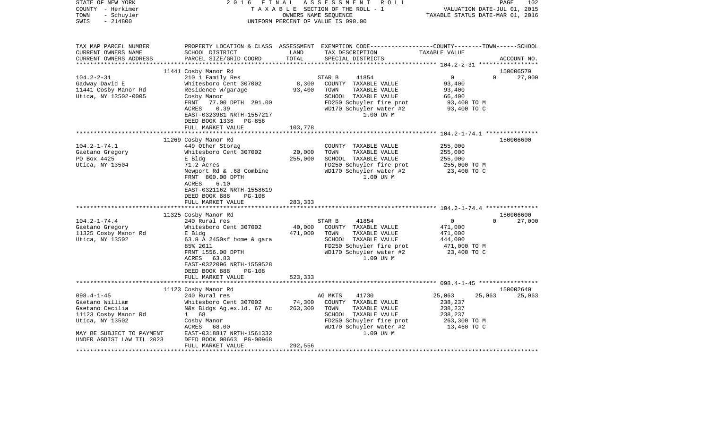| STATE OF NEW YORK<br>COUNTY - Herkimer<br>- Schuyler<br>TOWN<br>$-214800$<br>SWIS                                              | 2 0 1 6<br>FINAL                                                                                                                                                                                                        | OWNERS NAME SEQUENCE         | ASSESSMENT ROLL<br>TAXABLE SECTION OF THE ROLL - 1<br>UNIFORM PERCENT OF VALUE IS 090.00                                                                      | VALUATION DATE-JUL 01, 2015<br>TAXABLE STATUS DATE-MAR 01, 2016                            | PAGE<br>102 |
|--------------------------------------------------------------------------------------------------------------------------------|-------------------------------------------------------------------------------------------------------------------------------------------------------------------------------------------------------------------------|------------------------------|---------------------------------------------------------------------------------------------------------------------------------------------------------------|--------------------------------------------------------------------------------------------|-------------|
| TAX MAP PARCEL NUMBER<br>CURRENT OWNERS NAME<br>CURRENT OWNERS ADDRESS                                                         | SCHOOL DISTRICT<br>PARCEL SIZE/GRID COORD                                                                                                                                                                               | LAND<br>TOTAL                | PROPERTY LOCATION & CLASS ASSESSMENT EXEMPTION CODE---------------COUNTY-------TOWN------SCHOOL<br>TAX DESCRIPTION<br>SPECIAL DISTRICTS                       | TAXABLE VALUE                                                                              | ACCOUNT NO. |
|                                                                                                                                | 11441 Cosby Manor Rd                                                                                                                                                                                                    |                              |                                                                                                                                                               |                                                                                            | 150006570   |
| $104.2 - 2 - 31$                                                                                                               | 210 1 Family Res                                                                                                                                                                                                        |                              | 41854<br>STAR B                                                                                                                                               | $\overline{0}$<br>$\Omega$                                                                 | 27,000      |
| Gadway David E<br>11441 Cosby Manor Rd<br>Utica, NY 13502-0005                                                                 | Whitesboro Cent 307002<br>Residence W/garage<br>Cosby Manor                                                                                                                                                             | 8,300<br>93,400              | COUNTY TAXABLE VALUE<br>TAXABLE VALUE<br>TOWN<br>SCHOOL TAXABLE VALUE                                                                                         | 93,400<br>93,400<br>66,400                                                                 |             |
|                                                                                                                                | FRNT<br>77.00 DPTH 291.00<br><b>ACRES</b><br>0.39<br>EAST-0323981 NRTH-1557217<br>DEED BOOK 1336 PG-856                                                                                                                 |                              | FD250 Schuyler fire prot<br>WD170 Schuyler water #2<br>1.00 UN M                                                                                              | 93,400 TO M<br>93,400 TO C                                                                 |             |
|                                                                                                                                | FULL MARKET VALUE                                                                                                                                                                                                       | 103,778                      |                                                                                                                                                               |                                                                                            |             |
|                                                                                                                                | 11269 Cosby Manor Rd                                                                                                                                                                                                    |                              |                                                                                                                                                               |                                                                                            | 150006600   |
| $104.2 - 1 - 74.1$<br>Gaetano Gregory<br>PO Box 4425<br>Utica, NY 13504                                                        | 449 Other Storag<br>Whitesboro Cent 307002<br>E Bldg<br>71.2 Acres<br>Newport Rd & .68 Combine<br>FRNT 800.00 DPTH<br>6.10<br>ACRES<br>EAST-0321162 NRTH-1558619<br>DEED BOOK 888<br><b>PG-108</b><br>FULL MARKET VALUE | 20,000<br>255,000<br>283,333 | COUNTY TAXABLE VALUE<br>TOWN<br>TAXABLE VALUE<br>SCHOOL TAXABLE VALUE<br>FD250 Schuyler fire prot<br>WD170 Schuyler water #2<br>1.00 UN M                     | 255,000<br>255,000<br>255,000<br>255,000 TO M<br>23,400 TO C                               |             |
|                                                                                                                                |                                                                                                                                                                                                                         |                              |                                                                                                                                                               |                                                                                            |             |
|                                                                                                                                | 11325 Cosby Manor Rd                                                                                                                                                                                                    |                              |                                                                                                                                                               |                                                                                            | 150006600   |
| $104.2 - 1 - 74.4$<br>Gaetano Gregory<br>11325 Cosby Manor Rd<br>Utica, NY 13502                                               | 240 Rural res<br>Whitesboro Cent 307002<br>E Bldg<br>$63.8$ A 2450sf home & gara<br>85% 2011<br>FRNT 1556.00 DPTH<br>ACRES 63.83<br>EAST-0322096 NRTH-1559528<br>DEED BOOK 888<br><b>PG-108</b>                         | 40,000<br>471,000            | STAR B<br>41854<br>COUNTY TAXABLE VALUE<br>TOWN<br>TAXABLE VALUE<br>SCHOOL TAXABLE VALUE<br>FD250 Schuyler fire prot<br>WD170 Schuyler water #2<br>1.00 UN M  | $\overline{0}$<br>$\Omega$<br>471,000<br>471,000<br>444,000<br>471,000 TO M<br>23,400 TO C | 27,000      |
|                                                                                                                                | FULL MARKET VALUE                                                                                                                                                                                                       | 523,333                      |                                                                                                                                                               |                                                                                            |             |
|                                                                                                                                | 11123 Cosby Manor Rd                                                                                                                                                                                                    |                              |                                                                                                                                                               |                                                                                            | 150002640   |
| $098.4 - 1 - 45$<br>Gaetano William<br>Gaetano Cecilia<br>11123 Cosby Manor Rd<br>Utica, NY 13502<br>MAY BE SUBJECT TO PAYMENT | 240 Rural res<br>Whitesboro Cent 307002<br>N&s Bldgs Ag.ex.ld. 67 Ac<br>1 68<br>Cosby Manor<br>ACRES<br>68.00<br>EAST-0318817 NRTH-1561332                                                                              | 74,300<br>263,300            | 41730<br>AG MKTS<br>COUNTY TAXABLE VALUE<br>TOWN<br>TAXABLE VALUE<br>SCHOOL TAXABLE VALUE<br>FD250 Schuyler fire prot<br>WD170 Schuyler water #2<br>1.00 UN M | 25,063<br>25,063<br>238,237<br>238,237<br>238,237<br>263,300 TO M<br>13,460 TO C           | 25,063      |
| UNDER AGDIST LAW TIL 2023<br>******************                                                                                | DEED BOOK 00663 PG-00968<br>FULL MARKET VALUE                                                                                                                                                                           | 292,556                      |                                                                                                                                                               |                                                                                            |             |
|                                                                                                                                |                                                                                                                                                                                                                         |                              |                                                                                                                                                               |                                                                                            |             |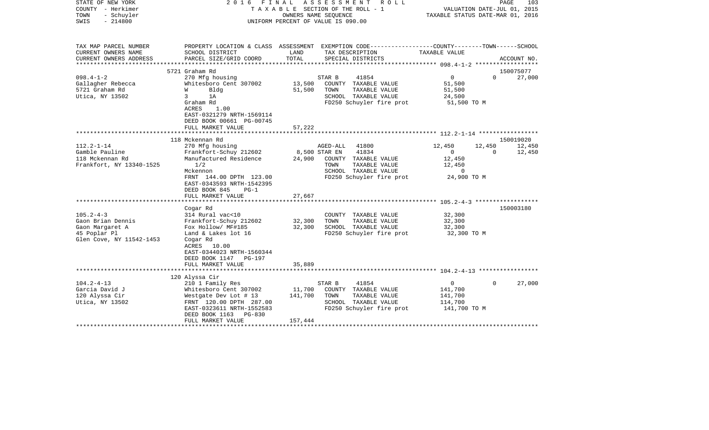| COUNTY<br>- Herkimer<br>TOWN<br>- Schuyler<br>SWIS<br>$-214800$ | TAXABLE<br>SECTION OF THE ROLL - 1<br>OWNERS NAME SEQUENCE<br>UNIFORM PERCENT OF VALUE IS 090.00         |                 | VALUATION DATE-JUL 01, 2015<br>TAXABLE STATUS DATE-MAR 01, 2016                                                     |                                                       |          |             |
|-----------------------------------------------------------------|----------------------------------------------------------------------------------------------------------|-----------------|---------------------------------------------------------------------------------------------------------------------|-------------------------------------------------------|----------|-------------|
| TAX MAP PARCEL NUMBER<br>CURRENT OWNERS NAME                    | SCHOOL DISTRICT                                                                                          | LAND<br>TOTAL   | PROPERTY LOCATION & CLASS ASSESSMENT EXEMPTION CODE----------------COUNTY-------TOWN------SCHOOL<br>TAX DESCRIPTION | TAXABLE VALUE                                         |          |             |
| CURRENT OWNERS ADDRESS                                          | PARCEL SIZE/GRID COORD                                                                                   |                 | SPECIAL DISTRICTS                                                                                                   |                                                       |          | ACCOUNT NO. |
|                                                                 | 5721 Graham Rd                                                                                           |                 |                                                                                                                     |                                                       |          | 150075077   |
| $098.4 - 1 - 2$                                                 | 270 Mfg housing                                                                                          |                 | STAR B<br>41854                                                                                                     | $\mathbf 0$                                           | $\Omega$ | 27,000      |
| Gallagher Rebecca                                               | Whitesboro Cent 307002                                                                                   | 13,500          | COUNTY TAXABLE VALUE                                                                                                | 51,500                                                |          |             |
| 5721 Graham Rd                                                  | W<br>Bldg                                                                                                | 51,500          | TOWN<br>TAXABLE VALUE                                                                                               | 51,500                                                |          |             |
| Utica, NY 13502                                                 | 3<br>1A                                                                                                  |                 | SCHOOL TAXABLE VALUE                                                                                                | 24,500                                                |          |             |
|                                                                 | Graham Rd<br>ACRES<br>1.00<br>EAST-0321279 NRTH-1569114<br>DEED BOOK 00661 PG-00745<br>FULL MARKET VALUE | 57,222          | FD250 Schuyler fire prot                                                                                            | 51,500 TO M                                           |          |             |
|                                                                 |                                                                                                          |                 | ************************** 112.2-1-14 ******************                                                            |                                                       |          |             |
|                                                                 | 118 Mckennan Rd                                                                                          |                 |                                                                                                                     |                                                       |          | 150019020   |
| $112.2 - 1 - 14$                                                | 270 Mfg housing                                                                                          |                 | AGED-ALL<br>41800                                                                                                   | 12,450                                                | 12,450   | 12,450      |
| Gamble Pauline                                                  | Frankfort-Schuy 212602                                                                                   |                 | 41834<br>8,500 STAR EN                                                                                              | $\Omega$                                              | $\Omega$ | 12,450      |
| 118 Mckennan Rd                                                 | Manufactured Residence                                                                                   | 24,900          | COUNTY TAXABLE VALUE                                                                                                | 12,450                                                |          |             |
| Frankfort, NY 13340-1525                                        | 1/2                                                                                                      |                 | TOWN<br>TAXABLE VALUE                                                                                               | 12,450                                                |          |             |
|                                                                 | Mckennon                                                                                                 |                 | SCHOOL TAXABLE VALUE                                                                                                | 0                                                     |          |             |
|                                                                 | FRNT 144.00 DPTH 123.00<br>EAST-0343593 NRTH-1542395<br>DEED BOOK 845<br>$PG-1$                          |                 | FD250 Schuyler fire prot                                                                                            | 24,900 TO M                                           |          |             |
|                                                                 | FULL MARKET VALUE                                                                                        | 27,667          |                                                                                                                     |                                                       |          |             |
|                                                                 |                                                                                                          | * * * * * * * * |                                                                                                                     | *********************** 105.2-4-3 ******************* |          |             |
|                                                                 | Cogar Rd                                                                                                 |                 |                                                                                                                     |                                                       |          | 150003180   |
| $105.2 - 4 - 3$<br>Gaon Brian Dennis                            | 314 Rural vac<10<br>Frankfort-Schuy 212602                                                               | 32,300          | COUNTY TAXABLE VALUE<br>TOWN<br>TAXABLE VALUE                                                                       | 32,300<br>32,300                                      |          |             |
| Gaon Margaret A                                                 | Fox Hollow/ MF#185                                                                                       | 32,300          | SCHOOL TAXABLE VALUE                                                                                                | 32,300                                                |          |             |
| 45 Poplar Pl                                                    | Land & Lakes lot 16                                                                                      |                 | FD250 Schuyler fire prot                                                                                            | 32,300 TO M                                           |          |             |
| Glen Cove, NY 11542-1453                                        | Cogar Rd<br>10.00<br>ACRES<br>EAST-0344023 NRTH-1560344<br>DEED BOOK 1147<br>PG-197<br>FULL MARKET VALUE | 35,889          |                                                                                                                     |                                                       |          |             |
|                                                                 | *****************                                                                                        | ***********     |                                                                                                                     |                                                       |          |             |
|                                                                 | 120 Alyssa Cir                                                                                           |                 |                                                                                                                     |                                                       |          |             |
| $104.2 - 4 - 13$                                                | 210 1 Family Res                                                                                         |                 | STAR B<br>41854                                                                                                     | 0                                                     | $\Omega$ | 27,000      |
| Garcia David J                                                  | Whitesboro Cent 307002                                                                                   | 11,700          | COUNTY TAXABLE VALUE                                                                                                | 141,700                                               |          |             |
| 120 Alyssa Cir                                                  | Westgate Dev Lot # 13                                                                                    | 141,700         | TAXABLE VALUE<br>TOWN                                                                                               | 141,700                                               |          |             |
| Utica, NY 13502                                                 | FRNT 120.00 DPTH 287.00<br>EAST-0323611 NRTH-1552583<br>DEED BOOK 1163<br>PG-830                         |                 | SCHOOL TAXABLE VALUE<br>FD250 Schuyler fire prot                                                                    | 114,700<br>141,700 TO M                               |          |             |
|                                                                 | FULL MARKET VALUE                                                                                        | 157,444         |                                                                                                                     |                                                       |          |             |
|                                                                 |                                                                                                          |                 |                                                                                                                     |                                                       |          |             |

PAGE 103

STATE OF NEW YORK 2 0 1 6 F I N A L A S S E S S M E N T R O L L PAGE 103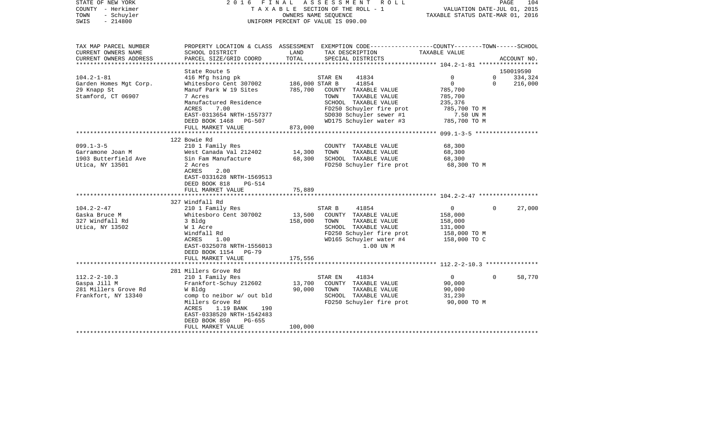| STATE OF NEW YORK<br>COUNTY - Herkimer<br>- Schuyler<br>TOWN<br>$-214800$<br>SWIS |                                                                                                                                                                                                                    |                              | 2016 FINAL ASSESSMENT ROLL<br>T A X A B L E SECTION OF THE ROLL - 1<br>OWNERS NAME SEQUENCE<br>UNIFORM PERCENT OF VALUE IS 090.00                            | VALUATION DATE-JUL 01, 2015<br>TAXABLE STATUS DATE-MAR 01, 2016                 | PAGE<br>104                                   |
|-----------------------------------------------------------------------------------|--------------------------------------------------------------------------------------------------------------------------------------------------------------------------------------------------------------------|------------------------------|--------------------------------------------------------------------------------------------------------------------------------------------------------------|---------------------------------------------------------------------------------|-----------------------------------------------|
| TAX MAP PARCEL NUMBER<br>CURRENT OWNERS NAME<br>CURRENT OWNERS ADDRESS            | SCHOOL DISTRICT<br>PARCEL SIZE/GRID COORD                                                                                                                                                                          | LAND<br>TOTAL                | PROPERTY LOCATION & CLASS ASSESSMENT EXEMPTION CODE---------------COUNTY-------TOWN-----SCHOOL<br>TAX DESCRIPTION<br>SPECIAL DISTRICTS                       | TAXABLE VALUE                                                                   | ACCOUNT NO.                                   |
| ***********************                                                           | State Route 5                                                                                                                                                                                                      |                              |                                                                                                                                                              |                                                                                 | 150019590                                     |
| $104.2 - 1 - 81$<br>Garden Homes Mgt Corp.<br>29 Knapp St<br>Stamford, CT 06907   | 416 Mfg hsing pk<br>Whitesboro Cent 307002<br>Manuf Park W 19 Sites<br>7 Acres<br>Manufactured Residence<br>ACRES<br>7.00                                                                                          | 186,000 STAR B<br>785,700    | STAR EN<br>41834<br>41854<br>COUNTY TAXABLE VALUE<br>TAXABLE VALUE<br>TOWN<br>SCHOOL TAXABLE VALUE<br>FD250 Schuyler fire prot                               | $\mathbf{0}$<br>$\mathbf 0$<br>785,700<br>785,700<br>235,376<br>785,700 TO M    | $\mathbf 0$<br>334,324<br>216,000<br>$\Omega$ |
|                                                                                   | EAST-0313654 NRTH-1557377<br>DEED BOOK 1468 PG-507<br>FULL MARKET VALUE                                                                                                                                            | 873,000                      | SD030 Schuyler sewer #1<br>WD175 Schuyler water #3                                                                                                           | 7.50 UN M<br>785,700 TO M                                                       |                                               |
|                                                                                   |                                                                                                                                                                                                                    |                              |                                                                                                                                                              |                                                                                 |                                               |
| $099.1 - 3 - 5$<br>Garramone Joan M<br>1903 Butterfield Ave<br>Utica, NY 13501    | 122 Bowie Rd<br>210 1 Family Res<br>West Canada Val 212402<br>Sin Fam Manufacture<br>2 Acres<br>ACRES<br>2.00<br>EAST-0331628 NRTH-1569513<br>DEED BOOK 818<br>PG-514                                              | 14,300<br>68,300             | COUNTY TAXABLE VALUE<br>TOWN<br>TAXABLE VALUE<br>SCHOOL TAXABLE VALUE<br>FD250 Schuyler fire prot                                                            | 68,300<br>68,300<br>68,300<br>68,300 TO M                                       |                                               |
|                                                                                   | FULL MARKET VALUE                                                                                                                                                                                                  | 75,889                       |                                                                                                                                                              |                                                                                 |                                               |
|                                                                                   |                                                                                                                                                                                                                    |                              |                                                                                                                                                              |                                                                                 |                                               |
| $104.2 - 2 - 47$<br>Gaska Bruce M<br>327 Windfall Rd<br>Utica, NY 13502           | 327 Windfall Rd<br>210 1 Family Res<br>Whitesboro Cent 307002<br>3 Bldg<br>W 1 Acre<br>Windfall Rd<br>ACRES<br>1.00<br>EAST-0325078 NRTH-1556013<br>DEED BOOK 1154 PG-79<br>FULL MARKET VALUE                      | 13,500<br>158,000<br>175,556 | 41854<br>STAR B<br>COUNTY TAXABLE VALUE<br>TAXABLE VALUE<br>TOWN<br>SCHOOL TAXABLE VALUE<br>FD250 Schuyler fire prot<br>WD165 Schuyler water #4<br>1.00 UN M | $\overline{0}$<br>158,000<br>158,000<br>131,000<br>158,000 TO M<br>158,000 TO C | 27,000<br>$\Omega$                            |
|                                                                                   |                                                                                                                                                                                                                    |                              |                                                                                                                                                              |                                                                                 |                                               |
| $112.2 - 2 - 10.3$<br>Gaspa Jill M<br>281 Millers Grove Rd<br>Frankfort, NY 13340 | 281 Millers Grove Rd<br>210 1 Family Res<br>Frankfort-Schuy 212602<br>W Bldg<br>comp to neibor w/ out bld<br>Millers Grove Rd<br>ACRES<br>1.19 BANK<br>190<br>EAST-0338520 NRTH-1542483<br>DEED BOOK 850<br>PG-655 | 13,700<br>90,000             | 41834<br>STAR EN<br>COUNTY TAXABLE VALUE<br>TAXABLE VALUE<br>TOWN<br>SCHOOL TAXABLE VALUE<br>FD250 Schuyler fire prot                                        | $\circ$<br>90,000<br>90,000<br>31,230<br>90,000 TO M                            | $\Omega$<br>58,770                            |
|                                                                                   | FULL MARKET VALUE<br>********************                                                                                                                                                                          | 100,000                      |                                                                                                                                                              |                                                                                 |                                               |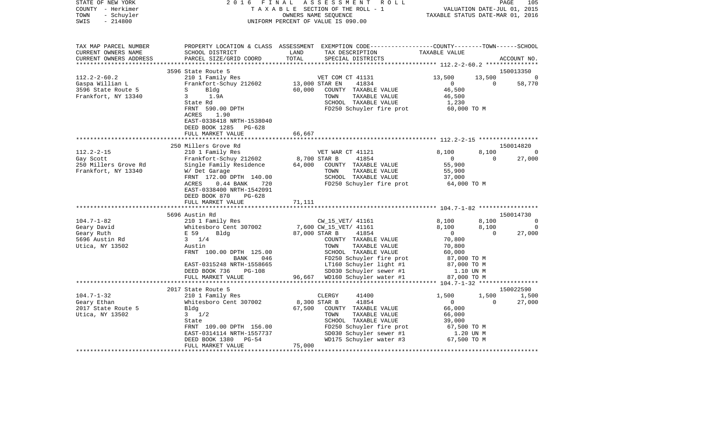| STATE OF NEW YORK<br>COUNTY - Herkimer<br>- Schuyler<br>TOWN<br>$-214800$<br>SWIS                  | 2 0 1 6<br>FINAL                                                                                                |               | ASSESSMENT<br>ROLL<br>TAXABLE SECTION OF THE ROLL - 1<br>OWNERS NAME SEQUENCE<br>UNIFORM PERCENT OF VALUE IS 090.00                     | TAXABLE STATUS DATE-MAR 01, 2016 | VALUATION DATE-JUL 01, 2015 | PAGE<br>105 |
|----------------------------------------------------------------------------------------------------|-----------------------------------------------------------------------------------------------------------------|---------------|-----------------------------------------------------------------------------------------------------------------------------------------|----------------------------------|-----------------------------|-------------|
| TAX MAP PARCEL NUMBER<br>CURRENT OWNERS NAME<br>CURRENT OWNERS ADDRESS<br>************************ | SCHOOL DISTRICT<br>PARCEL SIZE/GRID COORD                                                                       | LAND<br>TOTAL | PROPERTY LOCATION & CLASS ASSESSMENT EXEMPTION CODE---------------COUNTY-------TOWN------SCHOOL<br>TAX DESCRIPTION<br>SPECIAL DISTRICTS | TAXABLE VALUE                    |                             | ACCOUNT NO. |
|                                                                                                    | 3596 State Route 5                                                                                              |               |                                                                                                                                         |                                  |                             | 150013350   |
| $112.2 - 2 - 60.2$                                                                                 | 210 1 Family Res                                                                                                |               | VET COM CT 41131                                                                                                                        | 13,500                           | 13,500                      | 0           |
| Gaspa Willian L                                                                                    | Frankfort-Schuy 212602                                                                                          |               | 13,000 STAR EN<br>41834                                                                                                                 | $\overline{0}$                   | $\Omega$                    | 58,770      |
| 3596 State Route 5                                                                                 | S<br>Bldg                                                                                                       | 60,000        | COUNTY TAXABLE VALUE                                                                                                                    | 46,500                           |                             |             |
| Frankfort, NY 13340                                                                                | 3<br>1.9A                                                                                                       |               | TOWN<br>TAXABLE VALUE                                                                                                                   | 46,500                           |                             |             |
|                                                                                                    | State Rd                                                                                                        |               | SCHOOL TAXABLE VALUE                                                                                                                    | 1,230                            |                             |             |
|                                                                                                    | FRNT 590.00 DPTH<br>ACRES<br>1.90<br>EAST-0338418 NRTH-1538040<br>DEED BOOK 1285<br>PG-628<br>FULL MARKET VALUE | 66,667        | FD250 Schuyler fire prot                                                                                                                | 60,000 TO M                      |                             |             |
|                                                                                                    |                                                                                                                 |               |                                                                                                                                         |                                  |                             |             |
|                                                                                                    | 250 Millers Grove Rd                                                                                            |               |                                                                                                                                         |                                  |                             | 150014820   |
| $112.2 - 2 - 15$                                                                                   | 210 1 Family Res                                                                                                |               | VET WAR CT 41121                                                                                                                        | 8,100                            | 8,100                       | 0           |
| Gay Scott                                                                                          | Frankfort-Schuy 212602                                                                                          |               | 8,700 STAR B<br>41854                                                                                                                   | $\overline{0}$                   | $\Omega$                    | 27,000      |
| 250 Millers Grove Rd                                                                               | Single Family Residence                                                                                         | 64,000        | COUNTY TAXABLE VALUE                                                                                                                    | 55,900                           |                             |             |
| Frankfort, NY 13340                                                                                | W/ Det Garage                                                                                                   |               | TOWN<br>TAXABLE VALUE                                                                                                                   | 55,900                           |                             |             |
|                                                                                                    | FRNT 172.00 DPTH 140.00<br>ACRES<br>$0.44$ BANK<br>720                                                          |               | SCHOOL TAXABLE VALUE<br>FD250 Schuyler fire prot                                                                                        | 37,000<br>64,000 TO M            |                             |             |
|                                                                                                    | EAST-0338400 NRTH-1542091                                                                                       |               |                                                                                                                                         |                                  |                             |             |
|                                                                                                    | DEED BOOK 870<br>$PG-628$                                                                                       |               |                                                                                                                                         |                                  |                             |             |
|                                                                                                    | FULL MARKET VALUE                                                                                               | 71,111        |                                                                                                                                         |                                  |                             |             |
|                                                                                                    |                                                                                                                 |               |                                                                                                                                         |                                  |                             |             |
|                                                                                                    | 5696 Austin Rd                                                                                                  |               |                                                                                                                                         |                                  |                             | 150014730   |
| $104.7 - 1 - 82$                                                                                   | 210 1 Family Res                                                                                                |               | CW_15_VET/ 41161                                                                                                                        | 8,100                            | 8,100                       | $\mathbf 0$ |
| Geary David                                                                                        | Whitesboro Cent 307002                                                                                          |               | 7,600 CW_15_VET/ 41161                                                                                                                  | 8,100                            | 8,100                       | 0           |
| Geary Ruth                                                                                         | E 59<br>Bldg                                                                                                    |               | 87,000 STAR B<br>41854                                                                                                                  | $\overline{0}$                   | $\Omega$                    | 27,000      |
| 5696 Austin Rd                                                                                     | $3 \frac{1}{4}$                                                                                                 |               | COUNTY TAXABLE VALUE                                                                                                                    | 70,800                           |                             |             |
| Utica, NY 13502                                                                                    | Austin                                                                                                          |               | TOWN<br>TAXABLE VALUE                                                                                                                   | 70,800                           |                             |             |
|                                                                                                    | FRNT 100.00 DPTH 125.00                                                                                         |               | SCHOOL TAXABLE VALUE                                                                                                                    | 60,000                           |                             |             |
|                                                                                                    | BANK<br>046<br>EAST-0315248 NRTH-1558665                                                                        |               | FD250 Schuyler fire prot<br>LT160 Schuyler light #1                                                                                     | 87,000 TO M<br>87,000 TO M       |                             |             |
|                                                                                                    | DEED BOOK 736<br><b>PG-108</b>                                                                                  |               | SD030 Schuyler sewer #1                                                                                                                 | 1.10 UN M                        |                             |             |
|                                                                                                    | FULL MARKET VALUE                                                                                               |               | 96,667 WD160 Schuyler water #1                                                                                                          | 87,000 TO M                      |                             |             |
|                                                                                                    | ******************                                                                                              |               |                                                                                                                                         |                                  |                             |             |
|                                                                                                    | 2017 State Route 5                                                                                              |               |                                                                                                                                         |                                  |                             | 150022590   |
| $104.7 - 1 - 32$                                                                                   | 210 1 Family Res                                                                                                |               | CLERGY<br>41400                                                                                                                         | 1,500                            | 1,500                       | 1,500       |
| Geary Ethan                                                                                        | Whitesboro Cent 307002                                                                                          |               | 8,300 STAR B<br>41854                                                                                                                   | $\mathbf{0}$                     | $\Omega$                    | 27,000      |
| 2017 State Route 5                                                                                 | Bldg                                                                                                            | 67,500        | COUNTY TAXABLE VALUE                                                                                                                    | 66,000                           |                             |             |
| Utica, NY 13502                                                                                    | $3 \frac{1}{2}$                                                                                                 |               | TOWN<br>TAXABLE VALUE                                                                                                                   | 66,000                           |                             |             |
|                                                                                                    | State                                                                                                           |               | SCHOOL TAXABLE VALUE                                                                                                                    | 39,000                           |                             |             |
|                                                                                                    | FRNT 109.00 DPTH 156.00                                                                                         |               | FD250 Schuyler fire prot                                                                                                                | 67,500 TO M                      |                             |             |
|                                                                                                    | EAST-0314114 NRTH-1557737<br>$PG-54$                                                                            |               | SD030 Schuyler sewer #1                                                                                                                 | 1.20 UN M                        |                             |             |
|                                                                                                    | DEED BOOK 1380<br>FULL MARKET VALUE                                                                             | 75,000        | WD175 Schuyler water #3                                                                                                                 | 67,500 TO M                      |                             |             |
|                                                                                                    | *******************                                                                                             |               |                                                                                                                                         |                                  |                             |             |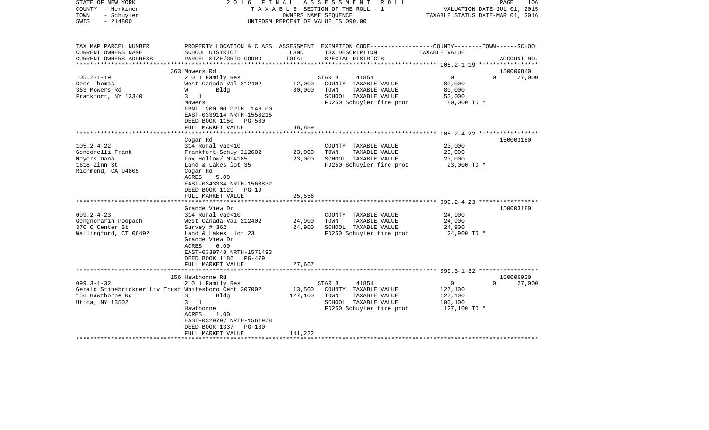| STATE OF NEW YORK<br>COUNTY - Herkimer<br>- Schuyler<br>TOWN<br>$-214800$<br>SWIS                                                                                                | 2016 FINAL                                                                                                                                                                                                                                                                                                                                                                                                 |                                                | ASSESSMENT<br>R O L L<br>TAXABLE SECTION OF THE ROLL - 1<br>OWNERS NAME SEQUENCE<br>UNIFORM PERCENT OF VALUE IS 090.00                                                                                 | PAGE<br>106<br>VALUATION DATE-JUL 01, 2015<br>TAXABLE STATUS DATE-MAR 01, 2016                                                   |
|----------------------------------------------------------------------------------------------------------------------------------------------------------------------------------|------------------------------------------------------------------------------------------------------------------------------------------------------------------------------------------------------------------------------------------------------------------------------------------------------------------------------------------------------------------------------------------------------------|------------------------------------------------|--------------------------------------------------------------------------------------------------------------------------------------------------------------------------------------------------------|----------------------------------------------------------------------------------------------------------------------------------|
| TAX MAP PARCEL NUMBER<br>CURRENT OWNERS NAME<br>CURRENT OWNERS ADDRESS                                                                                                           | SCHOOL DISTRICT<br>PARCEL SIZE/GRID COORD                                                                                                                                                                                                                                                                                                                                                                  | LAND<br>TOTAL                                  | TAX DESCRIPTION<br>SPECIAL DISTRICTS                                                                                                                                                                   | PROPERTY LOCATION & CLASS ASSESSMENT EXEMPTION CODE----------------COUNTY-------TOWN------SCHOOL<br>TAXABLE VALUE<br>ACCOUNT NO. |
| ******************                                                                                                                                                               |                                                                                                                                                                                                                                                                                                                                                                                                            |                                                | ****************************                                                                                                                                                                           | ********************* 105.2-1-19 ******************                                                                              |
| $105.2 - 1 - 19$<br>Geer Thomas<br>363 Mowers Rd<br>Frankfort, NY 13340                                                                                                          | 363 Mowers Rd<br>210 1 Family Res<br>West Canada Val 212402<br>Bldg<br>W<br>$3 \quad 1$<br>Mowers<br>FRNT 200.00 DPTH 146.00                                                                                                                                                                                                                                                                               | 12,000<br>80,000                               | STAR B<br>41854<br>COUNTY TAXABLE VALUE<br>TOWN<br>TAXABLE VALUE<br>SCHOOL TAXABLE VALUE<br>FD250 Schuyler fire prot                                                                                   | 150006840<br>$\overline{0}$<br>$\Omega$<br>27,000<br>80,000<br>80,000<br>53,000<br>80,000 TO M                                   |
|                                                                                                                                                                                  | EAST-0339114 NRTH-1558215<br>DEED BOOK 1150 PG-580<br>FULL MARKET VALUE                                                                                                                                                                                                                                                                                                                                    | 88,889                                         |                                                                                                                                                                                                        |                                                                                                                                  |
|                                                                                                                                                                                  |                                                                                                                                                                                                                                                                                                                                                                                                            |                                                |                                                                                                                                                                                                        |                                                                                                                                  |
| $105.2 - 4 - 22$<br>Gencorelli Frank<br>Meyers Dana<br>1618 Zinn St<br>Richmond, CA 94805<br>$099.2 - 4 - 23$<br>Gengnorarin Poopach<br>370 C Center St<br>Wallingford, CT 06492 | Cogar Rd<br>314 Rural vac<10<br>Frankfort-Schuy 212602<br>Fox Hollow/ MF#185<br>Land & Lakes lot 35<br>Cogar Rd<br>ACRES<br>5.00<br>EAST-0343334 NRTH-1560832<br>DEED BOOK 1129 PG-19<br>FULL MARKET VALUE<br>Grande View Dr<br>314 Rural vac<10<br>West Canada Val 212402<br>Survey # 362<br>Land & Lakes lot 23<br>Grande View Dr<br>ACRES<br>6.00<br>EAST-0339748 NRTH-1571493<br>DEED BOOK 1186 PG-479 | 23,000<br>23,000<br>25,556<br>24,900<br>24,900 | COUNTY TAXABLE VALUE<br>TAXABLE VALUE<br>TOWN<br>SCHOOL TAXABLE VALUE<br>FD250 Schuyler fire prot<br>COUNTY TAXABLE VALUE<br>TAXABLE VALUE<br>TOWN<br>SCHOOL TAXABLE VALUE<br>FD250 Schuyler fire prot | 150003180<br>23,000<br>23,000<br>23,000<br>23,000 TO M<br>150003180<br>24,900<br>24,900<br>24,900<br>24,900 TO M                 |
|                                                                                                                                                                                  | FULL MARKET VALUE                                                                                                                                                                                                                                                                                                                                                                                          | 27,667                                         |                                                                                                                                                                                                        |                                                                                                                                  |
| $099.3 - 1 - 32$<br>Gerald Stinebrickner Liv Trust Whitesboro Cent 307002<br>156 Hawthorne Rd<br>Utica, NY 13502                                                                 | 156 Hawthorne Rd<br>210 1 Family Res<br>S<br>Bldg<br>$3 \quad 1$<br>Hawthorne<br>ACRES<br>1.00<br>EAST-0329797 NRTH-1561978<br>DEED BOOK 1337<br>$PG-130$<br>FULL MARKET VALUE                                                                                                                                                                                                                             | 13,500<br>127,100<br>141,222                   | STAR B<br>41854<br>COUNTY TAXABLE VALUE<br>TOWN<br>TAXABLE VALUE<br>SCHOOL TAXABLE VALUE<br>FD250 Schuyler fire prot                                                                                   | 150006930<br>$\mathbf 0$<br>$\Omega$<br>27,000<br>127,100<br>127,100<br>100,100<br>127,100 TO M                                  |
|                                                                                                                                                                                  |                                                                                                                                                                                                                                                                                                                                                                                                            |                                                |                                                                                                                                                                                                        |                                                                                                                                  |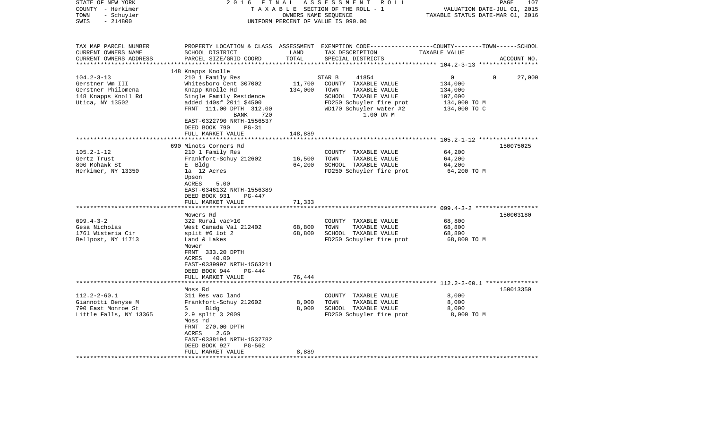| STATE OF NEW YORK<br>COUNTY - Herkimer<br>- Schuyler<br>TOWN<br>SWIS<br>$-214800$                   | 2016<br>FINAL<br>ASSESSMENT<br>R O L L<br>TAXABLE SECTION OF THE ROLL - 1<br>OWNERS NAME SEQUENCE<br>UNIFORM PERCENT OF VALUE IS 090.00                                                                                                                          |                              |                                                                                                                                                              | 107<br>PAGE<br>VALUATION DATE-JUL 01, 2015<br>TAXABLE STATUS DATE-MAR 01, 2016 |             |  |
|-----------------------------------------------------------------------------------------------------|------------------------------------------------------------------------------------------------------------------------------------------------------------------------------------------------------------------------------------------------------------------|------------------------------|--------------------------------------------------------------------------------------------------------------------------------------------------------------|--------------------------------------------------------------------------------|-------------|--|
| TAX MAP PARCEL NUMBER<br>CURRENT OWNERS NAME<br>CURRENT OWNERS ADDRESS<br>*********************     | SCHOOL DISTRICT<br>PARCEL SIZE/GRID COORD                                                                                                                                                                                                                        | LAND<br>TOTAL                | PROPERTY LOCATION & CLASS ASSESSMENT EXEMPTION CODE---------------COUNTY-------TOWN------SCHOOL<br>TAX DESCRIPTION<br>SPECIAL DISTRICTS                      | TAXABLE VALUE                                                                  | ACCOUNT NO. |  |
| $104.2 - 3 - 13$<br>Gerstner Wm III<br>Gerstner Philomena<br>148 Knapps Knoll Rd<br>Utica, NY 13502 | 148 Knapps Knolle<br>210 1 Family Res<br>Whitesboro Cent 307002<br>Knapp Knolle Rd<br>Single Family Residence<br>added 140sf 2011 \$4500<br>FRNT 111.00 DPTH 312.00<br>BANK<br>720<br>EAST-0322790 NRTH-1556537<br>DEED BOOK 790<br>$PG-31$<br>FULL MARKET VALUE | 11,700<br>134,000<br>148,889 | STAR B<br>41854<br>COUNTY TAXABLE VALUE<br>TOWN<br>TAXABLE VALUE<br>SCHOOL TAXABLE VALUE<br>FD250 Schuyler fire prot<br>WD170 Schuyler water #2<br>1.00 UN M | 0<br>134,000<br>134,000<br>107,000<br>134,000 TO M<br>134,000 TO C             | 27,000<br>0 |  |
|                                                                                                     |                                                                                                                                                                                                                                                                  |                              |                                                                                                                                                              |                                                                                |             |  |
| $105.2 - 1 - 12$<br>Gertz Trust<br>800 Mohawk St<br>Herkimer, NY 13350                              | 690 Minots Corners Rd<br>210 1 Family Res<br>Frankfort-Schuy 212602<br>E Bldg<br>la 12 Acres<br>Upson<br>ACRES<br>5.00<br>EAST-0346132 NRTH-1556389<br>DEED BOOK 931<br>PG-447<br>FULL MARKET VALUE                                                              | 16,500<br>64,200<br>71,333   | COUNTY TAXABLE VALUE<br>TAXABLE VALUE<br>TOWN<br>SCHOOL TAXABLE VALUE<br>FD250 Schuyler fire prot                                                            | 64,200<br>64,200<br>64,200<br>64,200 TO M                                      | 150075025   |  |
|                                                                                                     |                                                                                                                                                                                                                                                                  |                              |                                                                                                                                                              | ************** 099.4-3-2 *******************                                   |             |  |
| $099.4 - 3 - 2$<br>Gesa Nicholas<br>1761 Wisteria Cir<br>Bellpost, NY 11713                         | Mowers Rd<br>322 Rural vac>10<br>West Canada Val 212402<br>split #6 lot $2$<br>Land & Lakes<br>Mower<br>FRNT 333.20 DPTH<br>40.00<br>ACRES<br>EAST-0339997 NRTH-1563211<br>DEED BOOK 944<br><b>PG-444</b><br>FULL MARKET VALUE                                   | 68,800<br>68,800<br>76,444   | COUNTY TAXABLE VALUE<br>TOWN<br>TAXABLE VALUE<br>SCHOOL TAXABLE VALUE<br>FD250 Schuyler fire prot                                                            | 68,800<br>68,800<br>68,800<br>68,800 TO M                                      | 150003180   |  |
|                                                                                                     |                                                                                                                                                                                                                                                                  |                              |                                                                                                                                                              |                                                                                |             |  |
| $112.2 - 2 - 60.1$<br>Giannotti Denyse M<br>790 East Monroe St<br>Little Falls, NY 13365            | Moss Rd<br>311 Res vac land<br>Frankfort-Schuy 212602<br>S<br>Bldg<br>2.9 split 3 2009<br>Moss rd<br>FRNT 270.00 DPTH<br>2.60<br><b>ACRES</b><br>EAST-0338194 NRTH-1537782<br>DEED BOOK 927<br>PG-562                                                            | 8,000<br>8,000               | COUNTY TAXABLE VALUE<br>TOWN<br>TAXABLE VALUE<br>SCHOOL TAXABLE VALUE<br>FD250 Schuyler fire prot                                                            | 8,000<br>8,000<br>8,000<br>8,000 TO M                                          | 150013350   |  |
|                                                                                                     | FULL MARKET VALUE                                                                                                                                                                                                                                                | 8,889                        |                                                                                                                                                              |                                                                                |             |  |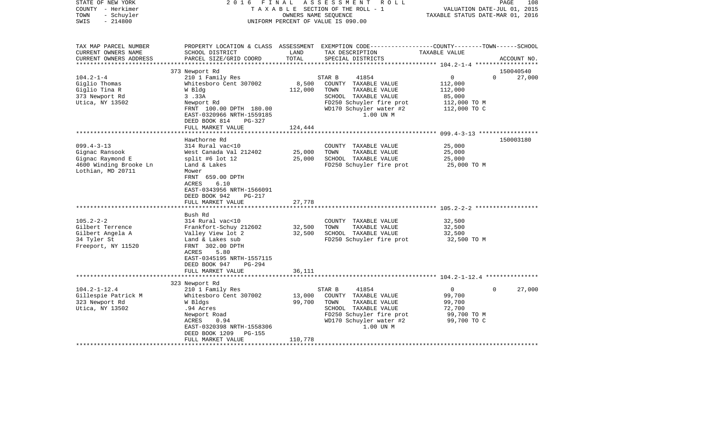| STATE OF NEW YORK<br>COUNTY - Herkimer<br>- Schuyler<br>TOWN<br>$-214800$<br>SWIS |                                                      | OWNERS NAME SEQUENCE | 2016 FINAL ASSESSMENT ROLL<br>TAXABLE SECTION OF THE ROLL - 1<br>UNIFORM PERCENT OF VALUE IS 090.00                                                    | VALUATION DATE-JUL 01, 2015<br>TAXABLE STATUS DATE-MAR 01, 2016 | 108<br>PAGE                     |
|-----------------------------------------------------------------------------------|------------------------------------------------------|----------------------|--------------------------------------------------------------------------------------------------------------------------------------------------------|-----------------------------------------------------------------|---------------------------------|
| TAX MAP PARCEL NUMBER<br>CURRENT OWNERS NAME<br>CURRENT OWNERS ADDRESS            | SCHOOL DISTRICT<br>PARCEL SIZE/GRID COORD            | LAND<br>TOTAL        | PROPERTY LOCATION & CLASS ASSESSMENT EXEMPTION CODE----------------COUNTY-------TOWN------SCHOOL<br>TAX DESCRIPTION TAXABLE VALUE<br>SPECIAL DISTRICTS |                                                                 | ACCOUNT NO.                     |
|                                                                                   |                                                      |                      |                                                                                                                                                        |                                                                 |                                 |
| $104.2 - 1 - 4$                                                                   | 373 Newport Rd<br>210 1 Family Res                   |                      | STAR B<br>41854                                                                                                                                        | $\overline{0}$                                                  | 150040540<br>$\Omega$<br>27,000 |
| Giglio Thomas                                                                     | Whitesboro Cent 307002                               | 8,500                | COUNTY TAXABLE VALUE                                                                                                                                   | 112,000                                                         |                                 |
| Giglio Tina R                                                                     | W Bldg                                               | 112,000              | TOWN<br>TAXABLE VALUE                                                                                                                                  | 112,000                                                         |                                 |
| 373 Newport Rd                                                                    | 3.33A                                                |                      | SCHOOL TAXABLE VALUE                                                                                                                                   | 85,000                                                          |                                 |
| Utica, NY 13502                                                                   | Newport Rd                                           |                      | FD250 Schuyler fire prot                                                                                                                               |                                                                 |                                 |
|                                                                                   | FRNT 100.00 DPTH 180.00<br>EAST-0320966 NRTH-1559185 |                      | WD170 Schuyler water #2<br>1.00 UN M                                                                                                                   | 112,000 TO M<br>112,000 TO C                                    |                                 |
|                                                                                   | DEED BOOK 814<br>PG-327                              |                      |                                                                                                                                                        |                                                                 |                                 |
|                                                                                   | FULL MARKET VALUE                                    | 124,444              |                                                                                                                                                        |                                                                 |                                 |
|                                                                                   | Hawthorne Rd                                         |                      |                                                                                                                                                        |                                                                 | 150003180                       |
| $099.4 - 3 - 13$                                                                  | 314 Rural vac<10                                     |                      | COUNTY TAXABLE VALUE                                                                                                                                   | 25,000                                                          |                                 |
| Gignac Ransook                                                                    | West Canada Val 212402                               | 25,000               | TOWN<br>TAXABLE VALUE                                                                                                                                  | 25,000                                                          |                                 |
| Gignac Raymond E                                                                  | split #6 lot 12                                      | 25,000               | SCHOOL TAXABLE VALUE                                                                                                                                   | 25,000                                                          |                                 |
| 4600 Winding Brooke Ln                                                            | Land & Lakes                                         |                      | FD250 Schuyler fire prot                                                                                                                               | 25,000 TO M                                                     |                                 |
| Lothian, MD 20711                                                                 | Mower                                                |                      |                                                                                                                                                        |                                                                 |                                 |
|                                                                                   | FRNT 659.00 DPTH                                     |                      |                                                                                                                                                        |                                                                 |                                 |
|                                                                                   | ACRES<br>6.10                                        |                      |                                                                                                                                                        |                                                                 |                                 |
|                                                                                   | EAST-0343956 NRTH-1566091                            |                      |                                                                                                                                                        |                                                                 |                                 |
|                                                                                   | DEED BOOK 942<br>PG-217                              |                      |                                                                                                                                                        |                                                                 |                                 |
|                                                                                   | FULL MARKET VALUE                                    | 27,778               |                                                                                                                                                        |                                                                 |                                 |
|                                                                                   |                                                      |                      |                                                                                                                                                        |                                                                 |                                 |
| $105.2 - 2 - 2$                                                                   | Bush Rd<br>314 Rural vac<10                          |                      | COUNTY TAXABLE VALUE                                                                                                                                   | 32,500                                                          |                                 |
| Gilbert Terrence                                                                  | Frankfort-Schuy 212602                               | 32,500               | TOWN<br>TAXABLE VALUE                                                                                                                                  | 32,500                                                          |                                 |
| Gilbert Angela A                                                                  | Valley View lot 2                                    | 32,500               | SCHOOL TAXABLE VALUE                                                                                                                                   | 32,500                                                          |                                 |
| 34 Tyler St                                                                       | Land & Lakes sub                                     |                      | FD250 Schuyler fire prot                                                                                                                               | 32,500 TO M                                                     |                                 |
| Freeport, NY 11520                                                                | FRNT 302.00 DPTH                                     |                      |                                                                                                                                                        |                                                                 |                                 |
|                                                                                   | ACRES<br>5.80                                        |                      |                                                                                                                                                        |                                                                 |                                 |
|                                                                                   | EAST-0345195 NRTH-1557115                            |                      |                                                                                                                                                        |                                                                 |                                 |
|                                                                                   | DEED BOOK 947 PG-294                                 |                      |                                                                                                                                                        |                                                                 |                                 |
|                                                                                   | FULL MARKET VALUE                                    | 36,111               |                                                                                                                                                        |                                                                 |                                 |
|                                                                                   |                                                      |                      |                                                                                                                                                        |                                                                 |                                 |
|                                                                                   | 323 Newport Rd                                       |                      |                                                                                                                                                        |                                                                 |                                 |
| $104.2 - 1 - 12.4$                                                                | 210 1 Family Res                                     |                      | STAR B<br>41854                                                                                                                                        | $\overline{0}$                                                  | 27,000<br>$\mathbf{0}$          |
| Gillespie Patrick M                                                               | Whitesboro Cent 307002                               | 13,000               | COUNTY TAXABLE VALUE                                                                                                                                   | 99,700                                                          |                                 |
| 323 Newport Rd                                                                    | W Bldgs                                              | 99,700               | TOWN<br>TAXABLE VALUE                                                                                                                                  | 99,700                                                          |                                 |
| Utica, NY 13502                                                                   | .94 Acres                                            |                      | SCHOOL TAXABLE VALUE                                                                                                                                   | 72,700                                                          |                                 |
|                                                                                   | Newport Road                                         |                      | FD250 Schuyler fire prot                                                                                                                               | 99,700 TO M                                                     |                                 |
|                                                                                   | ACRES<br>0.94                                        |                      | WD170 Schuyler water #2<br>1.00 UN M                                                                                                                   | 99,700 TO C                                                     |                                 |
|                                                                                   | EAST-0320398 NRTH-1558306<br>DEED BOOK 1209 PG-155   |                      |                                                                                                                                                        |                                                                 |                                 |
|                                                                                   | FULL MARKET VALUE                                    | 110,778              |                                                                                                                                                        |                                                                 |                                 |
|                                                                                   |                                                      |                      |                                                                                                                                                        |                                                                 |                                 |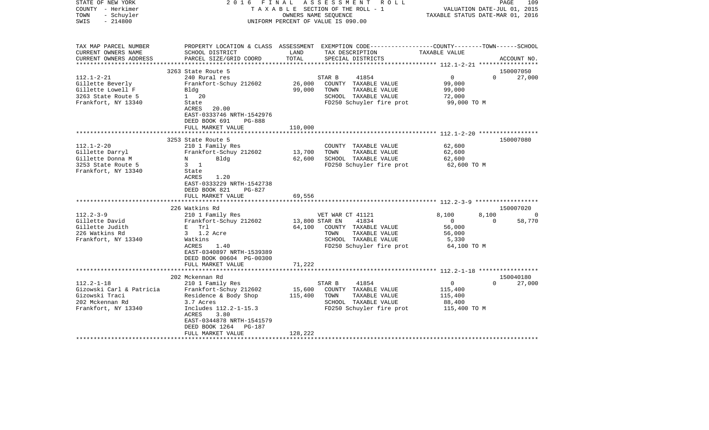| PROPERTY LOCATION & CLASS ASSESSMENT EXEMPTION CODE----------------COUNTY-------TOWN------SCHOOL<br>TAX MAP PARCEL NUMBER<br>CURRENT OWNERS NAME<br>SCHOOL DISTRICT<br>LAND<br>TAX DESCRIPTION<br>TAXABLE VALUE<br>TOTAL<br>CURRENT OWNERS ADDRESS<br>PARCEL SIZE/GRID COORD<br>SPECIAL DISTRICTS<br>ACCOUNT NO.<br>********************<br>150007050<br>3263 State Route 5<br>$112.1 - 2 - 21$<br>41854<br>$\overline{0}$<br>$\Omega$<br>27,000<br>240 Rural res<br>STAR B<br>26,000<br>99,000<br>Gillette Beverly<br>Frankfort-Schuy 212602<br>COUNTY TAXABLE VALUE<br>Gillette Lowell F<br>99,000<br>TOWN<br>TAXABLE VALUE<br>99,000<br>Bldg<br>3263 State Route 5<br>$1 \quad 20$<br>SCHOOL TAXABLE VALUE<br>72,000<br>Frankfort, NY 13340<br>FD250 Schuyler fire prot<br>99,000 TO M<br>State<br>ACRES<br>20.00<br>EAST-0333746 NRTH-1542976<br>DEED BOOK 691<br><b>PG-888</b><br>FULL MARKET VALUE<br>110,000<br>************************** 112.1-2-20 ******************<br>3253 State Route 5<br>150007080<br>$112.1 - 2 - 20$<br>210 1 Family Res<br>62,600<br>COUNTY TAXABLE VALUE<br>Frankfort-Schuy 212602<br>13,700<br>TAXABLE VALUE<br>Gillette Darryl<br>TOWN<br>62,600<br>Gillette Donna M<br>N<br>Bldg<br>62,600<br>SCHOOL TAXABLE VALUE<br>62,600<br>3253 State Route 5<br>FD250 Schuyler fire prot<br>$3 \quad 1$<br>62,600 TO M<br>Frankfort, NY 13340<br>State<br>1.20<br>ACRES<br>EAST-0333229 NRTH-1542738<br>DEED BOOK 821<br><b>PG-827</b><br>FULL MARKET VALUE<br>69,556<br>*************<br>226 Watkins Rd<br>150007020<br>$112.2 - 3 - 9$<br>210 1 Family Res<br>VET WAR CT 41121<br>8,100<br>8,100<br>$\Omega$<br>Gillette David<br>Frankfort-Schuy 212602<br>13,800 STAR EN<br>41834<br>$\overline{0}$<br>$\Omega$<br>58,770<br>Gillette Judith<br>E Trl<br>64,100<br>COUNTY TAXABLE VALUE<br>56,000<br>226 Watkins Rd<br>3 1.2 Acre<br>TAXABLE VALUE<br>TOWN<br>56,000<br>Frankfort, NY 13340<br>SCHOOL TAXABLE VALUE<br>Watkins<br>5,330<br>1.40<br>FD250 Schuyler fire prot<br>64,100 TO M<br>ACRES<br>EAST-0340897 NRTH-1539389<br>DEED BOOK 00604 PG-00300<br>71,222<br>FULL MARKET VALUE<br>**************************<br>150040180<br>202 Mckennan Rd<br>$112.2 - 1 - 18$<br>210 1 Family Res<br>STAR B<br>41854<br>0<br>$\Omega$<br>27,000<br>Gizowski Carl & Patricia<br>Frankfort-Schuy 212602<br>15,600<br>COUNTY TAXABLE VALUE<br>115,400<br>Gizowski Traci<br>TAXABLE VALUE<br>Residence & Body Shop<br>115,400<br>TOWN<br>115,400<br>202 Mckennan Rd<br>SCHOOL TAXABLE VALUE<br>88,400<br>3.7 Acres<br>Includes 112.2-1-15.3<br>FD250 Schuyler fire prot<br>Frankfort, NY 13340<br>115,400 TO M<br>ACRES<br>3.80<br>EAST-0344878 NRTH-1541579<br>DEED BOOK 1264<br><b>PG-187</b><br>FULL MARKET VALUE<br>128,222 | STATE OF NEW YORK<br>COUNTY - Herkimer<br>- Schuyler<br>TOWN<br>$-214800$<br>SWIS | FINAL<br>2016 | ASSESSMENT<br>R O L L<br>T A X A B L E SECTION OF THE ROLL - 1<br>OWNERS NAME SEOUENCE<br>UNIFORM PERCENT OF VALUE IS 090.00 | VALUATION DATE-JUL 01, 2015<br>TAXABLE STATUS DATE-MAR 01, 2016 | PAGE<br>109 |
|--------------------------------------------------------------------------------------------------------------------------------------------------------------------------------------------------------------------------------------------------------------------------------------------------------------------------------------------------------------------------------------------------------------------------------------------------------------------------------------------------------------------------------------------------------------------------------------------------------------------------------------------------------------------------------------------------------------------------------------------------------------------------------------------------------------------------------------------------------------------------------------------------------------------------------------------------------------------------------------------------------------------------------------------------------------------------------------------------------------------------------------------------------------------------------------------------------------------------------------------------------------------------------------------------------------------------------------------------------------------------------------------------------------------------------------------------------------------------------------------------------------------------------------------------------------------------------------------------------------------------------------------------------------------------------------------------------------------------------------------------------------------------------------------------------------------------------------------------------------------------------------------------------------------------------------------------------------------------------------------------------------------------------------------------------------------------------------------------------------------------------------------------------------------------------------------------------------------------------------------------------------------------------------------------------------------------------------------------------------------------------------------------------------------------------------------------------------------------------------------------------------------------------------------------------------------------------------------------------------------------------------------------------------------------------------------------------------------------------------------------------------|-----------------------------------------------------------------------------------|---------------|------------------------------------------------------------------------------------------------------------------------------|-----------------------------------------------------------------|-------------|
|                                                                                                                                                                                                                                                                                                                                                                                                                                                                                                                                                                                                                                                                                                                                                                                                                                                                                                                                                                                                                                                                                                                                                                                                                                                                                                                                                                                                                                                                                                                                                                                                                                                                                                                                                                                                                                                                                                                                                                                                                                                                                                                                                                                                                                                                                                                                                                                                                                                                                                                                                                                                                                                                                                                                                              |                                                                                   |               |                                                                                                                              |                                                                 |             |
|                                                                                                                                                                                                                                                                                                                                                                                                                                                                                                                                                                                                                                                                                                                                                                                                                                                                                                                                                                                                                                                                                                                                                                                                                                                                                                                                                                                                                                                                                                                                                                                                                                                                                                                                                                                                                                                                                                                                                                                                                                                                                                                                                                                                                                                                                                                                                                                                                                                                                                                                                                                                                                                                                                                                                              |                                                                                   |               |                                                                                                                              |                                                                 |             |
|                                                                                                                                                                                                                                                                                                                                                                                                                                                                                                                                                                                                                                                                                                                                                                                                                                                                                                                                                                                                                                                                                                                                                                                                                                                                                                                                                                                                                                                                                                                                                                                                                                                                                                                                                                                                                                                                                                                                                                                                                                                                                                                                                                                                                                                                                                                                                                                                                                                                                                                                                                                                                                                                                                                                                              |                                                                                   |               |                                                                                                                              |                                                                 |             |
|                                                                                                                                                                                                                                                                                                                                                                                                                                                                                                                                                                                                                                                                                                                                                                                                                                                                                                                                                                                                                                                                                                                                                                                                                                                                                                                                                                                                                                                                                                                                                                                                                                                                                                                                                                                                                                                                                                                                                                                                                                                                                                                                                                                                                                                                                                                                                                                                                                                                                                                                                                                                                                                                                                                                                              |                                                                                   |               |                                                                                                                              |                                                                 |             |
|                                                                                                                                                                                                                                                                                                                                                                                                                                                                                                                                                                                                                                                                                                                                                                                                                                                                                                                                                                                                                                                                                                                                                                                                                                                                                                                                                                                                                                                                                                                                                                                                                                                                                                                                                                                                                                                                                                                                                                                                                                                                                                                                                                                                                                                                                                                                                                                                                                                                                                                                                                                                                                                                                                                                                              |                                                                                   |               |                                                                                                                              |                                                                 |             |
|                                                                                                                                                                                                                                                                                                                                                                                                                                                                                                                                                                                                                                                                                                                                                                                                                                                                                                                                                                                                                                                                                                                                                                                                                                                                                                                                                                                                                                                                                                                                                                                                                                                                                                                                                                                                                                                                                                                                                                                                                                                                                                                                                                                                                                                                                                                                                                                                                                                                                                                                                                                                                                                                                                                                                              |                                                                                   |               |                                                                                                                              |                                                                 |             |
|                                                                                                                                                                                                                                                                                                                                                                                                                                                                                                                                                                                                                                                                                                                                                                                                                                                                                                                                                                                                                                                                                                                                                                                                                                                                                                                                                                                                                                                                                                                                                                                                                                                                                                                                                                                                                                                                                                                                                                                                                                                                                                                                                                                                                                                                                                                                                                                                                                                                                                                                                                                                                                                                                                                                                              |                                                                                   |               |                                                                                                                              |                                                                 |             |
|                                                                                                                                                                                                                                                                                                                                                                                                                                                                                                                                                                                                                                                                                                                                                                                                                                                                                                                                                                                                                                                                                                                                                                                                                                                                                                                                                                                                                                                                                                                                                                                                                                                                                                                                                                                                                                                                                                                                                                                                                                                                                                                                                                                                                                                                                                                                                                                                                                                                                                                                                                                                                                                                                                                                                              |                                                                                   |               |                                                                                                                              |                                                                 |             |
|                                                                                                                                                                                                                                                                                                                                                                                                                                                                                                                                                                                                                                                                                                                                                                                                                                                                                                                                                                                                                                                                                                                                                                                                                                                                                                                                                                                                                                                                                                                                                                                                                                                                                                                                                                                                                                                                                                                                                                                                                                                                                                                                                                                                                                                                                                                                                                                                                                                                                                                                                                                                                                                                                                                                                              |                                                                                   |               |                                                                                                                              |                                                                 |             |
|                                                                                                                                                                                                                                                                                                                                                                                                                                                                                                                                                                                                                                                                                                                                                                                                                                                                                                                                                                                                                                                                                                                                                                                                                                                                                                                                                                                                                                                                                                                                                                                                                                                                                                                                                                                                                                                                                                                                                                                                                                                                                                                                                                                                                                                                                                                                                                                                                                                                                                                                                                                                                                                                                                                                                              |                                                                                   |               |                                                                                                                              |                                                                 |             |
|                                                                                                                                                                                                                                                                                                                                                                                                                                                                                                                                                                                                                                                                                                                                                                                                                                                                                                                                                                                                                                                                                                                                                                                                                                                                                                                                                                                                                                                                                                                                                                                                                                                                                                                                                                                                                                                                                                                                                                                                                                                                                                                                                                                                                                                                                                                                                                                                                                                                                                                                                                                                                                                                                                                                                              |                                                                                   |               |                                                                                                                              |                                                                 |             |
|                                                                                                                                                                                                                                                                                                                                                                                                                                                                                                                                                                                                                                                                                                                                                                                                                                                                                                                                                                                                                                                                                                                                                                                                                                                                                                                                                                                                                                                                                                                                                                                                                                                                                                                                                                                                                                                                                                                                                                                                                                                                                                                                                                                                                                                                                                                                                                                                                                                                                                                                                                                                                                                                                                                                                              |                                                                                   |               |                                                                                                                              |                                                                 |             |
|                                                                                                                                                                                                                                                                                                                                                                                                                                                                                                                                                                                                                                                                                                                                                                                                                                                                                                                                                                                                                                                                                                                                                                                                                                                                                                                                                                                                                                                                                                                                                                                                                                                                                                                                                                                                                                                                                                                                                                                                                                                                                                                                                                                                                                                                                                                                                                                                                                                                                                                                                                                                                                                                                                                                                              |                                                                                   |               |                                                                                                                              |                                                                 |             |
|                                                                                                                                                                                                                                                                                                                                                                                                                                                                                                                                                                                                                                                                                                                                                                                                                                                                                                                                                                                                                                                                                                                                                                                                                                                                                                                                                                                                                                                                                                                                                                                                                                                                                                                                                                                                                                                                                                                                                                                                                                                                                                                                                                                                                                                                                                                                                                                                                                                                                                                                                                                                                                                                                                                                                              |                                                                                   |               |                                                                                                                              |                                                                 |             |
|                                                                                                                                                                                                                                                                                                                                                                                                                                                                                                                                                                                                                                                                                                                                                                                                                                                                                                                                                                                                                                                                                                                                                                                                                                                                                                                                                                                                                                                                                                                                                                                                                                                                                                                                                                                                                                                                                                                                                                                                                                                                                                                                                                                                                                                                                                                                                                                                                                                                                                                                                                                                                                                                                                                                                              |                                                                                   |               |                                                                                                                              |                                                                 |             |
|                                                                                                                                                                                                                                                                                                                                                                                                                                                                                                                                                                                                                                                                                                                                                                                                                                                                                                                                                                                                                                                                                                                                                                                                                                                                                                                                                                                                                                                                                                                                                                                                                                                                                                                                                                                                                                                                                                                                                                                                                                                                                                                                                                                                                                                                                                                                                                                                                                                                                                                                                                                                                                                                                                                                                              |                                                                                   |               |                                                                                                                              |                                                                 |             |
|                                                                                                                                                                                                                                                                                                                                                                                                                                                                                                                                                                                                                                                                                                                                                                                                                                                                                                                                                                                                                                                                                                                                                                                                                                                                                                                                                                                                                                                                                                                                                                                                                                                                                                                                                                                                                                                                                                                                                                                                                                                                                                                                                                                                                                                                                                                                                                                                                                                                                                                                                                                                                                                                                                                                                              |                                                                                   |               |                                                                                                                              |                                                                 |             |
|                                                                                                                                                                                                                                                                                                                                                                                                                                                                                                                                                                                                                                                                                                                                                                                                                                                                                                                                                                                                                                                                                                                                                                                                                                                                                                                                                                                                                                                                                                                                                                                                                                                                                                                                                                                                                                                                                                                                                                                                                                                                                                                                                                                                                                                                                                                                                                                                                                                                                                                                                                                                                                                                                                                                                              |                                                                                   |               |                                                                                                                              |                                                                 |             |
|                                                                                                                                                                                                                                                                                                                                                                                                                                                                                                                                                                                                                                                                                                                                                                                                                                                                                                                                                                                                                                                                                                                                                                                                                                                                                                                                                                                                                                                                                                                                                                                                                                                                                                                                                                                                                                                                                                                                                                                                                                                                                                                                                                                                                                                                                                                                                                                                                                                                                                                                                                                                                                                                                                                                                              |                                                                                   |               |                                                                                                                              |                                                                 |             |
|                                                                                                                                                                                                                                                                                                                                                                                                                                                                                                                                                                                                                                                                                                                                                                                                                                                                                                                                                                                                                                                                                                                                                                                                                                                                                                                                                                                                                                                                                                                                                                                                                                                                                                                                                                                                                                                                                                                                                                                                                                                                                                                                                                                                                                                                                                                                                                                                                                                                                                                                                                                                                                                                                                                                                              |                                                                                   |               |                                                                                                                              |                                                                 |             |
|                                                                                                                                                                                                                                                                                                                                                                                                                                                                                                                                                                                                                                                                                                                                                                                                                                                                                                                                                                                                                                                                                                                                                                                                                                                                                                                                                                                                                                                                                                                                                                                                                                                                                                                                                                                                                                                                                                                                                                                                                                                                                                                                                                                                                                                                                                                                                                                                                                                                                                                                                                                                                                                                                                                                                              |                                                                                   |               |                                                                                                                              |                                                                 |             |
|                                                                                                                                                                                                                                                                                                                                                                                                                                                                                                                                                                                                                                                                                                                                                                                                                                                                                                                                                                                                                                                                                                                                                                                                                                                                                                                                                                                                                                                                                                                                                                                                                                                                                                                                                                                                                                                                                                                                                                                                                                                                                                                                                                                                                                                                                                                                                                                                                                                                                                                                                                                                                                                                                                                                                              |                                                                                   |               |                                                                                                                              |                                                                 |             |
|                                                                                                                                                                                                                                                                                                                                                                                                                                                                                                                                                                                                                                                                                                                                                                                                                                                                                                                                                                                                                                                                                                                                                                                                                                                                                                                                                                                                                                                                                                                                                                                                                                                                                                                                                                                                                                                                                                                                                                                                                                                                                                                                                                                                                                                                                                                                                                                                                                                                                                                                                                                                                                                                                                                                                              |                                                                                   |               |                                                                                                                              |                                                                 |             |
|                                                                                                                                                                                                                                                                                                                                                                                                                                                                                                                                                                                                                                                                                                                                                                                                                                                                                                                                                                                                                                                                                                                                                                                                                                                                                                                                                                                                                                                                                                                                                                                                                                                                                                                                                                                                                                                                                                                                                                                                                                                                                                                                                                                                                                                                                                                                                                                                                                                                                                                                                                                                                                                                                                                                                              |                                                                                   |               |                                                                                                                              |                                                                 |             |
|                                                                                                                                                                                                                                                                                                                                                                                                                                                                                                                                                                                                                                                                                                                                                                                                                                                                                                                                                                                                                                                                                                                                                                                                                                                                                                                                                                                                                                                                                                                                                                                                                                                                                                                                                                                                                                                                                                                                                                                                                                                                                                                                                                                                                                                                                                                                                                                                                                                                                                                                                                                                                                                                                                                                                              |                                                                                   |               |                                                                                                                              |                                                                 |             |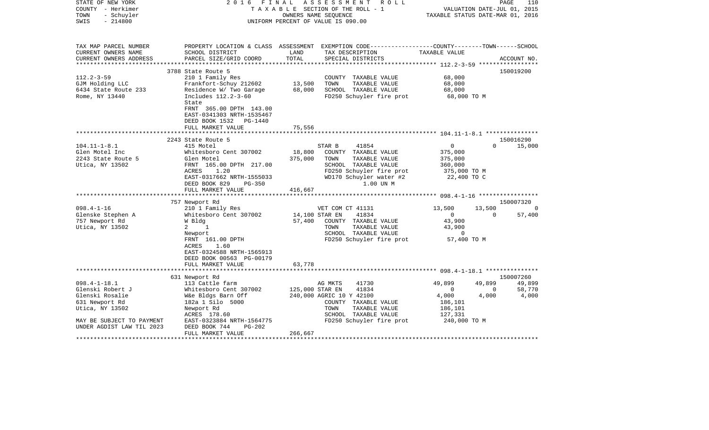| STATE OF NEW YORK<br>COUNTY - Herkimer<br>- Schuyler<br>TOWN<br>$-214800$<br>SWIS                                                                           | 2016<br>FINAL                                                                                                                                                                                                                                                                                                                  |                                                          | A S S E S S M E N T<br>R O L L<br>TAXABLE SECTION OF THE ROLL - 1<br>OWNERS NAME SEOUENCE<br>UNIFORM PERCENT OF VALUE IS 090.00                                                                                                                                                                | VALUATION DATE-JUL 01, 2015<br>TAXABLE STATUS DATE-MAR 01, 2016                                                                                               | PAGE                                 | 110                                             |
|-------------------------------------------------------------------------------------------------------------------------------------------------------------|--------------------------------------------------------------------------------------------------------------------------------------------------------------------------------------------------------------------------------------------------------------------------------------------------------------------------------|----------------------------------------------------------|------------------------------------------------------------------------------------------------------------------------------------------------------------------------------------------------------------------------------------------------------------------------------------------------|---------------------------------------------------------------------------------------------------------------------------------------------------------------|--------------------------------------|-------------------------------------------------|
| TAX MAP PARCEL NUMBER<br>CURRENT OWNERS NAME<br>CURRENT OWNERS ADDRESS                                                                                      | SCHOOL DISTRICT<br>PARCEL SIZE/GRID COORD                                                                                                                                                                                                                                                                                      | LAND<br>TOTAL                                            | PROPERTY LOCATION & CLASS ASSESSMENT EXEMPTION CODE----------------COUNTY-------TOWN------SCHOOL<br>TAX DESCRIPTION<br>SPECIAL DISTRICTS                                                                                                                                                       | TAXABLE VALUE                                                                                                                                                 |                                      | ACCOUNT NO.                                     |
| *********************                                                                                                                                       |                                                                                                                                                                                                                                                                                                                                |                                                          |                                                                                                                                                                                                                                                                                                |                                                                                                                                                               |                                      |                                                 |
|                                                                                                                                                             | 3788 State Route 5                                                                                                                                                                                                                                                                                                             |                                                          |                                                                                                                                                                                                                                                                                                |                                                                                                                                                               |                                      | 150019200                                       |
| $112.2 - 3 - 59$<br>GJM Holding LLC<br>6434 State Route 233<br>Rome, NY 13440                                                                               | 210 1 Family Res<br>Frankfort-Schuy 212602<br>Residence W/ Two Garage<br>Includes 112.2-3-60<br>State<br>FRNT 365.00 DPTH 143.00<br>EAST-0341303 NRTH-1535467                                                                                                                                                                  | 13,500<br>68,000                                         | COUNTY TAXABLE VALUE<br>TOWN<br>TAXABLE VALUE<br>SCHOOL TAXABLE VALUE<br>FD250 Schuyler fire prot                                                                                                                                                                                              | 68,000<br>68,000<br>68,000<br>68,000 TO M                                                                                                                     |                                      |                                                 |
|                                                                                                                                                             | DEED BOOK 1532 PG-1440                                                                                                                                                                                                                                                                                                         |                                                          |                                                                                                                                                                                                                                                                                                |                                                                                                                                                               |                                      |                                                 |
|                                                                                                                                                             | FULL MARKET VALUE                                                                                                                                                                                                                                                                                                              | 75,556                                                   |                                                                                                                                                                                                                                                                                                |                                                                                                                                                               |                                      |                                                 |
|                                                                                                                                                             |                                                                                                                                                                                                                                                                                                                                |                                                          |                                                                                                                                                                                                                                                                                                |                                                                                                                                                               |                                      |                                                 |
| $104.11 - 1 - 8.1$<br>Glen Motel Inc<br>2243 State Route 5<br>Utica, NY 13502<br>$098.4 - 1 - 16$<br>Glenske Stephen A<br>757 Newport Rd<br>Utica, NY 13502 | 2243 State Route 5<br>415 Motel<br>Whitesboro Cent 307002<br>Glen Motel<br>FRNT 165.00 DPTH 217.00<br>ACRES<br>1.20<br>EAST-0317662 NRTH-1555033<br>DEED BOOK 829<br>PG-350<br>FULL MARKET VALUE<br>757 Newport Rd<br>210 1 Family Res<br>Whitesboro Cent 307002<br>W Bldg<br>1<br>$\mathbf{2}$<br>Newport<br>FRNT 161.00 DPTH | 18,800<br>375,000<br>416,667<br>14,100 STAR EN<br>57,400 | STAR B<br>41854<br>COUNTY TAXABLE VALUE<br>TOWN<br>TAXABLE VALUE<br>SCHOOL TAXABLE VALUE<br>FD250 Schuyler fire prot<br>WD170 Schuyler water #2<br>1.00 UN M<br>VET COM CT 41131<br>41834<br>COUNTY TAXABLE VALUE<br>TAXABLE VALUE<br>TOWN<br>SCHOOL TAXABLE VALUE<br>FD250 Schuyler fire prot | $\mathbf{0}$<br>375,000<br>375,000<br>360,000<br>375,000 TO M<br>22,400 TO C<br>13,500<br>$\overline{0}$<br>43,900<br>43,900<br>$\overline{0}$<br>57,400 TO M | $\Omega$<br>13,500<br>$\overline{0}$ | 150016290<br>15,000<br>150007320<br>0<br>57,400 |
|                                                                                                                                                             | ACRES<br>1.60<br>EAST-0324588 NRTH-1565913<br>DEED BOOK 00563 PG-00179<br>FULL MARKET VALUE                                                                                                                                                                                                                                    | 63,778                                                   |                                                                                                                                                                                                                                                                                                |                                                                                                                                                               |                                      |                                                 |
|                                                                                                                                                             |                                                                                                                                                                                                                                                                                                                                |                                                          |                                                                                                                                                                                                                                                                                                |                                                                                                                                                               |                                      |                                                 |
| $098.4 - 1 - 18.1$                                                                                                                                          | 631 Newport Rd<br>113 Cattle farm                                                                                                                                                                                                                                                                                              |                                                          | AG MKTS<br>41730                                                                                                                                                                                                                                                                               | 49,899                                                                                                                                                        | 49,899                               | 150007260<br>49,899                             |
| Glenski Robert J                                                                                                                                            | Whitesboro Cent 307002                                                                                                                                                                                                                                                                                                         | 125,000 STAR EN                                          | 41834                                                                                                                                                                                                                                                                                          | $\overline{0}$                                                                                                                                                | $\overline{0}$                       | 58,770                                          |
| Glenski Rosalie                                                                                                                                             | W&e Bldgs Barn Off                                                                                                                                                                                                                                                                                                             |                                                          | 240,000 AGRIC 10 Y 42100                                                                                                                                                                                                                                                                       | 4,000                                                                                                                                                         | 4,000                                | 4,000                                           |
| 631 Newport Rd                                                                                                                                              | 182a 1 Silo 5000                                                                                                                                                                                                                                                                                                               |                                                          | COUNTY TAXABLE VALUE                                                                                                                                                                                                                                                                           | 186,101                                                                                                                                                       |                                      |                                                 |
| Utica, NY 13502                                                                                                                                             | Newport Rd                                                                                                                                                                                                                                                                                                                     |                                                          | TOWN<br>TAXABLE VALUE                                                                                                                                                                                                                                                                          | 186,101                                                                                                                                                       |                                      |                                                 |
|                                                                                                                                                             | ACRES 178.60                                                                                                                                                                                                                                                                                                                   |                                                          | SCHOOL TAXABLE VALUE                                                                                                                                                                                                                                                                           | 127,331                                                                                                                                                       |                                      |                                                 |
| MAY BE SUBJECT TO PAYMENT<br>UNDER AGDIST LAW TIL 2023                                                                                                      | EAST-0323884 NRTH-1564775<br>DEED BOOK 744<br>PG-202<br>FULL MARKET VALUE                                                                                                                                                                                                                                                      | 266,667                                                  | FD250 Schuyler fire prot                                                                                                                                                                                                                                                                       | 240,000 TO M                                                                                                                                                  |                                      |                                                 |
|                                                                                                                                                             |                                                                                                                                                                                                                                                                                                                                |                                                          |                                                                                                                                                                                                                                                                                                |                                                                                                                                                               |                                      |                                                 |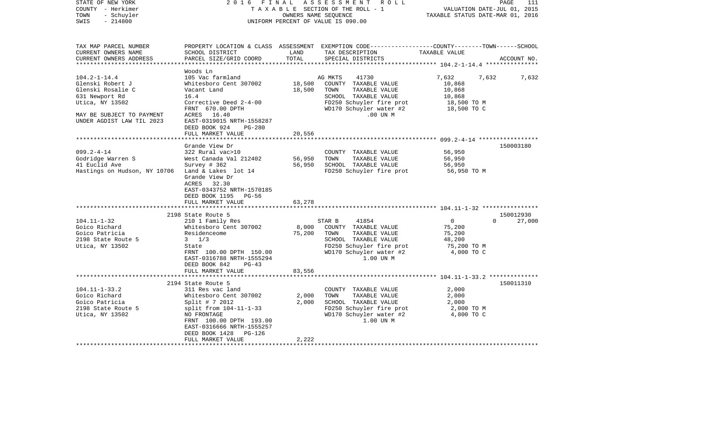| STATE OF NEW YORK<br>COUNTY - Herkimer<br>- Schuyler<br>TOWN<br>$-214800$<br>SWIS                                                                          | 2016 FINAL                                                                                                                                                                                                                           | OWNERS NAME SEQUENCE       | ASSESSMENT ROLL<br>TAXABLE SECTION OF THE ROLL - 1<br>UNIFORM PERCENT OF VALUE IS 090.00                                                                       | VALUATION DATE-JUL 01, 2015<br>TAXABLE STATUS DATE-MAR 01, 2016           | PAGE<br>111                     |
|------------------------------------------------------------------------------------------------------------------------------------------------------------|--------------------------------------------------------------------------------------------------------------------------------------------------------------------------------------------------------------------------------------|----------------------------|----------------------------------------------------------------------------------------------------------------------------------------------------------------|---------------------------------------------------------------------------|---------------------------------|
| TAX MAP PARCEL NUMBER<br>CURRENT OWNERS NAME<br>CURRENT OWNERS ADDRESS                                                                                     | SCHOOL DISTRICT<br>PARCEL SIZE/GRID COORD                                                                                                                                                                                            | LAND<br>TOTAL              | PROPERTY LOCATION & CLASS ASSESSMENT EXEMPTION CODE----------------COUNTY-------TOWN------SCHOOL<br>TAX DESCRIPTION<br>SPECIAL DISTRICTS                       | TAXABLE VALUE                                                             | ACCOUNT NO.                     |
| $104.2 - 1 - 14.4$<br>Glenski Robert J<br>Glenski Rosalie C<br>631 Newport Rd<br>Utica, NY 13502<br>MAY BE SUBJECT TO PAYMENT<br>UNDER AGDIST LAW TIL 2023 | Woods Ln<br>105 Vac farmland<br>Whitesboro Cent 307002<br>Vacant Land<br>16.4<br>Corrective Deed 2-4-00<br>FRNT 670.00 DPTH<br>ACRES 16.40<br>EAST-0319015 NRTH-1558287<br>DEED BOOK 924<br>PG-280                                   | 18,500<br>18,500           | 41730<br>AG MKTS<br>COUNTY TAXABLE VALUE<br>TOWN<br>TAXABLE VALUE<br>SCHOOL TAXABLE VALUE<br>FD250 Schuyler fire prot<br>WD170 Schuyler water #2<br>$.00$ UN M | 7,632<br>10,868<br>10,868<br>10,868<br>18,500 TO M<br>18,500 TO C         | 7,632<br>7,632                  |
|                                                                                                                                                            | FULL MARKET VALUE<br>Grande View Dr                                                                                                                                                                                                  | 20,556                     |                                                                                                                                                                |                                                                           | 150003180                       |
| $099.2 - 4 - 14$<br>Godridge Warren S<br>41 Euclid Ave<br>Hastings on Hudson, NY 10706 Land & Lakes lot 14                                                 | 322 Rural vac>10<br>West Canada Val 212402<br>Survey # 362<br>Grande View Dr<br>ACRES 32.30<br>EAST-0343752 NRTH-1570185<br>DEED BOOK 1195 PG-56<br>FULL MARKET VALUE                                                                | 56,950<br>56,950<br>63,278 | COUNTY TAXABLE VALUE<br>TOWN<br>TAXABLE VALUE<br>SCHOOL TAXABLE VALUE<br>FD250 Schuyler fire prot                                                              | 56,950<br>56,950<br>56,950<br>56,950 TO M                                 |                                 |
|                                                                                                                                                            |                                                                                                                                                                                                                                      |                            |                                                                                                                                                                |                                                                           |                                 |
| $104.11 - 1 - 32$<br>Goico Richard<br>Goico Patricia<br>2198 State Route 5<br>Utica, NY 13502                                                              | 2198 State Route 5<br>210 1 Family Res<br>Whitesboro Cent 307002<br>Residenceome<br>$3 \frac{1}{3}$<br>State<br>FRNT 100.00 DPTH 150.00<br>EAST-0316788 NRTH-1555294<br>DEED BOOK 842<br>$PG-43$                                     | 8,000<br>75,200            | 41854<br>STAR B<br>COUNTY TAXABLE VALUE<br>TOWN<br>TAXABLE VALUE<br>SCHOOL TAXABLE VALUE<br>FD250 Schuyler fire prot<br>WD170 Schuyler water #2<br>1.00 UN M   | $\overline{0}$<br>75,200<br>75,200<br>48,200<br>75,200 TO M<br>4,000 TO C | 150012930<br>$\Omega$<br>27,000 |
|                                                                                                                                                            | FULL MARKET VALUE                                                                                                                                                                                                                    | 83,556                     |                                                                                                                                                                |                                                                           |                                 |
| $104.11 - 1 - 33.2$<br>Goico Richard<br>Goico Patricia<br>2198 State Route 5<br>Utica, NY 13502                                                            | 2194 State Route 5<br>311 Res vac land<br>Whitesboro Cent 307002<br>Split # 7 2012<br>split from 104-11-1-33<br>NO FRONTAGE<br>FRNT 100.00 DPTH 193.00<br>EAST-0316666 NRTH-1555257<br>DEED BOOK 1428<br>PG-126<br>FULL MARKET VALUE | 2,000<br>2,000<br>2,222    | COUNTY TAXABLE VALUE<br>TOWN<br>TAXABLE VALUE<br>SCHOOL TAXABLE VALUE<br>FD250 Schuyler fire prot<br>WD170 Schuyler water #2<br>1.00 UN M                      | 2,000<br>2,000<br>2,000<br>2,000 TO M<br>4,800 TO C                       | 150011310                       |
|                                                                                                                                                            |                                                                                                                                                                                                                                      |                            |                                                                                                                                                                |                                                                           |                                 |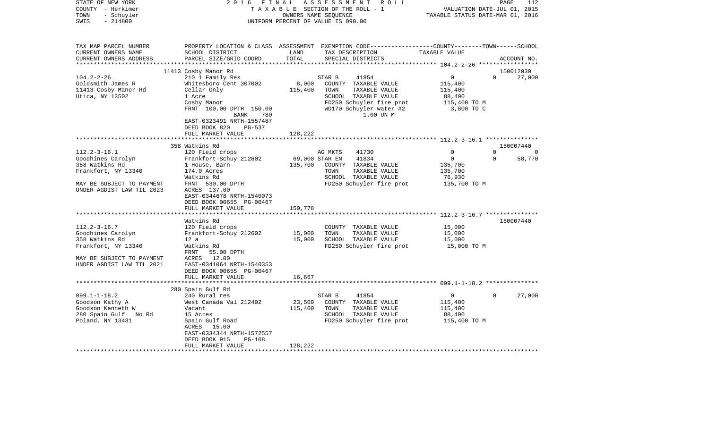| STATE OF NEW YORK<br>COUNTY - Herkimer<br>TOWN<br>- Schuyler<br>$-214800$<br>SWIS                         | 2 0 1 6<br>FINAL<br>ASSESSMENT<br>R O L L<br>TAXABLE SECTION OF THE ROLL - 1<br>OWNERS NAME SEQUENCE<br>UNIFORM PERCENT OF VALUE IS 090.00                        |                   |                                                                                                                                           | 112<br>PAGE<br>VALUATION DATE-JUL 01, 2015<br>TAXABLE STATUS DATE-MAR 01, 2016 |             |                     |
|-----------------------------------------------------------------------------------------------------------|-------------------------------------------------------------------------------------------------------------------------------------------------------------------|-------------------|-------------------------------------------------------------------------------------------------------------------------------------------|--------------------------------------------------------------------------------|-------------|---------------------|
| TAX MAP PARCEL NUMBER<br>CURRENT OWNERS NAME<br>CURRENT OWNERS ADDRESS                                    | PROPERTY LOCATION & CLASS ASSESSMENT EXEMPTION CODE---------------COUNTY-------TOWN------SCHOOL<br>SCHOOL DISTRICT<br>PARCEL SIZE/GRID COORD                      | LAND<br>TOTAL     | TAX DESCRIPTION<br>SPECIAL DISTRICTS                                                                                                      | TAXABLE VALUE                                                                  |             | ACCOUNT NO.         |
|                                                                                                           |                                                                                                                                                                   |                   |                                                                                                                                           |                                                                                |             |                     |
| $104.2 - 2 - 26$                                                                                          | 11413 Cosby Manor Rd<br>210 1 Family Res                                                                                                                          |                   | STAR B<br>41854                                                                                                                           | $\mathbf 0$                                                                    | $\Omega$    | 150012030<br>27,000 |
| Goldsmith James R<br>11413 Cosby Manor Rd<br>Utica, NY 13502                                              | Whitesboro Cent 307002<br>Cellar Only<br>1 Acre<br>Cosby Manor<br>FRNT 100.00 DPTH 150.00<br>780<br>BANK<br>EAST-0323491 NRTH-1557487                             | 8,000<br>115,400  | COUNTY TAXABLE VALUE<br>TAXABLE VALUE<br>TOWN<br>SCHOOL TAXABLE VALUE<br>FD250 Schuyler fire prot<br>WD170 Schuyler water #2<br>1.00 UN M | 115,400<br>115,400<br>88,400<br>115,400 TO M<br>3,800 TO C                     |             |                     |
|                                                                                                           | DEED BOOK 820<br>PG-537                                                                                                                                           |                   |                                                                                                                                           |                                                                                |             |                     |
|                                                                                                           | FULL MARKET VALUE                                                                                                                                                 | 128,222           |                                                                                                                                           |                                                                                |             |                     |
|                                                                                                           |                                                                                                                                                                   |                   |                                                                                                                                           |                                                                                |             |                     |
| $112.2 - 3 - 16.1$                                                                                        | 358 Watkins Rd<br>120 Field crops                                                                                                                                 |                   | AG MKTS<br>41730                                                                                                                          | 0                                                                              | $\Omega$    | 150007440<br>0      |
| Goodhines Carolyn                                                                                         | Frankfort-Schuy 212602                                                                                                                                            | 69,000 STAR EN    | 41834                                                                                                                                     | $\mathbf 0$                                                                    | $\mathbf 0$ | 58,770              |
| 358 Watkins Rd                                                                                            | 1 House, Barn                                                                                                                                                     | 135,700           | COUNTY TAXABLE VALUE                                                                                                                      | 135,700                                                                        |             |                     |
| Frankfort, NY 13340                                                                                       | 174.0 Acres<br>Watkins Rd                                                                                                                                         |                   | TAXABLE VALUE<br>TOWN<br>SCHOOL TAXABLE VALUE                                                                                             | 135,700<br>76,930                                                              |             |                     |
| MAY BE SUBJECT TO PAYMENT<br>UNDER AGDIST LAW TIL 2023                                                    | FRNT 530.00 DPTH<br>ACRES 137.00<br>EAST-0344678 NRTH-1540073<br>DEED BOOK 00655 PG-00467<br>FULL MARKET VALUE                                                    | 150,778           | FD250 Schuyler fire prot                                                                                                                  | 135,700 TO M                                                                   |             |                     |
|                                                                                                           | ********************                                                                                                                                              | ***********       |                                                                                                                                           | **************************** 112.2-3-16.7 ***************                      |             |                     |
|                                                                                                           | Watkins Rd                                                                                                                                                        |                   |                                                                                                                                           |                                                                                |             | 150007440           |
| $112.2 - 3 - 16.7$<br>Goodhines Carolyn                                                                   | 120 Field crops<br>Frankfort-Schuy 212602                                                                                                                         | 15,000            | COUNTY TAXABLE VALUE<br>TAXABLE VALUE<br>TOWN                                                                                             | 15,000<br>15,000                                                               |             |                     |
| 358 Watkins Rd                                                                                            | 12a                                                                                                                                                               | 15,000            | SCHOOL TAXABLE VALUE                                                                                                                      | 15,000                                                                         |             |                     |
| Frankfort, NY 13340                                                                                       | Watkins Rd<br>FRNT<br>55.00 DPTH                                                                                                                                  |                   | FD250 Schuyler fire prot                                                                                                                  | 15,000 TO M                                                                    |             |                     |
| MAY BE SUBJECT TO PAYMENT<br>UNDER AGDIST LAW TIL 2021                                                    | 12.00<br>ACRES<br>EAST-0341064 NRTH-1540353<br>DEED BOOK 00655 PG-00467<br>FULL MARKET VALUE                                                                      | 16,667            |                                                                                                                                           |                                                                                |             |                     |
|                                                                                                           | **********************                                                                                                                                            |                   |                                                                                                                                           |                                                                                |             |                     |
|                                                                                                           | 280 Spain Gulf Rd                                                                                                                                                 |                   |                                                                                                                                           |                                                                                |             |                     |
| $099.1 - 1 - 18.2$<br>Goodson Kathy A<br>Goodson Kenneth W<br>280 Spain Gulf<br>No Rd<br>Poland, NY 13431 | 240 Rural res<br>West Canada Val 212402<br>Vacant<br>15 Acres<br>Spain Gulf Road<br>ACRES<br>15.00<br>EAST-0334344 NRTH-1572557<br>DEED BOOK 915<br><b>PG-108</b> | 23,500<br>115,400 | 41854<br>STAR B<br>COUNTY TAXABLE VALUE<br>TAXABLE VALUE<br>TOWN<br>SCHOOL TAXABLE VALUE<br>FD250 Schuyler fire prot                      | $\mathbf{0}$<br>115,400<br>115,400<br>88,400<br>115,400 TO M                   | 0           | 27,000              |
|                                                                                                           | FULL MARKET VALUE                                                                                                                                                 | 128,222           |                                                                                                                                           |                                                                                |             |                     |
| *******************                                                                                       | *******************                                                                                                                                               |                   |                                                                                                                                           |                                                                                |             |                     |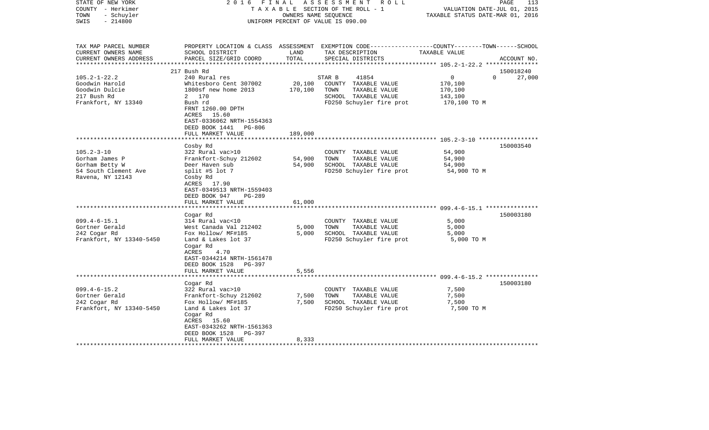| STATE OF NEW YORK<br>COUNTY - Herkimer<br>- Schuyler<br>TOWN<br>$-214800$<br>SWIS | 2016 FINAL                                                                                                                    | OWNERS NAME SEQUENCE | A S S E S S M E N T<br>ROLL<br>TAXABLE SECTION OF THE ROLL - 1<br>UNIFORM PERCENT OF VALUE IS 090.00                                    | VALUATION DATE-JUL 01, 2015<br>TAXABLE STATUS DATE-MAR 01, 2016 | PAGE<br>113 |
|-----------------------------------------------------------------------------------|-------------------------------------------------------------------------------------------------------------------------------|----------------------|-----------------------------------------------------------------------------------------------------------------------------------------|-----------------------------------------------------------------|-------------|
| TAX MAP PARCEL NUMBER<br>CURRENT OWNERS NAME<br>CURRENT OWNERS ADDRESS            | SCHOOL DISTRICT<br>PARCEL SIZE/GRID COORD                                                                                     | LAND<br>TOTAL        | PROPERTY LOCATION & CLASS ASSESSMENT EXEMPTION CODE---------------COUNTY-------TOWN------SCHOOL<br>TAX DESCRIPTION<br>SPECIAL DISTRICTS | TAXABLE VALUE                                                   | ACCOUNT NO. |
|                                                                                   | 217 Bush Rd                                                                                                                   |                      |                                                                                                                                         |                                                                 | 150018240   |
| $105.2 - 1 - 22.2$                                                                | 240 Rural res                                                                                                                 |                      | 41854<br>STAR B                                                                                                                         | $\overline{0}$<br>$\Omega$                                      | 27,000      |
| Goodwin Harold                                                                    | Whitesboro Cent 307002                                                                                                        | 20,100               | COUNTY TAXABLE VALUE                                                                                                                    | 170,100                                                         |             |
| Goodwin Dulcie                                                                    | 1800sf new home 2013                                                                                                          | 170,100              | TOWN<br>TAXABLE VALUE                                                                                                                   | 170,100                                                         |             |
| 217 Bush Rd                                                                       | 2 170                                                                                                                         |                      | SCHOOL TAXABLE VALUE                                                                                                                    | 143,100                                                         |             |
| Frankfort, NY 13340                                                               | Bush rd<br>FRNT 1260.00 DPTH<br>ACRES 15.60<br>EAST-0336062 NRTH-1554363<br>DEED BOOK 1441 PG-806                             |                      | FD250 Schuyler fire prot                                                                                                                | 170,100 TO M                                                    |             |
|                                                                                   | FULL MARKET VALUE                                                                                                             | 189,000              |                                                                                                                                         |                                                                 |             |
|                                                                                   | Cosby Rd                                                                                                                      |                      |                                                                                                                                         |                                                                 | 150003540   |
| $105.2 - 3 - 10$                                                                  | 322 Rural vac>10                                                                                                              |                      | COUNTY TAXABLE VALUE                                                                                                                    | 54,900                                                          |             |
| Gorham James P                                                                    | Frankfort-Schuy 212602                                                                                                        | 54,900               | TOWN<br>TAXABLE VALUE                                                                                                                   | 54,900                                                          |             |
| Gorham Betty W                                                                    | Deer Haven sub                                                                                                                | 54,900               | SCHOOL TAXABLE VALUE                                                                                                                    | 54,900                                                          |             |
| 54 South Clement Ave<br>Ravena, NY 12143                                          | split #5 lot 7<br>Cosby Rd<br>ACRES 17.90<br>EAST-0349513 NRTH-1559403<br>DEED BOOK 947<br>PG-289<br>FULL MARKET VALUE        | 61,000               | FD250 Schuyler fire prot                                                                                                                | 54,900 TO M                                                     |             |
|                                                                                   | ********************                                                                                                          |                      |                                                                                                                                         |                                                                 |             |
|                                                                                   | Cogar Rd                                                                                                                      |                      |                                                                                                                                         |                                                                 | 150003180   |
| $099.4 - 6 - 15.1$                                                                | 314 Rural vac<10                                                                                                              |                      | COUNTY TAXABLE VALUE                                                                                                                    | 5,000                                                           |             |
| Gortner Gerald                                                                    | West Canada Val 212402                                                                                                        | 5,000                | TOWN<br>TAXABLE VALUE                                                                                                                   | 5,000                                                           |             |
| 242 Cogar Rd                                                                      | Fox Hollow/ MF#185                                                                                                            | 5,000                | SCHOOL TAXABLE VALUE                                                                                                                    | 5,000                                                           |             |
| Frankfort, NY 13340-5450                                                          | Land & Lakes lot 37<br>Cogar Rd<br>ACRES<br>4.70<br>EAST-0344214 NRTH-1561478<br>DEED BOOK 1528 PG-397                        |                      | FD250 Schuyler fire prot                                                                                                                | 5,000 TO M                                                      |             |
|                                                                                   | FULL MARKET VALUE                                                                                                             | 5,556                |                                                                                                                                         |                                                                 |             |
|                                                                                   |                                                                                                                               |                      |                                                                                                                                         |                                                                 |             |
|                                                                                   | Cogar Rd                                                                                                                      |                      |                                                                                                                                         |                                                                 | 150003180   |
| $099.4 - 6 - 15.2$                                                                | 322 Rural vac>10                                                                                                              |                      | COUNTY TAXABLE VALUE                                                                                                                    | 7,500                                                           |             |
| Gortner Gerald                                                                    | Frankfort-Schuy 212602                                                                                                        | 7,500                | TOWN<br>TAXABLE VALUE                                                                                                                   | 7,500                                                           |             |
| 242 Cogar Rd<br>Frankfort, NY 13340-5450                                          | Fox Hollow/ MF#185<br>Land & Lakes lot 37<br>Cogar Rd<br>ACRES 15.60<br>EAST-0343262 NRTH-1561363<br>DEED BOOK 1528<br>PG-397 | 7,500                | SCHOOL TAXABLE VALUE<br>FD250 Schuyler fire prot                                                                                        | 7,500<br>7,500 TO M                                             |             |
|                                                                                   | FULL MARKET VALUE                                                                                                             | 8,333                |                                                                                                                                         |                                                                 |             |
|                                                                                   |                                                                                                                               |                      |                                                                                                                                         |                                                                 |             |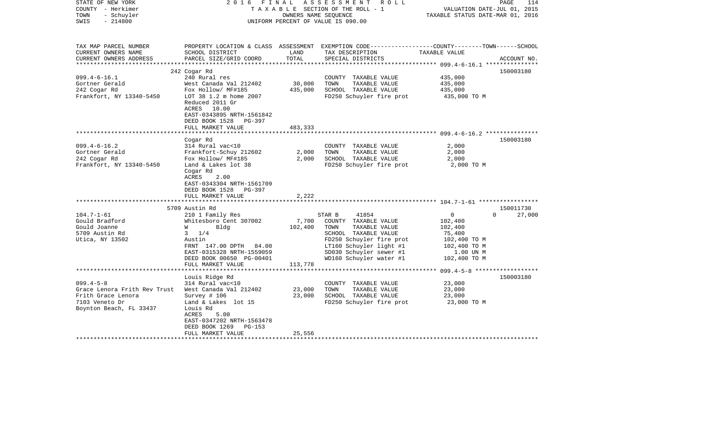| STATE OF NEW YORK<br>COUNTY - Herkimer<br>- Schuyler<br>TOWN<br>$-214800$<br>SWIS | 2016 FINAL                                                                                                     | OWNERS NAME SEQUENCE | ASSESSMENT ROLL<br>TAXABLE SECTION OF THE ROLL - 1<br>UNIFORM PERCENT OF VALUE IS 090.00                                                | VALUATION DATE-JUL 01, 2015<br>TAXABLE STATUS DATE-MAR 01, 2016 | PAGE<br>114                     |
|-----------------------------------------------------------------------------------|----------------------------------------------------------------------------------------------------------------|----------------------|-----------------------------------------------------------------------------------------------------------------------------------------|-----------------------------------------------------------------|---------------------------------|
| TAX MAP PARCEL NUMBER<br>CURRENT OWNERS NAME<br>CURRENT OWNERS ADDRESS            | SCHOOL DISTRICT<br>PARCEL SIZE/GRID COORD                                                                      | LAND<br>TOTAL        | PROPERTY LOCATION & CLASS ASSESSMENT EXEMPTION CODE---------------COUNTY-------TOWN------SCHOOL<br>TAX DESCRIPTION<br>SPECIAL DISTRICTS | TAXABLE VALUE                                                   | ACCOUNT NO.                     |
| ***********************                                                           |                                                                                                                |                      |                                                                                                                                         |                                                                 |                                 |
|                                                                                   | 242 Cogar Rd                                                                                                   |                      |                                                                                                                                         |                                                                 | 150003180                       |
| $099.4 - 6 - 16.1$                                                                | 240 Rural res                                                                                                  |                      | COUNTY TAXABLE VALUE                                                                                                                    | 435,000                                                         |                                 |
| Gortner Gerald<br>242 Cogar Rd                                                    | West Canada Val 212402<br>Fox Hollow/ MF#185                                                                   | 30,000<br>435,000    | TOWN<br>TAXABLE VALUE<br>SCHOOL TAXABLE VALUE                                                                                           | 435,000<br>435,000                                              |                                 |
| Frankfort, NY 13340-5450                                                          | LOT 38 1.2 m home 2007<br>Reduced 2011 Gr<br>ACRES 10.00<br>EAST-0343895 NRTH-1561842<br>DEED BOOK 1528 PG-397 |                      | FD250 Schuyler fire prot                                                                                                                | 435,000 TO M                                                    |                                 |
|                                                                                   | FULL MARKET VALUE                                                                                              | 483,333              |                                                                                                                                         |                                                                 |                                 |
|                                                                                   |                                                                                                                |                      |                                                                                                                                         | ************************ 099.4-6-16.2 ***************           |                                 |
|                                                                                   | Cogar Rd                                                                                                       |                      |                                                                                                                                         |                                                                 | 150003180                       |
| $099.4 - 6 - 16.2$<br>Gortner Gerald                                              | 314 Rural vac<10<br>Frankfort-Schuy 212602                                                                     | 2,000                | COUNTY TAXABLE VALUE<br>TAXABLE VALUE<br>TOWN                                                                                           | 2,000<br>2,000                                                  |                                 |
| 242 Cogar Rd                                                                      | Fox Hollow/ MF#185                                                                                             | 2,000                | SCHOOL TAXABLE VALUE                                                                                                                    | 2,000                                                           |                                 |
| Frankfort, NY 13340-5450                                                          | Land & Lakes lot 38<br>Cogar Rd<br>ACRES<br>2.00<br>EAST-0343304 NRTH-1561709<br>DEED BOOK 1528<br>PG-397      |                      | FD250 Schuyler fire prot                                                                                                                | 2,000 TO M                                                      |                                 |
|                                                                                   | FULL MARKET VALUE                                                                                              | 2,222                |                                                                                                                                         |                                                                 |                                 |
|                                                                                   |                                                                                                                |                      |                                                                                                                                         |                                                                 |                                 |
| $104.7 - 1 - 61$                                                                  | 5709 Austin Rd<br>210 1 Family Res                                                                             |                      | 41854<br>STAR B                                                                                                                         | $\overline{0}$                                                  | 150011730<br>$\Omega$<br>27,000 |
| Gould Bradford                                                                    | Whitesboro Cent 307002                                                                                         | 7,700                | COUNTY TAXABLE VALUE                                                                                                                    | 102,400                                                         |                                 |
| Gould Joanne                                                                      | <b>W</b><br>Bldg                                                                                               | 102,400              | TAXABLE VALUE<br>TOWN                                                                                                                   | 102,400                                                         |                                 |
| 5709 Austin Rd                                                                    | $3 \t1/4$                                                                                                      |                      | SCHOOL TAXABLE VALUE                                                                                                                    | 75,400                                                          |                                 |
| Utica, NY 13502                                                                   | Austin                                                                                                         |                      | FD250 Schuyler fire prot                                                                                                                | 102,400 TO M                                                    |                                 |
|                                                                                   | FRNT 147.00 DPTH 84.00                                                                                         |                      | LT160 Schuyler light #1                                                                                                                 | 102,400 TO M                                                    |                                 |
|                                                                                   | EAST-0315328 NRTH-1559059                                                                                      |                      | SD030 Schuyler sewer #1                                                                                                                 | 1.00 UN M                                                       |                                 |
|                                                                                   | DEED BOOK 00650 PG-00401                                                                                       |                      | WD160 Schuyler water #1                                                                                                                 | 102,400 TO M                                                    |                                 |
|                                                                                   | FULL MARKET VALUE<br>***********************                                                                   | 113,778              |                                                                                                                                         |                                                                 |                                 |
|                                                                                   | Louis Ridge Rd                                                                                                 |                      |                                                                                                                                         |                                                                 | 150003180                       |
| $099.4 - 5 - 8$                                                                   | 314 Rural vac<10                                                                                               |                      | COUNTY TAXABLE VALUE                                                                                                                    | 23,000                                                          |                                 |
| Grace Lenora Frith Rev Trust                                                      | West Canada Val 212402                                                                                         | 23,000               | TOWN<br>TAXABLE VALUE                                                                                                                   | 23,000                                                          |                                 |
| Frith Grace Lenora                                                                | Survey # 106                                                                                                   | 23,000               | SCHOOL TAXABLE VALUE                                                                                                                    | 23,000                                                          |                                 |
| 7103 Veneto Dr                                                                    | Land & Lakes lot 15                                                                                            |                      | FD250 Schuyler fire prot                                                                                                                | 23,000 TO M                                                     |                                 |
| Boynton Beach, FL 33437                                                           | Louis Rd<br>ACRES<br>5.00<br>EAST-0347202 NRTH-1563478<br>DEED BOOK 1269<br>PG-153                             |                      |                                                                                                                                         |                                                                 |                                 |
|                                                                                   | FULL MARKET VALUE                                                                                              | 25,556               |                                                                                                                                         |                                                                 |                                 |
|                                                                                   | ********************                                                                                           |                      |                                                                                                                                         |                                                                 |                                 |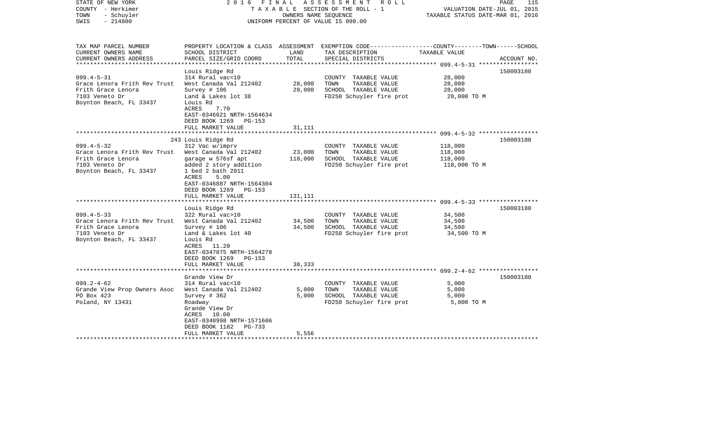| STATE OF NEW YORK<br>COUNTY - Herkimer<br>- Schuyler<br>TOWN<br>$-214800$<br>SWIS                                                                                                                                                          | 2016 FINAL                                                                                                                                                                                                                                                                                                                                                                                                                       | OWNERS NAME SEQUENCE                             | ASSESSMENT<br>R O L L<br>T A X A B L E SECTION OF THE ROLL - 1<br>UNIFORM PERCENT OF VALUE IS 090.00                                                                                                   | VALUATION DATE-JUL 01, 2015<br>TAXABLE STATUS DATE-MAR 01, 2016                            | PAGE<br>115            |
|--------------------------------------------------------------------------------------------------------------------------------------------------------------------------------------------------------------------------------------------|----------------------------------------------------------------------------------------------------------------------------------------------------------------------------------------------------------------------------------------------------------------------------------------------------------------------------------------------------------------------------------------------------------------------------------|--------------------------------------------------|--------------------------------------------------------------------------------------------------------------------------------------------------------------------------------------------------------|--------------------------------------------------------------------------------------------|------------------------|
| TAX MAP PARCEL NUMBER<br>CURRENT OWNERS NAME<br>CURRENT OWNERS ADDRESS                                                                                                                                                                     | SCHOOL DISTRICT<br>PARCEL SIZE/GRID COORD                                                                                                                                                                                                                                                                                                                                                                                        | LAND<br>TOTAL                                    | PROPERTY LOCATION & CLASS ASSESSMENT EXEMPTION CODE---------------COUNTY-------TOWN------SCHOOL<br>TAX DESCRIPTION<br>SPECIAL DISTRICTS                                                                | TAXABLE VALUE                                                                              | ACCOUNT NO.            |
| ***********************                                                                                                                                                                                                                    |                                                                                                                                                                                                                                                                                                                                                                                                                                  |                                                  |                                                                                                                                                                                                        |                                                                                            |                        |
| $099.4 - 5 - 31$<br>Grace Lenora Frith Rev Trust<br>Frith Grace Lenora<br>7103 Veneto Dr<br>Boynton Beach, FL 33437                                                                                                                        | Louis Ridge Rd<br>314 Rural vac<10<br>West Canada Val 212402<br>Survey $# 106$<br>Land & Lakes lot 38<br>Louis Rd<br>ACRES<br>7.70<br>EAST-0346621 NRTH-1564634                                                                                                                                                                                                                                                                  | 28,000<br>28,000                                 | COUNTY TAXABLE VALUE<br>TOWN<br>TAXABLE VALUE<br>SCHOOL TAXABLE VALUE<br>FD250 Schuyler fire prot                                                                                                      | 28,000<br>28,000<br>28,000<br>28,000 TO M                                                  | 150003180              |
|                                                                                                                                                                                                                                            | DEED BOOK 1269<br>$PG-153$                                                                                                                                                                                                                                                                                                                                                                                                       |                                                  |                                                                                                                                                                                                        |                                                                                            |                        |
|                                                                                                                                                                                                                                            | FULL MARKET VALUE                                                                                                                                                                                                                                                                                                                                                                                                                | 31,111<br>*******                                |                                                                                                                                                                                                        | ********************** 099.4-5-32 ******************                                       |                        |
|                                                                                                                                                                                                                                            |                                                                                                                                                                                                                                                                                                                                                                                                                                  |                                                  |                                                                                                                                                                                                        |                                                                                            |                        |
| $099.4 - 5 - 32$<br>Grace Lenora Frith Rev Trust<br>Frith Grace Lenora<br>7103 Veneto Dr<br>Boynton Beach, FL 33437<br>$099.4 - 5 - 33$<br>Grace Lenora Frith Rev Trust<br>Frith Grace Lenora<br>7103 Veneto Dr<br>Boynton Beach, FL 33437 | 243 Louis Ridge Rd<br>312 Vac w/imprv<br>West Canada Val 212402<br>garage w 576sf apt<br>added 2 story addition<br>1 bed 2 bath 2011<br>ACRES<br>5.00<br>EAST-0346887 NRTH-1564304<br>DEED BOOK 1269<br>$PG-153$<br>FULL MARKET VALUE<br>Louis Ridge Rd<br>322 Rural vac>10<br>West Canada Val 212402<br>Survey # 106<br>Land & Lakes lot 40<br>Louis Rd<br>ACRES 11.20<br>EAST-0347875 NRTH-1564278<br>DEED BOOK 1269<br>PG-153 | 23,000<br>118,000<br>131,111<br>34,500<br>34,500 | COUNTY TAXABLE VALUE<br>TAXABLE VALUE<br>TOWN<br>SCHOOL TAXABLE VALUE<br>FD250 Schuyler fire prot<br>COUNTY TAXABLE VALUE<br>TOWN<br>TAXABLE VALUE<br>SCHOOL TAXABLE VALUE<br>FD250 Schuyler fire prot | 118,000<br>118,000<br>118,000<br>118,000 TO M<br>34,500<br>34,500<br>34,500<br>34,500 TO M | 150003180<br>150003180 |
|                                                                                                                                                                                                                                            | FULL MARKET VALUE                                                                                                                                                                                                                                                                                                                                                                                                                | 38,333                                           |                                                                                                                                                                                                        |                                                                                            |                        |
|                                                                                                                                                                                                                                            | Grande View Dr                                                                                                                                                                                                                                                                                                                                                                                                                   |                                                  |                                                                                                                                                                                                        |                                                                                            | 150003180              |
| $099.2 - 4 - 62$<br>Grande View Prop Owners Asoc<br>PO Box 423<br>Poland, NY 13431                                                                                                                                                         | 314 Rural vac<10<br>West Canada Val 212402<br>Survey $# 362$<br>Roadway<br>Grande View Dr<br>10.00<br>ACRES<br>EAST-0340998 NRTH-1571606<br>DEED BOOK 1182<br>PG-733                                                                                                                                                                                                                                                             | 5,000<br>5,000                                   | COUNTY TAXABLE VALUE<br>TOWN<br>TAXABLE VALUE<br>SCHOOL TAXABLE VALUE<br>FD250 Schuyler fire prot                                                                                                      | 5,000<br>5,000<br>5,000<br>5,000 TO M                                                      |                        |
|                                                                                                                                                                                                                                            | FULL MARKET VALUE                                                                                                                                                                                                                                                                                                                                                                                                                | 5,556                                            |                                                                                                                                                                                                        |                                                                                            |                        |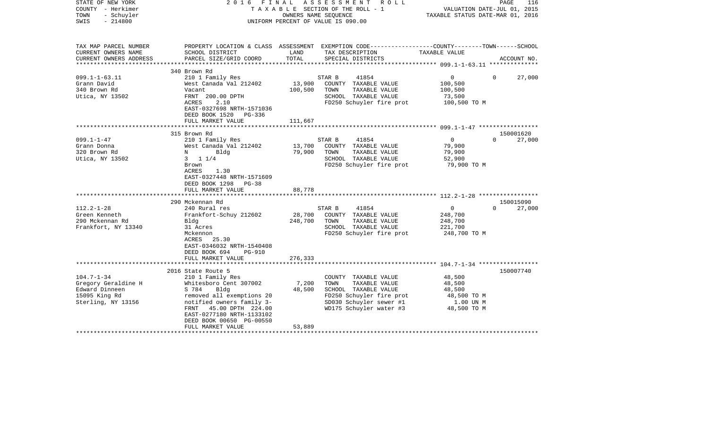| STATE OF NEW YORK<br>COUNTY - Herkimer<br>TOWN<br>- Schuyler<br>$-214800$<br>SWIS |                                                        |               | 2016 FINAL ASSESSMENT ROLL<br>TAXABLE SECTION OF THE ROLL - 1<br>OWNERS NAME SEOUENCE<br>UNIFORM PERCENT OF VALUE IS 090.00 | VALUATION DATE-JUL 01, 2015<br>TAXABLE STATUS DATE-MAR 01, 2016 | PAGE<br>116        |
|-----------------------------------------------------------------------------------|--------------------------------------------------------|---------------|-----------------------------------------------------------------------------------------------------------------------------|-----------------------------------------------------------------|--------------------|
| TAX MAP PARCEL NUMBER                                                             |                                                        |               | PROPERTY LOCATION & CLASS ASSESSMENT EXEMPTION CODE---------------COUNTY-------TOWN-----SCHOOL                              |                                                                 |                    |
| CURRENT OWNERS NAME<br>CURRENT OWNERS ADDRESS                                     | SCHOOL DISTRICT<br>PARCEL SIZE/GRID COORD              | LAND<br>TOTAL | TAX DESCRIPTION<br>SPECIAL DISTRICTS                                                                                        | TAXABLE VALUE                                                   | ACCOUNT NO.        |
|                                                                                   |                                                        |               |                                                                                                                             |                                                                 |                    |
|                                                                                   | 340 Brown Rd                                           |               |                                                                                                                             |                                                                 |                    |
| $099.1 - 1 - 63.11$                                                               | 210 1 Family Res                                       |               | STAR B<br>41854                                                                                                             | $0 \qquad \qquad$                                               | $\Omega$<br>27,000 |
| Grann David                                                                       | West Canada Val 212402                                 | 13,900        | COUNTY TAXABLE VALUE                                                                                                        | 100,500                                                         |                    |
| 340 Brown Rd                                                                      | Vacant                                                 | 100,500       | TOWN<br>TAXABLE VALUE                                                                                                       | 100,500                                                         |                    |
| Utica, NY 13502                                                                   | FRNT 200.00 DPTH                                       |               | SCHOOL TAXABLE VALUE                                                                                                        | 73,500                                                          |                    |
|                                                                                   | ACRES<br>2.10                                          |               | FD250 Schuyler fire prot                                                                                                    | 100,500 TO M                                                    |                    |
|                                                                                   | EAST-0327698 NRTH-1571036                              |               |                                                                                                                             |                                                                 |                    |
|                                                                                   | DEED BOOK 1520 PG-336                                  |               |                                                                                                                             |                                                                 |                    |
|                                                                                   | FULL MARKET VALUE                                      | 111,667       |                                                                                                                             |                                                                 |                    |
|                                                                                   |                                                        |               |                                                                                                                             |                                                                 |                    |
|                                                                                   | 315 Brown Rd                                           |               |                                                                                                                             |                                                                 | 150001620          |
| $099.1 - 1 - 47$                                                                  | 210 1 Family Res                                       |               | STAR B<br>41854                                                                                                             | $\overline{0}$                                                  | $\Omega$<br>27,000 |
| Grann Donna                                                                       | West Canada Val 212402                                 | 13,700        | COUNTY TAXABLE VALUE                                                                                                        | 79,900                                                          |                    |
| 320 Brown Rd                                                                      | N<br>Bldg                                              | 79,900        | TOWN<br>TAXABLE VALUE                                                                                                       | 79,900                                                          |                    |
| Utica, NY 13502                                                                   | $3 \t1 \t1/4$                                          |               | SCHOOL TAXABLE VALUE                                                                                                        | 52,900                                                          |                    |
|                                                                                   | Brown                                                  |               | FD250 Schuyler fire prot                                                                                                    | 79,900 TO M                                                     |                    |
|                                                                                   | ACRES<br>1.30                                          |               |                                                                                                                             |                                                                 |                    |
|                                                                                   | EAST-0327448 NRTH-1571609<br>DEED BOOK 1298 PG-38      |               |                                                                                                                             |                                                                 |                    |
|                                                                                   | FULL MARKET VALUE                                      | 88,778        |                                                                                                                             |                                                                 |                    |
|                                                                                   | *********************************                      |               |                                                                                                                             |                                                                 |                    |
|                                                                                   | 290 Mckennan Rd                                        |               |                                                                                                                             |                                                                 | 150015090          |
| $112.2 - 1 - 28$                                                                  | 240 Rural res                                          |               | 41854<br>STAR B                                                                                                             | $\overline{0}$                                                  | 27,000<br>$\Omega$ |
| Green Kenneth                                                                     | Frankfort-Schuy 212602                                 | 28,700        | COUNTY TAXABLE VALUE                                                                                                        | 248,700                                                         |                    |
| 290 Mckennan Rd                                                                   | Bldg                                                   | 248,700       | TOWN<br>TAXABLE VALUE                                                                                                       | 248,700                                                         |                    |
| Frankfort, NY 13340                                                               | 31 Acres                                               |               | SCHOOL TAXABLE VALUE                                                                                                        | 221,700                                                         |                    |
|                                                                                   | Mckennon                                               |               | FD250 Schuyler fire prot                                                                                                    | 248,700 TO M                                                    |                    |
|                                                                                   | ACRES<br>25.30                                         |               |                                                                                                                             |                                                                 |                    |
|                                                                                   | EAST-0346032 NRTH-1540408                              |               |                                                                                                                             |                                                                 |                    |
|                                                                                   | DEED BOOK 694<br><b>PG-910</b>                         |               |                                                                                                                             |                                                                 |                    |
|                                                                                   | FULL MARKET VALUE                                      | 276,333       |                                                                                                                             |                                                                 |                    |
|                                                                                   |                                                        |               |                                                                                                                             |                                                                 |                    |
|                                                                                   | 2016 State Route 5                                     |               |                                                                                                                             |                                                                 | 150007740          |
| $104.7 - 1 - 34$                                                                  | 210 1 Family Res                                       |               | COUNTY TAXABLE VALUE                                                                                                        | 48,500                                                          |                    |
| Gregory Geraldine H                                                               | Whitesboro Cent 307002                                 | 7,200         | TOWN<br>TAXABLE VALUE                                                                                                       | 48,500                                                          |                    |
| Edward Dinneen                                                                    | S 784<br>Bldg                                          | 48,500        | SCHOOL TAXABLE VALUE                                                                                                        | 48,500                                                          |                    |
| 15095 King Rd<br>Sterling, NY 13156                                               | removed all exemptions 20<br>notified owners family 3- |               | FD250 Schuyler fire prot<br>SD030 Schuyler sewer #1                                                                         | 48,500 TO M<br>1.00 UN M                                        |                    |
|                                                                                   | FRNT 45.00 DPTH 224.00                                 |               | WD175 Schuyler water #3                                                                                                     | 48,500 TO M                                                     |                    |
|                                                                                   | EAST-0277180 NRTH-1133102                              |               |                                                                                                                             |                                                                 |                    |
|                                                                                   | DEED BOOK 00650 PG-00550                               |               |                                                                                                                             |                                                                 |                    |
|                                                                                   | FULL MARKET VALUE                                      | 53,889        |                                                                                                                             |                                                                 |                    |
|                                                                                   |                                                        |               |                                                                                                                             |                                                                 |                    |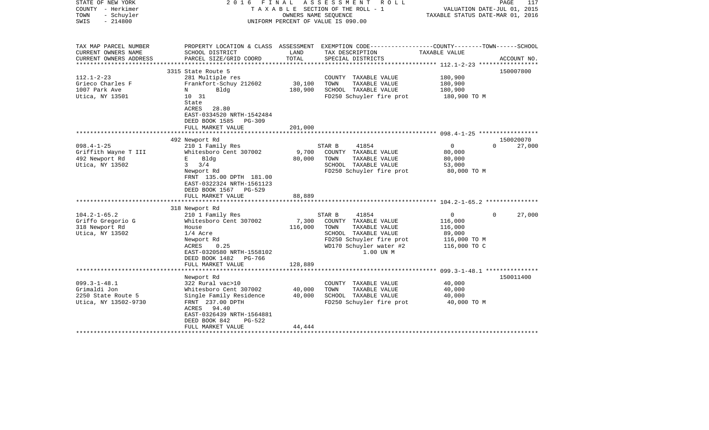| STATE OF NEW YORK<br>COUNTY - Herkimer<br>TOWN<br>- Schuyler<br>$-214800$<br>SWIS                                                                             | FINAL<br>2016                                                                                                                                                                                                                                                                                                                              |                                               | A S S E S S M E N T R O L L<br>TAXABLE SECTION OF THE ROLL - 1<br>OWNERS NAME SEOUENCE<br>UNIFORM PERCENT OF VALUE IS 090.00                                                                                                                                            | VALUATION DATE-JUL 01, 2015<br>TAXABLE STATUS DATE-MAR 01, 2016                                                                             | PAGE<br>117                                           |
|---------------------------------------------------------------------------------------------------------------------------------------------------------------|--------------------------------------------------------------------------------------------------------------------------------------------------------------------------------------------------------------------------------------------------------------------------------------------------------------------------------------------|-----------------------------------------------|-------------------------------------------------------------------------------------------------------------------------------------------------------------------------------------------------------------------------------------------------------------------------|---------------------------------------------------------------------------------------------------------------------------------------------|-------------------------------------------------------|
| TAX MAP PARCEL NUMBER<br>CURRENT OWNERS NAME<br>CURRENT OWNERS ADDRESS                                                                                        | SCHOOL DISTRICT<br>PARCEL SIZE/GRID COORD                                                                                                                                                                                                                                                                                                  | LAND<br>TOTAL                                 | PROPERTY LOCATION & CLASS ASSESSMENT EXEMPTION CODE---------------COUNTY-------TOWN------SCHOOL<br>TAX DESCRIPTION<br>SPECIAL DISTRICTS                                                                                                                                 | TAXABLE VALUE                                                                                                                               | ACCOUNT NO.                                           |
| ******************                                                                                                                                            |                                                                                                                                                                                                                                                                                                                                            |                                               |                                                                                                                                                                                                                                                                         |                                                                                                                                             |                                                       |
| $112.1 - 2 - 23$<br>Grieco Charles F<br>1007 Park Ave<br>Utica, NY 13501                                                                                      | 3315 State Route 5<br>281 Multiple res<br>Frankfort-Schuy 212602<br>Bldg<br>N<br>10 31<br>State<br>ACRES<br>28.80<br>EAST-0334520 NRTH-1542484<br>DEED BOOK 1585<br>PG-309                                                                                                                                                                 | 30,100<br>180,900                             | COUNTY TAXABLE VALUE<br>TAXABLE VALUE<br>TOWN<br>SCHOOL TAXABLE VALUE<br>FD250 Schuyler fire prot                                                                                                                                                                       | 180,900<br>180,900<br>180,900<br>180,900 TO M                                                                                               | 150007800                                             |
|                                                                                                                                                               | FULL MARKET VALUE                                                                                                                                                                                                                                                                                                                          | 201,000                                       |                                                                                                                                                                                                                                                                         |                                                                                                                                             |                                                       |
|                                                                                                                                                               |                                                                                                                                                                                                                                                                                                                                            |                                               |                                                                                                                                                                                                                                                                         |                                                                                                                                             |                                                       |
| $098.4 - 1 - 25$<br>Griffith Wayne T III<br>492 Newport Rd<br>Utica, NY 13502<br>$104.2 - 1 - 65.2$<br>Griffo Gregorio G<br>318 Newport Rd<br>Utica, NY 13502 | 492 Newport Rd<br>210 1 Family Res<br>Whitesboro Cent 307002<br>Bldg<br>Е<br>$\mathbf{3}$<br>3/4<br>Newport Rd<br>FRNT 135.00 DPTH 181.00<br>EAST-0322324 NRTH-1561123<br>DEED BOOK 1567 PG-529<br>FULL MARKET VALUE<br>318 Newport Rd<br>210 1 Family Res<br>Whitesboro Cent 307002<br>House<br>$1/4$ Acre<br>Newport Rd<br>0.25<br>ACRES | 9,700<br>80,000<br>88,889<br>7,300<br>116,000 | STAR B<br>41854<br>COUNTY TAXABLE VALUE<br>TOWN<br>TAXABLE VALUE<br>SCHOOL TAXABLE VALUE<br>FD250 Schuyler fire prot<br>STAR B<br>41854<br>COUNTY TAXABLE VALUE<br>TOWN<br>TAXABLE VALUE<br>SCHOOL TAXABLE VALUE<br>FD250 Schuyler fire prot<br>WD170 Schuyler water #2 | $\overline{0}$<br>80,000<br>80,000<br>53,000<br>80,000 TO M<br>$\mathbf{0}$<br>116,000<br>116,000<br>89,000<br>116,000 TO M<br>116,000 TO C | 150020070<br>27,000<br>$\Omega$<br>$\Omega$<br>27,000 |
|                                                                                                                                                               | EAST-0320580 NRTH-1558102<br>DEED BOOK 1482<br>PG-766<br>FULL MARKET VALUE                                                                                                                                                                                                                                                                 | 128,889                                       | 1.00 UN M                                                                                                                                                                                                                                                               |                                                                                                                                             |                                                       |
|                                                                                                                                                               | Newport Rd                                                                                                                                                                                                                                                                                                                                 |                                               |                                                                                                                                                                                                                                                                         |                                                                                                                                             | 150011400                                             |
| $099.3 - 1 - 48.1$<br>Grimaldi Jon<br>2250 State Route 5<br>Utica, NY 13502-9730                                                                              | 322 Rural vac>10<br>Whitesboro Cent 307002<br>Single Family Residence<br>FRNT 237.00 DPTH<br>ACRES 94.40<br>EAST-0326439 NRTH-1564881                                                                                                                                                                                                      | 40,000<br>40,000                              | COUNTY TAXABLE VALUE<br>TAXABLE VALUE<br>TOWN<br>SCHOOL TAXABLE VALUE<br>FD250 Schuyler fire prot                                                                                                                                                                       | 40,000<br>40,000<br>40,000<br>40,000 TO M                                                                                                   |                                                       |
|                                                                                                                                                               | DEED BOOK 842<br>$PG-522$<br>FULL MARKET VALUE                                                                                                                                                                                                                                                                                             | 44,444                                        |                                                                                                                                                                                                                                                                         |                                                                                                                                             |                                                       |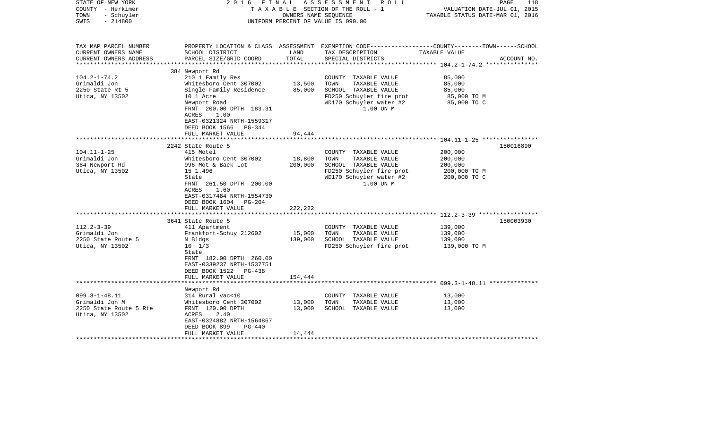| STATE OF NEW YORK<br>COUNTY - Herkimer<br>- Schuyler<br>TOWN<br>$-214800$<br>SWIS                | FINAL<br>2016                                                                                                                                                                                                                  | OWNERS NAME SEQUENCE         | ASSESSMENT ROLL<br>T A X A B L E SECTION OF THE ROLL - 1<br>UNIFORM PERCENT OF VALUE IS 090.00                                            | PAGE<br>VALUATION DATE-JUL 01, 2015<br>TAXABLE STATUS DATE-MAR 01, 2016                                          | 118         |
|--------------------------------------------------------------------------------------------------|--------------------------------------------------------------------------------------------------------------------------------------------------------------------------------------------------------------------------------|------------------------------|-------------------------------------------------------------------------------------------------------------------------------------------|------------------------------------------------------------------------------------------------------------------|-------------|
| TAX MAP PARCEL NUMBER<br>CURRENT OWNERS NAME<br>CURRENT OWNERS ADDRESS<br>********************** | SCHOOL DISTRICT<br>PARCEL SIZE/GRID COORD                                                                                                                                                                                      | LAND<br>TOTAL                | TAX DESCRIPTION<br>SPECIAL DISTRICTS                                                                                                      | PROPERTY LOCATION & CLASS ASSESSMENT EXEMPTION CODE---------------COUNTY-------TOWN------SCHOOL<br>TAXABLE VALUE | ACCOUNT NO. |
| $104.2 - 1 - 74.2$<br>Grimaldi Jon<br>2250 State Rt 5<br>Utica, NY 13502                         | 384 Newport Rd<br>210 1 Family Res<br>Whitesboro Cent 307002<br>Single Family Residence<br>10 1 Acre<br>Newport Road<br>FRNT 200.00 DPTH 183.31<br>ACRES<br>1.00<br>EAST-0321324 NRTH-1559317                                  | 13,500<br>85,000             | COUNTY TAXABLE VALUE<br>TOWN<br>TAXABLE VALUE<br>SCHOOL TAXABLE VALUE<br>FD250 Schuyler fire prot<br>WD170 Schuyler water #2<br>1.00 UN M | 85,000<br>85,000<br>85,000<br>85,000 TO M<br>85,000 TO C                                                         |             |
|                                                                                                  | DEED BOOK 1566<br>PG-344<br>FULL MARKET VALUE                                                                                                                                                                                  | 94,444                       |                                                                                                                                           |                                                                                                                  |             |
| $104.11 - 1 - 25$<br>Grimaldi Jon<br>384 Newport Rd<br>Utica, NY 13502                           | 2242 State Route 5<br>415 Motel<br>Whitesboro Cent 307002<br>996 Mot & Back Lot<br>15 1.496<br>State<br>FRNT 261.50 DPTH 200.00<br>ACRES<br>1.60<br>EAST-0317484 NRTH-1554730<br>DEED BOOK 1604<br>PG-204<br>FULL MARKET VALUE | 18,800<br>200,000<br>222,222 | COUNTY TAXABLE VALUE<br>TOWN<br>TAXABLE VALUE<br>SCHOOL TAXABLE VALUE<br>FD250 Schuyler fire prot<br>WD170 Schuyler water #2<br>1.00 UN M | 200,000<br>200,000<br>200,000<br>200,000 TO M<br>200,000 TO C                                                    | 150016890   |
|                                                                                                  |                                                                                                                                                                                                                                |                              |                                                                                                                                           |                                                                                                                  |             |
| $112.2 - 3 - 39$<br>Grimaldi Jon<br>2250 State Route 5<br>Utica, NY 13502                        | 3641 State Route 5<br>411 Apartment<br>Frankfort-Schuy 212602<br>N Bldgs<br>$10 \t 1/3$<br>State<br>FRNT 182.00 DPTH 260.00<br>EAST-0339237 NRTH-1537751<br>DEED BOOK 1522 PG-438<br>FULL MARKET VALUE                         | 15,000<br>139,000<br>154,444 | COUNTY TAXABLE VALUE<br>TOWN<br>TAXABLE VALUE<br>SCHOOL TAXABLE VALUE<br>FD250 Schuyler fire prot                                         | 139,000<br>139,000<br>139,000<br>139,000 TO M                                                                    | 150003930   |
|                                                                                                  |                                                                                                                                                                                                                                |                              |                                                                                                                                           |                                                                                                                  |             |
| $099.3 - 1 - 48.11$<br>Grimaldi Jon M<br>2250 State Route 5 Rte<br>Utica, NY 13502               | Newport Rd<br>314 Rural vac<10<br>Whitesboro Cent 307002<br>FRNT 120.00 DPTH<br>ACRES<br>2.40<br>EAST-0324882 NRTH-1564867<br>DEED BOOK 899<br>PG-440                                                                          | 13,000<br>13,000             | COUNTY TAXABLE VALUE<br>TOWN<br>TAXABLE VALUE<br>SCHOOL TAXABLE VALUE                                                                     | 13,000<br>13,000<br>13,000                                                                                       |             |
|                                                                                                  | FULL MARKET VALUE<br>********************                                                                                                                                                                                      | 14,444                       |                                                                                                                                           |                                                                                                                  |             |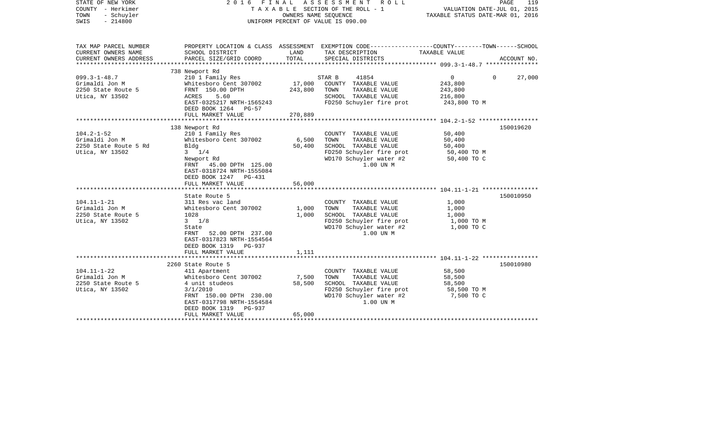| STATE OF NEW YORK<br>COUNTY - Herkimer<br>- Schuyler<br>TOWN<br>$-214800$<br>SWIS                                                                              | 2 0 1 6                                                                                                                                                                                                                                                                                                                                                                                             | OWNERS NAME SEQUENCE                                 | FINAL ASSESSMENT<br>R O L L<br>TAXABLE SECTION OF THE ROLL - 1<br>UNIFORM PERCENT OF VALUE IS 090.00                                                                                                                                                                                   | VALUATION DATE-JUL 01, 2015<br>TAXABLE STATUS DATE-MAR 01, 2016                                                 | PAGE<br>119 |
|----------------------------------------------------------------------------------------------------------------------------------------------------------------|-----------------------------------------------------------------------------------------------------------------------------------------------------------------------------------------------------------------------------------------------------------------------------------------------------------------------------------------------------------------------------------------------------|------------------------------------------------------|----------------------------------------------------------------------------------------------------------------------------------------------------------------------------------------------------------------------------------------------------------------------------------------|-----------------------------------------------------------------------------------------------------------------|-------------|
| TAX MAP PARCEL NUMBER<br>CURRENT OWNERS NAME                                                                                                                   | SCHOOL DISTRICT                                                                                                                                                                                                                                                                                                                                                                                     | LAND                                                 | PROPERTY LOCATION & CLASS ASSESSMENT EXEMPTION CODE---------------COUNTY-------TOWN-----SCHOOL<br>TAX DESCRIPTION                                                                                                                                                                      | TAXABLE VALUE                                                                                                   |             |
| CURRENT OWNERS ADDRESS                                                                                                                                         | PARCEL SIZE/GRID COORD                                                                                                                                                                                                                                                                                                                                                                              | TOTAL                                                | SPECIAL DISTRICTS                                                                                                                                                                                                                                                                      |                                                                                                                 | ACCOUNT NO. |
|                                                                                                                                                                | 738 Newport Rd                                                                                                                                                                                                                                                                                                                                                                                      |                                                      |                                                                                                                                                                                                                                                                                        |                                                                                                                 |             |
| $099.3 - 1 - 48.7$<br>Grimaldi Jon M<br>2250 State Route 5<br>Utica, NY 13502                                                                                  | 210 1 Family Res<br>Whitesboro Cent 307002<br>FRNT 150.00 DPTH<br>ACRES<br>5.60<br>EAST-0325217 NRTH-1565243<br>DEED BOOK 1264<br>$PG-57$                                                                                                                                                                                                                                                           | 17,000<br>243,800                                    | STAR B<br>41854<br>COUNTY TAXABLE VALUE<br>TOWN<br>TAXABLE VALUE<br>SCHOOL TAXABLE VALUE<br>FD250 Schuyler fire prot                                                                                                                                                                   | $\mathbf 0$<br>$\mathbf 0$<br>243,800<br>243,800<br>216,800<br>243,800 TO M                                     | 27,000      |
|                                                                                                                                                                | FULL MARKET VALUE                                                                                                                                                                                                                                                                                                                                                                                   | 270,889                                              |                                                                                                                                                                                                                                                                                        |                                                                                                                 |             |
|                                                                                                                                                                | 138 Newport Rd                                                                                                                                                                                                                                                                                                                                                                                      |                                                      |                                                                                                                                                                                                                                                                                        |                                                                                                                 | 150019620   |
| $104.2 - 1 - 52$<br>Grimaldi Jon M<br>2250 State Route 5 Rd<br>Utica, NY 13502<br>$104.11 - 1 - 21$<br>Grimaldi Jon M<br>2250 State Route 5<br>Utica, NY 13502 | 210 1 Family Res<br>Whitesboro Cent 307002<br>Bldg<br>$3 \frac{1}{4}$<br>Newport Rd<br>FRNT 45.00 DPTH 125.00<br>EAST-0318724 NRTH-1555084<br>DEED BOOK 1247<br>PG-431<br>FULL MARKET VALUE<br>State Route 5<br>311 Res vac land<br>Whitesboro Cent 307002<br>1028<br>$3 \t1/8$<br>State<br>FRNT<br>52.00 DPTH 237.00<br>EAST-0317823 NRTH-1554564<br>DEED BOOK 1319<br>PG-937<br>FULL MARKET VALUE | 6,500<br>50,400<br>56,000<br>1,000<br>1,000<br>1,111 | COUNTY TAXABLE VALUE<br>TOWN<br>TAXABLE VALUE<br>SCHOOL TAXABLE VALUE<br>FD250 Schuyler fire prot<br>WD170 Schuyler water #2<br>1.00 UN M<br>COUNTY TAXABLE VALUE<br>TOWN<br>TAXABLE VALUE<br>SCHOOL TAXABLE VALUE<br>FD250 Schuyler fire prot<br>WD170 Schuyler water #2<br>1.00 UN M | 50,400<br>50,400<br>50,400<br>50,400 TO M<br>50,400 TO C<br>1,000<br>1,000<br>1,000<br>1,000 TO M<br>1,000 TO C | 150010950   |
|                                                                                                                                                                | **************************                                                                                                                                                                                                                                                                                                                                                                          |                                                      |                                                                                                                                                                                                                                                                                        |                                                                                                                 |             |
| $104.11 - 1 - 22$<br>Grimaldi Jon M<br>2250 State Route 5<br>Utica, NY 13502                                                                                   | 2260 State Route 5<br>411 Apartment<br>Whitesboro Cent 307002<br>4 unit studeos<br>3/1/2010<br>FRNT 150.00 DPTH 230.00<br>EAST-0317798 NRTH-1554584<br>DEED BOOK 1319<br>PG-937<br>FULL MARKET VALUE<br>******************                                                                                                                                                                          | 7,500<br>58,500<br>65,000                            | COUNTY TAXABLE VALUE<br>TOWN<br>TAXABLE VALUE<br>SCHOOL TAXABLE VALUE<br>FD250 Schuyler fire prot<br>WD170 Schuyler water #2<br>1.00 UN M                                                                                                                                              | 58,500<br>58,500<br>58,500<br>58,500 TO M<br>7,500 TO C                                                         | 150010980   |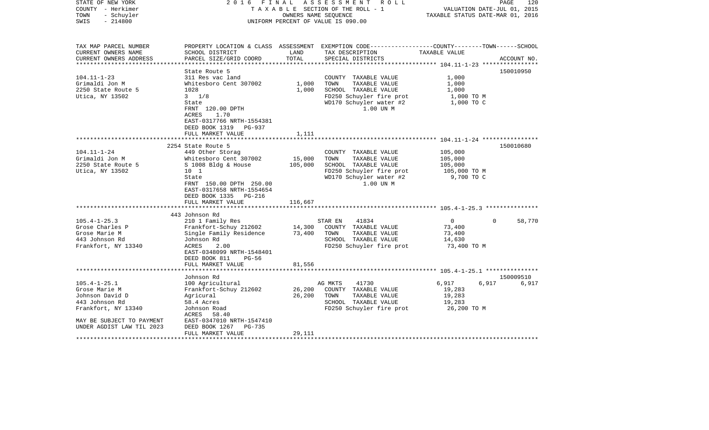| STATE OF NEW YORK<br>COUNTY - Herkimer<br>- Schuyler<br>TOWN<br>$-214800$<br>SWIS                                                                                               | 2016 FINAL                                                                                                                                                                                                                                                                                                                                                                       | OWNERS NAME SEOUENCE                             | ASSESSMENT<br>R O L L<br>T A X A B L E SECTION OF THE ROLL - 1<br>UNIFORM PERCENT OF VALUE IS 090.00                                                                                                                                                               | VALUATION DATE-JUL 01, 2015<br>TAXABLE STATUS DATE-MAR 01, 2016                                                            | 120<br>PAGE                     |
|---------------------------------------------------------------------------------------------------------------------------------------------------------------------------------|----------------------------------------------------------------------------------------------------------------------------------------------------------------------------------------------------------------------------------------------------------------------------------------------------------------------------------------------------------------------------------|--------------------------------------------------|--------------------------------------------------------------------------------------------------------------------------------------------------------------------------------------------------------------------------------------------------------------------|----------------------------------------------------------------------------------------------------------------------------|---------------------------------|
| TAX MAP PARCEL NUMBER<br>CURRENT OWNERS NAME<br>CURRENT OWNERS ADDRESS                                                                                                          | SCHOOL DISTRICT<br>PARCEL SIZE/GRID COORD                                                                                                                                                                                                                                                                                                                                        | LAND<br>TOTAL                                    | PROPERTY LOCATION & CLASS ASSESSMENT EXEMPTION CODE----------------COUNTY-------TOWN------SCHOOL<br>TAX DESCRIPTION<br>SPECIAL DISTRICTS                                                                                                                           | TAXABLE VALUE                                                                                                              | ACCOUNT NO.                     |
| **********************                                                                                                                                                          |                                                                                                                                                                                                                                                                                                                                                                                  |                                                  |                                                                                                                                                                                                                                                                    |                                                                                                                            |                                 |
| $104.11 - 1 - 23$<br>Grimaldi Jon M<br>2250 State Route 5<br>Utica, NY 13502                                                                                                    | State Route 5<br>311 Res vac land<br>Whitesboro Cent 307002<br>1028<br>$3 \frac{1}{8}$<br>State<br>FRNT 120.00 DPTH<br><b>ACRES</b><br>1.70<br>EAST-0317766 NRTH-1554381                                                                                                                                                                                                         | 1,000<br>1,000                                   | COUNTY TAXABLE VALUE<br>TOWN<br>TAXABLE VALUE<br>SCHOOL TAXABLE VALUE<br>FD250 Schuyler fire prot<br>WD170 Schuyler water #2<br>1.00 UN M                                                                                                                          | 1,000<br>1,000<br>1,000<br>1,000 TO M<br>1,000 TO C                                                                        | 150010950                       |
|                                                                                                                                                                                 | DEED BOOK 1319 PG-937                                                                                                                                                                                                                                                                                                                                                            |                                                  |                                                                                                                                                                                                                                                                    |                                                                                                                            |                                 |
|                                                                                                                                                                                 | FULL MARKET VALUE                                                                                                                                                                                                                                                                                                                                                                | 1,111                                            |                                                                                                                                                                                                                                                                    |                                                                                                                            |                                 |
|                                                                                                                                                                                 | ************************                                                                                                                                                                                                                                                                                                                                                         | **************                                   |                                                                                                                                                                                                                                                                    |                                                                                                                            |                                 |
| $104.11 - 1 - 24$<br>Grimaldi Jon M<br>2250 State Route 5<br>Utica, NY 13502<br>$105.4 - 1 - 25.3$<br>Grose Charles P<br>Grose Marie M<br>443 Johnson Rd<br>Frankfort, NY 13340 | 2254 State Route 5<br>449 Other Storag<br>Whitesboro Cent 307002<br>S 1008 Bldg & House<br>10 <sub>1</sub><br>State<br>FRNT 150.00 DPTH 250.00<br>EAST-0317658 NRTH-1554654<br>DEED BOOK 1335 PG-216<br>FULL MARKET VALUE<br>443 Johnson Rd<br>210 1 Family Res<br>Frankfort-Schuy 212602<br>Single Family Residence<br>Johnson Rd<br>2.00<br>ACRES<br>EAST-0348099 NRTH-1548401 | 15,000<br>105,000<br>116,667<br>14,300<br>73,400 | COUNTY TAXABLE VALUE<br>TOWN<br>TAXABLE VALUE<br>SCHOOL TAXABLE VALUE<br>FD250 Schuyler fire prot<br>WD170 Schuyler water #2<br>1.00 UN M<br>41834<br>STAR EN<br>COUNTY TAXABLE VALUE<br>TAXABLE VALUE<br>TOWN<br>SCHOOL TAXABLE VALUE<br>FD250 Schuyler fire prot | 105,000<br>105,000<br>105,000<br>105,000 TO M<br>9,700 TO C<br>$\overline{0}$<br>73,400<br>73,400<br>14,630<br>73,400 TO M | 150010680<br>58,770<br>$\Omega$ |
|                                                                                                                                                                                 | DEED BOOK 811<br>$PG-56$                                                                                                                                                                                                                                                                                                                                                         |                                                  |                                                                                                                                                                                                                                                                    |                                                                                                                            |                                 |
|                                                                                                                                                                                 | FULL MARKET VALUE<br>***********************                                                                                                                                                                                                                                                                                                                                     | 81,556                                           |                                                                                                                                                                                                                                                                    |                                                                                                                            |                                 |
|                                                                                                                                                                                 | Johnson Rd                                                                                                                                                                                                                                                                                                                                                                       |                                                  |                                                                                                                                                                                                                                                                    |                                                                                                                            | 150009510                       |
| $105.4 - 1 - 25.1$<br>Grose Marie M<br>Johnson David D<br>443 Johnson Rd<br>Frankfort, NY 13340<br>MAY BE SUBJECT TO PAYMENT<br>UNDER AGDIST LAW TIL 2023                       | 100 Agricultural<br>Frankfort-Schuy 212602<br>Agricural<br>58.4 Acres<br>Johnson Road<br>ACRES<br>58.40<br>EAST-0347010 NRTH-1547410<br>DEED BOOK 1267<br>PG-735<br>FULL MARKET VALUE                                                                                                                                                                                            | 26,200<br>26,200<br>29,111                       | AG MKTS<br>41730<br>COUNTY TAXABLE VALUE<br>TAXABLE VALUE<br>TOWN<br>SCHOOL TAXABLE VALUE<br>FD250 Schuyler fire prot                                                                                                                                              | 6,917<br>6,917<br>19,283<br>19,283<br>19,283<br>26,200 TO M                                                                | 6,917                           |
|                                                                                                                                                                                 |                                                                                                                                                                                                                                                                                                                                                                                  |                                                  |                                                                                                                                                                                                                                                                    |                                                                                                                            |                                 |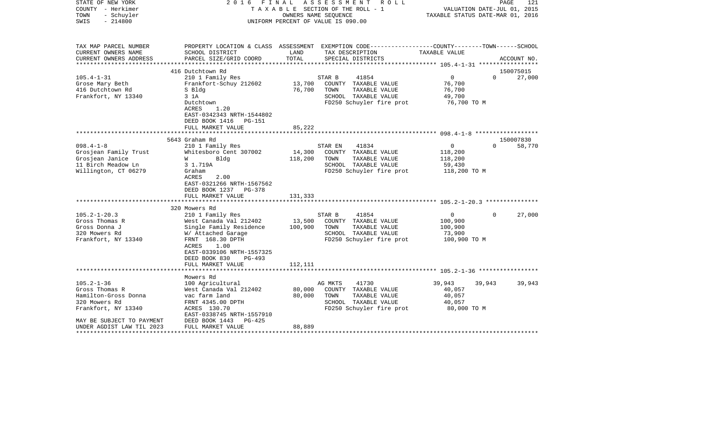| STATE OF NEW YORK<br>COUNTY - Herkimer<br>TOWN<br>- Schuyler<br>$-214800$<br>SWIS | FINAL<br>2016                                                                               |         | ASSESSMENT<br>R O L L<br>TAXABLE SECTION OF THE ROLL - 1<br>OWNERS NAME SEQUENCE<br>UNIFORM PERCENT OF VALUE IS 090.00 | VALUATION DATE-JUL 01, 2015<br>TAXABLE STATUS DATE-MAR 01, 2016 | PAGE     | 121         |
|-----------------------------------------------------------------------------------|---------------------------------------------------------------------------------------------|---------|------------------------------------------------------------------------------------------------------------------------|-----------------------------------------------------------------|----------|-------------|
| TAX MAP PARCEL NUMBER<br>CURRENT OWNERS NAME                                      | SCHOOL DISTRICT                                                                             | LAND    | PROPERTY LOCATION & CLASS ASSESSMENT EXEMPTION CODE---------------COUNTY-------TOWN-----SCHOOL<br>TAX DESCRIPTION      | TAXABLE VALUE                                                   |          |             |
| CURRENT OWNERS ADDRESS<br>***********************                                 | PARCEL SIZE/GRID COORD                                                                      | TOTAL   | SPECIAL DISTRICTS                                                                                                      |                                                                 |          | ACCOUNT NO. |
|                                                                                   | 416 Dutchtown Rd                                                                            |         |                                                                                                                        |                                                                 |          | 150075015   |
| $105.4 - 1 - 31$                                                                  | 210 1 Family Res                                                                            |         | STAR B<br>41854                                                                                                        | $\overline{0}$                                                  | $\Omega$ | 27,000      |
| Grose Mary Beth                                                                   | Frankfort-Schuy 212602                                                                      | 13,700  | COUNTY TAXABLE VALUE                                                                                                   | 76,700                                                          |          |             |
| 416 Dutchtown Rd                                                                  | S Bldg                                                                                      | 76,700  | TOWN<br>TAXABLE VALUE                                                                                                  | 76,700                                                          |          |             |
| Frankfort, NY 13340                                                               | 3 1A                                                                                        |         | SCHOOL TAXABLE VALUE                                                                                                   | 49,700                                                          |          |             |
|                                                                                   | Dutchtown<br>ACRES<br>1.20<br>EAST-0342343 NRTH-1544802<br>DEED BOOK 1416<br>PG-151         |         | FD250 Schuyler fire prot                                                                                               | 76,700 TO M                                                     |          |             |
|                                                                                   | FULL MARKET VALUE                                                                           | 85,222  |                                                                                                                        |                                                                 |          |             |
|                                                                                   | 5643 Graham Rd                                                                              |         |                                                                                                                        |                                                                 |          | 150007830   |
| $098.4 - 1 - 8$                                                                   | 210 1 Family Res                                                                            |         | 41834<br>STAR EN                                                                                                       | $\overline{0}$                                                  | $\Omega$ | 58,770      |
| Grosjean Family Trust                                                             | Whitesboro Cent 307002                                                                      | 14,300  | COUNTY TAXABLE VALUE                                                                                                   | 118,200                                                         |          |             |
| Grosjean Janice                                                                   | Bldg<br><b>W</b>                                                                            | 118,200 | TAXABLE VALUE<br>TOWN                                                                                                  | 118,200                                                         |          |             |
| 11 Birch Meadow Ln                                                                | 3 1.719A                                                                                    |         | SCHOOL TAXABLE VALUE                                                                                                   | 59,430                                                          |          |             |
| Willington, CT 06279                                                              | Graham                                                                                      |         | FD250 Schuyler fire prot                                                                                               | 118,200 TO M                                                    |          |             |
|                                                                                   | 2.00<br>ACRES<br>EAST-0321266 NRTH-1567562<br>DEED BOOK 1237<br>PG-378<br>FULL MARKET VALUE | 131,333 |                                                                                                                        |                                                                 |          |             |
|                                                                                   |                                                                                             |         |                                                                                                                        |                                                                 |          |             |
|                                                                                   | 320 Mowers Rd                                                                               |         |                                                                                                                        |                                                                 |          |             |
| $105.2 - 1 - 20.3$                                                                | 210 1 Family Res                                                                            |         | STAR B<br>41854                                                                                                        | $\overline{0}$                                                  | $\Omega$ | 27,000      |
| Gross Thomas R                                                                    | West Canada Val 212402                                                                      | 13,500  | COUNTY TAXABLE VALUE                                                                                                   | 100,900                                                         |          |             |
| Gross Donna J                                                                     | Single Family Residence                                                                     | 100,900 | TOWN<br>TAXABLE VALUE                                                                                                  | 100,900                                                         |          |             |
| 320 Mowers Rd                                                                     | W/ Attached Garage                                                                          |         | SCHOOL TAXABLE VALUE                                                                                                   | 73,900                                                          |          |             |
| Frankfort, NY 13340                                                               | FRNT 168.30 DPTH                                                                            |         | FD250 Schuyler fire prot                                                                                               | 100,900 TO M                                                    |          |             |
|                                                                                   | ACRES<br>1.00<br>EAST-0339106 NRTH-1557325<br>DEED BOOK 830<br>$PG-493$                     |         |                                                                                                                        |                                                                 |          |             |
|                                                                                   | FULL MARKET VALUE                                                                           | 112,111 |                                                                                                                        |                                                                 |          |             |
|                                                                                   | Mowers Rd                                                                                   |         |                                                                                                                        |                                                                 |          |             |
| $105.2 - 1 - 36$                                                                  | 100 Agricultural                                                                            |         | AG MKTS<br>41730                                                                                                       | 39,943                                                          | 39,943   | 39,943      |
| Gross Thomas R                                                                    | West Canada Val 212402                                                                      | 80,000  | COUNTY TAXABLE VALUE                                                                                                   | 40,057                                                          |          |             |
| Hamilton-Gross Donna                                                              | vac farm land                                                                               | 80,000  | TOWN<br>TAXABLE VALUE                                                                                                  | 40,057                                                          |          |             |
| 320 Mowers Rd                                                                     | FRNT 4345.00 DPTH                                                                           |         | SCHOOL TAXABLE VALUE                                                                                                   | 40,057                                                          |          |             |
| Frankfort, NY 13340                                                               | ACRES 130.70                                                                                |         | FD250 Schuyler fire prot                                                                                               | 80,000 TO M                                                     |          |             |
|                                                                                   | EAST-0338745 NRTH-1557910                                                                   |         |                                                                                                                        |                                                                 |          |             |
| MAY BE SUBJECT TO PAYMENT                                                         | DEED BOOK 1443<br>PG-425                                                                    |         |                                                                                                                        |                                                                 |          |             |
| UNDER AGDIST LAW TIL 2023                                                         | FULL MARKET VALUE                                                                           | 88,889  |                                                                                                                        |                                                                 |          |             |
| ********************                                                              | *********************                                                                       |         |                                                                                                                        |                                                                 |          |             |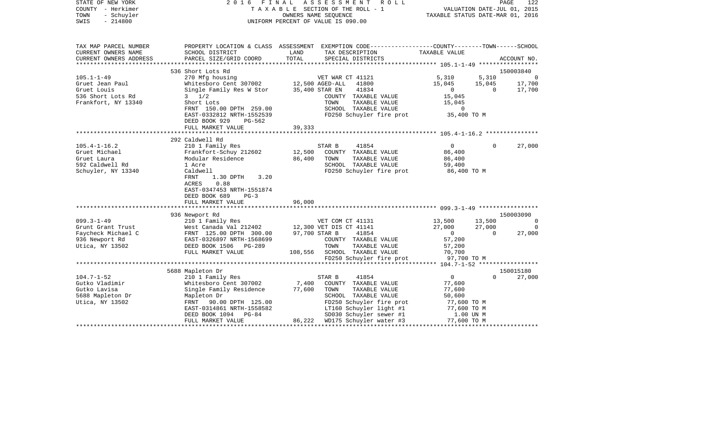| STATE OF NEW YORK<br>COUNTY - Herkimer<br>TOWN<br>- Schuyler<br>SWIS<br>$-214800$         |                                                                                                                                                                |                  | 2016 FINAL ASSESSMENT ROLL<br>TAXABLE SECTION OF THE ROLL - 1<br>OWNERS NAME SEQUENCE<br>UNIFORM PERCENT OF VALUE IS 090.00                                       | VALUATION DATE-JUL 01, 2015<br>TAXABLE STATUS DATE-MAR 01, 2016 |                          | PAGE<br>122      |
|-------------------------------------------------------------------------------------------|----------------------------------------------------------------------------------------------------------------------------------------------------------------|------------------|-------------------------------------------------------------------------------------------------------------------------------------------------------------------|-----------------------------------------------------------------|--------------------------|------------------|
| TAX MAP PARCEL NUMBER<br>CURRENT OWNERS NAME<br>CURRENT OWNERS ADDRESS                    | SCHOOL DISTRICT<br>PARCEL SIZE/GRID COORD                                                                                                                      | LAND<br>TOTAL    | PROPERTY LOCATION & CLASS ASSESSMENT EXEMPTION CODE---------------COUNTY-------TOWN------SCHOOL<br>TAX DESCRIPTION<br>SPECIAL DISTRICTS                           | TAXABLE VALUE                                                   |                          | ACCOUNT NO.      |
|                                                                                           |                                                                                                                                                                |                  |                                                                                                                                                                   |                                                                 |                          |                  |
|                                                                                           | 536 Short Lots Rd                                                                                                                                              |                  |                                                                                                                                                                   |                                                                 |                          | 150003840        |
| $105.1 - 1 - 49$                                                                          | 270 Mfg housing                                                                                                                                                |                  | VET WAR CT 41121                                                                                                                                                  | 5,310                                                           | 5,310                    | $\overline{0}$   |
| Gruet Jean Paul                                                                           | Whitesboro Cent 307002 12,500 AGED-ALL 41800<br>Single Family Res W Stor 35,400 STAR EN 41834                                                                  |                  |                                                                                                                                                                   | 15,045<br>15,045<br>0                                           | 15,045<br>$\overline{0}$ | 17,700<br>17,700 |
| Gruet Louis<br>536 Short Lots Rd<br>Frankfort, NY 13340                                   | $3 \frac{1}{2}$<br>Short Lots<br>FRNT 150.00 DPTH 259.00                                                                                                       |                  | COUNTY TAXABLE VALUE<br>TOWN<br>TAXABLE VALUE<br>SCHOOL TAXABLE VALUE                                                                                             | 15,045<br>15,045<br>$\sim$ 0                                    |                          |                  |
|                                                                                           | EAST-0332812 NRTH-1552539<br>DEED BOOK 929<br>PG-562                                                                                                           |                  | FD250 Schuyler fire prot 35,400 TO M                                                                                                                              |                                                                 |                          |                  |
|                                                                                           | FULL MARKET VALUE                                                                                                                                              | 39,333           |                                                                                                                                                                   |                                                                 |                          |                  |
|                                                                                           | 292 Caldwell Rd                                                                                                                                                |                  |                                                                                                                                                                   |                                                                 |                          |                  |
| $105.4 - 1 - 16.2$<br>Gruet Michael<br>Gruet Laura                                        | 210 1 Family Res<br>Frankfort-Schuy 212602<br>Modular Residence                                                                                                | 12,500<br>86,400 | STAR B<br>41854<br>COUNTY TAXABLE VALUE<br>TOWN<br>TAXABLE VALUE                                                                                                  | $\overline{0}$<br>86,400<br>86,400                              | $\mathbf{0}$             | 27,000           |
| 592 Caldwell Rd<br>Schuyler, NY 13340                                                     | 1 Acre<br>Caldwell<br>FRNT<br>1.30 DPTH<br>3.20                                                                                                                |                  | SCHOOL TAXABLE VALUE<br>FD250 Schuyler fire prot 86,400 TO M                                                                                                      | 59,400                                                          |                          |                  |
|                                                                                           | ACRES<br>0.88<br>EAST-0347453 NRTH-1551874<br>DEED BOOK 689<br>$PG-3$                                                                                          | 96,000           |                                                                                                                                                                   |                                                                 |                          |                  |
|                                                                                           | FULL MARKET VALUE                                                                                                                                              |                  |                                                                                                                                                                   |                                                                 |                          |                  |
|                                                                                           | 936 Newport Rd                                                                                                                                                 |                  |                                                                                                                                                                   |                                                                 |                          | 150003090        |
| $099.3 - 1 - 49$                                                                          | 210 1 Family Res<br>WET COM CT 41131<br>West Canada Val 212402 12,300 VET DIS CT 41141                                                                         |                  | VET COM CT 41131 13,500<br>VET DIS CT 41141 27,000                                                                                                                |                                                                 | 13,500                   | $\sim$ 0         |
| Grunt Grant Trust                                                                         |                                                                                                                                                                |                  |                                                                                                                                                                   |                                                                 | 27,000                   | $\Omega$         |
|                                                                                           | Faycheck Michael C<br>Paycheck Michael C<br>936 Newport Rd<br>EAST-0326897 NRTH-1568699<br>DEED BOOK 1506 PG-289<br>DEED BOOK 1506 PG-289<br>FULL MARKET VALUE |                  | 41854<br>COUNTY TAXABLE VALUE<br>TAXABLE VALUE<br>108,556 SCHOOL TAXABLE VALUE                                                                                    | 2 / 1000<br>57,200<br>57,200<br>70,700                          | $\overline{0}$           | 27,000           |
|                                                                                           |                                                                                                                                                                |                  | FD250 Schuyler fire prot                                                                                                                                          | 97,700 TO M                                                     |                          |                  |
|                                                                                           |                                                                                                                                                                |                  |                                                                                                                                                                   |                                                                 |                          |                  |
|                                                                                           | 5688 Mapleton Dr                                                                                                                                               |                  |                                                                                                                                                                   |                                                                 |                          | 150015180        |
| $104.7 - 1 - 52$<br>Gutko Vladimir<br>Gutko Lavisa<br>5688 Mapleton Dr<br>Utica, NY 13502 | 210 1 Family Res<br>Whitesboro Cent 307002<br>Single Family Residence 77,600<br>Mapleton Dr<br>FRNT 90.00 DPTH 125.00<br>EAST-0314861 NRTH-1558582             |                  | 41854<br>STAR B<br>7,400 COUNTY TAXABLE VALUE<br>TOWN<br>TAXABLE VALUE<br>SCHOOL TAXABLE VALUE<br>FD250 Schuyler fire prot<br>LT160 Schuyler light #1 77,600 TO M | $\overline{0}$<br>77,600<br>77,600<br>50,600<br>77,600 TO M     | $\Omega$                 | 27,000           |
|                                                                                           | DEED BOOK 1094 PG-84<br>FULL MARKET VALUE                                                                                                                      |                  | SD030 Schuyler sewer #1<br>$86,222$ WD175 Schuyler water #3 77,600 TO M                                                                                           | 1.00 UN M                                                       |                          |                  |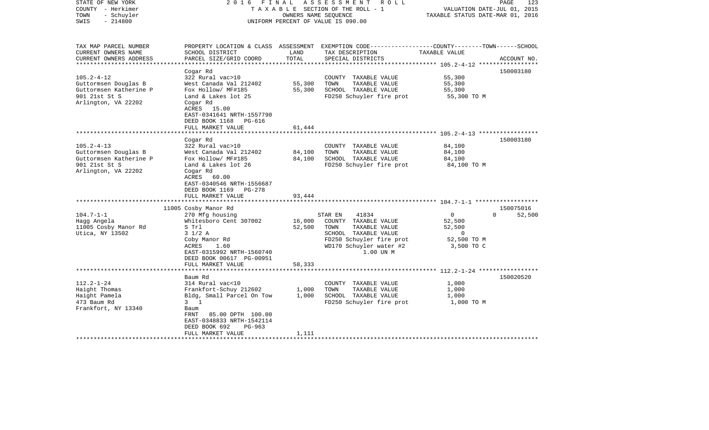| STATE OF NEW YORK<br>COUNTY - Herkimer<br>- Schuyler<br>TOWN<br>$-214800$<br>SWIS                                  | FINAL<br>2016                                                                                                                                                                                                                         | OWNERS NAME SEOUENCE           | ASSESSMENT<br>R O L L<br>TAXABLE SECTION OF THE ROLL - 1<br>UNIFORM PERCENT OF VALUE IS 090.00                                                                | VALUATION DATE-JUL 01, 2015<br>TAXABLE STATUS DATE-MAR 01, 2016                  | PAGE<br>123         |
|--------------------------------------------------------------------------------------------------------------------|---------------------------------------------------------------------------------------------------------------------------------------------------------------------------------------------------------------------------------------|--------------------------------|---------------------------------------------------------------------------------------------------------------------------------------------------------------|----------------------------------------------------------------------------------|---------------------|
| TAX MAP PARCEL NUMBER<br>CURRENT OWNERS NAME<br>CURRENT OWNERS ADDRESS<br>*********************                    | SCHOOL DISTRICT<br>PARCEL SIZE/GRID COORD                                                                                                                                                                                             | LAND<br>TOTAL<br>************* | PROPERTY LOCATION & CLASS ASSESSMENT EXEMPTION CODE----------------COUNTY-------TOWN------SCHOOL<br>TAX DESCRIPTION<br>SPECIAL DISTRICTS                      | TAXABLE VALUE                                                                    | ACCOUNT NO.         |
| $105.2 - 4 - 12$<br>Guttormsen Douglas B<br>Guttormsen Katherine P<br>901 21st St S<br>Arlington, VA 22202         | Cogar Rd<br>322 Rural vac>10<br>West Canada Val 212402<br>Fox Hollow/ MF#185<br>Land & Lakes lot 25<br>Cogar Rd<br>ACRES 15.00<br>EAST-0341641 NRTH-1557790<br>DEED BOOK 1168 PG-616<br>FULL MARKET VALUE                             | 55,300<br>55,300<br>61,444     | COUNTY TAXABLE VALUE<br>TOWN<br>TAXABLE VALUE<br>SCHOOL TAXABLE VALUE<br>FD250 Schuyler fire prot                                                             | 55,300<br>55,300<br>55,300<br>55,300 TO M                                        | 150003180           |
| $105.2 - 4 - 13$<br>Guttormsen Douglas B<br>Guttormsen Katherine P<br>901 21st St S<br>Arlington, VA 22202         | *********************<br>Cogar Rd<br>322 Rural vac>10<br>West Canada Val 212402<br>Fox Hollow/ MF#185<br>Land & Lakes lot 26<br>Cogar Rd<br>ACRES 60.00<br>EAST-0340546 NRTH-1556687<br>DEED BOOK 1169<br>PG-278<br>FULL MARKET VALUE | 84,100<br>84,100<br>93,444     | COUNTY TAXABLE VALUE<br>TOWN<br>TAXABLE VALUE<br>SCHOOL TAXABLE VALUE<br>FD250 Schuyler fire prot                                                             | 84,100<br>84,100<br>84,100<br>84,100 TO M                                        | 150003180           |
| $104.7 - 1 - 1$<br>Hagg Angela<br>11005 Cosby Manor Rd<br>Utica, NY 13502                                          | 11005 Cosby Manor Rd<br>270 Mfg housing<br>Whitesboro Cent 307002<br>S Trl<br>$3 \frac{1}{2}$ A<br>Coby Manor Rd<br>ACRES<br>1.60<br>EAST-0315992 NRTH-1560740<br>DEED BOOK 00617 PG-00951<br>FULL MARKET VALUE                       | 16,000<br>52,500<br>58,333     | 41834<br>STAR EN<br>COUNTY TAXABLE VALUE<br>TAXABLE VALUE<br>TOWN<br>SCHOOL TAXABLE VALUE<br>FD250 Schuyler fire prot<br>WD170 Schuyler water #2<br>1.00 UN M | $\overline{0}$<br>$\Omega$<br>52,500<br>52,500<br>0<br>52,500 TO M<br>3,500 TO C | 150075016<br>52,500 |
|                                                                                                                    | ********************                                                                                                                                                                                                                  |                                |                                                                                                                                                               |                                                                                  |                     |
| $112.2 - 1 - 24$<br>Haight Thomas<br>Haight Pamela<br>473 Baum Rd<br>Frankfort, NY 13340<br>********************** | Baum Rd<br>314 Rural vac<10<br>Frankfort-Schuy 212602<br>Bldg, Small Parcel On Tow<br>$3 \quad 1$<br>Baum<br>FRNT<br>85.00 DPTH 100.00<br>EAST-0348833 NRTH-1542114<br>DEED BOOK 692<br>$PG-963$<br>FULL MARKET VALUE                 | 1,000<br>1,000<br>1,111        | COUNTY TAXABLE VALUE<br>TAXABLE VALUE<br>TOWN<br>SCHOOL TAXABLE VALUE<br>FD250 Schuyler fire prot                                                             | 1,000<br>1,000<br>1,000<br>1,000 TO M                                            | 150020520           |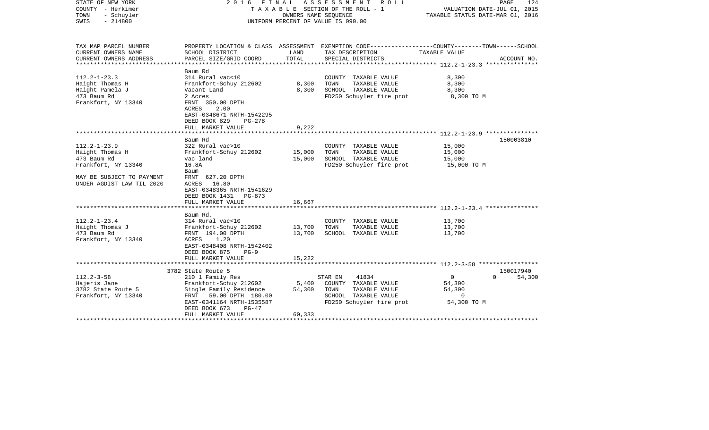| STATE OF NEW YORK<br>COUNTY - Herkimer<br>TOWN<br>- Schuyler<br>$-214800$<br>SWIS |                                                                                                                | OWNERS NAME SEQUENCE | 2016 FINAL ASSESSMENT<br>R O L L<br>TAXABLE SECTION OF THE ROLL - 1<br>UNIFORM PERCENT OF VALUE IS 090.00         | VALUATION DATE-JUL 01, 2015<br>TAXABLE STATUS DATE-MAR 01, 2016 | PAGE<br>124 |
|-----------------------------------------------------------------------------------|----------------------------------------------------------------------------------------------------------------|----------------------|-------------------------------------------------------------------------------------------------------------------|-----------------------------------------------------------------|-------------|
| TAX MAP PARCEL NUMBER<br>CURRENT OWNERS NAME                                      | SCHOOL DISTRICT                                                                                                | LAND                 | PROPERTY LOCATION & CLASS ASSESSMENT EXEMPTION CODE---------------COUNTY-------TOWN-----SCHOOL<br>TAX DESCRIPTION | TAXABLE VALUE                                                   |             |
| CURRENT OWNERS ADDRESS<br>*******************                                     | PARCEL SIZE/GRID COORD<br>*******************                                                                  | TOTAL                | SPECIAL DISTRICTS                                                                                                 |                                                                 | ACCOUNT NO. |
|                                                                                   | Baum Rd                                                                                                        |                      |                                                                                                                   |                                                                 |             |
| $112.2 - 1 - 23.3$                                                                | 314 Rural vac<10                                                                                               |                      | COUNTY TAXABLE VALUE                                                                                              | 8,300                                                           |             |
| Haight Thomas H                                                                   | Frankfort-Schuy 212602                                                                                         | 8,300                | TOWN<br>TAXABLE VALUE                                                                                             | 8,300                                                           |             |
| Haight Pamela J                                                                   | Vacant Land                                                                                                    | 8,300                | SCHOOL TAXABLE VALUE                                                                                              | 8,300                                                           |             |
| 473 Baum Rd<br>Frankfort, NY 13340                                                | 2 Acres<br>FRNT 350.00 DPTH<br>ACRES<br>2.00<br>EAST-0348671 NRTH-1542295<br>DEED BOOK 829<br>$PG-278$         |                      | FD250 Schuyler fire prot                                                                                          | 8,300 TO M                                                      |             |
|                                                                                   | FULL MARKET VALUE                                                                                              | 9,222                |                                                                                                                   |                                                                 |             |
|                                                                                   |                                                                                                                |                      |                                                                                                                   |                                                                 |             |
|                                                                                   | Baum Rd                                                                                                        |                      |                                                                                                                   |                                                                 | 150003810   |
| $112.2 - 1 - 23.9$                                                                | 322 Rural vac>10                                                                                               |                      | COUNTY TAXABLE VALUE<br>TAXABLE VALUE                                                                             | 15,000                                                          |             |
| Haight Thomas H<br>473 Baum Rd                                                    | Frankfort-Schuy 212602<br>vac land                                                                             | 15,000<br>15,000     | TOWN<br>SCHOOL TAXABLE VALUE                                                                                      | 15,000<br>15,000                                                |             |
| Frankfort, NY 13340                                                               | 16.8A                                                                                                          |                      | FD250 Schuyler fire prot                                                                                          | 15,000 TO M                                                     |             |
|                                                                                   | Baum                                                                                                           |                      |                                                                                                                   |                                                                 |             |
| MAY BE SUBJECT TO PAYMENT<br>UNDER AGDIST LAW TIL 2020                            | FRNT 627.20 DPTH<br>16.80<br>ACRES<br>EAST-0348365 NRTH-1541629<br>DEED BOOK 1431 PG-873                       |                      |                                                                                                                   |                                                                 |             |
|                                                                                   | FULL MARKET VALUE                                                                                              | 16,667               |                                                                                                                   | ************************ 112.2-1-23.4 *********                 |             |
|                                                                                   | Baum Rd.                                                                                                       |                      |                                                                                                                   |                                                                 |             |
| $112.2 - 1 - 23.4$                                                                | 314 Rural vac<10                                                                                               |                      | COUNTY TAXABLE VALUE                                                                                              | 13,700                                                          |             |
| Haight Thomas J                                                                   | Frankfort-Schuy 212602                                                                                         | 13,700               | TOWN<br>TAXABLE VALUE                                                                                             | 13,700                                                          |             |
| 473 Baum Rd<br>Frankfort, NY 13340                                                | FRNT 194.00 DPTH<br>1.20<br>ACRES<br>EAST-0348408 NRTH-1542402<br>DEED BOOK 875<br>$PG-9$<br>FULL MARKET VALUE | 13,700<br>15,222     | SCHOOL TAXABLE VALUE                                                                                              | 13,700                                                          |             |
|                                                                                   |                                                                                                                |                      |                                                                                                                   | *********** 112.2-3-58 ******************                       |             |
|                                                                                   | 3782 State Route 5                                                                                             |                      |                                                                                                                   |                                                                 | 150017940   |
| $112.2 - 3 - 58$                                                                  | 210 1 Family Res                                                                                               |                      | 41834<br>STAR EN                                                                                                  | 0<br>0                                                          | 54,300      |
| Hajeris Jane                                                                      | Frankfort-Schuy 212602                                                                                         | 5,400                | COUNTY TAXABLE VALUE                                                                                              | 54,300                                                          |             |
| 3782 State Route 5                                                                | Single Family Residence                                                                                        | 54,300               | TOWN<br>TAXABLE VALUE                                                                                             | 54,300                                                          |             |
| Frankfort, NY 13340                                                               | FRNT 59.00 DPTH 180.00                                                                                         |                      | SCHOOL TAXABLE VALUE                                                                                              | $\mathbf 0$                                                     |             |
|                                                                                   | EAST-0341164 NRTH-1535587                                                                                      |                      | FD250 Schuyler fire prot                                                                                          | 54,300 TO M                                                     |             |
|                                                                                   | DEED BOOK 673<br>$PG-47$                                                                                       |                      |                                                                                                                   |                                                                 |             |
|                                                                                   | FULL MARKET VALUE                                                                                              | 60,333               |                                                                                                                   |                                                                 |             |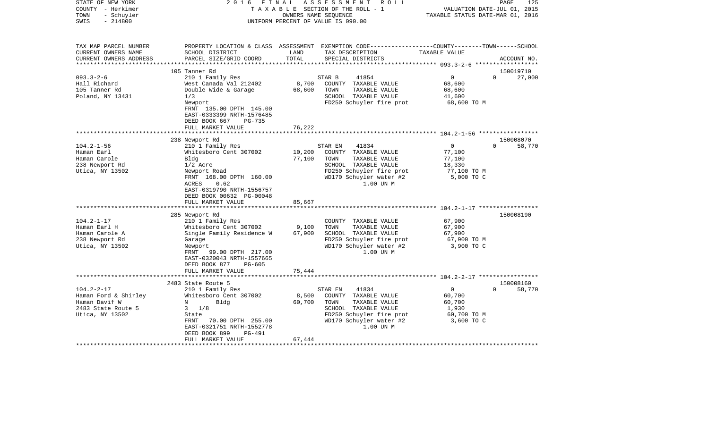| STATE OF NEW YORK<br>COUNTY - Herkimer<br>TOWN<br>- Schuyler<br>$-214800$<br>SWIS | 2 0 1 6<br>FINAL                             | OWNERS NAME SEQUENCE | ASSESSMENT<br>R O L L<br>TAXABLE SECTION OF THE ROLL - 1<br>UNIFORM PERCENT OF VALUE IS 090.00                                         | VALUATION DATE-JUL 01, 2015<br>TAXABLE STATUS DATE-MAR 01, 2016 | PAGE<br>125        |
|-----------------------------------------------------------------------------------|----------------------------------------------|----------------------|----------------------------------------------------------------------------------------------------------------------------------------|-----------------------------------------------------------------|--------------------|
| TAX MAP PARCEL NUMBER<br>CURRENT OWNERS NAME<br>CURRENT OWNERS ADDRESS            | SCHOOL DISTRICT<br>PARCEL SIZE/GRID COORD    | LAND<br>TOTAL        | PROPERTY LOCATION & CLASS ASSESSMENT EXEMPTION CODE---------------COUNTY-------TOWN-----SCHOOL<br>TAX DESCRIPTION<br>SPECIAL DISTRICTS | TAXABLE VALUE                                                   | ACCOUNT NO.        |
|                                                                                   | 105 Tanner Rd                                |                      |                                                                                                                                        |                                                                 | 150019710          |
| $093.3 - 2 - 6$                                                                   | 210 1 Family Res                             |                      | 41854<br>STAR B                                                                                                                        | $\overline{0}$                                                  | $\Omega$<br>27,000 |
| Hall Richard                                                                      | West Canada Val 212402                       | 8,700                | COUNTY TAXABLE VALUE                                                                                                                   | 68,600                                                          |                    |
| 105 Tanner Rd                                                                     | Double Wide & Garage                         | 68,600               | TOWN<br>TAXABLE VALUE                                                                                                                  | 68,600                                                          |                    |
| Poland, NY 13431                                                                  | 1/3                                          |                      | SCHOOL TAXABLE VALUE                                                                                                                   | 41,600                                                          |                    |
|                                                                                   | Newport                                      |                      | FD250 Schuyler fire prot                                                                                                               | 68,600 TO M                                                     |                    |
|                                                                                   | FRNT 135.00 DPTH 145.00                      |                      |                                                                                                                                        |                                                                 |                    |
|                                                                                   | EAST-0333399 NRTH-1576485                    |                      |                                                                                                                                        |                                                                 |                    |
|                                                                                   | DEED BOOK 667<br>PG-735<br>FULL MARKET VALUE | 76,222               |                                                                                                                                        |                                                                 |                    |
|                                                                                   | *************************                    | ****************     |                                                                                                                                        |                                                                 |                    |
|                                                                                   | 238 Newport Rd                               |                      |                                                                                                                                        |                                                                 | 150008070          |
| $104.2 - 1 - 56$                                                                  | 210 1 Family Res                             |                      | 41834<br>STAR EN                                                                                                                       | $\overline{0}$                                                  | $\Omega$<br>58,770 |
| Haman Earl                                                                        | Whitesboro Cent 307002                       | 10,200               | COUNTY TAXABLE VALUE                                                                                                                   | 77,100                                                          |                    |
| Haman Carole                                                                      | Bldg                                         | 77,100               | TOWN<br>TAXABLE VALUE                                                                                                                  | 77,100                                                          |                    |
| 238 Newport Rd                                                                    | $1/2$ Acre                                   |                      | SCHOOL TAXABLE VALUE                                                                                                                   | 18,330                                                          |                    |
| Utica, NY 13502                                                                   | Newport Road                                 |                      | FD250 Schuyler fire prot                                                                                                               | 77,100 TO M                                                     |                    |
|                                                                                   | FRNT 168.00 DPTH 160.00<br>0.62              |                      | WD170 Schuyler water #2                                                                                                                | 5,000 TO C                                                      |                    |
|                                                                                   | ACRES<br>EAST-0319790 NRTH-1556757           |                      | 1.00 UN M                                                                                                                              |                                                                 |                    |
|                                                                                   | DEED BOOK 00632 PG-00048                     |                      |                                                                                                                                        |                                                                 |                    |
|                                                                                   | FULL MARKET VALUE                            | 85,667               |                                                                                                                                        |                                                                 |                    |
|                                                                                   |                                              |                      |                                                                                                                                        |                                                                 |                    |
|                                                                                   | 285 Newport Rd                               |                      |                                                                                                                                        |                                                                 | 150008190          |
| $104.2 - 1 - 17$                                                                  | 210 1 Family Res                             |                      | COUNTY TAXABLE VALUE                                                                                                                   | 67,900                                                          |                    |
| Haman Earl H                                                                      | Whitesboro Cent 307002                       | 9,100                | TOWN<br>TAXABLE VALUE                                                                                                                  | 67,900                                                          |                    |
| Haman Carole A                                                                    | Single Family Residence W                    | 67,900               | SCHOOL TAXABLE VALUE                                                                                                                   | 67,900                                                          |                    |
| 238 Newport Rd                                                                    | Garage                                       |                      | FD250 Schuyler fire prot                                                                                                               | 67,900 TO M                                                     |                    |
| Utica, NY 13502                                                                   | Newport<br>FRNT<br>99.00 DPTH 217.00         |                      | WD170 Schuyler water #2<br>1.00 UN M                                                                                                   | 3,900 TO C                                                      |                    |
|                                                                                   | EAST-0320043 NRTH-1557665                    |                      |                                                                                                                                        |                                                                 |                    |
|                                                                                   | DEED BOOK 877<br>$PG-605$                    |                      |                                                                                                                                        |                                                                 |                    |
|                                                                                   | FULL MARKET VALUE                            | 75,444               |                                                                                                                                        |                                                                 |                    |
|                                                                                   |                                              |                      |                                                                                                                                        |                                                                 |                    |
|                                                                                   | 2483 State Route 5                           |                      |                                                                                                                                        |                                                                 | 150008160          |
| $104.2 - 2 - 17$                                                                  | 210 1 Family Res                             |                      | STAR EN<br>41834                                                                                                                       | $\mathbf 0$                                                     | $\Omega$<br>58,770 |
| Haman Ford & Shirley                                                              | Whitesboro Cent 307002                       | 8,500                | COUNTY TAXABLE VALUE                                                                                                                   | 60,700                                                          |                    |
| Haman Davif W<br>2483 State Route 5                                               | Bldg<br>N<br>$3 \frac{1}{8}$                 | 60,700               | TAXABLE VALUE<br>TOWN<br>SCHOOL TAXABLE VALUE                                                                                          | 60,700<br>1,930                                                 |                    |
| Utica, NY 13502                                                                   | State                                        |                      | FD250 Schuyler fire prot                                                                                                               | 60,700 TO M                                                     |                    |
|                                                                                   | 70.00 DPTH 255.00<br>FRNT                    |                      | WD170 Schuyler water #2                                                                                                                | 3,600 TO C                                                      |                    |
|                                                                                   | EAST-0321751 NRTH-1552778                    |                      | 1.00 UN M                                                                                                                              |                                                                 |                    |
|                                                                                   | DEED BOOK 899<br>PG-491                      |                      |                                                                                                                                        |                                                                 |                    |
|                                                                                   | FULL MARKET VALUE                            | 67,444               |                                                                                                                                        |                                                                 |                    |
|                                                                                   | **********************                       |                      |                                                                                                                                        |                                                                 |                    |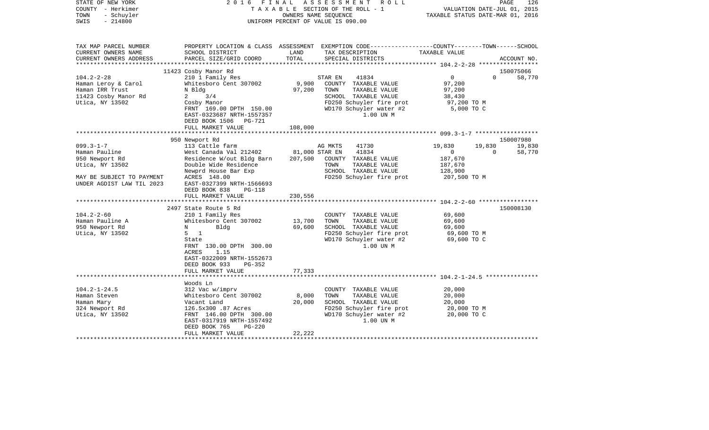| STATE OF NEW YORK<br>COUNTY - Herkimer<br>- Schuyler<br>TOWN<br>$-214800$<br>SWIS                                                                                                                           | 2016                                                                                                                                                                                                                                                                                                                                                                                                                                           |                                                          | FINAL ASSESSMENT ROLL<br>TAXABLE SECTION OF THE ROLL - 1<br>OWNERS NAME SEQUENCE<br>UNIFORM PERCENT OF VALUE IS 090.00                                                                                                                                                      | VALUATION DATE-JUL 01, 2015<br>TAXABLE STATUS DATE-MAR 01, 2016                                                                       | PAGE               | 126                                        |
|-------------------------------------------------------------------------------------------------------------------------------------------------------------------------------------------------------------|------------------------------------------------------------------------------------------------------------------------------------------------------------------------------------------------------------------------------------------------------------------------------------------------------------------------------------------------------------------------------------------------------------------------------------------------|----------------------------------------------------------|-----------------------------------------------------------------------------------------------------------------------------------------------------------------------------------------------------------------------------------------------------------------------------|---------------------------------------------------------------------------------------------------------------------------------------|--------------------|--------------------------------------------|
| TAX MAP PARCEL NUMBER<br>CURRENT OWNERS NAME<br>CURRENT OWNERS ADDRESS                                                                                                                                      | SCHOOL DISTRICT<br>PARCEL SIZE/GRID COORD                                                                                                                                                                                                                                                                                                                                                                                                      | LAND<br>TOTAL                                            | PROPERTY LOCATION & CLASS ASSESSMENT EXEMPTION CODE----------------COUNTY-------TOWN------SCHOOL<br>TAX DESCRIPTION<br>SPECIAL DISTRICTS                                                                                                                                    | TAXABLE VALUE                                                                                                                         |                    | ACCOUNT NO.                                |
| **********************                                                                                                                                                                                      |                                                                                                                                                                                                                                                                                                                                                                                                                                                |                                                          |                                                                                                                                                                                                                                                                             |                                                                                                                                       |                    |                                            |
| $104.2 - 2 - 28$<br>Haman Leroy & Carol<br>Haman IRR Trust<br>11423 Cosby Manor Rd<br>Utica, NY 13502                                                                                                       | 11423 Cosby Manor Rd<br>210 1 Family Res<br>Whitesboro Cent 307002<br>N Bldg<br>$2 \t3/4$<br>Cosby Manor<br>FRNT 169.00 DPTH 150.00<br>EAST-0323687 NRTH-1557357<br>DEED BOOK 1506 PG-721                                                                                                                                                                                                                                                      | 9,900<br>97,200                                          | STAR EN<br>41834<br>COUNTY TAXABLE VALUE<br>TOWN<br>TAXABLE VALUE<br>SCHOOL TAXABLE VALUE<br>FD250 Schuyler fire prot<br>WD170 Schuyler water #2<br>1.00 UN M                                                                                                               | $\overline{0}$<br>97,200<br>97,200<br>38,430<br>97,200 TO M<br>5,000 TO C                                                             | $\Omega$           | 150075066<br>58,770                        |
|                                                                                                                                                                                                             | FULL MARKET VALUE                                                                                                                                                                                                                                                                                                                                                                                                                              | 108,000                                                  |                                                                                                                                                                                                                                                                             |                                                                                                                                       |                    |                                            |
|                                                                                                                                                                                                             |                                                                                                                                                                                                                                                                                                                                                                                                                                                |                                                          |                                                                                                                                                                                                                                                                             |                                                                                                                                       |                    |                                            |
| $099.3 - 1 - 7$<br>Haman Pauline<br>950 Newport Rd<br>Utica, NY 13502<br>MAY BE SUBJECT TO PAYMENT<br>UNDER AGDIST LAW TIL 2023<br>$104.2 - 2 - 60$<br>Haman Pauline A<br>950 Newport Rd<br>Utica, NY 13502 | 950 Newport Rd<br>113 Cattle farm<br>West Canada Val 212402<br>Residence W/out Bldg Barn<br>Double Wide Residence<br>Newprd House Bar Exp<br>ACRES 148.00<br>EAST-0327399 NRTH-1566693<br>DEED BOOK 838<br><b>PG-118</b><br>FULL MARKET VALUE<br>2497 State Route 5 Rd<br>210 1 Family Res<br>Whitesboro Cent 307002<br>Bldg<br>N<br>$\overline{1}$<br>$5 -$<br>State<br>FRNT 130.00 DPTH 300.00<br>ACRES<br>1.15<br>EAST-0322009 NRTH-1552673 | 81,000 STAR EN<br>207,500<br>230,556<br>13,700<br>69,600 | AG MKTS<br>41730<br>41834<br>COUNTY TAXABLE VALUE<br>TOWN<br>TAXABLE VALUE<br>SCHOOL TAXABLE VALUE<br>FD250 Schuyler fire prot<br>COUNTY TAXABLE VALUE<br>TAXABLE VALUE<br>TOWN<br>SCHOOL TAXABLE VALUE<br>FD250 Schuyler fire prot<br>WD170 Schuyler water #2<br>1.00 UN M | 19,830<br>$\overline{0}$<br>187,670<br>187,670<br>128,900<br>207,500 TO M<br>69,600<br>69,600<br>69,600<br>69,600 TO M<br>69,600 TO C | 19,830<br>$\Omega$ | 150007980<br>19,830<br>58,770<br>150008130 |
|                                                                                                                                                                                                             | DEED BOOK 933<br>PG-352<br>FULL MARKET VALUE                                                                                                                                                                                                                                                                                                                                                                                                   | 77,333                                                   |                                                                                                                                                                                                                                                                             |                                                                                                                                       |                    |                                            |
|                                                                                                                                                                                                             |                                                                                                                                                                                                                                                                                                                                                                                                                                                |                                                          |                                                                                                                                                                                                                                                                             |                                                                                                                                       |                    |                                            |
| $104.2 - 1 - 24.5$<br>Haman Steven<br>Haman Mary<br>324 Newport Rd<br>Utica, NY 13502                                                                                                                       | Woods Ln<br>312 Vac w/imprv<br>Whitesboro Cent 307002<br>Vacant Land<br>126.5x300 .87 Acres<br>FRNT 146.00 DPTH 300.00<br>EAST-0317919 NRTH-1557492<br>DEED BOOK 765<br>$PG-220$                                                                                                                                                                                                                                                               | 8,000<br>20,000                                          | COUNTY TAXABLE VALUE<br>TAXABLE VALUE<br>TOWN<br>SCHOOL TAXABLE VALUE<br>FD250 Schuyler fire prot<br>WD170 Schuyler water #2<br>1.00 UN M                                                                                                                                   | 20,000<br>20,000<br>20,000<br>20,000 TO M<br>20,000 TO C                                                                              |                    |                                            |
|                                                                                                                                                                                                             | FULL MARKET VALUE                                                                                                                                                                                                                                                                                                                                                                                                                              | 22,222                                                   |                                                                                                                                                                                                                                                                             |                                                                                                                                       |                    |                                            |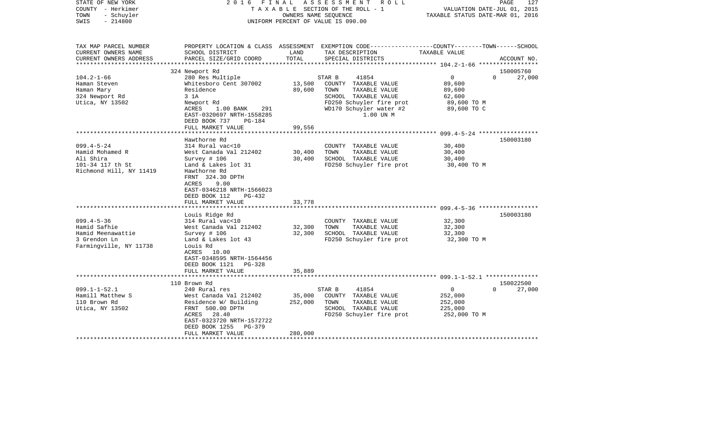| TAX MAP PARCEL NUMBER<br>PROPERTY LOCATION & CLASS ASSESSMENT EXEMPTION CODE----------------COUNTY-------TOWN------SCHOOL<br>CURRENT OWNERS NAME<br>SCHOOL DISTRICT<br>LAND<br>TAX DESCRIPTION<br>TAXABLE VALUE<br>TOTAL<br>CURRENT OWNERS ADDRESS<br>PARCEL SIZE/GRID COORD<br>SPECIAL DISTRICTS<br>ACCOUNT NO.<br>***********************<br>150005760<br>324 Newport Rd<br>$\overline{0}$<br>$104.2 - 1 - 66$<br>280 Res Multiple<br>STAR B<br>41854<br>$\Omega$<br>27,000<br>13,500<br>Whitesboro Cent 307002<br>COUNTY TAXABLE VALUE<br>89,600<br>Haman Steven<br>89,600<br>TOWN<br>TAXABLE VALUE<br>Haman Mary<br>Residence<br>89,600<br>324 Newport Rd<br>SCHOOL TAXABLE VALUE<br>3 1A<br>62,600<br>Utica, NY 13502<br>FD250 Schuyler fire prot<br>Newport Rd<br>89,600 TO M<br>WD170 Schuyler water #2<br>89,600 TO C<br>ACRES<br>$1.00$ BANK<br>291<br>1.00 UN M<br>EAST-0320697 NRTH-1558285<br>DEED BOOK 737<br>PG-184<br>FULL MARKET VALUE<br>99,556<br>Hawthorne Rd<br>150003180<br>$099.4 - 5 - 24$<br>314 Rural vac<10<br>30,400<br>COUNTY TAXABLE VALUE<br>Hamid Mohamed R<br>West Canada Val 212402<br>30,400<br>TOWN<br>TAXABLE VALUE<br>30,400<br>Ali Shira<br>Survey # 106<br>30,400<br>SCHOOL TAXABLE VALUE<br>30,400<br>101-34 117 th St<br>Land & Lakes lot 31<br>FD250 Schuyler fire prot<br>30,400 TO M<br>Richmond Hill, NY 11419<br>Hawthorne Rd<br>FRNT 324.30 DPTH<br>9.00<br>ACRES<br>EAST-0346218 NRTH-1566023<br>DEED BOOK 112<br>$PG-432$<br>33,778<br>FULL MARKET VALUE<br>Louis Ridge Rd<br>150003180<br>$099.4 - 5 - 36$<br>314 Rural vac<10<br>32,300<br>COUNTY TAXABLE VALUE<br>Hamid Safhie<br>TOWN<br>TAXABLE VALUE<br>West Canada Val 212402<br>32,300<br>32,300<br>Hamid Meenawattie<br>32,300<br>SCHOOL TAXABLE VALUE<br>Survey # 106<br>32,300<br>3 Grendon Ln<br>FD250 Schuyler fire prot<br>Land & Lakes lot 43<br>32,300 TO M<br>Farmingville, NY 11738<br>Louis Rd<br>ACRES 10.00<br>EAST-0348595 NRTH-1564456<br>DEED BOOK 1121 PG-328<br>FULL MARKET VALUE<br>35,889<br>110 Brown Rd<br>150022500<br>$099.1 - 1 - 52.1$<br>41854<br>$\Omega$<br>240 Rural res<br>STAR B<br>$\overline{0}$<br>27,000<br>Hamill Matthew S<br>35,000<br>West Canada Val 212402<br>COUNTY TAXABLE VALUE<br>252,000<br>110 Brown Rd<br>252,000<br>Residence W/ Building<br>TOWN<br>TAXABLE VALUE<br>252,000<br>FRNT 500.00 DPTH<br>SCHOOL TAXABLE VALUE<br>Utica, NY 13502<br>225,000<br>FD250 Schuyler fire prot<br>ACRES 28.40<br>252,000 TO M<br>EAST-0323720 NRTH-1572722<br>DEED BOOK 1255 PG-379<br>FULL MARKET VALUE<br>280,000 | STATE OF NEW YORK<br>COUNTY - Herkimer<br>- Schuyler<br>TOWN<br>$-214800$<br>SWIS | 2016 FINAL | A S S E S S M E N T R O L L<br>TAXABLE SECTION OF THE ROLL - 1<br>OWNERS NAME SEOUENCE<br>UNIFORM PERCENT OF VALUE IS 090.00 | VALUATION DATE-JUL 01, 2015<br>TAXABLE STATUS DATE-MAR 01, 2016 | 127<br>PAGE |
|---------------------------------------------------------------------------------------------------------------------------------------------------------------------------------------------------------------------------------------------------------------------------------------------------------------------------------------------------------------------------------------------------------------------------------------------------------------------------------------------------------------------------------------------------------------------------------------------------------------------------------------------------------------------------------------------------------------------------------------------------------------------------------------------------------------------------------------------------------------------------------------------------------------------------------------------------------------------------------------------------------------------------------------------------------------------------------------------------------------------------------------------------------------------------------------------------------------------------------------------------------------------------------------------------------------------------------------------------------------------------------------------------------------------------------------------------------------------------------------------------------------------------------------------------------------------------------------------------------------------------------------------------------------------------------------------------------------------------------------------------------------------------------------------------------------------------------------------------------------------------------------------------------------------------------------------------------------------------------------------------------------------------------------------------------------------------------------------------------------------------------------------------------------------------------------------------------------------------------------------------------------------------------------------------------------------------------------------------------------------------------------------------------------------------------------------------------------------------------------------------------------------------------------------------------------------|-----------------------------------------------------------------------------------|------------|------------------------------------------------------------------------------------------------------------------------------|-----------------------------------------------------------------|-------------|
|                                                                                                                                                                                                                                                                                                                                                                                                                                                                                                                                                                                                                                                                                                                                                                                                                                                                                                                                                                                                                                                                                                                                                                                                                                                                                                                                                                                                                                                                                                                                                                                                                                                                                                                                                                                                                                                                                                                                                                                                                                                                                                                                                                                                                                                                                                                                                                                                                                                                                                                                                                     |                                                                                   |            |                                                                                                                              |                                                                 |             |
|                                                                                                                                                                                                                                                                                                                                                                                                                                                                                                                                                                                                                                                                                                                                                                                                                                                                                                                                                                                                                                                                                                                                                                                                                                                                                                                                                                                                                                                                                                                                                                                                                                                                                                                                                                                                                                                                                                                                                                                                                                                                                                                                                                                                                                                                                                                                                                                                                                                                                                                                                                     |                                                                                   |            |                                                                                                                              |                                                                 |             |
|                                                                                                                                                                                                                                                                                                                                                                                                                                                                                                                                                                                                                                                                                                                                                                                                                                                                                                                                                                                                                                                                                                                                                                                                                                                                                                                                                                                                                                                                                                                                                                                                                                                                                                                                                                                                                                                                                                                                                                                                                                                                                                                                                                                                                                                                                                                                                                                                                                                                                                                                                                     |                                                                                   |            |                                                                                                                              |                                                                 |             |
|                                                                                                                                                                                                                                                                                                                                                                                                                                                                                                                                                                                                                                                                                                                                                                                                                                                                                                                                                                                                                                                                                                                                                                                                                                                                                                                                                                                                                                                                                                                                                                                                                                                                                                                                                                                                                                                                                                                                                                                                                                                                                                                                                                                                                                                                                                                                                                                                                                                                                                                                                                     |                                                                                   |            |                                                                                                                              |                                                                 |             |
|                                                                                                                                                                                                                                                                                                                                                                                                                                                                                                                                                                                                                                                                                                                                                                                                                                                                                                                                                                                                                                                                                                                                                                                                                                                                                                                                                                                                                                                                                                                                                                                                                                                                                                                                                                                                                                                                                                                                                                                                                                                                                                                                                                                                                                                                                                                                                                                                                                                                                                                                                                     |                                                                                   |            |                                                                                                                              |                                                                 |             |
|                                                                                                                                                                                                                                                                                                                                                                                                                                                                                                                                                                                                                                                                                                                                                                                                                                                                                                                                                                                                                                                                                                                                                                                                                                                                                                                                                                                                                                                                                                                                                                                                                                                                                                                                                                                                                                                                                                                                                                                                                                                                                                                                                                                                                                                                                                                                                                                                                                                                                                                                                                     |                                                                                   |            |                                                                                                                              |                                                                 |             |
|                                                                                                                                                                                                                                                                                                                                                                                                                                                                                                                                                                                                                                                                                                                                                                                                                                                                                                                                                                                                                                                                                                                                                                                                                                                                                                                                                                                                                                                                                                                                                                                                                                                                                                                                                                                                                                                                                                                                                                                                                                                                                                                                                                                                                                                                                                                                                                                                                                                                                                                                                                     |                                                                                   |            |                                                                                                                              |                                                                 |             |
|                                                                                                                                                                                                                                                                                                                                                                                                                                                                                                                                                                                                                                                                                                                                                                                                                                                                                                                                                                                                                                                                                                                                                                                                                                                                                                                                                                                                                                                                                                                                                                                                                                                                                                                                                                                                                                                                                                                                                                                                                                                                                                                                                                                                                                                                                                                                                                                                                                                                                                                                                                     |                                                                                   |            |                                                                                                                              |                                                                 |             |
|                                                                                                                                                                                                                                                                                                                                                                                                                                                                                                                                                                                                                                                                                                                                                                                                                                                                                                                                                                                                                                                                                                                                                                                                                                                                                                                                                                                                                                                                                                                                                                                                                                                                                                                                                                                                                                                                                                                                                                                                                                                                                                                                                                                                                                                                                                                                                                                                                                                                                                                                                                     |                                                                                   |            |                                                                                                                              |                                                                 |             |
|                                                                                                                                                                                                                                                                                                                                                                                                                                                                                                                                                                                                                                                                                                                                                                                                                                                                                                                                                                                                                                                                                                                                                                                                                                                                                                                                                                                                                                                                                                                                                                                                                                                                                                                                                                                                                                                                                                                                                                                                                                                                                                                                                                                                                                                                                                                                                                                                                                                                                                                                                                     |                                                                                   |            |                                                                                                                              |                                                                 |             |
|                                                                                                                                                                                                                                                                                                                                                                                                                                                                                                                                                                                                                                                                                                                                                                                                                                                                                                                                                                                                                                                                                                                                                                                                                                                                                                                                                                                                                                                                                                                                                                                                                                                                                                                                                                                                                                                                                                                                                                                                                                                                                                                                                                                                                                                                                                                                                                                                                                                                                                                                                                     |                                                                                   |            |                                                                                                                              |                                                                 |             |
|                                                                                                                                                                                                                                                                                                                                                                                                                                                                                                                                                                                                                                                                                                                                                                                                                                                                                                                                                                                                                                                                                                                                                                                                                                                                                                                                                                                                                                                                                                                                                                                                                                                                                                                                                                                                                                                                                                                                                                                                                                                                                                                                                                                                                                                                                                                                                                                                                                                                                                                                                                     |                                                                                   |            |                                                                                                                              |                                                                 |             |
|                                                                                                                                                                                                                                                                                                                                                                                                                                                                                                                                                                                                                                                                                                                                                                                                                                                                                                                                                                                                                                                                                                                                                                                                                                                                                                                                                                                                                                                                                                                                                                                                                                                                                                                                                                                                                                                                                                                                                                                                                                                                                                                                                                                                                                                                                                                                                                                                                                                                                                                                                                     |                                                                                   |            |                                                                                                                              |                                                                 |             |
|                                                                                                                                                                                                                                                                                                                                                                                                                                                                                                                                                                                                                                                                                                                                                                                                                                                                                                                                                                                                                                                                                                                                                                                                                                                                                                                                                                                                                                                                                                                                                                                                                                                                                                                                                                                                                                                                                                                                                                                                                                                                                                                                                                                                                                                                                                                                                                                                                                                                                                                                                                     |                                                                                   |            |                                                                                                                              |                                                                 |             |
|                                                                                                                                                                                                                                                                                                                                                                                                                                                                                                                                                                                                                                                                                                                                                                                                                                                                                                                                                                                                                                                                                                                                                                                                                                                                                                                                                                                                                                                                                                                                                                                                                                                                                                                                                                                                                                                                                                                                                                                                                                                                                                                                                                                                                                                                                                                                                                                                                                                                                                                                                                     |                                                                                   |            |                                                                                                                              |                                                                 |             |
|                                                                                                                                                                                                                                                                                                                                                                                                                                                                                                                                                                                                                                                                                                                                                                                                                                                                                                                                                                                                                                                                                                                                                                                                                                                                                                                                                                                                                                                                                                                                                                                                                                                                                                                                                                                                                                                                                                                                                                                                                                                                                                                                                                                                                                                                                                                                                                                                                                                                                                                                                                     |                                                                                   |            |                                                                                                                              |                                                                 |             |
|                                                                                                                                                                                                                                                                                                                                                                                                                                                                                                                                                                                                                                                                                                                                                                                                                                                                                                                                                                                                                                                                                                                                                                                                                                                                                                                                                                                                                                                                                                                                                                                                                                                                                                                                                                                                                                                                                                                                                                                                                                                                                                                                                                                                                                                                                                                                                                                                                                                                                                                                                                     |                                                                                   |            |                                                                                                                              |                                                                 |             |
|                                                                                                                                                                                                                                                                                                                                                                                                                                                                                                                                                                                                                                                                                                                                                                                                                                                                                                                                                                                                                                                                                                                                                                                                                                                                                                                                                                                                                                                                                                                                                                                                                                                                                                                                                                                                                                                                                                                                                                                                                                                                                                                                                                                                                                                                                                                                                                                                                                                                                                                                                                     |                                                                                   |            |                                                                                                                              |                                                                 |             |
|                                                                                                                                                                                                                                                                                                                                                                                                                                                                                                                                                                                                                                                                                                                                                                                                                                                                                                                                                                                                                                                                                                                                                                                                                                                                                                                                                                                                                                                                                                                                                                                                                                                                                                                                                                                                                                                                                                                                                                                                                                                                                                                                                                                                                                                                                                                                                                                                                                                                                                                                                                     |                                                                                   |            |                                                                                                                              |                                                                 |             |
|                                                                                                                                                                                                                                                                                                                                                                                                                                                                                                                                                                                                                                                                                                                                                                                                                                                                                                                                                                                                                                                                                                                                                                                                                                                                                                                                                                                                                                                                                                                                                                                                                                                                                                                                                                                                                                                                                                                                                                                                                                                                                                                                                                                                                                                                                                                                                                                                                                                                                                                                                                     |                                                                                   |            |                                                                                                                              |                                                                 |             |
|                                                                                                                                                                                                                                                                                                                                                                                                                                                                                                                                                                                                                                                                                                                                                                                                                                                                                                                                                                                                                                                                                                                                                                                                                                                                                                                                                                                                                                                                                                                                                                                                                                                                                                                                                                                                                                                                                                                                                                                                                                                                                                                                                                                                                                                                                                                                                                                                                                                                                                                                                                     |                                                                                   |            |                                                                                                                              |                                                                 |             |
|                                                                                                                                                                                                                                                                                                                                                                                                                                                                                                                                                                                                                                                                                                                                                                                                                                                                                                                                                                                                                                                                                                                                                                                                                                                                                                                                                                                                                                                                                                                                                                                                                                                                                                                                                                                                                                                                                                                                                                                                                                                                                                                                                                                                                                                                                                                                                                                                                                                                                                                                                                     |                                                                                   |            |                                                                                                                              |                                                                 |             |
|                                                                                                                                                                                                                                                                                                                                                                                                                                                                                                                                                                                                                                                                                                                                                                                                                                                                                                                                                                                                                                                                                                                                                                                                                                                                                                                                                                                                                                                                                                                                                                                                                                                                                                                                                                                                                                                                                                                                                                                                                                                                                                                                                                                                                                                                                                                                                                                                                                                                                                                                                                     |                                                                                   |            |                                                                                                                              |                                                                 |             |
|                                                                                                                                                                                                                                                                                                                                                                                                                                                                                                                                                                                                                                                                                                                                                                                                                                                                                                                                                                                                                                                                                                                                                                                                                                                                                                                                                                                                                                                                                                                                                                                                                                                                                                                                                                                                                                                                                                                                                                                                                                                                                                                                                                                                                                                                                                                                                                                                                                                                                                                                                                     |                                                                                   |            |                                                                                                                              |                                                                 |             |
|                                                                                                                                                                                                                                                                                                                                                                                                                                                                                                                                                                                                                                                                                                                                                                                                                                                                                                                                                                                                                                                                                                                                                                                                                                                                                                                                                                                                                                                                                                                                                                                                                                                                                                                                                                                                                                                                                                                                                                                                                                                                                                                                                                                                                                                                                                                                                                                                                                                                                                                                                                     |                                                                                   |            |                                                                                                                              |                                                                 |             |
|                                                                                                                                                                                                                                                                                                                                                                                                                                                                                                                                                                                                                                                                                                                                                                                                                                                                                                                                                                                                                                                                                                                                                                                                                                                                                                                                                                                                                                                                                                                                                                                                                                                                                                                                                                                                                                                                                                                                                                                                                                                                                                                                                                                                                                                                                                                                                                                                                                                                                                                                                                     |                                                                                   |            |                                                                                                                              |                                                                 |             |
|                                                                                                                                                                                                                                                                                                                                                                                                                                                                                                                                                                                                                                                                                                                                                                                                                                                                                                                                                                                                                                                                                                                                                                                                                                                                                                                                                                                                                                                                                                                                                                                                                                                                                                                                                                                                                                                                                                                                                                                                                                                                                                                                                                                                                                                                                                                                                                                                                                                                                                                                                                     |                                                                                   |            |                                                                                                                              |                                                                 |             |
|                                                                                                                                                                                                                                                                                                                                                                                                                                                                                                                                                                                                                                                                                                                                                                                                                                                                                                                                                                                                                                                                                                                                                                                                                                                                                                                                                                                                                                                                                                                                                                                                                                                                                                                                                                                                                                                                                                                                                                                                                                                                                                                                                                                                                                                                                                                                                                                                                                                                                                                                                                     |                                                                                   |            |                                                                                                                              |                                                                 |             |
|                                                                                                                                                                                                                                                                                                                                                                                                                                                                                                                                                                                                                                                                                                                                                                                                                                                                                                                                                                                                                                                                                                                                                                                                                                                                                                                                                                                                                                                                                                                                                                                                                                                                                                                                                                                                                                                                                                                                                                                                                                                                                                                                                                                                                                                                                                                                                                                                                                                                                                                                                                     |                                                                                   |            |                                                                                                                              |                                                                 |             |
|                                                                                                                                                                                                                                                                                                                                                                                                                                                                                                                                                                                                                                                                                                                                                                                                                                                                                                                                                                                                                                                                                                                                                                                                                                                                                                                                                                                                                                                                                                                                                                                                                                                                                                                                                                                                                                                                                                                                                                                                                                                                                                                                                                                                                                                                                                                                                                                                                                                                                                                                                                     |                                                                                   |            |                                                                                                                              |                                                                 |             |
|                                                                                                                                                                                                                                                                                                                                                                                                                                                                                                                                                                                                                                                                                                                                                                                                                                                                                                                                                                                                                                                                                                                                                                                                                                                                                                                                                                                                                                                                                                                                                                                                                                                                                                                                                                                                                                                                                                                                                                                                                                                                                                                                                                                                                                                                                                                                                                                                                                                                                                                                                                     |                                                                                   |            |                                                                                                                              |                                                                 |             |
|                                                                                                                                                                                                                                                                                                                                                                                                                                                                                                                                                                                                                                                                                                                                                                                                                                                                                                                                                                                                                                                                                                                                                                                                                                                                                                                                                                                                                                                                                                                                                                                                                                                                                                                                                                                                                                                                                                                                                                                                                                                                                                                                                                                                                                                                                                                                                                                                                                                                                                                                                                     |                                                                                   |            |                                                                                                                              |                                                                 |             |
|                                                                                                                                                                                                                                                                                                                                                                                                                                                                                                                                                                                                                                                                                                                                                                                                                                                                                                                                                                                                                                                                                                                                                                                                                                                                                                                                                                                                                                                                                                                                                                                                                                                                                                                                                                                                                                                                                                                                                                                                                                                                                                                                                                                                                                                                                                                                                                                                                                                                                                                                                                     |                                                                                   |            |                                                                                                                              |                                                                 |             |
|                                                                                                                                                                                                                                                                                                                                                                                                                                                                                                                                                                                                                                                                                                                                                                                                                                                                                                                                                                                                                                                                                                                                                                                                                                                                                                                                                                                                                                                                                                                                                                                                                                                                                                                                                                                                                                                                                                                                                                                                                                                                                                                                                                                                                                                                                                                                                                                                                                                                                                                                                                     |                                                                                   |            |                                                                                                                              |                                                                 |             |
|                                                                                                                                                                                                                                                                                                                                                                                                                                                                                                                                                                                                                                                                                                                                                                                                                                                                                                                                                                                                                                                                                                                                                                                                                                                                                                                                                                                                                                                                                                                                                                                                                                                                                                                                                                                                                                                                                                                                                                                                                                                                                                                                                                                                                                                                                                                                                                                                                                                                                                                                                                     |                                                                                   |            |                                                                                                                              |                                                                 |             |
|                                                                                                                                                                                                                                                                                                                                                                                                                                                                                                                                                                                                                                                                                                                                                                                                                                                                                                                                                                                                                                                                                                                                                                                                                                                                                                                                                                                                                                                                                                                                                                                                                                                                                                                                                                                                                                                                                                                                                                                                                                                                                                                                                                                                                                                                                                                                                                                                                                                                                                                                                                     |                                                                                   |            |                                                                                                                              |                                                                 |             |
|                                                                                                                                                                                                                                                                                                                                                                                                                                                                                                                                                                                                                                                                                                                                                                                                                                                                                                                                                                                                                                                                                                                                                                                                                                                                                                                                                                                                                                                                                                                                                                                                                                                                                                                                                                                                                                                                                                                                                                                                                                                                                                                                                                                                                                                                                                                                                                                                                                                                                                                                                                     |                                                                                   |            |                                                                                                                              |                                                                 |             |
|                                                                                                                                                                                                                                                                                                                                                                                                                                                                                                                                                                                                                                                                                                                                                                                                                                                                                                                                                                                                                                                                                                                                                                                                                                                                                                                                                                                                                                                                                                                                                                                                                                                                                                                                                                                                                                                                                                                                                                                                                                                                                                                                                                                                                                                                                                                                                                                                                                                                                                                                                                     |                                                                                   |            |                                                                                                                              |                                                                 |             |
|                                                                                                                                                                                                                                                                                                                                                                                                                                                                                                                                                                                                                                                                                                                                                                                                                                                                                                                                                                                                                                                                                                                                                                                                                                                                                                                                                                                                                                                                                                                                                                                                                                                                                                                                                                                                                                                                                                                                                                                                                                                                                                                                                                                                                                                                                                                                                                                                                                                                                                                                                                     |                                                                                   |            |                                                                                                                              |                                                                 |             |
|                                                                                                                                                                                                                                                                                                                                                                                                                                                                                                                                                                                                                                                                                                                                                                                                                                                                                                                                                                                                                                                                                                                                                                                                                                                                                                                                                                                                                                                                                                                                                                                                                                                                                                                                                                                                                                                                                                                                                                                                                                                                                                                                                                                                                                                                                                                                                                                                                                                                                                                                                                     |                                                                                   |            |                                                                                                                              |                                                                 |             |
|                                                                                                                                                                                                                                                                                                                                                                                                                                                                                                                                                                                                                                                                                                                                                                                                                                                                                                                                                                                                                                                                                                                                                                                                                                                                                                                                                                                                                                                                                                                                                                                                                                                                                                                                                                                                                                                                                                                                                                                                                                                                                                                                                                                                                                                                                                                                                                                                                                                                                                                                                                     |                                                                                   |            |                                                                                                                              |                                                                 |             |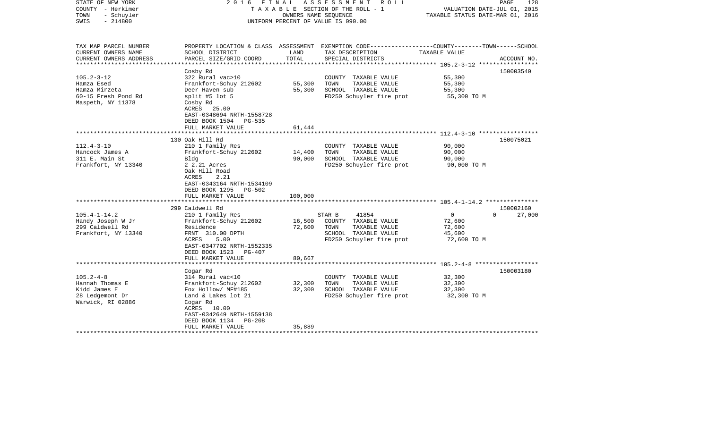| STATE OF NEW YORK<br>COUNTY - Herkimer<br>TOWN<br>- Schuyler<br>$-214800$<br>SWIS | 2016                                                                                                    | FINAL   | ASSESSMENT ROLL<br>TAXABLE SECTION OF THE ROLL - 1<br>OWNERS NAME SEOUENCE<br>UNIFORM PERCENT OF VALUE IS 090.00 | VALUATION DATE-JUL 01, 2015<br>TAXABLE STATUS DATE-MAR 01, 2016 | PAGE<br>128        |
|-----------------------------------------------------------------------------------|---------------------------------------------------------------------------------------------------------|---------|------------------------------------------------------------------------------------------------------------------|-----------------------------------------------------------------|--------------------|
| TAX MAP PARCEL NUMBER<br>CURRENT OWNERS NAME                                      | PROPERTY LOCATION & CLASS ASSESSMENT<br>SCHOOL DISTRICT                                                 | LAND    | EXEMPTION CODE-----------------COUNTY-------TOWN------SCHOOL<br>TAX DESCRIPTION                                  | TAXABLE VALUE                                                   |                    |
| CURRENT OWNERS ADDRESS                                                            | PARCEL SIZE/GRID COORD                                                                                  | TOTAL   | SPECIAL DISTRICTS                                                                                                |                                                                 | ACCOUNT NO.        |
| ***************                                                                   | **************************************                                                                  |         |                                                                                                                  | ************************** 105.2-3-12 ******************        |                    |
| $105.2 - 3 - 12$                                                                  | Cosby Rd<br>322 Rural vac>10                                                                            |         | COUNTY TAXABLE VALUE                                                                                             | 55,300                                                          | 150003540          |
| Hamza Esed                                                                        | Frankfort-Schuy 212602                                                                                  | 55,300  | TAXABLE VALUE<br>TOWN                                                                                            | 55,300                                                          |                    |
| Hamza Mirzeta                                                                     | Deer Haven sub                                                                                          | 55,300  | SCHOOL TAXABLE VALUE                                                                                             | 55,300                                                          |                    |
| 60-15 Fresh Pond Rd                                                               | split #5 lot 5                                                                                          |         | FD250 Schuyler fire prot                                                                                         | 55,300 TO M                                                     |                    |
| Maspeth, NY 11378                                                                 | Cosby Rd<br>ACRES 25.00<br>EAST-0348694 NRTH-1558728<br>DEED BOOK 1504 PG-535                           |         |                                                                                                                  |                                                                 |                    |
|                                                                                   | FULL MARKET VALUE                                                                                       | 61,444  |                                                                                                                  |                                                                 |                    |
|                                                                                   | 130 Oak Hill Rd                                                                                         |         |                                                                                                                  |                                                                 | 150075021          |
| $112.4 - 3 - 10$                                                                  | 210 1 Family Res                                                                                        |         | COUNTY TAXABLE VALUE                                                                                             | 90,000                                                          |                    |
| Hancock James A                                                                   | Frankfort-Schuy 212602                                                                                  | 14,400  | TOWN<br>TAXABLE VALUE                                                                                            | 90,000                                                          |                    |
| 311 E. Main St                                                                    | Bldg                                                                                                    | 90,000  | SCHOOL TAXABLE VALUE                                                                                             | 90,000                                                          |                    |
| Frankfort, NY 13340                                                               | 2 2.21 Acres<br>Oak Hill Road<br>2.21<br>ACRES<br>EAST-0343164 NRTH-1534109<br>DEED BOOK 1295<br>PG-502 |         | FD250 Schuyler fire prot                                                                                         | 90,000 TO M                                                     |                    |
|                                                                                   | FULL MARKET VALUE                                                                                       | 100,000 |                                                                                                                  |                                                                 |                    |
|                                                                                   | 299 Caldwell Rd                                                                                         |         |                                                                                                                  |                                                                 | 150002160          |
| $105.4 - 1 - 14.2$                                                                | 210 1 Family Res                                                                                        |         | 41854<br>STAR B                                                                                                  | $\circ$                                                         | $\Omega$<br>27,000 |
| Handy Joseph W Jr                                                                 | Frankfort-Schuy 212602                                                                                  | 16,500  | COUNTY TAXABLE VALUE                                                                                             | 72,600                                                          |                    |
| 299 Caldwell Rd                                                                   | Residence                                                                                               | 72,600  | TOWN<br>TAXABLE VALUE                                                                                            | 72,600                                                          |                    |
| Frankfort, NY 13340                                                               | FRNT 310.00 DPTH                                                                                        |         | SCHOOL TAXABLE VALUE                                                                                             | 45,600                                                          |                    |
|                                                                                   | 5.00<br>ACRES                                                                                           |         | FD250 Schuyler fire prot                                                                                         | 72,600 TO M                                                     |                    |
|                                                                                   | EAST-0347702 NRTH-1552335<br>DEED BOOK 1523<br>PG-407                                                   |         |                                                                                                                  |                                                                 |                    |
|                                                                                   | FULL MARKET VALUE                                                                                       | 80,667  |                                                                                                                  |                                                                 |                    |
|                                                                                   | *************************                                                                               |         |                                                                                                                  |                                                                 |                    |
|                                                                                   | Cogar Rd                                                                                                |         |                                                                                                                  |                                                                 | 150003180          |
| $105.2 - 4 - 8$                                                                   | 314 Rural vac<10                                                                                        |         | COUNTY TAXABLE VALUE                                                                                             | 32,300                                                          |                    |
| Hannah Thomas E                                                                   | Frankfort-Schuy 212602                                                                                  | 32,300  | TOWN<br>TAXABLE VALUE                                                                                            | 32,300                                                          |                    |
| Kidd James E                                                                      | Fox Hollow/ MF#185                                                                                      | 32,300  | SCHOOL TAXABLE VALUE                                                                                             | 32,300                                                          |                    |
| 28 Ledgemont Dr<br>Warwick, RI 02886                                              | Land & Lakes lot 21<br>Cogar Rd<br>ACRES 10.00<br>EAST-0342649 NRTH-1559138<br>DEED BOOK 1134<br>PG-208 |         | FD250 Schuyler fire prot                                                                                         | 32,300 TO M                                                     |                    |
|                                                                                   | FULL MARKET VALUE                                                                                       | 35,889  |                                                                                                                  |                                                                 |                    |
|                                                                                   | * * * * * * * * * * * * * * * * * * * *                                                                 |         |                                                                                                                  |                                                                 |                    |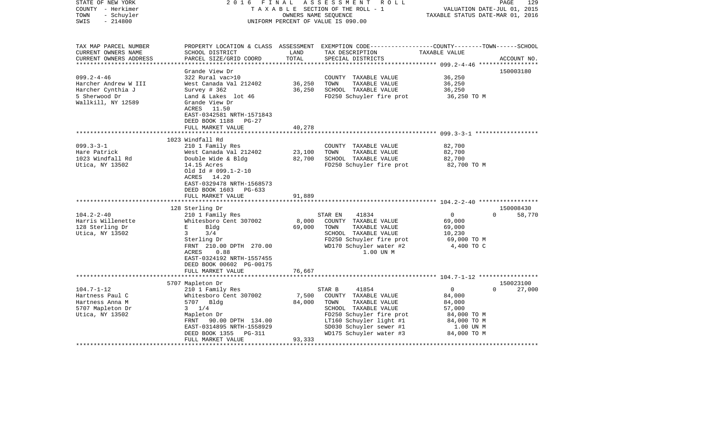| STATE OF NEW YORK<br>COUNTY - Herkimer<br>- Schuyler<br>TOWN<br>SWIS<br>$-214800$                                                  | 2016                                                                                                                                                                                                                                                                                                  | FINAL<br>OWNERS NAME SEQUENCE                 | ASSESSMENT ROLL<br>TAXABLE SECTION OF THE ROLL - 1<br>UNIFORM PERCENT OF VALUE IS 090.00                                                                                                              | VALUATION DATE-JUL 01, 2015<br>TAXABLE STATUS DATE-MAR 01, 2016                           | 129<br>PAGE                     |
|------------------------------------------------------------------------------------------------------------------------------------|-------------------------------------------------------------------------------------------------------------------------------------------------------------------------------------------------------------------------------------------------------------------------------------------------------|-----------------------------------------------|-------------------------------------------------------------------------------------------------------------------------------------------------------------------------------------------------------|-------------------------------------------------------------------------------------------|---------------------------------|
| TAX MAP PARCEL NUMBER<br>CURRENT OWNERS NAME<br>CURRENT OWNERS ADDRESS                                                             | SCHOOL DISTRICT<br>PARCEL SIZE/GRID COORD                                                                                                                                                                                                                                                             | LAND<br>TOTAL                                 | PROPERTY LOCATION & CLASS ASSESSMENT EXEMPTION CODE---------------COUNTY-------TOWN------SCHOOL<br>TAX DESCRIPTION<br>SPECIAL DISTRICTS                                                               | TAXABLE VALUE                                                                             | ACCOUNT NO.                     |
| ***********************                                                                                                            |                                                                                                                                                                                                                                                                                                       |                                               |                                                                                                                                                                                                       |                                                                                           |                                 |
| $099.2 - 4 - 46$                                                                                                                   | Grande View Dr<br>322 Rural vac>10                                                                                                                                                                                                                                                                    |                                               | COUNTY TAXABLE VALUE                                                                                                                                                                                  | 36,250                                                                                    | 150003180                       |
| Harcher Andrew W III                                                                                                               | West Canada Val 212402                                                                                                                                                                                                                                                                                | 36,250                                        | TOWN<br>TAXABLE VALUE                                                                                                                                                                                 | 36,250                                                                                    |                                 |
| Harcher Cynthia J                                                                                                                  | Survey $# 362$                                                                                                                                                                                                                                                                                        | 36,250                                        | SCHOOL TAXABLE VALUE                                                                                                                                                                                  | 36,250                                                                                    |                                 |
| 5 Sherwood Dr<br>Wallkill, NY 12589                                                                                                | Land & Lakes lot 46<br>Grande View Dr<br>ACRES 11.50<br>EAST-0342581 NRTH-1571843<br>DEED BOOK 1188<br>$PG-27$                                                                                                                                                                                        |                                               | FD250 Schuyler fire prot                                                                                                                                                                              | 36,250 TO M                                                                               |                                 |
|                                                                                                                                    | FULL MARKET VALUE                                                                                                                                                                                                                                                                                     | 40,278                                        |                                                                                                                                                                                                       |                                                                                           |                                 |
|                                                                                                                                    |                                                                                                                                                                                                                                                                                                       | ************                                  |                                                                                                                                                                                                       |                                                                                           |                                 |
| $099.3 - 3 - 1$<br>Hare Patrick<br>1023 Windfall Rd<br>Utica, NY 13502<br>$104.2 - 2 - 40$<br>Harris Willenette<br>128 Sterling Dr | 1023 Windfall Rd<br>210 1 Family Res<br>West Canada Val 212402<br>Double Wide & Bldg<br>14.15 Acres<br>Old Id # 099.1-2-10<br>ACRES 14.20<br>EAST-0329478 NRTH-1568573<br>DEED BOOK 1603<br>PG-633<br>FULL MARKET VALUE<br>128 Sterling Dr<br>210 1 Family Res<br>Whitesboro Cent 307002<br>E<br>Bldg | 23,100<br>82,700<br>91,889<br>8,000<br>69,000 | COUNTY TAXABLE VALUE<br>TOWN<br>TAXABLE VALUE<br>SCHOOL TAXABLE VALUE<br>FD250 Schuyler fire prot<br>STAR EN<br>41834<br>COUNTY TAXABLE VALUE<br>TAXABLE VALUE<br>TOWN                                | 82,700<br>82,700<br>82,700<br>82,700 TO M<br>$\mathbf{0}$<br>69,000<br>69,000             | 150008430<br>$\Omega$<br>58,770 |
| Utica, NY 13502                                                                                                                    | $\mathbf{3}$<br>3/4<br>Sterling Dr<br>FRNT 210.00 DPTH 270.00<br>0.88<br>ACRES<br>EAST-0324192 NRTH-1557455<br>DEED BOOK 00602 PG-00175<br>FULL MARKET VALUE<br>*************************                                                                                                             | 76,667                                        | SCHOOL TAXABLE VALUE<br>FD250 Schuyler fire prot<br>WD170 Schuyler water #2<br>1.00 UN M                                                                                                              | 10,230<br>69,000 TO M<br>4,400 TO C                                                       |                                 |
|                                                                                                                                    | 5707 Mapleton Dr                                                                                                                                                                                                                                                                                      |                                               |                                                                                                                                                                                                       |                                                                                           | 150023100                       |
| $104.7 - 1 - 12$<br>Hartness Paul C<br>Hartness Anna M<br>5707 Mapleton Dr<br>Utica, NY 13502                                      | 210 1 Family Res<br>Whitesboro Cent 307002<br>5707 Bldg<br>$3 \t1/4$<br>Mapleton Dr<br>FRNT 90.00 DPTH 134.00<br>EAST-0314895 NRTH-1558929<br>DEED BOOK 1355<br>PG-311                                                                                                                                | 7,500<br>84,000                               | STAR B<br>41854<br>COUNTY TAXABLE VALUE<br>TOWN<br>TAXABLE VALUE<br>SCHOOL TAXABLE VALUE<br>FD250 Schuyler fire prot<br>LT160 Schuyler light #1<br>SD030 Schuyler sewer #1<br>WD175 Schuyler water #3 | 0<br>84,000<br>84,000<br>57,000<br>84,000 TO M<br>84,000 TO M<br>1.00 UN M<br>84,000 TO M | $\Omega$<br>27,000              |
|                                                                                                                                    | FULL MARKET VALUE                                                                                                                                                                                                                                                                                     | 93,333                                        |                                                                                                                                                                                                       |                                                                                           |                                 |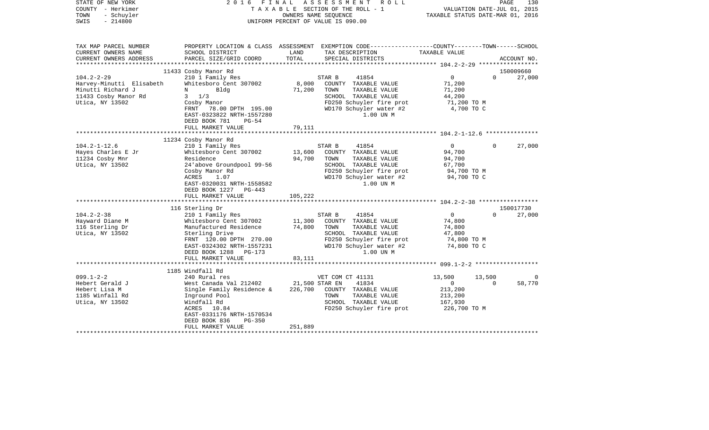| STATE OF NEW YORK<br>COUNTY - Herkimer<br>TOWN<br>- Schuyler<br>$-214800$<br>SWIS                                                                           | 2016<br>FINAL                                                                                                                                                                                                                                                                                                                                                                                   |                                                 | ASSESSMENT<br>R O L L<br>TAXABLE SECTION OF THE ROLL - 1<br>OWNERS NAME SEQUENCE<br>UNIFORM PERCENT OF VALUE IS 090.00                                                                                                                                                                                          | VALUATION DATE-JUL 01, 2015<br>TAXABLE STATUS DATE-MAR 01, 2016                                                                                        | PAGE                 | 130                           |
|-------------------------------------------------------------------------------------------------------------------------------------------------------------|-------------------------------------------------------------------------------------------------------------------------------------------------------------------------------------------------------------------------------------------------------------------------------------------------------------------------------------------------------------------------------------------------|-------------------------------------------------|-----------------------------------------------------------------------------------------------------------------------------------------------------------------------------------------------------------------------------------------------------------------------------------------------------------------|--------------------------------------------------------------------------------------------------------------------------------------------------------|----------------------|-------------------------------|
| TAX MAP PARCEL NUMBER<br>CURRENT OWNERS NAME<br>CURRENT OWNERS ADDRESS                                                                                      | SCHOOL DISTRICT<br>PARCEL SIZE/GRID COORD                                                                                                                                                                                                                                                                                                                                                       | LAND<br>TOTAL                                   | PROPERTY LOCATION & CLASS ASSESSMENT EXEMPTION CODE----------------COUNTY-------TOWN------SCHOOL<br>TAX DESCRIPTION<br>SPECIAL DISTRICTS                                                                                                                                                                        | TAXABLE VALUE                                                                                                                                          |                      | ACCOUNT NO.                   |
|                                                                                                                                                             |                                                                                                                                                                                                                                                                                                                                                                                                 |                                                 |                                                                                                                                                                                                                                                                                                                 |                                                                                                                                                        |                      |                               |
| $104.2 - 2 - 29$<br>Harvey-Minutti Elisabeth<br>Minutti Richard J<br>11433 Cosby Manor Rd<br>Utica, NY 13502                                                | 11433 Cosby Manor Rd<br>210 1 Family Res<br>Whitesboro Cent 307002<br>Bldg<br>N<br>$3 \t1/3$<br>Cosby Manor<br>FRNT 78.00 DPTH 195.00<br>EAST-0323822 NRTH-1557280<br>DEED BOOK 781<br>$PG-54$<br>FULL MARKET VALUE                                                                                                                                                                             | 8,000<br>71,200<br>79,111                       | STAR B<br>41854<br>COUNTY TAXABLE VALUE<br>TOWN<br>TAXABLE VALUE<br>SCHOOL TAXABLE VALUE<br>FD250 Schuyler fire prot<br>WD170 Schuyler water #2<br>1.00 UN M                                                                                                                                                    | $\overline{0}$<br>71,200<br>71,200<br>44,200<br>71,200 TO M<br>4,700 TO C                                                                              | $\Omega$             | 150009660<br>27,000           |
|                                                                                                                                                             | **************************                                                                                                                                                                                                                                                                                                                                                                      |                                                 |                                                                                                                                                                                                                                                                                                                 |                                                                                                                                                        |                      |                               |
| $104.2 - 1 - 12.6$<br>Hayes Charles E Jr<br>11234 Cosby Mnr<br>Utica, NY 13502<br>$104.2 - 2 - 38$<br>Hayward Diane M<br>116 Sterling Dr<br>Utica, NY 13502 | 11234 Cosby Manor Rd<br>210 1 Family Res<br>Whitesboro Cent 307002<br>Residence<br>24 above Groundpool 99-56<br>Cosby Manor Rd<br>ACRES<br>1.07<br>EAST-0320031 NRTH-1558582<br>DEED BOOK 1227 PG-443<br>FULL MARKET VALUE<br>116 Sterling Dr<br>210 1 Family Res<br>Whitesboro Cent 307002<br>Manufactured Residence<br>Sterling Drive<br>FRNT 120.00 DPTH 270.00<br>EAST-0324302 NRTH-1557231 | 13,600<br>94,700<br>105,222<br>11,300<br>74,800 | 41854<br>STAR B<br>COUNTY TAXABLE VALUE<br>TOWN<br>TAXABLE VALUE<br>SCHOOL TAXABLE VALUE<br>FD250 Schuyler fire prot<br>WD170 Schuyler water #2<br>1.00 UN M<br>STAR B<br>41854<br>COUNTY TAXABLE VALUE<br>TOWN<br>TAXABLE VALUE<br>SCHOOL TAXABLE VALUE<br>FD250 Schuyler fire prot<br>WD170 Schuyler water #2 | $\overline{0}$<br>94,700<br>94,700<br>67,700<br>94,700 TO M<br>94,700 TO C<br>$\mathsf{O}$<br>74,800<br>74,800<br>47,800<br>74,800 TO M<br>74,800 TO C | $\Omega$<br>$\Omega$ | 27,000<br>150017730<br>27,000 |
|                                                                                                                                                             | DEED BOOK 1288<br>PG-173<br>FULL MARKET VALUE                                                                                                                                                                                                                                                                                                                                                   | 83,111                                          | 1.00 UN M                                                                                                                                                                                                                                                                                                       |                                                                                                                                                        |                      |                               |
|                                                                                                                                                             |                                                                                                                                                                                                                                                                                                                                                                                                 |                                                 |                                                                                                                                                                                                                                                                                                                 |                                                                                                                                                        |                      |                               |
| $099.1 - 2 - 2$<br>Hebert Gerald J<br>Hebert Lisa M<br>1185 Winfall Rd<br>Utica, NY 13502                                                                   | 1185 Windfall Rd<br>240 Rural res<br>West Canada Val 212402<br>Single Family Residence &<br>Inground Pool<br>Windfall Rd<br>10.84<br>ACRES<br>EAST-0331176 NRTH-1570534<br>DEED BOOK 836<br>$PG-350$<br>FULL MARKET VALUE                                                                                                                                                                       | 226,700<br>251,889                              | VET COM CT 41131<br>21,500 STAR EN<br>41834<br>COUNTY TAXABLE VALUE<br>TAXABLE VALUE<br>TOWN<br>SCHOOL TAXABLE VALUE<br>FD250 Schuyler fire prot                                                                                                                                                                | 13,500<br>$\mathbf{0}$<br>213,200<br>213,200<br>167,930<br>226,700 ТО М                                                                                | 13,500<br>$\Omega$   | $\Omega$<br>58,770            |
|                                                                                                                                                             |                                                                                                                                                                                                                                                                                                                                                                                                 |                                                 |                                                                                                                                                                                                                                                                                                                 |                                                                                                                                                        |                      |                               |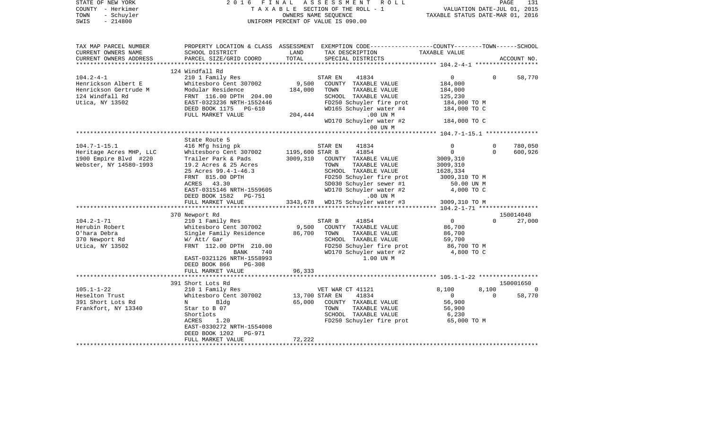| STATE OF NEW YORK<br>COUNTY - Herkimer<br>TOWN<br>- Schuyler<br>$-214800$<br>SWIS | 2 0 1 6<br>F I N A L                         |                 | ASSESSMENT ROLL<br>TAXABLE SECTION OF THE ROLL - 1<br>OWNERS NAME SEQUENCE<br>UNIFORM PERCENT OF VALUE IS 090.00                        | VALUATION DATE-JUL 01, 2015<br>TAXABLE STATUS DATE-MAR 01, 2016 | PAGE     | 131         |
|-----------------------------------------------------------------------------------|----------------------------------------------|-----------------|-----------------------------------------------------------------------------------------------------------------------------------------|-----------------------------------------------------------------|----------|-------------|
| TAX MAP PARCEL NUMBER<br>CURRENT OWNERS NAME<br>CURRENT OWNERS ADDRESS            | SCHOOL DISTRICT<br>PARCEL SIZE/GRID COORD    | LAND<br>TOTAL   | PROPERTY LOCATION & CLASS ASSESSMENT EXEMPTION CODE---------------COUNTY-------TOWN------SCHOOL<br>TAX DESCRIPTION<br>SPECIAL DISTRICTS | TAXABLE VALUE                                                   |          | ACCOUNT NO. |
|                                                                                   | 124 Windfall Rd                              |                 |                                                                                                                                         |                                                                 |          |             |
| $104.2 - 4 - 1$                                                                   | 210 1 Family Res                             |                 | 41834<br>STAR EN                                                                                                                        | $\overline{0}$                                                  | $\Omega$ | 58,770      |
| Henrickson Albert E                                                               | Whitesboro Cent 307002                       | 9,500           | COUNTY TAXABLE VALUE                                                                                                                    | 184,000                                                         |          |             |
| Henrickson Gertrude M                                                             | Modular Residence                            | 184,000         | TOWN<br>TAXABLE VALUE                                                                                                                   | 184,000                                                         |          |             |
| 124 Windfall Rd                                                                   | FRNT 116.00 DPTH 204.00                      |                 | SCHOOL TAXABLE VALUE                                                                                                                    | 125,230                                                         |          |             |
| Utica, NY 13502                                                                   | EAST-0323236 NRTH-1552446                    |                 | FD250 Schuyler fire prot                                                                                                                | 184,000 TO M                                                    |          |             |
|                                                                                   | DEED BOOK 1175 PG-610                        |                 | WD165 Schuyler water #4                                                                                                                 | 184,000 TO C                                                    |          |             |
|                                                                                   | FULL MARKET VALUE                            | 204,444         | $.00$ UN M                                                                                                                              |                                                                 |          |             |
|                                                                                   |                                              |                 | WD170 Schuyler water #2<br>.00 UN M                                                                                                     | 184,000 TO C                                                    |          |             |
|                                                                                   |                                              |                 |                                                                                                                                         | ******** 104.7-1-15.1 ****************                          |          |             |
|                                                                                   | State Route 5                                |                 |                                                                                                                                         |                                                                 |          |             |
| $104.7 - 1 - 15.1$                                                                | 416 Mfg hsing pk                             |                 | STAR EN<br>41834                                                                                                                        | $\Omega$                                                        | $\Omega$ | 780,050     |
| Heritage Acres MHP, LLC                                                           | Whitesboro Cent 307002                       | 1195,600 STAR B | 41854                                                                                                                                   | $\overline{0}$                                                  | $\Omega$ | 600,926     |
| 1900 Empire Blvd #220<br>Webster, NY 14580-1993                                   | Trailer Park & Pads<br>19.2 Acres & 25 Acres | 3009,310        | COUNTY TAXABLE VALUE<br>TOWN<br>TAXABLE VALUE                                                                                           | 3009,310<br>3009,310                                            |          |             |
|                                                                                   | 25 Acres 99.4-1-46.3                         |                 | SCHOOL TAXABLE VALUE                                                                                                                    | 1628,334                                                        |          |             |
|                                                                                   | FRNT 815.00 DPTH                             |                 | FD250 Schuyler fire prot                                                                                                                | 3009,310 TO M                                                   |          |             |
|                                                                                   | ACRES 43.30                                  |                 | SD030 Schuyler sewer #1                                                                                                                 | 50.00 UN M                                                      |          |             |
|                                                                                   | EAST-0315146 NRTH-1559605                    |                 | WD170 Schuyler water #2                                                                                                                 | 4,000 TO C                                                      |          |             |
|                                                                                   | DEED BOOK 1582 PG-751                        |                 | .00 UN M                                                                                                                                |                                                                 |          |             |
|                                                                                   | FULL MARKET VALUE                            |                 | 3343,678 WD175 Schuyler water #3                                                                                                        | 3009,310 TO M                                                   |          |             |
|                                                                                   |                                              |                 |                                                                                                                                         |                                                                 |          |             |
|                                                                                   | 370 Newport Rd                               |                 |                                                                                                                                         |                                                                 |          | 150014040   |
| $104.2 - 1 - 71$                                                                  | 210 1 Family Res                             |                 | 41854<br>STAR B                                                                                                                         | $\overline{0}$                                                  | $\cap$   | 27,000      |
| Herubin Robert                                                                    | Whitesboro Cent 307002                       | 9,500           | COUNTY TAXABLE VALUE                                                                                                                    | 86,700                                                          |          |             |
| O'hara Debra                                                                      | Single Family Residence                      | 86,700          | TOWN<br>TAXABLE VALUE                                                                                                                   | 86,700                                                          |          |             |
| 370 Newport Rd                                                                    | W/ Att/ Gar                                  |                 | SCHOOL TAXABLE VALUE                                                                                                                    | 59,700                                                          |          |             |
| Utica, NY 13502                                                                   | FRNT 112.00 DPTH 210.00                      |                 | FD250 Schuyler fire prot                                                                                                                | 86,700 TO M                                                     |          |             |
|                                                                                   | 740<br>BANK                                  |                 | WD170 Schuyler water #2                                                                                                                 | 4,800 TO C                                                      |          |             |
|                                                                                   | EAST-0321126 NRTH-1558993                    |                 | 1.00 UN M                                                                                                                               |                                                                 |          |             |
|                                                                                   | DEED BOOK 866<br>PG-308<br>FULL MARKET VALUE | 96,333          |                                                                                                                                         |                                                                 |          |             |
|                                                                                   |                                              |                 |                                                                                                                                         |                                                                 |          |             |
|                                                                                   | 391 Short Lots Rd                            |                 |                                                                                                                                         |                                                                 |          | 150001650   |
| $105.1 - 1 - 22$                                                                  | 210 1 Family Res                             |                 | VET WAR CT 41121                                                                                                                        | 8,100                                                           | 8,100    |             |
| Heselton Trust                                                                    | Whitesboro Cent 307002                       | 13,700 STAR EN  | 41834                                                                                                                                   | $\overline{0}$                                                  | $\Omega$ | 58,770      |
| 391 Short Lots Rd                                                                 | $N$ and $N$<br>Bldg                          | 65,000          | COUNTY TAXABLE VALUE                                                                                                                    | 56,900                                                          |          |             |
| Frankfort, NY 13340                                                               | Star to B 07                                 |                 | TAXABLE VALUE<br>TOWN                                                                                                                   | 56,900                                                          |          |             |
|                                                                                   | Shortlots                                    |                 | SCHOOL TAXABLE VALUE                                                                                                                    | 6,230                                                           |          |             |
|                                                                                   | 1.20<br>ACRES                                |                 | FD250 Schuyler fire prot                                                                                                                | 65,000 TO M                                                     |          |             |
|                                                                                   | EAST-0330272 NRTH-1554008                    |                 |                                                                                                                                         |                                                                 |          |             |
|                                                                                   | DEED BOOK 1202<br>PG-971                     |                 |                                                                                                                                         |                                                                 |          |             |
|                                                                                   | FULL MARKET VALUE<br>*********************** | 72,222          |                                                                                                                                         |                                                                 |          |             |
|                                                                                   |                                              |                 |                                                                                                                                         |                                                                 |          |             |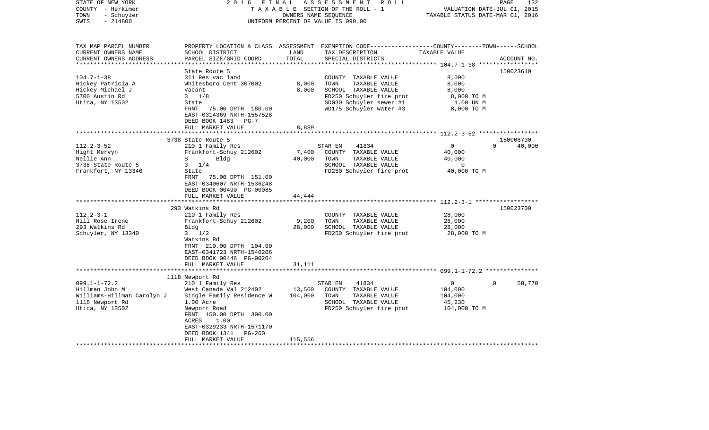| STATE OF NEW YORK<br>COUNTY - Herkimer<br>- Schuyler<br>TOWN<br>$-214800$<br>SWIS | 2 0 1 6<br>FINAL                                       | OWNERS NAME SEQUENCE   | ASSESSMENT ROLL<br>TAXABLE SECTION OF THE ROLL - 1<br>UNIFORM PERCENT OF VALUE IS 090.00                                                | VALUATION DATE-JUL 01, 2015<br>TAXABLE STATUS DATE-MAR 01, 2016 | 132<br>PAGE        |
|-----------------------------------------------------------------------------------|--------------------------------------------------------|------------------------|-----------------------------------------------------------------------------------------------------------------------------------------|-----------------------------------------------------------------|--------------------|
| TAX MAP PARCEL NUMBER<br>CURRENT OWNERS NAME<br>CURRENT OWNERS ADDRESS            | SCHOOL DISTRICT<br>PARCEL SIZE/GRID COORD              | LAND<br>TOTAL          | PROPERTY LOCATION & CLASS ASSESSMENT EXEMPTION CODE---------------COUNTY-------TOWN------SCHOOL<br>TAX DESCRIPTION<br>SPECIAL DISTRICTS | TAXABLE VALUE                                                   | ACCOUNT NO.        |
|                                                                                   |                                                        |                        |                                                                                                                                         |                                                                 |                    |
|                                                                                   | State Route 5                                          |                        |                                                                                                                                         |                                                                 | 150023610          |
| $104.7 - 1 - 38$                                                                  | 311 Res vac land                                       |                        | COUNTY TAXABLE VALUE                                                                                                                    | 8,000                                                           |                    |
| Hickey Patricia A                                                                 | Whitesboro Cent 307002                                 | 8,000                  | TOWN<br>TAXABLE VALUE                                                                                                                   | 8,000                                                           |                    |
| Hickey Michael J<br>5700 Austin Rd                                                | Vacant<br>$3 \frac{1}{8}$                              | 8,000                  | SCHOOL TAXABLE VALUE<br>FD250 Schuyler fire prot                                                                                        | 8,000<br>8,000 TO M                                             |                    |
| Utica, NY 13502                                                                   | State                                                  |                        | SD030 Schuyler sewer #1                                                                                                                 | 1.00 UN M                                                       |                    |
|                                                                                   | FRNT<br>75.00 DPTH 180.00                              |                        | WD175 Schuyler water #3                                                                                                                 | 8,000 TO M                                                      |                    |
|                                                                                   | EAST-0314369 NRTH-1557528                              |                        |                                                                                                                                         |                                                                 |                    |
|                                                                                   | DEED BOOK 1483<br>$PG-7$                               |                        |                                                                                                                                         |                                                                 |                    |
|                                                                                   | FULL MARKET VALUE                                      | 8,889                  |                                                                                                                                         |                                                                 |                    |
|                                                                                   | **********************                                 |                        |                                                                                                                                         |                                                                 |                    |
|                                                                                   | 3738 State Route 5                                     |                        |                                                                                                                                         |                                                                 | 150008730          |
| $112.2 - 3 - 52$                                                                  | 210 1 Family Res                                       |                        | STAR EN<br>41834                                                                                                                        | $\mathbf{0}$                                                    | $\Omega$<br>40,000 |
| Hight Mervyn                                                                      | Frankfort-Schuy 212602                                 | 7,400                  | COUNTY TAXABLE VALUE                                                                                                                    | 40,000                                                          |                    |
| Nellie Ann<br>3738 State Route 5                                                  | S<br>Blda<br>$3 \t1/4$                                 | 40,000                 | TOWN<br>TAXABLE VALUE<br>SCHOOL TAXABLE VALUE                                                                                           | 40,000<br>$\Omega$                                              |                    |
| Frankfort, NY 13340                                                               | State                                                  |                        | FD250 Schuyler fire prot                                                                                                                | 40,000 TO M                                                     |                    |
|                                                                                   | FRNT<br>75.00 DPTH 151.00<br>EAST-0340607 NRTH-1536248 |                        |                                                                                                                                         |                                                                 |                    |
|                                                                                   | DEED BOOK 00490 PG-00085                               |                        |                                                                                                                                         |                                                                 |                    |
|                                                                                   | FULL MARKET VALUE<br>************************          | 44,444<br>************ |                                                                                                                                         |                                                                 |                    |
|                                                                                   | 293 Watkins Rd                                         |                        |                                                                                                                                         |                                                                 | 150023700          |
| $112.2 - 3 - 1$                                                                   | 210 1 Family Res                                       |                        | COUNTY TAXABLE VALUE                                                                                                                    | 28,000                                                          |                    |
| Hill Rose Irene                                                                   | Frankfort-Schuy 212602                                 | 9,200                  | TAXABLE VALUE<br>TOWN                                                                                                                   | 28,000                                                          |                    |
| 293 Watkins Rd                                                                    | Bldg                                                   | 28,000                 | SCHOOL TAXABLE VALUE                                                                                                                    | 28,000                                                          |                    |
| Schuyler, NY 13340                                                                | $3 \frac{1}{2}$                                        |                        | FD250 Schuyler fire prot                                                                                                                | 28,000 TO M                                                     |                    |
|                                                                                   | Watkins Rd                                             |                        |                                                                                                                                         |                                                                 |                    |
|                                                                                   | FRNT 210.00 DPTH 104.00                                |                        |                                                                                                                                         |                                                                 |                    |
|                                                                                   | EAST-0341723 NRTH-1540206                              |                        |                                                                                                                                         |                                                                 |                    |
|                                                                                   | DEED BOOK 00446 PG-00204                               |                        |                                                                                                                                         |                                                                 |                    |
|                                                                                   | FULL MARKET VALUE<br>*********************             | 31,111                 |                                                                                                                                         |                                                                 |                    |
|                                                                                   | 1118 Newport Rd                                        |                        |                                                                                                                                         |                                                                 |                    |
| $099.1 - 1 - 72.2$                                                                | 210 1 Family Res                                       |                        | 41834<br>STAR EN                                                                                                                        | $\overline{0}$                                                  | $\Omega$<br>58,770 |
| Hillman John M                                                                    | West Canada Val 212402                                 | 13,500                 | COUNTY TAXABLE VALUE                                                                                                                    | 104,000                                                         |                    |
| Williams-Hillman Carolyn J                                                        | Single Family Residence W                              | 104,000                | TOWN<br>TAXABLE VALUE                                                                                                                   | 104,000                                                         |                    |
| 1118 Newport Rd                                                                   | 1.00 Acre                                              |                        | SCHOOL TAXABLE VALUE                                                                                                                    | 45,230                                                          |                    |
| Utica, NY 13502                                                                   | Newport Road                                           |                        | FD250 Schuyler fire prot                                                                                                                | 104,000 TO M                                                    |                    |
|                                                                                   | FRNT 150.00 DPTH 300.00                                |                        |                                                                                                                                         |                                                                 |                    |
|                                                                                   | ACRES<br>1.00                                          |                        |                                                                                                                                         |                                                                 |                    |
|                                                                                   | EAST-0329233 NRTH-1571170                              |                        |                                                                                                                                         |                                                                 |                    |
|                                                                                   | DEED BOOK 1341<br>PG-260                               |                        |                                                                                                                                         |                                                                 |                    |
|                                                                                   | FULL MARKET VALUE                                      | 115,556                |                                                                                                                                         |                                                                 |                    |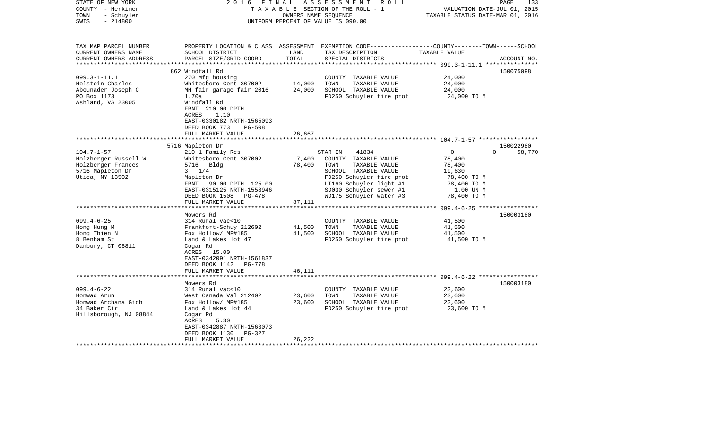| STATE OF NEW YORK<br>COUNTY - Herkimer<br>- Schuyler<br>TOWN<br>$-214800$<br>SWIS | FINAL<br>2016                                                                                                                                 | OWNERS NAME SEQUENCE | ASSESSMENT ROLL<br>TAXABLE SECTION OF THE ROLL - 1<br>UNIFORM PERCENT OF VALUE IS 090.00                                                 | VALUATION DATE-JUL 01, 2015<br>TAXABLE STATUS DATE-MAR 01, 2016 | 133<br>PAGE        |
|-----------------------------------------------------------------------------------|-----------------------------------------------------------------------------------------------------------------------------------------------|----------------------|------------------------------------------------------------------------------------------------------------------------------------------|-----------------------------------------------------------------|--------------------|
| TAX MAP PARCEL NUMBER<br>CURRENT OWNERS NAME<br>CURRENT OWNERS ADDRESS            | SCHOOL DISTRICT<br>PARCEL SIZE/GRID COORD                                                                                                     | LAND<br>TOTAL        | PROPERTY LOCATION & CLASS ASSESSMENT EXEMPTION CODE----------------COUNTY-------TOWN------SCHOOL<br>TAX DESCRIPTION<br>SPECIAL DISTRICTS | TAXABLE VALUE                                                   | ACCOUNT NO.        |
|                                                                                   |                                                                                                                                               |                      |                                                                                                                                          |                                                                 |                    |
| $099.3 - 1 - 11.1$                                                                | 862 Windfall Rd<br>270 Mfg housing                                                                                                            |                      | COUNTY TAXABLE VALUE                                                                                                                     | 24,000                                                          | 150075098          |
| Holstein Charles                                                                  | Whitesboro Cent 307002                                                                                                                        | 14,000               | TOWN<br>TAXABLE VALUE                                                                                                                    | 24,000                                                          |                    |
| Abounader Joseph C                                                                | MH fair garage fair 2016                                                                                                                      | 24,000               | SCHOOL TAXABLE VALUE                                                                                                                     | 24,000                                                          |                    |
| PO Box 1173<br>Ashland, VA 23005                                                  | 1.70a<br>Windfall Rd<br>FRNT 210.00 DPTH<br>ACRES<br>1.10<br>EAST-0330182 NRTH-1565093<br>DEED BOOK 773<br><b>PG-508</b><br>FULL MARKET VALUE | 26,667               | FD250 Schuyler fire prot                                                                                                                 | 24,000 TO M                                                     |                    |
|                                                                                   |                                                                                                                                               |                      |                                                                                                                                          |                                                                 | 150022980          |
| $104.7 - 1 - 57$                                                                  | 5716 Mapleton Dr<br>210 1 Family Res                                                                                                          |                      | 41834<br>STAR EN                                                                                                                         | $\overline{0}$                                                  | 58,770<br>$\Omega$ |
| Holzberger Russell W                                                              | Whitesboro Cent 307002                                                                                                                        | 7,400                | COUNTY TAXABLE VALUE                                                                                                                     | 78,400                                                          |                    |
| Holzberger Frances                                                                | 5716 Bldg                                                                                                                                     | 78,400               | TAXABLE VALUE<br>TOWN                                                                                                                    | 78,400                                                          |                    |
| 5716 Mapleton Dr                                                                  | $3 \t1/4$                                                                                                                                     |                      | SCHOOL TAXABLE VALUE                                                                                                                     | 19,630                                                          |                    |
| Utica, NY 13502                                                                   | Mapleton Dr                                                                                                                                   |                      | FD250 Schuyler fire prot                                                                                                                 | 78,400 TO M                                                     |                    |
|                                                                                   | FRNT 90.00 DPTH 125.00                                                                                                                        |                      | LT160 Schuyler light #1                                                                                                                  | 78,400 TO M                                                     |                    |
|                                                                                   | EAST-0315125 NRTH-1558946<br>DEED BOOK 1508 PG-478<br>FULL MARKET VALUE                                                                       | 87,111               | SD030 Schuyler sewer #1<br>WD175 Schuyler water #3                                                                                       | 1.00 UN M<br>78,400 TO M                                        |                    |
|                                                                                   | ****************************                                                                                                                  |                      |                                                                                                                                          |                                                                 |                    |
|                                                                                   | Mowers Rd                                                                                                                                     |                      |                                                                                                                                          |                                                                 | 150003180          |
| $099.4 - 6 - 25$                                                                  | 314 Rural vac<10                                                                                                                              |                      | COUNTY TAXABLE VALUE                                                                                                                     | 41,500                                                          |                    |
| Hong Hung M                                                                       | Frankfort-Schuy 212602                                                                                                                        | 41,500               | TOWN<br>TAXABLE VALUE                                                                                                                    | 41,500                                                          |                    |
| Hong Thien N<br>8 Benham St                                                       | Fox Hollow/ MF#185<br>Land & Lakes lot 47                                                                                                     | 41,500               | SCHOOL TAXABLE VALUE<br>FD250 Schuyler fire prot                                                                                         | 41,500<br>41,500 TO M                                           |                    |
| Danbury, CT 06811                                                                 | Cogar Rd<br>ACRES 15.00<br>EAST-0342091 NRTH-1561837<br>DEED BOOK 1142 PG-778                                                                 |                      |                                                                                                                                          |                                                                 |                    |
|                                                                                   | FULL MARKET VALUE                                                                                                                             | 46,111               |                                                                                                                                          |                                                                 |                    |
|                                                                                   | Mowers Rd                                                                                                                                     |                      |                                                                                                                                          |                                                                 | 150003180          |
| $099.4 - 6 - 22$                                                                  | 314 Rural vac<10                                                                                                                              |                      | COUNTY TAXABLE VALUE                                                                                                                     | 23,600                                                          |                    |
| Honwad Arun                                                                       | West Canada Val 212402                                                                                                                        | 23,600               | TOWN<br>TAXABLE VALUE                                                                                                                    | 23,600                                                          |                    |
| Honwad Archana Gidh                                                               | Fox Hollow/ MF#185                                                                                                                            | 23,600               | SCHOOL TAXABLE VALUE                                                                                                                     | 23,600                                                          |                    |
| 34 Baker Cir<br>Hillsborough, NJ 08844                                            | Land & Lakes lot 44<br>Cogar Rd<br>ACRES<br>5.30                                                                                              |                      | FD250 Schuyler fire prot                                                                                                                 | 23,600 TO M                                                     |                    |
|                                                                                   | EAST-0342887 NRTH-1563073<br>DEED BOOK 1130<br>PG-327                                                                                         |                      |                                                                                                                                          |                                                                 |                    |
|                                                                                   | FULL MARKET VALUE                                                                                                                             | 26,222               |                                                                                                                                          |                                                                 |                    |
|                                                                                   |                                                                                                                                               |                      |                                                                                                                                          |                                                                 |                    |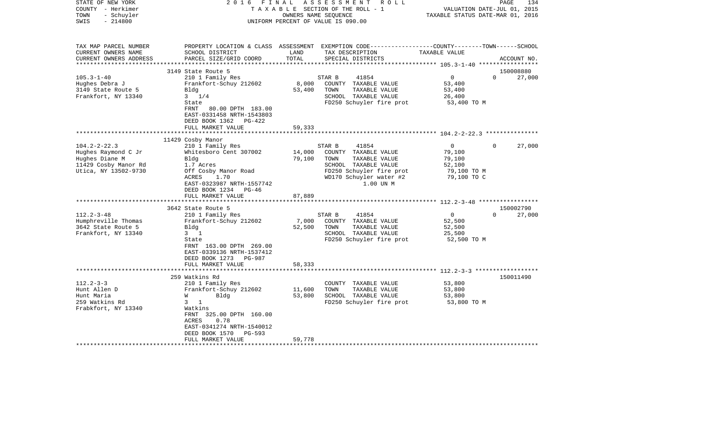| STATE OF NEW YORK<br>COUNTY - Herkimer<br>- Schuyler<br>TOWN<br>$-214800$<br>SWIS | 2016 FINAL                                                                                                     | OWNERS NAME SEQUENCE        | ASSESSMENT<br>R O L L<br>TAXABLE SECTION OF THE ROLL - 1<br>UNIFORM PERCENT OF VALUE IS 090.00                                         | VALUATION DATE-JUL 01, 2015<br>TAXABLE STATUS DATE-MAR 01, 2016 | 134<br>PAGE           |
|-----------------------------------------------------------------------------------|----------------------------------------------------------------------------------------------------------------|-----------------------------|----------------------------------------------------------------------------------------------------------------------------------------|-----------------------------------------------------------------|-----------------------|
| TAX MAP PARCEL NUMBER<br>CURRENT OWNERS NAME<br>CURRENT OWNERS ADDRESS            | SCHOOL DISTRICT<br>PARCEL SIZE/GRID COORD                                                                      | LAND<br>TOTAL               | PROPERTY LOCATION & CLASS ASSESSMENT EXEMPTION CODE---------------COUNTY-------TOWN-----SCHOOL<br>TAX DESCRIPTION<br>SPECIAL DISTRICTS | TAXABLE VALUE                                                   | ACCOUNT NO.           |
|                                                                                   |                                                                                                                |                             |                                                                                                                                        |                                                                 |                       |
| $105.3 - 1 - 40$                                                                  | 3149 State Route 5                                                                                             |                             | STAR B                                                                                                                                 | $\overline{0}$                                                  | 150008880<br>$\Omega$ |
| Hughes Debra J                                                                    | 210 1 Family Res<br>Frankfort-Schuy 212602                                                                     | 8,000                       | 41854<br>COUNTY TAXABLE VALUE                                                                                                          | 53,400                                                          | 27,000                |
| 3149 State Route 5                                                                | Bldg                                                                                                           | 53,400                      | TOWN<br>TAXABLE VALUE                                                                                                                  | 53,400                                                          |                       |
| Frankfort, NY 13340                                                               | $3 \t1/4$                                                                                                      |                             | SCHOOL TAXABLE VALUE                                                                                                                   | 26,400                                                          |                       |
|                                                                                   | State                                                                                                          |                             | FD250 Schuyler fire prot                                                                                                               | 53,400 TO M                                                     |                       |
|                                                                                   | <b>FRNT</b><br>80.00 DPTH 183.00<br>EAST-0331458 NRTH-1543803<br>DEED BOOK 1362<br>PG-422<br>FULL MARKET VALUE | 59,333                      |                                                                                                                                        |                                                                 |                       |
|                                                                                   | *****************                                                                                              | * * * * * * * * * * * * * * |                                                                                                                                        |                                                                 |                       |
|                                                                                   | 11429 Cosby Manor                                                                                              |                             |                                                                                                                                        |                                                                 |                       |
| $104.2 - 2 - 22.3$                                                                | 210 1 Family Res                                                                                               |                             | STAR B<br>41854                                                                                                                        | $\Omega$                                                        | 27,000<br>$\Omega$    |
| Hughes Raymond C Jr<br>Hughes Diane M                                             | Whitesboro Cent 307002<br>Bldg                                                                                 | 14,000<br>79,100            | COUNTY TAXABLE VALUE<br>TOWN<br>TAXABLE VALUE                                                                                          | 79,100<br>79,100                                                |                       |
| 11429 Cosby Manor Rd                                                              | 1.7 Acres                                                                                                      |                             | SCHOOL TAXABLE VALUE                                                                                                                   | 52,100                                                          |                       |
| Utica, NY 13502-9730                                                              | Off Cosby Manor Road                                                                                           |                             | FD250 Schuyler fire prot                                                                                                               | 79,100 TO M                                                     |                       |
|                                                                                   | ACRES<br>1.70                                                                                                  |                             | WD170 Schuyler water #2                                                                                                                | 79,100 TO C                                                     |                       |
|                                                                                   | EAST-0323987 NRTH-1557742                                                                                      |                             | 1.00 UN M                                                                                                                              |                                                                 |                       |
|                                                                                   | DEED BOOK 1234 PG-46                                                                                           |                             |                                                                                                                                        |                                                                 |                       |
|                                                                                   | FULL MARKET VALUE                                                                                              | 87,889                      |                                                                                                                                        |                                                                 |                       |
|                                                                                   | ************************                                                                                       |                             |                                                                                                                                        |                                                                 |                       |
|                                                                                   | 3642 State Route 5                                                                                             |                             |                                                                                                                                        |                                                                 | 150002790<br>$\Omega$ |
| $112.2 - 3 - 48$<br>Humphreville Thomas                                           | 210 1 Family Res<br>Frankfort-Schuy 212602                                                                     | 7,000                       | 41854<br>STAR B<br>COUNTY TAXABLE VALUE                                                                                                | $\overline{0}$<br>52,500                                        | 27,000                |
| 3642 State Route 5                                                                | Bldg                                                                                                           | 52,500                      | TOWN<br>TAXABLE VALUE                                                                                                                  | 52,500                                                          |                       |
| Frankfort, NY 13340                                                               | $3 \quad 1$                                                                                                    |                             | SCHOOL TAXABLE VALUE                                                                                                                   | 25,500                                                          |                       |
|                                                                                   | State                                                                                                          |                             | FD250 Schuyler fire prot                                                                                                               | 52,500 TO M                                                     |                       |
|                                                                                   | FRNT 163.00 DPTH 269.00                                                                                        |                             |                                                                                                                                        |                                                                 |                       |
|                                                                                   | EAST-0339136 NRTH-1537412                                                                                      |                             |                                                                                                                                        |                                                                 |                       |
|                                                                                   | DEED BOOK 1273<br>PG-987                                                                                       |                             |                                                                                                                                        |                                                                 |                       |
|                                                                                   | FULL MARKET VALUE                                                                                              | 58,333                      |                                                                                                                                        |                                                                 |                       |
|                                                                                   |                                                                                                                |                             |                                                                                                                                        |                                                                 |                       |
| $112.2 - 3 - 3$                                                                   | 259 Watkins Rd                                                                                                 |                             |                                                                                                                                        | 53,800                                                          | 150011490             |
| Hunt Allen D                                                                      | 210 1 Family Res<br>Frankfort-Schuy 212602                                                                     | 11,600                      | COUNTY TAXABLE VALUE<br>TOWN<br>TAXABLE VALUE                                                                                          | 53,800                                                          |                       |
| Hunt Maria                                                                        | W<br>Bldg                                                                                                      | 53,800                      | SCHOOL TAXABLE VALUE                                                                                                                   | 53,800                                                          |                       |
| 259 Watkins Rd                                                                    | $3 \t1$                                                                                                        |                             | FD250 Schuyler fire prot                                                                                                               | 53,800 TO M                                                     |                       |
| Frabkfort, NY 13340                                                               | Watkins                                                                                                        |                             |                                                                                                                                        |                                                                 |                       |
|                                                                                   | FRNT 325.00 DPTH 160.00                                                                                        |                             |                                                                                                                                        |                                                                 |                       |
|                                                                                   | 0.78<br>ACRES                                                                                                  |                             |                                                                                                                                        |                                                                 |                       |
|                                                                                   | EAST-0341274 NRTH-1540012                                                                                      |                             |                                                                                                                                        |                                                                 |                       |
|                                                                                   | DEED BOOK 1570<br>PG-593                                                                                       |                             |                                                                                                                                        |                                                                 |                       |
|                                                                                   | FULL MARKET VALUE                                                                                              | 59,778                      |                                                                                                                                        |                                                                 |                       |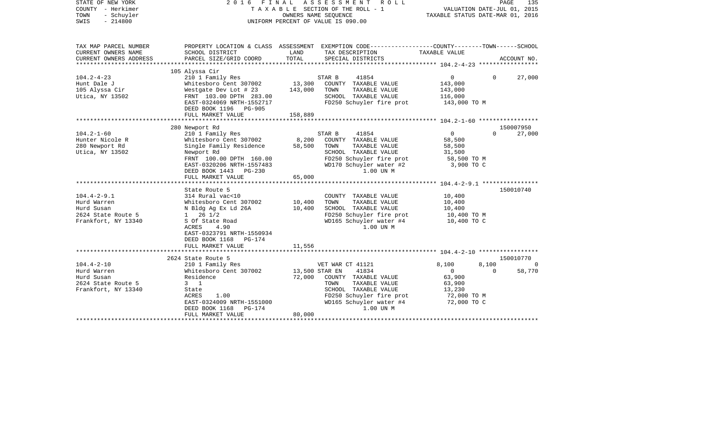| STATE OF NEW YORK<br>COUNTY - Herkimer<br>- Schuyler<br>TOWN<br>$-214800$<br>SWIS |                                                      | OWNERS NAME SEQUENCE | 2016 FINAL ASSESSMENT ROLL<br>TAXABLE SECTION OF THE ROLL - 1<br>UNIFORM PERCENT OF VALUE IS 090.00                                     | VALUATION DATE-JUL 01, 2015<br>TAXABLE STATUS DATE-MAR 01, 2016 |          | PAGE<br>135 |
|-----------------------------------------------------------------------------------|------------------------------------------------------|----------------------|-----------------------------------------------------------------------------------------------------------------------------------------|-----------------------------------------------------------------|----------|-------------|
| TAX MAP PARCEL NUMBER<br>CURRENT OWNERS NAME<br>CURRENT OWNERS ADDRESS            | SCHOOL DISTRICT<br>PARCEL SIZE/GRID COORD            | LAND<br>TOTAL        | PROPERTY LOCATION & CLASS ASSESSMENT EXEMPTION CODE---------------COUNTY-------TOWN------SCHOOL<br>TAX DESCRIPTION<br>SPECIAL DISTRICTS | TAXABLE VALUE                                                   |          | ACCOUNT NO. |
|                                                                                   |                                                      |                      |                                                                                                                                         |                                                                 |          |             |
|                                                                                   | 105 Alyssa Cir                                       |                      |                                                                                                                                         |                                                                 |          |             |
| $104.2 - 4 - 23$                                                                  | 210 1 Family Res                                     |                      | STAR B<br>41854                                                                                                                         | $\mathbf{0}$                                                    | $\Omega$ | 27,000      |
| Hunt Dale J<br>105 Alyssa Cir                                                     | Whitesboro Cent 307002<br>Westgate Dev Lot # 23      | 13,300<br>143,000    | COUNTY TAXABLE VALUE<br>TOWN<br>TAXABLE VALUE                                                                                           | 143,000<br>143,000                                              |          |             |
| Utica, NY 13502                                                                   | FRNT 103.00 DPTH 283.00                              |                      | SCHOOL TAXABLE VALUE                                                                                                                    | 116,000                                                         |          |             |
|                                                                                   | EAST-0324069 NRTH-1552717                            |                      | FD250 Schuyler fire prot                                                                                                                | 143,000 TO M                                                    |          |             |
|                                                                                   | DEED BOOK 1196 PG-905                                |                      |                                                                                                                                         |                                                                 |          |             |
|                                                                                   | FULL MARKET VALUE                                    | 158,889              |                                                                                                                                         |                                                                 |          |             |
|                                                                                   |                                                      |                      |                                                                                                                                         |                                                                 |          |             |
|                                                                                   | 280 Newport Rd                                       |                      |                                                                                                                                         |                                                                 |          | 150007950   |
| $104.2 - 1 - 60$                                                                  | 210 1 Family Res                                     |                      | 41854<br>STAR B                                                                                                                         | $\circ$                                                         | $\Omega$ | 27,000      |
| Hunter Nicole R                                                                   | Whitesboro Cent 307002                               | 8,200                | COUNTY TAXABLE VALUE                                                                                                                    | 58,500                                                          |          |             |
| 280 Newport Rd                                                                    | Single Family Residence                              | 58,500               | TOWN<br>TAXABLE VALUE                                                                                                                   | 58,500                                                          |          |             |
| Utica, NY 13502                                                                   | Newport Rd                                           |                      | SCHOOL TAXABLE VALUE                                                                                                                    | 31,500                                                          |          |             |
|                                                                                   | FRNT 100.00 DPTH 160.00<br>EAST-0320206 NRTH-1557483 |                      | FD250 Schuyler fire prot                                                                                                                | 58,500 TO M<br>3,900 TO C                                       |          |             |
|                                                                                   | DEED BOOK 1443 PG-230                                |                      | WD170 Schuyler water #2<br>1.00 UN M                                                                                                    |                                                                 |          |             |
|                                                                                   | FULL MARKET VALUE                                    | 65,000               |                                                                                                                                         |                                                                 |          |             |
|                                                                                   |                                                      |                      |                                                                                                                                         |                                                                 |          |             |
|                                                                                   | State Route 5                                        |                      |                                                                                                                                         |                                                                 |          | 150010740   |
| $104.4 - 2 - 9.1$                                                                 | 314 Rural vac<10                                     |                      | COUNTY TAXABLE VALUE                                                                                                                    | 10,400                                                          |          |             |
| Hurd Warren                                                                       | Whitesboro Cent 307002                               | 10,400               | TOWN<br>TAXABLE VALUE                                                                                                                   | 10,400                                                          |          |             |
| Hurd Susan                                                                        | N Bldg Ag Ex Ld 26A                                  | 10,400               | SCHOOL TAXABLE VALUE                                                                                                                    | 10,400                                                          |          |             |
| 2624 State Route 5                                                                | $1 \t26 \t1/2$                                       |                      | FD250 Schuyler fire prot                                                                                                                | 10,400 TO M                                                     |          |             |
| Frankfort, NY 13340                                                               | S Of State Road                                      |                      | WD165 Schuyler water #4                                                                                                                 | 10,400 TO C                                                     |          |             |
|                                                                                   | 4.90<br>ACRES                                        |                      | 1.00 UN M                                                                                                                               |                                                                 |          |             |
|                                                                                   | EAST-0323791 NRTH-1550934                            |                      |                                                                                                                                         |                                                                 |          |             |
|                                                                                   | DEED BOOK 1168 PG-174                                |                      |                                                                                                                                         |                                                                 |          |             |
|                                                                                   | FULL MARKET VALUE                                    | 11,556               |                                                                                                                                         |                                                                 |          |             |
|                                                                                   | 2624 State Route 5                                   |                      |                                                                                                                                         |                                                                 |          | 150010770   |
| $104.4 - 2 - 10$                                                                  | 210 1 Family Res                                     |                      | VET WAR CT 41121                                                                                                                        | 8,100                                                           | 8,100    | 0           |
| Hurd Warren                                                                       | Whitesboro Cent 307002                               | 13,500 STAR EN       | 41834                                                                                                                                   | $\mathbf{0}$                                                    | $\Omega$ | 58,770      |
| Hurd Susan                                                                        | Residence                                            | 72,000               | COUNTY TAXABLE VALUE                                                                                                                    | 63,900                                                          |          |             |
| 2624 State Route 5                                                                | $3 \quad 1$                                          |                      | TAXABLE VALUE<br>TOWN                                                                                                                   | 63,900                                                          |          |             |
| Frankfort, NY 13340                                                               | State                                                |                      | SCHOOL TAXABLE VALUE                                                                                                                    | 13,230                                                          |          |             |
|                                                                                   | 1.00<br>ACRES                                        |                      | FD250 Schuyler fire prot                                                                                                                | 72,000 TO M                                                     |          |             |
|                                                                                   | EAST-0324009 NRTH-1551000                            |                      | WD165 Schuyler water #4                                                                                                                 | 72,000 TO C                                                     |          |             |
|                                                                                   | DEED BOOK 1168<br>PG-174                             |                      | 1.00 UN M                                                                                                                               |                                                                 |          |             |
|                                                                                   | FULL MARKET VALUE                                    | 80,000               |                                                                                                                                         |                                                                 |          |             |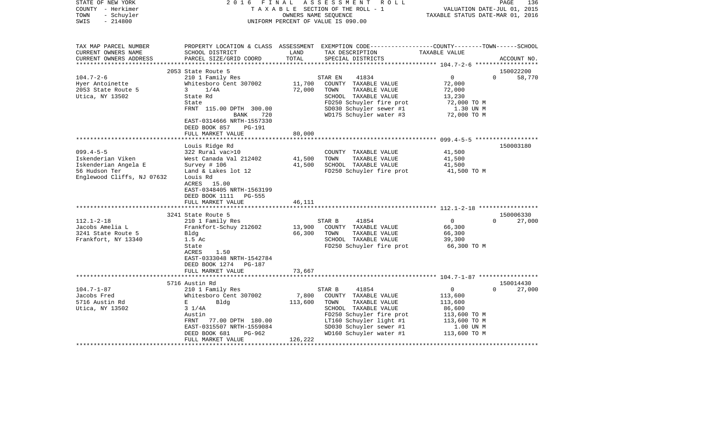| STATE OF NEW YORK<br>COUNTY - Herkimer<br>- Schuyler<br>TOWN<br>$-214800$<br>SWIS | 2 0 1 6<br>FINAL                                     | OWNERS NAME SEQUENCE | ASSESSMENT ROLL<br>TAXABLE SECTION OF THE ROLL - 1<br>UNIFORM PERCENT OF VALUE IS 090.00                                                              | VALUATION DATE-JUL 01, 2015<br>TAXABLE STATUS DATE-MAR 01, 2016 | PAGE<br>136           |
|-----------------------------------------------------------------------------------|------------------------------------------------------|----------------------|-------------------------------------------------------------------------------------------------------------------------------------------------------|-----------------------------------------------------------------|-----------------------|
| TAX MAP PARCEL NUMBER<br>CURRENT OWNERS NAME<br>CURRENT OWNERS ADDRESS            | SCHOOL DISTRICT<br>PARCEL SIZE/GRID COORD            | LAND<br>TOTAL        | PROPERTY LOCATION & CLASS ASSESSMENT EXEMPTION CODE---------------COUNTY-------TOWN------SCHOOL<br>TAX DESCRIPTION TAXABLE VALUE<br>SPECIAL DISTRICTS |                                                                 | ACCOUNT NO.           |
|                                                                                   |                                                      |                      |                                                                                                                                                       |                                                                 |                       |
|                                                                                   | 2053 State Route 5                                   |                      |                                                                                                                                                       |                                                                 | 150022200<br>$\Omega$ |
| $104.7 - 2 - 6$<br>Hyer Antoinette                                                | 210 1 Family Res<br>Whitesboro Cent 307002           | 11,700               | 41834<br>STAR EN<br>COUNTY TAXABLE VALUE                                                                                                              | $\overline{0}$<br>72,000                                        | 58,770                |
| 2053 State Route 5                                                                | $\mathbf{3}$<br>1/4A                                 | 72,000               | TAXABLE VALUE<br>TOWN                                                                                                                                 | 72,000                                                          |                       |
| Utica, NY 13502                                                                   | State Rd                                             |                      | SCHOOL TAXABLE VALUE                                                                                                                                  | 13,230                                                          |                       |
|                                                                                   | State                                                |                      | FD250 Schuyler fire prot                                                                                                                              | 72,000 TO M                                                     |                       |
|                                                                                   | FRNT 115.00 DPTH 300.00                              |                      | SD030 Schuyler sewer #1                                                                                                                               | 1.30 UN M                                                       |                       |
|                                                                                   | BANK<br>720                                          |                      | WD175 Schuyler water #3                                                                                                                               | 72,000 TO M                                                     |                       |
|                                                                                   | EAST-0314666 NRTH-1557330<br>DEED BOOK 857<br>PG-191 |                      |                                                                                                                                                       |                                                                 |                       |
|                                                                                   | FULL MARKET VALUE                                    | 80,000               |                                                                                                                                                       |                                                                 |                       |
|                                                                                   |                                                      |                      |                                                                                                                                                       |                                                                 |                       |
|                                                                                   | Louis Ridge Rd                                       |                      |                                                                                                                                                       |                                                                 | 150003180             |
| $099.4 - 5 - 5$                                                                   | 322 Rural vac>10                                     |                      | COUNTY TAXABLE VALUE                                                                                                                                  | 41,500                                                          |                       |
| Iskenderian Viken                                                                 | West Canada Val 212402                               | 41,500               | TOWN<br>TAXABLE VALUE                                                                                                                                 | 41,500                                                          |                       |
| Iskenderian Angela E                                                              | Survey # 106                                         | 41,500               | SCHOOL TAXABLE VALUE                                                                                                                                  | 41,500                                                          |                       |
| 56 Hudson Ter                                                                     | Land & Lakes lot 12                                  |                      | FD250 Schuyler fire prot                                                                                                                              | 41,500 TO M                                                     |                       |
| Englewood Cliffs, NJ 07632                                                        | Louis Rd                                             |                      |                                                                                                                                                       |                                                                 |                       |
|                                                                                   | ACRES 15.00                                          |                      |                                                                                                                                                       |                                                                 |                       |
|                                                                                   | EAST-0348405 NRTH-1563199<br>PG-555                  |                      |                                                                                                                                                       |                                                                 |                       |
|                                                                                   | DEED BOOK 1111<br>FULL MARKET VALUE                  | 46,111               |                                                                                                                                                       |                                                                 |                       |
|                                                                                   |                                                      |                      |                                                                                                                                                       |                                                                 |                       |
|                                                                                   | 3241 State Route 5                                   |                      |                                                                                                                                                       |                                                                 | 150006330             |
| $112.1 - 2 - 18$                                                                  | 210 1 Family Res                                     |                      | 41854<br>STAR B                                                                                                                                       | $\overline{0}$                                                  | 27,000<br>$\Omega$    |
| Jacobs Amelia L                                                                   | Frankfort-Schuy 212602                               | 13,900               | COUNTY TAXABLE VALUE                                                                                                                                  | 66,300                                                          |                       |
| 3241 State Route 5                                                                | Bldg                                                 | 66,300               | TOWN<br>TAXABLE VALUE                                                                                                                                 | 66,300                                                          |                       |
| Frankfort, NY 13340                                                               | 1.5 Ac                                               |                      | SCHOOL TAXABLE VALUE                                                                                                                                  | 39,300                                                          |                       |
|                                                                                   | State                                                |                      | FD250 Schuyler fire prot                                                                                                                              | 66,300 TO M                                                     |                       |
|                                                                                   | ACRES<br>1.50                                        |                      |                                                                                                                                                       |                                                                 |                       |
|                                                                                   | EAST-0333048 NRTH-1542784                            |                      |                                                                                                                                                       |                                                                 |                       |
|                                                                                   | DEED BOOK 1274 PG-187                                |                      |                                                                                                                                                       |                                                                 |                       |
|                                                                                   | FULL MARKET VALUE                                    | 73,667               |                                                                                                                                                       |                                                                 |                       |
|                                                                                   |                                                      |                      |                                                                                                                                                       |                                                                 |                       |
|                                                                                   | 5716 Austin Rd                                       |                      |                                                                                                                                                       |                                                                 | 150014430<br>$\Omega$ |
| $104.7 - 1 - 87$                                                                  | 210 1 Family Res                                     |                      | STAR B<br>41854                                                                                                                                       | 0                                                               | 27,000                |
| Jacobs Fred<br>5716 Austin Rd                                                     | Whitesboro Cent 307002<br>$E = 1$<br>Bldg            | 7,800<br>113,600     | COUNTY TAXABLE VALUE<br>TOWN<br>TAXABLE VALUE                                                                                                         | 113,600<br>113,600                                              |                       |
| Utica, NY 13502                                                                   | $3 \frac{1}{4A}$                                     |                      | SCHOOL TAXABLE VALUE                                                                                                                                  | 86,600                                                          |                       |
|                                                                                   | Austin                                               |                      | FD250 Schuyler fire prot                                                                                                                              | 113,600 TO M                                                    |                       |
|                                                                                   | FRNT 77.00 DPTH 180.00                               |                      | FD250 Schuyler 11ght #1<br>LT160 Schuyler light #1<br>cpn30 Schuyler sewer #1                                                                         | 113,600 TO M                                                    |                       |
|                                                                                   | EAST-0315507 NRTH-1559084                            |                      |                                                                                                                                                       | 1.00 UN M                                                       |                       |
|                                                                                   | DEED BOOK 681<br>PG-962                              |                      | WD160 Schuyler water #1                                                                                                                               | 113,600 TO M                                                    |                       |
|                                                                                   | FULL MARKET VALUE                                    | 126,222              |                                                                                                                                                       |                                                                 |                       |
|                                                                                   |                                                      |                      |                                                                                                                                                       |                                                                 |                       |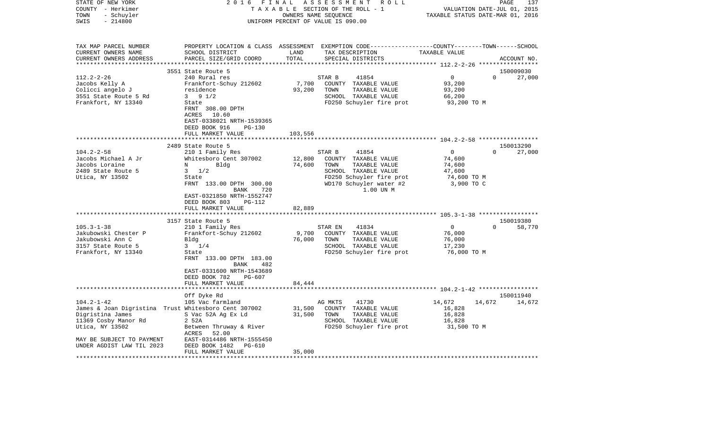| TAX MAP PARCEL NUMBER<br>PROPERTY LOCATION & CLASS ASSESSMENT EXEMPTION CODE---------------COUNTY-------TOWN------SCHOOL<br>CURRENT OWNERS NAME<br>SCHOOL DISTRICT<br>LAND<br>TAX DESCRIPTION<br>TAXABLE VALUE<br>TOTAL<br>CURRENT OWNERS ADDRESS<br>PARCEL SIZE/GRID COORD<br>SPECIAL DISTRICTS<br>ACCOUNT NO.<br>************************<br>3551 State Route 5<br>150009030<br>$112.2 - 2 - 26$<br>$\circ$<br>$\Omega$<br>240 Rural res<br>STAR B<br>41854<br>27,000<br>7,700<br>COUNTY TAXABLE VALUE<br>93,200<br>Jacobs Kelly A<br>Frankfort-Schuy 212602<br>Colicci angelo J<br>residence<br>93,200<br>TOWN<br>93,200<br>TAXABLE VALUE<br>3551 State Route 5 Rd<br>$3 \t 9 \t 1/2$<br>SCHOOL TAXABLE VALUE<br>66,200<br>FD250 Schuyler fire prot<br>Frankfort, NY 13340<br>93,200 TO M<br>State<br>FRNT 308.00 DPTH<br>ACRES<br>10.60<br>EAST-0338021 NRTH-1539365<br>DEED BOOK 916<br>PG-130<br>FULL MARKET VALUE<br>103,556<br>2489 State Route 5<br>150013290<br>$104.2 - 2 - 58$<br>$\overline{0}$<br>210 1 Family Res<br>STAR B<br>41854<br>$\Omega$<br>27,000<br>12,800<br>Jacobs Michael A Jr<br>Whitesboro Cent 307002<br>COUNTY TAXABLE VALUE<br>74,600<br>Jacobs Loraine<br>Bldg<br>74,600<br>TOWN<br>TAXABLE VALUE<br>74,600<br>N<br>2489 State Route 5<br>$3 \frac{1}{2}$<br>SCHOOL TAXABLE VALUE<br>47,600<br>Utica, NY 13502<br>FD250 Schuyler fire prot<br>74,600 TO M<br>State<br>WD170 Schuyler water #2<br>3,900 TO C<br>FRNT 133.00 DPTH 300.00<br>720<br>1.00 UN M<br>BANK<br>EAST-0321850 NRTH-1552747<br>PG-112<br>DEED BOOK 803<br>FULL MARKET VALUE<br>82,889<br>3157 State Route 5<br>150019380<br>$\overline{0}$<br>$105.3 - 1 - 38$<br>210 1 Family Res<br>$\Omega$<br>58,770<br>STAR EN<br>41834<br>Jakubowski Chester P<br>Frankfort-Schuy 212602<br>9,700<br>COUNTY TAXABLE VALUE<br>76,000<br>Jakubowski Ann C<br>Bldg<br>76,000<br>TOWN<br>TAXABLE VALUE<br>76,000<br>$3 \t1/4$<br>SCHOOL TAXABLE VALUE<br>3157 State Route 5<br>17,230<br>FD250 Schuyler fire prot<br>Frankfort, NY 13340<br>76,000 TO M<br>State<br>FRNT 133.00 DPTH 183.00<br>BANK<br>482<br>EAST-0331600 NRTH-1543689<br>DEED BOOK 782<br>PG-607<br>FULL MARKET VALUE<br>84,444<br>150011940<br>Off Dyke Rd<br>$104.2 - 1 - 42$<br>105 Vac farmland<br>AG MKTS<br>41730<br>14,672<br>14,672<br>14,672<br>James & Joan Digristina Trust Whitesboro Cent 307002<br>31,500<br>16,828<br>COUNTY TAXABLE VALUE<br>S Vac 52A Ag Ex Ld<br>31,500<br>16,828<br>Digristina James<br>TOWN<br>TAXABLE VALUE<br>11369 Cosby Manor Rd<br>SCHOOL TAXABLE VALUE<br>16,828<br>2 52A<br>Utica, NY 13502<br>FD250 Schuyler fire prot<br>Between Thruway & River<br>31,500 TO M<br>ACRES<br>52.00<br>MAY BE SUBJECT TO PAYMENT<br>EAST-0314486 NRTH-1555450<br>UNDER AGDIST LAW TIL 2023<br>DEED BOOK 1482<br>PG-610<br>35,000<br>FULL MARKET VALUE<br>********************* | STATE OF NEW YORK<br>COUNTY - Herkimer<br>- Schuyler<br>TOWN<br>SWIS<br>$-214800$ | 2016 | FINAL<br>OWNERS NAME SEQUENCE | ASSESSMENT<br>R O L L<br>TAXABLE SECTION OF THE ROLL - 1<br>UNIFORM PERCENT OF VALUE IS 090.00 | VALUATION DATE-JUL 01, 2015<br>TAXABLE STATUS DATE-MAR 01, 2016 | PAGE | 137 |
|---------------------------------------------------------------------------------------------------------------------------------------------------------------------------------------------------------------------------------------------------------------------------------------------------------------------------------------------------------------------------------------------------------------------------------------------------------------------------------------------------------------------------------------------------------------------------------------------------------------------------------------------------------------------------------------------------------------------------------------------------------------------------------------------------------------------------------------------------------------------------------------------------------------------------------------------------------------------------------------------------------------------------------------------------------------------------------------------------------------------------------------------------------------------------------------------------------------------------------------------------------------------------------------------------------------------------------------------------------------------------------------------------------------------------------------------------------------------------------------------------------------------------------------------------------------------------------------------------------------------------------------------------------------------------------------------------------------------------------------------------------------------------------------------------------------------------------------------------------------------------------------------------------------------------------------------------------------------------------------------------------------------------------------------------------------------------------------------------------------------------------------------------------------------------------------------------------------------------------------------------------------------------------------------------------------------------------------------------------------------------------------------------------------------------------------------------------------------------------------------------------------------------------------------------------------------------------------------------------------------------------------------------------------------------------------------------------------------------------------------------------------------------------------------------------------------------------------------------------------------|-----------------------------------------------------------------------------------|------|-------------------------------|------------------------------------------------------------------------------------------------|-----------------------------------------------------------------|------|-----|
|                                                                                                                                                                                                                                                                                                                                                                                                                                                                                                                                                                                                                                                                                                                                                                                                                                                                                                                                                                                                                                                                                                                                                                                                                                                                                                                                                                                                                                                                                                                                                                                                                                                                                                                                                                                                                                                                                                                                                                                                                                                                                                                                                                                                                                                                                                                                                                                                                                                                                                                                                                                                                                                                                                                                                                                                                                                                     |                                                                                   |      |                               |                                                                                                |                                                                 |      |     |
|                                                                                                                                                                                                                                                                                                                                                                                                                                                                                                                                                                                                                                                                                                                                                                                                                                                                                                                                                                                                                                                                                                                                                                                                                                                                                                                                                                                                                                                                                                                                                                                                                                                                                                                                                                                                                                                                                                                                                                                                                                                                                                                                                                                                                                                                                                                                                                                                                                                                                                                                                                                                                                                                                                                                                                                                                                                                     |                                                                                   |      |                               |                                                                                                |                                                                 |      |     |
|                                                                                                                                                                                                                                                                                                                                                                                                                                                                                                                                                                                                                                                                                                                                                                                                                                                                                                                                                                                                                                                                                                                                                                                                                                                                                                                                                                                                                                                                                                                                                                                                                                                                                                                                                                                                                                                                                                                                                                                                                                                                                                                                                                                                                                                                                                                                                                                                                                                                                                                                                                                                                                                                                                                                                                                                                                                                     |                                                                                   |      |                               |                                                                                                |                                                                 |      |     |
|                                                                                                                                                                                                                                                                                                                                                                                                                                                                                                                                                                                                                                                                                                                                                                                                                                                                                                                                                                                                                                                                                                                                                                                                                                                                                                                                                                                                                                                                                                                                                                                                                                                                                                                                                                                                                                                                                                                                                                                                                                                                                                                                                                                                                                                                                                                                                                                                                                                                                                                                                                                                                                                                                                                                                                                                                                                                     |                                                                                   |      |                               |                                                                                                |                                                                 |      |     |
|                                                                                                                                                                                                                                                                                                                                                                                                                                                                                                                                                                                                                                                                                                                                                                                                                                                                                                                                                                                                                                                                                                                                                                                                                                                                                                                                                                                                                                                                                                                                                                                                                                                                                                                                                                                                                                                                                                                                                                                                                                                                                                                                                                                                                                                                                                                                                                                                                                                                                                                                                                                                                                                                                                                                                                                                                                                                     |                                                                                   |      |                               |                                                                                                |                                                                 |      |     |
|                                                                                                                                                                                                                                                                                                                                                                                                                                                                                                                                                                                                                                                                                                                                                                                                                                                                                                                                                                                                                                                                                                                                                                                                                                                                                                                                                                                                                                                                                                                                                                                                                                                                                                                                                                                                                                                                                                                                                                                                                                                                                                                                                                                                                                                                                                                                                                                                                                                                                                                                                                                                                                                                                                                                                                                                                                                                     |                                                                                   |      |                               |                                                                                                |                                                                 |      |     |
|                                                                                                                                                                                                                                                                                                                                                                                                                                                                                                                                                                                                                                                                                                                                                                                                                                                                                                                                                                                                                                                                                                                                                                                                                                                                                                                                                                                                                                                                                                                                                                                                                                                                                                                                                                                                                                                                                                                                                                                                                                                                                                                                                                                                                                                                                                                                                                                                                                                                                                                                                                                                                                                                                                                                                                                                                                                                     |                                                                                   |      |                               |                                                                                                |                                                                 |      |     |
|                                                                                                                                                                                                                                                                                                                                                                                                                                                                                                                                                                                                                                                                                                                                                                                                                                                                                                                                                                                                                                                                                                                                                                                                                                                                                                                                                                                                                                                                                                                                                                                                                                                                                                                                                                                                                                                                                                                                                                                                                                                                                                                                                                                                                                                                                                                                                                                                                                                                                                                                                                                                                                                                                                                                                                                                                                                                     |                                                                                   |      |                               |                                                                                                |                                                                 |      |     |
|                                                                                                                                                                                                                                                                                                                                                                                                                                                                                                                                                                                                                                                                                                                                                                                                                                                                                                                                                                                                                                                                                                                                                                                                                                                                                                                                                                                                                                                                                                                                                                                                                                                                                                                                                                                                                                                                                                                                                                                                                                                                                                                                                                                                                                                                                                                                                                                                                                                                                                                                                                                                                                                                                                                                                                                                                                                                     |                                                                                   |      |                               |                                                                                                |                                                                 |      |     |
|                                                                                                                                                                                                                                                                                                                                                                                                                                                                                                                                                                                                                                                                                                                                                                                                                                                                                                                                                                                                                                                                                                                                                                                                                                                                                                                                                                                                                                                                                                                                                                                                                                                                                                                                                                                                                                                                                                                                                                                                                                                                                                                                                                                                                                                                                                                                                                                                                                                                                                                                                                                                                                                                                                                                                                                                                                                                     |                                                                                   |      |                               |                                                                                                |                                                                 |      |     |
|                                                                                                                                                                                                                                                                                                                                                                                                                                                                                                                                                                                                                                                                                                                                                                                                                                                                                                                                                                                                                                                                                                                                                                                                                                                                                                                                                                                                                                                                                                                                                                                                                                                                                                                                                                                                                                                                                                                                                                                                                                                                                                                                                                                                                                                                                                                                                                                                                                                                                                                                                                                                                                                                                                                                                                                                                                                                     |                                                                                   |      |                               |                                                                                                |                                                                 |      |     |
|                                                                                                                                                                                                                                                                                                                                                                                                                                                                                                                                                                                                                                                                                                                                                                                                                                                                                                                                                                                                                                                                                                                                                                                                                                                                                                                                                                                                                                                                                                                                                                                                                                                                                                                                                                                                                                                                                                                                                                                                                                                                                                                                                                                                                                                                                                                                                                                                                                                                                                                                                                                                                                                                                                                                                                                                                                                                     |                                                                                   |      |                               |                                                                                                |                                                                 |      |     |
|                                                                                                                                                                                                                                                                                                                                                                                                                                                                                                                                                                                                                                                                                                                                                                                                                                                                                                                                                                                                                                                                                                                                                                                                                                                                                                                                                                                                                                                                                                                                                                                                                                                                                                                                                                                                                                                                                                                                                                                                                                                                                                                                                                                                                                                                                                                                                                                                                                                                                                                                                                                                                                                                                                                                                                                                                                                                     |                                                                                   |      |                               |                                                                                                |                                                                 |      |     |
|                                                                                                                                                                                                                                                                                                                                                                                                                                                                                                                                                                                                                                                                                                                                                                                                                                                                                                                                                                                                                                                                                                                                                                                                                                                                                                                                                                                                                                                                                                                                                                                                                                                                                                                                                                                                                                                                                                                                                                                                                                                                                                                                                                                                                                                                                                                                                                                                                                                                                                                                                                                                                                                                                                                                                                                                                                                                     |                                                                                   |      |                               |                                                                                                |                                                                 |      |     |
|                                                                                                                                                                                                                                                                                                                                                                                                                                                                                                                                                                                                                                                                                                                                                                                                                                                                                                                                                                                                                                                                                                                                                                                                                                                                                                                                                                                                                                                                                                                                                                                                                                                                                                                                                                                                                                                                                                                                                                                                                                                                                                                                                                                                                                                                                                                                                                                                                                                                                                                                                                                                                                                                                                                                                                                                                                                                     |                                                                                   |      |                               |                                                                                                |                                                                 |      |     |
|                                                                                                                                                                                                                                                                                                                                                                                                                                                                                                                                                                                                                                                                                                                                                                                                                                                                                                                                                                                                                                                                                                                                                                                                                                                                                                                                                                                                                                                                                                                                                                                                                                                                                                                                                                                                                                                                                                                                                                                                                                                                                                                                                                                                                                                                                                                                                                                                                                                                                                                                                                                                                                                                                                                                                                                                                                                                     |                                                                                   |      |                               |                                                                                                |                                                                 |      |     |
|                                                                                                                                                                                                                                                                                                                                                                                                                                                                                                                                                                                                                                                                                                                                                                                                                                                                                                                                                                                                                                                                                                                                                                                                                                                                                                                                                                                                                                                                                                                                                                                                                                                                                                                                                                                                                                                                                                                                                                                                                                                                                                                                                                                                                                                                                                                                                                                                                                                                                                                                                                                                                                                                                                                                                                                                                                                                     |                                                                                   |      |                               |                                                                                                |                                                                 |      |     |
|                                                                                                                                                                                                                                                                                                                                                                                                                                                                                                                                                                                                                                                                                                                                                                                                                                                                                                                                                                                                                                                                                                                                                                                                                                                                                                                                                                                                                                                                                                                                                                                                                                                                                                                                                                                                                                                                                                                                                                                                                                                                                                                                                                                                                                                                                                                                                                                                                                                                                                                                                                                                                                                                                                                                                                                                                                                                     |                                                                                   |      |                               |                                                                                                |                                                                 |      |     |
|                                                                                                                                                                                                                                                                                                                                                                                                                                                                                                                                                                                                                                                                                                                                                                                                                                                                                                                                                                                                                                                                                                                                                                                                                                                                                                                                                                                                                                                                                                                                                                                                                                                                                                                                                                                                                                                                                                                                                                                                                                                                                                                                                                                                                                                                                                                                                                                                                                                                                                                                                                                                                                                                                                                                                                                                                                                                     |                                                                                   |      |                               |                                                                                                |                                                                 |      |     |
|                                                                                                                                                                                                                                                                                                                                                                                                                                                                                                                                                                                                                                                                                                                                                                                                                                                                                                                                                                                                                                                                                                                                                                                                                                                                                                                                                                                                                                                                                                                                                                                                                                                                                                                                                                                                                                                                                                                                                                                                                                                                                                                                                                                                                                                                                                                                                                                                                                                                                                                                                                                                                                                                                                                                                                                                                                                                     |                                                                                   |      |                               |                                                                                                |                                                                 |      |     |
|                                                                                                                                                                                                                                                                                                                                                                                                                                                                                                                                                                                                                                                                                                                                                                                                                                                                                                                                                                                                                                                                                                                                                                                                                                                                                                                                                                                                                                                                                                                                                                                                                                                                                                                                                                                                                                                                                                                                                                                                                                                                                                                                                                                                                                                                                                                                                                                                                                                                                                                                                                                                                                                                                                                                                                                                                                                                     |                                                                                   |      |                               |                                                                                                |                                                                 |      |     |
|                                                                                                                                                                                                                                                                                                                                                                                                                                                                                                                                                                                                                                                                                                                                                                                                                                                                                                                                                                                                                                                                                                                                                                                                                                                                                                                                                                                                                                                                                                                                                                                                                                                                                                                                                                                                                                                                                                                                                                                                                                                                                                                                                                                                                                                                                                                                                                                                                                                                                                                                                                                                                                                                                                                                                                                                                                                                     |                                                                                   |      |                               |                                                                                                |                                                                 |      |     |
|                                                                                                                                                                                                                                                                                                                                                                                                                                                                                                                                                                                                                                                                                                                                                                                                                                                                                                                                                                                                                                                                                                                                                                                                                                                                                                                                                                                                                                                                                                                                                                                                                                                                                                                                                                                                                                                                                                                                                                                                                                                                                                                                                                                                                                                                                                                                                                                                                                                                                                                                                                                                                                                                                                                                                                                                                                                                     |                                                                                   |      |                               |                                                                                                |                                                                 |      |     |
|                                                                                                                                                                                                                                                                                                                                                                                                                                                                                                                                                                                                                                                                                                                                                                                                                                                                                                                                                                                                                                                                                                                                                                                                                                                                                                                                                                                                                                                                                                                                                                                                                                                                                                                                                                                                                                                                                                                                                                                                                                                                                                                                                                                                                                                                                                                                                                                                                                                                                                                                                                                                                                                                                                                                                                                                                                                                     |                                                                                   |      |                               |                                                                                                |                                                                 |      |     |
|                                                                                                                                                                                                                                                                                                                                                                                                                                                                                                                                                                                                                                                                                                                                                                                                                                                                                                                                                                                                                                                                                                                                                                                                                                                                                                                                                                                                                                                                                                                                                                                                                                                                                                                                                                                                                                                                                                                                                                                                                                                                                                                                                                                                                                                                                                                                                                                                                                                                                                                                                                                                                                                                                                                                                                                                                                                                     |                                                                                   |      |                               |                                                                                                |                                                                 |      |     |
|                                                                                                                                                                                                                                                                                                                                                                                                                                                                                                                                                                                                                                                                                                                                                                                                                                                                                                                                                                                                                                                                                                                                                                                                                                                                                                                                                                                                                                                                                                                                                                                                                                                                                                                                                                                                                                                                                                                                                                                                                                                                                                                                                                                                                                                                                                                                                                                                                                                                                                                                                                                                                                                                                                                                                                                                                                                                     |                                                                                   |      |                               |                                                                                                |                                                                 |      |     |
|                                                                                                                                                                                                                                                                                                                                                                                                                                                                                                                                                                                                                                                                                                                                                                                                                                                                                                                                                                                                                                                                                                                                                                                                                                                                                                                                                                                                                                                                                                                                                                                                                                                                                                                                                                                                                                                                                                                                                                                                                                                                                                                                                                                                                                                                                                                                                                                                                                                                                                                                                                                                                                                                                                                                                                                                                                                                     |                                                                                   |      |                               |                                                                                                |                                                                 |      |     |
|                                                                                                                                                                                                                                                                                                                                                                                                                                                                                                                                                                                                                                                                                                                                                                                                                                                                                                                                                                                                                                                                                                                                                                                                                                                                                                                                                                                                                                                                                                                                                                                                                                                                                                                                                                                                                                                                                                                                                                                                                                                                                                                                                                                                                                                                                                                                                                                                                                                                                                                                                                                                                                                                                                                                                                                                                                                                     |                                                                                   |      |                               |                                                                                                |                                                                 |      |     |
|                                                                                                                                                                                                                                                                                                                                                                                                                                                                                                                                                                                                                                                                                                                                                                                                                                                                                                                                                                                                                                                                                                                                                                                                                                                                                                                                                                                                                                                                                                                                                                                                                                                                                                                                                                                                                                                                                                                                                                                                                                                                                                                                                                                                                                                                                                                                                                                                                                                                                                                                                                                                                                                                                                                                                                                                                                                                     |                                                                                   |      |                               |                                                                                                |                                                                 |      |     |
|                                                                                                                                                                                                                                                                                                                                                                                                                                                                                                                                                                                                                                                                                                                                                                                                                                                                                                                                                                                                                                                                                                                                                                                                                                                                                                                                                                                                                                                                                                                                                                                                                                                                                                                                                                                                                                                                                                                                                                                                                                                                                                                                                                                                                                                                                                                                                                                                                                                                                                                                                                                                                                                                                                                                                                                                                                                                     |                                                                                   |      |                               |                                                                                                |                                                                 |      |     |
|                                                                                                                                                                                                                                                                                                                                                                                                                                                                                                                                                                                                                                                                                                                                                                                                                                                                                                                                                                                                                                                                                                                                                                                                                                                                                                                                                                                                                                                                                                                                                                                                                                                                                                                                                                                                                                                                                                                                                                                                                                                                                                                                                                                                                                                                                                                                                                                                                                                                                                                                                                                                                                                                                                                                                                                                                                                                     |                                                                                   |      |                               |                                                                                                |                                                                 |      |     |
|                                                                                                                                                                                                                                                                                                                                                                                                                                                                                                                                                                                                                                                                                                                                                                                                                                                                                                                                                                                                                                                                                                                                                                                                                                                                                                                                                                                                                                                                                                                                                                                                                                                                                                                                                                                                                                                                                                                                                                                                                                                                                                                                                                                                                                                                                                                                                                                                                                                                                                                                                                                                                                                                                                                                                                                                                                                                     |                                                                                   |      |                               |                                                                                                |                                                                 |      |     |
|                                                                                                                                                                                                                                                                                                                                                                                                                                                                                                                                                                                                                                                                                                                                                                                                                                                                                                                                                                                                                                                                                                                                                                                                                                                                                                                                                                                                                                                                                                                                                                                                                                                                                                                                                                                                                                                                                                                                                                                                                                                                                                                                                                                                                                                                                                                                                                                                                                                                                                                                                                                                                                                                                                                                                                                                                                                                     |                                                                                   |      |                               |                                                                                                |                                                                 |      |     |
|                                                                                                                                                                                                                                                                                                                                                                                                                                                                                                                                                                                                                                                                                                                                                                                                                                                                                                                                                                                                                                                                                                                                                                                                                                                                                                                                                                                                                                                                                                                                                                                                                                                                                                                                                                                                                                                                                                                                                                                                                                                                                                                                                                                                                                                                                                                                                                                                                                                                                                                                                                                                                                                                                                                                                                                                                                                                     |                                                                                   |      |                               |                                                                                                |                                                                 |      |     |
|                                                                                                                                                                                                                                                                                                                                                                                                                                                                                                                                                                                                                                                                                                                                                                                                                                                                                                                                                                                                                                                                                                                                                                                                                                                                                                                                                                                                                                                                                                                                                                                                                                                                                                                                                                                                                                                                                                                                                                                                                                                                                                                                                                                                                                                                                                                                                                                                                                                                                                                                                                                                                                                                                                                                                                                                                                                                     |                                                                                   |      |                               |                                                                                                |                                                                 |      |     |
|                                                                                                                                                                                                                                                                                                                                                                                                                                                                                                                                                                                                                                                                                                                                                                                                                                                                                                                                                                                                                                                                                                                                                                                                                                                                                                                                                                                                                                                                                                                                                                                                                                                                                                                                                                                                                                                                                                                                                                                                                                                                                                                                                                                                                                                                                                                                                                                                                                                                                                                                                                                                                                                                                                                                                                                                                                                                     |                                                                                   |      |                               |                                                                                                |                                                                 |      |     |
|                                                                                                                                                                                                                                                                                                                                                                                                                                                                                                                                                                                                                                                                                                                                                                                                                                                                                                                                                                                                                                                                                                                                                                                                                                                                                                                                                                                                                                                                                                                                                                                                                                                                                                                                                                                                                                                                                                                                                                                                                                                                                                                                                                                                                                                                                                                                                                                                                                                                                                                                                                                                                                                                                                                                                                                                                                                                     |                                                                                   |      |                               |                                                                                                |                                                                 |      |     |
|                                                                                                                                                                                                                                                                                                                                                                                                                                                                                                                                                                                                                                                                                                                                                                                                                                                                                                                                                                                                                                                                                                                                                                                                                                                                                                                                                                                                                                                                                                                                                                                                                                                                                                                                                                                                                                                                                                                                                                                                                                                                                                                                                                                                                                                                                                                                                                                                                                                                                                                                                                                                                                                                                                                                                                                                                                                                     |                                                                                   |      |                               |                                                                                                |                                                                 |      |     |
|                                                                                                                                                                                                                                                                                                                                                                                                                                                                                                                                                                                                                                                                                                                                                                                                                                                                                                                                                                                                                                                                                                                                                                                                                                                                                                                                                                                                                                                                                                                                                                                                                                                                                                                                                                                                                                                                                                                                                                                                                                                                                                                                                                                                                                                                                                                                                                                                                                                                                                                                                                                                                                                                                                                                                                                                                                                                     |                                                                                   |      |                               |                                                                                                |                                                                 |      |     |
|                                                                                                                                                                                                                                                                                                                                                                                                                                                                                                                                                                                                                                                                                                                                                                                                                                                                                                                                                                                                                                                                                                                                                                                                                                                                                                                                                                                                                                                                                                                                                                                                                                                                                                                                                                                                                                                                                                                                                                                                                                                                                                                                                                                                                                                                                                                                                                                                                                                                                                                                                                                                                                                                                                                                                                                                                                                                     |                                                                                   |      |                               |                                                                                                |                                                                 |      |     |
|                                                                                                                                                                                                                                                                                                                                                                                                                                                                                                                                                                                                                                                                                                                                                                                                                                                                                                                                                                                                                                                                                                                                                                                                                                                                                                                                                                                                                                                                                                                                                                                                                                                                                                                                                                                                                                                                                                                                                                                                                                                                                                                                                                                                                                                                                                                                                                                                                                                                                                                                                                                                                                                                                                                                                                                                                                                                     |                                                                                   |      |                               |                                                                                                |                                                                 |      |     |
|                                                                                                                                                                                                                                                                                                                                                                                                                                                                                                                                                                                                                                                                                                                                                                                                                                                                                                                                                                                                                                                                                                                                                                                                                                                                                                                                                                                                                                                                                                                                                                                                                                                                                                                                                                                                                                                                                                                                                                                                                                                                                                                                                                                                                                                                                                                                                                                                                                                                                                                                                                                                                                                                                                                                                                                                                                                                     |                                                                                   |      |                               |                                                                                                |                                                                 |      |     |
|                                                                                                                                                                                                                                                                                                                                                                                                                                                                                                                                                                                                                                                                                                                                                                                                                                                                                                                                                                                                                                                                                                                                                                                                                                                                                                                                                                                                                                                                                                                                                                                                                                                                                                                                                                                                                                                                                                                                                                                                                                                                                                                                                                                                                                                                                                                                                                                                                                                                                                                                                                                                                                                                                                                                                                                                                                                                     |                                                                                   |      |                               |                                                                                                |                                                                 |      |     |
|                                                                                                                                                                                                                                                                                                                                                                                                                                                                                                                                                                                                                                                                                                                                                                                                                                                                                                                                                                                                                                                                                                                                                                                                                                                                                                                                                                                                                                                                                                                                                                                                                                                                                                                                                                                                                                                                                                                                                                                                                                                                                                                                                                                                                                                                                                                                                                                                                                                                                                                                                                                                                                                                                                                                                                                                                                                                     |                                                                                   |      |                               |                                                                                                |                                                                 |      |     |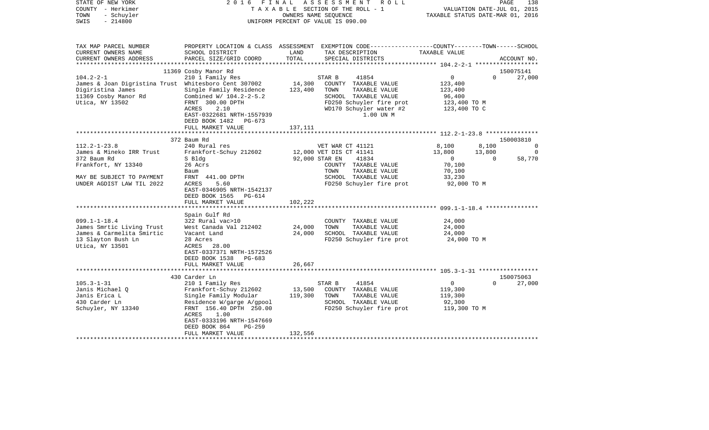| COUNTY<br>– Herkimer<br>TOWN<br>- Schuyler<br>SWIS<br>$-214800$                                                                                                                                                                                                         |                                                                                                                                                                                                                                                                                                                                                                                                  |                                       | T A X A B L E SECTION OF THE ROLL - 1<br>OWNERS NAME SEQUENCE<br>UNIFORM PERCENT OF VALUE IS 090.00                                                                                                                                                                              | TAXABLE STATUS DATE-MAR 01, 2016                                                                                          | VALUATION DATE-JUL 01, 2015 |                               |
|-------------------------------------------------------------------------------------------------------------------------------------------------------------------------------------------------------------------------------------------------------------------------|--------------------------------------------------------------------------------------------------------------------------------------------------------------------------------------------------------------------------------------------------------------------------------------------------------------------------------------------------------------------------------------------------|---------------------------------------|----------------------------------------------------------------------------------------------------------------------------------------------------------------------------------------------------------------------------------------------------------------------------------|---------------------------------------------------------------------------------------------------------------------------|-----------------------------|-------------------------------|
| TAX MAP PARCEL NUMBER<br>CURRENT OWNERS NAME<br>CURRENT OWNERS ADDRESS                                                                                                                                                                                                  | SCHOOL DISTRICT<br>PARCEL SIZE/GRID COORD                                                                                                                                                                                                                                                                                                                                                        | LAND<br>TOTAL                         | PROPERTY LOCATION & CLASS ASSESSMENT EXEMPTION CODE---------------COUNTY-------TOWN------SCHOOL<br>TAX DESCRIPTION<br>SPECIAL DISTRICTS                                                                                                                                          | TAXABLE VALUE                                                                                                             |                             | ACCOUNT NO.                   |
|                                                                                                                                                                                                                                                                         | 11369 Cosby Manor Rd                                                                                                                                                                                                                                                                                                                                                                             |                                       |                                                                                                                                                                                                                                                                                  |                                                                                                                           |                             | 150075141                     |
| $104.2 - 2 - 1$<br>James & Joan Digristina Trust Whitesboro Cent 307002<br>Digiristina James<br>11369 Cosby Manor Rd<br>Utica, NY 13502                                                                                                                                 | 210 1 Family Res<br>Single Family Residence<br>Combined W/ 104.2-2-5.2<br>FRNT 300.00 DPTH<br>ACRES<br>2.10<br>EAST-0322681 NRTH-1557939<br>DEED BOOK 1482<br>PG-673<br>FULL MARKET VALUE                                                                                                                                                                                                        | 14,300<br>123,400<br>137,111          | 41854<br>STAR B<br>COUNTY TAXABLE VALUE<br>TOWN<br>TAXABLE VALUE<br>SCHOOL TAXABLE VALUE<br>FD250 Schuyler fire prot<br>WD170 Schuyler water #2<br>1.00 UN M                                                                                                                     | 0<br>123,400<br>123,400<br>96,400<br>123,400 TO M<br>123,400 TO C                                                         | $\Omega$                    | 27,000                        |
|                                                                                                                                                                                                                                                                         | *********************                                                                                                                                                                                                                                                                                                                                                                            |                                       |                                                                                                                                                                                                                                                                                  |                                                                                                                           |                             |                               |
| $112.2 - 1 - 23.8$<br>James & Mineko IRR Trust<br>372 Baum Rd<br>Frankfort, NY 13340<br>MAY BE SUBJECT TO PAYMENT<br>UNDER AGDIST LAW TIL 2022<br>$099.1 - 1 - 18.4$<br>James Smrtic Living Trust<br>James & Carmelita Smirtic<br>13 Slayton Bush Ln<br>Utica, NY 13501 | 372 Baum Rd<br>240 Rural res<br>Frankfort-Schuy 212602<br>S Bldg<br>26 Acrs<br>Baum<br>FRNT 441.00 DPTH<br>5.60<br>ACRES<br>EAST-0346905 NRTH-1542137<br>DEED BOOK 1565<br>PG-614<br>FULL MARKET VALUE<br>Spain Gulf Rd<br>322 Rural vac>10<br>West Canada Val 212402<br>Vacant Land<br>28 Acres<br>ACRES<br>28.00<br>EAST-0337371 NRTH-1572526<br>DEED BOOK 1538<br>PG-683<br>FULL MARKET VALUE | 102,222<br>24,000<br>24,000<br>26,667 | VET WAR CT 41121<br>12,000 VET DIS CT 41141<br>92,000 STAR EN<br>41834<br>COUNTY TAXABLE VALUE<br>TAXABLE VALUE<br>TOWN<br>SCHOOL TAXABLE VALUE<br>FD250 Schuyler fire prot<br>COUNTY TAXABLE VALUE<br>TOWN<br>TAXABLE VALUE<br>SCHOOL TAXABLE VALUE<br>FD250 Schuyler fire prot | 8,100<br>13,800<br>$\mathbf{0}$<br>70,100<br>70,100<br>33,230<br>92,000 TO M<br>24,000<br>24,000<br>24,000<br>24,000 TO M | 8,100<br>13,800<br>$\Omega$ | 150003810<br>0<br>0<br>58,770 |
|                                                                                                                                                                                                                                                                         |                                                                                                                                                                                                                                                                                                                                                                                                  |                                       |                                                                                                                                                                                                                                                                                  |                                                                                                                           |                             |                               |
| $105.3 - 1 - 31$<br>Janis Michael O<br>Janis Erica L<br>430 Carder Ln<br>Schuyler, NY 13340                                                                                                                                                                             | 430 Carder Ln<br>210 1 Family Res<br>Frankfort-Schuy 212602<br>Single Family Modular<br>Residence W/garge A/gpool<br>FRNT 156.40 DPTH 250.00<br>ACRES<br>1.00<br>EAST-0333196 NRTH-1547669<br>DEED BOOK 864<br>$PG-259$                                                                                                                                                                          | 13,500<br>119,300                     | 41854<br>STAR B<br>COUNTY TAXABLE VALUE<br>TOWN<br>TAXABLE VALUE<br>SCHOOL TAXABLE VALUE<br>FD250 Schuyler fire prot                                                                                                                                                             | 0<br>119,300<br>119,300<br>92,300<br>119,300 TO M                                                                         | $\Omega$                    | 150075063<br>27,000           |
|                                                                                                                                                                                                                                                                         | FULL MARKET VALUE                                                                                                                                                                                                                                                                                                                                                                                | 132,556                               |                                                                                                                                                                                                                                                                                  |                                                                                                                           |                             |                               |

PAGE 138

STATE OF NEW YORK 2 0 1 6 F I N A L A S S E S S M E N T R O L L PAGE 138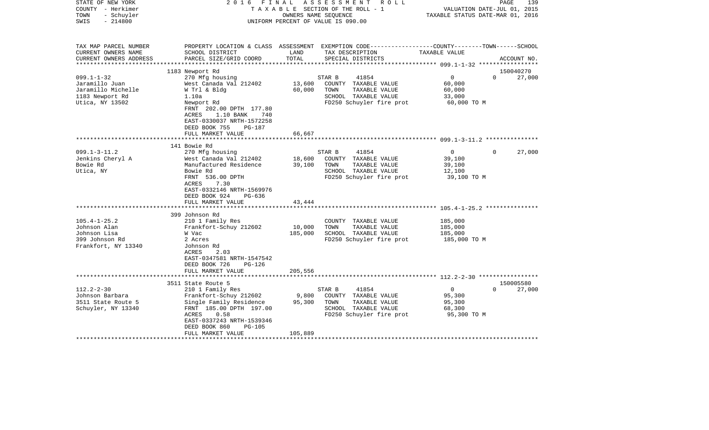| STATE OF NEW YORK<br>COUNTY - Herkimer<br>- Schuyler<br>TOWN<br>$-214800$<br>SWIS                 | FINAL<br>2016                                                                                                                                                                                                               | OWNERS NAME SEQUENCE       | ASSESSMENT<br>R O L L<br>TAXABLE SECTION OF THE ROLL - 1<br>UNIFORM PERCENT OF VALUE IS 090.00                                          |                                                             | 139<br>PAGE<br>VALUATION DATE-JUL 01, 2015<br>TAXABLE STATUS DATE-MAR 01, 2016 |
|---------------------------------------------------------------------------------------------------|-----------------------------------------------------------------------------------------------------------------------------------------------------------------------------------------------------------------------------|----------------------------|-----------------------------------------------------------------------------------------------------------------------------------------|-------------------------------------------------------------|--------------------------------------------------------------------------------|
| TAX MAP PARCEL NUMBER<br>CURRENT OWNERS NAME<br>CURRENT OWNERS ADDRESS<br>*********************** | SCHOOL DISTRICT<br>PARCEL SIZE/GRID COORD                                                                                                                                                                                   | LAND<br>TOTAL              | PROPERTY LOCATION & CLASS ASSESSMENT EXEMPTION CODE---------------COUNTY-------TOWN------SCHOOL<br>TAX DESCRIPTION<br>SPECIAL DISTRICTS | TAXABLE VALUE                                               | ACCOUNT NO.                                                                    |
|                                                                                                   |                                                                                                                                                                                                                             |                            |                                                                                                                                         |                                                             |                                                                                |
| $099.1 - 1 - 32$<br>Jaramillo Juan<br>Jaramillo Michelle<br>1183 Newport Rd<br>Utica, NY 13502    | 1183 Newport Rd<br>270 Mfg housing<br>West Canada Val 212402<br>W Trl & Bldg<br>1.10a<br>Newport Rd<br>FRNT 202.00 DPTH 177.80<br>1.10 BANK<br>740<br>ACRES<br>EAST-0330037 NRTH-1572258                                    | 13,600<br>60,000           | STAR B<br>41854<br>COUNTY TAXABLE VALUE<br>TOWN<br>TAXABLE VALUE<br>SCHOOL TAXABLE VALUE<br>FD250 Schuyler fire prot                    | $\mathbf 0$<br>60,000<br>60,000<br>33,000<br>60,000 TO M    | 150040270<br>$\Omega$<br>27,000                                                |
|                                                                                                   | DEED BOOK 755<br>PG-187<br>FULL MARKET VALUE                                                                                                                                                                                | 66,667                     |                                                                                                                                         |                                                             |                                                                                |
|                                                                                                   |                                                                                                                                                                                                                             |                            |                                                                                                                                         |                                                             |                                                                                |
|                                                                                                   | 141 Bowie Rd                                                                                                                                                                                                                |                            |                                                                                                                                         |                                                             |                                                                                |
| $099.1 - 3 - 11.2$<br>Jenkins Cheryl A<br>Bowie Rd<br>Utica, NY                                   | 270 Mfg housing<br>West Canada Val 212402<br>Manufactured Residence<br>Bowie Rd<br>FRNT 536.00 DPTH<br>ACRES<br>7.30<br>EAST-0332146 NRTH-1569976<br>DEED BOOK 924<br>$PG-636$<br>FULL MARKET VALUE                         | 18,600<br>39,100<br>43,444 | STAR B<br>41854<br>COUNTY TAXABLE VALUE<br>TOWN<br>TAXABLE VALUE<br>SCHOOL TAXABLE VALUE<br>FD250 Schuyler fire prot                    | 0<br>39,100<br>39,100<br>12,100<br>39,100 TO M              | 27,000<br>0                                                                    |
|                                                                                                   | 399 Johnson Rd                                                                                                                                                                                                              |                            |                                                                                                                                         |                                                             |                                                                                |
| $105.4 - 1 - 25.2$<br>Johnson Alan<br>Johnson Lisa<br>399 Johnson Rd<br>Frankfort, NY 13340       | 210 1 Family Res<br>Frankfort-Schuy 212602<br>W Vac<br>2 Acres<br>Johnson Rd<br>ACRES<br>2.03<br>EAST-0347581 NRTH-1547542<br>DEED BOOK 726<br>$PG-126$                                                                     | 10,000<br>185,000          | COUNTY TAXABLE VALUE<br>TOWN<br>TAXABLE VALUE<br>SCHOOL TAXABLE VALUE<br>FD250 Schuyler fire prot                                       | 185,000<br>185,000<br>185,000<br>185,000 TO M               |                                                                                |
|                                                                                                   | FULL MARKET VALUE                                                                                                                                                                                                           | 205,556                    |                                                                                                                                         |                                                             |                                                                                |
|                                                                                                   |                                                                                                                                                                                                                             |                            |                                                                                                                                         |                                                             |                                                                                |
| $112.2 - 2 - 30$<br>Johnson Barbara<br>3511 State Route 5<br>Schuyler, NY 13340                   | 3511 State Route 5<br>210 1 Family Res<br>Frankfort-Schuy 212602<br>Single Family Residence<br>FRNT 185.00 DPTH 197.00<br>0.58<br>ACRES<br>EAST-0337243 NRTH-1539346<br>DEED BOOK 860<br><b>PG-105</b><br>FULL MARKET VALUE | 9,800<br>95,300<br>105,889 | 41854<br>STAR B<br>COUNTY TAXABLE VALUE<br>TOWN<br>TAXABLE VALUE<br>SCHOOL TAXABLE VALUE<br>FD250 Schuyler fire prot                    | $\overline{0}$<br>95,300<br>95,300<br>68,300<br>95,300 TO M | 150005580<br>$\Omega$<br>27,000                                                |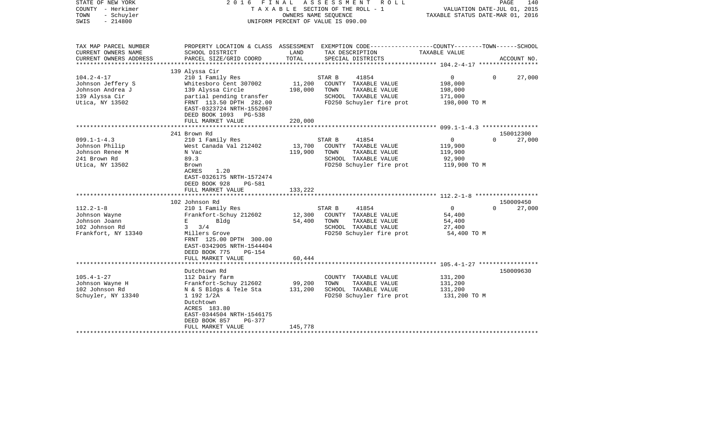| STATE OF NEW YORK<br>COUNTY - Herkimer<br>- Schuyler<br>TOWN<br>$-214800$<br>SWIS | 2016 FINAL                                                                                      |               | ASSESSMENT<br>R O L L<br>TAXABLE SECTION OF THE ROLL - 1<br>OWNERS NAME SEQUENCE<br>UNIFORM PERCENT OF VALUE IS 090.00 | VALUATION DATE-JUL 01, 2015<br>TAXABLE STATUS DATE-MAR 01, 2016 | PAGE<br>140                     |
|-----------------------------------------------------------------------------------|-------------------------------------------------------------------------------------------------|---------------|------------------------------------------------------------------------------------------------------------------------|-----------------------------------------------------------------|---------------------------------|
| TAX MAP PARCEL NUMBER                                                             |                                                                                                 |               | PROPERTY LOCATION & CLASS ASSESSMENT EXEMPTION CODE----------------COUNTY-------TOWN------SCHOOL                       |                                                                 |                                 |
| CURRENT OWNERS NAME                                                               | SCHOOL DISTRICT                                                                                 | LAND<br>TOTAL | TAX DESCRIPTION                                                                                                        | TAXABLE VALUE                                                   |                                 |
| CURRENT OWNERS ADDRESS<br>*******************                                     | PARCEL SIZE/GRID COORD                                                                          |               | SPECIAL DISTRICTS                                                                                                      |                                                                 | ACCOUNT NO.                     |
|                                                                                   | 139 Alyssa Cir                                                                                  |               |                                                                                                                        |                                                                 |                                 |
| $104.2 - 4 - 17$                                                                  | 210 1 Family Res                                                                                |               | STAR B<br>41854                                                                                                        | 0                                                               | 27,000<br>$\Omega$              |
| Johnson Jeffery S                                                                 | Whitesboro Cent 307002                                                                          | 11,200        | COUNTY TAXABLE VALUE                                                                                                   | 198,000                                                         |                                 |
| Johnson Andrea J                                                                  | 139 Alyssa Circle                                                                               | 198,000       | TOWN<br>TAXABLE VALUE                                                                                                  | 198,000                                                         |                                 |
| 139 Alyssa Cir                                                                    | partial pending transfer                                                                        |               | SCHOOL TAXABLE VALUE                                                                                                   | 171,000                                                         |                                 |
| Utica, NY 13502                                                                   | FRNT 113.50 DPTH 282.00<br>EAST-0323724 NRTH-1552067<br>DEED BOOK 1093 PG-538                   |               | FD250 Schuyler fire prot                                                                                               | 198,000 TO M                                                    |                                 |
|                                                                                   | FULL MARKET VALUE                                                                               | 220,000       |                                                                                                                        |                                                                 |                                 |
|                                                                                   |                                                                                                 |               |                                                                                                                        |                                                                 |                                 |
|                                                                                   | 241 Brown Rd                                                                                    |               |                                                                                                                        |                                                                 | 150012300                       |
| $099.1 - 1 - 4.3$                                                                 | 210 1 Family Res                                                                                |               | 41854<br>STAR B                                                                                                        | $\overline{0}$                                                  | $\Omega$<br>27,000              |
| Johnson Philip                                                                    | West Canada Val 212402                                                                          | 13,700        | COUNTY TAXABLE VALUE                                                                                                   | 119,900                                                         |                                 |
| Johnson Renee M                                                                   | N Vac                                                                                           | 119,900       | TOWN<br>TAXABLE VALUE                                                                                                  | 119,900                                                         |                                 |
| 241 Brown Rd                                                                      | 89.3                                                                                            |               | SCHOOL TAXABLE VALUE                                                                                                   | 92,900                                                          |                                 |
| Utica, NY 13502                                                                   | Brown<br>1.20<br>ACRES<br>EAST-0326175 NRTH-1572474<br>DEED BOOK 928<br><b>PG-581</b>           |               | FD250 Schuyler fire prot                                                                                               | 119,900 TO M                                                    |                                 |
|                                                                                   | FULL MARKET VALUE                                                                               | 133,222       |                                                                                                                        |                                                                 |                                 |
|                                                                                   | ****************************                                                                    |               |                                                                                                                        |                                                                 |                                 |
| $112.2 - 1 - 8$                                                                   | 102 Johnson Rd<br>210 1 Family Res                                                              |               | 41854<br>STAR B                                                                                                        | $\overline{0}$                                                  | 150009450<br>27,000<br>$\Omega$ |
| Johnson Wayne                                                                     | Frankfort-Schuy 212602                                                                          | 12,300        | COUNTY TAXABLE VALUE                                                                                                   | 54,400                                                          |                                 |
| Johnson Joann                                                                     | Bldg<br>Е                                                                                       | 54,400        | TOWN<br>TAXABLE VALUE                                                                                                  | 54,400                                                          |                                 |
| 102 Johnson Rd                                                                    | $3 \frac{3}{4}$                                                                                 |               | SCHOOL TAXABLE VALUE                                                                                                   | 27,400                                                          |                                 |
| Frankfort, NY 13340                                                               | Millers Grove                                                                                   |               | FD250 Schuyler fire prot                                                                                               | 54,400 TO M                                                     |                                 |
|                                                                                   | FRNT 125.00 DPTH 300.00<br>EAST-0342905 NRTH-1544404<br>DEED BOOK 775<br>$PG-154$               |               |                                                                                                                        |                                                                 |                                 |
|                                                                                   | FULL MARKET VALUE                                                                               | 60,444        |                                                                                                                        |                                                                 |                                 |
|                                                                                   | *******************                                                                             |               |                                                                                                                        |                                                                 |                                 |
| $105.4 - 1 - 27$                                                                  | Dutchtown Rd                                                                                    |               | COUNTY TAXABLE VALUE                                                                                                   | 131,200                                                         | 150009630                       |
| Johnson Wayne H                                                                   | 112 Dairy farm<br>Frankfort-Schuy 212602                                                        | 99,200        | TOWN<br>TAXABLE VALUE                                                                                                  | 131,200                                                         |                                 |
| 102 Johnson Rd                                                                    | N & S Bldgs & Tele Sta                                                                          | 131,200       | SCHOOL TAXABLE VALUE                                                                                                   | 131,200                                                         |                                 |
| Schuyler, NY 13340                                                                | 1 192 1/2A<br>Dutchtown<br>ACRES 183.80<br>EAST-0344504 NRTH-1546175<br>DEED BOOK 857<br>PG-377 |               | FD250 Schuyler fire prot                                                                                               | 131,200 TO M                                                    |                                 |
|                                                                                   | FULL MARKET VALUE                                                                               | 145,778       |                                                                                                                        |                                                                 |                                 |
|                                                                                   |                                                                                                 |               |                                                                                                                        |                                                                 |                                 |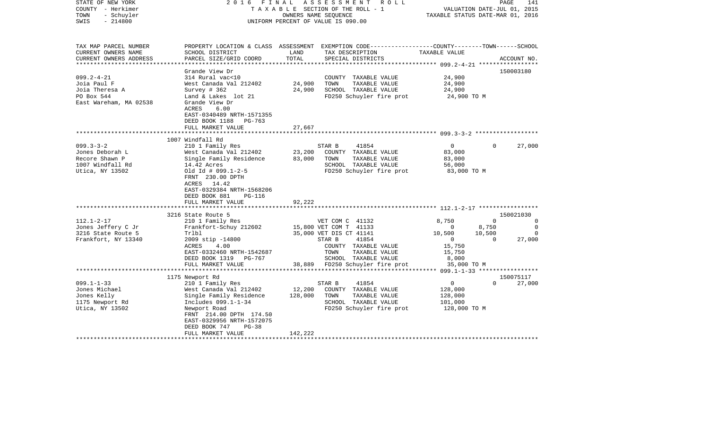| STATE OF NEW YORK<br>COUNTY - Herkimer<br>- Schuyler<br>TOWN<br>$-214800$<br>SWIS                                                                                                  | FINAL<br>2016                                                                                                                                                                                                                                                                                                                                                                                                                          |                              | ASSESSMENT ROLL<br>TAXABLE SECTION OF THE ROLL - 1<br>OWNERS NAME SEQUENCE<br>UNIFORM PERCENT OF VALUE IS 090.00                                                                                                                                                                         | TAXABLE STATUS DATE-MAR 01, 2016                                                                                                 | PAGE<br>VALUATION DATE-JUL 01, 2015                    | 141                                                           |
|------------------------------------------------------------------------------------------------------------------------------------------------------------------------------------|----------------------------------------------------------------------------------------------------------------------------------------------------------------------------------------------------------------------------------------------------------------------------------------------------------------------------------------------------------------------------------------------------------------------------------------|------------------------------|------------------------------------------------------------------------------------------------------------------------------------------------------------------------------------------------------------------------------------------------------------------------------------------|----------------------------------------------------------------------------------------------------------------------------------|--------------------------------------------------------|---------------------------------------------------------------|
| TAX MAP PARCEL NUMBER<br>CURRENT OWNERS NAME<br>CURRENT OWNERS ADDRESS                                                                                                             | SCHOOL DISTRICT<br>PARCEL SIZE/GRID COORD                                                                                                                                                                                                                                                                                                                                                                                              | LAND<br>TOTAL                | PROPERTY LOCATION & CLASS ASSESSMENT EXEMPTION CODE---------------COUNTY-------TOWN------SCHOOL<br>TAX DESCRIPTION<br>SPECIAL DISTRICTS                                                                                                                                                  | TAXABLE VALUE                                                                                                                    |                                                        | ACCOUNT NO.                                                   |
| **********************                                                                                                                                                             | ***********************                                                                                                                                                                                                                                                                                                                                                                                                                | **************               |                                                                                                                                                                                                                                                                                          |                                                                                                                                  |                                                        |                                                               |
| $099.2 - 4 - 21$<br>Joia Paul F<br>Joia Theresa A<br>PO Box 544<br>East Wareham, MA 02538                                                                                          | Grande View Dr<br>314 Rural vac<10<br>West Canada Val 212402<br>Survey $# 362$<br>Land & Lakes lot 21<br>Grande View Dr<br>ACRES<br>6.00                                                                                                                                                                                                                                                                                               | 24,900<br>24,900             | COUNTY TAXABLE VALUE<br>TOWN<br>TAXABLE VALUE<br>SCHOOL TAXABLE VALUE<br>FD250 Schuyler fire prot                                                                                                                                                                                        | 24,900<br>24,900<br>24,900<br>24,900 TO M                                                                                        |                                                        | 150003180                                                     |
|                                                                                                                                                                                    | EAST-0340489 NRTH-1571355<br>DEED BOOK 1188<br>PG-763<br>FULL MARKET VALUE                                                                                                                                                                                                                                                                                                                                                             | 27,667                       |                                                                                                                                                                                                                                                                                          |                                                                                                                                  |                                                        |                                                               |
|                                                                                                                                                                                    |                                                                                                                                                                                                                                                                                                                                                                                                                                        |                              |                                                                                                                                                                                                                                                                                          | ******************** 099.3-3-2 ******************                                                                                |                                                        |                                                               |
| $099.3 - 3 - 2$<br>Jones Deborah L<br>Recore Shawn P<br>1007 Windfall Rd<br>Utica, NY 13502<br>$112.1 - 2 - 17$<br>Jones Jeffery C Jr<br>3216 State Route 5<br>Frankfort, NY 13340 | 1007 Windfall Rd<br>210 1 Family Res<br>West Canada Val 212402<br>Single Family Residence<br>14.42 Acres<br>Old $Id$ # 099.1-2-5<br>FRNT 230.00 DPTH<br>ACRES 14.42<br>EAST-0329384 NRTH-1568206<br>DEED BOOK 881<br><b>PG-116</b><br>FULL MARKET VALUE<br>3216 State Route 5<br>210 1 Family Res<br>Frankfort-Schuy 212602<br>Trlbl<br>$2009$ stip $-14800$<br>ACRES<br>4.00<br>EAST-0332460 NRTH-1542687<br>DEED BOOK 1319<br>PG-767 | 23,200<br>83,000<br>92,222   | 41854<br>STAR B<br>COUNTY TAXABLE VALUE<br>TOWN<br>TAXABLE VALUE<br>SCHOOL TAXABLE VALUE<br>FD250 Schuyler fire prot<br>VET COM C 41132<br>15,800 VET COM T 41133<br>35,000 VET DIS CT 41141<br>41854<br>STAR B<br>COUNTY TAXABLE VALUE<br>TAXABLE VALUE<br>TOWN<br>SCHOOL TAXABLE VALUE | $\mathsf{O}$<br>83,000<br>83,000<br>56,000<br>83,000 TO M<br>8,750<br>0<br>10,500<br>$\overline{0}$<br>15,750<br>15,750<br>8,000 | $\mathbf 0$<br>$\Omega$<br>8,750<br>10,500<br>$\Omega$ | 27,000<br>150021030<br>0<br>$\mathbf 0$<br>$\Omega$<br>27,000 |
|                                                                                                                                                                                    | FULL MARKET VALUE                                                                                                                                                                                                                                                                                                                                                                                                                      | 38,889                       | FD250 Schuyler fire prot                                                                                                                                                                                                                                                                 | 35,000 TO M                                                                                                                      |                                                        |                                                               |
|                                                                                                                                                                                    | 1175 Newport Rd                                                                                                                                                                                                                                                                                                                                                                                                                        |                              |                                                                                                                                                                                                                                                                                          |                                                                                                                                  |                                                        | 150075117                                                     |
| $099.1 - 1 - 33$<br>Jones Michael<br>Jones Kelly<br>1175 Newport Rd<br>Utica, NY 13502                                                                                             | 210 1 Family Res<br>West Canada Val 212402<br>Single Family Residence<br>Includes 099.1-1-34<br>Newport Road<br>FRNT 214.00 DPTH 174.50<br>EAST-0329956 NRTH-1572075<br>DEED BOOK 747<br>$PG-38$<br>FULL MARKET VALUE                                                                                                                                                                                                                  | 12,200<br>128,000<br>142,222 | 41854<br>STAR B<br>COUNTY TAXABLE VALUE<br>TOWN<br>TAXABLE VALUE<br>SCHOOL TAXABLE VALUE<br>FD250 Schuyler fire prot                                                                                                                                                                     | 0<br>128,000<br>128,000<br>101,000<br>128,000 TO M                                                                               | $\Omega$                                               | 27,000                                                        |
|                                                                                                                                                                                    |                                                                                                                                                                                                                                                                                                                                                                                                                                        |                              |                                                                                                                                                                                                                                                                                          |                                                                                                                                  |                                                        |                                                               |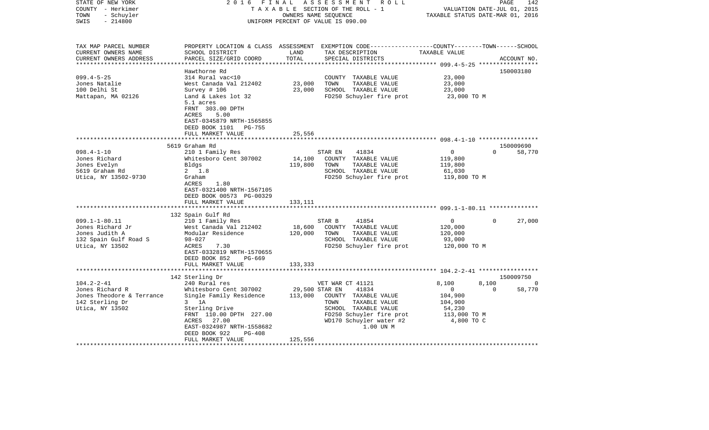| TAX MAP PARCEL NUMBER<br>PROPERTY LOCATION & CLASS ASSESSMENT EXEMPTION CODE----------------COUNTY-------TOWN------SCHOOL<br>CURRENT OWNERS NAME<br>SCHOOL DISTRICT<br>LAND<br>TAX DESCRIPTION<br>TAXABLE VALUE<br>TOTAL<br>PARCEL SIZE/GRID COORD<br>SPECIAL DISTRICTS<br>CURRENT OWNERS ADDRESS<br>ACCOUNT NO.<br>Hawthorne Rd<br>150003180<br>$099.4 - 5 - 25$<br>23,000<br>314 Rural vac<10<br>COUNTY TAXABLE VALUE<br>Jones Natalie<br>West Canada Val 212402<br>23,000<br>TOWN<br>TAXABLE VALUE<br>23,000<br>23,000<br>SCHOOL TAXABLE VALUE<br>100 Delhi St<br>Survey $# 106$<br>23,000<br>Mattapan, MA 02126<br>Land & Lakes lot 32<br>FD250 Schuyler fire prot<br>23,000 TO M<br>5.1 acres<br>FRNT 303.00 DPTH<br>ACRES<br>5.00<br>EAST-0345879 NRTH-1565855<br>DEED BOOK 1101 PG-755<br>25,556<br>FULL MARKET VALUE<br>150009690<br>5619 Graham Rd<br>$098.4 - 1 - 10$<br>41834<br>210 1 Family Res<br>STAR EN<br>$\overline{0}$<br>$\Omega$<br>58,770<br>Jones Richard<br>Whitesboro Cent 307002<br>14,100<br>COUNTY TAXABLE VALUE<br>119,800<br>Jones Evelyn<br>119,800<br>TAXABLE VALUE<br>Bldgs<br>TOWN<br>119,800<br>5619 Graham Rd<br>$2 \t1.8$<br>SCHOOL TAXABLE VALUE<br>61,030<br>Utica, NY 13502-9730<br>FD250 Schuyler fire prot<br>Graham<br>119,800 TO M<br>ACRES<br>1.80<br>EAST-0321400 NRTH-1567105<br>DEED BOOK 00573 PG-00329<br>FULL MARKET VALUE<br>133,111<br>132 Spain Gulf Rd<br>$099.1 - 1 - 80.11$<br>$\Omega$<br>27,000<br>210 1 Family Res<br>STAR B<br>41854<br>$\overline{0}$<br>Jones Richard Jr<br>West Canada Val 212402<br>18,600<br>COUNTY TAXABLE VALUE<br>120,000<br>Jones Judith A<br>Modular Residence<br>120,000<br>TOWN<br>TAXABLE VALUE<br>120,000<br>132 Spain Gulf Road S<br>$98 - 027$<br>SCHOOL TAXABLE VALUE<br>93,000<br>Utica, NY 13502<br>7.30<br>FD250 Schuyler fire prot<br>120,000 TO M<br>ACRES<br>EAST-0332819 NRTH-1570655<br>DEED BOOK 852<br>PG-669<br>FULL MARKET VALUE<br>133,333<br>150009750<br>142 Sterling Dr<br>$104.2 - 2 - 41$<br>8,100<br>240 Rural res<br>VET WAR CT 41121<br>8,100<br>$\Omega$<br>29,500 STAR EN<br>Jones Richard R<br>Whitesboro Cent 307002<br>41834<br>0<br>$\Omega$<br>58,770<br>Jones Theodore & Terrance<br>Single Family Residence<br>113,000<br>104,900<br>COUNTY TAXABLE VALUE<br>142 Sterling Dr<br>$3$ 1A<br>TAXABLE VALUE<br>TOWN<br>104,900<br>SCHOOL TAXABLE VALUE<br>Utica, NY 13502<br>Sterling Drive<br>54,230<br>FD250 Schuyler fire prot<br>FRNT 110.00 DPTH 227.00<br>113,000 TO M<br>WD170 Schuyler water #2<br>ACRES<br>27.00<br>4,800 TO C<br>EAST-0324987 NRTH-1558682<br>1.00 UN M<br>DEED BOOK 922<br>PG-408<br>125,556<br>FULL MARKET VALUE | STATE OF NEW YORK<br>COUNTY - Herkimer<br>- Schuyler<br>TOWN<br>$-214800$<br>SWIS | FINAL<br>2016 | A S S E S S M E N T R O L L<br>TAXABLE SECTION OF THE ROLL - 1<br>OWNERS NAME SEQUENCE<br>UNIFORM PERCENT OF VALUE IS 090.00 | VALUATION DATE-JUL 01, 2015<br>TAXABLE STATUS DATE-MAR 01, 2016 | PAGE | 142 |
|----------------------------------------------------------------------------------------------------------------------------------------------------------------------------------------------------------------------------------------------------------------------------------------------------------------------------------------------------------------------------------------------------------------------------------------------------------------------------------------------------------------------------------------------------------------------------------------------------------------------------------------------------------------------------------------------------------------------------------------------------------------------------------------------------------------------------------------------------------------------------------------------------------------------------------------------------------------------------------------------------------------------------------------------------------------------------------------------------------------------------------------------------------------------------------------------------------------------------------------------------------------------------------------------------------------------------------------------------------------------------------------------------------------------------------------------------------------------------------------------------------------------------------------------------------------------------------------------------------------------------------------------------------------------------------------------------------------------------------------------------------------------------------------------------------------------------------------------------------------------------------------------------------------------------------------------------------------------------------------------------------------------------------------------------------------------------------------------------------------------------------------------------------------------------------------------------------------------------------------------------------------------------------------------------------------------------------------------------------------------------------------------------------------------------------------------------------------------------------------------------------------------------------------------------------------------------------------------------------------------------------------------------------------------|-----------------------------------------------------------------------------------|---------------|------------------------------------------------------------------------------------------------------------------------------|-----------------------------------------------------------------|------|-----|
|                                                                                                                                                                                                                                                                                                                                                                                                                                                                                                                                                                                                                                                                                                                                                                                                                                                                                                                                                                                                                                                                                                                                                                                                                                                                                                                                                                                                                                                                                                                                                                                                                                                                                                                                                                                                                                                                                                                                                                                                                                                                                                                                                                                                                                                                                                                                                                                                                                                                                                                                                                                                                                                                      |                                                                                   |               |                                                                                                                              |                                                                 |      |     |
|                                                                                                                                                                                                                                                                                                                                                                                                                                                                                                                                                                                                                                                                                                                                                                                                                                                                                                                                                                                                                                                                                                                                                                                                                                                                                                                                                                                                                                                                                                                                                                                                                                                                                                                                                                                                                                                                                                                                                                                                                                                                                                                                                                                                                                                                                                                                                                                                                                                                                                                                                                                                                                                                      |                                                                                   |               |                                                                                                                              |                                                                 |      |     |
|                                                                                                                                                                                                                                                                                                                                                                                                                                                                                                                                                                                                                                                                                                                                                                                                                                                                                                                                                                                                                                                                                                                                                                                                                                                                                                                                                                                                                                                                                                                                                                                                                                                                                                                                                                                                                                                                                                                                                                                                                                                                                                                                                                                                                                                                                                                                                                                                                                                                                                                                                                                                                                                                      |                                                                                   |               |                                                                                                                              |                                                                 |      |     |
|                                                                                                                                                                                                                                                                                                                                                                                                                                                                                                                                                                                                                                                                                                                                                                                                                                                                                                                                                                                                                                                                                                                                                                                                                                                                                                                                                                                                                                                                                                                                                                                                                                                                                                                                                                                                                                                                                                                                                                                                                                                                                                                                                                                                                                                                                                                                                                                                                                                                                                                                                                                                                                                                      |                                                                                   |               |                                                                                                                              |                                                                 |      |     |
|                                                                                                                                                                                                                                                                                                                                                                                                                                                                                                                                                                                                                                                                                                                                                                                                                                                                                                                                                                                                                                                                                                                                                                                                                                                                                                                                                                                                                                                                                                                                                                                                                                                                                                                                                                                                                                                                                                                                                                                                                                                                                                                                                                                                                                                                                                                                                                                                                                                                                                                                                                                                                                                                      |                                                                                   |               |                                                                                                                              |                                                                 |      |     |
|                                                                                                                                                                                                                                                                                                                                                                                                                                                                                                                                                                                                                                                                                                                                                                                                                                                                                                                                                                                                                                                                                                                                                                                                                                                                                                                                                                                                                                                                                                                                                                                                                                                                                                                                                                                                                                                                                                                                                                                                                                                                                                                                                                                                                                                                                                                                                                                                                                                                                                                                                                                                                                                                      |                                                                                   |               |                                                                                                                              |                                                                 |      |     |
|                                                                                                                                                                                                                                                                                                                                                                                                                                                                                                                                                                                                                                                                                                                                                                                                                                                                                                                                                                                                                                                                                                                                                                                                                                                                                                                                                                                                                                                                                                                                                                                                                                                                                                                                                                                                                                                                                                                                                                                                                                                                                                                                                                                                                                                                                                                                                                                                                                                                                                                                                                                                                                                                      |                                                                                   |               |                                                                                                                              |                                                                 |      |     |
|                                                                                                                                                                                                                                                                                                                                                                                                                                                                                                                                                                                                                                                                                                                                                                                                                                                                                                                                                                                                                                                                                                                                                                                                                                                                                                                                                                                                                                                                                                                                                                                                                                                                                                                                                                                                                                                                                                                                                                                                                                                                                                                                                                                                                                                                                                                                                                                                                                                                                                                                                                                                                                                                      |                                                                                   |               |                                                                                                                              |                                                                 |      |     |
|                                                                                                                                                                                                                                                                                                                                                                                                                                                                                                                                                                                                                                                                                                                                                                                                                                                                                                                                                                                                                                                                                                                                                                                                                                                                                                                                                                                                                                                                                                                                                                                                                                                                                                                                                                                                                                                                                                                                                                                                                                                                                                                                                                                                                                                                                                                                                                                                                                                                                                                                                                                                                                                                      |                                                                                   |               |                                                                                                                              |                                                                 |      |     |
|                                                                                                                                                                                                                                                                                                                                                                                                                                                                                                                                                                                                                                                                                                                                                                                                                                                                                                                                                                                                                                                                                                                                                                                                                                                                                                                                                                                                                                                                                                                                                                                                                                                                                                                                                                                                                                                                                                                                                                                                                                                                                                                                                                                                                                                                                                                                                                                                                                                                                                                                                                                                                                                                      |                                                                                   |               |                                                                                                                              |                                                                 |      |     |
|                                                                                                                                                                                                                                                                                                                                                                                                                                                                                                                                                                                                                                                                                                                                                                                                                                                                                                                                                                                                                                                                                                                                                                                                                                                                                                                                                                                                                                                                                                                                                                                                                                                                                                                                                                                                                                                                                                                                                                                                                                                                                                                                                                                                                                                                                                                                                                                                                                                                                                                                                                                                                                                                      |                                                                                   |               |                                                                                                                              |                                                                 |      |     |
|                                                                                                                                                                                                                                                                                                                                                                                                                                                                                                                                                                                                                                                                                                                                                                                                                                                                                                                                                                                                                                                                                                                                                                                                                                                                                                                                                                                                                                                                                                                                                                                                                                                                                                                                                                                                                                                                                                                                                                                                                                                                                                                                                                                                                                                                                                                                                                                                                                                                                                                                                                                                                                                                      |                                                                                   |               |                                                                                                                              |                                                                 |      |     |
|                                                                                                                                                                                                                                                                                                                                                                                                                                                                                                                                                                                                                                                                                                                                                                                                                                                                                                                                                                                                                                                                                                                                                                                                                                                                                                                                                                                                                                                                                                                                                                                                                                                                                                                                                                                                                                                                                                                                                                                                                                                                                                                                                                                                                                                                                                                                                                                                                                                                                                                                                                                                                                                                      |                                                                                   |               |                                                                                                                              |                                                                 |      |     |
|                                                                                                                                                                                                                                                                                                                                                                                                                                                                                                                                                                                                                                                                                                                                                                                                                                                                                                                                                                                                                                                                                                                                                                                                                                                                                                                                                                                                                                                                                                                                                                                                                                                                                                                                                                                                                                                                                                                                                                                                                                                                                                                                                                                                                                                                                                                                                                                                                                                                                                                                                                                                                                                                      |                                                                                   |               |                                                                                                                              |                                                                 |      |     |
|                                                                                                                                                                                                                                                                                                                                                                                                                                                                                                                                                                                                                                                                                                                                                                                                                                                                                                                                                                                                                                                                                                                                                                                                                                                                                                                                                                                                                                                                                                                                                                                                                                                                                                                                                                                                                                                                                                                                                                                                                                                                                                                                                                                                                                                                                                                                                                                                                                                                                                                                                                                                                                                                      |                                                                                   |               |                                                                                                                              |                                                                 |      |     |
|                                                                                                                                                                                                                                                                                                                                                                                                                                                                                                                                                                                                                                                                                                                                                                                                                                                                                                                                                                                                                                                                                                                                                                                                                                                                                                                                                                                                                                                                                                                                                                                                                                                                                                                                                                                                                                                                                                                                                                                                                                                                                                                                                                                                                                                                                                                                                                                                                                                                                                                                                                                                                                                                      |                                                                                   |               |                                                                                                                              |                                                                 |      |     |
|                                                                                                                                                                                                                                                                                                                                                                                                                                                                                                                                                                                                                                                                                                                                                                                                                                                                                                                                                                                                                                                                                                                                                                                                                                                                                                                                                                                                                                                                                                                                                                                                                                                                                                                                                                                                                                                                                                                                                                                                                                                                                                                                                                                                                                                                                                                                                                                                                                                                                                                                                                                                                                                                      |                                                                                   |               |                                                                                                                              |                                                                 |      |     |
|                                                                                                                                                                                                                                                                                                                                                                                                                                                                                                                                                                                                                                                                                                                                                                                                                                                                                                                                                                                                                                                                                                                                                                                                                                                                                                                                                                                                                                                                                                                                                                                                                                                                                                                                                                                                                                                                                                                                                                                                                                                                                                                                                                                                                                                                                                                                                                                                                                                                                                                                                                                                                                                                      |                                                                                   |               |                                                                                                                              |                                                                 |      |     |
|                                                                                                                                                                                                                                                                                                                                                                                                                                                                                                                                                                                                                                                                                                                                                                                                                                                                                                                                                                                                                                                                                                                                                                                                                                                                                                                                                                                                                                                                                                                                                                                                                                                                                                                                                                                                                                                                                                                                                                                                                                                                                                                                                                                                                                                                                                                                                                                                                                                                                                                                                                                                                                                                      |                                                                                   |               |                                                                                                                              |                                                                 |      |     |
|                                                                                                                                                                                                                                                                                                                                                                                                                                                                                                                                                                                                                                                                                                                                                                                                                                                                                                                                                                                                                                                                                                                                                                                                                                                                                                                                                                                                                                                                                                                                                                                                                                                                                                                                                                                                                                                                                                                                                                                                                                                                                                                                                                                                                                                                                                                                                                                                                                                                                                                                                                                                                                                                      |                                                                                   |               |                                                                                                                              |                                                                 |      |     |
|                                                                                                                                                                                                                                                                                                                                                                                                                                                                                                                                                                                                                                                                                                                                                                                                                                                                                                                                                                                                                                                                                                                                                                                                                                                                                                                                                                                                                                                                                                                                                                                                                                                                                                                                                                                                                                                                                                                                                                                                                                                                                                                                                                                                                                                                                                                                                                                                                                                                                                                                                                                                                                                                      |                                                                                   |               |                                                                                                                              |                                                                 |      |     |
|                                                                                                                                                                                                                                                                                                                                                                                                                                                                                                                                                                                                                                                                                                                                                                                                                                                                                                                                                                                                                                                                                                                                                                                                                                                                                                                                                                                                                                                                                                                                                                                                                                                                                                                                                                                                                                                                                                                                                                                                                                                                                                                                                                                                                                                                                                                                                                                                                                                                                                                                                                                                                                                                      |                                                                                   |               |                                                                                                                              |                                                                 |      |     |
|                                                                                                                                                                                                                                                                                                                                                                                                                                                                                                                                                                                                                                                                                                                                                                                                                                                                                                                                                                                                                                                                                                                                                                                                                                                                                                                                                                                                                                                                                                                                                                                                                                                                                                                                                                                                                                                                                                                                                                                                                                                                                                                                                                                                                                                                                                                                                                                                                                                                                                                                                                                                                                                                      |                                                                                   |               |                                                                                                                              |                                                                 |      |     |
|                                                                                                                                                                                                                                                                                                                                                                                                                                                                                                                                                                                                                                                                                                                                                                                                                                                                                                                                                                                                                                                                                                                                                                                                                                                                                                                                                                                                                                                                                                                                                                                                                                                                                                                                                                                                                                                                                                                                                                                                                                                                                                                                                                                                                                                                                                                                                                                                                                                                                                                                                                                                                                                                      |                                                                                   |               |                                                                                                                              |                                                                 |      |     |
|                                                                                                                                                                                                                                                                                                                                                                                                                                                                                                                                                                                                                                                                                                                                                                                                                                                                                                                                                                                                                                                                                                                                                                                                                                                                                                                                                                                                                                                                                                                                                                                                                                                                                                                                                                                                                                                                                                                                                                                                                                                                                                                                                                                                                                                                                                                                                                                                                                                                                                                                                                                                                                                                      |                                                                                   |               |                                                                                                                              |                                                                 |      |     |
|                                                                                                                                                                                                                                                                                                                                                                                                                                                                                                                                                                                                                                                                                                                                                                                                                                                                                                                                                                                                                                                                                                                                                                                                                                                                                                                                                                                                                                                                                                                                                                                                                                                                                                                                                                                                                                                                                                                                                                                                                                                                                                                                                                                                                                                                                                                                                                                                                                                                                                                                                                                                                                                                      |                                                                                   |               |                                                                                                                              |                                                                 |      |     |
|                                                                                                                                                                                                                                                                                                                                                                                                                                                                                                                                                                                                                                                                                                                                                                                                                                                                                                                                                                                                                                                                                                                                                                                                                                                                                                                                                                                                                                                                                                                                                                                                                                                                                                                                                                                                                                                                                                                                                                                                                                                                                                                                                                                                                                                                                                                                                                                                                                                                                                                                                                                                                                                                      |                                                                                   |               |                                                                                                                              |                                                                 |      |     |
|                                                                                                                                                                                                                                                                                                                                                                                                                                                                                                                                                                                                                                                                                                                                                                                                                                                                                                                                                                                                                                                                                                                                                                                                                                                                                                                                                                                                                                                                                                                                                                                                                                                                                                                                                                                                                                                                                                                                                                                                                                                                                                                                                                                                                                                                                                                                                                                                                                                                                                                                                                                                                                                                      |                                                                                   |               |                                                                                                                              |                                                                 |      |     |
|                                                                                                                                                                                                                                                                                                                                                                                                                                                                                                                                                                                                                                                                                                                                                                                                                                                                                                                                                                                                                                                                                                                                                                                                                                                                                                                                                                                                                                                                                                                                                                                                                                                                                                                                                                                                                                                                                                                                                                                                                                                                                                                                                                                                                                                                                                                                                                                                                                                                                                                                                                                                                                                                      |                                                                                   |               |                                                                                                                              |                                                                 |      |     |
|                                                                                                                                                                                                                                                                                                                                                                                                                                                                                                                                                                                                                                                                                                                                                                                                                                                                                                                                                                                                                                                                                                                                                                                                                                                                                                                                                                                                                                                                                                                                                                                                                                                                                                                                                                                                                                                                                                                                                                                                                                                                                                                                                                                                                                                                                                                                                                                                                                                                                                                                                                                                                                                                      |                                                                                   |               |                                                                                                                              |                                                                 |      |     |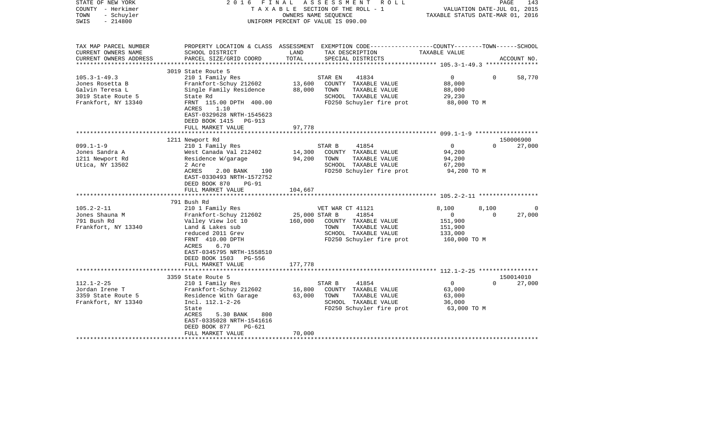| STATE OF NEW YORK<br>COUNTY - Herkimer<br>- Schuyler<br>TOWN<br>$-214800$<br>SWIS                     | FINAL<br>2016                                                                                                                                                                                                |                                | ASSESSMENT<br>T A X A B L E SECTION OF THE ROLL - 1<br>OWNERS NAME SEQUENCE<br>UNIFORM PERCENT OF VALUE IS 090.00              | R O L L<br>TAXABLE STATUS DATE-MAR 01, 2016                            | VALUATION DATE-JUL 01, 2015 | PAGE<br>143        |
|-------------------------------------------------------------------------------------------------------|--------------------------------------------------------------------------------------------------------------------------------------------------------------------------------------------------------------|--------------------------------|--------------------------------------------------------------------------------------------------------------------------------|------------------------------------------------------------------------|-----------------------------|--------------------|
| TAX MAP PARCEL NUMBER<br>CURRENT OWNERS NAME<br>CURRENT OWNERS ADDRESS<br>***********************     | PROPERTY LOCATION & CLASS ASSESSMENT EXEMPTION CODE---------------COUNTY-------TOWN-----SCHOOL<br>SCHOOL DISTRICT<br>PARCEL SIZE/GRID COORD                                                                  | LAND<br>TOTAL                  | TAX DESCRIPTION<br>SPECIAL DISTRICTS                                                                                           | TAXABLE VALUE                                                          |                             | ACCOUNT NO.        |
|                                                                                                       | 3019 State Route 5                                                                                                                                                                                           |                                |                                                                                                                                |                                                                        |                             |                    |
| $105.3 - 1 - 49.3$<br>Jones Rosetta B<br>Galvin Teresa L<br>3019 State Route 5<br>Frankfort, NY 13340 | 210 1 Family Res<br>Frankfort-Schuy 212602<br>Single Family Residence<br>State Rd<br>FRNT 115.00 DPTH 400.00<br>ACRES<br>1.10<br>EAST-0329628 NRTH-1545623                                                   | 13,600<br>88,000               | STAR EN<br>41834<br>COUNTY TAXABLE VALUE<br>TAXABLE VALUE<br>TOWN<br>SCHOOL TAXABLE VALUE<br>FD250 Schuyler fire prot          | $\overline{0}$<br>88,000<br>88,000<br>29,230<br>88,000 TO M            | $\Omega$                    | 58,770             |
|                                                                                                       | DEED BOOK 1415 PG-913                                                                                                                                                                                        |                                |                                                                                                                                |                                                                        |                             |                    |
|                                                                                                       | FULL MARKET VALUE                                                                                                                                                                                            | 97,778<br>********             |                                                                                                                                |                                                                        |                             |                    |
|                                                                                                       | 1211 Newport Rd                                                                                                                                                                                              |                                |                                                                                                                                |                                                                        |                             | 150006900          |
| $099.1 - 1 - 9$<br>Jones Sandra A<br>1211 Newport Rd<br>Utica, NY 13502                               | 210 1 Family Res<br>West Canada Val 212402<br>Residence W/garage<br>2 Acre<br>ACRES<br>2.00 BANK<br>190<br>EAST-0330493 NRTH-1572752<br>DEED BOOK 870<br>$PG-91$<br>FULL MARKET VALUE                        | 14,300<br>94,200<br>104,667    | STAR B<br>41854<br>COUNTY TAXABLE VALUE<br>TOWN<br>TAXABLE VALUE<br>SCHOOL TAXABLE VALUE<br>FD250 Schuyler fire prot           | $\circ$<br>94,200<br>94,200<br>67,200<br>94,200 TO M                   | $\Omega$                    | 27,000             |
|                                                                                                       | 791 Bush Rd                                                                                                                                                                                                  |                                |                                                                                                                                |                                                                        |                             |                    |
| $105.2 - 2 - 11$<br>Jones Shauna M<br>791 Bush Rd<br>Frankfort, NY 13340                              | 210 1 Family Res<br>Frankfort-Schuy 212602<br>Valley View lot 10<br>Land & Lakes sub<br>reduced 2011 Grev<br>FRNT 410.00 DPTH<br>6.70<br>ACRES<br>EAST-0345795 NRTH-1558510<br>DEED BOOK 1503 PG-556         | 25,000 STAR B<br>160,000       | VET WAR CT 41121<br>41854<br>COUNTY TAXABLE VALUE<br>TOWN<br>TAXABLE VALUE<br>SCHOOL TAXABLE VALUE<br>FD250 Schuyler fire prot | 8,100<br>$\mathbf{0}$<br>151,900<br>151,900<br>133,000<br>160,000 TO M | 8,100<br>$\Omega$           | $\Omega$<br>27,000 |
|                                                                                                       | FULL MARKET VALUE<br>******************                                                                                                                                                                      | 177,778<br>* * * * * * * * * * |                                                                                                                                |                                                                        |                             |                    |
|                                                                                                       | 3359 State Route 5                                                                                                                                                                                           |                                |                                                                                                                                |                                                                        |                             | 150014010          |
| $112.1 - 2 - 25$<br>Jordan Irene T<br>3359 State Route 5<br>Frankfort, NY 13340                       | 210 1 Family Res<br>Frankfort-Schuy 212602<br>Residence With Garage<br>Incl. 112.1-2-26<br>State<br>800<br>ACRES<br>5.30 BANK<br>EAST-0335028 NRTH-1541616<br>DEED BOOK 877<br>$PG-621$<br>FULL MARKET VALUE | 16,800<br>63,000<br>70,000     | 41854<br>STAR B<br>COUNTY TAXABLE VALUE<br>TOWN<br>TAXABLE VALUE<br>SCHOOL TAXABLE VALUE<br>FD250 Schuyler fire prot           | $\overline{0}$<br>63,000<br>63,000<br>36,000<br>63,000 TO M            | $\Omega$                    | 27,000             |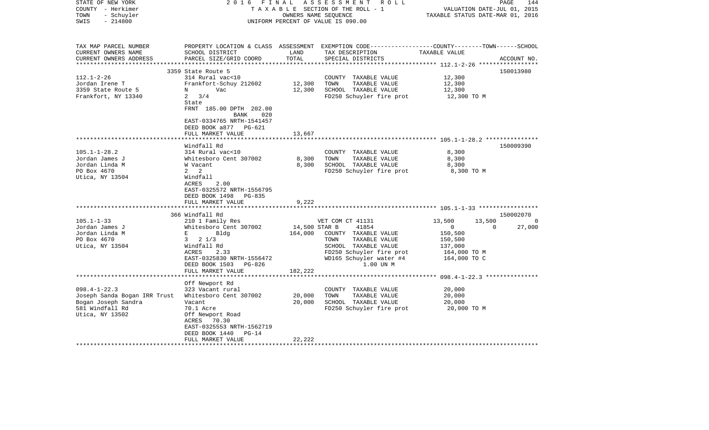| STATE OF NEW YORK<br>COUNTY - Herkimer<br>- Schuyler<br>TOWN<br>$-214800$<br>SWIS | 2016 FINAL                                         | OWNERS NAME SEQUENCE | A S S E S S M E N T R O L L<br>TAXABLE SECTION OF THE ROLL - 1<br>UNIFORM PERCENT OF VALUE IS 090.00                                    | VALUATION DATE-JUL 01, 2015<br>TAXABLE STATUS DATE-MAR 01, 2016 | PAGE<br>144 |
|-----------------------------------------------------------------------------------|----------------------------------------------------|----------------------|-----------------------------------------------------------------------------------------------------------------------------------------|-----------------------------------------------------------------|-------------|
| TAX MAP PARCEL NUMBER<br>CURRENT OWNERS NAME<br>CURRENT OWNERS ADDRESS            | SCHOOL DISTRICT<br>PARCEL SIZE/GRID COORD          | LAND<br>TOTAL        | PROPERTY LOCATION & CLASS ASSESSMENT EXEMPTION CODE---------------COUNTY-------TOWN------SCHOOL<br>TAX DESCRIPTION<br>SPECIAL DISTRICTS | TAXABLE VALUE                                                   | ACCOUNT NO. |
|                                                                                   | 3359 State Route 5                                 |                      |                                                                                                                                         |                                                                 | 150013980   |
| $112.1 - 2 - 26$                                                                  | 314 Rural vac<10                                   |                      | COUNTY TAXABLE VALUE                                                                                                                    | 12,300                                                          |             |
| Jordan Irene T                                                                    | Frankfort-Schuy 212602                             | 12,300               | TOWN<br>TAXABLE VALUE                                                                                                                   | 12,300                                                          |             |
| 3359 State Route 5                                                                | Vac<br>N                                           | 12,300               | SCHOOL TAXABLE VALUE                                                                                                                    | 12,300                                                          |             |
| Frankfort, NY 13340                                                               | $2 \frac{3}{4}$<br>State                           |                      | FD250 Schuyler fire prot                                                                                                                | 12,300 TO M                                                     |             |
|                                                                                   | FRNT 185.00 DPTH 202.00<br>BANK<br>020             |                      |                                                                                                                                         |                                                                 |             |
|                                                                                   | EAST-0334765 NRTH-1541457<br>DEED BOOK a877 PG-621 |                      |                                                                                                                                         |                                                                 |             |
|                                                                                   | FULL MARKET VALUE                                  | 13,667               |                                                                                                                                         |                                                                 |             |
|                                                                                   |                                                    |                      |                                                                                                                                         |                                                                 |             |
| $105.1 - 1 - 28.2$                                                                | Windfall Rd<br>314 Rural vac<10                    |                      | COUNTY TAXABLE VALUE                                                                                                                    | 8,300                                                           | 150009390   |
| Jordan James J                                                                    | Whitesboro Cent 307002                             | 8,300                | TAXABLE VALUE<br>TOWN                                                                                                                   | 8,300                                                           |             |
| Jordan Linda M                                                                    | W Vacant                                           | 8,300                | SCHOOL TAXABLE VALUE                                                                                                                    | 8,300                                                           |             |
| PO Box 4670                                                                       | $2 \quad 2$                                        |                      | FD250 Schuyler fire prot                                                                                                                | 8,300 TO M                                                      |             |
| Utica, NY 13504                                                                   | Windfall<br>ACRES<br>2.00                          |                      |                                                                                                                                         |                                                                 |             |
|                                                                                   | EAST-0325572 NRTH-1556795                          |                      |                                                                                                                                         |                                                                 |             |
|                                                                                   | DEED BOOK 1498 PG-835<br>FULL MARKET VALUE         | 9,222                |                                                                                                                                         |                                                                 |             |
|                                                                                   |                                                    |                      |                                                                                                                                         |                                                                 |             |
|                                                                                   | 366 Windfall Rd                                    |                      |                                                                                                                                         |                                                                 | 150002070   |
| $105.1 - 1 - 33$                                                                  | 210 1 Family Res                                   |                      | VET COM CT 41131                                                                                                                        | 13,500<br>13,500                                                | $\Omega$    |
| Jordan James J                                                                    | Whitesboro Cent 307002                             | 14,500 STAR B        | 41854                                                                                                                                   | $\mathbf{0}$<br>$\Omega$                                        | 27,000      |
| Jordan Linda M                                                                    | $\mathbf{E}$ and the set of $\mathbf{E}$<br>Blda   | 164,000              | COUNTY TAXABLE VALUE                                                                                                                    | 150,500                                                         |             |
| PO Box 4670                                                                       | $3 \t2 \t1/3$                                      |                      | TOWN<br>TAXABLE VALUE                                                                                                                   | 150,500                                                         |             |
| Utica, NY 13504                                                                   | Windfall Rd                                        |                      | SCHOOL TAXABLE VALUE                                                                                                                    | 137,000                                                         |             |
|                                                                                   | ACRES<br>2.33                                      |                      | FD250 Schuyler fire prot                                                                                                                | 164,000 TO M                                                    |             |
|                                                                                   | EAST-0325830 NRTH-1556472                          |                      | WD165 Schuyler water #4                                                                                                                 | 164,000 TO C                                                    |             |
|                                                                                   | DEED BOOK 1503 PG-826                              |                      | 1.00 UN M                                                                                                                               |                                                                 |             |
|                                                                                   | FULL MARKET VALUE                                  | 182,222              |                                                                                                                                         |                                                                 |             |
|                                                                                   | ****************************                       |                      |                                                                                                                                         |                                                                 |             |
|                                                                                   | Off Newport Rd                                     |                      |                                                                                                                                         | 20,000                                                          |             |
| $098.4 - 1 - 22.3$                                                                | 323 Vacant rural<br>Whitesboro Cent 307002         |                      | COUNTY TAXABLE VALUE<br>TOWN<br>TAXABLE VALUE                                                                                           | 20,000                                                          |             |
| Joseph Sanda Bogan IRR Trust<br>Bogan Joseph Sandra                               | Vacant                                             | 20,000<br>20,000     | SCHOOL TAXABLE VALUE                                                                                                                    | 20,000                                                          |             |
| 581 Windfall Rd                                                                   | 70.1 Acre                                          |                      | FD250 Schuyler fire prot                                                                                                                | 20,000 TO M                                                     |             |
| Utica, NY 13502                                                                   | Off Newport Road                                   |                      |                                                                                                                                         |                                                                 |             |
|                                                                                   | ACRES 70.30                                        |                      |                                                                                                                                         |                                                                 |             |
|                                                                                   | EAST-0325553 NRTH-1562719                          |                      |                                                                                                                                         |                                                                 |             |
|                                                                                   | DEED BOOK 1440<br>$PG-14$                          |                      |                                                                                                                                         |                                                                 |             |
|                                                                                   | FULL MARKET VALUE                                  | 22,222               |                                                                                                                                         |                                                                 |             |
| ********************                                                              |                                                    |                      |                                                                                                                                         |                                                                 |             |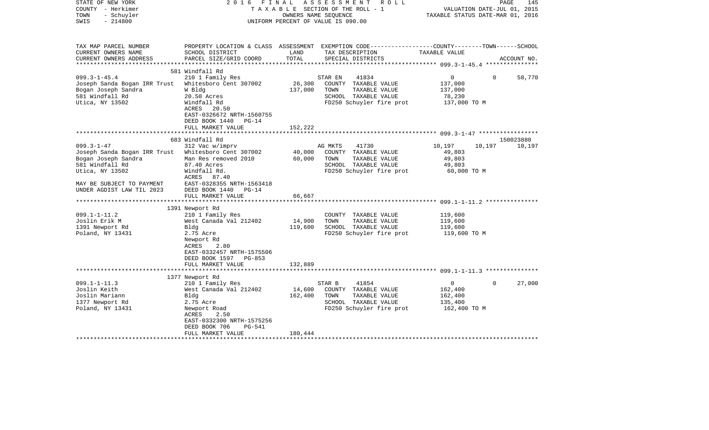| STATE OF NEW YORK<br>COUNTY - Herkimer<br>TOWN<br>- Schuyler<br>SWIS<br>$-214800$                                                                                                                                                                     | 2 0 1 6<br>FINAL                                                                                                                                                                                                                                                                                                                                                                   | OWNERS NAME SEQUENCE                            | A S S E S S M E N T<br>R O L L<br>T A X A B L E SECTION OF THE ROLL - 1<br>UNIFORM PERCENT OF VALUE IS 090.00                                                                                                              |                                                                                                      | PAGE<br>145<br>VALUATION DATE-JUL 01, 2015<br>TAXABLE STATUS DATE-MAR 01, 2016 |
|-------------------------------------------------------------------------------------------------------------------------------------------------------------------------------------------------------------------------------------------------------|------------------------------------------------------------------------------------------------------------------------------------------------------------------------------------------------------------------------------------------------------------------------------------------------------------------------------------------------------------------------------------|-------------------------------------------------|----------------------------------------------------------------------------------------------------------------------------------------------------------------------------------------------------------------------------|------------------------------------------------------------------------------------------------------|--------------------------------------------------------------------------------|
| TAX MAP PARCEL NUMBER<br>CURRENT OWNERS NAME                                                                                                                                                                                                          | SCHOOL DISTRICT                                                                                                                                                                                                                                                                                                                                                                    | LAND                                            | PROPERTY LOCATION & CLASS ASSESSMENT EXEMPTION CODE----------------COUNTY-------TOWN------SCHOOL<br>TAX DESCRIPTION TAXABLE VALUE                                                                                          |                                                                                                      |                                                                                |
| CURRENT OWNERS ADDRESS                                                                                                                                                                                                                                | PARCEL SIZE/GRID COORD                                                                                                                                                                                                                                                                                                                                                             | TOTAL                                           | SPECIAL DISTRICTS                                                                                                                                                                                                          |                                                                                                      | ACCOUNT NO.                                                                    |
|                                                                                                                                                                                                                                                       | 581 Windfall Rd                                                                                                                                                                                                                                                                                                                                                                    |                                                 |                                                                                                                                                                                                                            |                                                                                                      |                                                                                |
| $099.3 - 1 - 45.4$<br>Joseph Sanda Bogan IRR Trust<br>Bogan Joseph Sandra<br>581 Windfall Rd<br>Utica, NY 13502                                                                                                                                       | 210 1 Family Res<br>Whitesboro Cent 307002<br>W Bldg<br>20.50 Acres<br>Windfall Rd<br>ACRES<br>20.50                                                                                                                                                                                                                                                                               | 26,300<br>137,000                               | STAR EN<br>41834<br>COUNTY TAXABLE VALUE<br>TOWN<br>TAXABLE VALUE<br>SCHOOL TAXABLE VALUE<br>FD250 Schuyler fire prot                                                                                                      | $\overline{0}$<br>137,000<br>137,000<br>78,230<br>137,000 TO M                                       | $\Omega$<br>58,770                                                             |
|                                                                                                                                                                                                                                                       | EAST-0326672 NRTH-1560755<br>DEED BOOK 1440<br>$PG-14$<br>FULL MARKET VALUE                                                                                                                                                                                                                                                                                                        | 152,222                                         |                                                                                                                                                                                                                            |                                                                                                      |                                                                                |
|                                                                                                                                                                                                                                                       |                                                                                                                                                                                                                                                                                                                                                                                    | * * * * * * * * * * * * *                       |                                                                                                                                                                                                                            |                                                                                                      |                                                                                |
|                                                                                                                                                                                                                                                       | 683 Windfall Rd                                                                                                                                                                                                                                                                                                                                                                    |                                                 |                                                                                                                                                                                                                            |                                                                                                      | 150023880                                                                      |
| $099.3 - 1 - 47$<br>Joseph Sanda Bogan IRR Trust<br>Bogan Joseph Sandra<br>581 Windfall Rd<br>Utica, NY 13502<br>MAY BE SUBJECT TO PAYMENT<br>UNDER AGDIST LAW TIL 2023<br>$099.1 - 1 - 11.2$<br>Joslin Erik M<br>1391 Newport Rd<br>Poland, NY 13431 | 312 Vac w/imprv<br>Whitesboro Cent 307002<br>Man Res removed 2010<br>87.40 Acres<br>Windfall Rd.<br>ACRES 87.40<br>EAST-0328355 NRTH-1563418<br>DEED BOOK 1440<br>$PG-14$<br>FULL MARKET VALUE<br>******************************<br>1391 Newport Rd<br>210 1 Family Res<br>West Canada Val 212402<br>Bldg<br>2.75 Acre<br>Newport Rd<br>ACRES<br>2.80<br>EAST-0332457 NRTH-1575506 | 40,000<br>60,000<br>66,667<br>14,900<br>119,600 | AG MKTS<br>41730<br>COUNTY TAXABLE VALUE<br>TOWN<br>TAXABLE VALUE<br>SCHOOL TAXABLE VALUE<br>FD250 Schuyler fire prot<br>COUNTY TAXABLE VALUE<br>TOWN<br>TAXABLE VALUE<br>SCHOOL TAXABLE VALUE<br>FD250 Schuyler fire prot | 10,197<br>49,803<br>49,803<br>49,803<br>60,000 TO M<br>119,600<br>119,600<br>119,600<br>119,600 TO M | 10,197<br>10,197                                                               |
|                                                                                                                                                                                                                                                       | DEED BOOK 1597<br>PG-853<br>FULL MARKET VALUE                                                                                                                                                                                                                                                                                                                                      | 132,889                                         |                                                                                                                                                                                                                            |                                                                                                      |                                                                                |
|                                                                                                                                                                                                                                                       |                                                                                                                                                                                                                                                                                                                                                                                    | * * * * * * * * * * * *                         |                                                                                                                                                                                                                            |                                                                                                      |                                                                                |
| $099.1 - 1 - 11.3$                                                                                                                                                                                                                                    | 1377 Newport Rd<br>210 1 Family Res                                                                                                                                                                                                                                                                                                                                                |                                                 | STAR B<br>41854                                                                                                                                                                                                            | $\overline{0}$                                                                                       | 27,000<br>$\Omega$                                                             |
| Joslin Keith<br>Joslin Mariann<br>1377 Newport Rd<br>Poland, NY 13431                                                                                                                                                                                 | West Canada Val 212402<br>Bldg<br>2.75 Acre<br>Newport Road<br>ACRES<br>2.50<br>EAST-0332300 NRTH-1575256<br>DEED BOOK 706<br>PG-541<br>FULL MARKET VALUE                                                                                                                                                                                                                          | 14,600<br>162,400<br>180,444                    | COUNTY TAXABLE VALUE<br>TOWN<br>TAXABLE VALUE<br>SCHOOL TAXABLE VALUE<br>FD250 Schuyler fire prot                                                                                                                          | 162,400<br>162,400<br>135,400<br>162,400 TO M                                                        |                                                                                |
|                                                                                                                                                                                                                                                       |                                                                                                                                                                                                                                                                                                                                                                                    |                                                 |                                                                                                                                                                                                                            |                                                                                                      |                                                                                |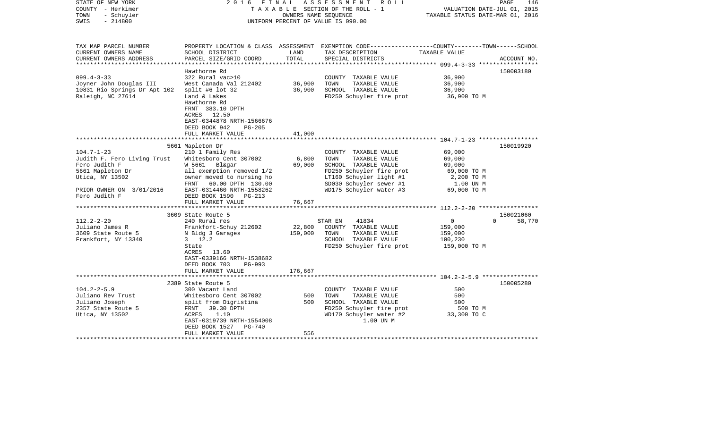| STATE OF NEW YORK<br>COUNTY - Herkimer<br>- Schuyler<br>TOWN<br>$-214800$<br>SWIS                                                                    |                                                                                                                                                                                                       | OWNERS NAME SEOUENCE | 2016 FINAL ASSESSMENT ROLL<br>TAXABLE SECTION OF THE ROLL - 1<br>UNIFORM PERCENT OF VALUE IS 090.00                                                                                | VALUATION DATE-JUL 01, 2015<br>TAXABLE STATUS DATE-MAR 01, 2016                     | 146<br>PAGE        |
|------------------------------------------------------------------------------------------------------------------------------------------------------|-------------------------------------------------------------------------------------------------------------------------------------------------------------------------------------------------------|----------------------|------------------------------------------------------------------------------------------------------------------------------------------------------------------------------------|-------------------------------------------------------------------------------------|--------------------|
| TAX MAP PARCEL NUMBER<br>CURRENT OWNERS NAME                                                                                                         | SCHOOL DISTRICT                                                                                                                                                                                       | LAND                 | PROPERTY LOCATION & CLASS ASSESSMENT EXEMPTION CODE----------------COUNTY-------TOWN------SCHOOL<br>TAX DESCRIPTION TAXABLE VALUE                                                  |                                                                                     |                    |
| CURRENT OWNERS ADDRESS                                                                                                                               | PARCEL SIZE/GRID COORD                                                                                                                                                                                | TOTAL                | SPECIAL DISTRICTS                                                                                                                                                                  |                                                                                     | ACCOUNT NO.        |
| $099.4 - 3 - 33$<br>Joyner John Douglas III<br>10831 Rio Springs Dr Apt 102<br>Raleigh, NC 27614                                                     | Hawthorne Rd<br>322 Rural vac>10<br>West Canada Val 212402 36,900<br>split #6 lot $32$<br>Land & Lakes<br>Hawthorne Rd<br>FRNT 383.10 DPTH<br>ACRES 12.50<br>EAST-0344878 NRTH-1566676                | 36,900               | COUNTY TAXABLE VALUE<br>TOWN<br>TAXABLE VALUE<br>SCHOOL TAXABLE VALUE<br>FD250 Schuyler fire prot 36,900 TO M                                                                      | 36,900<br>36,900<br>36,900                                                          | 150003180          |
|                                                                                                                                                      | DEED BOOK 942<br>PG-205<br>FULL MARKET VALUE                                                                                                                                                          | 41,000               |                                                                                                                                                                                    |                                                                                     |                    |
|                                                                                                                                                      | 5661 Mapleton Dr                                                                                                                                                                                      |                      |                                                                                                                                                                                    |                                                                                     | 150019920          |
| $104.7 - 1 - 23$<br>Judith F. Fero Living Trust<br>Fero Judith F<br>5661 Mapleton Dr<br>Utica, NY 13502<br>PRIOR OWNER ON 3/01/2016<br>Fero Judith F | 210 1 Family Res<br>Whitesboro Cent 307002<br>W 5661 Bl&gar<br>all exemption removed 1/2<br>owner moved to nursing ho<br>FRNT 60.00 DPTH 130.00<br>EAST-0314460 NRTH-1558262<br>DEED BOOK 1590 PG-213 | 6,800<br>69,000      | COUNTY TAXABLE VALUE<br>TOWN<br>TAXABLE VALUE<br>SCHOOL TAXABLE VALUE<br>FD250 Schuyler fire prot<br>LT160 Schuyler light #1<br>SD030 Schuyler sewer #1<br>WD175 Schuyler water #3 | 69,000<br>69,000<br>69,000<br>69,000 TO M<br>2,200 TO M<br>1.00 UN M<br>69,000 TO M |                    |
|                                                                                                                                                      | FULL MARKET VALUE                                                                                                                                                                                     | 76,667               |                                                                                                                                                                                    |                                                                                     |                    |
|                                                                                                                                                      | 3609 State Route 5                                                                                                                                                                                    |                      |                                                                                                                                                                                    |                                                                                     | 150021060          |
| $112.2 - 2 - 20$<br>Juliano James R<br>3609 State Route 5<br>Frankfort, NY 13340                                                                     | 240 Rural res<br>Frankfort-Schuy 212602<br>N Bldg 3 Garages<br>N Bldg 3 Garages 159,000<br>$3 \t12.2$<br>State<br>ACRES 13.60<br>EAST-0339166 NRTH-1538682<br>DEED BOOK 703<br>PG-993                 |                      | 41834<br>STAR EN<br>22,800 COUNTY TAXABLE VALUE<br>TOWN<br>TAXABLE VALUE<br>SCHOOL TAXABLE VALUE<br>FD250 Schuyler fire prot 159,000 TO M                                          | $\overline{0}$<br>159,000<br>159,000<br>100,230                                     | $\Omega$<br>58,770 |
|                                                                                                                                                      | FULL MARKET VALUE                                                                                                                                                                                     | 176,667              |                                                                                                                                                                                    |                                                                                     |                    |
|                                                                                                                                                      | 2389 State Route 5                                                                                                                                                                                    |                      |                                                                                                                                                                                    |                                                                                     | 150005280          |
| $104.2 - 2 - 5.9$<br>Juliano Rev Trust<br>Juliano Joseph<br>2357 State Route 5<br>Utica, NY 13502                                                    | 300 Vacant Land<br>Whitesboro Cent 307002<br>split from Digristina<br>FRNT 39.30 DPTH<br>ACRES<br>1.10<br>EAST-0319739 NRTH-1554008<br>DEED BOOK 1527 PG-740<br>FULL MARKET VALUE                     | 500<br>500<br>556    | COUNTY TAXABLE VALUE<br>TOWN<br>TAXABLE VALUE<br>SCHOOL TAXABLE VALUE<br>FD250 Schuyler fire prot<br>WD170 Schuyler water #2<br>1.00 UN M                                          | 500<br>500<br>500<br>500 TO M<br>יים טול<br>33,300 TO C                             |                    |
|                                                                                                                                                      |                                                                                                                                                                                                       |                      |                                                                                                                                                                                    |                                                                                     |                    |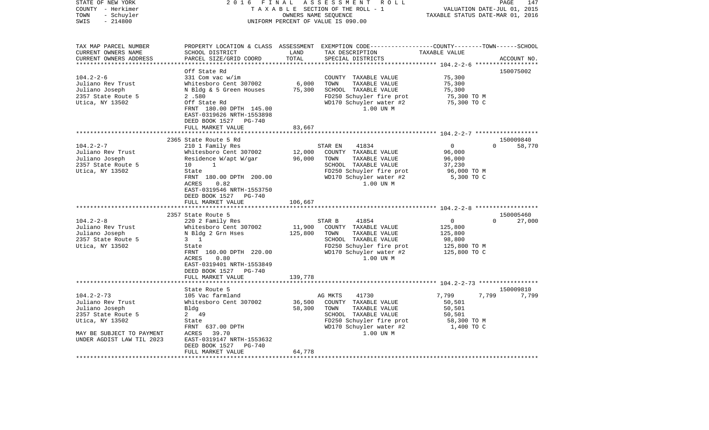| STATE OF NEW YORK<br>COUNTY - Herkimer<br>TOWN<br>- Schuyler<br>$-214800$<br>SWIS                                                                                                                  | 2016                                                                                                                                                                                                                                                                                                                                                                                                                                                             | FINAL                                                                 | ASSESSMENT<br>R O L L<br>TAXABLE SECTION OF THE ROLL - 1<br>OWNERS NAME SEQUENCE<br>UNIFORM PERCENT OF VALUE IS 090.00                                                                                                                                                                                                        | TAXABLE STATUS DATE-MAR 01, 2016                                                                                                                                                         | PAGE<br>147<br>VALUATION DATE-JUL 01, 2015                  |
|----------------------------------------------------------------------------------------------------------------------------------------------------------------------------------------------------|------------------------------------------------------------------------------------------------------------------------------------------------------------------------------------------------------------------------------------------------------------------------------------------------------------------------------------------------------------------------------------------------------------------------------------------------------------------|-----------------------------------------------------------------------|-------------------------------------------------------------------------------------------------------------------------------------------------------------------------------------------------------------------------------------------------------------------------------------------------------------------------------|------------------------------------------------------------------------------------------------------------------------------------------------------------------------------------------|-------------------------------------------------------------|
| TAX MAP PARCEL NUMBER<br>CURRENT OWNERS NAME<br>CURRENT OWNERS ADDRESS<br>**********************                                                                                                   | SCHOOL DISTRICT<br>PARCEL SIZE/GRID COORD                                                                                                                                                                                                                                                                                                                                                                                                                        | LAND<br>TOTAL                                                         | PROPERTY LOCATION & CLASS ASSESSMENT EXEMPTION CODE----------------COUNTY-------TOWN------SCHOOL<br>TAX DESCRIPTION<br>SPECIAL DISTRICTS                                                                                                                                                                                      | TAXABLE VALUE                                                                                                                                                                            | ACCOUNT NO.                                                 |
|                                                                                                                                                                                                    | Off State Rd                                                                                                                                                                                                                                                                                                                                                                                                                                                     |                                                                       |                                                                                                                                                                                                                                                                                                                               |                                                                                                                                                                                          | 150075002                                                   |
| $104.2 - 2 - 6$<br>Juliano Rev Trust<br>Juliano Joseph<br>2357 State Route 5<br>Utica, NY 13502                                                                                                    | 331 Com vac w/im<br>Whitesboro Cent 307002<br>N Bldg & 5 Green Houses<br>2.580<br>Off State Rd<br>FRNT 180.00 DPTH 145.00<br>EAST-0319626 NRTH-1553898<br>DEED BOOK 1527<br>$PG-740$                                                                                                                                                                                                                                                                             | 6,000<br>75,300                                                       | COUNTY TAXABLE VALUE<br>TOWN<br>TAXABLE VALUE<br>SCHOOL TAXABLE VALUE<br>FD250 Schuyler fire prot<br>WD170 Schuyler water #2<br>1.00 UN M                                                                                                                                                                                     | 75,300<br>75,300<br>75,300<br>75,300 TO M<br>75,300 TO C                                                                                                                                 |                                                             |
|                                                                                                                                                                                                    | FULL MARKET VALUE                                                                                                                                                                                                                                                                                                                                                                                                                                                | 83,667                                                                |                                                                                                                                                                                                                                                                                                                               |                                                                                                                                                                                          |                                                             |
|                                                                                                                                                                                                    | **********************                                                                                                                                                                                                                                                                                                                                                                                                                                           |                                                                       |                                                                                                                                                                                                                                                                                                                               |                                                                                                                                                                                          |                                                             |
| $104.2 - 2 - 7$<br>Juliano Rev Trust<br>Juliano Joseph<br>2357 State Route 5<br>Utica, NY 13502<br>$104.2 - 2 - 8$<br>Juliano Rev Trust<br>Juliano Joseph<br>2357 State Route 5<br>Utica, NY 13502 | 2365 State Route 5 Rd<br>210 1 Family Res<br>Whitesboro Cent 307002<br>Residence W/apt W/gar<br>10<br>1<br>State<br>FRNT 180.00 DPTH 200.00<br>ACRES<br>0.82<br>EAST-0319546 NRTH-1553750<br>DEED BOOK 1527<br>PG-740<br>FULL MARKET VALUE<br>2357 State Route 5<br>220 2 Family Res<br>Whitesboro Cent 307002<br>N Bldg 2 Grn Hses<br>$3 \quad 1$<br>State<br>FRNT 160.00 DPTH 220.00<br>ACRES<br>0.80<br>EAST-0319401 NRTH-1553849<br>DEED BOOK 1527<br>PG-740 | 12,000<br>96,000<br>106,667<br>* * * * * * * * *<br>11,900<br>125,800 | STAR EN<br>41834<br>COUNTY TAXABLE VALUE<br>TAXABLE VALUE<br>TOWN<br>SCHOOL TAXABLE VALUE<br>FD250 Schuyler fire prot<br>WD170 Schuyler water #2<br>1.00 UN M<br>STAR B<br>41854<br>COUNTY TAXABLE VALUE<br>TOWN<br>TAXABLE VALUE<br>SCHOOL TAXABLE VALUE<br>FD250 Schuyler fire prot<br>WD170 Schuyler water #2<br>1.00 UN M | 0<br>96,000<br>96,000<br>37,230<br>96,000 TO M<br>5,300 TO C<br>********************* 104.2-2-8 *******************<br>0<br>125,800<br>125,800<br>98,800<br>125,800 TO M<br>125,800 TO C | 150009840<br>0<br>58,770<br>150005460<br>$\Omega$<br>27,000 |
|                                                                                                                                                                                                    | FULL MARKET VALUE                                                                                                                                                                                                                                                                                                                                                                                                                                                | 139,778                                                               |                                                                                                                                                                                                                                                                                                                               | **************************** 104.2-2-73 ******************                                                                                                                               |                                                             |
|                                                                                                                                                                                                    | State Route 5                                                                                                                                                                                                                                                                                                                                                                                                                                                    |                                                                       |                                                                                                                                                                                                                                                                                                                               |                                                                                                                                                                                          | 150009810                                                   |
| $104.2 - 2 - 73$<br>Juliano Rev Trust<br>Juliano Joseph<br>2357 State Route 5<br>Utica, NY 13502<br>MAY BE SUBJECT TO PAYMENT<br>UNDER AGDIST LAW TIL 2023                                         | 105 Vac farmland<br>Whitesboro Cent 307002<br>Bldg<br>2 49<br>State<br>FRNT 637.00 DPTH<br>ACRES<br>39.70<br>EAST-0319147 NRTH-1553632<br>DEED BOOK 1527<br>PG-740                                                                                                                                                                                                                                                                                               | 36,500<br>58,300                                                      | AG MKTS<br>41730<br>COUNTY TAXABLE VALUE<br>TOWN<br>TAXABLE VALUE<br>SCHOOL TAXABLE VALUE<br>FD250 Schuyler fire prot<br>WD170 Schuyler water #2<br>1.00 UN M                                                                                                                                                                 | 7,799<br>50,501<br>50,501<br>50,501<br>58,300 TO M<br>1,400 TO C                                                                                                                         | 7,799<br>7,799                                              |
|                                                                                                                                                                                                    | FULL MARKET VALUE                                                                                                                                                                                                                                                                                                                                                                                                                                                | 64,778                                                                |                                                                                                                                                                                                                                                                                                                               |                                                                                                                                                                                          |                                                             |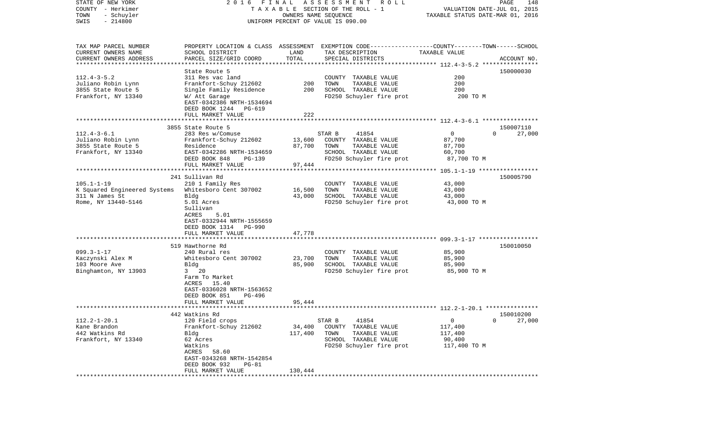| STATE OF NEW YORK            | 2016 FINAL                         |                                  | A S S E S S M E N T<br>R O L L                                                                   |                             | PAGE<br>148              |
|------------------------------|------------------------------------|----------------------------------|--------------------------------------------------------------------------------------------------|-----------------------------|--------------------------|
| COUNTY - Herkimer            |                                    |                                  | TAXABLE SECTION OF THE ROLL - 1                                                                  | VALUATION DATE-JUL 01, 2015 |                          |
| TOWN<br>- Schuyler           |                                    | TAXABLE STATUS DATE-MAR 01, 2016 |                                                                                                  |                             |                          |
| $-214800$<br>SWIS            | UNIFORM PERCENT OF VALUE IS 090.00 |                                  |                                                                                                  |                             |                          |
|                              |                                    |                                  |                                                                                                  |                             |                          |
| TAX MAP PARCEL NUMBER        |                                    |                                  | PROPERTY LOCATION & CLASS ASSESSMENT EXEMPTION CODE----------------COUNTY-------TOWN------SCHOOL |                             |                          |
| CURRENT OWNERS NAME          | SCHOOL DISTRICT                    | LAND                             | TAX DESCRIPTION                                                                                  | TAXABLE VALUE               |                          |
| CURRENT OWNERS ADDRESS       | PARCEL SIZE/GRID COORD             | TOTAL                            | SPECIAL DISTRICTS                                                                                |                             | ACCOUNT NO.              |
| *************************    |                                    |                                  |                                                                                                  |                             |                          |
|                              | State Route 5                      |                                  |                                                                                                  |                             | 150000030                |
| $112.4 - 3 - 5.2$            | 311 Res vac land                   |                                  | COUNTY TAXABLE VALUE                                                                             | 200                         |                          |
| Juliano Robin Lynn           | Frankfort-Schuy 212602             | 200                              | TOWN<br>TAXABLE VALUE                                                                            | 200                         |                          |
| 3855 State Route 5           | Single Family Residence            | 200                              | SCHOOL TAXABLE VALUE                                                                             | 200                         |                          |
| Frankfort, NY 13340          | W/ Att Garage                      |                                  | FD250 Schuyler fire prot                                                                         | 200 TO M                    |                          |
|                              | EAST-0342386 NRTH-1534694          |                                  |                                                                                                  |                             |                          |
|                              | DEED BOOK 1244 PG-619              |                                  |                                                                                                  |                             |                          |
|                              | FULL MARKET VALUE                  | 222                              |                                                                                                  |                             |                          |
|                              |                                    |                                  |                                                                                                  |                             |                          |
|                              | 3855 State Route 5                 |                                  |                                                                                                  |                             | 150007110                |
| $112.4 - 3 - 6.1$            | 283 Res w/Comuse                   |                                  | 41854<br>STAR B                                                                                  | $\mathbf 0$                 | 27,000<br>$\Omega$       |
| Juliano Robin Lynn           | Frankfort-Schuy 212602             | 13,600                           | COUNTY TAXABLE VALUE                                                                             | 87,700                      |                          |
| 3855 State Route 5           | Residence                          | 87,700                           | TOWN<br>TAXABLE VALUE                                                                            | 87,700                      |                          |
| Frankfort, NY 13340          | EAST-0342286 NRTH-1534659          |                                  | SCHOOL TAXABLE VALUE                                                                             | 60,700                      |                          |
|                              | DEED BOOK 848<br>PG-139            |                                  | FD250 Schuyler fire prot                                                                         | 87,700 TO M                 |                          |
|                              | FULL MARKET VALUE                  | 97,444                           |                                                                                                  |                             |                          |
|                              |                                    |                                  |                                                                                                  |                             |                          |
|                              | 241 Sullivan Rd                    |                                  |                                                                                                  |                             | 150005790                |
| $105.1 - 1 - 19$             | 210 1 Family Res                   |                                  | COUNTY TAXABLE VALUE                                                                             | 43,000                      |                          |
| K Squared Engineered Systems | Whitesboro Cent 307002             | 16,500                           | TAXABLE VALUE<br>TOWN                                                                            | 43,000                      |                          |
| 311 N James St               | Bldg                               | 43,000                           | SCHOOL TAXABLE VALUE                                                                             | 43,000                      |                          |
| Rome, NY 13440-5146          | 5.01 Acres                         |                                  | FD250 Schuyler fire prot                                                                         | 43,000 TO M                 |                          |
|                              | Sullivan                           |                                  |                                                                                                  |                             |                          |
|                              | 5.01<br>ACRES                      |                                  |                                                                                                  |                             |                          |
|                              | EAST-0332944 NRTH-1555659          |                                  |                                                                                                  |                             |                          |
|                              | DEED BOOK 1314 PG-990              |                                  |                                                                                                  |                             |                          |
|                              | FULL MARKET VALUE                  | 47,778                           |                                                                                                  |                             |                          |
|                              | ***************************        |                                  |                                                                                                  |                             |                          |
|                              | 519 Hawthorne Rd                   |                                  |                                                                                                  |                             | 150010050                |
| $099.3 - 1 - 17$             | 240 Rural res                      |                                  | COUNTY TAXABLE VALUE                                                                             | 85,900                      |                          |
| Kaczynski Alex M             | Whitesboro Cent 307002             | 23,700                           | TAXABLE VALUE<br>TOWN                                                                            | 85,900                      |                          |
| 103 Moore Ave                | Bldg                               | 85,900                           | SCHOOL TAXABLE VALUE                                                                             | 85,900                      |                          |
| Binghamton, NY 13903         | 20<br>3                            |                                  | FD250 Schuyler fire prot                                                                         | 85,900 TO M                 |                          |
|                              | Farm To Market                     |                                  |                                                                                                  |                             |                          |
|                              | ACRES 15.40                        |                                  |                                                                                                  |                             |                          |
|                              | EAST-0336028 NRTH-1563652          |                                  |                                                                                                  |                             |                          |
|                              | DEED BOOK 851<br>PG-496            |                                  |                                                                                                  |                             |                          |
|                              | FULL MARKET VALUE                  | 95,444                           |                                                                                                  |                             |                          |
|                              |                                    |                                  |                                                                                                  |                             |                          |
|                              | 442 Watkins Rd                     |                                  |                                                                                                  |                             | 150010200                |
| $112.2 - 1 - 20.1$           | 120 Field crops                    |                                  | 41854<br>STAR B                                                                                  | $\mathsf{O}$                | 27,000<br>$\overline{0}$ |
| Kane Brandon                 | Frankfort-Schuy 212602             | 34,400                           | COUNTY TAXABLE VALUE                                                                             | 117,400                     |                          |
| 442 Watkins Rd               | Bldg                               | 117,400                          | TOWN<br>TAXABLE VALUE                                                                            | 117,400                     |                          |
| Frankfort, NY 13340          | 62 Acres                           |                                  | SCHOOL TAXABLE VALUE                                                                             | 90,400                      |                          |
|                              | Watkins                            |                                  | FD250 Schuyler fire prot                                                                         | 117,400 TO M                |                          |
|                              | ACRES<br>58.60                     |                                  |                                                                                                  |                             |                          |
|                              | EAST-0343268 NRTH-1542854          |                                  |                                                                                                  |                             |                          |
|                              | DEED BOOK 932<br>PG-81             |                                  |                                                                                                  |                             |                          |
|                              | FULL MARKET VALUE                  | 130,444                          |                                                                                                  |                             |                          |
|                              |                                    |                                  |                                                                                                  |                             |                          |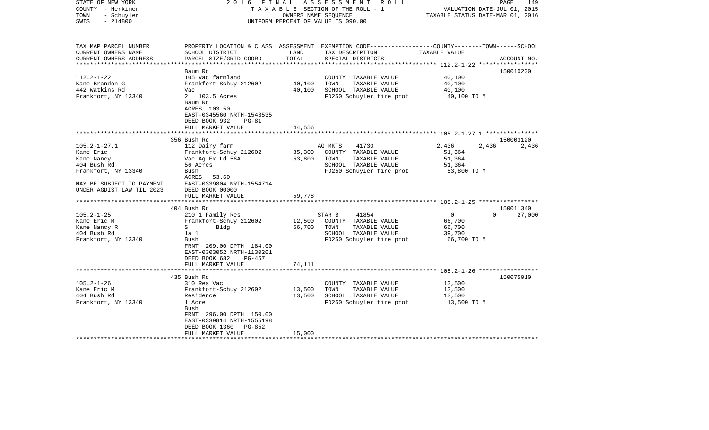| STATE OF NEW YORK<br>COUNTY - Herkimer<br>- Schuyler<br>TOWN<br>$-214800$<br>SWIS | 2016 FINAL                                                                                               |                  | ASSESSMENT ROLL<br>TAXABLE SECTION OF THE ROLL - 1<br>OWNERS NAME SEOUENCE<br>UNIFORM PERCENT OF VALUE IS 090.00                        | VALUATION DATE-JUL 01, 2015<br>TAXABLE STATUS DATE-MAR 01, 2016 | PAGE<br>149 |
|-----------------------------------------------------------------------------------|----------------------------------------------------------------------------------------------------------|------------------|-----------------------------------------------------------------------------------------------------------------------------------------|-----------------------------------------------------------------|-------------|
| TAX MAP PARCEL NUMBER<br>CURRENT OWNERS NAME<br>CURRENT OWNERS ADDRESS            | SCHOOL DISTRICT<br>PARCEL SIZE/GRID COORD                                                                | LAND<br>TOTAL    | PROPERTY LOCATION & CLASS ASSESSMENT EXEMPTION CODE---------------COUNTY-------TOWN------SCHOOL<br>TAX DESCRIPTION<br>SPECIAL DISTRICTS | TAXABLE VALUE                                                   | ACCOUNT NO. |
| **********************                                                            |                                                                                                          |                  |                                                                                                                                         |                                                                 |             |
| $112.2 - 1 - 22$<br>Kane Brandon G<br>442 Watkins Rd<br>Frankfort, NY 13340       | Baum Rd<br>105 Vac farmland<br>Frankfort-Schuy 212602<br>Vac<br>2 103.5 Acres<br>Baum Rd<br>ACRES 103.50 | 40,100<br>40,100 | COUNTY TAXABLE VALUE<br>TOWN<br>TAXABLE VALUE<br>SCHOOL TAXABLE VALUE<br>FD250 Schuyler fire prot                                       | 40,100<br>40,100<br>40,100<br>40,100 TO M                       | 150010230   |
|                                                                                   | EAST-0345560 NRTH-1543535<br>DEED BOOK 932<br>$PG-81$                                                    |                  |                                                                                                                                         |                                                                 |             |
|                                                                                   | FULL MARKET VALUE                                                                                        | 44,556           |                                                                                                                                         |                                                                 |             |
|                                                                                   |                                                                                                          | *********        |                                                                                                                                         | ****************************** 105.2-1-27.1 ***************     |             |
|                                                                                   | 356 Bush Rd                                                                                              |                  |                                                                                                                                         |                                                                 | 150003120   |
| $105.2 - 1 - 27.1$                                                                | 112 Dairy farm                                                                                           |                  | AG MKTS<br>41730                                                                                                                        | 2,436<br>2,436                                                  | 2,436       |
| Kane Eric<br>Kane Nancy                                                           | Frankfort-Schuy 212602<br>Vac Ag Ex Ld 56A                                                               | 35,300<br>53,800 | COUNTY TAXABLE VALUE<br>TOWN<br>TAXABLE VALUE                                                                                           | 51,364<br>51,364                                                |             |
| 404 Bush Rd                                                                       | 56 Acres                                                                                                 |                  | SCHOOL TAXABLE VALUE                                                                                                                    | 51,364                                                          |             |
| Frankfort, NY 13340                                                               | Bush                                                                                                     |                  | FD250 Schuyler fire prot                                                                                                                | 53,800 TO M                                                     |             |
| MAY BE SUBJECT TO PAYMENT<br>UNDER AGDIST LAW TIL 2023                            | ACRES 53.60<br>EAST-0339804 NRTH-1554714<br>DEED BOOK 00000                                              |                  |                                                                                                                                         |                                                                 |             |
|                                                                                   | FULL MARKET VALUE<br>***********                                                                         | 59,778           |                                                                                                                                         |                                                                 |             |
|                                                                                   | 404 Bush Rd                                                                                              |                  |                                                                                                                                         |                                                                 | 150011340   |
| $105.2 - 1 - 25$                                                                  | 210 1 Family Res                                                                                         |                  | 41854<br>STAR B                                                                                                                         | $\Omega$<br>$\Omega$                                            | 27,000      |
| Kane Eric M                                                                       | Frankfort-Schuy 212602                                                                                   | 12,500           | COUNTY TAXABLE VALUE                                                                                                                    | 66,700                                                          |             |
| Kane Nancy R                                                                      | S<br>Bldg                                                                                                | 66,700           | TOWN<br>TAXABLE VALUE                                                                                                                   | 66,700                                                          |             |
| 404 Bush Rd                                                                       | 1a 1                                                                                                     |                  | SCHOOL TAXABLE VALUE                                                                                                                    | 39,700                                                          |             |
| Frankfort, NY 13340                                                               | Bush<br>FRNT 209.00 DPTH 184.00<br>EAST-0303052 NRTH-1130201<br>DEED BOOK 682<br><b>PG-457</b>           |                  | FD250 Schuyler fire prot                                                                                                                | 66,700 TO M                                                     |             |
|                                                                                   | FULL MARKET VALUE                                                                                        | 74,111           |                                                                                                                                         |                                                                 |             |
|                                                                                   |                                                                                                          |                  |                                                                                                                                         |                                                                 |             |
| $105.2 - 1 - 26$                                                                  | 435 Bush Rd<br>310 Res Vac                                                                               |                  | COUNTY TAXABLE VALUE                                                                                                                    | 13,500                                                          | 150075010   |
| Kane Eric M                                                                       | Frankfort-Schuy 212602                                                                                   | 13,500           | TAXABLE VALUE<br>TOWN                                                                                                                   | 13,500                                                          |             |
| 404 Bush Rd                                                                       | Residence                                                                                                | 13,500           | SCHOOL TAXABLE VALUE                                                                                                                    | 13,500                                                          |             |
| Frankfort, NY 13340                                                               | 1 Acre<br>Bush<br>FRNT 296.00 DPTH 150.00<br>EAST-0339814 NRTH-1555198<br>DEED BOOK 1360 PG-852          |                  | FD250 Schuyler fire prot                                                                                                                | 13,500 TO M                                                     |             |
|                                                                                   | FULL MARKET VALUE                                                                                        | 15,000           |                                                                                                                                         |                                                                 |             |
|                                                                                   |                                                                                                          |                  |                                                                                                                                         |                                                                 |             |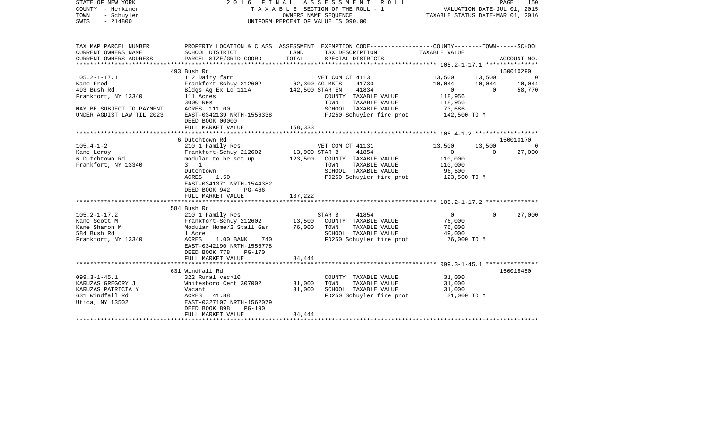| STATE OF NEW YORK<br>COUNTY - Herkimer<br>- Schuyler<br>TOWN<br>$-214800$<br>SWIS | 2016 FINAL ASSESSMENT ROLL<br>TAXABLE SECTION OF THE ROLL - 1<br>UNIFORM PERCENT OF VALUE IS 090.00 | TAXABLE STATUS DATE-MAR 01, 2016 | VALUATION DATE-JUL 01, 2015                                                                                         | PAGE<br>150    |          |             |
|-----------------------------------------------------------------------------------|-----------------------------------------------------------------------------------------------------|----------------------------------|---------------------------------------------------------------------------------------------------------------------|----------------|----------|-------------|
| TAX MAP PARCEL NUMBER<br>CURRENT OWNERS NAME                                      | SCHOOL DISTRICT                                                                                     | LAND                             | PROPERTY LOCATION & CLASS ASSESSMENT EXEMPTION CODE----------------COUNTY-------TOWN------SCHOOL<br>TAX DESCRIPTION | TAXABLE VALUE  |          |             |
| CURRENT OWNERS ADDRESS<br>***********************                                 | PARCEL SIZE/GRID COORD<br>*******************************                                           | TOTAL                            | SPECIAL DISTRICTS                                                                                                   |                |          | ACCOUNT NO. |
|                                                                                   | 493 Bush Rd                                                                                         |                                  |                                                                                                                     |                |          | 150010290   |
| $105.2 - 1 - 17.1$                                                                | 112 Dairy farm                                                                                      |                                  | VET COM CT 41131                                                                                                    | 13,500         | 13,500   | $\Omega$    |
| Kane Fred L                                                                       | Frankfort-Schuy 212602                                                                              | 62,300 AG MKTS                   | 41730                                                                                                               | 10,044         | 10,044   | 10,044      |
| 493 Bush Rd                                                                       | Bldgs Ag Ex Ld 111A                                                                                 |                                  | 142,500 STAR EN<br>41834                                                                                            | $\overline{0}$ | $\Omega$ | 58,770      |
| Frankfort, NY 13340                                                               | 111 Acres                                                                                           |                                  | COUNTY TAXABLE VALUE                                                                                                | 118,956        |          |             |
|                                                                                   | 3000 Res                                                                                            |                                  | TOWN<br>TAXABLE VALUE                                                                                               | 118,956        |          |             |
| MAY BE SUBJECT TO PAYMENT                                                         | ACRES 111.00                                                                                        |                                  | SCHOOL TAXABLE VALUE                                                                                                | 73,686         |          |             |
| UNDER AGDIST LAW TIL 2023                                                         | EAST-0342139 NRTH-1556338                                                                           |                                  | FD250 Schuyler fire prot                                                                                            | 142,500 TO M   |          |             |
|                                                                                   | DEED BOOK 00000                                                                                     |                                  |                                                                                                                     |                |          |             |
|                                                                                   | FULL MARKET VALUE<br>***********************                                                        | 158,333                          |                                                                                                                     |                |          |             |
|                                                                                   | 6 Dutchtown Rd                                                                                      |                                  |                                                                                                                     |                |          | 150010170   |
| $105.4 - 1 - 2$                                                                   | 210 1 Family Res                                                                                    |                                  | VET COM CT 41131                                                                                                    | 13,500         | 13,500   |             |
| Kane Leroy                                                                        | Frankfort-Schuy 212602                                                                              | 13,900 STAR B                    | 41854                                                                                                               | $\Omega$       | $\Omega$ | 27,000      |
| 6 Dutchtown Rd                                                                    | modular to be set up                                                                                | 123,500                          | COUNTY TAXABLE VALUE                                                                                                | 110,000        |          |             |
| Frankfort, NY 13340                                                               | $3 \quad 1$                                                                                         |                                  | TAXABLE VALUE<br>TOWN                                                                                               | 110,000        |          |             |
|                                                                                   | Dutchtown                                                                                           |                                  | SCHOOL TAXABLE VALUE                                                                                                | 96,500         |          |             |
|                                                                                   | <b>ACRES</b><br>1.50                                                                                |                                  | FD250 Schuyler fire prot                                                                                            | 123,500 TO M   |          |             |
|                                                                                   | EAST-0341371 NRTH-1544382                                                                           |                                  |                                                                                                                     |                |          |             |
|                                                                                   | DEED BOOK 942<br>PG-466                                                                             |                                  |                                                                                                                     |                |          |             |
|                                                                                   | FULL MARKET VALUE                                                                                   | 137,222                          |                                                                                                                     |                |          |             |
|                                                                                   | 584 Bush Rd                                                                                         |                                  |                                                                                                                     |                |          |             |
| $105.2 - 1 - 17.2$                                                                | 210 1 Family Res                                                                                    |                                  | 41854<br>STAR B                                                                                                     | $\Omega$       | $\Omega$ | 27,000      |
| Kane Scott M                                                                      | Frankfort-Schuy 212602                                                                              | 13,500                           | COUNTY TAXABLE VALUE                                                                                                | 76,000         |          |             |
| Kane Sharon M                                                                     | Modular Home/2 Stall Gar                                                                            | 76,000                           | TOWN<br>TAXABLE VALUE                                                                                               | 76,000         |          |             |
| 584 Bush Rd                                                                       | 1 Acre                                                                                              |                                  | SCHOOL TAXABLE VALUE                                                                                                | 49,000         |          |             |
| Frankfort, NY 13340                                                               | ACRES<br>1.00 BANK<br>740                                                                           |                                  | FD250 Schuyler fire prot                                                                                            | 76,000 TO M    |          |             |
|                                                                                   | EAST-0342190 NRTH-1556778                                                                           |                                  |                                                                                                                     |                |          |             |
|                                                                                   | DEED BOOK 778<br>$PG-170$                                                                           |                                  |                                                                                                                     |                |          |             |
|                                                                                   | FULL MARKET VALUE                                                                                   | 84,444                           |                                                                                                                     |                |          |             |
|                                                                                   |                                                                                                     |                                  |                                                                                                                     |                |          |             |
|                                                                                   | 631 Windfall Rd                                                                                     |                                  |                                                                                                                     |                |          | 150018450   |
| $099.3 - 1 - 45.1$                                                                | 322 Rural vac>10                                                                                    |                                  | COUNTY TAXABLE VALUE                                                                                                | 31,000         |          |             |
| KARUZAS GREGORY J                                                                 | Whitesboro Cent 307002                                                                              | 31,000                           | TOWN<br>TAXABLE VALUE                                                                                               | 31,000         |          |             |
| KARUZAS PATRICIA Y                                                                | Vacant                                                                                              | 31,000                           | SCHOOL TAXABLE VALUE                                                                                                | 31,000         |          |             |
| 631 Windfall Rd<br>Utica, NY 13502                                                | ACRES 41.88<br>EAST-0327107 NRTH-1562079                                                            |                                  | FD250 Schuyler fire prot                                                                                            | 31,000 TO M    |          |             |
|                                                                                   | DEED BOOK 898<br>$PG-190$                                                                           |                                  |                                                                                                                     |                |          |             |
|                                                                                   | FULL MARKET VALUE                                                                                   | 34,444                           |                                                                                                                     |                |          |             |
|                                                                                   |                                                                                                     |                                  |                                                                                                                     |                |          |             |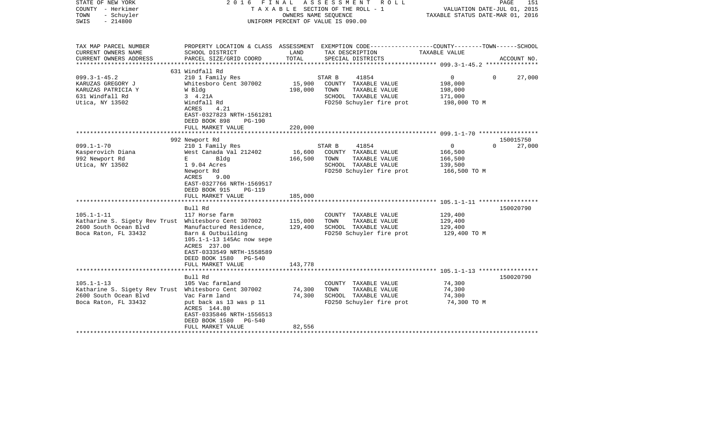| STATE OF NEW YORK<br>COUNTY - Herkimer<br>TOWN<br>- Schuyler<br>$-214800$<br>SWIS                                         | 2016<br>FINAL                                                                                                                                                         |                            | ASSESSMENT ROLL<br>TAXABLE SECTION OF THE ROLL - 1<br>OWNERS NAME SEOUENCE<br>UNIFORM PERCENT OF VALUE IS 090.00 | VALUATION DATE-JUL 01, 2015<br>TAXABLE STATUS DATE-MAR 01, 2016 | PAGE<br>151                     |
|---------------------------------------------------------------------------------------------------------------------------|-----------------------------------------------------------------------------------------------------------------------------------------------------------------------|----------------------------|------------------------------------------------------------------------------------------------------------------|-----------------------------------------------------------------|---------------------------------|
| TAX MAP PARCEL NUMBER                                                                                                     |                                                                                                                                                                       |                            | PROPERTY LOCATION & CLASS ASSESSMENT EXEMPTION CODE----------------COUNTY-------TOWN------SCHOOL                 |                                                                 |                                 |
| CURRENT OWNERS NAME<br>CURRENT OWNERS ADDRESS<br>**********************                                                   | SCHOOL DISTRICT<br>PARCEL SIZE/GRID COORD                                                                                                                             | LAND<br>TOTAL              | TAX DESCRIPTION<br>SPECIAL DISTRICTS                                                                             | TAXABLE VALUE                                                   | ACCOUNT NO.                     |
|                                                                                                                           | 631 Windfall Rd                                                                                                                                                       |                            |                                                                                                                  |                                                                 |                                 |
| $099.3 - 1 - 45.2$<br>KARUZAS GREGORY J<br>KARUZAS PATRICIA Y                                                             | 210 1 Family Res<br>Whitesboro Cent 307002<br>W Bldg                                                                                                                  | 15,900<br>198,000          | STAR B<br>41854<br>COUNTY TAXABLE VALUE<br>TOWN<br>TAXABLE VALUE                                                 | $\overline{0}$<br>198,000<br>198,000                            | $\Omega$<br>27,000              |
| 631 Windfall Rd<br>Utica, NY 13502                                                                                        | 3 4.21A<br>Windfall Rd<br>ACRES<br>4.21<br>EAST-0327823 NRTH-1561281<br>DEED BOOK 898<br><b>PG-190</b>                                                                |                            | SCHOOL TAXABLE VALUE<br>FD250 Schuyler fire prot                                                                 | 171,000<br>198,000 TO M                                         |                                 |
|                                                                                                                           | FULL MARKET VALUE                                                                                                                                                     | 220,000                    |                                                                                                                  |                                                                 |                                 |
|                                                                                                                           |                                                                                                                                                                       |                            |                                                                                                                  |                                                                 |                                 |
| $099.1 - 1 - 70$                                                                                                          | 992 Newport Rd<br>210 1 Family Res                                                                                                                                    |                            | 41854<br>STAR B                                                                                                  | 0                                                               | 150015750<br>27,000<br>$\Omega$ |
| Kasperovich Diana<br>992 Newport Rd<br>Utica, NY 13502                                                                    | West Canada Val 212402<br>E<br>Bldg<br>1 9.04 Acres                                                                                                                   | 16,600<br>166,500          | COUNTY TAXABLE VALUE<br>TOWN<br>TAXABLE VALUE<br>SCHOOL TAXABLE VALUE                                            | 166,500<br>166,500<br>139,500                                   |                                 |
|                                                                                                                           | Newport Rd<br>ACRES<br>9.00<br>EAST-0327766 NRTH-1569517<br>DEED BOOK 915<br><b>PG-119</b><br>FULL MARKET VALUE                                                       | 185,000                    | FD250 Schuyler fire prot                                                                                         | 166,500 TO M                                                    |                                 |
|                                                                                                                           |                                                                                                                                                                       |                            |                                                                                                                  |                                                                 |                                 |
| $105.1 - 1 - 11$                                                                                                          | Bull Rd<br>117 Horse farm                                                                                                                                             |                            | COUNTY TAXABLE VALUE                                                                                             | 129,400                                                         | 150020790                       |
| Katharine S. Sigety Rev Trust Whitesboro Cent 307002                                                                      |                                                                                                                                                                       | 115,000                    | TAXABLE VALUE<br>TOWN                                                                                            | 129,400                                                         |                                 |
| 2600 South Ocean Blvd<br>Boca Raton, FL 33432                                                                             | Manufactured Residence,<br>Barn & Outbuilding<br>105.1-1-13 145Ac now sepe<br>ACRES 237.00<br>EAST-0333549 NRTH-1558589<br>DEED BOOK 1580<br>PG-540                   | 129,400                    | SCHOOL TAXABLE VALUE<br>FD250 Schuyler fire prot                                                                 | 129,400<br>129,400 TO M                                         |                                 |
|                                                                                                                           | FULL MARKET VALUE                                                                                                                                                     | 143,778                    |                                                                                                                  |                                                                 |                                 |
|                                                                                                                           |                                                                                                                                                                       |                            |                                                                                                                  |                                                                 |                                 |
| $105.1 - 1 - 13$<br>Katharine S. Sigety Rev Trust Whitesboro Cent 307002<br>2600 South Ocean Blvd<br>Boca Raton, FL 33432 | Bull Rd<br>105 Vac farmland<br>Vac Farm land<br>put back as 13 was p 11<br>ACRES 144.80<br>EAST-0335846 NRTH-1556513<br>DEED BOOK 1580<br>PG-540<br>FULL MARKET VALUE | 74,300<br>74,300<br>82,556 | COUNTY TAXABLE VALUE<br>TOWN<br>TAXABLE VALUE<br>SCHOOL TAXABLE VALUE<br>FD250 Schuyler fire prot                | 74,300<br>74,300<br>74,300<br>74,300 TO M                       | 150020790                       |
|                                                                                                                           |                                                                                                                                                                       |                            |                                                                                                                  |                                                                 |                                 |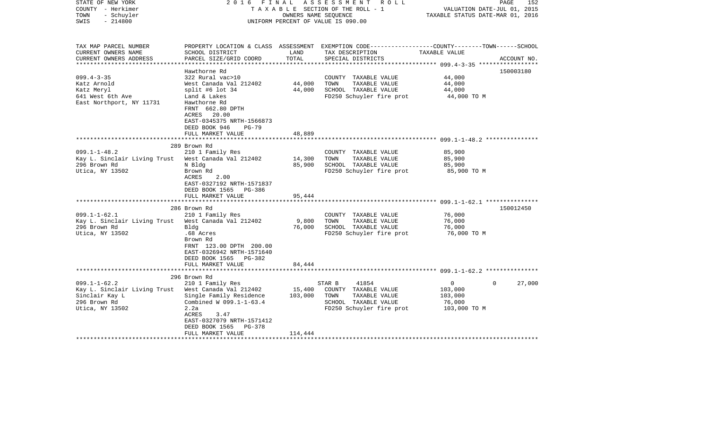| STATE OF NEW YORK<br>COUNTY - Herkimer<br>- Schuyler<br>TOWN<br>$-214800$<br>SWIS                                                                                                                     | FINAL<br>2016                                                                                                                                                                                                                                                                                             | OWNERS NAME SEQUENCE                          | ASSESSMENT ROLL<br>TAXABLE SECTION OF THE ROLL - 1<br>UNIFORM PERCENT OF VALUE IS 090.00                                                                                                               | VALUATION DATE-JUL 01, 2015<br>TAXABLE STATUS DATE-MAR 01, 2016                        | 152<br>PAGE |
|-------------------------------------------------------------------------------------------------------------------------------------------------------------------------------------------------------|-----------------------------------------------------------------------------------------------------------------------------------------------------------------------------------------------------------------------------------------------------------------------------------------------------------|-----------------------------------------------|--------------------------------------------------------------------------------------------------------------------------------------------------------------------------------------------------------|----------------------------------------------------------------------------------------|-------------|
| TAX MAP PARCEL NUMBER<br>CURRENT OWNERS NAME<br>CURRENT OWNERS ADDRESS                                                                                                                                | SCHOOL DISTRICT<br>PARCEL SIZE/GRID COORD                                                                                                                                                                                                                                                                 | LAND<br>TOTAL                                 | PROPERTY LOCATION & CLASS ASSESSMENT EXEMPTION CODE---------------COUNTY-------TOWN------SCHOOL<br>TAX DESCRIPTION<br>SPECIAL DISTRICTS                                                                | TAXABLE VALUE                                                                          | ACCOUNT NO. |
| $099.4 - 3 - 35$<br>Katz Arnold<br>Katz Meryl<br>641 West 6th Ave<br>East Northport, NY 11731                                                                                                         | Hawthorne Rd<br>322 Rural vac>10<br>West Canada Val 212402<br>split #6 lot $34$<br>Land & Lakes<br>Hawthorne Rd<br>FRNT 662.80 DPTH<br>ACRES 20.00<br>EAST-0345375 NRTH-1566873<br>DEED BOOK 946<br>$PG-79$                                                                                               | 44,000<br>44,000                              | COUNTY TAXABLE VALUE<br>TOWN<br>TAXABLE VALUE<br>SCHOOL TAXABLE VALUE<br>FD250 Schuyler fire prot                                                                                                      | 44,000<br>44,000<br>44,000<br>44,000 TO M                                              | 150003180   |
|                                                                                                                                                                                                       | FULL MARKET VALUE                                                                                                                                                                                                                                                                                         | 48,889                                        |                                                                                                                                                                                                        |                                                                                        |             |
|                                                                                                                                                                                                       |                                                                                                                                                                                                                                                                                                           |                                               |                                                                                                                                                                                                        |                                                                                        |             |
| $099.1 - 1 - 48.2$<br>Kay L. Sinclair Living Trust<br>296 Brown Rd<br>Utica, NY 13502<br>$099.1 - 1 - 62.1$<br>Kay L. Sinclair Living Trust West Canada Val 212402<br>296 Brown Rd<br>Utica, NY 13502 | 289 Brown Rd<br>210 1 Family Res<br>West Canada Val 212402<br>N Bldg<br>Brown Rd<br>2.00<br>ACRES<br>EAST-0327192 NRTH-1571837<br>DEED BOOK 1565 PG-386<br>FULL MARKET VALUE<br>286 Brown Rd<br>210 1 Family Res<br>Bldg<br>.68 Acres<br>Brown Rd<br>FRNT 123.00 DPTH 200.00<br>EAST-0326942 NRTH-1571640 | 14,300<br>85,900<br>95,444<br>9,800<br>76,000 | COUNTY TAXABLE VALUE<br>TOWN<br>TAXABLE VALUE<br>SCHOOL TAXABLE VALUE<br>FD250 Schuyler fire prot<br>COUNTY TAXABLE VALUE<br>TOWN<br>TAXABLE VALUE<br>SCHOOL TAXABLE VALUE<br>FD250 Schuyler fire prot | 85,900<br>85,900<br>85,900<br>85,900 TO M<br>76,000<br>76,000<br>76,000<br>76,000 TO M | 150012450   |
|                                                                                                                                                                                                       | DEED BOOK 1565 PG-382<br>FULL MARKET VALUE                                                                                                                                                                                                                                                                | 84,444                                        |                                                                                                                                                                                                        |                                                                                        |             |
|                                                                                                                                                                                                       |                                                                                                                                                                                                                                                                                                           |                                               |                                                                                                                                                                                                        |                                                                                        |             |
| $099.1 - 1 - 62.2$<br>Kay L. Sinclair Living Trust West Canada Val 212402<br>Sinclair Kay L<br>296 Brown Rd<br>Utica, NY 13502                                                                        | 296 Brown Rd<br>210 1 Family Res<br>Single Family Residence<br>Combined W 099.1-1-63.4<br>2.2a<br><b>ACRES</b><br>3.47<br>EAST-0327079 NRTH-1571412<br>DEED BOOK 1565<br>PG-378                                                                                                                           | 15,400<br>103,000                             | 41854<br>STAR B<br>COUNTY TAXABLE VALUE<br>TOWN<br>TAXABLE VALUE<br>SCHOOL TAXABLE VALUE<br>FD250 Schuyler fire prot                                                                                   | 0<br>$\Omega$<br>103,000<br>103,000<br>76,000<br>103,000 TO M                          | 27,000      |
| *******************                                                                                                                                                                                   | FULL MARKET VALUE<br>**********************                                                                                                                                                                                                                                                               | 114,444                                       |                                                                                                                                                                                                        |                                                                                        |             |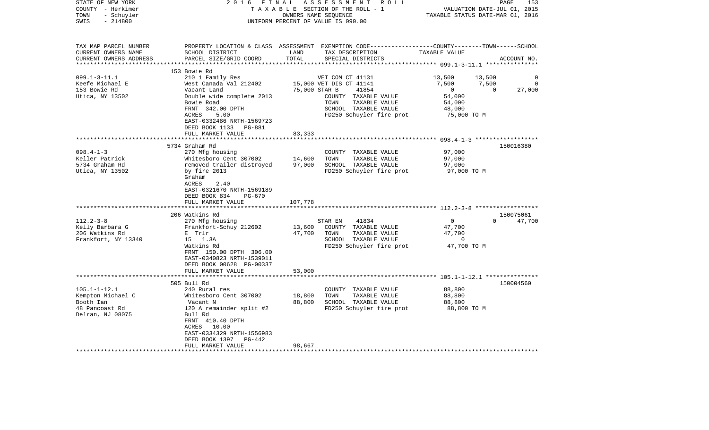| STATE OF NEW YORK<br>COUNTY - Herkimer<br>- Schuyler<br>TOWN<br>$-214800$<br>SWIS                  | 2 0 1 6<br>FINAL                                                                                                                              | TAXABLE SECTION OF THE ROLL - 1<br>UNIFORM PERCENT OF VALUE IS 090.00 | ASSESSMENT<br>OWNERS NAME SEQUENCE | R O L L                               | TAXABLE STATUS DATE-MAR 01, 2016 | PAGE<br>VALUATION DATE-JUL 01, 2015 | 153         |
|----------------------------------------------------------------------------------------------------|-----------------------------------------------------------------------------------------------------------------------------------------------|-----------------------------------------------------------------------|------------------------------------|---------------------------------------|----------------------------------|-------------------------------------|-------------|
| TAX MAP PARCEL NUMBER<br>CURRENT OWNERS NAME<br>CURRENT OWNERS ADDRESS<br>************************ | PROPERTY LOCATION & CLASS ASSESSMENT EXEMPTION CODE----------------COUNTY-------TOWN------SCHOOL<br>SCHOOL DISTRICT<br>PARCEL SIZE/GRID COORD | LAND<br>TOTAL                                                         | TAX DESCRIPTION                    | SPECIAL DISTRICTS                     | TAXABLE VALUE                    |                                     | ACCOUNT NO. |
|                                                                                                    | 153 Bowie Rd                                                                                                                                  |                                                                       |                                    |                                       |                                  |                                     |             |
| $099.1 - 3 - 11.1$                                                                                 | 210 1 Family Res                                                                                                                              |                                                                       | VET COM CT 41131                   |                                       | 13,500                           | 13,500                              | $\Omega$    |
| Keefe Michael E                                                                                    | West Canada Val 212402                                                                                                                        |                                                                       | 15,000 VET DIS CT 41141            |                                       | 7,500                            | 7,500                               | $\Omega$    |
| 153 Bowie Rd                                                                                       | Vacant Land                                                                                                                                   | 75,000 STAR B                                                         |                                    | 41854                                 | $\overline{0}$                   | $\Omega$                            | 27,000      |
| Utica, NY 13502                                                                                    | Double wide complete 2013<br>Bowie Road                                                                                                       |                                                                       | TOWN                               | COUNTY TAXABLE VALUE<br>TAXABLE VALUE | 54,000<br>54,000                 |                                     |             |
|                                                                                                    | FRNT 342.00 DPTH                                                                                                                              |                                                                       |                                    | SCHOOL TAXABLE VALUE                  | 48,000                           |                                     |             |
|                                                                                                    | ACRES<br>5.00                                                                                                                                 |                                                                       |                                    | FD250 Schuyler fire prot              | 75,000 TO M                      |                                     |             |
|                                                                                                    | EAST-0332486 NRTH-1569723                                                                                                                     |                                                                       |                                    |                                       |                                  |                                     |             |
|                                                                                                    | DEED BOOK 1133 PG-881                                                                                                                         |                                                                       |                                    |                                       |                                  |                                     |             |
|                                                                                                    | FULL MARKET VALUE                                                                                                                             | 83,333                                                                |                                    |                                       |                                  |                                     |             |
|                                                                                                    | **************************                                                                                                                    | ************                                                          |                                    |                                       |                                  |                                     |             |
|                                                                                                    | 5734 Graham Rd                                                                                                                                |                                                                       |                                    |                                       |                                  |                                     | 150016380   |
| $098.4 - 1 - 3$                                                                                    | 270 Mfg housing                                                                                                                               |                                                                       |                                    | COUNTY TAXABLE VALUE                  | 97,000                           |                                     |             |
| Keller Patrick                                                                                     | Whitesboro Cent 307002                                                                                                                        | 14,600                                                                | TOWN                               | TAXABLE VALUE                         | 97,000                           |                                     |             |
| 5734 Graham Rd                                                                                     | removed trailer distroyed                                                                                                                     | 97,000                                                                |                                    | SCHOOL TAXABLE VALUE                  | 97,000                           |                                     |             |
| Utica, NY 13502                                                                                    | by fire 2013<br>Graham<br>2.40<br>ACRES                                                                                                       |                                                                       |                                    | FD250 Schuyler fire prot              | 97,000 TO M                      |                                     |             |
|                                                                                                    | EAST-0321670 NRTH-1569189<br>DEED BOOK 834<br><b>PG-670</b>                                                                                   |                                                                       |                                    |                                       |                                  |                                     |             |
|                                                                                                    | FULL MARKET VALUE                                                                                                                             | 107,778                                                               |                                    |                                       |                                  |                                     |             |
|                                                                                                    | **********************                                                                                                                        |                                                                       |                                    |                                       |                                  |                                     |             |
|                                                                                                    | 206 Watkins Rd                                                                                                                                |                                                                       |                                    |                                       |                                  |                                     | 150075061   |
| $112.2 - 3 - 8$                                                                                    | 270 Mfg housing                                                                                                                               |                                                                       | STAR EN                            | 41834                                 | $\overline{0}$                   | $\Omega$                            | 47,700      |
| Kelly Barbara G                                                                                    | Frankfort-Schuy 212602                                                                                                                        | 13,600                                                                |                                    | COUNTY TAXABLE VALUE                  | 47,700                           |                                     |             |
| 206 Watkins Rd                                                                                     | E Trlr                                                                                                                                        | 47,700                                                                | TOWN                               | TAXABLE VALUE                         | 47,700                           |                                     |             |
| Frankfort, NY 13340                                                                                | 15 1.3A                                                                                                                                       |                                                                       |                                    | SCHOOL TAXABLE VALUE                  | $\mathbf 0$                      |                                     |             |
|                                                                                                    | Watkins Rd                                                                                                                                    |                                                                       |                                    | FD250 Schuyler fire prot              | 47,700 TO M                      |                                     |             |
|                                                                                                    | FRNT 150.00 DPTH 306.00<br>EAST-0340823 NRTH-1539011                                                                                          |                                                                       |                                    |                                       |                                  |                                     |             |
|                                                                                                    | DEED BOOK 00628 PG-00337                                                                                                                      |                                                                       |                                    |                                       |                                  |                                     |             |
|                                                                                                    | FULL MARKET VALUE                                                                                                                             | 53,000                                                                |                                    |                                       |                                  |                                     |             |
|                                                                                                    | ***********************                                                                                                                       |                                                                       |                                    |                                       |                                  |                                     |             |
|                                                                                                    | 505 Bull Rd                                                                                                                                   |                                                                       |                                    |                                       |                                  |                                     | 150004560   |
| $105.1 - 1 - 12.1$                                                                                 | 240 Rural res                                                                                                                                 |                                                                       |                                    | COUNTY TAXABLE VALUE                  | 88,800                           |                                     |             |
| Kempton Michael C                                                                                  | Whitesboro Cent 307002                                                                                                                        | 18,800                                                                | TOWN                               | TAXABLE VALUE                         | 88,800                           |                                     |             |
| Booth Ian                                                                                          | Vacant N                                                                                                                                      | 88,800                                                                |                                    | SCHOOL TAXABLE VALUE                  | 88,800                           |                                     |             |
| 48 Pancoast Rd                                                                                     | 120 A remainder split #2                                                                                                                      |                                                                       |                                    | FD250 Schuyler fire prot              | 88,800 TO M                      |                                     |             |
| Delran, NJ 08075                                                                                   | Bull Rd<br>FRNT 410.40 DPTH                                                                                                                   |                                                                       |                                    |                                       |                                  |                                     |             |
|                                                                                                    | ACRES 10.00                                                                                                                                   |                                                                       |                                    |                                       |                                  |                                     |             |
|                                                                                                    | EAST-0334329 NRTH-1556983<br>DEED BOOK 1397<br>PG-442                                                                                         |                                                                       |                                    |                                       |                                  |                                     |             |
|                                                                                                    | FULL MARKET VALUE                                                                                                                             | 98,667                                                                |                                    |                                       |                                  |                                     |             |
|                                                                                                    |                                                                                                                                               |                                                                       |                                    |                                       |                                  |                                     |             |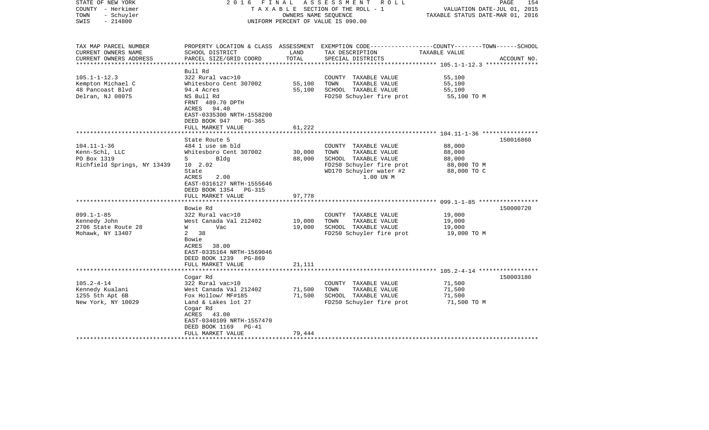| STATE OF NEW YORK<br>COUNTY - Herkimer<br>- Schuyler<br>TOWN<br>$-214800$<br>SWIS | FINAL<br>2016                                                                             |               | ASSESSMENT ROLL<br>TAXABLE SECTION OF THE ROLL - 1<br>OWNERS NAME SEQUENCE<br>UNIFORM PERCENT OF VALUE IS 090.00 | VALUATION DATE-JUL 01, 2015<br>TAXABLE STATUS DATE-MAR 01, 2016 | PAGE<br>154 |
|-----------------------------------------------------------------------------------|-------------------------------------------------------------------------------------------|---------------|------------------------------------------------------------------------------------------------------------------|-----------------------------------------------------------------|-------------|
|                                                                                   |                                                                                           |               |                                                                                                                  |                                                                 |             |
| TAX MAP PARCEL NUMBER                                                             |                                                                                           |               | PROPERTY LOCATION & CLASS ASSESSMENT EXEMPTION CODE---------------COUNTY-------TOWN------SCHOOL                  |                                                                 |             |
| CURRENT OWNERS NAME<br>CURRENT OWNERS ADDRESS                                     | SCHOOL DISTRICT<br>PARCEL SIZE/GRID COORD                                                 | LAND<br>TOTAL | TAX DESCRIPTION<br>SPECIAL DISTRICTS                                                                             | TAXABLE VALUE                                                   | ACCOUNT NO. |
|                                                                                   |                                                                                           |               |                                                                                                                  | ******************* 105.1-1-12.3 ****************               |             |
|                                                                                   | Bull Rd                                                                                   |               |                                                                                                                  |                                                                 |             |
| $105.1 - 1 - 12.3$                                                                | 322 Rural vac>10                                                                          |               | COUNTY TAXABLE VALUE                                                                                             | 55,100                                                          |             |
| Kempton Michael C                                                                 | Whitesboro Cent 307002                                                                    | 55,100        | TOWN<br>TAXABLE VALUE                                                                                            | 55,100                                                          |             |
| 48 Pancoast Blvd<br>Delran, NJ 08075                                              | 94.4 Acres<br>NS Bull Rd                                                                  | 55,100        | SCHOOL TAXABLE VALUE<br>FD250 Schuyler fire prot                                                                 | 55,100<br>55,100 TO M                                           |             |
|                                                                                   | FRNT 489.70 DPTH<br>ACRES 94.40<br>EAST-0335300 NRTH-1558200<br>DEED BOOK 947<br>$PG-365$ |               |                                                                                                                  |                                                                 |             |
|                                                                                   | FULL MARKET VALUE                                                                         | 61,222        |                                                                                                                  |                                                                 |             |
|                                                                                   |                                                                                           |               |                                                                                                                  |                                                                 |             |
|                                                                                   | State Route 5                                                                             |               |                                                                                                                  |                                                                 | 150016860   |
| $104.11 - 1 - 36$                                                                 | 484 1 use sm bld                                                                          |               | COUNTY TAXABLE VALUE                                                                                             | 88,000                                                          |             |
| Kenn-Schl, LLC                                                                    | Whitesboro Cent 307002                                                                    | 30,000        | TOWN<br>TAXABLE VALUE                                                                                            | 88,000                                                          |             |
| PO Box 1319<br>Richfield Springs, NY 13439                                        | $S \qquad \qquad$<br>Bldg                                                                 | 88,000        | SCHOOL TAXABLE VALUE<br>FD250 Schuyler fire prot                                                                 | 88,000                                                          |             |
|                                                                                   | 10 2.02<br>State                                                                          |               | WD170 Schuyler water #2                                                                                          | 88,000 TO M<br>88,000 TO C                                      |             |
|                                                                                   | ACRES<br>2.00                                                                             |               | 1.00 UN M                                                                                                        |                                                                 |             |
|                                                                                   | EAST-0316127 NRTH-1555646                                                                 |               |                                                                                                                  |                                                                 |             |
|                                                                                   | DEED BOOK 1354 PG-315                                                                     |               |                                                                                                                  |                                                                 |             |
|                                                                                   | FULL MARKET VALUE                                                                         | 97,778        |                                                                                                                  |                                                                 |             |
|                                                                                   |                                                                                           |               |                                                                                                                  |                                                                 |             |
|                                                                                   | Bowie Rd                                                                                  |               |                                                                                                                  |                                                                 | 150000720   |
| $099.1 - 1 - 85$                                                                  | 322 Rural vac>10                                                                          |               | COUNTY TAXABLE VALUE                                                                                             | 19,000                                                          |             |
| Kennedy John                                                                      | West Canada Val 212402                                                                    | 19,000        | TOWN<br>TAXABLE VALUE                                                                                            | 19,000                                                          |             |
| 2706 State Route 28                                                               | W<br>Vac                                                                                  | 19,000        | SCHOOL TAXABLE VALUE                                                                                             | 19,000                                                          |             |
| Mohawk, NY 13407                                                                  | 38<br>2                                                                                   |               | FD250 Schuyler fire prot                                                                                         | 19,000 TO M                                                     |             |
|                                                                                   | Bowie<br>ACRES 38.00                                                                      |               |                                                                                                                  |                                                                 |             |
|                                                                                   | EAST-0335164 NRTH-1569046                                                                 |               |                                                                                                                  |                                                                 |             |
|                                                                                   | DEED BOOK 1239<br>PG-869                                                                  |               |                                                                                                                  |                                                                 |             |
|                                                                                   | FULL MARKET VALUE                                                                         | 21,111        |                                                                                                                  |                                                                 |             |
|                                                                                   |                                                                                           |               |                                                                                                                  |                                                                 |             |
|                                                                                   | Cogar Rd                                                                                  |               |                                                                                                                  |                                                                 | 150003180   |
| $105.2 - 4 - 14$                                                                  | 322 Rural vac>10                                                                          |               | COUNTY TAXABLE VALUE                                                                                             | 71,500                                                          |             |
| Kennedy Kualani                                                                   | West Canada Val 212402                                                                    | 71,500        | TOWN<br>TAXABLE VALUE                                                                                            | 71,500                                                          |             |
| 1255 5th Apt 6B                                                                   | Fox Hollow/ MF#185                                                                        | 71,500        | SCHOOL TAXABLE VALUE                                                                                             | 71,500                                                          |             |
| New York, NY 10029                                                                | Land & Lakes lot 27                                                                       |               | FD250 Schuyler fire prot                                                                                         | 71,500 TO M                                                     |             |
|                                                                                   | Cogar Rd                                                                                  |               |                                                                                                                  |                                                                 |             |
|                                                                                   | ACRES 43.00<br>EAST-0340109 NRTH-1557470                                                  |               |                                                                                                                  |                                                                 |             |
|                                                                                   | DEED BOOK 1169<br>$PG-41$                                                                 |               |                                                                                                                  |                                                                 |             |
|                                                                                   | FULL MARKET VALUE                                                                         | 79,444        |                                                                                                                  |                                                                 |             |
|                                                                                   |                                                                                           |               |                                                                                                                  |                                                                 |             |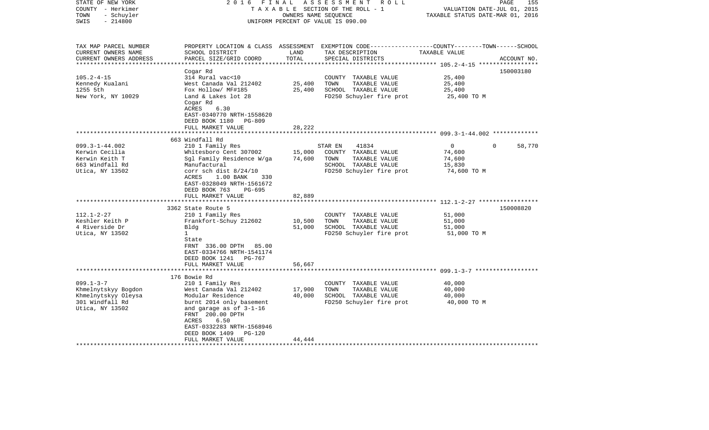| STATE OF NEW YORK<br>COUNTY - Herkimer<br>- Schuyler<br>TOWN<br>SWIS<br>$-214800$ | FINAL<br>2016                                                                                                                                       |               | ASSESSMENT ROLL<br>TAXABLE SECTION OF THE ROLL - 1<br>OWNERS NAME SEQUENCE<br>UNIFORM PERCENT OF VALUE IS 090.00                        | VALUATION DATE-JUL 01, 2015<br>TAXABLE STATUS DATE-MAR 01, 2016 | 155<br>PAGE        |
|-----------------------------------------------------------------------------------|-----------------------------------------------------------------------------------------------------------------------------------------------------|---------------|-----------------------------------------------------------------------------------------------------------------------------------------|-----------------------------------------------------------------|--------------------|
| TAX MAP PARCEL NUMBER<br>CURRENT OWNERS NAME<br>CURRENT OWNERS ADDRESS            | SCHOOL DISTRICT<br>PARCEL SIZE/GRID COORD                                                                                                           | LAND<br>TOTAL | PROPERTY LOCATION & CLASS ASSESSMENT EXEMPTION CODE---------------COUNTY-------TOWN------SCHOOL<br>TAX DESCRIPTION<br>SPECIAL DISTRICTS | TAXABLE VALUE                                                   | ACCOUNT NO.        |
| ***********************                                                           |                                                                                                                                                     |               |                                                                                                                                         |                                                                 |                    |
| $105.2 - 4 - 15$                                                                  | Cogar Rd<br>314 Rural vac<10                                                                                                                        |               | COUNTY TAXABLE VALUE                                                                                                                    | 25,400                                                          | 150003180          |
| Kennedy Kualani                                                                   | West Canada Val 212402                                                                                                                              | 25,400        | TOWN<br>TAXABLE VALUE                                                                                                                   | 25,400                                                          |                    |
| 1255 5th                                                                          | Fox Hollow/ MF#185                                                                                                                                  | 25,400        | SCHOOL TAXABLE VALUE                                                                                                                    | 25,400                                                          |                    |
| New York, NY 10029                                                                | Land & Lakes lot 28<br>Cogar Rd<br>ACRES<br>6.30<br>EAST-0340770 NRTH-1558620<br>DEED BOOK 1180<br>PG-809<br>FULL MARKET VALUE                      | 28,222        | FD250 Schuyler fire prot                                                                                                                | 25,400 TO M                                                     |                    |
|                                                                                   |                                                                                                                                                     |               |                                                                                                                                         |                                                                 |                    |
|                                                                                   | 663 Windfall Rd                                                                                                                                     |               |                                                                                                                                         |                                                                 |                    |
| $099.3 - 1 - 44.002$                                                              | 210 1 Family Res                                                                                                                                    |               | 41834<br>STAR EN                                                                                                                        | $\mathbf 0$                                                     | $\Omega$<br>58,770 |
| Kerwin Cecilia                                                                    | Whitesboro Cent 307002                                                                                                                              | 15,000        | COUNTY TAXABLE VALUE                                                                                                                    | 74,600                                                          |                    |
| Kerwin Keith T                                                                    | Sgl Family Residence W/ga                                                                                                                           | 74,600        | TOWN<br>TAXABLE VALUE                                                                                                                   | 74,600                                                          |                    |
| 663 Windfall Rd                                                                   | Manufactural                                                                                                                                        |               | SCHOOL TAXABLE VALUE                                                                                                                    | 15,830                                                          |                    |
| Utica, NY 13502                                                                   | corr sch dist $8/24/10$<br>1.00 BANK<br>ACRES<br>330<br>EAST-0328049 NRTH-1561672<br>DEED BOOK 763<br>PG-695                                        |               | FD250 Schuyler fire prot                                                                                                                | 74,600 TO M                                                     |                    |
|                                                                                   | FULL MARKET VALUE<br>***************************                                                                                                    | 82,889        |                                                                                                                                         |                                                                 |                    |
|                                                                                   | 3362 State Route 5                                                                                                                                  |               |                                                                                                                                         |                                                                 | 150008820          |
| $112.1 - 2 - 27$                                                                  | 210 1 Family Res                                                                                                                                    |               | COUNTY TAXABLE VALUE                                                                                                                    | 51,000                                                          |                    |
| Keshler Keith P                                                                   | Frankfort-Schuy 212602                                                                                                                              | 10,500        | TOWN<br>TAXABLE VALUE                                                                                                                   | 51,000                                                          |                    |
| 4 Riverside Dr                                                                    | Bldg                                                                                                                                                | 51,000        | SCHOOL TAXABLE VALUE                                                                                                                    | 51,000                                                          |                    |
| Utica, NY 13502                                                                   | $\mathbf{1}$                                                                                                                                        |               | FD250 Schuyler fire prot                                                                                                                | 51,000 TO M                                                     |                    |
|                                                                                   | State<br>FRNT 336.00 DPTH 85.00<br>EAST-0334766 NRTH-1541174<br>DEED BOOK 1241<br>PG-767<br>FULL MARKET VALUE                                       | 56,667        |                                                                                                                                         |                                                                 |                    |
|                                                                                   |                                                                                                                                                     |               |                                                                                                                                         |                                                                 |                    |
|                                                                                   | 176 Bowie Rd                                                                                                                                        |               |                                                                                                                                         |                                                                 |                    |
| $099.1 - 3 - 7$                                                                   | 210 1 Family Res                                                                                                                                    |               | COUNTY TAXABLE VALUE                                                                                                                    | 40,000                                                          |                    |
| Khmelnytskyy Bogdon                                                               | West Canada Val 212402                                                                                                                              | 17,900        | TAXABLE VALUE<br>TOWN                                                                                                                   | 40,000                                                          |                    |
| Khmelnytskyy Oleysa                                                               | Modular Residence                                                                                                                                   | 40,000        | SCHOOL TAXABLE VALUE                                                                                                                    | 40,000                                                          |                    |
| 301 Windfall Rd<br>Utica, NY 13502                                                | burnt 2014 only basement<br>and garage as of $3-1-16$<br>FRNT 200.00 DPTH<br>ACRES<br>6.50<br>EAST-0332283 NRTH-1568946<br>DEED BOOK 1409<br>PG-120 |               | FD250 Schuyler fire prot                                                                                                                | 40,000 TO M                                                     |                    |
|                                                                                   | FULL MARKET VALUE                                                                                                                                   | 44,444        |                                                                                                                                         |                                                                 |                    |
|                                                                                   |                                                                                                                                                     |               | ************************                                                                                                                |                                                                 |                    |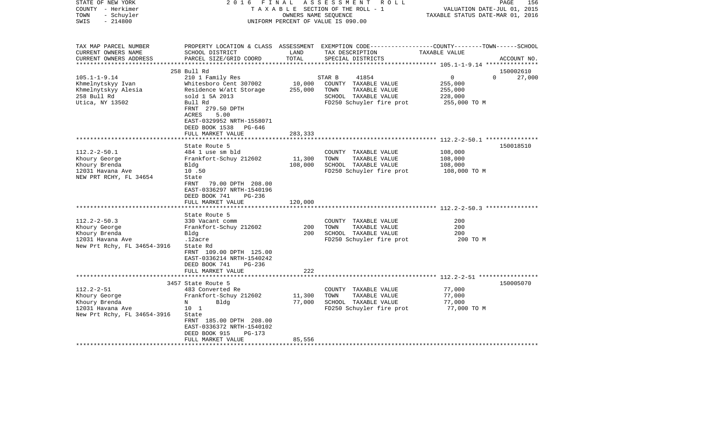| STATE OF NEW YORK<br>COUNTY - Herkimer<br>- Schuyler<br>TOWN<br>$-214800$<br>SWIS | 2 0 1 6<br>FINAL                               | OWNERS NAME SEQUENCE  | ASSESSMENT<br>R O L L<br>TAXABLE SECTION OF THE ROLL - 1<br>UNIFORM PERCENT OF VALUE IS 090.00 | PAGE<br>VALUATION DATE-JUL 01, 2015<br>TAXABLE STATUS DATE-MAR 01, 2016                                          | 156         |
|-----------------------------------------------------------------------------------|------------------------------------------------|-----------------------|------------------------------------------------------------------------------------------------|------------------------------------------------------------------------------------------------------------------|-------------|
| TAX MAP PARCEL NUMBER<br>CURRENT OWNERS NAME<br>CURRENT OWNERS ADDRESS            | SCHOOL DISTRICT<br>PARCEL SIZE/GRID COORD      | LAND<br>TOTAL         | TAX DESCRIPTION<br>SPECIAL DISTRICTS                                                           | PROPERTY LOCATION & CLASS ASSESSMENT EXEMPTION CODE---------------COUNTY-------TOWN------SCHOOL<br>TAXABLE VALUE | ACCOUNT NO. |
|                                                                                   | 258 Bull Rd                                    |                       |                                                                                                |                                                                                                                  | 150002610   |
| $105.1 - 1 - 9.14$                                                                | 210 1 Family Res                               |                       | 41854<br>STAR B                                                                                | $\mathbf{0}$<br>$\Omega$                                                                                         | 27,000      |
| Khmelnytskyy Ivan                                                                 | Whitesboro Cent 307002                         | 10,000                | COUNTY TAXABLE VALUE                                                                           | 255,000                                                                                                          |             |
| Khmelnytskyy Alesia                                                               | Residence W/att Storage                        | 255,000               | TOWN<br>TAXABLE VALUE                                                                          | 255,000                                                                                                          |             |
| 258 Bull Rd                                                                       | sold 1 5A 2013                                 |                       | SCHOOL TAXABLE VALUE                                                                           | 228,000                                                                                                          |             |
| Utica, NY 13502                                                                   | Bull Rd                                        |                       | FD250 Schuyler fire prot                                                                       | 255,000 TO M                                                                                                     |             |
|                                                                                   | FRNT 279.50 DPTH                               |                       |                                                                                                |                                                                                                                  |             |
|                                                                                   | 5.00<br>ACRES                                  |                       |                                                                                                |                                                                                                                  |             |
|                                                                                   | EAST-0329952 NRTH-1558071                      |                       |                                                                                                |                                                                                                                  |             |
|                                                                                   | DEED BOOK 1538 PG-646                          |                       |                                                                                                |                                                                                                                  |             |
|                                                                                   | FULL MARKET VALUE                              | 283,333               |                                                                                                |                                                                                                                  |             |
|                                                                                   |                                                |                       |                                                                                                |                                                                                                                  |             |
| $112.2 - 2 - 50.1$                                                                | State Route 5                                  |                       |                                                                                                |                                                                                                                  | 150018510   |
| Khoury George                                                                     | 484 1 use sm bld<br>Frankfort-Schuy 212602     | 11,300                | COUNTY TAXABLE VALUE<br>TOWN<br>TAXABLE VALUE                                                  | 108,000<br>108,000                                                                                               |             |
| Khoury Brenda                                                                     | Bldg                                           | 108,000               | SCHOOL TAXABLE VALUE                                                                           | 108,000                                                                                                          |             |
| 12031 Havana Ave                                                                  | 10.50                                          |                       | FD250 Schuyler fire prot                                                                       | 108,000 TO M                                                                                                     |             |
| NEW PRT RCHY, FL 34654                                                            | State                                          |                       |                                                                                                |                                                                                                                  |             |
|                                                                                   | FRNT<br>79.00 DPTH 208.00                      |                       |                                                                                                |                                                                                                                  |             |
|                                                                                   | EAST-0336297 NRTH-1540196                      |                       |                                                                                                |                                                                                                                  |             |
|                                                                                   | DEED BOOK 741<br>PG-236                        |                       |                                                                                                |                                                                                                                  |             |
|                                                                                   | FULL MARKET VALUE                              | 120,000               |                                                                                                |                                                                                                                  |             |
|                                                                                   |                                                |                       |                                                                                                |                                                                                                                  |             |
|                                                                                   | State Route 5                                  |                       |                                                                                                |                                                                                                                  |             |
| $112.2 - 2 - 50.3$                                                                | 330 Vacant comm                                |                       | COUNTY TAXABLE VALUE                                                                           | 200                                                                                                              |             |
| Khoury George                                                                     | Frankfort-Schuy 212602                         | 200                   | TOWN<br>TAXABLE VALUE                                                                          | 200                                                                                                              |             |
| Khoury Brenda                                                                     | Bldg                                           | 200                   | SCHOOL TAXABLE VALUE                                                                           | 200                                                                                                              |             |
| 12031 Havana Ave<br>New Prt Rchy, FL 34654-3916                                   | .12acre<br>State Rd                            |                       | FD250 Schuyler fire prot                                                                       | 200 TO M                                                                                                         |             |
|                                                                                   | FRNT 109.00 DPTH 125.00                        |                       |                                                                                                |                                                                                                                  |             |
|                                                                                   | EAST-0336214 NRTH-1540242                      |                       |                                                                                                |                                                                                                                  |             |
|                                                                                   | DEED BOOK 741<br>$PG-236$                      |                       |                                                                                                |                                                                                                                  |             |
|                                                                                   | FULL MARKET VALUE                              | 222                   |                                                                                                |                                                                                                                  |             |
|                                                                                   | ******************************                 | * * * * * * * * * * * |                                                                                                |                                                                                                                  |             |
|                                                                                   | 3457 State Route 5                             |                       |                                                                                                |                                                                                                                  | 150005070   |
| $112.2 - 2 - 51$                                                                  | 483 Converted Re                               |                       | COUNTY TAXABLE VALUE                                                                           | 77,000                                                                                                           |             |
| Khoury George                                                                     | Frankfort-Schuy 212602                         | 11,300                | TAXABLE VALUE<br>TOWN                                                                          | 77,000                                                                                                           |             |
| Khoury Brenda                                                                     | Bldg<br>N                                      | 77,000                | SCHOOL TAXABLE VALUE                                                                           | 77,000                                                                                                           |             |
| 12031 Havana Ave                                                                  | 10 <sub>1</sub>                                |                       | FD250 Schuyler fire prot                                                                       | 77,000 TO M                                                                                                      |             |
| New Prt Rchy, FL 34654-3916                                                       | State                                          |                       |                                                                                                |                                                                                                                  |             |
|                                                                                   | FRNT 185.00 DPTH 208.00                        |                       |                                                                                                |                                                                                                                  |             |
|                                                                                   | EAST-0336372 NRTH-1540102                      |                       |                                                                                                |                                                                                                                  |             |
|                                                                                   | DEED BOOK 915<br>$PG-173$<br>FULL MARKET VALUE | 85,556                |                                                                                                |                                                                                                                  |             |
|                                                                                   | **************************                     |                       |                                                                                                |                                                                                                                  |             |
|                                                                                   |                                                |                       |                                                                                                |                                                                                                                  |             |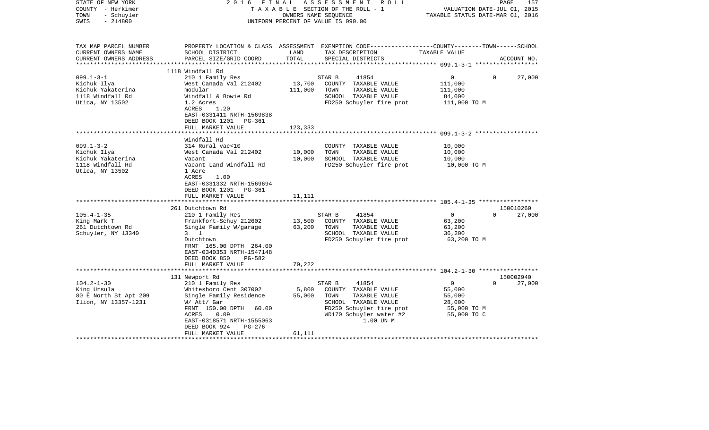| 2016                                                                                                                                                                                                            |                                                                 | R O L L                                                                                                                                            | VALUATION DATE-JUL 01, 2015<br>TAXABLE STATUS DATE-MAR 01, 2016                                                                                                   | $\mathop{\mathtt{PAGE}}$<br>157                                                                                                    |
|-----------------------------------------------------------------------------------------------------------------------------------------------------------------------------------------------------------------|-----------------------------------------------------------------|----------------------------------------------------------------------------------------------------------------------------------------------------|-------------------------------------------------------------------------------------------------------------------------------------------------------------------|------------------------------------------------------------------------------------------------------------------------------------|
| SCHOOL DISTRICT<br>PARCEL SIZE/GRID COORD                                                                                                                                                                       | LAND<br>TOTAL                                                   | TAX DESCRIPTION<br>SPECIAL DISTRICTS                                                                                                               | TAXABLE VALUE                                                                                                                                                     | ACCOUNT NO.                                                                                                                        |
| 1118 Windfall Rd                                                                                                                                                                                                |                                                                 |                                                                                                                                                    |                                                                                                                                                                   |                                                                                                                                    |
| 210 1 Family Res<br>West Canada Val 212402<br>modular<br>Windfall & Bowie Rd<br>1.2 Acres<br>ACRES<br>1.20<br>EAST-0331411 NRTH-1569838                                                                         | 13,700<br>111,000                                               | 41854<br>COUNTY TAXABLE VALUE<br>TOWN<br>TAXABLE VALUE<br>SCHOOL TAXABLE VALUE<br>FD250 Schuyler fire prot                                         | $\overline{0}$<br>$\Omega$<br>111,000<br>111,000<br>84,000<br>111,000 TO M                                                                                        | 27,000                                                                                                                             |
|                                                                                                                                                                                                                 |                                                                 |                                                                                                                                                    |                                                                                                                                                                   |                                                                                                                                    |
| Windfall Rd                                                                                                                                                                                                     |                                                                 |                                                                                                                                                    |                                                                                                                                                                   |                                                                                                                                    |
| 314 Rural vac<10<br>West Canada Val 212402<br>Vacant<br>Vacant Land Windfall Rd<br>1 Acre<br>ACRES<br>1.00<br>EAST-0331332 NRTH-1569694<br>DEED BOOK 1201<br>PG-361<br>FULL MARKET VALUE                        | 10,000<br>10,000<br>11,111                                      | COUNTY TAXABLE VALUE<br>TAXABLE VALUE<br>TOWN<br>SCHOOL TAXABLE VALUE<br>FD250 Schuyler fire prot                                                  | 10,000<br>10,000<br>10,000<br>10,000 TO M                                                                                                                         |                                                                                                                                    |
|                                                                                                                                                                                                                 |                                                                 |                                                                                                                                                    |                                                                                                                                                                   |                                                                                                                                    |
| 261 Dutchtown Rd<br>210 1 Family Res<br>Frankfort-Schuy 212602<br>Single Family W/garage<br>3 1<br>Dutchtown<br>FRNT 165.00 DPTH 264.00<br>EAST-0340353 NRTH-1547148<br>DEED BOOK 850<br>PG-582                 | 13,500<br>63,200                                                | 41854<br>COUNTY TAXABLE VALUE<br>TOWN<br>TAXABLE VALUE<br>SCHOOL TAXABLE VALUE<br>FD250 Schuyler fire prot                                         | $\Omega$<br>$\Omega$<br>63,200<br>63,200<br>36,200<br>63,200 TO M                                                                                                 | 150010260<br>27,000                                                                                                                |
| FULL MARKET VALUE                                                                                                                                                                                               | 70,222                                                          |                                                                                                                                                    |                                                                                                                                                                   |                                                                                                                                    |
|                                                                                                                                                                                                                 |                                                                 |                                                                                                                                                    |                                                                                                                                                                   | 150002940                                                                                                                          |
| 210 1 Family Res<br>Whitesboro Cent 307002<br>Single Family Residence<br>W/ Att/ Gar<br>FRNT 150.00 DPTH<br>60.00<br>ACRES<br>0.09<br>EAST-0318571 NRTH-1555063<br>DEED BOOK 924<br>PG-276<br>FULL MARKET VALUE | 5,800<br>55,000<br>61,111                                       | 41854<br>COUNTY TAXABLE VALUE<br>TOWN<br>TAXABLE VALUE<br>SCHOOL TAXABLE VALUE<br>FD250 Schuyler fire prot<br>WD170 Schuyler water #2<br>1.00 UN M | $\mathbf{0}$<br>$\Omega$<br>55,000<br>55,000<br>28,000<br>55,000 TO M<br>55,000 TO C                                                                              | 27,000                                                                                                                             |
|                                                                                                                                                                                                                 | DEED BOOK 1201<br>PG-361<br>FULL MARKET VALUE<br>131 Newport Rd | FINAL<br>123,333                                                                                                                                   | ASSESSMENT<br>T A X A B L E SECTION OF THE ROLL - 1<br>OWNERS NAME SEOUENCE<br>UNIFORM PERCENT OF VALUE IS 090.00<br>**************<br>STAR B<br>STAR B<br>STAR B | PROPERTY LOCATION & CLASS ASSESSMENT EXEMPTION CODE----------------COUNTY-------TOWN------SCHOOL<br>********* 099.1-3-2 ********** |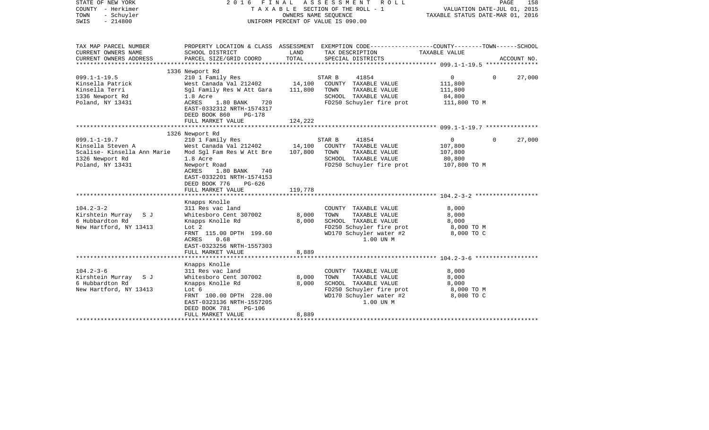| STATE OF NEW YORK<br>COUNTY - Herkimer<br>- Schuyler<br>TOWN<br>$-214800$<br>SWIS | 2 0 1 6<br>FINAL                           | OWNERS NAME SEQUENCE  | A S S E S S M E N T<br>R O L L<br>TAXABLE SECTION OF THE ROLL - 1<br>UNIFORM PERCENT OF VALUE IS 090.00            | VALUATION DATE-JUL 01, 2015<br>TAXABLE STATUS DATE-MAR 01, 2016 | PAGE        | 158         |
|-----------------------------------------------------------------------------------|--------------------------------------------|-----------------------|--------------------------------------------------------------------------------------------------------------------|-----------------------------------------------------------------|-------------|-------------|
| TAX MAP PARCEL NUMBER<br>CURRENT OWNERS NAME                                      | SCHOOL DISTRICT                            | LAND                  | PROPERTY LOCATION & CLASS ASSESSMENT EXEMPTION CODE---------------COUNTY-------TOWN------SCHOOL<br>TAX DESCRIPTION | TAXABLE VALUE                                                   |             |             |
| CURRENT OWNERS ADDRESS                                                            | PARCEL SIZE/GRID COORD                     | TOTAL                 | SPECIAL DISTRICTS                                                                                                  |                                                                 |             | ACCOUNT NO. |
| ***********************                                                           |                                            |                       |                                                                                                                    |                                                                 |             |             |
|                                                                                   | 1336 Newport Rd                            |                       |                                                                                                                    |                                                                 |             |             |
| $099.1 - 1 - 19.5$                                                                | 210 1 Family Res                           |                       | STAR B<br>41854                                                                                                    | 0                                                               | $\Omega$    | 27,000      |
| Kinsella Patrick                                                                  | West Canada Val 212402                     | 14,100                | COUNTY TAXABLE VALUE                                                                                               | 111,800                                                         |             |             |
| Kinsella Terri                                                                    | Sgl Family Res W Att Gara                  | 111,800               | TOWN<br>TAXABLE VALUE                                                                                              | 111,800                                                         |             |             |
| 1336 Newport Rd                                                                   | 1.8 Acre                                   |                       | SCHOOL TAXABLE VALUE                                                                                               | 84,800                                                          |             |             |
| Poland, NY 13431                                                                  | 720<br>ACRES<br>1.80 BANK                  |                       | FD250 Schuyler fire prot                                                                                           | 111,800 TO M                                                    |             |             |
|                                                                                   | EAST-0332312 NRTH-1574317                  |                       |                                                                                                                    |                                                                 |             |             |
|                                                                                   | DEED BOOK 860<br>$PG-178$                  |                       |                                                                                                                    |                                                                 |             |             |
|                                                                                   | FULL MARKET VALUE                          | 124,222               |                                                                                                                    |                                                                 |             |             |
|                                                                                   | 1326 Newport Rd                            |                       |                                                                                                                    |                                                                 |             |             |
| $099.1 - 1 - 19.7$                                                                | 210 1 Family Res                           |                       | STAR B<br>41854                                                                                                    | $\mathbf 0$                                                     | $\mathbf 0$ | 27,000      |
| Kinsella Steven A                                                                 | West Canada Val 212402                     | 14,100                | COUNTY TAXABLE VALUE                                                                                               | 107,800                                                         |             |             |
| Scalise- Kinsella Ann Marie                                                       | Mod Sql Fam Res W Att Bre                  | 107,800               | TOWN<br>TAXABLE VALUE                                                                                              | 107,800                                                         |             |             |
| 1326 Newport Rd                                                                   | 1.8 Acre                                   |                       | SCHOOL TAXABLE VALUE                                                                                               | 80,800                                                          |             |             |
| Poland, NY 13431                                                                  | Newport Road                               |                       | FD250 Schuyler fire prot                                                                                           | 107,800 то м                                                    |             |             |
|                                                                                   | ACRES<br>1.80 BANK<br>740                  |                       |                                                                                                                    |                                                                 |             |             |
|                                                                                   | EAST-0332201 NRTH-1574153                  |                       |                                                                                                                    |                                                                 |             |             |
|                                                                                   | DEED BOOK 776<br>PG-626                    |                       |                                                                                                                    |                                                                 |             |             |
|                                                                                   | FULL MARKET VALUE                          | 119,778               |                                                                                                                    |                                                                 |             |             |
|                                                                                   | ********************                       | * * * * * * * * * * * |                                                                                                                    |                                                                 |             |             |
|                                                                                   | Knapps Knolle                              |                       |                                                                                                                    |                                                                 |             |             |
| $104.2 - 3 - 2$                                                                   | 311 Res vac land                           |                       | COUNTY TAXABLE VALUE                                                                                               | 8,000                                                           |             |             |
| Kirshtein Murray<br>S J<br>6 Hubbardton Rd                                        | Whitesboro Cent 307002<br>Knapps Knolle Rd | 8,000<br>8,000        | TOWN<br>TAXABLE VALUE<br>SCHOOL TAXABLE VALUE                                                                      | 8,000<br>8,000                                                  |             |             |
| New Hartford, NY 13413                                                            | Lot 2                                      |                       | FD250 Schuyler fire prot                                                                                           | 8,000 TO M                                                      |             |             |
|                                                                                   | FRNT 115.00 DPTH 199.60                    |                       | WD170 Schuyler water #2                                                                                            | 8,000 TO C                                                      |             |             |
|                                                                                   | 0.68<br>ACRES                              |                       | 1.00 UN M                                                                                                          |                                                                 |             |             |
|                                                                                   | EAST-0323256 NRTH-1557303                  |                       |                                                                                                                    |                                                                 |             |             |
|                                                                                   | FULL MARKET VALUE                          | 8,889                 |                                                                                                                    |                                                                 |             |             |
|                                                                                   |                                            |                       |                                                                                                                    | **************** 104.2-3-6 ****                                 |             |             |
|                                                                                   | Knapps Knolle                              |                       |                                                                                                                    |                                                                 |             |             |
| $104.2 - 3 - 6$                                                                   | 311 Res vac land                           |                       | COUNTY TAXABLE VALUE                                                                                               | 8,000                                                           |             |             |
| Kirshtein Murray<br>S J                                                           | Whitesboro Cent 307002                     | 8,000                 | TOWN<br>TAXABLE VALUE                                                                                              | 8,000                                                           |             |             |
| 6 Hubbardton Rd                                                                   | Knapps Knolle Rd                           | 8,000                 | SCHOOL TAXABLE VALUE                                                                                               | 8,000                                                           |             |             |
| New Hartford, NY 13413                                                            | Lot 6                                      |                       | FD250 Schuyler fire prot                                                                                           | 8,000 TO M                                                      |             |             |
|                                                                                   | FRNT 100.00 DPTH 228.00                    |                       | WD170 Schuyler water #2                                                                                            | 8,000 TO C                                                      |             |             |
|                                                                                   | EAST-0323136 NRTH-1557205                  |                       | 1.00 UN M                                                                                                          |                                                                 |             |             |
|                                                                                   | $PG-106$<br>DEED BOOK 781                  |                       |                                                                                                                    |                                                                 |             |             |
|                                                                                   | FULL MARKET VALUE<br>********************* | 8,889                 |                                                                                                                    |                                                                 |             |             |
|                                                                                   |                                            |                       |                                                                                                                    |                                                                 |             |             |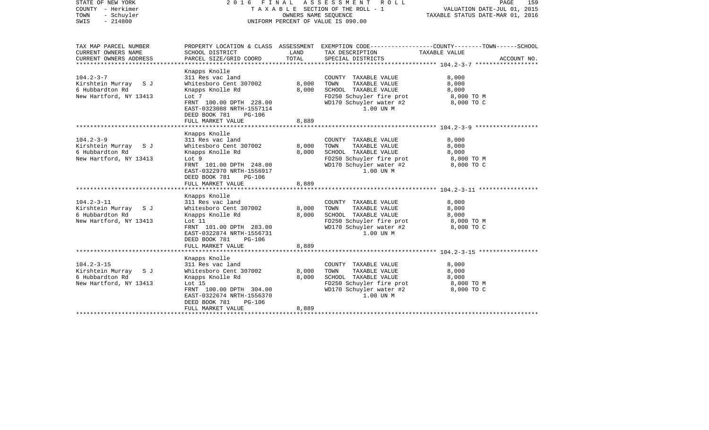| STATE OF NEW YORK<br>COUNTY - Herkimer<br>TOWN<br>- Schuyler<br>$-214800$<br>SWIS                 | 2016 FINAL ASSESSMENT ROLL                                                                                                                                                                                                           | TAXABLE SECTION OF THE ROLL - 1<br>OWNERS NAME SEQUENCE<br>UNIFORM PERCENT OF VALUE IS 090.00 | PAGE<br>159<br>VALUATION DATE-JUL 01, 2015<br>TAXABLE STATUS DATE-MAR 01, 2016                                                            |                                                                                                                                  |
|---------------------------------------------------------------------------------------------------|--------------------------------------------------------------------------------------------------------------------------------------------------------------------------------------------------------------------------------------|-----------------------------------------------------------------------------------------------|-------------------------------------------------------------------------------------------------------------------------------------------|----------------------------------------------------------------------------------------------------------------------------------|
| TAX MAP PARCEL NUMBER<br>CURRENT OWNERS NAME<br>CURRENT OWNERS ADDRESS<br>*********************** | SCHOOL DISTRICT<br>PARCEL SIZE/GRID COORD                                                                                                                                                                                            | LAND<br>TOTAL                                                                                 | TAX DESCRIPTION<br>SPECIAL DISTRICTS                                                                                                      | PROPERTY LOCATION & CLASS ASSESSMENT EXEMPTION CODE----------------COUNTY-------TOWN------SCHOOL<br>TAXABLE VALUE<br>ACCOUNT NO. |
| $104.2 - 3 - 7$<br>Kirshtein Murray SJ<br>6 Hubbardton Rd<br>New Hartford, NY 13413               | Knapps Knolle<br>311 Res vac land<br>Whitesboro Cent 307002<br>Knapps Knolle Rd<br>Lot 7<br>FRNT 100.00 DPTH 228.00<br>EAST-0323088 NRTH-1557114<br>DEED BOOK 781<br><b>PG-106</b><br>FULL MARKET VALUE                              | 8,000<br>8,000<br>8,889                                                                       | COUNTY TAXABLE VALUE<br>TOWN<br>TAXABLE VALUE<br>SCHOOL TAXABLE VALUE<br>FD250 Schuyler fire prot<br>WD170 Schuyler water #2<br>1.00 UN M | 8,000<br>8,000<br>8,000<br>8,000 TO M<br>8,000 TO C                                                                              |
| $104.2 - 3 - 9$<br>Kirshtein Murray SJ<br>6 Hubbardton Rd<br>New Hartford, NY 13413               | Knapps Knolle<br>311 Res vac land<br>Whitesboro Cent 307002<br>Knapps Knolle Rd<br>Lot 9<br>FRNT 101.00 DPTH 248.00<br>EAST-0322970 NRTH-1556917<br>DEED BOOK 781<br>PG-106<br>FULL MARKET VALUE                                     | 8,000<br>8,000<br>8,889                                                                       | COUNTY TAXABLE VALUE<br>TOWN<br>TAXABLE VALUE<br>SCHOOL TAXABLE VALUE<br>FD250 Schuyler fire prot<br>WD170 Schuyler water #2<br>1.00 UN M | 8,000<br>8,000<br>8,000<br>8,000 TO M<br>8,000 TO C                                                                              |
| $104.2 - 3 - 11$<br>Kirshtein Murray SJ<br>6 Hubbardton Rd<br>New Hartford, NY 13413              | Knapps Knolle<br>311 Res vac land<br>Whitesboro Cent 307002<br>Knapps Knolle Rd<br>Lot 11<br>FRNT 101.00 DPTH 283.00<br>EAST-0322874 NRTH-1556731<br>DEED BOOK 781<br><b>PG-106</b><br>FULL MARKET VALUE<br>************************ | 8,000<br>8,000<br>8,889                                                                       | COUNTY TAXABLE VALUE<br>TAXABLE VALUE<br>TOWN<br>SCHOOL TAXABLE VALUE<br>FD250 Schuyler fire prot<br>WD170 Schuyler water #2<br>1.00 UN M | 8,000<br>8,000<br>8,000<br>8,000 TO M<br>8,000 TO C                                                                              |
| $104.2 - 3 - 15$<br>Kirshtein Murray SJ<br>6 Hubbardton Rd<br>New Hartford, NY 13413              | Knapps Knolle<br>311 Res vac land<br>Whitesboro Cent 307002<br>Knapps Knolle Rd<br>Lot $15$<br>FRNT 100.00 DPTH 304.00<br>EAST-0322674 NRTH-1556370<br>DEED BOOK 781<br>PG-106<br>FULL MARKET VALUE                                  | 8,000<br>8,000<br>8,889                                                                       | COUNTY TAXABLE VALUE<br>TOWN<br>TAXABLE VALUE<br>SCHOOL TAXABLE VALUE<br>FD250 Schuyler fire prot<br>WD170 Schuyler water #2<br>1.00 UN M | 8,000<br>8,000<br>8,000<br>8,000 TO M<br>8,000 TO C                                                                              |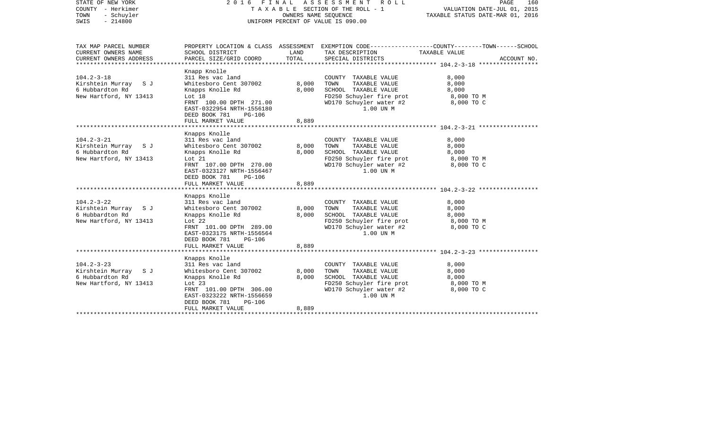| STATE OF NEW YORK<br>COUNTY - Herkimer<br>- Schuyler<br>TOWN<br>$-214800$<br>SWIS                   | 2016 FINAL                                                                                                                                                                                                 | OWNERS NAME SEOUENCE    | ASSESSMENT ROLL<br>TAXABLE SECTION OF THE ROLL - 1<br>UNIFORM PERCENT OF VALUE IS 090.00                                                  | PAGE<br>160<br>VALUATION DATE-JUL 01, 2015<br>TAXABLE STATUS DATE-MAR 01, 2016                                                  |
|-----------------------------------------------------------------------------------------------------|------------------------------------------------------------------------------------------------------------------------------------------------------------------------------------------------------------|-------------------------|-------------------------------------------------------------------------------------------------------------------------------------------|---------------------------------------------------------------------------------------------------------------------------------|
| TAX MAP PARCEL NUMBER<br>CURRENT OWNERS NAME<br>CURRENT OWNERS ADDRESS<br>************************* | SCHOOL DISTRICT<br>PARCEL SIZE/GRID COORD                                                                                                                                                                  | LAND<br>TOTAL           | TAX DESCRIPTION<br>SPECIAL DISTRICTS                                                                                                      | PROPERTY LOCATION & CLASS ASSESSMENT EXEMPTION CODE---------------COUNTY-------TOWN------SCHOOL<br>TAXABLE VALUE<br>ACCOUNT NO. |
| $104.2 - 3 - 18$<br>Kirshtein Murray S J<br>6 Hubbardton Rd<br>New Hartford, NY 13413               | Knapp Knolle<br>311 Res vac land<br>Whitesboro Cent 307002<br>Knapps Knolle Rd<br>Lot 18<br>FRNT 100.00 DPTH 271.00<br>EAST-0322954 NRTH-1556180<br>DEED BOOK 781<br><b>PG-106</b><br>FULL MARKET VALUE    | 8,000<br>8,000<br>8,889 | COUNTY TAXABLE VALUE<br>TOWN<br>TAXABLE VALUE<br>SCHOOL TAXABLE VALUE<br>FD250 Schuyler fire prot<br>WD170 Schuyler water #2<br>1.00 UN M | 8,000<br>8,000<br>8,000<br>8,000 TO M<br>8,000 TO C                                                                             |
| $104.2 - 3 - 21$<br>Kirshtein Murray SJ<br>6 Hubbardton Rd<br>New Hartford, NY 13413                | Knapps Knolle<br>311 Res vac land<br>Whitesboro Cent 307002<br>Knapps Knolle Rd<br>Lot 21<br>FRNT 107.00 DPTH 270.00<br>EAST-0323127 NRTH-1556467<br>DEED BOOK 781<br>PG-106<br>FULL MARKET VALUE          | 8,000<br>8,000<br>8,889 | COUNTY TAXABLE VALUE<br>TAXABLE VALUE<br>TOWN<br>SCHOOL TAXABLE VALUE<br>FD250 Schuyler fire prot<br>WD170 Schuyler water #2<br>1.00 UN M | 8,000<br>8,000<br>8,000<br>8,000 TO M<br>8,000 TO C                                                                             |
| $104.2 - 3 - 22$<br>Kirshtein Murray S J<br>6 Hubbardton Rd<br>New Hartford, NY 13413               | Knapps Knolle<br>311 Res vac land<br>Whitesboro Cent 307002<br>Knapps Knolle Rd<br>Lot $22$<br>FRNT 101.00 DPTH 289.00<br>EAST-0323175 NRTH-1556564<br>DEED BOOK 781<br><b>PG-106</b><br>FULL MARKET VALUE | 8,000<br>8,000<br>8,889 | COUNTY TAXABLE VALUE<br>TAXABLE VALUE<br>TOWN<br>SCHOOL TAXABLE VALUE<br>FD250 Schuyler fire prot<br>WD170 Schuyler water #2<br>1.00 UN M | 8,000<br>8,000<br>8,000<br>8,000 TO M<br>8,000 TO C                                                                             |
| $104.2 - 3 - 23$<br>Kirshtein Murray SJ<br>6 Hubbardton Rd<br>New Hartford, NY 13413                | Knapps Knolle<br>311 Res vac land<br>Whitesboro Cent 307002<br>Knapps Knolle Rd<br>Lot $23$<br>FRNT 101.00 DPTH 306.00<br>EAST-0323222 NRTH-1556659<br>DEED BOOK 781<br>PG-106<br>FULL MARKET VALUE        | 8,000<br>8,000<br>8,889 | COUNTY TAXABLE VALUE<br>TOWN<br>TAXABLE VALUE<br>SCHOOL TAXABLE VALUE<br>FD250 Schuyler fire prot<br>WD170 Schuyler water #2<br>1.00 UN M | 8,000<br>8,000<br>8,000<br>8,000 TO M<br>8,000 TO C                                                                             |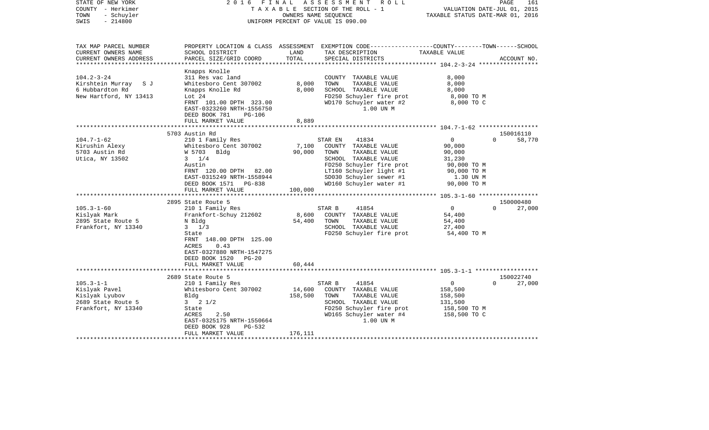| STATE OF NEW YORK<br>COUNTY - Herkimer<br>- Schuyler<br>TOWN<br>$-214800$<br>SWIS                                                                        | 2016 FINAL                                                                                                                                                                                                                                                                                                                                                                                                              | OWNERS NAME SEOUENCE                          | ASSESSMENT<br>R O L L<br>TAXABLE SECTION OF THE ROLL - 1<br>UNIFORM PERCENT OF VALUE IS 090.00                                                                                                                                                                                                                                 | VALUATION DATE-JUL 01, 2015<br>TAXABLE STATUS DATE-MAR 01, 2016                                                                                                       | PAGE<br>161                                                        |
|----------------------------------------------------------------------------------------------------------------------------------------------------------|-------------------------------------------------------------------------------------------------------------------------------------------------------------------------------------------------------------------------------------------------------------------------------------------------------------------------------------------------------------------------------------------------------------------------|-----------------------------------------------|--------------------------------------------------------------------------------------------------------------------------------------------------------------------------------------------------------------------------------------------------------------------------------------------------------------------------------|-----------------------------------------------------------------------------------------------------------------------------------------------------------------------|--------------------------------------------------------------------|
| TAX MAP PARCEL NUMBER<br>CURRENT OWNERS NAME<br>CURRENT OWNERS ADDRESS                                                                                   | SCHOOL DISTRICT<br>PARCEL SIZE/GRID COORD                                                                                                                                                                                                                                                                                                                                                                               | LAND<br>TOTAL                                 | PROPERTY LOCATION & CLASS ASSESSMENT EXEMPTION CODE---------------COUNTY-------TOWN------SCHOOL<br>TAX DESCRIPTION<br>SPECIAL DISTRICTS                                                                                                                                                                                        | TAXABLE VALUE                                                                                                                                                         | ACCOUNT NO.                                                        |
| ***********************                                                                                                                                  |                                                                                                                                                                                                                                                                                                                                                                                                                         |                                               |                                                                                                                                                                                                                                                                                                                                |                                                                                                                                                                       |                                                                    |
| $104.2 - 3 - 24$<br>Kirshtein Murray S J<br>6 Hubbardton Rd<br>New Hartford, NY 13413                                                                    | Knapps Knolle<br>311 Res vac land<br>Whitesboro Cent 307002<br>Knapps Knolle Rd<br>Lot $24$<br>FRNT 101.00 DPTH 323.00<br>EAST-0323260 NRTH-1556750<br>DEED BOOK 781<br><b>PG-106</b>                                                                                                                                                                                                                                   | 8,000<br>8,000                                | COUNTY TAXABLE VALUE<br>TOWN<br>TAXABLE VALUE<br>SCHOOL TAXABLE VALUE<br>FD250 Schuyler fire prot<br>WD170 Schuyler water #2<br>1.00 UN M                                                                                                                                                                                      | 8,000<br>8,000<br>8,000<br>8,000 TO M<br>8,000 TO C                                                                                                                   |                                                                    |
|                                                                                                                                                          | FULL MARKET VALUE                                                                                                                                                                                                                                                                                                                                                                                                       | 8,889                                         |                                                                                                                                                                                                                                                                                                                                |                                                                                                                                                                       |                                                                    |
|                                                                                                                                                          |                                                                                                                                                                                                                                                                                                                                                                                                                         |                                               |                                                                                                                                                                                                                                                                                                                                |                                                                                                                                                                       |                                                                    |
| $104.7 - 1 - 62$<br>Kirushin Alexy<br>5703 Austin Rd<br>Utica, NY 13502<br>$105.3 - 1 - 60$<br>Kislyak Mark<br>2895 State Route 5<br>Frankfort, NY 13340 | 5703 Austin Rd<br>210 1 Family Res<br>Whitesboro Cent 307002<br>W 5703 Bldg<br>$3 \t1/4$<br>Austin<br>FRNT 120.00 DPTH 82.00<br>EAST-0315249 NRTH-1558944<br>DEED BOOK 1571 PG-838<br>FULL MARKET VALUE<br>*************************<br>2895 State Route 5<br>210 1 Family Res<br>Frankfort-Schuy 212602<br>N Bldg<br>$3 \frac{1}{3}$<br>State<br>FRNT 148.00 DPTH 125.00<br>ACRES<br>0.43<br>EAST-0327880 NRTH-1547275 | 7,100<br>90,000<br>100,000<br>8,600<br>54,400 | 41834<br>STAR EN<br>COUNTY TAXABLE VALUE<br>TAXABLE VALUE<br>TOWN<br>SCHOOL TAXABLE VALUE<br>FD250 Schuyler fire prot<br>LT160 Schuyler light #1<br>SD030 Schuyler sewer #1<br>WD160 Schuyler water #1<br>STAR B<br>41854<br>COUNTY TAXABLE VALUE<br>TOWN<br>TAXABLE VALUE<br>SCHOOL TAXABLE VALUE<br>FD250 Schuyler fire prot | $\overline{0}$<br>90,000<br>90,000<br>31,230<br>90,000 TO M<br>90,000 TO M<br>1.30 UN M<br>90,000 TO M<br>$\overline{0}$<br>54,400<br>54,400<br>27,400<br>54,400 TO M | 150016110<br>$\Omega$<br>58,770<br>150000480<br>27,000<br>$\Omega$ |
|                                                                                                                                                          | DEED BOOK 1520 PG-20<br>FULL MARKET VALUE                                                                                                                                                                                                                                                                                                                                                                               | 60,444                                        |                                                                                                                                                                                                                                                                                                                                |                                                                                                                                                                       |                                                                    |
|                                                                                                                                                          |                                                                                                                                                                                                                                                                                                                                                                                                                         |                                               |                                                                                                                                                                                                                                                                                                                                |                                                                                                                                                                       |                                                                    |
| $105.3 - 1 - 1$<br>Kislyak Pavel<br>Kislyak Lyubov<br>2689 State Route 5<br>Frankfort, NY 13340                                                          | 2689 State Route 5<br>210 1 Family Res<br>Whitesboro Cent 307002<br>Bldg<br>$3 \t2 \t1/2$<br>State<br>ACRES<br>2.50<br>EAST-0325175 NRTH-1550664<br>DEED BOOK 928<br>$PG-532$<br>FULL MARKET VALUE                                                                                                                                                                                                                      | 14,600<br>158,500<br>176,111                  | STAR B<br>41854<br>COUNTY TAXABLE VALUE<br>TAXABLE VALUE<br>TOWN<br>SCHOOL TAXABLE VALUE<br>FD250 Schuyler fire prot<br>WD165 Schuyler water #4<br>1.00 UN M                                                                                                                                                                   | $\overline{0}$<br>158,500<br>158,500<br>131,500<br>158,500 TO M<br>158,500 TO C                                                                                       | 150022740<br>$\Omega$<br>27,000                                    |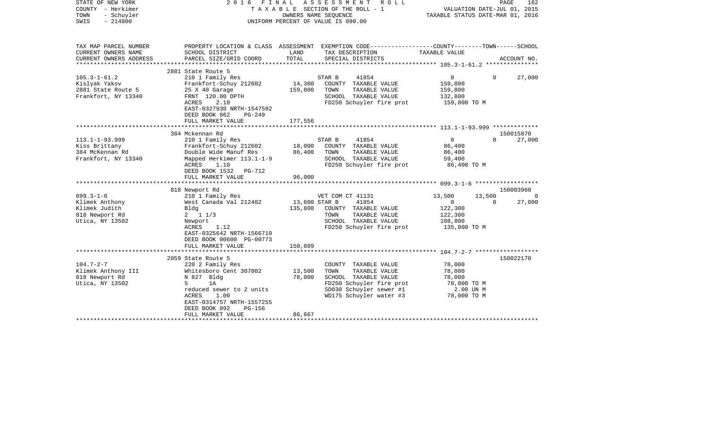| STATE OF NEW YORK<br>COUNTY - Herkimer<br>TOWN<br>- Schuyler<br>$-214800$<br>SWIS | 2 0 1 6<br>FINAL                                        |                 | A S S E S S M E N T<br>ROLL<br>T A X A B L E SECTION OF THE ROLL - 1<br>OWNERS NAME SEQUENCE<br>UNIFORM PERCENT OF VALUE IS 090.00 | VALUATION DATE-JUL 01, 2015<br>TAXABLE STATUS DATE-MAR 01, 2016 | PAGE     | 162         |
|-----------------------------------------------------------------------------------|---------------------------------------------------------|-----------------|------------------------------------------------------------------------------------------------------------------------------------|-----------------------------------------------------------------|----------|-------------|
| TAX MAP PARCEL NUMBER<br>CURRENT OWNERS NAME                                      | SCHOOL DISTRICT                                         | LAND            | PROPERTY LOCATION & CLASS ASSESSMENT EXEMPTION CODE---------------COUNTY-------TOWN------SCHOOL<br>TAX DESCRIPTION                 | TAXABLE VALUE                                                   |          |             |
| CURRENT OWNERS ADDRESS<br>**********************                                  | PARCEL SIZE/GRID COORD<br>***************************** | TOTAL           | SPECIAL DISTRICTS                                                                                                                  |                                                                 |          | ACCOUNT NO. |
|                                                                                   | 2881 State Route 5                                      |                 |                                                                                                                                    |                                                                 |          |             |
| $105.3 - 1 - 61.2$                                                                | 210 1 Family Res                                        |                 | STAR B<br>41854                                                                                                                    | $\Omega$                                                        | $\Omega$ | 27,000      |
| Kislyak Yakov                                                                     | Frankfort-Schuy 212602                                  | 14,300          | COUNTY TAXABLE VALUE                                                                                                               | 159,800                                                         |          |             |
| 2881 State Route 5                                                                | 25 X 40 Garage                                          | 159,800         | TOWN<br>TAXABLE VALUE                                                                                                              | 159,800                                                         |          |             |
| Frankfort, NY 13340                                                               | FRNT 120.00 DPTH                                        |                 | SCHOOL TAXABLE VALUE                                                                                                               | 132,800                                                         |          |             |
|                                                                                   | ACRES<br>2.10                                           |                 | FD250 Schuyler fire prot                                                                                                           | 159,800 TO M                                                    |          |             |
|                                                                                   | EAST-0327930 NRTH-1547592                               |                 |                                                                                                                                    |                                                                 |          |             |
|                                                                                   | DEED BOOK 862<br>$PG-249$                               |                 |                                                                                                                                    |                                                                 |          |             |
|                                                                                   | FULL MARKET VALUE                                       | 177,556         |                                                                                                                                    |                                                                 |          |             |
|                                                                                   | ************************                                | ***********     | *********************************** 113.1-1-93.999 *************                                                                   |                                                                 |          | 150015870   |
| $113.1 - 1 - 93.999$                                                              | 384 Mckennan Rd<br>210 1 Family Res                     |                 | STAR B<br>41854                                                                                                                    | $\mathbf 0$                                                     | $\Omega$ | 27,000      |
| Kiss Brittany                                                                     | Frankfort-Schuy 212602                                  | 18,000          | COUNTY TAXABLE VALUE                                                                                                               | 86,400                                                          |          |             |
| 384 McKennan Rd                                                                   | Double Wide Manuf Res                                   | 86,400          | TOWN<br>TAXABLE VALUE                                                                                                              | 86,400                                                          |          |             |
| Frankfort, NY 13340                                                               | Mapped Herkimer 113.1-1-9                               |                 | SCHOOL TAXABLE VALUE                                                                                                               | 59,400                                                          |          |             |
|                                                                                   | ACRES<br>1.10                                           |                 | FD250 Schuyler fire prot                                                                                                           | 86,400 TO M                                                     |          |             |
|                                                                                   | DEED BOOK 1532<br>PG-712                                |                 |                                                                                                                                    |                                                                 |          |             |
|                                                                                   | FULL MARKET VALUE                                       | 96,000          |                                                                                                                                    |                                                                 |          |             |
|                                                                                   | ********************                                    | *************** |                                                                                                                                    |                                                                 |          |             |
|                                                                                   | 818 Newport Rd                                          |                 |                                                                                                                                    |                                                                 |          | 150003960   |
| $099.3 - 1 - 6$                                                                   | 210 1 Family Res                                        |                 | VET COM CT 41131                                                                                                                   | 13,500                                                          | 13,500   |             |
| Klimek Anthony                                                                    | West Canada Val 212402                                  | 13,600 STAR B   | 41854                                                                                                                              | $\mathbf 0$                                                     | $\Omega$ | 27,000      |
| Klimek Judith                                                                     | Bldg                                                    | 135,800         | COUNTY TAXABLE VALUE                                                                                                               | 122,300                                                         |          |             |
| 818 Newport Rd                                                                    | $2 \t1 \t1/3$                                           |                 | TAXABLE VALUE<br>TOWN                                                                                                              | 122,300                                                         |          |             |
| Utica, NY 13502                                                                   | Newport                                                 |                 | SCHOOL TAXABLE VALUE                                                                                                               | 108,800                                                         |          |             |
|                                                                                   | ACRES<br>1.12                                           |                 | FD250 Schuyler fire prot                                                                                                           | 135,800 TO M                                                    |          |             |
|                                                                                   | EAST-0325642 NRTH-1566710                               |                 |                                                                                                                                    |                                                                 |          |             |
|                                                                                   | DEED BOOK 00600 PG-00773                                |                 |                                                                                                                                    |                                                                 |          |             |
|                                                                                   | FULL MARKET VALUE                                       | 150,889         |                                                                                                                                    |                                                                 |          |             |
|                                                                                   | 2059 State Route 5                                      |                 |                                                                                                                                    |                                                                 |          | 150022170   |
| $104.7 - 2 - 7$                                                                   | 220 2 Family Res                                        |                 | COUNTY TAXABLE VALUE                                                                                                               | 78,000                                                          |          |             |
| Klimek Anthony III                                                                | Whitesboro Cent 307002                                  | 13,500          | TAXABLE VALUE<br>TOWN                                                                                                              | 78,000                                                          |          |             |
| 818 Newport Rd                                                                    | N 827 Bldg                                              | 78,000          | SCHOOL TAXABLE VALUE                                                                                                               | 78,000                                                          |          |             |
| Utica, NY 13502                                                                   | 5<br>1A                                                 |                 | FD250 Schuyler fire prot                                                                                                           | 78,000 TO M                                                     |          |             |
|                                                                                   | reduced sewer to 2 units                                |                 | SD030 Schuyler sewer #1                                                                                                            | 2.00 UN M                                                       |          |             |
|                                                                                   | <b>ACRES</b><br>1.00                                    |                 | WD175 Schuyler water #3                                                                                                            | 78,000 TO M                                                     |          |             |
|                                                                                   | EAST-0314757 NRTH-1557255                               |                 |                                                                                                                                    |                                                                 |          |             |
|                                                                                   | DEED BOOK 892<br>$PG-156$                               |                 |                                                                                                                                    |                                                                 |          |             |
|                                                                                   | FULL MARKET VALUE                                       | 86,667          |                                                                                                                                    |                                                                 |          |             |
|                                                                                   |                                                         |                 |                                                                                                                                    |                                                                 |          |             |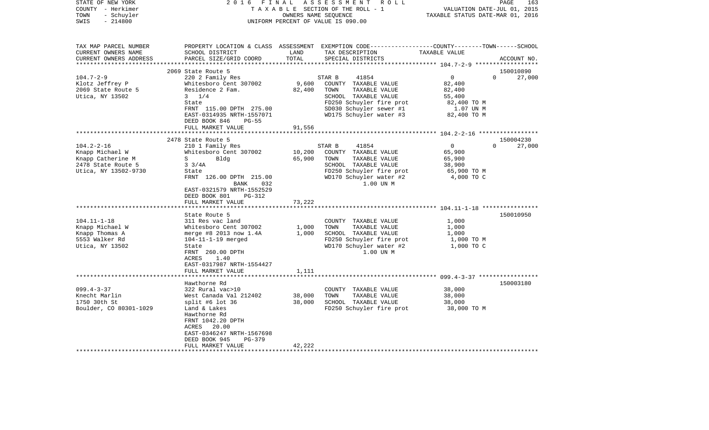| STATE OF NEW YORK<br>COUNTY - Herkimer<br>TOWN<br>- Schuyler<br>$-214800$<br>SWIS | 2 0 1 6                                      | FINAL  | ASSESSMENT ROLL<br>TAXABLE SECTION OF THE ROLL - 1<br>OWNERS NAME SEQUENCE<br>UNIFORM PERCENT OF VALUE IS 090.00   | VALUATION DATE-JUL 01, 2015<br>TAXABLE STATUS DATE-MAR 01, 2016 | PAGE<br>163        |
|-----------------------------------------------------------------------------------|----------------------------------------------|--------|--------------------------------------------------------------------------------------------------------------------|-----------------------------------------------------------------|--------------------|
|                                                                                   |                                              |        |                                                                                                                    |                                                                 |                    |
| TAX MAP PARCEL NUMBER<br>CURRENT OWNERS NAME                                      | SCHOOL DISTRICT                              | LAND   | PROPERTY LOCATION & CLASS ASSESSMENT EXEMPTION CODE---------------COUNTY-------TOWN------SCHOOL<br>TAX DESCRIPTION | TAXABLE VALUE                                                   |                    |
| CURRENT OWNERS ADDRESS                                                            | PARCEL SIZE/GRID COORD                       | TOTAL  | SPECIAL DISTRICTS                                                                                                  |                                                                 | ACCOUNT NO.        |
|                                                                                   |                                              |        |                                                                                                                    |                                                                 |                    |
|                                                                                   | 2069 State Route 5                           |        |                                                                                                                    |                                                                 | 150010890          |
| $104.7 - 2 - 9$                                                                   | 220 2 Family Res                             |        | 41854<br>STAR B                                                                                                    | $\mathbf 0$                                                     | $\Omega$<br>27,000 |
| Klotz Jeffrey P                                                                   | Whitesboro Cent 307002                       | 9,600  | COUNTY TAXABLE VALUE                                                                                               | 82,400                                                          |                    |
| 2069 State Route 5                                                                | Residence 2 Fam.                             | 82,400 | TOWN<br>TAXABLE VALUE                                                                                              | 82,400                                                          |                    |
| Utica, NY 13502                                                                   | $3 \frac{1}{4}$<br>State                     |        | SCHOOL TAXABLE VALUE                                                                                               | 55,400                                                          |                    |
|                                                                                   | FRNT 115.00 DPTH 275.00                      |        | FD250 Schuyler fire prot<br>SD030 Schuyler sewer #1                                                                | 82,400 TO M<br>1.07 UN M                                        |                    |
|                                                                                   | EAST-0314935 NRTH-1557071                    |        | WD175 Schuyler water #3                                                                                            | 82,400 TO M                                                     |                    |
|                                                                                   | DEED BOOK 846<br>$PG-55$                     |        |                                                                                                                    |                                                                 |                    |
|                                                                                   | FULL MARKET VALUE                            | 91,556 |                                                                                                                    |                                                                 |                    |
|                                                                                   |                                              |        |                                                                                                                    |                                                                 |                    |
|                                                                                   | 2478 State Route 5                           |        |                                                                                                                    |                                                                 | 150004230          |
| $104.2 - 2 - 16$                                                                  | 210 1 Family Res                             |        | STAR B<br>41854                                                                                                    | $\overline{0}$                                                  | $\Omega$<br>27,000 |
| Knapp Michael W                                                                   | Whitesboro Cent 307002                       | 10,200 | COUNTY TAXABLE VALUE                                                                                               | 65,900                                                          |                    |
| Knapp Catherine M                                                                 | S<br>Bldg                                    | 65,900 | TOWN<br>TAXABLE VALUE                                                                                              | 65,900                                                          |                    |
| 2478 State Route 5                                                                | $3 \frac{3}{4A}$                             |        | SCHOOL TAXABLE VALUE                                                                                               | 38,900                                                          |                    |
| Utica, NY 13502-9730                                                              | State                                        |        | FD250 Schuyler fire prot                                                                                           | 65,900 TO M                                                     |                    |
|                                                                                   | FRNT 126.00 DPTH 215.00<br>BANK 032          |        | WD170 Schuyler water #2<br>1.00 UN M                                                                               | 4,000 TO C                                                      |                    |
|                                                                                   | EAST-0321579 NRTH-1552529                    |        |                                                                                                                    |                                                                 |                    |
|                                                                                   | DEED BOOK 801<br>PG-312<br>FULL MARKET VALUE | 73,222 |                                                                                                                    |                                                                 |                    |
|                                                                                   |                                              |        |                                                                                                                    |                                                                 |                    |
|                                                                                   | State Route 5                                |        |                                                                                                                    |                                                                 | 150010950          |
| $104.11 - 1 - 18$                                                                 | 311 Res vac land                             |        | COUNTY TAXABLE VALUE                                                                                               | 1,000                                                           |                    |
| Knapp Michael W                                                                   | Whitesboro Cent 307002                       | 1,000  | TOWN<br>TAXABLE VALUE                                                                                              | 1,000                                                           |                    |
| Knapp Thomas A                                                                    | merge #8 2013 now 1.4A                       | 1,000  | SCHOOL TAXABLE VALUE                                                                                               | 1,000                                                           |                    |
| 5553 Walker Rd                                                                    | 104-11-1-19 merged                           |        | FD250 Schuyler fire prot                                                                                           | 1,000 TO M                                                      |                    |
| Utica, NY 13502                                                                   | State                                        |        | WD170 Schuyler water #2                                                                                            | 1,000 TO C                                                      |                    |
|                                                                                   | FRNT 260.00 DPTH                             |        | 1.00 UN M                                                                                                          |                                                                 |                    |
|                                                                                   | ACRES<br>1.40                                |        |                                                                                                                    |                                                                 |                    |
|                                                                                   | EAST-0317987 NRTH-1554427                    |        |                                                                                                                    |                                                                 |                    |
|                                                                                   | FULL MARKET VALUE                            | 1,111  |                                                                                                                    |                                                                 |                    |
|                                                                                   | Hawthorne Rd                                 |        |                                                                                                                    |                                                                 |                    |
| $099.4 - 3 - 37$                                                                  | 322 Rural vac>10                             |        | COUNTY TAXABLE VALUE                                                                                               | 38,000                                                          | 150003180          |
| Knecht Marlin                                                                     | West Canada Val 212402                       | 38,000 | TOWN<br>TAXABLE VALUE                                                                                              | 38,000                                                          |                    |
| 1750 30th St                                                                      | split #6 lot 36                              | 38,000 | SCHOOL TAXABLE VALUE                                                                                               | 38,000                                                          |                    |
| Boulder, CO 80301-1029                                                            | Land & Lakes                                 |        | FD250 Schuyler fire prot                                                                                           | 38,000 TO M                                                     |                    |
|                                                                                   | Hawthorne Rd                                 |        |                                                                                                                    |                                                                 |                    |
|                                                                                   | FRNT 1042.20 DPTH                            |        |                                                                                                                    |                                                                 |                    |
|                                                                                   | ACRES<br>20.00                               |        |                                                                                                                    |                                                                 |                    |
|                                                                                   | EAST-0346247 NRTH-1567698                    |        |                                                                                                                    |                                                                 |                    |
|                                                                                   | DEED BOOK 945<br>PG-379                      |        |                                                                                                                    |                                                                 |                    |
|                                                                                   | FULL MARKET VALUE                            | 42,222 |                                                                                                                    |                                                                 |                    |
|                                                                                   | ******************                           |        |                                                                                                                    |                                                                 |                    |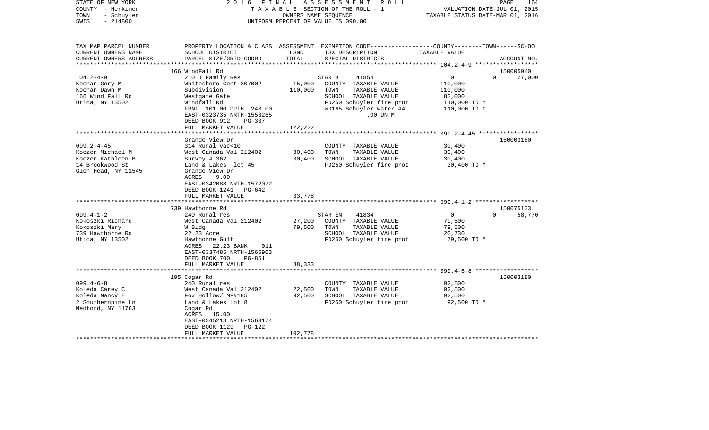| STATE OF NEW YORK<br>COUNTY - Herkimer<br>- Schuyler<br>TOWN<br>$-214800$<br>SWIS               | FINAL<br>2016                             | OWNERS NAME SEOUENCE             | ASSESSMENT<br>R O L L<br>TAXABLE SECTION OF THE ROLL - 1<br>UNIFORM PERCENT OF VALUE IS 090.00                                           | VALUATION DATE-JUL 01, 2015<br>TAXABLE STATUS DATE-MAR 01, 2016 | PAGE<br>164 |
|-------------------------------------------------------------------------------------------------|-------------------------------------------|----------------------------------|------------------------------------------------------------------------------------------------------------------------------------------|-----------------------------------------------------------------|-------------|
| TAX MAP PARCEL NUMBER<br>CURRENT OWNERS NAME<br>CURRENT OWNERS ADDRESS<br>********************* | SCHOOL DISTRICT<br>PARCEL SIZE/GRID COORD | LAND<br>TOTAL<br>*************** | PROPERTY LOCATION & CLASS ASSESSMENT EXEMPTION CODE----------------COUNTY-------TOWN------SCHOOL<br>TAX DESCRIPTION<br>SPECIAL DISTRICTS | TAXABLE VALUE                                                   | ACCOUNT NO. |
|                                                                                                 | 166 WindFall Rd                           |                                  |                                                                                                                                          |                                                                 | 150005940   |
| $104.2 - 4 - 9$                                                                                 | 210 1 Family Res                          |                                  | 41854<br>STAR B                                                                                                                          | $\overline{0}$<br>$\Omega$                                      | 27,000      |
| Kochan Gery M                                                                                   | Whitesboro Cent 307002                    | 15,000                           | COUNTY TAXABLE VALUE                                                                                                                     | 110,000                                                         |             |
| Kochan Dawn M                                                                                   | Subdivision                               | 110,000                          | TOWN<br>TAXABLE VALUE                                                                                                                    | 110,000                                                         |             |
| 166 Wind Fall Rd                                                                                | Westgate Gate                             |                                  | SCHOOL TAXABLE VALUE                                                                                                                     | 83,000                                                          |             |
| Utica, NY 13502                                                                                 | Windfall Rd                               |                                  | FD250 Schuyler fire prot                                                                                                                 | 110,000 TO M                                                    |             |
|                                                                                                 | FRNT 101.00 DPTH 248.00                   |                                  | WD165 Schuyler water #4                                                                                                                  | 110,000 TO C                                                    |             |
|                                                                                                 | EAST-0323735 NRTH-1553265                 |                                  | .00 UN M                                                                                                                                 |                                                                 |             |
|                                                                                                 | DEED BOOK 912<br>$PG-337$                 |                                  |                                                                                                                                          |                                                                 |             |
|                                                                                                 | FULL MARKET VALUE                         | 122,222                          |                                                                                                                                          |                                                                 |             |
|                                                                                                 |                                           | *******                          |                                                                                                                                          | ******** 099.2-4-45 ************                                |             |
|                                                                                                 | Grande View Dr                            |                                  |                                                                                                                                          |                                                                 | 150003180   |
| $099.2 - 4 - 45$                                                                                | 314 Rural vac<10                          |                                  | COUNTY TAXABLE VALUE                                                                                                                     | 30,400                                                          |             |
| Koczen Michael M<br>Koczen Kathleen B                                                           | West Canada Val 212402                    | 30,400<br>30,400                 | TAXABLE VALUE<br>TOWN<br>SCHOOL TAXABLE VALUE                                                                                            | 30,400                                                          |             |
| 14 Brookwood St                                                                                 | Survey $# 362$<br>Land & Lakes lot 45     |                                  | FD250 Schuyler fire prot                                                                                                                 | 30,400<br>30,400 TO M                                           |             |
| Glen Head, NY 11545                                                                             | Grande View Dr                            |                                  |                                                                                                                                          |                                                                 |             |
|                                                                                                 | ACRES<br>9.00                             |                                  |                                                                                                                                          |                                                                 |             |
|                                                                                                 | EAST-0342088 NRTH-1572072                 |                                  |                                                                                                                                          |                                                                 |             |
|                                                                                                 | DEED BOOK 1241<br>PG-642                  |                                  |                                                                                                                                          |                                                                 |             |
|                                                                                                 | FULL MARKET VALUE                         | 33,778                           |                                                                                                                                          |                                                                 |             |
|                                                                                                 |                                           |                                  |                                                                                                                                          |                                                                 |             |
|                                                                                                 | 739 Hawthorne Rd                          |                                  |                                                                                                                                          |                                                                 | 150075133   |
| $099.4 - 1 - 2$                                                                                 | 240 Rural res                             |                                  | 41834<br>STAR EN                                                                                                                         | $\Omega$<br>$\Omega$                                            | 58,770      |
| Kokoszki Richard                                                                                | West Canada Val 212402                    | 27,200                           | COUNTY TAXABLE VALUE                                                                                                                     | 79,500                                                          |             |
| Kokoszki Mary                                                                                   | W Bldg                                    | 79,500                           | TOWN<br>TAXABLE VALUE                                                                                                                    | 79,500                                                          |             |
| 739 Hawthorne Rd                                                                                | 22.23 Acre                                |                                  | SCHOOL TAXABLE VALUE                                                                                                                     | 20,730                                                          |             |
| Utica, NY 13502                                                                                 | Hawthorne Gulf                            |                                  | FD250 Schuyler fire prot                                                                                                                 | 79,500 TO M                                                     |             |
|                                                                                                 | ACRES 22.23 BANK<br>011                   |                                  |                                                                                                                                          |                                                                 |             |
|                                                                                                 | EAST-0337485 NRTH-1566903                 |                                  |                                                                                                                                          |                                                                 |             |
|                                                                                                 | DEED BOOK 700<br><b>PG-851</b>            |                                  |                                                                                                                                          |                                                                 |             |
|                                                                                                 | FULL MARKET VALUE                         | 88,333                           |                                                                                                                                          |                                                                 |             |
|                                                                                                 |                                           |                                  |                                                                                                                                          |                                                                 |             |
|                                                                                                 | 195 Cogar Rd                              |                                  |                                                                                                                                          |                                                                 | 150003180   |
| $099.4 - 6 - 8$                                                                                 | 240 Rural res                             |                                  | COUNTY TAXABLE VALUE                                                                                                                     | 92,500                                                          |             |
| Koleda Carey C                                                                                  | West Canada Val 212402                    | 22,500                           | TOWN<br>TAXABLE VALUE                                                                                                                    | 92,500                                                          |             |
| Koleda Nancy E<br>2 Southernpine Ln                                                             | Fox Hollow/ MF#185<br>Land & Lakes lot 8  | 92,500                           | SCHOOL TAXABLE VALUE<br>FD250 Schuyler fire prot                                                                                         | 92,500<br>92,500 TO M                                           |             |
| Medford, NY 11763                                                                               |                                           |                                  |                                                                                                                                          |                                                                 |             |
|                                                                                                 | Cogar Rd<br>ACRES 15.00                   |                                  |                                                                                                                                          |                                                                 |             |
|                                                                                                 | EAST-0345213 NRTH-1563174                 |                                  |                                                                                                                                          |                                                                 |             |
|                                                                                                 | DEED BOOK 1129<br>PG-122                  |                                  |                                                                                                                                          |                                                                 |             |
|                                                                                                 | FULL MARKET VALUE                         | 102,778                          |                                                                                                                                          |                                                                 |             |
|                                                                                                 |                                           |                                  |                                                                                                                                          |                                                                 |             |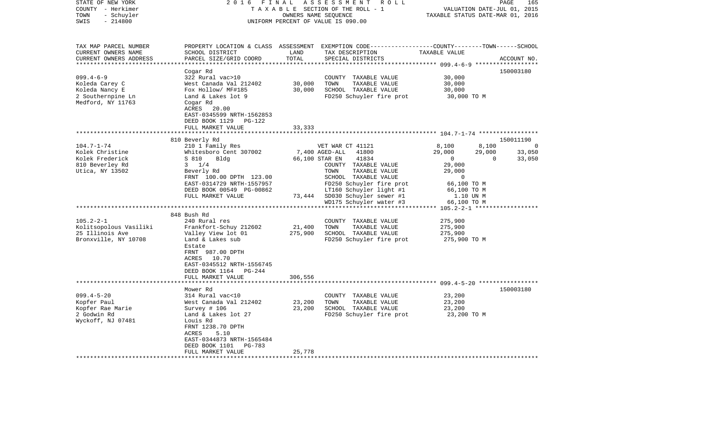| 2 0 1 6                                                                                                                                                                                                                                                                                                                                                                                                                  |                            | R O L L                                                                                                                                                                                                                                                                                                   |                                                                                                                                                                               | 165<br>PAGE                                                                                                                                                                                                                   |
|--------------------------------------------------------------------------------------------------------------------------------------------------------------------------------------------------------------------------------------------------------------------------------------------------------------------------------------------------------------------------------------------------------------------------|----------------------------|-----------------------------------------------------------------------------------------------------------------------------------------------------------------------------------------------------------------------------------------------------------------------------------------------------------|-------------------------------------------------------------------------------------------------------------------------------------------------------------------------------|-------------------------------------------------------------------------------------------------------------------------------------------------------------------------------------------------------------------------------|
| SCHOOL DISTRICT<br>PARCEL SIZE/GRID COORD                                                                                                                                                                                                                                                                                                                                                                                | LAND<br>TOTAL              | TAX DESCRIPTION<br>SPECIAL DISTRICTS                                                                                                                                                                                                                                                                      | TAXABLE VALUE                                                                                                                                                                 | ACCOUNT NO.                                                                                                                                                                                                                   |
| Cogar Rd<br>322 Rural vac>10<br>West Canada Val 212402<br>Fox Hollow/ MF#185<br>Land & Lakes lot 9<br>Cogar Rd<br>ACRES<br>20.00<br>EAST-0345599 NRTH-1562853<br>DEED BOOK 1129 PG-122                                                                                                                                                                                                                                   | 30,000<br>30,000           | COUNTY TAXABLE VALUE<br>TOWN<br>TAXABLE VALUE<br>SCHOOL TAXABLE VALUE<br>FD250 Schuyler fire prot                                                                                                                                                                                                         | 30,000<br>30,000<br>30,000<br>30,000 TO M                                                                                                                                     | 150003180                                                                                                                                                                                                                     |
|                                                                                                                                                                                                                                                                                                                                                                                                                          |                            |                                                                                                                                                                                                                                                                                                           |                                                                                                                                                                               |                                                                                                                                                                                                                               |
| 810 Beverly Rd<br>210 1 Family Res<br>Whitesboro Cent 307002<br>S 810<br>Bldg<br>$3 \t1/4$<br>Beverly Rd<br>FRNT 100.00 DPTH 123.00<br>EAST-0314729 NRTH-1557957<br>DEED BOOK 00549 PG-00862<br>FULL MARKET VALUE<br>848 Bush Rd<br>240 Rural res<br>Frankfort-Schuy 212602<br>Valley View lot 01<br>Land & Lakes sub<br>Estate<br>FRNT 987.00 DPTH<br>ACRES 10.70<br>EAST-0345512 NRTH-1556745<br>DEED BOOK 1164 PG-244 | 21,400<br>275,900          | 41800<br>41834<br>COUNTY TAXABLE VALUE<br>TOWN<br>TAXABLE VALUE<br>SCHOOL TAXABLE VALUE<br>FD250 Schuyler fire prot<br>LT160 Schuyler light #1<br>SD030 Schuyler sewer #1<br>WD175 Schuyler water #3<br>COUNTY TAXABLE VALUE<br>TOWN<br>TAXABLE VALUE<br>SCHOOL TAXABLE VALUE<br>FD250 Schuyler fire prot | 8,100<br>29,000<br>$\mathbf 0$<br>29,000<br>29,000<br>$\Omega$<br>66,100 TO M<br>66,100 TO M<br>1.10 UN M<br>66,100 TO M<br>275,900<br>275,900<br>275,900<br>275,900 TO M     | 150011190<br>- 0<br>33,050<br>$\Omega$<br>33,050                                                                                                                                                                              |
| FULL MARKET VALUE                                                                                                                                                                                                                                                                                                                                                                                                        | 306,556                    |                                                                                                                                                                                                                                                                                                           |                                                                                                                                                                               |                                                                                                                                                                                                                               |
| Mower Rd<br>314 Rural vac<10<br>West Canada Val 212402<br>Survey # 106<br>Land & Lakes lot 27<br>Louis Rd<br>FRNT 1238.70 DPTH<br>5.10<br>ACRES<br>EAST-0344873 NRTH-1565484<br>DEED BOOK 1101<br>PG-783<br>FULL MARKET VALUE                                                                                                                                                                                            | 23,200<br>23,200<br>25,778 | COUNTY TAXABLE VALUE<br>TOWN<br>TAXABLE VALUE<br>SCHOOL TAXABLE VALUE<br>FD250 Schuyler fire prot                                                                                                                                                                                                         | 23,200<br>23,200<br>23,200<br>23,200 TO M                                                                                                                                     | 150003180                                                                                                                                                                                                                     |
|                                                                                                                                                                                                                                                                                                                                                                                                                          | FULL MARKET VALUE          | FINAL<br>33,333                                                                                                                                                                                                                                                                                           | ASSESSMENT<br>TAXABLE SECTION OF THE ROLL - 1<br>OWNERS NAME SEQUENCE<br>UNIFORM PERCENT OF VALUE IS 090.00<br>VET WAR CT 41121<br>7,400 AGED-ALL<br>66,100 STAR EN<br>73,444 | VALUATION DATE-JUL 01, 2015<br>TAXABLE STATUS DATE-MAR 01, 2016<br>PROPERTY LOCATION & CLASS ASSESSMENT EXEMPTION CODE----------------COUNTY-------TOWN------SCHOOL<br>8,100<br>29,000<br>$105.2 - 2 - 1$ ******************* |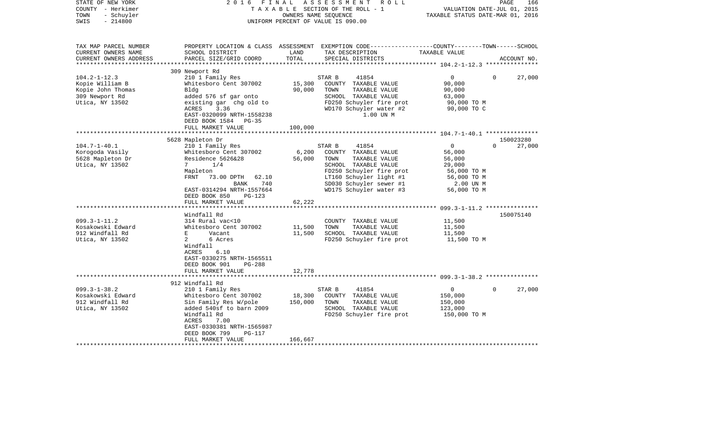| STATE OF NEW YORK<br>COUNTY - Herkimer<br>- Schuyler<br>TOWN<br>$-214800$<br>SWIS                                                                             | 2016<br>FINAL                                                                                                                                                                                                                                                                                                                                                                                                                                                      | OWNERS NAME SEQUENCE                                    | A S S E S S M E N T<br>R O L L<br>TAXABLE SECTION OF THE ROLL - 1<br>UNIFORM PERCENT OF VALUE IS 090.00                                                                                                                                                                                                    | VALUATION DATE-JUL 01, 2015<br>TAXABLE STATUS DATE-MAR 01, 2016                                                                                     | PAGE<br>166                                  |
|---------------------------------------------------------------------------------------------------------------------------------------------------------------|--------------------------------------------------------------------------------------------------------------------------------------------------------------------------------------------------------------------------------------------------------------------------------------------------------------------------------------------------------------------------------------------------------------------------------------------------------------------|---------------------------------------------------------|------------------------------------------------------------------------------------------------------------------------------------------------------------------------------------------------------------------------------------------------------------------------------------------------------------|-----------------------------------------------------------------------------------------------------------------------------------------------------|----------------------------------------------|
| TAX MAP PARCEL NUMBER<br>CURRENT OWNERS NAME<br>CURRENT OWNERS ADDRESS<br>***********************                                                             | SCHOOL DISTRICT<br>PARCEL SIZE/GRID COORD                                                                                                                                                                                                                                                                                                                                                                                                                          | LAND<br>TOTAL                                           | PROPERTY LOCATION & CLASS ASSESSMENT EXEMPTION CODE---------------COUNTY-------TOWN------SCHOOL<br>TAX DESCRIPTION<br>SPECIAL DISTRICTS                                                                                                                                                                    | TAXABLE VALUE                                                                                                                                       | ACCOUNT NO.                                  |
|                                                                                                                                                               | 309 Newport Rd                                                                                                                                                                                                                                                                                                                                                                                                                                                     |                                                         |                                                                                                                                                                                                                                                                                                            |                                                                                                                                                     |                                              |
| $104.2 - 1 - 12.3$<br>Kopie William B<br>Kopie John Thomas<br>309 Newport Rd<br>Utica, NY 13502                                                               | 210 1 Family Res<br>Whitesboro Cent 307002<br>Bldg<br>added 576 sf gar onto<br>existing gar chg old to<br>3.36<br>ACRES<br>EAST-0320099 NRTH-1558238<br>DEED BOOK 1584<br>$PG-35$                                                                                                                                                                                                                                                                                  | 15,300<br>90,000                                        | 41854<br>STAR B<br>COUNTY TAXABLE VALUE<br>TOWN<br>TAXABLE VALUE<br>SCHOOL TAXABLE VALUE<br>FD250 Schuyler fire prot<br>WD170 Schuyler water #2<br>1.00 UN M                                                                                                                                               | $\overline{0}$<br>90,000<br>90,000<br>63,000<br>90,000 TO M<br>90,000 TO C                                                                          | 27,000<br>$\Omega$                           |
|                                                                                                                                                               | FULL MARKET VALUE                                                                                                                                                                                                                                                                                                                                                                                                                                                  | 100,000                                                 |                                                                                                                                                                                                                                                                                                            |                                                                                                                                                     |                                              |
|                                                                                                                                                               | *********************                                                                                                                                                                                                                                                                                                                                                                                                                                              | **********************                                  |                                                                                                                                                                                                                                                                                                            |                                                                                                                                                     |                                              |
| $104.7 - 1 - 40.1$<br>Korogoda Vasily<br>5628 Mapleton Dr<br>Utica, NY 13502<br>$099.3 - 1 - 11.2$<br>Kosakowski Edward<br>912 Windfall Rd<br>Utica, NY 13502 | 5628 Mapleton Dr<br>210 1 Family Res<br>Whitesboro Cent 307002<br>Residence 5626&28<br>1/4<br>7<br>Mapleton<br>FRNT<br>73.00 DPTH<br>62.10<br>BANK<br>740<br>EAST-0314294 NRTH-1557664<br>DEED BOOK 850<br>$PG-123$<br>FULL MARKET VALUE<br>Windfall Rd<br>314 Rural vac<10<br>Whitesboro Cent 307002<br>E<br>Vacant<br>$\overline{a}$<br>6 Acres<br>Windfall<br>ACRES<br>6.10<br>EAST-0330275 NRTH-1565511<br>DEED BOOK 901<br><b>PG-288</b><br>FULL MARKET VALUE | 6,200<br>56,000<br>62,222<br>11,500<br>11,500<br>12,778 | STAR B<br>41854<br>COUNTY TAXABLE VALUE<br>TOWN<br>TAXABLE VALUE<br>SCHOOL TAXABLE VALUE<br>FD250 Schuyler fire prot<br>LT160 Schuyler light #1<br>SD030 Schuyler sewer #1<br>WD175 Schuyler water #3<br>COUNTY TAXABLE VALUE<br>TOWN<br>TAXABLE VALUE<br>SCHOOL TAXABLE VALUE<br>FD250 Schuyler fire prot | $\overline{0}$<br>56,000<br>56,000<br>29,000<br>56,000 TO M<br>56,000 TO M<br>2.00 UN M<br>56,000 TO M<br>11,500<br>11,500<br>11,500<br>11,500 TO M | 150023280<br>27,000<br>$\Omega$<br>150075140 |
|                                                                                                                                                               | ********************************                                                                                                                                                                                                                                                                                                                                                                                                                                   |                                                         |                                                                                                                                                                                                                                                                                                            |                                                                                                                                                     |                                              |
| $099.3 - 1 - 38.2$<br>Kosakowski Edward<br>912 Windfall Rd<br>Utica, NY 13502                                                                                 | 912 Windfall Rd<br>210 1 Family Res<br>Whitesboro Cent 307002<br>Sin Family Res W/pole<br>added 540sf to barn 2009<br>Windfall Rd<br>7.00<br>ACRES<br>EAST-0330381 NRTH-1565987<br>DEED BOOK 799<br><b>PG-117</b><br>FULL MARKET VALUE                                                                                                                                                                                                                             | 18,300<br>150,000<br>166,667                            | STAR B<br>41854<br>COUNTY TAXABLE VALUE<br>TOWN<br>TAXABLE VALUE<br>SCHOOL TAXABLE VALUE<br>FD250 Schuyler fire prot                                                                                                                                                                                       | $\overline{0}$<br>150,000<br>150,000<br>123,000<br>150,000 TO M                                                                                     | 27,000<br>0                                  |
|                                                                                                                                                               |                                                                                                                                                                                                                                                                                                                                                                                                                                                                    |                                                         |                                                                                                                                                                                                                                                                                                            |                                                                                                                                                     |                                              |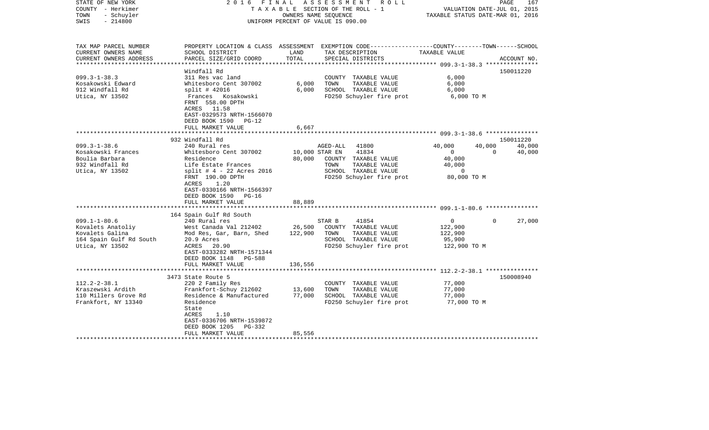| STATE OF NEW YORK<br>COUNTY - Herkimer<br>- Schuyler<br>TOWN | FINAL<br>2016                                                                         |                | ASSESSMENT ROLL<br>TAXABLE SECTION OF THE ROLL - 1<br>OWNERS NAME SEQUENCE                     | VALUATION DATE-JUL 01, 2015<br>TAXABLE STATUS DATE-MAR 01, 2016 | PAGE     | 167                 |
|--------------------------------------------------------------|---------------------------------------------------------------------------------------|----------------|------------------------------------------------------------------------------------------------|-----------------------------------------------------------------|----------|---------------------|
| $-214800$<br>SWIS                                            |                                                                                       |                | UNIFORM PERCENT OF VALUE IS 090.00                                                             |                                                                 |          |                     |
| TAX MAP PARCEL NUMBER                                        |                                                                                       |                | PROPERTY LOCATION & CLASS ASSESSMENT EXEMPTION CODE---------------COUNTY-------TOWN-----SCHOOL |                                                                 |          |                     |
| CURRENT OWNERS NAME                                          | SCHOOL DISTRICT                                                                       | LAND           | TAX DESCRIPTION                                                                                | TAXABLE VALUE                                                   |          |                     |
| CURRENT OWNERS ADDRESS<br>***********************            | PARCEL SIZE/GRID COORD                                                                | TOTAL          | SPECIAL DISTRICTS                                                                              |                                                                 |          | ACCOUNT NO.         |
|                                                              | Windfall Rd                                                                           |                |                                                                                                |                                                                 |          | 150011220           |
| $099.3 - 1 - 38.3$                                           | 311 Res vac land                                                                      |                | COUNTY TAXABLE VALUE                                                                           | 6,000                                                           |          |                     |
| Kosakowski Edward                                            | Whitesboro Cent 307002                                                                | 6,000          | TOWN<br>TAXABLE VALUE                                                                          | 6,000                                                           |          |                     |
| 912 Windfall Rd                                              | $split$ # 42016                                                                       | 6,000          | SCHOOL TAXABLE VALUE                                                                           | 6,000                                                           |          |                     |
| Utica, NY 13502                                              | Frances<br>Kosakowski<br>FRNT 558.00 DPTH<br>ACRES 11.58<br>EAST-0329573 NRTH-1566070 |                | FD250 Schuyler fire prot                                                                       | 6,000 TO M                                                      |          |                     |
|                                                              | DEED BOOK 1590<br>$PG-12$                                                             |                |                                                                                                |                                                                 |          |                     |
|                                                              | FULL MARKET VALUE                                                                     | 6,667          |                                                                                                |                                                                 |          |                     |
|                                                              |                                                                                       | ******         |                                                                                                | *********************** 099.3-1-38.6 ***************            |          |                     |
| $099.3 - 1 - 38.6$                                           | 932 Windfall Rd<br>240 Rural res                                                      |                | AGED-ALL<br>41800                                                                              | 40,000                                                          | 40,000   | 150011220<br>40,000 |
| Kosakowski Frances                                           | Whitesboro Cent 307002                                                                | 10,000 STAR EN | 41834                                                                                          | $\overline{0}$                                                  | $\Omega$ | 40,000              |
| Boulia Barbara                                               | Residence                                                                             | 80,000         | COUNTY TAXABLE VALUE                                                                           | 40,000                                                          |          |                     |
| 932 Windfall Rd                                              | Life Estate Frances                                                                   |                | TAXABLE VALUE<br>TOWN                                                                          | 40,000                                                          |          |                     |
| Utica, NY 13502                                              | $split$ # 4 - 22 Acres 2016                                                           |                | SCHOOL TAXABLE VALUE                                                                           | 0                                                               |          |                     |
|                                                              | FRNT 190.00 DPTH<br>ACRES<br>1.20                                                     |                | FD250 Schuyler fire prot                                                                       | 80,000 TO M                                                     |          |                     |
|                                                              | EAST-0330166 NRTH-1566397<br>DEED BOOK 1590<br>PG-16                                  |                |                                                                                                |                                                                 |          |                     |
|                                                              | FULL MARKET VALUE                                                                     | 88,889         |                                                                                                |                                                                 |          |                     |
|                                                              | 164 Spain Gulf Rd South                                                               |                |                                                                                                |                                                                 |          |                     |
| $099.1 - 1 - 80.6$                                           | 240 Rural res                                                                         |                | STAR B<br>41854                                                                                | $\mathbf 0$                                                     | $\Omega$ | 27,000              |
| Kovalets Anatoliy                                            | West Canada Val 212402                                                                | 26,500         | COUNTY TAXABLE VALUE                                                                           | 122,900                                                         |          |                     |
| Kovalets Galina                                              | Mod Res, Gar, Barn, Shed                                                              | 122,900        | TOWN<br>TAXABLE VALUE                                                                          | 122,900                                                         |          |                     |
| 164 Spain Gulf Rd South                                      | 20.9 Acres                                                                            |                | SCHOOL TAXABLE VALUE                                                                           | 95,900                                                          |          |                     |
| Utica, NY 13502                                              | ACRES 20.90<br>EAST-0333282 NRTH-1571344                                              |                | FD250 Schuyler fire prot                                                                       | 122,900 TO M                                                    |          |                     |
|                                                              | DEED BOOK 1148<br><b>PG-588</b>                                                       |                |                                                                                                |                                                                 |          |                     |
|                                                              | FULL MARKET VALUE                                                                     | 136,556        |                                                                                                |                                                                 |          |                     |
|                                                              | 3473 State Route 5                                                                    |                |                                                                                                | ************************ 112.2-2-38.1 ****************          |          | 150008940           |
| $112.2 - 2 - 38.1$                                           | 220 2 Family Res                                                                      |                | COUNTY TAXABLE VALUE                                                                           | 77,000                                                          |          |                     |
| Kraszewski Ardith                                            | Frankfort-Schuy 212602                                                                | 13,600         | TAXABLE VALUE<br>TOWN                                                                          | 77,000                                                          |          |                     |
| 110 Millers Grove Rd                                         | Residence & Manufactured                                                              | 77,000         | SCHOOL TAXABLE VALUE                                                                           | 77,000                                                          |          |                     |
| Frankfort, NY 13340                                          | Residence                                                                             |                | FD250 Schuyler fire prot                                                                       | 77,000 TO M                                                     |          |                     |
|                                                              | State                                                                                 |                |                                                                                                |                                                                 |          |                     |
|                                                              | ACRES<br>1.10                                                                         |                |                                                                                                |                                                                 |          |                     |
|                                                              | EAST-0336706 NRTH-1539872                                                             |                |                                                                                                |                                                                 |          |                     |
|                                                              | DEED BOOK 1205<br>PG-332                                                              | 85,556         |                                                                                                |                                                                 |          |                     |
|                                                              | FULL MARKET VALUE                                                                     |                |                                                                                                |                                                                 |          |                     |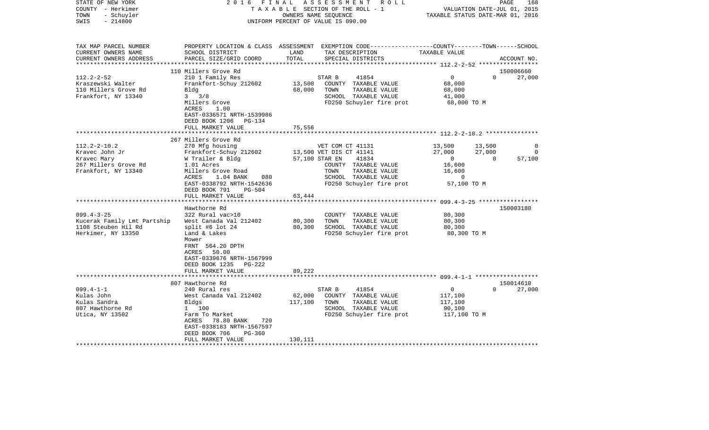| COUNTY<br>- Herkimer<br>TOWN<br>- Schuyler<br>SWIS<br>$-214800$                            | TAXABLE SECTION OF THE ROLL - 1<br>OWNERS NAME SEQUENCE<br>UNIFORM PERCENT OF VALUE IS 090.00          |                  |                                                                                                                                         | VALUATION DATE-JUL 01, 2015<br>TAXABLE STATUS DATE-MAR 01, 2016 |          |             |
|--------------------------------------------------------------------------------------------|--------------------------------------------------------------------------------------------------------|------------------|-----------------------------------------------------------------------------------------------------------------------------------------|-----------------------------------------------------------------|----------|-------------|
| TAX MAP PARCEL NUMBER<br>CURRENT OWNERS NAME<br>CURRENT OWNERS ADDRESS<br>**************** | SCHOOL DISTRICT<br>PARCEL SIZE/GRID COORD<br>****************************                              | LAND<br>TOTAL    | PROPERTY LOCATION & CLASS ASSESSMENT EXEMPTION CODE---------------COUNTY-------TOWN------SCHOOL<br>TAX DESCRIPTION<br>SPECIAL DISTRICTS | TAXABLE VALUE                                                   |          | ACCOUNT NO. |
|                                                                                            | 110 Millers Grove Rd                                                                                   |                  |                                                                                                                                         |                                                                 |          | 150006660   |
| $112.2 - 2 - 52$<br>Kraszewski Walter<br>110 Millers Grove Rd<br>Frankfort, NY 13340       | 210 1 Family Res<br>Frankfort-Schuy 212602<br>Bldg<br>3/8<br>$3^{\circ}$                               | 13,500<br>68,000 | 41854<br>STAR B<br>COUNTY TAXABLE VALUE<br>TOWN<br>TAXABLE VALUE<br>SCHOOL TAXABLE VALUE                                                | $\overline{0}$<br>68,000<br>68,000<br>41,000                    | $\Omega$ | 27,000      |
|                                                                                            | Millers Grove<br>ACRES<br>1.00<br>EAST-0336571 NRTH-1539986<br>DEED BOOK 1206<br>$PG-134$              |                  | FD250 Schuyler fire prot                                                                                                                | 68,000 TO M                                                     |          |             |
|                                                                                            | FULL MARKET VALUE                                                                                      | 75,556           |                                                                                                                                         |                                                                 |          |             |
|                                                                                            | 267 Millers Grove Rd                                                                                   |                  |                                                                                                                                         |                                                                 |          |             |
| $112.2 - 2 - 10.2$                                                                         | 270 Mfg housing                                                                                        |                  | VET COM CT 41131                                                                                                                        | 13,500                                                          | 13,500   | 0           |
| Kravec John Jr                                                                             | Frankfort-Schuy 212602                                                                                 |                  | 13,500 VET DIS CT 41141                                                                                                                 | 27,000                                                          | 27,000   | 0           |
| Kravec Mary                                                                                | W Trailer & Bldg                                                                                       | 57,100 STAR EN   | 41834                                                                                                                                   | $\overline{0}$                                                  | $\Omega$ | 57,100      |
| 267 Millers Grove Rd<br>Frankfort, NY 13340                                                | 1.01 Acres<br>Millers Grove Road                                                                       |                  | COUNTY TAXABLE VALUE<br>TAXABLE VALUE<br>TOWN                                                                                           | 16,600<br>16,600                                                |          |             |
|                                                                                            | ACRES<br>$1.04$ BANK<br>080                                                                            |                  | SCHOOL TAXABLE VALUE                                                                                                                    | $\Omega$                                                        |          |             |
|                                                                                            | EAST-0338792 NRTH-1542636<br>DEED BOOK 791<br>PG-504                                                   |                  | FD250 Schuyler fire prot                                                                                                                | 57,100 TO M                                                     |          |             |
|                                                                                            | FULL MARKET VALUE<br>*****************************                                                     | 63,444           |                                                                                                                                         |                                                                 |          |             |
|                                                                                            | Hawthorne Rd                                                                                           |                  |                                                                                                                                         |                                                                 |          | 150003180   |
| $099.4 - 3 - 25$                                                                           | 322 Rural vac>10                                                                                       |                  | COUNTY TAXABLE VALUE                                                                                                                    | 80,300                                                          |          |             |
| Kucerak Family Lmt Partship                                                                | West Canada Val 212402                                                                                 | 80,300           | TAXABLE VALUE<br>TOWN                                                                                                                   | 80,300                                                          |          |             |
| 1108 Steuben Hil Rd                                                                        | split #6 lot $24$                                                                                      | 80,300           | SCHOOL TAXABLE VALUE                                                                                                                    | 80,300                                                          |          |             |
| Herkimer, NY 13350                                                                         | Land & Lakes                                                                                           |                  | FD250 Schuyler fire prot                                                                                                                | 80,300 TO M                                                     |          |             |
|                                                                                            | Mower<br>FRNT 564.20 DPTH<br>50.00<br>ACRES<br>EAST-0339676 NRTH-1567999                               |                  |                                                                                                                                         |                                                                 |          |             |
|                                                                                            | DEED BOOK 1235<br>$PG-222$                                                                             |                  |                                                                                                                                         |                                                                 |          |             |
|                                                                                            | FULL MARKET VALUE                                                                                      | 89,222           |                                                                                                                                         |                                                                 |          |             |
|                                                                                            | 807 Hawthorne Rd                                                                                       |                  |                                                                                                                                         |                                                                 |          | 150014610   |
| $099.4 - 1 - 1$                                                                            | 240 Rural res                                                                                          |                  | 41854<br>STAR B                                                                                                                         | $\overline{0}$                                                  | $\Omega$ | 27,000      |
| Kulas John                                                                                 | West Canada Val 212402                                                                                 | 62,000           | COUNTY TAXABLE VALUE                                                                                                                    | 117,100                                                         |          |             |
| Kulas Sandra                                                                               | Bldgs                                                                                                  | 117,100          | TOWN<br>TAXABLE VALUE                                                                                                                   | 117,100                                                         |          |             |
| 807 Hawthorne Rd                                                                           | 1 100                                                                                                  |                  | SCHOOL TAXABLE VALUE                                                                                                                    | 90,100                                                          |          |             |
| Utica, NY 13502                                                                            | Farm To Market<br>720<br>ACRES<br>78.80 BANK<br>EAST-0338183 NRTH-1567597<br>DEED BOOK 706<br>$PG-360$ |                  | FD250 Schuyler fire prot                                                                                                                | 117,100 TO M                                                    |          |             |
|                                                                                            | FULL MARKET VALUE                                                                                      | 130,111          |                                                                                                                                         |                                                                 |          |             |
|                                                                                            |                                                                                                        |                  |                                                                                                                                         |                                                                 |          |             |

PAGE 168

STATE OF NEW YORK 2 0 1 6 F I N A L A S S E S S M E N T R O L L PAGE 168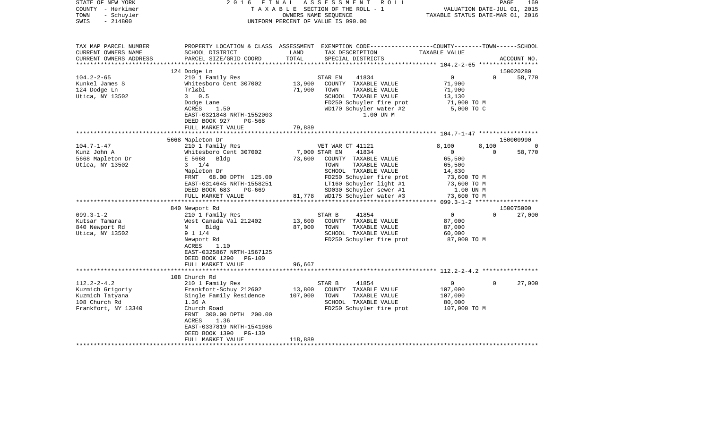| STATE OF NEW YORK<br>COUNTY - Herkimer<br>- Schuyler<br>TOWN<br>$-214800$<br>SWIS | 2 0 1 6<br>FINAL                                      | OWNERS NAME SEQUENCE | ASSESSMENT<br>R O L L<br>TAXABLE SECTION OF THE ROLL - 1<br>UNIFORM PERCENT OF VALUE IS 090.00                                          | TAXABLE STATUS DATE-MAR 01, 2016 | PAGE<br>VALUATION DATE-JUL 01, 2015 | 169                 |
|-----------------------------------------------------------------------------------|-------------------------------------------------------|----------------------|-----------------------------------------------------------------------------------------------------------------------------------------|----------------------------------|-------------------------------------|---------------------|
| TAX MAP PARCEL NUMBER<br>CURRENT OWNERS NAME<br>CURRENT OWNERS ADDRESS            | SCHOOL DISTRICT<br>PARCEL SIZE/GRID COORD             | LAND<br>TOTAL        | PROPERTY LOCATION & CLASS ASSESSMENT EXEMPTION CODE---------------COUNTY-------TOWN------SCHOOL<br>TAX DESCRIPTION<br>SPECIAL DISTRICTS | TAXABLE VALUE                    |                                     | ACCOUNT NO.         |
|                                                                                   |                                                       |                      |                                                                                                                                         |                                  |                                     |                     |
| $104.2 - 2 - 65$                                                                  | 124 Dodge Ln<br>210 1 Family Res                      |                      | 41834<br>STAR EN                                                                                                                        | $\overline{0}$                   | $\Omega$                            | 150020280<br>58,770 |
| Kunkel James S                                                                    | Whitesboro Cent 307002                                | 13,900               | COUNTY TAXABLE VALUE                                                                                                                    | 71,900                           |                                     |                     |
| 124 Dodge Ln                                                                      | Trl&bl                                                | 71,900               | TOWN<br>TAXABLE VALUE                                                                                                                   | 71,900                           |                                     |                     |
| Utica, NY 13502                                                                   | 30.5                                                  |                      | SCHOOL TAXABLE VALUE                                                                                                                    | 13,130                           |                                     |                     |
|                                                                                   | Dodge Lane                                            |                      | FD250 Schuyler fire prot                                                                                                                | 71,900 TO M                      |                                     |                     |
|                                                                                   | ACRES<br>1.50                                         |                      | WD170 Schuyler water #2                                                                                                                 | 5,000 TO C                       |                                     |                     |
|                                                                                   | EAST-0321848 NRTH-1552003                             |                      | 1.00 UN M                                                                                                                               |                                  |                                     |                     |
|                                                                                   | DEED BOOK 927<br>PG-568<br>FULL MARKET VALUE          | 79,889               |                                                                                                                                         |                                  |                                     |                     |
|                                                                                   | ************************                              |                      |                                                                                                                                         |                                  |                                     |                     |
|                                                                                   | 5668 Mapleton Dr                                      |                      |                                                                                                                                         |                                  |                                     | 150000990           |
| $104.7 - 1 - 47$                                                                  | 210 1 Family Res                                      |                      | VET WAR CT 41121                                                                                                                        | 8,100                            | 8,100                               |                     |
| Kunz John A                                                                       | Whitesboro Cent 307002                                | 7,000 STAR EN        | 41834                                                                                                                                   | $\mathbf{0}$                     | $\Omega$                            | 58,770              |
| 5668 Mapleton Dr                                                                  | E 5668<br>Bldg                                        | 73,600               | COUNTY TAXABLE VALUE                                                                                                                    | 65,500                           |                                     |                     |
| Utica, NY 13502                                                                   | $3 \t1/4$                                             |                      | TOWN<br>TAXABLE VALUE                                                                                                                   | 65,500                           |                                     |                     |
|                                                                                   | Mapleton Dr<br>68.00 DPTH 125.00<br>FRNT              |                      | SCHOOL TAXABLE VALUE<br>FD250 Schuyler fire prot                                                                                        | 14,830<br>73,600 TO M            |                                     |                     |
|                                                                                   | EAST-0314645 NRTH-1558251                             |                      | LT160 Schuyler light #1                                                                                                                 | 73,600 TO M                      |                                     |                     |
|                                                                                   | DEED BOOK 683<br>PG-669                               |                      | SD030 Schuyler sewer #1                                                                                                                 | 1.00 UN M                        |                                     |                     |
|                                                                                   | FULL MARKET VALUE                                     |                      | 81,778 WD175 Schuyler water #3                                                                                                          | 73,600 TO M                      |                                     |                     |
|                                                                                   | ************************                              |                      |                                                                                                                                         |                                  |                                     |                     |
|                                                                                   | 840 Newport Rd                                        |                      |                                                                                                                                         |                                  |                                     | 150075000           |
| $099.3 - 1 - 2$                                                                   | 210 1 Family Res                                      |                      | STAR B<br>41854                                                                                                                         | $\overline{0}$                   | $\Omega$                            | 27,000              |
| Kutsar Tamara                                                                     | West Canada Val 212402<br>N<br>Blda                   | 13,600<br>87,000     | COUNTY TAXABLE VALUE<br>TOWN<br>TAXABLE VALUE                                                                                           | 87,000<br>87,000                 |                                     |                     |
| 840 Newport Rd<br>Utica, NY 13502                                                 | 9 1 1/4                                               |                      | SCHOOL TAXABLE VALUE                                                                                                                    | 60,000                           |                                     |                     |
|                                                                                   | Newport Rd                                            |                      | FD250 Schuyler fire prot                                                                                                                | 87,000 TO M                      |                                     |                     |
|                                                                                   | ACRES<br>1.10                                         |                      |                                                                                                                                         |                                  |                                     |                     |
|                                                                                   | EAST-0325867 NRTH-1567125                             |                      |                                                                                                                                         |                                  |                                     |                     |
|                                                                                   | DEED BOOK 1290 PG-100                                 |                      |                                                                                                                                         |                                  |                                     |                     |
|                                                                                   | FULL MARKET VALUE                                     | 96,667               |                                                                                                                                         |                                  |                                     |                     |
|                                                                                   |                                                       |                      |                                                                                                                                         |                                  |                                     |                     |
| $112.2 - 2 - 4.2$                                                                 | 108 Church Rd<br>210 1 Family Res                     |                      | STAR B<br>41854                                                                                                                         | $\overline{0}$                   | $\Omega$                            | 27,000              |
| Kuzmich Grigoriy                                                                  | Frankfort-Schuy 212602                                | 13,800               | COUNTY TAXABLE VALUE                                                                                                                    | 107,000                          |                                     |                     |
| Kuzmich Tatyana                                                                   | Single Family Residence                               | 107,000              | TOWN<br>TAXABLE VALUE                                                                                                                   | 107,000                          |                                     |                     |
| 108 Church Rd                                                                     | 1.36 A                                                |                      | SCHOOL TAXABLE VALUE                                                                                                                    | 80,000                           |                                     |                     |
| Frankfort, NY 13340                                                               | Church Road                                           |                      | FD250 Schuyler fire prot                                                                                                                | 107,000 то м                     |                                     |                     |
|                                                                                   | FRNT 300.00 DPTH 200.00                               |                      |                                                                                                                                         |                                  |                                     |                     |
|                                                                                   | 1.36<br>ACRES                                         |                      |                                                                                                                                         |                                  |                                     |                     |
|                                                                                   | EAST-0337819 NRTH-1541986<br>DEED BOOK 1390<br>PG-130 |                      |                                                                                                                                         |                                  |                                     |                     |
|                                                                                   | FULL MARKET VALUE                                     | 118,889              |                                                                                                                                         |                                  |                                     |                     |
|                                                                                   |                                                       |                      | *******************************                                                                                                         |                                  |                                     |                     |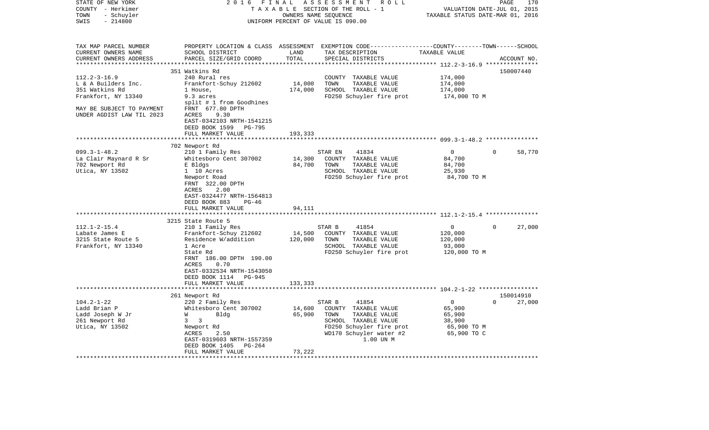| STATE OF NEW YORK<br>COUNTY - Herkimer            | 2 0 1 6                            | FINAL   | ASSESSMENT<br>R O L L<br>TAXABLE SECTION OF THE ROLL - 1                                         |                                  | PAGE<br>170<br>VALUATION DATE-JUL 01, 2015 |
|---------------------------------------------------|------------------------------------|---------|--------------------------------------------------------------------------------------------------|----------------------------------|--------------------------------------------|
| TOWN<br>- Schuyler<br>SWIS<br>$-214800$           |                                    |         | OWNERS NAME SEQUENCE<br>UNIFORM PERCENT OF VALUE IS 090.00                                       | TAXABLE STATUS DATE-MAR 01, 2016 |                                            |
|                                                   |                                    |         |                                                                                                  |                                  |                                            |
| TAX MAP PARCEL NUMBER                             |                                    |         | PROPERTY LOCATION & CLASS ASSESSMENT EXEMPTION CODE----------------COUNTY-------TOWN------SCHOOL |                                  |                                            |
| CURRENT OWNERS NAME                               | SCHOOL DISTRICT                    | LAND    | TAX DESCRIPTION                                                                                  | TAXABLE VALUE                    |                                            |
| CURRENT OWNERS ADDRESS<br>*********************** | PARCEL SIZE/GRID COORD             | TOTAL   | SPECIAL DISTRICTS                                                                                |                                  | ACCOUNT NO.                                |
|                                                   |                                    |         |                                                                                                  |                                  |                                            |
| $112.2 - 3 - 16.9$                                | 351 Watkins Rd<br>240 Rural res    |         | COUNTY TAXABLE VALUE                                                                             | 174,000                          | 150007440                                  |
| L & A Builders Inc.                               | Frankfort-Schuy 212602             | 14,000  | TOWN<br>TAXABLE VALUE                                                                            | 174,000                          |                                            |
| 351 Watkins Rd                                    | 1 House,                           | 174,000 | SCHOOL TAXABLE VALUE                                                                             | 174,000                          |                                            |
| Frankfort, NY 13340                               | 9.3 acres                          |         | FD250 Schuyler fire prot                                                                         | 174,000 TO M                     |                                            |
|                                                   | split # 1 from Goodhines           |         |                                                                                                  |                                  |                                            |
| MAY BE SUBJECT TO PAYMENT                         | FRNT 677.80 DPTH                   |         |                                                                                                  |                                  |                                            |
| UNDER AGDIST LAW TIL 2023                         | ACRES<br>9.30                      |         |                                                                                                  |                                  |                                            |
|                                                   | EAST-0342103 NRTH-1541215          |         |                                                                                                  |                                  |                                            |
|                                                   | DEED BOOK 1599<br>PG-795           |         |                                                                                                  |                                  |                                            |
|                                                   | FULL MARKET VALUE                  | 193,333 |                                                                                                  |                                  |                                            |
|                                                   | 702 Newport Rd                     |         |                                                                                                  |                                  |                                            |
| $099.3 - 1 - 48.2$                                | 210 1 Family Res                   |         | STAR EN<br>41834                                                                                 | $\mathbf 0$                      | $\Omega$<br>58,770                         |
| La Clair Maynard R Sr                             | Whitesboro Cent 307002             | 14,300  | COUNTY TAXABLE VALUE                                                                             | 84,700                           |                                            |
| 702 Newport Rd                                    | E Bldgs                            | 84,700  | TOWN<br>TAXABLE VALUE                                                                            | 84,700                           |                                            |
| Utica, NY 13502                                   | 1 10 Acres                         |         | SCHOOL TAXABLE VALUE                                                                             | 25,930                           |                                            |
|                                                   | Newport Road                       |         | FD250 Schuyler fire prot                                                                         | 84,700 TO M                      |                                            |
|                                                   | FRNT 322.00 DPTH                   |         |                                                                                                  |                                  |                                            |
|                                                   | ACRES<br>2.00                      |         |                                                                                                  |                                  |                                            |
|                                                   | EAST-0324477 NRTH-1564813<br>PG-46 |         |                                                                                                  |                                  |                                            |
|                                                   | DEED BOOK 883<br>FULL MARKET VALUE | 94,111  |                                                                                                  |                                  |                                            |
|                                                   |                                    |         |                                                                                                  |                                  |                                            |
|                                                   | 3215 State Route 5                 |         |                                                                                                  |                                  |                                            |
| $112.1 - 2 - 15.4$                                | 210 1 Family Res                   |         | STAR B<br>41854                                                                                  | $\mathbf 0$                      | 27,000<br>$\Omega$                         |
| Labate James E                                    | Frankfort-Schuy 212602             | 14,500  | COUNTY TAXABLE VALUE                                                                             | 120,000                          |                                            |
| 3215 State Route 5                                | Residence W/addition               | 120,000 | TOWN<br>TAXABLE VALUE                                                                            | 120,000                          |                                            |
| Frankfort, NY 13340                               | 1 Acre                             |         | SCHOOL TAXABLE VALUE                                                                             | 93,000                           |                                            |
|                                                   | State Rd                           |         | FD250 Schuyler fire prot                                                                         | 120,000 TO M                     |                                            |
|                                                   | FRNT 186.00 DPTH 190.00<br>0.70    |         |                                                                                                  |                                  |                                            |
|                                                   | ACRES<br>EAST-0332534 NRTH-1543050 |         |                                                                                                  |                                  |                                            |
|                                                   | DEED BOOK 1114 PG-945              |         |                                                                                                  |                                  |                                            |
|                                                   | FULL MARKET VALUE                  | 133,333 |                                                                                                  |                                  |                                            |
|                                                   |                                    |         |                                                                                                  |                                  |                                            |
|                                                   | 261 Newport Rd                     |         |                                                                                                  |                                  | 150014910                                  |
| $104.2 - 1 - 22$                                  | 220 2 Family Res                   |         | 41854<br>STAR B                                                                                  | $\mathsf{O}$                     | 27,000<br>$\Omega$                         |
| Ladd Brian P                                      | Whitesboro Cent 307002             | 14,600  | COUNTY TAXABLE VALUE                                                                             | 65,900                           |                                            |
| Ladd Joseph W Jr                                  | W<br>Bldg                          | 65,900  | TOWN<br>TAXABLE VALUE                                                                            | 65,900                           |                                            |
| 261 Newport Rd                                    | $\overline{\mathbf{3}}$<br>3       |         | SCHOOL TAXABLE VALUE                                                                             | 38,900                           |                                            |
| Utica, NY 13502                                   | Newport Rd<br>ACRES<br>2.50        |         | FD250 Schuyler fire prot<br>WD170 Schuyler water #2                                              | 65,900 TO M<br>65,900 TO C       |                                            |
|                                                   | EAST-0319603 NRTH-1557359          |         | 1.00 UN M                                                                                        |                                  |                                            |
|                                                   | DEED BOOK 1405<br>PG-264           |         |                                                                                                  |                                  |                                            |
|                                                   | FULL MARKET VALUE                  | 73,222  |                                                                                                  |                                  |                                            |
|                                                   | ***********************            |         |                                                                                                  |                                  |                                            |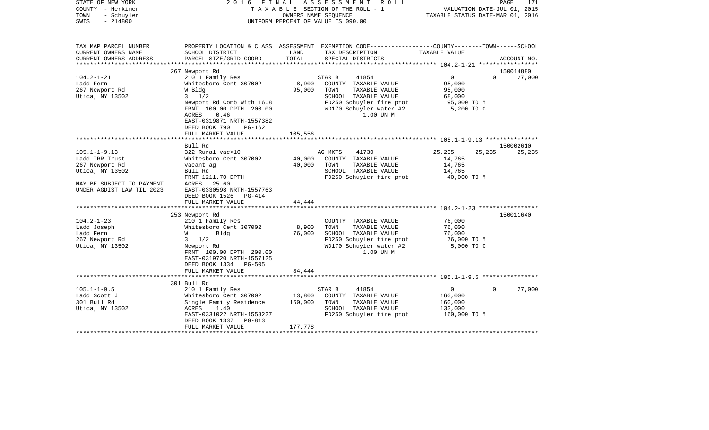| STATE OF NEW YORK<br>COUNTY - Herkimer<br>- Schuyler<br>TOWN<br>$-214800$<br>SWIS | 2016                                                   | F I N A L     | A S S E S S M E N T R O L L<br>TAXABLE SECTION OF THE ROLL - 1<br>OWNERS NAME SEOUENCE<br>UNIFORM PERCENT OF VALUE IS 090.00 | TAXABLE STATUS DATE-MAR 01, 2016 | 171<br>PAGE<br>VALUATION DATE-JUL 01, 2015 |
|-----------------------------------------------------------------------------------|--------------------------------------------------------|---------------|------------------------------------------------------------------------------------------------------------------------------|----------------------------------|--------------------------------------------|
| TAX MAP PARCEL NUMBER                                                             |                                                        |               | PROPERTY LOCATION & CLASS ASSESSMENT EXEMPTION CODE----------------COUNTY-------TOWN------SCHOOL                             |                                  |                                            |
| CURRENT OWNERS NAME<br>CURRENT OWNERS ADDRESS                                     | SCHOOL DISTRICT<br>PARCEL SIZE/GRID COORD              | LAND<br>TOTAL | TAX DESCRIPTION<br>SPECIAL DISTRICTS                                                                                         | TAXABLE VALUE                    | ACCOUNT NO.                                |
| *********************                                                             |                                                        |               |                                                                                                                              |                                  |                                            |
|                                                                                   | 267 Newport Rd                                         |               |                                                                                                                              |                                  | 150014880                                  |
| $104.2 - 1 - 21$                                                                  | 210 1 Family Res                                       |               | 41854<br>STAR B                                                                                                              | $\overline{0}$                   | $\Omega$<br>27,000                         |
| Ladd Fern                                                                         | Whitesboro Cent 307002                                 | 8,900         | COUNTY TAXABLE VALUE                                                                                                         | 95,000                           |                                            |
| 267 Newport Rd                                                                    | W Bldg                                                 | 95,000        | TOWN<br>TAXABLE VALUE                                                                                                        | 95,000                           |                                            |
| Utica, NY 13502                                                                   | $3 \frac{1}{2}$                                        |               | SCHOOL TAXABLE VALUE                                                                                                         | 68,000                           |                                            |
|                                                                                   | Newport Rd Comb With 16.8                              |               | FD250 Schuyler fire prot                                                                                                     | 95,000 TO M                      |                                            |
|                                                                                   | FRNT 100.00 DPTH 200.00                                |               | WD170 Schuyler water #2                                                                                                      | 5,200 TO C                       |                                            |
|                                                                                   | ACRES<br>0.46                                          |               | 1.00 UN M                                                                                                                    |                                  |                                            |
|                                                                                   | EAST-0319871 NRTH-1557382<br>DEED BOOK 790<br>$PG-162$ |               |                                                                                                                              |                                  |                                            |
|                                                                                   | FULL MARKET VALUE                                      | 105,556       |                                                                                                                              |                                  |                                            |
|                                                                                   |                                                        | ************  |                                                                                                                              |                                  |                                            |
|                                                                                   | Bull Rd                                                |               |                                                                                                                              |                                  | 150002610                                  |
| $105.1 - 1 - 9.13$                                                                | 322 Rural vac>10                                       |               | AG MKTS<br>41730                                                                                                             | 25,235                           | 25,235<br>25,235                           |
| Ladd IRR Trust                                                                    | Whitesboro Cent 307002                                 | 40,000        | COUNTY TAXABLE VALUE                                                                                                         | 14,765                           |                                            |
| 267 Newport Rd                                                                    | vacant ag                                              | 40,000        | TOWN<br>TAXABLE VALUE                                                                                                        | 14,765                           |                                            |
| Utica, NY 13502                                                                   | Bull Rd                                                |               | SCHOOL TAXABLE VALUE                                                                                                         | 14,765                           |                                            |
|                                                                                   | FRNT 1211.70 DPTH                                      |               | FD250 Schuyler fire prot                                                                                                     | 40,000 TO M                      |                                            |
| MAY BE SUBJECT TO PAYMENT                                                         | ACRES 25.60                                            |               |                                                                                                                              |                                  |                                            |
| UNDER AGDIST LAW TIL 2023                                                         | EAST-0330598 NRTH-1557763<br>DEED BOOK 1526 PG-414     |               |                                                                                                                              |                                  |                                            |
|                                                                                   | FULL MARKET VALUE                                      | 44,444        |                                                                                                                              |                                  |                                            |
|                                                                                   |                                                        |               |                                                                                                                              |                                  |                                            |
|                                                                                   | 253 Newport Rd                                         |               |                                                                                                                              |                                  | 150011640                                  |
| $104.2 - 1 - 23$                                                                  | 210 1 Family Res                                       |               | COUNTY TAXABLE VALUE                                                                                                         | 76,000                           |                                            |
| Ladd Joseph                                                                       | Whitesboro Cent 307002                                 | 8,900         | TOWN<br>TAXABLE VALUE                                                                                                        | 76,000                           |                                            |
| Ladd Fern                                                                         | <b>W</b><br>Bldg                                       | 76,000        | SCHOOL TAXABLE VALUE                                                                                                         | 76,000                           |                                            |
| 267 Newport Rd                                                                    | $3 \frac{1}{2}$                                        |               | FD250 Schuyler fire prot                                                                                                     | 76,000 то м                      |                                            |
| Utica, NY 13502                                                                   | Newport Rd                                             |               | WD170 Schuyler water #2                                                                                                      | 5,000 TO C                       |                                            |
|                                                                                   | FRNT 100.00 DPTH 200.00                                |               | 1.00 UN M                                                                                                                    |                                  |                                            |
|                                                                                   | EAST-0319720 NRTH-1557125                              |               |                                                                                                                              |                                  |                                            |
|                                                                                   | DEED BOOK 1334 PG-505                                  |               |                                                                                                                              |                                  |                                            |
|                                                                                   | FULL MARKET VALUE                                      | 84,444        |                                                                                                                              |                                  |                                            |
|                                                                                   | 301 Bull Rd                                            |               |                                                                                                                              |                                  |                                            |
| $105.1 - 1 - 9.5$                                                                 | 210 1 Family Res                                       |               | 41854<br>STAR B                                                                                                              | $\mathbf{0}$                     | $\Omega$<br>27,000                         |
| Ladd Scott J                                                                      | Whitesboro Cent 307002                                 | 13,800        | COUNTY TAXABLE VALUE                                                                                                         | 160,000                          |                                            |
| 301 Bull Rd                                                                       | Single Family Residence                                | 160,000       | TOWN<br>TAXABLE VALUE                                                                                                        | 160,000                          |                                            |
| Utica, NY 13502                                                                   | ACRES<br>1.40                                          |               | SCHOOL TAXABLE VALUE                                                                                                         | 133,000                          |                                            |
|                                                                                   | EAST-0331022 NRTH-1558227                              |               | FD250 Schuyler fire prot                                                                                                     | 160,000 TO M                     |                                            |
|                                                                                   | DEED BOOK 1337 PG-813                                  |               |                                                                                                                              |                                  |                                            |
|                                                                                   | FULL MARKET VALUE                                      | 177,778       |                                                                                                                              |                                  |                                            |
|                                                                                   |                                                        |               |                                                                                                                              |                                  |                                            |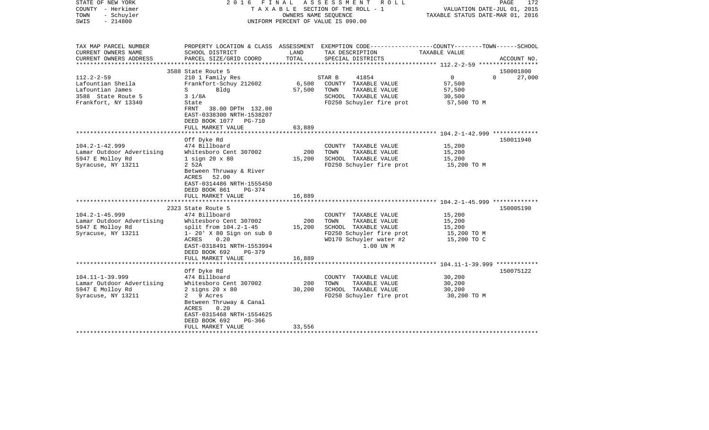| STATE OF NEW YORK<br>COUNTY - Herkimer<br>TOWN<br>- Schuyler<br>$-214800$<br>SWIS |                                                                                                               | OWNERS NAME SEOUENCE | 2016 FINAL ASSESSMENT ROLL<br>TAXABLE SECTION OF THE ROLL - 1<br>UNIFORM PERCENT OF VALUE IS 090.00 | PAGE<br>172<br>VALUATION DATE-JUL 01, 2015<br>TAXABLE STATUS DATE-MAR 01, 2016                   |
|-----------------------------------------------------------------------------------|---------------------------------------------------------------------------------------------------------------|----------------------|-----------------------------------------------------------------------------------------------------|--------------------------------------------------------------------------------------------------|
| TAX MAP PARCEL NUMBER                                                             |                                                                                                               |                      |                                                                                                     | PROPERTY LOCATION & CLASS ASSESSMENT EXEMPTION CODE----------------COUNTY-------TOWN------SCHOOL |
| CURRENT OWNERS NAME<br>CURRENT OWNERS ADDRESS                                     | SCHOOL DISTRICT<br>PARCEL SIZE/GRID COORD                                                                     | LAND<br>TOTAL        | TAX DESCRIPTION<br>SPECIAL DISTRICTS                                                                | TAXABLE VALUE<br>ACCOUNT NO.                                                                     |
|                                                                                   |                                                                                                               |                      |                                                                                                     |                                                                                                  |
| $112.2 - 2 - 59$                                                                  | 3588 State Route 5                                                                                            |                      |                                                                                                     | 150001800<br>$\overline{0}$<br>$\Omega$                                                          |
| Lafountian Sheila                                                                 | 210 1 Family Res<br>Frankfort-Schuy 212602                                                                    | 6,500                | STAR B<br>41854<br>COUNTY TAXABLE VALUE                                                             | 27,000<br>57,500                                                                                 |
| Lafountian James                                                                  | Bldg<br>$S \qquad \qquad$                                                                                     | 57,500               | TOWN<br>TAXABLE VALUE                                                                               | 57,500                                                                                           |
| 3588 State Route 5                                                                | $3 \frac{1}{8}$                                                                                               |                      | SCHOOL TAXABLE VALUE                                                                                | 30,500                                                                                           |
| Frankfort, NY 13340                                                               | State                                                                                                         |                      | FD250 Schuyler fire prot                                                                            | 57,500 TO M                                                                                      |
|                                                                                   | FRNT 38.00 DPTH 132.00<br>EAST-0338300 NRTH-1538207<br>DEED BOOK 1077 PG-710                                  |                      |                                                                                                     |                                                                                                  |
|                                                                                   | FULL MARKET VALUE                                                                                             | 63,889               |                                                                                                     |                                                                                                  |
|                                                                                   |                                                                                                               |                      |                                                                                                     |                                                                                                  |
| $104.2 - 1 - 42.999$                                                              | Off Dyke Rd<br>474 Billboard                                                                                  |                      | COUNTY TAXABLE VALUE                                                                                | 150011940<br>15,200                                                                              |
| Lamar Outdoor Advertising                                                         | Whitesboro Cent 307002                                                                                        | 200                  | TOWN<br>TAXABLE VALUE                                                                               | 15,200                                                                                           |
| 5947 E Molloy Rd                                                                  | $1$ sign $20 \times 80$                                                                                       | 15,200               | SCHOOL TAXABLE VALUE                                                                                | 15,200                                                                                           |
| Syracuse, NY 13211                                                                | 2 52A                                                                                                         |                      | FD250 Schuyler fire prot                                                                            | 15,200 TO M                                                                                      |
|                                                                                   | Between Thruway & River<br>ACRES<br>52.00<br>EAST-0314486 NRTH-1555450<br>DEED BOOK 861<br>PG-374             |                      |                                                                                                     |                                                                                                  |
|                                                                                   | FULL MARKET VALUE                                                                                             | 16,889               |                                                                                                     |                                                                                                  |
|                                                                                   | 2323 State Route 5                                                                                            |                      |                                                                                                     | 150005190                                                                                        |
| $104.2 - 1 - 45.999$                                                              | 474 Billboard                                                                                                 |                      | COUNTY TAXABLE VALUE                                                                                | 15,200                                                                                           |
| Lamar Outdoor Advertising                                                         | Whitesboro Cent 307002                                                                                        | 200                  | TOWN<br>TAXABLE VALUE                                                                               | 15,200                                                                                           |
| 5947 E Molloy Rd                                                                  | split from $104.2 - 1 - 45$                                                                                   | 15,200               | SCHOOL TAXABLE VALUE                                                                                | 15,200                                                                                           |
| Syracuse, NY 13211                                                                | $1 - 20'$ X 80 Sign on sub 0<br>0.20<br>ACRES                                                                 |                      | FD250 Schuyler fire prot<br>WD170 Schuyler water #2                                                 | 15,200 TO M<br>15,200 TO C                                                                       |
|                                                                                   | EAST-0318491 NRTH-1553994                                                                                     |                      | 1.00 UN M                                                                                           |                                                                                                  |
|                                                                                   | DEED BOOK 692<br>PG-379                                                                                       |                      |                                                                                                     |                                                                                                  |
|                                                                                   | FULL MARKET VALUE                                                                                             | 16,889               |                                                                                                     |                                                                                                  |
|                                                                                   |                                                                                                               |                      |                                                                                                     |                                                                                                  |
|                                                                                   | Off Dyke Rd                                                                                                   |                      |                                                                                                     | 150075122                                                                                        |
| $104.11 - 1 - 39.999$                                                             | 474 Billboard                                                                                                 |                      | COUNTY TAXABLE VALUE                                                                                | 30,200                                                                                           |
| Lamar Outdoor Advertising                                                         | Whitesboro Cent 307002                                                                                        | 200                  | TAXABLE VALUE<br>TOWN                                                                               | 30,200                                                                                           |
| 5947 E Molloy Rd                                                                  | $2$ signs $20 \times 80$                                                                                      | 30,200               | SCHOOL TAXABLE VALUE                                                                                | 30,200                                                                                           |
| Syracuse, NY 13211                                                                | 2 9 Acres<br>Between Thruway & Canal<br>ACRES<br>0.20<br>EAST-0315468 NRTH-1554625<br>DEED BOOK 692<br>PG-366 |                      | FD250 Schuyler fire prot                                                                            | 30,200 TO M                                                                                      |
|                                                                                   | FULL MARKET VALUE                                                                                             | 33,556               |                                                                                                     |                                                                                                  |
|                                                                                   |                                                                                                               |                      |                                                                                                     |                                                                                                  |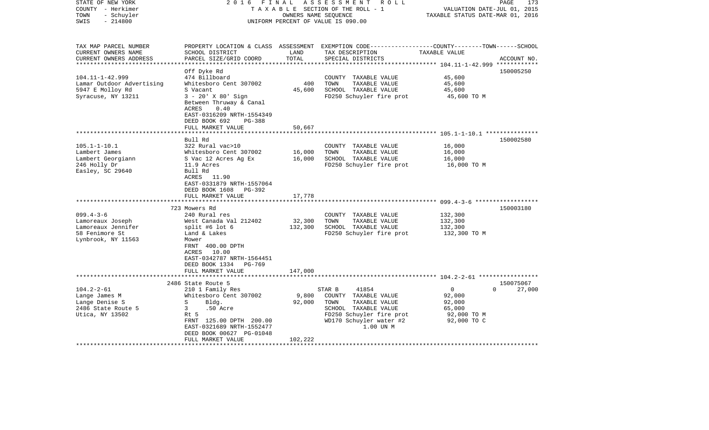| STATE OF NEW YORK<br>COUNTY - Herkimer<br>- Schuyler<br>TOWN<br>$-214800$<br>SWIS | 2 0 1 6<br>FINAL                                                                                                                    | OWNERS NAME SEQUENCE | ASSESSMENT<br>R O L L<br>TAXABLE SECTION OF THE ROLL - 1<br>UNIFORM PERCENT OF VALUE IS 090.00                                           | VALUATION DATE-JUL 01, 2015<br>TAXABLE STATUS DATE-MAR 01, 2016 | PAGE<br>173 |
|-----------------------------------------------------------------------------------|-------------------------------------------------------------------------------------------------------------------------------------|----------------------|------------------------------------------------------------------------------------------------------------------------------------------|-----------------------------------------------------------------|-------------|
| TAX MAP PARCEL NUMBER<br>CURRENT OWNERS NAME<br>CURRENT OWNERS ADDRESS            | SCHOOL DISTRICT<br>PARCEL SIZE/GRID COORD                                                                                           | LAND<br>TOTAL        | PROPERTY LOCATION & CLASS ASSESSMENT EXEMPTION CODE----------------COUNTY-------TOWN------SCHOOL<br>TAX DESCRIPTION<br>SPECIAL DISTRICTS | TAXABLE VALUE                                                   | ACCOUNT NO. |
| *************************                                                         | Off Dyke Rd                                                                                                                         |                      |                                                                                                                                          |                                                                 | 150005250   |
| $104.11 - 1 - 42.999$                                                             | 474 Billboard                                                                                                                       |                      | COUNTY TAXABLE VALUE                                                                                                                     | 45,600                                                          |             |
| Lamar Outdoor Advertising                                                         | Whitesboro Cent 307002                                                                                                              | 400                  | TOWN<br>TAXABLE VALUE                                                                                                                    | 45,600                                                          |             |
| 5947 E Molloy Rd                                                                  | S Vacant                                                                                                                            | 45,600               | SCHOOL TAXABLE VALUE                                                                                                                     | 45,600                                                          |             |
| Syracuse, NY 13211                                                                | $3 - 20'$ X 80' Sign<br>Between Thruway & Canal<br>0.40<br>ACRES<br>EAST-0316209 NRTH-1554349<br>DEED BOOK 692<br>PG-388            |                      | FD250 Schuyler fire prot                                                                                                                 | 45,600 TO M                                                     |             |
|                                                                                   | FULL MARKET VALUE                                                                                                                   | 50,667               |                                                                                                                                          |                                                                 |             |
|                                                                                   | ******************                                                                                                                  |                      |                                                                                                                                          |                                                                 |             |
|                                                                                   | Bull Rd                                                                                                                             |                      |                                                                                                                                          |                                                                 | 150002580   |
| $105.1 - 1 - 10.1$                                                                | 322 Rural vac>10                                                                                                                    |                      | COUNTY TAXABLE VALUE                                                                                                                     | 16,000                                                          |             |
| Lambert James                                                                     | Whitesboro Cent 307002                                                                                                              | 16,000               | TOWN<br>TAXABLE VALUE                                                                                                                    | 16,000                                                          |             |
| Lambert Georgiann<br>246 Holly Dr                                                 | S Vac 12 Acres Ag Ex<br>11.9 Acres                                                                                                  | 16,000               | SCHOOL TAXABLE VALUE<br>FD250 Schuyler fire prot                                                                                         | 16,000<br>16,000 TO M                                           |             |
| Easley, SC 29640                                                                  | Bull Rd<br>ACRES 11.90<br>EAST-0331879 NRTH-1557064<br>DEED BOOK 1608 PG-392                                                        |                      |                                                                                                                                          |                                                                 |             |
|                                                                                   | FULL MARKET VALUE<br>*************************                                                                                      | 17,778<br>*********  |                                                                                                                                          |                                                                 |             |
|                                                                                   | 723 Mowers Rd                                                                                                                       |                      |                                                                                                                                          |                                                                 | 150003180   |
| $099.4 - 3 - 6$                                                                   | 240 Rural res                                                                                                                       |                      | COUNTY TAXABLE VALUE                                                                                                                     | 132,300                                                         |             |
| Lamoreaux Joseph                                                                  | West Canada Val 212402                                                                                                              | 32,300               | TAXABLE VALUE<br>TOWN                                                                                                                    | 132,300                                                         |             |
| Lamoreaux Jennifer                                                                | split #6 lot $6$                                                                                                                    | 132,300              | SCHOOL TAXABLE VALUE                                                                                                                     | 132,300                                                         |             |
| 58 Fenimore St<br>Lynbrook, NY 11563                                              | Land & Lakes<br>Mower<br>FRNT 400.00 DPTH<br>ACRES 10.00<br>EAST-0342787 NRTH-1564451<br>DEED BOOK 1334 PG-769<br>FULL MARKET VALUE | 147,000              | FD250 Schuyler fire prot                                                                                                                 | 132,300 TO M                                                    |             |
|                                                                                   |                                                                                                                                     |                      |                                                                                                                                          |                                                                 |             |
|                                                                                   | 2486 State Route 5                                                                                                                  |                      |                                                                                                                                          |                                                                 | 150075067   |
| $104.2 - 2 - 61$                                                                  | 210 1 Family Res                                                                                                                    |                      | 41854<br>STAR B                                                                                                                          | $\mathsf{O}$<br>$\Omega$                                        | 27,000      |
| Lange James M                                                                     | Whitesboro Cent 307002                                                                                                              | 9,800                | COUNTY TAXABLE VALUE                                                                                                                     | 92,000                                                          |             |
| Lange Denise S                                                                    | S<br>Bldg.                                                                                                                          | 92,000               | TOWN<br>TAXABLE VALUE                                                                                                                    | 92,000                                                          |             |
| 2486 State Route 5                                                                | 3<br>.50 Acre                                                                                                                       |                      | SCHOOL TAXABLE VALUE                                                                                                                     | 65,000                                                          |             |
| Utica, NY 13502                                                                   | Rt 5<br>FRNT 125.00 DPTH 200.00<br>EAST-0321689 NRTH-1552477<br>DEED BOOK 00627 PG-01048<br>FULL MARKET VALUE                       | 102,222              | FD250 Schuyler fire prot<br>WD170 Schuyler water #2<br>1.00 UN M                                                                         | 92,000 TO M<br>92,000 TO C                                      |             |
|                                                                                   |                                                                                                                                     |                      |                                                                                                                                          |                                                                 |             |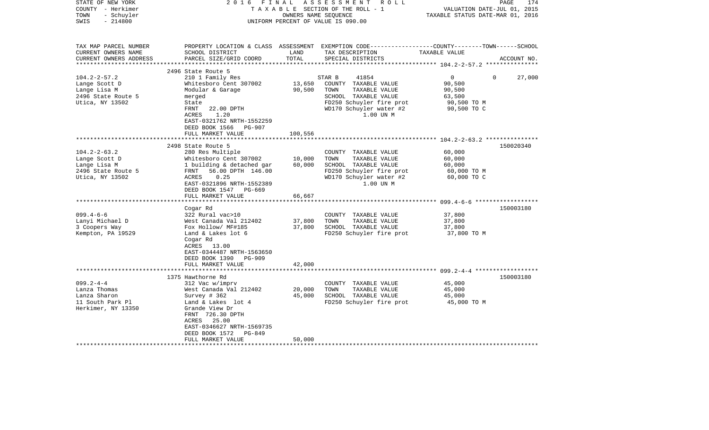| STATE OF NEW YORK<br>COUNTY - Herkimer<br>- Schuyler<br>TOWN<br>$-214800$<br>SWIS            | 2016<br>FINAL                                                                                                                                                                                 | OWNERS NAME SEQUENCE  | A S S E S S M E N T<br>ROLL<br>TAXABLE SECTION OF THE ROLL - 1<br>UNIFORM PERCENT OF VALUE IS 090.00                                            | VALUATION DATE-JUL 01, 2015<br>TAXABLE STATUS DATE-MAR 01, 2016                        | PAGE<br>174 |
|----------------------------------------------------------------------------------------------|-----------------------------------------------------------------------------------------------------------------------------------------------------------------------------------------------|-----------------------|-------------------------------------------------------------------------------------------------------------------------------------------------|----------------------------------------------------------------------------------------|-------------|
| TAX MAP PARCEL NUMBER<br>CURRENT OWNERS NAME<br>CURRENT OWNERS ADDRESS                       | SCHOOL DISTRICT<br>PARCEL SIZE/GRID COORD                                                                                                                                                     | LAND<br>TOTAL         | PROPERTY LOCATION & CLASS ASSESSMENT EXEMPTION CODE---------------COUNTY-------TOWN-----SCHOOL<br>TAX DESCRIPTION<br>SPECIAL DISTRICTS          | TAXABLE VALUE                                                                          | ACCOUNT NO. |
| ***********************                                                                      | 2496 State Route 5                                                                                                                                                                            |                       |                                                                                                                                                 |                                                                                        |             |
| $104.2 - 2 - 57.2$<br>Lange Scott D<br>Lange Lisa M<br>2496 State Route 5<br>Utica, NY 13502 | 210 1 Family Res<br>Whitesboro Cent 307002<br>Modular & Garage<br>merged<br>State<br>FRNT<br>22.00 DPTH                                                                                       | 13,650<br>90,500      | 41854<br>STAR B<br>COUNTY TAXABLE VALUE<br>TOWN<br>TAXABLE VALUE<br>SCHOOL TAXABLE VALUE<br>FD250 Schuyler fire prot<br>WD170 Schuyler water #2 | $\overline{0}$<br>$\Omega$<br>90,500<br>90,500<br>63,500<br>90,500 TO M<br>90,500 TO C | 27,000      |
|                                                                                              | 1.20<br>ACRES<br>EAST-0321762 NRTH-1552259<br>DEED BOOK 1566 PG-907<br>FULL MARKET VALUE                                                                                                      | 100,556               | 1.00 UN M                                                                                                                                       |                                                                                        |             |
|                                                                                              | 2498 State Route 5                                                                                                                                                                            |                       |                                                                                                                                                 |                                                                                        | 150020340   |
| $104.2 - 2 - 63.2$<br>Lange Scott D<br>Lange Lisa M<br>2496 State Route 5<br>Utica, NY 13502 | 280 Res Multiple<br>Whitesboro Cent 307002<br>1 building & detached gar<br>FRNT 56.00 DPTH 146.00<br>ACRES<br>0.25<br>EAST-0321896 NRTH-1552389<br>DEED BOOK 1547 PG-669                      | 10,000<br>60,000      | COUNTY TAXABLE VALUE<br>TOWN<br>TAXABLE VALUE<br>SCHOOL TAXABLE VALUE<br>FD250 Schuyler fire prot<br>WD170 Schuyler water #2<br>1.00 UN M       | 60,000<br>60,000<br>60,000<br>60,000 TO M<br>60,000 TO C                               |             |
|                                                                                              | FULL MARKET VALUE                                                                                                                                                                             | 66,667<br>*********** |                                                                                                                                                 |                                                                                        |             |
|                                                                                              | Cogar Rd                                                                                                                                                                                      |                       |                                                                                                                                                 |                                                                                        | 150003180   |
| $099.4 - 6 - 6$<br>Lanyi Michael D<br>3 Coopers Way<br>Kempton, PA 19529                     | 322 Rural vac>10<br>West Canada Val 212402<br>Fox Hollow/ MF#185<br>Land & Lakes lot 6<br>Cogar Rd<br>ACRES 13.00                                                                             | 37,800<br>37,800      | COUNTY TAXABLE VALUE<br>TOWN<br>TAXABLE VALUE<br>SCHOOL TAXABLE VALUE<br>FD250 Schuyler fire prot                                               | 37,800<br>37,800<br>37,800<br>37,800 TO M                                              |             |
|                                                                                              | EAST-0344487 NRTH-1563650<br>DEED BOOK 1390<br><b>PG-909</b><br>FULL MARKET VALUE                                                                                                             | 42,000                |                                                                                                                                                 |                                                                                        |             |
|                                                                                              | 1375 Hawthorne Rd                                                                                                                                                                             |                       |                                                                                                                                                 | ************************ 099.2-4-4 *************                                       | 150003180   |
| $099.2 - 4 - 4$<br>Lanza Thomas<br>Lanza Sharon<br>11 South Park Pl<br>Herkimer, NY 13350    | 312 Vac w/imprv<br>West Canada Val 212402<br>Survey # 362<br>Land & Lakes lot 4<br>Grande View Dr<br>FRNT 726.30 DPTH<br>ACRES 25.00<br>EAST-0346627 NRTH-1569735<br>DEED BOOK 1572<br>PG-849 | 20,000<br>45,000      | COUNTY TAXABLE VALUE<br>TOWN<br>TAXABLE VALUE<br>SCHOOL TAXABLE VALUE<br>FD250 Schuyler fire prot                                               | 45,000<br>45,000<br>45,000<br>45,000 TO M                                              |             |
|                                                                                              | FULL MARKET VALUE                                                                                                                                                                             | 50,000                |                                                                                                                                                 |                                                                                        |             |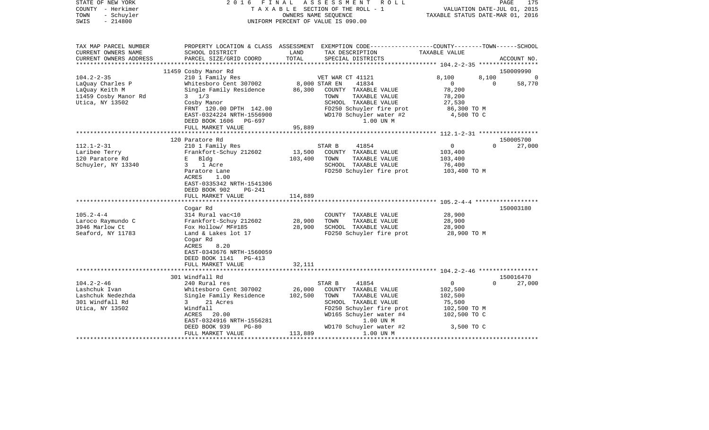| STATE OF NEW YORK<br>COUNTY - Herkimer<br>- Schuyler<br>TOWN<br>$-214800$<br>SWIS |                                                             |               | 2016 FINAL ASSESSMENT ROLL<br>TAXABLE SECTION OF THE ROLL - 1<br>OWNERS NAME SEOUENCE<br>UNIFORM PERCENT OF VALUE IS 090.00              | VALUATION DATE-JUL 01, 2015<br>TAXABLE STATUS DATE-MAR 01, 2016 | PAGE<br>175        |
|-----------------------------------------------------------------------------------|-------------------------------------------------------------|---------------|------------------------------------------------------------------------------------------------------------------------------------------|-----------------------------------------------------------------|--------------------|
| TAX MAP PARCEL NUMBER<br>CURRENT OWNERS NAME<br>CURRENT OWNERS ADDRESS            | SCHOOL DISTRICT<br>PARCEL SIZE/GRID COORD                   | LAND<br>TOTAL | PROPERTY LOCATION & CLASS ASSESSMENT EXEMPTION CODE----------------COUNTY-------TOWN------SCHOOL<br>TAX DESCRIPTION<br>SPECIAL DISTRICTS | TAXABLE VALUE                                                   | ACCOUNT NO.        |
| *********************                                                             |                                                             |               |                                                                                                                                          |                                                                 |                    |
|                                                                                   | 11459 Cosby Manor Rd                                        |               |                                                                                                                                          |                                                                 | 150009990          |
| $104.2 - 2 - 35$                                                                  | 210 1 Family Res                                            |               | VET WAR CT 41121                                                                                                                         | 8,100                                                           | 8,100<br>$\Omega$  |
| LaQuay Charles P                                                                  | Whitesboro Cent 307002 8,000 STAR EN                        |               | 41834                                                                                                                                    | $\overline{0}$                                                  | 58,770<br>$\Omega$ |
| LaQuay Keith M                                                                    | Single Family Residence<br>$3 \frac{1}{3}$                  | 86,300        | COUNTY TAXABLE VALUE<br>TAXABLE VALUE<br>TOWN                                                                                            | 78,200<br>78,200                                                |                    |
| 11459 Cosby Manor Rd<br>Utica, NY 13502                                           | Cosby Manor                                                 |               | SCHOOL TAXABLE VALUE                                                                                                                     | 27,530                                                          |                    |
|                                                                                   | FRNT 120.00 DPTH 142.00                                     |               | FD250 Schuyler fire prot                                                                                                                 | 86,300 TO M                                                     |                    |
|                                                                                   | EAST-0324224 NRTH-1556900                                   |               | WD170 Schuyler water #2                                                                                                                  | 4,500 TO C                                                      |                    |
|                                                                                   | DEED BOOK 1606 PG-697                                       |               | 1.00 UN M                                                                                                                                |                                                                 |                    |
|                                                                                   | FULL MARKET VALUE                                           | 95,889        |                                                                                                                                          |                                                                 |                    |
|                                                                                   |                                                             |               |                                                                                                                                          |                                                                 |                    |
|                                                                                   | 120 Paratore Rd                                             |               |                                                                                                                                          |                                                                 | 150005700          |
| $112.1 - 2 - 31$                                                                  | 210 1 Family Res                                            |               | STAR B<br>41854                                                                                                                          | $\overline{0}$                                                  | 27,000<br>$\Omega$ |
| Laribee Terry                                                                     | Frankfort-Schuy 212602                                      | 13,500        | COUNTY TAXABLE VALUE                                                                                                                     | 103,400                                                         |                    |
| 120 Paratore Rd                                                                   | E Bldg                                                      | 103,400       | TOWN<br>TAXABLE VALUE                                                                                                                    | 103,400                                                         |                    |
| Schuyler, NY 13340                                                                | 3 <sup>7</sup><br>1 Acre                                    |               | SCHOOL TAXABLE VALUE                                                                                                                     | 76,400                                                          |                    |
|                                                                                   | Paratore Lane<br>ACRES<br>1.00<br>EAST-0335342 NRTH-1541306 |               | FD250 Schuyler fire prot                                                                                                                 | 103,400 ТО М                                                    |                    |
|                                                                                   | DEED BOOK 902<br>PG-241                                     |               |                                                                                                                                          |                                                                 |                    |
|                                                                                   | FULL MARKET VALUE                                           | 114,889       |                                                                                                                                          |                                                                 |                    |
|                                                                                   |                                                             |               |                                                                                                                                          |                                                                 | 150003180          |
| $105.2 - 4 - 4$                                                                   | Cogar Rd<br>314 Rural vac<10                                |               | COUNTY TAXABLE VALUE                                                                                                                     | 28,900                                                          |                    |
| Laroco Raymundo C                                                                 | Frankfort-Schuy 212602                                      | 28,900        | TOWN<br>TAXABLE VALUE                                                                                                                    | 28,900                                                          |                    |
| 3946 Marlow Ct                                                                    | Fox Hollow/ MF#185                                          | 28,900        | SCHOOL TAXABLE VALUE                                                                                                                     | 28,900                                                          |                    |
| Seaford, NY 11783                                                                 | Land & Lakes lot 17                                         |               | FD250 Schuyler fire prot                                                                                                                 | 28,900 TO M                                                     |                    |
|                                                                                   | Cogar Rd<br>8.20<br>ACRES<br>EAST-0343676 NRTH-1560059      |               |                                                                                                                                          |                                                                 |                    |
|                                                                                   | DEED BOOK 1141 PG-413                                       |               |                                                                                                                                          |                                                                 |                    |
|                                                                                   | FULL MARKET VALUE                                           | 32,111        |                                                                                                                                          |                                                                 |                    |
|                                                                                   | 301 Windfall Rd                                             |               |                                                                                                                                          |                                                                 | 150016470          |
| $104.2 - 2 - 46$                                                                  | 240 Rural res                                               |               | STAR B<br>41854                                                                                                                          | $\mathbf 0$                                                     | 27,000<br>$\Omega$ |
| Lashchuk Ivan                                                                     | Whitesboro Cent 307002                                      | 26,000        | COUNTY TAXABLE VALUE                                                                                                                     | 102,500                                                         |                    |
| Lashchuk Nedezhda                                                                 | Single Family Residence                                     | 102,500       | TOWN<br>TAXABLE VALUE                                                                                                                    | 102,500                                                         |                    |
| 301 Windfall Rd                                                                   | $3 \sim$<br>21 Acres                                        |               | SCHOOL TAXABLE VALUE                                                                                                                     | 75,500                                                          |                    |
| Utica, NY 13502                                                                   | Windfall                                                    |               | FD250 Schuyler fire prot                                                                                                                 | 102,500 TO M                                                    |                    |
|                                                                                   | ACRES 20.00                                                 |               | WD165 Schuyler water #4                                                                                                                  | 102,500 TO C                                                    |                    |
|                                                                                   | EAST-0324916 NRTH-1556281                                   |               | 1.00 UN M                                                                                                                                |                                                                 |                    |
|                                                                                   | DEED BOOK 939<br>$PG-80$                                    |               | WD170 Schuyler water #2                                                                                                                  | 3,500 TO C                                                      |                    |
|                                                                                   | FULL MARKET VALUE                                           | 113,889       | 1.00 UN M                                                                                                                                |                                                                 |                    |
|                                                                                   |                                                             |               |                                                                                                                                          |                                                                 |                    |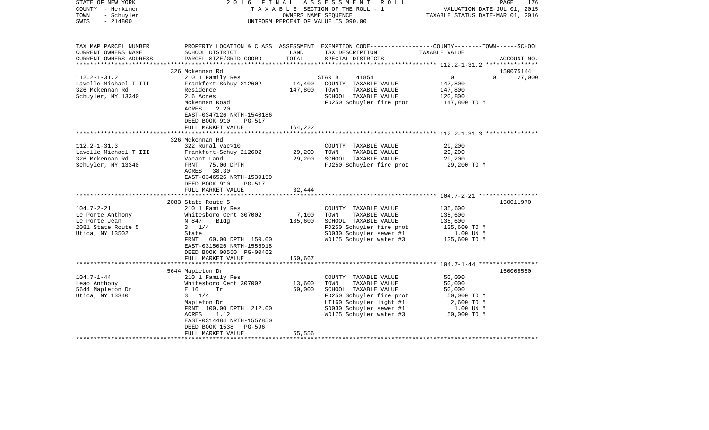| STATE OF NEW YORK<br>COUNTY - Herkimer<br>- Schuyler<br>TOWN<br>$-214800$<br>SWIS              | 2016 FINAL                                                                                                                                                                                                                                                                 | OWNERS NAME SEQUENCE         | A S S E S S M E N T R O L L<br>TAXABLE SECTION OF THE ROLL - 1<br>UNIFORM PERCENT OF VALUE IS 090.00                                                                               | VALUATION DATE-JUL 01, 2015<br>TAXABLE STATUS DATE-MAR 01, 2016                     | PAGE<br>176         |
|------------------------------------------------------------------------------------------------|----------------------------------------------------------------------------------------------------------------------------------------------------------------------------------------------------------------------------------------------------------------------------|------------------------------|------------------------------------------------------------------------------------------------------------------------------------------------------------------------------------|-------------------------------------------------------------------------------------|---------------------|
| TAX MAP PARCEL NUMBER<br>CURRENT OWNERS NAME<br>CURRENT OWNERS ADDRESS                         | SCHOOL DISTRICT<br>PARCEL SIZE/GRID COORD                                                                                                                                                                                                                                  | LAND<br>TOTAL                | PROPERTY LOCATION & CLASS ASSESSMENT EXEMPTION CODE---------------COUNTY-------TOWN------SCHOOL<br>TAX DESCRIPTION<br>SPECIAL DISTRICTS                                            | TAXABLE VALUE                                                                       | ACCOUNT NO.         |
| $112.2 - 1 - 31.2$<br>Lavelle Michael T III<br>326 Mckennan Rd<br>Schuyler, NY 13340           | 326 Mckennan Rd<br>210 1 Family Res<br>Frankfort-Schuy 212602<br>Residence<br>2.6 Acres<br>Mckennan Road<br>2.20<br>ACRES<br>EAST-0347126 NRTH-1540186<br>DEED BOOK 910<br>$PG-517$<br>FULL MARKET VALUE                                                                   | 14,400<br>147,800<br>164,222 | STAR B<br>41854<br>COUNTY TAXABLE VALUE<br>TOWN<br>TAXABLE VALUE<br>SCHOOL TAXABLE VALUE<br>FD250 Schuyler fire prot                                                               | 0<br>$\Omega$<br>147,800<br>147,800<br>120,800<br>147,800 TO M                      | 150075144<br>27,000 |
| $112.2 - 1 - 31.3$<br>Lavelle Michael T III<br>326 Mckennan Rd<br>Schuyler, NY 13340           | 326 Mckennan Rd<br>322 Rural vac>10<br>Frankfort-Schuy 212602<br>Vacant Land<br>FRNT<br>75.00 DPTH<br>ACRES 38.30<br>EAST-0346526 NRTH-1539159<br>DEED BOOK 910<br><b>PG-517</b><br>FULL MARKET VALUE                                                                      | 29,200<br>29,200<br>32,444   | COUNTY TAXABLE VALUE<br>TOWN<br>TAXABLE VALUE<br>SCHOOL TAXABLE VALUE<br>FD250 Schuyler fire prot                                                                                  | 29,200<br>29,200<br>29,200<br>29,200 TO M                                           |                     |
| $104.7 - 2 - 21$<br>Le Porte Anthony<br>Le Porte Jean<br>2081 State Route 5<br>Utica, NY 13502 | 2083 State Route 5<br>210 1 Family Res<br>Whitesboro Cent 307002<br>Bldg<br>N 847<br>$3 \t1/4$<br>State<br>FRNT 60.00 DPTH 150.00<br>EAST-0315026 NRTH-1556918<br>DEED BOOK 00550 PG-00462<br>FULL MARKET VALUE                                                            | 7,100<br>135,600<br>150,667  | COUNTY TAXABLE VALUE<br>TOWN<br>TAXABLE VALUE<br>SCHOOL TAXABLE VALUE<br>FD250 Schuyler fire prot<br>SD030 Schuyler sewer #1<br>WD175 Schuyler water #3                            | 135,600<br>135,600<br>135,600<br>135,600 TO M<br>1.00 UN M<br>135,600 TO M          | 150011970           |
| $104.7 - 1 - 44$<br>Leao Anthony<br>5644 Mapleton Dr<br>Utica, NY 13340                        | 5644 Mapleton Dr<br>210 1 Family Res<br>Whitesboro Cent 307002<br>E 16<br>Trl<br>$3 \t1/4$<br>Mapleton Dr<br>FRNT 100.00 DPTH 212.00<br>1.12<br>ACRES<br>EAST-0314484 NRTH-1557850<br>DEED BOOK 1538<br>PG-596<br>FULL MARKET VALUE<br>*********************************** | 13,600<br>50,000<br>55,556   | COUNTY TAXABLE VALUE<br>TOWN<br>TAXABLE VALUE<br>SCHOOL TAXABLE VALUE<br>FD250 Schuyler fire prot<br>LT160 Schuyler light #1<br>SD030 Schuyler sewer #1<br>WD175 Schuyler water #3 | 50,000<br>50,000<br>50,000<br>50,000 TO M<br>2,600 TO M<br>1.00 UN M<br>50,000 TO M | 150008550           |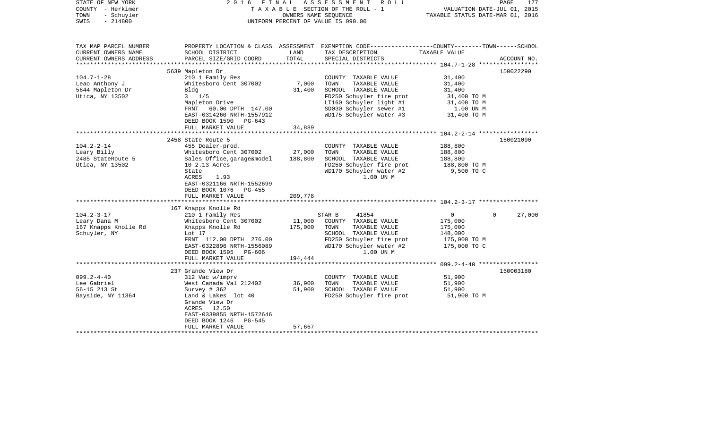| STATE OF NEW YORK<br>COUNTY - Herkimer<br>TOWN<br>- Schuyler<br>$-214800$<br>SWIS | 2016<br>FINAL                                                                                                                                                                                                              |                              | A S S E S S M E N T R O L L<br>TAXABLE SECTION OF THE ROLL - 1<br>OWNERS NAME SEOUENCE<br>UNIFORM PERCENT OF VALUE IS 090.00                                                       | TAXABLE STATUS DATE-MAR 01, 2016                                                     | PAGE<br>177<br>VALUATION DATE-JUL 01, 2015 |
|-----------------------------------------------------------------------------------|----------------------------------------------------------------------------------------------------------------------------------------------------------------------------------------------------------------------------|------------------------------|------------------------------------------------------------------------------------------------------------------------------------------------------------------------------------|--------------------------------------------------------------------------------------|--------------------------------------------|
| TAX MAP PARCEL NUMBER<br>CURRENT OWNERS NAME<br>CURRENT OWNERS ADDRESS            | PROPERTY LOCATION & CLASS ASSESSMENT<br>SCHOOL DISTRICT<br>PARCEL SIZE/GRID COORD                                                                                                                                          | LAND<br>TOTAL                | EXEMPTION CODE-----------------COUNTY-------TOWN------SCHOOL<br>TAX DESCRIPTION<br>SPECIAL DISTRICTS                                                                               | TAXABLE VALUE                                                                        | ACCOUNT NO.                                |
| **********************                                                            |                                                                                                                                                                                                                            |                              |                                                                                                                                                                                    |                                                                                      |                                            |
| $104.7 - 1 - 28$<br>Leao Anthony J<br>5644 Mapleton Dr<br>Utica, NY 13502         | 5639 Mapleton Dr<br>210 1 Family Res<br>Whitesboro Cent 307002<br>Bldg<br>$3 \frac{1}{5}$<br>Mapleton Drive<br>FRNT 60.00 DPTH 147.00<br>EAST-0314260 NRTH-1557912<br>DEED BOOK 1590<br>PG-643<br>FULL MARKET VALUE        | 7,000<br>31,400<br>34,889    | COUNTY TAXABLE VALUE<br>TOWN<br>TAXABLE VALUE<br>SCHOOL TAXABLE VALUE<br>FD250 Schuyler fire prot<br>LT160 Schuyler light #1<br>SD030 Schuyler sewer #1<br>WD175 Schuyler water #3 | 31,400<br>31,400<br>31,400<br>31,400 TO M<br>31,400 TO M<br>1.00 UN M<br>31,400 TO M | 150022290                                  |
|                                                                                   |                                                                                                                                                                                                                            |                              |                                                                                                                                                                                    |                                                                                      |                                            |
| $104.2 - 2 - 14$<br>Leary Billy<br>2485 StateRoute 5<br>Utica, NY 13502           | 2458 State Route 5<br>455 Dealer-prod.<br>Whitesboro Cent 307002<br>Sales Office, garage&model<br>10 2.13 Acres<br>State<br>ACRES<br>1.93<br>EAST-0321166 NRTH-1552699<br>DEED BOOK 1076<br>PG-455                         | 27,000<br>188,800            | COUNTY TAXABLE VALUE<br>TOWN<br>TAXABLE VALUE<br>SCHOOL TAXABLE VALUE<br>FD250 Schuyler fire prot<br>WD170 Schuyler water #2<br>1.00 UN M                                          | 188,800<br>188,800<br>188,800<br>188,800 TO M<br>9,500 TO C                          | 150021090                                  |
|                                                                                   | FULL MARKET VALUE                                                                                                                                                                                                          | 209,778                      |                                                                                                                                                                                    |                                                                                      |                                            |
| $104.2 - 3 - 17$<br>Leary Dana M<br>167 Knapps Knolle Rd<br>Schuyler, NY          | 167 Knapps Knolle Rd<br>210 1 Family Res<br>Whitesboro Cent 307002<br>Knapps Knolle Rd<br>Lot 17<br>FRNT 112.00 DPTH 276.00<br>EAST-0322896 NRTH-1556089<br>DEED BOOK 1595<br>PG-606<br>FULL MARKET VALUE                  | 11,000<br>175,000<br>194,444 | STAR B<br>41854<br>COUNTY TAXABLE VALUE<br>TOWN<br>TAXABLE VALUE<br>SCHOOL TAXABLE VALUE<br>FD250 Schuyler fire prot<br>WD170 Schuyler water #2<br>1.00 UN M                       | $\overline{0}$<br>175,000<br>175,000<br>148,000<br>175,000 TO M<br>175,000 TO C      | $\Omega$<br>27,000                         |
|                                                                                   |                                                                                                                                                                                                                            |                              |                                                                                                                                                                                    |                                                                                      |                                            |
| $099.2 - 4 - 40$<br>Lee Gabriel<br>56-15 213 St<br>Bayside, NY 11364              | 237 Grande View Dr<br>312 Vac w/imprv<br>West Canada Val 212402<br>Survey $# 362$<br>Land & Lakes lot 40<br>Grande View Dr<br>ACRES<br>12.50<br>EAST-0339855 NRTH-1572646<br>DEED BOOK 1246<br>PG-545<br>FULL MARKET VALUE | 36,900<br>51,900<br>57,667   | COUNTY TAXABLE VALUE<br>TOWN<br>TAXABLE VALUE<br>SCHOOL TAXABLE VALUE<br>FD250 Schuyler fire prot                                                                                  | 51,900<br>51,900<br>51,900<br>51,900 TO M                                            | 150003180                                  |
|                                                                                   |                                                                                                                                                                                                                            |                              |                                                                                                                                                                                    |                                                                                      |                                            |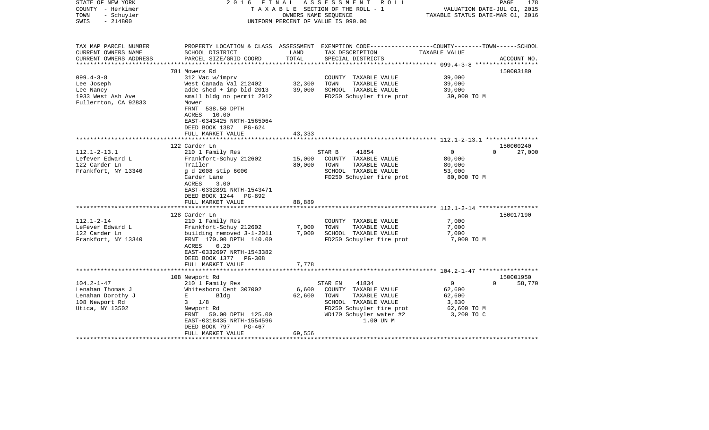| STATE OF NEW YORK<br>COUNTY - Herkimer<br>- Schuyler<br>TOWN<br>$-214800$<br>SWIS                | 2016 FINAL                                                                                                                                                                                                              | OWNERS NAME SEOUENCE       | ASSESSMENT ROLL<br>TAXABLE SECTION OF THE ROLL - 1<br>UNIFORM PERCENT OF VALUE IS 090.00                                                                      | VALUATION DATE-JUL 01, 2015<br>TAXABLE STATUS DATE-MAR 01, 2016        | PAGE<br>178                     |
|--------------------------------------------------------------------------------------------------|-------------------------------------------------------------------------------------------------------------------------------------------------------------------------------------------------------------------------|----------------------------|---------------------------------------------------------------------------------------------------------------------------------------------------------------|------------------------------------------------------------------------|---------------------------------|
| TAX MAP PARCEL NUMBER<br>CURRENT OWNERS NAME<br>CURRENT OWNERS ADDRESS<br>********************** | SCHOOL DISTRICT<br>PARCEL SIZE/GRID COORD                                                                                                                                                                               | LAND<br>TOTAL              | PROPERTY LOCATION & CLASS ASSESSMENT EXEMPTION CODE----------------COUNTY-------TOWN------SCHOOL<br>TAX DESCRIPTION<br>SPECIAL DISTRICTS                      | TAXABLE VALUE                                                          | ACCOUNT NO.                     |
| $099.4 - 3 - 8$<br>Lee Joseph<br>Lee Nancy<br>1933 West Ash Ave<br>Fullerrton, CA 92833          | 781 Mowers Rd<br>312 Vac w/imprv<br>West Canada Val 212402<br>adde shed $+$ imp bld 2013<br>small bldg no permit 2012<br>Mower<br>FRNT 538.50 DPTH<br>ACRES 10.00<br>EAST-0343425 NRTH-1565064<br>DEED BOOK 1387 PG-624 | 32,300<br>39,000           | COUNTY TAXABLE VALUE<br>TOWN<br>TAXABLE VALUE<br>SCHOOL TAXABLE VALUE<br>FD250 Schuyler fire prot                                                             | 39,000<br>39,000<br>39,000<br>39,000 TO M                              | 150003180                       |
|                                                                                                  | FULL MARKET VALUE<br>********************                                                                                                                                                                               | 43,333<br>**************** | ********************************** 112.1-2-13.1 ****************                                                                                              |                                                                        |                                 |
|                                                                                                  | 122 Carder Ln                                                                                                                                                                                                           |                            |                                                                                                                                                               |                                                                        | 150000240                       |
| $112.1 - 2 - 13.1$<br>Lefever Edward L<br>122 Carder Ln<br>Frankfort, NY 13340                   | 210 1 Family Res<br>Frankfort-Schuy 212602<br>Trailer<br>g d 2008 stip 6000<br>Carder Lane<br>ACRES<br>3.00<br>EAST-0332891 NRTH-1543471<br>DEED BOOK 1244 PG-892<br>FULL MARKET VALUE                                  | 15,000<br>80,000<br>88,889 | 41854<br>STAR B<br>COUNTY TAXABLE VALUE<br>TOWN<br>TAXABLE VALUE<br>SCHOOL TAXABLE VALUE<br>FD250 Schuyler fire prot                                          | $\Omega$<br>80,000<br>80,000<br>53,000<br>80,000 TO M                  | $\Omega$<br>27,000              |
|                                                                                                  |                                                                                                                                                                                                                         |                            |                                                                                                                                                               |                                                                        |                                 |
| $112.1 - 2 - 14$<br>LeFever Edward L<br>122 Carder Ln<br>Frankfort, NY 13340                     | 128 Carder Ln<br>210 1 Family Res<br>Frankfort-Schuy 212602<br>building removed 3-1-2011<br>FRNT 170.00 DPTH 140.00<br>ACRES<br>0.20<br>EAST-0332697 NRTH-1543382<br>DEED BOOK 1377 PG-308<br>FULL MARKET VALUE         | 7,000<br>7,000<br>7,778    | COUNTY TAXABLE VALUE<br>TOWN<br>TAXABLE VALUE<br>SCHOOL TAXABLE VALUE<br>FD250 Schuyler fire prot                                                             | 7,000<br>7,000<br>7,000<br>7,000 TO M                                  | 150017190                       |
|                                                                                                  |                                                                                                                                                                                                                         |                            |                                                                                                                                                               |                                                                        |                                 |
| $104.2 - 1 - 47$<br>Lenahan Thomas J<br>Lenahan Dorothy J<br>108 Newport Rd<br>Utica, NY 13502   | 108 Newport Rd<br>210 1 Family Res<br>Whitesboro Cent 307002<br>E<br>Bldg<br>$3 \frac{1}{8}$<br>Newport Rd<br>FRNT 50.00 DPTH 125.00<br>EAST-0318435 NRTH-1554596<br>DEED BOOK 797<br>PG-467<br>FULL MARKET VALUE       | 6,600<br>62,600<br>69,556  | STAR EN<br>41834<br>COUNTY TAXABLE VALUE<br>TOWN<br>TAXABLE VALUE<br>SCHOOL TAXABLE VALUE<br>FD250 Schuyler fire prot<br>WD170 Schuyler water #2<br>1.00 UN M | $\mathbf{0}$<br>62,600<br>62,600<br>3,830<br>62,600 TO M<br>3,200 TO C | 150001950<br>58,770<br>$\Omega$ |
|                                                                                                  |                                                                                                                                                                                                                         |                            |                                                                                                                                                               |                                                                        |                                 |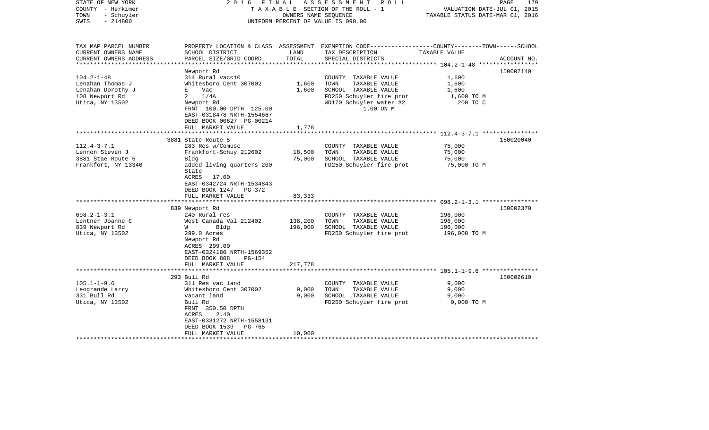| STATE OF NEW YORK<br>COUNTY - Herkimer<br>- Schuyler<br>TOWN<br>$-214800$<br>SWIS                                                                              | 2016 FINAL                                                                                                                                                                                                                                                                                                                                                                                                                            | OWNERS NAME SEQUENCE                             | ASSESSMENT<br>R O L L<br>TAXABLE SECTION OF THE ROLL - 1<br>UNIFORM PERCENT OF VALUE IS 090.00                                                                                                         | VALUATION DATE-JUL 01, 2015<br>TAXABLE STATUS DATE-MAR 01, 2016                            | PAGE<br>179            |
|----------------------------------------------------------------------------------------------------------------------------------------------------------------|---------------------------------------------------------------------------------------------------------------------------------------------------------------------------------------------------------------------------------------------------------------------------------------------------------------------------------------------------------------------------------------------------------------------------------------|--------------------------------------------------|--------------------------------------------------------------------------------------------------------------------------------------------------------------------------------------------------------|--------------------------------------------------------------------------------------------|------------------------|
| TAX MAP PARCEL NUMBER<br>CURRENT OWNERS NAME<br>CURRENT OWNERS ADDRESS<br>*********************                                                                | SCHOOL DISTRICT<br>PARCEL SIZE/GRID COORD                                                                                                                                                                                                                                                                                                                                                                                             | LAND<br>TOTAL                                    | PROPERTY LOCATION & CLASS ASSESSMENT EXEMPTION CODE----------------COUNTY-------TOWN------SCHOOL<br>TAX DESCRIPTION<br>SPECIAL DISTRICTS                                                               | TAXABLE VALUE                                                                              | ACCOUNT NO.            |
| $104.2 - 1 - 48$<br>Lenahan Thomas J<br>Lenahan Dorothy J<br>108 Newport Rd<br>Utica, NY 13502                                                                 | Newport Rd<br>314 Rural vac<10<br>Whitesboro Cent 307002<br>E<br>Vac<br>2<br>1/4A<br>Newport Rd<br>FRNT 100.00 DPTH 125.00<br>EAST-0318478 NRTH-1554667<br>DEED BOOK 00627 PG-00214<br>FULL MARKET VALUE                                                                                                                                                                                                                              | 1,600<br>1,600<br>1,778                          | COUNTY TAXABLE VALUE<br>TOWN<br>TAXABLE VALUE<br>SCHOOL TAXABLE VALUE<br>FD250 Schuyler fire prot<br>WD170 Schuyler water #2<br>1.00 UN M                                                              | 1,600<br>1,600<br>1,600<br>1,600 TO M<br>200 TO C                                          | 150007140              |
|                                                                                                                                                                |                                                                                                                                                                                                                                                                                                                                                                                                                                       |                                                  |                                                                                                                                                                                                        | ***************** 112.4-3-7.1 *****************                                            |                        |
| $112.4 - 3 - 7.1$<br>Lennon Steven J<br>3881 Stae Route 5<br>Frankfort, NY 13340<br>$098.2 - 1 - 3.1$<br>Lentner Joanne C<br>839 Newport Rd<br>Utica, NY 13502 | 3881 State Route 5<br>283 Res w/Comuse<br>Frankfort-Schuy 212602<br>Bldg<br>added living quarters 200<br>State<br>ACRES<br>17.00<br>EAST-0342724 NRTH-1534843<br>DEED BOOK 1247<br>PG-372<br>FULL MARKET VALUE<br>**********************<br>839 Newport Rd<br>240 Rural res<br>West Canada Val 212402<br><b>W</b><br>Bldg<br>299.0 Acres<br>Newport Rd<br>ACRES 299.00<br>EAST-0324180 NRTH-1569352<br>DEED BOOK 808<br><b>PG-154</b> | 18,500<br>75,000<br>83,333<br>138,200<br>196,000 | COUNTY TAXABLE VALUE<br>TAXABLE VALUE<br>TOWN<br>SCHOOL TAXABLE VALUE<br>FD250 Schuyler fire prot<br>COUNTY TAXABLE VALUE<br>TOWN<br>TAXABLE VALUE<br>SCHOOL TAXABLE VALUE<br>FD250 Schuyler fire prot | 75,000<br>75,000<br>75,000<br>75,000 TO M<br>196,000<br>196,000<br>196,000<br>196,000 TO M | 150020040<br>150002370 |
|                                                                                                                                                                | FULL MARKET VALUE                                                                                                                                                                                                                                                                                                                                                                                                                     | 217,778                                          |                                                                                                                                                                                                        |                                                                                            |                        |
|                                                                                                                                                                | ***********************                                                                                                                                                                                                                                                                                                                                                                                                               | *********                                        | ****************************** 105.1-1-9.6 ****************                                                                                                                                            |                                                                                            |                        |
| $105.1 - 1 - 9.6$<br>Leogrande Larry<br>331 Bull Rd<br>Utica, NY 13502                                                                                         | 293 Bull Rd<br>311 Res vac land<br>Whitesboro Cent 307002<br>vacant land<br>Bull Rd<br>FRNT 350.50 DPTH<br>ACRES<br>2.40<br>EAST-0331272 NRTH-1558131<br>DEED BOOK 1539<br>PG-765<br>FULL MARKET VALUE                                                                                                                                                                                                                                | 9,000<br>9,000<br>10,000                         | COUNTY TAXABLE VALUE<br>TOWN<br>TAXABLE VALUE<br>SCHOOL TAXABLE VALUE<br>FD250 Schuyler fire prot                                                                                                      | 9,000<br>9,000<br>9,000<br>9,000 TO M                                                      | 150002610              |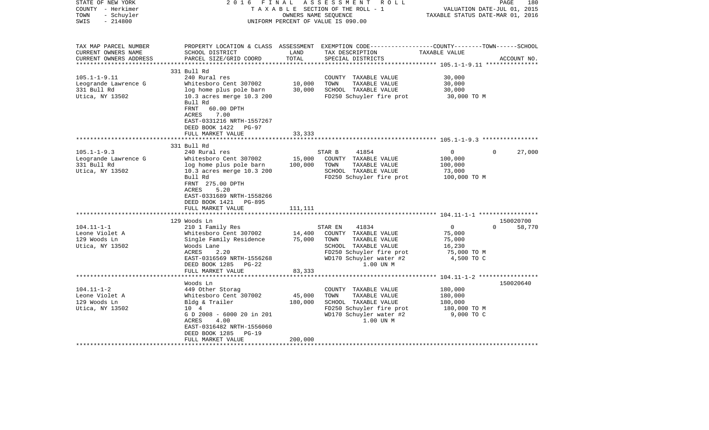| STATE OF NEW YORK<br>COUNTY - Herkimer<br>- Schuyler<br>TOWN<br>$-214800$<br>SWIS | 2 0 1 6<br>FINAL                                                                                                                                | OWNERS NAME SEQUENCE | ASSESSMENT ROLL<br>TAXABLE SECTION OF THE ROLL - 1<br>UNIFORM PERCENT OF VALUE IS 090.00                                                  | VALUATION DATE-JUL 01, 2015<br>TAXABLE STATUS DATE-MAR 01, 2016 | 180<br>PAGE                     |
|-----------------------------------------------------------------------------------|-------------------------------------------------------------------------------------------------------------------------------------------------|----------------------|-------------------------------------------------------------------------------------------------------------------------------------------|-----------------------------------------------------------------|---------------------------------|
| TAX MAP PARCEL NUMBER<br>CURRENT OWNERS NAME<br>CURRENT OWNERS ADDRESS            | SCHOOL DISTRICT<br>PARCEL SIZE/GRID COORD                                                                                                       | LAND<br>TOTAL        | PROPERTY LOCATION & CLASS ASSESSMENT EXEMPTION CODE---------------COUNTY-------TOWN------SCHOOL<br>TAX DESCRIPTION<br>SPECIAL DISTRICTS   | TAXABLE VALUE                                                   | ACCOUNT NO.                     |
|                                                                                   | 331 Bull Rd                                                                                                                                     |                      |                                                                                                                                           |                                                                 |                                 |
| $105.1 - 1 - 9.11$                                                                | 240 Rural res                                                                                                                                   |                      | COUNTY TAXABLE VALUE                                                                                                                      | 30,000                                                          |                                 |
| Leogrande Lawrence G                                                              | Whitesboro Cent 307002                                                                                                                          | 10,000               | TOWN<br>TAXABLE VALUE                                                                                                                     | 30,000                                                          |                                 |
| 331 Bull Rd<br>Utica, NY 13502                                                    | log home plus pole barn<br>10.3 acres merge 10.3 200<br>Bull Rd<br>FRNT<br>60.00 DPTH                                                           | 30,000               | SCHOOL TAXABLE VALUE<br>FD250 Schuyler fire prot                                                                                          | 30,000<br>30,000 TO M                                           |                                 |
|                                                                                   | 7.00<br>ACRES<br>EAST-0331216 NRTH-1557267<br>DEED BOOK 1422<br>PG-97<br>FULL MARKET VALUE                                                      | 33,333               |                                                                                                                                           |                                                                 |                                 |
|                                                                                   | 331 Bull Rd                                                                                                                                     |                      |                                                                                                                                           |                                                                 |                                 |
| $105.1 - 1 - 9.3$<br>Leogrande Lawrence G                                         | 240 Rural res<br>Whitesboro Cent 307002                                                                                                         | 15,000               | 41854<br>STAR B<br>COUNTY TAXABLE VALUE                                                                                                   | $\mathbf{0}$<br>100,000                                         | $\Omega$<br>27,000              |
| 331 Bull Rd                                                                       | log home plus pole barn                                                                                                                         | 100,000              | TAXABLE VALUE<br>TOWN<br>SCHOOL TAXABLE VALUE                                                                                             | 100,000                                                         |                                 |
| Utica, NY 13502                                                                   | 10.3 acres merge 10.3 200<br>Bull Rd                                                                                                            |                      | FD250 Schuyler fire prot                                                                                                                  | 73,000<br>100,000 TO M                                          |                                 |
|                                                                                   | FRNT 275.00 DPTH<br>5.20<br><b>ACRES</b><br>EAST-0331689 NRTH-1558266<br>DEED BOOK 1421 PG-895<br>FULL MARKET VALUE                             | 111,111              |                                                                                                                                           |                                                                 |                                 |
|                                                                                   |                                                                                                                                                 |                      |                                                                                                                                           |                                                                 |                                 |
| $104.11 - 1 - 1$                                                                  | 129 Woods Ln<br>210 1 Family Res                                                                                                                |                      | 41834<br>STAR EN                                                                                                                          | $\overline{0}$                                                  | 150020700<br>$\Omega$<br>58,770 |
| Leone Violet A<br>129 Woods Ln<br>Utica, NY 13502                                 | Whitesboro Cent 307002<br>Single Family Residence<br>Woods Lane<br>ACRES<br>2.20<br>EAST-0316569 NRTH-1556268<br>DEED BOOK 1285<br><b>PG-22</b> | 14,400<br>75,000     | COUNTY TAXABLE VALUE<br>TOWN<br>TAXABLE VALUE<br>SCHOOL TAXABLE VALUE<br>FD250 Schuyler fire prot<br>WD170 Schuyler water #2<br>1.00 UN M | 75,000<br>75,000<br>16,230<br>75,000 TO M<br>4,500 TO C         |                                 |
|                                                                                   | FULL MARKET VALUE                                                                                                                               | 83,333               |                                                                                                                                           |                                                                 |                                 |
|                                                                                   | Woods Ln                                                                                                                                        |                      |                                                                                                                                           |                                                                 | 150020640                       |
| $104.11 - 1 - 2$                                                                  | 449 Other Storag                                                                                                                                |                      | COUNTY TAXABLE VALUE                                                                                                                      | 180,000                                                         |                                 |
| Leone Violet A                                                                    | Whitesboro Cent 307002                                                                                                                          | 45,000               | TOWN<br>TAXABLE VALUE                                                                                                                     | 180,000                                                         |                                 |
| 129 Woods Ln                                                                      | Bldg & Trailer                                                                                                                                  | 180,000              | SCHOOL TAXABLE VALUE                                                                                                                      | 180,000                                                         |                                 |
| Utica, NY 13502                                                                   | 10 4<br>G D 2008 - 6000 20 in 201<br>ACRES<br>4.00<br>EAST-0316482 NRTH-1556060<br>DEED BOOK 1285<br>$PG-19$                                    |                      | FD250 Schuyler fire prot<br>WD170 Schuyler water #2<br>1.00 UN M                                                                          | 180,000 TO M<br>9,000 TO C                                      |                                 |
|                                                                                   | FULL MARKET VALUE                                                                                                                               | 200,000              |                                                                                                                                           |                                                                 |                                 |
|                                                                                   |                                                                                                                                                 |                      |                                                                                                                                           |                                                                 |                                 |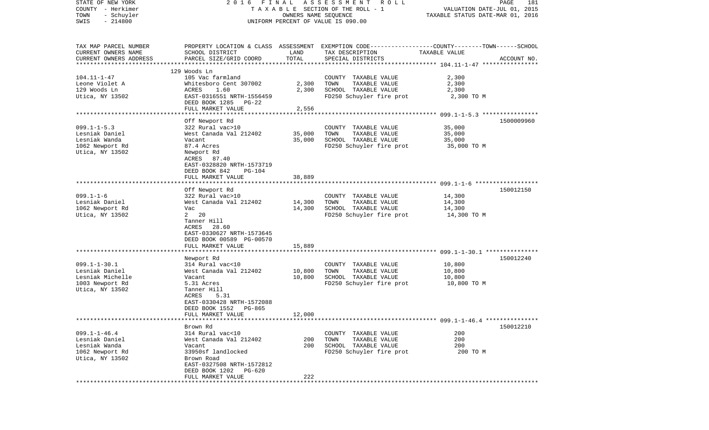| STATE OF NEW YORK      | 2016 FINAL                     |                      | A S S E S S M E N T<br>R O L L                                                                  |                                                      | PAGE<br>181 |
|------------------------|--------------------------------|----------------------|-------------------------------------------------------------------------------------------------|------------------------------------------------------|-------------|
| COUNTY - Herkimer      |                                |                      | TAXABLE SECTION OF THE ROLL - 1                                                                 | VALUATION DATE-JUL 01, 2015                          |             |
| TOWN<br>- Schuyler     |                                | OWNERS NAME SEQUENCE |                                                                                                 | TAXABLE STATUS DATE-MAR 01, 2016                     |             |
| $-214800$<br>SWIS      |                                |                      | UNIFORM PERCENT OF VALUE IS 090.00                                                              |                                                      |             |
|                        |                                |                      |                                                                                                 |                                                      |             |
| TAX MAP PARCEL NUMBER  |                                |                      | PROPERTY LOCATION & CLASS ASSESSMENT EXEMPTION CODE---------------COUNTY-------TOWN------SCHOOL |                                                      |             |
| CURRENT OWNERS NAME    | SCHOOL DISTRICT                | LAND                 | TAX DESCRIPTION                                                                                 | TAXABLE VALUE                                        |             |
| CURRENT OWNERS ADDRESS | PARCEL SIZE/GRID COORD         | TOTAL                | SPECIAL DISTRICTS                                                                               |                                                      | ACCOUNT NO. |
| ********************** |                                |                      |                                                                                                 |                                                      |             |
|                        | 129 Woods Ln                   |                      |                                                                                                 |                                                      |             |
| $104.11 - 1 - 47$      | 105 Vac farmland               |                      | COUNTY TAXABLE VALUE                                                                            | 2,300                                                |             |
| Leone Violet A         | Whitesboro Cent 307002         | 2,300                | TOWN<br>TAXABLE VALUE                                                                           | 2,300                                                |             |
| 129 Woods Ln           | ACRES<br>1.60                  | 2,300                | SCHOOL TAXABLE VALUE                                                                            | 2,300                                                |             |
| Utica, NY 13502        | EAST-0316551 NRTH-1556459      |                      | FD250 Schuyler fire prot                                                                        | 2,300 TO M                                           |             |
|                        | DEED BOOK 1285<br>PG-22        |                      |                                                                                                 |                                                      |             |
|                        | FULL MARKET VALUE              | 2,556                |                                                                                                 |                                                      |             |
|                        | *************************      | ************         |                                                                                                 | *********************** 099.1-1-5.3 **************** |             |
|                        | Off Newport Rd                 |                      |                                                                                                 |                                                      | 1500009960  |
| $099.1 - 1 - 5.3$      | 322 Rural vac>10               |                      | COUNTY TAXABLE VALUE                                                                            | 35,000                                               |             |
| Lesniak Daniel         | West Canada Val 212402         | 35,000               | TOWN<br>TAXABLE VALUE                                                                           | 35,000                                               |             |
| Lesniak Wanda          | Vacant                         | 35,000               | SCHOOL TAXABLE VALUE                                                                            | 35,000                                               |             |
| 1062 Newport Rd        | 87.4 Acres                     |                      | FD250 Schuyler fire prot                                                                        | 35,000 TO M                                          |             |
| Utica, NY 13502        | Newport Rd                     |                      |                                                                                                 |                                                      |             |
|                        | ACRES 87.40                    |                      |                                                                                                 |                                                      |             |
|                        | EAST-0328820 NRTH-1573719      |                      |                                                                                                 |                                                      |             |
|                        | DEED BOOK 842<br><b>PG-104</b> |                      |                                                                                                 |                                                      |             |
|                        | FULL MARKET VALUE              | 38,889               |                                                                                                 |                                                      |             |
|                        | *************************      |                      |                                                                                                 |                                                      |             |
|                        | Off Newport Rd                 |                      |                                                                                                 |                                                      | 150012150   |
| $099.1 - 1 - 6$        | 322 Rural vac>10               |                      | COUNTY TAXABLE VALUE                                                                            | 14,300                                               |             |
| Lesniak Daniel         | West Canada Val 212402         | 14,300               | TAXABLE VALUE<br>TOWN                                                                           | 14,300                                               |             |
| 1062 Newport Rd        | Vac                            | 14,300               | SCHOOL TAXABLE VALUE                                                                            | 14,300                                               |             |
| Utica, NY 13502        | $2 \t20$                       |                      | FD250 Schuyler fire prot                                                                        | 14,300 TO M                                          |             |
|                        | Tanner Hill                    |                      |                                                                                                 |                                                      |             |
|                        | ACRES<br>28.60                 |                      |                                                                                                 |                                                      |             |
|                        | EAST-0330627 NRTH-1573645      |                      |                                                                                                 |                                                      |             |
|                        | DEED BOOK 00589 PG-00570       |                      |                                                                                                 |                                                      |             |
|                        | FULL MARKET VALUE              | 15,889               |                                                                                                 |                                                      |             |
|                        |                                |                      |                                                                                                 |                                                      |             |
|                        | Newport Rd                     |                      |                                                                                                 |                                                      | 150012240   |
| $099.1 - 1 - 30.1$     | 314 Rural vac<10               |                      | COUNTY TAXABLE VALUE                                                                            | 10,800                                               |             |
| Lesniak Daniel         | West Canada Val 212402         | 10,800               | TOWN<br>TAXABLE VALUE                                                                           | 10,800                                               |             |
| Lesniak Michelle       | Vacant                         | 10,800               | SCHOOL TAXABLE VALUE                                                                            | 10,800                                               |             |
| 1003 Newport Rd        | 5.31 Acres                     |                      | FD250 Schuyler fire prot                                                                        | 10,800 TO M                                          |             |
| Utica, NY 13502        | Tanner Hill                    |                      |                                                                                                 |                                                      |             |
|                        | ACRES<br>5.31                  |                      |                                                                                                 |                                                      |             |
|                        | EAST-0330428 NRTH-1572088      |                      |                                                                                                 |                                                      |             |
|                        | DEED BOOK 1552<br>PG-865       |                      |                                                                                                 |                                                      |             |
|                        | FULL MARKET VALUE              | 12,000               |                                                                                                 |                                                      |             |
|                        |                                |                      |                                                                                                 |                                                      | 150012210   |
| $099.1 - 1 - 46.4$     | Brown Rd<br>314 Rural vac<10   |                      | COUNTY TAXABLE VALUE                                                                            | 200                                                  |             |
| Lesniak Daniel         | West Canada Val 212402         | 200                  | TOWN<br>TAXABLE VALUE                                                                           | 200                                                  |             |
| Lesniak Wanda          | Vacant                         | 200                  | SCHOOL TAXABLE VALUE                                                                            | 200                                                  |             |
| 1062 Newport Rd        | 33950sf landlocked             |                      | FD250 Schuyler fire prot                                                                        | 200 TO M                                             |             |
| Utica, NY 13502        | Brown Road                     |                      |                                                                                                 |                                                      |             |
|                        | EAST-0327508 NRTH-1572812      |                      |                                                                                                 |                                                      |             |
|                        | DEED BOOK 1202 PG-620          |                      |                                                                                                 |                                                      |             |
|                        | FULL MARKET VALUE              | 222                  |                                                                                                 |                                                      |             |
|                        |                                |                      |                                                                                                 |                                                      |             |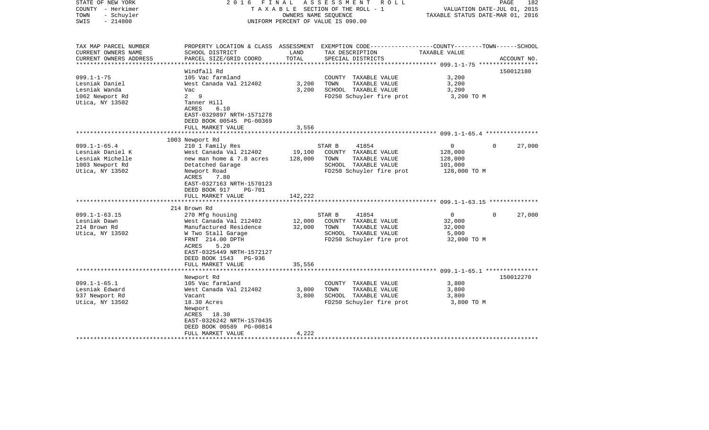| STATE OF NEW YORK<br>COUNTY - Herkimer<br>- Schuyler<br>TOWN<br>$-214800$<br>SWIS | 2016                                                                                  | FINAL                   | ASSESSMENT<br>R O L L<br>T A X A B L E SECTION OF THE ROLL - 1<br>OWNERS NAME SEQUENCE<br>UNIFORM PERCENT OF VALUE IS 090.00 | TAXABLE STATUS DATE-MAR 01, 2016                               | PAGE<br>182<br>VALUATION DATE-JUL 01, 2015 |
|-----------------------------------------------------------------------------------|---------------------------------------------------------------------------------------|-------------------------|------------------------------------------------------------------------------------------------------------------------------|----------------------------------------------------------------|--------------------------------------------|
|                                                                                   |                                                                                       |                         |                                                                                                                              |                                                                |                                            |
| TAX MAP PARCEL NUMBER<br>CURRENT OWNERS NAME                                      | SCHOOL DISTRICT                                                                       | LAND                    | PROPERTY LOCATION & CLASS ASSESSMENT EXEMPTION CODE---------------COUNTY-------TOWN------SCHOOL<br>TAX DESCRIPTION           | TAXABLE VALUE                                                  |                                            |
| CURRENT OWNERS ADDRESS                                                            | PARCEL SIZE/GRID COORD                                                                | TOTAL<br>************** | SPECIAL DISTRICTS                                                                                                            |                                                                | ACCOUNT NO.                                |
|                                                                                   | Windfall Rd                                                                           |                         |                                                                                                                              |                                                                | 150012180                                  |
| $099.1 - 1 - 75$                                                                  | 105 Vac farmland                                                                      |                         | COUNTY TAXABLE VALUE                                                                                                         | 3,200                                                          |                                            |
| Lesniak Daniel                                                                    | West Canada Val 212402                                                                | 3,200                   | TOWN<br>TAXABLE VALUE                                                                                                        | 3,200                                                          |                                            |
| Lesniak Wanda                                                                     | Vac                                                                                   | 3,200                   | SCHOOL TAXABLE VALUE                                                                                                         | 3,200                                                          |                                            |
| 1062 Newport Rd                                                                   | $2^9$                                                                                 |                         | FD250 Schuyler fire prot                                                                                                     | 3,200 TO M                                                     |                                            |
| Utica, NY 13502                                                                   | Tanner Hill<br>ACRES<br>6.10<br>EAST-0329897 NRTH-1571278<br>DEED BOOK 00545 PG-00369 |                         |                                                                                                                              |                                                                |                                            |
|                                                                                   | FULL MARKET VALUE                                                                     | 3,556                   |                                                                                                                              |                                                                |                                            |
|                                                                                   |                                                                                       | ******                  |                                                                                                                              | ******************************** 099.1-1-65.4 **************** |                                            |
|                                                                                   | 1003 Newport Rd                                                                       |                         |                                                                                                                              |                                                                |                                            |
| $099.1 - 1 - 65.4$                                                                | 210 1 Family Res                                                                      |                         | STAR B<br>41854                                                                                                              | 0                                                              | $\mathbf 0$<br>27,000                      |
| Lesniak Daniel K                                                                  | West Canada Val 212402                                                                | 19,100                  | COUNTY TAXABLE VALUE                                                                                                         | 128,000                                                        |                                            |
| Lesniak Michelle                                                                  | new man home & 7.8 acres                                                              | 128,000                 | TOWN<br>TAXABLE VALUE                                                                                                        | 128,000                                                        |                                            |
| 1003 Newport Rd                                                                   | Detatched Garage                                                                      |                         | SCHOOL TAXABLE VALUE                                                                                                         | 101,000                                                        |                                            |
| Utica, NY 13502                                                                   | Newport Road                                                                          |                         | FD250 Schuyler fire prot                                                                                                     | 128,000 TO M                                                   |                                            |
|                                                                                   | ACRES<br>7.80                                                                         |                         |                                                                                                                              |                                                                |                                            |
|                                                                                   | EAST-0327163 NRTH-1570123                                                             |                         |                                                                                                                              |                                                                |                                            |
|                                                                                   | DEED BOOK 917<br><b>PG-701</b>                                                        |                         |                                                                                                                              |                                                                |                                            |
|                                                                                   | FULL MARKET VALUE                                                                     | 142,222                 |                                                                                                                              |                                                                |                                            |
|                                                                                   |                                                                                       |                         |                                                                                                                              | **************************** 099.1-1-63.15 **************      |                                            |
|                                                                                   | 214 Brown Rd                                                                          |                         |                                                                                                                              |                                                                |                                            |
| $099.1 - 1 - 63.15$                                                               | 270 Mfg housing                                                                       |                         | STAR B<br>41854                                                                                                              | $\mathbf{0}$                                                   | $\Omega$<br>27,000                         |
| Lesniak Dawn                                                                      | West Canada Val 212402                                                                | 12,000                  | COUNTY TAXABLE VALUE                                                                                                         | 32,000                                                         |                                            |
| 214 Brown Rd                                                                      | Manufactured Residence                                                                | 32,000                  | TOWN<br>TAXABLE VALUE                                                                                                        | 32,000                                                         |                                            |
| Utica, NY 13502                                                                   | W Two Stall Garage                                                                    |                         | SCHOOL TAXABLE VALUE                                                                                                         | 5,000                                                          |                                            |
|                                                                                   | FRNT 214.00 DPTH                                                                      |                         | FD250 Schuyler fire prot                                                                                                     | 32,000 TO M                                                    |                                            |
|                                                                                   | ACRES<br>5.20                                                                         |                         |                                                                                                                              |                                                                |                                            |
|                                                                                   | EAST-0325449 NRTH-1572127                                                             |                         |                                                                                                                              |                                                                |                                            |
|                                                                                   | DEED BOOK 1543<br>PG-936                                                              |                         |                                                                                                                              |                                                                |                                            |
|                                                                                   | FULL MARKET VALUE                                                                     | 35,556                  |                                                                                                                              |                                                                |                                            |
|                                                                                   | *********************                                                                 |                         |                                                                                                                              |                                                                |                                            |
|                                                                                   | Newport Rd                                                                            |                         |                                                                                                                              |                                                                | 150012270                                  |
| $099.1 - 1 - 65.1$                                                                | 105 Vac farmland                                                                      |                         | COUNTY TAXABLE VALUE                                                                                                         | 3,800                                                          |                                            |
| Lesniak Edward                                                                    | West Canada Val 212402                                                                | 3,800                   | TOWN<br>TAXABLE VALUE                                                                                                        | 3,800                                                          |                                            |
| 937 Newport Rd                                                                    | Vacant                                                                                | 3,800                   | SCHOOL TAXABLE VALUE                                                                                                         | 3,800                                                          |                                            |
| Utica, NY 13502                                                                   | 18.30 Acres                                                                           |                         | FD250 Schuyler fire prot                                                                                                     | 3,800 TO M                                                     |                                            |
|                                                                                   | Newport                                                                               |                         |                                                                                                                              |                                                                |                                            |
|                                                                                   | ACRES 18.30                                                                           |                         |                                                                                                                              |                                                                |                                            |
|                                                                                   | EAST-0326242 NRTH-1570435                                                             |                         |                                                                                                                              |                                                                |                                            |
|                                                                                   | DEED BOOK 00589 PG-00814                                                              |                         |                                                                                                                              |                                                                |                                            |
|                                                                                   | FULL MARKET VALUE                                                                     | 4,222                   |                                                                                                                              |                                                                |                                            |
|                                                                                   |                                                                                       |                         |                                                                                                                              |                                                                |                                            |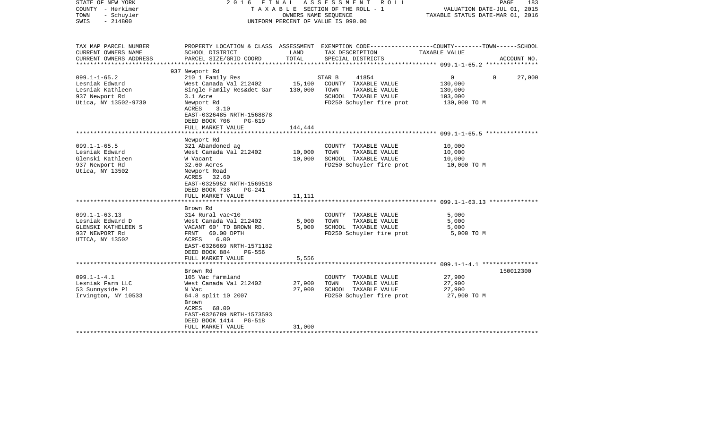| STATE OF NEW YORK<br>COUNTY - Herkimer<br>- Schuyler<br>TOWN<br>$-214800$<br>SWIS | 2016 FINAL                                                                                               | OWNERS NAME SEQUENCE | ASSESSMENT ROLL<br>TAXABLE SECTION OF THE ROLL - 1<br>UNIFORM PERCENT OF VALUE IS 090.00 | PAGE<br>183<br>VALUATION DATE-JUL 01, 2015<br>TAXABLE STATUS DATE-MAR 01, 2016                                   |
|-----------------------------------------------------------------------------------|----------------------------------------------------------------------------------------------------------|----------------------|------------------------------------------------------------------------------------------|------------------------------------------------------------------------------------------------------------------|
| TAX MAP PARCEL NUMBER<br>CURRENT OWNERS NAME                                      | SCHOOL DISTRICT                                                                                          | LAND                 | TAX DESCRIPTION                                                                          | PROPERTY LOCATION & CLASS ASSESSMENT EXEMPTION CODE---------------COUNTY-------TOWN------SCHOOL<br>TAXABLE VALUE |
| CURRENT OWNERS ADDRESS<br>*******************                                     | PARCEL SIZE/GRID COORD                                                                                   | TOTAL                | SPECIAL DISTRICTS                                                                        | ACCOUNT NO.<br>******************* 099.1-1-65.2 ****************                                                 |
|                                                                                   | 937 Newport Rd                                                                                           |                      |                                                                                          |                                                                                                                  |
| $099.1 - 1 - 65.2$                                                                | 210 1 Family Res                                                                                         |                      | STAR B<br>41854                                                                          | $\overline{0}$<br>0<br>27,000                                                                                    |
| Lesniak Edward                                                                    | West Canada Val 212402                                                                                   | 15,100               | COUNTY TAXABLE VALUE                                                                     | 130,000                                                                                                          |
| Lesniak Kathleen                                                                  | Single Family Res&det Gar                                                                                | 130,000              | TOWN<br>TAXABLE VALUE                                                                    | 130,000                                                                                                          |
| 937 Newport Rd                                                                    | 3.1 Acre                                                                                                 |                      | SCHOOL TAXABLE VALUE                                                                     | 103,000                                                                                                          |
| Utica, NY 13502-9730                                                              | Newport Rd<br>ACRES<br>3.10<br>EAST-0326485 NRTH-1568878<br>DEED BOOK 706<br>PG-619<br>FULL MARKET VALUE | 144,444              | FD250 Schuyler fire prot                                                                 | 130,000 TO M                                                                                                     |
|                                                                                   |                                                                                                          |                      |                                                                                          |                                                                                                                  |
|                                                                                   | Newport Rd                                                                                               |                      |                                                                                          |                                                                                                                  |
| $099.1 - 1 - 65.5$                                                                | 321 Abandoned ag                                                                                         |                      | COUNTY TAXABLE VALUE                                                                     | 10,000                                                                                                           |
| Lesniak Edward                                                                    | West Canada Val 212402                                                                                   | 10,000               | TOWN<br>TAXABLE VALUE                                                                    | 10,000                                                                                                           |
| Glenski Kathleen                                                                  | W Vacant                                                                                                 | 10,000               | SCHOOL TAXABLE VALUE                                                                     | 10,000                                                                                                           |
| 937 Newport Rd                                                                    | 32.60 Acres                                                                                              |                      | FD250 Schuyler fire prot                                                                 | 10,000 TO M                                                                                                      |
| Utica, NY 13502                                                                   | Newport Road<br>ACRES 32.60<br>EAST-0325952 NRTH-1569518<br>DEED BOOK 738<br>PG-241                      |                      |                                                                                          |                                                                                                                  |
|                                                                                   | FULL MARKET VALUE                                                                                        | 11,111               |                                                                                          |                                                                                                                  |
|                                                                                   | Brown Rd                                                                                                 |                      |                                                                                          |                                                                                                                  |
| $099.1 - 1 - 63.13$                                                               | 314 Rural vac<10                                                                                         |                      | COUNTY TAXABLE VALUE                                                                     | 5,000                                                                                                            |
| Lesniak Edward D                                                                  | West Canada Val 212402                                                                                   | 5,000                | TOWN<br>TAXABLE VALUE                                                                    | 5,000                                                                                                            |
| GLENSKI KATHELEEN S                                                               | VACANT 60' TO BROWN RD.                                                                                  | 5,000                | SCHOOL TAXABLE VALUE                                                                     | 5,000                                                                                                            |
| 937 NEWPORT Rd                                                                    | FRNT<br>60.00 DPTH                                                                                       |                      | FD250 Schuyler fire prot                                                                 | 5,000 TO M                                                                                                       |
| UTICA, NY 13502                                                                   | 6.00<br>ACRES<br>EAST-0326669 NRTH-1571182<br>DEED BOOK 884<br>PG-556                                    |                      |                                                                                          |                                                                                                                  |
|                                                                                   | FULL MARKET VALUE                                                                                        | 5,556                |                                                                                          |                                                                                                                  |
|                                                                                   |                                                                                                          |                      |                                                                                          |                                                                                                                  |
|                                                                                   | Brown Rd                                                                                                 |                      |                                                                                          | 150012300                                                                                                        |
| $099.1 - 1 - 4.1$                                                                 | 105 Vac farmland                                                                                         |                      | COUNTY TAXABLE VALUE                                                                     | 27,900                                                                                                           |
| Lesniak Farm LLC                                                                  | West Canada Val 212402                                                                                   | 27,900               | TOWN<br>TAXABLE VALUE                                                                    | 27,900                                                                                                           |
| 53 Sunnyside Pl                                                                   | N Vac                                                                                                    | 27,900               | SCHOOL TAXABLE VALUE                                                                     | 27,900                                                                                                           |
| Irvington, NY 10533                                                               | 64.8 split 10 2007<br>Brown<br>ACRES<br>68.00<br>EAST-0326789 NRTH-1573593<br>DEED BOOK 1414<br>PG-518   |                      | FD250 Schuyler fire prot                                                                 | 27,900 TO M                                                                                                      |
|                                                                                   | FULL MARKET VALUE                                                                                        | 31,000               |                                                                                          |                                                                                                                  |
|                                                                                   |                                                                                                          |                      |                                                                                          |                                                                                                                  |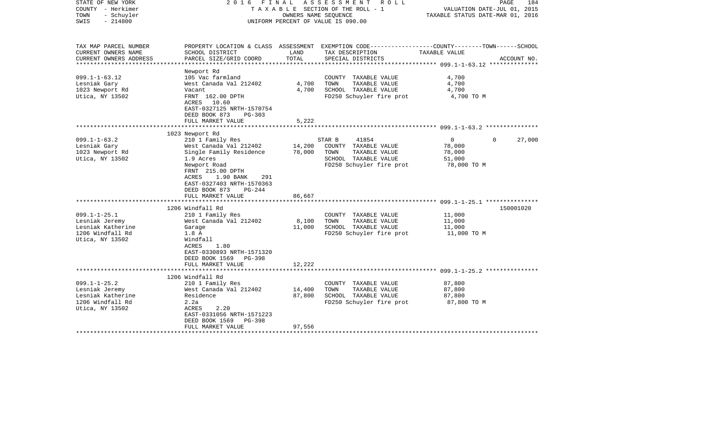| STATE OF NEW YORK<br>COUNTY - Herkimer<br>TOWN<br>- Schuyler<br>$-214800$<br>SWIS |                                                                                                                         |        | 2016 FINAL ASSESSMENT ROLL<br>TAXABLE SECTION OF THE ROLL - 1<br>OWNERS NAME SEOUENCE<br>UNIFORM PERCENT OF VALUE IS 090.00 | VALUATION DATE-JUL 01, 2015<br>TAXABLE STATUS DATE-MAR 01, 2016 | PAGE<br>184 |
|-----------------------------------------------------------------------------------|-------------------------------------------------------------------------------------------------------------------------|--------|-----------------------------------------------------------------------------------------------------------------------------|-----------------------------------------------------------------|-------------|
| TAX MAP PARCEL NUMBER                                                             |                                                                                                                         |        | PROPERTY LOCATION & CLASS ASSESSMENT EXEMPTION CODE---------------COUNTY-------TOWN------SCHOOL                             |                                                                 |             |
| CURRENT OWNERS NAME                                                               | SCHOOL DISTRICT                                                                                                         | LAND   | TAX DESCRIPTION                                                                                                             | TAXABLE VALUE                                                   |             |
| CURRENT OWNERS ADDRESS<br>***********************                                 | PARCEL SIZE/GRID COORD                                                                                                  | TOTAL  | SPECIAL DISTRICTS                                                                                                           |                                                                 | ACCOUNT NO. |
|                                                                                   | Newport Rd                                                                                                              |        |                                                                                                                             |                                                                 |             |
| $099.1 - 1 - 63.12$                                                               | 105 Vac farmland                                                                                                        |        | COUNTY TAXABLE VALUE                                                                                                        | 4,700                                                           |             |
| Lesniak Gary                                                                      | West Canada Val 212402                                                                                                  | 4,700  | TOWN<br>TAXABLE VALUE                                                                                                       | 4,700                                                           |             |
| 1023 Newport Rd                                                                   | Vacant                                                                                                                  | 4,700  | SCHOOL TAXABLE VALUE                                                                                                        | 4,700                                                           |             |
| Utica, NY 13502                                                                   | FRNT 162.00 DPTH                                                                                                        |        | FD250 Schuyler fire prot                                                                                                    | 4,700 TO M                                                      |             |
|                                                                                   | 10.60<br>ACRES<br>EAST-0327125 NRTH-1570754<br>DEED BOOK 873<br>PG-303                                                  |        |                                                                                                                             |                                                                 |             |
|                                                                                   | FULL MARKET VALUE                                                                                                       | 5,222  |                                                                                                                             |                                                                 |             |
|                                                                                   |                                                                                                                         |        |                                                                                                                             |                                                                 |             |
|                                                                                   | 1023 Newport Rd                                                                                                         |        |                                                                                                                             |                                                                 |             |
| $099.1 - 1 - 63.2$                                                                | 210 1 Family Res                                                                                                        |        | STAR B<br>41854                                                                                                             | $\overline{0}$<br>$\Omega$                                      | 27,000      |
| Lesniak Gary                                                                      | West Canada Val 212402                                                                                                  | 14,200 | COUNTY TAXABLE VALUE                                                                                                        | 78,000                                                          |             |
| 1023 Newport Rd                                                                   | Single Family Residence                                                                                                 | 78,000 | TOWN<br>TAXABLE VALUE                                                                                                       | 78,000                                                          |             |
| Utica, NY 13502                                                                   | 1.9 Acres                                                                                                               |        | SCHOOL TAXABLE VALUE                                                                                                        | 51,000                                                          |             |
|                                                                                   | Newport Road<br>FRNT 215.00 DPTH<br>1.90 BANK<br>ACRES<br>291<br>EAST-0327403 NRTH-1570363<br>DEED BOOK 873<br>$PG-244$ |        | FD250 Schuyler fire prot                                                                                                    | 78,000 TO M                                                     |             |
|                                                                                   | FULL MARKET VALUE                                                                                                       | 86,667 |                                                                                                                             |                                                                 |             |
|                                                                                   | 1206 Windfall Rd                                                                                                        |        |                                                                                                                             |                                                                 | 150001020   |
| $099.1 - 1 - 25.1$                                                                | 210 1 Family Res                                                                                                        |        | COUNTY TAXABLE VALUE                                                                                                        | 11,000                                                          |             |
| Lesniak Jeremy                                                                    | West Canada Val 212402                                                                                                  | 8,100  | TOWN<br>TAXABLE VALUE                                                                                                       | 11,000                                                          |             |
| Lesniak Katherine                                                                 | Garage                                                                                                                  | 11,000 | SCHOOL TAXABLE VALUE                                                                                                        | 11,000                                                          |             |
| 1206 Windfall Rd                                                                  | 1.8A                                                                                                                    |        | FD250 Schuyler fire prot                                                                                                    | 11,000 TO M                                                     |             |
| Utica, NY 13502                                                                   | Windfall                                                                                                                |        |                                                                                                                             |                                                                 |             |
|                                                                                   | ACRES<br>1.80                                                                                                           |        |                                                                                                                             |                                                                 |             |
|                                                                                   | EAST-0330893 NRTH-1571320                                                                                               |        |                                                                                                                             |                                                                 |             |
|                                                                                   | DEED BOOK 1569 PG-398                                                                                                   |        |                                                                                                                             |                                                                 |             |
|                                                                                   | FULL MARKET VALUE                                                                                                       | 12,222 |                                                                                                                             |                                                                 |             |
|                                                                                   |                                                                                                                         |        |                                                                                                                             |                                                                 |             |
|                                                                                   | 1206 Windfall Rd                                                                                                        |        |                                                                                                                             |                                                                 |             |
| $099.1 - 1 - 25.2$                                                                | 210 1 Family Res                                                                                                        |        | COUNTY TAXABLE VALUE                                                                                                        | 87,800                                                          |             |
| Lesniak Jeremy                                                                    | West Canada Val 212402                                                                                                  | 14,400 | TAXABLE VALUE<br>TOWN                                                                                                       | 87,800                                                          |             |
| Lesniak Katherine                                                                 | Residence                                                                                                               | 87,800 | SCHOOL TAXABLE VALUE                                                                                                        | 87,800                                                          |             |
| 1206 Windfall Rd                                                                  | 2.2a                                                                                                                    |        | FD250 Schuyler fire prot                                                                                                    | 87,800 TO M                                                     |             |
| Utica, NY 13502                                                                   | ACRES<br>2.20                                                                                                           |        |                                                                                                                             |                                                                 |             |
|                                                                                   | EAST-0331056 NRTH-1571223<br>DEED BOOK 1569 PG-398                                                                      |        |                                                                                                                             |                                                                 |             |
|                                                                                   | FULL MARKET VALUE                                                                                                       | 97,556 |                                                                                                                             |                                                                 |             |
|                                                                                   |                                                                                                                         |        |                                                                                                                             |                                                                 |             |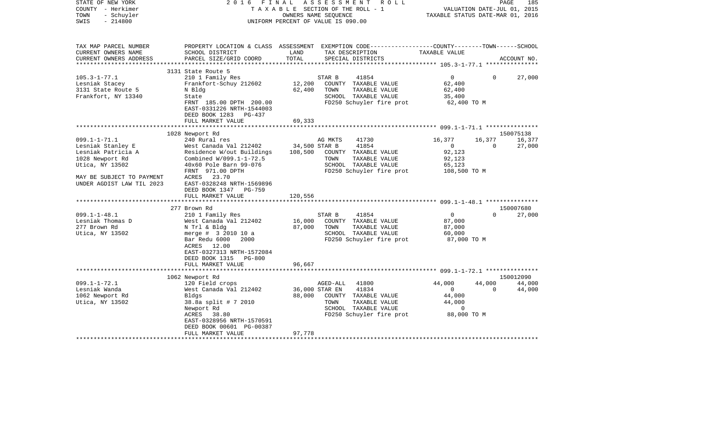| STATE OF NEW YORK<br>COUNTY - Herkimer<br>TOWN<br>- Schuyler<br>$-214800$<br>SWIS | 2 0 1 6<br>FINAL                                                              |               | ASSESSMENT<br>R O L L<br>TAXABLE SECTION OF THE ROLL - 1<br>OWNERS NAME SEQUENCE<br>UNIFORM PERCENT OF VALUE IS 090.00 | TAXABLE STATUS DATE-MAR 01, 2016 | VALUATION DATE-JUL 01, 2015 | 185<br>PAGE |
|-----------------------------------------------------------------------------------|-------------------------------------------------------------------------------|---------------|------------------------------------------------------------------------------------------------------------------------|----------------------------------|-----------------------------|-------------|
| TAX MAP PARCEL NUMBER<br>CURRENT OWNERS NAME                                      | SCHOOL DISTRICT                                                               | LAND          | PROPERTY LOCATION & CLASS ASSESSMENT EXEMPTION CODE---------------COUNTY-------TOWN------SCHOOL<br>TAX DESCRIPTION     | TAXABLE VALUE                    |                             |             |
| CURRENT OWNERS ADDRESS<br>***********************                                 | PARCEL SIZE/GRID COORD                                                        | TOTAL         | SPECIAL DISTRICTS                                                                                                      |                                  |                             | ACCOUNT NO. |
|                                                                                   | 3131 State Route 5                                                            |               |                                                                                                                        |                                  |                             |             |
| $105.3 - 1 - 77.1$                                                                | 210 1 Family Res                                                              |               | STAR B<br>41854                                                                                                        | $\overline{0}$                   | $\Omega$                    | 27,000      |
| Lesniak Stacey                                                                    | Frankfort-Schuy 212602                                                        | 12,200        | COUNTY TAXABLE VALUE                                                                                                   | 62,400                           |                             |             |
| 3131 State Route 5                                                                | N Bldg                                                                        | 62,400        | TOWN<br>TAXABLE VALUE                                                                                                  | 62,400                           |                             |             |
| Frankfort, NY 13340                                                               | State                                                                         |               | SCHOOL TAXABLE VALUE                                                                                                   | 35,400                           |                             |             |
|                                                                                   | FRNT 185.00 DPTH 200.00<br>EAST-0331226 NRTH-1544003<br>DEED BOOK 1283 PG-437 |               | FD250 Schuyler fire prot                                                                                               | 62,400 TO M                      |                             |             |
|                                                                                   | FULL MARKET VALUE                                                             | 69,333        |                                                                                                                        |                                  |                             |             |
|                                                                                   |                                                                               |               |                                                                                                                        |                                  |                             |             |
|                                                                                   | 1028 Newport Rd                                                               |               |                                                                                                                        |                                  |                             | 150075138   |
| $099.1 - 1 - 71.1$                                                                | 240 Rural res                                                                 |               | AG MKTS<br>41730                                                                                                       | 16,377                           | 16,377                      | 16,377      |
| Lesniak Stanley E                                                                 | West Canada Val 212402                                                        | 34,500 STAR B | 41854                                                                                                                  | $\mathbf{0}$                     | $\Omega$                    | 27,000      |
| Lesniak Patricia A                                                                | Residence W/out Buildings<br>Combined W/099.1-1-72.5                          | 108,500       | COUNTY TAXABLE VALUE<br>TOWN<br>TAXABLE VALUE                                                                          | 92,123                           |                             |             |
| 1028 Newport Rd<br>Utica, NY 13502                                                | 40x60 Pole Barn 99-076                                                        |               | SCHOOL TAXABLE VALUE                                                                                                   | 92,123<br>65,123                 |                             |             |
|                                                                                   | FRNT 971.00 DPTH                                                              |               | FD250 Schuyler fire prot                                                                                               | 108,500 TO M                     |                             |             |
| MAY BE SUBJECT TO PAYMENT<br>UNDER AGDIST LAW TIL 2023                            | 23.70<br>ACRES<br>EAST-0328248 NRTH-1569896<br>DEED BOOK 1347<br>PG-759       |               |                                                                                                                        |                                  |                             |             |
|                                                                                   | FULL MARKET VALUE<br>************                                             | 120,556       |                                                                                                                        |                                  |                             |             |
|                                                                                   |                                                                               |               |                                                                                                                        |                                  |                             | 150007680   |
| $099.1 - 1 - 48.1$                                                                | 277 Brown Rd<br>210 1 Family Res                                              |               | 41854<br>STAR B                                                                                                        | $\overline{0}$                   | $\Omega$                    | 27,000      |
| Lesniak Thomas D                                                                  | West Canada Val 212402                                                        | 16,000        | COUNTY TAXABLE VALUE                                                                                                   | 87,000                           |                             |             |
| 277 Brown Rd                                                                      | N Trl & Bldg                                                                  | 87,000        | TOWN<br>TAXABLE VALUE                                                                                                  | 87,000                           |                             |             |
| Utica, NY 13502                                                                   | merge # 3 2010 10 a                                                           |               | SCHOOL TAXABLE VALUE                                                                                                   | 60,000                           |                             |             |
|                                                                                   | Bar Redu 6000<br>2000                                                         |               | FD250 Schuyler fire prot                                                                                               | 87,000 TO M                      |                             |             |
|                                                                                   | ACRES 12.00                                                                   |               |                                                                                                                        |                                  |                             |             |
|                                                                                   | EAST-0327313 NRTH-1572084                                                     |               |                                                                                                                        |                                  |                             |             |
|                                                                                   | DEED BOOK 1315<br>$PG-800$                                                    |               |                                                                                                                        |                                  |                             |             |
|                                                                                   | FULL MARKET VALUE                                                             | 96,667        |                                                                                                                        |                                  |                             |             |
|                                                                                   |                                                                               |               |                                                                                                                        |                                  |                             |             |
|                                                                                   | 1062 Newport Rd                                                               |               |                                                                                                                        |                                  |                             | 150012090   |
| $099.1 - 1 - 72.1$                                                                | 120 Field crops                                                               |               | AGED-ALL<br>41800                                                                                                      | 44,000                           | 44,000                      | 44,000      |
| Lesniak Wanda                                                                     | West Canada Val 212402                                                        |               | 41834<br>36,000 STAR EN                                                                                                | $\overline{0}$                   | $\Omega$                    | 44,000      |
| 1062 Newport Rd<br>Utica, NY 13502                                                | Bldgs<br>38.8a split # 7 2010                                                 | 88,000        | COUNTY TAXABLE VALUE<br>TOWN<br>TAXABLE VALUE                                                                          | 44,000<br>44,000                 |                             |             |
|                                                                                   | Newport Rd                                                                    |               | SCHOOL TAXABLE VALUE                                                                                                   | 0                                |                             |             |
|                                                                                   | ACRES<br>38.80                                                                |               | FD250 Schuyler fire prot                                                                                               | 88,000 TO M                      |                             |             |
|                                                                                   | EAST-0328956 NRTH-1570591                                                     |               |                                                                                                                        |                                  |                             |             |
|                                                                                   | DEED BOOK 00601 PG-00387                                                      |               |                                                                                                                        |                                  |                             |             |
|                                                                                   | FULL MARKET VALUE                                                             | 97,778        |                                                                                                                        |                                  |                             |             |
|                                                                                   |                                                                               |               |                                                                                                                        |                                  |                             |             |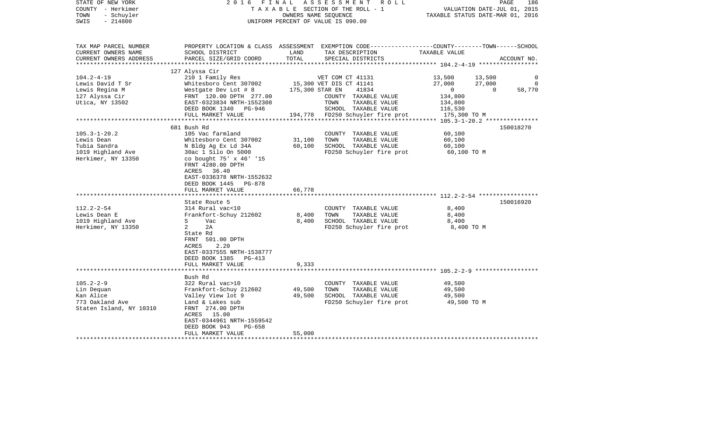| PROPERTY LOCATION & CLASS ASSESSMENT EXEMPTION CODE----------------COUNTY-------TOWN------SCHOOL<br>LAND<br>SCHOOL DISTRICT<br>TAX DESCRIPTION<br>TAXABLE VALUE<br>TOTAL<br>PARCEL SIZE/GRID COORD<br>SPECIAL DISTRICTS<br>ACCOUNT NO.<br>**************** 104.2-4-19 *********<br>********************<br>127 Alyssa Cir<br>$104.2 - 4 - 19$<br>210 1 Family Res<br>VET COM CT 41131<br>13,500<br>13,500<br>0<br>Whitesboro Cent 307002<br>15,300 VET DIS CT 41141<br>27,000<br>27,000<br>$\overline{0}$<br>Lewis David T Sr<br>175,300 STAR EN<br>58,770<br>Lewis Regina M<br>Westgate Dev Lot # 8<br>41834<br>$\overline{0}$<br>$\overline{0}$<br>FRNT 120.00 DPTH 277.00<br>COUNTY TAXABLE VALUE<br>134,800<br>TAXABLE VALUE<br>EAST-0323834 NRTH-1552308<br>TOWN<br>134,800<br>SCHOOL TAXABLE VALUE<br>DEED BOOK 1340 PG-946<br>116,530<br>FULL MARKET VALUE<br>194,778 FD250 Schuyler fire prot<br>175,300 TO M<br>681 Bush Rd<br>150018270<br>$105.3 - 1 - 20.2$<br>105 Vac farmland<br>60,100<br>COUNTY TAXABLE VALUE<br>Lewis Dean<br>Whitesboro Cent 307002<br>31,100<br>TOWN<br>TAXABLE VALUE<br>60,100<br>60,100<br>N Bldg Ag Ex Ld 34A<br>SCHOOL TAXABLE VALUE<br>60,100<br>30ac 1 Silo On 5000<br>FD250 Schuyler fire prot<br>60,100 TO M<br>co bought 75' x 46' '15<br>FRNT 4280.00 DPTH<br>ACRES 36.40<br>EAST-0336378 NRTH-1552632<br>DEED BOOK 1445<br>PG-878<br>FULL MARKET VALUE<br>66,778<br>150016920<br>State Route 5<br>314 Rural vac<10<br>COUNTY TAXABLE VALUE<br>8,400<br>Lewis Dean E<br>Frankfort-Schuy 212602<br>8,400<br>TOWN<br>TAXABLE VALUE<br>8,400<br>1019 Highland Ave<br>S<br>Vac<br>8,400<br>SCHOOL TAXABLE VALUE<br>8,400<br>Herkimer, NY 13350<br>$\overline{a}$<br>2A<br>FD250 Schuyler fire prot<br>8,400 TO M<br>State Rd<br>FRNT 501.00 DPTH<br>ACRES<br>2.20<br>EAST-0337555 NRTH-1538777<br>DEED BOOK 1385 PG-413<br>FULL MARKET VALUE<br>9,333<br>***************************<br>Bush Rd<br>322 Rural vac>10<br>COUNTY TAXABLE VALUE<br>49,500<br>Frankfort-Schuy 212602<br>49,500<br>TOWN<br>TAXABLE VALUE<br>49,500<br>Kan Alice<br>Valley View lot 9<br>49,500<br>SCHOOL TAXABLE VALUE<br>49,500<br>773 Oakland Ave<br>Land & Lakes sub<br>FD250 Schuyler fire prot<br>49,500 TO M<br>FRNT 274.00 DPTH<br>ACRES 15.00<br>EAST-0344961 NRTH-1559542<br>PG-658<br>DEED BOOK 943<br>FULL MARKET VALUE<br>55,000<br>************************* | STATE OF NEW YORK<br>COUNTY - Herkimer<br>TOWN<br>- Schuyler<br>SWIS<br>$-214800$ | 2016 FINAL | ASSESSMENT ROLL<br>TAXABLE SECTION OF THE ROLL - 1<br>OWNERS NAME SEQUENCE<br>UNIFORM PERCENT OF VALUE IS 090.00 | PAGE<br>186<br>VALUATION DATE-JUL 01, 2015<br>TAXABLE STATUS DATE-MAR 01, 2016 |
|----------------------------------------------------------------------------------------------------------------------------------------------------------------------------------------------------------------------------------------------------------------------------------------------------------------------------------------------------------------------------------------------------------------------------------------------------------------------------------------------------------------------------------------------------------------------------------------------------------------------------------------------------------------------------------------------------------------------------------------------------------------------------------------------------------------------------------------------------------------------------------------------------------------------------------------------------------------------------------------------------------------------------------------------------------------------------------------------------------------------------------------------------------------------------------------------------------------------------------------------------------------------------------------------------------------------------------------------------------------------------------------------------------------------------------------------------------------------------------------------------------------------------------------------------------------------------------------------------------------------------------------------------------------------------------------------------------------------------------------------------------------------------------------------------------------------------------------------------------------------------------------------------------------------------------------------------------------------------------------------------------------------------------------------------------------------------------------------------------------------------------------------------------------------------------------------------------------------------------------------------------------------------------------------------------------------------------------------------------------------------------------------|-----------------------------------------------------------------------------------|------------|------------------------------------------------------------------------------------------------------------------|--------------------------------------------------------------------------------|
|                                                                                                                                                                                                                                                                                                                                                                                                                                                                                                                                                                                                                                                                                                                                                                                                                                                                                                                                                                                                                                                                                                                                                                                                                                                                                                                                                                                                                                                                                                                                                                                                                                                                                                                                                                                                                                                                                                                                                                                                                                                                                                                                                                                                                                                                                                                                                                                              | TAX MAP PARCEL NUMBER<br>CURRENT OWNERS NAME<br>CURRENT OWNERS ADDRESS            |            |                                                                                                                  |                                                                                |
|                                                                                                                                                                                                                                                                                                                                                                                                                                                                                                                                                                                                                                                                                                                                                                                                                                                                                                                                                                                                                                                                                                                                                                                                                                                                                                                                                                                                                                                                                                                                                                                                                                                                                                                                                                                                                                                                                                                                                                                                                                                                                                                                                                                                                                                                                                                                                                                              |                                                                                   |            |                                                                                                                  |                                                                                |
|                                                                                                                                                                                                                                                                                                                                                                                                                                                                                                                                                                                                                                                                                                                                                                                                                                                                                                                                                                                                                                                                                                                                                                                                                                                                                                                                                                                                                                                                                                                                                                                                                                                                                                                                                                                                                                                                                                                                                                                                                                                                                                                                                                                                                                                                                                                                                                                              |                                                                                   |            |                                                                                                                  |                                                                                |
|                                                                                                                                                                                                                                                                                                                                                                                                                                                                                                                                                                                                                                                                                                                                                                                                                                                                                                                                                                                                                                                                                                                                                                                                                                                                                                                                                                                                                                                                                                                                                                                                                                                                                                                                                                                                                                                                                                                                                                                                                                                                                                                                                                                                                                                                                                                                                                                              |                                                                                   |            |                                                                                                                  |                                                                                |
|                                                                                                                                                                                                                                                                                                                                                                                                                                                                                                                                                                                                                                                                                                                                                                                                                                                                                                                                                                                                                                                                                                                                                                                                                                                                                                                                                                                                                                                                                                                                                                                                                                                                                                                                                                                                                                                                                                                                                                                                                                                                                                                                                                                                                                                                                                                                                                                              |                                                                                   |            |                                                                                                                  |                                                                                |
|                                                                                                                                                                                                                                                                                                                                                                                                                                                                                                                                                                                                                                                                                                                                                                                                                                                                                                                                                                                                                                                                                                                                                                                                                                                                                                                                                                                                                                                                                                                                                                                                                                                                                                                                                                                                                                                                                                                                                                                                                                                                                                                                                                                                                                                                                                                                                                                              | 127 Alyssa Cir                                                                    |            |                                                                                                                  |                                                                                |
|                                                                                                                                                                                                                                                                                                                                                                                                                                                                                                                                                                                                                                                                                                                                                                                                                                                                                                                                                                                                                                                                                                                                                                                                                                                                                                                                                                                                                                                                                                                                                                                                                                                                                                                                                                                                                                                                                                                                                                                                                                                                                                                                                                                                                                                                                                                                                                                              | Utica, NY 13502                                                                   |            |                                                                                                                  |                                                                                |
|                                                                                                                                                                                                                                                                                                                                                                                                                                                                                                                                                                                                                                                                                                                                                                                                                                                                                                                                                                                                                                                                                                                                                                                                                                                                                                                                                                                                                                                                                                                                                                                                                                                                                                                                                                                                                                                                                                                                                                                                                                                                                                                                                                                                                                                                                                                                                                                              |                                                                                   |            |                                                                                                                  |                                                                                |
|                                                                                                                                                                                                                                                                                                                                                                                                                                                                                                                                                                                                                                                                                                                                                                                                                                                                                                                                                                                                                                                                                                                                                                                                                                                                                                                                                                                                                                                                                                                                                                                                                                                                                                                                                                                                                                                                                                                                                                                                                                                                                                                                                                                                                                                                                                                                                                                              |                                                                                   |            |                                                                                                                  |                                                                                |
|                                                                                                                                                                                                                                                                                                                                                                                                                                                                                                                                                                                                                                                                                                                                                                                                                                                                                                                                                                                                                                                                                                                                                                                                                                                                                                                                                                                                                                                                                                                                                                                                                                                                                                                                                                                                                                                                                                                                                                                                                                                                                                                                                                                                                                                                                                                                                                                              |                                                                                   |            |                                                                                                                  |                                                                                |
|                                                                                                                                                                                                                                                                                                                                                                                                                                                                                                                                                                                                                                                                                                                                                                                                                                                                                                                                                                                                                                                                                                                                                                                                                                                                                                                                                                                                                                                                                                                                                                                                                                                                                                                                                                                                                                                                                                                                                                                                                                                                                                                                                                                                                                                                                                                                                                                              |                                                                                   |            |                                                                                                                  |                                                                                |
|                                                                                                                                                                                                                                                                                                                                                                                                                                                                                                                                                                                                                                                                                                                                                                                                                                                                                                                                                                                                                                                                                                                                                                                                                                                                                                                                                                                                                                                                                                                                                                                                                                                                                                                                                                                                                                                                                                                                                                                                                                                                                                                                                                                                                                                                                                                                                                                              |                                                                                   |            |                                                                                                                  |                                                                                |
|                                                                                                                                                                                                                                                                                                                                                                                                                                                                                                                                                                                                                                                                                                                                                                                                                                                                                                                                                                                                                                                                                                                                                                                                                                                                                                                                                                                                                                                                                                                                                                                                                                                                                                                                                                                                                                                                                                                                                                                                                                                                                                                                                                                                                                                                                                                                                                                              | Tubia Sandra                                                                      |            |                                                                                                                  |                                                                                |
|                                                                                                                                                                                                                                                                                                                                                                                                                                                                                                                                                                                                                                                                                                                                                                                                                                                                                                                                                                                                                                                                                                                                                                                                                                                                                                                                                                                                                                                                                                                                                                                                                                                                                                                                                                                                                                                                                                                                                                                                                                                                                                                                                                                                                                                                                                                                                                                              | 1019 Highland Ave                                                                 |            |                                                                                                                  |                                                                                |
|                                                                                                                                                                                                                                                                                                                                                                                                                                                                                                                                                                                                                                                                                                                                                                                                                                                                                                                                                                                                                                                                                                                                                                                                                                                                                                                                                                                                                                                                                                                                                                                                                                                                                                                                                                                                                                                                                                                                                                                                                                                                                                                                                                                                                                                                                                                                                                                              | Herkimer, NY 13350                                                                |            |                                                                                                                  |                                                                                |
|                                                                                                                                                                                                                                                                                                                                                                                                                                                                                                                                                                                                                                                                                                                                                                                                                                                                                                                                                                                                                                                                                                                                                                                                                                                                                                                                                                                                                                                                                                                                                                                                                                                                                                                                                                                                                                                                                                                                                                                                                                                                                                                                                                                                                                                                                                                                                                                              |                                                                                   |            |                                                                                                                  |                                                                                |
|                                                                                                                                                                                                                                                                                                                                                                                                                                                                                                                                                                                                                                                                                                                                                                                                                                                                                                                                                                                                                                                                                                                                                                                                                                                                                                                                                                                                                                                                                                                                                                                                                                                                                                                                                                                                                                                                                                                                                                                                                                                                                                                                                                                                                                                                                                                                                                                              |                                                                                   |            |                                                                                                                  |                                                                                |
|                                                                                                                                                                                                                                                                                                                                                                                                                                                                                                                                                                                                                                                                                                                                                                                                                                                                                                                                                                                                                                                                                                                                                                                                                                                                                                                                                                                                                                                                                                                                                                                                                                                                                                                                                                                                                                                                                                                                                                                                                                                                                                                                                                                                                                                                                                                                                                                              | $112.2 - 2 - 54$                                                                  |            |                                                                                                                  |                                                                                |
|                                                                                                                                                                                                                                                                                                                                                                                                                                                                                                                                                                                                                                                                                                                                                                                                                                                                                                                                                                                                                                                                                                                                                                                                                                                                                                                                                                                                                                                                                                                                                                                                                                                                                                                                                                                                                                                                                                                                                                                                                                                                                                                                                                                                                                                                                                                                                                                              |                                                                                   |            |                                                                                                                  |                                                                                |
|                                                                                                                                                                                                                                                                                                                                                                                                                                                                                                                                                                                                                                                                                                                                                                                                                                                                                                                                                                                                                                                                                                                                                                                                                                                                                                                                                                                                                                                                                                                                                                                                                                                                                                                                                                                                                                                                                                                                                                                                                                                                                                                                                                                                                                                                                                                                                                                              |                                                                                   |            |                                                                                                                  |                                                                                |
|                                                                                                                                                                                                                                                                                                                                                                                                                                                                                                                                                                                                                                                                                                                                                                                                                                                                                                                                                                                                                                                                                                                                                                                                                                                                                                                                                                                                                                                                                                                                                                                                                                                                                                                                                                                                                                                                                                                                                                                                                                                                                                                                                                                                                                                                                                                                                                                              |                                                                                   |            |                                                                                                                  |                                                                                |
|                                                                                                                                                                                                                                                                                                                                                                                                                                                                                                                                                                                                                                                                                                                                                                                                                                                                                                                                                                                                                                                                                                                                                                                                                                                                                                                                                                                                                                                                                                                                                                                                                                                                                                                                                                                                                                                                                                                                                                                                                                                                                                                                                                                                                                                                                                                                                                                              |                                                                                   |            |                                                                                                                  |                                                                                |
|                                                                                                                                                                                                                                                                                                                                                                                                                                                                                                                                                                                                                                                                                                                                                                                                                                                                                                                                                                                                                                                                                                                                                                                                                                                                                                                                                                                                                                                                                                                                                                                                                                                                                                                                                                                                                                                                                                                                                                                                                                                                                                                                                                                                                                                                                                                                                                                              |                                                                                   |            |                                                                                                                  |                                                                                |
|                                                                                                                                                                                                                                                                                                                                                                                                                                                                                                                                                                                                                                                                                                                                                                                                                                                                                                                                                                                                                                                                                                                                                                                                                                                                                                                                                                                                                                                                                                                                                                                                                                                                                                                                                                                                                                                                                                                                                                                                                                                                                                                                                                                                                                                                                                                                                                                              | $105.2 - 2 - 9$                                                                   |            |                                                                                                                  |                                                                                |
|                                                                                                                                                                                                                                                                                                                                                                                                                                                                                                                                                                                                                                                                                                                                                                                                                                                                                                                                                                                                                                                                                                                                                                                                                                                                                                                                                                                                                                                                                                                                                                                                                                                                                                                                                                                                                                                                                                                                                                                                                                                                                                                                                                                                                                                                                                                                                                                              | Lin Dequan                                                                        |            |                                                                                                                  |                                                                                |
|                                                                                                                                                                                                                                                                                                                                                                                                                                                                                                                                                                                                                                                                                                                                                                                                                                                                                                                                                                                                                                                                                                                                                                                                                                                                                                                                                                                                                                                                                                                                                                                                                                                                                                                                                                                                                                                                                                                                                                                                                                                                                                                                                                                                                                                                                                                                                                                              |                                                                                   |            |                                                                                                                  |                                                                                |
|                                                                                                                                                                                                                                                                                                                                                                                                                                                                                                                                                                                                                                                                                                                                                                                                                                                                                                                                                                                                                                                                                                                                                                                                                                                                                                                                                                                                                                                                                                                                                                                                                                                                                                                                                                                                                                                                                                                                                                                                                                                                                                                                                                                                                                                                                                                                                                                              | Staten Island, NY 10310                                                           |            |                                                                                                                  |                                                                                |
|                                                                                                                                                                                                                                                                                                                                                                                                                                                                                                                                                                                                                                                                                                                                                                                                                                                                                                                                                                                                                                                                                                                                                                                                                                                                                                                                                                                                                                                                                                                                                                                                                                                                                                                                                                                                                                                                                                                                                                                                                                                                                                                                                                                                                                                                                                                                                                                              |                                                                                   |            |                                                                                                                  |                                                                                |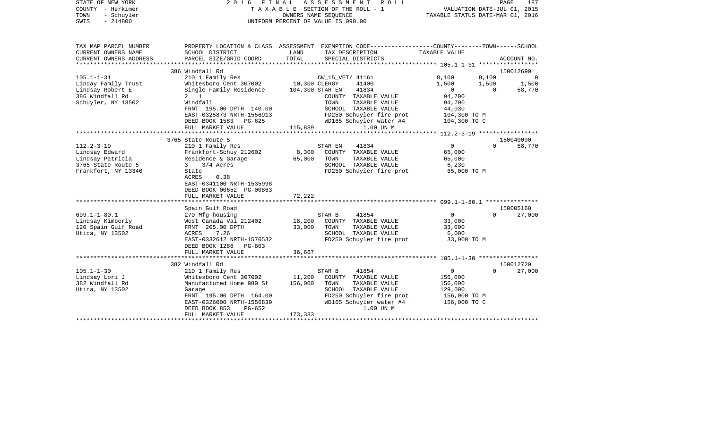| STATE OF NEW YORK<br>COUNTY - Herkimer<br>- Schuyler<br>TOWN<br>SWIS<br>$-214800$ | 2016                                                | FINAL         | ASSESSMENT<br>R O L L<br>TAXABLE SECTION OF THE ROLL - 1<br>OWNERS NAME SEQUENCE<br>UNIFORM PERCENT OF VALUE IS 090.00 | VALUATION DATE-JUL 01, 2015<br>TAXABLE STATUS DATE-MAR 01, 2016 |          | PAGE<br>187 |
|-----------------------------------------------------------------------------------|-----------------------------------------------------|---------------|------------------------------------------------------------------------------------------------------------------------|-----------------------------------------------------------------|----------|-------------|
|                                                                                   |                                                     |               |                                                                                                                        |                                                                 |          |             |
| TAX MAP PARCEL NUMBER                                                             |                                                     |               | PROPERTY LOCATION & CLASS ASSESSMENT EXEMPTION CODE---------------COUNTY-------TOWN-----SCHOOL                         |                                                                 |          |             |
| CURRENT OWNERS NAME<br>CURRENT OWNERS ADDRESS                                     | SCHOOL DISTRICT<br>PARCEL SIZE/GRID COORD           | LAND<br>TOTAL | TAX DESCRIPTION<br>SPECIAL DISTRICTS                                                                                   | TAXABLE VALUE                                                   |          |             |
|                                                                                   |                                                     |               |                                                                                                                        |                                                                 |          | ACCOUNT NO. |
|                                                                                   | 386 Windfall Rd                                     |               |                                                                                                                        |                                                                 |          | 150012690   |
| $105.1 - 1 - 31$                                                                  | 210 1 Family Res                                    |               | CW 15 VET/ 41161                                                                                                       | 8,100                                                           | 8,100    | $\Omega$    |
| Linday Family Trust                                                               | Whitesboro Cent 307002                              | 10,300 CLERGY | 41400                                                                                                                  | 1,500                                                           | 1,500    | 1,500       |
| Lindsay Robert E                                                                  | Single Family Residence                             |               | 104,300 STAR EN<br>41834                                                                                               | $\mathbf 0$                                                     | $\Omega$ | 58,770      |
| 386 Windfall Rd                                                                   | $2 \quad 1$                                         |               | COUNTY TAXABLE VALUE                                                                                                   | 94,700                                                          |          |             |
| Schuyler, NY 13502                                                                | Windfall                                            |               | TOWN<br>TAXABLE VALUE                                                                                                  | 94,700                                                          |          |             |
|                                                                                   | FRNT 195.00 DPTH 140.00                             |               | SCHOOL TAXABLE VALUE                                                                                                   | 44,030                                                          |          |             |
|                                                                                   | EAST-0325873 NRTH-1556913                           |               | FD250 Schuyler fire prot                                                                                               | 104,300 TO M                                                    |          |             |
|                                                                                   | DEED BOOK 1583<br>PG-625                            |               | WD165 Schuyler water #4                                                                                                | 104,300 TO C                                                    |          |             |
|                                                                                   | FULL MARKET VALUE<br>****************************** | 115,889       | 1.00 UN M                                                                                                              |                                                                 |          |             |
|                                                                                   | 3765 State Route 5                                  |               |                                                                                                                        |                                                                 |          | 150040090   |
| $112.2 - 3 - 19$                                                                  | 210 1 Family Res                                    |               | STAR EN<br>41834                                                                                                       | $\mathbf 0$                                                     | $\Omega$ | 58,770      |
| Lindsay Edward                                                                    | Frankfort-Schuy 212602                              | 8,300         | COUNTY TAXABLE VALUE                                                                                                   | 65,000                                                          |          |             |
| Lindsay Patricia                                                                  | Residence & Garage                                  | 65,000        | TOWN<br>TAXABLE VALUE                                                                                                  | 65,000                                                          |          |             |
| 3765 State Route 5                                                                | 3/4 Acres<br>3                                      |               | SCHOOL TAXABLE VALUE                                                                                                   | 6,230                                                           |          |             |
| Frankfort, NY 13340                                                               | State                                               |               | FD250 Schuyler fire prot                                                                                               | 65,000 TO M                                                     |          |             |
|                                                                                   | ACRES<br>0.38                                       |               |                                                                                                                        |                                                                 |          |             |
|                                                                                   | EAST-0341100 NRTH-1535998                           |               |                                                                                                                        |                                                                 |          |             |
|                                                                                   | DEED BOOK 00652 PG-00863                            |               |                                                                                                                        |                                                                 |          |             |
|                                                                                   | FULL MARKET VALUE                                   | 72,222        |                                                                                                                        |                                                                 |          |             |
|                                                                                   |                                                     |               |                                                                                                                        |                                                                 |          |             |
|                                                                                   | Spain Gulf Road                                     |               |                                                                                                                        |                                                                 | $\Omega$ | 150005160   |
| $099.1 - 1 - 80.1$                                                                | 270 Mfg housing                                     | 18,200        | 41854<br>STAR B                                                                                                        | $\mathbf 0$<br>33,000                                           |          | 27,000      |
| Lindsay Kimberly<br>120 Spain Gulf Road                                           | West Canada Val 212402<br>FRNT 205.00 DPTH          | 33,000        | COUNTY TAXABLE VALUE<br>TOWN<br>TAXABLE VALUE                                                                          | 33,000                                                          |          |             |
| Utica, NY 13502                                                                   | ACRES<br>7.26                                       |               | SCHOOL TAXABLE VALUE                                                                                                   | 6,000                                                           |          |             |
|                                                                                   | EAST-0332612 NRTH-1570532                           |               | FD250 Schuyler fire prot                                                                                               | 33,000 TO M                                                     |          |             |
|                                                                                   | DEED BOOK 1286<br>PG-803                            |               |                                                                                                                        |                                                                 |          |             |
|                                                                                   | FULL MARKET VALUE                                   | 36,667        |                                                                                                                        |                                                                 |          |             |
|                                                                                   | **********************                              |               |                                                                                                                        |                                                                 |          |             |
|                                                                                   | 382 Windfall Rd                                     |               |                                                                                                                        |                                                                 |          | 150012720   |
| $105.1 - 1 - 30$                                                                  | 210 1 Family Res                                    |               | 41854<br>STAR B                                                                                                        | $\mathbf 0$                                                     | $\Omega$ | 27,000      |
| Lindsay Lori J                                                                    | Whitesboro Cent 307002                              | 11,200        | COUNTY TAXABLE VALUE                                                                                                   | 156,000                                                         |          |             |
| 382 Windfall Rd                                                                   | Manufactured Home 980 Sf                            | 156,000       | TOWN<br>TAXABLE VALUE                                                                                                  | 156,000                                                         |          |             |
| Utica, NY 13502                                                                   | Garage                                              |               | SCHOOL TAXABLE VALUE                                                                                                   | 129,000                                                         |          |             |
|                                                                                   | FRNT 195.00 DPTH 164.00                             |               | FD250 Schuyler fire prot                                                                                               | 156,000 то м                                                    |          |             |
|                                                                                   | EAST-0326000 NRTH-1556839                           |               | WD165 Schuyler water #4                                                                                                | 156,000 TO C                                                    |          |             |
|                                                                                   | DEED BOOK 853<br>$PG-652$<br>FULL MARKET VALUE      | 173,333       | 1.00 UN M                                                                                                              |                                                                 |          |             |
|                                                                                   |                                                     |               |                                                                                                                        | **************************************                          |          |             |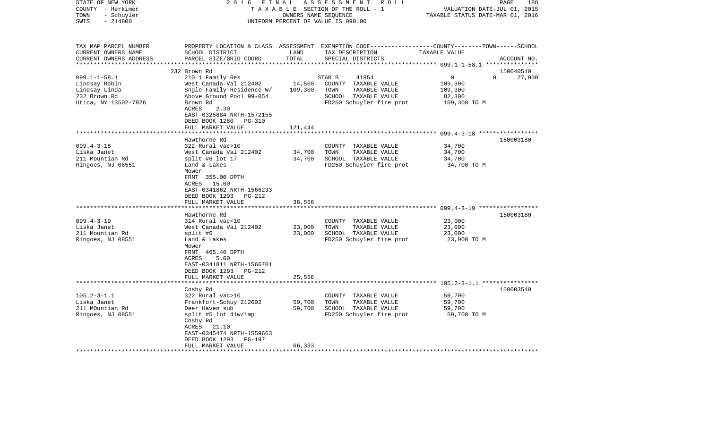| STATE OF NEW YORK                                   | 2 0 1 6                                    | FINAL                | ASSESSMENT ROLL                                                                                  |                                  | 188<br>PAGE           |
|-----------------------------------------------------|--------------------------------------------|----------------------|--------------------------------------------------------------------------------------------------|----------------------------------|-----------------------|
| COUNTY - Herkimer                                   |                                            |                      | TAXABLE SECTION OF THE ROLL - 1                                                                  | VALUATION DATE-JUL 01, 2015      |                       |
| TOWN<br>- Schuyler                                  |                                            | OWNERS NAME SEQUENCE |                                                                                                  | TAXABLE STATUS DATE-MAR 01, 2016 |                       |
| $-214800$<br>SWIS                                   |                                            |                      | UNIFORM PERCENT OF VALUE IS 090.00                                                               |                                  |                       |
| TAX MAP PARCEL NUMBER                               |                                            |                      | PROPERTY LOCATION & CLASS ASSESSMENT EXEMPTION CODE----------------COUNTY-------TOWN------SCHOOL |                                  |                       |
| CURRENT OWNERS NAME                                 | SCHOOL DISTRICT                            | LAND                 | TAX DESCRIPTION                                                                                  | TAXABLE VALUE                    |                       |
| CURRENT OWNERS ADDRESS<br>************************* | PARCEL SIZE/GRID COORD                     | TOTAL                | SPECIAL DISTRICTS                                                                                |                                  | ACCOUNT NO.           |
|                                                     |                                            |                      |                                                                                                  |                                  |                       |
| $099.1 - 1 - 58.1$                                  | 232 Brown Rd                               |                      | STAR B                                                                                           | 0                                | 150040510<br>$\Omega$ |
| Lindsay Robin                                       | 210 1 Family Res<br>West Canada Val 212402 | 14,500               | 41854<br>COUNTY TAXABLE VALUE                                                                    | 109,300                          | 27,000                |
| Lindsay Linda                                       | Sngle Family Residence W/                  | 109,300              | TAXABLE VALUE<br>TOWN                                                                            | 109,300                          |                       |
| 232 Brown Rd                                        | Above Ground Pool 99-054                   |                      | SCHOOL TAXABLE VALUE                                                                             | 82,300                           |                       |
| Utica, NY 13502-7926                                | Brown Rd                                   |                      | FD250 Schuyler fire prot                                                                         | 109,300 TO M                     |                       |
|                                                     | ACRES<br>2.30                              |                      |                                                                                                  |                                  |                       |
|                                                     | EAST-0325884 NRTH-1572155                  |                      |                                                                                                  |                                  |                       |
|                                                     | DEED BOOK 1280<br><b>PG-310</b>            |                      |                                                                                                  |                                  |                       |
|                                                     | FULL MARKET VALUE                          | 121,444              |                                                                                                  |                                  |                       |
|                                                     |                                            |                      |                                                                                                  |                                  |                       |
|                                                     | Hawthorne Rd                               |                      |                                                                                                  |                                  | 150003180             |
| $099.4 - 3 - 18$                                    | 322 Rural vac>10                           |                      | COUNTY TAXABLE VALUE                                                                             | 34,700                           |                       |
| Liska Janet                                         | West Canada Val 212402                     | 34,700               | TOWN<br>TAXABLE VALUE                                                                            | 34,700                           |                       |
| 211 Mountian Rd                                     | split #6 lot $17$                          | 34,700               | SCHOOL TAXABLE VALUE                                                                             | 34,700                           |                       |
| Ringoes, NJ 08551                                   | Land & Lakes                               |                      | FD250 Schuyler fire prot                                                                         | 34,700 TO M                      |                       |
|                                                     | Mower                                      |                      |                                                                                                  |                                  |                       |
|                                                     | FRNT 355.00 DPTH<br>ACRES<br>15.00         |                      |                                                                                                  |                                  |                       |
|                                                     | EAST-0341862 NRTH-1566233                  |                      |                                                                                                  |                                  |                       |
|                                                     | DEED BOOK 1293 PG-212                      |                      |                                                                                                  |                                  |                       |
|                                                     | FULL MARKET VALUE                          | 38,556               |                                                                                                  |                                  |                       |
|                                                     | *******************                        |                      |                                                                                                  |                                  |                       |
|                                                     | Hawthorne Rd                               |                      |                                                                                                  |                                  | 150003180             |
| $099.4 - 3 - 19$                                    | 314 Rural vac<10                           |                      | COUNTY TAXABLE VALUE                                                                             | 23,000                           |                       |
| Liska Janet                                         | West Canada Val 212402                     | 23,000               | TAXABLE VALUE<br>TOWN                                                                            | 23,000                           |                       |
| 211 Mountian Rd                                     | split #6                                   | 23,000               | SCHOOL TAXABLE VALUE                                                                             | 23,000                           |                       |
| Ringoes, NJ 08551                                   | Land & Lakes                               |                      | FD250 Schuyler fire prot                                                                         | 23,000 TO M                      |                       |
|                                                     | Mower                                      |                      |                                                                                                  |                                  |                       |
|                                                     | FRNT 465.40 DPTH                           |                      |                                                                                                  |                                  |                       |
|                                                     | 5.00<br>ACRES                              |                      |                                                                                                  |                                  |                       |
|                                                     | EAST-0341811 NRTH-1566701                  |                      |                                                                                                  |                                  |                       |
|                                                     | DEED BOOK 1293 PG-212                      |                      |                                                                                                  |                                  |                       |
|                                                     | FULL MARKET VALUE<br>*****************     | 25,556               |                                                                                                  |                                  |                       |
|                                                     |                                            |                      |                                                                                                  |                                  | 150003540             |
| $105.2 - 3 - 1.1$                                   | Cosby Rd<br>322 Rural vac>10               |                      | COUNTY TAXABLE VALUE                                                                             | 59,700                           |                       |
| Liska Janet                                         | Frankfort-Schuy 212602                     | 59,700               | TOWN<br>TAXABLE VALUE                                                                            | 59,700                           |                       |
| 211 MOuntian Rd                                     | Deer Haven sub                             | 59,700               | SCHOOL TAXABLE VALUE                                                                             | 59,700                           |                       |
| Ringoes, NJ 08551                                   | split #5 lot 41w/imp                       |                      | FD250 Schuyler fire prot                                                                         | 59,700 TO M                      |                       |
|                                                     | Cosby Rd<br>ACRES 21.10                    |                      |                                                                                                  |                                  |                       |
|                                                     | EAST-0345474 NRTH-1559663                  |                      |                                                                                                  |                                  |                       |
|                                                     | DEED BOOK 1293<br>PG-197                   |                      |                                                                                                  |                                  |                       |
|                                                     | FULL MARKET VALUE                          | 66,333               |                                                                                                  |                                  |                       |
|                                                     |                                            |                      |                                                                                                  |                                  |                       |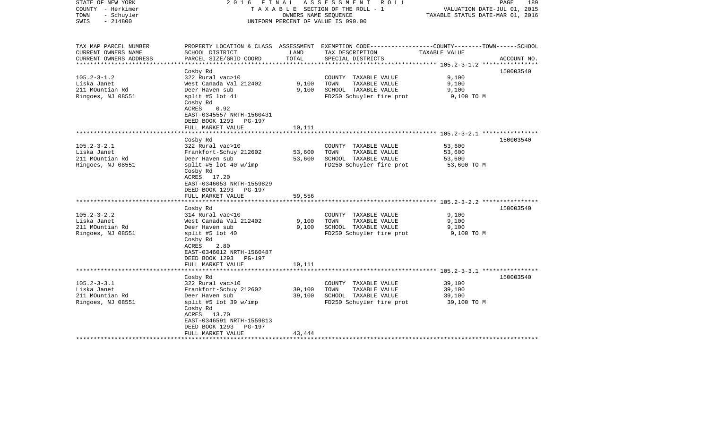| STATE OF NEW YORK<br>COUNTY - Herkimer<br>- Schuyler<br>TOWN<br>$-214800$<br>SWIS | 2016 FINAL                                                                                                                                                                                   | OWNERS NAME SEQUENCE       | ASSESSMENT<br>R O L L<br>TAXABLE SECTION OF THE ROLL - 1<br>UNIFORM PERCENT OF VALUE IS 090.00                                           | VALUATION DATE-JUL 01, 2015<br>TAXABLE STATUS DATE-MAR 01, 2016 | PAGE<br>189 |
|-----------------------------------------------------------------------------------|----------------------------------------------------------------------------------------------------------------------------------------------------------------------------------------------|----------------------------|------------------------------------------------------------------------------------------------------------------------------------------|-----------------------------------------------------------------|-------------|
| TAX MAP PARCEL NUMBER<br>CURRENT OWNERS NAME<br>CURRENT OWNERS ADDRESS            | SCHOOL DISTRICT<br>PARCEL SIZE/GRID COORD                                                                                                                                                    | LAND<br>TOTAL              | PROPERTY LOCATION & CLASS ASSESSMENT EXEMPTION CODE----------------COUNTY-------TOWN------SCHOOL<br>TAX DESCRIPTION<br>SPECIAL DISTRICTS | TAXABLE VALUE                                                   | ACCOUNT NO. |
| *******************                                                               |                                                                                                                                                                                              |                            |                                                                                                                                          |                                                                 |             |
| $105.2 - 3 - 1.2$<br>Liska Janet<br>211 MOuntian Rd<br>Ringoes, NJ 08551          | Cosby Rd<br>322 Rural vac>10<br>West Canada Val 212402<br>Deer Haven sub<br>split #5 lot 41<br>Cosby Rd<br>ACRES<br>0.92<br>EAST-0345557 NRTH-1560431                                        | 9,100<br>9,100             | COUNTY TAXABLE VALUE<br>TOWN<br>TAXABLE VALUE<br>SCHOOL TAXABLE VALUE<br>FD250 Schuyler fire prot                                        | 9,100<br>9,100<br>9,100<br>9,100 TO M                           | 150003540   |
|                                                                                   | DEED BOOK 1293 PG-197<br>FULL MARKET VALUE                                                                                                                                                   | 10,111                     |                                                                                                                                          |                                                                 |             |
|                                                                                   | ******************<br>Cosby Rd                                                                                                                                                               | **********                 |                                                                                                                                          |                                                                 | 150003540   |
| $105.2 - 3 - 2.1$<br>Liska Janet<br>211 MOuntian Rd<br>Ringoes, NJ 08551          | 322 Rural vac>10<br>Frankfort-Schuy 212602<br>Deer Haven sub<br>split #5 lot 40 w/imp<br>Cosby Rd<br>ACRES 17.20<br>EAST-0346053 NRTH-1559829<br>DEED BOOK 1293 PG-197<br>FULL MARKET VALUE  | 53,600<br>53,600<br>59,556 | COUNTY TAXABLE VALUE<br>TAXABLE VALUE<br>TOWN<br>SCHOOL TAXABLE VALUE<br>FD250 Schuyler fire prot                                        | 53,600<br>53,600<br>53,600<br>53,600 TO M                       |             |
|                                                                                   |                                                                                                                                                                                              |                            | ******************************* 105.2-3-2.2 ****************                                                                             |                                                                 |             |
| $105.2 - 3 - 2.2$<br>Liska Janet<br>211 MOuntian Rd<br>Ringoes, NJ 08551          | Cosby Rd<br>314 Rural vac<10<br>West Canada Val 212402<br>Deer Haven sub<br>split #5 lot 40<br>Cosby Rd<br>ACRES<br>2.80<br>EAST-0346012 NRTH-1560487<br>DEED BOOK 1293 PG-197               | 9,100<br>9,100             | COUNTY TAXABLE VALUE<br>TAXABLE VALUE<br>TOWN<br>SCHOOL TAXABLE VALUE<br>FD250 Schuyler fire prot                                        | 9,100<br>9,100<br>9,100<br>9,100 TO M                           | 150003540   |
|                                                                                   | FULL MARKET VALUE                                                                                                                                                                            | 10,111                     |                                                                                                                                          |                                                                 |             |
|                                                                                   | ******************                                                                                                                                                                           |                            |                                                                                                                                          |                                                                 |             |
| $105.2 - 3 - 3.1$<br>Liska Janet<br>211 MOuntian Rd<br>Ringoes, NJ 08551          | Cosby Rd<br>322 Rural vac>10<br>Frankfort-Schuy 212602<br>Deer Haven sub<br>split #5 lot 39 w/imp<br>Cosby Rd<br>ACRES 13.70<br>EAST-0346591 NRTH-1559813<br>DEED BOOK 1293<br><b>PG-197</b> | 39,100<br>39,100           | COUNTY TAXABLE VALUE<br>TOWN<br>TAXABLE VALUE<br>SCHOOL TAXABLE VALUE<br>FD250 Schuyler fire prot                                        | 39,100<br>39,100<br>39,100<br>39,100 TO M                       | 150003540   |
|                                                                                   | FULL MARKET VALUE                                                                                                                                                                            | 43,444                     |                                                                                                                                          |                                                                 |             |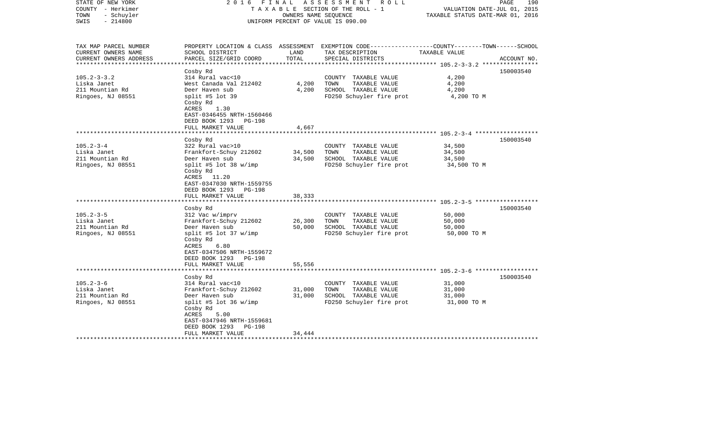| STATE OF NEW YORK<br>COUNTY - Herkimer<br>- Schuyler<br>TOWN<br>$-214800$<br>SWIS                                                                | FINAL<br>2016                                                                                                                                                                                                                                                                                                                                                                                  | OWNERS NAME SEQUENCE                           | ASSESSMENT<br>R O L L<br>T A X A B L E SECTION OF THE ROLL - 1<br>UNIFORM PERCENT OF VALUE IS 090.00                                                                                                   | VALUATION DATE-JUL 01, 2015<br>TAXABLE STATUS DATE-MAR 01, 2016                                                                                    | 190<br>PAGE            |
|--------------------------------------------------------------------------------------------------------------------------------------------------|------------------------------------------------------------------------------------------------------------------------------------------------------------------------------------------------------------------------------------------------------------------------------------------------------------------------------------------------------------------------------------------------|------------------------------------------------|--------------------------------------------------------------------------------------------------------------------------------------------------------------------------------------------------------|----------------------------------------------------------------------------------------------------------------------------------------------------|------------------------|
| TAX MAP PARCEL NUMBER<br>CURRENT OWNERS NAME<br>CURRENT OWNERS ADDRESS<br>**********************                                                 | SCHOOL DISTRICT<br>PARCEL SIZE/GRID COORD                                                                                                                                                                                                                                                                                                                                                      | LAND<br>TOTAL                                  | PROPERTY LOCATION & CLASS ASSESSMENT EXEMPTION CODE---------------COUNTY-------TOWN------SCHOOL<br>TAX DESCRIPTION<br>SPECIAL DISTRICTS                                                                | TAXABLE VALUE                                                                                                                                      | ACCOUNT NO.            |
| $105.2 - 3 - 3.2$<br>Liska Janet<br>211 Mountian Rd<br>Ringoes, NJ 08551                                                                         | Cosby Rd<br>314 Rural vac<10<br>West Canada Val 212402<br>Deer Haven sub<br>split #5 lot 39<br>Cosby Rd<br>ACRES<br>1.30<br>EAST-0346455 NRTH-1560466<br>DEED BOOK 1293 PG-198<br>FULL MARKET VALUE                                                                                                                                                                                            | 4,200<br>4,200<br>4,667                        | COUNTY TAXABLE VALUE<br>TOWN<br>TAXABLE VALUE<br>SCHOOL TAXABLE VALUE<br>FD250 Schuyler fire prot                                                                                                      | 4,200<br>4,200<br>4,200<br>4,200 TO M                                                                                                              | 150003540              |
|                                                                                                                                                  |                                                                                                                                                                                                                                                                                                                                                                                                |                                                |                                                                                                                                                                                                        | ******************* 105.2-3-4 *******************                                                                                                  |                        |
| $105.2 - 3 - 4$<br>Liska Janet<br>211 Mountian Rd<br>Ringoes, NJ 08551<br>$105.2 - 3 - 5$<br>Liska Janet<br>211 Mountian Rd<br>Ringoes, NJ 08551 | Cosby Rd<br>322 Rural vac>10<br>Frankfort-Schuy 212602<br>Deer Haven sub<br>split #5 lot 38 w/imp<br>Cosby Rd<br>ACRES 11.20<br>EAST-0347030 NRTH-1559755<br>DEED BOOK 1293 PG-198<br>FULL MARKET VALUE<br>Cosby Rd<br>312 Vac w/imprv<br>Frankfort-Schuy 212602<br>Deer Haven sub<br>split #5 lot 37 w/imp<br>Cosby Rd<br>ACRES<br>6.80<br>EAST-0347506 NRTH-1559672<br>DEED BOOK 1293 PG-198 | 34,500<br>34,500<br>38,333<br>26,300<br>50,000 | COUNTY TAXABLE VALUE<br>TAXABLE VALUE<br>TOWN<br>SCHOOL TAXABLE VALUE<br>FD250 Schuyler fire prot<br>COUNTY TAXABLE VALUE<br>TOWN<br>TAXABLE VALUE<br>SCHOOL TAXABLE VALUE<br>FD250 Schuyler fire prot | 34,500<br>34,500<br>34,500<br>34,500 TO M<br>************************** 105.2-3-5 *******************<br>50,000<br>50,000<br>50,000<br>50,000 TO M | 150003540<br>150003540 |
|                                                                                                                                                  | FULL MARKET VALUE<br>*******************                                                                                                                                                                                                                                                                                                                                                       | 55,556                                         | *************************************6 105.2-3-6 *******************                                                                                                                                   |                                                                                                                                                    |                        |
| $105.2 - 3 - 6$<br>Liska Janet<br>211 Mountian Rd<br>Ringoes, NJ 08551                                                                           | Cosby Rd<br>314 Rural vac<10<br>Frankfort-Schuy 212602<br>Deer Haven sub<br>split #5 lot 36 $w/imp$<br>Cosby Rd<br>ACRES<br>5.00<br>EAST-0347946 NRTH-1559681<br>DEED BOOK 1293<br>PG-198                                                                                                                                                                                                      | 31,000<br>31,000                               | COUNTY TAXABLE VALUE<br>TOWN<br>TAXABLE VALUE<br>SCHOOL TAXABLE VALUE<br>FD250 Schuyler fire prot                                                                                                      | 31,000<br>31,000<br>31,000<br>31,000 TO M                                                                                                          | 150003540              |
|                                                                                                                                                  | FULL MARKET VALUE                                                                                                                                                                                                                                                                                                                                                                              | 34,444                                         |                                                                                                                                                                                                        |                                                                                                                                                    |                        |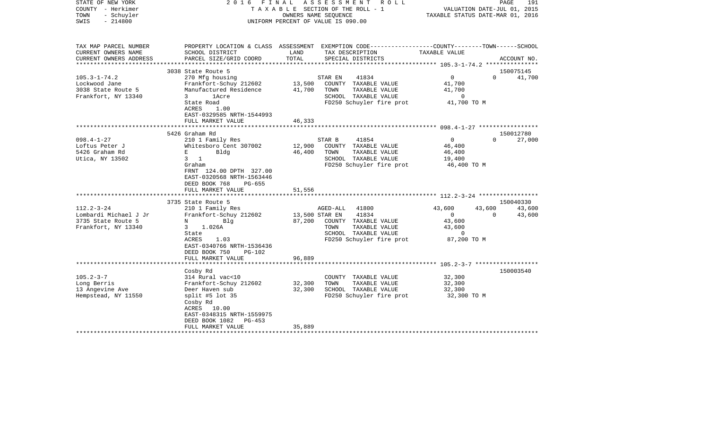| COUNTY<br>– Herkimer<br>TOWN<br>- Schuyler<br>SWIS<br>$-214800$ | SECTION OF THE ROLL - 1<br>TAXABLE<br>OWNERS NAME SEQUENCE<br>UNIFORM PERCENT OF VALUE IS 090.00           |        | VALUATION DATE-JUL 01, 2015<br>TAXABLE STATUS DATE-MAR 01, 2016                                                    |                                                    |                    |             |
|-----------------------------------------------------------------|------------------------------------------------------------------------------------------------------------|--------|--------------------------------------------------------------------------------------------------------------------|----------------------------------------------------|--------------------|-------------|
| TAX MAP PARCEL NUMBER<br>CURRENT OWNERS NAME                    | SCHOOL DISTRICT                                                                                            | LAND   | PROPERTY LOCATION & CLASS ASSESSMENT EXEMPTION CODE---------------COUNTY-------TOWN------SCHOOL<br>TAX DESCRIPTION | <b>TAXABLE VALUE</b>                               |                    |             |
| CURRENT OWNERS ADDRESS                                          | PARCEL SIZE/GRID COORD                                                                                     | TOTAL  | SPECIAL DISTRICTS                                                                                                  |                                                    |                    | ACCOUNT NO. |
|                                                                 |                                                                                                            |        |                                                                                                                    |                                                    |                    |             |
|                                                                 | 3038 State Route 5                                                                                         |        |                                                                                                                    |                                                    |                    | 150075145   |
| $105.3 - 1 - 74.2$                                              | 270 Mfg housing                                                                                            |        | STAR EN<br>41834                                                                                                   | $\mathbf 0$                                        | $\Omega$           | 41,700      |
| Lockwood Jane                                                   | Frankfort-Schuy 212602                                                                                     | 13,500 | COUNTY TAXABLE VALUE<br>TOWN<br>TAXABLE VALUE                                                                      | 41,700                                             |                    |             |
| 3038 State Route 5<br>Frankfort, NY 13340                       | Manufactured Residence<br>3<br><i>lAcre</i>                                                                | 41,700 | SCHOOL TAXABLE VALUE                                                                                               | 41,700<br>$\circ$                                  |                    |             |
|                                                                 | State Road                                                                                                 |        | FD250 Schuyler fire prot                                                                                           | 41,700 TO M                                        |                    |             |
|                                                                 | ACRES<br>1.00                                                                                              |        |                                                                                                                    |                                                    |                    |             |
|                                                                 | EAST-0329585 NRTH-1544993                                                                                  |        |                                                                                                                    |                                                    |                    |             |
|                                                                 | FULL MARKET VALUE                                                                                          | 46,333 |                                                                                                                    |                                                    |                    |             |
|                                                                 |                                                                                                            |        |                                                                                                                    |                                                    |                    |             |
|                                                                 | 5426 Graham Rd                                                                                             |        |                                                                                                                    |                                                    |                    | 150012780   |
| $098.4 - 1 - 27$<br>Loftus Peter J                              | 210 1 Family Res<br>Whitesboro Cent 307002                                                                 | 12,900 | STAR B<br>41854<br>COUNTY TAXABLE VALUE                                                                            | $\mathbf 0$<br>46,400                              | $\Omega$           | 27,000      |
| 5426 Graham Rd                                                  | Е<br>Bldg                                                                                                  | 46,400 | TOWN<br>TAXABLE VALUE                                                                                              | 46,400                                             |                    |             |
| Utica, NY 13502                                                 | 3<br>$\mathbf{1}$                                                                                          |        | SCHOOL TAXABLE VALUE                                                                                               | 19,400                                             |                    |             |
|                                                                 | Graham                                                                                                     |        | FD250 Schuyler fire prot                                                                                           | 46,400 TO M                                        |                    |             |
|                                                                 | FRNT 124.00 DPTH 327.00<br>EAST-0320568 NRTH-1563446<br>DEED BOOK 768<br>$PG-655$<br>FULL MARKET VALUE     | 51,556 |                                                                                                                    |                                                    |                    |             |
|                                                                 | ****************************                                                                               |        |                                                                                                                    |                                                    |                    |             |
|                                                                 | 3735 State Route 5                                                                                         |        |                                                                                                                    |                                                    |                    | 150040330   |
| $112.2 - 3 - 24$                                                | 210 1 Family Res                                                                                           |        | AGED-ALL<br>41800                                                                                                  | 43,600                                             | 43,600<br>$\Omega$ | 43,600      |
| Lombardi Michael J Jr<br>3735 State Route 5                     | Frankfort-Schuy 212602<br>Bla<br>N                                                                         | 87,200 | 41834<br>13,500 STAR EN<br>COUNTY TAXABLE VALUE                                                                    | $\mathbf{0}$<br>43,600                             |                    | 43,600      |
| Frankfort, NY 13340                                             | 1.026A<br>3                                                                                                |        | TOWN<br>TAXABLE VALUE                                                                                              | 43,600                                             |                    |             |
|                                                                 | State                                                                                                      |        | SCHOOL TAXABLE VALUE                                                                                               | $\mathbf 0$                                        |                    |             |
|                                                                 | ACRES<br>1.03                                                                                              |        | FD250 Schuyler fire prot                                                                                           | 87,200 TO M                                        |                    |             |
|                                                                 | EAST-0340766 NRTH-1536436<br>DEED BOOK 750<br><b>PG-102</b>                                                |        |                                                                                                                    |                                                    |                    |             |
|                                                                 | FULL MARKET VALUE                                                                                          | 96,889 |                                                                                                                    |                                                    |                    |             |
|                                                                 |                                                                                                            |        |                                                                                                                    | ************************ 105.2-3-7 *************** |                    |             |
|                                                                 | Cosby Rd                                                                                                   |        |                                                                                                                    |                                                    |                    | 150003540   |
| $105.2 - 3 - 7$                                                 | 314 Rural vac<10                                                                                           |        | COUNTY TAXABLE VALUE                                                                                               | 32,300                                             |                    |             |
| Long Berris                                                     | Frankfort-Schuy 212602                                                                                     | 32,300 | TAXABLE VALUE<br>TOWN                                                                                              | 32,300                                             |                    |             |
| 13 Angevine Ave                                                 | Deer Haven sub                                                                                             | 32,300 | SCHOOL TAXABLE VALUE                                                                                               | 32,300                                             |                    |             |
| Hempstead, NY 11550                                             | split #5 lot $35$<br>Cosby Rd<br>ACRES<br>10.00<br>EAST-0348315 NRTH-1559975<br>DEED BOOK 1082<br>$PG-453$ |        | FD250 Schuyler fire prot                                                                                           | 32,300 TO M                                        |                    |             |
|                                                                 | FULL MARKET VALUE                                                                                          | 35,889 |                                                                                                                    |                                                    |                    |             |
|                                                                 |                                                                                                            |        |                                                                                                                    |                                                    |                    |             |

STATE OF NEW YORK 2 0 1 6 F I N A L A S S E S S M E N T R O L L PAGE 191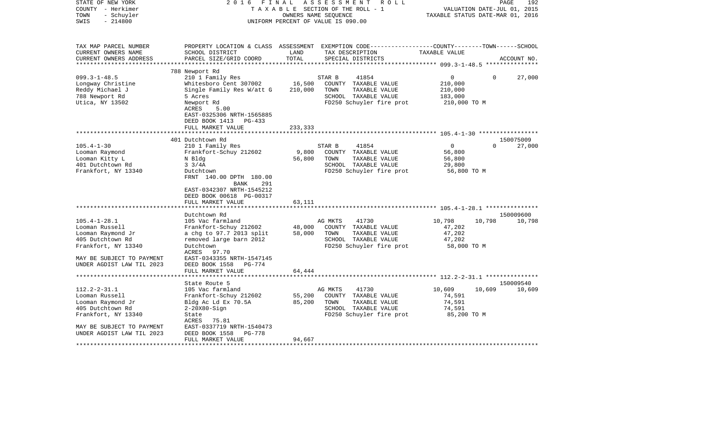| STATE OF NEW YORK<br>COUNTY - Herkimer<br>- Schuyler<br>TOWN<br>$-214800$<br>SWIS                 | 2 0 1 6<br>FINAL                                      | OWNERS NAME SEQUENCE | ASSESSMENT<br>ROLL<br>TAXABLE SECTION OF THE ROLL - 1<br>UNIFORM PERCENT OF VALUE IS 090.00                                             | TAXABLE STATUS DATE-MAR 01, 2016                    | PAGE<br>VALUATION DATE-JUL 01, 2015 | 192                 |
|---------------------------------------------------------------------------------------------------|-------------------------------------------------------|----------------------|-----------------------------------------------------------------------------------------------------------------------------------------|-----------------------------------------------------|-------------------------------------|---------------------|
| TAX MAP PARCEL NUMBER<br>CURRENT OWNERS NAME<br>CURRENT OWNERS ADDRESS<br>*********************** | SCHOOL DISTRICT<br>PARCEL SIZE/GRID COORD             | LAND<br>TOTAL        | PROPERTY LOCATION & CLASS ASSESSMENT EXEMPTION CODE---------------COUNTY-------TOWN------SCHOOL<br>TAX DESCRIPTION<br>SPECIAL DISTRICTS | TAXABLE VALUE                                       |                                     | ACCOUNT NO.         |
|                                                                                                   | 788 Newport Rd                                        |                      |                                                                                                                                         |                                                     |                                     |                     |
| $099.3 - 1 - 48.5$                                                                                | 210 1 Family Res                                      |                      | 41854<br>STAR B                                                                                                                         | $\mathbf{0}$                                        | $\Omega$                            | 27,000              |
| Longway Christine                                                                                 | Whitesboro Cent 307002                                | 16,500               | COUNTY TAXABLE VALUE                                                                                                                    | 210,000                                             |                                     |                     |
| Reddy Michael J                                                                                   | Single Family Res W/att G                             | 210,000              | TOWN<br>TAXABLE VALUE                                                                                                                   | 210,000                                             |                                     |                     |
| 788 Newport Rd                                                                                    | 5 Acres                                               |                      | SCHOOL TAXABLE VALUE                                                                                                                    | 183,000                                             |                                     |                     |
| Utica, NY 13502                                                                                   | Newport Rd                                            |                      | FD250 Schuyler fire prot                                                                                                                | 210,000 TO M                                        |                                     |                     |
|                                                                                                   | ACRES<br>5.00                                         |                      |                                                                                                                                         |                                                     |                                     |                     |
|                                                                                                   | EAST-0325306 NRTH-1565885<br>DEED BOOK 1413<br>PG-433 |                      |                                                                                                                                         |                                                     |                                     |                     |
|                                                                                                   | FULL MARKET VALUE                                     | 233,333              |                                                                                                                                         |                                                     |                                     |                     |
|                                                                                                   |                                                       |                      |                                                                                                                                         | ·******************** 105.4-1-30 ****************** |                                     |                     |
|                                                                                                   | 401 Dutchtown Rd                                      |                      |                                                                                                                                         |                                                     |                                     | 150075009           |
| $105.4 - 1 - 30$                                                                                  | 210 1 Family Res                                      |                      | STAR B<br>41854                                                                                                                         | $\mathbf{0}$                                        | $\Omega$                            | 27,000              |
| Looman Raymond                                                                                    | Frankfort-Schuy 212602                                | 9,800                | COUNTY TAXABLE VALUE                                                                                                                    | 56,800                                              |                                     |                     |
| Looman Kitty L                                                                                    | N Bldg                                                | 56,800               | TOWN<br>TAXABLE VALUE                                                                                                                   | 56,800                                              |                                     |                     |
| 401 Dutchtown Rd                                                                                  | $3 \frac{3}{4A}$                                      |                      | SCHOOL TAXABLE VALUE                                                                                                                    | 29,800                                              |                                     |                     |
| Frankfort, NY 13340                                                                               | Dutchtown                                             |                      | FD250 Schuyler fire prot                                                                                                                | 56,800 TO M                                         |                                     |                     |
|                                                                                                   | FRNT 140.00 DPTH 180.00                               |                      |                                                                                                                                         |                                                     |                                     |                     |
|                                                                                                   | BANK<br>291                                           |                      |                                                                                                                                         |                                                     |                                     |                     |
|                                                                                                   | EAST-0342307 NRTH-1545212                             |                      |                                                                                                                                         |                                                     |                                     |                     |
|                                                                                                   | DEED BOOK 00618 PG-00317                              |                      |                                                                                                                                         |                                                     |                                     |                     |
|                                                                                                   | FULL MARKET VALUE                                     | 63,111               |                                                                                                                                         |                                                     |                                     |                     |
|                                                                                                   |                                                       |                      |                                                                                                                                         |                                                     |                                     |                     |
| $105.4 - 1 - 28.1$                                                                                | Dutchtown Rd<br>105 Vac farmland                      |                      | AG MKTS<br>41730                                                                                                                        | 10,798                                              | 10,798                              | 150009600<br>10,798 |
| Looman Russell                                                                                    | Frankfort-Schuy 212602                                | 48,000               | COUNTY TAXABLE VALUE                                                                                                                    | 47,202                                              |                                     |                     |
| Looman Raymond Jr                                                                                 | a chg to 97.7 2013 split                              | 58,000               | TOWN<br>TAXABLE VALUE                                                                                                                   | 47,202                                              |                                     |                     |
| 405 Dutchtown Rd                                                                                  | removed large barn 2012                               |                      | SCHOOL TAXABLE VALUE                                                                                                                    | 47,202                                              |                                     |                     |
| Frankfort, NY 13340                                                                               | Dutchtown                                             |                      | FD250 Schuyler fire prot                                                                                                                | 58,000 TO M                                         |                                     |                     |
|                                                                                                   | ACRES<br>97.70                                        |                      |                                                                                                                                         |                                                     |                                     |                     |
| MAY BE SUBJECT TO PAYMENT                                                                         | EAST-0343355 NRTH-1547145                             |                      |                                                                                                                                         |                                                     |                                     |                     |
| UNDER AGDIST LAW TIL 2023                                                                         | DEED BOOK 1558<br>PG-774                              |                      |                                                                                                                                         |                                                     |                                     |                     |
|                                                                                                   | FULL MARKET VALUE                                     | 64,444               |                                                                                                                                         |                                                     |                                     |                     |
|                                                                                                   | ************************                              |                      |                                                                                                                                         |                                                     |                                     |                     |
|                                                                                                   | State Route 5                                         |                      |                                                                                                                                         |                                                     |                                     | 150009540           |
| $112.2 - 2 - 31.1$                                                                                | 105 Vac farmland                                      |                      | 41730<br>AG MKTS                                                                                                                        | 10,609                                              | 10,609                              | 10,609              |
| Looman Russell                                                                                    | Frankfort-Schuy 212602                                | 55,200               | COUNTY TAXABLE VALUE                                                                                                                    | 74,591                                              |                                     |                     |
| Looman Raymond Jr                                                                                 | Bldg Ac Ld Ex 70.5A                                   | 85,200               | TAXABLE VALUE<br>TOWN                                                                                                                   | 74,591                                              |                                     |                     |
| 405 Dutchtown Rd                                                                                  | $2-20X80-Sign$                                        |                      | SCHOOL TAXABLE VALUE                                                                                                                    | 74,591                                              |                                     |                     |
| Frankfort, NY 13340                                                                               | State<br>75.81<br>ACRES                               |                      | FD250 Schuyler fire prot                                                                                                                | 85,200 TO M                                         |                                     |                     |
| MAY BE SUBJECT TO PAYMENT                                                                         | EAST-0337719 NRTH-1540473                             |                      |                                                                                                                                         |                                                     |                                     |                     |
| UNDER AGDIST LAW TIL 2023                                                                         | DEED BOOK 1558<br>PG-778                              |                      |                                                                                                                                         |                                                     |                                     |                     |
|                                                                                                   | FULL MARKET VALUE                                     | 94,667               |                                                                                                                                         |                                                     |                                     |                     |
|                                                                                                   |                                                       |                      |                                                                                                                                         |                                                     |                                     |                     |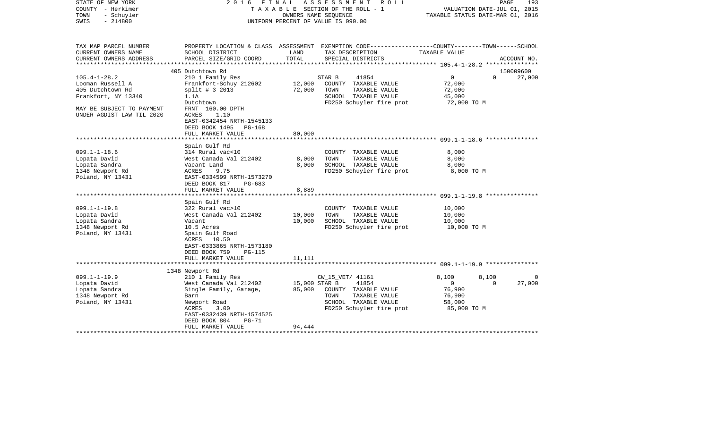| STATE OF NEW YORK<br>COUNTY - Herkimer<br>- Schuyler<br>TOWN<br>$-214800$<br>SWIS                                                           | FINAL<br>2016<br>TAXABLE SECTION OF THE ROLL - 1<br>UNIFORM PERCENT OF VALUE IS 090.00                                                                                                                                           | A S S E S S M E N T R O L L<br>193<br>PAGE<br>VALUATION DATE-JUL 01, 2015<br>TAXABLE STATUS DATE-MAR 01, 2016 |                                                                                                    |                                                             |                   |             |
|---------------------------------------------------------------------------------------------------------------------------------------------|----------------------------------------------------------------------------------------------------------------------------------------------------------------------------------------------------------------------------------|---------------------------------------------------------------------------------------------------------------|----------------------------------------------------------------------------------------------------|-------------------------------------------------------------|-------------------|-------------|
| TAX MAP PARCEL NUMBER<br>CURRENT OWNERS NAME<br>CURRENT OWNERS ADDRESS<br>*************************                                         | PROPERTY LOCATION & CLASS ASSESSMENT EXEMPTION CODE----------------COUNTY-------TOWN------SCHOOL<br>SCHOOL DISTRICT<br>PARCEL SIZE/GRID COORD                                                                                    | LAND<br>TOTAL                                                                                                 | TAX DESCRIPTION<br>SPECIAL DISTRICTS                                                               | TAXABLE VALUE                                               |                   | ACCOUNT NO. |
|                                                                                                                                             | 405 Dutchtown Rd                                                                                                                                                                                                                 |                                                                                                               |                                                                                                    |                                                             |                   | 150009600   |
| $105.4 - 1 - 28.2$<br>Looman Russell A<br>405 Dutchtown Rd<br>Frankfort, NY 13340<br>MAY BE SUBJECT TO PAYMENT<br>UNDER AGDIST LAW TIL 2020 | 210 1 Family Res<br>Frankfort-Schuy 212602<br>$split$ # 3 2013<br>1.1A<br>Dutchtown<br>FRNT 160.00 DPTH<br>ACRES<br>1.10<br>EAST-0342454 NRTH-1545133<br>DEED BOOK 1495 PG-168                                                   | STAR B<br>12,000<br>72,000<br>TOWN                                                                            | 41854<br>COUNTY TAXABLE VALUE<br>TAXABLE VALUE<br>SCHOOL TAXABLE VALUE<br>FD250 Schuyler fire prot | $\overline{0}$<br>72,000<br>72,000<br>45,000<br>72,000 TO M | $\Omega$          | 27,000      |
|                                                                                                                                             | FULL MARKET VALUE                                                                                                                                                                                                                | 80,000                                                                                                        |                                                                                                    |                                                             |                   |             |
| $099.1 - 1 - 18.6$<br>Lopata David<br>Lopata Sandra<br>1348 Newport Rd<br>Poland, NY 13431                                                  | **************************<br>Spain Gulf Rd<br>314 Rural vac<10<br>West Canada Val 212402<br>Vacant Land<br>ACRES<br>9.75<br>EAST-0334599 NRTH-1573270<br>DEED BOOK 817<br>PG-683<br>FULL MARKET VALUE<br>********************** | 8,000<br>TOWN<br>8,000<br>8,889<br>* * * * * * * * * * * *                                                    | COUNTY TAXABLE VALUE<br>TAXABLE VALUE<br>SCHOOL TAXABLE VALUE<br>FD250 Schuyler fire prot          | 8,000<br>8,000<br>8,000<br>8,000 TO M                       |                   |             |
|                                                                                                                                             | Spain Gulf Rd                                                                                                                                                                                                                    |                                                                                                               |                                                                                                    |                                                             |                   |             |
| $099.1 - 1 - 19.8$<br>Lopata David<br>Lopata Sandra<br>1348 Newport Rd<br>Poland, NY 13431                                                  | 322 Rural vac>10<br>West Canada Val 212402<br>Vacant<br>10.5 Acres<br>Spain Gulf Road<br>ACRES 10.50<br>EAST-0333865 NRTH-1573180<br>DEED BOOK 759<br>PG-115                                                                     | 10,000<br>TOWN<br>10,000                                                                                      | COUNTY TAXABLE VALUE<br>TAXABLE VALUE<br>SCHOOL TAXABLE VALUE<br>FD250 Schuyler fire prot          | 10,000<br>10,000<br>10,000<br>10,000 TO M                   |                   |             |
|                                                                                                                                             | FULL MARKET VALUE<br>************************                                                                                                                                                                                    | 11,111                                                                                                        |                                                                                                    |                                                             |                   |             |
| $099.1 - 1 - 19.9$<br>Lopata David<br>Lopata Sandra                                                                                         | 1348 Newport Rd<br>210 1 Family Res<br>West Canada Val 212402<br>Single Family, Garage,                                                                                                                                          | 15,000 STAR B<br>85,000                                                                                       | CW_15_VET/ 41161<br>41854<br>COUNTY TAXABLE VALUE                                                  | 8,100<br>$\overline{0}$<br>76,900                           | 8,100<br>$\Omega$ | 0<br>27,000 |
| 1348 Newport Rd<br>Poland, NY 13431                                                                                                         | Barn<br>Newport Road<br>ACRES<br>3.00<br>EAST-0332439 NRTH-1574525<br>DEED BOOK 804<br>$PG-71$<br>FULL MARKET VALUE                                                                                                              | TOWN<br>94,444                                                                                                | TAXABLE VALUE<br>SCHOOL TAXABLE VALUE<br>FD250 Schuyler fire prot                                  | 76,900<br>58,000<br>85,000 TO M                             |                   |             |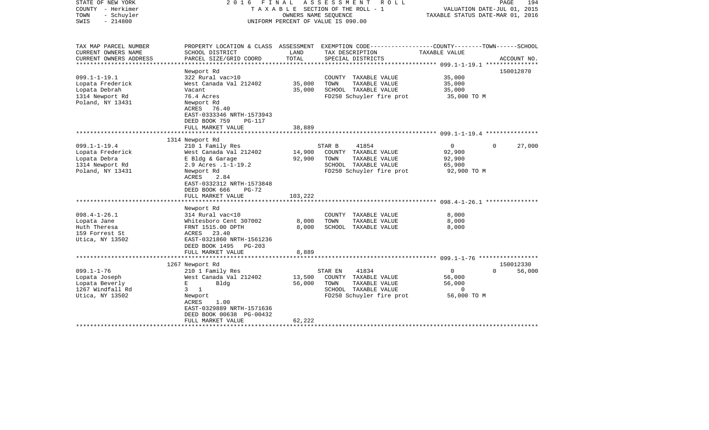| STATE OF NEW YORK<br>COUNTY - Herkimer<br>- Schuyler<br>TOWN<br>$-214800$<br>SWIS              | FINAL<br>A S S E S S M E N T<br>R O L L<br>2016<br>TAXABLE SECTION OF THE ROLL - 1<br>OWNERS NAME SEQUENCE<br>UNIFORM PERCENT OF VALUE IS 090.00                                                       |                             |                                                                                                                                         | 194<br>PAGE<br>VALUATION DATE-JUL 01, 2015<br>TAXABLE STATUS DATE-MAR 01, 2016 |                                 |  |
|------------------------------------------------------------------------------------------------|--------------------------------------------------------------------------------------------------------------------------------------------------------------------------------------------------------|-----------------------------|-----------------------------------------------------------------------------------------------------------------------------------------|--------------------------------------------------------------------------------|---------------------------------|--|
| TAX MAP PARCEL NUMBER<br>CURRENT OWNERS NAME<br>CURRENT OWNERS ADDRESS                         | SCHOOL DISTRICT<br>PARCEL SIZE/GRID COORD                                                                                                                                                              | LAND<br>TOTAL               | PROPERTY LOCATION & CLASS ASSESSMENT EXEMPTION CODE---------------COUNTY-------TOWN------SCHOOL<br>TAX DESCRIPTION<br>SPECIAL DISTRICTS | TAXABLE VALUE                                                                  | ACCOUNT NO.                     |  |
| **********************                                                                         | Newport Rd                                                                                                                                                                                             |                             |                                                                                                                                         |                                                                                | 150012870                       |  |
| $099.1 - 1 - 19.1$<br>Lopata Frederick<br>Lopata Debrah<br>1314 Newport Rd<br>Poland, NY 13431 | 322 Rural vac>10<br>West Canada Val 212402<br>Vacant<br>76.4 Acres<br>Newport Rd<br>ACRES<br>76.40<br>EAST-0333346 NRTH-1573943<br>DEED BOOK 759<br>$PG-117$                                           | 35,000<br>35,000            | COUNTY TAXABLE VALUE<br>TAXABLE VALUE<br>TOWN<br>SCHOOL TAXABLE VALUE<br>FD250 Schuyler fire prot                                       | 35,000<br>35,000<br>35,000<br>35,000 TO M                                      |                                 |  |
|                                                                                                | FULL MARKET VALUE                                                                                                                                                                                      | 38,889                      |                                                                                                                                         |                                                                                |                                 |  |
|                                                                                                | 1314 Newport Rd                                                                                                                                                                                        |                             |                                                                                                                                         |                                                                                |                                 |  |
| $099.1 - 1 - 19.4$<br>Lopata Frederick<br>Lopata Debra<br>1314 Newport Rd<br>Poland, NY 13431  | 210 1 Family Res<br>West Canada Val 212402<br>E Bldg & Garage<br>2.9 Acres .1-1-19.2<br>Newport Rd<br>2.84<br>ACRES<br>EAST-0332312 NRTH-1573848<br>DEED BOOK 666<br><b>PG-72</b><br>FULL MARKET VALUE | 14,900<br>92,900<br>103,222 | STAR B<br>41854<br>COUNTY TAXABLE VALUE<br>TOWN<br>TAXABLE VALUE<br>SCHOOL TAXABLE VALUE<br>FD250 Schuyler fire prot                    | $\overline{0}$<br>92,900<br>92,900<br>65,900<br>92,900 TO M                    | $\Omega$<br>27,000              |  |
|                                                                                                | Newport Rd                                                                                                                                                                                             |                             |                                                                                                                                         |                                                                                |                                 |  |
| $098.4 - 1 - 26.1$<br>Lopata Jane<br>Huth Theresa<br>159 Forrest St<br>Utica, NY 13502         | 314 Rural vac<10<br>Whitesboro Cent 307002<br>FRNT 1515.00 DPTH<br>ACRES 23.40<br>EAST-0321860 NRTH-1561236<br>DEED BOOK 1495 PG-203<br>FULL MARKET VALUE                                              | 8,000<br>8,000<br>8,889     | COUNTY TAXABLE VALUE<br>TOWN<br>TAXABLE VALUE<br>SCHOOL TAXABLE VALUE                                                                   | 8,000<br>8,000<br>8,000                                                        |                                 |  |
|                                                                                                |                                                                                                                                                                                                        |                             |                                                                                                                                         |                                                                                |                                 |  |
| $099.1 - 1 - 76$<br>Lopata Joseph<br>Lopata Beverly<br>1267 Windfall Rd<br>Utica, NY 13502     | 1267 Newport Rd<br>210 1 Family Res<br>West Canada Val 212402<br>Bldg<br>E<br>$3 \quad 1$<br>Newport<br>ACRES<br>1.00<br>EAST-0329889 NRTH-1571636<br>DEED BOOK 00638 PG-00432<br>FULL MARKET VALUE    | 13,500<br>56,000<br>62,222  | 41834<br>STAR EN<br>COUNTY TAXABLE VALUE<br>TAXABLE VALUE<br>TOWN<br>SCHOOL TAXABLE VALUE<br>FD250 Schuyler fire prot                   | $\overline{0}$<br>56,000<br>56,000<br>$\mathbf 0$<br>56,000 TO M               | 150012330<br>$\Omega$<br>56,000 |  |
|                                                                                                | *************************                                                                                                                                                                              |                             |                                                                                                                                         |                                                                                |                                 |  |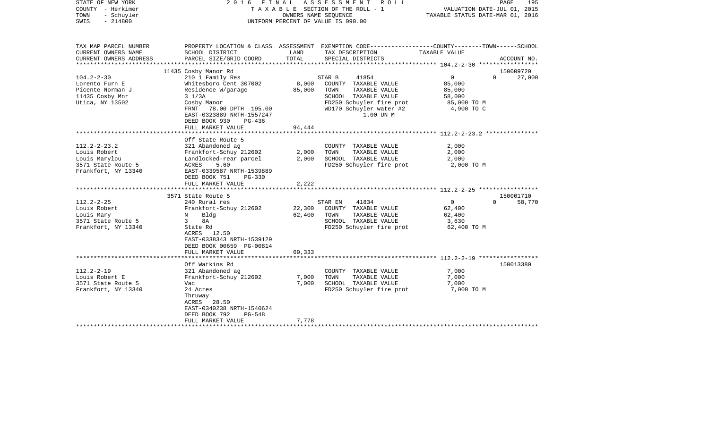| STATE OF NEW YORK<br>COUNTY - Herkimer<br>TOWN<br>- Schuyler<br>$-214800$<br>SWIS                | 2016 FINAL ASSESSMENT ROLL<br>TAXABLE SECTION OF THE ROLL - 1<br>OWNERS NAME SEQUENCE<br>UNIFORM PERCENT OF VALUE IS 090.00                                                                           |                            |                                                                                                                                                                    | VALUATION DATE-JUL 01, 2015<br>TAXABLE STATUS DATE-MAR 01, 2016           | PAGE<br>195                     |
|--------------------------------------------------------------------------------------------------|-------------------------------------------------------------------------------------------------------------------------------------------------------------------------------------------------------|----------------------------|--------------------------------------------------------------------------------------------------------------------------------------------------------------------|---------------------------------------------------------------------------|---------------------------------|
| TAX MAP PARCEL NUMBER<br>CURRENT OWNERS NAME<br>CURRENT OWNERS ADDRESS                           | SCHOOL DISTRICT<br>PARCEL SIZE/GRID COORD                                                                                                                                                             | LAND<br>TOTAL              | PROPERTY LOCATION & CLASS ASSESSMENT EXEMPTION CODE----------------COUNTY-------TOWN------SCHOOL<br>TAX DESCRIPTION<br>SPECIAL DISTRICTS                           | TAXABLE VALUE                                                             | ACCOUNT NO.                     |
|                                                                                                  |                                                                                                                                                                                                       |                            |                                                                                                                                                                    |                                                                           |                                 |
|                                                                                                  | 11435 Cosby Manor Rd                                                                                                                                                                                  |                            |                                                                                                                                                                    |                                                                           | 150009720                       |
| $104.2 - 2 - 30$<br>Lorento Furn E<br>Picente Norman J<br>11435 Cosby Mnr<br>Utica, NY 13502     | 210 1 Family Res<br>Whitesboro Cent 307002<br>Residence W/garage<br>$3 \frac{1}{3}$<br>Cosby Manor<br>FRNT 78.00 DPTH 195.00<br>EAST-0323889 NRTH-1557247<br>DEED BOOK 930<br>PG-436                  | 85,000                     | 41854<br>STAR B<br>8,000 COUNTY TAXABLE VALUE<br>TAXABLE VALUE<br>TOWN<br>SCHOOL TAXABLE VALUE<br>FD250 Schuyler fire prot<br>WD170 Schuyler water #2<br>1.00 UN M | $\overline{0}$<br>85,000<br>85,000<br>58,000<br>85,000 TO M<br>4,900 TO C | $\Omega$<br>27,000              |
|                                                                                                  | FULL MARKET VALUE                                                                                                                                                                                     | 94,444                     |                                                                                                                                                                    |                                                                           |                                 |
| $112.2 - 2 - 23.2$<br>Louis Robert<br>Louis Marylou<br>3571 State Route 5<br>Frankfort, NY 13340 | Off State Route 5<br>321 Abandoned ag<br>Frankfort-Schuy 212602<br>Landlocked-rear parcel<br>ACRES<br>5.60<br>EAST-0339587 NRTH-1539889<br>DEED BOOK 751<br>$PG-330$<br>FULL MARKET VALUE             | 2,000<br>2,000<br>2,222    | COUNTY TAXABLE VALUE<br>TOWN<br>TAXABLE VALUE<br>SCHOOL TAXABLE VALUE<br>FD250 Schuyler fire prot                                                                  | 2,000<br>2,000<br>2,000<br>2,000 TO M                                     |                                 |
|                                                                                                  |                                                                                                                                                                                                       |                            |                                                                                                                                                                    |                                                                           |                                 |
| $112.2 - 2 - 25$<br>Louis Robert<br>Louis Mary<br>3571 State Route 5<br>Frankfort, NY 13340      | 3571 State Route 5<br>240 Rural res<br>Frankfort-Schuy 212602<br>N Bldg<br>$3^{\circ}$<br>8A<br>State Rd<br>ACRES 12.50<br>EAST-0338343 NRTH-1539129<br>DEED BOOK 00659 PG-00814<br>FULL MARKET VALUE | 22,300<br>62,400<br>69,333 | 41834<br>STAR EN<br>COUNTY TAXABLE VALUE<br>TAXABLE VALUE<br>TOWN<br>SCHOOL TAXABLE VALUE<br>FD250 Schuyler fire prot                                              | $\overline{0}$<br>62,400<br>62,400<br>3,630<br>62,400 TO M                | 150001710<br>$\Omega$<br>58,770 |
|                                                                                                  |                                                                                                                                                                                                       |                            |                                                                                                                                                                    |                                                                           |                                 |
| $112.2 - 2 - 19$<br>Louis Robert E<br>3571 State Route 5<br>Frankfort, NY 13340                  | Off Watkins Rd<br>321 Abandoned ag<br>Frankfort-Schuy 212602<br>Vac<br>24 Acres<br>Thruway<br>ACRES 28.50<br>EAST-0340238 NRTH-1540624<br>DEED BOOK 792<br><b>PG-548</b>                              | 7,000<br>7,000             | COUNTY TAXABLE VALUE<br>TAXABLE VALUE<br>TOWN<br>SCHOOL TAXABLE VALUE<br>FD250 Schuyler fire prot                                                                  | 7,000<br>7,000<br>7,000<br>7,000 TO M                                     | 150013380                       |
|                                                                                                  | FULL MARKET VALUE                                                                                                                                                                                     | 7,778                      |                                                                                                                                                                    |                                                                           |                                 |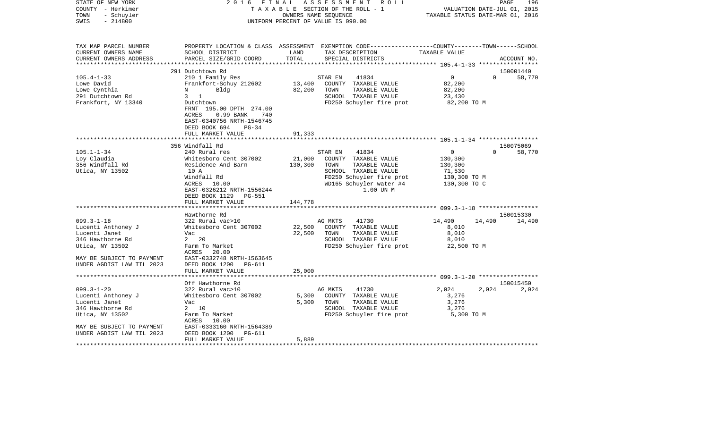| COUNTY<br>- Herkimer<br>TOWN<br>- Schuyler<br>SWIS<br>$-214800$                                                                                                         |                                                                                                                                                                                                                                                                                             |                                                  | TAXABLE SECTION OF THE ROLL - 1<br>OWNERS NAME SEQUENCE<br>UNIFORM PERCENT OF VALUE IS 090.00                                                                                                                                                                                          |                                                                                                                              | VALUATION DATE-JUL 01, 2015<br>TAXABLE STATUS DATE-MAR 01, 2016 |                               |  |
|-------------------------------------------------------------------------------------------------------------------------------------------------------------------------|---------------------------------------------------------------------------------------------------------------------------------------------------------------------------------------------------------------------------------------------------------------------------------------------|--------------------------------------------------|----------------------------------------------------------------------------------------------------------------------------------------------------------------------------------------------------------------------------------------------------------------------------------------|------------------------------------------------------------------------------------------------------------------------------|-----------------------------------------------------------------|-------------------------------|--|
| TAX MAP PARCEL NUMBER<br>CURRENT OWNERS NAME<br>CURRENT OWNERS ADDRESS                                                                                                  | SCHOOL DISTRICT<br>PARCEL SIZE/GRID COORD                                                                                                                                                                                                                                                   | LAND<br>TOTAL                                    | PROPERTY LOCATION & CLASS ASSESSMENT EXEMPTION CODE---------------COUNTY-------TOWN------SCHOOL<br>TAX DESCRIPTION<br>SPECIAL DISTRICTS                                                                                                                                                | TAXABLE VALUE<br>************** 105.4-1-33 ******************                                                                |                                                                 | ACCOUNT NO.                   |  |
|                                                                                                                                                                         | 291 Dutchtown Rd                                                                                                                                                                                                                                                                            |                                                  |                                                                                                                                                                                                                                                                                        |                                                                                                                              |                                                                 | 150001440                     |  |
| $105.4 - 1 - 33$<br>Lowe David<br>Lowe Cynthia<br>291 Dutchtown Rd<br>Frankfort, NY 13340                                                                               | 210 1 Family Res<br>Frankfort-Schuy 212602<br>Bldg<br>N<br>$3 \quad 1$<br>Dutchtown<br>FRNT 195.00 DPTH 274.00<br>ACRES<br>$0.99$ BANK<br>740                                                                                                                                               | 13,400<br>82,200                                 | 41834<br>STAR EN<br>COUNTY TAXABLE VALUE<br>TOWN<br>TAXABLE VALUE<br>SCHOOL TAXABLE VALUE<br>FD250 Schuyler fire prot                                                                                                                                                                  | $\mathbf 0$<br>82,200<br>82,200<br>23,430<br>82,200 TO M                                                                     | $\Omega$                                                        | 58,770                        |  |
|                                                                                                                                                                         | EAST-0340756 NRTH-1546745<br>DEED BOOK 694<br>$PG-34$                                                                                                                                                                                                                                       |                                                  |                                                                                                                                                                                                                                                                                        |                                                                                                                              |                                                                 |                               |  |
|                                                                                                                                                                         | FULL MARKET VALUE                                                                                                                                                                                                                                                                           | 91,333                                           |                                                                                                                                                                                                                                                                                        |                                                                                                                              |                                                                 |                               |  |
|                                                                                                                                                                         |                                                                                                                                                                                                                                                                                             | ********                                         |                                                                                                                                                                                                                                                                                        |                                                                                                                              |                                                                 |                               |  |
|                                                                                                                                                                         | 356 Windfall Rd                                                                                                                                                                                                                                                                             |                                                  |                                                                                                                                                                                                                                                                                        |                                                                                                                              |                                                                 | 150075069                     |  |
| $105.1 - 1 - 34$<br>Loy Claudia<br>356 Windfall Rd<br>Utica, NY 13502<br>$099.3 - 1 - 18$<br>Lucenti Anthoney J<br>Lucenti Janet<br>346 Hawthorne Rd<br>Utica, NY 13502 | 240 Rural res<br>Whitesboro Cent 307002<br>Residence And Barn<br>10 A<br>Windfall Rd<br>ACRES<br>10.00<br>EAST-0326212 NRTH-1556244<br>DEED BOOK 1129<br>PG-551<br>FULL MARKET VALUE<br>Hawthorne Rd<br>322 Rural vac>10<br>Whitesboro Cent 307002<br>Vac<br>$2 \quad 20$<br>Farm To Market | 21,000<br>130,300<br>144,778<br>22,500<br>22,500 | STAR EN<br>41834<br>COUNTY TAXABLE VALUE<br>TOWN<br>TAXABLE VALUE<br>SCHOOL TAXABLE VALUE<br>FD250 Schuyler fire prot<br>WD165 Schuyler water #4<br>1.00 UN M<br>AG MKTS<br>41730<br>COUNTY TAXABLE VALUE<br>TOWN<br>TAXABLE VALUE<br>SCHOOL TAXABLE VALUE<br>FD250 Schuyler fire prot | $\Omega$<br>130,300<br>130,300<br>71,530<br>130,300 TO M<br>130,300 TO C<br>14,490<br>8,010<br>8,010<br>8,010<br>22,500 TO M | $\Omega$<br>14,490                                              | 58,770<br>150015330<br>14,490 |  |
| MAY BE SUBJECT TO PAYMENT<br>UNDER AGDIST LAW TIL 2023                                                                                                                  | 20.00<br>ACRES<br>EAST-0332748 NRTH-1563645<br>DEED BOOK 1200<br><b>PG-611</b>                                                                                                                                                                                                              |                                                  |                                                                                                                                                                                                                                                                                        |                                                                                                                              |                                                                 |                               |  |
|                                                                                                                                                                         | FULL MARKET VALUE<br>****************                                                                                                                                                                                                                                                       | 25,000<br>************                           |                                                                                                                                                                                                                                                                                        |                                                                                                                              |                                                                 |                               |  |
|                                                                                                                                                                         | Off Hawthorne Rd                                                                                                                                                                                                                                                                            |                                                  |                                                                                                                                                                                                                                                                                        |                                                                                                                              |                                                                 | 150015450                     |  |
| $099.3 - 1 - 20$<br>Lucenti Anthoney J<br>Lucenti Janet<br>346 Hawthorne Rd<br>Utica, NY 13502<br>MAY BE SUBJECT TO PAYMENT                                             | 322 Rural vac>10<br>Whitesboro Cent 307002<br>Vac<br>2 10<br>Farm To Market<br>ACRES<br>10.00<br>EAST-0333160 NRTH-1564389                                                                                                                                                                  | 5,300<br>5,300                                   | AG MKTS<br>41730<br>COUNTY TAXABLE VALUE<br>TAXABLE VALUE<br>TOWN<br>SCHOOL TAXABLE VALUE<br>FD250 Schuyler fire prot                                                                                                                                                                  | 2,024<br>3,276<br>3,276<br>3,276<br>5,300 TO M                                                                               | 2,024                                                           | 2,024                         |  |
| UNDER AGDIST LAW TIL 2023                                                                                                                                               | DEED BOOK 1200<br>PG-611<br>FULL MARKET VALUE                                                                                                                                                                                                                                               | 5,889                                            |                                                                                                                                                                                                                                                                                        |                                                                                                                              |                                                                 |                               |  |

STATE OF NEW YORK 2 0 1 6 F I N A L A S S E S S M E N T R O L L PAGE 196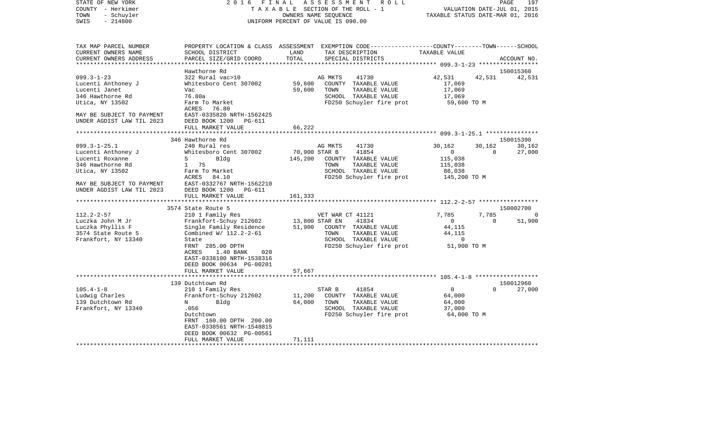| STATE OF NEW YORK<br>COUNTY - Herkimer<br>TOWN<br>- Schuyler           | 2016                                          | FINAL<br>ASSESSMENT<br>R O L L<br>TAXABLE SECTION OF THE ROLL - 1<br>OWNERS NAME SEQUENCE                                                                 | VALUATION DATE-JUL 01, 2015<br>TAXABLE STATUS DATE-MAR 01, 2016 | PAGE<br>197 |
|------------------------------------------------------------------------|-----------------------------------------------|-----------------------------------------------------------------------------------------------------------------------------------------------------------|-----------------------------------------------------------------|-------------|
| $-214800$<br>SWIS                                                      |                                               | UNIFORM PERCENT OF VALUE IS 090.00                                                                                                                        |                                                                 |             |
| TAX MAP PARCEL NUMBER<br>CURRENT OWNERS NAME<br>CURRENT OWNERS ADDRESS | SCHOOL DISTRICT<br>PARCEL SIZE/GRID COORD     | PROPERTY LOCATION & CLASS ASSESSMENT EXEMPTION CODE----------------COUNTY-------TOWN------SCHOOL<br>LAND<br>TAX DESCRIPTION<br>TOTAL<br>SPECIAL DISTRICTS | TAXABLE VALUE                                                   | ACCOUNT NO. |
|                                                                        |                                               |                                                                                                                                                           |                                                                 |             |
|                                                                        | Hawthorne Rd                                  |                                                                                                                                                           |                                                                 | 150015360   |
| $099.3 - 1 - 23$                                                       | 322 Rural vac>10                              | 41730<br>AG MKTS                                                                                                                                          | 42,531<br>42,531                                                | 42,531      |
| Lucenti Anthoney J                                                     | Whitesboro Cent 307002                        | 59,600<br>COUNTY TAXABLE VALUE                                                                                                                            | 17,069                                                          |             |
| Lucenti Janet<br>346 Hawthorne Rd                                      | Vac<br>76.80a                                 | 59,600<br>TOWN<br>TAXABLE VALUE<br>SCHOOL TAXABLE VALUE                                                                                                   | 17,069                                                          |             |
| Utica, NY 13502                                                        | Farm To Market                                | FD250 Schuyler fire prot                                                                                                                                  | 17,069<br>59,600 TO M                                           |             |
|                                                                        | ACRES<br>76.80                                |                                                                                                                                                           |                                                                 |             |
| MAY BE SUBJECT TO PAYMENT                                              | EAST-0335820 NRTH-1562425                     |                                                                                                                                                           |                                                                 |             |
| UNDER AGDIST LAW TIL 2023                                              | DEED BOOK 1200<br>PG-611                      |                                                                                                                                                           |                                                                 |             |
|                                                                        | FULL MARKET VALUE                             | 66,222                                                                                                                                                    |                                                                 |             |
|                                                                        |                                               |                                                                                                                                                           |                                                                 |             |
|                                                                        | 346 Hawthorne Rd                              |                                                                                                                                                           |                                                                 | 150015390   |
| $099.3 - 1 - 25.1$                                                     | 240 Rural res                                 | AG MKTS<br>41730                                                                                                                                          | 30,162<br>30,162                                                | 30,162      |
| Lucenti Anthoney J                                                     | Whitesboro Cent 307002                        | 70,900 STAR B<br>41854                                                                                                                                    | $\mathbf{0}$<br>$\Omega$                                        | 27,000      |
| Lucenti Roxanne                                                        | S<br>Bldg                                     | 145,200<br>COUNTY TAXABLE VALUE                                                                                                                           | 115,038                                                         |             |
| 346 Hawthorne Rd                                                       | 1 75                                          | TOWN<br>TAXABLE VALUE                                                                                                                                     | 115,038                                                         |             |
| Utica, NY 13502                                                        | Farm To Market                                | SCHOOL TAXABLE VALUE                                                                                                                                      | 88,038                                                          |             |
|                                                                        | ACRES<br>84.10                                | FD250 Schuyler fire prot                                                                                                                                  | 145,200 TO M                                                    |             |
| MAY BE SUBJECT TO PAYMENT                                              | EAST-0332767 NRTH-1562210                     |                                                                                                                                                           |                                                                 |             |
| UNDER AGDIST LAW TIL 2023                                              | DEED BOOK 1200<br>PG-611<br>FULL MARKET VALUE | 161,333                                                                                                                                                   |                                                                 |             |
|                                                                        | ************************                      |                                                                                                                                                           |                                                                 |             |
|                                                                        | 3574 State Route 5                            |                                                                                                                                                           |                                                                 | 150002700   |
| $112.2 - 2 - 57$                                                       | 210 1 Family Res                              | VET WAR CT 41121                                                                                                                                          | 7,785<br>7,785                                                  | 0           |
| Luczka John M Jr                                                       | Frankfort-Schuy 212602                        | 13,800 STAR EN<br>41834                                                                                                                                   | $\overline{0}$<br>$\mathbf{0}$                                  | 51,900      |
| Luczka Phyllis F                                                       | Single Family Residence                       | 51,900<br>COUNTY TAXABLE VALUE                                                                                                                            | 44,115                                                          |             |
| 3574 State Route 5                                                     | Combined W/ 112.2-2-61                        | TOWN<br>TAXABLE VALUE                                                                                                                                     | 44,115                                                          |             |
| Frankfort, NY 13340                                                    | State                                         | SCHOOL TAXABLE VALUE                                                                                                                                      | 0                                                               |             |
|                                                                        | FRNT 285.00 DPTH                              | FD250 Schuyler fire prot                                                                                                                                  | 51,900 TO M                                                     |             |
|                                                                        | 1.40 BANK<br>020<br>ACRES                     |                                                                                                                                                           |                                                                 |             |
|                                                                        | EAST-0338100 NRTH-1538316                     |                                                                                                                                                           |                                                                 |             |
|                                                                        | DEED BOOK 00634 PG-00201                      |                                                                                                                                                           |                                                                 |             |
|                                                                        | FULL MARKET VALUE<br>**********************   | 57,667                                                                                                                                                    |                                                                 |             |
|                                                                        |                                               |                                                                                                                                                           |                                                                 | 150012960   |
| $105.4 - 1 - 8$                                                        | 139 Dutchtown Rd                              | 41854<br>STAR B                                                                                                                                           | $\mathbf{0}$<br>$\Omega$                                        | 27,000      |
|                                                                        | 210 1 Family Res<br>Frankfort-Schuy 212602    | 11,200<br>COUNTY TAXABLE VALUE                                                                                                                            | 64,000                                                          |             |
| Ludwig Charles<br>139 Dutchtown Rd                                     | N<br>Bldg                                     | 64,000<br>TOWN<br>TAXABLE VALUE                                                                                                                           | 64,000                                                          |             |
| Frankfort, NY 13340                                                    | .056                                          | SCHOOL TAXABLE VALUE                                                                                                                                      | 37,000                                                          |             |
|                                                                        | Dutchtown                                     | FD250 Schuyler fire prot                                                                                                                                  | 64,000 TO M                                                     |             |
|                                                                        | FRNT 160.00 DPTH 200.00                       |                                                                                                                                                           |                                                                 |             |
|                                                                        | EAST-0338561 NRTH-1548815                     |                                                                                                                                                           |                                                                 |             |
|                                                                        | DEED BOOK 00632 PG-00561                      |                                                                                                                                                           |                                                                 |             |
|                                                                        | FULL MARKET VALUE                             | 71,111                                                                                                                                                    |                                                                 |             |
|                                                                        |                                               |                                                                                                                                                           |                                                                 |             |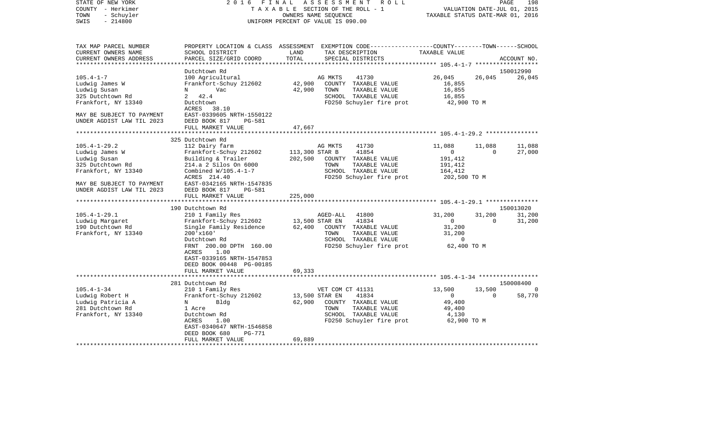| COUNTY<br>– Herkimer<br>TOWN<br>- Schuyler | T A X A B L E SECTION OF THE ROLL - 1<br>OWNERS NAME SEOUENCE |                |                                                                                                  | VALUATION DATE-JUL 01, 2015<br>TAXABLE STATUS DATE-MAR 01, 2016 |             |             |
|--------------------------------------------|---------------------------------------------------------------|----------------|--------------------------------------------------------------------------------------------------|-----------------------------------------------------------------|-------------|-------------|
| SWIS<br>$-214800$                          |                                                               |                | UNIFORM PERCENT OF VALUE IS 090.00                                                               |                                                                 |             |             |
|                                            |                                                               |                |                                                                                                  |                                                                 |             |             |
| TAX MAP PARCEL NUMBER                      |                                                               |                | PROPERTY LOCATION & CLASS ASSESSMENT EXEMPTION CODE----------------COUNTY-------TOWN------SCHOOL |                                                                 |             |             |
| CURRENT OWNERS NAME                        | SCHOOL DISTRICT                                               | LAND           | TAX DESCRIPTION                                                                                  | TAXABLE VALUE                                                   |             |             |
| CURRENT OWNERS ADDRESS                     | PARCEL SIZE/GRID COORD                                        | TOTAL          | SPECIAL DISTRICTS                                                                                | ************ 105.4-1-7 *******************                      |             | ACCOUNT NO. |
|                                            | Dutchtown Rd                                                  |                |                                                                                                  |                                                                 |             | 150012990   |
| $105.4 - 1 - 7$                            | 100 Agricultural                                              |                | AG MKTS<br>41730                                                                                 | 26,045                                                          | 26,045      | 26,045      |
| Ludwig James W                             | Frankfort-Schuy 212602                                        | 42,900         | COUNTY TAXABLE VALUE                                                                             | 16,855                                                          |             |             |
| Ludwig Susan                               | Vac<br>N                                                      | 42,900         | TOWN<br>TAXABLE VALUE                                                                            | 16,855                                                          |             |             |
| 325 Dutchtown Rd                           | 2<br>42.4                                                     |                | SCHOOL TAXABLE VALUE                                                                             | 16,855                                                          |             |             |
| Frankfort, NY 13340                        | Dutchtown<br>ACRES<br>38.10                                   |                | FD250 Schuyler fire prot                                                                         | 42,900 TO M                                                     |             |             |
| MAY BE SUBJECT TO PAYMENT                  | EAST-0339605 NRTH-1550122                                     |                |                                                                                                  |                                                                 |             |             |
| UNDER AGDIST LAW TIL 2023                  | DEED BOOK 817<br>PG-581                                       |                |                                                                                                  |                                                                 |             |             |
|                                            | FULL MARKET VALUE                                             | 47,667         |                                                                                                  |                                                                 |             |             |
|                                            |                                                               |                |                                                                                                  |                                                                 |             |             |
| $105.4 - 1 - 29.2$                         | 325 Dutchtown Rd<br>112 Dairy farm                            |                | AG MKTS<br>41730                                                                                 | 11,088                                                          | 11,088      | 11,088      |
| Ludwig James W                             | Frankfort-Schuy 212602                                        | 113,300 STAR B | 41854                                                                                            | 0                                                               | $\Omega$    | 27,000      |
| Ludwig Susan                               | Building & Trailer                                            | 202,500        | COUNTY TAXABLE VALUE                                                                             | 191,412                                                         |             |             |
| 325 Dutchtown Rd                           | 214.a 2 Silos On 6000                                         |                | TOWN<br>TAXABLE VALUE                                                                            | 191,412                                                         |             |             |
| Frankfort, NY 13340                        | Combined $W/105.4-1-7$                                        |                | SCHOOL TAXABLE VALUE                                                                             | 164,412                                                         |             |             |
|                                            | ACRES 214.40                                                  |                | FD250 Schuyler fire prot                                                                         | 202,500 TO M                                                    |             |             |
| MAY BE SUBJECT TO PAYMENT                  | EAST-0342165 NRTH-1547835                                     |                |                                                                                                  |                                                                 |             |             |
| UNDER AGDIST LAW TIL 2023                  | DEED BOOK 817<br>PG-581                                       |                |                                                                                                  |                                                                 |             |             |
|                                            | FULL MARKET VALUE                                             | 225,000        |                                                                                                  |                                                                 |             |             |
|                                            |                                                               |                |                                                                                                  |                                                                 |             |             |
|                                            | 190 Dutchtown Rd                                              |                |                                                                                                  |                                                                 |             | 150013020   |
| $105.4 - 1 - 29.1$                         | 210 1 Family Res                                              |                | AGED-ALL<br>41800                                                                                | 31,200                                                          | 31,200      | 31,200      |
| Ludwig Margaret                            | Frankfort-Schuy 212602                                        |                | 13,500 STAR EN<br>41834                                                                          | $\mathbf{0}$                                                    | $\Omega$    | 31,200      |
| 190 Dutchtown Rd                           | Single Family Residence                                       | 62,400         | COUNTY<br>TAXABLE VALUE                                                                          | 31,200                                                          |             |             |
| Frankfort, NY 13340                        | $200'$ x $160'$                                               |                | TOWN<br>TAXABLE VALUE<br>SCHOOL TAXABLE VALUE                                                    | 31,200<br>$\Omega$                                              |             |             |
|                                            | Dutchtown Rd<br>FRNT 200.00 DPTH 160.00                       |                | FD250 Schuyler fire prot                                                                         | 62,400 TO M                                                     |             |             |
|                                            | ACRES<br>1.00                                                 |                |                                                                                                  |                                                                 |             |             |
|                                            | EAST-0339165 NRTH-1547853                                     |                |                                                                                                  |                                                                 |             |             |
|                                            | DEED BOOK 00448 PG-00185                                      |                |                                                                                                  |                                                                 |             |             |
|                                            | FULL MARKET VALUE                                             | 69,333         |                                                                                                  |                                                                 |             |             |
|                                            | **********************                                        |                |                                                                                                  |                                                                 |             |             |
|                                            | 281 Dutchtown Rd                                              |                |                                                                                                  |                                                                 |             | 150008400   |
| $105.4 - 1 - 34$                           | 210 1 Family Res                                              |                | VET COM CT 41131                                                                                 | 13,500                                                          | 13,500      | $\Omega$    |
| Ludwig Robert H                            | Frankfort-Schuy 212602                                        |                | 13,500 STAR EN<br>41834                                                                          | $\mathsf{O}$                                                    | $\mathbf 0$ | 58,770      |
| Ludwig Patricia A                          | Bldg<br>N                                                     | 62,900         | COUNTY TAXABLE VALUE                                                                             | 49,400                                                          |             |             |
| 281 Dutchtown Rd                           | 1 Acre                                                        |                | TOWN<br>TAXABLE VALUE                                                                            | 49,400                                                          |             |             |
| Frankfort, NY 13340                        | Dutchtown Rd                                                  |                | SCHOOL TAXABLE VALUE                                                                             | 4,130                                                           |             |             |
|                                            | 1.00<br>ACRES                                                 |                | FD250 Schuyler fire prot                                                                         | 62,900 TO M                                                     |             |             |
|                                            | EAST-0340647 NRTH-1546858<br><b>PG-771</b>                    |                |                                                                                                  |                                                                 |             |             |
|                                            | DEED BOOK 680<br>FULL MARKET VALUE                            | 69,889         |                                                                                                  |                                                                 |             |             |
|                                            |                                                               |                |                                                                                                  |                                                                 |             |             |

STATE OF NEW YORK 2 0 1 6 F I N A L A S S E S S M E N T R O L L PAGE 198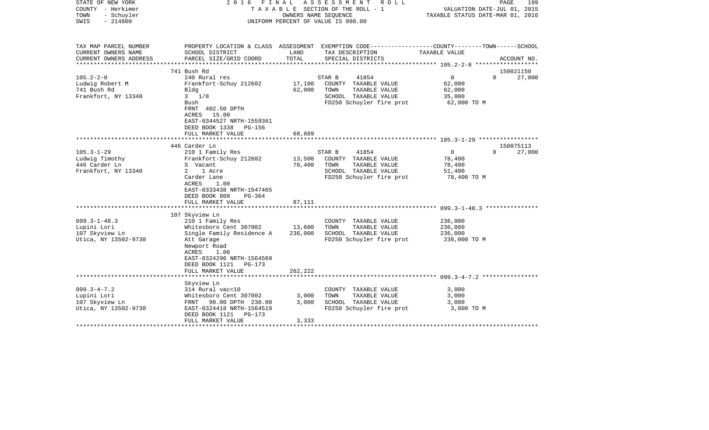| STATE OF NEW YORK<br>COUNTY - Herkimer<br>TOWN<br>- Schuyler<br>SWIS<br>$-214800$ | FINAL<br>A S S E S S M E N T R O L L<br>2016<br>TAXABLE SECTION OF THE ROLL - 1<br>OWNERS NAME SEOUENCE<br>UNIFORM PERCENT OF VALUE IS 090.00                                                     |                         |                                                                                                                      | VALUATION DATE-JUL 01, 2015<br>TAXABLE STATUS DATE-MAR 01, 2016         | 199<br>PAGE |
|-----------------------------------------------------------------------------------|---------------------------------------------------------------------------------------------------------------------------------------------------------------------------------------------------|-------------------------|----------------------------------------------------------------------------------------------------------------------|-------------------------------------------------------------------------|-------------|
| TAX MAP PARCEL NUMBER<br>CURRENT OWNERS NAME                                      | SCHOOL DISTRICT                                                                                                                                                                                   | LAND                    | PROPERTY LOCATION & CLASS ASSESSMENT EXEMPTION CODE---------------COUNTY-------TOWN------SCHOOL<br>TAX DESCRIPTION   | TAXABLE VALUE                                                           |             |
| CURRENT OWNERS ADDRESS                                                            | PARCEL SIZE/GRID COORD                                                                                                                                                                            | TOTAL                   | SPECIAL DISTRICTS                                                                                                    |                                                                         | ACCOUNT NO. |
|                                                                                   | 741 Bush Rd                                                                                                                                                                                       |                         |                                                                                                                      |                                                                         | 150021150   |
| $105.2 - 2 - 8$<br>Ludwig Robert M<br>741 Bush Rd<br>Frankfort, NY 13340          | 240 Rural res<br>Frankfort-Schuy 212602<br>Bldg<br>$3 \frac{1}{8}$<br>Bush<br>FRNT 402.50 DPTH<br>15.00<br>ACRES<br>EAST-0344527 NRTH-1559361                                                     | 17,100<br>62,000        | STAR B<br>41854<br>COUNTY TAXABLE VALUE<br>TOWN<br>TAXABLE VALUE<br>SCHOOL TAXABLE VALUE<br>FD250 Schuyler fire prot | $\mathbf 0$<br>$\Omega$<br>62,000<br>62,000<br>35,000<br>62,000 TO M    | 27,000      |
|                                                                                   | DEED BOOK 1338 PG-156<br>FULL MARKET VALUE                                                                                                                                                        | 68,889                  |                                                                                                                      |                                                                         |             |
|                                                                                   | 446 Carder Ln                                                                                                                                                                                     |                         |                                                                                                                      |                                                                         | 150075113   |
| $105.3 - 1 - 29$<br>Ludwig Timothy<br>446 Carder Ln<br>Frankfort, NY 13340        | 210 1 Family Res<br>Frankfort-Schuy 212602<br>S Vacant<br>2<br>1 Acre<br>Carder Lane<br>ACRES<br>1.00<br>EAST-0333438 NRTH-1547465<br>DEED BOOK 808<br>$PG-364$                                   | 13,500<br>78,400        | 41854<br>STAR B<br>COUNTY TAXABLE VALUE<br>TOWN<br>TAXABLE VALUE<br>SCHOOL TAXABLE VALUE<br>FD250 Schuyler fire prot | $\overline{0}$<br>$\Omega$<br>78,400<br>78,400<br>51,400<br>78,400 TO M | 27,000      |
|                                                                                   | FULL MARKET VALUE                                                                                                                                                                                 | 87,111                  |                                                                                                                      |                                                                         |             |
| $099.3 - 1 - 48.3$<br>Lupini Lori<br>107 Skyview Ln<br>Utica, NY 13502-9730       | 107 Skyview Ln<br>210 1 Family Res<br>Whitesboro Cent 307002<br>Single Family Residence A<br>Att Garage<br>Newport Road<br>ACRES<br>1.06<br>EAST-0324296 NRTH-1564569<br>DEED BOOK 1121<br>PG-173 | 13,600<br>236,000       | COUNTY TAXABLE VALUE<br>TAXABLE VALUE<br>TOWN<br>SCHOOL TAXABLE VALUE<br>FD250 Schuyler fire prot                    | 236,000<br>236,000<br>236,000<br>236,000 TO M                           |             |
|                                                                                   | FULL MARKET VALUE                                                                                                                                                                                 | 262,222                 |                                                                                                                      |                                                                         |             |
| $099.3 - 4 - 7.2$<br>Lupini Lori<br>107 Skyview Ln<br>Utica, NY 13502-9730        | Skyview Ln<br>314 Rural vac<10<br>Whitesboro Cent 307002<br>FRNT 90.00 DPTH 230.00<br>EAST-0324418 NRTH-1564519<br>DEED BOOK 1121<br>PG-173<br>FULL MARKET VALUE                                  | 3,000<br>3,000<br>3,333 | COUNTY TAXABLE VALUE<br>TOWN<br>TAXABLE VALUE<br>SCHOOL TAXABLE VALUE<br>FD250 Schuyler fire prot                    | 3,000<br>3,000<br>3,000<br>3,000 TO M                                   |             |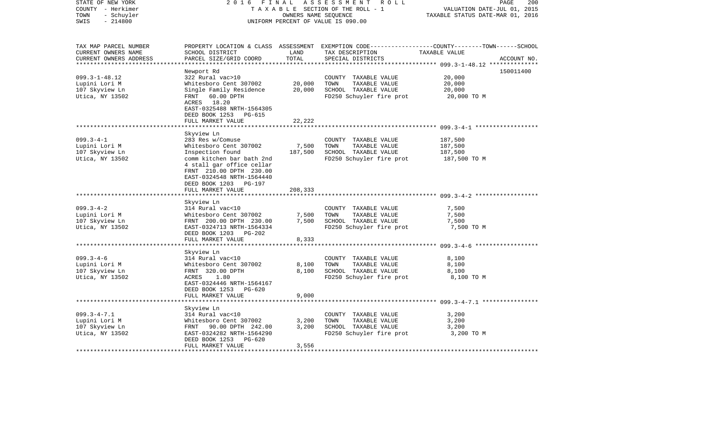| STATE OF NEW YORK<br>COUNTY - Herkimer<br>TOWN<br>- Schuyler<br>$-214800$<br>SWIS | 2 0 1 6<br>FINAL                                                                                                                                       |                             | A S S E S S M E N T R O L L<br>TAXABLE SECTION OF THE ROLL - 1<br>OWNERS NAME SEQUENCE<br>UNIFORM PERCENT OF VALUE IS 090.00 | 200<br>PAGE<br>VALUATION DATE-JUL 01, 2015<br>TAXABLE STATUS DATE-MAR 01, 2016                                                  |
|-----------------------------------------------------------------------------------|--------------------------------------------------------------------------------------------------------------------------------------------------------|-----------------------------|------------------------------------------------------------------------------------------------------------------------------|---------------------------------------------------------------------------------------------------------------------------------|
|                                                                                   |                                                                                                                                                        |                             |                                                                                                                              |                                                                                                                                 |
| TAX MAP PARCEL NUMBER<br>CURRENT OWNERS NAME<br>CURRENT OWNERS ADDRESS            | SCHOOL DISTRICT<br>PARCEL SIZE/GRID COORD                                                                                                              | LAND<br>TOTAL               | TAX DESCRIPTION<br>SPECIAL DISTRICTS                                                                                         | PROPERTY LOCATION & CLASS ASSESSMENT EXEMPTION CODE---------------COUNTY-------TOWN------SCHOOL<br>TAXABLE VALUE<br>ACCOUNT NO. |
|                                                                                   |                                                                                                                                                        | * * * * * * * * * * * * * * |                                                                                                                              |                                                                                                                                 |
| $099.3 - 1 - 48.12$<br>Lupini Lori M<br>107 Skyview Ln<br>Utica, NY 13502         | Newport Rd<br>322 Rural vac>10<br>Whitesboro Cent 307002<br>Single Family Residence<br>60.00 DPTH<br>FRNT<br>ACRES 18.20                               | 20,000<br>20,000            | COUNTY TAXABLE VALUE<br>TOWN<br>TAXABLE VALUE<br>SCHOOL TAXABLE VALUE<br>FD250 Schuyler fire prot                            | 150011400<br>20,000<br>20,000<br>20,000<br>20,000 TO M                                                                          |
|                                                                                   | EAST-0325488 NRTH-1564305<br>DEED BOOK 1253<br>PG-615<br>FULL MARKET VALUE                                                                             | 22,222                      |                                                                                                                              |                                                                                                                                 |
|                                                                                   | *******************<br>Skyview Ln                                                                                                                      |                             |                                                                                                                              |                                                                                                                                 |
| $099.3 - 4 - 1$<br>Lupini Lori M<br>107 Skyview Ln<br>Utica, NY 13502             | 283 Res w/Comuse<br>Whitesboro Cent 307002<br>Inspection found<br>comm kitchen bar bath 2nd<br>4 stall gar office cellar                               | 7,500<br>187,500            | COUNTY TAXABLE VALUE<br>TAXABLE VALUE<br>TOWN<br>SCHOOL TAXABLE VALUE<br>FD250 Schuyler fire prot                            | 187,500<br>187,500<br>187,500<br>187,500 TO M                                                                                   |
|                                                                                   | FRNT 210.00 DPTH 230.00<br>EAST-0324548 NRTH-1564440<br>DEED BOOK 1203 PG-197<br>FULL MARKET VALUE                                                     | 208,333                     |                                                                                                                              |                                                                                                                                 |
|                                                                                   | Skyview Ln                                                                                                                                             |                             |                                                                                                                              |                                                                                                                                 |
| $099.3 - 4 - 2$<br>Lupini Lori M<br>107 Skyview Ln<br>Utica, NY 13502             | 314 Rural vac<10<br>Whitesboro Cent 307002<br>FRNT 200.00 DPTH 230.00<br>EAST-0324713 NRTH-1564334<br>DEED BOOK 1203<br>$PG-202$                       | 7,500<br>7,500              | COUNTY TAXABLE VALUE<br>TOWN<br>TAXABLE VALUE<br>SCHOOL TAXABLE VALUE<br>FD250 Schuyler fire prot                            | 7,500<br>7,500<br>7,500<br>7,500 TO M                                                                                           |
|                                                                                   | FULL MARKET VALUE                                                                                                                                      | 8,333                       |                                                                                                                              | *********************** 099.3-4-6 *******************                                                                           |
| $099.3 - 4 - 6$<br>Lupini Lori M<br>107 Skyview Ln<br>Utica, NY 13502             | Skyview Ln<br>314 Rural vac<10<br>Whitesboro Cent 307002<br>FRNT 320.00 DPTH<br>ACRES<br>1.80<br>EAST-0324446 NRTH-1564167<br>DEED BOOK 1253<br>PG-620 | 8,100<br>8,100              | COUNTY TAXABLE VALUE<br>TOWN<br>TAXABLE VALUE<br>SCHOOL TAXABLE VALUE<br>FD250 Schuyler fire prot                            | 8,100<br>8,100<br>8,100<br>8,100 TO M                                                                                           |
|                                                                                   | FULL MARKET VALUE                                                                                                                                      | 9,000                       |                                                                                                                              |                                                                                                                                 |
|                                                                                   | Skyview Ln                                                                                                                                             |                             |                                                                                                                              |                                                                                                                                 |
| $099.3 - 4 - 7.1$<br>Lupini Lori M<br>107 Skyview Ln<br>Utica, NY 13502           | 314 Rural vac<10<br>Whitesboro Cent 307002<br>FRNT 90.00 DPTH 242.00<br>EAST-0324282 NRTH-1564290<br>DEED BOOK 1253<br>PG-620                          | 3,200<br>3,200              | COUNTY TAXABLE VALUE<br>TAXABLE VALUE<br>TOWN<br>SCHOOL TAXABLE VALUE<br>FD250 Schuyler fire prot                            | 3,200<br>3,200<br>3,200<br>3,200 TO M                                                                                           |
| *************************                                                         | FULL MARKET VALUE<br>*************************                                                                                                         | 3,556<br>************       |                                                                                                                              |                                                                                                                                 |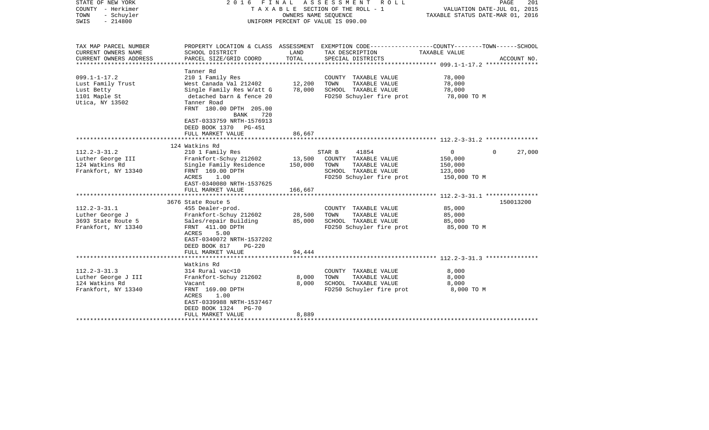| STATE OF NEW YORK<br>COUNTY - Herkimer<br>TOWN<br>- Schuyler<br>$-214800$<br>SWIS              | 2016 FINAL                                                                                                                                                                                                                                           | OWNERS NAME SEQUENCE       | ASSESSMENT<br>R O L L<br>T A X A B L E SECTION OF THE ROLL - 1<br>UNIFORM PERCENT OF VALUE IS 090.00                                     | VALUATION DATE-JUL 01, 2015<br>TAXABLE STATUS DATE-MAR 01, 2016 | PAGE<br>201        |
|------------------------------------------------------------------------------------------------|------------------------------------------------------------------------------------------------------------------------------------------------------------------------------------------------------------------------------------------------------|----------------------------|------------------------------------------------------------------------------------------------------------------------------------------|-----------------------------------------------------------------|--------------------|
| TAX MAP PARCEL NUMBER<br>CURRENT OWNERS NAME<br>CURRENT OWNERS ADDRESS<br>******************** | SCHOOL DISTRICT<br>PARCEL SIZE/GRID COORD<br>***********************                                                                                                                                                                                 | LAND<br>TOTAL              | PROPERTY LOCATION & CLASS ASSESSMENT EXEMPTION CODE----------------COUNTY-------TOWN------SCHOOL<br>TAX DESCRIPTION<br>SPECIAL DISTRICTS | TAXABLE VALUE                                                   | ACCOUNT NO.        |
| $099.1 - 1 - 17.2$<br>Lust Family Trust<br>Lust Betty<br>1101 Maple St<br>Utica, NY 13502      | Tanner Rd<br>210 1 Family Res<br>West Canada Val 212402<br>Single Family Res W/att G<br>detached barn & fence 20<br>Tanner Road<br>FRNT 180.00 DPTH 205.00<br>BANK<br>720<br>EAST-0333759 NRTH-1576913<br>DEED BOOK 1370 PG-451<br>FULL MARKET VALUE | 12,200<br>78,000<br>86,667 | COUNTY TAXABLE VALUE<br>TAXABLE VALUE<br>TOWN<br>SCHOOL TAXABLE VALUE<br>FD250 Schuyler fire prot                                        | 78,000<br>78,000<br>78,000<br>78,000 TO M                       |                    |
|                                                                                                |                                                                                                                                                                                                                                                      |                            |                                                                                                                                          |                                                                 |                    |
| $112.2 - 3 - 31.2$<br>Luther George III<br>124 Watkins Rd<br>Frankfort, NY 13340               | 124 Watkins Rd<br>210 1 Family Res<br>Frankfort-Schuy 212602<br>Single Family Residence<br>FRNT 169.00 DPTH<br>ACRES<br>1.00<br>EAST-0340080 NRTH-1537625                                                                                            | 13,500<br>150,000          | 41854<br>STAR B<br>COUNTY TAXABLE VALUE<br>TOWN<br>TAXABLE VALUE<br>SCHOOL TAXABLE VALUE<br>FD250 Schuyler fire prot                     | $\mathbf{0}$<br>150,000<br>150,000<br>123,000<br>150,000 TO M   | 27,000<br>$\Omega$ |
|                                                                                                | FULL MARKET VALUE<br>*************************                                                                                                                                                                                                       | 166,667                    |                                                                                                                                          |                                                                 |                    |
| $112.2 - 3 - 31.1$<br>Luther George J<br>3693 State Route 5<br>Frankfort, NY 13340             | 3676 State Route 5<br>455 Dealer-prod.<br>Frankfort-Schuy 212602<br>Sales/repair Building<br>FRNT 411.00 DPTH<br>ACRES<br>5.00<br>EAST-0340072 NRTH-1537202<br>DEED BOOK 817<br>$PG-220$                                                             | 28,500<br>85,000           | COUNTY TAXABLE VALUE<br>TOWN<br>TAXABLE VALUE<br>SCHOOL TAXABLE VALUE<br>FD250 Schuyler fire prot                                        | 85,000<br>85,000<br>85,000<br>85,000 TO M                       | 150013200          |
|                                                                                                | FULL MARKET VALUE                                                                                                                                                                                                                                    | 94,444                     |                                                                                                                                          |                                                                 |                    |
| $112.2 - 3 - 31.3$<br>Luther George J III<br>124 Watkins Rd<br>Frankfort, NY 13340             | Watkins Rd<br>314 Rural vac<10<br>Frankfort-Schuy 212602<br>Vacant<br>FRNT 169.00 DPTH<br>1.00<br>ACRES<br>EAST-0339988 NRTH-1537467<br>DEED BOOK 1324<br><b>PG-70</b><br>FULL MARKET VALUE                                                          | 8,000<br>8,000<br>8,889    | COUNTY TAXABLE VALUE<br>TOWN<br>TAXABLE VALUE<br>SCHOOL TAXABLE VALUE<br>FD250 Schuyler fire prot                                        | 8,000<br>8,000<br>8,000<br>8,000 TO M                           |                    |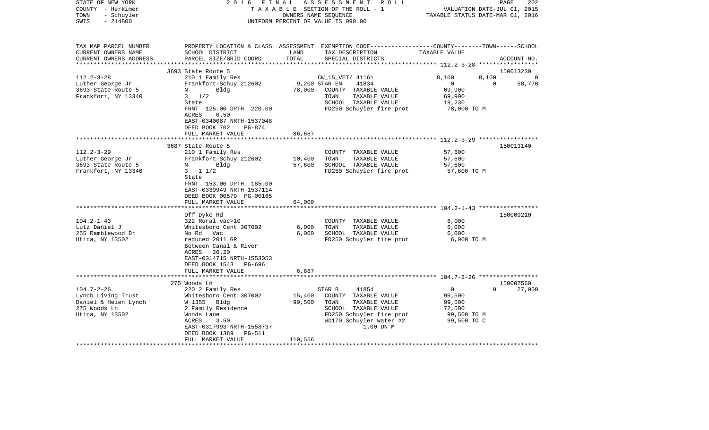| STATE OF NEW YORK<br>COUNTY - Herkimer<br>- Schuyler<br>TOWN<br>$-214800$<br>SWIS                 | 2 0 1 6<br>FINAL                                     | OWNERS NAME SEQUENCE | ASSESSMENT<br>R O L L<br>TAXABLE SECTION OF THE ROLL - 1<br>UNIFORM PERCENT OF VALUE IS 090.00                                          | VALUATION DATE-JUL 01, 2015<br>TAXABLE STATUS DATE-MAR 01, 2016 | PAGE<br>202        |
|---------------------------------------------------------------------------------------------------|------------------------------------------------------|----------------------|-----------------------------------------------------------------------------------------------------------------------------------------|-----------------------------------------------------------------|--------------------|
| TAX MAP PARCEL NUMBER<br>CURRENT OWNERS NAME<br>CURRENT OWNERS ADDRESS<br>*********************** | SCHOOL DISTRICT<br>PARCEL SIZE/GRID COORD            | LAND<br>TOTAL        | PROPERTY LOCATION & CLASS ASSESSMENT EXEMPTION CODE---------------COUNTY-------TOWN------SCHOOL<br>TAX DESCRIPTION<br>SPECIAL DISTRICTS | TAXABLE VALUE                                                   | ACCOUNT NO.        |
|                                                                                                   | 3693 State Route 5                                   |                      |                                                                                                                                         |                                                                 | 150013230          |
| $112.2 - 3 - 28$                                                                                  | 210 1 Family Res                                     |                      | CW_15_VET/ 41161                                                                                                                        | 8,100<br>8,100                                                  | 0                  |
| Luther George Jr                                                                                  | Frankfort-Schuy 212602                               | 9,200 STAR EN        | 41834                                                                                                                                   | $\mathbf 0$                                                     | 58,770<br>$\Omega$ |
| 3693 State Route 5                                                                                | Bldg<br>N                                            | 78,000               | COUNTY TAXABLE VALUE                                                                                                                    | 69,900                                                          |                    |
| Frankfort, NY 13340                                                                               | $3 \frac{1}{2}$                                      |                      | TOWN<br>TAXABLE VALUE<br>SCHOOL TAXABLE VALUE                                                                                           | 69,900                                                          |                    |
|                                                                                                   | State<br>FRNT 125.00 DPTH 220.00                     |                      | FD250 Schuyler fire prot                                                                                                                | 19,230<br>78,000 TO M                                           |                    |
|                                                                                                   | 0.50<br>ACRES                                        |                      |                                                                                                                                         |                                                                 |                    |
|                                                                                                   | EAST-0340087 NRTH-1537048                            |                      |                                                                                                                                         |                                                                 |                    |
|                                                                                                   | DEED BOOK 702<br><b>PG-874</b>                       |                      |                                                                                                                                         |                                                                 |                    |
|                                                                                                   | FULL MARKET VALUE                                    | 86,667               |                                                                                                                                         |                                                                 |                    |
|                                                                                                   | 3687 State Route 5                                   |                      |                                                                                                                                         |                                                                 | 150013140          |
| $112.2 - 3 - 29$                                                                                  | 210 1 Family Res                                     |                      | COUNTY TAXABLE VALUE                                                                                                                    | 57,600                                                          |                    |
| Luther George Jr                                                                                  | Frankfort-Schuy 212602                               | 10,400               | TOWN<br>TAXABLE VALUE                                                                                                                   | 57,600                                                          |                    |
| 3693 State Route 5                                                                                | Bldg<br>N                                            | 57,600               | SCHOOL TAXABLE VALUE                                                                                                                    | 57,600                                                          |                    |
| Frankfort, NY 13340                                                                               | $3 \t11/2$                                           |                      | FD250 Schuyler fire prot                                                                                                                | 57,600 TO M                                                     |                    |
|                                                                                                   | State                                                |                      |                                                                                                                                         |                                                                 |                    |
|                                                                                                   | FRNT 153.00 DPTH 185.00<br>EAST-0339949 NRTH-1537114 |                      |                                                                                                                                         |                                                                 |                    |
|                                                                                                   | DEED BOOK 00579 PG-00165                             |                      |                                                                                                                                         |                                                                 |                    |
|                                                                                                   | FULL MARKET VALUE                                    | 64,000               |                                                                                                                                         |                                                                 |                    |
|                                                                                                   |                                                      |                      |                                                                                                                                         |                                                                 |                    |
|                                                                                                   | Off Dyke Rd                                          |                      |                                                                                                                                         |                                                                 | 150009210          |
| $104.2 - 1 - 43$                                                                                  | 322 Rural vac>10                                     |                      | COUNTY TAXABLE VALUE                                                                                                                    | 6,000                                                           |                    |
| Lutz Daniel J<br>255 Ramblewood Dr                                                                | Whitesboro Cent 307002<br>No Rd Vac                  | 6,000<br>6,000       | TOWN<br>TAXABLE VALUE<br>SCHOOL TAXABLE VALUE                                                                                           | 6,000<br>6,000                                                  |                    |
| Utica, NY 13502                                                                                   | reduced 2011 GR                                      |                      | FD250 Schuyler fire prot                                                                                                                | 6,000 TO M                                                      |                    |
|                                                                                                   | Between Canal & River                                |                      |                                                                                                                                         |                                                                 |                    |
|                                                                                                   | 20.20<br>ACRES                                       |                      |                                                                                                                                         |                                                                 |                    |
|                                                                                                   | EAST-0314715 NRTH-1553053                            |                      |                                                                                                                                         |                                                                 |                    |
|                                                                                                   | DEED BOOK 1543<br>PG-696                             |                      |                                                                                                                                         |                                                                 |                    |
|                                                                                                   | FULL MARKET VALUE                                    | 6,667                |                                                                                                                                         |                                                                 |                    |
|                                                                                                   | 275 Woods Ln                                         |                      |                                                                                                                                         |                                                                 | 150007560          |
| $104.7 - 2 - 26$                                                                                  | 220 2 Family Res                                     |                      | STAR B<br>41854                                                                                                                         | $\mathbf{0}$                                                    | 27,000<br>$\Omega$ |
| Lynch Living Trust                                                                                | Whitesboro Cent 307002                               | 15,400               | COUNTY TAXABLE VALUE                                                                                                                    | 99,500                                                          |                    |
| Daniel & Helen Lynch                                                                              | W 1355 Bldg                                          | 99,500               | TAXABLE VALUE<br>TOWN                                                                                                                   | 99,500                                                          |                    |
| 275 Woods Ln                                                                                      | 2 Family Residence                                   |                      | SCHOOL TAXABLE VALUE                                                                                                                    | 72,500                                                          |                    |
| Utica, NY 13502                                                                                   | Woods Lane<br>3.50<br>ACRES                          |                      | FD250 Schuyler fire prot<br>WD170 Schuyler water #2                                                                                     | 99,500 TO M<br>99,500 TO C                                      |                    |
|                                                                                                   | EAST-0317993 NRTH-1558737                            |                      | 1.00 UN M                                                                                                                               |                                                                 |                    |
|                                                                                                   | DEED BOOK 1389<br>PG-511                             |                      |                                                                                                                                         |                                                                 |                    |
|                                                                                                   | FULL MARKET VALUE                                    | 110,556              |                                                                                                                                         |                                                                 |                    |
|                                                                                                   |                                                      |                      |                                                                                                                                         |                                                                 |                    |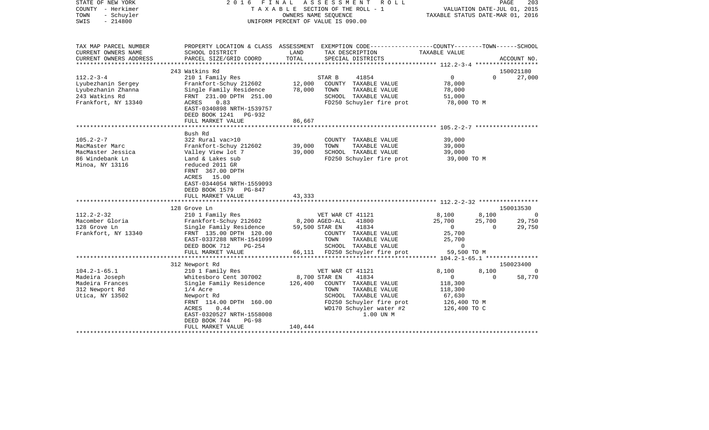| STATE OF NEW YORK<br>COUNTY - Herkimer<br>- Schuyler<br>TOWN<br>$-214800$<br>SWIS                    | ASSESSMENT<br>2016<br>FINAL<br>R O L L<br>TAXABLE SECTION OF THE ROLL - 1<br>OWNERS NAME SEQUENCE<br>UNIFORM PERCENT OF VALUE IS 090.00                                           |                  |                                                                                                                                                 | PAGE<br>203<br>VALUATION DATE-JUL 01, 2015<br>TAXABLE STATUS DATE-MAR 01, 2016 |                                   |                              |
|------------------------------------------------------------------------------------------------------|-----------------------------------------------------------------------------------------------------------------------------------------------------------------------------------|------------------|-------------------------------------------------------------------------------------------------------------------------------------------------|--------------------------------------------------------------------------------|-----------------------------------|------------------------------|
| TAX MAP PARCEL NUMBER<br>CURRENT OWNERS NAME<br>CURRENT OWNERS ADDRESS                               | SCHOOL DISTRICT<br>PARCEL SIZE/GRID COORD                                                                                                                                         | LAND<br>TOTAL    | PROPERTY LOCATION & CLASS ASSESSMENT EXEMPTION CODE----------------COUNTY-------TOWN------SCHOOL<br>TAX DESCRIPTION<br>SPECIAL DISTRICTS        | TAXABLE VALUE                                                                  |                                   | ACCOUNT NO.                  |
|                                                                                                      |                                                                                                                                                                                   | ***************  |                                                                                                                                                 | ***************** 112.2-3-4 *******************                                |                                   |                              |
|                                                                                                      | 243 Watkins Rd                                                                                                                                                                    |                  |                                                                                                                                                 |                                                                                |                                   | 150021180                    |
| $112.2 - 3 - 4$<br>Lyubezhanin Sergey<br>Lyubezhanin Zhanna<br>243 Watkins Rd<br>Frankfort, NY 13340 | 210 1 Family Res<br>Frankfort-Schuy 212602<br>Single Family Residence<br>FRNT 231.00 DPTH 251.00<br>ACRES<br>0.83<br>EAST-0340898 NRTH-1539757                                    | 12,000<br>78,000 | STAR B<br>41854<br>COUNTY TAXABLE VALUE<br>TOWN<br>TAXABLE VALUE<br>SCHOOL TAXABLE VALUE<br>FD250 Schuyler fire prot                            | $\overline{0}$<br>78,000<br>78,000<br>51,000<br>78,000 TO M                    | $\mathbf{0}$                      | 27,000                       |
|                                                                                                      | DEED BOOK 1241<br>PG-932                                                                                                                                                          |                  |                                                                                                                                                 |                                                                                |                                   |                              |
|                                                                                                      | FULL MARKET VALUE                                                                                                                                                                 | 86,667           |                                                                                                                                                 |                                                                                |                                   |                              |
|                                                                                                      | ********************                                                                                                                                                              |                  | ******************************* 105.2-2-7 ******************                                                                                    |                                                                                |                                   |                              |
| $105.2 - 2 - 7$<br>MacMaster Marc<br>MacMaster Jessica<br>86 Windebank Ln<br>Minoa, NY 13116         | Bush Rd<br>322 Rural vac>10<br>Frankfort-Schuy 212602<br>Valley View lot 7<br>Land & Lakes sub<br>reduced 2011 GR<br>FRNT 367.00 DPTH<br>ACRES 15.00<br>EAST-0344054 NRTH-1559093 | 39,000<br>39,000 | COUNTY TAXABLE VALUE<br>TAXABLE VALUE<br>TOWN<br>SCHOOL TAXABLE VALUE<br>FD250 Schuyler fire prot                                               | 39,000<br>39,000<br>39,000<br>39,000 TO M                                      |                                   |                              |
|                                                                                                      | DEED BOOK 1579 PG-847                                                                                                                                                             |                  |                                                                                                                                                 |                                                                                |                                   |                              |
|                                                                                                      | FULL MARKET VALUE                                                                                                                                                                 | 43,333           |                                                                                                                                                 |                                                                                |                                   |                              |
|                                                                                                      | *************************                                                                                                                                                         | **************   | ******************************* 112.2-2-32 *****************                                                                                    |                                                                                |                                   |                              |
|                                                                                                      | 128 Grove Ln                                                                                                                                                                      |                  |                                                                                                                                                 |                                                                                |                                   | 150013530                    |
| $112.2 - 2 - 32$<br>Macomber Gloria<br>128 Grove Ln<br>Frankfort, NY 13340                           | 210 1 Family Res<br>Frankfort-Schuy 212602<br>Single Family Residence<br>FRNT 135.00 DPTH 120.00<br>EAST-0337288 NRTH-1541099<br>DEED BOOK 712<br>PG-254                          |                  | VET WAR CT 41121<br>8,200 AGED-ALL<br>41800<br>59,500 STAR EN<br>41834<br>COUNTY TAXABLE VALUE<br>TOWN<br>TAXABLE VALUE<br>SCHOOL TAXABLE VALUE | 8,100<br>25,700<br>$\overline{0}$<br>25,700<br>25,700<br>$\mathbf 0$           | 8,100<br>25,700<br>$\overline{0}$ | $\Omega$<br>29,750<br>29,750 |
|                                                                                                      | FULL MARKET VALUE                                                                                                                                                                 |                  | 66,111 FD250 Schuyler fire prot                                                                                                                 | 59,500 TO M                                                                    |                                   |                              |
|                                                                                                      |                                                                                                                                                                                   |                  |                                                                                                                                                 |                                                                                |                                   |                              |
|                                                                                                      | 312 Newport Rd                                                                                                                                                                    |                  |                                                                                                                                                 |                                                                                |                                   | 150023400                    |
| $104.2 - 1 - 65.1$                                                                                   | 210 1 Family Res                                                                                                                                                                  |                  | VET WAR CT 41121                                                                                                                                | 8,100                                                                          | 8,100                             |                              |
| Madeira Joseph                                                                                       | Whitesboro Cent 307002                                                                                                                                                            |                  | 8,700 STAR EN<br>41834                                                                                                                          | 0                                                                              | $\Omega$                          | 58,770                       |
| Madeira Frances                                                                                      | Single Family Residence                                                                                                                                                           | 126,400          | COUNTY TAXABLE VALUE                                                                                                                            | 118,300                                                                        |                                   |                              |
| 312 Newport Rd                                                                                       | $1/4$ Acre                                                                                                                                                                        |                  | TOWN<br>TAXABLE VALUE                                                                                                                           | 118,300                                                                        |                                   |                              |
| Utica, NY 13502                                                                                      | Newport Rd<br>FRNT 114.00 DPTH 160.00<br>ACRES<br>0.44<br>EAST-0320527 NRTH-1558008<br>DEED BOOK 744<br>$PG-98$                                                                   |                  | SCHOOL TAXABLE VALUE<br>FD250 Schuyler fire prot<br>WD170 Schuyler water #2<br>1.00 UN M                                                        | 67,630<br>126,400 TO M<br>126,400 TO C                                         |                                   |                              |
|                                                                                                      | FULL MARKET VALUE                                                                                                                                                                 | 140,444          |                                                                                                                                                 |                                                                                |                                   |                              |
|                                                                                                      |                                                                                                                                                                                   |                  |                                                                                                                                                 |                                                                                |                                   |                              |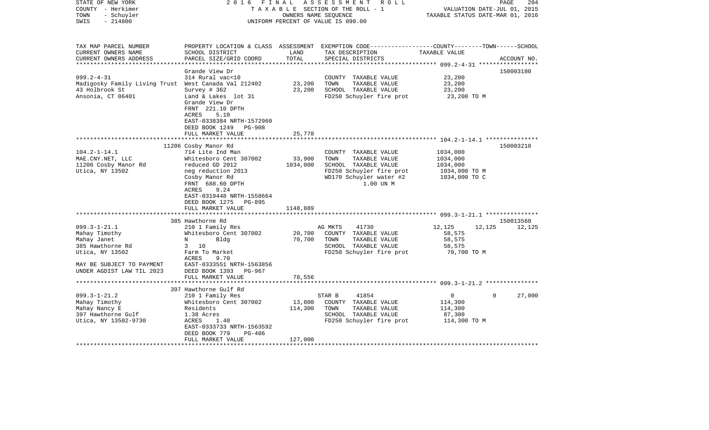| STATE OF NEW YORK<br>COUNTY - Herkimer<br>- Schuyler<br>TOWN<br>$-214800$<br>SWIS                                                                   | 2 0 1 6<br>FINAL                                                                                                                                                                                                                              | OWNERS NAME SEQUENCE           | ASSESSMENT ROLL<br>TAXABLE SECTION OF THE ROLL - 1<br>UNIFORM PERCENT OF VALUE IS 090.00                                                  | VALUATION DATE-JUL 01, 2015<br>TAXABLE STATUS DATE-MAR 01, 2016    | 204<br>PAGE         |
|-----------------------------------------------------------------------------------------------------------------------------------------------------|-----------------------------------------------------------------------------------------------------------------------------------------------------------------------------------------------------------------------------------------------|--------------------------------|-------------------------------------------------------------------------------------------------------------------------------------------|--------------------------------------------------------------------|---------------------|
| TAX MAP PARCEL NUMBER<br>CURRENT OWNERS NAME<br>CURRENT OWNERS ADDRESS                                                                              | SCHOOL DISTRICT<br>PARCEL SIZE/GRID COORD                                                                                                                                                                                                     | LAND<br>TOTAL                  | PROPERTY LOCATION & CLASS ASSESSMENT EXEMPTION CODE---------------COUNTY-------TOWN------SCHOOL<br>TAX DESCRIPTION<br>SPECIAL DISTRICTS   | TAXABLE VALUE                                                      | ACCOUNT NO.         |
| $099.2 - 4 - 31$<br>Madigosky Family Living Trust West Canada Val 212402<br>43 Holbrook St<br>Ansonia, CT 06401                                     | Grande View Dr<br>314 Rural vac<10<br>Survey # 362<br>Land & Lakes lot 31<br>Grande View Dr<br>FRNT 221.10 DPTH<br>ACRES<br>5.10                                                                                                              | 23,200<br>23,200               | COUNTY TAXABLE VALUE<br>TOWN<br>TAXABLE VALUE<br>SCHOOL TAXABLE VALUE<br>FD250 Schuyler fire prot                                         | 23,200<br>23,200<br>23,200<br>23,200 TO M                          | 150003180           |
|                                                                                                                                                     | EAST-0338384 NRTH-1572960<br>DEED BOOK 1249<br>PG-908<br>FULL MARKET VALUE                                                                                                                                                                    | 25,778                         |                                                                                                                                           |                                                                    |                     |
| $104.2 - 1 - 14.1$<br>MAE.CNY.NET, LLC<br>11206 Cosby Manor Rd<br>Utica, NY 13502                                                                   | 11206 Cosby Manor Rd<br>714 Lite Ind Man<br>Whitesboro Cent 307002<br>reduced GD 2012<br>neg reduction 2013<br>Cosby Manor Rd<br>FRNT 688.60 DPTH<br>ACRES<br>9.24<br>EAST-0319448 NRTH-1558664<br>DEED BOOK 1275 PG-895<br>FULL MARKET VALUE | 33,900<br>1034,000<br>1148,889 | COUNTY TAXABLE VALUE<br>TOWN<br>TAXABLE VALUE<br>SCHOOL TAXABLE VALUE<br>FD250 Schuyler fire prot<br>WD170 Schuyler water #2<br>1.00 UN M | 1034,000<br>1034,000<br>1034,000<br>1034,000 TO M<br>1034,000 TO C | 150003210           |
|                                                                                                                                                     |                                                                                                                                                                                                                                               |                                |                                                                                                                                           |                                                                    |                     |
| $099.3 - 1 - 21.1$<br>Mahay Timothy<br>Mahay Janet<br>385 Hawthorne Rd<br>Utica, NY 13502<br>MAY BE SUBJECT TO PAYMENT<br>UNDER AGDIST LAW TIL 2023 | 385 Hawthorne Rd<br>210 1 Family Res<br>Whitesboro Cent 307002<br>Bldg<br>N<br>3 10<br>Farm To Market<br><b>ACRES</b><br>9.70<br>EAST-0333551 NRTH-1563856<br>DEED BOOK 1393<br>PG-967                                                        | 20,700<br>70,700               | 41730<br>AG MKTS<br>COUNTY TAXABLE VALUE<br>TOWN<br>TAXABLE VALUE<br>SCHOOL TAXABLE VALUE<br>FD250 Schuyler fire prot                     | 12,125<br>12,125<br>58,575<br>58,575<br>58,575<br>70,700 TO M      | 150013560<br>12,125 |
|                                                                                                                                                     | FULL MARKET VALUE                                                                                                                                                                                                                             | 78,556                         |                                                                                                                                           |                                                                    |                     |
| $099.3 - 1 - 21.2$<br>Mahay Timothy<br>Mahay Nancy E<br>397 Hawthorne Gulf<br>Utica, NY 13502-9730                                                  | 397 Hawthorne Gulf Rd<br>210 1 Family Res<br>Whitesboro Cent 307002<br>Residents<br>1.38 Acres<br>ACRES<br>1.40<br>EAST-0333733 NRTH-1563592<br>DEED BOOK 779<br>PG-486<br>FULL MARKET VALUE                                                  | 13,800<br>114,300<br>127,000   | 41854<br>STAR B<br>COUNTY TAXABLE VALUE<br>TOWN<br>TAXABLE VALUE<br>SCHOOL TAXABLE VALUE<br>FD250 Schuyler fire prot                      | 0<br>$\mathbf 0$<br>114,300<br>114,300<br>87,300<br>114,300 TO M   | 27,000              |
|                                                                                                                                                     | ***********************                                                                                                                                                                                                                       |                                |                                                                                                                                           |                                                                    |                     |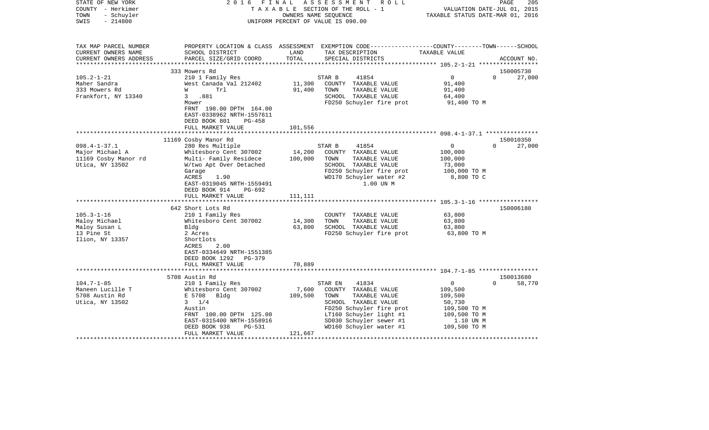| STATE OF NEW YORK<br>COUNTY - Herkimer<br>- Schuyler<br>TOWN<br>$-214800$<br>SWIS | 2016<br>FINAL                                                                                        |               | ASSESSMENT<br>R O L L<br>TAXABLE SECTION OF THE ROLL - 1<br>OWNERS NAME SEQUENCE<br>UNIFORM PERCENT OF VALUE IS 090.00                   | VALUATION DATE-JUL 01, 2015<br>TAXABLE STATUS DATE-MAR 01, 2016 | PAGE<br>205                     |
|-----------------------------------------------------------------------------------|------------------------------------------------------------------------------------------------------|---------------|------------------------------------------------------------------------------------------------------------------------------------------|-----------------------------------------------------------------|---------------------------------|
| TAX MAP PARCEL NUMBER<br>CURRENT OWNERS NAME<br>CURRENT OWNERS ADDRESS            | SCHOOL DISTRICT<br>PARCEL SIZE/GRID COORD                                                            | LAND<br>TOTAL | PROPERTY LOCATION & CLASS ASSESSMENT EXEMPTION CODE----------------COUNTY-------TOWN------SCHOOL<br>TAX DESCRIPTION<br>SPECIAL DISTRICTS | TAXABLE VALUE                                                   | ACCOUNT NO.                     |
| *********************                                                             |                                                                                                      |               |                                                                                                                                          |                                                                 |                                 |
|                                                                                   | 333 Mowers Rd                                                                                        |               |                                                                                                                                          |                                                                 | 150005730                       |
| $105.2 - 1 - 21$                                                                  | 210 1 Family Res                                                                                     |               | STAR B<br>41854                                                                                                                          | $\overline{0}$                                                  | 27,000<br>$\Omega$              |
| Maher Sandra                                                                      | West Canada Val 212402                                                                               | 11,300        | COUNTY TAXABLE VALUE                                                                                                                     | 91,400                                                          |                                 |
| 333 Mowers Rd<br>Frankfort, NY 13340                                              | W<br>Trl<br>3.881                                                                                    | 91,400        | TOWN<br>TAXABLE VALUE<br>SCHOOL TAXABLE VALUE                                                                                            | 91,400<br>64,400                                                |                                 |
|                                                                                   | Mower                                                                                                |               | FD250 Schuyler fire prot                                                                                                                 | 91,400 TO M                                                     |                                 |
|                                                                                   | FRNT 198.00 DPTH 164.00<br>EAST-0338962 NRTH-1557611<br>DEED BOOK 801<br>PG-458<br>FULL MARKET VALUE | 101,556       |                                                                                                                                          |                                                                 |                                 |
|                                                                                   |                                                                                                      |               |                                                                                                                                          |                                                                 |                                 |
|                                                                                   | 11169 Cosby Manor Rd                                                                                 |               |                                                                                                                                          |                                                                 | 150010350                       |
| $098.4 - 1 - 37.1$                                                                | 280 Res Multiple                                                                                     |               | 41854<br>STAR B                                                                                                                          | $\overline{0}$                                                  | $\Omega$<br>27,000              |
| Major Michael A                                                                   | Whitesboro Cent 307002                                                                               | 14,200        | COUNTY TAXABLE VALUE                                                                                                                     | 100,000                                                         |                                 |
| 11169 Cosby Manor rd                                                              | Multi- Family Residece                                                                               | 100,000       | TOWN<br>TAXABLE VALUE                                                                                                                    | 100,000                                                         |                                 |
| Utica, NY 13502                                                                   | W/two Apt Over Detached                                                                              |               | SCHOOL TAXABLE VALUE                                                                                                                     | 73,000                                                          |                                 |
|                                                                                   | Garage<br>ACRES<br>1.90<br>EAST-0319045 NRTH-1559491<br>DEED BOOK 914<br>PG-692                      |               | FD250 Schuyler fire prot<br>WD170 Schuyler water #2<br>1.00 UN M                                                                         | 100,000 TO M<br>8,800 TO C                                      |                                 |
|                                                                                   | FULL MARKET VALUE                                                                                    | 111,111       |                                                                                                                                          |                                                                 |                                 |
|                                                                                   |                                                                                                      |               |                                                                                                                                          |                                                                 |                                 |
|                                                                                   | 642 Short Lots Rd                                                                                    |               |                                                                                                                                          |                                                                 | 150006180                       |
| $105.3 - 1 - 16$<br>Maloy Michael                                                 | 210 1 Family Res<br>Whitesboro Cent 307002                                                           | 14,300        | COUNTY TAXABLE VALUE<br>TAXABLE VALUE<br>TOWN                                                                                            | 63,800<br>63,800                                                |                                 |
| Maloy Susan L                                                                     | Bldg                                                                                                 | 63,800        | SCHOOL TAXABLE VALUE                                                                                                                     | 63,800                                                          |                                 |
| 13 Pine St                                                                        | 2 Acres                                                                                              |               | FD250 Schuyler fire prot                                                                                                                 | 63,800 TO M                                                     |                                 |
| Ilion, NY 13357                                                                   | Shortlots                                                                                            |               |                                                                                                                                          |                                                                 |                                 |
|                                                                                   | ACRES<br>2.00                                                                                        |               |                                                                                                                                          |                                                                 |                                 |
|                                                                                   | EAST-0334649 NRTH-1551385                                                                            |               |                                                                                                                                          |                                                                 |                                 |
|                                                                                   | DEED BOOK 1292 PG-379                                                                                |               |                                                                                                                                          |                                                                 |                                 |
|                                                                                   | FULL MARKET VALUE                                                                                    | 70,889        |                                                                                                                                          |                                                                 |                                 |
|                                                                                   | **********************************                                                                   |               |                                                                                                                                          |                                                                 |                                 |
| $104.7 - 1 - 85$                                                                  | 5708 Austin Rd<br>210 1 Family Res                                                                   |               | 41834<br>STAR EN                                                                                                                         | $\overline{0}$                                                  | 150013680<br>58,770<br>$\Omega$ |
| Maneen Lucille T                                                                  | Whitesboro Cent 307002                                                                               | 7,600         | COUNTY TAXABLE VALUE                                                                                                                     | 109,500                                                         |                                 |
| 5708 Austin Rd                                                                    | E 5708<br>Bldg                                                                                       | 109,500       | TAXABLE VALUE<br>TOWN                                                                                                                    | 109,500                                                         |                                 |
| Utica, NY 13502                                                                   | $3 \t1/4$                                                                                            |               | SCHOOL TAXABLE VALUE                                                                                                                     | 50,730                                                          |                                 |
|                                                                                   | Austin                                                                                               |               | FD250 Schuyler fire prot                                                                                                                 | 109,500 TO M                                                    |                                 |
|                                                                                   | FRNT 100.00 DPTH 125.00                                                                              |               | LT160 Schuyler light #1                                                                                                                  | 109,500 TO M                                                    |                                 |
|                                                                                   | EAST-0315400 NRTH-1558916                                                                            |               | SD030 Schuyler sewer #1                                                                                                                  | 1.10 UN M                                                       |                                 |
|                                                                                   | DEED BOOK 938<br>PG-531                                                                              |               | WD160 Schuyler water #1                                                                                                                  | 109,500 TO M                                                    |                                 |
|                                                                                   | FULL MARKET VALUE                                                                                    | 121,667       |                                                                                                                                          | ************************************                            |                                 |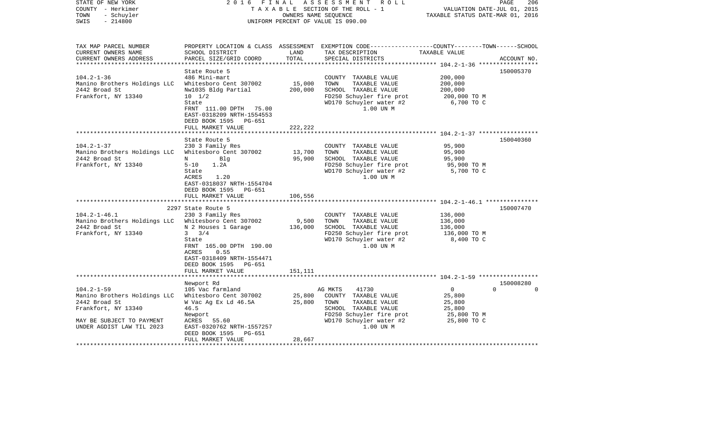| STATE OF NEW YORK<br>COUNTY - Herkimer<br>- Schuyler<br>TOWN<br>$-214800$<br>SWIS                                 | 2 0 1 6<br>FINAL                                                                                                                                                                                  | OWNERS NAME SEQUENCE          | A S S E S S M E N T R O L L<br>TAXABLE SECTION OF THE ROLL - 1<br>UNIFORM PERCENT OF VALUE IS 090.00                                      | VALUATION DATE-JUL 01, 2015<br>TAXABLE STATUS DATE-MAR 01, 2016 | 206<br>PAGE                       |
|-------------------------------------------------------------------------------------------------------------------|---------------------------------------------------------------------------------------------------------------------------------------------------------------------------------------------------|-------------------------------|-------------------------------------------------------------------------------------------------------------------------------------------|-----------------------------------------------------------------|-----------------------------------|
| TAX MAP PARCEL NUMBER<br>CURRENT OWNERS NAME<br>CURRENT OWNERS ADDRESS<br>************************                | SCHOOL DISTRICT<br>PARCEL SIZE/GRID COORD                                                                                                                                                         | LAND<br>TOTAL                 | PROPERTY LOCATION & CLASS ASSESSMENT EXEMPTION CODE----------------COUNTY-------TOWN------SCHOOL<br>TAX DESCRIPTION<br>SPECIAL DISTRICTS  | TAXABLE VALUE                                                   | ACCOUNT NO.                       |
|                                                                                                                   | State Route 5                                                                                                                                                                                     |                               |                                                                                                                                           |                                                                 | 150005370                         |
| $104.2 - 1 - 36$<br>Manino Brothers Holdings LLC<br>2442 Broad St<br>Frankfort, NY 13340                          | 486 Mini-mart<br>Whitesboro Cent 307002<br>Nw1035 Bldg Partial<br>$10 \t 1/2$<br>State                                                                                                            | 15,000<br>200,000             | COUNTY TAXABLE VALUE<br>TOWN<br>TAXABLE VALUE<br>SCHOOL TAXABLE VALUE<br>FD250 Schuyler fire prot<br>WD170 Schuyler water #2              | 200,000<br>200,000<br>200,000<br>200,000 TO M<br>6,700 TO C     |                                   |
|                                                                                                                   | FRNT 111.00 DPTH 75.00<br>EAST-0318209 NRTH-1554553<br>DEED BOOK 1595<br>PG-651<br>FULL MARKET VALUE<br>******************                                                                        | 222,222                       | 1.00 UN M                                                                                                                                 |                                                                 |                                   |
|                                                                                                                   | State Route 5                                                                                                                                                                                     | * * * * * * * * * * * * * * * |                                                                                                                                           |                                                                 | 150040360                         |
| $104.2 - 1 - 37$<br>Manino Brothers Holdings LLC<br>2442 Broad St<br>Frankfort, NY 13340                          | 230 3 Family Res<br>Whitesboro Cent 307002<br>N<br>Blq<br>$5 - 10$<br>1.2A<br>State<br>1.20<br>ACRES<br>EAST-0318037 NRTH-1554704<br>DEED BOOK 1595 PG-651<br>FULL MARKET VALUE                   | 13,700<br>95,900<br>106,556   | COUNTY TAXABLE VALUE<br>TAXABLE VALUE<br>TOWN<br>SCHOOL TAXABLE VALUE<br>FD250 Schuyler fire prot<br>WD170 Schuyler water #2<br>1.00 UN M | 95,900<br>95,900<br>95,900<br>95,900 TO M<br>5,700 TO C         |                                   |
|                                                                                                                   | ****************************                                                                                                                                                                      |                               |                                                                                                                                           |                                                                 |                                   |
| $104.2 - 1 - 46.1$<br>Manino Brothers Holdings LLC Whitesboro Cent 307002<br>2442 Broad St<br>Frankfort, NY 13340 | 2297 State Route 5<br>230 3 Family Res<br>N 2 Houses 1 Garage<br>3/4<br>$3^{\circ}$<br>State<br>FRNT 165.00 DPTH 190.00<br>0.55<br>ACRES<br>EAST-0318409 NRTH-1554471<br>DEED BOOK 1595<br>PG-651 | 9,500<br>136,000              | COUNTY TAXABLE VALUE<br>TOWN<br>TAXABLE VALUE<br>SCHOOL TAXABLE VALUE<br>FD250 Schuyler fire prot<br>WD170 Schuyler water #2<br>1.00 UN M | 136,000<br>136,000<br>136,000<br>136,000 TO M<br>8,400 TO C     | 150007470                         |
|                                                                                                                   | FULL MARKET VALUE                                                                                                                                                                                 | 151,111                       |                                                                                                                                           |                                                                 |                                   |
| $104.2 - 1 - 59$<br>Manino Brothers Holdings LLC                                                                  | Newport Rd<br>105 Vac farmland<br>Whitesboro Cent 307002                                                                                                                                          | 25,800                        | AG MKTS<br>41730<br>COUNTY TAXABLE VALUE                                                                                                  | $\overline{0}$<br>25,800                                        | 150008280<br>$\Omega$<br>$\Omega$ |
| 2442 Broad St<br>Frankfort, NY 13340<br>MAY BE SUBJECT TO PAYMENT<br>UNDER AGDIST LAW TIL 2023                    | W Vac Ag Ex Ld 46.5A<br>46.5<br>Newport<br>ACRES 55.60<br>EAST-0320762 NRTH-1557257<br>DEED BOOK 1595<br>PG-651                                                                                   | 25,800                        | TOWN<br>TAXABLE VALUE<br>SCHOOL TAXABLE VALUE<br>FD250 Schuyler fire prot<br>WD170 Schuyler water #2<br>1.00 UN M                         | 25,800<br>25,800<br>25,800 TO M<br>25,800 TO C                  |                                   |
|                                                                                                                   | FULL MARKET VALUE                                                                                                                                                                                 | 28,667                        |                                                                                                                                           |                                                                 |                                   |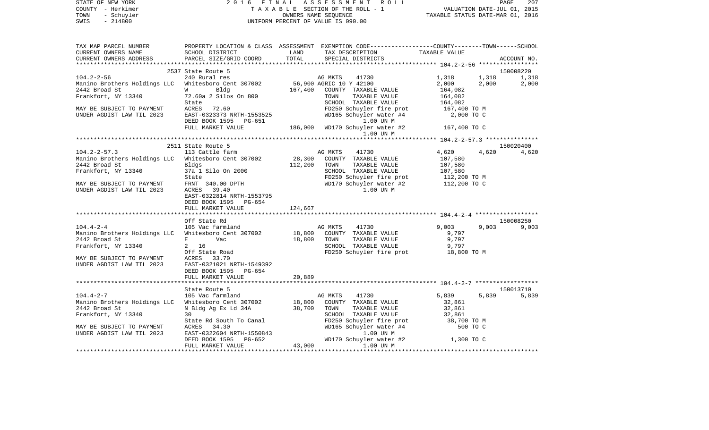| STATE OF NEW YORK<br>COUNTY - Herkimer<br>- Schuyler<br>TOWN<br>SWIS<br>$-214800$ | 2016<br><b>FINAL</b>                               |         | ASSESSMENT ROLL<br>TAXABLE SECTION OF THE ROLL - 1<br>OWNERS NAME SEQUENCE<br>UNIFORM PERCENT OF VALUE IS 090.00    | VALUATION DATE-JUL 01, 2015<br>TAXABLE STATUS DATE-MAR 01, 2016 |       | PAGE<br>207 |
|-----------------------------------------------------------------------------------|----------------------------------------------------|---------|---------------------------------------------------------------------------------------------------------------------|-----------------------------------------------------------------|-------|-------------|
|                                                                                   |                                                    |         |                                                                                                                     |                                                                 |       |             |
| TAX MAP PARCEL NUMBER<br>CURRENT OWNERS NAME                                      | SCHOOL DISTRICT                                    | LAND    | PROPERTY LOCATION & CLASS ASSESSMENT EXEMPTION CODE----------------COUNTY-------TOWN------SCHOOL<br>TAX DESCRIPTION | TAXABLE VALUE                                                   |       |             |
| CURRENT OWNERS ADDRESS                                                            | PARCEL SIZE/GRID COORD                             | TOTAL   | SPECIAL DISTRICTS                                                                                                   |                                                                 |       | ACCOUNT NO. |
|                                                                                   |                                                    |         |                                                                                                                     |                                                                 |       |             |
|                                                                                   | 2537 State Route 5                                 |         |                                                                                                                     |                                                                 |       | 150008220   |
| $104.2 - 2 - 56$                                                                  | 240 Rural res                                      |         | 41730<br>AG MKTS                                                                                                    | 1,318                                                           | 1,318 | 1,318       |
| Manino Brothers Holdings LLC                                                      | Whitesboro Cent 307002                             |         | 56,900 AGRIC 10 Y 42100                                                                                             | 2,000                                                           | 2,000 | 2,000       |
| 2442 Broad St                                                                     | Bldg<br><b>W</b>                                   | 167,400 | COUNTY TAXABLE VALUE                                                                                                | 164,082                                                         |       |             |
| Frankfort, NY 13340                                                               | 72.60a 2 Silos On 800<br>State                     |         | TOWN<br>TAXABLE VALUE<br>SCHOOL TAXABLE VALUE                                                                       | 164,082<br>164,082                                              |       |             |
| MAY BE SUBJECT TO PAYMENT                                                         | ACRES 72.60                                        |         | FD250 Schuyler fire prot                                                                                            | 167,400 TO M                                                    |       |             |
| UNDER AGDIST LAW TIL 2023                                                         | EAST-0323373 NRTH-1553525                          |         | WD165 Schuyler water #4                                                                                             | 2,000 TO C                                                      |       |             |
|                                                                                   | DEED BOOK 1595 PG-651                              |         | 1.00 UN M                                                                                                           |                                                                 |       |             |
|                                                                                   | FULL MARKET VALUE                                  |         | 186,000 WD170 Schuyler water #2                                                                                     | 167,400 TO C                                                    |       |             |
|                                                                                   |                                                    |         | 1.00 UN M                                                                                                           |                                                                 |       |             |
|                                                                                   | 2511 State Route 5                                 |         |                                                                                                                     |                                                                 |       | 150020400   |
| $104.2 - 2 - 57.3$                                                                | 113 Cattle farm                                    |         | AG MKTS<br>41730                                                                                                    | 4,620                                                           | 4,620 | 4,620       |
| Manino Brothers Holdings LLC                                                      | Whitesboro Cent 307002                             | 28,300  | COUNTY TAXABLE VALUE                                                                                                | 107,580                                                         |       |             |
| 2442 Broad St                                                                     | Bldgs                                              | 112,200 | TOWN<br>TAXABLE VALUE                                                                                               | 107,580                                                         |       |             |
| Frankfort, NY 13340                                                               | 37a 1 Silo On 2000                                 |         | SCHOOL TAXABLE VALUE                                                                                                | 107,580                                                         |       |             |
|                                                                                   | State                                              |         | FD250 Schuyler fire prot                                                                                            | 112,200 TO M                                                    |       |             |
| MAY BE SUBJECT TO PAYMENT                                                         | FRNT 340.00 DPTH                                   |         | WD170 Schuyler water #2                                                                                             | 112,200 TO C                                                    |       |             |
| UNDER AGDIST LAW TIL 2023                                                         | ACRES 39.40                                        |         | 1.00 UN M                                                                                                           |                                                                 |       |             |
|                                                                                   | EAST-0322814 NRTH-1553795<br>DEED BOOK 1595 PG-654 |         |                                                                                                                     |                                                                 |       |             |
|                                                                                   | FULL MARKET VALUE                                  | 124,667 |                                                                                                                     |                                                                 |       |             |
|                                                                                   |                                                    |         |                                                                                                                     |                                                                 |       |             |
|                                                                                   | Off State Rd                                       |         |                                                                                                                     |                                                                 |       | 150008250   |
| $104.4 - 2 - 4$                                                                   | 105 Vac farmland                                   |         | AG MKTS<br>41730                                                                                                    | 9,003                                                           | 9,003 | 9,003       |
| Manino Brothers Holdings LLC                                                      | Whitesboro Cent 307002                             | 18,800  | COUNTY TAXABLE VALUE                                                                                                | 9,797                                                           |       |             |
| 2442 Broad St                                                                     | Vac<br>Е                                           | 18,800  | TOWN<br>TAXABLE VALUE                                                                                               | 9,797                                                           |       |             |
| Frankfort, NY 13340                                                               | $\overline{a}$<br>16                               |         | SCHOOL TAXABLE VALUE                                                                                                | 9,797                                                           |       |             |
|                                                                                   | Off State Road                                     |         | FD250 Schuyler fire prot                                                                                            | 18,800 TO M                                                     |       |             |
| MAY BE SUBJECT TO PAYMENT                                                         | ACRES 33.70                                        |         |                                                                                                                     |                                                                 |       |             |
| UNDER AGDIST LAW TIL 2023                                                         | EAST-0321021 NRTH-1549392<br>DEED BOOK 1595 PG-654 |         |                                                                                                                     |                                                                 |       |             |
|                                                                                   | FULL MARKET VALUE                                  | 20,889  |                                                                                                                     |                                                                 |       |             |
| **********************                                                            |                                                    |         |                                                                                                                     |                                                                 |       |             |
|                                                                                   | State Route 5                                      |         |                                                                                                                     |                                                                 |       | 150013710   |
| $104.4 - 2 - 7$                                                                   | 105 Vac farmland                                   |         | 41730<br>AG MKTS                                                                                                    | 5,839                                                           | 5,839 | 5,839       |
| Manino Brothers Holdings LLC                                                      | Whitesboro Cent 307002                             | 18,800  | COUNTY TAXABLE VALUE                                                                                                | 32,861                                                          |       |             |
| 2442 Broad St                                                                     | N Bldg Ag Ex Ld 34A                                | 38,700  | TAXABLE VALUE<br>TOWN                                                                                               | 32,861                                                          |       |             |
| Frankfort, NY 13340                                                               | 30                                                 |         | SCHOOL TAXABLE VALUE                                                                                                | 32,861                                                          |       |             |
|                                                                                   | State Rd South To Canal                            |         | FD250 Schuyler fire prot<br>WD165 Schuyler water #4                                                                 | 38,700 TO M                                                     |       |             |
| MAY BE SUBJECT TO PAYMENT                                                         | ACRES<br>34.30                                     |         |                                                                                                                     | 500 TO C                                                        |       |             |
| UNDER AGDIST LAW TIL 2023                                                         | EAST-0322604 NRTH-1550843                          |         | 1.00 UN M                                                                                                           |                                                                 |       |             |
|                                                                                   | DEED BOOK 1595<br>PG-652<br>FULL MARKET VALUE      | 43,000  | WD170 Schuyler water #2<br>1.00 UN M                                                                                | 1,300 TO C                                                      |       |             |
| *************************                                                         |                                                    |         |                                                                                                                     |                                                                 |       |             |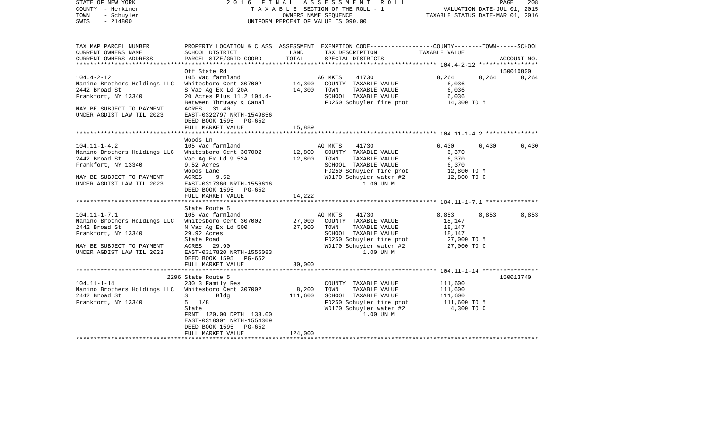| STATE OF NEW YORK<br>COUNTY - Herkimer<br>TOWN<br>- Schuyler<br>$-214800$<br>SWIS                                                                    |                                                                                                                                                                                 |                             | 2016 FINAL ASSESSMENT ROLL<br>TAXABLE SECTION OF THE ROLL - 1<br>OWNERS NAME SEQUENCE<br>UNIFORM PERCENT OF VALUE IS 090.00                                   | VALUATION DATE-JUL 01, 2015<br>TAXABLE STATUS DATE-MAR 01, 2016   |       | PAGE<br>208 |
|------------------------------------------------------------------------------------------------------------------------------------------------------|---------------------------------------------------------------------------------------------------------------------------------------------------------------------------------|-----------------------------|---------------------------------------------------------------------------------------------------------------------------------------------------------------|-------------------------------------------------------------------|-------|-------------|
| TAX MAP PARCEL NUMBER<br>CURRENT OWNERS NAME<br>CURRENT OWNERS ADDRESS<br>**********************                                                     | SCHOOL DISTRICT<br>PARCEL SIZE/GRID COORD                                                                                                                                       | LAND<br>TOTAL               | PROPERTY LOCATION & CLASS ASSESSMENT EXEMPTION CODE---------------COUNTY-------TOWN-----SCHOOL<br>TAX DESCRIPTION<br>SPECIAL DISTRICTS                        | TAXABLE VALUE                                                     |       | ACCOUNT NO. |
|                                                                                                                                                      | Off State Rd                                                                                                                                                                    |                             |                                                                                                                                                               |                                                                   |       | 150010800   |
| $104.4 - 2 - 12$<br>Manino Brothers Holdings LLC<br>2442 Broad St<br>Frankfort, NY 13340<br>MAY BE SUBJECT TO PAYMENT<br>UNDER AGDIST LAW TIL 2023   | 105 Vac farmland<br>Whitesboro Cent 307002<br>S Vac Ag Ex Ld 20A<br>20 Acres Plus 11.2 104.4-<br>Between Thruway & Canal<br>ACRES 31.40<br>EAST-0322797 NRTH-1549856            | 14,300<br>14,300            | AG MKTS<br>41730<br>COUNTY TAXABLE VALUE<br>TOWN<br>TAXABLE VALUE<br>SCHOOL TAXABLE VALUE<br>FD250 Schuyler fire prot                                         | 8,264<br>6,036<br>6,036<br>6,036<br>14,300 TO M                   | 8,264 | 8,264       |
|                                                                                                                                                      | DEED BOOK 1595 PG-652<br>FULL MARKET VALUE                                                                                                                                      | 15,889                      |                                                                                                                                                               |                                                                   |       |             |
|                                                                                                                                                      |                                                                                                                                                                                 |                             |                                                                                                                                                               |                                                                   |       |             |
| $104.11 - 1 - 4.2$<br>Manino Brothers Holdings LLC<br>2442 Broad St<br>Frankfort, NY 13340<br>MAY BE SUBJECT TO PAYMENT<br>UNDER AGDIST LAW TIL 2023 | Woods Ln<br>105 Vac farmland<br>Whitesboro Cent 307002<br>Vac Ag Ex Ld 9.52A<br>9.52 Acres<br>Woods Lane<br>ACRES<br>9.52<br>EAST-0317360 NRTH-1556616<br>DEED BOOK 1595 PG-652 | 12,800<br>12,800            | AG MKTS<br>41730<br>COUNTY TAXABLE VALUE<br>TAXABLE VALUE<br>TOWN<br>SCHOOL TAXABLE VALUE<br>FD250 Schuyler fire prot<br>WD170 Schuyler water #2<br>1.00 UN M | 6,430<br>6,370<br>6,370<br>6,370<br>12,800 TO M<br>12,800 TO C    | 6,430 | 6,430       |
| *****************************                                                                                                                        | FULL MARKET VALUE                                                                                                                                                               | 14,222                      |                                                                                                                                                               |                                                                   |       |             |
|                                                                                                                                                      | State Route 5                                                                                                                                                                   |                             |                                                                                                                                                               |                                                                   |       |             |
| $104.11 - 1 - 7.1$<br>Manino Brothers Holdings LLC<br>2442 Broad St<br>Frankfort, NY 13340<br>MAY BE SUBJECT TO PAYMENT<br>UNDER AGDIST LAW TIL 2023 | 105 Vac farmland<br>Whitesboro Cent 307002<br>N Vac Ag Ex Ld 500<br>29.92 Acres<br>State Road<br>ACRES 29.90<br>EAST-0317820 NRTH-1556083<br>DEED BOOK 1595 PG-652              | 27,000<br>27,000            | AG MKTS<br>41730<br>COUNTY TAXABLE VALUE<br>TOWN<br>TAXABLE VALUE<br>SCHOOL TAXABLE VALUE<br>FD250 Schuyler fire prot<br>WD170 Schuyler water #2<br>1.00 UN M | 8,853<br>18,147<br>18,147<br>18,147<br>27,000 TO M<br>27,000 TO C | 8,853 | 8,853       |
|                                                                                                                                                      | FULL MARKET VALUE                                                                                                                                                               | 30,000                      |                                                                                                                                                               |                                                                   |       |             |
|                                                                                                                                                      | 2296 State Route 5                                                                                                                                                              |                             |                                                                                                                                                               |                                                                   |       | 150013740   |
| $104.11 - 1 - 14$<br>Manino Brothers Holdings LLC Whitesboro Cent 307002<br>2442 Broad St<br>Frankfort, NY 13340                                     | 230 3 Family Res<br>Bldg<br>$S \sim$<br>$5 \frac{1}{8}$<br>State<br>FRNT 120.00 DPTH 133.00<br>EAST-0318301 NRTH-1554309<br>PG-652<br>DEED BOOK 1595<br>FULL MARKET VALUE       | 8,200<br>111,600<br>124,000 | COUNTY TAXABLE VALUE<br>TOWN<br>TAXABLE VALUE<br>SCHOOL TAXABLE VALUE<br>FD250 Schuyler fire prot<br>WD170 Schuyler water #2<br>1.00 UN M                     | 111,600<br>111,600<br>111,600<br>111,600 TO M<br>4,300 TO C       |       |             |
|                                                                                                                                                      |                                                                                                                                                                                 |                             |                                                                                                                                                               |                                                                   |       |             |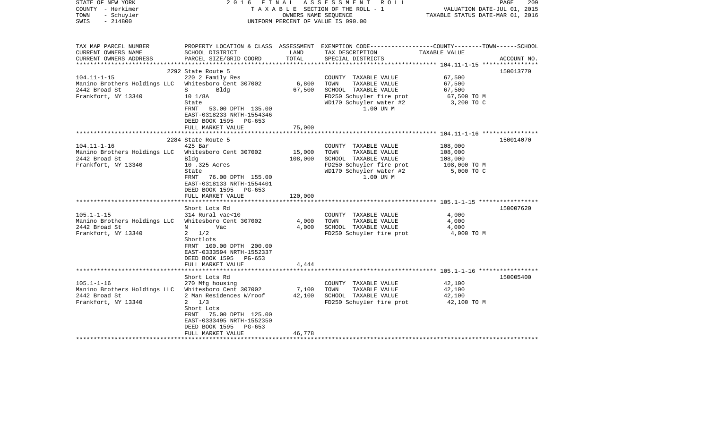| STATE OF NEW YORK<br>COUNTY - Herkimer<br>TOWN<br>- Schuyler<br>$-214800$<br>SWIS         | FINAL<br>2016                                                                                                                                                                                      | OWNERS NAME SEOUENCE  | ASSESSMENT ROLL<br>T A X A B L E SECTION OF THE ROLL - 1<br>UNIFORM PERCENT OF VALUE IS 090.00                                            | VALUATION DATE-JUL 01, 2015<br>TAXABLE STATUS DATE-MAR 01, 2016    | 209<br>PAGE |
|-------------------------------------------------------------------------------------------|----------------------------------------------------------------------------------------------------------------------------------------------------------------------------------------------------|-----------------------|-------------------------------------------------------------------------------------------------------------------------------------------|--------------------------------------------------------------------|-------------|
| TAX MAP PARCEL NUMBER<br>CURRENT OWNERS NAME<br>CURRENT OWNERS ADDRESS                    | SCHOOL DISTRICT<br>PARCEL SIZE/GRID COORD                                                                                                                                                          | LAND<br>TOTAL         | PROPERTY LOCATION & CLASS ASSESSMENT EXEMPTION CODE---------------COUNTY-------TOWN------SCHOOL<br>TAX DESCRIPTION<br>SPECIAL DISTRICTS   | TAXABLE VALUE                                                      | ACCOUNT NO. |
| **********************                                                                    |                                                                                                                                                                                                    |                       |                                                                                                                                           |                                                                    |             |
| $104.11 - 1 - 15$<br>Manino Brothers Holdings LLC<br>2442 Broad St<br>Frankfort, NY 13340 | 2292 State Route 5<br>220 2 Family Res<br>Whitesboro Cent 307002<br>S<br>Bldg<br>$10 \frac{1}{8}$ A<br>State<br>53.00 DPTH 135.00<br>FRNT<br>EAST-0318233 NRTH-1554346<br>DEED BOOK 1595<br>PG-653 | 6,800<br>67,500       | COUNTY TAXABLE VALUE<br>TOWN<br>TAXABLE VALUE<br>SCHOOL TAXABLE VALUE<br>FD250 Schuyler fire prot<br>WD170 Schuyler water #2<br>1.00 UN M | 67,500<br>67,500<br>67,500<br>67,500 TO M<br>3,200 TO C            | 150013770   |
|                                                                                           | FULL MARKET VALUE                                                                                                                                                                                  | 75,000                |                                                                                                                                           |                                                                    |             |
| $104.11 - 1 - 16$                                                                         | 2284 State Route 5<br>$425$ Bar                                                                                                                                                                    |                       | COUNTY TAXABLE VALUE                                                                                                                      | ************************* 104.11-1-16 *****************<br>108,000 | 150014070   |
| Manino Brothers Holdings LLC<br>2442 Broad St<br>Frankfort, NY 13340                      | Whitesboro Cent 307002<br>Bldg<br>10 .325 Acres<br>State<br>FRNT<br>76.00 DPTH 155.00<br>EAST-0318133 NRTH-1554401<br>DEED BOOK 1595 PG-653                                                        | 15,000<br>108,000     | TAXABLE VALUE<br>TOWN<br>SCHOOL TAXABLE VALUE<br>FD250 Schuyler fire prot<br>WD170 Schuyler water #2<br>1.00 UN M                         | 108,000<br>108,000<br>108,000 ТО М<br>5,000 TO C                   |             |
|                                                                                           | FULL MARKET VALUE                                                                                                                                                                                  | 120,000               |                                                                                                                                           |                                                                    |             |
| $105.1 - 1 - 15$<br>Manino Brothers Holdings LLC<br>2442 Broad St<br>Frankfort, NY 13340  | Short Lots Rd<br>314 Rural vac<10<br>Whitesboro Cent 307002<br>Vac<br>N<br>1/2<br>$\mathbf{2}$<br>Shortlots<br>FRNT 100.00 DPTH 200.00<br>EAST-0333594 NRTH-1552337<br>DEED BOOK 1595<br>PG-653    | 4,000<br>4,000        | COUNTY TAXABLE VALUE<br>TAXABLE VALUE<br>TOWN<br>SCHOOL TAXABLE VALUE<br>FD250 Schuyler fire prot                                         | 4,000<br>4,000<br>4,000<br>4,000 TO M                              | 150007620   |
|                                                                                           | FULL MARKET VALUE<br>* * * * * * * * * * * * * * * * * * *                                                                                                                                         | 4,444<br>************ |                                                                                                                                           |                                                                    |             |
|                                                                                           | Short Lots Rd                                                                                                                                                                                      |                       |                                                                                                                                           |                                                                    | 150005400   |
| $105.1 - 1 - 16$<br>Manino Brothers Holdings LLC<br>2442 Broad St<br>Frankfort, NY 13340  | 270 Mfg housing<br>Whitesboro Cent 307002<br>2 Man Residences W/roof<br>$2 \frac{1}{3}$<br>Short Lots<br>75.00 DPTH 125.00<br>FRNT<br>EAST-0333495 NRTH-1552350<br>DEED BOOK 1595<br>PG-653        | 7,100<br>42,100       | COUNTY TAXABLE VALUE<br>TOWN<br>TAXABLE VALUE<br>SCHOOL TAXABLE VALUE<br>FD250 Schuyler fire prot                                         | 42,100<br>42,100<br>42,100<br>42,100 TO M                          |             |
|                                                                                           | FULL MARKET VALUE                                                                                                                                                                                  | 46,778                |                                                                                                                                           |                                                                    |             |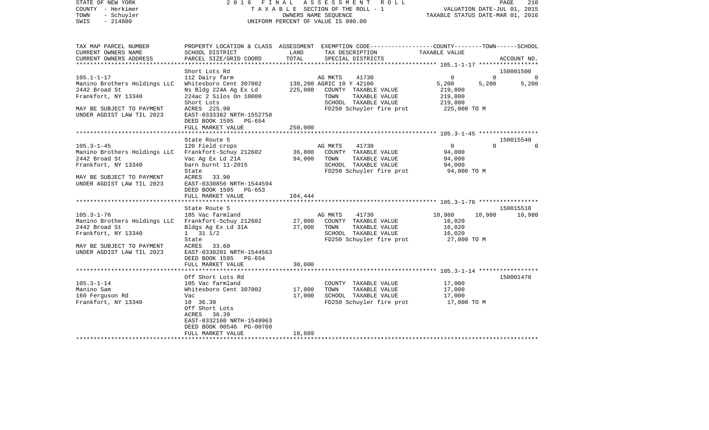| STATE OF NEW YORK |            |  | 2016 FINAL ASSESSMENT ROLL         |                                  | PAGE                        | 210 |
|-------------------|------------|--|------------------------------------|----------------------------------|-----------------------------|-----|
| COUNTY - Herkimer |            |  | TAXABLE SECTION OF THE ROLL - 1    |                                  | VALUATION DATE-JUL 01, 2015 |     |
| TOWN              | - Schuyler |  | OWNERS NAME SEOUENCE               | TAXABLE STATUS DATE-MAR 01, 2016 |                             |     |
| SWIS<br>$-214800$ |            |  | UNIFORM PERCENT OF VALUE IS 090.00 |                                  |                             |     |

| TAX MAP PARCEL NUMBER          |                           |         | PROPERTY LOCATION & CLASS ASSESSMENT EXEMPTION CODE---------------COUNTY-------TOWN-----SCHOOL |                            |                       |
|--------------------------------|---------------------------|---------|------------------------------------------------------------------------------------------------|----------------------------|-----------------------|
| CURRENT OWNERS NAME            | SCHOOL DISTRICT           | LAND    | TAX DESCRIPTION                                                                                | TAXABLE VALUE              |                       |
| CURRENT OWNERS ADDRESS         | PARCEL SIZE/GRID COORD    | TOTAL   | SPECIAL DISTRICTS                                                                              |                            | ACCOUNT NO.           |
| ********************           |                           |         |                                                                                                |                            |                       |
|                                | Short Lots Rd             |         |                                                                                                |                            | 150001500             |
| $105.1 - 1 - 17$               | 112 Dairy farm            |         | AG MKTS<br>41730                                                                               | $\mathbf 0$<br>$\mathbf 0$ | $\Omega$              |
| Manino Brothers Holdings LLC   | Whitesboro Cent 307002    |         | 130,200 AGRIC 10 Y 42100                                                                       | 5,200<br>5,200             | 5,200                 |
| 2442 Broad St                  | Ns Bldg 224A Ag Ex Ld     | 225,000 | COUNTY TAXABLE VALUE                                                                           | 219,800                    |                       |
| Frankfort, NY 13340            | 224ac 2 Silos On 10000    |         | TOWN<br>TAXABLE VALUE                                                                          | 219,800                    |                       |
|                                | Short Lots                |         | SCHOOL TAXABLE VALUE                                                                           | 219,800                    |                       |
| MAY BE SUBJECT TO PAYMENT      | ACRES 225.90              |         | FD250 Schuyler fire prot                                                                       | 225,000 TO M               |                       |
| UNDER AGDIST LAW TIL 2023      | EAST-0333382 NRTH-1552758 |         |                                                                                                |                            |                       |
|                                | DEED BOOK 1595 PG-654     |         |                                                                                                |                            |                       |
|                                | FULL MARKET VALUE         | 250,000 |                                                                                                |                            |                       |
| ****************************** |                           |         |                                                                                                |                            |                       |
|                                |                           |         |                                                                                                |                            |                       |
|                                | State Route 5             |         |                                                                                                | $\Omega$                   | 150015540<br>$\Omega$ |
| $105.3 - 1 - 45$               | 120 Field crops           |         | AG MKTS<br>41730                                                                               | $\mathbf{0}$               |                       |
| Manino Brothers Holdings LLC   | Frankfort-Schuy 212602    | 36,800  | COUNTY TAXABLE VALUE                                                                           | 94,000                     |                       |
| 2442 Broad St                  | Vac Ag Ex Ld 21A          | 94,000  | TOWN<br>TAXABLE VALUE                                                                          | 94,000                     |                       |
| Frankfort, NY 13340            | barn burnt 11-2015        |         | SCHOOL TAXABLE VALUE                                                                           | 94,000                     |                       |
|                                | State                     |         | FD250 Schuyler fire prot                                                                       | 94,000 TO M                |                       |
| MAY BE SUBJECT TO PAYMENT      | <b>ACRES</b><br>33.90     |         |                                                                                                |                            |                       |
| UNDER AGDIST LAW TIL 2023      | EAST-0330856 NRTH-1544594 |         |                                                                                                |                            |                       |
|                                | DEED BOOK 1595 PG-653     |         |                                                                                                |                            |                       |
|                                | FULL MARKET VALUE         | 104,444 |                                                                                                |                            |                       |
|                                |                           |         |                                                                                                |                            |                       |
|                                | State Route 5             |         |                                                                                                |                            | 150015510             |
| $105.3 - 1 - 76$               | 105 Vac farmland          |         | 41730<br>AG MKTS                                                                               | 10,980<br>10,980           | 10,980                |
| Manino Brothers Holdings LLC   | Frankfort-Schuy 212602    | 27,000  | COUNTY TAXABLE VALUE                                                                           | 16,020                     |                       |
| 2442 Broad St                  | Bldgs Ag Ex Ld 31A        | 27,000  | TOWN<br>TAXABLE VALUE                                                                          | 16,020                     |                       |
| Frankfort, NY 13340            | $1 \t 31 \t 1/2$          |         | SCHOOL TAXABLE VALUE                                                                           | 16,020                     |                       |
|                                | State                     |         | FD250 Schuyler fire prot                                                                       | 27,000 TO M                |                       |
| MAY BE SUBJECT TO PAYMENT      | ACRES 33.60               |         |                                                                                                |                            |                       |
| UNDER AGDIST LAW TIL 2023      | EAST-0330201 NRTH-1544563 |         |                                                                                                |                            |                       |
|                                | DEED BOOK 1595 PG-654     |         |                                                                                                |                            |                       |
|                                | FULL MARKET VALUE         | 30,000  |                                                                                                |                            |                       |
|                                |                           |         |                                                                                                |                            |                       |
|                                | Off Short Lots Rd         |         |                                                                                                |                            | 150001470             |
| $105.3 - 1 - 14$               | 105 Vac farmland          |         | COUNTY TAXABLE VALUE                                                                           | 17,000                     |                       |
| Manino Sam                     | Whitesboro Cent 307002    | 17,000  | TAXABLE VALUE<br>TOWN                                                                          | 17,000                     |                       |
| 160 Ferguson Rd                | Vac                       | 17,000  | SCHOOL TAXABLE VALUE                                                                           | 17,000                     |                       |
| Frankfort, NY 13340            | 10 36.39                  |         | FD250 Schuyler fire prot                                                                       | 17,000 TO M                |                       |
|                                | Off Short Lots            |         |                                                                                                |                            |                       |
|                                | ACRES 36.39               |         |                                                                                                |                            |                       |
|                                | EAST-0332160 NRTH-1549963 |         |                                                                                                |                            |                       |
|                                | DEED BOOK 00546 PG-00760  |         |                                                                                                |                            |                       |
|                                | FULL MARKET VALUE         | 18,889  |                                                                                                |                            |                       |
|                                |                           |         |                                                                                                |                            |                       |
|                                |                           |         |                                                                                                |                            |                       |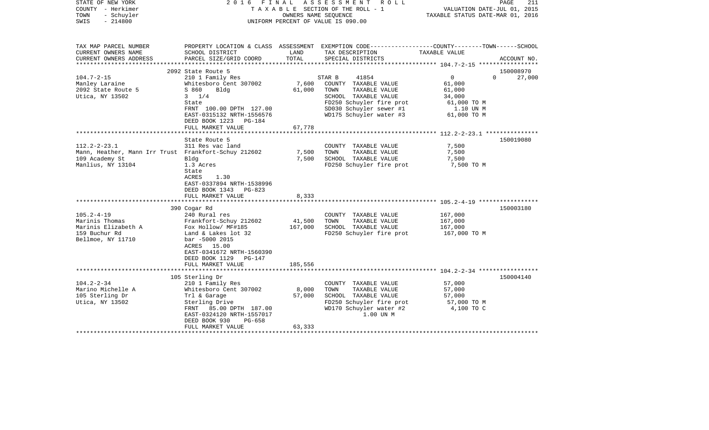| STATE OF NEW YORK<br>COUNTY - Herkimer<br>TOWN<br>- Schuyler<br>$-214800$<br>SWIS                                 |                                                                                                                                                                                     | OWNERS NAME SEOUENCE      | 2016 FINAL ASSESSMENT ROLL<br>TAXABLE SECTION OF THE ROLL - 1<br>UNIFORM PERCENT OF VALUE IS 090.00                                       | VALUATION DATE-JUL 01, 2015<br>TAXABLE STATUS DATE-MAR 01, 2016 | PAGE<br>211 |
|-------------------------------------------------------------------------------------------------------------------|-------------------------------------------------------------------------------------------------------------------------------------------------------------------------------------|---------------------------|-------------------------------------------------------------------------------------------------------------------------------------------|-----------------------------------------------------------------|-------------|
| TAX MAP PARCEL NUMBER<br>CURRENT OWNERS NAME<br>CURRENT OWNERS ADDRESS                                            | SCHOOL DISTRICT<br>PARCEL SIZE/GRID COORD                                                                                                                                           | LAND<br>TOTAL             | PROPERTY LOCATION & CLASS ASSESSMENT EXEMPTION CODE---------------COUNTY-------TOWN-----SCHOOL<br>TAX DESCRIPTION<br>SPECIAL DISTRICTS    | TAXABLE VALUE                                                   | ACCOUNT NO. |
| ***********************                                                                                           |                                                                                                                                                                                     |                           |                                                                                                                                           |                                                                 |             |
|                                                                                                                   | 2092 State Route 5                                                                                                                                                                  |                           |                                                                                                                                           |                                                                 | 150008970   |
| $104.7 - 2 - 15$<br>Manley Laraine<br>2092 State Route 5<br>Utica, NY 13502                                       | 210 1 Family Res<br>Whitesboro Cent 307002<br>S 860<br>Bldg<br>$3 \t1/4$<br>State                                                                                                   | 7,600<br>61,000           | STAR B<br>41854<br>COUNTY TAXABLE VALUE<br>TOWN<br>TAXABLE VALUE<br>SCHOOL TAXABLE VALUE<br>FD250 Schuyler fire prot                      | 0<br>$\mathbf{0}$<br>61,000<br>61,000<br>34,000<br>61,000 TO M  | 27,000      |
|                                                                                                                   | FRNT 100.00 DPTH 127.00<br>EAST-0315132 NRTH-1556576<br>DEED BOOK 1223<br>PG-184<br>FULL MARKET VALUE                                                                               | 67,778                    | SD030 Schuyler sewer #1<br>WD175 Schuyler water #3                                                                                        | 1.10 UN M<br>61,000 TO M                                        |             |
|                                                                                                                   |                                                                                                                                                                                     |                           |                                                                                                                                           |                                                                 |             |
| $112.2 - 2 - 23.1$<br>Mann, Heather, Mann Irr Trust Frankfort-Schuy 212602<br>109 Academy St<br>Manlius, NY 13104 | State Route 5<br>311 Res vac land<br>Bldg<br>1.3 Acres<br>State<br>1.30<br>ACRES<br>EAST-0337894 NRTH-1538996<br>DEED BOOK 1343 PG-823                                              | 7,500<br>7,500            | COUNTY TAXABLE VALUE<br>TOWN<br>TAXABLE VALUE<br>SCHOOL TAXABLE VALUE<br>FD250 Schuyler fire prot                                         | 7,500<br>7,500<br>7,500<br>7,500 TO M                           | 150019080   |
|                                                                                                                   | FULL MARKET VALUE                                                                                                                                                                   | 8,333                     |                                                                                                                                           |                                                                 |             |
|                                                                                                                   | 390 Cogar Rd                                                                                                                                                                        |                           |                                                                                                                                           |                                                                 | 150003180   |
| $105.2 - 4 - 19$<br>Marinis Thomas<br>Marinis Elizabeth A<br>159 Buchur Rd<br>Bellmoe, NY 11710                   | 240 Rural res<br>Frankfort-Schuy 212602<br>Fox Hollow/ MF#185<br>Land & Lakes lot 32<br>bar -5000 2015<br>ACRES 15.00<br>EAST-0341672 NRTH-1560390<br>DEED BOOK 1129 PG-147         | 41,500<br>167,000         | COUNTY TAXABLE VALUE<br>TOWN<br>TAXABLE VALUE<br>SCHOOL TAXABLE VALUE<br>FD250 Schuyler fire prot                                         | 167,000<br>167,000<br>167,000<br>167,000 TO M                   |             |
|                                                                                                                   | FULL MARKET VALUE                                                                                                                                                                   | 185,556                   |                                                                                                                                           |                                                                 |             |
|                                                                                                                   | 105 Sterling Dr                                                                                                                                                                     |                           |                                                                                                                                           |                                                                 | 150004140   |
| $104.2 - 2 - 34$<br>Marino Michelle A<br>105 Sterling Dr<br>Utica, NY 13502                                       | 210 1 Family Res<br>Whitesboro Cent 307002<br>Trl & Garage<br>Sterling Drive<br>FRNT 85.00 DPTH 187.00<br>EAST-0324120 NRTH-1557017<br>DEED BOOK 930<br>PG-658<br>FULL MARKET VALUE | 8,000<br>57,000<br>63,333 | COUNTY TAXABLE VALUE<br>TOWN<br>TAXABLE VALUE<br>SCHOOL TAXABLE VALUE<br>FD250 Schuyler fire prot<br>WD170 Schuyler water #2<br>1.00 UN M | 57,000<br>57,000<br>57,000<br>57,000 TO M<br>4,100 TO C         |             |
|                                                                                                                   |                                                                                                                                                                                     |                           |                                                                                                                                           |                                                                 |             |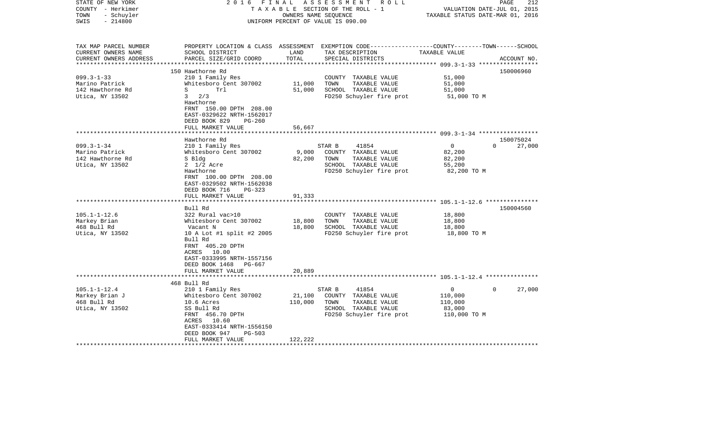| STATE OF NEW YORK<br>COUNTY - Herkimer<br>- Schuyler<br>TOWN<br>$-214800$<br>SWIS | 2 0 1 6<br>FINAL                           | OWNERS NAME SEQUENCE | ASSESSMENT ROLL<br>TAXABLE SECTION OF THE ROLL - 1<br>UNIFORM PERCENT OF VALUE IS 090.00                                                | VALUATION DATE-JUL 01, 2015<br>TAXABLE STATUS DATE-MAR 01, 2016 | 212<br>PAGE                     |
|-----------------------------------------------------------------------------------|--------------------------------------------|----------------------|-----------------------------------------------------------------------------------------------------------------------------------------|-----------------------------------------------------------------|---------------------------------|
| TAX MAP PARCEL NUMBER<br>CURRENT OWNERS NAME<br>CURRENT OWNERS ADDRESS            | SCHOOL DISTRICT<br>PARCEL SIZE/GRID COORD  | LAND<br>TOTAL        | PROPERTY LOCATION & CLASS ASSESSMENT EXEMPTION CODE---------------COUNTY-------TOWN------SCHOOL<br>TAX DESCRIPTION<br>SPECIAL DISTRICTS | TAXABLE VALUE                                                   | ACCOUNT NO.                     |
| ***********************                                                           |                                            |                      |                                                                                                                                         |                                                                 |                                 |
|                                                                                   | 150 Hawthorne Rd                           |                      |                                                                                                                                         |                                                                 | 150006960                       |
| $099.3 - 1 - 33$                                                                  | 210 1 Family Res                           |                      | COUNTY TAXABLE VALUE                                                                                                                    | 51,000                                                          |                                 |
| Marino Patrick<br>142 Hawthorne Rd                                                | Whitesboro Cent 307002<br>S<br>Trl         | 11,000<br>51,000     | TOWN<br>TAXABLE VALUE<br>SCHOOL TAXABLE VALUE                                                                                           | 51,000<br>51,000                                                |                                 |
| Utica, NY 13502                                                                   | $3 \frac{2}{3}$                            |                      | FD250 Schuyler fire prot                                                                                                                | 51,000 TO M                                                     |                                 |
|                                                                                   | Hawthorne                                  |                      |                                                                                                                                         |                                                                 |                                 |
|                                                                                   | FRNT 150.00 DPTH 208.00                    |                      |                                                                                                                                         |                                                                 |                                 |
|                                                                                   | EAST-0329622 NRTH-1562017                  |                      |                                                                                                                                         |                                                                 |                                 |
|                                                                                   | DEED BOOK 829<br>$PG-260$                  |                      |                                                                                                                                         |                                                                 |                                 |
|                                                                                   | FULL MARKET VALUE                          | 56,667               |                                                                                                                                         |                                                                 |                                 |
|                                                                                   |                                            |                      |                                                                                                                                         |                                                                 |                                 |
| $099.3 - 1 - 34$                                                                  | Hawthorne Rd                               |                      | STAR B<br>41854                                                                                                                         | $\Omega$                                                        | 150075024<br>$\Omega$<br>27,000 |
| Marino Patrick                                                                    | 210 1 Family Res<br>Whitesboro Cent 307002 | 9,000                | COUNTY TAXABLE VALUE                                                                                                                    | 82,200                                                          |                                 |
| 142 Hawthorne Rd                                                                  | S Bldg                                     | 82,200               | TOWN<br>TAXABLE VALUE                                                                                                                   | 82,200                                                          |                                 |
| Utica, NY 13502                                                                   | $2 \frac{1}{2}$ Acre                       |                      | SCHOOL TAXABLE VALUE                                                                                                                    | 55,200                                                          |                                 |
|                                                                                   | Hawthorne                                  |                      | FD250 Schuyler fire prot                                                                                                                | 82,200 TO M                                                     |                                 |
|                                                                                   | FRNT 100.00 DPTH 208.00                    |                      |                                                                                                                                         |                                                                 |                                 |
|                                                                                   | EAST-0329502 NRTH-1562038                  |                      |                                                                                                                                         |                                                                 |                                 |
|                                                                                   | DEED BOOK 716<br>$PG-323$                  |                      |                                                                                                                                         |                                                                 |                                 |
|                                                                                   | FULL MARKET VALUE<br>******************    | 91,333               |                                                                                                                                         | ************************** 105.1-1-12.6 ***************         |                                 |
|                                                                                   | Bull Rd                                    |                      |                                                                                                                                         |                                                                 | 150004560                       |
| $105.1 - 1 - 12.6$                                                                | 322 Rural vac>10                           |                      | COUNTY TAXABLE VALUE                                                                                                                    | 18,800                                                          |                                 |
| Markey Brian                                                                      | Whitesboro Cent 307002                     | 18,800               | TOWN<br>TAXABLE VALUE                                                                                                                   | 18,800                                                          |                                 |
| 468 Bull Rd                                                                       | Vacant N                                   | 18,800               | SCHOOL TAXABLE VALUE                                                                                                                    | 18,800                                                          |                                 |
| Utica, NY 13502                                                                   | 10 A Lot #1 split #2 2005                  |                      | FD250 Schuyler fire prot                                                                                                                | 18,800 TO M                                                     |                                 |
|                                                                                   | Bull Rd                                    |                      |                                                                                                                                         |                                                                 |                                 |
|                                                                                   | FRNT 405.20 DPTH                           |                      |                                                                                                                                         |                                                                 |                                 |
|                                                                                   | ACRES 10.00                                |                      |                                                                                                                                         |                                                                 |                                 |
|                                                                                   | EAST-0333995 NRTH-1557156<br>PG-667        |                      |                                                                                                                                         |                                                                 |                                 |
|                                                                                   | DEED BOOK 1468<br>FULL MARKET VALUE        | 20,889               |                                                                                                                                         |                                                                 |                                 |
|                                                                                   |                                            |                      |                                                                                                                                         |                                                                 |                                 |
|                                                                                   | 468 Bull Rd                                |                      |                                                                                                                                         |                                                                 |                                 |
| $105.1 - 1 - 12.4$                                                                | 210 1 Family Res                           |                      | 41854<br>STAR B                                                                                                                         | $\overline{0}$                                                  | 27,000<br>$\Omega$              |
| Markey Brian J                                                                    | Whitesboro Cent 307002                     | 21,100               | COUNTY TAXABLE VALUE                                                                                                                    | 110,000                                                         |                                 |
| 468 Bull Rd                                                                       | 10.6 Acres                                 | 110,000              | TOWN<br>TAXABLE VALUE                                                                                                                   | 110,000                                                         |                                 |
| Utica, NY 13502                                                                   | SS Bull Rd                                 |                      | SCHOOL TAXABLE VALUE                                                                                                                    | 83,000                                                          |                                 |
|                                                                                   | FRNT 456.70 DPTH                           |                      | FD250 Schuyler fire prot                                                                                                                | 110,000 TO M                                                    |                                 |
|                                                                                   | ACRES 10.60<br>EAST-0333414 NRTH-1556150   |                      |                                                                                                                                         |                                                                 |                                 |
|                                                                                   | DEED BOOK 947<br><b>PG-503</b>             |                      |                                                                                                                                         |                                                                 |                                 |
|                                                                                   | FULL MARKET VALUE                          | 122,222              |                                                                                                                                         |                                                                 |                                 |
|                                                                                   |                                            |                      |                                                                                                                                         |                                                                 |                                 |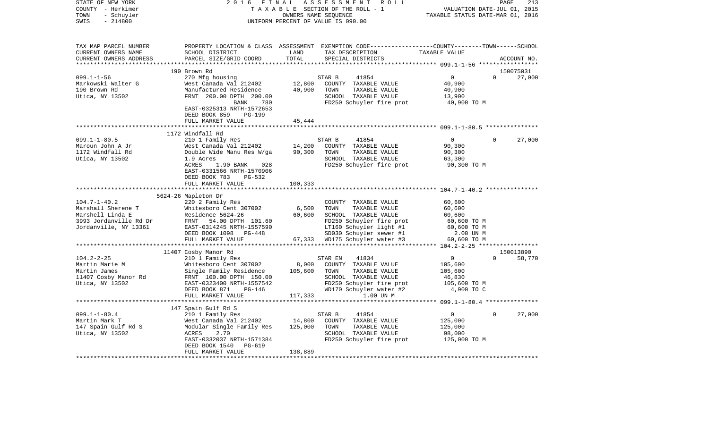| STATE OF NEW YORK<br>COUNTY - Herkimer<br>- Schuyler<br>TOWN<br>SWIS<br>$-214800$                               | 2 0 1 6<br>FINAL                                                                                                                                                                 |                                  | ASSESSMENT<br>R O L L<br>TAXABLE SECTION OF THE ROLL - 1<br>OWNERS NAME SEQUENCE<br>UNIFORM PERCENT OF VALUE IS 090.00                                                             | VALUATION DATE-JUL 01, 2015<br>TAXABLE STATUS DATE-MAR 01, 2016                      | PAGE     | 213                 |
|-----------------------------------------------------------------------------------------------------------------|----------------------------------------------------------------------------------------------------------------------------------------------------------------------------------|----------------------------------|------------------------------------------------------------------------------------------------------------------------------------------------------------------------------------|--------------------------------------------------------------------------------------|----------|---------------------|
| TAX MAP PARCEL NUMBER<br>CURRENT OWNERS NAME<br>CURRENT OWNERS ADDRESS<br>***********************               | SCHOOL DISTRICT<br>PARCEL SIZE/GRID COORD                                                                                                                                        | LAND<br>TOTAL                    | PROPERTY LOCATION & CLASS ASSESSMENT EXEMPTION CODE----------------COUNTY-------TOWN------SCHOOL<br>TAX DESCRIPTION<br>SPECIAL DISTRICTS                                           | TAXABLE VALUE                                                                        |          | ACCOUNT NO.         |
|                                                                                                                 | 190 Brown Rd                                                                                                                                                                     |                                  |                                                                                                                                                                                    |                                                                                      |          | 150075031           |
| $099.1 - 1 - 56$<br>Markowski Walter G<br>190 Brown Rd<br>Utica, NY 13502                                       | 270 Mfg housing<br>West Canada Val 212402<br>Manufactured Residence<br>FRNT 200.00 DPTH 200.00<br>BANK<br>780<br>EAST-0325313 NRTH-1572653                                       | 12,800<br>40,900                 | 41854<br>STAR B<br>COUNTY TAXABLE VALUE<br>TOWN<br>TAXABLE VALUE<br>SCHOOL TAXABLE VALUE<br>FD250 Schuyler fire prot                                                               | $\mathbf 0$<br>40,900<br>40,900<br>13,900<br>40,900 TO M                             | $\Omega$ | 27,000              |
|                                                                                                                 | DEED BOOK 859<br>PG-199                                                                                                                                                          |                                  |                                                                                                                                                                                    |                                                                                      |          |                     |
|                                                                                                                 | FULL MARKET VALUE                                                                                                                                                                | 45,444                           |                                                                                                                                                                                    |                                                                                      |          |                     |
|                                                                                                                 |                                                                                                                                                                                  |                                  |                                                                                                                                                                                    |                                                                                      |          |                     |
| $099.1 - 1 - 80.5$<br>Maroun John A Jr<br>1172 Windfall Rd<br>Utica, NY 13502                                   | 1172 Windfall Rd<br>210 1 Family Res<br>West Canada Val 212402<br>Double Wide Manu Res W/ga<br>1.9 Acres                                                                         | 14,200<br>90,300                 | STAR B<br>41854<br>COUNTY TAXABLE VALUE<br>TOWN<br>TAXABLE VALUE<br>SCHOOL TAXABLE VALUE                                                                                           | $\overline{0}$<br>90,300<br>90,300<br>63,300                                         | $\Omega$ | 27,000              |
|                                                                                                                 | ACRES<br>1.90 BANK<br>028<br>EAST-0331566 NRTH-1570906<br>DEED BOOK 783<br>PG-532<br>FULL MARKET VALUE                                                                           | 100,333                          | FD250 Schuyler fire prot                                                                                                                                                           | 90,300 TO M                                                                          |          |                     |
|                                                                                                                 | 5624-26 Mapleton Dr                                                                                                                                                              |                                  |                                                                                                                                                                                    |                                                                                      |          |                     |
| $104.7 - 1 - 40.2$<br>Marshall Sherene T<br>Marshell Linda E<br>3993 Jordanville Rd Dr<br>Jordanville, NY 13361 | 220 2 Family Res<br>Whitesboro Cent 307002<br>Residence 5624-26<br>FRNT 54.00 DPTH 101.60<br>EAST-0314245 NRTH-1557590<br>DEED BOOK 1098<br>PG-448<br>FULL MARKET VALUE          | 6,500<br>60,600<br>67,333        | COUNTY TAXABLE VALUE<br>TOWN<br>TAXABLE VALUE<br>SCHOOL TAXABLE VALUE<br>FD250 Schuyler fire prot<br>LT160 Schuyler light #1<br>SD030 Schuyler sewer #1<br>WD175 Schuyler water #3 | 60,600<br>60,600<br>60,600<br>60,600 TO M<br>60,600 TO M<br>2.00 UN M<br>60,600 TO M |          |                     |
|                                                                                                                 |                                                                                                                                                                                  | * * * * * * * * * * *            |                                                                                                                                                                                    |                                                                                      |          |                     |
| $104.2 - 2 - 25$<br>Martin Marie M<br>Martin James<br>11407 Cosby Manor Rd<br>Utica, NY 13502                   | 11407 Cosby Manor Rd<br>210 1 Family Res<br>Whitesboro Cent 307002<br>Single Family Residence<br>FRNT 100.00 DPTH 150.00<br>EAST-0323400 NRTH-1557542<br>DEED BOOK 871<br>PG-146 | 8,000<br>105,600                 | 41834<br>STAR EN<br>COUNTY TAXABLE VALUE<br>TOWN<br>TAXABLE VALUE<br>SCHOOL TAXABLE VALUE<br>FD250 Schuyler fire prot<br>WD170 Schuyler water #2                                   | $\mathbf 0$<br>105,600<br>105,600<br>46,830<br>105,600 TO M<br>4,900 TO C            | $\Omega$ | 150013890<br>58,770 |
|                                                                                                                 | FULL MARKET VALUE                                                                                                                                                                | 117,333                          | 1.00 UN M                                                                                                                                                                          |                                                                                      |          |                     |
|                                                                                                                 |                                                                                                                                                                                  |                                  |                                                                                                                                                                                    |                                                                                      |          |                     |
| $099.1 - 1 - 80.4$<br>Martin Mark T<br>147 Spain Gulf Rd S<br>Utica, NY 13502                                   | 147 Spain Gulf Rd S<br>210 1 Family Res<br>West Canada Val 212402<br>Modular Single Family Res<br>2.70<br>ACRES<br>EAST-0332037 NRTH-1571384<br>DEED BOOK 1540<br>PG-619         | 14,800<br>125,000                | 41854<br>STAR B<br>COUNTY TAXABLE VALUE<br>TOWN<br>TAXABLE VALUE<br>SCHOOL TAXABLE VALUE<br>FD250 Schuyler fire prot                                                               | $\mathbf 0$<br>125,000<br>125,000<br>98,000<br>125,000 TO M                          | $\Omega$ | 27,000              |
|                                                                                                                 | FULL MARKET VALUE                                                                                                                                                                | 138,889<br>********************* |                                                                                                                                                                                    |                                                                                      |          |                     |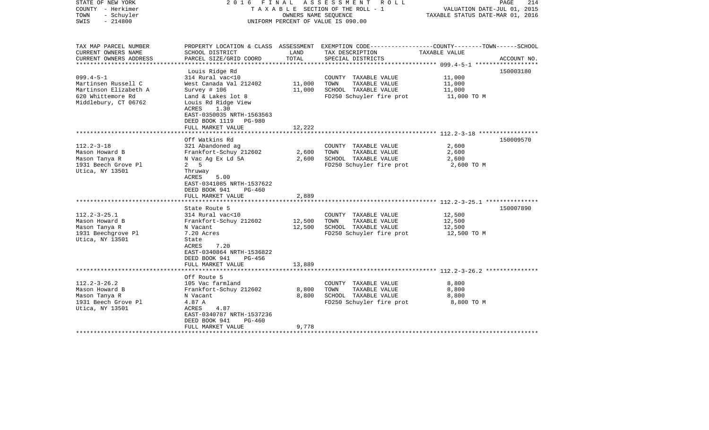| STATE OF NEW YORK<br>COUNTY - Herkimer<br>TOWN<br>- Schuyler<br>$-214800$<br>SWIS                            | 2016 FINAL                                                                                                                                                                                                              | OWNERS NAME SEQUENCE       | A S S E S S M E N T R O L L<br>TAXABLE SECTION OF THE ROLL - 1<br>UNIFORM PERCENT OF VALUE IS 090.00                                     | VALUATION DATE-JUL 01, 2015<br>TAXABLE STATUS DATE-MAR 01, 2016 | 214<br>PAGE |
|--------------------------------------------------------------------------------------------------------------|-------------------------------------------------------------------------------------------------------------------------------------------------------------------------------------------------------------------------|----------------------------|------------------------------------------------------------------------------------------------------------------------------------------|-----------------------------------------------------------------|-------------|
| TAX MAP PARCEL NUMBER<br>CURRENT OWNERS NAME<br>CURRENT OWNERS ADDRESS<br>**********************             | SCHOOL DISTRICT<br>PARCEL SIZE/GRID COORD                                                                                                                                                                               | LAND<br>TOTAL              | PROPERTY LOCATION & CLASS ASSESSMENT EXEMPTION CODE----------------COUNTY-------TOWN------SCHOOL<br>TAX DESCRIPTION<br>SPECIAL DISTRICTS | TAXABLE VALUE                                                   | ACCOUNT NO. |
| $099.4 - 5 - 1$<br>Martinsen Russell C<br>Martinson Elizabeth A<br>620 Whittemore Rd<br>Middlebury, CT 06762 | Louis Ridge Rd<br>314 Rural vac<10<br>West Canada Val 212402<br>Survey $# 106$<br>Land & Lakes lot 8<br>Louis Rd Ridge View<br>ACRES<br>1.30<br>EAST-0350035 NRTH-1563563<br>DEED BOOK 1119 PG-980<br>FULL MARKET VALUE | 11,000<br>11,000<br>12,222 | COUNTY TAXABLE VALUE<br>TOWN<br>TAXABLE VALUE<br>SCHOOL TAXABLE VALUE<br>FD250 Schuyler fire prot                                        | 11,000<br>11,000<br>11,000<br>11,000 TO M                       | 150003180   |
|                                                                                                              | ********************                                                                                                                                                                                                    | **********                 |                                                                                                                                          |                                                                 |             |
| $112.2 - 3 - 18$<br>Mason Howard B<br>Mason Tanya R<br>1931 Beech Grove Pl<br>Utica, NY 13501                | Off Watkins Rd<br>321 Abandoned ag<br>Frankfort-Schuy 212602<br>N Vac Ag Ex Ld 5A<br>5<br>2<br>Thruway<br>ACRES<br>5.00<br>EAST-0341085 NRTH-1537622<br>DEED BOOK 941<br>PG-460                                         | 2,600<br>2,600             | COUNTY TAXABLE VALUE<br>TOWN<br>TAXABLE VALUE<br>SCHOOL TAXABLE VALUE<br>FD250 Schuyler fire prot                                        | 2,600<br>2,600<br>2,600<br>2,600 TO M                           | 150009570   |
|                                                                                                              | FULL MARKET VALUE<br>********************                                                                                                                                                                               | 2,889<br>************      |                                                                                                                                          | ******************************* 112.2-3-25.1 ***************    |             |
| $112.2 - 3 - 25.1$<br>Mason Howard B<br>Mason Tanya R<br>1931 Beechgrove Pl<br>Utica, NY 13501               | State Route 5<br>314 Rural vac<10<br>Frankfort-Schuy 212602<br>N Vacant<br>7.20 Acres<br>State<br>ACRES<br>7.20<br>EAST-0340864 NRTH-1536822<br>DEED BOOK 941<br>PG-456<br>FULL MARKET VALUE                            | 12,500<br>12,500<br>13,889 | COUNTY TAXABLE VALUE<br>TOWN<br>TAXABLE VALUE<br>SCHOOL TAXABLE VALUE<br>FD250 Schuyler fire prot                                        | 12,500<br>12,500<br>12,500<br>12,500 TO M                       | 150007890   |
|                                                                                                              |                                                                                                                                                                                                                         |                            |                                                                                                                                          |                                                                 |             |
| $112.2 - 3 - 26.2$<br>Mason Howard B<br>Mason Tanya R<br>1931 Beech Grove Pl<br>Utica, NY 13501              | Off Route 5<br>105 Vac farmland<br>Frankfort-Schuy 212602<br>N Vacant<br>4.87 A<br>ACRES<br>4.87<br>EAST-0340787 NRTH-1537236<br>DEED BOOK 941<br>PG-460<br>FULL MARKET VALUE                                           | 8,800<br>8,800<br>9,778    | COUNTY TAXABLE VALUE<br>TOWN<br>TAXABLE VALUE<br>SCHOOL TAXABLE VALUE<br>FD250 Schuyler fire prot                                        | 8,800<br>8,800<br>8,800<br>8,800 TO M                           |             |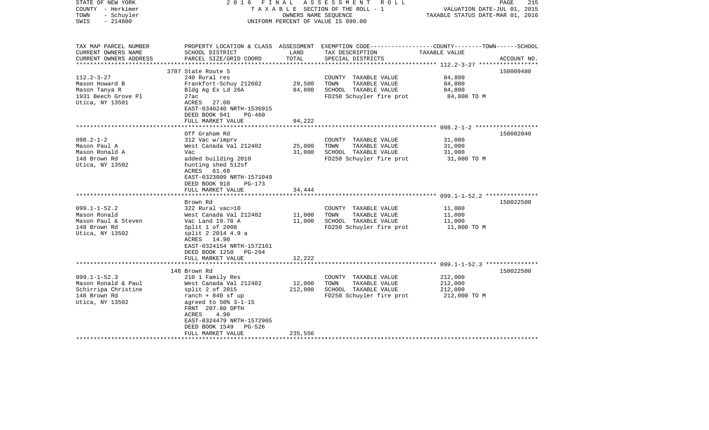| STATE OF NEW YORK<br>COUNTY - Herkimer<br>- Schuyler<br>TOWN<br>$-214800$<br>SWIS                   | 2016 FINAL                                                                                                                                                                                                                   | OWNERS NAME SEOUENCE       | ASSESSMENT<br>R O L L<br>TAXABLE SECTION OF THE ROLL - 1<br>UNIFORM PERCENT OF VALUE IS 090.00                                          | VALUATION DATE-JUL 01, 2015<br>TAXABLE STATUS DATE-MAR 01, 2016 | PAGE<br>215 |
|-----------------------------------------------------------------------------------------------------|------------------------------------------------------------------------------------------------------------------------------------------------------------------------------------------------------------------------------|----------------------------|-----------------------------------------------------------------------------------------------------------------------------------------|-----------------------------------------------------------------|-------------|
| TAX MAP PARCEL NUMBER<br>CURRENT OWNERS NAME<br>CURRENT OWNERS ADDRESS<br>**********************    | SCHOOL DISTRICT<br>PARCEL SIZE/GRID COORD                                                                                                                                                                                    | LAND<br>TOTAL              | PROPERTY LOCATION & CLASS ASSESSMENT EXEMPTION CODE---------------COUNTY-------TOWN------SCHOOL<br>TAX DESCRIPTION<br>SPECIAL DISTRICTS | TAXABLE VALUE                                                   | ACCOUNT NO. |
|                                                                                                     | 3707 State Route 5                                                                                                                                                                                                           |                            |                                                                                                                                         |                                                                 | 150009480   |
| $112.2 - 3 - 27$<br>Mason Howard B<br>Mason Tanya R<br>1931 Beech Grove Pl<br>Utica, NY 13501       | 240 Rural res<br>Frankfort-Schuy 212602<br>Bldg Ag Ex Ld 26A<br>27ac<br>ACRES 27.00<br>EAST-0340240 NRTH-1536915<br>DEED BOOK 941<br>$PG-460$                                                                                | 29,500<br>84,800           | COUNTY TAXABLE VALUE<br>TOWN<br>TAXABLE VALUE<br>SCHOOL TAXABLE VALUE<br>FD250 Schuyler fire prot                                       | 84,800<br>84,800<br>84,800<br>84,800 TO M                       |             |
| 94,222<br>FULL MARKET VALUE                                                                         |                                                                                                                                                                                                                              |                            |                                                                                                                                         |                                                                 |             |
|                                                                                                     | Off Graham Rd                                                                                                                                                                                                                |                            |                                                                                                                                         |                                                                 | 150002040   |
| $098.2 - 1 - 2$<br>Mason Paul A<br>Mason Ronald A<br>148 Brown Rd<br>Utica, NY 13502                | 312 Vac w/imprv<br>West Canada Val 212402<br>Vac<br>added building 2010<br>hunting shed 512sf<br>ACRES 61.60<br>EAST-0323009 NRTH-1571049<br>DEED BOOK 918<br>PG-173                                                         | 25,000<br>31,000           | COUNTY TAXABLE VALUE<br>TOWN<br>TAXABLE VALUE<br>SCHOOL TAXABLE VALUE<br>FD250 Schuyler fire prot                                       | 31,000<br>31,000<br>31,000<br>31,000 TO M                       |             |
|                                                                                                     | FULL MARKET VALUE<br>************************                                                                                                                                                                                | 34,444                     |                                                                                                                                         |                                                                 |             |
| $099.1 - 1 - 52.2$<br>Mason Ronald<br>Mason Paul & Steven<br>148 Brown Rd<br>Utica, NY 13502        | Brown Rd<br>322 Rural vac>10<br>West Canada Val 212402<br>Vac Land 19.78 A<br>Split $1$ of 2008<br>split 2 2014 4.9 a<br>ACRES 14.90<br>EAST-0324154 NRTH-1572161<br>DEED BOOK 1250 PG-294<br>FULL MARKET VALUE              | 11,000<br>11,000<br>12,222 | COUNTY TAXABLE VALUE<br>TOWN<br>TAXABLE VALUE<br>SCHOOL TAXABLE VALUE<br>FD250 Schuyler fire prot                                       | 11,000<br>11,000<br>11,000<br>11,000 TO M                       | 150022500   |
|                                                                                                     |                                                                                                                                                                                                                              |                            |                                                                                                                                         |                                                                 |             |
| $099.1 - 1 - 52.3$<br>Mason Ronald & Paul<br>Schirripa Christine<br>148 Brown Rd<br>Utica, NY 13502 | 148 Brown Rd<br>210 1 Family Res<br>West Canada Val 212402<br>$split$ 2 of 2015<br>ranch $+$ 840 sf up<br>agreed to 50% 3-1-15<br>FRNT 207.80 DPTH<br>ACRES<br>4.90<br>EAST-0324479 NRTH-1572905<br>DEED BOOK 1549<br>PG-526 | 12,000<br>212,000          | COUNTY TAXABLE VALUE<br>TOWN<br>TAXABLE VALUE<br>SCHOOL TAXABLE VALUE<br>FD250 Schuyler fire prot                                       | 212,000<br>212,000<br>212,000<br>212,000 TO M                   | 150022500   |
| ******************                                                                                  | FULL MARKET VALUE                                                                                                                                                                                                            | 235,556                    |                                                                                                                                         |                                                                 |             |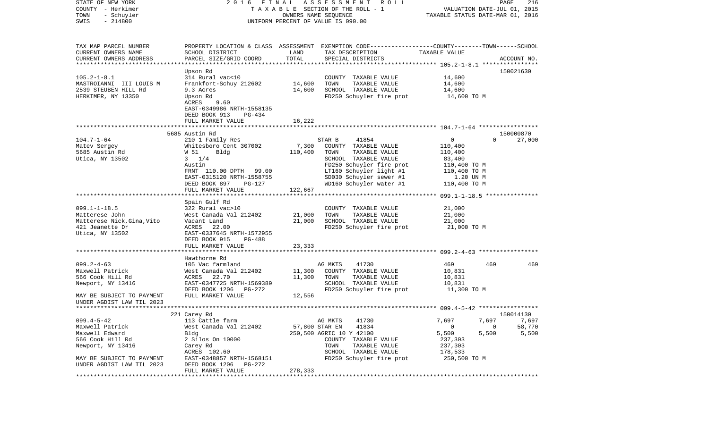| STATE OF NEW YORK<br>COUNTY - Herkimer | 2016 FINAL                                    |         | A S S E S S M E N T R O L L<br>T A X A B L E SECTION OF THE ROLL - 1                            | VALUATION DATE-JUL 01, 2015      |                      | PAGE<br>216 |
|----------------------------------------|-----------------------------------------------|---------|-------------------------------------------------------------------------------------------------|----------------------------------|----------------------|-------------|
| TOWN<br>- Schuyler                     |                                               |         | OWNERS NAME SEQUENCE                                                                            | TAXABLE STATUS DATE-MAR 01, 2016 |                      |             |
| $-214800$<br>SWIS                      |                                               |         | UNIFORM PERCENT OF VALUE IS 090.00                                                              |                                  |                      |             |
|                                        |                                               |         |                                                                                                 |                                  |                      |             |
| TAX MAP PARCEL NUMBER                  |                                               |         | PROPERTY LOCATION & CLASS ASSESSMENT EXEMPTION CODE---------------COUNTY-------TOWN------SCHOOL |                                  |                      |             |
| CURRENT OWNERS NAME                    | SCHOOL DISTRICT                               | LAND    | TAX DESCRIPTION                                                                                 | TAXABLE VALUE                    |                      |             |
| CURRENT OWNERS ADDRESS                 | PARCEL SIZE/GRID COORD                        | TOTAL   | SPECIAL DISTRICTS                                                                               |                                  |                      | ACCOUNT NO. |
| **********************                 |                                               |         |                                                                                                 |                                  |                      |             |
|                                        | Upson Rd                                      |         |                                                                                                 |                                  |                      | 150021630   |
| $105.2 - 1 - 8.1$                      | 314 Rural vac<10                              |         | COUNTY TAXABLE VALUE                                                                            | 14,600                           |                      |             |
| MASTROIANNI III LOUIS M                | Frankfort-Schuy 212602                        | 14,600  | TOWN<br>TAXABLE VALUE                                                                           | 14,600                           |                      |             |
| 2539 STEUBEN HILL Rd                   | 9.3 Acres                                     | 14,600  | SCHOOL TAXABLE VALUE                                                                            | 14,600                           |                      |             |
| HERKIMER, NY 13350                     | Upson Rd                                      |         | FD250 Schuyler fire prot                                                                        | 14,600 TO M                      |                      |             |
|                                        | ACRES<br>9.60                                 |         |                                                                                                 |                                  |                      |             |
|                                        | EAST-0349986 NRTH-1558135                     |         |                                                                                                 |                                  |                      |             |
|                                        | DEED BOOK 913<br>PG-434                       |         |                                                                                                 |                                  |                      |             |
|                                        | FULL MARKET VALUE                             | 16,222  |                                                                                                 |                                  |                      |             |
|                                        |                                               |         |                                                                                                 |                                  |                      |             |
|                                        | 5685 Austin Rd                                |         |                                                                                                 |                                  |                      | 150000870   |
| $104.7 - 1 - 64$                       | 210 1 Family Res                              |         | 41854<br>STAR B                                                                                 | $\overline{0}$                   | $\Omega$             | 27,000      |
| Matev Sergey                           | Whitesboro Cent 307002                        | 7,300   | COUNTY TAXABLE VALUE                                                                            | 110,400                          |                      |             |
| 5685 Austin Rd                         | Bldg<br>W 51                                  | 110,400 | TOWN<br>TAXABLE VALUE                                                                           | 110,400                          |                      |             |
| Utica, NY 13502                        | $3 \frac{1}{4}$                               |         | SCHOOL TAXABLE VALUE                                                                            | 83,400                           |                      |             |
|                                        | Austin                                        |         | FD250 Schuyler fire prot                                                                        | 110,400 TO M                     |                      |             |
|                                        | FRNT 110.00 DPTH 99.00                        |         | LT160 Schuyler light #1                                                                         | 110,400 TO M                     |                      |             |
|                                        | EAST-0315120 NRTH-1558755                     |         | SD030 Schuyler sewer #1                                                                         | 1.20 UN M                        |                      |             |
|                                        | DEED BOOK 897<br>PG-127                       |         | WD160 Schuyler water #1                                                                         | 110,400 TO M                     |                      |             |
|                                        | FULL MARKET VALUE                             | 122,667 |                                                                                                 |                                  |                      |             |
|                                        |                                               |         |                                                                                                 |                                  |                      |             |
|                                        | Spain Gulf Rd                                 |         |                                                                                                 |                                  |                      |             |
| $099.1 - 1 - 18.5$                     | 322 Rural vac>10                              |         | COUNTY TAXABLE VALUE                                                                            | 21,000                           |                      |             |
| Matterese John                         | West Canada Val 212402                        | 21,000  | TAXABLE VALUE<br>TOWN                                                                           | 21,000                           |                      |             |
| Matterese Nick, Gina, Vito             | Vacant Land                                   | 21,000  | SCHOOL TAXABLE VALUE                                                                            | 21,000                           |                      |             |
| 421 Jeanette Dr                        | ACRES 22.00                                   |         | FD250 Schuyler fire prot                                                                        | 21,000 TO M                      |                      |             |
| Utica, NY 13502                        | EAST-0337645 NRTH-1572955                     |         |                                                                                                 |                                  |                      |             |
|                                        | DEED BOOK 915<br>PG-488                       |         |                                                                                                 |                                  |                      |             |
|                                        | FULL MARKET VALUE                             | 23,333  |                                                                                                 |                                  |                      |             |
|                                        | ************************                      |         |                                                                                                 |                                  |                      |             |
|                                        | Hawthorne Rd                                  |         |                                                                                                 |                                  |                      |             |
| $099.2 - 4 - 63$                       | 105 Vac farmland                              |         | AG MKTS<br>41730                                                                                | 469                              | 469                  | 469         |
| Maxwell Patrick                        | West Canada Val 212402                        | 11,300  | COUNTY TAXABLE VALUE                                                                            | 10,831                           |                      |             |
| 566 Cook Hill Rd                       | ACRES<br>22.70                                | 11,300  | TOWN<br>TAXABLE VALUE                                                                           | 10,831                           |                      |             |
| Newport, NY 13416                      | EAST-0347725 NRTH-1569389                     |         | SCHOOL TAXABLE VALUE                                                                            | 10,831                           |                      |             |
|                                        | DEED BOOK 1206 PG-272                         |         | FD250 Schuyler fire prot                                                                        | 11,300 TO M                      |                      |             |
| MAY BE SUBJECT TO PAYMENT              | FULL MARKET VALUE                             | 12,556  |                                                                                                 |                                  |                      |             |
| UNDER AGDIST LAW TIL 2023              |                                               |         |                                                                                                 |                                  |                      |             |
|                                        |                                               |         |                                                                                                 |                                  |                      |             |
|                                        | 221 Carey Rd                                  |         |                                                                                                 |                                  |                      | 150014130   |
| $099.4 - 5 - 42$<br>Maxwell Patrick    | 113 Cattle farm                               |         | AG MKTS<br>41730                                                                                | 7,697<br>0                       | 7,697<br>$\mathbf 0$ | 7,697       |
|                                        | West Canada Val 212402                        |         | 57,800 STAR EN<br>41834                                                                         |                                  |                      | 58,770      |
| Maxwell Edward                         | Bldg                                          |         | 250,500 AGRIC 10 Y 42100                                                                        | 5,500                            | 5,500                | 5,500       |
| 566 Cook Hill Rd                       | 2 Silos On 10000                              |         | COUNTY TAXABLE VALUE                                                                            | 237,303                          |                      |             |
| Newport, NY 13416                      | Carey Rd                                      |         | TAXABLE VALUE<br>TOWN                                                                           | 237,303                          |                      |             |
|                                        | ACRES 102.60                                  |         | SCHOOL TAXABLE VALUE                                                                            | 178,533                          |                      |             |
| MAY BE SUBJECT TO PAYMENT              | EAST-0348857 NRTH-1568151                     |         | FD250 Schuyler fire prot                                                                        | 250,500 TO M                     |                      |             |
| UNDER AGDIST LAW TIL 2023              | DEED BOOK 1206<br>PG-272<br>FULL MARKET VALUE | 278,333 |                                                                                                 |                                  |                      |             |
|                                        |                                               |         |                                                                                                 |                                  |                      |             |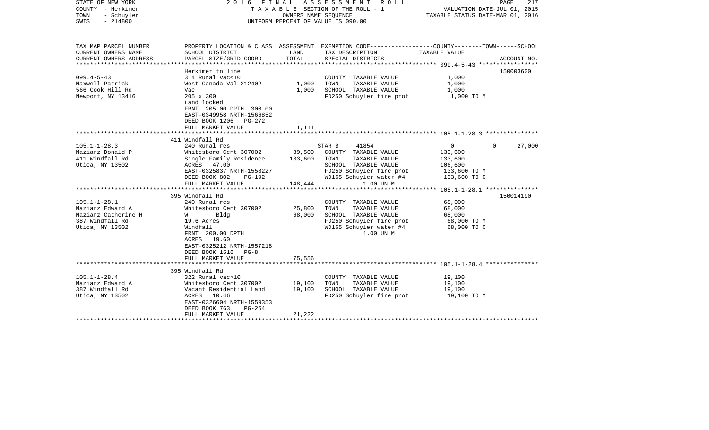| STATE OF NEW YORK<br>COUNTY - Herkimer<br>TOWN<br>- Schuyler<br>$-214800$<br>SWIS                                                                                                   |                                                                                                                                                                                                                                                                                                                                                                                                    | OWNERS NAME SEQUENCE                                       | 2016 FINAL ASSESSMENT<br>R O L L<br>TAXABLE SECTION OF THE ROLL - 1<br>UNIFORM PERCENT OF VALUE IS 090.00                                                                                                                                                                                                 | VALUATION DATE-JUL 01, 2015<br>TAXABLE STATUS DATE-MAR 01, 2016                                                                                          | PAGE<br>217         |
|-------------------------------------------------------------------------------------------------------------------------------------------------------------------------------------|----------------------------------------------------------------------------------------------------------------------------------------------------------------------------------------------------------------------------------------------------------------------------------------------------------------------------------------------------------------------------------------------------|------------------------------------------------------------|-----------------------------------------------------------------------------------------------------------------------------------------------------------------------------------------------------------------------------------------------------------------------------------------------------------|----------------------------------------------------------------------------------------------------------------------------------------------------------|---------------------|
| TAX MAP PARCEL NUMBER<br>CURRENT OWNERS NAME<br>CURRENT OWNERS ADDRESS<br>***********************                                                                                   | SCHOOL DISTRICT<br>PARCEL SIZE/GRID COORD                                                                                                                                                                                                                                                                                                                                                          | LAND<br>TOTAL                                              | PROPERTY LOCATION & CLASS ASSESSMENT EXEMPTION CODE---------------COUNTY-------TOWN-----SCHOOL<br>TAX DESCRIPTION<br>SPECIAL DISTRICTS                                                                                                                                                                    | TAXABLE VALUE                                                                                                                                            | ACCOUNT NO.         |
| $099.4 - 5 - 43$<br>Maxwell Patrick<br>566 Cook Hill Rd<br>Newport, NY 13416                                                                                                        | Herkimer tn line<br>314 Rural vac<10<br>West Canada Val 212402<br>Vac<br>205 x 300<br>Land locked<br>FRNT 205.00 DPTH 300.00<br>EAST-0349958 NRTH-1566852<br>DEED BOOK 1206<br>PG-272<br>FULL MARKET VALUE                                                                                                                                                                                         | 1,000<br>1,000<br>1,111                                    | COUNTY TAXABLE VALUE<br>TOWN<br>TAXABLE VALUE<br>SCHOOL TAXABLE VALUE<br>FD250 Schuyler fire prot                                                                                                                                                                                                         | 1,000<br>1,000<br>1,000<br>1,000 TO M                                                                                                                    | 150003600           |
|                                                                                                                                                                                     |                                                                                                                                                                                                                                                                                                                                                                                                    |                                                            |                                                                                                                                                                                                                                                                                                           |                                                                                                                                                          |                     |
| $105.1 - 1 - 28.3$<br>Maziarz Donald P<br>411 Windfall Rd<br>Utica, NY 13502<br>$105.1 - 1 - 28.1$<br>Maziarz Edward A<br>Maziarz Catherine H<br>387 Windfall Rd<br>Utica, NY 13502 | 411 Windfall Rd<br>240 Rural res<br>Whitesboro Cent 307002<br>Single Family Residence<br>ACRES 47.00<br>EAST-0325837 NRTH-1558227<br>DEED BOOK 802<br>PG-192<br>FULL MARKET VALUE<br>395 Windfall Rd<br>240 Rural res<br>Whitesboro Cent 307002<br>Bldg<br>W<br>19.6 Acres<br>Windfall<br>FRNT 200.00 DPTH<br>ACRES 19.60<br>EAST-0325212 NRTH-1557218<br>DEED BOOK 1516 PG-8<br>FULL MARKET VALUE | 39,500<br>133,600<br>148,444<br>25,800<br>68,000<br>75,556 | 41854<br>STAR B<br>COUNTY TAXABLE VALUE<br>TOWN<br>TAXABLE VALUE<br>SCHOOL TAXABLE VALUE<br>FD250 Schuyler fire prot<br>WD165 Schuyler water #4<br>1.00 UN M<br>COUNTY TAXABLE VALUE<br>TAXABLE VALUE<br>TOWN<br>SCHOOL TAXABLE VALUE<br>FD250 Schuyler fire prot<br>WD165 Schuyler water #4<br>1.00 UN M | $\mathbf 0$<br>$\mathbf{0}$<br>133,600<br>133,600<br>106,600<br>133,600 TO M<br>133,600 TO C<br>68,000<br>68,000<br>68,000<br>68,000 TO M<br>68,000 TO C | 27,000<br>150014190 |
|                                                                                                                                                                                     | 395 Windfall Rd                                                                                                                                                                                                                                                                                                                                                                                    | ********                                                   |                                                                                                                                                                                                                                                                                                           | *********************************** 105.1-1-28.4 ****************                                                                                        |                     |
| $105.1 - 1 - 28.4$<br>Maziarz Edward A<br>387 Windfall Rd<br>Utica, NY 13502                                                                                                        | 322 Rural vac>10<br>Whitesboro Cent 307002<br>Vacant Residential Land<br>10.46<br>ACRES<br>EAST-0326604 NRTH-1559353<br>DEED BOOK 763<br>$PG-264$<br>FULL MARKET VALUE                                                                                                                                                                                                                             | 19,100<br>19,100<br>21,222                                 | COUNTY TAXABLE VALUE<br>TOWN<br>TAXABLE VALUE<br>SCHOOL TAXABLE VALUE<br>FD250 Schuyler fire prot                                                                                                                                                                                                         | 19,100<br>19,100<br>19,100<br>19,100 TO M                                                                                                                |                     |
|                                                                                                                                                                                     | *****************                                                                                                                                                                                                                                                                                                                                                                                  |                                                            |                                                                                                                                                                                                                                                                                                           |                                                                                                                                                          |                     |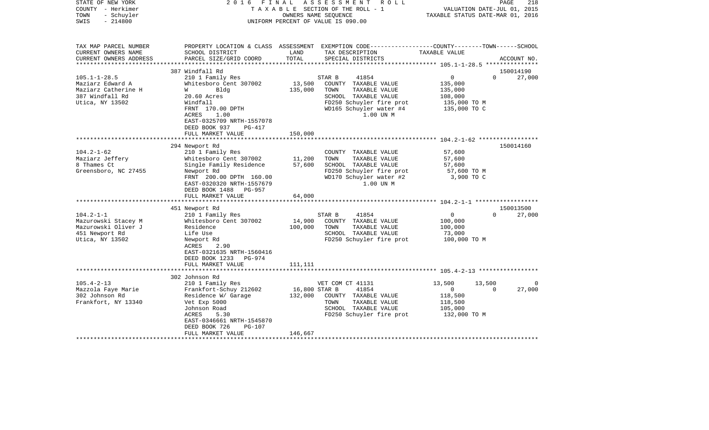| STATE OF NEW YORK<br>COUNTY - Herkimer<br>- Schuyler<br>TOWN<br>$-214800$<br>SWIS                   | 2016                                                                                                                                                                                                           | FINAL<br>OWNERS NAME SEOUENCE       | ASSESSMENT<br>R O L L<br>TAXABLE SECTION OF THE ROLL - 1<br>UNIFORM PERCENT OF VALUE IS 090.00                                                               | TAXABLE STATUS DATE-MAR 01, 2016                                              | 218<br>PAGE<br>VALUATION DATE-JUL 01, 2015 |
|-----------------------------------------------------------------------------------------------------|----------------------------------------------------------------------------------------------------------------------------------------------------------------------------------------------------------------|-------------------------------------|--------------------------------------------------------------------------------------------------------------------------------------------------------------|-------------------------------------------------------------------------------|--------------------------------------------|
| TAX MAP PARCEL NUMBER<br>CURRENT OWNERS NAME<br>CURRENT OWNERS ADDRESS                              | SCHOOL DISTRICT<br>PARCEL SIZE/GRID COORD                                                                                                                                                                      | LAND<br>TOTAL                       | PROPERTY LOCATION & CLASS ASSESSMENT EXEMPTION CODE---------------COUNTY-------TOWN------SCHOOL<br>TAX DESCRIPTION<br>SPECIAL DISTRICTS                      | TAXABLE VALUE                                                                 | ACCOUNT NO.                                |
|                                                                                                     |                                                                                                                                                                                                                | * * * * * * * * * * * * * *         |                                                                                                                                                              |                                                                               |                                            |
| $105.1 - 1 - 28.5$<br>Maziarz Edward A<br>Maziarz Catherine H<br>387 Windfall Rd<br>Utica, NY 13502 | 387 Windfall Rd<br>210 1 Family Res<br>Whitesboro Cent 307002<br>Bldg<br>W<br>20.60 Acres<br>Windfall<br>FRNT 170.00 DPTH<br>ACRES<br>1.00<br>EAST-0325709 NRTH-1557078<br>DEED BOOK 937<br>PG-417             | 13,500<br>135,000                   | STAR B<br>41854<br>COUNTY TAXABLE VALUE<br>TOWN<br>TAXABLE VALUE<br>SCHOOL TAXABLE VALUE<br>FD250 Schuyler fire prot<br>WD165 Schuyler water #4<br>1.00 UN M | $\mathsf{O}$<br>135,000<br>135,000<br>108,000<br>135,000 TO M<br>135,000 TO C | 150014190<br>$\Omega$<br>27,000            |
|                                                                                                     | FULL MARKET VALUE                                                                                                                                                                                              | 150,000                             |                                                                                                                                                              |                                                                               |                                            |
|                                                                                                     |                                                                                                                                                                                                                | **************                      |                                                                                                                                                              |                                                                               |                                            |
| $104.2 - 1 - 62$<br>Maziarz Jeffery<br>8 Thames Ct<br>Greensboro, NC 27455                          | 294 Newport Rd<br>210 1 Family Res<br>Whitesboro Cent 307002<br>Single Family Residence<br>Newport Rd<br>FRNT 200.00 DPTH 160.00<br>EAST-0320320 NRTH-1557679<br>DEED BOOK 1488<br>PG-957<br>FULL MARKET VALUE | 11,200<br>57,600<br>64,000          | COUNTY TAXABLE VALUE<br>TOWN<br>TAXABLE VALUE<br>SCHOOL TAXABLE VALUE<br>FD250 Schuyler fire prot<br>WD170 Schuyler water #2<br>1.00 UN M                    | 57,600<br>57,600<br>57,600<br>57,600 TO M<br>3,900 TO C                       | 150014160                                  |
|                                                                                                     |                                                                                                                                                                                                                |                                     |                                                                                                                                                              |                                                                               |                                            |
| $104.2 - 1 - 1$<br>Mazurowski Stacey M<br>Mazurowski Oliver J<br>451 Newport Rd<br>Utica, NY 13502  | 451 Newport Rd<br>210 1 Family Res<br>Whitesboro Cent 307002<br>Residence<br>Life Use<br>Newport Rd<br>ACRES<br>2.90<br>EAST-0321635 NRTH-1560416<br>DEED BOOK 1233<br>PG-974                                  | 14,900<br>100,000                   | STAR B<br>41854<br>COUNTY TAXABLE VALUE<br>TOWN<br>TAXABLE VALUE<br>SCHOOL TAXABLE VALUE<br>FD250 Schuyler fire prot                                         | $\mathbf 0$<br>100,000<br>100,000<br>73,000<br>100,000 TO M                   | 150013500<br>$\Omega$<br>27,000            |
|                                                                                                     | FULL MARKET VALUE<br>*********************                                                                                                                                                                     | 111,111                             |                                                                                                                                                              |                                                                               |                                            |
|                                                                                                     | 302 Johnson Rd                                                                                                                                                                                                 |                                     |                                                                                                                                                              |                                                                               |                                            |
| $105.4 - 2 - 13$<br>Mazzola Faye Marie<br>302 Johnson Rd<br>Frankfort, NY 13340                     | 210 1 Family Res<br>Frankfort-Schuy 212602<br>Residence W/ Garage<br>Vet Exp 5000<br>Johnson Road<br>5.30<br>ACRES<br>EAST-0346661 NRTH-1545870<br>DEED BOOK 726<br>$PG-107$<br>FULL MARKET VALUE              | 16,800 STAR B<br>132,000<br>146,667 | VET COM CT 41131<br>41854<br>COUNTY TAXABLE VALUE<br>TOWN<br>TAXABLE VALUE<br>SCHOOL TAXABLE VALUE<br>FD250 Schuyler fire prot                               | 13,500<br>$\mathbf{0}$<br>118,500<br>118,500<br>105,000<br>132,000 TO M       | 13,500<br>0<br>0<br>27,000                 |
|                                                                                                     |                                                                                                                                                                                                                |                                     |                                                                                                                                                              |                                                                               |                                            |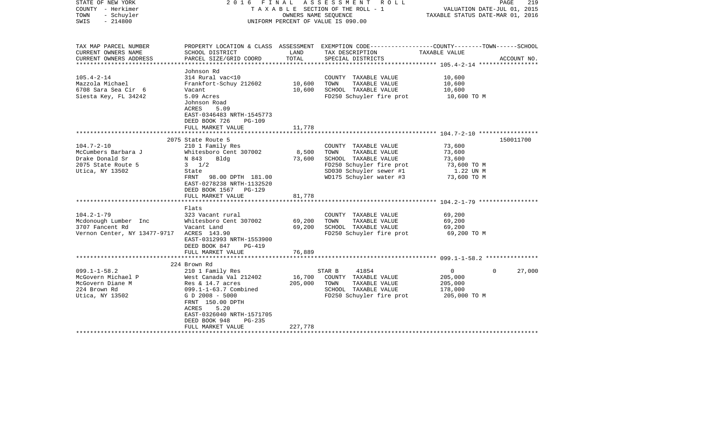| STATE OF NEW YORK<br>COUNTY - Herkimer<br>- Schuyler<br>TOWN<br>$-214800$<br>SWIS                   | 2016 FINAL                                                                                                                                                                                                                             | OWNERS NAME SEOUENCE         | ASSESSMENT ROLL<br>TAXABLE SECTION OF THE ROLL - 1<br>UNIFORM PERCENT OF VALUE IS 090.00                                                                | TAXABLE STATUS DATE-MAR 01, 2016                                      | 219<br>PAGE<br>VALUATION DATE-JUL 01, 2015 |
|-----------------------------------------------------------------------------------------------------|----------------------------------------------------------------------------------------------------------------------------------------------------------------------------------------------------------------------------------------|------------------------------|---------------------------------------------------------------------------------------------------------------------------------------------------------|-----------------------------------------------------------------------|--------------------------------------------|
| TAX MAP PARCEL NUMBER<br>CURRENT OWNERS NAME<br>CURRENT OWNERS ADDRESS<br>***********************   | SCHOOL DISTRICT<br>PARCEL SIZE/GRID COORD                                                                                                                                                                                              | LAND<br>TOTAL                | PROPERTY LOCATION & CLASS ASSESSMENT EXEMPTION CODE---------------COUNTY-------TOWN------SCHOOL<br>TAX DESCRIPTION<br>SPECIAL DISTRICTS                 | TAXABLE VALUE                                                         | ACCOUNT NO.                                |
| $105.4 - 2 - 14$<br>Mazzola Michael<br>6708 Sara Sea Cir 6<br>Siesta Key, FL 34242                  | Johnson Rd<br>314 Rural vac<10<br>Frankfort-Schuy 212602<br>Vacant<br>5.09 Acres<br>Johnson Road<br>ACRES<br>5.09<br>EAST-0346483 NRTH-1545773<br>DEED BOOK 726<br>$PG-109$<br>FULL MARKET VALUE                                       | 10,600<br>10,600<br>11,778   | COUNTY TAXABLE VALUE<br>TOWN<br>TAXABLE VALUE<br>SCHOOL TAXABLE VALUE<br>FD250 Schuyler fire prot                                                       | 10,600<br>10,600<br>10,600<br>10,600 TO M                             |                                            |
|                                                                                                     |                                                                                                                                                                                                                                        |                              |                                                                                                                                                         |                                                                       |                                            |
| $104.7 - 2 - 10$<br>McCumbers Barbara J<br>Drake Donald Sr<br>2075 State Route 5<br>Utica, NY 13502 | 2075 State Route 5<br>210 1 Family Res<br>Whitesboro Cent 307002<br>N 843<br>Bldg<br>$3 \frac{1}{2}$<br>State<br>FRNT<br>98.00 DPTH 181.00<br>EAST-0278238 NRTH-1132520<br>DEED BOOK 1567 PG-129<br>FULL MARKET VALUE                  | 8,500<br>73,600<br>81,778    | COUNTY TAXABLE VALUE<br>TOWN<br>TAXABLE VALUE<br>SCHOOL TAXABLE VALUE<br>FD250 Schuyler fire prot<br>SD030 Schuyler sewer #1<br>WD175 Schuyler water #3 | 73,600<br>73,600<br>73,600<br>73,600 TO M<br>1.22 UN M<br>73,600 TO M | 150011700                                  |
|                                                                                                     |                                                                                                                                                                                                                                        |                              |                                                                                                                                                         |                                                                       |                                            |
| $104.2 - 1 - 79$<br>Mcdonough Lumber Inc<br>3707 Fancent Rd<br>Vernon Center, NY 13477-9717         | Flats<br>323 Vacant rural<br>Whitesboro Cent 307002<br>Vacant Land<br>ACRES 143.90<br>EAST-0312993 NRTH-1553900<br>DEED BOOK 847<br>PG-419                                                                                             | 69,200<br>69,200             | COUNTY TAXABLE VALUE<br>TOWN<br>TAXABLE VALUE<br>SCHOOL TAXABLE VALUE<br>FD250 Schuyler fire prot                                                       | 69,200<br>69,200<br>69,200<br>69,200 TO M                             |                                            |
|                                                                                                     | FULL MARKET VALUE                                                                                                                                                                                                                      | 76,889                       |                                                                                                                                                         |                                                                       |                                            |
|                                                                                                     | 224 Brown Rd                                                                                                                                                                                                                           |                              |                                                                                                                                                         |                                                                       |                                            |
| $099.1 - 1 - 58.2$<br>McGovern Michael P<br>McGovern Diane M<br>224 Brown Rd<br>Utica, NY 13502     | 210 1 Family Res<br>West Canada Val 212402<br>Res & $14.7$ acres<br>$099.1 - 1 - 63.7$ Combined<br>G D 2008 - 5000<br>FRNT 150.00 DPTH<br>ACRES<br>5.20<br>EAST-0326040 NRTH-1571705<br>DEED BOOK 948<br>$PG-235$<br>FULL MARKET VALUE | 16,700<br>205,000<br>227,778 | STAR B<br>41854<br>COUNTY TAXABLE VALUE<br>TOWN<br>TAXABLE VALUE<br>SCHOOL TAXABLE VALUE<br>FD250 Schuyler fire prot                                    | 0<br>205,000<br>205,000<br>178,000<br>205,000 TO M                    | 27,000<br>$\Omega$                         |
|                                                                                                     |                                                                                                                                                                                                                                        |                              | *****************************                                                                                                                           |                                                                       |                                            |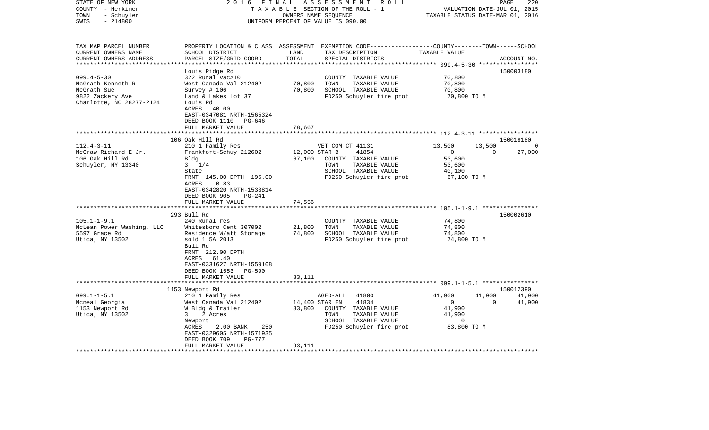| STATE OF NEW YORK         | 2 0 1 6                        | FINAL         | A S S E S S M E N T<br>R O L L                                                                   |                                  | 220<br>PAGE        |
|---------------------------|--------------------------------|---------------|--------------------------------------------------------------------------------------------------|----------------------------------|--------------------|
| COUNTY - Herkimer         |                                |               | TAXABLE SECTION OF THE ROLL - 1                                                                  | VALUATION DATE-JUL 01, 2015      |                    |
| TOWN<br>- Schuyler        |                                |               | OWNERS NAME SEQUENCE                                                                             | TAXABLE STATUS DATE-MAR 01, 2016 |                    |
| $-214800$<br>SWIS         |                                |               | UNIFORM PERCENT OF VALUE IS 090.00                                                               |                                  |                    |
|                           |                                |               |                                                                                                  |                                  |                    |
| TAX MAP PARCEL NUMBER     |                                |               | PROPERTY LOCATION & CLASS ASSESSMENT EXEMPTION CODE----------------COUNTY-------TOWN------SCHOOL |                                  |                    |
| CURRENT OWNERS NAME       | SCHOOL DISTRICT                | LAND          | TAX DESCRIPTION                                                                                  | TAXABLE VALUE                    |                    |
| CURRENT OWNERS ADDRESS    | PARCEL SIZE/GRID COORD         | TOTAL         | SPECIAL DISTRICTS                                                                                |                                  | ACCOUNT NO.        |
| ************************* |                                |               |                                                                                                  |                                  |                    |
|                           | Louis Ridge Rd                 |               |                                                                                                  |                                  | 150003180          |
| $099.4 - 5 - 30$          | 322 Rural vac>10               |               | COUNTY TAXABLE VALUE                                                                             | 70,800                           |                    |
| McGrath Kenneth R         | West Canada Val 212402         | 70,800        | TOWN<br>TAXABLE VALUE                                                                            | 70,800                           |                    |
| McGrath Sue               | Survey $# 106$                 | 70,800        | SCHOOL TAXABLE VALUE                                                                             | 70,800                           |                    |
| 9822 Zackery Ave          | Land & Lakes lot 37            |               | FD250 Schuyler fire prot                                                                         | 70,800 TO M                      |                    |
| Charlotte, NC 28277-2124  | Louis Rd                       |               |                                                                                                  |                                  |                    |
|                           | ACRES<br>40.00                 |               |                                                                                                  |                                  |                    |
|                           | EAST-0347081 NRTH-1565324      |               |                                                                                                  |                                  |                    |
|                           | DEED BOOK 1110<br>PG-646       |               |                                                                                                  |                                  |                    |
|                           | FULL MARKET VALUE              | 78,667        |                                                                                                  |                                  |                    |
|                           |                                |               |                                                                                                  |                                  |                    |
|                           | 106 Oak Hill Rd                |               |                                                                                                  |                                  | 150018180          |
| $112.4 - 3 - 11$          | 210 1 Family Res               |               | VET COM CT 41131                                                                                 | 13,500<br>13,500<br>$\Omega$     | 0<br>$\Omega$      |
| McGraw Richard E Jr.      | Frankfort-Schuy 212602         | 12,000 STAR B | 41854                                                                                            | 53,600                           | 27,000             |
| 106 Oak Hill Rd           | Bldg                           | 67,100        | COUNTY TAXABLE VALUE                                                                             |                                  |                    |
| Schuyler, NY 13340        | $3 \t1/4$<br>State             |               | TOWN<br>TAXABLE VALUE<br>SCHOOL TAXABLE VALUE                                                    | 53,600                           |                    |
|                           | FRNT 145.00 DPTH 195.00        |               | FD250 Schuyler fire prot                                                                         | 40,100                           |                    |
|                           | ACRES<br>0.83                  |               |                                                                                                  | 67,100 TO M                      |                    |
|                           | EAST-0342820 NRTH-1533814      |               |                                                                                                  |                                  |                    |
|                           | DEED BOOK 905<br><b>PG-241</b> |               |                                                                                                  |                                  |                    |
|                           | FULL MARKET VALUE              | 74,556        |                                                                                                  |                                  |                    |
|                           | *********************          |               |                                                                                                  |                                  |                    |
|                           | 293 Bull Rd                    |               |                                                                                                  |                                  | 150002610          |
| $105.1 - 1 - 9.1$         | 240 Rural res                  |               | COUNTY TAXABLE VALUE                                                                             | 74,800                           |                    |
| McLean Power Washing, LLC | Whitesboro Cent 307002         | 21,800        | TOWN<br>TAXABLE VALUE                                                                            | 74,800                           |                    |
| 5597 Grace Rd             | Residence W/att Storage        | 74,800        | SCHOOL TAXABLE VALUE                                                                             | 74,800                           |                    |
| Utica, NY 13502           | sold 1 5A 2013                 |               | FD250 Schuyler fire prot                                                                         | 74,800 TO M                      |                    |
|                           | Bull Rd                        |               |                                                                                                  |                                  |                    |
|                           | FRNT 212.00 DPTH               |               |                                                                                                  |                                  |                    |
|                           | 61.40<br>ACRES                 |               |                                                                                                  |                                  |                    |
|                           | EAST-0331627 NRTH-1559108      |               |                                                                                                  |                                  |                    |
|                           | DEED BOOK 1553<br>PG-590       |               |                                                                                                  |                                  |                    |
|                           | FULL MARKET VALUE              | 83,111        |                                                                                                  |                                  |                    |
|                           |                                |               |                                                                                                  |                                  |                    |
|                           | 1153 Newport Rd                |               |                                                                                                  |                                  | 150012390          |
| $099.1 - 1 - 5.1$         | 210 1 Family Res               |               | 41800<br>AGED-ALL                                                                                | 41,900<br>41,900                 | 41,900             |
| Mcneal Georgia            | West Canada Val 212402         |               | 14,400 STAR EN<br>41834                                                                          | $\overline{0}$                   | $\Omega$<br>41,900 |
| 1153 Newport Rd           | W Bldg & Trailer               | 83,800        | COUNTY TAXABLE VALUE                                                                             | 41,900                           |                    |
| Utica, NY 13502           | 2 Acres<br>3                   |               | TAXABLE VALUE<br>TOWN                                                                            | 41,900                           |                    |
|                           | Newport                        |               | SCHOOL TAXABLE VALUE                                                                             | 0                                |                    |
|                           | 250<br>ACRES<br>2.00 BANK      |               | FD250 Schuyler fire prot                                                                         | 83,800 TO M                      |                    |
|                           | EAST-0329605 NRTH-1571935      |               |                                                                                                  |                                  |                    |
|                           | DEED BOOK 709<br>PG-777        |               |                                                                                                  |                                  |                    |
|                           | FULL MARKET VALUE              | 93,111        |                                                                                                  |                                  |                    |
|                           | ******************             |               |                                                                                                  |                                  |                    |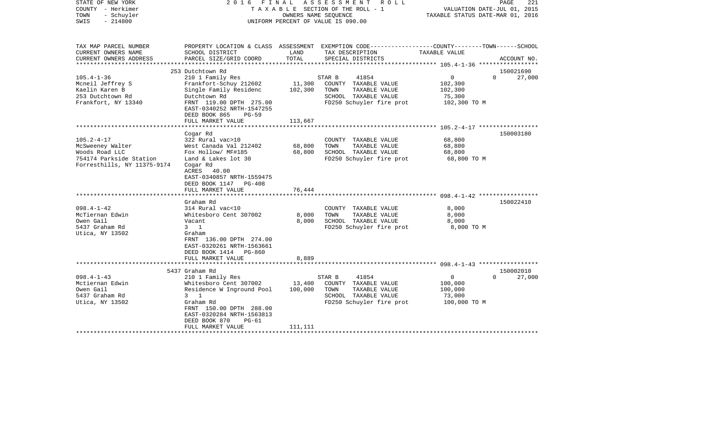| STATE OF NEW YORK<br>COUNTY - Herkimer<br>- Schuyler<br>TOWN<br>$-214800$<br>SWIS | 2016                                                                                                         | FINAL   | ASSESSMENT<br>R O L L<br>TAXABLE SECTION OF THE ROLL - 1<br>OWNERS NAME SEQUENCE<br>UNIFORM PERCENT OF VALUE IS 090.00 | VALUATION DATE-JUL 01, 2015<br>TAXABLE STATUS DATE-MAR 01, 2016 | PAGE<br>221            |
|-----------------------------------------------------------------------------------|--------------------------------------------------------------------------------------------------------------|---------|------------------------------------------------------------------------------------------------------------------------|-----------------------------------------------------------------|------------------------|
| TAX MAP PARCEL NUMBER<br>CURRENT OWNERS NAME                                      | SCHOOL DISTRICT                                                                                              | LAND    | PROPERTY LOCATION & CLASS ASSESSMENT EXEMPTION CODE---------------COUNTY-------TOWN------SCHOOL<br>TAX DESCRIPTION     | TAXABLE VALUE                                                   |                        |
| CURRENT OWNERS ADDRESS                                                            | PARCEL SIZE/GRID COORD                                                                                       | TOTAL   | SPECIAL DISTRICTS                                                                                                      |                                                                 | ACCOUNT NO.            |
|                                                                                   |                                                                                                              |         |                                                                                                                        | ****************** 105.4-1-36 ******************                |                        |
|                                                                                   | 253 Dutchtown Rd                                                                                             |         |                                                                                                                        |                                                                 | 150021690              |
| $105.4 - 1 - 36$                                                                  | 210 1 Family Res                                                                                             |         | STAR B<br>41854                                                                                                        | $\overline{0}$                                                  | $\mathbf{0}$<br>27,000 |
| Moneil Jeffrey S                                                                  | Frankfort-Schuy 212602                                                                                       | 11,300  | COUNTY TAXABLE VALUE                                                                                                   | 102,300                                                         |                        |
| Kaelin Karen B                                                                    | Single Family Residenc                                                                                       | 102,300 | TOWN<br>TAXABLE VALUE                                                                                                  | 102,300                                                         |                        |
| 253 Dutchtown Rd                                                                  | Dutchtown Rd                                                                                                 |         | SCHOOL TAXABLE VALUE                                                                                                   | 75,300                                                          |                        |
| Frankfort, NY 13340                                                               | FRNT 119.00 DPTH 275.00<br>EAST-0340252 NRTH-1547255<br>DEED BOOK 865<br>PG-59                               |         | FD250 Schuyler fire prot                                                                                               | 102,300 TO M                                                    |                        |
|                                                                                   | FULL MARKET VALUE                                                                                            | 113,667 |                                                                                                                        |                                                                 |                        |
|                                                                                   | Cogar Rd                                                                                                     |         |                                                                                                                        |                                                                 | 150003180              |
| $105.2 - 4 - 17$                                                                  | 322 Rural vac>10                                                                                             |         | COUNTY TAXABLE VALUE                                                                                                   | 68,800                                                          |                        |
| McSweeney Walter                                                                  | West Canada Val 212402                                                                                       | 68,800  | TAXABLE VALUE<br>TOWN                                                                                                  | 68,800                                                          |                        |
| Woods Road LLC                                                                    | Fox Hollow/ MF#185                                                                                           | 68,800  | SCHOOL TAXABLE VALUE                                                                                                   | 68,800                                                          |                        |
| 754174 Parkside Station                                                           | Land & Lakes lot 30                                                                                          |         | FD250 Schuyler fire prot                                                                                               | 68,800 TO M                                                     |                        |
| Forresthills, NY 11375-9174                                                       | Cogar Rd<br>ACRES<br>40.00<br>EAST-0340857 NRTH-1559475<br>DEED BOOK 1147 PG-408                             |         |                                                                                                                        |                                                                 |                        |
|                                                                                   | FULL MARKET VALUE                                                                                            | 76,444  |                                                                                                                        |                                                                 |                        |
|                                                                                   | *************************                                                                                    |         |                                                                                                                        |                                                                 |                        |
|                                                                                   | Graham Rd                                                                                                    |         |                                                                                                                        |                                                                 | 150022410              |
| $098.4 - 1 - 42$<br>McTiernan Edwin                                               | 314 Rural vac<10<br>Whitesboro Cent 307002                                                                   | 8,000   | COUNTY TAXABLE VALUE<br>TOWN<br>TAXABLE VALUE                                                                          | 8,000<br>8,000                                                  |                        |
| Owen Gail                                                                         | Vacant                                                                                                       | 8,000   | SCHOOL TAXABLE VALUE                                                                                                   | 8,000                                                           |                        |
| 5437 Graham Rd                                                                    | $3 \quad 1$                                                                                                  |         | FD250 Schuyler fire prot                                                                                               | 8,000 TO M                                                      |                        |
| Utica, NY 13502                                                                   | Graham<br>FRNT 136.00 DPTH 274.00<br>EAST-0320261 NRTH-1563661<br>DEED BOOK 1414 PG-860<br>FULL MARKET VALUE | 8,889   |                                                                                                                        |                                                                 |                        |
|                                                                                   | *****************************                                                                                |         |                                                                                                                        |                                                                 |                        |
|                                                                                   | 5437 Graham Rd                                                                                               |         |                                                                                                                        |                                                                 | 150002010              |
| $098.4 - 1 - 43$                                                                  | 210 1 Family Res                                                                                             |         | STAR B<br>41854                                                                                                        | 0                                                               | $\Omega$<br>27,000     |
| Mctiernan Edwin                                                                   | Whitesboro Cent 307002                                                                                       | 13,400  | COUNTY TAXABLE VALUE                                                                                                   | 100,000                                                         |                        |
| Owen Gail                                                                         | Residence W Inground Pool                                                                                    | 100,000 | TOWN<br>TAXABLE VALUE                                                                                                  | 100,000                                                         |                        |
| 5437 Graham Rd                                                                    | $3 \quad 1$                                                                                                  |         | SCHOOL TAXABLE VALUE                                                                                                   | 73,000                                                          |                        |
| Utica, NY 13502                                                                   | Graham Rd<br>FRNT 150.00 DPTH 288.00<br>EAST-0320284 NRTH-1563813<br>DEED BOOK 870<br>PG-61                  |         | FD250 Schuyler fire prot                                                                                               | 100,000 TO M                                                    |                        |
|                                                                                   | FULL MARKET VALUE                                                                                            | 111,111 |                                                                                                                        |                                                                 |                        |
|                                                                                   |                                                                                                              |         |                                                                                                                        |                                                                 |                        |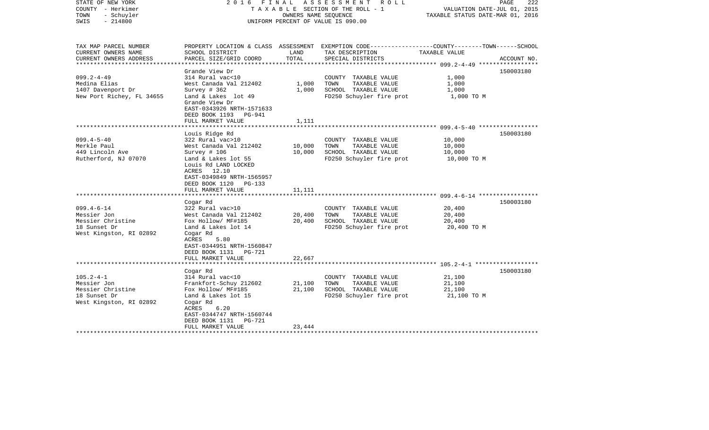| STATE OF NEW YORK<br>COUNTY - Herkimer<br>TOWN<br>- Schuyler<br>$-214800$<br>SWIS | 2016                                                                                                                           |               | FINAL ASSESSMENT ROLL<br>TAXABLE SECTION OF THE ROLL - 1<br>OWNERS NAME SEOUENCE<br>UNIFORM PERCENT OF VALUE IS 090.00 | VALUATION DATE-JUL 01, 2015<br>TAXABLE STATUS DATE-MAR 01, 2016 | PAGE<br>222 |
|-----------------------------------------------------------------------------------|--------------------------------------------------------------------------------------------------------------------------------|---------------|------------------------------------------------------------------------------------------------------------------------|-----------------------------------------------------------------|-------------|
| TAX MAP PARCEL NUMBER                                                             |                                                                                                                                |               | PROPERTY LOCATION & CLASS ASSESSMENT EXEMPTION CODE----------------COUNTY-------TOWN------SCHOOL                       |                                                                 |             |
| CURRENT OWNERS NAME<br>CURRENT OWNERS ADDRESS                                     | SCHOOL DISTRICT<br>PARCEL SIZE/GRID COORD                                                                                      | LAND<br>TOTAL | TAX DESCRIPTION<br>SPECIAL DISTRICTS                                                                                   | TAXABLE VALUE                                                   | ACCOUNT NO. |
| *****************                                                                 | Grande View Dr                                                                                                                 |               |                                                                                                                        |                                                                 |             |
| $099.2 - 4 - 49$                                                                  | 314 Rural vac<10                                                                                                               |               | COUNTY TAXABLE VALUE                                                                                                   | 1,000                                                           | 150003180   |
| Medina Elias                                                                      | West Canada Val 212402                                                                                                         | 1,000         | TOWN<br>TAXABLE VALUE                                                                                                  | 1,000                                                           |             |
| 1407 Davenport Dr                                                                 | Survey # 362                                                                                                                   | 1,000         | SCHOOL TAXABLE VALUE                                                                                                   | 1,000                                                           |             |
| New Port Richey, FL 34655                                                         |                                                                                                                                |               |                                                                                                                        |                                                                 |             |
|                                                                                   | Land & Lakes lot 49<br>Grande View Dr<br>EAST-0343926 NRTH-1571633<br>DEED BOOK 1193<br>PG-941                                 |               | FD250 Schuyler fire prot                                                                                               | 1,000 TO M                                                      |             |
|                                                                                   | FULL MARKET VALUE                                                                                                              | 1,111         |                                                                                                                        |                                                                 |             |
|                                                                                   | Louis Ridge Rd                                                                                                                 |               |                                                                                                                        |                                                                 | 150003180   |
| $099.4 - 5 - 40$                                                                  | 322 Rural vac>10                                                                                                               |               | COUNTY TAXABLE VALUE                                                                                                   | 10,000                                                          |             |
| Merkle Paul                                                                       | West Canada Val 212402                                                                                                         | 10,000        | TOWN<br>TAXABLE VALUE                                                                                                  | 10,000                                                          |             |
| 449 Lincoln Ave                                                                   | Survey # 106                                                                                                                   | 10,000        | SCHOOL TAXABLE VALUE                                                                                                   | 10,000                                                          |             |
| Rutherford, NJ 07070                                                              | Land & Lakes lot 55                                                                                                            |               | FD250 Schuyler fire prot                                                                                               | 10,000 TO M                                                     |             |
|                                                                                   | Louis Rd LAND LOCKED<br>ACRES 12.10<br>EAST-0349849 NRTH-1565957<br>DEED BOOK 1120<br>PG-133                                   |               |                                                                                                                        |                                                                 |             |
|                                                                                   | FULL MARKET VALUE                                                                                                              | 11,111        |                                                                                                                        |                                                                 |             |
|                                                                                   | **********************                                                                                                         |               |                                                                                                                        |                                                                 |             |
|                                                                                   | Cogar Rd                                                                                                                       |               |                                                                                                                        |                                                                 | 150003180   |
| $099.4 - 6 - 14$                                                                  | 322 Rural vac>10                                                                                                               |               | COUNTY TAXABLE VALUE                                                                                                   | 20,400                                                          |             |
| Messier Jon                                                                       | West Canada Val 212402                                                                                                         | 20,400        | TOWN<br>TAXABLE VALUE                                                                                                  | 20,400                                                          |             |
| Messier Christine                                                                 | Fox Hollow/ MF#185                                                                                                             | 20,400        | SCHOOL TAXABLE VALUE                                                                                                   | 20,400                                                          |             |
| 18 Sunset Dr<br>West Kingston, RI 02892                                           | Land & Lakes lot 14<br>Cogar Rd<br>ACRES<br>5.80<br>EAST-0344951 NRTH-1560847<br>DEED BOOK 1131    PG-721<br>FULL MARKET VALUE | 22,667        | FD250 Schuyler fire prot                                                                                               | 20,400 TO M                                                     |             |
|                                                                                   | *******************                                                                                                            |               |                                                                                                                        |                                                                 |             |
|                                                                                   | Cogar Rd                                                                                                                       |               |                                                                                                                        |                                                                 | 150003180   |
| $105.2 - 4 - 1$                                                                   | 314 Rural vac<10                                                                                                               |               | COUNTY TAXABLE VALUE                                                                                                   | 21,100                                                          |             |
| Messier Jon                                                                       | Frankfort-Schuy 212602                                                                                                         | 21,100        | TOWN<br>TAXABLE VALUE                                                                                                  | 21,100                                                          |             |
| Messier Christine                                                                 | Fox Hollow/ MF#185                                                                                                             | 21,100        | SCHOOL TAXABLE VALUE                                                                                                   | 21,100                                                          |             |
| 18 Sunset Dr<br>West Kingston, RI 02892                                           | Land & Lakes lot 15<br>Cogar Rd<br>ACRES<br>6.20                                                                               |               | FD250 Schuyler fire prot                                                                                               | 21,100 TO M                                                     |             |
|                                                                                   | EAST-0344747 NRTH-1560744<br>DEED BOOK 1131<br>PG-721                                                                          |               |                                                                                                                        |                                                                 |             |
|                                                                                   | FULL MARKET VALUE                                                                                                              | 23,444        |                                                                                                                        |                                                                 |             |
|                                                                                   |                                                                                                                                |               |                                                                                                                        |                                                                 |             |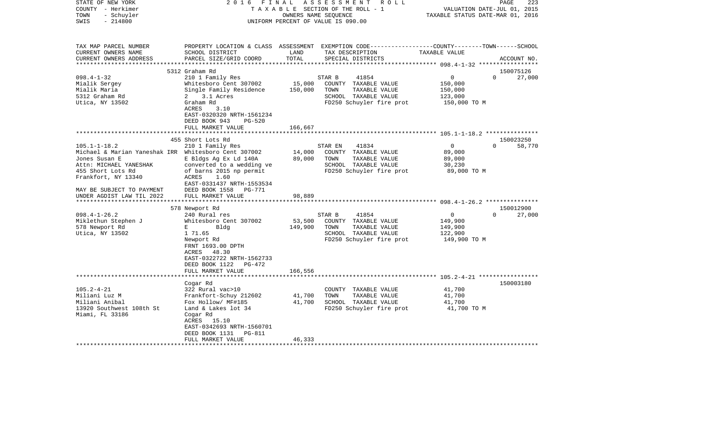| STATE OF NEW YORK<br>COUNTY - Herkimer<br>- Schuyler<br>TOWN<br>$-214800$<br>SWIS | 2 0 1 6<br>FINAL                                   | OWNERS NAME SEQUENCE | ASSESSMENT<br>R O L L<br>TAXABLE SECTION OF THE ROLL - 1<br>UNIFORM PERCENT OF VALUE IS 090.00                                          | VALUATION DATE-JUL 01, 2015<br>TAXABLE STATUS DATE-MAR 01, 2016 | PAGE<br>223                     |
|-----------------------------------------------------------------------------------|----------------------------------------------------|----------------------|-----------------------------------------------------------------------------------------------------------------------------------------|-----------------------------------------------------------------|---------------------------------|
| TAX MAP PARCEL NUMBER<br>CURRENT OWNERS NAME<br>CURRENT OWNERS ADDRESS            | SCHOOL DISTRICT<br>PARCEL SIZE/GRID COORD          | LAND<br>TOTAL        | PROPERTY LOCATION & CLASS ASSESSMENT EXEMPTION CODE---------------COUNTY-------TOWN------SCHOOL<br>TAX DESCRIPTION<br>SPECIAL DISTRICTS | TAXABLE VALUE                                                   | ACCOUNT NO.                     |
|                                                                                   |                                                    |                      |                                                                                                                                         |                                                                 |                                 |
| $098.4 - 1 - 32$                                                                  | 5312 Graham Rd<br>210 1 Family Res                 |                      | 41854<br>STAR B                                                                                                                         | $\mathsf{O}$                                                    | 150075126<br>$\Omega$<br>27,000 |
| Mialik Sergey                                                                     | Whitesboro Cent 307002                             | 15,000               | COUNTY TAXABLE VALUE                                                                                                                    | 150,000                                                         |                                 |
| Mialik Maria                                                                      | Single Family Residence                            | 150,000              | TOWN<br>TAXABLE VALUE                                                                                                                   | 150,000                                                         |                                 |
| 5312 Graham Rd                                                                    | 2 3.1 Acres                                        |                      | SCHOOL TAXABLE VALUE                                                                                                                    | 123,000                                                         |                                 |
| Utica, NY 13502                                                                   | Graham Rd                                          |                      | FD250 Schuyler fire prot                                                                                                                | 150,000 TO M                                                    |                                 |
|                                                                                   | <b>ACRES</b><br>3.10                               |                      |                                                                                                                                         |                                                                 |                                 |
|                                                                                   | EAST-0320320 NRTH-1561234                          |                      |                                                                                                                                         |                                                                 |                                 |
|                                                                                   | DEED BOOK 943<br>$PG-520$                          |                      |                                                                                                                                         |                                                                 |                                 |
|                                                                                   | FULL MARKET VALUE                                  | 166,667              |                                                                                                                                         |                                                                 |                                 |
|                                                                                   | 455 Short Lots Rd                                  |                      |                                                                                                                                         |                                                                 | 150023250                       |
| $105.1 - 1 - 18.2$                                                                | 210 1 Family Res                                   |                      | 41834<br>STAR EN                                                                                                                        | $\circ$                                                         | $\Omega$<br>58,770              |
| Michael & Marian Yaneshak IRR Whitesboro Cent 307002                              |                                                    | 14,000               | COUNTY TAXABLE VALUE                                                                                                                    | 89,000                                                          |                                 |
| Jones Susan E                                                                     | E Bldgs Ag Ex Ld 140A                              | 89,000               | TOWN<br>TAXABLE VALUE                                                                                                                   | 89,000                                                          |                                 |
| Attn: MICHAEL YANESHAK                                                            | converted to a wedding ve                          |                      | SCHOOL TAXABLE VALUE                                                                                                                    | 30,230                                                          |                                 |
| 455 Short Lots Rd                                                                 | of barns 2015 np permit                            |                      | FD250 Schuyler fire prot                                                                                                                | 89,000 TO M                                                     |                                 |
| Frankfort, NY 13340                                                               | ACRES<br>1.60                                      |                      |                                                                                                                                         |                                                                 |                                 |
| MAY BE SUBJECT TO PAYMENT                                                         | EAST-0331437 NRTH-1553534<br>DEED BOOK 1558 PG-771 |                      |                                                                                                                                         |                                                                 |                                 |
| UNDER AGDIST LAW TIL 2022                                                         | FULL MARKET VALUE                                  | 98,889               |                                                                                                                                         |                                                                 |                                 |
| *********************                                                             |                                                    |                      |                                                                                                                                         |                                                                 |                                 |
|                                                                                   | 578 Newport Rd                                     |                      |                                                                                                                                         |                                                                 | 150012900                       |
| $098.4 - 1 - 26.2$                                                                | 240 Rural res                                      |                      | STAR B<br>41854                                                                                                                         | $\mathbf{0}$                                                    | $\Omega$<br>27,000              |
| Miklethun Stephen J                                                               | Whitesboro Cent 307002                             | 53,500               | COUNTY TAXABLE VALUE                                                                                                                    | 149,900                                                         |                                 |
| 578 Newport Rd                                                                    | $E = 1$<br>Bldg                                    | 149,900              | TOWN<br>TAXABLE VALUE                                                                                                                   | 149,900                                                         |                                 |
| Utica, NY 13502                                                                   | 1 71.65                                            |                      | SCHOOL TAXABLE VALUE                                                                                                                    | 122,900                                                         |                                 |
|                                                                                   | Newport Rd<br>FRNT 1693.00 DPTH                    |                      | FD250 Schuyler fire prot                                                                                                                | 149,900 TO M                                                    |                                 |
|                                                                                   | ACRES 48.30                                        |                      |                                                                                                                                         |                                                                 |                                 |
|                                                                                   | EAST-0322722 NRTH-1562733                          |                      |                                                                                                                                         |                                                                 |                                 |
|                                                                                   | DEED BOOK 1122 PG-472                              |                      |                                                                                                                                         |                                                                 |                                 |
|                                                                                   | FULL MARKET VALUE                                  | 166,556              |                                                                                                                                         |                                                                 |                                 |
|                                                                                   |                                                    |                      |                                                                                                                                         |                                                                 |                                 |
|                                                                                   | Cogar Rd                                           |                      |                                                                                                                                         |                                                                 | 150003180                       |
| $105.2 - 4 - 21$                                                                  | 322 Rural vac>10                                   |                      | COUNTY TAXABLE VALUE                                                                                                                    | 41,700                                                          |                                 |
| Miliani Luz M<br>Miliani Anibal                                                   | Frankfort-Schuy 212602                             | 41,700<br>41,700     | TOWN<br>TAXABLE VALUE<br>SCHOOL TAXABLE VALUE                                                                                           | 41,700                                                          |                                 |
| 13920 Southwest 108th St                                                          | Fox Hollow/ MF#185<br>Land & Lakes lot 34          |                      | FD250 Schuyler fire prot                                                                                                                | 41,700<br>41,700 TO M                                           |                                 |
| Miami, FL 33186                                                                   | Cogar Rd                                           |                      |                                                                                                                                         |                                                                 |                                 |
|                                                                                   | ACRES 15.10                                        |                      |                                                                                                                                         |                                                                 |                                 |
|                                                                                   | EAST-0342693 NRTH-1560701                          |                      |                                                                                                                                         |                                                                 |                                 |
|                                                                                   | DEED BOOK 1131<br>PG-811                           |                      |                                                                                                                                         |                                                                 |                                 |
|                                                                                   | FULL MARKET VALUE                                  | 46,333               |                                                                                                                                         |                                                                 |                                 |
|                                                                                   |                                                    |                      |                                                                                                                                         |                                                                 |                                 |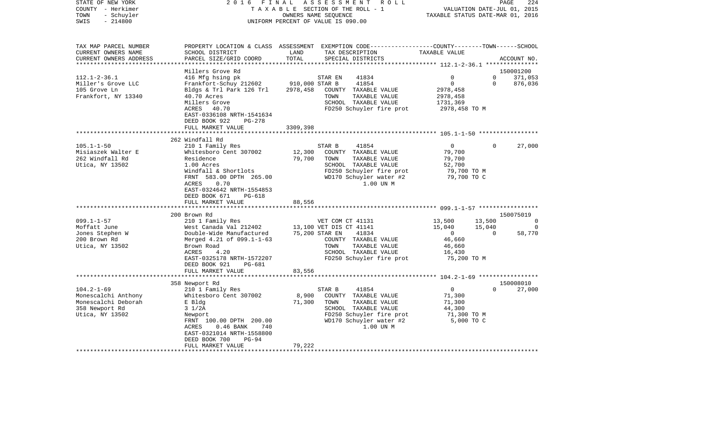| STATE OF NEW YORK<br>COUNTY - Herkimer<br>- Schuyler<br>TOWN<br>SWIS<br>$-214800$ | 2 0 1 6                                    | FINAL          | ASSESSMENT ROLL<br>TAXABLE SECTION OF THE ROLL - 1<br>OWNERS NAME SEQUENCE<br>UNIFORM PERCENT OF VALUE IS 090.00 | TAXABLE STATUS DATE-MAR 01, 2016 | PAGE<br>VALUATION DATE-JUL 01, 2015 | 224            |
|-----------------------------------------------------------------------------------|--------------------------------------------|----------------|------------------------------------------------------------------------------------------------------------------|----------------------------------|-------------------------------------|----------------|
|                                                                                   |                                            |                |                                                                                                                  |                                  |                                     |                |
| TAX MAP PARCEL NUMBER                                                             |                                            |                | PROPERTY LOCATION & CLASS ASSESSMENT EXEMPTION CODE----------------COUNTY-------TOWN------SCHOOL                 |                                  |                                     |                |
| CURRENT OWNERS NAME<br>CURRENT OWNERS ADDRESS                                     | SCHOOL DISTRICT<br>PARCEL SIZE/GRID COORD  | LAND<br>TOTAL  | TAX DESCRIPTION<br>SPECIAL DISTRICTS                                                                             | TAXABLE VALUE                    |                                     | ACCOUNT NO.    |
| ************************                                                          |                                            |                |                                                                                                                  |                                  |                                     |                |
|                                                                                   | Millers Grove Rd                           |                |                                                                                                                  |                                  |                                     | 150001200      |
| $112.1 - 2 - 36.1$                                                                | 416 Mfg hsing pk                           |                | STAR EN<br>41834                                                                                                 | $\Omega$<br>$\mathbf 0$          | $\Omega$<br>$\Omega$                | 371,053        |
| Miller's Grove LLC                                                                | Frankfort-Schuy 212602                     | 910,000 STAR B | 41854                                                                                                            |                                  |                                     | 876,036        |
| 105 Grove Ln<br>Frankfort, NY 13340                                               | Bldgs & Trl Park 126 Trl<br>40.70 Acres    | 2978,458       | COUNTY TAXABLE VALUE<br>TAXABLE VALUE<br>TOWN                                                                    | 2978,458<br>2978,458             |                                     |                |
|                                                                                   | Millers Grove                              |                | SCHOOL TAXABLE VALUE                                                                                             | 1731,369                         |                                     |                |
|                                                                                   | ACRES 40.70                                |                | FD250 Schuyler fire prot                                                                                         | 2978,458 TO M                    |                                     |                |
|                                                                                   | EAST-0336108 NRTH-1541634                  |                |                                                                                                                  |                                  |                                     |                |
|                                                                                   | DEED BOOK 922<br>PG-278                    |                |                                                                                                                  |                                  |                                     |                |
|                                                                                   | FULL MARKET VALUE                          | 3309,398       |                                                                                                                  |                                  |                                     |                |
|                                                                                   |                                            |                |                                                                                                                  |                                  |                                     |                |
|                                                                                   | 262 Windfall Rd                            |                |                                                                                                                  |                                  |                                     |                |
| $105.1 - 1 - 50$                                                                  | 210 1 Family Res                           |                | STAR B<br>41854                                                                                                  | $\overline{0}$                   | $\Omega$                            | 27,000         |
| Misiaszek Walter E                                                                | Whitesboro Cent 307002                     | 12,300         | COUNTY TAXABLE VALUE                                                                                             | 79,700                           |                                     |                |
| 262 Windfall Rd                                                                   | Residence                                  | 79,700         | TAXABLE VALUE<br>TOWN                                                                                            | 79,700                           |                                     |                |
| Utica, NY 13502                                                                   | 1.00 Acres                                 |                | SCHOOL TAXABLE VALUE                                                                                             | 52,700                           |                                     |                |
|                                                                                   | Windfall & Shortlots                       |                | FD250 Schuyler fire prot                                                                                         | 79,700 TO M                      |                                     |                |
|                                                                                   | FRNT 583.00 DPTH 265.00                    |                | WD170 Schuyler water #2                                                                                          | 79,700 TO C                      |                                     |                |
|                                                                                   | ACRES<br>0.70<br>EAST-0324642 NRTH-1554853 |                | 1.00 UN M                                                                                                        |                                  |                                     |                |
|                                                                                   | PG-618                                     |                |                                                                                                                  |                                  |                                     |                |
|                                                                                   | DEED BOOK 671<br>FULL MARKET VALUE         | 88,556         |                                                                                                                  |                                  |                                     |                |
|                                                                                   | **********************                     |                |                                                                                                                  |                                  |                                     |                |
|                                                                                   | 200 Brown Rd                               |                |                                                                                                                  |                                  |                                     | 150075019      |
| $099.1 - 1 - 57$                                                                  | 210 1 Family Res                           |                | VET COM CT 41131                                                                                                 | 13,500                           | 13,500                              | $\overline{0}$ |
| Moffatt June                                                                      | West Canada Val 212402                     |                | 13,100 VET DIS CT 41141                                                                                          | 15,040                           | 15,040                              | $\Omega$       |
| Jones Stephen W                                                                   | Double-Wide Manufactured                   |                | 75,200 STAR EN<br>41834                                                                                          | $\overline{0}$                   | $\Omega$                            | 58,770         |
| 200 Brown Rd                                                                      | Merged 4.21 of 099.1-1-63                  |                | COUNTY TAXABLE VALUE                                                                                             | 46,660                           |                                     |                |
| Utica, NY 13502                                                                   | Brown Road                                 |                | TAXABLE VALUE<br>TOWN                                                                                            | 46,660                           |                                     |                |
|                                                                                   | ACRES<br>4.20                              |                | SCHOOL TAXABLE VALUE                                                                                             | 16,430                           |                                     |                |
|                                                                                   | EAST-0325178 NRTH-1572207                  |                | FD250 Schuyler fire prot                                                                                         | 75,200 TO M                      |                                     |                |
|                                                                                   | DEED BOOK 921<br>PG-681                    |                |                                                                                                                  |                                  |                                     |                |
|                                                                                   | FULL MARKET VALUE                          | 83,556         |                                                                                                                  |                                  |                                     |                |
|                                                                                   | 358 Newport Rd                             |                |                                                                                                                  |                                  |                                     | 150008010      |
| $104.2 - 1 - 69$                                                                  | 210 1 Family Res                           |                | STAR B<br>41854                                                                                                  | $\Omega$                         | $\Omega$                            | 27,000         |
| Monescalchi Anthony                                                               | Whitesboro Cent 307002                     | 8,900          | COUNTY TAXABLE VALUE                                                                                             | 71,300                           |                                     |                |
| Monescalchi Deborah                                                               | E Bldg                                     | 71,300         | TAXABLE VALUE<br>TOWN                                                                                            | 71,300                           |                                     |                |
| 358 Newport Rd                                                                    | $3 \frac{1}{2A}$                           |                | SCHOOL TAXABLE VALUE                                                                                             | 44,300                           |                                     |                |
| Utica, NY 13502                                                                   | Newport                                    |                | FD250 Schuyler fire prot                                                                                         | 71,300 TO M                      |                                     |                |
|                                                                                   | FRNT 100.00 DPTH 200.00                    |                | WD170 Schuyler water #2                                                                                          | 5,000 TO C                       |                                     |                |
|                                                                                   | ACRES<br>$0.46$ BANK<br>740                |                | 1.00 UN M                                                                                                        |                                  |                                     |                |
|                                                                                   | EAST-0321014 NRTH-1558800                  |                |                                                                                                                  |                                  |                                     |                |
|                                                                                   | DEED BOOK 700<br>$PG-94$                   |                |                                                                                                                  |                                  |                                     |                |
|                                                                                   | FULL MARKET VALUE                          | 79,222         |                                                                                                                  |                                  |                                     |                |
|                                                                                   |                                            |                |                                                                                                                  |                                  |                                     |                |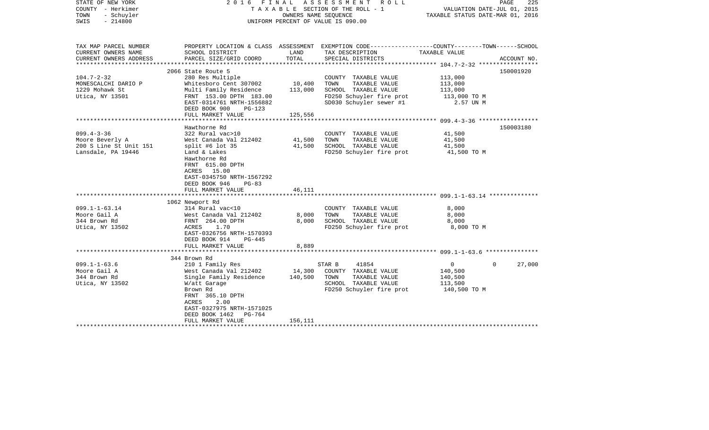| STATE OF NEW YORK<br>COUNTY - Herkimer<br>TOWN<br>- Schuyler<br>$-214800$<br>SWIS   | 2016 FINAL<br>A S S E S S M E N T<br>ROLL<br>T A X A B L E SECTION OF THE ROLL - 1<br>OWNERS NAME SEQUENCE<br>UNIFORM PERCENT OF VALUE IS 090.00                                                                                 |                              |                                                                                                                                          | PAGE<br>225<br>VALUATION DATE-JUL 01, 2015<br>TAXABLE STATUS DATE-MAR 01, 2016 |                        |
|-------------------------------------------------------------------------------------|----------------------------------------------------------------------------------------------------------------------------------------------------------------------------------------------------------------------------------|------------------------------|------------------------------------------------------------------------------------------------------------------------------------------|--------------------------------------------------------------------------------|------------------------|
| TAX MAP PARCEL NUMBER<br>CURRENT OWNERS NAME<br>CURRENT OWNERS ADDRESS              | SCHOOL DISTRICT<br>PARCEL SIZE/GRID COORD                                                                                                                                                                                        | LAND<br>TOTAL                | PROPERTY LOCATION & CLASS ASSESSMENT EXEMPTION CODE----------------COUNTY-------TOWN------SCHOOL<br>TAX DESCRIPTION<br>SPECIAL DISTRICTS | TAXABLE VALUE                                                                  | ACCOUNT NO.            |
| ***********************                                                             | *****************************                                                                                                                                                                                                    |                              |                                                                                                                                          |                                                                                |                        |
| $104.7 - 2 - 32$<br>MONESCALCHI DARIO P<br>1229 Mohawk St<br>Utica, NY 13501        | 2066 State Route 5<br>280 Res Multiple<br>Whitesboro Cent 307002<br>Multi Family Residence<br>FRNT 153.00 DPTH 183.00<br>EAST-0314761 NRTH-1556882<br>DEED BOOK 900<br>PG-123                                                    | 10,400<br>113,000            | COUNTY TAXABLE VALUE<br>TOWN<br>TAXABLE VALUE<br>SCHOOL TAXABLE VALUE<br>FD250 Schuyler fire prot<br>SD030 Schuyler sewer #1             | 113,000<br>113,000<br>113,000<br>113,000 TO M<br>2.57 UN M                     | 150001920              |
|                                                                                     | FULL MARKET VALUE                                                                                                                                                                                                                | 125,556                      |                                                                                                                                          |                                                                                |                        |
| $099.4 - 3 - 36$<br>Moore Beverly A<br>200 S Line St Unit 151<br>Lansdale, PA 19446 | Hawthorne Rd<br>322 Rural vac>10<br>West Canada Val 212402<br>split #6 lot $35$<br>Land & Lakes<br>Hawthorne Rd<br>FRNT 615.00 DPTH<br>ACRES 15.00<br>EAST-0345750 NRTH-1567292<br>DEED BOOK 946<br>$PG-83$<br>FULL MARKET VALUE | 41,500<br>41,500<br>46,111   | COUNTY TAXABLE VALUE<br>TOWN<br>TAXABLE VALUE<br>SCHOOL TAXABLE VALUE<br>FD250 Schuyler fire prot                                        | 41,500<br>41,500<br>41,500<br>41,500 TO M                                      | 150003180              |
| $099.1 - 1 - 63.14$<br>Moore Gail A<br>344 Brown Rd<br>Utica, NY 13502              | 1062 Newport Rd<br>314 Rural vac<10<br>West Canada Val 212402<br>FRNT 264.00 DPTH<br>ACRES<br>1.70<br>EAST-0326756 NRTH-1570393<br>DEED BOOK 914<br>PG-445<br>FULL MARKET VALUE                                                  | 8,000<br>8,000<br>8,889      | COUNTY TAXABLE VALUE<br>TAXABLE VALUE<br>TOWN<br>SCHOOL TAXABLE VALUE<br>FD250 Schuyler fire prot                                        | 8,000<br>8,000<br>8,000<br>8,000 TO M                                          |                        |
|                                                                                     | 344 Brown Rd                                                                                                                                                                                                                     |                              |                                                                                                                                          |                                                                                |                        |
| $099.1 - 1 - 63.6$<br>Moore Gail A<br>344 Brown Rd<br>Utica, NY 13502               | 210 1 Family Res<br>West Canada Val 212402<br>Single Family Residence<br>W/att Garage<br>Brown Rd<br>FRNT 365.10 DPTH<br>2.00<br>ACRES<br>EAST-0327975 NRTH-1571025<br>DEED BOOK 1462<br>PG-764<br>FULL MARKET VALUE             | 14,300<br>140,500<br>156,111 | STAR B<br>41854<br>COUNTY TAXABLE VALUE<br>TOWN<br>TAXABLE VALUE<br>SCHOOL TAXABLE VALUE<br>FD250 Schuyler fire prot                     | $\overline{0}$<br>140,500<br>140,500<br>113,500<br>140,500 TO M                | 27,000<br>$\mathbf{0}$ |
|                                                                                     |                                                                                                                                                                                                                                  |                              |                                                                                                                                          |                                                                                |                        |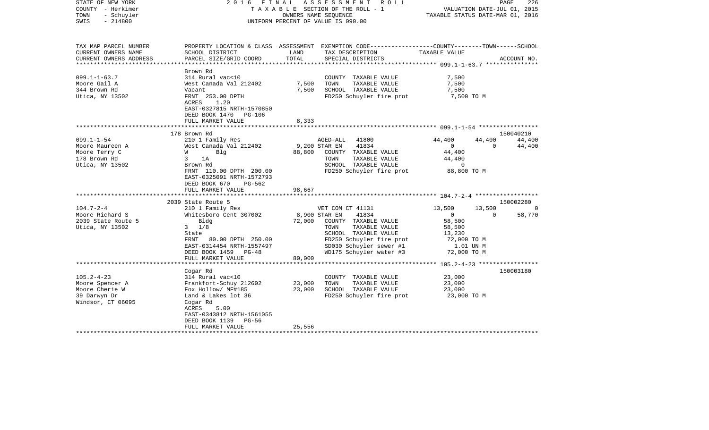| STATE OF NEW YORK<br>COUNTY - Herkimer<br>TOWN<br>- Schuyler<br>$-214800$<br>SWIS | 2016 FINAL                                           |               | A S S E S S M E N T R O L L<br>TAXABLE SECTION OF THE ROLL - 1<br>OWNERS NAME SEOUENCE<br>UNIFORM PERCENT OF VALUE IS 090.00 | VALUATION DATE-JUL 01, 2015<br>TAXABLE STATUS DATE-MAR 01, 2016 | PAGE<br>226        |
|-----------------------------------------------------------------------------------|------------------------------------------------------|---------------|------------------------------------------------------------------------------------------------------------------------------|-----------------------------------------------------------------|--------------------|
| TAX MAP PARCEL NUMBER                                                             |                                                      |               | PROPERTY LOCATION & CLASS ASSESSMENT EXEMPTION CODE---------------COUNTY-------TOWN------SCHOOL                              |                                                                 |                    |
| CURRENT OWNERS NAME                                                               | SCHOOL DISTRICT                                      | LAND          | TAX DESCRIPTION                                                                                                              | TAXABLE VALUE                                                   |                    |
| CURRENT OWNERS ADDRESS                                                            | PARCEL SIZE/GRID COORD                               | TOTAL         | SPECIAL DISTRICTS                                                                                                            |                                                                 | ACCOUNT NO.        |
|                                                                                   | Brown Rd                                             |               |                                                                                                                              |                                                                 |                    |
| $099.1 - 1 - 63.7$                                                                | 314 Rural vac<10                                     |               | COUNTY TAXABLE VALUE                                                                                                         | 7,500                                                           |                    |
| Moore Gail A                                                                      | West Canada Val 212402                               | 7,500         | TOWN<br>TAXABLE VALUE                                                                                                        | 7,500                                                           |                    |
| 344 Brown Rd                                                                      | Vacant                                               | 7,500         | SCHOOL TAXABLE VALUE                                                                                                         | 7,500                                                           |                    |
| Utica, NY 13502                                                                   | FRNT 253.00 DPTH                                     |               | FD250 Schuyler fire prot                                                                                                     | 7,500 TO M                                                      |                    |
|                                                                                   | ACRES<br>1.20<br>EAST-0327815 NRTH-1570850           |               |                                                                                                                              |                                                                 |                    |
|                                                                                   | DEED BOOK 1470 PG-106                                |               |                                                                                                                              |                                                                 |                    |
|                                                                                   | FULL MARKET VALUE                                    | 8,333         |                                                                                                                              |                                                                 |                    |
|                                                                                   | 178 Brown Rd                                         |               |                                                                                                                              |                                                                 | 150040210          |
| $099.1 - 1 - 54$                                                                  | 210 1 Family Res                                     |               | 41800<br>AGED-ALL                                                                                                            | 44,400<br>44,400                                                | 44,400             |
| Moore Maureen A                                                                   | West Canada Val 212402                               | 9,200 STAR EN | 41834                                                                                                                        | $\overline{0}$<br>$\overline{0}$                                | 44,400             |
| Moore Terry C                                                                     | Blq<br>W                                             |               | 88,800 COUNTY TAXABLE VALUE                                                                                                  | 44,400                                                          |                    |
| 178 Brown Rd                                                                      | $3^{\circ}$<br>1A                                    |               | TOWN<br>TAXABLE VALUE                                                                                                        | 44,400                                                          |                    |
| Utica, NY 13502                                                                   | Brown Rd                                             |               | SCHOOL TAXABLE VALUE                                                                                                         | $\mathbf 0$                                                     |                    |
|                                                                                   | FRNT 110.00 DPTH 200.00<br>EAST-0325091 NRTH-1572793 |               | FD250 Schuyler fire prot 88,800 TO M                                                                                         |                                                                 |                    |
|                                                                                   | DEED BOOK 670<br>PG-562                              | 98,667        |                                                                                                                              |                                                                 |                    |
|                                                                                   | FULL MARKET VALUE                                    |               |                                                                                                                              |                                                                 |                    |
|                                                                                   | 2039 State Route 5                                   |               |                                                                                                                              |                                                                 | 150002280          |
| $104.7 - 2 - 4$                                                                   | 210 1 Family Res                                     |               | VET COM CT 41131                                                                                                             | 13,500<br>13,500                                                |                    |
| Moore Richard S                                                                   | Whitesboro Cent 307002                               |               | 8,900 STAR EN<br>41834                                                                                                       | $\overline{0}$                                                  | 58,770<br>$\Omega$ |
| 2039 State Route 5                                                                | Bldg                                                 | 72,000        | COUNTY TAXABLE VALUE                                                                                                         | 58,500                                                          |                    |
| Utica, NY 13502                                                                   | $3 \t1/8$                                            |               | TOWN<br>TAXABLE VALUE                                                                                                        | 58,500                                                          |                    |
|                                                                                   | State                                                |               | SCHOOL TAXABLE VALUE                                                                                                         | 13,230                                                          |                    |
|                                                                                   | FRNT 80.00 DPTH 250.00                               |               | FD250 Schuyler fire prot                                                                                                     | 72,000 TO M                                                     |                    |
|                                                                                   | EAST-0314454 NRTH-1557497                            |               | SD030 Schuyler sewer #1                                                                                                      | 1.01 UN M                                                       |                    |
|                                                                                   | DEED BOOK 1459 PG-48                                 |               | WD175 Schuyler water #3 72,000 TO M                                                                                          |                                                                 |                    |
|                                                                                   | FULL MARKET VALUE                                    | 80,000        |                                                                                                                              |                                                                 |                    |
|                                                                                   |                                                      |               |                                                                                                                              |                                                                 |                    |
|                                                                                   | Cogar Rd                                             |               |                                                                                                                              |                                                                 | 150003180          |
| $105.2 - 4 - 23$                                                                  | 314 Rural vac<10                                     | 23,000        | COUNTY TAXABLE VALUE<br>TOWN<br>TAXABLE VALUE                                                                                | 23,000                                                          |                    |
| Moore Spencer A<br>Moore Cherie W                                                 | Frankfort-Schuy 212602<br>Fox Hollow/ MF#185         | 23,000        | SCHOOL TAXABLE VALUE                                                                                                         | 23,000<br>23,000                                                |                    |
| 39 Darwyn Dr                                                                      | Land & Lakes lot 36                                  |               | FD250 Schuyler fire prot                                                                                                     | 23,000 TO M                                                     |                    |
| Windsor, CT 06095                                                                 | Cogar Rd                                             |               |                                                                                                                              |                                                                 |                    |
|                                                                                   | 5.00<br>ACRES                                        |               |                                                                                                                              |                                                                 |                    |
|                                                                                   | EAST-0343812 NRTH-1561055                            |               |                                                                                                                              |                                                                 |                    |
|                                                                                   | DEED BOOK 1139 PG-56                                 |               |                                                                                                                              |                                                                 |                    |
|                                                                                   | FULL MARKET VALUE                                    | 25,556        |                                                                                                                              |                                                                 |                    |
|                                                                                   |                                                      |               |                                                                                                                              |                                                                 |                    |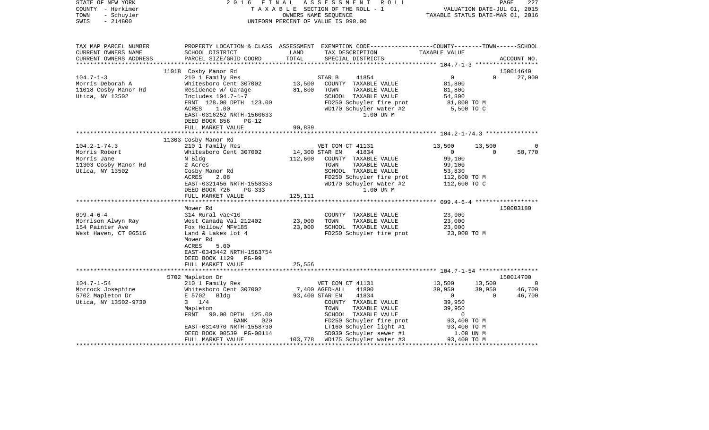| STATE OF NEW YORK<br>COUNTY - Herkimer<br>TOWN<br>- Schuyler<br>$-214800$<br>SWIS                                                                                                 | 2016<br>FINAL                                                                                                                                                                                                                                                                                                                                                                                   | A S S E S S M E N T R O L L<br>TAXABLE SECTION OF THE ROLL - 1<br>OWNERS NAME SEQUENCE<br>UNIFORM PERCENT OF VALUE IS 090.00                                                                                                                                                                                                                        | PAGE<br>227<br>VALUATION DATE-JUL 01, 2015<br>TAXABLE STATUS DATE-MAR 01, 2016                                                                                                            |
|-----------------------------------------------------------------------------------------------------------------------------------------------------------------------------------|-------------------------------------------------------------------------------------------------------------------------------------------------------------------------------------------------------------------------------------------------------------------------------------------------------------------------------------------------------------------------------------------------|-----------------------------------------------------------------------------------------------------------------------------------------------------------------------------------------------------------------------------------------------------------------------------------------------------------------------------------------------------|-------------------------------------------------------------------------------------------------------------------------------------------------------------------------------------------|
| TAX MAP PARCEL NUMBER<br>CURRENT OWNERS NAME<br>CURRENT OWNERS ADDRESS                                                                                                            | SCHOOL DISTRICT<br>PARCEL SIZE/GRID COORD                                                                                                                                                                                                                                                                                                                                                       | TAX DESCRIPTION TAXABLE VALUE<br>LAND<br>TOTAL<br>SPECIAL DISTRICTS                                                                                                                                                                                                                                                                                 | PROPERTY LOCATION & CLASS ASSESSMENT EXEMPTION CODE----------------COUNTY-------TOWN------SCHOOL<br>ACCOUNT NO.                                                                           |
|                                                                                                                                                                                   | 11018 Cosby Manor Rd                                                                                                                                                                                                                                                                                                                                                                            |                                                                                                                                                                                                                                                                                                                                                     | 150014640                                                                                                                                                                                 |
| $104.7 - 1 - 3$                                                                                                                                                                   | 210 1 Family Res                                                                                                                                                                                                                                                                                                                                                                                | 41854<br>STAR B                                                                                                                                                                                                                                                                                                                                     | $\Omega$<br>27,000<br>$\overline{0}$                                                                                                                                                      |
| Morris Deborah A<br>11018 Cosby Manor Rd<br>Utica, NY 13502                                                                                                                       | Whitesboro Cent 307002<br>Residence W/ Garage<br>Includes 104.7-1-7<br>FRNT 128.00 DPTH 123.00<br>ACRES<br>1.00<br>EAST-0316252 NRTH-1560633                                                                                                                                                                                                                                                    | 13,500<br>COUNTY TAXABLE VALUE<br>81,800<br>TOWN<br>TAXABLE VALUE<br>SCHOOL TAXABLE VALUE<br>FD250 Schuyler fire prot<br>WD170 Schuyler water #2<br>1.00 UN M                                                                                                                                                                                       | 81,800<br>81,800<br>54,800<br>81,800 TO M<br>5,500 TO C                                                                                                                                   |
|                                                                                                                                                                                   | DEED BOOK 856<br>$PG-12$                                                                                                                                                                                                                                                                                                                                                                        |                                                                                                                                                                                                                                                                                                                                                     |                                                                                                                                                                                           |
|                                                                                                                                                                                   | FULL MARKET VALUE                                                                                                                                                                                                                                                                                                                                                                               | 90,889                                                                                                                                                                                                                                                                                                                                              |                                                                                                                                                                                           |
|                                                                                                                                                                                   |                                                                                                                                                                                                                                                                                                                                                                                                 |                                                                                                                                                                                                                                                                                                                                                     |                                                                                                                                                                                           |
| $104.2 - 1 - 74.3$<br>Morris Robert<br>Morris Jane<br>11303 Cosby Manor Rd<br>Utica, NY 13502<br>$099.4 - 6 - 4$<br>Morrison Alwyn Ray<br>154 Painter Ave<br>West Haven, CT 06516 | 11303 Cosby Manor Rd<br>210 1 Family Res<br>Whitesboro Cent 307002<br>N Bldg<br>2 Acres<br>Cosby Manor Rd<br>ACRES<br>2.08<br>EAST-0321456 NRTH-1558353<br>DEED BOOK 726<br>PG-333<br>FULL MARKET VALUE<br>Mower Rd<br>314 Rural vac<10<br>West Canada Val 212402<br>Fox Hollow/ MF#185<br>Land & Lakes lot 4<br>Mower Rd<br>ACRES<br>5.00<br>EAST-0343442 NRTH-1563754<br>DEED BOOK 1129 PG-99 | VET COM CT 41131<br>14,300 STAR EN<br>41834<br>112,600<br>COUNTY TAXABLE VALUE<br>TAXABLE VALUE<br>TOWN<br>SCHOOL TAXABLE VALUE<br>FD250 Schuyler fire prot<br>WD170 Schuyler water #2<br>1.00 UN M<br>125,111<br>COUNTY TAXABLE VALUE<br>23,000<br>TOWN<br>TAXABLE VALUE<br>23,000<br>SCHOOL TAXABLE VALUE<br>FD250 Schuyler fire prot 23,000 TO M | 13,500<br>13,500<br>$\overline{0}$<br>$\overline{0}$<br>58,770<br>99,100<br>99,100<br>53,830<br>112,600 TO M<br>112,600 TO C<br>150003180<br>23,000<br>23,000<br>23,000                   |
|                                                                                                                                                                                   | FULL MARKET VALUE                                                                                                                                                                                                                                                                                                                                                                               | 25,556                                                                                                                                                                                                                                                                                                                                              |                                                                                                                                                                                           |
|                                                                                                                                                                                   |                                                                                                                                                                                                                                                                                                                                                                                                 |                                                                                                                                                                                                                                                                                                                                                     | 150014700                                                                                                                                                                                 |
| $104.7 - 1 - 54$<br>Morrock Josephine<br>5702 Mapleton Dr<br>Utica, NY 13502-9730                                                                                                 | 5702 Mapleton Dr<br>210 1 Family Res<br>Whitesboro Cent 307002<br>E 5702 Bldg<br>$3 \t1/4$<br>Mapleton<br>FRNT 90.00 DPTH 125.00<br>020<br>BANK<br>EAST-0314970 NRTH-1558730<br>DEED BOOK 00539 PG-00114                                                                                                                                                                                        | VET COM CT 41131<br>7,400 AGED-ALL 41800<br>93,400 STAR EN<br>41834<br>COUNTY TAXABLE VALUE<br>TAXABLE VALUE<br>TOWN<br>SCHOOL TAXABLE VALUE<br>FD250 Schuyler fire prot<br>LT160 Schuyler light #1<br>SD030 Schuyler sewer #1                                                                                                                      | 13,500<br>13,500<br>39,950<br>$\overline{0}$<br>39,950<br>46,700<br>$\overline{0}$<br>$\Omega$<br>46,700<br>39,950<br>39,950<br>$\overline{0}$<br>93,400 TO M<br>93,400 TO M<br>1.00 UN M |
|                                                                                                                                                                                   | FULL MARKET VALUE                                                                                                                                                                                                                                                                                                                                                                               | $103,778$ WD175 Schuyler water #3 93,400 TO M                                                                                                                                                                                                                                                                                                       |                                                                                                                                                                                           |
|                                                                                                                                                                                   |                                                                                                                                                                                                                                                                                                                                                                                                 |                                                                                                                                                                                                                                                                                                                                                     |                                                                                                                                                                                           |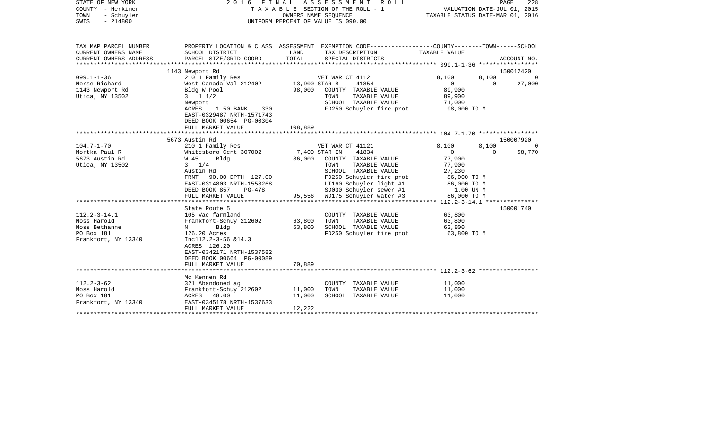| STATE OF NEW YORK<br>COUNTY - Herkimer<br>- Schuyler<br>TOWN<br>$-214800$<br>SWIS | 2016 FINAL                                                                                                                                   | UNIFORM PERCENT OF VALUE IS 090.00 | A S S E S S M E N T<br>OWNERS NAME SEQUENCE | R O L L<br>TAXABLE SECTION OF THE ROLL - 1                    | VALUATION DATE-JUL 01, 2015<br>TAXABLE STATUS DATE-MAR 01, 2016 |                         | PAGE<br>228 |
|-----------------------------------------------------------------------------------|----------------------------------------------------------------------------------------------------------------------------------------------|------------------------------------|---------------------------------------------|---------------------------------------------------------------|-----------------------------------------------------------------|-------------------------|-------------|
| TAX MAP PARCEL NUMBER<br>CURRENT OWNERS NAME<br>CURRENT OWNERS ADDRESS            | PROPERTY LOCATION & CLASS ASSESSMENT EXEMPTION CODE---------------COUNTY-------TOWN------SCHOOL<br>SCHOOL DISTRICT<br>PARCEL SIZE/GRID COORD | LAND<br>TOTAL                      | TAX DESCRIPTION                             | SPECIAL DISTRICTS                                             | TAXABLE VALUE                                                   |                         | ACCOUNT NO. |
| ************************                                                          |                                                                                                                                              |                                    |                                             |                                                               |                                                                 |                         |             |
|                                                                                   | 1143 Newport Rd                                                                                                                              |                                    |                                             |                                                               |                                                                 |                         | 150012420   |
| $099.1 - 1 - 36$<br>Morse Richard                                                 | 210 1 Family Res<br>West Canada Val 212402                                                                                                   | 13,900 STAR B                      | VET WAR CT 41121                            | 41854                                                         | 8,100<br>$\overline{0}$                                         | 8,100<br>$\overline{0}$ | 27,000      |
| 1143 Newport Rd<br>Utica, NY 13502                                                | Bldg W Pool<br>$3 \t1 \t1/2$<br>Newport                                                                                                      | 98,000                             | TOWN                                        | COUNTY TAXABLE VALUE<br>TAXABLE VALUE<br>SCHOOL TAXABLE VALUE | 89,900<br>89,900<br>71,000                                      |                         |             |
|                                                                                   | ACRES<br>1.50 BANK<br>330<br>EAST-0329487 NRTH-1571743<br>DEED BOOK 00654 PG-00304                                                           |                                    |                                             | FD250 Schuyler fire prot                                      | 98,000 TO M                                                     |                         |             |
|                                                                                   | FULL MARKET VALUE                                                                                                                            | 108,889                            |                                             |                                                               |                                                                 |                         |             |
|                                                                                   | 5673 Austin Rd                                                                                                                               |                                    |                                             |                                                               |                                                                 |                         | 150007920   |
| $104.7 - 1 - 70$                                                                  | 210 1 Family Res                                                                                                                             |                                    | VET WAR CT 41121                            |                                                               | 8,100                                                           | 8,100                   | 0           |
| Mortka Paul R                                                                     | Whitesboro Cent 307002                                                                                                                       | 7,400 STAR EN                      |                                             | 41834                                                         | $\overline{0}$                                                  | $\Omega$                | 58,770      |
| 5673 Austin Rd                                                                    | W 45<br>Bldg                                                                                                                                 | 86,000                             |                                             | COUNTY TAXABLE VALUE                                          | 77,900                                                          |                         |             |
| Utica, NY 13502                                                                   | $3 \t1/4$                                                                                                                                    |                                    | TOWN                                        | TAXABLE VALUE                                                 | 77,900                                                          |                         |             |
|                                                                                   | Austin Rd                                                                                                                                    |                                    |                                             | SCHOOL TAXABLE VALUE                                          | 27,230                                                          |                         |             |
|                                                                                   | FRNT<br>90.00 DPTH 127.00                                                                                                                    |                                    |                                             | FD250 Schuyler fire prot                                      | 86,000 TO M                                                     |                         |             |
|                                                                                   | EAST-0314803 NRTH-1558268                                                                                                                    |                                    |                                             | LT160 Schuyler light #1                                       | 86,000 TO M                                                     |                         |             |
|                                                                                   | DEED BOOK 857<br>PG-478                                                                                                                      |                                    |                                             | SD030 Schuyler sewer #1                                       | 1.00 UN M                                                       |                         |             |
|                                                                                   | FULL MARKET VALUE                                                                                                                            |                                    |                                             | 95,556 WD175 Schuyler water #3                                | 86,000 TO M                                                     |                         |             |
|                                                                                   |                                                                                                                                              |                                    |                                             |                                                               |                                                                 |                         |             |
|                                                                                   | State Route 5                                                                                                                                |                                    |                                             |                                                               |                                                                 |                         | 150001740   |
| $112.2 - 3 - 14.1$<br>Moss Harold                                                 | 105 Vac farmland                                                                                                                             | 63,800                             | TOWN                                        | COUNTY TAXABLE VALUE                                          | 63,800                                                          |                         |             |
| Moss Bethanne                                                                     | Frankfort-Schuy 212602<br>Bldg<br>$N$ and $N$                                                                                                | 63,800                             |                                             | TAXABLE VALUE<br>SCHOOL TAXABLE VALUE                         | 63,800<br>63,800                                                |                         |             |
| PO Box 181                                                                        | 126.20 Acres                                                                                                                                 |                                    |                                             | FD250 Schuyler fire prot                                      | 63,800 TO M                                                     |                         |             |
| Frankfort, NY 13340                                                               | Incl12.2-3-56 &14.3<br>ACRES 126.20<br>EAST-0342171 NRTH-1537582<br>DEED BOOK 00664 PG-00089                                                 |                                    |                                             |                                                               |                                                                 |                         |             |
|                                                                                   | FULL MARKET VALUE                                                                                                                            | 70,889                             |                                             |                                                               |                                                                 |                         |             |
|                                                                                   |                                                                                                                                              |                                    |                                             |                                                               |                                                                 |                         |             |
|                                                                                   | Mc Kennen Rd                                                                                                                                 |                                    |                                             |                                                               |                                                                 |                         |             |
| $112.2 - 3 - 62$                                                                  | 321 Abandoned ag                                                                                                                             |                                    |                                             | COUNTY TAXABLE VALUE                                          | 11,000                                                          |                         |             |
| Moss Harold                                                                       | Frankfort-Schuy 212602                                                                                                                       | 11,000                             | TOWN                                        | TAXABLE VALUE                                                 | 11,000                                                          |                         |             |
| PO Box 181                                                                        | ACRES 48.00                                                                                                                                  | 11,000                             |                                             | SCHOOL TAXABLE VALUE                                          | 11,000                                                          |                         |             |
| Frankfort, NY 13340                                                               | EAST-0345178 NRTH-1537633<br>FULL MARKET VALUE                                                                                               |                                    |                                             |                                                               |                                                                 |                         |             |
|                                                                                   |                                                                                                                                              | 12,222                             |                                             |                                                               |                                                                 |                         |             |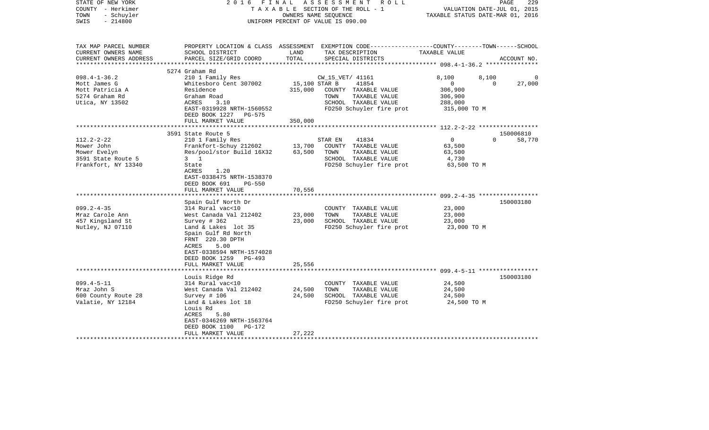| STATE OF NEW YORK<br>COUNTY - Herkimer<br>- Schuyler<br>TOWN<br>$-214800$<br>SWIS | 2 0 1 6                                    | OWNERS NAME SEQUENCE | FINAL ASSESSMENT ROLL<br>TAXABLE SECTION OF THE ROLL - 1<br>UNIFORM PERCENT OF VALUE IS 090.00                     | TAXABLE STATUS DATE-MAR 01, 2016                        | 229<br>PAGE<br>VALUATION DATE-JUL 01, 2015 |
|-----------------------------------------------------------------------------------|--------------------------------------------|----------------------|--------------------------------------------------------------------------------------------------------------------|---------------------------------------------------------|--------------------------------------------|
| TAX MAP PARCEL NUMBER<br>CURRENT OWNERS NAME                                      | SCHOOL DISTRICT                            | LAND                 | PROPERTY LOCATION & CLASS ASSESSMENT EXEMPTION CODE---------------COUNTY-------TOWN------SCHOOL<br>TAX DESCRIPTION | TAXABLE VALUE                                           |                                            |
| CURRENT OWNERS ADDRESS                                                            | PARCEL SIZE/GRID COORD                     | TOTAL                | SPECIAL DISTRICTS                                                                                                  |                                                         | ACCOUNT NO.                                |
|                                                                                   | 5274 Graham Rd                             |                      |                                                                                                                    |                                                         |                                            |
| $098.4 - 1 - 36.2$                                                                | 210 1 Family Res                           |                      | CW_15_VET/ 41161                                                                                                   | 8,100                                                   | 8,100                                      |
| Mott James G                                                                      | Whitesboro Cent 307002                     | 15,100 STAR B        | 41854                                                                                                              | $\mathbf{0}$                                            | 27,000<br>$\Omega$                         |
| Mott Patricia A                                                                   | Residence                                  | 315,000              | COUNTY TAXABLE VALUE                                                                                               | 306,900                                                 |                                            |
| 5274 Graham Rd                                                                    | Graham Road                                |                      | TAXABLE VALUE<br>TOWN                                                                                              | 306,900                                                 |                                            |
| Utica, NY 13502                                                                   | ACRES<br>3.10                              |                      | SCHOOL TAXABLE VALUE                                                                                               | 288,000                                                 |                                            |
|                                                                                   | EAST-0319928 NRTH-1560552                  |                      | FD250 Schuyler fire prot                                                                                           | 315,000 TO M                                            |                                            |
|                                                                                   | DEED BOOK 1227 PG-575<br>FULL MARKET VALUE | 350,000              |                                                                                                                    |                                                         |                                            |
|                                                                                   |                                            |                      |                                                                                                                    |                                                         |                                            |
|                                                                                   | 3591 State Route 5                         |                      |                                                                                                                    |                                                         | 150006810                                  |
| $112.2 - 2 - 22$                                                                  | 210 1 Family Res                           |                      | 41834<br>STAR EN                                                                                                   | $\overline{0}$                                          | $\Omega$<br>58,770                         |
| Mower John                                                                        | Frankfort-Schuy 212602                     | 13,700               | COUNTY TAXABLE VALUE                                                                                               | 63,500                                                  |                                            |
| Mower Evelyn                                                                      | Res/pool/stor Build 16X32                  | 63,500               | TAXABLE VALUE<br>TOWN                                                                                              | 63,500                                                  |                                            |
| 3591 State Route 5                                                                | $3 \quad 1$                                |                      | SCHOOL TAXABLE VALUE                                                                                               | 4,730                                                   |                                            |
| Frankfort, NY 13340                                                               | State                                      |                      | FD250 Schuyler fire prot                                                                                           | 63,500 TO M                                             |                                            |
|                                                                                   | ACRES<br>1.20<br>EAST-0338475 NRTH-1538370 |                      |                                                                                                                    |                                                         |                                            |
|                                                                                   | DEED BOOK 691<br>PG-550                    |                      |                                                                                                                    |                                                         |                                            |
|                                                                                   | FULL MARKET VALUE                          | 70,556               |                                                                                                                    |                                                         |                                            |
|                                                                                   |                                            |                      |                                                                                                                    |                                                         |                                            |
|                                                                                   | Spain Gulf North Dr                        |                      |                                                                                                                    |                                                         | 150003180                                  |
| $099.2 - 4 - 35$                                                                  | 314 Rural vac<10                           |                      | COUNTY TAXABLE VALUE                                                                                               | 23,000                                                  |                                            |
| Mraz Carole Ann                                                                   | West Canada Val 212402                     | 23,000               | TAXABLE VALUE<br>TOWN                                                                                              | 23,000                                                  |                                            |
| 457 Kingsland St                                                                  | Survey $# 362$                             | 23,000               | SCHOOL TAXABLE VALUE                                                                                               | 23,000                                                  |                                            |
| Nutley, NJ 07110                                                                  | Land & Lakes lot 35                        |                      | FD250 Schuyler fire prot                                                                                           | 23,000 TO M                                             |                                            |
|                                                                                   | Spain Gulf Rd North<br>FRNT 220.30 DPTH    |                      |                                                                                                                    |                                                         |                                            |
|                                                                                   | 5.00<br>ACRES                              |                      |                                                                                                                    |                                                         |                                            |
|                                                                                   | EAST-0338594 NRTH-1574028                  |                      |                                                                                                                    |                                                         |                                            |
|                                                                                   | DEED BOOK 1259<br>$PG-493$                 |                      |                                                                                                                    |                                                         |                                            |
|                                                                                   | FULL MARKET VALUE                          | 25,556               |                                                                                                                    |                                                         |                                            |
|                                                                                   |                                            | ********             |                                                                                                                    | ************************* 099.4-5-11 ****************** |                                            |
|                                                                                   | Louis Ridge Rd                             |                      |                                                                                                                    |                                                         | 150003180                                  |
| $099.4 - 5 - 11$                                                                  | 314 Rural vac<10                           |                      | COUNTY TAXABLE VALUE                                                                                               | 24,500                                                  |                                            |
| Mraz John S                                                                       | West Canada Val 212402                     | 24,500<br>24,500     | TAXABLE VALUE<br>TOWN<br>SCHOOL TAXABLE VALUE                                                                      | 24,500                                                  |                                            |
| 600 County Route 28<br>Valatie, NY 12184                                          | Survey $# 106$<br>Land & Lakes lot 18      |                      | FD250 Schuyler fire prot                                                                                           | 24,500<br>24,500 TO M                                   |                                            |
|                                                                                   | Louis Rd                                   |                      |                                                                                                                    |                                                         |                                            |
|                                                                                   | ACRES<br>5.80                              |                      |                                                                                                                    |                                                         |                                            |
|                                                                                   | EAST-0346269 NRTH-1563764                  |                      |                                                                                                                    |                                                         |                                            |
|                                                                                   | DEED BOOK 1100<br>PG-172                   |                      |                                                                                                                    |                                                         |                                            |
|                                                                                   | FULL MARKET VALUE                          | 27,222               |                                                                                                                    |                                                         |                                            |
|                                                                                   |                                            |                      |                                                                                                                    |                                                         |                                            |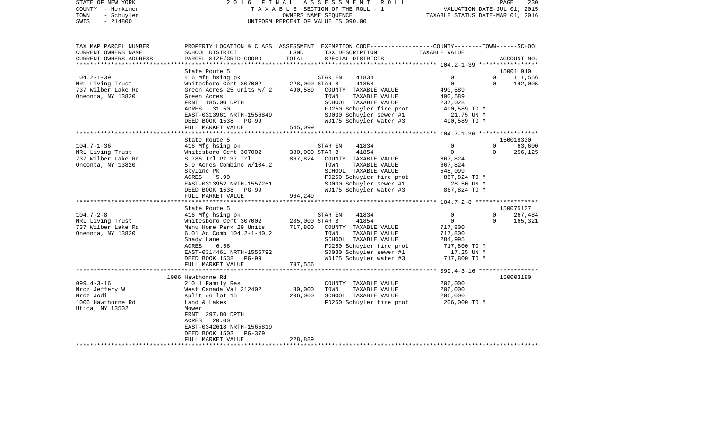| STATE OF NEW YORK                       |                                                           |                | 2016 FINAL ASSESSMENT ROLL                                                                      |                                                                 |                      | PAGE<br>230 |
|-----------------------------------------|-----------------------------------------------------------|----------------|-------------------------------------------------------------------------------------------------|-----------------------------------------------------------------|----------------------|-------------|
| COUNTY - Herkimer<br>TOWN<br>- Schuyler |                                                           |                | TAXABLE SECTION OF THE ROLL - 1<br>OWNERS NAME SEOUENCE                                         | VALUATION DATE-JUL 01, 2015<br>TAXABLE STATUS DATE-MAR 01, 2016 |                      |             |
| $-214800$<br>SWIS                       |                                                           |                | UNIFORM PERCENT OF VALUE IS 090.00                                                              |                                                                 |                      |             |
|                                         |                                                           |                |                                                                                                 |                                                                 |                      |             |
| TAX MAP PARCEL NUMBER                   |                                                           |                | PROPERTY LOCATION & CLASS ASSESSMENT EXEMPTION CODE---------------COUNTY-------TOWN------SCHOOL |                                                                 |                      |             |
| CURRENT OWNERS NAME                     | SCHOOL DISTRICT                                           | LAND           | TAX DESCRIPTION                                                                                 | TAXABLE VALUE                                                   |                      |             |
| CURRENT OWNERS ADDRESS                  | PARCEL SIZE/GRID COORD                                    | TOTAL          | SPECIAL DISTRICTS                                                                               |                                                                 |                      | ACCOUNT NO. |
| **********************                  |                                                           |                |                                                                                                 |                                                                 |                      |             |
|                                         | State Route 5                                             |                |                                                                                                 |                                                                 |                      | 150011910   |
| $104.2 - 1 - 39$                        | 416 Mfg hsing pk<br>Whitesboro Cent 307002 228,000 STAR B |                | 41834<br>STAR EN<br>41854                                                                       | $\mathbf 0$<br>$\mathbf 0$                                      | $\Omega$<br>$\Omega$ | 111,556     |
| MRL Living Trust<br>737 Wilber Lake Rd  | Green Acres 25 units w/ 2                                 | 490,589        | COUNTY TAXABLE VALUE                                                                            | 490,589                                                         |                      | 142,005     |
| Oneonta, NY 13820                       | Green Acres                                               |                | TOWN<br>TAXABLE VALUE                                                                           | 490,589                                                         |                      |             |
|                                         | FRNT 185.00 DPTH                                          |                | SCHOOL TAXABLE VALUE                                                                            | 237,028                                                         |                      |             |
|                                         | ACRES 31.50                                               |                | FD250 Schuyler fire prot                                                                        | 490,589 TO M                                                    |                      |             |
|                                         | EAST-0313961 NRTH-1556849                                 |                | SD030 Schuyler sewer #1                                                                         | 21.75 UN M                                                      |                      |             |
|                                         | DEED BOOK 1538 PG-99                                      |                | WD175 Schuyler water #3                                                                         | 490,589 TO M                                                    |                      |             |
|                                         | FULL MARKET VALUE                                         | 545,099        |                                                                                                 |                                                                 |                      |             |
|                                         | *****************************                             |                |                                                                                                 |                                                                 |                      |             |
|                                         | State Route 5                                             |                |                                                                                                 |                                                                 |                      | 150018330   |
| $104.7 - 1 - 36$                        | 416 Mfg hsing pk                                          |                | STAR EN<br>41834                                                                                | 0                                                               | $\Omega$             | 63,600      |
| MRL Living Trust                        | Whitesboro Cent 307002                                    | 380,000 STAR B | 41854                                                                                           | $\mathbf 0$                                                     | $\Omega$             | 256,125     |
| 737 Wilber Lake Rd                      | S 786 Trl Pk 37 Trl                                       | 867,824        | COUNTY TAXABLE VALUE                                                                            | 867,824                                                         |                      |             |
| Oneonta, NY 13820                       | 5.9 Acres Combine W/104.2                                 |                | TOWN<br>TAXABLE VALUE                                                                           | 867,824                                                         |                      |             |
|                                         | Skyline Pk<br>ACRES                                       |                | SCHOOL TAXABLE VALUE<br>FD250 Schuyler fire prot                                                | 548,099                                                         |                      |             |
|                                         | 5.90<br>EAST-0313952 NRTH-1557261                         |                | SD030 Schuyler sewer #1                                                                         | 867,824 TO M<br>28.50 UN M                                      |                      |             |
|                                         | DEED BOOK 1538 PG-99                                      |                | WD175 Schuyler water #3                                                                         | 867,824 TO M                                                    |                      |             |
|                                         | FULL MARKET VALUE                                         | 964,249        |                                                                                                 |                                                                 |                      |             |
|                                         |                                                           |                |                                                                                                 |                                                                 |                      |             |
|                                         | State Route 5                                             |                |                                                                                                 |                                                                 |                      | 150075107   |
| $104.7 - 2 - 8$                         | 416 Mfg hsing pk                                          |                | STAR EN<br>41834                                                                                | 0                                                               | $\Omega$             | 267,484     |
| MRL Living Trust                        | Whitesboro Cent 307002                                    | 285,000 STAR B | 41854                                                                                           | $\mathsf{O}$                                                    | $\Omega$             | 165,321     |
| 737 Wilber Lake Rd                      | Manu Home Park 29 Units                                   |                | 717,800 COUNTY TAXABLE VALUE                                                                    | 717,800                                                         |                      |             |
| Oneonta, NY 13820                       | 6.01 Ac Comb 104.2-1-40.2                                 |                | TAXABLE VALUE<br>TOWN                                                                           | 717,800                                                         |                      |             |
|                                         | Shady Lane                                                |                | SCHOOL TAXABLE VALUE                                                                            | 284,995                                                         |                      |             |
|                                         | ACRES<br>6.56                                             |                | FD250 Schuyler fire prot                                                                        | 717,800 TO M                                                    |                      |             |
|                                         | EAST-0314461 NRTH-1556792                                 |                | SD030 Schuyler sewer #1                                                                         | 17.25 UN M                                                      |                      |             |
|                                         | DEED BOOK 1538<br>PG-99<br>FULL MARKET VALUE              | 797,556        | WD175 Schuyler water #3                                                                         | 717,800 TO M                                                    |                      |             |
|                                         |                                                           |                |                                                                                                 |                                                                 |                      |             |
|                                         | 1006 Hawthorne Rd                                         |                |                                                                                                 |                                                                 |                      | 150003180   |
| 099.4-3-16                              | 210 1 Family Res                                          |                | COUNTY TAXABLE VALUE                                                                            | 206,000                                                         |                      |             |
| Mroz Jeffery W                          | West Canada Val 212402                                    | 30,000         | TOWN<br>TAXABLE VALUE                                                                           | 206,000                                                         |                      |             |
| Mroz Jodi L                             | split #6 lot 15                                           | 206,000        | SCHOOL TAXABLE VALUE                                                                            | 206,000                                                         |                      |             |
| 1006 Hawthorne Rd                       | Land & Lakes                                              |                | FD250 Schuyler fire prot                                                                        | 206,000 ТО М                                                    |                      |             |
| Utica, NY 13502                         | Mower                                                     |                |                                                                                                 |                                                                 |                      |             |
|                                         | FRNT 297.80 DPTH                                          |                |                                                                                                 |                                                                 |                      |             |
|                                         | ACRES<br>20.00                                            |                |                                                                                                 |                                                                 |                      |             |
|                                         | EAST-0342618 NRTH-1565819                                 |                |                                                                                                 |                                                                 |                      |             |

FULL MARKET VALUE 228,889 \*\*\*\*\*\*\*\*\*\*\*\*\*\*\*\*\*\*\*\*\*\*\*\*\*\*\*\*\*\*\*\*\*\*\*\*\*\*\*\*\*\*\*\*\*\*\*\*\*\*\*\*\*\*\*\*\*\*\*\*\*\*\*\*\*\*\*\*\*\*\*\*\*\*\*\*\*\*\*\*\*\*\*\*\*\*\*\*\*\*\*\*\*\*\*\*\*\*\*\*\*\*\*\*\*\*\*\*\*\*\*\*\*\*\*\*\*\*\*\*\*\*\*\*\*\*\*\*\*\*\*\*

DEED BOOK 1503 PG-379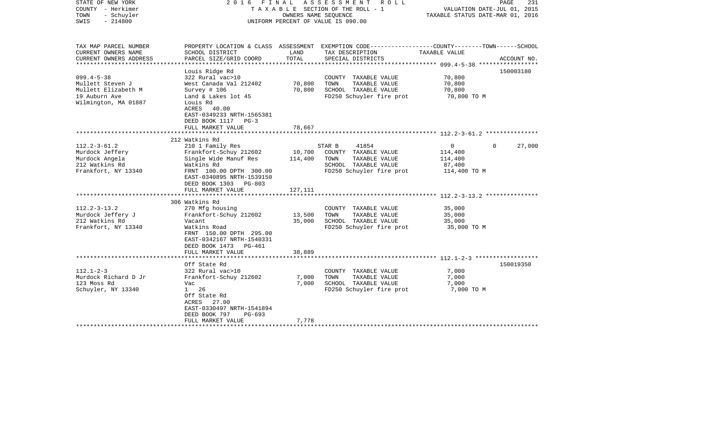| STATE OF NEW YORK<br>COUNTY - Herkimer<br>TOWN<br>- Schuyler<br>$-214800$<br>SWIS                    | 2016                                                                                                                                                                                        | OWNERS NAME SEQUENCE         | FINAL ASSESSMENT ROLL<br>TAXABLE SECTION OF THE ROLL - 1<br>UNIFORM PERCENT OF VALUE IS 090.00                                          | VALUATION DATE-JUL 01, 2015<br>TAXABLE STATUS DATE-MAR 01, 2016            | 231<br>PAGE |
|------------------------------------------------------------------------------------------------------|---------------------------------------------------------------------------------------------------------------------------------------------------------------------------------------------|------------------------------|-----------------------------------------------------------------------------------------------------------------------------------------|----------------------------------------------------------------------------|-------------|
| TAX MAP PARCEL NUMBER<br>CURRENT OWNERS NAME<br>CURRENT OWNERS ADDRESS                               | SCHOOL DISTRICT<br>PARCEL SIZE/GRID COORD                                                                                                                                                   | LAND<br>TOTAL                | PROPERTY LOCATION & CLASS ASSESSMENT EXEMPTION CODE---------------COUNTY-------TOWN------SCHOOL<br>TAX DESCRIPTION<br>SPECIAL DISTRICTS | TAXABLE VALUE                                                              | ACCOUNT NO. |
| *************************                                                                            |                                                                                                                                                                                             |                              |                                                                                                                                         |                                                                            |             |
| $099.4 - 5 - 38$<br>Mullett Steven J<br>Mullett Elizabeth M<br>19 Auburn Ave<br>Wilmington, MA 01887 | Louis Ridge Rd<br>322 Rural vac>10<br>West Canada Val 212402<br>Survey $# 106$<br>Land & Lakes lot 45<br>Louis Rd<br>ACRES 40.00<br>EAST-0349233 NRTH-1565381<br>DEED BOOK 1117 PG-3        | 70,800<br>70,800             | COUNTY TAXABLE VALUE<br>TAXABLE VALUE<br>TOWN<br>SCHOOL TAXABLE VALUE<br>FD250 Schuyler fire prot                                       | 70,800<br>70,800<br>70,800<br>70,800 TO M                                  | 150003180   |
|                                                                                                      | FULL MARKET VALUE                                                                                                                                                                           | 78,667                       |                                                                                                                                         |                                                                            |             |
|                                                                                                      | 212 Watkins Rd                                                                                                                                                                              |                              |                                                                                                                                         |                                                                            |             |
| $112.2 - 3 - 61.2$<br>Murdock Jeffery<br>Murdock Angela<br>212 Watkins Rd<br>Frankfort, NY 13340     | 210 1 Family Res<br>Frankfort-Schuy 212602<br>Single Wide Manuf Res<br>Watkins Rd<br>FRNT 100.00 DPTH 300.00<br>EAST-0340895 NRTH-1539150<br>DEED BOOK 1303 PG-803<br>FULL MARKET VALUE     | 10,700<br>114,400<br>127,111 | STAR B<br>41854<br>COUNTY TAXABLE VALUE<br>TOWN<br>TAXABLE VALUE<br>SCHOOL TAXABLE VALUE<br>FD250 Schuyler fire prot                    | $\overline{0}$<br>$\Omega$<br>114,400<br>114,400<br>87,400<br>114,400 TO M | 27,000      |
|                                                                                                      |                                                                                                                                                                                             |                              |                                                                                                                                         |                                                                            |             |
| $112.2 - 3 - 13.2$<br>Murdock Jeffery J<br>212 Watkins Rd<br>Frankfort, NY 13340                     | 306 Watkins Rd<br>270 Mfg housing<br>Frankfort-Schuy 212602<br>Vacant<br>Watkins Road<br>FRNT 150.00 DPTH 295.00<br>EAST-0342167 NRTH-1540331<br>DEED BOOK 1473 PG-461<br>FULL MARKET VALUE | 13,500<br>35,000<br>38,889   | COUNTY TAXABLE VALUE<br>TAXABLE VALUE<br>TOWN<br>SCHOOL TAXABLE VALUE<br>FD250 Schuyler fire prot                                       | 35,000<br>35,000<br>35,000<br>35,000 TO M                                  |             |
|                                                                                                      |                                                                                                                                                                                             |                              |                                                                                                                                         |                                                                            |             |
| $112.1 - 2 - 3$<br>Murdock Richard D Jr<br>123 Moss Rd<br>Schuyler, NY 13340                         | Off State Rd<br>322 Rural vac>10<br>Frankfort-Schuy 212602<br>Vac<br>26<br>$1 \quad$<br>Off State Rd<br>ACRES 27.00<br>EAST-0330497 NRTH-1541894<br>DEED BOOK 797<br>$PG-693$               | 7,000<br>7,000               | COUNTY TAXABLE VALUE<br>TOWN<br>TAXABLE VALUE<br>SCHOOL TAXABLE VALUE<br>FD250 Schuyler fire prot                                       | 7,000<br>7,000<br>7,000<br>7,000 TO M                                      | 150019350   |
|                                                                                                      | FULL MARKET VALUE<br>*************************                                                                                                                                              | 7,778                        |                                                                                                                                         |                                                                            |             |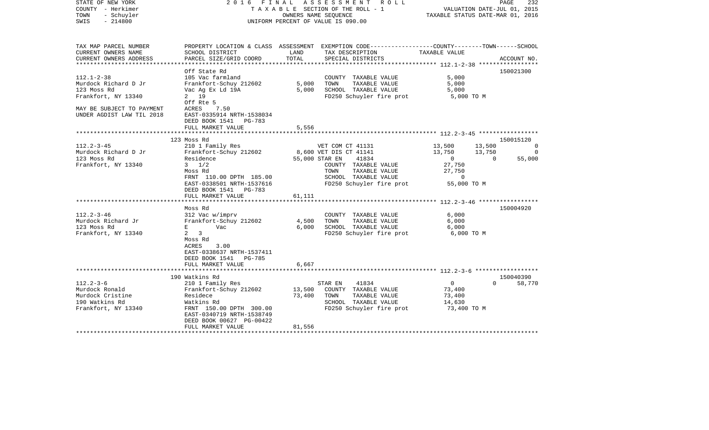| STATE OF NEW YORK<br>COUNTY - Herkimer<br>TOWN<br>- Schuyler<br>$-214800$<br>SWIS | 2016                                                                | FINAL  | ASSESSMENT ROLL<br>TAXABLE SECTION OF THE ROLL - 1<br>OWNERS NAME SEOUENCE<br>UNIFORM PERCENT OF VALUE IS 090.00 | TAXABLE STATUS DATE-MAR 01, 2016 | PAGE<br>232<br>VALUATION DATE-JUL 01, 2015 |
|-----------------------------------------------------------------------------------|---------------------------------------------------------------------|--------|------------------------------------------------------------------------------------------------------------------|----------------------------------|--------------------------------------------|
| TAX MAP PARCEL NUMBER<br>CURRENT OWNERS NAME                                      | PROPERTY LOCATION & CLASS ASSESSMENT<br>SCHOOL DISTRICT             | LAND   | EXEMPTION CODE-----------------COUNTY--------TOWN------SCHOOL<br>TAX DESCRIPTION                                 | TAXABLE VALUE                    |                                            |
| CURRENT OWNERS ADDRESS<br>****************                                        | PARCEL SIZE/GRID COORD                                              | TOTAL  | SPECIAL DISTRICTS                                                                                                |                                  | ACCOUNT NO.                                |
|                                                                                   | Off State Rd                                                        |        |                                                                                                                  |                                  | 150021300                                  |
| $112.1 - 2 - 38$                                                                  | 105 Vac farmland                                                    |        | COUNTY TAXABLE VALUE                                                                                             | 5,000                            |                                            |
| Murdock Richard D Jr                                                              | Frankfort-Schuy 212602                                              | 5,000  | TAXABLE VALUE<br>TOWN                                                                                            | 5,000                            |                                            |
| 123 Moss Rd                                                                       | Vac Ag Ex Ld 19A                                                    | 5,000  | SCHOOL TAXABLE VALUE                                                                                             | 5,000                            |                                            |
| Frankfort, NY 13340                                                               | 2 19                                                                |        | FD250 Schuyler fire prot                                                                                         | 5,000 TO M                       |                                            |
|                                                                                   | Off Rte 5                                                           |        |                                                                                                                  |                                  |                                            |
| MAY BE SUBJECT TO PAYMENT<br>UNDER AGDIST LAW TIL 2018                            | ACRES<br>7.50<br>EAST-0335914 NRTH-1538034<br>DEED BOOK 1541 PG-783 |        |                                                                                                                  |                                  |                                            |
|                                                                                   | FULL MARKET VALUE                                                   | 5,556  |                                                                                                                  |                                  |                                            |
|                                                                                   |                                                                     |        |                                                                                                                  |                                  |                                            |
|                                                                                   | 123 Moss Rd                                                         |        |                                                                                                                  |                                  | 150015120                                  |
| $112.2 - 3 - 45$                                                                  | 210 1 Family Res                                                    |        | VET COM CT 41131                                                                                                 | 13,500                           | 13,500<br>0                                |
| Murdock Richard D Jr                                                              | Frankfort-Schuy 212602                                              |        | 8,600 VET DIS CT 41141                                                                                           | 13,750                           | 13,750<br>$\Omega$                         |
| 123 Moss Rd                                                                       | Residence<br>$3 \frac{1}{2}$                                        |        | 55,000 STAR EN<br>41834                                                                                          | $\overline{0}$                   | $\Omega$<br>55,000                         |
| Frankfort, NY 13340                                                               | Moss Rd                                                             |        | COUNTY TAXABLE VALUE<br>TOWN<br>TAXABLE VALUE                                                                    | 27,750<br>27,750                 |                                            |
|                                                                                   | FRNT 110.00 DPTH 185.00                                             |        | SCHOOL TAXABLE VALUE                                                                                             | 0                                |                                            |
|                                                                                   | EAST-0338501 NRTH-1537616                                           |        | FD250 Schuyler fire prot                                                                                         | 55,000 TO M                      |                                            |
|                                                                                   | DEED BOOK 1541<br>PG-783                                            |        |                                                                                                                  |                                  |                                            |
|                                                                                   | FULL MARKET VALUE                                                   | 61,111 |                                                                                                                  |                                  |                                            |
|                                                                                   |                                                                     |        |                                                                                                                  |                                  |                                            |
|                                                                                   | Moss Rd                                                             |        |                                                                                                                  |                                  | 150004920                                  |
| $112.2 - 3 - 46$                                                                  | 312 Vac w/imprv                                                     |        | COUNTY TAXABLE VALUE                                                                                             | 6,000                            |                                            |
| Murdock Richard Jr                                                                | Frankfort-Schuy 212602                                              | 4,500  | TOWN<br>TAXABLE VALUE                                                                                            | 6,000                            |                                            |
| 123 Moss Rd<br>Frankfort, NY 13340                                                | E<br>Vac<br>$\overline{\mathbf{3}}$<br>2                            | 6,000  | SCHOOL TAXABLE VALUE<br>FD250 Schuyler fire prot                                                                 | 6,000<br>6,000 TO M              |                                            |
|                                                                                   | Moss Rd                                                             |        |                                                                                                                  |                                  |                                            |
|                                                                                   | ACRES<br>3.00                                                       |        |                                                                                                                  |                                  |                                            |
|                                                                                   | EAST-0338637 NRTH-1537411                                           |        |                                                                                                                  |                                  |                                            |
|                                                                                   | DEED BOOK 1541<br>PG-785                                            |        |                                                                                                                  |                                  |                                            |
|                                                                                   | FULL MARKET VALUE                                                   | 6,667  |                                                                                                                  |                                  |                                            |
|                                                                                   |                                                                     |        |                                                                                                                  |                                  |                                            |
|                                                                                   | 190 Watkins Rd                                                      |        |                                                                                                                  |                                  | 150040390                                  |
| $112.2 - 3 - 6$                                                                   | 210 1 Family Res                                                    |        | 41834<br>STAR EN                                                                                                 | $\overline{0}$                   | $\Omega$<br>58,770                         |
| Murdock Ronald                                                                    | Frankfort-Schuy 212602                                              | 13,500 | COUNTY TAXABLE VALUE                                                                                             | 73,400                           |                                            |
| Murdock Cristine<br>190 Watkins Rd                                                | Residece<br>Watkins Rd                                              | 73,400 | TOWN<br>TAXABLE VALUE<br>SCHOOL TAXABLE VALUE                                                                    | 73,400<br>14,630                 |                                            |
| Frankfort, NY 13340                                                               | FRNT 150.00 DPTH 300.00                                             |        | FD250 Schuyler fire prot                                                                                         | 73,400 TO M                      |                                            |
|                                                                                   | EAST-0340719 NRTH-1538749                                           |        |                                                                                                                  |                                  |                                            |
|                                                                                   | DEED BOOK 00627 PG-00422                                            |        |                                                                                                                  |                                  |                                            |
|                                                                                   | FULL MARKET VALUE                                                   | 81,556 |                                                                                                                  |                                  |                                            |
|                                                                                   |                                                                     |        |                                                                                                                  |                                  |                                            |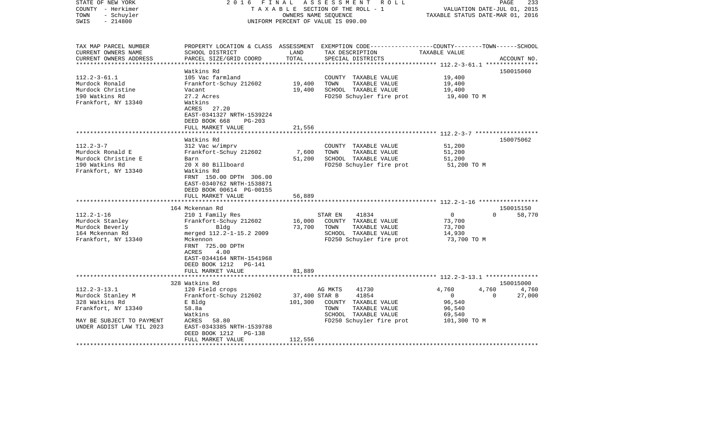| PROPERTY LOCATION & CLASS ASSESSMENT EXEMPTION CODE---------------COUNTY-------TOWN------SCHOOL<br>TAX MAP PARCEL NUMBER<br>CURRENT OWNERS NAME<br>SCHOOL DISTRICT<br>LAND<br>TAX DESCRIPTION<br>TAXABLE VALUE<br>TOTAL<br>CURRENT OWNERS ADDRESS<br>PARCEL SIZE/GRID COORD<br>SPECIAL DISTRICTS<br>ACCOUNT NO.<br>************************<br>150015060<br>Watkins Rd<br>$112.2 - 3 - 61.1$<br>105 Vac farmland<br>COUNTY TAXABLE VALUE<br>19,400<br>Murdock Ronald<br>Frankfort-Schuy 212602<br>19,400<br>TOWN<br>TAXABLE VALUE<br>19,400<br>Murdock Christine<br>19,400<br>SCHOOL TAXABLE VALUE<br>19,400<br>Vacant<br>190 Watkins Rd<br>27.2 Acres<br>FD250 Schuyler fire prot<br>19,400 TO M<br>Frankfort, NY 13340<br>Watkins<br>ACRES 27.20<br>EAST-0341327 NRTH-1539224<br>DEED BOOK 668<br>$PG-203$<br>FULL MARKET VALUE<br>21,556<br>********************* 112.2-3-7 *******************<br>Watkins Rd<br>150075062<br>$112.2 - 3 - 7$<br>51,200<br>312 Vac w/imprv<br>COUNTY TAXABLE VALUE<br>Murdock Ronald E<br>Frankfort-Schuy 212602<br>7,600<br>TOWN<br>TAXABLE VALUE<br>51,200<br>Murdock Christine E<br>51,200<br>SCHOOL TAXABLE VALUE<br>51,200<br>Barn<br>190 Watkins Rd<br>20 X 80 Billboard<br>FD250 Schuyler fire prot<br>51,200 TO M<br>Frankfort, NY 13340<br>Watkins Rd<br>FRNT 150.00 DPTH 306.00<br>EAST-0340762 NRTH-1538871<br>DEED BOOK 00614 PG-00155<br>FULL MARKET VALUE<br>56,889<br>***********************<br>150015150<br>164 Mckennan Rd<br>$112.2 - 1 - 16$<br>41834<br>$\overline{0}$<br>58,770<br>210 1 Family Res<br>STAR EN<br>$\Omega$<br>Murdock Stanley<br>16,000<br>COUNTY TAXABLE VALUE<br>Frankfort-Schuy 212602<br>73,700<br>Murdock Beverly<br>Bldg<br>73,700<br>TOWN<br>TAXABLE VALUE<br>73,700<br>$S \sim$<br>SCHOOL TAXABLE VALUE<br>14,930<br>164 Mckennan Rd<br>merged 112.2-1-15.2 2009<br>Frankfort, NY 13340<br>FD250 Schuyler fire prot<br>73,700 TO M<br>Mckennon<br>FRNT 725.00 DPTH<br>ACRES<br>4.00<br>EAST-0344164 NRTH-1541968<br>DEED BOOK 1212 PG-141<br>81,889<br>FULL MARKET VALUE<br>**************************<br>328 Watkins Rd<br>150015000<br>$112.2 - 3 - 13.1$<br>41730<br>4,760<br>120 Field crops<br>AG MKTS<br>4,760<br>4,760<br>Murdock Stanley M<br>Frankfort-Schuy 212602<br>37,400 STAR B<br>41854<br>27,000<br>$\mathbf{0}$<br>$\Omega$<br>328 Watkins Rd<br>101,300<br>96,540<br>E Bldg<br>COUNTY TAXABLE VALUE<br>Frankfort, NY 13340<br>TAXABLE VALUE<br>58.8a<br>TOWN<br>96,540<br>SCHOOL TAXABLE VALUE<br>Watkins<br>69,540<br>58.80<br>FD250 Schuyler fire prot<br>MAY BE SUBJECT TO PAYMENT<br>ACRES<br>101,300 TO M<br>EAST-0343385 NRTH-1539788<br>UNDER AGDIST LAW TIL 2023<br>DEED BOOK 1212<br>PG-138<br>112,556<br>FULL MARKET VALUE | STATE OF NEW YORK<br>COUNTY - Herkimer<br>- Schuyler<br>TOWN<br>$-214800$<br>SWIS | 2016 FINAL | OWNERS NAME SEQUENCE | ASSESSMENT<br>R O L L<br>TAXABLE SECTION OF THE ROLL - 1<br>UNIFORM PERCENT OF VALUE IS 090.00 | VALUATION DATE-JUL 01, 2015<br>TAXABLE STATUS DATE-MAR 01, 2016 | 233<br>PAGE |
|-----------------------------------------------------------------------------------------------------------------------------------------------------------------------------------------------------------------------------------------------------------------------------------------------------------------------------------------------------------------------------------------------------------------------------------------------------------------------------------------------------------------------------------------------------------------------------------------------------------------------------------------------------------------------------------------------------------------------------------------------------------------------------------------------------------------------------------------------------------------------------------------------------------------------------------------------------------------------------------------------------------------------------------------------------------------------------------------------------------------------------------------------------------------------------------------------------------------------------------------------------------------------------------------------------------------------------------------------------------------------------------------------------------------------------------------------------------------------------------------------------------------------------------------------------------------------------------------------------------------------------------------------------------------------------------------------------------------------------------------------------------------------------------------------------------------------------------------------------------------------------------------------------------------------------------------------------------------------------------------------------------------------------------------------------------------------------------------------------------------------------------------------------------------------------------------------------------------------------------------------------------------------------------------------------------------------------------------------------------------------------------------------------------------------------------------------------------------------------------------------------------------------------------------------------------------------------------------------------------------------------------------------------------------------------------------------------------------------------------------|-----------------------------------------------------------------------------------|------------|----------------------|------------------------------------------------------------------------------------------------|-----------------------------------------------------------------|-------------|
|                                                                                                                                                                                                                                                                                                                                                                                                                                                                                                                                                                                                                                                                                                                                                                                                                                                                                                                                                                                                                                                                                                                                                                                                                                                                                                                                                                                                                                                                                                                                                                                                                                                                                                                                                                                                                                                                                                                                                                                                                                                                                                                                                                                                                                                                                                                                                                                                                                                                                                                                                                                                                                                                                                                                         |                                                                                   |            |                      |                                                                                                |                                                                 |             |
|                                                                                                                                                                                                                                                                                                                                                                                                                                                                                                                                                                                                                                                                                                                                                                                                                                                                                                                                                                                                                                                                                                                                                                                                                                                                                                                                                                                                                                                                                                                                                                                                                                                                                                                                                                                                                                                                                                                                                                                                                                                                                                                                                                                                                                                                                                                                                                                                                                                                                                                                                                                                                                                                                                                                         |                                                                                   |            |                      |                                                                                                |                                                                 |             |
|                                                                                                                                                                                                                                                                                                                                                                                                                                                                                                                                                                                                                                                                                                                                                                                                                                                                                                                                                                                                                                                                                                                                                                                                                                                                                                                                                                                                                                                                                                                                                                                                                                                                                                                                                                                                                                                                                                                                                                                                                                                                                                                                                                                                                                                                                                                                                                                                                                                                                                                                                                                                                                                                                                                                         |                                                                                   |            |                      |                                                                                                |                                                                 |             |
|                                                                                                                                                                                                                                                                                                                                                                                                                                                                                                                                                                                                                                                                                                                                                                                                                                                                                                                                                                                                                                                                                                                                                                                                                                                                                                                                                                                                                                                                                                                                                                                                                                                                                                                                                                                                                                                                                                                                                                                                                                                                                                                                                                                                                                                                                                                                                                                                                                                                                                                                                                                                                                                                                                                                         |                                                                                   |            |                      |                                                                                                |                                                                 |             |
|                                                                                                                                                                                                                                                                                                                                                                                                                                                                                                                                                                                                                                                                                                                                                                                                                                                                                                                                                                                                                                                                                                                                                                                                                                                                                                                                                                                                                                                                                                                                                                                                                                                                                                                                                                                                                                                                                                                                                                                                                                                                                                                                                                                                                                                                                                                                                                                                                                                                                                                                                                                                                                                                                                                                         |                                                                                   |            |                      |                                                                                                |                                                                 |             |
|                                                                                                                                                                                                                                                                                                                                                                                                                                                                                                                                                                                                                                                                                                                                                                                                                                                                                                                                                                                                                                                                                                                                                                                                                                                                                                                                                                                                                                                                                                                                                                                                                                                                                                                                                                                                                                                                                                                                                                                                                                                                                                                                                                                                                                                                                                                                                                                                                                                                                                                                                                                                                                                                                                                                         |                                                                                   |            |                      |                                                                                                |                                                                 |             |
|                                                                                                                                                                                                                                                                                                                                                                                                                                                                                                                                                                                                                                                                                                                                                                                                                                                                                                                                                                                                                                                                                                                                                                                                                                                                                                                                                                                                                                                                                                                                                                                                                                                                                                                                                                                                                                                                                                                                                                                                                                                                                                                                                                                                                                                                                                                                                                                                                                                                                                                                                                                                                                                                                                                                         |                                                                                   |            |                      |                                                                                                |                                                                 |             |
|                                                                                                                                                                                                                                                                                                                                                                                                                                                                                                                                                                                                                                                                                                                                                                                                                                                                                                                                                                                                                                                                                                                                                                                                                                                                                                                                                                                                                                                                                                                                                                                                                                                                                                                                                                                                                                                                                                                                                                                                                                                                                                                                                                                                                                                                                                                                                                                                                                                                                                                                                                                                                                                                                                                                         |                                                                                   |            |                      |                                                                                                |                                                                 |             |
|                                                                                                                                                                                                                                                                                                                                                                                                                                                                                                                                                                                                                                                                                                                                                                                                                                                                                                                                                                                                                                                                                                                                                                                                                                                                                                                                                                                                                                                                                                                                                                                                                                                                                                                                                                                                                                                                                                                                                                                                                                                                                                                                                                                                                                                                                                                                                                                                                                                                                                                                                                                                                                                                                                                                         |                                                                                   |            |                      |                                                                                                |                                                                 |             |
|                                                                                                                                                                                                                                                                                                                                                                                                                                                                                                                                                                                                                                                                                                                                                                                                                                                                                                                                                                                                                                                                                                                                                                                                                                                                                                                                                                                                                                                                                                                                                                                                                                                                                                                                                                                                                                                                                                                                                                                                                                                                                                                                                                                                                                                                                                                                                                                                                                                                                                                                                                                                                                                                                                                                         |                                                                                   |            |                      |                                                                                                |                                                                 |             |
|                                                                                                                                                                                                                                                                                                                                                                                                                                                                                                                                                                                                                                                                                                                                                                                                                                                                                                                                                                                                                                                                                                                                                                                                                                                                                                                                                                                                                                                                                                                                                                                                                                                                                                                                                                                                                                                                                                                                                                                                                                                                                                                                                                                                                                                                                                                                                                                                                                                                                                                                                                                                                                                                                                                                         |                                                                                   |            |                      |                                                                                                |                                                                 |             |
|                                                                                                                                                                                                                                                                                                                                                                                                                                                                                                                                                                                                                                                                                                                                                                                                                                                                                                                                                                                                                                                                                                                                                                                                                                                                                                                                                                                                                                                                                                                                                                                                                                                                                                                                                                                                                                                                                                                                                                                                                                                                                                                                                                                                                                                                                                                                                                                                                                                                                                                                                                                                                                                                                                                                         |                                                                                   |            |                      |                                                                                                |                                                                 |             |
|                                                                                                                                                                                                                                                                                                                                                                                                                                                                                                                                                                                                                                                                                                                                                                                                                                                                                                                                                                                                                                                                                                                                                                                                                                                                                                                                                                                                                                                                                                                                                                                                                                                                                                                                                                                                                                                                                                                                                                                                                                                                                                                                                                                                                                                                                                                                                                                                                                                                                                                                                                                                                                                                                                                                         |                                                                                   |            |                      |                                                                                                |                                                                 |             |
|                                                                                                                                                                                                                                                                                                                                                                                                                                                                                                                                                                                                                                                                                                                                                                                                                                                                                                                                                                                                                                                                                                                                                                                                                                                                                                                                                                                                                                                                                                                                                                                                                                                                                                                                                                                                                                                                                                                                                                                                                                                                                                                                                                                                                                                                                                                                                                                                                                                                                                                                                                                                                                                                                                                                         |                                                                                   |            |                      |                                                                                                |                                                                 |             |
|                                                                                                                                                                                                                                                                                                                                                                                                                                                                                                                                                                                                                                                                                                                                                                                                                                                                                                                                                                                                                                                                                                                                                                                                                                                                                                                                                                                                                                                                                                                                                                                                                                                                                                                                                                                                                                                                                                                                                                                                                                                                                                                                                                                                                                                                                                                                                                                                                                                                                                                                                                                                                                                                                                                                         |                                                                                   |            |                      |                                                                                                |                                                                 |             |
|                                                                                                                                                                                                                                                                                                                                                                                                                                                                                                                                                                                                                                                                                                                                                                                                                                                                                                                                                                                                                                                                                                                                                                                                                                                                                                                                                                                                                                                                                                                                                                                                                                                                                                                                                                                                                                                                                                                                                                                                                                                                                                                                                                                                                                                                                                                                                                                                                                                                                                                                                                                                                                                                                                                                         |                                                                                   |            |                      |                                                                                                |                                                                 |             |
|                                                                                                                                                                                                                                                                                                                                                                                                                                                                                                                                                                                                                                                                                                                                                                                                                                                                                                                                                                                                                                                                                                                                                                                                                                                                                                                                                                                                                                                                                                                                                                                                                                                                                                                                                                                                                                                                                                                                                                                                                                                                                                                                                                                                                                                                                                                                                                                                                                                                                                                                                                                                                                                                                                                                         |                                                                                   |            |                      |                                                                                                |                                                                 |             |
|                                                                                                                                                                                                                                                                                                                                                                                                                                                                                                                                                                                                                                                                                                                                                                                                                                                                                                                                                                                                                                                                                                                                                                                                                                                                                                                                                                                                                                                                                                                                                                                                                                                                                                                                                                                                                                                                                                                                                                                                                                                                                                                                                                                                                                                                                                                                                                                                                                                                                                                                                                                                                                                                                                                                         |                                                                                   |            |                      |                                                                                                |                                                                 |             |
|                                                                                                                                                                                                                                                                                                                                                                                                                                                                                                                                                                                                                                                                                                                                                                                                                                                                                                                                                                                                                                                                                                                                                                                                                                                                                                                                                                                                                                                                                                                                                                                                                                                                                                                                                                                                                                                                                                                                                                                                                                                                                                                                                                                                                                                                                                                                                                                                                                                                                                                                                                                                                                                                                                                                         |                                                                                   |            |                      |                                                                                                |                                                                 |             |
|                                                                                                                                                                                                                                                                                                                                                                                                                                                                                                                                                                                                                                                                                                                                                                                                                                                                                                                                                                                                                                                                                                                                                                                                                                                                                                                                                                                                                                                                                                                                                                                                                                                                                                                                                                                                                                                                                                                                                                                                                                                                                                                                                                                                                                                                                                                                                                                                                                                                                                                                                                                                                                                                                                                                         |                                                                                   |            |                      |                                                                                                |                                                                 |             |
|                                                                                                                                                                                                                                                                                                                                                                                                                                                                                                                                                                                                                                                                                                                                                                                                                                                                                                                                                                                                                                                                                                                                                                                                                                                                                                                                                                                                                                                                                                                                                                                                                                                                                                                                                                                                                                                                                                                                                                                                                                                                                                                                                                                                                                                                                                                                                                                                                                                                                                                                                                                                                                                                                                                                         |                                                                                   |            |                      |                                                                                                |                                                                 |             |
|                                                                                                                                                                                                                                                                                                                                                                                                                                                                                                                                                                                                                                                                                                                                                                                                                                                                                                                                                                                                                                                                                                                                                                                                                                                                                                                                                                                                                                                                                                                                                                                                                                                                                                                                                                                                                                                                                                                                                                                                                                                                                                                                                                                                                                                                                                                                                                                                                                                                                                                                                                                                                                                                                                                                         |                                                                                   |            |                      |                                                                                                |                                                                 |             |
|                                                                                                                                                                                                                                                                                                                                                                                                                                                                                                                                                                                                                                                                                                                                                                                                                                                                                                                                                                                                                                                                                                                                                                                                                                                                                                                                                                                                                                                                                                                                                                                                                                                                                                                                                                                                                                                                                                                                                                                                                                                                                                                                                                                                                                                                                                                                                                                                                                                                                                                                                                                                                                                                                                                                         |                                                                                   |            |                      |                                                                                                |                                                                 |             |
|                                                                                                                                                                                                                                                                                                                                                                                                                                                                                                                                                                                                                                                                                                                                                                                                                                                                                                                                                                                                                                                                                                                                                                                                                                                                                                                                                                                                                                                                                                                                                                                                                                                                                                                                                                                                                                                                                                                                                                                                                                                                                                                                                                                                                                                                                                                                                                                                                                                                                                                                                                                                                                                                                                                                         |                                                                                   |            |                      |                                                                                                |                                                                 |             |
|                                                                                                                                                                                                                                                                                                                                                                                                                                                                                                                                                                                                                                                                                                                                                                                                                                                                                                                                                                                                                                                                                                                                                                                                                                                                                                                                                                                                                                                                                                                                                                                                                                                                                                                                                                                                                                                                                                                                                                                                                                                                                                                                                                                                                                                                                                                                                                                                                                                                                                                                                                                                                                                                                                                                         |                                                                                   |            |                      |                                                                                                |                                                                 |             |
|                                                                                                                                                                                                                                                                                                                                                                                                                                                                                                                                                                                                                                                                                                                                                                                                                                                                                                                                                                                                                                                                                                                                                                                                                                                                                                                                                                                                                                                                                                                                                                                                                                                                                                                                                                                                                                                                                                                                                                                                                                                                                                                                                                                                                                                                                                                                                                                                                                                                                                                                                                                                                                                                                                                                         |                                                                                   |            |                      |                                                                                                |                                                                 |             |
|                                                                                                                                                                                                                                                                                                                                                                                                                                                                                                                                                                                                                                                                                                                                                                                                                                                                                                                                                                                                                                                                                                                                                                                                                                                                                                                                                                                                                                                                                                                                                                                                                                                                                                                                                                                                                                                                                                                                                                                                                                                                                                                                                                                                                                                                                                                                                                                                                                                                                                                                                                                                                                                                                                                                         |                                                                                   |            |                      |                                                                                                |                                                                 |             |
|                                                                                                                                                                                                                                                                                                                                                                                                                                                                                                                                                                                                                                                                                                                                                                                                                                                                                                                                                                                                                                                                                                                                                                                                                                                                                                                                                                                                                                                                                                                                                                                                                                                                                                                                                                                                                                                                                                                                                                                                                                                                                                                                                                                                                                                                                                                                                                                                                                                                                                                                                                                                                                                                                                                                         |                                                                                   |            |                      |                                                                                                |                                                                 |             |
|                                                                                                                                                                                                                                                                                                                                                                                                                                                                                                                                                                                                                                                                                                                                                                                                                                                                                                                                                                                                                                                                                                                                                                                                                                                                                                                                                                                                                                                                                                                                                                                                                                                                                                                                                                                                                                                                                                                                                                                                                                                                                                                                                                                                                                                                                                                                                                                                                                                                                                                                                                                                                                                                                                                                         |                                                                                   |            |                      |                                                                                                |                                                                 |             |
|                                                                                                                                                                                                                                                                                                                                                                                                                                                                                                                                                                                                                                                                                                                                                                                                                                                                                                                                                                                                                                                                                                                                                                                                                                                                                                                                                                                                                                                                                                                                                                                                                                                                                                                                                                                                                                                                                                                                                                                                                                                                                                                                                                                                                                                                                                                                                                                                                                                                                                                                                                                                                                                                                                                                         |                                                                                   |            |                      |                                                                                                |                                                                 |             |
|                                                                                                                                                                                                                                                                                                                                                                                                                                                                                                                                                                                                                                                                                                                                                                                                                                                                                                                                                                                                                                                                                                                                                                                                                                                                                                                                                                                                                                                                                                                                                                                                                                                                                                                                                                                                                                                                                                                                                                                                                                                                                                                                                                                                                                                                                                                                                                                                                                                                                                                                                                                                                                                                                                                                         |                                                                                   |            |                      |                                                                                                |                                                                 |             |
|                                                                                                                                                                                                                                                                                                                                                                                                                                                                                                                                                                                                                                                                                                                                                                                                                                                                                                                                                                                                                                                                                                                                                                                                                                                                                                                                                                                                                                                                                                                                                                                                                                                                                                                                                                                                                                                                                                                                                                                                                                                                                                                                                                                                                                                                                                                                                                                                                                                                                                                                                                                                                                                                                                                                         |                                                                                   |            |                      |                                                                                                |                                                                 |             |
|                                                                                                                                                                                                                                                                                                                                                                                                                                                                                                                                                                                                                                                                                                                                                                                                                                                                                                                                                                                                                                                                                                                                                                                                                                                                                                                                                                                                                                                                                                                                                                                                                                                                                                                                                                                                                                                                                                                                                                                                                                                                                                                                                                                                                                                                                                                                                                                                                                                                                                                                                                                                                                                                                                                                         |                                                                                   |            |                      |                                                                                                |                                                                 |             |
|                                                                                                                                                                                                                                                                                                                                                                                                                                                                                                                                                                                                                                                                                                                                                                                                                                                                                                                                                                                                                                                                                                                                                                                                                                                                                                                                                                                                                                                                                                                                                                                                                                                                                                                                                                                                                                                                                                                                                                                                                                                                                                                                                                                                                                                                                                                                                                                                                                                                                                                                                                                                                                                                                                                                         |                                                                                   |            |                      |                                                                                                |                                                                 |             |
|                                                                                                                                                                                                                                                                                                                                                                                                                                                                                                                                                                                                                                                                                                                                                                                                                                                                                                                                                                                                                                                                                                                                                                                                                                                                                                                                                                                                                                                                                                                                                                                                                                                                                                                                                                                                                                                                                                                                                                                                                                                                                                                                                                                                                                                                                                                                                                                                                                                                                                                                                                                                                                                                                                                                         |                                                                                   |            |                      |                                                                                                |                                                                 |             |
|                                                                                                                                                                                                                                                                                                                                                                                                                                                                                                                                                                                                                                                                                                                                                                                                                                                                                                                                                                                                                                                                                                                                                                                                                                                                                                                                                                                                                                                                                                                                                                                                                                                                                                                                                                                                                                                                                                                                                                                                                                                                                                                                                                                                                                                                                                                                                                                                                                                                                                                                                                                                                                                                                                                                         |                                                                                   |            |                      |                                                                                                |                                                                 |             |
|                                                                                                                                                                                                                                                                                                                                                                                                                                                                                                                                                                                                                                                                                                                                                                                                                                                                                                                                                                                                                                                                                                                                                                                                                                                                                                                                                                                                                                                                                                                                                                                                                                                                                                                                                                                                                                                                                                                                                                                                                                                                                                                                                                                                                                                                                                                                                                                                                                                                                                                                                                                                                                                                                                                                         |                                                                                   |            |                      |                                                                                                |                                                                 |             |
|                                                                                                                                                                                                                                                                                                                                                                                                                                                                                                                                                                                                                                                                                                                                                                                                                                                                                                                                                                                                                                                                                                                                                                                                                                                                                                                                                                                                                                                                                                                                                                                                                                                                                                                                                                                                                                                                                                                                                                                                                                                                                                                                                                                                                                                                                                                                                                                                                                                                                                                                                                                                                                                                                                                                         |                                                                                   |            |                      |                                                                                                |                                                                 |             |
|                                                                                                                                                                                                                                                                                                                                                                                                                                                                                                                                                                                                                                                                                                                                                                                                                                                                                                                                                                                                                                                                                                                                                                                                                                                                                                                                                                                                                                                                                                                                                                                                                                                                                                                                                                                                                                                                                                                                                                                                                                                                                                                                                                                                                                                                                                                                                                                                                                                                                                                                                                                                                                                                                                                                         |                                                                                   |            |                      |                                                                                                |                                                                 |             |
|                                                                                                                                                                                                                                                                                                                                                                                                                                                                                                                                                                                                                                                                                                                                                                                                                                                                                                                                                                                                                                                                                                                                                                                                                                                                                                                                                                                                                                                                                                                                                                                                                                                                                                                                                                                                                                                                                                                                                                                                                                                                                                                                                                                                                                                                                                                                                                                                                                                                                                                                                                                                                                                                                                                                         |                                                                                   |            |                      |                                                                                                |                                                                 |             |
|                                                                                                                                                                                                                                                                                                                                                                                                                                                                                                                                                                                                                                                                                                                                                                                                                                                                                                                                                                                                                                                                                                                                                                                                                                                                                                                                                                                                                                                                                                                                                                                                                                                                                                                                                                                                                                                                                                                                                                                                                                                                                                                                                                                                                                                                                                                                                                                                                                                                                                                                                                                                                                                                                                                                         |                                                                                   |            |                      |                                                                                                |                                                                 |             |
|                                                                                                                                                                                                                                                                                                                                                                                                                                                                                                                                                                                                                                                                                                                                                                                                                                                                                                                                                                                                                                                                                                                                                                                                                                                                                                                                                                                                                                                                                                                                                                                                                                                                                                                                                                                                                                                                                                                                                                                                                                                                                                                                                                                                                                                                                                                                                                                                                                                                                                                                                                                                                                                                                                                                         |                                                                                   |            |                      |                                                                                                |                                                                 |             |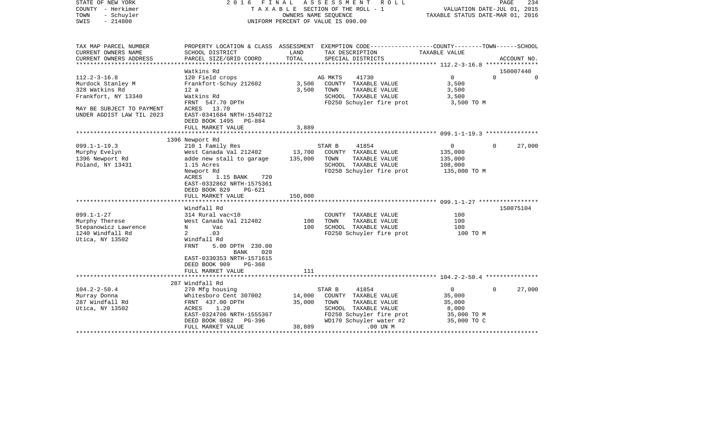| STATE OF NEW YORK<br>COUNTY - Herkimer<br>- Schuyler<br>TOWN<br>$-214800$<br>SWIS | 2016                                      | FINAL   | ASSESSMENT<br>R O L L<br>TAXABLE SECTION OF THE ROLL - 1<br>OWNERS NAME SEQUENCE<br>UNIFORM PERCENT OF VALUE IS 090.00 | TAXABLE STATUS DATE-MAR 01, 2016 | 234<br>PAGE<br>VALUATION DATE-JUL 01, 2015 |
|-----------------------------------------------------------------------------------|-------------------------------------------|---------|------------------------------------------------------------------------------------------------------------------------|----------------------------------|--------------------------------------------|
|                                                                                   |                                           |         |                                                                                                                        |                                  |                                            |
| TAX MAP PARCEL NUMBER                                                             |                                           |         | PROPERTY LOCATION & CLASS ASSESSMENT EXEMPTION CODE---------------COUNTY-------TOWN------SCHOOL                        |                                  |                                            |
| CURRENT OWNERS NAME                                                               | SCHOOL DISTRICT                           | LAND    | TAX DESCRIPTION                                                                                                        | TAXABLE VALUE                    |                                            |
| CURRENT OWNERS ADDRESS                                                            | PARCEL SIZE/GRID COORD                    | TOTAL   | SPECIAL DISTRICTS                                                                                                      |                                  | ACCOUNT NO.                                |
| ****************                                                                  |                                           |         |                                                                                                                        |                                  |                                            |
|                                                                                   | Watkins Rd                                |         |                                                                                                                        | $\Omega$                         | 150007440<br>$\Omega$<br>$\Omega$          |
| $112.2 - 3 - 16.8$                                                                | 120 Field crops<br>Frankfort-Schuy 212602 | 3,500   | AG MKTS<br>41730<br>COUNTY TAXABLE VALUE                                                                               | 3,500                            |                                            |
| Murdock Stanley M<br>328 Watkins Rd                                               | 12a                                       | 3,500   | TOWN<br>TAXABLE VALUE                                                                                                  |                                  |                                            |
| Frankfort, NY 13340                                                               | Watkins Rd                                |         | SCHOOL TAXABLE VALUE                                                                                                   | 3,500<br>3,500                   |                                            |
|                                                                                   | FRNT 547.70 DPTH                          |         | FD250 Schuyler fire prot                                                                                               | 3,500 TO M                       |                                            |
| MAY BE SUBJECT TO PAYMENT                                                         | ACRES 13.70                               |         |                                                                                                                        |                                  |                                            |
| UNDER AGDIST LAW TIL 2023                                                         | EAST-0341684 NRTH-1540712                 |         |                                                                                                                        |                                  |                                            |
|                                                                                   | DEED BOOK 1495<br>PG-884                  |         |                                                                                                                        |                                  |                                            |
|                                                                                   | FULL MARKET VALUE                         | 3,889   |                                                                                                                        |                                  |                                            |
|                                                                                   |                                           |         |                                                                                                                        |                                  |                                            |
|                                                                                   | 1396 Newport Rd                           |         |                                                                                                                        |                                  |                                            |
| $099.1 - 1 - 19.3$                                                                | 210 1 Family Res                          |         | STAR B<br>41854                                                                                                        | $\overline{0}$                   | $\Omega$<br>27,000                         |
| Murphy Evelyn                                                                     | West Canada Val 212402                    | 13,700  | COUNTY TAXABLE VALUE                                                                                                   | 135,000                          |                                            |
| 1396 Newport Rd                                                                   | adde new stall to garage                  | 135,000 | TOWN<br>TAXABLE VALUE                                                                                                  | 135,000                          |                                            |
| Poland, NY 13431                                                                  | 1.15 Acres                                |         | SCHOOL TAXABLE VALUE                                                                                                   | 108,000                          |                                            |
|                                                                                   | Newport Rd                                |         | FD250 Schuyler fire prot                                                                                               | 135,000 TO M                     |                                            |
|                                                                                   | ACRES<br>1.15 BANK<br>720                 |         |                                                                                                                        |                                  |                                            |
|                                                                                   | EAST-0332862 NRTH-1575361                 |         |                                                                                                                        |                                  |                                            |
|                                                                                   | DEED BOOK 829<br>$PG-621$                 |         |                                                                                                                        |                                  |                                            |
|                                                                                   | FULL MARKET VALUE                         | 150,000 |                                                                                                                        |                                  |                                            |
|                                                                                   |                                           |         |                                                                                                                        |                                  |                                            |
|                                                                                   | Windfall Rd                               |         |                                                                                                                        |                                  | 150075104                                  |
| $099.1 - 1 - 27$                                                                  | 314 Rural vac<10                          |         | COUNTY TAXABLE VALUE                                                                                                   | 100                              |                                            |
| Murphy Therese                                                                    | West Canada Val 212402                    | 100     | TOWN<br>TAXABLE VALUE                                                                                                  | 100                              |                                            |
| Stepanowicz Lawrence                                                              | Vac<br>N                                  | 100     | SCHOOL TAXABLE VALUE                                                                                                   | 100                              |                                            |
| 1240 Windfall Rd                                                                  | .03<br>2                                  |         | FD250 Schuyler fire prot                                                                                               | 100 TO M                         |                                            |
| Utica, NY 13502                                                                   | Windfall Rd                               |         |                                                                                                                        |                                  |                                            |
|                                                                                   | FRNT<br>5.00 DPTH 230.00                  |         |                                                                                                                        |                                  |                                            |
|                                                                                   | BANK<br>020<br>EAST-0330353 NRTH-1571615  |         |                                                                                                                        |                                  |                                            |
|                                                                                   | DEED BOOK 909<br>PG-368                   |         |                                                                                                                        |                                  |                                            |
|                                                                                   | FULL MARKET VALUE                         | 111     |                                                                                                                        |                                  |                                            |
|                                                                                   |                                           |         |                                                                                                                        |                                  |                                            |
|                                                                                   | 287 Windfall Rd                           |         |                                                                                                                        |                                  |                                            |
| $104.2 - 2 - 50.4$                                                                | 270 Mfg housing                           |         | STAR B<br>41854                                                                                                        | $\overline{0}$                   | 27,000<br>$\Omega$                         |
| Murray Donna                                                                      | Whitesboro Cent 307002                    | 14,000  | COUNTY TAXABLE VALUE                                                                                                   | 35,000                           |                                            |
| 287 Windfall Rd                                                                   | FRNT 437.00 DPTH                          | 35,000  | TOWN<br>TAXABLE VALUE                                                                                                  | 35,000                           |                                            |
| Utica, NY 13502                                                                   | ACRES<br>1.20                             |         | SCHOOL TAXABLE VALUE                                                                                                   | 8,000                            |                                            |
|                                                                                   | EAST-0324706 NRTH-1555367                 |         | FD250 Schuyler fire prot                                                                                               | 35,000 TO M                      |                                            |
|                                                                                   | DEED BOOK 0882<br>PG-396                  |         | WD170 Schuyler water #2                                                                                                | 35,000 TO C                      |                                            |
|                                                                                   | FULL MARKET VALUE                         | 38,889  | $.00$ UN $M$                                                                                                           |                                  |                                            |
| ***************************                                                       | **************************                |         |                                                                                                                        |                                  | .                                          |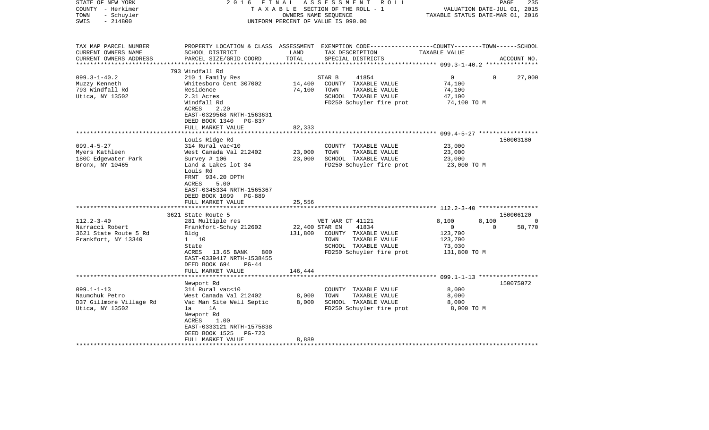| STATE OF NEW YORK<br>COUNTY - Herkimer<br>- Schuyler<br>TOWN<br>$-214800$<br>SWIS                 | 2 0 1 6<br>FINAL                                                                                    | OWNERS NAME SEQUENCE | ASSESSMENT ROLL<br>TAXABLE SECTION OF THE ROLL - 1<br>UNIFORM PERCENT OF VALUE IS 090.00                                                | VALUATION DATE-JUL 01, 2015<br>TAXABLE STATUS DATE-MAR 01, 2016 | PAGE<br>235        |
|---------------------------------------------------------------------------------------------------|-----------------------------------------------------------------------------------------------------|----------------------|-----------------------------------------------------------------------------------------------------------------------------------------|-----------------------------------------------------------------|--------------------|
| TAX MAP PARCEL NUMBER<br>CURRENT OWNERS NAME<br>CURRENT OWNERS ADDRESS<br>*********************** | SCHOOL DISTRICT<br>PARCEL SIZE/GRID COORD                                                           | LAND<br>TOTAL        | PROPERTY LOCATION & CLASS ASSESSMENT EXEMPTION CODE----------------COUNTY-------TOWN-----SCHOOL<br>TAX DESCRIPTION<br>SPECIAL DISTRICTS | TAXABLE VALUE                                                   | ACCOUNT NO.        |
|                                                                                                   | 793 Windfall Rd                                                                                     |                      |                                                                                                                                         |                                                                 |                    |
| $099.3 - 1 - 40.2$                                                                                | 210 1 Family Res                                                                                    |                      | 41854<br>STAR B                                                                                                                         | $\overline{0}$<br>$\Omega$                                      | 27,000             |
| Muzzy Kenneth                                                                                     | Whitesboro Cent 307002                                                                              | 14,400               | COUNTY TAXABLE VALUE                                                                                                                    | 74,100                                                          |                    |
| 793 Windfall Rd                                                                                   | Residence                                                                                           | 74,100               | TOWN<br>TAXABLE VALUE                                                                                                                   | 74,100                                                          |                    |
| Utica, NY 13502                                                                                   | 2.31 Acres                                                                                          |                      | SCHOOL TAXABLE VALUE                                                                                                                    | 47,100                                                          |                    |
|                                                                                                   | Windfall Rd<br>2.20<br>ACRES                                                                        |                      | FD250 Schuyler fire prot                                                                                                                | 74,100 TO M                                                     |                    |
|                                                                                                   | EAST-0329568 NRTH-1563631                                                                           |                      |                                                                                                                                         |                                                                 |                    |
|                                                                                                   | DEED BOOK 1340<br>PG-837                                                                            |                      |                                                                                                                                         |                                                                 |                    |
|                                                                                                   | FULL MARKET VALUE                                                                                   | 82,333               |                                                                                                                                         |                                                                 |                    |
|                                                                                                   | *******************                                                                                 | ************         |                                                                                                                                         |                                                                 |                    |
|                                                                                                   | Louis Ridge Rd                                                                                      |                      |                                                                                                                                         |                                                                 | 150003180          |
| $099.4 - 5 - 27$                                                                                  | 314 Rural vac<10                                                                                    |                      | COUNTY TAXABLE VALUE                                                                                                                    | 23,000                                                          |                    |
| Myers Kathleen                                                                                    | West Canada Val 212402                                                                              | 23,000               | TOWN<br>TAXABLE VALUE                                                                                                                   | 23,000                                                          |                    |
| 180C Edgewater Park                                                                               | Survey # 106                                                                                        | 23,000               | SCHOOL TAXABLE VALUE                                                                                                                    | 23,000                                                          |                    |
| Bronx, NY 10465                                                                                   | Land & Lakes lot 34                                                                                 |                      | FD250 Schuyler fire prot                                                                                                                | 23,000 TO M                                                     |                    |
|                                                                                                   | Louis Rd<br>FRNT 934.20 DPTH<br>5.00<br>ACRES<br>EAST-0345334 NRTH-1565367<br>DEED BOOK 1099 PG-889 |                      |                                                                                                                                         |                                                                 |                    |
|                                                                                                   | FULL MARKET VALUE                                                                                   | 25,556               |                                                                                                                                         |                                                                 |                    |
|                                                                                                   |                                                                                                     |                      |                                                                                                                                         |                                                                 |                    |
| $112.2 - 3 - 40$                                                                                  | 3621 State Route 5                                                                                  |                      |                                                                                                                                         |                                                                 | 150006120          |
| Narracci Robert                                                                                   | 281 Multiple res<br>Frankfort-Schuy 212602                                                          | 22,400 STAR EN       | VET WAR CT 41121<br>41834                                                                                                               | 8,100<br>8,100<br>$\Omega$<br>$\mathbf{0}$                      | $\Omega$<br>58,770 |
| 3621 State Route 5 Rd                                                                             | Blda                                                                                                | 131,800              | COUNTY TAXABLE VALUE                                                                                                                    | 123,700                                                         |                    |
| Frankfort, NY 13340                                                                               | $1 \quad 10$                                                                                        |                      | TOWN<br>TAXABLE VALUE                                                                                                                   | 123,700                                                         |                    |
|                                                                                                   | State                                                                                               |                      | SCHOOL TAXABLE VALUE                                                                                                                    | 73,030                                                          |                    |
|                                                                                                   | ACRES<br>13.65 BANK<br>800<br>EAST-0339417 NRTH-1538455<br>DEED BOOK 694<br>$PG-44$                 |                      | FD250 Schuyler fire prot                                                                                                                | 131,800 TO M                                                    |                    |
|                                                                                                   | FULL MARKET VALUE                                                                                   | 146,444              |                                                                                                                                         |                                                                 |                    |
|                                                                                                   |                                                                                                     |                      |                                                                                                                                         |                                                                 |                    |
|                                                                                                   | Newport Rd                                                                                          |                      |                                                                                                                                         |                                                                 | 150075072          |
| $099.1 - 1 - 13$                                                                                  | 314 Rural vac<10                                                                                    |                      | COUNTY TAXABLE VALUE                                                                                                                    | 8,000                                                           |                    |
| Naumchuk Petro                                                                                    | West Canada Val 212402                                                                              | 8,000                | TOWN<br>TAXABLE VALUE                                                                                                                   | 8,000                                                           |                    |
| D37 Gillmore Village Rd<br>Utica, NY 13502                                                        | Vac Man Site Well Septic<br>1a                                                                      | 8,000                | SCHOOL TAXABLE VALUE                                                                                                                    | 8,000<br>8,000 TO M                                             |                    |
|                                                                                                   | 1A<br>Newport Rd<br>1.00<br>ACRES                                                                   |                      | FD250 Schuyler fire prot                                                                                                                |                                                                 |                    |
|                                                                                                   | EAST-0333121 NRTH-1575838                                                                           |                      |                                                                                                                                         |                                                                 |                    |
|                                                                                                   | DEED BOOK 1525<br>PG-723                                                                            |                      |                                                                                                                                         |                                                                 |                    |
|                                                                                                   | FULL MARKET VALUE                                                                                   | 8,889                |                                                                                                                                         |                                                                 |                    |
|                                                                                                   |                                                                                                     |                      |                                                                                                                                         |                                                                 |                    |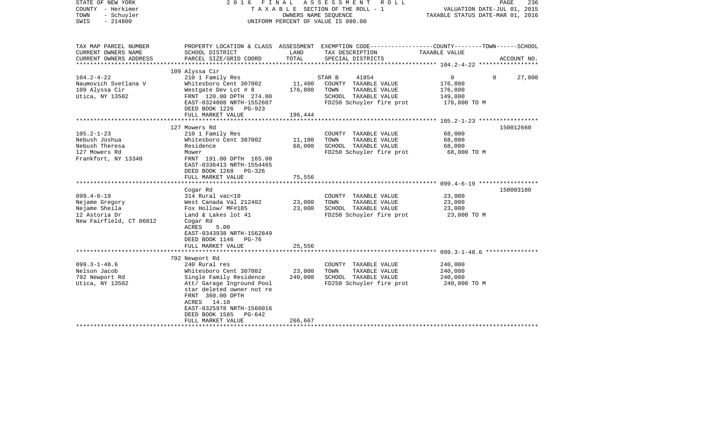| STATE OF NEW YORK<br>COUNTY - Herkimer<br>- Schuyler<br>TOWN<br>$-214800$<br>SWIS | FINAL<br>2016                                                                                | OWNERS NAME SEQUENCE | ASSESSMENT<br>R O L L<br>TAXABLE SECTION OF THE ROLL - 1<br>UNIFORM PERCENT OF VALUE IS 090.00                     | VALUATION DATE-JUL 01, 2015<br>TAXABLE STATUS DATE-MAR 01, 2016 | PAGE<br>236 |
|-----------------------------------------------------------------------------------|----------------------------------------------------------------------------------------------|----------------------|--------------------------------------------------------------------------------------------------------------------|-----------------------------------------------------------------|-------------|
| TAX MAP PARCEL NUMBER<br>CURRENT OWNERS NAME                                      | SCHOOL DISTRICT                                                                              | LAND                 | PROPERTY LOCATION & CLASS ASSESSMENT EXEMPTION CODE---------------COUNTY-------TOWN------SCHOOL<br>TAX DESCRIPTION | TAXABLE VALUE                                                   |             |
| CURRENT OWNERS ADDRESS                                                            | PARCEL SIZE/GRID COORD                                                                       | TOTAL                | SPECIAL DISTRICTS                                                                                                  |                                                                 | ACCOUNT NO. |
| ********************                                                              | ****************************                                                                 |                      |                                                                                                                    |                                                                 |             |
|                                                                                   | 109 Alyssa Cir                                                                               |                      |                                                                                                                    |                                                                 |             |
| $104.2 - 4 - 22$                                                                  | 210 1 Family Res                                                                             | 11,400               | STAR B<br>41854                                                                                                    | $\Omega$<br>$\Omega$                                            | 27,000      |
| Naumovich Svetlana V<br>109 Alyssa Cir                                            | Whitesboro Cent 307002<br>Westgate Dev Lot # 8                                               | 176,800              | COUNTY TAXABLE VALUE<br>TOWN<br>TAXABLE VALUE                                                                      | 176,800<br>176,800                                              |             |
| Utica, NY 13502                                                                   | FRNT 120.00 DPTH 274.00                                                                      |                      | SCHOOL TAXABLE VALUE                                                                                               | 149,800                                                         |             |
|                                                                                   | EAST-0324008 NRTH-1552607                                                                    |                      | FD250 Schuyler fire prot                                                                                           | 176,800 TO M                                                    |             |
|                                                                                   | DEED BOOK 1226 PG-923                                                                        |                      |                                                                                                                    |                                                                 |             |
|                                                                                   | FULL MARKET VALUE                                                                            | 196,444              |                                                                                                                    |                                                                 |             |
|                                                                                   |                                                                                              |                      |                                                                                                                    |                                                                 |             |
|                                                                                   | 127 Mowers Rd                                                                                |                      |                                                                                                                    |                                                                 | 150012660   |
| $105.2 - 1 - 23$                                                                  | 210 1 Family Res                                                                             |                      | COUNTY TAXABLE VALUE                                                                                               | 68,000                                                          |             |
| Nebush Joshua                                                                     | Whitesboro Cent 307002                                                                       | 11,100               | TOWN<br>TAXABLE VALUE                                                                                              | 68,000                                                          |             |
| Nebush Theresa                                                                    | Residence                                                                                    | 68,000               | SCHOOL TAXABLE VALUE                                                                                               | 68,000                                                          |             |
| 127 Mowers Rd                                                                     | Mower                                                                                        |                      | FD250 Schuyler fire prot                                                                                           | 68,000 TO M                                                     |             |
| Frankfort, NY 13340                                                               | FRNT 191.00 DPTH 165.00<br>EAST-0336413 NRTH-1554465<br>DEED BOOK 1268<br>$PG-326$           |                      |                                                                                                                    |                                                                 |             |
|                                                                                   | FULL MARKET VALUE                                                                            | 75,556               |                                                                                                                    |                                                                 |             |
|                                                                                   |                                                                                              |                      |                                                                                                                    |                                                                 | 150003180   |
| $099.4 - 6 - 19$                                                                  | Cogar Rd<br>314 Rural vac<10                                                                 |                      | COUNTY TAXABLE VALUE                                                                                               | 23,000                                                          |             |
| Nejame Gregory                                                                    | West Canada Val 212402                                                                       | 23,000               | TOWN<br>TAXABLE VALUE                                                                                              | 23,000                                                          |             |
| Nejame Sheila                                                                     | Fox Hollow/ MF#185                                                                           | 23,000               | SCHOOL TAXABLE VALUE                                                                                               | 23,000                                                          |             |
| 12 Astoria Dr                                                                     | Land & Lakes lot 41                                                                          |                      | FD250 Schuyler fire prot                                                                                           | 23,000 TO M                                                     |             |
| New Fairfield, CT 06812                                                           | Cogar Rd<br>ACRES<br>5.00<br>EAST-0343938 NRTH-1562849<br>DEED BOOK 1146 PG-76               |                      |                                                                                                                    |                                                                 |             |
|                                                                                   | FULL MARKET VALUE                                                                            | 25,556               |                                                                                                                    |                                                                 |             |
|                                                                                   |                                                                                              |                      |                                                                                                                    |                                                                 |             |
|                                                                                   | 792 Newport Rd                                                                               |                      |                                                                                                                    |                                                                 |             |
| $099.3 - 1 - 48.6$                                                                | 240 Rural res                                                                                |                      | COUNTY TAXABLE VALUE                                                                                               | 240,000                                                         |             |
| Nelson Jacob                                                                      | Whitesboro Cent 307002                                                                       | 23,000               | TOWN<br>TAXABLE VALUE                                                                                              | 240,000                                                         |             |
| 792 Newport Rd                                                                    | Single Family Residence                                                                      | 240,000              | SCHOOL TAXABLE VALUE                                                                                               | 240,000                                                         |             |
| Utica, NY 13502                                                                   | Att/ Garage Inground Pool<br>star deleted owner not re<br>FRNT 360.00 DPTH<br>ACRES<br>14.10 |                      | FD250 Schuyler fire prot                                                                                           | 240,000 TO M                                                    |             |
|                                                                                   | EAST-0325978 NRTH-1566016                                                                    |                      |                                                                                                                    |                                                                 |             |
|                                                                                   | DEED BOOK 1585<br>PG-642<br>FULL MARKET VALUE                                                | 266,667              |                                                                                                                    |                                                                 |             |
|                                                                                   |                                                                                              |                      |                                                                                                                    |                                                                 |             |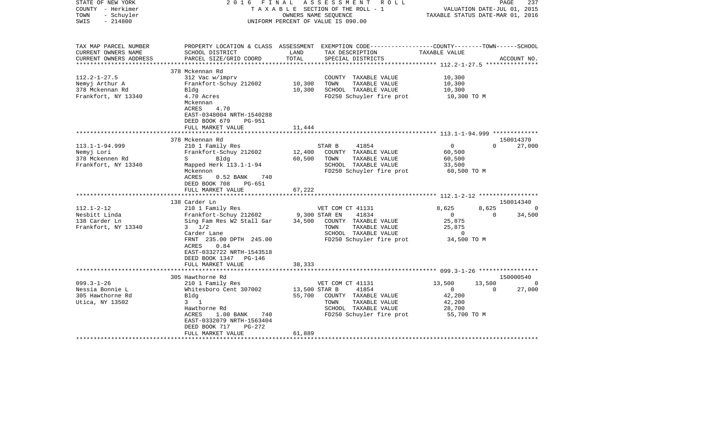| STATE OF NEW YORK<br>COUNTY - Herkimer<br>- Schuyler<br>TOWN<br>$-214800$<br>SWIS               | F I N A L<br>2016                                                                                                                                                                                                            | OWNERS NAME SEQUENCE              | ASSESSMENT<br>R O L L<br>TAXABLE SECTION OF THE ROLL - 1<br>UNIFORM PERCENT OF VALUE IS 090.00                                         | VALUATION DATE-JUL 01, 2015<br>TAXABLE STATUS DATE-MAR 01, 2016              | PAGE               | 237                                   |
|-------------------------------------------------------------------------------------------------|------------------------------------------------------------------------------------------------------------------------------------------------------------------------------------------------------------------------------|-----------------------------------|----------------------------------------------------------------------------------------------------------------------------------------|------------------------------------------------------------------------------|--------------------|---------------------------------------|
| TAX MAP PARCEL NUMBER<br>CURRENT OWNERS NAME<br>CURRENT OWNERS ADDRESS<br>********************* | SCHOOL DISTRICT<br>PARCEL SIZE/GRID COORD<br>****************************                                                                                                                                                    | LAND<br>TOTAL                     | PROPERTY LOCATION & CLASS ASSESSMENT EXEMPTION CODE---------------COUNTY-------TOWN-----SCHOOL<br>TAX DESCRIPTION<br>SPECIAL DISTRICTS | TAXABLE VALUE                                                                |                    | ACCOUNT NO.                           |
| $112.2 - 1 - 27.5$<br>Nemyj Arthur A<br>378 Mckennan Rd<br>Frankfort, NY 13340                  | 378 Mckennan Rd<br>312 Vac w/imprv<br>Frankfort-Schuy 212602<br>Bldg<br>4.70 Acres<br>Mckennan<br>4.70<br>ACRES<br>EAST-0348004 NRTH-1540288<br>DEED BOOK 679<br><b>PG-951</b><br>FULL MARKET VALUE                          | 10,300<br>10,300<br>11,444        | COUNTY TAXABLE VALUE<br>TOWN<br>TAXABLE VALUE<br>SCHOOL TAXABLE VALUE<br>FD250 Schuyler fire prot                                      | 10,300<br>10,300<br>10,300<br>10,300 TO M                                    |                    |                                       |
|                                                                                                 | 378 Mckennan Rd                                                                                                                                                                                                              |                                   |                                                                                                                                        | ********************** 113.1-1-94.999 *************                          |                    | 150014370                             |
| $113.1 - 1 - 94.999$<br>Nemyj Lori<br>378 Mckennen Rd<br>Frankfort, NY 13340                    | 210 1 Family Res<br>Frankfort-Schuy 212602<br>S Bldg<br>Mapped Herk 113.1-1-94<br>Mckennon<br>740<br>ACRES<br>$0.52$ BANK<br>DEED BOOK 708<br>PG-651<br>FULL MARKET VALUE                                                    | 12,400<br>60,500<br>67,222        | 41854<br>STAR B<br>COUNTY TAXABLE VALUE<br>TOWN<br>TAXABLE VALUE<br>SCHOOL TAXABLE VALUE<br>FD250 Schuyler fire prot                   | $\mathbf 0$<br>60,500<br>60,500<br>33,500<br>60,500 TO M                     | $\Omega$           | 27,000                                |
|                                                                                                 | ***********************                                                                                                                                                                                                      |                                   |                                                                                                                                        |                                                                              |                    |                                       |
| $112.1 - 2 - 12$<br>Nesbitt Linda<br>138 Carder Ln<br>Frankfort, NY 13340                       | 138 Carder Ln<br>210 1 Family Res<br>Frankfort-Schuy 212602<br>Sing Fam Res W2 Stall Gar<br>$3 \frac{1}{2}$<br>Carder Lane<br>FRNT 235.00 DPTH 245.00<br>ACRES<br>0.84<br>EAST-0332722 NRTH-1543518<br>DEED BOOK 1347 PG-146 | 9,300 STAR EN                     | VET COM CT 41131<br>41834<br>34,500 COUNTY TAXABLE VALUE<br>TOWN<br>TAXABLE VALUE<br>SCHOOL TAXABLE VALUE<br>FD250 Schuyler fire prot  | 8,625<br>$\overline{0}$<br>25,875<br>25,875<br>$\overline{0}$<br>34,500 TO M | 8,625<br>$\Omega$  | 150014340<br>$\overline{0}$<br>34,500 |
|                                                                                                 | FULL MARKET VALUE<br>**************************                                                                                                                                                                              | 38,333                            |                                                                                                                                        |                                                                              |                    |                                       |
|                                                                                                 | 305 Hawthorne Rd                                                                                                                                                                                                             |                                   |                                                                                                                                        |                                                                              |                    | 150000540                             |
| $099.3 - 1 - 26$<br>Nessia Bonnie L<br>305 Hawthorne Rd<br>Utica, NY 13502                      | 210 1 Family Res<br>Whitesboro Cent 307002<br>Blda<br>$3 \quad 1$<br>Hawthorne Rd<br>1.00 BANK<br>ACRES<br>740<br>EAST-0332079 NRTH-1563404<br>DEED BOOK 717<br>PG-272<br>FULL MARKET VALUE                                  | 13,500 STAR B<br>55,700<br>61,889 | VET COM CT 41131<br>41854<br>COUNTY TAXABLE VALUE<br>TOWN<br>TAXABLE VALUE<br>SCHOOL TAXABLE VALUE<br>FD250 Schuyler fire prot         | 13,500<br>$\circ$<br>42,200<br>42,200<br>28,700<br>55,700 TO M               | 13,500<br>$\Omega$ | $\Omega$<br>27,000                    |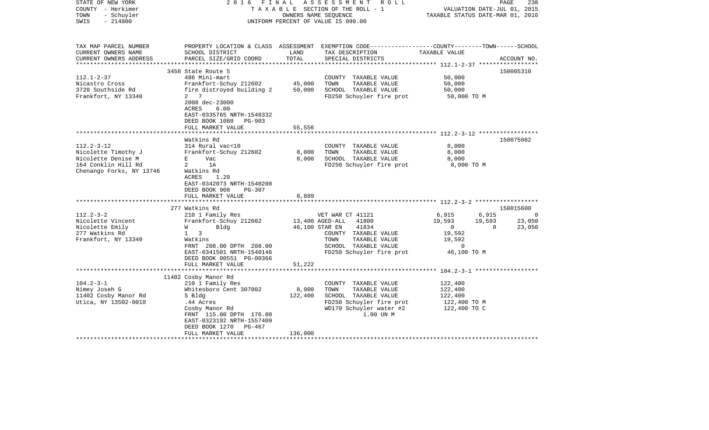| STATE OF NEW YORK<br>COUNTY - Herkimer<br>- Schuyler<br>TOWN<br>$-214800$<br>SWIS                                | 2016 FINAL                                                                                                                                                                                 |                             | ASSESSMENT<br>R O L L<br>TAXABLE SECTION OF THE ROLL - 1<br>OWNERS NAME SEQUENCE<br>UNIFORM PERCENT OF VALUE IS 090.00                   | VALUATION DATE-JUL 01, 2015<br>TAXABLE STATUS DATE-MAR 01, 2016                       | PAGE<br>238                  |
|------------------------------------------------------------------------------------------------------------------|--------------------------------------------------------------------------------------------------------------------------------------------------------------------------------------------|-----------------------------|------------------------------------------------------------------------------------------------------------------------------------------|---------------------------------------------------------------------------------------|------------------------------|
| TAX MAP PARCEL NUMBER<br>CURRENT OWNERS NAME<br>CURRENT OWNERS ADDRESS                                           | SCHOOL DISTRICT<br>PARCEL SIZE/GRID COORD                                                                                                                                                  | LAND<br>TOTAL               | PROPERTY LOCATION & CLASS ASSESSMENT EXEMPTION CODE----------------COUNTY-------TOWN------SCHOOL<br>TAX DESCRIPTION<br>SPECIAL DISTRICTS | TAXABLE VALUE                                                                         | ACCOUNT NO.                  |
| *******************                                                                                              |                                                                                                                                                                                            |                             |                                                                                                                                          |                                                                                       |                              |
| $112.1 - 2 - 37$<br>Nicastro Cross<br>3720 Southside Rd<br>Frankfort, NY 13340                                   | 3458 State Route 5<br>486 Mini-mart<br>Frankfort-Schuy 212602<br>fire distroyed building 2<br>2 7<br>2008 dec-23000<br>ACRES<br>6.00<br>EAST-0335765 NRTH-1540332<br>DEED BOOK 1080 PG-903 | 45,000<br>50,000            | COUNTY TAXABLE VALUE<br>TOWN<br>TAXABLE VALUE<br>SCHOOL TAXABLE VALUE<br>FD250 Schuyler fire prot                                        | 50,000<br>50,000<br>50,000<br>50,000 TO M                                             | 150005310                    |
|                                                                                                                  | FULL MARKET VALUE                                                                                                                                                                          | 55,556                      |                                                                                                                                          |                                                                                       |                              |
|                                                                                                                  | Watkins Rd                                                                                                                                                                                 |                             |                                                                                                                                          |                                                                                       | 150075082                    |
| $112.2 - 3 - 12$<br>Nicolette Timothy J<br>Nicolette Denise M<br>164 Conklin Hill Rd<br>Chenango Forks, NY 13746 | 314 Rural vac<10<br>Frankfort-Schuy 212602<br>E Vac<br>$2$ 1A<br>Watkins Rd<br>ACRES<br>1.20<br>EAST-0342073 NRTH-1540208<br>DEED BOOK 908<br>PG-307                                       | 8,000<br>8,000              | COUNTY TAXABLE VALUE<br>TOWN<br>TAXABLE VALUE<br>SCHOOL TAXABLE VALUE<br>FD250 Schuyler fire prot                                        | 8,000<br>8,000<br>8,000<br>8,000 TO M                                                 |                              |
|                                                                                                                  | FULL MARKET VALUE                                                                                                                                                                          | 8,889                       |                                                                                                                                          |                                                                                       |                              |
| $112.2 - 3 - 2$                                                                                                  | 277 Watkins Rd<br>210 1 Family Res                                                                                                                                                         |                             | VET WAR CT 41121                                                                                                                         | 6,915<br>6,915                                                                        | 150015600<br>$\Omega$        |
| Nicolette Vincent<br>Nicolette Emily<br>277 Watkins Rd<br>Frankfort, NY 13340                                    | Frankfort-Schuy 212602<br><b>W</b><br>Bldg<br>$1 \quad 3$<br>Watkins<br>FRNT 208.00 DPTH 208.00<br>EAST-0341501 NRTH-1540146<br>DEED BOOK 00551 PG-00366                                   | 13,400 AGED-ALL             | 41800<br>46,100 STAR EN<br>41834<br>COUNTY TAXABLE VALUE<br>TOWN<br>TAXABLE VALUE<br>SCHOOL TAXABLE VALUE<br>FD250 Schuyler fire prot    | 19,593<br>19,593<br>$\overline{0}$<br>19,592<br>19,592<br>$\mathbf{0}$<br>46,100 TO M | 23,050<br>$\Omega$<br>23,050 |
|                                                                                                                  | FULL MARKET VALUE                                                                                                                                                                          | 51,222                      |                                                                                                                                          |                                                                                       |                              |
| $104.2 - 3 - 1$                                                                                                  | 11402 Cosby Manor Rd<br>210 1 Family Res                                                                                                                                                   |                             | COUNTY TAXABLE VALUE                                                                                                                     | 122,400                                                                               |                              |
| Nimey Joseh G<br>11402 Cosby Manor Rd<br>Utica, NY 13502-0010                                                    | Whitesboro Cent 307002<br>S Bldg<br>.44 Acres<br>Cosby Manor Rd<br>FRNT 115.00 DPTH 176.00<br>EAST-0323192 NRTH-1557409<br>DEED BOOK 1270 PG-467<br>FULL MARKET VALUE                      | 8,900<br>122,400<br>136,000 | TOWN<br>TAXABLE VALUE<br>SCHOOL TAXABLE VALUE<br>FD250 Schuyler fire prot<br>WD170 Schuyler water #2<br>1.00 UN M                        | 122,400<br>122,400<br>122,400 TO M<br>122,400 TO C                                    |                              |
|                                                                                                                  |                                                                                                                                                                                            |                             |                                                                                                                                          |                                                                                       |                              |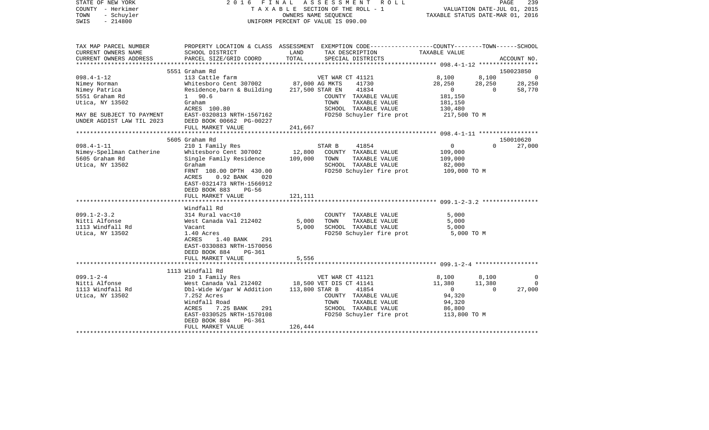| COUNTY<br>– Herkimer<br>- Schuyler<br>TOWN<br>SWIS<br>$-214800$ |                                                   | T A X A B L E SECTION OF THE ROLL - 1<br>OWNERS NAME SEQUENCE<br>UNIFORM PERCENT OF VALUE IS 090.00 |                                                                                                                    |                    |          | VALUATION DATE-JUL 01, 2015<br>TAXABLE STATUS DATE-MAR 01, 2016 |  |  |
|-----------------------------------------------------------------|---------------------------------------------------|-----------------------------------------------------------------------------------------------------|--------------------------------------------------------------------------------------------------------------------|--------------------|----------|-----------------------------------------------------------------|--|--|
|                                                                 |                                                   |                                                                                                     |                                                                                                                    |                    |          |                                                                 |  |  |
| TAX MAP PARCEL NUMBER<br>CURRENT OWNERS NAME                    | SCHOOL DISTRICT                                   | LAND                                                                                                | PROPERTY LOCATION & CLASS ASSESSMENT EXEMPTION CODE---------------COUNTY-------TOWN------SCHOOL<br>TAX DESCRIPTION | TAXABLE VALUE      |          |                                                                 |  |  |
| CURRENT OWNERS ADDRESS                                          | PARCEL SIZE/GRID COORD                            | TOTAL                                                                                               | SPECIAL DISTRICTS                                                                                                  |                    |          | ACCOUNT NO.                                                     |  |  |
|                                                                 |                                                   |                                                                                                     |                                                                                                                    |                    |          |                                                                 |  |  |
|                                                                 | 5551 Graham Rd                                    |                                                                                                     |                                                                                                                    |                    |          | 150023850                                                       |  |  |
| $098.4 - 1 - 12$                                                | 113 Cattle farm                                   |                                                                                                     | VET WAR CT 41121                                                                                                   | 8,100              | 8,100    |                                                                 |  |  |
| Nimey Norman                                                    | Whitesboro Cent 307002                            |                                                                                                     | 87,000 AG MKTS<br>41730                                                                                            | 28,250             | 28,250   | 28,250                                                          |  |  |
| Nimey Patrica                                                   | Residence, barn & Building                        |                                                                                                     | 217,500 STAR EN<br>41834                                                                                           | $\overline{0}$     | $\Omega$ | 58,770                                                          |  |  |
| 5551 Graham Rd                                                  | 1 90.6                                            |                                                                                                     | COUNTY TAXABLE VALUE                                                                                               | 181,150            |          |                                                                 |  |  |
| Utica, NY 13502                                                 | Graham                                            |                                                                                                     | TOWN<br>TAXABLE VALUE                                                                                              | 181,150            |          |                                                                 |  |  |
|                                                                 | ACRES 100.80                                      |                                                                                                     | SCHOOL TAXABLE VALUE                                                                                               | 130,480            |          |                                                                 |  |  |
| MAY BE SUBJECT TO PAYMENT                                       | EAST-0320813 NRTH-1567162                         |                                                                                                     | FD250 Schuyler fire prot                                                                                           | 217,500 TO M       |          |                                                                 |  |  |
| UNDER AGDIST LAW TIL 2023                                       | DEED BOOK 00662 PG-00227                          |                                                                                                     |                                                                                                                    |                    |          |                                                                 |  |  |
|                                                                 | FULL MARKET VALUE                                 | 241,667                                                                                             |                                                                                                                    |                    |          |                                                                 |  |  |
|                                                                 |                                                   |                                                                                                     |                                                                                                                    |                    |          |                                                                 |  |  |
|                                                                 | 5605 Graham Rd                                    |                                                                                                     |                                                                                                                    |                    |          | 150010620                                                       |  |  |
| $098.4 - 1 - 11$                                                | 210 1 Family Res                                  |                                                                                                     | 41854<br>STAR B                                                                                                    | 0                  | $\Omega$ | 27,000                                                          |  |  |
| Nimey-Spellman Catherine<br>5605 Graham Rd                      | Whitesboro Cent 307002<br>Single Family Residence | 12,800<br>109,000                                                                                   | COUNTY TAXABLE VALUE<br>TOWN<br>TAXABLE VALUE                                                                      | 109,000<br>109,000 |          |                                                                 |  |  |
| Utica, NY 13502                                                 | Graham                                            |                                                                                                     | SCHOOL TAXABLE VALUE                                                                                               | 82,000             |          |                                                                 |  |  |
|                                                                 | FRNT 108.00 DPTH 430.00                           |                                                                                                     | FD250 Schuyler fire prot                                                                                           | 109,000 TO M       |          |                                                                 |  |  |
|                                                                 | ACRES<br>$0.92$ BANK<br>020                       |                                                                                                     |                                                                                                                    |                    |          |                                                                 |  |  |
|                                                                 | EAST-0321473 NRTH-1566912                         |                                                                                                     |                                                                                                                    |                    |          |                                                                 |  |  |
|                                                                 | DEED BOOK 883<br>PG-56                            |                                                                                                     |                                                                                                                    |                    |          |                                                                 |  |  |
|                                                                 | FULL MARKET VALUE                                 | 121,111                                                                                             |                                                                                                                    |                    |          |                                                                 |  |  |
|                                                                 |                                                   |                                                                                                     |                                                                                                                    |                    |          |                                                                 |  |  |
|                                                                 | Windfall Rd                                       |                                                                                                     |                                                                                                                    |                    |          |                                                                 |  |  |
| $099.1 - 2 - 3.2$                                               | 314 Rural vac<10                                  |                                                                                                     | COUNTY TAXABLE VALUE                                                                                               | 5,000              |          |                                                                 |  |  |
| Nitti Alfonse                                                   | West Canada Val 212402                            | 5,000                                                                                               | TOWN<br>TAXABLE VALUE                                                                                              | 5,000              |          |                                                                 |  |  |
| 1113 Windfall Rd                                                | Vacant                                            | 5,000                                                                                               | SCHOOL TAXABLE VALUE                                                                                               | 5,000              |          |                                                                 |  |  |
| Utica, NY 13502                                                 | 1.40 Acres                                        |                                                                                                     | FD250 Schuyler fire prot                                                                                           | 5,000 TO M         |          |                                                                 |  |  |
|                                                                 | ACRES<br>1.40 BANK<br>291                         |                                                                                                     |                                                                                                                    |                    |          |                                                                 |  |  |
|                                                                 | EAST-0330883 NRTH-1570056                         |                                                                                                     |                                                                                                                    |                    |          |                                                                 |  |  |
|                                                                 | DEED BOOK 884<br>PG-361                           |                                                                                                     |                                                                                                                    |                    |          |                                                                 |  |  |
|                                                                 | FULL MARKET VALUE                                 | 5,556                                                                                               |                                                                                                                    |                    |          |                                                                 |  |  |
|                                                                 | 1113 Windfall Rd                                  |                                                                                                     |                                                                                                                    |                    |          |                                                                 |  |  |
| $099.1 - 2 - 4$                                                 | 210 1 Family Res                                  |                                                                                                     | VET WAR CT 41121                                                                                                   | 8,100              | 8,100    | $\Omega$                                                        |  |  |
| Nitti Alfonse                                                   | West Canada Val 212402                            |                                                                                                     | 18,500 VET DIS CT 41141                                                                                            | 11,380             | 11,380   | $\Omega$                                                        |  |  |
| 1113 Windfall Rd                                                | Dbl-Wide W/gar W Addition                         | 113,800 STAR B                                                                                      | 41854                                                                                                              | $\overline{0}$     | $\Omega$ | 27,000                                                          |  |  |
| Utica, NY 13502                                                 | 7.252 Acres                                       |                                                                                                     | COUNTY TAXABLE VALUE                                                                                               | 94,320             |          |                                                                 |  |  |
|                                                                 | Windfall Road                                     |                                                                                                     | TAXABLE VALUE<br>TOWN                                                                                              | 94,320             |          |                                                                 |  |  |
|                                                                 | ACRES<br>7.25 BANK<br>291                         |                                                                                                     | SCHOOL TAXABLE VALUE                                                                                               | 86,800             |          |                                                                 |  |  |
|                                                                 | EAST-0330525 NRTH-1570108                         |                                                                                                     | FD250 Schuyler fire prot                                                                                           | 113,800 TO M       |          |                                                                 |  |  |
|                                                                 | DEED BOOK 884<br>PG-361                           |                                                                                                     |                                                                                                                    |                    |          |                                                                 |  |  |
|                                                                 | FULL MARKET VALUE                                 | 126,444                                                                                             |                                                                                                                    |                    |          |                                                                 |  |  |
|                                                                 |                                                   |                                                                                                     |                                                                                                                    |                    |          |                                                                 |  |  |

PAGE 239

STATE OF NEW YORK 2 0 1 6 F I N A L A S S E S S M E N T R O L L PAGE 239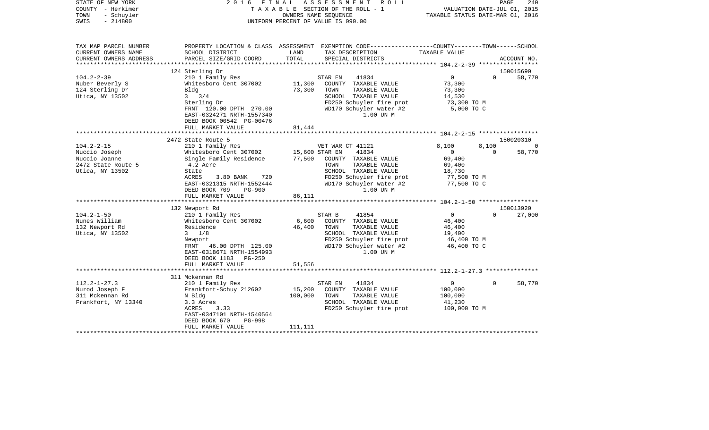| STATE OF NEW YORK<br>COUNTY - Herkimer<br>TOWN<br>- Schuyler<br>$-214800$<br>SWIS | 2 0 1 6<br>F I N A L                       |                | ASSESSMENT<br>R O L L<br>TAXABLE SECTION OF THE ROLL - 1<br>OWNERS NAME SEOUENCE<br>UNIFORM PERCENT OF VALUE IS 090.00 | VALUATION DATE-JUL 01, 2015<br>TAXABLE STATUS DATE-MAR 01, 2016 |          | PAGE<br>240      |
|-----------------------------------------------------------------------------------|--------------------------------------------|----------------|------------------------------------------------------------------------------------------------------------------------|-----------------------------------------------------------------|----------|------------------|
| TAX MAP PARCEL NUMBER                                                             |                                            |                | PROPERTY LOCATION & CLASS ASSESSMENT EXEMPTION CODE---------------COUNTY-------TOWN------SCHOOL                        |                                                                 |          |                  |
| CURRENT OWNERS NAME                                                               | SCHOOL DISTRICT                            | LAND           | TAX DESCRIPTION                                                                                                        | TAXABLE VALUE                                                   |          |                  |
| CURRENT OWNERS ADDRESS                                                            | PARCEL SIZE/GRID COORD                     | TOTAL          | SPECIAL DISTRICTS                                                                                                      |                                                                 |          | ACCOUNT NO.      |
|                                                                                   | 124 Sterling Dr                            |                |                                                                                                                        |                                                                 |          | 150015690        |
| $104.2 - 2 - 39$                                                                  | 210 1 Family Res                           |                | STAR EN<br>41834                                                                                                       | $\overline{0}$                                                  | $\Omega$ | 58,770           |
| Nuber Beverly S                                                                   | Whitesboro Cent 307002                     | 11,300         | COUNTY TAXABLE VALUE                                                                                                   | 73,300                                                          |          |                  |
| 124 Sterling Dr                                                                   | Bldg                                       | 73,300         | TOWN<br>TAXABLE VALUE                                                                                                  | 73,300                                                          |          |                  |
| Utica, NY 13502                                                                   | $3 \frac{3}{4}$                            |                | SCHOOL TAXABLE VALUE                                                                                                   | 14,530                                                          |          |                  |
|                                                                                   | Sterling Dr                                |                | FD250 Schuyler fire prot                                                                                               | 73,300 TO M                                                     |          |                  |
|                                                                                   | FRNT 120.00 DPTH 270.00                    |                | WD170 Schuyler water #2                                                                                                | 5,000 TO C                                                      |          |                  |
|                                                                                   | EAST-0324271 NRTH-1557340                  |                | 1.00 UN M                                                                                                              |                                                                 |          |                  |
|                                                                                   | DEED BOOK 00542 PG-00476                   |                |                                                                                                                        |                                                                 |          |                  |
|                                                                                   | FULL MARKET VALUE                          | 81,444         |                                                                                                                        |                                                                 |          |                  |
|                                                                                   |                                            |                |                                                                                                                        |                                                                 |          |                  |
| $104.2 - 2 - 15$                                                                  | 2472 State Route 5<br>210 1 Family Res     |                | VET WAR CT 41121                                                                                                       | 8,100                                                           | 8,100    | 150020310<br>- 0 |
| Nuccio Joseph                                                                     | Whitesboro Cent 307002                     | 15,600 STAR EN | 41834                                                                                                                  | $\Omega$                                                        | $\Omega$ | 58,770           |
| Nuccio Joanne                                                                     | Single Family Residence 77,500             |                | COUNTY TAXABLE VALUE                                                                                                   | 69,400                                                          |          |                  |
| 2472 State Route 5                                                                | 4.2 Acre                                   |                | TOWN<br>TAXABLE VALUE                                                                                                  | 69,400                                                          |          |                  |
| Utica, NY 13502                                                                   | State                                      |                | SCHOOL TAXABLE VALUE                                                                                                   | 18,730                                                          |          |                  |
|                                                                                   | ACRES<br>3.80 BANK<br>720                  |                | FD250 Schuyler fire prot                                                                                               | 77,500 TO M                                                     |          |                  |
|                                                                                   | EAST-0321315 NRTH-1552444                  |                | WD170 Schuyler water #2                                                                                                | 77,500 TO C                                                     |          |                  |
|                                                                                   | DEED BOOK 709<br><b>PG-900</b>             |                | 1.00 UN M                                                                                                              |                                                                 |          |                  |
|                                                                                   | FULL MARKET VALUE                          | 86,111         |                                                                                                                        |                                                                 |          |                  |
|                                                                                   |                                            |                |                                                                                                                        |                                                                 |          |                  |
|                                                                                   | 132 Newport Rd                             |                |                                                                                                                        |                                                                 |          | 150013920        |
| $104.2 - 1 - 50$<br>Nunes William                                                 | 210 1 Family Res<br>Whitesboro Cent 307002 | 6,600          | STAR B<br>41854<br>COUNTY TAXABLE VALUE                                                                                | $\overline{0}$<br>46,400                                        | $\Omega$ | 27,000           |
| 132 Newport Rd                                                                    | Residence                                  | 46,400         | TOWN<br>TAXABLE VALUE                                                                                                  | 46,400                                                          |          |                  |
| Utica, NY 13502                                                                   | $3 \frac{1}{8}$                            |                | SCHOOL TAXABLE VALUE                                                                                                   | 19,400                                                          |          |                  |
|                                                                                   | Newport                                    |                | FD250 Schuyler fire prot                                                                                               | 46,400 TO M                                                     |          |                  |
|                                                                                   | FRNT 46.00 DPTH 125.00                     |                | WD170 Schuyler water #2                                                                                                | 46,400 TO C                                                     |          |                  |
|                                                                                   | EAST-0318671 NRTH-1554993                  |                | 1.00 UN M                                                                                                              |                                                                 |          |                  |
|                                                                                   | DEED BOOK 1183 PG-250                      |                |                                                                                                                        |                                                                 |          |                  |
|                                                                                   | FULL MARKET VALUE                          | 51,556         |                                                                                                                        |                                                                 |          |                  |
|                                                                                   |                                            |                |                                                                                                                        |                                                                 |          |                  |
|                                                                                   | 311 Mckennan Rd                            |                |                                                                                                                        |                                                                 |          |                  |
| $112.2 - 1 - 27.3$                                                                | 210 1 Family Res                           |                | 41834<br>STAR EN                                                                                                       | $\overline{0}$                                                  | $\Omega$ | 58,770           |
| Nurod Joseph F                                                                    | Frankfort-Schuy 212602                     | 15,200         | COUNTY TAXABLE VALUE                                                                                                   | 100,000                                                         |          |                  |
| 311 Mckennan Rd<br>Frankfort, NY 13340                                            | N Bldg<br>3.3 Acres                        | 100,000        | TOWN<br>TAXABLE VALUE<br>SCHOOL TAXABLE VALUE                                                                          | 100,000<br>41,230                                               |          |                  |
|                                                                                   | ACRES<br>3.33                              |                | FD250 Schuyler fire prot                                                                                               | 100,000 TO M                                                    |          |                  |
|                                                                                   | EAST-0347101 NRTH-1540564                  |                |                                                                                                                        |                                                                 |          |                  |
|                                                                                   | DEED BOOK 670<br>PG-998                    |                |                                                                                                                        |                                                                 |          |                  |
|                                                                                   | FULL MARKET VALUE                          | 111,111        |                                                                                                                        |                                                                 |          |                  |
|                                                                                   |                                            |                |                                                                                                                        |                                                                 |          |                  |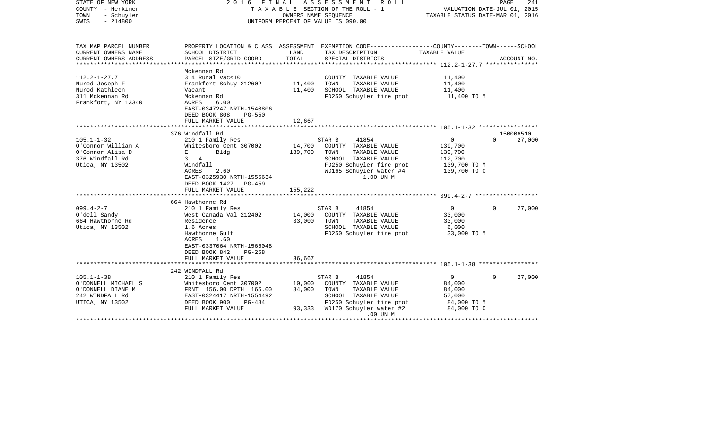| STATE OF NEW YORK<br>COUNTY - Herkimer<br>TOWN<br>- Schuyler<br>SWIS<br>$-214800$ | FINAL<br>ASSESSMENT<br>2016<br>R O L L<br>T A X A B L E SECTION OF THE ROLL - 1<br>OWNERS NAME SEQUENCE<br>UNIFORM PERCENT OF VALUE IS 090.00 |                                |                                                                                                                     | 241<br>PAGE<br>VALUATION DATE-JUL 01, 2015<br>TAXABLE STATUS DATE-MAR 01, 2016 |                    |  |
|-----------------------------------------------------------------------------------|-----------------------------------------------------------------------------------------------------------------------------------------------|--------------------------------|---------------------------------------------------------------------------------------------------------------------|--------------------------------------------------------------------------------|--------------------|--|
| TAX MAP PARCEL NUMBER<br>CURRENT OWNERS NAME                                      | SCHOOL DISTRICT                                                                                                                               | LAND                           | PROPERTY LOCATION & CLASS ASSESSMENT EXEMPTION CODE----------------COUNTY-------TOWN------SCHOOL<br>TAX DESCRIPTION | TAXABLE VALUE                                                                  |                    |  |
| CURRENT OWNERS ADDRESS                                                            | PARCEL SIZE/GRID COORD                                                                                                                        | TOTAL<br>* * * * * * * * * * * | SPECIAL DISTRICTS                                                                                                   | ************ 112.2-1-27.7 ****************                                     | ACCOUNT NO.        |  |
|                                                                                   | Mckennan Rd                                                                                                                                   |                                |                                                                                                                     |                                                                                |                    |  |
| $112.2 - 1 - 27.7$                                                                | 314 Rural vac<10                                                                                                                              |                                | COUNTY TAXABLE VALUE                                                                                                | 11,400                                                                         |                    |  |
| Nurod Joseph F                                                                    | Frankfort-Schuy 212602                                                                                                                        | 11,400                         | TAXABLE VALUE<br>TOWN                                                                                               | 11,400                                                                         |                    |  |
| Nurod Kathleen                                                                    | Vacant                                                                                                                                        | 11,400                         | SCHOOL TAXABLE VALUE                                                                                                | 11,400                                                                         |                    |  |
| 311 Mckennan Rd<br>Frankfort, NY 13340                                            | Mckennan Rd<br><b>ACRES</b><br>6.00<br>EAST-0347247 NRTH-1540806                                                                              |                                | FD250 Schuyler fire prot                                                                                            | 11,400 TO M                                                                    |                    |  |
|                                                                                   | DEED BOOK 808<br><b>PG-550</b>                                                                                                                |                                |                                                                                                                     |                                                                                |                    |  |
|                                                                                   | FULL MARKET VALUE                                                                                                                             | 12,667                         |                                                                                                                     |                                                                                |                    |  |
|                                                                                   |                                                                                                                                               |                                |                                                                                                                     |                                                                                |                    |  |
|                                                                                   | 376 Windfall Rd                                                                                                                               |                                |                                                                                                                     |                                                                                | 150006510          |  |
| $105.1 - 1 - 32$                                                                  | 210 1 Family Res                                                                                                                              |                                | 41854<br>STAR B                                                                                                     | 0                                                                              | 27,000<br>$\Omega$ |  |
| O'Connor William A                                                                | Whitesboro Cent 307002                                                                                                                        | 14,700                         | COUNTY TAXABLE VALUE                                                                                                | 139,700                                                                        |                    |  |
| O'Connor Alisa D                                                                  | Bldg<br>E                                                                                                                                     | 139,700                        | TAXABLE VALUE<br>TOWN                                                                                               | 139,700                                                                        |                    |  |
| 376 Windfall Rd                                                                   | $\overline{4}$<br>3                                                                                                                           |                                | SCHOOL TAXABLE VALUE                                                                                                | 112,700                                                                        |                    |  |
| Utica, NY 13502                                                                   | Windfall                                                                                                                                      |                                | FD250 Schuyler fire prot                                                                                            | 139,700 TO M                                                                   |                    |  |
|                                                                                   | ACRES<br>2.60<br>EAST-0325930 NRTH-1556634                                                                                                    |                                | WD165 Schuyler water #4<br>1.00 UN M                                                                                | 139,700 TO C                                                                   |                    |  |
|                                                                                   | DEED BOOK 1427<br>PG-459                                                                                                                      |                                |                                                                                                                     |                                                                                |                    |  |
|                                                                                   | FULL MARKET VALUE<br>**********************                                                                                                   | 155,222                        |                                                                                                                     |                                                                                |                    |  |
|                                                                                   | 664 Hawthorne Rd                                                                                                                              |                                |                                                                                                                     |                                                                                |                    |  |
| $099.4 - 2 - 7$                                                                   | 210 1 Family Res                                                                                                                              |                                | STAR B<br>41854                                                                                                     | 0                                                                              | 27,000<br>$\Omega$ |  |
| O'dell Sandy                                                                      | West Canada Val 212402                                                                                                                        | 14,000                         | COUNTY TAXABLE VALUE                                                                                                | 33,000                                                                         |                    |  |
| 664 Hawthorne Rd                                                                  | Residence                                                                                                                                     | 33,000                         | TOWN<br>TAXABLE VALUE                                                                                               | 33,000                                                                         |                    |  |
| Utica, NY 13502                                                                   | 1.6 Acres                                                                                                                                     |                                | SCHOOL TAXABLE VALUE                                                                                                | 6,000                                                                          |                    |  |
|                                                                                   | Hawthorne Gulf                                                                                                                                |                                | FD250 Schuyler fire prot                                                                                            | 33,000 TO M                                                                    |                    |  |
|                                                                                   | ACRES<br>1.60                                                                                                                                 |                                |                                                                                                                     |                                                                                |                    |  |
|                                                                                   | EAST-0337064 NRTH-1565048                                                                                                                     |                                |                                                                                                                     |                                                                                |                    |  |
|                                                                                   | DEED BOOK 842<br>$PG-258$                                                                                                                     |                                |                                                                                                                     |                                                                                |                    |  |
|                                                                                   | FULL MARKET VALUE                                                                                                                             | 36,667                         |                                                                                                                     |                                                                                |                    |  |
|                                                                                   |                                                                                                                                               |                                |                                                                                                                     |                                                                                |                    |  |
|                                                                                   | 242 WINDFALL Rd                                                                                                                               |                                |                                                                                                                     |                                                                                |                    |  |
| $105.1 - 1 - 38$                                                                  | 210 1 Family Res                                                                                                                              |                                | 41854<br>STAR B                                                                                                     | 0                                                                              | 27,000<br>$\Omega$ |  |
| O'DONNELL MICHAEL S                                                               | Whitesboro Cent 307002                                                                                                                        | 10,000                         | COUNTY TAXABLE VALUE                                                                                                | 84,000                                                                         |                    |  |
| O'DONNELL DIANE M                                                                 | FRNT 156.00 DPTH 165.00                                                                                                                       | 84,000                         | TAXABLE VALUE<br>TOWN                                                                                               | 84,000                                                                         |                    |  |
| 242 WINDFALL Rd                                                                   | EAST-0324417 NRTH-1554492                                                                                                                     |                                | SCHOOL TAXABLE VALUE                                                                                                | 57,000                                                                         |                    |  |
| UTICA, NY 13502                                                                   | DEED BOOK 900<br>PG-484                                                                                                                       |                                | FD250 Schuyler fire prot                                                                                            | 84,000 TO M                                                                    |                    |  |
|                                                                                   | FULL MARKET VALUE                                                                                                                             | 93,333                         | WD170 Schuyler water #2                                                                                             | 84,000 TO C                                                                    |                    |  |
|                                                                                   |                                                                                                                                               |                                | .00 UN M                                                                                                            |                                                                                |                    |  |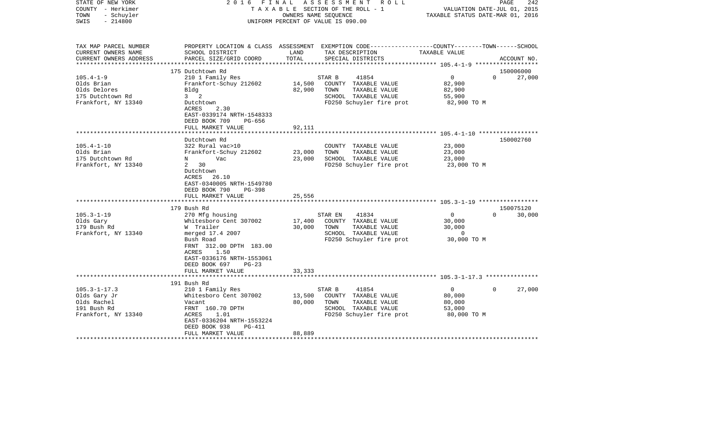| STATE OF NEW YORK<br>COUNTY - Herkimer<br>- Schuyler<br>TOWN<br>$-214800$<br>SWIS             | 2016 FINAL                                                                                                                                                                                                                       |                            | A S S E S S M E N T R O L L<br>TAXABLE SECTION OF THE ROLL - 1<br>OWNERS NAME SEQUENCE<br>UNIFORM PERCENT OF VALUE IS 090.00             | VALUATION DATE-JUL 01, 2015<br>TAXABLE STATUS DATE-MAR 01, 2016     | PAGE<br>242                     |
|-----------------------------------------------------------------------------------------------|----------------------------------------------------------------------------------------------------------------------------------------------------------------------------------------------------------------------------------|----------------------------|------------------------------------------------------------------------------------------------------------------------------------------|---------------------------------------------------------------------|---------------------------------|
| TAX MAP PARCEL NUMBER<br>CURRENT OWNERS NAME<br>CURRENT OWNERS ADDRESS<br>******************* | SCHOOL DISTRICT<br>PARCEL SIZE/GRID COORD                                                                                                                                                                                        | LAND<br>TOTAL              | PROPERTY LOCATION & CLASS ASSESSMENT EXEMPTION CODE----------------COUNTY-------TOWN------SCHOOL<br>TAX DESCRIPTION<br>SPECIAL DISTRICTS | TAXABLE VALUE                                                       | ACCOUNT NO.                     |
|                                                                                               | 175 Dutchtown Rd                                                                                                                                                                                                                 |                            |                                                                                                                                          |                                                                     | 150006000                       |
| $105.4 - 1 - 9$<br>Olds Brian                                                                 | 210 1 Family Res<br>Frankfort-Schuy 212602                                                                                                                                                                                       | 14,500                     | STAR B<br>41854<br>COUNTY TAXABLE VALUE                                                                                                  | $\overline{0}$<br>82,900                                            | $\Omega$<br>27,000              |
| Olds Delores<br>175 Dutchtown Rd<br>Frankfort, NY 13340                                       | Bldg<br>$3 \quad 2$<br>Dutchtown                                                                                                                                                                                                 | 82,900                     | TOWN<br>TAXABLE VALUE<br>SCHOOL TAXABLE VALUE<br>FD250 Schuyler fire prot                                                                | 82,900<br>55,900<br>82,900 TO M                                     |                                 |
|                                                                                               | ACRES<br>2.30<br>EAST-0339174 NRTH-1548333<br>DEED BOOK 709<br>PG-656<br>FULL MARKET VALUE                                                                                                                                       | 92,111                     |                                                                                                                                          |                                                                     |                                 |
|                                                                                               |                                                                                                                                                                                                                                  |                            |                                                                                                                                          |                                                                     |                                 |
| $105.4 - 1 - 10$<br>Olds Brian<br>175 Dutchtown Rd                                            | Dutchtown Rd<br>322 Rural vac>10<br>Frankfort-Schuy 212602<br>Vac<br>N                                                                                                                                                           | 23,000<br>23,000           | COUNTY TAXABLE VALUE<br>TAXABLE VALUE<br>TOWN<br>SCHOOL TAXABLE VALUE                                                                    | 23,000<br>23,000<br>23,000                                          | 150002760                       |
| Frankfort, NY 13340                                                                           | $\mathbf{2}$<br>30<br>Dutchtown<br>ACRES 26.10<br>EAST-0340005 NRTH-1549780<br>DEED BOOK 790<br>PG-398                                                                                                                           |                            | FD250 Schuyler fire prot                                                                                                                 | 23,000 TO M                                                         |                                 |
|                                                                                               | FULL MARKET VALUE                                                                                                                                                                                                                | 25,556                     |                                                                                                                                          |                                                                     |                                 |
|                                                                                               |                                                                                                                                                                                                                                  |                            |                                                                                                                                          |                                                                     |                                 |
| $105.3 - 1 - 19$<br>Olds Gary<br>179 Bush Rd<br>Frankfort, NY 13340                           | 179 Bush Rd<br>270 Mfg housing<br>Whitesboro Cent 307002<br>W Trailer<br>merged 17.4 2007<br>Bush Road<br>FRNT 312.00 DPTH 183.00<br>1.50<br>ACRES<br>EAST-0336176 NRTH-1553061<br>DEED BOOK 697<br>$PG-23$<br>FULL MARKET VALUE | 17,400<br>30,000<br>33,333 | STAR EN<br>41834<br>COUNTY TAXABLE VALUE<br>TOWN<br>TAXABLE VALUE<br>SCHOOL TAXABLE VALUE<br>FD250 Schuyler fire prot                    | $\overline{0}$<br>30,000<br>30,000<br>$\overline{0}$<br>30,000 TO M | 150075120<br>30,000<br>$\Omega$ |
|                                                                                               |                                                                                                                                                                                                                                  |                            |                                                                                                                                          |                                                                     |                                 |
|                                                                                               | 191 Bush Rd                                                                                                                                                                                                                      |                            |                                                                                                                                          |                                                                     |                                 |
| $105.3 - 1 - 17.3$<br>Olds Gary Jr<br>Olds Rachel<br>191 Bush Rd<br>Frankfort, NY 13340       | 210 1 Family Res<br>Whitesboro Cent 307002<br>Vacant<br>FRNT 160.70 DPTH<br>ACRES<br>1.01<br>EAST-0336204 NRTH-1553224                                                                                                           | 13,500<br>80,000           | 41854<br>STAR B<br>COUNTY TAXABLE VALUE<br>TOWN<br>TAXABLE VALUE<br>SCHOOL TAXABLE VALUE<br>FD250 Schuyler fire prot                     | $\overline{0}$<br>80,000<br>80,000<br>53,000<br>80,000 TO M         | 27,000<br>$\Omega$              |
|                                                                                               | DEED BOOK 938<br>PG-411<br>FULL MARKET VALUE                                                                                                                                                                                     | 88,889                     |                                                                                                                                          |                                                                     |                                 |
|                                                                                               |                                                                                                                                                                                                                                  |                            |                                                                                                                                          |                                                                     |                                 |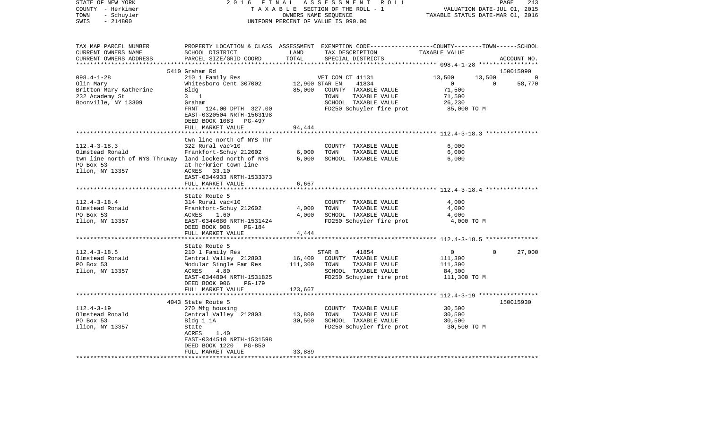| STATE OF NEW YORK<br>COUNTY - Herkimer<br>- Schuyler<br>TOWN<br>$-214800$<br>SWIS                                               | 2 0 1 6<br>FINAL<br>TAXABLE SECTION OF THE ROLL - 1<br>UNIFORM PERCENT OF VALUE IS 090.00                                                                                                  | PAGE<br>243<br>VALUATION DATE-JUL 01, 2015<br>TAXABLE STATUS DATE-MAR 01, 2016 |                                                                                                                                                  |                                                                                                 |             |             |
|---------------------------------------------------------------------------------------------------------------------------------|--------------------------------------------------------------------------------------------------------------------------------------------------------------------------------------------|--------------------------------------------------------------------------------|--------------------------------------------------------------------------------------------------------------------------------------------------|-------------------------------------------------------------------------------------------------|-------------|-------------|
| TAX MAP PARCEL NUMBER<br>CURRENT OWNERS NAME<br>CURRENT OWNERS ADDRESS<br>***********************                               | SCHOOL DISTRICT<br>PARCEL SIZE/GRID COORD                                                                                                                                                  | LAND<br>TOTAL                                                                  | PROPERTY LOCATION & CLASS ASSESSMENT EXEMPTION CODE---------------COUNTY-------TOWN------SCHOOL<br>TAX DESCRIPTION<br>SPECIAL DISTRICTS          | TAXABLE VALUE                                                                                   |             | ACCOUNT NO. |
|                                                                                                                                 | 5410 Graham Rd                                                                                                                                                                             |                                                                                |                                                                                                                                                  |                                                                                                 |             | 150015990   |
| $098.4 - 1 - 28$<br>Olin Mary<br>Britton Mary Katherine<br>232 Academy St<br>Boonville, NY 13309                                | 210 1 Family Res<br>Whitesboro Cent 307002<br>Bldg<br>$3 \quad 1$<br>Graham<br>FRNT 124.00 DPTH 327.00<br>EAST-0320504 NRTH-1563198<br>DEED BOOK 1083 PG-497                               | 85,000                                                                         | VET COM CT 41131<br>12,900 STAR EN<br>41834<br>COUNTY TAXABLE VALUE<br>TOWN<br>TAXABLE VALUE<br>SCHOOL TAXABLE VALUE<br>FD250 Schuyler fire prot | 13,500<br>$\overline{0}$<br>71,500<br>71,500<br>26,230<br>85,000 TO M                           | 13,500<br>0 | 58,770      |
|                                                                                                                                 | FULL MARKET VALUE                                                                                                                                                                          | 94,444                                                                         |                                                                                                                                                  |                                                                                                 |             |             |
| $112.4 - 3 - 18.3$<br>Olmstead Ronald<br>twn line north of NYS Thruway land locked north of NYS<br>PO Box 53<br>Ilion, NY 13357 | twn line north of NYS Thr<br>322 Rural vac>10<br>Frankfort-Schuy 212602<br>at herkmier town line<br>33.10<br>ACRES<br>EAST-0344933 NRTH-1533373                                            | 6,000<br>6,000                                                                 | COUNTY TAXABLE VALUE<br>TOWN<br>TAXABLE VALUE<br>SCHOOL TAXABLE VALUE                                                                            | 6,000<br>6,000<br>6,000                                                                         |             |             |
|                                                                                                                                 | FULL MARKET VALUE<br>******************                                                                                                                                                    | 6,667<br>********                                                              |                                                                                                                                                  |                                                                                                 |             |             |
| $112.4 - 3 - 18.4$<br>Olmstead Ronald<br>PO Box 53<br>Ilion, NY 13357                                                           | State Route 5<br>314 Rural vac<10<br>Frankfort-Schuy 212602<br>ACRES<br>1.60<br>EAST-0344680 NRTH-1531424<br>DEED BOOK 906<br>PG-184                                                       | 4,000<br>4,000                                                                 | COUNTY TAXABLE VALUE<br>TOWN<br>TAXABLE VALUE<br>SCHOOL TAXABLE VALUE<br>FD250 Schuyler fire prot                                                | ************************ 112.4-3-18.4 ****************<br>4,000<br>4,000<br>4,000<br>4,000 TO M |             |             |
|                                                                                                                                 | FULL MARKET VALUE                                                                                                                                                                          | 4,444                                                                          |                                                                                                                                                  |                                                                                                 |             |             |
| $112.4 - 3 - 18.5$<br>Olmstead Ronald<br>PO Box 53<br>Ilion, NY 13357                                                           | State Route 5<br>210 1 Family Res<br>Central Valley 212803<br>Modular Single Fam Res<br>ACRES<br>4.80<br>EAST-0344804 NRTH-1531825<br>DEED BOOK 906<br><b>PG-179</b><br>FULL MARKET VALUE  | 16,400<br>111,300<br>123,667                                                   | STAR B<br>41854<br>COUNTY TAXABLE VALUE<br>TOWN<br>TAXABLE VALUE<br>SCHOOL TAXABLE VALUE<br>FD250 Schuyler fire prot                             | $\overline{0}$<br>111,300<br>111,300<br>84,300<br>111,300 TO M                                  | 0           | 27,000      |
|                                                                                                                                 |                                                                                                                                                                                            |                                                                                |                                                                                                                                                  |                                                                                                 |             |             |
| $112.4 - 3 - 19$<br>Olmstead Ronald<br>PO Box 53<br>Ilion, NY 13357                                                             | 4043 State Route 5<br>270 Mfg housing<br>Central Valley 212803<br>Bldg 1 1A<br>State<br><b>ACRES</b><br>1.40<br>EAST-0344510 NRTH-1531598<br>DEED BOOK 1220<br>PG-850<br>FULL MARKET VALUE | 13,800<br>30,500<br>33,889                                                     | COUNTY TAXABLE VALUE<br>TOWN<br>TAXABLE VALUE<br>SCHOOL TAXABLE VALUE<br>FD250 Schuyler fire prot                                                | 30,500<br>30,500<br>30,500<br>30,500 TO M                                                       |             | 150015930   |
| **********************                                                                                                          | ***********************                                                                                                                                                                    |                                                                                |                                                                                                                                                  |                                                                                                 |             |             |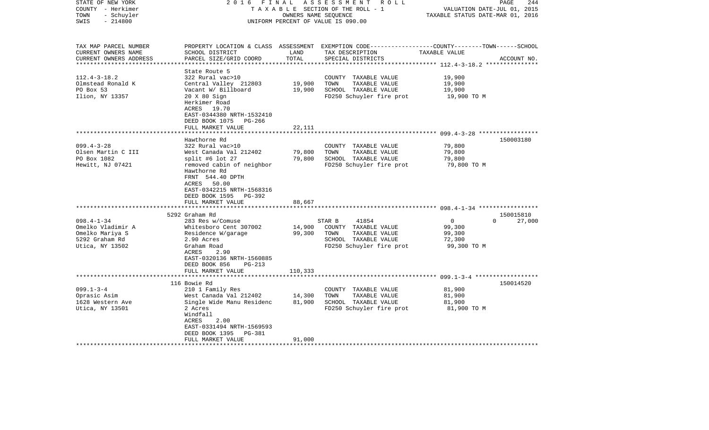| STATE OF NEW YORK<br>COUNTY - Herkimer<br>- Schuyler<br>TOWN<br>$-214800$<br>SWIS | 2016 FINAL                                                                                                                                              | OWNERS NAME SEQUENCE | ASSESSMENT ROLL<br>TAXABLE SECTION OF THE ROLL - 1<br>UNIFORM PERCENT OF VALUE IS 090.00                                                | VALUATION DATE-JUL 01, 2015<br>TAXABLE STATUS DATE-MAR 01, 2016 | 244<br>PAGE |
|-----------------------------------------------------------------------------------|---------------------------------------------------------------------------------------------------------------------------------------------------------|----------------------|-----------------------------------------------------------------------------------------------------------------------------------------|-----------------------------------------------------------------|-------------|
| TAX MAP PARCEL NUMBER<br>CURRENT OWNERS NAME<br>CURRENT OWNERS ADDRESS            | SCHOOL DISTRICT<br>PARCEL SIZE/GRID COORD                                                                                                               | LAND<br>TOTAL        | PROPERTY LOCATION & CLASS ASSESSMENT EXEMPTION CODE---------------COUNTY-------TOWN------SCHOOL<br>TAX DESCRIPTION<br>SPECIAL DISTRICTS | TAXABLE VALUE                                                   | ACCOUNT NO. |
|                                                                                   | State Route 5                                                                                                                                           |                      |                                                                                                                                         |                                                                 |             |
| $112.4 - 3 - 18.2$                                                                | 322 Rural vac>10                                                                                                                                        |                      | COUNTY TAXABLE VALUE                                                                                                                    | 19,900                                                          |             |
| Olmstead Ronald K                                                                 | Central Valley 212803                                                                                                                                   | 19,900               | TOWN<br>TAXABLE VALUE                                                                                                                   | 19,900                                                          |             |
| PO Box 53                                                                         | Vacant W/ Billboard                                                                                                                                     | 19,900               | SCHOOL TAXABLE VALUE                                                                                                                    | 19,900                                                          |             |
| Ilion, NY 13357                                                                   | 20 X 80 Sign<br>Herkimer Road<br>ACRES 19.70<br>EAST-0344380 NRTH-1532410<br>DEED BOOK 1075 PG-266                                                      |                      | FD250 Schuyler fire prot                                                                                                                | 19,900 TO M                                                     |             |
|                                                                                   | FULL MARKET VALUE                                                                                                                                       | 22,111               |                                                                                                                                         |                                                                 |             |
|                                                                                   | ************************                                                                                                                                |                      |                                                                                                                                         |                                                                 |             |
|                                                                                   | Hawthorne Rd                                                                                                                                            |                      |                                                                                                                                         |                                                                 | 150003180   |
| $099.4 - 3 - 28$                                                                  | 322 Rural vac>10                                                                                                                                        |                      | COUNTY TAXABLE VALUE                                                                                                                    | 79,800                                                          |             |
| Olsen Martin C III                                                                | West Canada Val 212402                                                                                                                                  | 79,800               | TOWN<br>TAXABLE VALUE                                                                                                                   | 79,800                                                          |             |
| PO Box 1082                                                                       | split #6 lot 27                                                                                                                                         | 79,800               | SCHOOL TAXABLE VALUE                                                                                                                    | 79,800                                                          |             |
| Hewitt, NJ 07421                                                                  | removed cabin of neighbor<br>Hawthorne Rd<br>FRNT 544.40 DPTH<br>ACRES 50.00<br>EAST-0342215 NRTH-1568316<br>DEED BOOK 1595 PG-392<br>FULL MARKET VALUE | 88,667               | FD250 Schuyler fire prot                                                                                                                | 79,800 TO M                                                     |             |
|                                                                                   | ********************                                                                                                                                    |                      |                                                                                                                                         |                                                                 |             |
|                                                                                   | 5292 Graham Rd                                                                                                                                          |                      |                                                                                                                                         |                                                                 | 150015810   |
| $098.4 - 1 - 34$                                                                  | 283 Res w/Comuse                                                                                                                                        |                      | 41854<br>STAR B                                                                                                                         | $\overline{0}$<br>$\Omega$                                      | 27,000      |
| Omelko Vladimir A                                                                 | Whitesboro Cent 307002                                                                                                                                  | 14,900               | COUNTY TAXABLE VALUE                                                                                                                    | 99,300                                                          |             |
| Omelko Mariya S                                                                   | Residence W/garage                                                                                                                                      | 99,300               | TOWN<br>TAXABLE VALUE                                                                                                                   | 99,300                                                          |             |
| 5292 Graham Rd                                                                    | 2.90 Acres                                                                                                                                              |                      | SCHOOL TAXABLE VALUE                                                                                                                    | 72,300                                                          |             |
| Utica, NY 13502                                                                   | Graham Road                                                                                                                                             |                      | FD250 Schuyler fire prot                                                                                                                | 99,300 TO M                                                     |             |
|                                                                                   | ACRES<br>2.90<br>EAST-0320136 NRTH-1560885<br>DEED BOOK 856<br>$PG-213$<br>FULL MARKET VALUE                                                            | 110,333              |                                                                                                                                         |                                                                 |             |
|                                                                                   |                                                                                                                                                         |                      |                                                                                                                                         |                                                                 |             |
|                                                                                   | 116 Bowie Rd                                                                                                                                            |                      |                                                                                                                                         |                                                                 | 150014520   |
| $099.1 - 3 - 4$                                                                   | 210 1 Family Res                                                                                                                                        |                      | COUNTY TAXABLE VALUE                                                                                                                    | 81,900                                                          |             |
| Oprasic Asim                                                                      | West Canada Val 212402                                                                                                                                  | 14,300               | TOWN<br>TAXABLE VALUE                                                                                                                   | 81,900                                                          |             |
| 1628 Western Ave                                                                  | Single Wide Manu Residenc                                                                                                                               | 81,900               | SCHOOL TAXABLE VALUE                                                                                                                    | 81,900                                                          |             |
| Utica, NY 13501                                                                   | 2 Acres<br>Windfall<br>ACRES<br>2.00<br>EAST-0331494 NRTH-1569593<br>DEED BOOK 1395<br>PG-381                                                           |                      | FD250 Schuyler fire prot                                                                                                                | 81,900 TO M                                                     |             |
|                                                                                   | FULL MARKET VALUE                                                                                                                                       | 91,000               |                                                                                                                                         |                                                                 |             |
|                                                                                   |                                                                                                                                                         |                      |                                                                                                                                         |                                                                 |             |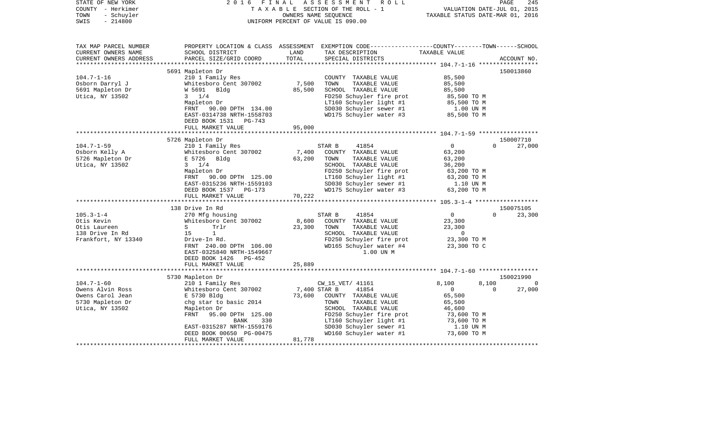| STATE OF NEW YORK<br>COUNTY - Herkimer<br>TOWN<br>- Schuyler<br>$-214800$<br>SWIS | 2 0 1 6<br>FINAL                          | OWNERS NAME SEQUENCE | ASSESSMENT<br>R O L L<br>TAXABLE SECTION OF THE ROLL - 1<br>UNIFORM PERCENT OF VALUE IS 090.00                                         | VALUATION DATE-JUL 01, 2015<br>TAXABLE STATUS DATE-MAR 01, 2016 | PAGE     | 245            |
|-----------------------------------------------------------------------------------|-------------------------------------------|----------------------|----------------------------------------------------------------------------------------------------------------------------------------|-----------------------------------------------------------------|----------|----------------|
| TAX MAP PARCEL NUMBER<br>CURRENT OWNERS NAME<br>CURRENT OWNERS ADDRESS            | SCHOOL DISTRICT<br>PARCEL SIZE/GRID COORD | LAND<br>TOTAL        | PROPERTY LOCATION & CLASS ASSESSMENT EXEMPTION CODE---------------COUNTY-------TOWN-----SCHOOL<br>TAX DESCRIPTION<br>SPECIAL DISTRICTS | TAXABLE VALUE                                                   |          | ACCOUNT NO.    |
|                                                                                   |                                           |                      |                                                                                                                                        |                                                                 |          |                |
|                                                                                   | 5691 Mapleton Dr                          |                      |                                                                                                                                        |                                                                 |          | 150013860      |
| $104.7 - 1 - 16$                                                                  | 210 1 Family Res                          |                      | COUNTY TAXABLE VALUE                                                                                                                   | 85,500                                                          |          |                |
| Osborn Darryl J                                                                   | Whitesboro Cent 307002                    | 7,500                | TOWN<br>TAXABLE VALUE                                                                                                                  | 85,500                                                          |          |                |
| 5691 Mapleton Dr                                                                  | W 5691 Bldg                               | 85,500               | SCHOOL TAXABLE VALUE                                                                                                                   | 85,500                                                          |          |                |
| Utica, NY 13502                                                                   | $3 \t1/4$                                 |                      | FD250 Schuyler fire prot                                                                                                               | 85,500 TO M                                                     |          |                |
|                                                                                   | Mapleton Dr                               |                      | LT160 Schuyler light #1                                                                                                                | 85,500 TO M                                                     |          |                |
|                                                                                   | FRNT 90.00 DPTH 134.00                    |                      | SD030 Schuyler sewer #1                                                                                                                | 1.00 UN M<br>85,500 TO M                                        |          |                |
|                                                                                   | EAST-0314738 NRTH-1558703                 |                      | WD175 Schuyler water #3                                                                                                                | 85,500 TO M                                                     |          |                |
|                                                                                   | DEED BOOK 1531 PG-743                     |                      |                                                                                                                                        |                                                                 |          |                |
|                                                                                   | FULL MARKET VALUE                         | 95,000               |                                                                                                                                        |                                                                 |          |                |
|                                                                                   |                                           |                      |                                                                                                                                        |                                                                 |          |                |
|                                                                                   | 5726 Mapleton Dr                          |                      |                                                                                                                                        |                                                                 |          | 150007710      |
| $104.7 - 1 - 59$                                                                  | 210 1 Family Res                          |                      | STAR B<br>41854                                                                                                                        | 0                                                               | $\Omega$ | 27,000         |
| Osborn Kelly A                                                                    | Whitesboro Cent 307002                    | 7,400                | COUNTY TAXABLE VALUE                                                                                                                   | 63,200                                                          |          |                |
| 5726 Mapleton Dr                                                                  | E 5726<br>Bldg                            | 63,200               | TOWN<br>TAXABLE VALUE                                                                                                                  | 63,200                                                          |          |                |
| Utica, NY 13502                                                                   | $3 \t1/4$                                 |                      | SCHOOL TAXABLE VALUE                                                                                                                   | 36,200                                                          |          |                |
|                                                                                   | Mapleton Dr                               |                      | FD250 Schuyler fire prot                                                                                                               | 63,200 TO M                                                     |          |                |
|                                                                                   | FRNT 90.00 DPTH 125.00                    |                      | LT160 Schuyler light #1                                                                                                                | 63,200 TO M                                                     |          |                |
|                                                                                   | EAST-0315236 NRTH-1559103                 |                      | SD030 Schuyler sewer #1                                                                                                                | 1.10 UN M                                                       |          |                |
|                                                                                   | DEED BOOK 1537 PG-173                     |                      | WD175 Schuyler water #3                                                                                                                | 63,200 TO M                                                     |          |                |
|                                                                                   | FULL MARKET VALUE                         | 70,222               |                                                                                                                                        |                                                                 |          |                |
|                                                                                   |                                           |                      |                                                                                                                                        |                                                                 |          |                |
|                                                                                   | 138 Drive In Rd                           |                      |                                                                                                                                        |                                                                 |          | 150075105      |
| $105.3 - 1 - 4$                                                                   | 270 Mfg housing                           |                      | 41854<br>STAR B                                                                                                                        | $\overline{0}$                                                  | $\Omega$ | 23,300         |
| Otis Kevin                                                                        | Whitesboro Cent 307002                    | 8,600                | COUNTY TAXABLE VALUE                                                                                                                   | 23,300                                                          |          |                |
| Otis Laureen                                                                      | S<br>Trlr                                 | 23,300               | TOWN<br>TAXABLE VALUE                                                                                                                  | 23,300                                                          |          |                |
| 138 Drive In Rd                                                                   | $\mathbf{1}$<br>15                        |                      | SCHOOL TAXABLE VALUE                                                                                                                   | $\overline{0}$                                                  |          |                |
| Frankfort, NY 13340                                                               | Drive-In Rd.                              |                      | FD250 Schuyler fire prot                                                                                                               | 23,300 TO M                                                     |          |                |
|                                                                                   | FRNT 240.00 DPTH 106.00                   |                      | WD165 Schuyler water #4                                                                                                                | 23,300 TO C                                                     |          |                |
|                                                                                   | EAST-0325840 NRTH-1549667                 |                      | 1.00 UN M                                                                                                                              |                                                                 |          |                |
|                                                                                   | DEED BOOK 1426 PG-452                     |                      |                                                                                                                                        |                                                                 |          |                |
|                                                                                   | FULL MARKET VALUE                         | 25,889               |                                                                                                                                        |                                                                 |          |                |
|                                                                                   | **************************                |                      |                                                                                                                                        |                                                                 |          |                |
|                                                                                   | 5730 Mapleton Dr                          |                      |                                                                                                                                        |                                                                 |          | 150021990      |
| $104.7 - 1 - 60$                                                                  | 210 1 Family Res                          |                      | CW_15_VET/ 41161                                                                                                                       | 8,100                                                           | 8,100    | $\overline{0}$ |
| Owens Alvin Ross                                                                  | Whitesboro Cent 307002                    | 7,400 STAR B         | 41854                                                                                                                                  | $\overline{0}$                                                  | $\Omega$ | 27,000         |
| Owens Carol Jean                                                                  | E 5730 Bldg                               | 73,600               | COUNTY TAXABLE VALUE                                                                                                                   | 65,500                                                          |          |                |
| 5730 Mapleton Dr                                                                  | chg star to basic 2014                    |                      | TOWN<br>TAXABLE VALUE                                                                                                                  | 65,500                                                          |          |                |
| Utica, NY 13502                                                                   | Mapleton Dr                               |                      | SCHOOL TAXABLE VALUE                                                                                                                   | 46,600                                                          |          |                |
|                                                                                   | FRNT 95.00 DPTH 125.00                    |                      | FD250 Schuyler fire prot                                                                                                               | 73,600 TO M                                                     |          |                |
|                                                                                   | BANK<br>330                               |                      | LT160 Schuyler light #1<br>SD030 Schuyler sewer #1                                                                                     | 73,600 TO M                                                     |          |                |
|                                                                                   | EAST-0315287 NRTH-1559176                 |                      |                                                                                                                                        | 1.10 UN M                                                       |          |                |
|                                                                                   | DEED BOOK 00650 PG-00475                  |                      | WD160 Schuyler water #1                                                                                                                | 73,600 TO M                                                     |          |                |
|                                                                                   | FULL MARKET VALUE                         | 81,778               |                                                                                                                                        |                                                                 |          |                |
|                                                                                   |                                           |                      |                                                                                                                                        |                                                                 |          |                |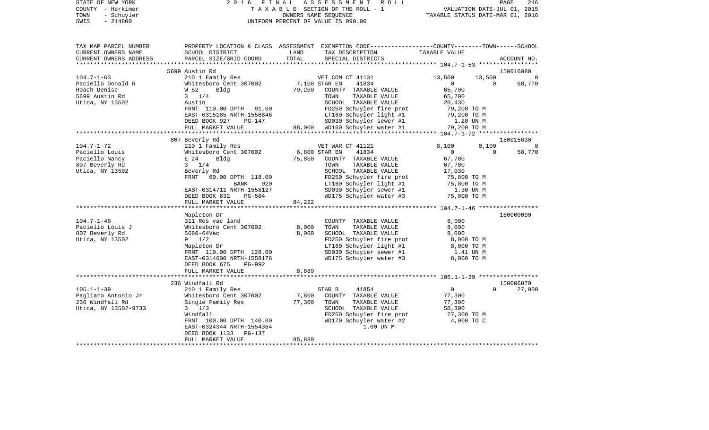| STATE OF NEW YORK<br>COUNTY - Herkimer<br>TOWN<br>- Schuyler<br>$-214800$<br>SWIS | 2 0 1 6<br>FINAL ASSESSMENT ROLL<br>TAXABLE SECTION OF THE ROLL - 1<br>UNIFORM PERCENT OF VALUE IS 090.00 | PAGE<br>246<br>VALUATION DATE-JUL 01, 2015<br>TAXABLE STATUS DATE-MAR 01, 2016                                                                           |                                                           |  |  |
|-----------------------------------------------------------------------------------|-----------------------------------------------------------------------------------------------------------|----------------------------------------------------------------------------------------------------------------------------------------------------------|-----------------------------------------------------------|--|--|
| TAX MAP PARCEL NUMBER<br>CURRENT OWNERS NAME<br>CURRENT OWNERS ADDRESS            | SCHOOL DISTRICT<br>PARCEL SIZE/GRID COORD                                                                 | PROPERTY LOCATION & CLASS ASSESSMENT EXEMPTION CODE---------------COUNTY-------TOWN------SCHOOL<br>LAND<br>TAX DESCRIPTION<br>TOTAL<br>SPECIAL DISTRICTS | TAXABLE VALUE<br>ACCOUNT NO.                              |  |  |
|                                                                                   |                                                                                                           |                                                                                                                                                          |                                                           |  |  |
| $104.7 - 1 - 63$                                                                  | 5699 Austin Rd<br>210 1 Family Res                                                                        | VET COM CT 41131                                                                                                                                         | 150016080<br>13,500<br>13,500<br>$\overline{\phantom{0}}$ |  |  |
| Paciello Donald R                                                                 | Whitesboro Cent 307002                                                                                    | 7,100 STAR EN<br>41834                                                                                                                                   | 58,770<br>$\overline{0}$<br>$\mathbf{0}$                  |  |  |
| Roach Denise                                                                      | W 52<br>Bldg                                                                                              | 79,200<br>COUNTY TAXABLE VALUE                                                                                                                           | 65,700                                                    |  |  |
| 5699 Austin Rd                                                                    | $3 \frac{1}{4}$                                                                                           | TAXABLE VALUE<br>TOWN                                                                                                                                    | 65,700                                                    |  |  |
| Utica, NY 13502                                                                   | Austin                                                                                                    | SCHOOL TAXABLE VALUE                                                                                                                                     | 20,430                                                    |  |  |
|                                                                                   | FRNT 110.00 DPTH 91.00                                                                                    | FD250 Schuyler fire prot                                                                                                                                 | 79,200 TO M                                               |  |  |
|                                                                                   | EAST-0315185 NRTH-1558846                                                                                 | LT160 Schuyler light #1                                                                                                                                  | 79,200 TO M                                               |  |  |
|                                                                                   | DEED BOOK 927<br>PG-147                                                                                   | SD030 Schuyler sewer #1                                                                                                                                  | 1.20 UN M                                                 |  |  |
|                                                                                   | FULL MARKET VALUE                                                                                         | 88,000 WD160 Schuyler water #1                                                                                                                           | 79,200 TO M                                               |  |  |
|                                                                                   | 807 Beverly Rd                                                                                            |                                                                                                                                                          | 150015630                                                 |  |  |
| 104.7-1-72                                                                        | 210 1 Family Res                                                                                          | VET WAR CT 41121                                                                                                                                         | 8,100<br>8,100<br>$\Omega$                                |  |  |
| Paciello Louis                                                                    | Whitesboro Cent 307002                                                                                    | 6,800 STAR EN<br>41834                                                                                                                                   | $\Omega$<br>58,770<br>$\mathbf{0}$                        |  |  |
| Paciello Nancy                                                                    | Bldg<br>E 24                                                                                              | 75,800<br>COUNTY TAXABLE VALUE                                                                                                                           | 67,700                                                    |  |  |
| 807 Beverly Rd                                                                    | $3 \t1/4$                                                                                                 | TOWN<br>TAXABLE VALUE                                                                                                                                    | 67,700                                                    |  |  |
| Utica, NY 13502                                                                   | Beverly Rd                                                                                                | SCHOOL TAXABLE VALUE                                                                                                                                     | 17,030                                                    |  |  |
|                                                                                   | FRNT 60.00 DPTH 118.00                                                                                    | FD250 Schuyler fire prot                                                                                                                                 | 75,800 TO M                                               |  |  |
|                                                                                   | BANK 020<br>EAST-0314711 NRTH-1558127                                                                     | LT160 Schuyler light #1<br>SD030 Schuyler sewer #1                                                                                                       | 75,800 TO M<br>1.30 UN M                                  |  |  |
|                                                                                   | DEED BOOK 832<br>PG-584                                                                                   | WD175 Schuyler water #3                                                                                                                                  | 75,800 TO M                                               |  |  |
|                                                                                   | FULL MARKET VALUE                                                                                         | 84,222                                                                                                                                                   |                                                           |  |  |
|                                                                                   |                                                                                                           |                                                                                                                                                          |                                                           |  |  |
|                                                                                   | Mapleton Dr                                                                                               |                                                                                                                                                          | 150000090                                                 |  |  |
| 104.7-1-46                                                                        | 311 Res vac land                                                                                          | COUNTY TAXABLE VALUE                                                                                                                                     | 8,000                                                     |  |  |
| Paciello Louis J                                                                  | Whitesboro Cent 307002                                                                                    | 8,000<br>TOWN<br>TAXABLE VALUE                                                                                                                           | 8,000                                                     |  |  |
| 807 Beverly Rd                                                                    | 5660-64Vac                                                                                                | 8,000<br>SCHOOL TAXABLE VALUE                                                                                                                            | 8,000                                                     |  |  |
| Utica, NY 13502                                                                   | $9 \t1/2$<br>Mapleton Dr                                                                                  | FD250 Schuyler fire prot<br>LT160 Schuyler light #1                                                                                                      | 8,000 TO M<br>8,000 TO M                                  |  |  |
|                                                                                   | FRNT 110.00 DPTH 128.00                                                                                   | SD030 Schuyler sewer #1                                                                                                                                  | 1.41 UN M                                                 |  |  |
|                                                                                   | EAST-0314600 NRTH-1558176                                                                                 | WD175 Schuyler water #3                                                                                                                                  | 8,000 TO M                                                |  |  |
|                                                                                   | DEED BOOK 675<br>PG-992                                                                                   |                                                                                                                                                          |                                                           |  |  |
|                                                                                   | FULL MARKET VALUE                                                                                         | 8,889                                                                                                                                                    |                                                           |  |  |
|                                                                                   |                                                                                                           |                                                                                                                                                          |                                                           |  |  |
|                                                                                   | 236 Windfall Rd                                                                                           |                                                                                                                                                          | 150006870                                                 |  |  |
| $105.1 - 1 - 39$                                                                  | 210 1 Family Res                                                                                          | STAR B<br>41854                                                                                                                                          | $\overline{0}$<br>$\Omega$<br>27,000                      |  |  |
| Pagliaro Antonio Jr<br>236 Windfall Rd                                            | Whitesboro Cent 307002<br>Single Family Res                                                               | 7,800<br>COUNTY TAXABLE VALUE<br>77,300<br>TAXABLE VALUE<br>TOWN                                                                                         | 77,300<br>77,300                                          |  |  |
| Utica, NY 13502-9733                                                              | $3 \frac{1}{3}$                                                                                           | SCHOOL TAXABLE VALUE                                                                                                                                     | 50,300                                                    |  |  |
|                                                                                   | Windfall                                                                                                  | FD250 Schuyler fire prot                                                                                                                                 | 77,300 TO M                                               |  |  |
|                                                                                   | FRNT 100.00 DPTH 140.00                                                                                   | WD170 Schuyler water #2                                                                                                                                  | 4,000 TO C                                                |  |  |
|                                                                                   | EAST-0324344 NRTH-1554364                                                                                 | 1.00 UN M                                                                                                                                                |                                                           |  |  |
|                                                                                   | DEED BOOK 1133<br>PG-137                                                                                  |                                                                                                                                                          |                                                           |  |  |
|                                                                                   | FULL MARKET VALUE                                                                                         | 85,889                                                                                                                                                   |                                                           |  |  |
|                                                                                   |                                                                                                           | * * * * * * * * * * * * * * * * * * * *                                                                                                                  |                                                           |  |  |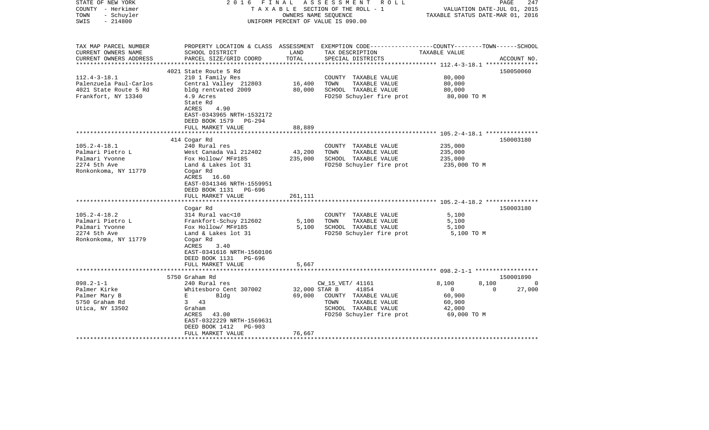| STATE OF NEW YORK<br>COUNTY - Herkimer<br>- Schuyler<br>TOWN<br>$-214800$<br>SWIS                                                                                                                    | FINAL<br>2016                                                                                                                                                                                                                                                                                                                                                               |                                                | ASSESSMENT<br>R O L L<br>TAXABLE SECTION OF THE ROLL - 1<br>OWNERS NAME SEQUENCE<br>UNIFORM PERCENT OF VALUE IS 090.00                                                                                 | VALUATION DATE-JUL 01, 2015<br>TAXABLE STATUS DATE-MAR 01, 2016                                                                                                                                                 | PAGE<br>247                     |
|------------------------------------------------------------------------------------------------------------------------------------------------------------------------------------------------------|-----------------------------------------------------------------------------------------------------------------------------------------------------------------------------------------------------------------------------------------------------------------------------------------------------------------------------------------------------------------------------|------------------------------------------------|--------------------------------------------------------------------------------------------------------------------------------------------------------------------------------------------------------|-----------------------------------------------------------------------------------------------------------------------------------------------------------------------------------------------------------------|---------------------------------|
| TAX MAP PARCEL NUMBER<br>CURRENT OWNERS NAME<br>CURRENT OWNERS ADDRESS<br>**********************                                                                                                     | SCHOOL DISTRICT<br>PARCEL SIZE/GRID COORD<br>****************************                                                                                                                                                                                                                                                                                                   | LAND<br>TOTAL                                  | PROPERTY LOCATION & CLASS ASSESSMENT EXEMPTION CODE---------------COUNTY-------TOWN-----SCHOOL<br>TAX DESCRIPTION<br>SPECIAL DISTRICTS                                                                 | TAXABLE VALUE                                                                                                                                                                                                   | ACCOUNT NO.                     |
| $112.4 - 3 - 18.1$<br>Palenzuela Paul-Carlos<br>4021 State Route 5 Rd<br>Frankfort, NY 13340                                                                                                         | 4021 State Route 5 Rd<br>210 1 Family Res<br>Central Valley 212803<br>bldg rentvated 2009<br>4.9 Acres<br>State Rd<br>ACRES<br>4.90<br>EAST-0343965 NRTH-1532172<br>DEED BOOK 1579 PG-294                                                                                                                                                                                   | 16,400<br>80,000                               | COUNTY TAXABLE VALUE<br>TOWN<br>TAXABLE VALUE<br>SCHOOL TAXABLE VALUE<br>FD250 Schuyler fire prot                                                                                                      | 80,000<br>80,000<br>80,000<br>80,000 TO M                                                                                                                                                                       | 150050060                       |
|                                                                                                                                                                                                      | FULL MARKET VALUE                                                                                                                                                                                                                                                                                                                                                           | 88,889<br>********                             |                                                                                                                                                                                                        |                                                                                                                                                                                                                 |                                 |
| $105.2 - 4 - 18.1$<br>Palmari Pietro L<br>Palmari Yvonne<br>2274 5th Ave<br>Ronkonkoma, NY 11779<br>$105.2 - 4 - 18.2$<br>Palmari Pietro L<br>Palmari Yvonne<br>2274 5th Ave<br>Ronkonkoma, NY 11779 | 414 Cogar Rd<br>240 Rural res<br>West Canada Val 212402<br>Fox Hollow/ MF#185<br>Land & Lakes lot 31<br>Cogar Rd<br>ACRES 16.60<br>EAST-0341346 NRTH-1559951<br>DEED BOOK 1131 PG-696<br>FULL MARKET VALUE<br>Cogar Rd<br>314 Rural vac<10<br>Frankfort-Schuy 212602<br>Fox Hollow/ MF#185<br>Land & Lakes lot 31<br>Cogar Rd<br>ACRES<br>3.40<br>EAST-0341616 NRTH-1560106 | 43,200<br>235,000<br>261,111<br>5,100<br>5,100 | COUNTY TAXABLE VALUE<br>TOWN<br>TAXABLE VALUE<br>SCHOOL TAXABLE VALUE<br>FD250 Schuyler fire prot<br>COUNTY TAXABLE VALUE<br>TAXABLE VALUE<br>TOWN<br>SCHOOL TAXABLE VALUE<br>FD250 Schuyler fire prot | *************************** 105.2-4-18.1 ***************<br>235,000<br>235,000<br>235,000<br>235,000 TO M<br>**************************** 105.2-4-18.2 ***************<br>5,100<br>5,100<br>5,100<br>5,100 TO M | 150003180<br>150003180          |
|                                                                                                                                                                                                      | DEED BOOK 1131 PG-696<br>FULL MARKET VALUE                                                                                                                                                                                                                                                                                                                                  | 5,667                                          |                                                                                                                                                                                                        |                                                                                                                                                                                                                 |                                 |
| $098.2 - 1 - 1$<br>Palmer Kirke<br>Palmer Mary B<br>5750 Graham Rd<br>Utica, NY 13502                                                                                                                | 5750 Graham Rd<br>240 Rural res<br>Whitesboro Cent 307002<br>E<br>Bldg<br>$3^{\circ}$<br>43<br>Graham<br>ACRES<br>43.00<br>EAST-0322229 NRTH-1569631<br>DEED BOOK 1412<br>PG-903<br>FULL MARKET VALUE                                                                                                                                                                       | 32,000 STAR B<br>69,000<br>76,667              | CW_15_VET/ 41161<br>41854<br>COUNTY TAXABLE VALUE<br>TOWN<br>TAXABLE VALUE<br>SCHOOL TAXABLE VALUE<br>FD250 Schuyler fire prot                                                                         | 8,100<br>8,100<br>$\overline{0}$<br>$\Omega$<br>60,900<br>60,900<br>42,000<br>69,000 TO M                                                                                                                       | 150001890<br>$\Omega$<br>27,000 |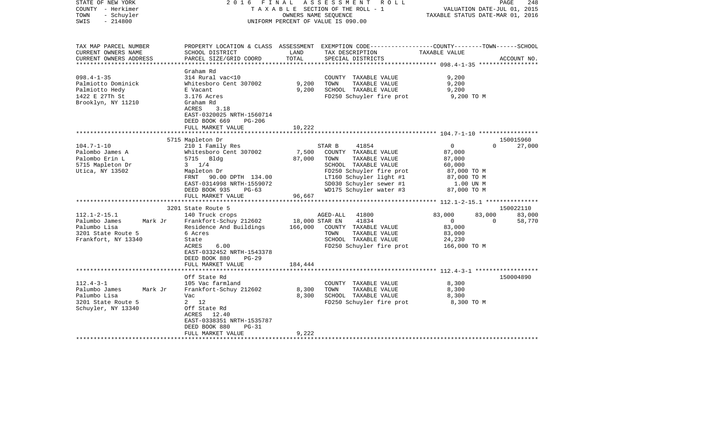| STATE OF NEW YORK                       |         | 2016                                                                                             | FINAL                                                   | A S S E S S M E N T | R O L L                                            |                                  | PAGE                        | 248         |
|-----------------------------------------|---------|--------------------------------------------------------------------------------------------------|---------------------------------------------------------|---------------------|----------------------------------------------------|----------------------------------|-----------------------------|-------------|
| COUNTY - Herkimer<br>TOWN<br>- Schuyler |         |                                                                                                  | TAXABLE SECTION OF THE ROLL - 1<br>OWNERS NAME SEQUENCE |                     |                                                    | TAXABLE STATUS DATE-MAR 01, 2016 | VALUATION DATE-JUL 01, 2015 |             |
| SWIS<br>$-214800$                       |         |                                                                                                  | UNIFORM PERCENT OF VALUE IS 090.00                      |                     |                                                    |                                  |                             |             |
|                                         |         |                                                                                                  |                                                         |                     |                                                    |                                  |                             |             |
| TAX MAP PARCEL NUMBER                   |         | PROPERTY LOCATION & CLASS ASSESSMENT EXEMPTION CODE----------------COUNTY-------TOWN------SCHOOL |                                                         |                     |                                                    |                                  |                             |             |
| CURRENT OWNERS NAME                     |         | SCHOOL DISTRICT                                                                                  | LAND                                                    |                     | TAX DESCRIPTION                                    | TAXABLE VALUE                    |                             |             |
| CURRENT OWNERS ADDRESS                  |         | PARCEL SIZE/GRID COORD                                                                           | TOTAL                                                   |                     | SPECIAL DISTRICTS                                  |                                  |                             | ACCOUNT NO. |
| ***********************                 |         |                                                                                                  |                                                         |                     |                                                    |                                  |                             |             |
|                                         |         | Graham Rd                                                                                        |                                                         |                     |                                                    |                                  |                             |             |
| $098.4 - 1 - 35$                        |         | 314 Rural vac<10                                                                                 |                                                         |                     | COUNTY TAXABLE VALUE                               | 9,200                            |                             |             |
| Palmiotto Dominick                      |         | Whitesboro Cent 307002                                                                           | 9,200                                                   | TOWN                | TAXABLE VALUE                                      | 9,200                            |                             |             |
| Palmiotto Hedy                          |         | E Vacant                                                                                         | 9,200                                                   |                     | SCHOOL TAXABLE VALUE                               | 9,200                            |                             |             |
| 1422 E 27Th St                          |         | 3.176 Acres                                                                                      |                                                         |                     | FD250 Schuyler fire prot                           | 9,200 TO M                       |                             |             |
| Brooklyn, NY 11210                      |         | Graham Rd                                                                                        |                                                         |                     |                                                    |                                  |                             |             |
|                                         |         | ACRES<br>3.18                                                                                    |                                                         |                     |                                                    |                                  |                             |             |
|                                         |         | EAST-0320025 NRTH-1560714                                                                        |                                                         |                     |                                                    |                                  |                             |             |
|                                         |         | DEED BOOK 669<br><b>PG-206</b>                                                                   |                                                         |                     |                                                    |                                  |                             |             |
|                                         |         | FULL MARKET VALUE                                                                                | 10,222                                                  |                     |                                                    |                                  |                             |             |
|                                         |         |                                                                                                  | ********                                                |                     |                                                    |                                  |                             |             |
|                                         |         | 5715 Mapleton Dr                                                                                 |                                                         |                     |                                                    |                                  |                             | 150015960   |
| $104.7 - 1 - 10$                        |         | 210 1 Family Res                                                                                 |                                                         | STAR B              | 41854                                              | $\mathbf{0}$                     | $\Omega$                    | 27,000      |
| Palombo James A                         |         | Whitesboro Cent 307002                                                                           | 7,500                                                   |                     | COUNTY TAXABLE VALUE                               | 87,000                           |                             |             |
| Palombo Erin L                          |         | 5715 Bldg                                                                                        | 87,000                                                  | TOWN                | TAXABLE VALUE                                      | 87,000                           |                             |             |
| 5715 Mapleton Dr                        |         | $3 \frac{1}{4}$                                                                                  |                                                         |                     | SCHOOL TAXABLE VALUE                               | 60,000                           |                             |             |
| Utica, NY 13502                         |         | Mapleton Dr                                                                                      |                                                         |                     | FD250 Schuyler fire prot                           | 87,000 TO M                      |                             |             |
|                                         |         | FRNT 90.00 DPTH 134.00                                                                           |                                                         |                     | LT160 Schuyler light #1<br>SD030 Schuyler sewer #1 | 87,000 TO M                      |                             |             |
|                                         |         | EAST-0314998 NRTH-1559072<br>DEED BOOK 935<br>$PG-63$                                            |                                                         |                     | WD175 Schuyler water #3                            | 1.00 UN M<br>87,000 TO M         |                             |             |
|                                         |         | FULL MARKET VALUE                                                                                | 96,667                                                  |                     |                                                    |                                  |                             |             |
|                                         |         |                                                                                                  |                                                         |                     |                                                    |                                  |                             |             |
|                                         |         | 3201 State Route 5                                                                               |                                                         |                     |                                                    |                                  |                             | 150022110   |
| $112.1 - 2 - 15.1$                      |         | 140 Truck crops                                                                                  |                                                         | AGED-ALL            | 41800                                              | 83,000                           | 83,000                      | 83,000      |
| Palumbo James                           | Mark Jr | Frankfort-Schuy 212602                                                                           | 18,000 STAR EN                                          |                     | 41834                                              | $\overline{0}$                   | $\Omega$                    | 58,770      |
| Palumbo Lisa                            |         | Residence And Buildings                                                                          | 166,000                                                 |                     | COUNTY TAXABLE VALUE                               | 83,000                           |                             |             |
| 3201 State Route 5                      |         | 6 Acres                                                                                          |                                                         | TOWN                | TAXABLE VALUE                                      | 83,000                           |                             |             |
| Frankfort, NY 13340                     |         | State                                                                                            |                                                         |                     | SCHOOL TAXABLE VALUE                               | 24,230                           |                             |             |
|                                         |         | <b>ACRES</b><br>6.00                                                                             |                                                         |                     | FD250 Schuyler fire prot                           | 166,000 TO M                     |                             |             |
|                                         |         | EAST-0332452 NRTH-1543378                                                                        |                                                         |                     |                                                    |                                  |                             |             |
|                                         |         | DEED BOOK 880<br>$PG-29$                                                                         |                                                         |                     |                                                    |                                  |                             |             |
|                                         |         | FULL MARKET VALUE                                                                                | 184,444                                                 |                     |                                                    |                                  |                             |             |
|                                         |         | **********************                                                                           |                                                         |                     |                                                    |                                  |                             |             |
|                                         |         | Off State Rd                                                                                     |                                                         |                     |                                                    |                                  |                             | 150004890   |
| $112.4 - 3 - 1$                         |         | 105 Vac farmland                                                                                 |                                                         |                     | COUNTY TAXABLE VALUE                               | 8,300                            |                             |             |
| Palumbo James                           | Mark Jr | Frankfort-Schuy 212602                                                                           | 8,300                                                   | TOWN                | TAXABLE VALUE                                      | 8,300                            |                             |             |
| Palumbo Lisa                            |         | Vac                                                                                              | 8,300                                                   |                     | SCHOOL TAXABLE VALUE                               | 8,300                            |                             |             |
| 3201 State Route 5                      |         | 2 12                                                                                             |                                                         |                     | FD250 Schuyler fire prot                           | 8,300 TO M                       |                             |             |
| Schuyler, NY 13340                      |         | Off State Rd                                                                                     |                                                         |                     |                                                    |                                  |                             |             |
|                                         |         | ACRES<br>12.40                                                                                   |                                                         |                     |                                                    |                                  |                             |             |
|                                         |         | EAST-0338351 NRTH-1535787                                                                        |                                                         |                     |                                                    |                                  |                             |             |
|                                         |         | DEED BOOK 880<br>$PG-31$                                                                         |                                                         |                     |                                                    |                                  |                             |             |
|                                         |         | FULL MARKET VALUE                                                                                | 9,222                                                   |                     |                                                    |                                  |                             |             |
|                                         |         |                                                                                                  |                                                         |                     |                                                    |                                  |                             |             |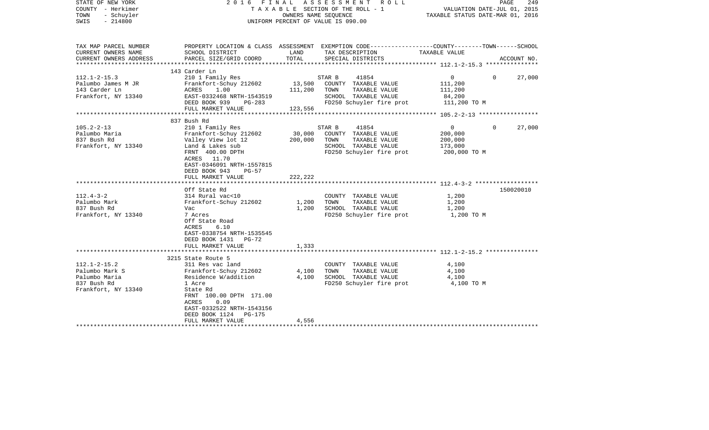| STATE OF NEW YORK<br>COUNTY - Herkimer<br>- Schuyler<br>TOWN<br>$-214800$<br>SWIS           | 2016 FINAL ASSESSMENT ROLL<br>TAXABLE SECTION OF THE ROLL - 1<br>UNIFORM PERCENT OF VALUE IS 090.00                                                                                           | PAGE<br>249<br>VALUATION DATE-JUL 01, 2015<br>TAXABLE STATUS DATE-MAR 01, 2016 |                                                                                                                      |                                                                |                    |
|---------------------------------------------------------------------------------------------|-----------------------------------------------------------------------------------------------------------------------------------------------------------------------------------------------|--------------------------------------------------------------------------------|----------------------------------------------------------------------------------------------------------------------|----------------------------------------------------------------|--------------------|
| TAX MAP PARCEL NUMBER<br>CURRENT OWNERS NAME                                                | SCHOOL DISTRICT                                                                                                                                                                               | LAND                                                                           | PROPERTY LOCATION & CLASS ASSESSMENT EXEMPTION CODE---------------COUNTY-------TOWN------SCHOOL<br>TAX DESCRIPTION   | TAXABLE VALUE                                                  |                    |
| CURRENT OWNERS ADDRESS<br>**********************                                            | PARCEL SIZE/GRID COORD                                                                                                                                                                        | TOTAL                                                                          | SPECIAL DISTRICTS                                                                                                    |                                                                | ACCOUNT NO.        |
|                                                                                             | 143 Carder Ln                                                                                                                                                                                 |                                                                                |                                                                                                                      |                                                                |                    |
| $112.1 - 2 - 15.3$<br>Palumbo James M JR<br>143 Carder Ln<br>Frankfort, NY 13340            | 210 1 Family Res<br>Frankfort-Schuy 212602<br>ACRES<br>1.00<br>EAST-0332468 NRTH-1543519<br>DEED BOOK 939<br>PG-283                                                                           | 13,500<br>111,200                                                              | STAR B<br>41854<br>COUNTY TAXABLE VALUE<br>TOWN<br>TAXABLE VALUE<br>SCHOOL TAXABLE VALUE<br>FD250 Schuyler fire prot | $\overline{0}$<br>111,200<br>111,200<br>84,200<br>111,200 TO M | 27,000<br>$\Omega$ |
|                                                                                             | FULL MARKET VALUE<br>***********************                                                                                                                                                  | 123,556                                                                        |                                                                                                                      |                                                                |                    |
| $105.2 - 2 - 13$<br>Palumbo Maria                                                           | 837 Bush Rd<br>210 1 Family Res<br>Frankfort-Schuy 212602                                                                                                                                     | 30,000                                                                         | 41854<br>STAR B<br>COUNTY TAXABLE VALUE                                                                              | $\Omega$<br>200,000                                            | 27,000<br>$\Omega$ |
| 837 Bush Rd<br>Frankfort, NY 13340                                                          | Valley View lot 12<br>Land & Lakes sub<br>FRNT 400.00 DPTH<br>ACRES 11.70<br>EAST-0346091 NRTH-1557815<br>DEED BOOK 943<br>$PG-57$                                                            | 200,000                                                                        | TOWN<br>TAXABLE VALUE<br>SCHOOL TAXABLE VALUE<br>FD250 Schuyler fire prot                                            | 200,000<br>173,000<br>200,000 TO M                             |                    |
|                                                                                             | FULL MARKET VALUE                                                                                                                                                                             | 222,222                                                                        |                                                                                                                      |                                                                |                    |
| $112.4 - 3 - 2$<br>Palumbo Mark<br>837 Bush Rd<br>Frankfort, NY 13340                       | Off State Rd<br>314 Rural vac<10<br>Frankfort-Schuy 212602<br>Vac<br>7 Acres<br>Off State Road<br>6.10<br>ACRES<br>EAST-0338754 NRTH-1535545<br>DEED BOOK 1431 PG-72                          | 1,200<br>1,200                                                                 | COUNTY TAXABLE VALUE<br>TOWN<br>TAXABLE VALUE<br>SCHOOL TAXABLE VALUE<br>FD250 Schuyler fire prot                    | 1,200<br>1,200<br>1,200<br>1,200 TO M                          | 150020010          |
|                                                                                             | FULL MARKET VALUE                                                                                                                                                                             | 1,333                                                                          |                                                                                                                      |                                                                |                    |
|                                                                                             | 3215 State Route 5                                                                                                                                                                            |                                                                                |                                                                                                                      |                                                                |                    |
| $112.1 - 2 - 15.2$<br>Palumbo Mark S<br>Palumbo Maria<br>837 Bush Rd<br>Frankfort, NY 13340 | 311 Res vac land<br>Frankfort-Schuy 212602<br>Residence W/addition<br>1 Acre<br>State Rd<br>FRNT 100.00 DPTH 171.00<br>ACRES<br>0.09<br>EAST-0332522 NRTH-1543156<br>DEED BOOK 1124<br>PG-175 | 4,100<br>4,100                                                                 | COUNTY TAXABLE VALUE<br>TOWN<br>TAXABLE VALUE<br>SCHOOL TAXABLE VALUE<br>FD250 Schuyler fire prot                    | 4,100<br>4,100<br>4,100<br>4,100 TO M                          |                    |
| ***********************                                                                     | FULL MARKET VALUE                                                                                                                                                                             | 4,556                                                                          |                                                                                                                      |                                                                |                    |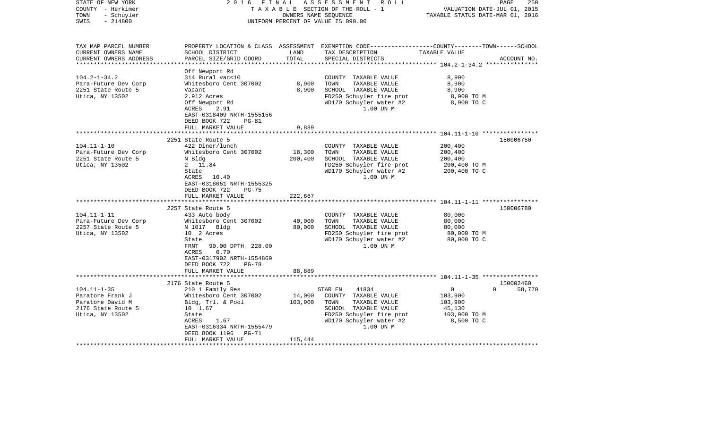| STATE OF NEW YORK<br>COUNTY - Herkimer<br>- Schuyler<br>TOWN<br>$-214800$<br>SWIS | 2016 FINAL                                 | OWNERS NAME SEQUENCE | ASSESSMENT ROLL<br>TAXABLE SECTION OF THE ROLL - 1<br>UNIFORM PERCENT OF VALUE IS 090.00                                               | VALUATION DATE-JUL 01, 2015<br>TAXABLE STATUS DATE-MAR 01, 2016 | 250<br>PAGE        |
|-----------------------------------------------------------------------------------|--------------------------------------------|----------------------|----------------------------------------------------------------------------------------------------------------------------------------|-----------------------------------------------------------------|--------------------|
| TAX MAP PARCEL NUMBER<br>CURRENT OWNERS NAME<br>CURRENT OWNERS ADDRESS            | SCHOOL DISTRICT<br>PARCEL SIZE/GRID COORD  | LAND<br>TOTAL        | PROPERTY LOCATION & CLASS ASSESSMENT EXEMPTION CODE---------------COUNTY-------TOWN-----SCHOOL<br>TAX DESCRIPTION<br>SPECIAL DISTRICTS | TAXABLE VALUE                                                   | ACCOUNT NO.        |
|                                                                                   |                                            |                      |                                                                                                                                        |                                                                 |                    |
|                                                                                   | Off Newport Rd                             |                      |                                                                                                                                        |                                                                 |                    |
| $104.2 - 1 - 34.2$                                                                | 314 Rural vac<10                           |                      | COUNTY TAXABLE VALUE                                                                                                                   | 8,900                                                           |                    |
| Para-Future Dev Corp<br>2251 State Route 5                                        | Whitesboro Cent 307002<br>Vacant           | 8,900<br>8,900       | TOWN<br>TAXABLE VALUE<br>SCHOOL TAXABLE VALUE                                                                                          | 8,900<br>8,900                                                  |                    |
| Utica, NY 13502                                                                   | 2.912 Acres                                |                      | FD250 Schuyler fire prot                                                                                                               | 8,900 TO M                                                      |                    |
|                                                                                   | Off Newport Rd                             |                      | WD170 Schuyler water #2                                                                                                                | 8,900 TO C                                                      |                    |
|                                                                                   | ACRES<br>2.91                              |                      | 1.00 UN M                                                                                                                              |                                                                 |                    |
|                                                                                   | EAST-0318409 NRTH-1555156                  |                      |                                                                                                                                        |                                                                 |                    |
|                                                                                   | DEED BOOK 722<br>$PG-81$                   |                      |                                                                                                                                        |                                                                 |                    |
|                                                                                   | FULL MARKET VALUE                          | 9,889                |                                                                                                                                        |                                                                 |                    |
|                                                                                   |                                            |                      |                                                                                                                                        |                                                                 |                    |
|                                                                                   | 2251 State Route 5                         |                      |                                                                                                                                        |                                                                 | 150006750          |
| $104.11 - 1 - 10$                                                                 | 422 Diner/lunch                            |                      | COUNTY TAXABLE VALUE                                                                                                                   | 200,400                                                         |                    |
| Para-Future Dev Corp                                                              | Whitesboro Cent 307002                     | 18,300               | TOWN<br>TAXABLE VALUE                                                                                                                  | 200,400                                                         |                    |
| 2251 State Route 5                                                                | N Bldg                                     | 200,400              | SCHOOL TAXABLE VALUE                                                                                                                   | 200,400                                                         |                    |
| Utica, NY 13502                                                                   | 2 11.84                                    |                      | FD250 Schuyler fire prot                                                                                                               | 200,400 то м                                                    |                    |
|                                                                                   | State                                      |                      | WD170 Schuyler water #2                                                                                                                | 200,400 TO C                                                    |                    |
|                                                                                   | ACRES 10.40                                |                      | 1.00 UN M                                                                                                                              |                                                                 |                    |
|                                                                                   | EAST-0318051 NRTH-1555325                  |                      |                                                                                                                                        |                                                                 |                    |
|                                                                                   | DEED BOOK 722<br>$PG-75$                   |                      |                                                                                                                                        |                                                                 |                    |
|                                                                                   | FULL MARKET VALUE                          | 222,667              |                                                                                                                                        |                                                                 |                    |
|                                                                                   |                                            |                      |                                                                                                                                        |                                                                 |                    |
|                                                                                   | 2257 State Route 5                         |                      |                                                                                                                                        |                                                                 | 150006780          |
| $104.11 - 1 - 11$                                                                 | 433 Auto body                              |                      | COUNTY TAXABLE VALUE                                                                                                                   | 80,000                                                          |                    |
| Para-Future Dev Corp                                                              | Whitesboro Cent 307002                     | 40,000               | TOWN<br>TAXABLE VALUE                                                                                                                  | 80,000                                                          |                    |
| 2257 State Route 5                                                                | N 1017 Bldg                                | 80,000               | SCHOOL TAXABLE VALUE                                                                                                                   | 80,000                                                          |                    |
| Utica, NY 13502                                                                   | 10 2 Acres                                 |                      | FD250 Schuyler fire prot                                                                                                               | 80,000 TO M                                                     |                    |
|                                                                                   | State                                      |                      | WD170 Schuyler water #2                                                                                                                | 80,000 TO C                                                     |                    |
|                                                                                   | FRNT<br>90.00 DPTH 228.00                  |                      | 1.00 UN M                                                                                                                              |                                                                 |                    |
|                                                                                   | ACRES<br>0.70<br>EAST-0317902 NRTH-1554869 |                      |                                                                                                                                        |                                                                 |                    |
|                                                                                   | DEED BOOK 722<br>$PG-78$                   |                      |                                                                                                                                        |                                                                 |                    |
|                                                                                   | FULL MARKET VALUE                          | 88,889               |                                                                                                                                        |                                                                 |                    |
|                                                                                   | ********************************           |                      |                                                                                                                                        |                                                                 |                    |
|                                                                                   | 2176 State Route 5                         |                      |                                                                                                                                        |                                                                 | 150002460          |
| $104.11 - 1 - 35$                                                                 | 210 1 Family Res                           |                      | 41834<br>STAR EN                                                                                                                       | $\mathbf 0$                                                     | 58,770<br>$\Omega$ |
| Paratore Frank J                                                                  | Whitesboro Cent 307002                     | 14,000               | COUNTY TAXABLE VALUE                                                                                                                   | 103,900                                                         |                    |
| Paratore David M                                                                  | Bldg, Trl. & Pool                          | 103,900              | TOWN<br>TAXABLE VALUE                                                                                                                  | 103,900                                                         |                    |
| 2176 State Route 5                                                                | 10 1.67                                    |                      | SCHOOL TAXABLE VALUE                                                                                                                   | 45,130                                                          |                    |
| Utica, NY 13502                                                                   | State                                      |                      | FD250 Schuyler fire prot                                                                                                               | 103,900 ТО М                                                    |                    |
|                                                                                   | ACRES<br>1.67                              |                      | WD170 Schuyler water #2                                                                                                                | 8,500 TO C                                                      |                    |
|                                                                                   | EAST-0316334 NRTH-1555479                  |                      | 1.00 UN M                                                                                                                              |                                                                 |                    |
|                                                                                   | DEED BOOK 1196<br>$PG-71$                  |                      |                                                                                                                                        |                                                                 |                    |
|                                                                                   | FULL MARKET VALUE                          | 115,444              |                                                                                                                                        |                                                                 |                    |
|                                                                                   |                                            |                      |                                                                                                                                        |                                                                 |                    |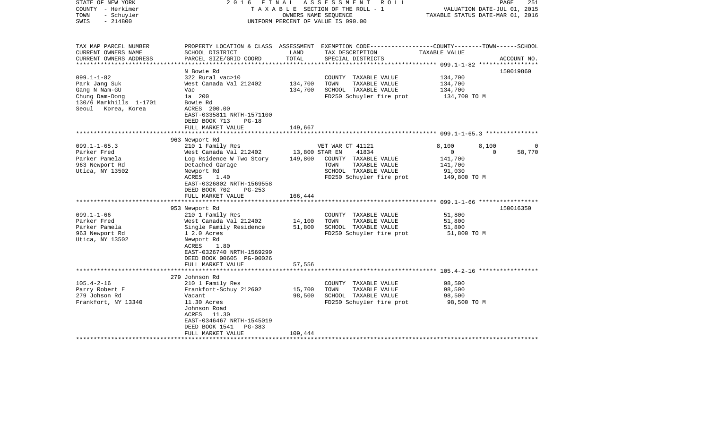| STATE OF NEW YORK<br>COUNTY - Herkimer<br>- Schuyler<br>TOWN<br>$-214800$<br>SWIS                                                                                                | FINAL<br>2016                                                                                                                                                                                                                                                                                                                                                                                                                                          | OWNERS NAME SEOUENCE                                     | ASSESSMENT<br>R O L L<br>T A X A B L E SECTION OF THE ROLL - 1<br>UNIFORM PERCENT OF VALUE IS 090.00                                                                                                                                                                                                      | VALUATION DATE-JUL 01, 2015<br>TAXABLE STATUS DATE-MAR 01, 2016                                                             | 251<br>PAGE                                 |
|----------------------------------------------------------------------------------------------------------------------------------------------------------------------------------|--------------------------------------------------------------------------------------------------------------------------------------------------------------------------------------------------------------------------------------------------------------------------------------------------------------------------------------------------------------------------------------------------------------------------------------------------------|----------------------------------------------------------|-----------------------------------------------------------------------------------------------------------------------------------------------------------------------------------------------------------------------------------------------------------------------------------------------------------|-----------------------------------------------------------------------------------------------------------------------------|---------------------------------------------|
| TAX MAP PARCEL NUMBER<br>CURRENT OWNERS NAME<br>CURRENT OWNERS ADDRESS<br>***********************                                                                                | SCHOOL DISTRICT<br>PARCEL SIZE/GRID COORD                                                                                                                                                                                                                                                                                                                                                                                                              | LAND<br>TOTAL                                            | PROPERTY LOCATION & CLASS ASSESSMENT EXEMPTION CODE----------------COUNTY-------TOWN------SCHOOL<br>TAX DESCRIPTION<br>SPECIAL DISTRICTS                                                                                                                                                                  | TAXABLE VALUE                                                                                                               | ACCOUNT NO.                                 |
| $099.1 - 1 - 82$<br>Park Jang Suk<br>Gang N Nam-GU<br>Chung Dam-Dong<br>130/6 Markhills 1-1701<br>Seoul Korea, Korea                                                             | N Bowie Rd<br>322 Rural vac>10<br>West Canada Val 212402<br>Vac<br>1a 200<br>Bowie Rd<br>ACRES 200.00<br>EAST-0335811 NRTH-1571100<br>DEED BOOK 713<br>$PG-18$<br>FULL MARKET VALUE                                                                                                                                                                                                                                                                    | 134,700<br>134,700<br>149,667                            | COUNTY TAXABLE VALUE<br>TOWN<br>TAXABLE VALUE<br>SCHOOL TAXABLE VALUE<br>FD250 Schuyler fire prot                                                                                                                                                                                                         | 134,700<br>134,700<br>134,700<br>134,700 TO M                                                                               | 150019860                                   |
|                                                                                                                                                                                  |                                                                                                                                                                                                                                                                                                                                                                                                                                                        |                                                          |                                                                                                                                                                                                                                                                                                           |                                                                                                                             |                                             |
| $099.1 - 1 - 65.3$<br>Parker Fred<br>Parker Pamela<br>963 Newport Rd<br>Utica, NY 13502<br>$099.1 - 1 - 66$<br>Parker Fred<br>Parker Pamela<br>963 Newport Rd<br>Utica, NY 13502 | 963 Newport Rd<br>210 1 Family Res<br>West Canada Val 212402<br>Log Rsidence W Two Story<br>Detached Garage<br>Newport Rd<br>ACRES<br>1.40<br>EAST-0326802 NRTH-1569558<br>DEED BOOK 702<br>$PG-253$<br>FULL MARKET VALUE<br>**********************<br>953 Newport Rd<br>210 1 Family Res<br>West Canada Val 212402<br>Single Family Residence<br>$12.0$ Acres<br>Newport Rd<br>ACRES<br>1.80<br>EAST-0326740 NRTH-1569299<br>DEED BOOK 00605 PG-00026 | 13,800 STAR EN<br>149,800<br>166,444<br>14,100<br>51,800 | VET WAR CT 41121<br>41834<br>COUNTY TAXABLE VALUE<br>TOWN<br>TAXABLE VALUE<br>SCHOOL TAXABLE VALUE<br>FD250 Schuyler fire prot<br>*************************************609.1-1-66 ******************<br>COUNTY TAXABLE VALUE<br>TAXABLE VALUE<br>TOWN<br>SCHOOL TAXABLE VALUE<br>FD250 Schuyler fire prot | 8,100<br>8,100<br>$\mathbf{0}$<br>141,700<br>141,700<br>91,030<br>149,800 TO M<br>51,800<br>51,800<br>51,800<br>51,800 TO M | $\Omega$<br>58,770<br>$\Omega$<br>150016350 |
|                                                                                                                                                                                  | FULL MARKET VALUE<br>***********************                                                                                                                                                                                                                                                                                                                                                                                                           | 57,556                                                   |                                                                                                                                                                                                                                                                                                           |                                                                                                                             |                                             |
|                                                                                                                                                                                  |                                                                                                                                                                                                                                                                                                                                                                                                                                                        |                                                          |                                                                                                                                                                                                                                                                                                           |                                                                                                                             |                                             |
| $105.4 - 2 - 16$<br>Parry Robert E<br>279 Johson Rd<br>Frankfort, NY 13340                                                                                                       | 279 Johnson Rd<br>210 1 Family Res<br>Frankfort-Schuy 212602<br>Vacant<br>11.30 Acres<br>Johnson Road<br>ACRES 11.30<br>EAST-0346467 NRTH-1545019<br>DEED BOOK 1541<br><b>PG-383</b><br>FULL MARKET VALUE                                                                                                                                                                                                                                              | 15,700<br>98,500<br>109,444                              | COUNTY TAXABLE VALUE<br>TOWN<br>TAXABLE VALUE<br>SCHOOL TAXABLE VALUE<br>FD250 Schuyler fire prot                                                                                                                                                                                                         | 98,500<br>98,500<br>98,500<br>98,500 TO M                                                                                   |                                             |
|                                                                                                                                                                                  |                                                                                                                                                                                                                                                                                                                                                                                                                                                        |                                                          |                                                                                                                                                                                                                                                                                                           |                                                                                                                             |                                             |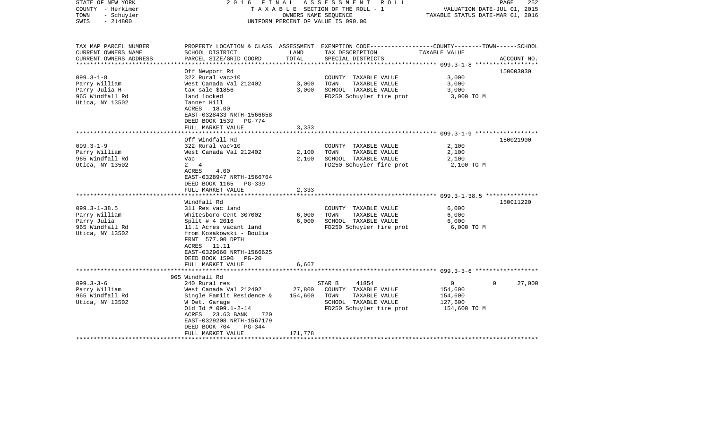| STATE OF NEW YORK<br>COUNTY - Herkimer<br>- Schuyler<br>TOWN<br>$-214800$<br>SWIS                | 2016 FINAL                                                                                                                                                                                                                | OWNERS NAME SEQUENCE    | ASSESSMENT<br>R O L L<br>T A X A B L E SECTION OF THE ROLL - 1<br>UNIFORM PERCENT OF VALUE IS 090.00                                    | VALUATION DATE-JUL 01, 2015<br>TAXABLE STATUS DATE-MAR 01, 2016 | PAGE<br>252        |
|--------------------------------------------------------------------------------------------------|---------------------------------------------------------------------------------------------------------------------------------------------------------------------------------------------------------------------------|-------------------------|-----------------------------------------------------------------------------------------------------------------------------------------|-----------------------------------------------------------------|--------------------|
| TAX MAP PARCEL NUMBER<br>CURRENT OWNERS NAME<br>CURRENT OWNERS ADDRESS<br>********************** | SCHOOL DISTRICT<br>PARCEL SIZE/GRID COORD                                                                                                                                                                                 | LAND<br>TOTAL           | PROPERTY LOCATION & CLASS ASSESSMENT EXEMPTION CODE---------------COUNTY-------TOWN------SCHOOL<br>TAX DESCRIPTION<br>SPECIAL DISTRICTS | TAXABLE VALUE                                                   | ACCOUNT NO.        |
| $099.3 - 1 - 8$<br>Parry William<br>Parry Julia H<br>965 Windfall Rd<br>Utica, NY 13502          | Off Newport Rd<br>322 Rural vac>10<br>West Canada Val 212402<br>tax sale \$1856<br>land locked<br>Tanner Hill<br>ACRES 18.00<br>EAST-0328433 NRTH-1566658<br>DEED BOOK 1539<br><b>PG-774</b><br>FULL MARKET VALUE         | 3,000<br>3,000<br>3,333 | COUNTY TAXABLE VALUE<br>TOWN<br>TAXABLE VALUE<br>SCHOOL TAXABLE VALUE<br>FD250 Schuyler fire prot                                       | 3,000<br>3,000<br>3,000<br>3,000 TO M                           | 150003030          |
|                                                                                                  |                                                                                                                                                                                                                           |                         |                                                                                                                                         | ********************* 099.3-1-9 *******************             |                    |
| $099.3 - 1 - 9$<br>Parry William<br>965 Windfall Rd<br>Utica, NY 13502                           | Off Windfall Rd<br>322 Rural vac>10<br>West Canada Val 212402<br>Vac<br>2 4<br>ACRES<br>4.00<br>EAST-0328947 NRTH-1566764<br>DEED BOOK 1165 PG-339<br>FULL MARKET VALUE                                                   | 2,100<br>2,100<br>2,333 | COUNTY TAXABLE VALUE<br>TAXABLE VALUE<br>TOWN<br>SCHOOL TAXABLE VALUE<br>FD250 Schuyler fire prot                                       | 2,100<br>2,100<br>2,100<br>2,100 TO M                           | 150021900          |
|                                                                                                  | *******************                                                                                                                                                                                                       |                         |                                                                                                                                         |                                                                 |                    |
| $099.3 - 1 - 38.5$<br>Parry William<br>Parry Julia<br>965 Windfall Rd<br>Utica, NY 13502         | Windfall Rd<br>311 Res vac land<br>Whitesboro Cent 307002<br>Split # 4 2016<br>11.1 Acres vacant land<br>from Kosakowski - Boulia<br>FRNT 577.00 DPTH<br>ACRES 11.11<br>EAST-0329660 NRTH-1566625<br>DEED BOOK 1590 PG-20 | 6,000<br>6,000          | COUNTY TAXABLE VALUE<br>TAXABLE VALUE<br>TOWN<br>SCHOOL TAXABLE VALUE<br>FD250 Schuyler fire prot                                       | 6,000<br>6,000<br>6,000<br>6,000 TO M                           | 150011220          |
|                                                                                                  | FULL MARKET VALUE<br>**************************                                                                                                                                                                           | 6,667                   |                                                                                                                                         |                                                                 |                    |
| $099.3 - 3 - 6$<br>Parry William<br>965 Windfall Rd<br>Utica, NY 13502                           | 965 Windfall Rd<br>240 Rural res<br>West Canada Val 212402<br>Single Familt Residence &<br>W Det. Garage<br>Old Id # $099.1 - 2 - 14$<br>ACRES 23.63 BANK<br>720<br>EAST-0329208 NRTH-1567179<br>DEED BOOK 704<br>PG-344  | 27,800<br>154,600       | 41854<br>STAR B<br>COUNTY TAXABLE VALUE<br>TAXABLE VALUE<br>TOWN<br>SCHOOL TAXABLE VALUE<br>FD250 Schuyler fire prot                    | $\circ$<br>154,600<br>154,600<br>127,600<br>154,600 TO M        | 27,000<br>$\Omega$ |
|                                                                                                  | FULL MARKET VALUE                                                                                                                                                                                                         | 171,778                 |                                                                                                                                         |                                                                 |                    |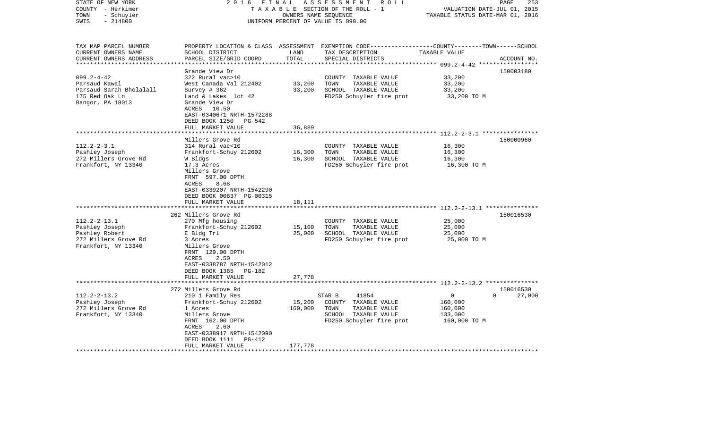| STATE OF NEW YORK<br>COUNTY - Herkimer<br>- Schuyler<br>TOWN<br>$-214800$<br>SWIS                     | 2 0 1 6<br>FINAL                                                                                                                                                                                                         |                              | ASSESSMENT<br>ROLL<br>TAXABLE SECTION OF THE ROLL - 1<br>OWNERS NAME SEQUENCE<br>UNIFORM PERCENT OF VALUE IS 090.00                     | VALUATION DATE-JUL 01, 2015<br>TAXABLE STATUS DATE-MAR 01, 2016 | PAGE<br>253         |
|-------------------------------------------------------------------------------------------------------|--------------------------------------------------------------------------------------------------------------------------------------------------------------------------------------------------------------------------|------------------------------|-----------------------------------------------------------------------------------------------------------------------------------------|-----------------------------------------------------------------|---------------------|
| TAX MAP PARCEL NUMBER<br>CURRENT OWNERS NAME<br>CURRENT OWNERS ADDRESS<br>***********************     | SCHOOL DISTRICT<br>PARCEL SIZE/GRID COORD                                                                                                                                                                                | LAND<br>TOTAL                | PROPERTY LOCATION & CLASS ASSESSMENT EXEMPTION CODE---------------COUNTY-------TOWN------SCHOOL<br>TAX DESCRIPTION<br>SPECIAL DISTRICTS | TAXABLE VALUE                                                   | ACCOUNT NO.         |
| $099.2 - 4 - 42$<br>Parsaud Kawal<br>Parsaud Sarah Bholalall<br>175 Red Oak Ln<br>Bangor, PA 18013    | Grande View Dr<br>322 Rural vac>10<br>West Canada Val 212402<br>Survey # 362<br>Land & Lakes lot 42<br>Grande View Dr<br>ACRES<br>10.50<br>EAST-0340671 NRTH-1572288<br>DEED BOOK 1250<br>PG-542                         | 33,200<br>33,200             | COUNTY TAXABLE VALUE<br>TOWN<br>TAXABLE VALUE<br>SCHOOL TAXABLE VALUE<br>FD250 Schuyler fire prot                                       | 33,200<br>33,200<br>33,200<br>33,200 TO M                       | 150003180           |
|                                                                                                       | FULL MARKET VALUE                                                                                                                                                                                                        | 36,889                       |                                                                                                                                         | *************** 112.2-2-3.1 *****                               |                     |
| $112.2 - 2 - 3.1$<br>Pashley Joseph<br>272 Millers Grove Rd<br>Frankfort, NY 13340                    | Millers Grove Rd<br>314 Rural vac<10<br>Frankfort-Schuy 212602<br>W Bldgs<br>17.3 Acres<br>Millers Grove<br>FRNT 597.00 DPTH<br>ACRES<br>8.68                                                                            | 16,300<br>16,300             | COUNTY TAXABLE VALUE<br>TOWN<br>TAXABLE VALUE<br>SCHOOL TAXABLE VALUE<br>FD250 Schuyler fire prot                                       | 16,300<br>16,300<br>16,300<br>16,300 TO M                       | 150000960           |
|                                                                                                       | EAST-0339207 NRTH-1542290<br>DEED BOOK 00637 PG-00315<br>FULL MARKET VALUE                                                                                                                                               | 18,111                       |                                                                                                                                         |                                                                 |                     |
| $112.2 - 2 - 13.1$<br>Pashley Joseph<br>Pashley Robert<br>272 Millers Grove Rd<br>Frankfort, NY 13340 | 262 Millers Grove Rd<br>270 Mfg housing<br>Frankfort-Schuy 212602<br>E Bldg Trl<br>3 Acres<br>Millers Grove<br>FRNT 129.00 DPTH                                                                                          | 15,100<br>25,000             | COUNTY TAXABLE VALUE<br>TOWN<br>TAXABLE VALUE<br>SCHOOL TAXABLE VALUE<br>FD250 Schuyler fire prot                                       | 25,000<br>25,000<br>25,000<br>25,000 TO M                       | 150016530           |
|                                                                                                       | ACRES<br>2.50<br>EAST-0338787 NRTH-1542012<br>DEED BOOK 1385<br>PG-182<br>FULL MARKET VALUE<br>*******************                                                                                                       | 27,778                       |                                                                                                                                         |                                                                 |                     |
| $112.2 - 2 - 13.2$<br>Pashley Joseph<br>272 Millers Grove Rd<br>Frankfort, NY 13340                   | 272 Millers Grove Rd<br>210 1 Family Res<br>Frankfort-Schuy 212602<br>1 Acres<br>Millers Grove<br>FRNT 162.00 DPTH<br><b>ACRES</b><br>2.60<br>EAST-0338917 NRTH-1542090<br>DEED BOOK 1111<br>PG-412<br>FULL MARKET VALUE | 15,200<br>160,000<br>177,778 | 41854<br>STAR B<br>COUNTY TAXABLE VALUE<br>TOWN<br>TAXABLE VALUE<br>SCHOOL TAXABLE VALUE<br>FD250 Schuyler fire prot                    | 0<br>$\Omega$<br>160,000<br>160,000<br>133,000<br>160,000 TO M  | 150016530<br>27,000 |
|                                                                                                       |                                                                                                                                                                                                                          |                              |                                                                                                                                         |                                                                 |                     |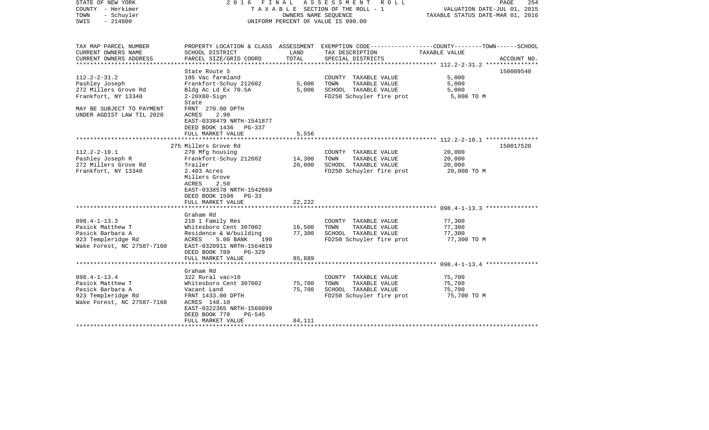| STATE OF NEW YORK<br>COUNTY - Herkimer<br>TOWN<br>- Schuyler<br>$-214800$<br>SWIS | 2016 FINAL                                             | OWNERS NAME SEOUENCE | A S S E S S M E N T<br>R O L L<br>T A X A B L E SECTION OF THE ROLL - 1<br>UNIFORM PERCENT OF VALUE IS 090.00 | PAGE<br>254<br>VALUATION DATE-JUL 01, 2015<br>TAXABLE STATUS DATE-MAR 01, 2016                                   |
|-----------------------------------------------------------------------------------|--------------------------------------------------------|----------------------|---------------------------------------------------------------------------------------------------------------|------------------------------------------------------------------------------------------------------------------|
| TAX MAP PARCEL NUMBER<br>CURRENT OWNERS NAME                                      | SCHOOL DISTRICT                                        | LAND                 | TAX DESCRIPTION                                                                                               | PROPERTY LOCATION & CLASS ASSESSMENT EXEMPTION CODE---------------COUNTY-------TOWN------SCHOOL<br>TAXABLE VALUE |
| CURRENT OWNERS ADDRESS                                                            | PARCEL SIZE/GRID COORD                                 | TOTAL                | SPECIAL DISTRICTS                                                                                             | ACCOUNT NO.                                                                                                      |
| *****************                                                                 |                                                        |                      |                                                                                                               | ***************** 112.2-2-31.2 ****************                                                                  |
|                                                                                   | State Route 5                                          |                      |                                                                                                               | 150009540                                                                                                        |
| $112.2 - 2 - 31.2$                                                                | 105 Vac farmland                                       |                      | COUNTY TAXABLE VALUE                                                                                          | 5,000                                                                                                            |
| Pashley Joseph<br>272 Millers Grove Rd                                            | Frankfort-Schuy 212602<br>Bldg Ac Ld Ex 70.5A          | 5,000<br>5,000       | TOWN<br>TAXABLE VALUE<br>SCHOOL TAXABLE VALUE                                                                 | 5,000<br>5,000                                                                                                   |
| Frankfort, NY 13340                                                               | $2-20X80-Sign$                                         |                      | FD250 Schuyler fire prot                                                                                      | 5,000 TO M                                                                                                       |
|                                                                                   | State                                                  |                      |                                                                                                               |                                                                                                                  |
| MAY BE SUBJECT TO PAYMENT                                                         | FRNT 270.00 DPTH                                       |                      |                                                                                                               |                                                                                                                  |
| UNDER AGDIST LAW TIL 2020                                                         | <b>ACRES</b><br>2.90                                   |                      |                                                                                                               |                                                                                                                  |
|                                                                                   | EAST-0338479 NRTH-1541877                              |                      |                                                                                                               |                                                                                                                  |
|                                                                                   | DEED BOOK 1436 PG-337                                  |                      |                                                                                                               |                                                                                                                  |
|                                                                                   | FULL MARKET VALUE<br>******************                | 5,556                |                                                                                                               |                                                                                                                  |
|                                                                                   | 275 Millers Grove Rd                                   |                      |                                                                                                               | ************************ 112.2-2-10.1 ****************<br>150017520                                              |
| $112.2 - 2 - 10.1$                                                                | 270 Mfg housing                                        |                      | COUNTY TAXABLE VALUE                                                                                          | 20,000                                                                                                           |
| Pashley Joseph R                                                                  | Frankfort-Schuy 212602                                 | 14,300               | TOWN<br>TAXABLE VALUE                                                                                         | 20,000                                                                                                           |
| 272 Millers Grove Rd                                                              | Trailer                                                | 20,000               | SCHOOL TAXABLE VALUE                                                                                          | 20,000                                                                                                           |
| Frankfort, NY 13340                                                               | 2.403 Acres                                            |                      | FD250 Schuyler fire prot                                                                                      | 20,000 TO M                                                                                                      |
|                                                                                   | Millers Grove                                          |                      |                                                                                                               |                                                                                                                  |
|                                                                                   | ACRES<br>2.50                                          |                      |                                                                                                               |                                                                                                                  |
|                                                                                   | EAST-0338578 NRTH-1542669                              |                      |                                                                                                               |                                                                                                                  |
|                                                                                   | DEED BOOK 1596<br>$PG-33$<br>FULL MARKET VALUE         | 22,222               |                                                                                                               |                                                                                                                  |
|                                                                                   | **********************                                 | *********            |                                                                                                               |                                                                                                                  |
|                                                                                   | Graham Rd                                              |                      |                                                                                                               |                                                                                                                  |
| $098.4 - 1 - 13.3$                                                                | 210 1 Family Res                                       |                      | COUNTY TAXABLE VALUE                                                                                          | 77,300                                                                                                           |
| Pasick Matthew T                                                                  | Whitesboro Cent 307002                                 | 16,500               | TOWN<br>TAXABLE VALUE                                                                                         | 77,300                                                                                                           |
| Pasick Barbara A                                                                  | Residence & W/building                                 | 77,300               | SCHOOL TAXABLE VALUE                                                                                          | 77,300                                                                                                           |
| 923 Templeridge Rd                                                                | ACRES<br>5.00 BANK<br>190                              |                      | FD250 Schuyler fire prot                                                                                      | 77,300 TO M                                                                                                      |
| Wake Forest, NC 27587-7160                                                        | EAST-0320911 NRTH-1564819                              |                      |                                                                                                               |                                                                                                                  |
|                                                                                   | DEED BOOK 789<br>PG-329<br>FULL MARKET VALUE           | 85,889               |                                                                                                               |                                                                                                                  |
|                                                                                   |                                                        |                      |                                                                                                               |                                                                                                                  |
|                                                                                   | Graham Rd                                              |                      |                                                                                                               |                                                                                                                  |
| $098.4 - 1 - 13.4$                                                                | 322 Rural vac>10                                       |                      | COUNTY TAXABLE VALUE                                                                                          | 75,700                                                                                                           |
| Pasick Matthew T                                                                  | Whitesboro Cent 307002                                 | 75,700               | TOWN<br>TAXABLE VALUE                                                                                         | 75,700                                                                                                           |
| Pasick Barbara A                                                                  | Vacant Land                                            | 75,700               | SCHOOL TAXABLE VALUE                                                                                          | 75,700                                                                                                           |
| 923 Templeridge Rd                                                                | FRNT 1433.00 DPTH                                      |                      | FD250 Schuyler fire prot                                                                                      | 75,700 TO M                                                                                                      |
| Wake Forest, NC 27587-7160                                                        | ACRES 148.10                                           |                      |                                                                                                               |                                                                                                                  |
|                                                                                   | EAST-0322365 NRTH-1566099<br>DEED BOOK 778<br>$PG-545$ |                      |                                                                                                               |                                                                                                                  |
|                                                                                   | FULL MARKET VALUE                                      | 84,111               |                                                                                                               |                                                                                                                  |
|                                                                                   |                                                        |                      |                                                                                                               |                                                                                                                  |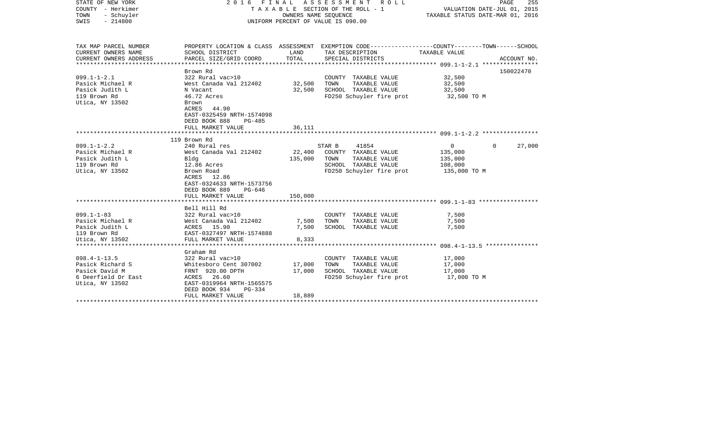| PROPERTY LOCATION & CLASS ASSESSMENT EXEMPTION CODE---------------COUNTY-------TOWN------SCHOOL<br>SCHOOL DISTRICT<br>LAND<br>TAXABLE VALUE<br>TAX DESCRIPTION<br>TOTAL<br>PARCEL SIZE/GRID COORD<br>SPECIAL DISTRICTS<br>ACCOUNT NO.<br>150022470<br>Brown Rd<br>$099.1 - 1 - 2.1$<br>322 Rural vac>10<br>COUNTY TAXABLE VALUE<br>32,500<br>32,500<br>West Canada Val 212402<br>TOWN<br>TAXABLE VALUE<br>32,500<br>Pasick Michael R<br>Pasick Judith L<br>32,500<br>SCHOOL TAXABLE VALUE<br>32,500<br>N Vacant<br>119 Brown Rd<br>46.72 Acres<br>FD250 Schuyler fire prot<br>32,500 TO M<br>Brown<br>ACRES 44.90<br>EAST-0325459 NRTH-1574098<br>DEED BOOK 888<br>PG-485<br>FULL MARKET VALUE<br>36,111<br>119 Brown Rd<br>$099.1 - 1 - 2.2$<br>240 Rural res<br>STAR B<br>41854<br>$\mathbf{0}$<br>$\Omega$<br>27,000<br>22,400<br>West Canada Val 212402<br>COUNTY TAXABLE VALUE<br>135,000<br>Pasick Michael R<br>135,000<br>TOWN<br>TAXABLE VALUE<br>Bldg<br>135,000<br>SCHOOL TAXABLE VALUE<br>12.86 Acres<br>108,000<br>Brown Road<br>FD250 Schuyler fire prot<br>135,000 TO M<br>ACRES 12.86<br>EAST-0324633 NRTH-1573756<br>DEED BOOK 889<br>PG-646<br>FULL MARKET VALUE<br>150,000<br>Bell Hill Rd<br>322 Rural vac>10<br>COUNTY TAXABLE VALUE<br>7,500<br>West Canada Val 212402<br>TAXABLE VALUE<br>7,500<br>TOWN<br>7,500<br>7,500<br>ACRES 15.90<br>SCHOOL TAXABLE VALUE<br>7,500<br>EAST-0327497 NRTH-1574888<br>8,333<br>FULL MARKET VALUE<br>Utica, NY 13502<br>Graham Rd<br>$098.4 - 1 - 13.5$<br>322 Rural vac>10<br>17,000<br>COUNTY TAXABLE VALUE<br>Pasick Richard S<br>17,000<br>TOWN<br>TAXABLE VALUE<br>17,000<br>Whitesboro Cent 307002<br>Pasick David M<br>17,000<br>SCHOOL TAXABLE VALUE<br>FRNT 920.00 DPTH<br>17,000<br>6 Deerfield Dr East<br>ACRES 26.60<br>FD250 Schuyler fire prot<br>17,000 TO M<br>EAST-0319964 NRTH-1565575<br>DEED BOOK 934<br>PG-334<br>18,889<br>FULL MARKET VALUE | STATE OF NEW YORK<br>COUNTY - Herkimer<br>TOWN<br>- Schuyler<br>SWIS<br>$-214800$ |  | 2016 FINAL ASSESSMENT ROLL<br>TAXABLE SECTION OF THE ROLL - 1<br>OWNERS NAME SEQUENCE<br>UNIFORM PERCENT OF VALUE IS 090.00 | VALUATION DATE-JUL 01, 2015<br>TAXABLE STATUS DATE-MAR 01, 2016 | PAGE<br>255 |
|-----------------------------------------------------------------------------------------------------------------------------------------------------------------------------------------------------------------------------------------------------------------------------------------------------------------------------------------------------------------------------------------------------------------------------------------------------------------------------------------------------------------------------------------------------------------------------------------------------------------------------------------------------------------------------------------------------------------------------------------------------------------------------------------------------------------------------------------------------------------------------------------------------------------------------------------------------------------------------------------------------------------------------------------------------------------------------------------------------------------------------------------------------------------------------------------------------------------------------------------------------------------------------------------------------------------------------------------------------------------------------------------------------------------------------------------------------------------------------------------------------------------------------------------------------------------------------------------------------------------------------------------------------------------------------------------------------------------------------------------------------------------------------------------------------------------------------------------------------------------------------------------------------------------------------|-----------------------------------------------------------------------------------|--|-----------------------------------------------------------------------------------------------------------------------------|-----------------------------------------------------------------|-------------|
|                                                                                                                                                                                                                                                                                                                                                                                                                                                                                                                                                                                                                                                                                                                                                                                                                                                                                                                                                                                                                                                                                                                                                                                                                                                                                                                                                                                                                                                                                                                                                                                                                                                                                                                                                                                                                                                                                                                             | TAX MAP PARCEL NUMBER<br>CURRENT OWNERS NAME                                      |  |                                                                                                                             |                                                                 |             |
|                                                                                                                                                                                                                                                                                                                                                                                                                                                                                                                                                                                                                                                                                                                                                                                                                                                                                                                                                                                                                                                                                                                                                                                                                                                                                                                                                                                                                                                                                                                                                                                                                                                                                                                                                                                                                                                                                                                             | CURRENT OWNERS ADDRESS                                                            |  |                                                                                                                             |                                                                 |             |
|                                                                                                                                                                                                                                                                                                                                                                                                                                                                                                                                                                                                                                                                                                                                                                                                                                                                                                                                                                                                                                                                                                                                                                                                                                                                                                                                                                                                                                                                                                                                                                                                                                                                                                                                                                                                                                                                                                                             |                                                                                   |  |                                                                                                                             |                                                                 |             |
|                                                                                                                                                                                                                                                                                                                                                                                                                                                                                                                                                                                                                                                                                                                                                                                                                                                                                                                                                                                                                                                                                                                                                                                                                                                                                                                                                                                                                                                                                                                                                                                                                                                                                                                                                                                                                                                                                                                             |                                                                                   |  |                                                                                                                             |                                                                 |             |
|                                                                                                                                                                                                                                                                                                                                                                                                                                                                                                                                                                                                                                                                                                                                                                                                                                                                                                                                                                                                                                                                                                                                                                                                                                                                                                                                                                                                                                                                                                                                                                                                                                                                                                                                                                                                                                                                                                                             |                                                                                   |  |                                                                                                                             |                                                                 |             |
|                                                                                                                                                                                                                                                                                                                                                                                                                                                                                                                                                                                                                                                                                                                                                                                                                                                                                                                                                                                                                                                                                                                                                                                                                                                                                                                                                                                                                                                                                                                                                                                                                                                                                                                                                                                                                                                                                                                             |                                                                                   |  |                                                                                                                             |                                                                 |             |
|                                                                                                                                                                                                                                                                                                                                                                                                                                                                                                                                                                                                                                                                                                                                                                                                                                                                                                                                                                                                                                                                                                                                                                                                                                                                                                                                                                                                                                                                                                                                                                                                                                                                                                                                                                                                                                                                                                                             |                                                                                   |  |                                                                                                                             |                                                                 |             |
|                                                                                                                                                                                                                                                                                                                                                                                                                                                                                                                                                                                                                                                                                                                                                                                                                                                                                                                                                                                                                                                                                                                                                                                                                                                                                                                                                                                                                                                                                                                                                                                                                                                                                                                                                                                                                                                                                                                             | Utica, NY 13502                                                                   |  |                                                                                                                             |                                                                 |             |
|                                                                                                                                                                                                                                                                                                                                                                                                                                                                                                                                                                                                                                                                                                                                                                                                                                                                                                                                                                                                                                                                                                                                                                                                                                                                                                                                                                                                                                                                                                                                                                                                                                                                                                                                                                                                                                                                                                                             |                                                                                   |  |                                                                                                                             |                                                                 |             |
|                                                                                                                                                                                                                                                                                                                                                                                                                                                                                                                                                                                                                                                                                                                                                                                                                                                                                                                                                                                                                                                                                                                                                                                                                                                                                                                                                                                                                                                                                                                                                                                                                                                                                                                                                                                                                                                                                                                             |                                                                                   |  |                                                                                                                             |                                                                 |             |
|                                                                                                                                                                                                                                                                                                                                                                                                                                                                                                                                                                                                                                                                                                                                                                                                                                                                                                                                                                                                                                                                                                                                                                                                                                                                                                                                                                                                                                                                                                                                                                                                                                                                                                                                                                                                                                                                                                                             |                                                                                   |  |                                                                                                                             |                                                                 |             |
|                                                                                                                                                                                                                                                                                                                                                                                                                                                                                                                                                                                                                                                                                                                                                                                                                                                                                                                                                                                                                                                                                                                                                                                                                                                                                                                                                                                                                                                                                                                                                                                                                                                                                                                                                                                                                                                                                                                             |                                                                                   |  |                                                                                                                             |                                                                 |             |
|                                                                                                                                                                                                                                                                                                                                                                                                                                                                                                                                                                                                                                                                                                                                                                                                                                                                                                                                                                                                                                                                                                                                                                                                                                                                                                                                                                                                                                                                                                                                                                                                                                                                                                                                                                                                                                                                                                                             | Pasick Judith L                                                                   |  |                                                                                                                             |                                                                 |             |
|                                                                                                                                                                                                                                                                                                                                                                                                                                                                                                                                                                                                                                                                                                                                                                                                                                                                                                                                                                                                                                                                                                                                                                                                                                                                                                                                                                                                                                                                                                                                                                                                                                                                                                                                                                                                                                                                                                                             | 119 Brown Rd                                                                      |  |                                                                                                                             |                                                                 |             |
|                                                                                                                                                                                                                                                                                                                                                                                                                                                                                                                                                                                                                                                                                                                                                                                                                                                                                                                                                                                                                                                                                                                                                                                                                                                                                                                                                                                                                                                                                                                                                                                                                                                                                                                                                                                                                                                                                                                             | Utica, NY 13502                                                                   |  |                                                                                                                             |                                                                 |             |
|                                                                                                                                                                                                                                                                                                                                                                                                                                                                                                                                                                                                                                                                                                                                                                                                                                                                                                                                                                                                                                                                                                                                                                                                                                                                                                                                                                                                                                                                                                                                                                                                                                                                                                                                                                                                                                                                                                                             |                                                                                   |  |                                                                                                                             |                                                                 |             |
|                                                                                                                                                                                                                                                                                                                                                                                                                                                                                                                                                                                                                                                                                                                                                                                                                                                                                                                                                                                                                                                                                                                                                                                                                                                                                                                                                                                                                                                                                                                                                                                                                                                                                                                                                                                                                                                                                                                             |                                                                                   |  |                                                                                                                             |                                                                 |             |
|                                                                                                                                                                                                                                                                                                                                                                                                                                                                                                                                                                                                                                                                                                                                                                                                                                                                                                                                                                                                                                                                                                                                                                                                                                                                                                                                                                                                                                                                                                                                                                                                                                                                                                                                                                                                                                                                                                                             | $099.1 - 1 - 83$                                                                  |  |                                                                                                                             |                                                                 |             |
|                                                                                                                                                                                                                                                                                                                                                                                                                                                                                                                                                                                                                                                                                                                                                                                                                                                                                                                                                                                                                                                                                                                                                                                                                                                                                                                                                                                                                                                                                                                                                                                                                                                                                                                                                                                                                                                                                                                             | Pasick Michael R                                                                  |  |                                                                                                                             |                                                                 |             |
|                                                                                                                                                                                                                                                                                                                                                                                                                                                                                                                                                                                                                                                                                                                                                                                                                                                                                                                                                                                                                                                                                                                                                                                                                                                                                                                                                                                                                                                                                                                                                                                                                                                                                                                                                                                                                                                                                                                             | Pasick Judith L                                                                   |  |                                                                                                                             |                                                                 |             |
|                                                                                                                                                                                                                                                                                                                                                                                                                                                                                                                                                                                                                                                                                                                                                                                                                                                                                                                                                                                                                                                                                                                                                                                                                                                                                                                                                                                                                                                                                                                                                                                                                                                                                                                                                                                                                                                                                                                             | 119 Brown Rd                                                                      |  |                                                                                                                             |                                                                 |             |
|                                                                                                                                                                                                                                                                                                                                                                                                                                                                                                                                                                                                                                                                                                                                                                                                                                                                                                                                                                                                                                                                                                                                                                                                                                                                                                                                                                                                                                                                                                                                                                                                                                                                                                                                                                                                                                                                                                                             |                                                                                   |  |                                                                                                                             |                                                                 |             |
|                                                                                                                                                                                                                                                                                                                                                                                                                                                                                                                                                                                                                                                                                                                                                                                                                                                                                                                                                                                                                                                                                                                                                                                                                                                                                                                                                                                                                                                                                                                                                                                                                                                                                                                                                                                                                                                                                                                             |                                                                                   |  |                                                                                                                             |                                                                 |             |
|                                                                                                                                                                                                                                                                                                                                                                                                                                                                                                                                                                                                                                                                                                                                                                                                                                                                                                                                                                                                                                                                                                                                                                                                                                                                                                                                                                                                                                                                                                                                                                                                                                                                                                                                                                                                                                                                                                                             |                                                                                   |  |                                                                                                                             |                                                                 |             |
|                                                                                                                                                                                                                                                                                                                                                                                                                                                                                                                                                                                                                                                                                                                                                                                                                                                                                                                                                                                                                                                                                                                                                                                                                                                                                                                                                                                                                                                                                                                                                                                                                                                                                                                                                                                                                                                                                                                             |                                                                                   |  |                                                                                                                             |                                                                 |             |
|                                                                                                                                                                                                                                                                                                                                                                                                                                                                                                                                                                                                                                                                                                                                                                                                                                                                                                                                                                                                                                                                                                                                                                                                                                                                                                                                                                                                                                                                                                                                                                                                                                                                                                                                                                                                                                                                                                                             |                                                                                   |  |                                                                                                                             |                                                                 |             |
|                                                                                                                                                                                                                                                                                                                                                                                                                                                                                                                                                                                                                                                                                                                                                                                                                                                                                                                                                                                                                                                                                                                                                                                                                                                                                                                                                                                                                                                                                                                                                                                                                                                                                                                                                                                                                                                                                                                             |                                                                                   |  |                                                                                                                             |                                                                 |             |
|                                                                                                                                                                                                                                                                                                                                                                                                                                                                                                                                                                                                                                                                                                                                                                                                                                                                                                                                                                                                                                                                                                                                                                                                                                                                                                                                                                                                                                                                                                                                                                                                                                                                                                                                                                                                                                                                                                                             | Utica, NY 13502                                                                   |  |                                                                                                                             |                                                                 |             |
|                                                                                                                                                                                                                                                                                                                                                                                                                                                                                                                                                                                                                                                                                                                                                                                                                                                                                                                                                                                                                                                                                                                                                                                                                                                                                                                                                                                                                                                                                                                                                                                                                                                                                                                                                                                                                                                                                                                             |                                                                                   |  |                                                                                                                             |                                                                 |             |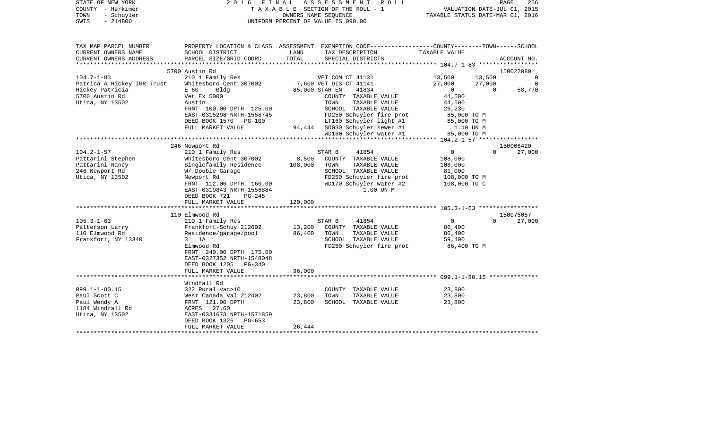| COUNTY<br>– Herkimer<br>TOWN<br>- Schuyler<br>SWIS<br>$-214800$ |                                                  |                  | T A X A B L E SECTION OF THE ROLL - 1<br>OWNERS NAME SEQUENCE<br>UNIFORM PERCENT OF VALUE IS 090.00                | VALUATION DATE-JUL 01, 2015<br>TAXABLE STATUS DATE-MAR 01, 2016 |                  |                |
|-----------------------------------------------------------------|--------------------------------------------------|------------------|--------------------------------------------------------------------------------------------------------------------|-----------------------------------------------------------------|------------------|----------------|
| TAX MAP PARCEL NUMBER<br>CURRENT OWNERS NAME                    | SCHOOL DISTRICT                                  | LAND             | PROPERTY LOCATION & CLASS ASSESSMENT EXEMPTION CODE---------------COUNTY-------TOWN------SCHOOL<br>TAX DESCRIPTION | TAXABLE VALUE                                                   |                  |                |
| CURRENT OWNERS ADDRESS                                          | PARCEL SIZE/GRID COORD                           | TOTAL            | SPECIAL DISTRICTS                                                                                                  |                                                                 |                  | ACCOUNT NO.    |
| ***********************                                         |                                                  |                  |                                                                                                                    |                                                                 |                  |                |
|                                                                 | 5700 Austin Rd                                   |                  |                                                                                                                    | 13,500                                                          |                  | 150022080      |
| $104.7 - 1 - 83$<br>Patrica A Hickey IRR Trust                  | 210 1 Family Res<br>Whitesboro Cent 307002       |                  | VET COM CT 41131<br>7,600 VET DIS CT 41141                                                                         | 27,000                                                          | 13,500<br>27,000 | $\overline{0}$ |
| Hickey Patricia                                                 | E 60<br>Bldg                                     |                  | 85,000 STAR EN<br>41834                                                                                            | $\mathbf{0}$                                                    | $\Omega$         | 58,770         |
| 5700 Austin Rd                                                  | Vet Ex 5000                                      |                  | COUNTY TAXABLE VALUE                                                                                               | 44,500                                                          |                  |                |
| Utica, NY 13502                                                 | Austin                                           |                  | TOWN<br>TAXABLE VALUE                                                                                              | 44,500                                                          |                  |                |
|                                                                 | FRNT 100.00 DPTH 125.00                          |                  | SCHOOL TAXABLE VALUE                                                                                               | 26,230                                                          |                  |                |
|                                                                 | EAST-0315298 NRTH-1558745                        |                  | FD250 Schuyler fire prot                                                                                           | 85,000 TO M                                                     |                  |                |
|                                                                 | DEED BOOK 1570<br>PG-100<br>FULL MARKET VALUE    |                  | LT160 Schuyler light #1<br>94,444 SD030 Schuyler sewer #1                                                          | 85,000 TO M<br>1.10 UN M                                        |                  |                |
|                                                                 |                                                  |                  | WD160 Schuyler water #1                                                                                            | 85,000 TO M                                                     |                  |                |
|                                                                 |                                                  |                  |                                                                                                                    |                                                                 |                  |                |
|                                                                 | 246 Newport Rd                                   |                  |                                                                                                                    |                                                                 |                  | 150006420      |
| $104.2 - 1 - 57$                                                | 210 1 Family Res                                 |                  | STAR B<br>41854                                                                                                    | $\overline{0}$                                                  | $\Omega$         | 27,000         |
| Pattarini Stephen<br>Pattarini Nancy                            | Whitesboro Cent 307002<br>Singlefamily Residence | 8,500<br>108,000 | COUNTY TAXABLE VALUE<br>TOWN<br>TAXABLE VALUE                                                                      | 108,000<br>108,000                                              |                  |                |
| 246 Newport Rd                                                  | W/ Double Garage                                 |                  | SCHOOL TAXABLE VALUE                                                                                               | 81,000                                                          |                  |                |
| Utica, NY 13502                                                 | Newport Rd                                       |                  | FD250 Schuyler fire prot                                                                                           | 108,000 TO M                                                    |                  |                |
|                                                                 | FRNT 112.00 DPTH 160.00                          |                  | WD170 Schuyler water #2                                                                                            | 108,000 TO C                                                    |                  |                |
|                                                                 | EAST-0319843 NRTH-1556884                        |                  | 1.00 UN M                                                                                                          |                                                                 |                  |                |
|                                                                 | DEED BOOK 721<br>PG-245                          |                  |                                                                                                                    |                                                                 |                  |                |
|                                                                 | FULL MARKET VALUE                                | 120,000          |                                                                                                                    |                                                                 |                  |                |
|                                                                 | 110 Elmwood Rd                                   |                  |                                                                                                                    |                                                                 |                  | 150075057      |
| $105.3 - 1 - 63$                                                | 210 1 Family Res                                 |                  | STAR B<br>41854                                                                                                    | $\overline{0}$                                                  | $\Omega$         | 27,000         |
| Patterson Larry                                                 | Frankfort-Schuy 212602                           | 13,200           | COUNTY TAXABLE VALUE                                                                                               | 86,400                                                          |                  |                |
| 110 Elmwood Rd                                                  | Residence/garage/pool                            | 86,400           | TOWN<br>TAXABLE VALUE                                                                                              | 86,400                                                          |                  |                |
| Frankfort, NY 13340                                             | $3$ 1A<br>Elmwood Rd                             |                  | SCHOOL TAXABLE VALUE<br>FD250 Schuyler fire prot                                                                   | 59,400                                                          |                  |                |
|                                                                 | FRNT 240.00 DPTH 175.00                          |                  |                                                                                                                    | 86,400 TO M                                                     |                  |                |
|                                                                 | EAST-0327352 NRTH-1548048                        |                  |                                                                                                                    |                                                                 |                  |                |
|                                                                 | DEED BOOK 1205<br>PG-340                         |                  |                                                                                                                    |                                                                 |                  |                |
|                                                                 | FULL MARKET VALUE                                | 96,000           |                                                                                                                    |                                                                 |                  |                |
|                                                                 |                                                  |                  |                                                                                                                    |                                                                 |                  |                |
| $099.1 - 1 - 80.15$                                             | Windfall Rd<br>322 Rural vac>10                  |                  | COUNTY TAXABLE VALUE                                                                                               | 23,800                                                          |                  |                |
| Paul Scott C                                                    | West Canada Val 212402                           | 23,800           | TOWN<br>TAXABLE VALUE                                                                                              | 23,800                                                          |                  |                |
| Paul Wendy A                                                    | FRNT 121.00 DPTH                                 | 23,800           | SCHOOL TAXABLE VALUE                                                                                               | 23,800                                                          |                  |                |
| 1184 Windfall Rd                                                | ACRES 27.60                                      |                  |                                                                                                                    |                                                                 |                  |                |
| Utica, NY 13502                                                 | EAST-0331673 NRTH-1571859                        |                  |                                                                                                                    |                                                                 |                  |                |
|                                                                 | DEED BOOK 1326<br>PG-653                         |                  |                                                                                                                    |                                                                 |                  |                |
|                                                                 | FULL MARKET VALUE                                | 26,444           |                                                                                                                    |                                                                 |                  |                |

STATE OF NEW YORK 2 0 1 6 F I N A L A S S E S S M E N T R O L L PAGE 256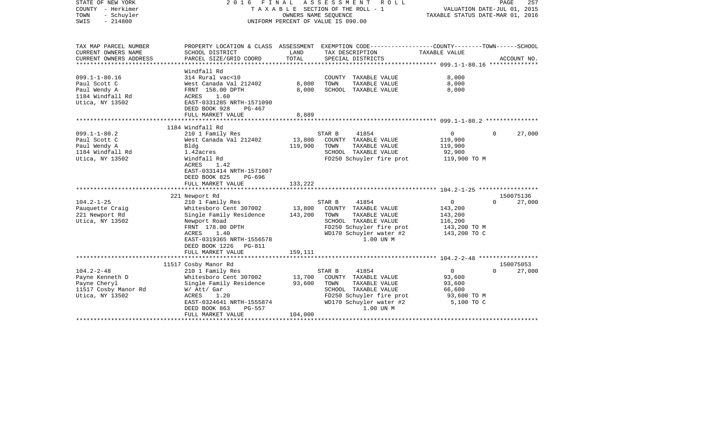| STATE OF NEW YORK<br>COUNTY - Herkimer<br>TOWN<br>- Schuyler<br>$-214800$<br>SWIS | 2016                                                                                                               | FINAL<br>OWNERS NAME SEQUENCE | ASSESSMENT<br>ROLL<br>TAXABLE SECTION OF THE ROLL - 1<br>UNIFORM PERCENT OF VALUE IS 090.00 |                | PAGE<br>257<br>VALUATION DATE-JUL 01, 2015<br>TAXABLE STATUS DATE-MAR 01, 2016 |
|-----------------------------------------------------------------------------------|--------------------------------------------------------------------------------------------------------------------|-------------------------------|---------------------------------------------------------------------------------------------|----------------|--------------------------------------------------------------------------------|
| TAX MAP PARCEL NUMBER<br>CURRENT OWNERS NAME                                      | PROPERTY LOCATION & CLASS ASSESSMENT EXEMPTION CODE---------------COUNTY-------TOWN------SCHOOL<br>SCHOOL DISTRICT | LAND                          | TAX DESCRIPTION                                                                             | TAXABLE VALUE  |                                                                                |
| CURRENT OWNERS ADDRESS<br>***********************                                 | PARCEL SIZE/GRID COORD                                                                                             | TOTAL                         | SPECIAL DISTRICTS                                                                           |                | ACCOUNT NO.                                                                    |
|                                                                                   | Windfall Rd                                                                                                        |                               |                                                                                             |                |                                                                                |
| $099.1 - 1 - 80.16$                                                               | 314 Rural vac<10                                                                                                   |                               | COUNTY TAXABLE VALUE                                                                        | 8,000          |                                                                                |
| Paul Scott C                                                                      | West Canada Val 212402                                                                                             | 8,000                         | TOWN<br>TAXABLE VALUE                                                                       | 8,000          |                                                                                |
| Paul Wendy A                                                                      | FRNT 158.00 DPTH                                                                                                   | 8,000                         | SCHOOL TAXABLE VALUE                                                                        | 8,000          |                                                                                |
| 1184 Windfall Rd                                                                  | ACRES<br>1.60                                                                                                      |                               |                                                                                             |                |                                                                                |
| Utica, NY 13502                                                                   | EAST-0331285 NRTH-1571090                                                                                          |                               |                                                                                             |                |                                                                                |
|                                                                                   | DEED BOOK 928<br>PG-467                                                                                            |                               |                                                                                             |                |                                                                                |
|                                                                                   | FULL MARKET VALUE                                                                                                  | 8,889                         |                                                                                             |                |                                                                                |
|                                                                                   |                                                                                                                    |                               |                                                                                             |                |                                                                                |
| $099.1 - 1 - 80.2$                                                                | 1184 Windfall Rd<br>210 1 Family Res                                                                               |                               | STAR B<br>41854                                                                             | $\overline{0}$ | $\Omega$<br>27,000                                                             |
| Paul Scott C                                                                      | West Canada Val 212402                                                                                             | 13,800                        | COUNTY TAXABLE VALUE                                                                        | 119,900        |                                                                                |
| Paul Wendy A                                                                      | Bldg                                                                                                               | 119,900                       | TOWN<br>TAXABLE VALUE                                                                       | 119,900        |                                                                                |
| 1184 Windfall Rd                                                                  | 1.42acres                                                                                                          |                               | SCHOOL TAXABLE VALUE                                                                        | 92,900         |                                                                                |
| Utica, NY 13502                                                                   | Windfall Rd                                                                                                        |                               | FD250 Schuyler fire prot                                                                    | 119,900 TO M   |                                                                                |
|                                                                                   | ACRES<br>1.42                                                                                                      |                               |                                                                                             |                |                                                                                |
|                                                                                   | EAST-0331414 NRTH-1571007                                                                                          |                               |                                                                                             |                |                                                                                |
|                                                                                   | DEED BOOK 825<br>PG-696                                                                                            |                               |                                                                                             |                |                                                                                |
|                                                                                   | FULL MARKET VALUE                                                                                                  | 133,222                       |                                                                                             |                |                                                                                |
|                                                                                   |                                                                                                                    |                               |                                                                                             |                |                                                                                |
|                                                                                   | 221 Newport Rd                                                                                                     |                               |                                                                                             |                | 150075136                                                                      |
| $104.2 - 1 - 25$                                                                  | 210 1 Family Res                                                                                                   |                               | STAR B<br>41854                                                                             | $\mathbf 0$    | 27,000<br>$\Omega$                                                             |
| Pauquette Craig                                                                   | Whitesboro Cent 307002                                                                                             | 13,800                        | COUNTY TAXABLE VALUE                                                                        | 143,200        |                                                                                |
| 221 Newport Rd                                                                    | Single Family Residence                                                                                            | 143,200                       | TAXABLE VALUE<br>TOWN                                                                       | 143,200        |                                                                                |
| Utica, NY 13502                                                                   | Newport Road                                                                                                       |                               | SCHOOL TAXABLE VALUE                                                                        | 116,200        |                                                                                |
|                                                                                   | FRNT 178.00 DPTH                                                                                                   |                               | FD250 Schuyler fire prot                                                                    | 143,200 TO M   |                                                                                |
|                                                                                   | ACRES<br>1.40<br>EAST-0319365 NRTH-1556578                                                                         |                               | WD170 Schuyler water #2<br>1.00 UN M                                                        | 143,200 TO C   |                                                                                |
|                                                                                   | DEED BOOK 1226<br>PG-811                                                                                           |                               |                                                                                             |                |                                                                                |
|                                                                                   | FULL MARKET VALUE                                                                                                  | 159,111                       |                                                                                             |                |                                                                                |
|                                                                                   |                                                                                                                    |                               |                                                                                             |                |                                                                                |
|                                                                                   | 11517 Cosby Manor Rd                                                                                               |                               |                                                                                             |                | 150075053                                                                      |
| $104.2 - 2 - 48$                                                                  | 210 1 Family Res                                                                                                   |                               | STAR B<br>41854                                                                             | $\circ$        | 27,000<br>$\Omega$                                                             |
| Payne Kenneth D                                                                   | Whitesboro Cent 307002                                                                                             | 13,700                        | COUNTY TAXABLE VALUE                                                                        | 93,600         |                                                                                |
| Payne Cheryl                                                                      | Single Family Residence                                                                                            | 93,600                        | TOWN<br>TAXABLE VALUE                                                                       | 93,600         |                                                                                |
| 11517 Cosby Manor Rd                                                              | W/ Att/ Gar                                                                                                        |                               | SCHOOL TAXABLE VALUE                                                                        | 66,600         |                                                                                |
| Utica, NY 13502                                                                   | ACRES<br>1.20                                                                                                      |                               | FD250 Schuyler fire prot                                                                    | 93,600 TO M    |                                                                                |
|                                                                                   | EAST-0324641 NRTH-1555874                                                                                          |                               | WD170 Schuyler water #2                                                                     | 5,100 TO C     |                                                                                |
|                                                                                   | DEED BOOK 863<br><b>PG-557</b>                                                                                     |                               | 1.00 UN M                                                                                   |                |                                                                                |
|                                                                                   | FULL MARKET VALUE                                                                                                  | 104,000                       |                                                                                             |                |                                                                                |
|                                                                                   |                                                                                                                    |                               |                                                                                             |                |                                                                                |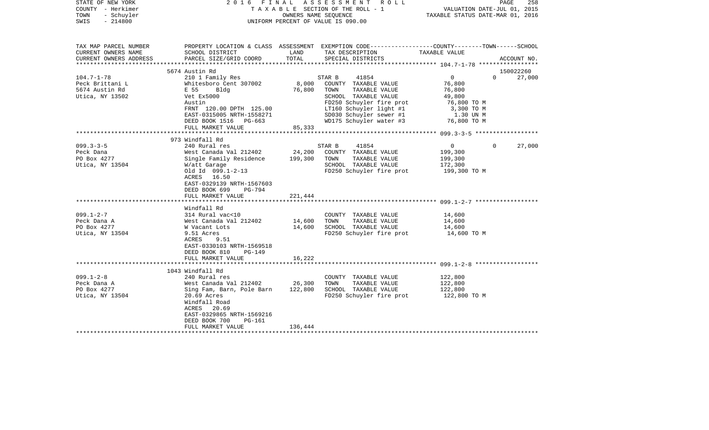| STATE OF NEW YORK<br>COUNTY - Herkimer<br>TOWN<br>- Schuyler<br>$-214800$<br>SWIS | 2016 FINAL                                                                                                 | OWNERS NAME SEOUENCE | A S S E S S M E N T R O L L<br>TAXABLE SECTION OF THE ROLL - 1<br>UNIFORM PERCENT OF VALUE IS 090.00 | VALUATION DATE-JUL 01, 2015<br>TAXABLE STATUS DATE-MAR 01, 2016 | PAGE<br>258 |
|-----------------------------------------------------------------------------------|------------------------------------------------------------------------------------------------------------|----------------------|------------------------------------------------------------------------------------------------------|-----------------------------------------------------------------|-------------|
| TAX MAP PARCEL NUMBER                                                             |                                                                                                            |                      | PROPERTY LOCATION & CLASS ASSESSMENT EXEMPTION CODE---------------COUNTY-------TOWN------SCHOOL      |                                                                 |             |
| CURRENT OWNERS NAME<br>CURRENT OWNERS ADDRESS                                     | SCHOOL DISTRICT<br>PARCEL SIZE/GRID COORD                                                                  | LAND<br>TOTAL        | TAX DESCRIPTION<br>SPECIAL DISTRICTS                                                                 | TAXABLE VALUE                                                   | ACCOUNT NO. |
|                                                                                   | 5674 Austin Rd                                                                                             |                      |                                                                                                      |                                                                 | 150022260   |
| $104.7 - 1 - 78$                                                                  | 210 1 Family Res                                                                                           |                      | STAR B<br>41854                                                                                      | $\overline{0}$<br>$\Omega$                                      | 27,000      |
| Peck Brittani L                                                                   | Whitesboro Cent 307002                                                                                     | 8,000                | COUNTY TAXABLE VALUE                                                                                 | 76,800                                                          |             |
| 5674 Austin Rd                                                                    | E 55<br>Bldg                                                                                               | 76,800               | TOWN<br>TAXABLE VALUE                                                                                | 76,800                                                          |             |
| Utica, NY 13502                                                                   | Vet Ex5000                                                                                                 |                      | SCHOOL TAXABLE VALUE                                                                                 | 49,800                                                          |             |
|                                                                                   | Austin                                                                                                     |                      | FD250 Schuyler fire prot                                                                             | 76,800 TO M                                                     |             |
|                                                                                   | FRNT 120.00 DPTH 125.00                                                                                    |                      | LT160 Schuyler light #1                                                                              | 3,300 TO M                                                      |             |
|                                                                                   | EAST-0315005 NRTH-1558271                                                                                  |                      | SD030 Schuyler sewer #1                                                                              | 1.30 UN M                                                       |             |
|                                                                                   | DEED BOOK 1516 PG-663                                                                                      |                      | WD175 Schuyler water #3                                                                              | 76,800 TO M                                                     |             |
|                                                                                   | FULL MARKET VALUE                                                                                          | 85,333               |                                                                                                      |                                                                 |             |
|                                                                                   |                                                                                                            |                      |                                                                                                      |                                                                 |             |
|                                                                                   | 973 Windfall Rd                                                                                            |                      |                                                                                                      |                                                                 |             |
| $099.3 - 3 - 5$                                                                   | 240 Rural res                                                                                              |                      | 41854<br>STAR B                                                                                      | $\overline{0}$<br>$\mathbf{0}$                                  | 27,000      |
| Peck Dana                                                                         | West Canada Val 212402                                                                                     | 24,200               | COUNTY TAXABLE VALUE                                                                                 | 199,300                                                         |             |
| PO Box 4277                                                                       | Single Family Residence                                                                                    | 199,300              | TOWN<br>TAXABLE VALUE                                                                                | 199,300                                                         |             |
| Utica, NY 13504                                                                   | W/att Garage                                                                                               |                      | SCHOOL TAXABLE VALUE                                                                                 | 172,300                                                         |             |
|                                                                                   | Old Id 099.1-2-13<br>ACRES 16.50<br>EAST-0329139 NRTH-1567603<br>DEED BOOK 699<br>PG-794                   |                      | FD250 Schuyler fire prot                                                                             | 199,300 TO M                                                    |             |
|                                                                                   | FULL MARKET VALUE                                                                                          | 221,444              |                                                                                                      |                                                                 |             |
|                                                                                   |                                                                                                            |                      |                                                                                                      |                                                                 |             |
|                                                                                   | Windfall Rd                                                                                                |                      |                                                                                                      |                                                                 |             |
| $099.1 - 2 - 7$                                                                   | 314 Rural vac<10                                                                                           |                      | COUNTY TAXABLE VALUE                                                                                 | 14,600                                                          |             |
| Peck Dana A                                                                       | West Canada Val 212402                                                                                     | 14,600               | TAXABLE VALUE<br>TOWN                                                                                | 14,600                                                          |             |
| PO Box 4277                                                                       | W Vacant Lots                                                                                              | 14,600               | SCHOOL TAXABLE VALUE                                                                                 | 14,600                                                          |             |
| Utica, NY 13504                                                                   | 9.51 Acres<br>ACRES<br>9.51<br>EAST-0330103 NRTH-1569518<br>DEED BOOK 810<br>$PG-149$<br>FULL MARKET VALUE | 16,222               | FD250 Schuyler fire prot                                                                             | 14,600 TO M                                                     |             |
|                                                                                   |                                                                                                            |                      |                                                                                                      |                                                                 |             |
|                                                                                   | 1043 Windfall Rd                                                                                           |                      |                                                                                                      |                                                                 |             |
| $099.1 - 2 - 8$                                                                   | 240 Rural res                                                                                              |                      | COUNTY TAXABLE VALUE                                                                                 | 122,800                                                         |             |
| Peck Dana A                                                                       | West Canada Val 212402                                                                                     | 26,300               | TOWN<br>TAXABLE VALUE                                                                                | 122,800                                                         |             |
| PO Box 4277                                                                       | Sing Fam, Barn, Pole Barn                                                                                  | 122,800              | SCHOOL TAXABLE VALUE                                                                                 | 122,800                                                         |             |
| Utica, NY 13504                                                                   | 20.69 Acres<br>Windfall Road<br>ACRES 20.69<br>EAST-0329865 NRTH-1569216<br>DEED BOOK 700<br>PG-161        |                      | FD250 Schuyler fire prot                                                                             | 122,800 TO M                                                    |             |
|                                                                                   | FULL MARKET VALUE                                                                                          | 136,444              |                                                                                                      |                                                                 |             |
|                                                                                   | ***********************                                                                                    |                      |                                                                                                      |                                                                 |             |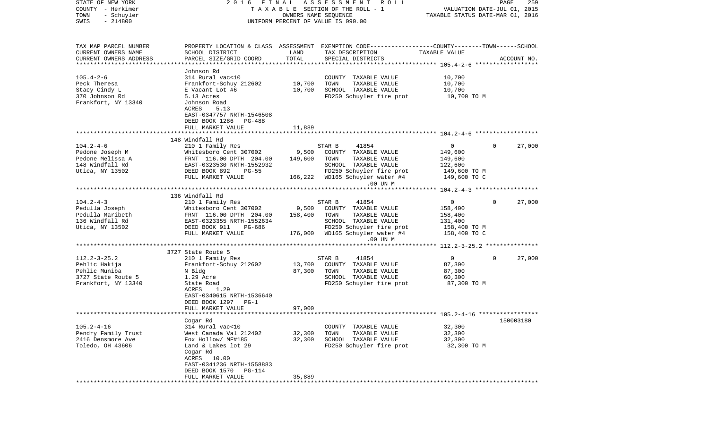| STATE OF NEW YORK                        | FINAL<br>2016                                        |         | ASSESSMENT<br>R O L L                                                                           |                                                   | PAGE     | 259         |
|------------------------------------------|------------------------------------------------------|---------|-------------------------------------------------------------------------------------------------|---------------------------------------------------|----------|-------------|
| COUNTY - Herkimer                        |                                                      |         | TAXABLE SECTION OF THE ROLL - 1                                                                 | VALUATION DATE-JUL 01, 2015                       |          |             |
| TOWN<br>- Schuyler                       |                                                      |         | OWNERS NAME SEQUENCE                                                                            | TAXABLE STATUS DATE-MAR 01, 2016                  |          |             |
| $-214800$<br>SWIS                        |                                                      |         | UNIFORM PERCENT OF VALUE IS 090.00                                                              |                                                   |          |             |
|                                          |                                                      |         |                                                                                                 |                                                   |          |             |
|                                          |                                                      |         |                                                                                                 |                                                   |          |             |
| TAX MAP PARCEL NUMBER                    |                                                      |         | PROPERTY LOCATION & CLASS ASSESSMENT EXEMPTION CODE---------------COUNTY-------TOWN------SCHOOL |                                                   |          |             |
| CURRENT OWNERS NAME                      | SCHOOL DISTRICT                                      | LAND    | TAX DESCRIPTION                                                                                 | TAXABLE VALUE                                     |          |             |
| CURRENT OWNERS ADDRESS                   | PARCEL SIZE/GRID COORD                               | TOTAL   | SPECIAL DISTRICTS                                                                               |                                                   |          | ACCOUNT NO. |
| ***********************                  |                                                      |         |                                                                                                 |                                                   |          |             |
|                                          | Johnson Rd                                           |         |                                                                                                 |                                                   |          |             |
| $105.4 - 2 - 6$                          | 314 Rural vac<10                                     |         | COUNTY TAXABLE VALUE                                                                            | 10,700                                            |          |             |
| Peck Theresa                             | Frankfort-Schuy 212602                               | 10,700  | TOWN<br>TAXABLE VALUE                                                                           | 10,700                                            |          |             |
| Stacy Cindy L                            | E Vacant Lot #6                                      | 10,700  | SCHOOL TAXABLE VALUE                                                                            | 10,700                                            |          |             |
| 370 Johnson Rd                           | 5.13 Acres                                           |         | FD250 Schuyler fire prot                                                                        | 10,700 TO M                                       |          |             |
| Frankfort, NY 13340                      | Johnson Road                                         |         |                                                                                                 |                                                   |          |             |
|                                          | ACRES<br>5.13                                        |         |                                                                                                 |                                                   |          |             |
|                                          | EAST-0347757 NRTH-1546508                            |         |                                                                                                 |                                                   |          |             |
|                                          | DEED BOOK 1286<br>PG-488                             |         |                                                                                                 |                                                   |          |             |
|                                          | FULL MARKET VALUE                                    | 11,889  |                                                                                                 |                                                   |          |             |
|                                          |                                                      |         |                                                                                                 |                                                   |          |             |
| $104.2 - 4 - 6$                          | 148 Windfall Rd                                      |         | 41854<br>STAR B                                                                                 | $\overline{0}$                                    | $\Omega$ | 27,000      |
| Pedone Joseph M                          | 210 1 Family Res                                     | 9,500   | COUNTY TAXABLE VALUE                                                                            |                                                   |          |             |
| Pedone Melissa A                         | Whitesboro Cent 307002                               | 149,600 | TOWN<br>TAXABLE VALUE                                                                           | 149,600                                           |          |             |
| 148 Windfall Rd                          | FRNT 116.00 DPTH 204.00<br>EAST-0323530 NRTH-1552932 |         | SCHOOL TAXABLE VALUE                                                                            | 149,600<br>122,600                                |          |             |
| Utica, NY 13502                          | DEED BOOK 892<br>$PG-55$                             |         | FD250 Schuyler fire prot                                                                        | 149,600 TO M                                      |          |             |
|                                          | FULL MARKET VALUE                                    | 166,222 | WD165 Schuyler water #4                                                                         | 149,600 TO C                                      |          |             |
|                                          |                                                      |         | .00 UN M                                                                                        |                                                   |          |             |
|                                          |                                                      |         |                                                                                                 |                                                   |          |             |
|                                          | 136 Windfall Rd                                      |         |                                                                                                 |                                                   |          |             |
| $104.2 - 4 - 3$                          | 210 1 Family Res                                     |         | 41854<br>STAR B                                                                                 | $\mathbf 0$                                       | $\Omega$ | 27,000      |
| Pedulla Joseph                           | Whitesboro Cent 307002                               | 9,500   | COUNTY TAXABLE VALUE                                                                            | 158,400                                           |          |             |
| Pedulla Maribeth                         | FRNT 116.00 DPTH 204.00                              | 158,400 | TOWN<br>TAXABLE VALUE                                                                           | 158,400                                           |          |             |
| 136 Windfall Rd                          | EAST-0323355 NRTH-1552634                            |         | SCHOOL TAXABLE VALUE                                                                            | 131,400                                           |          |             |
| Utica, NY 13502                          | DEED BOOK 911<br>PG-686                              |         | FD250 Schuyler fire prot                                                                        | 158,400 TO M                                      |          |             |
|                                          | FULL MARKET VALUE                                    | 176,000 | WD165 Schuyler water #4                                                                         | 158,400 TO C                                      |          |             |
|                                          |                                                      |         | .00 UN M                                                                                        |                                                   |          |             |
|                                          |                                                      |         |                                                                                                 | ·****************** 112.2-3-25.2 **************** |          |             |
|                                          | 3727 State Route 5                                   |         |                                                                                                 |                                                   |          |             |
| $112.2 - 3 - 25.2$                       | 210 1 Family Res                                     |         | STAR B<br>41854                                                                                 | $\mathbf{0}$                                      | $\Omega$ | 27,000      |
| Pehlic Hakija                            | Frankfort-Schuy 212602                               | 13,700  | COUNTY TAXABLE VALUE                                                                            | 87,300                                            |          |             |
| Pehlic Muniba                            | N Bldg                                               | 87,300  | TOWN<br>TAXABLE VALUE                                                                           | 87,300                                            |          |             |
| 3727 State Route 5                       | 1.29 Acre                                            |         | SCHOOL TAXABLE VALUE                                                                            | 60,300                                            |          |             |
| Frankfort, NY 13340                      | State Road                                           |         | FD250 Schuyler fire prot                                                                        | 87,300 TO M                                       |          |             |
|                                          | ACRES<br>1.29                                        |         |                                                                                                 |                                                   |          |             |
|                                          | EAST-0340615 NRTH-1536640                            |         |                                                                                                 |                                                   |          |             |
|                                          | DEED BOOK 1297<br>$PG-1$                             |         |                                                                                                 |                                                   |          |             |
| ************************                 | FULL MARKET VALUE                                    | 97,000  |                                                                                                 |                                                   |          |             |
|                                          |                                                      |         | ******************************* 105.2-4-16 ****************                                     |                                                   |          |             |
| $105.2 - 4 - 16$                         | Cogar Rd<br>314 Rural vac<10                         |         | COUNTY TAXABLE VALUE                                                                            | 32,300                                            |          | 150003180   |
|                                          | West Canada Val 212402                               | 32,300  | TOWN<br>TAXABLE VALUE                                                                           | 32,300                                            |          |             |
| Pendry Family Trust<br>2416 Densmore Ave | Fox Hollow/ MF#185                                   | 32,300  | SCHOOL TAXABLE VALUE                                                                            | 32,300                                            |          |             |
| Toledo, OH 43606                         | Land & Lakes lot 29                                  |         | FD250 Schuyler fire prot                                                                        | 32,300 TO M                                       |          |             |
|                                          | Cogar Rd                                             |         |                                                                                                 |                                                   |          |             |
|                                          | ACRES 10.00                                          |         |                                                                                                 |                                                   |          |             |
|                                          | EAST-0341236 NRTH-1558883                            |         |                                                                                                 |                                                   |          |             |
|                                          | DEED BOOK 1570<br><b>PG-114</b>                      |         |                                                                                                 |                                                   |          |             |
|                                          | FULL MARKET VALUE                                    | 35,889  |                                                                                                 |                                                   |          |             |
|                                          |                                                      |         |                                                                                                 |                                                   |          |             |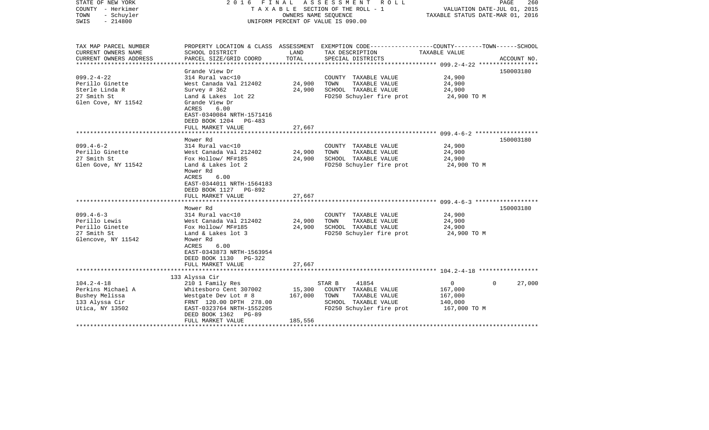| STATE OF NEW YORK<br>COUNTY - Herkimer<br>TOWN<br>- Schuyler<br>$-214800$<br>SWIS            |                                                                                                                                                                                                | OWNERS NAME SEQUENCE         | 2016 FINAL ASSESSMENT ROLL<br>T A X A B L E SECTION OF THE ROLL - 1<br>UNIFORM PERCENT OF VALUE IS 090.00            | VALUATION DATE-JUL 01, 2015<br>TAXABLE STATUS DATE-MAR 01, 2016 | PAGE<br>260        |
|----------------------------------------------------------------------------------------------|------------------------------------------------------------------------------------------------------------------------------------------------------------------------------------------------|------------------------------|----------------------------------------------------------------------------------------------------------------------|-----------------------------------------------------------------|--------------------|
| TAX MAP PARCEL NUMBER<br>CURRENT OWNERS NAME<br>CURRENT OWNERS ADDRESS                       | SCHOOL DISTRICT                                                                                                                                                                                | LAND<br>TOTAL                | PROPERTY LOCATION & CLASS ASSESSMENT EXEMPTION CODE---------------COUNTY-------TOWN-----SCHOOL<br>TAX DESCRIPTION    | TAXABLE VALUE                                                   |                    |
|                                                                                              | PARCEL SIZE/GRID COORD                                                                                                                                                                         |                              | SPECIAL DISTRICTS                                                                                                    |                                                                 | ACCOUNT NO.        |
| $099.2 - 4 - 22$<br>Perillo Ginette<br>Sterle Linda R<br>27 Smith St<br>Glen Cove, NY 11542  | Grande View Dr<br>314 Rural vac<10<br>West Canada Val 212402<br>Survey $#362$<br>Land & Lakes lot 22<br>Grande View Dr<br>ACRES<br>6.00<br>EAST-0340084 NRTH-1571416<br>DEED BOOK 1204 PG-483  | 24,900<br>24,900             | COUNTY TAXABLE VALUE<br>TOWN<br>TAXABLE VALUE<br>SCHOOL TAXABLE VALUE<br>FD250 Schuyler fire prot                    | 24,900<br>24,900<br>24,900<br>24,900 TO M                       | 150003180          |
|                                                                                              | FULL MARKET VALUE                                                                                                                                                                              | 27,667                       |                                                                                                                      |                                                                 |                    |
|                                                                                              | Mower Rd                                                                                                                                                                                       |                              |                                                                                                                      |                                                                 | 150003180          |
| $099.4 - 6 - 2$<br>Perillo Ginette<br>27 Smith St<br>Glen Gove, NY 11542                     | 314 Rural vac<10<br>West Canada Val 212402<br>Fox Hollow/ MF#185<br>Land & Lakes lot 2<br>Mower Rd<br>ACRES<br>6.00<br>EAST-0344011 NRTH-1564183<br>DEED BOOK 1127 PG-892<br>FULL MARKET VALUE | 24,900<br>24,900<br>27,667   | COUNTY TAXABLE VALUE<br>TAXABLE VALUE<br>TOWN<br>SCHOOL TAXABLE VALUE<br>FD250 Schuyler fire prot                    | 24,900<br>24,900<br>24,900<br>24,900 TO M                       |                    |
|                                                                                              |                                                                                                                                                                                                |                              |                                                                                                                      |                                                                 |                    |
| $099.4 - 6 - 3$<br>Perillo Lewis<br>Perillo Ginette<br>27 Smith St<br>Glencove, NY 11542     | Mower Rd<br>314 Rural vac<10<br>West Canada Val 212402<br>Fox Hollow/ MF#185<br>Land & Lakes lot 3<br>Mower Rd<br>ACRES<br>6.00<br>EAST-0343873 NRTH-1563954<br>DEED BOOK 1130 PG-322          | 24,900<br>24,900             | COUNTY TAXABLE VALUE<br>TAXABLE VALUE<br>TOWN<br>SCHOOL TAXABLE VALUE<br>FD250 Schuyler fire prot                    | 24,900<br>24,900<br>24,900<br>24,900 TO M                       | 150003180          |
|                                                                                              | FULL MARKET VALUE                                                                                                                                                                              | 27,667                       |                                                                                                                      |                                                                 |                    |
|                                                                                              | 133 Alyssa Cir                                                                                                                                                                                 |                              |                                                                                                                      |                                                                 |                    |
| $104.2 - 4 - 18$<br>Perkins Michael A<br>Bushey Melissa<br>133 Alyssa Cir<br>Utica, NY 13502 | 210 1 Family Res<br>Whitesboro Cent 307002<br>Westgate Dev Lot # 8<br>FRNT 120.00 DPTH 278.00<br>EAST-0323764 NRTH-1552205<br>DEED BOOK 1362 PG-89<br>FULL MARKET VALUE                        | 15,300<br>167,000<br>185,556 | STAR B<br>41854<br>COUNTY TAXABLE VALUE<br>TAXABLE VALUE<br>TOWN<br>SCHOOL TAXABLE VALUE<br>FD250 Schuyler fire prot | $\overline{0}$<br>167,000<br>167,000<br>140,000<br>167,000 TO M | $\Omega$<br>27,000 |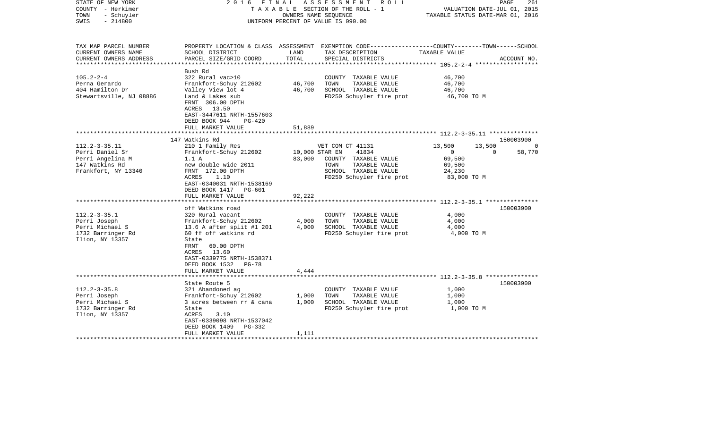| STATE OF NEW YORK<br>COUNTY - Herkimer<br>- Schuyler<br>TOWN<br>$-214800$<br>SWIS                                                                                                                    | FINAL<br>2016                                                                                                                                                                                                                                                                                                                                                                                                                                                            | OWNERS NAME SEOUENCE                                          | ASSESSMENT ROLL<br>TAXABLE SECTION OF THE ROLL - 1<br>UNIFORM PERCENT OF VALUE IS 090.00                                                                                                                                            | VALUATION DATE-JUL 01, 2015<br>TAXABLE STATUS DATE-MAR 01, 2016                                                          | 261<br>PAGE                                              |
|------------------------------------------------------------------------------------------------------------------------------------------------------------------------------------------------------|--------------------------------------------------------------------------------------------------------------------------------------------------------------------------------------------------------------------------------------------------------------------------------------------------------------------------------------------------------------------------------------------------------------------------------------------------------------------------|---------------------------------------------------------------|-------------------------------------------------------------------------------------------------------------------------------------------------------------------------------------------------------------------------------------|--------------------------------------------------------------------------------------------------------------------------|----------------------------------------------------------|
| TAX MAP PARCEL NUMBER<br>CURRENT OWNERS NAME<br>CURRENT OWNERS ADDRESS<br>***********************                                                                                                    | SCHOOL DISTRICT<br>PARCEL SIZE/GRID COORD                                                                                                                                                                                                                                                                                                                                                                                                                                | LAND<br>TOTAL                                                 | PROPERTY LOCATION & CLASS ASSESSMENT EXEMPTION CODE----------------COUNTY-------TOWN------SCHOOL<br>TAX DESCRIPTION<br>SPECIAL DISTRICTS                                                                                            | TAXABLE VALUE                                                                                                            | ACCOUNT NO.                                              |
| $105.2 - 2 - 4$<br>Perna Gerardo<br>404 Hamilton Dr<br>Stewartsville, NJ 08886                                                                                                                       | Bush Rd<br>322 Rural vac>10<br>Frankfort-Schuy 212602<br>Valley View lot 4<br>Land & Lakes sub<br>FRNT 306.00 DPTH<br>ACRES 13.50<br>EAST-3447611 NRTH-1557603<br>DEED BOOK 944<br>$PG-420$<br>FULL MARKET VALUE                                                                                                                                                                                                                                                         | 46,700<br>46,700<br>51,889                                    | COUNTY TAXABLE VALUE<br>TOWN<br>TAXABLE VALUE<br>SCHOOL TAXABLE VALUE<br>FD250 Schuyler fire prot                                                                                                                                   | 46,700<br>46,700<br>46,700<br>46,700 TO M                                                                                |                                                          |
|                                                                                                                                                                                                      |                                                                                                                                                                                                                                                                                                                                                                                                                                                                          |                                                               |                                                                                                                                                                                                                                     | ***************************** 112.2-3-35.11 **************                                                               |                                                          |
| $112.2 - 3 - 35.11$<br>Perri Daniel Sr<br>Perri Angelina M<br>147 Watkins Rd<br>Frankfort, NY 13340<br>$112.2 - 3 - 35.1$<br>Perri Joseph<br>Perri Michael S<br>1732 Barringer Rd<br>Ilion, NY 13357 | 147 Watkins Rd<br>210 1 Family Res<br>Frankfort-Schuy 212602<br>1.1A<br>new double wide 2011<br>FRNT 172.00 DPTH<br>1.10<br>ACRES<br>EAST-0340031 NRTH-1538169<br>DEED BOOK 1417<br>PG-601<br>FULL MARKET VALUE<br>off Watkins road<br>320 Rural vacant<br>Frankfort-Schuy 212602<br>13.6 A after split #1 201<br>60 ff off watkins rd<br>State<br>FRNT<br>60.00 DPTH<br>ACRES 13.60<br>EAST-0339775 NRTH-1538371<br>DEED BOOK 1532<br><b>PG-78</b><br>FULL MARKET VALUE | 10,000 STAR EN<br>83,000<br>92,222<br>4,000<br>4,000<br>4,444 | VET COM CT 41131<br>41834<br>COUNTY TAXABLE VALUE<br>TOWN<br>TAXABLE VALUE<br>SCHOOL TAXABLE VALUE<br>FD250 Schuyler fire prot<br>COUNTY TAXABLE VALUE<br>TAXABLE VALUE<br>TOWN<br>SCHOOL TAXABLE VALUE<br>FD250 Schuyler fire prot | 13,500<br>13,500<br>$\overline{0}$<br>69,500<br>69,500<br>24,230<br>83,000 TO M<br>4,000<br>4,000<br>4,000<br>4,000 TO M | 150003900<br>$\Omega$<br>58,770<br>$\Omega$<br>150003900 |
| $112.2 - 3 - 35.8$<br>Perri Joseph<br>Perri Michael S<br>1732 Barringer Rd<br>Ilion, NY 13357                                                                                                        | State Route 5<br>321 Abandoned ag<br>Frankfort-Schuy 212602<br>3 acres between rr & cana<br>State<br>ACRES<br>3.10<br>EAST-0339098 NRTH-1537042<br>DEED BOOK 1409<br>PG-332<br>FULL MARKET VALUE                                                                                                                                                                                                                                                                         | 1,000<br>1,000<br>1,111                                       | COUNTY TAXABLE VALUE<br>TOWN<br>TAXABLE VALUE<br>SCHOOL TAXABLE VALUE<br>FD250 Schuyler fire prot                                                                                                                                   | 1,000<br>1,000<br>1,000<br>1,000 TO M                                                                                    | 150003900                                                |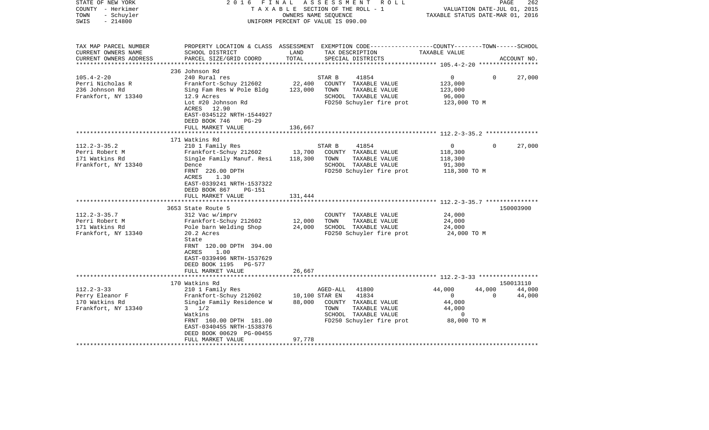| PROPERTY LOCATION & CLASS ASSESSMENT EXEMPTION CODE---------------COUNTY-------TOWN------SCHOOL<br>TAX MAP PARCEL NUMBER<br>CURRENT OWNERS NAME<br>SCHOOL DISTRICT<br>LAND<br>TAX DESCRIPTION<br>TAXABLE VALUE<br>TOTAL<br>CURRENT OWNERS ADDRESS<br>PARCEL SIZE/GRID COORD<br>SPECIAL DISTRICTS<br>ACCOUNT NO.<br>236 Johnson Rd<br>$105.4 - 2 - 20$<br>240 Rural res<br>41854<br>0<br>27,000<br>STAR B<br>$\mathbf{0}$<br>Perri Nicholas R<br>Frankfort-Schuy 212602<br>22,400<br>COUNTY TAXABLE VALUE<br>123,000<br>123,000<br>236 Johnson Rd<br>Sing Fam Res W Pole Bldg<br>TOWN<br>TAXABLE VALUE<br>123,000<br>Frankfort, NY 13340<br>12.9 Acres<br>SCHOOL TAXABLE VALUE<br>96,000<br>Lot #20 Johnson Rd<br>FD250 Schuyler fire prot<br>123,000 TO M<br>ACRES 12.90<br>EAST-0345122 NRTH-1544927<br>DEED BOOK 746<br>$PG-29$<br>136,667<br>FULL MARKET VALUE<br>************************<br>*****************<br>171 Watkins Rd<br>$112.2 - 3 - 35.2$<br>210 1 Family Res<br>$\overline{0}$<br>27,000<br>STAR B<br>41854<br>$\Omega$<br>Perri Robert M<br>13,700<br>COUNTY TAXABLE VALUE<br>Frankfort-Schuy 212602<br>118,300<br>Single Family Manuf. Resi<br>171 Watkins Rd<br>118,300<br>TOWN<br>TAXABLE VALUE<br>118,300<br>Frankfort, NY 13340<br>Dence<br>SCHOOL TAXABLE VALUE<br>91,300<br>FRNT 226.00 DPTH<br>FD250 Schuyler fire prot<br>118,300 TO M<br>ACRES<br>1.30<br>EAST-0339241 NRTH-1537322<br>DEED BOOK 867<br>PG-151<br>FULL MARKET VALUE<br>131,444<br>**************************<br>150003900<br>3653 State Route 5<br>$112.2 - 3 - 35.7$<br>24,000<br>312 Vac w/imprv<br>COUNTY TAXABLE VALUE<br>Perri Robert M<br>12,000<br>TAXABLE VALUE<br>24,000<br>Frankfort-Schuy 212602<br>TOWN<br>171 Watkins Rd<br>Pole barn Welding Shop<br>24,000<br>SCHOOL TAXABLE VALUE<br>24,000<br>Frankfort, NY 13340<br>20.2 Acres<br>FD250 Schuyler fire prot<br>24,000 TO M<br>State<br>FRNT 120.00 DPTH 394.00<br>ACRES<br>1.00<br>EAST-0339496 NRTH-1537629<br>DEED BOOK 1195 PG-577<br>26,667<br>FULL MARKET VALUE<br>170 Watkins Rd<br>150013110<br>$112.2 - 3 - 33$<br>AGED-ALL<br>41800<br>44,000<br>44,000<br>44,000<br>210 1 Family Res<br>Perry Eleanor F<br>Frankfort-Schuy 212602<br>10,100 STAR EN<br>41834<br>$\mathbf{0}$<br>$\mathbf 0$<br>44,000<br>170 Watkins Rd<br>Single Family Residence W<br>88,000<br>COUNTY TAXABLE VALUE<br>44,000<br>Frankfort, NY 13340<br>$3 \frac{1}{2}$<br>44,000<br>TOWN<br>TAXABLE VALUE<br>SCHOOL TAXABLE VALUE<br>Watkins<br>0<br>FRNT 160.00 DPTH 181.00<br>FD250 Schuyler fire prot<br>88,000 TO M<br>EAST-0340455 NRTH-1538376<br>DEED BOOK 00629 PG-00455<br>97,778<br>FULL MARKET VALUE | STATE OF NEW YORK<br>COUNTY - Herkimer<br>- Schuyler<br>TOWN<br>$-214800$<br>SWIS | FINAL<br>2016 | OWNERS NAME SEQUENCE | ASSESSMENT<br>ROLL<br>TAXABLE SECTION OF THE ROLL - 1<br>UNIFORM PERCENT OF VALUE IS 090.00 | VALUATION DATE-JUL 01, 2015<br>TAXABLE STATUS DATE-MAR 01, 2016 | PAGE | 262 |
|-------------------------------------------------------------------------------------------------------------------------------------------------------------------------------------------------------------------------------------------------------------------------------------------------------------------------------------------------------------------------------------------------------------------------------------------------------------------------------------------------------------------------------------------------------------------------------------------------------------------------------------------------------------------------------------------------------------------------------------------------------------------------------------------------------------------------------------------------------------------------------------------------------------------------------------------------------------------------------------------------------------------------------------------------------------------------------------------------------------------------------------------------------------------------------------------------------------------------------------------------------------------------------------------------------------------------------------------------------------------------------------------------------------------------------------------------------------------------------------------------------------------------------------------------------------------------------------------------------------------------------------------------------------------------------------------------------------------------------------------------------------------------------------------------------------------------------------------------------------------------------------------------------------------------------------------------------------------------------------------------------------------------------------------------------------------------------------------------------------------------------------------------------------------------------------------------------------------------------------------------------------------------------------------------------------------------------------------------------------------------------------------------------------------------------------------------------------------------------------------------------------------------------------------------------------------------------------------------------------------------------------------------------------|-----------------------------------------------------------------------------------|---------------|----------------------|---------------------------------------------------------------------------------------------|-----------------------------------------------------------------|------|-----|
|                                                                                                                                                                                                                                                                                                                                                                                                                                                                                                                                                                                                                                                                                                                                                                                                                                                                                                                                                                                                                                                                                                                                                                                                                                                                                                                                                                                                                                                                                                                                                                                                                                                                                                                                                                                                                                                                                                                                                                                                                                                                                                                                                                                                                                                                                                                                                                                                                                                                                                                                                                                                                                                             |                                                                                   |               |                      |                                                                                             |                                                                 |      |     |
|                                                                                                                                                                                                                                                                                                                                                                                                                                                                                                                                                                                                                                                                                                                                                                                                                                                                                                                                                                                                                                                                                                                                                                                                                                                                                                                                                                                                                                                                                                                                                                                                                                                                                                                                                                                                                                                                                                                                                                                                                                                                                                                                                                                                                                                                                                                                                                                                                                                                                                                                                                                                                                                             |                                                                                   |               |                      |                                                                                             |                                                                 |      |     |
|                                                                                                                                                                                                                                                                                                                                                                                                                                                                                                                                                                                                                                                                                                                                                                                                                                                                                                                                                                                                                                                                                                                                                                                                                                                                                                                                                                                                                                                                                                                                                                                                                                                                                                                                                                                                                                                                                                                                                                                                                                                                                                                                                                                                                                                                                                                                                                                                                                                                                                                                                                                                                                                             |                                                                                   |               |                      |                                                                                             |                                                                 |      |     |
|                                                                                                                                                                                                                                                                                                                                                                                                                                                                                                                                                                                                                                                                                                                                                                                                                                                                                                                                                                                                                                                                                                                                                                                                                                                                                                                                                                                                                                                                                                                                                                                                                                                                                                                                                                                                                                                                                                                                                                                                                                                                                                                                                                                                                                                                                                                                                                                                                                                                                                                                                                                                                                                             |                                                                                   |               |                      |                                                                                             |                                                                 |      |     |
|                                                                                                                                                                                                                                                                                                                                                                                                                                                                                                                                                                                                                                                                                                                                                                                                                                                                                                                                                                                                                                                                                                                                                                                                                                                                                                                                                                                                                                                                                                                                                                                                                                                                                                                                                                                                                                                                                                                                                                                                                                                                                                                                                                                                                                                                                                                                                                                                                                                                                                                                                                                                                                                             |                                                                                   |               |                      |                                                                                             |                                                                 |      |     |
|                                                                                                                                                                                                                                                                                                                                                                                                                                                                                                                                                                                                                                                                                                                                                                                                                                                                                                                                                                                                                                                                                                                                                                                                                                                                                                                                                                                                                                                                                                                                                                                                                                                                                                                                                                                                                                                                                                                                                                                                                                                                                                                                                                                                                                                                                                                                                                                                                                                                                                                                                                                                                                                             |                                                                                   |               |                      |                                                                                             |                                                                 |      |     |
|                                                                                                                                                                                                                                                                                                                                                                                                                                                                                                                                                                                                                                                                                                                                                                                                                                                                                                                                                                                                                                                                                                                                                                                                                                                                                                                                                                                                                                                                                                                                                                                                                                                                                                                                                                                                                                                                                                                                                                                                                                                                                                                                                                                                                                                                                                                                                                                                                                                                                                                                                                                                                                                             |                                                                                   |               |                      |                                                                                             |                                                                 |      |     |
|                                                                                                                                                                                                                                                                                                                                                                                                                                                                                                                                                                                                                                                                                                                                                                                                                                                                                                                                                                                                                                                                                                                                                                                                                                                                                                                                                                                                                                                                                                                                                                                                                                                                                                                                                                                                                                                                                                                                                                                                                                                                                                                                                                                                                                                                                                                                                                                                                                                                                                                                                                                                                                                             |                                                                                   |               |                      |                                                                                             |                                                                 |      |     |
|                                                                                                                                                                                                                                                                                                                                                                                                                                                                                                                                                                                                                                                                                                                                                                                                                                                                                                                                                                                                                                                                                                                                                                                                                                                                                                                                                                                                                                                                                                                                                                                                                                                                                                                                                                                                                                                                                                                                                                                                                                                                                                                                                                                                                                                                                                                                                                                                                                                                                                                                                                                                                                                             |                                                                                   |               |                      |                                                                                             |                                                                 |      |     |
|                                                                                                                                                                                                                                                                                                                                                                                                                                                                                                                                                                                                                                                                                                                                                                                                                                                                                                                                                                                                                                                                                                                                                                                                                                                                                                                                                                                                                                                                                                                                                                                                                                                                                                                                                                                                                                                                                                                                                                                                                                                                                                                                                                                                                                                                                                                                                                                                                                                                                                                                                                                                                                                             |                                                                                   |               |                      |                                                                                             |                                                                 |      |     |
|                                                                                                                                                                                                                                                                                                                                                                                                                                                                                                                                                                                                                                                                                                                                                                                                                                                                                                                                                                                                                                                                                                                                                                                                                                                                                                                                                                                                                                                                                                                                                                                                                                                                                                                                                                                                                                                                                                                                                                                                                                                                                                                                                                                                                                                                                                                                                                                                                                                                                                                                                                                                                                                             |                                                                                   |               |                      |                                                                                             |                                                                 |      |     |
|                                                                                                                                                                                                                                                                                                                                                                                                                                                                                                                                                                                                                                                                                                                                                                                                                                                                                                                                                                                                                                                                                                                                                                                                                                                                                                                                                                                                                                                                                                                                                                                                                                                                                                                                                                                                                                                                                                                                                                                                                                                                                                                                                                                                                                                                                                                                                                                                                                                                                                                                                                                                                                                             |                                                                                   |               |                      |                                                                                             |                                                                 |      |     |
|                                                                                                                                                                                                                                                                                                                                                                                                                                                                                                                                                                                                                                                                                                                                                                                                                                                                                                                                                                                                                                                                                                                                                                                                                                                                                                                                                                                                                                                                                                                                                                                                                                                                                                                                                                                                                                                                                                                                                                                                                                                                                                                                                                                                                                                                                                                                                                                                                                                                                                                                                                                                                                                             |                                                                                   |               |                      |                                                                                             |                                                                 |      |     |
|                                                                                                                                                                                                                                                                                                                                                                                                                                                                                                                                                                                                                                                                                                                                                                                                                                                                                                                                                                                                                                                                                                                                                                                                                                                                                                                                                                                                                                                                                                                                                                                                                                                                                                                                                                                                                                                                                                                                                                                                                                                                                                                                                                                                                                                                                                                                                                                                                                                                                                                                                                                                                                                             |                                                                                   |               |                      |                                                                                             |                                                                 |      |     |
|                                                                                                                                                                                                                                                                                                                                                                                                                                                                                                                                                                                                                                                                                                                                                                                                                                                                                                                                                                                                                                                                                                                                                                                                                                                                                                                                                                                                                                                                                                                                                                                                                                                                                                                                                                                                                                                                                                                                                                                                                                                                                                                                                                                                                                                                                                                                                                                                                                                                                                                                                                                                                                                             |                                                                                   |               |                      |                                                                                             |                                                                 |      |     |
|                                                                                                                                                                                                                                                                                                                                                                                                                                                                                                                                                                                                                                                                                                                                                                                                                                                                                                                                                                                                                                                                                                                                                                                                                                                                                                                                                                                                                                                                                                                                                                                                                                                                                                                                                                                                                                                                                                                                                                                                                                                                                                                                                                                                                                                                                                                                                                                                                                                                                                                                                                                                                                                             |                                                                                   |               |                      |                                                                                             |                                                                 |      |     |
|                                                                                                                                                                                                                                                                                                                                                                                                                                                                                                                                                                                                                                                                                                                                                                                                                                                                                                                                                                                                                                                                                                                                                                                                                                                                                                                                                                                                                                                                                                                                                                                                                                                                                                                                                                                                                                                                                                                                                                                                                                                                                                                                                                                                                                                                                                                                                                                                                                                                                                                                                                                                                                                             |                                                                                   |               |                      |                                                                                             |                                                                 |      |     |
|                                                                                                                                                                                                                                                                                                                                                                                                                                                                                                                                                                                                                                                                                                                                                                                                                                                                                                                                                                                                                                                                                                                                                                                                                                                                                                                                                                                                                                                                                                                                                                                                                                                                                                                                                                                                                                                                                                                                                                                                                                                                                                                                                                                                                                                                                                                                                                                                                                                                                                                                                                                                                                                             |                                                                                   |               |                      |                                                                                             |                                                                 |      |     |
|                                                                                                                                                                                                                                                                                                                                                                                                                                                                                                                                                                                                                                                                                                                                                                                                                                                                                                                                                                                                                                                                                                                                                                                                                                                                                                                                                                                                                                                                                                                                                                                                                                                                                                                                                                                                                                                                                                                                                                                                                                                                                                                                                                                                                                                                                                                                                                                                                                                                                                                                                                                                                                                             |                                                                                   |               |                      |                                                                                             |                                                                 |      |     |
|                                                                                                                                                                                                                                                                                                                                                                                                                                                                                                                                                                                                                                                                                                                                                                                                                                                                                                                                                                                                                                                                                                                                                                                                                                                                                                                                                                                                                                                                                                                                                                                                                                                                                                                                                                                                                                                                                                                                                                                                                                                                                                                                                                                                                                                                                                                                                                                                                                                                                                                                                                                                                                                             |                                                                                   |               |                      |                                                                                             |                                                                 |      |     |
|                                                                                                                                                                                                                                                                                                                                                                                                                                                                                                                                                                                                                                                                                                                                                                                                                                                                                                                                                                                                                                                                                                                                                                                                                                                                                                                                                                                                                                                                                                                                                                                                                                                                                                                                                                                                                                                                                                                                                                                                                                                                                                                                                                                                                                                                                                                                                                                                                                                                                                                                                                                                                                                             |                                                                                   |               |                      |                                                                                             |                                                                 |      |     |
|                                                                                                                                                                                                                                                                                                                                                                                                                                                                                                                                                                                                                                                                                                                                                                                                                                                                                                                                                                                                                                                                                                                                                                                                                                                                                                                                                                                                                                                                                                                                                                                                                                                                                                                                                                                                                                                                                                                                                                                                                                                                                                                                                                                                                                                                                                                                                                                                                                                                                                                                                                                                                                                             |                                                                                   |               |                      |                                                                                             |                                                                 |      |     |
|                                                                                                                                                                                                                                                                                                                                                                                                                                                                                                                                                                                                                                                                                                                                                                                                                                                                                                                                                                                                                                                                                                                                                                                                                                                                                                                                                                                                                                                                                                                                                                                                                                                                                                                                                                                                                                                                                                                                                                                                                                                                                                                                                                                                                                                                                                                                                                                                                                                                                                                                                                                                                                                             |                                                                                   |               |                      |                                                                                             |                                                                 |      |     |
|                                                                                                                                                                                                                                                                                                                                                                                                                                                                                                                                                                                                                                                                                                                                                                                                                                                                                                                                                                                                                                                                                                                                                                                                                                                                                                                                                                                                                                                                                                                                                                                                                                                                                                                                                                                                                                                                                                                                                                                                                                                                                                                                                                                                                                                                                                                                                                                                                                                                                                                                                                                                                                                             |                                                                                   |               |                      |                                                                                             |                                                                 |      |     |
|                                                                                                                                                                                                                                                                                                                                                                                                                                                                                                                                                                                                                                                                                                                                                                                                                                                                                                                                                                                                                                                                                                                                                                                                                                                                                                                                                                                                                                                                                                                                                                                                                                                                                                                                                                                                                                                                                                                                                                                                                                                                                                                                                                                                                                                                                                                                                                                                                                                                                                                                                                                                                                                             |                                                                                   |               |                      |                                                                                             |                                                                 |      |     |
|                                                                                                                                                                                                                                                                                                                                                                                                                                                                                                                                                                                                                                                                                                                                                                                                                                                                                                                                                                                                                                                                                                                                                                                                                                                                                                                                                                                                                                                                                                                                                                                                                                                                                                                                                                                                                                                                                                                                                                                                                                                                                                                                                                                                                                                                                                                                                                                                                                                                                                                                                                                                                                                             |                                                                                   |               |                      |                                                                                             |                                                                 |      |     |
|                                                                                                                                                                                                                                                                                                                                                                                                                                                                                                                                                                                                                                                                                                                                                                                                                                                                                                                                                                                                                                                                                                                                                                                                                                                                                                                                                                                                                                                                                                                                                                                                                                                                                                                                                                                                                                                                                                                                                                                                                                                                                                                                                                                                                                                                                                                                                                                                                                                                                                                                                                                                                                                             |                                                                                   |               |                      |                                                                                             |                                                                 |      |     |
|                                                                                                                                                                                                                                                                                                                                                                                                                                                                                                                                                                                                                                                                                                                                                                                                                                                                                                                                                                                                                                                                                                                                                                                                                                                                                                                                                                                                                                                                                                                                                                                                                                                                                                                                                                                                                                                                                                                                                                                                                                                                                                                                                                                                                                                                                                                                                                                                                                                                                                                                                                                                                                                             |                                                                                   |               |                      |                                                                                             |                                                                 |      |     |
|                                                                                                                                                                                                                                                                                                                                                                                                                                                                                                                                                                                                                                                                                                                                                                                                                                                                                                                                                                                                                                                                                                                                                                                                                                                                                                                                                                                                                                                                                                                                                                                                                                                                                                                                                                                                                                                                                                                                                                                                                                                                                                                                                                                                                                                                                                                                                                                                                                                                                                                                                                                                                                                             |                                                                                   |               |                      |                                                                                             |                                                                 |      |     |
|                                                                                                                                                                                                                                                                                                                                                                                                                                                                                                                                                                                                                                                                                                                                                                                                                                                                                                                                                                                                                                                                                                                                                                                                                                                                                                                                                                                                                                                                                                                                                                                                                                                                                                                                                                                                                                                                                                                                                                                                                                                                                                                                                                                                                                                                                                                                                                                                                                                                                                                                                                                                                                                             |                                                                                   |               |                      |                                                                                             |                                                                 |      |     |
|                                                                                                                                                                                                                                                                                                                                                                                                                                                                                                                                                                                                                                                                                                                                                                                                                                                                                                                                                                                                                                                                                                                                                                                                                                                                                                                                                                                                                                                                                                                                                                                                                                                                                                                                                                                                                                                                                                                                                                                                                                                                                                                                                                                                                                                                                                                                                                                                                                                                                                                                                                                                                                                             |                                                                                   |               |                      |                                                                                             |                                                                 |      |     |
|                                                                                                                                                                                                                                                                                                                                                                                                                                                                                                                                                                                                                                                                                                                                                                                                                                                                                                                                                                                                                                                                                                                                                                                                                                                                                                                                                                                                                                                                                                                                                                                                                                                                                                                                                                                                                                                                                                                                                                                                                                                                                                                                                                                                                                                                                                                                                                                                                                                                                                                                                                                                                                                             |                                                                                   |               |                      |                                                                                             |                                                                 |      |     |
|                                                                                                                                                                                                                                                                                                                                                                                                                                                                                                                                                                                                                                                                                                                                                                                                                                                                                                                                                                                                                                                                                                                                                                                                                                                                                                                                                                                                                                                                                                                                                                                                                                                                                                                                                                                                                                                                                                                                                                                                                                                                                                                                                                                                                                                                                                                                                                                                                                                                                                                                                                                                                                                             |                                                                                   |               |                      |                                                                                             |                                                                 |      |     |
|                                                                                                                                                                                                                                                                                                                                                                                                                                                                                                                                                                                                                                                                                                                                                                                                                                                                                                                                                                                                                                                                                                                                                                                                                                                                                                                                                                                                                                                                                                                                                                                                                                                                                                                                                                                                                                                                                                                                                                                                                                                                                                                                                                                                                                                                                                                                                                                                                                                                                                                                                                                                                                                             |                                                                                   |               |                      |                                                                                             |                                                                 |      |     |
|                                                                                                                                                                                                                                                                                                                                                                                                                                                                                                                                                                                                                                                                                                                                                                                                                                                                                                                                                                                                                                                                                                                                                                                                                                                                                                                                                                                                                                                                                                                                                                                                                                                                                                                                                                                                                                                                                                                                                                                                                                                                                                                                                                                                                                                                                                                                                                                                                                                                                                                                                                                                                                                             |                                                                                   |               |                      |                                                                                             |                                                                 |      |     |
|                                                                                                                                                                                                                                                                                                                                                                                                                                                                                                                                                                                                                                                                                                                                                                                                                                                                                                                                                                                                                                                                                                                                                                                                                                                                                                                                                                                                                                                                                                                                                                                                                                                                                                                                                                                                                                                                                                                                                                                                                                                                                                                                                                                                                                                                                                                                                                                                                                                                                                                                                                                                                                                             |                                                                                   |               |                      |                                                                                             |                                                                 |      |     |
|                                                                                                                                                                                                                                                                                                                                                                                                                                                                                                                                                                                                                                                                                                                                                                                                                                                                                                                                                                                                                                                                                                                                                                                                                                                                                                                                                                                                                                                                                                                                                                                                                                                                                                                                                                                                                                                                                                                                                                                                                                                                                                                                                                                                                                                                                                                                                                                                                                                                                                                                                                                                                                                             |                                                                                   |               |                      |                                                                                             |                                                                 |      |     |
|                                                                                                                                                                                                                                                                                                                                                                                                                                                                                                                                                                                                                                                                                                                                                                                                                                                                                                                                                                                                                                                                                                                                                                                                                                                                                                                                                                                                                                                                                                                                                                                                                                                                                                                                                                                                                                                                                                                                                                                                                                                                                                                                                                                                                                                                                                                                                                                                                                                                                                                                                                                                                                                             |                                                                                   |               |                      |                                                                                             |                                                                 |      |     |
|                                                                                                                                                                                                                                                                                                                                                                                                                                                                                                                                                                                                                                                                                                                                                                                                                                                                                                                                                                                                                                                                                                                                                                                                                                                                                                                                                                                                                                                                                                                                                                                                                                                                                                                                                                                                                                                                                                                                                                                                                                                                                                                                                                                                                                                                                                                                                                                                                                                                                                                                                                                                                                                             |                                                                                   |               |                      |                                                                                             |                                                                 |      |     |
|                                                                                                                                                                                                                                                                                                                                                                                                                                                                                                                                                                                                                                                                                                                                                                                                                                                                                                                                                                                                                                                                                                                                                                                                                                                                                                                                                                                                                                                                                                                                                                                                                                                                                                                                                                                                                                                                                                                                                                                                                                                                                                                                                                                                                                                                                                                                                                                                                                                                                                                                                                                                                                                             |                                                                                   |               |                      |                                                                                             |                                                                 |      |     |
|                                                                                                                                                                                                                                                                                                                                                                                                                                                                                                                                                                                                                                                                                                                                                                                                                                                                                                                                                                                                                                                                                                                                                                                                                                                                                                                                                                                                                                                                                                                                                                                                                                                                                                                                                                                                                                                                                                                                                                                                                                                                                                                                                                                                                                                                                                                                                                                                                                                                                                                                                                                                                                                             |                                                                                   |               |                      |                                                                                             |                                                                 |      |     |
|                                                                                                                                                                                                                                                                                                                                                                                                                                                                                                                                                                                                                                                                                                                                                                                                                                                                                                                                                                                                                                                                                                                                                                                                                                                                                                                                                                                                                                                                                                                                                                                                                                                                                                                                                                                                                                                                                                                                                                                                                                                                                                                                                                                                                                                                                                                                                                                                                                                                                                                                                                                                                                                             |                                                                                   |               |                      |                                                                                             |                                                                 |      |     |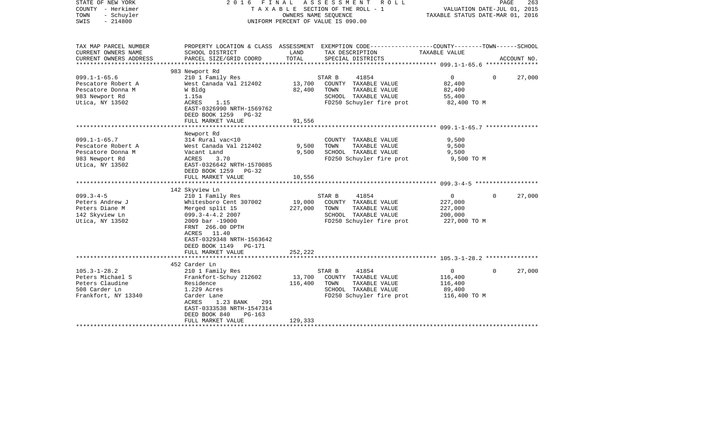| TAX MAP PARCEL NUMBER<br>PROPERTY LOCATION & CLASS ASSESSMENT EXEMPTION CODE----------------COUNTY-------TOWN------SCHOOL<br>CURRENT OWNERS NAME<br>SCHOOL DISTRICT<br>LAND<br>TAX DESCRIPTION<br>TAXABLE VALUE<br>CURRENT OWNERS ADDRESS<br>PARCEL SIZE/GRID COORD<br>TOTAL<br>SPECIAL DISTRICTS<br>ACCOUNT NO.<br>**********************<br>983 Newport Rd<br>$099.1 - 1 - 65.6$<br>210 1 Family Res<br>STAR B<br>41854<br>$\mathbf{0}$<br>$\Omega$<br>27,000<br>West Canada Val 212402<br>13,700<br>COUNTY TAXABLE VALUE<br>Pescatore Robert A<br>82,400<br>82,400<br>Pescatore Donna M<br>W Bldg<br>TOWN<br>TAXABLE VALUE<br>82,400<br>983 Newport Rd<br>1.15a<br>SCHOOL TAXABLE VALUE<br>55,400<br>ACRES<br>FD250 Schuyler fire prot<br>Utica, NY 13502<br>1.15<br>82,400 TO M<br>EAST-0326990 NRTH-1569762<br>DEED BOOK 1259<br>$PG-32$<br>FULL MARKET VALUE<br>91,556<br>Newport Rd<br>$099.1 - 1 - 65.7$<br>314 Rural vac<10<br>9,500<br>COUNTY TAXABLE VALUE<br>9,500<br>Pescatore Robert A<br>West Canada Val 212402<br>TOWN<br>TAXABLE VALUE<br>9,500<br>9,500<br>SCHOOL TAXABLE VALUE<br>Pescatore Donna M<br>Vacant Land<br>9,500<br>FD250 Schuyler fire prot<br>983 Newport Rd<br>3.70<br>9,500 TO M<br>ACRES<br>Utica, NY 13502<br>EAST-0326642 NRTH-1570085<br>DEED BOOK 1259 PG-32<br>FULL MARKET VALUE<br>10,556<br>142 Skyview Ln<br>$099.3 - 4 - 5$<br>210 1 Family Res<br>STAR B<br>41854<br>27,000<br>$\mathbf{0}$<br>$\Omega$<br>19,000<br>COUNTY TAXABLE VALUE<br>Peters Andrew J<br>Whitesboro Cent 307002<br>227,000<br>Peters Diane M<br>227,000<br>TAXABLE VALUE<br>227,000<br>Merged split 15<br>TOWN<br>142 Skyview Ln<br>$099.3 - 4 - 4.2$ 2007<br>SCHOOL TAXABLE VALUE<br>200,000<br>Utica, NY 13502<br>2009 bar -19000<br>FD250 Schuyler fire prot<br>227,000 TO M<br>FRNT 266.00 DPTH<br>ACRES<br>11.40<br>EAST-0329348 NRTH-1563642<br>DEED BOOK 1149<br>PG-171<br>FULL MARKET VALUE<br>252,222<br>452 Carder Ln<br>$105.3 - 1 - 28.2$<br>210 1 Family Res<br>41854<br>27,000<br>STAR B<br>$\mathbf 0$<br>0<br>Peters Michael S<br>Frankfort-Schuy 212602<br>13,700<br>COUNTY TAXABLE VALUE<br>116,400<br>Peters Claudine<br>Residence<br>116,400<br>TOWN<br>TAXABLE VALUE<br>116,400<br>508 Carder Ln<br>1.229 Acres<br>SCHOOL TAXABLE VALUE<br>89,400<br>Frankfort, NY 13340<br>FD250 Schuyler fire prot<br>Carder Lane<br>116,400 TO M<br>1.23 BANK<br>291<br>ACRES<br>EAST-0333538 NRTH-1547314<br>DEED BOOK 840<br>$PG-163$<br>129,333<br>FULL MARKET VALUE | STATE OF NEW YORK<br>COUNTY - Herkimer<br>TOWN<br>- Schuyler<br>$-214800$<br>SWIS | FINAL<br>2016 | ASSESSMENT ROLL<br>TAXABLE SECTION OF THE ROLL - 1<br>OWNERS NAME SEQUENCE<br>UNIFORM PERCENT OF VALUE IS 090.00 | VALUATION DATE-JUL 01, 2015<br>TAXABLE STATUS DATE-MAR 01, 2016 | PAGE | 263 |
|-----------------------------------------------------------------------------------------------------------------------------------------------------------------------------------------------------------------------------------------------------------------------------------------------------------------------------------------------------------------------------------------------------------------------------------------------------------------------------------------------------------------------------------------------------------------------------------------------------------------------------------------------------------------------------------------------------------------------------------------------------------------------------------------------------------------------------------------------------------------------------------------------------------------------------------------------------------------------------------------------------------------------------------------------------------------------------------------------------------------------------------------------------------------------------------------------------------------------------------------------------------------------------------------------------------------------------------------------------------------------------------------------------------------------------------------------------------------------------------------------------------------------------------------------------------------------------------------------------------------------------------------------------------------------------------------------------------------------------------------------------------------------------------------------------------------------------------------------------------------------------------------------------------------------------------------------------------------------------------------------------------------------------------------------------------------------------------------------------------------------------------------------------------------------------------------------------------------------------------------------------------------------------------------------------------------------------------------------------------------------------------------------------------------------------------------------------------------------------------------------------|-----------------------------------------------------------------------------------|---------------|------------------------------------------------------------------------------------------------------------------|-----------------------------------------------------------------|------|-----|
|                                                                                                                                                                                                                                                                                                                                                                                                                                                                                                                                                                                                                                                                                                                                                                                                                                                                                                                                                                                                                                                                                                                                                                                                                                                                                                                                                                                                                                                                                                                                                                                                                                                                                                                                                                                                                                                                                                                                                                                                                                                                                                                                                                                                                                                                                                                                                                                                                                                                                                     |                                                                                   |               |                                                                                                                  |                                                                 |      |     |
|                                                                                                                                                                                                                                                                                                                                                                                                                                                                                                                                                                                                                                                                                                                                                                                                                                                                                                                                                                                                                                                                                                                                                                                                                                                                                                                                                                                                                                                                                                                                                                                                                                                                                                                                                                                                                                                                                                                                                                                                                                                                                                                                                                                                                                                                                                                                                                                                                                                                                                     |                                                                                   |               |                                                                                                                  |                                                                 |      |     |
|                                                                                                                                                                                                                                                                                                                                                                                                                                                                                                                                                                                                                                                                                                                                                                                                                                                                                                                                                                                                                                                                                                                                                                                                                                                                                                                                                                                                                                                                                                                                                                                                                                                                                                                                                                                                                                                                                                                                                                                                                                                                                                                                                                                                                                                                                                                                                                                                                                                                                                     |                                                                                   |               |                                                                                                                  |                                                                 |      |     |
|                                                                                                                                                                                                                                                                                                                                                                                                                                                                                                                                                                                                                                                                                                                                                                                                                                                                                                                                                                                                                                                                                                                                                                                                                                                                                                                                                                                                                                                                                                                                                                                                                                                                                                                                                                                                                                                                                                                                                                                                                                                                                                                                                                                                                                                                                                                                                                                                                                                                                                     |                                                                                   |               |                                                                                                                  |                                                                 |      |     |
|                                                                                                                                                                                                                                                                                                                                                                                                                                                                                                                                                                                                                                                                                                                                                                                                                                                                                                                                                                                                                                                                                                                                                                                                                                                                                                                                                                                                                                                                                                                                                                                                                                                                                                                                                                                                                                                                                                                                                                                                                                                                                                                                                                                                                                                                                                                                                                                                                                                                                                     |                                                                                   |               |                                                                                                                  |                                                                 |      |     |
|                                                                                                                                                                                                                                                                                                                                                                                                                                                                                                                                                                                                                                                                                                                                                                                                                                                                                                                                                                                                                                                                                                                                                                                                                                                                                                                                                                                                                                                                                                                                                                                                                                                                                                                                                                                                                                                                                                                                                                                                                                                                                                                                                                                                                                                                                                                                                                                                                                                                                                     |                                                                                   |               |                                                                                                                  |                                                                 |      |     |
|                                                                                                                                                                                                                                                                                                                                                                                                                                                                                                                                                                                                                                                                                                                                                                                                                                                                                                                                                                                                                                                                                                                                                                                                                                                                                                                                                                                                                                                                                                                                                                                                                                                                                                                                                                                                                                                                                                                                                                                                                                                                                                                                                                                                                                                                                                                                                                                                                                                                                                     |                                                                                   |               |                                                                                                                  |                                                                 |      |     |
|                                                                                                                                                                                                                                                                                                                                                                                                                                                                                                                                                                                                                                                                                                                                                                                                                                                                                                                                                                                                                                                                                                                                                                                                                                                                                                                                                                                                                                                                                                                                                                                                                                                                                                                                                                                                                                                                                                                                                                                                                                                                                                                                                                                                                                                                                                                                                                                                                                                                                                     |                                                                                   |               |                                                                                                                  |                                                                 |      |     |
|                                                                                                                                                                                                                                                                                                                                                                                                                                                                                                                                                                                                                                                                                                                                                                                                                                                                                                                                                                                                                                                                                                                                                                                                                                                                                                                                                                                                                                                                                                                                                                                                                                                                                                                                                                                                                                                                                                                                                                                                                                                                                                                                                                                                                                                                                                                                                                                                                                                                                                     |                                                                                   |               |                                                                                                                  |                                                                 |      |     |
|                                                                                                                                                                                                                                                                                                                                                                                                                                                                                                                                                                                                                                                                                                                                                                                                                                                                                                                                                                                                                                                                                                                                                                                                                                                                                                                                                                                                                                                                                                                                                                                                                                                                                                                                                                                                                                                                                                                                                                                                                                                                                                                                                                                                                                                                                                                                                                                                                                                                                                     |                                                                                   |               |                                                                                                                  |                                                                 |      |     |
|                                                                                                                                                                                                                                                                                                                                                                                                                                                                                                                                                                                                                                                                                                                                                                                                                                                                                                                                                                                                                                                                                                                                                                                                                                                                                                                                                                                                                                                                                                                                                                                                                                                                                                                                                                                                                                                                                                                                                                                                                                                                                                                                                                                                                                                                                                                                                                                                                                                                                                     |                                                                                   |               |                                                                                                                  |                                                                 |      |     |
|                                                                                                                                                                                                                                                                                                                                                                                                                                                                                                                                                                                                                                                                                                                                                                                                                                                                                                                                                                                                                                                                                                                                                                                                                                                                                                                                                                                                                                                                                                                                                                                                                                                                                                                                                                                                                                                                                                                                                                                                                                                                                                                                                                                                                                                                                                                                                                                                                                                                                                     |                                                                                   |               |                                                                                                                  |                                                                 |      |     |
|                                                                                                                                                                                                                                                                                                                                                                                                                                                                                                                                                                                                                                                                                                                                                                                                                                                                                                                                                                                                                                                                                                                                                                                                                                                                                                                                                                                                                                                                                                                                                                                                                                                                                                                                                                                                                                                                                                                                                                                                                                                                                                                                                                                                                                                                                                                                                                                                                                                                                                     |                                                                                   |               |                                                                                                                  |                                                                 |      |     |
|                                                                                                                                                                                                                                                                                                                                                                                                                                                                                                                                                                                                                                                                                                                                                                                                                                                                                                                                                                                                                                                                                                                                                                                                                                                                                                                                                                                                                                                                                                                                                                                                                                                                                                                                                                                                                                                                                                                                                                                                                                                                                                                                                                                                                                                                                                                                                                                                                                                                                                     |                                                                                   |               |                                                                                                                  |                                                                 |      |     |
|                                                                                                                                                                                                                                                                                                                                                                                                                                                                                                                                                                                                                                                                                                                                                                                                                                                                                                                                                                                                                                                                                                                                                                                                                                                                                                                                                                                                                                                                                                                                                                                                                                                                                                                                                                                                                                                                                                                                                                                                                                                                                                                                                                                                                                                                                                                                                                                                                                                                                                     |                                                                                   |               |                                                                                                                  |                                                                 |      |     |
|                                                                                                                                                                                                                                                                                                                                                                                                                                                                                                                                                                                                                                                                                                                                                                                                                                                                                                                                                                                                                                                                                                                                                                                                                                                                                                                                                                                                                                                                                                                                                                                                                                                                                                                                                                                                                                                                                                                                                                                                                                                                                                                                                                                                                                                                                                                                                                                                                                                                                                     |                                                                                   |               |                                                                                                                  |                                                                 |      |     |
|                                                                                                                                                                                                                                                                                                                                                                                                                                                                                                                                                                                                                                                                                                                                                                                                                                                                                                                                                                                                                                                                                                                                                                                                                                                                                                                                                                                                                                                                                                                                                                                                                                                                                                                                                                                                                                                                                                                                                                                                                                                                                                                                                                                                                                                                                                                                                                                                                                                                                                     |                                                                                   |               |                                                                                                                  |                                                                 |      |     |
|                                                                                                                                                                                                                                                                                                                                                                                                                                                                                                                                                                                                                                                                                                                                                                                                                                                                                                                                                                                                                                                                                                                                                                                                                                                                                                                                                                                                                                                                                                                                                                                                                                                                                                                                                                                                                                                                                                                                                                                                                                                                                                                                                                                                                                                                                                                                                                                                                                                                                                     |                                                                                   |               |                                                                                                                  |                                                                 |      |     |
|                                                                                                                                                                                                                                                                                                                                                                                                                                                                                                                                                                                                                                                                                                                                                                                                                                                                                                                                                                                                                                                                                                                                                                                                                                                                                                                                                                                                                                                                                                                                                                                                                                                                                                                                                                                                                                                                                                                                                                                                                                                                                                                                                                                                                                                                                                                                                                                                                                                                                                     |                                                                                   |               |                                                                                                                  |                                                                 |      |     |
|                                                                                                                                                                                                                                                                                                                                                                                                                                                                                                                                                                                                                                                                                                                                                                                                                                                                                                                                                                                                                                                                                                                                                                                                                                                                                                                                                                                                                                                                                                                                                                                                                                                                                                                                                                                                                                                                                                                                                                                                                                                                                                                                                                                                                                                                                                                                                                                                                                                                                                     |                                                                                   |               |                                                                                                                  |                                                                 |      |     |
|                                                                                                                                                                                                                                                                                                                                                                                                                                                                                                                                                                                                                                                                                                                                                                                                                                                                                                                                                                                                                                                                                                                                                                                                                                                                                                                                                                                                                                                                                                                                                                                                                                                                                                                                                                                                                                                                                                                                                                                                                                                                                                                                                                                                                                                                                                                                                                                                                                                                                                     |                                                                                   |               |                                                                                                                  |                                                                 |      |     |
|                                                                                                                                                                                                                                                                                                                                                                                                                                                                                                                                                                                                                                                                                                                                                                                                                                                                                                                                                                                                                                                                                                                                                                                                                                                                                                                                                                                                                                                                                                                                                                                                                                                                                                                                                                                                                                                                                                                                                                                                                                                                                                                                                                                                                                                                                                                                                                                                                                                                                                     |                                                                                   |               |                                                                                                                  |                                                                 |      |     |
|                                                                                                                                                                                                                                                                                                                                                                                                                                                                                                                                                                                                                                                                                                                                                                                                                                                                                                                                                                                                                                                                                                                                                                                                                                                                                                                                                                                                                                                                                                                                                                                                                                                                                                                                                                                                                                                                                                                                                                                                                                                                                                                                                                                                                                                                                                                                                                                                                                                                                                     |                                                                                   |               |                                                                                                                  |                                                                 |      |     |
|                                                                                                                                                                                                                                                                                                                                                                                                                                                                                                                                                                                                                                                                                                                                                                                                                                                                                                                                                                                                                                                                                                                                                                                                                                                                                                                                                                                                                                                                                                                                                                                                                                                                                                                                                                                                                                                                                                                                                                                                                                                                                                                                                                                                                                                                                                                                                                                                                                                                                                     |                                                                                   |               |                                                                                                                  |                                                                 |      |     |
|                                                                                                                                                                                                                                                                                                                                                                                                                                                                                                                                                                                                                                                                                                                                                                                                                                                                                                                                                                                                                                                                                                                                                                                                                                                                                                                                                                                                                                                                                                                                                                                                                                                                                                                                                                                                                                                                                                                                                                                                                                                                                                                                                                                                                                                                                                                                                                                                                                                                                                     |                                                                                   |               |                                                                                                                  |                                                                 |      |     |
|                                                                                                                                                                                                                                                                                                                                                                                                                                                                                                                                                                                                                                                                                                                                                                                                                                                                                                                                                                                                                                                                                                                                                                                                                                                                                                                                                                                                                                                                                                                                                                                                                                                                                                                                                                                                                                                                                                                                                                                                                                                                                                                                                                                                                                                                                                                                                                                                                                                                                                     |                                                                                   |               |                                                                                                                  |                                                                 |      |     |
|                                                                                                                                                                                                                                                                                                                                                                                                                                                                                                                                                                                                                                                                                                                                                                                                                                                                                                                                                                                                                                                                                                                                                                                                                                                                                                                                                                                                                                                                                                                                                                                                                                                                                                                                                                                                                                                                                                                                                                                                                                                                                                                                                                                                                                                                                                                                                                                                                                                                                                     |                                                                                   |               |                                                                                                                  |                                                                 |      |     |
|                                                                                                                                                                                                                                                                                                                                                                                                                                                                                                                                                                                                                                                                                                                                                                                                                                                                                                                                                                                                                                                                                                                                                                                                                                                                                                                                                                                                                                                                                                                                                                                                                                                                                                                                                                                                                                                                                                                                                                                                                                                                                                                                                                                                                                                                                                                                                                                                                                                                                                     |                                                                                   |               |                                                                                                                  |                                                                 |      |     |
|                                                                                                                                                                                                                                                                                                                                                                                                                                                                                                                                                                                                                                                                                                                                                                                                                                                                                                                                                                                                                                                                                                                                                                                                                                                                                                                                                                                                                                                                                                                                                                                                                                                                                                                                                                                                                                                                                                                                                                                                                                                                                                                                                                                                                                                                                                                                                                                                                                                                                                     |                                                                                   |               |                                                                                                                  |                                                                 |      |     |
|                                                                                                                                                                                                                                                                                                                                                                                                                                                                                                                                                                                                                                                                                                                                                                                                                                                                                                                                                                                                                                                                                                                                                                                                                                                                                                                                                                                                                                                                                                                                                                                                                                                                                                                                                                                                                                                                                                                                                                                                                                                                                                                                                                                                                                                                                                                                                                                                                                                                                                     |                                                                                   |               |                                                                                                                  |                                                                 |      |     |
|                                                                                                                                                                                                                                                                                                                                                                                                                                                                                                                                                                                                                                                                                                                                                                                                                                                                                                                                                                                                                                                                                                                                                                                                                                                                                                                                                                                                                                                                                                                                                                                                                                                                                                                                                                                                                                                                                                                                                                                                                                                                                                                                                                                                                                                                                                                                                                                                                                                                                                     |                                                                                   |               |                                                                                                                  |                                                                 |      |     |
|                                                                                                                                                                                                                                                                                                                                                                                                                                                                                                                                                                                                                                                                                                                                                                                                                                                                                                                                                                                                                                                                                                                                                                                                                                                                                                                                                                                                                                                                                                                                                                                                                                                                                                                                                                                                                                                                                                                                                                                                                                                                                                                                                                                                                                                                                                                                                                                                                                                                                                     |                                                                                   |               |                                                                                                                  |                                                                 |      |     |
|                                                                                                                                                                                                                                                                                                                                                                                                                                                                                                                                                                                                                                                                                                                                                                                                                                                                                                                                                                                                                                                                                                                                                                                                                                                                                                                                                                                                                                                                                                                                                                                                                                                                                                                                                                                                                                                                                                                                                                                                                                                                                                                                                                                                                                                                                                                                                                                                                                                                                                     |                                                                                   |               |                                                                                                                  |                                                                 |      |     |
|                                                                                                                                                                                                                                                                                                                                                                                                                                                                                                                                                                                                                                                                                                                                                                                                                                                                                                                                                                                                                                                                                                                                                                                                                                                                                                                                                                                                                                                                                                                                                                                                                                                                                                                                                                                                                                                                                                                                                                                                                                                                                                                                                                                                                                                                                                                                                                                                                                                                                                     |                                                                                   |               |                                                                                                                  |                                                                 |      |     |
|                                                                                                                                                                                                                                                                                                                                                                                                                                                                                                                                                                                                                                                                                                                                                                                                                                                                                                                                                                                                                                                                                                                                                                                                                                                                                                                                                                                                                                                                                                                                                                                                                                                                                                                                                                                                                                                                                                                                                                                                                                                                                                                                                                                                                                                                                                                                                                                                                                                                                                     |                                                                                   |               |                                                                                                                  |                                                                 |      |     |
|                                                                                                                                                                                                                                                                                                                                                                                                                                                                                                                                                                                                                                                                                                                                                                                                                                                                                                                                                                                                                                                                                                                                                                                                                                                                                                                                                                                                                                                                                                                                                                                                                                                                                                                                                                                                                                                                                                                                                                                                                                                                                                                                                                                                                                                                                                                                                                                                                                                                                                     |                                                                                   |               |                                                                                                                  |                                                                 |      |     |
|                                                                                                                                                                                                                                                                                                                                                                                                                                                                                                                                                                                                                                                                                                                                                                                                                                                                                                                                                                                                                                                                                                                                                                                                                                                                                                                                                                                                                                                                                                                                                                                                                                                                                                                                                                                                                                                                                                                                                                                                                                                                                                                                                                                                                                                                                                                                                                                                                                                                                                     |                                                                                   |               |                                                                                                                  |                                                                 |      |     |
|                                                                                                                                                                                                                                                                                                                                                                                                                                                                                                                                                                                                                                                                                                                                                                                                                                                                                                                                                                                                                                                                                                                                                                                                                                                                                                                                                                                                                                                                                                                                                                                                                                                                                                                                                                                                                                                                                                                                                                                                                                                                                                                                                                                                                                                                                                                                                                                                                                                                                                     |                                                                                   |               |                                                                                                                  |                                                                 |      |     |
|                                                                                                                                                                                                                                                                                                                                                                                                                                                                                                                                                                                                                                                                                                                                                                                                                                                                                                                                                                                                                                                                                                                                                                                                                                                                                                                                                                                                                                                                                                                                                                                                                                                                                                                                                                                                                                                                                                                                                                                                                                                                                                                                                                                                                                                                                                                                                                                                                                                                                                     |                                                                                   |               |                                                                                                                  |                                                                 |      |     |
|                                                                                                                                                                                                                                                                                                                                                                                                                                                                                                                                                                                                                                                                                                                                                                                                                                                                                                                                                                                                                                                                                                                                                                                                                                                                                                                                                                                                                                                                                                                                                                                                                                                                                                                                                                                                                                                                                                                                                                                                                                                                                                                                                                                                                                                                                                                                                                                                                                                                                                     |                                                                                   |               |                                                                                                                  |                                                                 |      |     |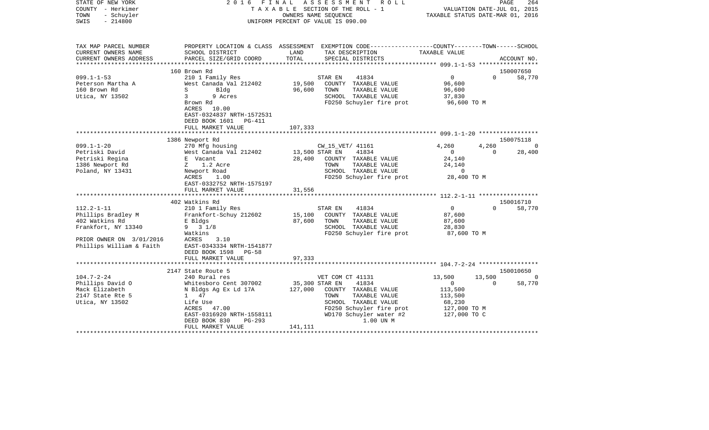| STATE OF NEW YORK<br>COUNTY - Herkimer<br>TOWN<br>- Schuyler<br>$-214800$<br>SWIS | 2016                                                                                                  |                                 | FINAL ASSESSMENT ROLL<br>TAXABLE SECTION OF THE ROLL - 1<br>OWNERS NAME SEOUENCE<br>UNIFORM PERCENT OF VALUE IS 090.00 | VALUATION DATE-JUL 01, 2015<br>TAXABLE STATUS DATE-MAR 01, 2016 |          | 264<br>PAGE |
|-----------------------------------------------------------------------------------|-------------------------------------------------------------------------------------------------------|---------------------------------|------------------------------------------------------------------------------------------------------------------------|-----------------------------------------------------------------|----------|-------------|
| TAX MAP PARCEL NUMBER                                                             |                                                                                                       |                                 | PROPERTY LOCATION & CLASS ASSESSMENT EXEMPTION CODE----------------COUNTY-------TOWN------SCHOOL                       |                                                                 |          |             |
| CURRENT OWNERS NAME<br>CURRENT OWNERS ADDRESS                                     | SCHOOL DISTRICT<br>PARCEL SIZE/GRID COORD                                                             | LAND<br>TOTAL                   | TAX DESCRIPTION<br>SPECIAL DISTRICTS                                                                                   | TAXABLE VALUE                                                   |          | ACCOUNT NO. |
| ***********************                                                           |                                                                                                       |                                 |                                                                                                                        |                                                                 |          |             |
|                                                                                   | 160 Brown Rd                                                                                          |                                 |                                                                                                                        |                                                                 |          | 150007650   |
| $099.1 - 1 - 53$                                                                  | 210 1 Family Res                                                                                      |                                 | 41834<br>STAR EN                                                                                                       | $\overline{0}$                                                  | $\Omega$ | 58,770      |
| Peterson Martha A                                                                 | West Canada Val 212402                                                                                | 19,500                          | COUNTY TAXABLE VALUE                                                                                                   | 96,600                                                          |          |             |
| 160 Brown Rd                                                                      | S<br>Bldg                                                                                             | 96,600                          | TOWN<br>TAXABLE VALUE                                                                                                  | 96,600                                                          |          |             |
| Utica, NY 13502                                                                   | $\overline{3}$<br>9 Acres                                                                             |                                 | SCHOOL TAXABLE VALUE                                                                                                   | 37,830                                                          |          |             |
|                                                                                   | Brown Rd<br>ACRES 10.00<br>EAST-0324837 NRTH-1572531<br>DEED BOOK 1601<br>PG-411<br>FULL MARKET VALUE | 107,333                         | FD250 Schuyler fire prot                                                                                               | 96,600 ТО М                                                     |          |             |
|                                                                                   |                                                                                                       |                                 |                                                                                                                        |                                                                 |          |             |
|                                                                                   | 1386 Newport Rd                                                                                       |                                 |                                                                                                                        |                                                                 |          | 150075118   |
| $099.1 - 1 - 20$                                                                  | 270 Mfg housing                                                                                       |                                 | CW_15_VET/ 41161                                                                                                       | 4,260                                                           | 4,260    | $\Omega$    |
| Petriski David                                                                    | West Canada Val 212402                                                                                | 13,500 STAR EN                  | 41834                                                                                                                  | $\overline{0}$                                                  | $\Omega$ | 28,400      |
| Petriski Regina                                                                   | E Vacant                                                                                              | 28,400                          | COUNTY TAXABLE VALUE                                                                                                   | 24,140                                                          |          |             |
| 1386 Newport Rd                                                                   | Z 1.2 Acre                                                                                            |                                 | TAXABLE VALUE<br>TOWN                                                                                                  | 24,140                                                          |          |             |
| Poland, NY 13431                                                                  | Newport Road                                                                                          |                                 | SCHOOL TAXABLE VALUE                                                                                                   | 0                                                               |          |             |
|                                                                                   | ACRES<br>1.00<br>EAST-0332752 NRTH-1575197                                                            |                                 | FD250 Schuyler fire prot                                                                                               | 28,400 TO M                                                     |          |             |
|                                                                                   | FULL MARKET VALUE                                                                                     | 31,556                          |                                                                                                                        |                                                                 |          |             |
|                                                                                   | 402 Watkins Rd                                                                                        |                                 |                                                                                                                        |                                                                 |          | 150016710   |
| $112.2 - 1 - 11$                                                                  | 210 1 Family Res                                                                                      |                                 | 41834<br>STAR EN                                                                                                       | $\overline{0}$                                                  | $\Omega$ | 58,770      |
| Phillips Bradley M                                                                | Frankfort-Schuy 212602                                                                                | 15,100                          | COUNTY TAXABLE VALUE                                                                                                   | 87,600                                                          |          |             |
| 402 Watkins Rd                                                                    | E Bldgs                                                                                               | 87,600                          | TOWN<br>TAXABLE VALUE                                                                                                  | 87,600                                                          |          |             |
| Frankfort, NY 13340                                                               | $9 \t3 \t1/8$                                                                                         |                                 | SCHOOL TAXABLE VALUE                                                                                                   | 28,830                                                          |          |             |
|                                                                                   | Watkins                                                                                               |                                 | FD250 Schuyler fire prot                                                                                               | 87,600 TO M                                                     |          |             |
| PRIOR OWNER ON 3/01/2016                                                          | ACRES<br>3.10                                                                                         |                                 |                                                                                                                        |                                                                 |          |             |
| Phillips William & Faith                                                          | EAST-0343334 NRTH-1541877                                                                             |                                 |                                                                                                                        |                                                                 |          |             |
|                                                                                   | DEED BOOK 1598<br>PG-58                                                                               |                                 |                                                                                                                        |                                                                 |          |             |
|                                                                                   | FULL MARKET VALUE                                                                                     | 97,333<br>* * * * * * * * * * * |                                                                                                                        |                                                                 |          |             |
|                                                                                   | 2147 State Route 5                                                                                    |                                 |                                                                                                                        |                                                                 |          | 150010650   |
| $104.7 - 2 - 24$                                                                  | 240 Rural res                                                                                         |                                 | VET COM CT 41131                                                                                                       | 13,500                                                          | 13,500   | $\Omega$    |
| Phillips David O                                                                  | Whitesboro Cent 307002                                                                                |                                 | 35,300 STAR EN<br>41834                                                                                                | $\overline{0}$                                                  | $\Omega$ | 58,770      |
| Mack Elizabeth                                                                    | N Bldgs Ag Ex Ld 17A                                                                                  | 127,000                         | COUNTY TAXABLE VALUE                                                                                                   | 113,500                                                         |          |             |
| 2147 State Rte 5                                                                  | 1 47                                                                                                  |                                 | TOWN<br>TAXABLE VALUE                                                                                                  | 113,500                                                         |          |             |
| Utica, NY 13502                                                                   | Life Use                                                                                              |                                 | SCHOOL TAXABLE VALUE                                                                                                   | 68,230                                                          |          |             |
|                                                                                   | ACRES 47.00                                                                                           |                                 | FD250 Schuyler fire prot                                                                                               | 127,000 TO M                                                    |          |             |
|                                                                                   | EAST-0316920 NRTH-1558111                                                                             |                                 | WD170 Schuyler water #2                                                                                                | 127,000 TO C                                                    |          |             |
|                                                                                   | DEED BOOK 830<br>$PG-293$                                                                             |                                 | 1.00 UN M                                                                                                              |                                                                 |          |             |
|                                                                                   | FULL MARKET VALUE                                                                                     | 141,111                         |                                                                                                                        |                                                                 |          |             |
|                                                                                   |                                                                                                       |                                 |                                                                                                                        |                                                                 |          |             |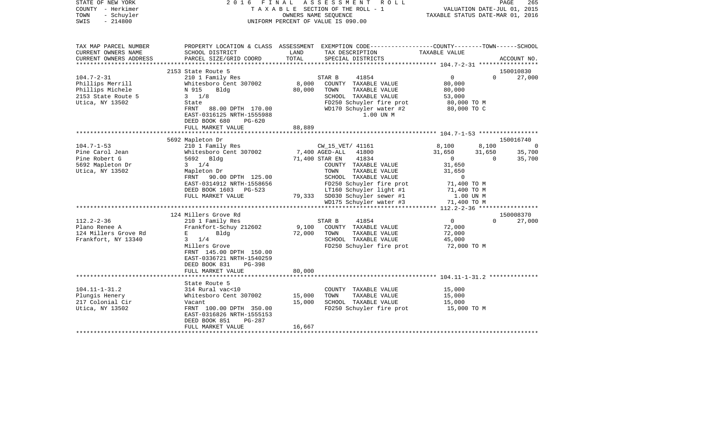| STATE OF NEW YORK<br>COUNTY - Herkimer<br>- Schuyler<br>TOWN<br>SWIS<br>$-214800$ |                                                                 |                 | 2016 FINAL ASSESSMENT ROLL<br>TAXABLE SECTION OF THE ROLL - 1<br>OWNERS NAME SEOUENCE<br>UNIFORM PERCENT OF VALUE IS 090.00 | VALUATION DATE-JUL 01, 2015<br>TAXABLE STATUS DATE-MAR 01, 2016 | PAGE     | 265            |
|-----------------------------------------------------------------------------------|-----------------------------------------------------------------|-----------------|-----------------------------------------------------------------------------------------------------------------------------|-----------------------------------------------------------------|----------|----------------|
| TAX MAP PARCEL NUMBER                                                             |                                                                 |                 | PROPERTY LOCATION & CLASS ASSESSMENT EXEMPTION CODE---------------COUNTY-------TOWN------SCHOOL                             |                                                                 |          |                |
| CURRENT OWNERS NAME                                                               | SCHOOL DISTRICT                                                 | LAND            | TAX DESCRIPTION                                                                                                             | TAXABLE VALUE                                                   |          |                |
| CURRENT OWNERS ADDRESS<br>*************************                               | PARCEL SIZE/GRID COORD                                          | TOTAL           | SPECIAL DISTRICTS                                                                                                           |                                                                 |          | ACCOUNT NO.    |
|                                                                                   | 2153 State Route 5                                              |                 |                                                                                                                             |                                                                 |          | 150010830      |
| $104.7 - 2 - 31$                                                                  | 210 1 Family Res                                                |                 | STAR B<br>41854                                                                                                             | $\overline{0}$                                                  | $\Omega$ | 27,000         |
| Phillips Merrill                                                                  | Whitesboro Cent 307002                                          | 8,000           | COUNTY TAXABLE VALUE                                                                                                        | 80,000                                                          |          |                |
| Phillips Michele                                                                  | N 915<br>Bldg                                                   | 80,000          | TOWN TAXABLE VALUE                                                                                                          | 80,000                                                          |          |                |
| 2153 State Route 5                                                                | $3 \t1/8$                                                       |                 | SCHOOL TAXABLE VALUE                                                                                                        | 53,000                                                          |          |                |
| Utica, NY 13502                                                                   | State                                                           |                 | FD250 Schuyler fire prot                                                                                                    | 80,000 TO M                                                     |          |                |
|                                                                                   | FRNT 88.00 DPTH 170.00                                          |                 | WD170 Schuyler water #2 80,000 TO C                                                                                         |                                                                 |          |                |
|                                                                                   | EAST-0316125 NRTH-1555988                                       |                 | 1.00 UN M                                                                                                                   |                                                                 |          |                |
|                                                                                   | DEED BOOK 680<br>$PG-620$<br>FULL MARKET VALUE                  | 88,889          |                                                                                                                             |                                                                 |          |                |
|                                                                                   |                                                                 |                 |                                                                                                                             |                                                                 |          |                |
|                                                                                   | 5692 Mapleton Dr                                                |                 |                                                                                                                             |                                                                 |          | 150016740      |
| $104.7 - 1 - 53$                                                                  | 210 1 Family Res                                                |                 | CW_15_VET/ 41161                                                                                                            | 8,100                                                           | 8,100    | $\overline{0}$ |
| Pine Carol Jean                                                                   | Whitesboro Cent 307002                                          |                 | 7,400 AGED-ALL 41800                                                                                                        | $31,650$<br>0                                                   | 31,650   | 35,700         |
| Pine Robert G                                                                     | 5692 Bldg                                                       |                 | 71,400 STAR EN<br>41834                                                                                                     |                                                                 | $\Omega$ | 35,700         |
| 5692 Mapleton Dr                                                                  | $3 \t1/4$                                                       |                 | COUNTY TAXABLE VALUE                                                                                                        | 31,650                                                          |          |                |
| Utica, NY 13502                                                                   | Mapleton Dr<br>FRNT 90.00 DPTH 125.00                           |                 | TOWN<br>TAXABLE VALUE<br>SCHOOL TAXABLE VALUE                                                                               | 31,650<br>$\overline{0}$                                        |          |                |
|                                                                                   | EAST-0314912 NRTH-1558656                                       |                 | FD250 Schuyler fire prot                                                                                                    | 71,400 TO M                                                     |          |                |
|                                                                                   | DEED BOOK 1603 PG-523                                           |                 | LT160 Schuyler light #1 $71,400$ TO M                                                                                       |                                                                 |          |                |
|                                                                                   | FULL MARKET VALUE                                               |                 | 79,333 SD030 Schuyler sewer #1                                                                                              | 1.00 UN M                                                       |          |                |
|                                                                                   |                                                                 |                 | $WD175$ Schuyler water #3 $71,400$ TO M                                                                                     |                                                                 |          |                |
|                                                                                   |                                                                 |                 |                                                                                                                             |                                                                 |          |                |
|                                                                                   | 124 Millers Grove Rd                                            |                 |                                                                                                                             |                                                                 |          | 150008370      |
| $112.2 - 2 - 36$<br>Plano Renee A                                                 | 210 1 Family Res                                                |                 | STAR B<br>41854                                                                                                             | $\overline{0}$                                                  | $\Omega$ | 27,000         |
| 124 Millers Grove Rd                                                              | Frankfort-Schuy 212602<br>E and the state of the<br><b>Bldg</b> | 9,100<br>72,000 | COUNTY TAXABLE VALUE<br>TOWN<br>TAXABLE VALUE                                                                               | 72,000<br>72,000                                                |          |                |
| Frankfort, NY 13340                                                               | $3 \t1/4$                                                       |                 | SCHOOL TAXABLE VALUE                                                                                                        | 45,000                                                          |          |                |
|                                                                                   | Millers Grove                                                   |                 | FD250 Schuyler fire prot                                                                                                    | 72,000 TO M                                                     |          |                |
|                                                                                   | FRNT 145.00 DPTH 150.00                                         |                 |                                                                                                                             |                                                                 |          |                |
|                                                                                   | EAST-0336721 NRTH-1540259                                       |                 |                                                                                                                             |                                                                 |          |                |
|                                                                                   | DEED BOOK 831<br>$PG-398$                                       |                 |                                                                                                                             |                                                                 |          |                |
|                                                                                   | FULL MARKET VALUE                                               | 80,000          |                                                                                                                             |                                                                 |          |                |
|                                                                                   | State Route 5                                                   |                 |                                                                                                                             |                                                                 |          |                |
| $104.11 - 1 - 31.2$                                                               | 314 Rural vac<10                                                |                 | COUNTY TAXABLE VALUE                                                                                                        | 15,000                                                          |          |                |
| Plungis Henery                                                                    | Whitesboro Cent 307002                                          | 15,000          | TOWN<br>TAXABLE VALUE                                                                                                       | 15,000                                                          |          |                |
| 217 Colonial Cir                                                                  | Vacant                                                          | 15,000          | SCHOOL TAXABLE VALUE                                                                                                        | 15,000                                                          |          |                |
| Utica, NY 13502                                                                   | FRNT 100.00 DPTH 350.00                                         |                 | FD250 Schuyler fire prot                                                                                                    | 15,000 TO M                                                     |          |                |
|                                                                                   | EAST-0316826 NRTH-1555153                                       |                 |                                                                                                                             |                                                                 |          |                |
|                                                                                   | DEED BOOK 851<br>PG-287                                         |                 |                                                                                                                             |                                                                 |          |                |
|                                                                                   | FULL MARKET VALUE                                               | 16,667          |                                                                                                                             |                                                                 |          |                |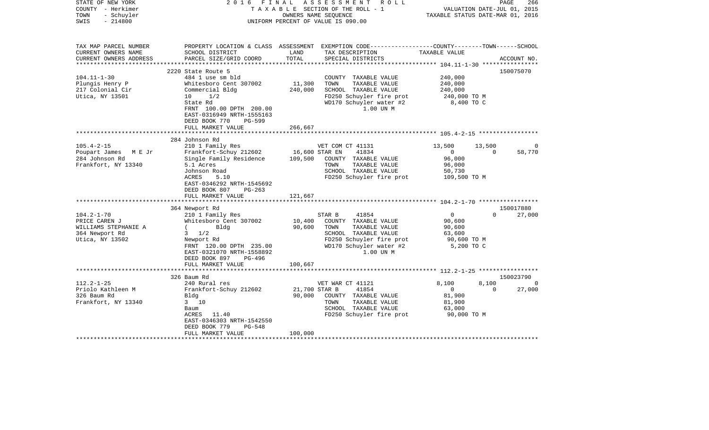| STATE OF NEW YORK<br>COUNTY - Herkimer<br>- Schuyler<br>TOWN<br>$-214800$<br>SWIS                                                                                                   | FINAL<br>2016                                                                                                                                                                                                                                                                                                                                                                                                                                |                                                          | ASSESSMENT ROLL<br>TAXABLE SECTION OF THE ROLL - 1<br>OWNERS NAME SEQUENCE<br>UNIFORM PERCENT OF VALUE IS 090.00                                                                                                                                                                               | VALUATION DATE-JUL 01, 2015<br>TAXABLE STATUS DATE-MAR 01, 2016                                                                                     | PAGE                           | 266                                |
|-------------------------------------------------------------------------------------------------------------------------------------------------------------------------------------|----------------------------------------------------------------------------------------------------------------------------------------------------------------------------------------------------------------------------------------------------------------------------------------------------------------------------------------------------------------------------------------------------------------------------------------------|----------------------------------------------------------|------------------------------------------------------------------------------------------------------------------------------------------------------------------------------------------------------------------------------------------------------------------------------------------------|-----------------------------------------------------------------------------------------------------------------------------------------------------|--------------------------------|------------------------------------|
| TAX MAP PARCEL NUMBER<br>CURRENT OWNERS NAME<br>CURRENT OWNERS ADDRESS<br>**********************                                                                                    | SCHOOL DISTRICT<br>PARCEL SIZE/GRID COORD                                                                                                                                                                                                                                                                                                                                                                                                    | LAND<br>TOTAL                                            | PROPERTY LOCATION & CLASS ASSESSMENT EXEMPTION CODE---------------COUNTY-------TOWN------SCHOOL<br>TAX DESCRIPTION<br>SPECIAL DISTRICTS                                                                                                                                                        | TAXABLE VALUE                                                                                                                                       |                                | ACCOUNT NO.                        |
|                                                                                                                                                                                     | 2220 State Route 5                                                                                                                                                                                                                                                                                                                                                                                                                           |                                                          |                                                                                                                                                                                                                                                                                                |                                                                                                                                                     |                                | 150075070                          |
| $104.11 - 1 - 30$<br>Plungis Henry P<br>217 Colonial Cir<br>Utica, NY 13501                                                                                                         | 484 1 use sm bld<br>Whitesboro Cent 307002<br>Commercial Bldg<br>1/2<br>10<br>State Rd<br>FRNT 100.00 DPTH 200.00<br>EAST-0316949 NRTH-1555163<br>DEED BOOK 770<br><b>PG-599</b>                                                                                                                                                                                                                                                             | 11,300<br>240,000                                        | COUNTY TAXABLE VALUE<br>TOWN<br>TAXABLE VALUE<br>SCHOOL TAXABLE VALUE<br>FD250 Schuyler fire prot<br>WD170 Schuyler water #2<br>1.00 UN M                                                                                                                                                      | 240,000<br>240,000<br>240,000<br>240,000 TO M<br>8,400 TO C                                                                                         |                                |                                    |
|                                                                                                                                                                                     | FULL MARKET VALUE                                                                                                                                                                                                                                                                                                                                                                                                                            | 266,667                                                  |                                                                                                                                                                                                                                                                                                |                                                                                                                                                     |                                |                                    |
|                                                                                                                                                                                     |                                                                                                                                                                                                                                                                                                                                                                                                                                              | * * * * * * * * *                                        | ************************* 105.4-2-15 ******************                                                                                                                                                                                                                                        |                                                                                                                                                     |                                |                                    |
| $105.4 - 2 - 15$<br>Poupart James M E Jr<br>284 Johnson Rd<br>Frankfort, NY 13340<br>$104.2 - 1 - 70$<br>PRICE CAREN J<br>WILLIAMS STEPHANIE A<br>364 Newport Rd<br>Utica, NY 13502 | 284 Johnson Rd<br>210 1 Family Res<br>Frankfort-Schuy 212602<br>Single Family Residence<br>5.1 Acres<br>Johnson Road<br>5.10<br>ACRES<br>EAST-0346292 NRTH-1545692<br>DEED BOOK 807<br>$PG-263$<br>FULL MARKET VALUE<br>**********<br>364 Newport Rd<br>210 1 Family Res<br>Whitesboro Cent 307002<br>$\sqrt{2}$<br>Bldg<br>$3 \frac{1}{2}$<br>Newport Rd<br>FRNT 120.00 DPTH 235.00<br>EAST-0321070 NRTH-1558892<br>DEED BOOK 897<br>PG-496 | 16,600 STAR EN<br>109,500<br>121,667<br>10,400<br>90,600 | VET COM CT 41131<br>41834<br>COUNTY TAXABLE VALUE<br>TOWN<br>TAXABLE VALUE<br>SCHOOL TAXABLE VALUE<br>FD250 Schuyler fire prot<br>41854<br>STAR B<br>COUNTY TAXABLE VALUE<br>TAXABLE VALUE<br>TOWN<br>SCHOOL TAXABLE VALUE<br>FD250 Schuyler fire prot<br>WD170 Schuyler water #2<br>1.00 UN M | 13,500<br>$\overline{0}$<br>96,000<br>96,000<br>50,730<br>109,500 TO M<br>$\overline{0}$<br>90,600<br>90,600<br>63,600<br>90,600 TO M<br>5,200 TO C | 13,500<br>$\Omega$<br>$\Omega$ | 0<br>58,770<br>150017880<br>27,000 |
|                                                                                                                                                                                     | FULL MARKET VALUE<br>*************************                                                                                                                                                                                                                                                                                                                                                                                               | 100,667                                                  |                                                                                                                                                                                                                                                                                                |                                                                                                                                                     |                                |                                    |
|                                                                                                                                                                                     | 326 Baum Rd                                                                                                                                                                                                                                                                                                                                                                                                                                  |                                                          |                                                                                                                                                                                                                                                                                                |                                                                                                                                                     |                                | 150023790                          |
| $112.2 - 1 - 25$<br>Priolo Kathleen M<br>326 Baum Rd<br>Frankfort, NY 13340                                                                                                         | 240 Rural res<br>Frankfort-Schuy 212602<br>Bldg<br>3 10<br>Baum<br>11.40<br>ACRES<br>EAST-0346303 NRTH-1542550<br>DEED BOOK 779<br>$PG-548$<br>FULL MARKET VALUE                                                                                                                                                                                                                                                                             | 21,700 STAR B<br>90,000<br>100,000                       | VET WAR CT 41121<br>41854<br>COUNTY TAXABLE VALUE<br>TOWN<br>TAXABLE VALUE<br>SCHOOL TAXABLE VALUE<br>FD250 Schuyler fire prot                                                                                                                                                                 | 8,100<br>$\overline{0}$<br>81,900<br>81,900<br>63,000<br>90,000 TO M                                                                                | 8,100<br>$\Omega$              | - 0<br>27,000                      |
|                                                                                                                                                                                     |                                                                                                                                                                                                                                                                                                                                                                                                                                              |                                                          |                                                                                                                                                                                                                                                                                                |                                                                                                                                                     |                                |                                    |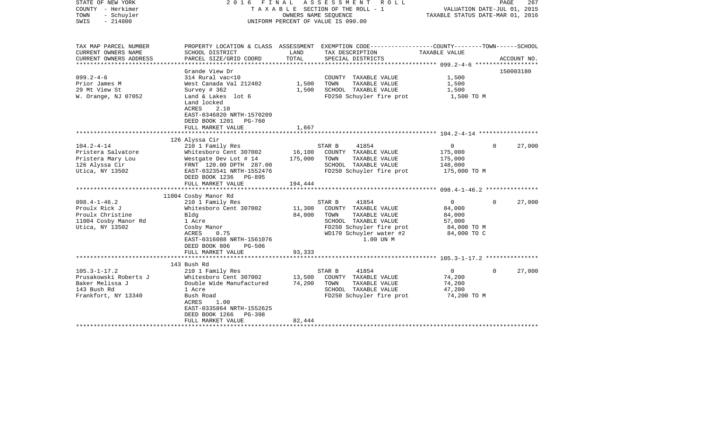| 2016                                                                                                                                                                                         |                                                                                                           |                                                                                                                                                    |                                                                                                                                                                                 | PAGE                                                    | 267                                                                                                                                                                                                            |
|----------------------------------------------------------------------------------------------------------------------------------------------------------------------------------------------|-----------------------------------------------------------------------------------------------------------|----------------------------------------------------------------------------------------------------------------------------------------------------|---------------------------------------------------------------------------------------------------------------------------------------------------------------------------------|---------------------------------------------------------|----------------------------------------------------------------------------------------------------------------------------------------------------------------------------------------------------------------|
| SCHOOL DISTRICT                                                                                                                                                                              | LAND                                                                                                      | TAX DESCRIPTION                                                                                                                                    | TAXABLE VALUE                                                                                                                                                                   |                                                         | ACCOUNT NO.                                                                                                                                                                                                    |
|                                                                                                                                                                                              |                                                                                                           |                                                                                                                                                    |                                                                                                                                                                                 |                                                         |                                                                                                                                                                                                                |
| Grande View Dr<br>314 Rural vac<10<br>West Canada Val 212402<br>Survey $#362$<br>Land & Lakes lot 6<br>Land locked<br>ACRES<br>2.10<br>EAST-0346820 NRTH-1570209                             | 1,500<br>1,500                                                                                            | COUNTY TAXABLE VALUE<br>TOWN<br>TAXABLE VALUE<br>SCHOOL TAXABLE VALUE                                                                              | 1,500<br>1,500<br>1,500                                                                                                                                                         |                                                         | 150003180                                                                                                                                                                                                      |
| DEED BOOK 1201<br>PG-760<br>FULL MARKET VALUE                                                                                                                                                | 1,667                                                                                                     |                                                                                                                                                    |                                                                                                                                                                                 |                                                         |                                                                                                                                                                                                                |
|                                                                                                                                                                                              |                                                                                                           |                                                                                                                                                    |                                                                                                                                                                                 |                                                         |                                                                                                                                                                                                                |
| 210 1 Family Res<br>Whitesboro Cent 307002<br>Westgate Dev Lot # 14<br>FRNT 120.00 DPTH 287.00<br>EAST-0323541 NRTH-1552476<br>DEED BOOK 1236 PG-895<br>FULL MARKET VALUE                    | 16,100<br>175,000<br>194,444                                                                              | 41854<br>COUNTY TAXABLE VALUE<br>TAXABLE VALUE<br>TOWN<br>SCHOOL TAXABLE VALUE<br>FD250 Schuyler fire prot                                         | $\mathbf{0}$<br>175,000<br>175,000<br>148,000                                                                                                                                   | $\Omega$                                                | 27,000                                                                                                                                                                                                         |
|                                                                                                                                                                                              |                                                                                                           |                                                                                                                                                    |                                                                                                                                                                                 |                                                         |                                                                                                                                                                                                                |
| 210 1 Family Res<br>Whitesboro Cent 307002<br>Blda<br>1 Acre<br>Cosby Manor<br>ACRES<br>0.75<br>EAST-0316088 NRTH-1561076<br>DEED BOOK 806<br>PG-506<br>FULL MARKET VALUE                    | 11,300<br>84,000<br>93,333                                                                                | 41854<br>COUNTY TAXABLE VALUE<br>TOWN<br>TAXABLE VALUE<br>SCHOOL TAXABLE VALUE<br>FD250 Schuyler fire prot<br>WD170 Schuyler water #2<br>1.00 UN M | $\mathbf 0$<br>84,000<br>84,000<br>57,000                                                                                                                                       | $\Omega$                                                | 27,000                                                                                                                                                                                                         |
|                                                                                                                                                                                              |                                                                                                           |                                                                                                                                                    |                                                                                                                                                                                 |                                                         |                                                                                                                                                                                                                |
| 210 1 Family Res<br>Whitesboro Cent 307002<br>Double Wide Manufactured<br>1 Acre<br>Bush Road<br>1.00<br>ACRES<br>EAST-0335864 NRTH-1552625<br>DEED BOOK 1266<br>PG-398<br>FULL MARKET VALUE | 13,500<br>74,200<br>82,444                                                                                | 41854<br>COUNTY TAXABLE VALUE<br>TOWN<br>TAXABLE VALUE<br>SCHOOL TAXABLE VALUE<br>FD250 Schuyler fire prot                                         | $\mathbf 0$<br>74,200<br>74,200<br>47,200                                                                                                                                       | $\Omega$                                                | 27,000                                                                                                                                                                                                         |
|                                                                                                                                                                                              | PARCEL SIZE/GRID COORD<br>**********************<br>126 Alyssa Cir<br>11004 Cosby Manor Rd<br>143 Bush Rd | FINAL<br>TOTAL                                                                                                                                     | A S S E S S M E N T R O L L<br>TAXABLE SECTION OF THE ROLL - 1<br>OWNERS NAME SEOUENCE<br>UNIFORM PERCENT OF VALUE IS 090.00<br>SPECIAL DISTRICTS<br>STAR B<br>STAR B<br>STAR B | FD250 Schuyler fire prot<br>175,000 TO M<br>84,000 TO C | VALUATION DATE-JUL 01, 2015<br>TAXABLE STATUS DATE-MAR 01, 2016<br>PROPERTY LOCATION & CLASS ASSESSMENT EXEMPTION CODE---------------COUNTY-------TOWN------SCHOOL<br>1,500 TO M<br>84,000 TO M<br>74,200 TO M |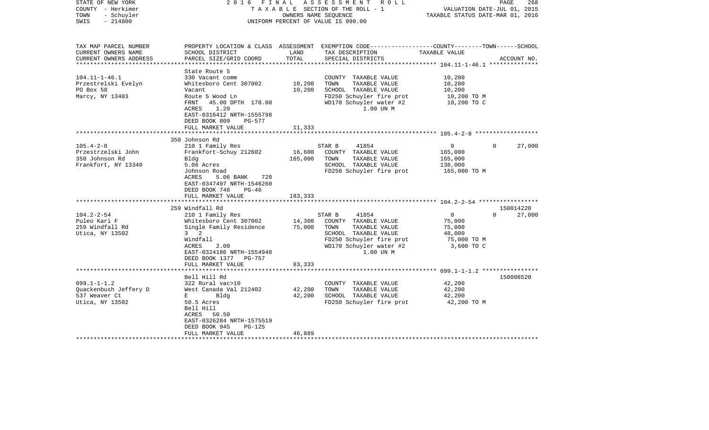| STATE OF NEW YORK<br>COUNTY - Herkimer<br>- Schuyler<br>TOWN<br>$-214800$<br>SWIS | FINAL<br>2016                                                                                                                |                     | ASSESSMENT ROLL<br>TAXABLE SECTION OF THE ROLL - 1<br>OWNERS NAME SEQUENCE<br>UNIFORM PERCENT OF VALUE IS 090.00    | TAXABLE STATUS DATE-MAR 01, 2016                         | PAGE<br>268<br>VALUATION DATE-JUL 01, 2015 |
|-----------------------------------------------------------------------------------|------------------------------------------------------------------------------------------------------------------------------|---------------------|---------------------------------------------------------------------------------------------------------------------|----------------------------------------------------------|--------------------------------------------|
| TAX MAP PARCEL NUMBER<br>CURRENT OWNERS NAME                                      | SCHOOL DISTRICT                                                                                                              | LAND                | PROPERTY LOCATION & CLASS ASSESSMENT EXEMPTION CODE----------------COUNTY-------TOWN------SCHOOL<br>TAX DESCRIPTION | TAXABLE VALUE                                            |                                            |
| CURRENT OWNERS ADDRESS                                                            | PARCEL SIZE/GRID COORD                                                                                                       | TOTAL<br>********** | SPECIAL DISTRICTS                                                                                                   | ******************* 104.11-1-46.1 ***************        | ACCOUNT NO.                                |
|                                                                                   | State Route 5                                                                                                                |                     |                                                                                                                     |                                                          |                                            |
| $104.11 - 1 - 46.1$                                                               | 330 Vacant comm                                                                                                              |                     | COUNTY TAXABLE VALUE                                                                                                | 10,200                                                   |                                            |
| Przestrelski Evelyn                                                               | Whitesboro Cent 307002                                                                                                       | 10,200              | TOWN<br>TAXABLE VALUE                                                                                               | 10,200                                                   |                                            |
| PO Box 58                                                                         | Vacant                                                                                                                       | 10,200              | SCHOOL TAXABLE VALUE                                                                                                | 10,200                                                   |                                            |
| Marcy, NY 13403                                                                   | Route 5 Wood Ln<br>45.00 DPTH 178.00<br>FRNT<br>1.20<br>ACRES<br>EAST-0316412 NRTH-1555798<br>DEED BOOK 809<br><b>PG-577</b> |                     | FD250 Schuyler fire prot<br>WD170 Schuyler water #2<br>1.00 UN M                                                    | 10,200 TO M<br>10,200 TO C                               |                                            |
|                                                                                   | FULL MARKET VALUE                                                                                                            | 11,333              |                                                                                                                     |                                                          |                                            |
|                                                                                   |                                                                                                                              |                     |                                                                                                                     | *************************** 105.4-2-8 ****************** |                                            |
|                                                                                   | 350 Johnson Rd                                                                                                               |                     |                                                                                                                     |                                                          |                                            |
| $105.4 - 2 - 8$<br>Przestrzelski John                                             | 210 1 Family Res<br>Frankfort-Schuy 212602                                                                                   | 16,600              | STAR B<br>41854<br>COUNTY TAXABLE VALUE                                                                             | 0<br>165,000                                             | 27,000<br>0                                |
| 350 Johnson Rd                                                                    | Bldg                                                                                                                         | 165,000             | TOWN<br>TAXABLE VALUE                                                                                               | 165,000                                                  |                                            |
| Frankfort, NY 13340                                                               | 5.06 Acres                                                                                                                   |                     | SCHOOL TAXABLE VALUE                                                                                                | 138,000                                                  |                                            |
|                                                                                   | Johnson Road                                                                                                                 |                     | FD250 Schuyler fire prot                                                                                            | 165,000 TO M                                             |                                            |
|                                                                                   | ACRES<br>5.06 BANK<br>720<br>EAST-0347497 NRTH-1546260<br>DEED BOOK 746<br>$PG-46$                                           |                     |                                                                                                                     |                                                          |                                            |
|                                                                                   | FULL MARKET VALUE                                                                                                            | 183,333             |                                                                                                                     |                                                          |                                            |
|                                                                                   | 259 Windfall Rd                                                                                                              |                     |                                                                                                                     |                                                          | 150014220                                  |
| $104.2 - 2 - 54$                                                                  | 210 1 Family Res                                                                                                             |                     | STAR B<br>41854                                                                                                     | $\mathbf{0}$                                             | $\Omega$<br>27,000                         |
| Puleo Kari F                                                                      | Whitesboro Cent 307002                                                                                                       | 14,300              | COUNTY TAXABLE VALUE                                                                                                | 75,000                                                   |                                            |
| 259 Windfall Rd                                                                   | Single Family Residence                                                                                                      | 75,000              | TOWN<br>TAXABLE VALUE                                                                                               | 75,000                                                   |                                            |
| Utica, NY 13502                                                                   | $3 \quad 2$                                                                                                                  |                     | SCHOOL TAXABLE VALUE                                                                                                | 48,000                                                   |                                            |
|                                                                                   | Windfall                                                                                                                     |                     | FD250 Schuyler fire prot                                                                                            | 75,000 TO M                                              |                                            |
|                                                                                   | ACRES<br>2.00<br>EAST-0324186 NRTH-1554948                                                                                   |                     | WD170 Schuyler water #2<br>1.00 UN M                                                                                | 3,600 TO C                                               |                                            |
|                                                                                   | DEED BOOK 1377 PG-757                                                                                                        |                     |                                                                                                                     |                                                          |                                            |
|                                                                                   | FULL MARKET VALUE<br>* * * * * * * * * * * * * * *                                                                           | 83,333              |                                                                                                                     |                                                          |                                            |
|                                                                                   | Bell Hill Rd                                                                                                                 |                     |                                                                                                                     | ******************* 099.1-1-1.2 *****************        | 150008520                                  |
| $099.1 - 1 - 1.2$                                                                 | 322 Rural vac>10                                                                                                             |                     | COUNTY TAXABLE VALUE                                                                                                | 42,200                                                   |                                            |
| Quackenbush Jeffery D                                                             | West Canada Val 212402                                                                                                       | 42,200              | TOWN<br>TAXABLE VALUE                                                                                               | 42,200                                                   |                                            |
| 537 Weaver Ct                                                                     | Е<br>Bldg                                                                                                                    | 42,200              | SCHOOL TAXABLE VALUE                                                                                                | 42,200                                                   |                                            |
| Utica, NY 13502                                                                   | 50.5 Acres<br>Bell Hill                                                                                                      |                     | FD250 Schuyler fire prot                                                                                            | 42,200 TO M                                              |                                            |
|                                                                                   | ACRES<br>50.50                                                                                                               |                     |                                                                                                                     |                                                          |                                            |
|                                                                                   | EAST-0326284 NRTH-1575519                                                                                                    |                     |                                                                                                                     |                                                          |                                            |
|                                                                                   | DEED BOOK 945<br>$PG-125$                                                                                                    |                     |                                                                                                                     |                                                          |                                            |
|                                                                                   | FULL MARKET VALUE                                                                                                            | 46,889              |                                                                                                                     |                                                          |                                            |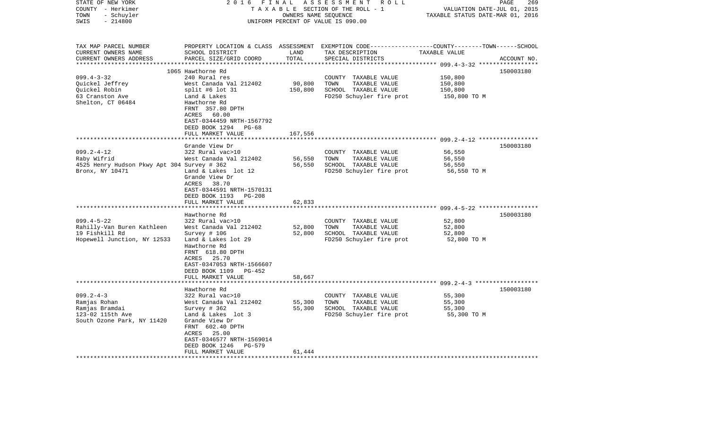| STATE OF NEW YORK<br>COUNTY - Herkimer<br>TOWN<br>- Schuyler<br>SWIS<br>$-214800$                                          | 2016<br>FINAL                                                                                                                                                                                                                                                                 | OWNERS NAME SEQUENCE                   | ASSESSMENT ROLL<br>TAXABLE SECTION OF THE ROLL - 1<br>UNIFORM PERCENT OF VALUE IS 090.00                                                | VALUATION DATE-JUL 01, 2015<br>TAXABLE STATUS DATE-MAR 01, 2016                                            | 269<br>PAGE |
|----------------------------------------------------------------------------------------------------------------------------|-------------------------------------------------------------------------------------------------------------------------------------------------------------------------------------------------------------------------------------------------------------------------------|----------------------------------------|-----------------------------------------------------------------------------------------------------------------------------------------|------------------------------------------------------------------------------------------------------------|-------------|
| TAX MAP PARCEL NUMBER<br>CURRENT OWNERS NAME<br>CURRENT OWNERS ADDRESS<br>***********************                          | SCHOOL DISTRICT<br>PARCEL SIZE/GRID COORD                                                                                                                                                                                                                                     | LAND<br>TOTAL                          | PROPERTY LOCATION & CLASS ASSESSMENT EXEMPTION CODE---------------COUNTY-------TOWN------SCHOOL<br>TAX DESCRIPTION<br>SPECIAL DISTRICTS | TAXABLE VALUE                                                                                              | ACCOUNT NO. |
| $099.4 - 3 - 32$<br>Quickel Jeffrey<br>Quickel Robin<br>63 Cranston Ave<br>Shelton, CT 06484                               | 1065 Hawthorne Rd<br>240 Rural res<br>West Canada Val 212402<br>split #6 lot 31<br>Land & Lakes<br>Hawthorne Rd<br>FRNT 357.80 DPTH<br>ACRES<br>60.00<br>EAST-0344459 NRTH-1567792<br>DEED BOOK 1294<br>PG-68<br>FULL MARKET VALUE                                            | 90,800<br>150,800<br>167,556           | COUNTY TAXABLE VALUE<br>TOWN<br>TAXABLE VALUE<br>SCHOOL TAXABLE VALUE<br>FD250 Schuyler fire prot                                       | 150,800<br>150,800<br>150,800<br>150,800 TO M                                                              | 150003180   |
| $099.2 - 4 - 12$<br>Raby Wifrid<br>4525 Henry Hudson Pkwy Apt 304 Survey # 362<br>Bronx, NY 10471                          | Grande View Dr<br>322 Rural vac>10<br>West Canada Val 212402<br>Land & Lakes lot 12<br>Grande View Dr<br>ACRES<br>38.70<br>EAST-0344591 NRTH-1570131<br>DEED BOOK 1193<br>PG-208<br>FULL MARKET VALUE                                                                         | 56,550<br>56,550<br>62,833             | COUNTY TAXABLE VALUE<br>TOWN<br>TAXABLE VALUE<br>SCHOOL TAXABLE VALUE<br>FD250 Schuyler fire prot                                       | 56,550<br>56,550<br>56,550<br>56,550 TO M                                                                  | 150003180   |
| $099.4 - 5 - 22$<br>Rahilly-Van Buren Kathleen<br>19 Fishkill Rd<br>Hopewell Junction, NY 12533                            | Hawthorne Rd<br>322 Rural vac>10<br>West Canada Val 212402<br>Survey # 106<br>Land & Lakes lot 29<br>Hawthorne Rd<br>FRNT 618.80 DPTH<br>25.70<br>ACRES<br>EAST-0347053 NRTH-1566607<br>DEED BOOK 1109<br>PG-452<br>FULL MARKET VALUE                                         | ********<br>52,800<br>52,800<br>58,667 | COUNTY TAXABLE VALUE<br>TOWN<br>TAXABLE VALUE<br>SCHOOL TAXABLE VALUE<br>FD250 Schuyler fire prot                                       | ******************************* 099.4-5-22 ******************<br>52,800<br>52,800<br>52,800<br>52,800 TO M | 150003180   |
| $099.2 - 4 - 3$<br>Ramjas Rohan<br>Ramjas Bramdai<br>123-02 115th Ave<br>South Ozone Park, NY 11420<br>******************* | Hawthorne Rd<br>322 Rural vac>10<br>West Canada Val 212402<br>Survey # 362<br>Land & Lakes lot 3<br>Grande View Dr<br>FRNT 602.40 DPTH<br>25.00<br>ACRES<br>EAST-0346577 NRTH-1569014<br>DEED BOOK 1246<br>PG-579<br>FULL MARKET VALUE<br>* * * * * * * * * * * * * * * * * * | 55,300<br>55,300<br>61,444             | COUNTY TAXABLE VALUE<br>TOWN<br>TAXABLE VALUE<br>SCHOOL TAXABLE VALUE<br>FD250 Schuyler fire prot                                       | 55,300<br>55,300<br>55,300<br>55,300 TO M                                                                  | 150003180   |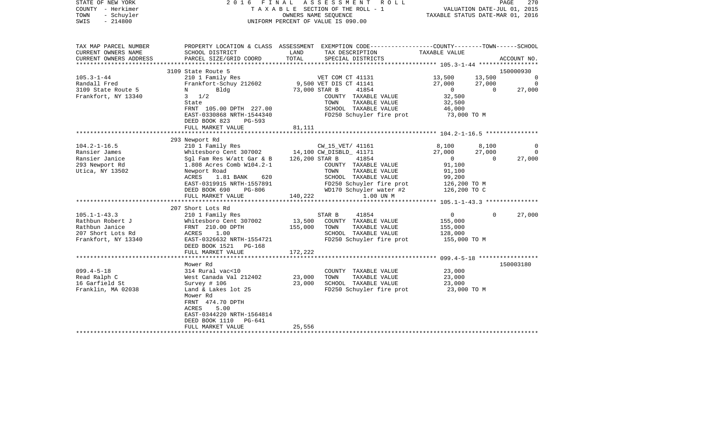| STATE OF NEW YORK<br>COUNTY - Herkimer<br>TOWN<br>- Schuyler<br>$-214800$<br>SWIS | 2 0 1 6<br>FINAL                                       |                | ASSESSMENT<br>R O L L<br>TAXABLE SECTION OF THE ROLL - 1<br>OWNERS NAME SEOUENCE<br>UNIFORM PERCENT OF VALUE IS 090.00                  | TAXABLE STATUS DATE-MAR 01, 2016 | VALUATION DATE-JUL 01, 2015        | 270<br>PAGE |
|-----------------------------------------------------------------------------------|--------------------------------------------------------|----------------|-----------------------------------------------------------------------------------------------------------------------------------------|----------------------------------|------------------------------------|-------------|
| TAX MAP PARCEL NUMBER<br>CURRENT OWNERS NAME<br>CURRENT OWNERS ADDRESS            | SCHOOL DISTRICT<br>PARCEL SIZE/GRID COORD              | LAND<br>TOTAL  | PROPERTY LOCATION & CLASS ASSESSMENT EXEMPTION CODE---------------COUNTY-------TOWN------SCHOOL<br>TAX DESCRIPTION<br>SPECIAL DISTRICTS | TAXABLE VALUE                    |                                    | ACCOUNT NO. |
| ****************                                                                  |                                                        |                |                                                                                                                                         |                                  |                                    | 150000930   |
| $105.3 - 1 - 44$                                                                  | 3109 State Route 5<br>210 1 Family Res                 |                | VET COM CT 41131                                                                                                                        | 13,500                           | 13,500                             | 0           |
| Randall Fred                                                                      | Frankfort-Schuy 212602                                 |                | 9,500 VET DIS CT 41141                                                                                                                  | 27,000                           | 27,000                             | $\Omega$    |
| 3109 State Route 5                                                                | Bldg<br>N                                              |                | 73,000 STAR B<br>41854                                                                                                                  | $\overline{0}$                   | $\overline{0}$                     | 27,000      |
| Frankfort, NY 13340                                                               | $3 \frac{1}{2}$                                        |                | COUNTY TAXABLE VALUE                                                                                                                    | 32,500                           |                                    |             |
|                                                                                   | State                                                  |                | TOWN<br>TAXABLE VALUE                                                                                                                   | 32,500                           |                                    |             |
|                                                                                   | FRNT 105.00 DPTH 227.00                                |                | SCHOOL TAXABLE VALUE                                                                                                                    | 46,000                           |                                    |             |
|                                                                                   | EAST-0330868 NRTH-1544340<br>DEED BOOK 823<br>$PG-593$ |                | FD250 Schuyler fire prot                                                                                                                | 73,000 TO M                      |                                    |             |
|                                                                                   | FULL MARKET VALUE                                      | 81,111         |                                                                                                                                         |                                  |                                    |             |
|                                                                                   |                                                        |                |                                                                                                                                         |                                  |                                    |             |
| $104.2 - 1 - 16.5$                                                                | 293 Newport Rd                                         |                |                                                                                                                                         | 8,100                            | 8,100                              | 0           |
| Ransier James                                                                     | 210 1 Family Res<br>Whitesboro Cent 307002             |                | CW_15_VET/ 41161<br>14,100 CW DISBLD 41171                                                                                              | 27,000                           | 27,000                             | $\Omega$    |
| Ransier Janice                                                                    | Sgl Fam Res W/att Gar & B                              | 126,200 STAR B | 41854                                                                                                                                   | $\Omega$                         | $\Omega$                           | 27,000      |
| 293 Newport Rd                                                                    | 1.808 Acres Comb W104.2-1                              |                | COUNTY TAXABLE VALUE                                                                                                                    | 91,100                           |                                    |             |
| Utica, NY 13502                                                                   | Newport Road                                           |                | TOWN<br>TAXABLE VALUE                                                                                                                   | 91,100                           |                                    |             |
|                                                                                   | ACRES<br>1.81 BANK<br>620                              |                | SCHOOL TAXABLE VALUE                                                                                                                    | 99,200                           |                                    |             |
|                                                                                   | EAST-0319915 NRTH-1557891                              |                | FD250 Schuyler fire prot                                                                                                                | 126,200 TO M                     |                                    |             |
|                                                                                   | DEED BOOK 690<br>PG-806                                |                | WD170 Schuyler water #2                                                                                                                 | 126,200 TO C                     |                                    |             |
|                                                                                   | FULL MARKET VALUE                                      | 140,222        | 1.00 UN M                                                                                                                               |                                  |                                    |             |
|                                                                                   |                                                        |                |                                                                                                                                         |                                  |                                    |             |
|                                                                                   | 207 Short Lots Rd                                      |                |                                                                                                                                         |                                  |                                    |             |
| $105.1 - 1 - 43.3$<br>Rathbun Robert J                                            | 210 1 Family Res                                       | 13,500         | STAR B<br>41854<br>COUNTY TAXABLE VALUE                                                                                                 | 0                                | $\Omega$                           | 27,000      |
| Rathbun Janice                                                                    | Whitesboro Cent 307002<br>FRNT 210.00 DPTH             | 155,000        | TOWN<br>TAXABLE VALUE                                                                                                                   | 155,000<br>155,000               |                                    |             |
| 207 Short Lots Rd                                                                 | ACRES<br>1.00                                          |                | SCHOOL TAXABLE VALUE                                                                                                                    | 128,000                          |                                    |             |
| Frankfort, NY 13340                                                               | EAST-0326632 NRTH-1554721                              |                | FD250 Schuyler fire prot                                                                                                                | 155,000 TO M                     |                                    |             |
|                                                                                   | DEED BOOK 1521 PG-168                                  |                |                                                                                                                                         |                                  |                                    |             |
|                                                                                   | FULL MARKET VALUE                                      | 172,222        |                                                                                                                                         |                                  |                                    |             |
|                                                                                   | ******************                                     |                |                                                                                                                                         |                                  | $099.4 - 5 - 18$ ***************** |             |
|                                                                                   | Mower Rd                                               |                |                                                                                                                                         |                                  |                                    | 150003180   |
| $099.4 - 5 - 18$                                                                  | 314 Rural vac<10                                       |                | COUNTY TAXABLE VALUE                                                                                                                    | 23,000                           |                                    |             |
| Read Ralph C                                                                      | West Canada Val 212402                                 | 23,000         | TOWN<br>TAXABLE VALUE                                                                                                                   | 23,000                           |                                    |             |
| 16 Garfield St                                                                    | Survey # 106                                           | 23,000         | SCHOOL TAXABLE VALUE                                                                                                                    | 23,000                           |                                    |             |
| Franklin, MA 02038                                                                | Land & Lakes lot 25                                    |                | FD250 Schuyler fire prot                                                                                                                | 23,000 TO M                      |                                    |             |
|                                                                                   | Mower Rd<br>FRNT 474.70 DPTH                           |                |                                                                                                                                         |                                  |                                    |             |
|                                                                                   | 5.00<br>ACRES                                          |                |                                                                                                                                         |                                  |                                    |             |
|                                                                                   | EAST-0344220 NRTH-1564814                              |                |                                                                                                                                         |                                  |                                    |             |
|                                                                                   | DEED BOOK 1110<br>PG-641                               |                |                                                                                                                                         |                                  |                                    |             |
|                                                                                   | FULL MARKET VALUE                                      | 25,556         |                                                                                                                                         |                                  |                                    |             |
|                                                                                   |                                                        |                |                                                                                                                                         |                                  |                                    |             |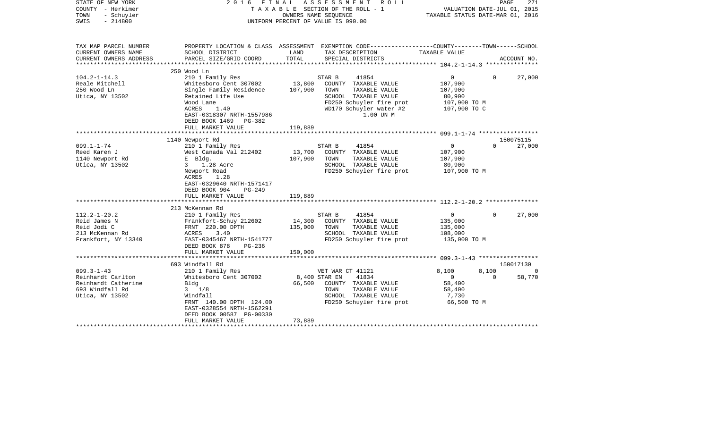| STATE OF NEW YORK<br>COUNTY - Herkimer<br>TOWN<br>- Schuyler<br>$-214800$<br>SWIS                  | 2016                                                                                                                                                                                                |                              | FINAL ASSESSMENT ROLL<br>TAXABLE SECTION OF THE ROLL - 1<br>OWNERS NAME SEQUENCE<br>UNIFORM PERCENT OF VALUE IS 090.00                                       | VALUATION DATE-JUL 01, 2015<br>TAXABLE STATUS DATE-MAR 01, 2016                |                         | PAGE<br>271         |
|----------------------------------------------------------------------------------------------------|-----------------------------------------------------------------------------------------------------------------------------------------------------------------------------------------------------|------------------------------|--------------------------------------------------------------------------------------------------------------------------------------------------------------|--------------------------------------------------------------------------------|-------------------------|---------------------|
| TAX MAP PARCEL NUMBER<br>CURRENT OWNERS NAME                                                       | SCHOOL DISTRICT                                                                                                                                                                                     | LAND                         | PROPERTY LOCATION & CLASS ASSESSMENT EXEMPTION CODE---------------COUNTY-------TOWN------SCHOOL<br>TAX DESCRIPTION                                           | TAXABLE VALUE                                                                  |                         |                     |
| CURRENT OWNERS ADDRESS                                                                             | PARCEL SIZE/GRID COORD                                                                                                                                                                              | TOTAL                        | SPECIAL DISTRICTS                                                                                                                                            |                                                                                |                         | ACCOUNT NO.         |
|                                                                                                    | 250 Wood Ln                                                                                                                                                                                         |                              |                                                                                                                                                              |                                                                                |                         |                     |
| $104.2 - 1 - 14.3$<br>Reale Mitchell<br>250 Wood Ln<br>Utica, NY 13502                             | 210 1 Family Res<br>Whitesboro Cent 307002<br>Single Family Residence<br>Retained Life Use<br>Wood Lane<br>ACRES<br>1.40<br>EAST-0318307 NRTH-1557986<br>DEED BOOK 1469 PG-382<br>FULL MARKET VALUE | 13,800<br>107,900<br>119,889 | 41854<br>STAR B<br>COUNTY TAXABLE VALUE<br>TOWN<br>TAXABLE VALUE<br>SCHOOL TAXABLE VALUE<br>FD250 Schuyler fire prot<br>WD170 Schuyler water #2<br>1.00 UN M | $\overline{0}$<br>107,900<br>107,900<br>80,900<br>107,900 ТО М<br>107,900 TO C | $\Omega$                | 27,000              |
|                                                                                                    |                                                                                                                                                                                                     |                              |                                                                                                                                                              |                                                                                |                         |                     |
|                                                                                                    | 1140 Newport Rd                                                                                                                                                                                     |                              |                                                                                                                                                              |                                                                                |                         | 150075115           |
| $099.1 - 1 - 74$<br>Reed Karen J<br>1140 Newport Rd<br>Utica, NY 13502                             | 210 1 Family Res<br>West Canada Val 212402<br>E Bldg.<br>1.28 Acre<br>$3^{\circ}$<br>Newport Road<br>ACRES<br>1.28<br>EAST-0329640 NRTH-1571417<br>DEED BOOK 904<br>PG-249<br>FULL MARKET VALUE     | 13,700<br>107,900<br>119,889 | STAR B<br>41854<br>COUNTY TAXABLE VALUE<br>TOWN<br>TAXABLE VALUE<br>SCHOOL TAXABLE VALUE<br>FD250 Schuyler fire prot                                         | $\overline{0}$<br>107,900<br>107,900<br>80,900<br>107,900 ТО М                 | $\Omega$                | 27,000              |
|                                                                                                    |                                                                                                                                                                                                     |                              |                                                                                                                                                              |                                                                                |                         |                     |
| $112.2 - 1 - 20.2$<br>Reid James N<br>Reid Jodi C<br>213 McKennan Rd<br>Frankfort, NY 13340        | 213 McKennan Rd<br>210 1 Family Res<br>Frankfort-Schuy 212602<br>FRNT 220.00 DPTH<br>ACRES<br>3.40<br>EAST-0345467 NRTH-1541777<br>DEED BOOK 878<br>PG-236<br>FULL MARKET VALUE                     | 14,300<br>135,000<br>150,000 | 41854<br>STAR B<br>COUNTY TAXABLE VALUE<br>TOWN<br>TAXABLE VALUE<br>SCHOOL TAXABLE VALUE<br>FD250 Schuyler fire prot                                         | $\overline{0}$<br>135,000<br>135,000<br>108,000<br>135,000 TO M                | $\Omega$                | 27,000              |
|                                                                                                    |                                                                                                                                                                                                     |                              |                                                                                                                                                              |                                                                                |                         |                     |
| $099.3 - 1 - 43$<br>Reinhardt Carlton<br>Reinhardt Catherine<br>693 Windfall Rd<br>Utica, NY 13502 | 693 Windfall Rd<br>210 1 Family Res<br>Whitesboro Cent 307002<br>Bldg<br>$3 \t1/8$<br>Windfall<br>FRNT 140.00 DPTH 124.00<br>EAST-0328554 NRTH-1562291<br>DEED BOOK 00587 PG-00330                  | 8,400 STAR EN<br>66,500      | VET WAR CT 41121<br>41834<br>COUNTY TAXABLE VALUE<br>TAXABLE VALUE<br>TOWN<br>SCHOOL TAXABLE VALUE<br>FD250 Schuyler fire prot                               | 8,100<br>$\overline{0}$<br>58,400<br>58,400<br>7,730<br>66,500 TO M            | 8,100<br>$\overline{0}$ | 150017130<br>58,770 |
|                                                                                                    | FULL MARKET VALUE                                                                                                                                                                                   | 73,889<br>*****************  |                                                                                                                                                              |                                                                                |                         |                     |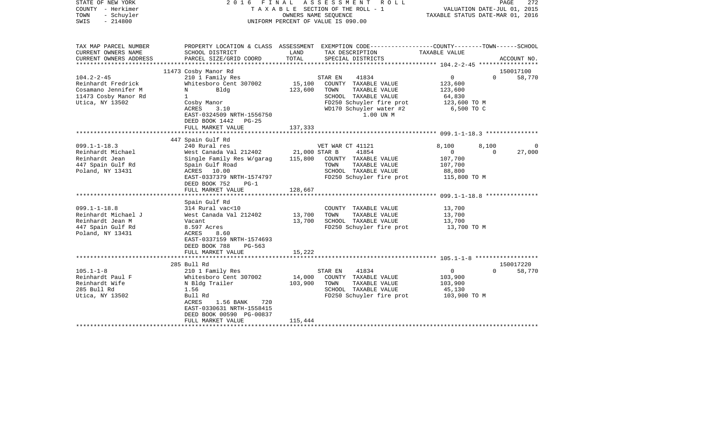| STATE OF NEW YORK<br>COUNTY - Herkimer<br>- Schuyler<br>TOWN<br>$-214800$<br>SWIS                        | 2016                                                                                                                                                                                                      |                                     | FINAL ASSESSMENT ROLL<br>T A X A B L E SECTION OF THE ROLL - 1<br>OWNERS NAME SEQUENCE<br>UNIFORM PERCENT OF VALUE IS 090.00                                  | VALUATION DATE-JUL 01, 2015<br>TAXABLE STATUS DATE-MAR 01, 2016              | PAGE              | 272                 |
|----------------------------------------------------------------------------------------------------------|-----------------------------------------------------------------------------------------------------------------------------------------------------------------------------------------------------------|-------------------------------------|---------------------------------------------------------------------------------------------------------------------------------------------------------------|------------------------------------------------------------------------------|-------------------|---------------------|
| TAX MAP PARCEL NUMBER<br>CURRENT OWNERS NAME<br>CURRENT OWNERS ADDRESS                                   | SCHOOL DISTRICT<br>PARCEL SIZE/GRID COORD                                                                                                                                                                 | LAND<br>TOTAL                       | PROPERTY LOCATION & CLASS ASSESSMENT EXEMPTION CODE---------------COUNTY-------TOWN------SCHOOL<br>TAX DESCRIPTION<br>SPECIAL DISTRICTS                       | TAXABLE VALUE                                                                |                   | ACCOUNT NO.         |
|                                                                                                          |                                                                                                                                                                                                           |                                     |                                                                                                                                                               |                                                                              |                   |                     |
| $104.2 - 2 - 45$<br>Reinhardt Fredrick<br>Cosamano Jennifer M<br>11473 Cosby Manor Rd<br>Utica, NY 13502 | 11473 Cosby Manor Rd<br>210 1 Family Res<br>Whitesboro Cent 307002<br>Bldg<br>N<br>$\mathbf{1}$<br>Cosby Manor<br>ACRES<br>3.10<br>EAST-0324509 NRTH-1556750<br>DEED BOOK 1442 PG-25<br>FULL MARKET VALUE | 15,100<br>123,600<br>137,333        | 41834<br>STAR EN<br>COUNTY TAXABLE VALUE<br>TOWN<br>TAXABLE VALUE<br>SCHOOL TAXABLE VALUE<br>FD250 Schuyler fire prot<br>WD170 Schuyler water #2<br>1.00 UN M | $\overline{0}$<br>123,600<br>123,600<br>64,830<br>123,600 TO M<br>6,500 TO C | $\Omega$          | 150017100<br>58,770 |
|                                                                                                          |                                                                                                                                                                                                           |                                     |                                                                                                                                                               |                                                                              |                   |                     |
| $099.1 - 1 - 18.3$<br>Reinhardt Michael<br>Reinhardt Jean<br>447 Spain Gulf Rd<br>Poland, NY 13431       | 447 Spain Gulf Rd<br>240 Rural res<br>West Canada Val 212402<br>Single Family Res W/garag<br>Spain Gulf Road<br>ACRES 10.00<br>EAST-0337379 NRTH-1574797<br>DEED BOOK 752<br>$PG-1$<br>FULL MARKET VALUE  | 21,000 STAR B<br>115,800<br>128,667 | VET WAR CT 41121<br>41854<br>COUNTY TAXABLE VALUE<br>TAXABLE VALUE<br>TOWN<br>SCHOOL TAXABLE VALUE<br>FD250 Schuyler fire prot 115,800 TO M                   | 8,100<br>$\overline{0}$<br>107,700<br>107,700<br>88,800                      | 8,100<br>$\Omega$ | $\Omega$<br>27,000  |
| $099.1 - 1 - 18.8$<br>Reinhardt Michael J<br>Reinhardt Jean M<br>447 Spain Gulf Rd<br>Poland, NY 13431   | Spain Gulf Rd<br>314 Rural vac<10<br>West Canada Val 212402<br>Vacant<br>8.597 Acres<br>ACRES<br>8.60<br>EAST-0337159 NRTH-1574693<br>DEED BOOK 788<br>PG-563<br>FULL MARKET VALUE                        | 13,700<br>13,700<br>15,222          | COUNTY TAXABLE VALUE<br>TAXABLE VALUE<br>TOWN<br>SCHOOL TAXABLE VALUE<br>FD250 Schuyler fire prot                                                             | 13,700<br>13,700<br>13,700<br>13,700 TO M                                    |                   |                     |
|                                                                                                          | 285 Bull Rd                                                                                                                                                                                               |                                     |                                                                                                                                                               |                                                                              |                   | 150017220           |
| $105.1 - 1 - 8$<br>Reinhardt Paul F<br>Reinhardt Wife<br>285 Bull Rd<br>Utica, NY 13502                  | 210 1 Family Res<br>Whitesboro Cent 307002<br>N Bldg Trailer<br>1.56<br>Bull Rd<br>1.56 BANK<br>720<br>ACRES<br>EAST-0330631 NRTH-1558415<br>DEED BOOK 00590 PG-00837<br>FULL MARKET VALUE                | 14,000<br>103,900<br>115,444        | 41834<br>STAR EN<br>COUNTY TAXABLE VALUE<br>TAXABLE VALUE<br>TOWN<br>SCHOOL TAXABLE VALUE<br>FD250 Schuyler fire prot                                         | $\overline{0}$<br>103,900<br>103,900<br>45,130<br>103,900 TO M               | $\Omega$          | 58,770              |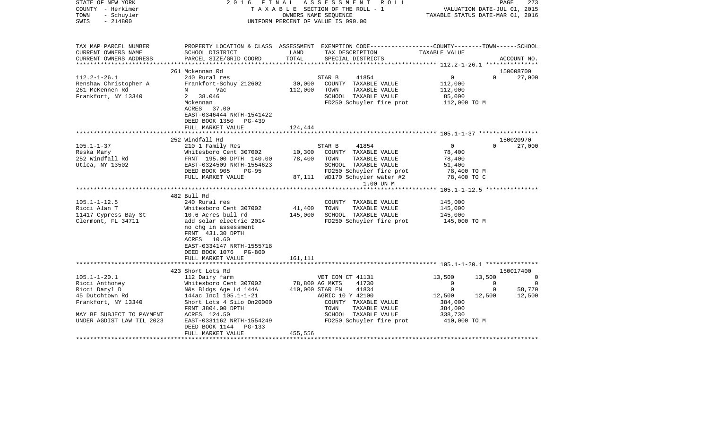| STATE OF NEW YORK<br>COUNTY - Herkimer<br>- Schuyler<br>TOWN<br>$-214800$<br>SWIS | 2016 FINAL                                 |                | A S S E S S M E N T R O L L<br>TAXABLE SECTION OF THE ROLL - 1<br>OWNERS NAME SEOUENCE<br>UNIFORM PERCENT OF VALUE IS 090.00             | VALUATION DATE-JUL 01, 2015<br>TAXABLE STATUS DATE-MAR 01, 2016 |                | PAGE<br>273 |
|-----------------------------------------------------------------------------------|--------------------------------------------|----------------|------------------------------------------------------------------------------------------------------------------------------------------|-----------------------------------------------------------------|----------------|-------------|
| TAX MAP PARCEL NUMBER<br>CURRENT OWNERS NAME<br>CURRENT OWNERS ADDRESS            | SCHOOL DISTRICT<br>PARCEL SIZE/GRID COORD  | LAND<br>TOTAL  | PROPERTY LOCATION & CLASS ASSESSMENT EXEMPTION CODE----------------COUNTY-------TOWN------SCHOOL<br>TAX DESCRIPTION<br>SPECIAL DISTRICTS | TAXABLE VALUE                                                   |                | ACCOUNT NO. |
| *********************                                                             |                                            |                |                                                                                                                                          |                                                                 |                |             |
|                                                                                   | 261 Mckennan Rd                            |                |                                                                                                                                          |                                                                 |                | 150008700   |
| $112.2 - 1 - 26.1$                                                                | 240 Rural res<br>Frankfort-Schuy 212602    | 30,000         | STAR B<br>41854<br>COUNTY TAXABLE VALUE                                                                                                  | $\overline{0}$                                                  | $\Omega$       | 27,000      |
| Renshaw Christopher A<br>261 McKennen Rd                                          | Vac<br>N                                   | 112,000        | TOWN<br>TAXABLE VALUE                                                                                                                    | 112,000<br>112,000                                              |                |             |
| Frankfort, NY 13340                                                               | 38.046<br>$\mathbf{2}$                     |                | SCHOOL TAXABLE VALUE                                                                                                                     | 85,000                                                          |                |             |
|                                                                                   | Mckennan                                   |                | FD250 Schuyler fire prot                                                                                                                 | 112,000 TO M                                                    |                |             |
|                                                                                   | ACRES 37.00                                |                |                                                                                                                                          |                                                                 |                |             |
|                                                                                   | EAST-0346444 NRTH-1541422                  |                |                                                                                                                                          |                                                                 |                |             |
|                                                                                   | DEED BOOK 1350 PG-439                      |                |                                                                                                                                          |                                                                 |                |             |
|                                                                                   | FULL MARKET VALUE                          | 124,444        |                                                                                                                                          |                                                                 |                |             |
|                                                                                   | 252 Windfall Rd                            |                |                                                                                                                                          |                                                                 |                | 150020970   |
| $105.1 - 1 - 37$                                                                  | 210 1 Family Res                           |                | STAR B<br>41854                                                                                                                          | $\overline{0}$                                                  | $\Omega$       | 27,000      |
| Reska Mary                                                                        | Whitesboro Cent 307002                     | 10,300         | COUNTY TAXABLE VALUE                                                                                                                     | 78,400                                                          |                |             |
| 252 Windfall Rd                                                                   | FRNT 195.00 DPTH 140.00                    | 78,400         | TOWN<br>TAXABLE VALUE                                                                                                                    | 78,400                                                          |                |             |
| Utica, NY 13502                                                                   | EAST-0324509 NRTH-1554623                  |                | SCHOOL TAXABLE VALUE                                                                                                                     | 51,400                                                          |                |             |
|                                                                                   | DEED BOOK 905<br>$PG-95$                   |                | FD250 Schuyler fire prot                                                                                                                 | 78,400 TO M                                                     |                |             |
|                                                                                   | FULL MARKET VALUE                          |                | 87,111 WD170 Schuyler water #2                                                                                                           | 78,400 TO C                                                     |                |             |
|                                                                                   |                                            |                | 1.00 UN M                                                                                                                                |                                                                 |                |             |
|                                                                                   | 482 Bull Rd                                |                |                                                                                                                                          |                                                                 |                |             |
| $105.1 - 1 - 12.5$                                                                | 240 Rural res                              |                | COUNTY TAXABLE VALUE                                                                                                                     | 145,000                                                         |                |             |
| Ricci Alan T                                                                      | Whitesboro Cent 307002                     | 41,400         | TOWN<br>TAXABLE VALUE                                                                                                                    | 145,000                                                         |                |             |
| 11417 Cypress Bay St                                                              | 10.6 Acres bull rd                         | 145,000        | SCHOOL TAXABLE VALUE                                                                                                                     | 145,000                                                         |                |             |
| Clermont, FL 34711                                                                | add solar electric 2014                    |                | FD250 Schuyler fire prot                                                                                                                 | 145,000 TO M                                                    |                |             |
|                                                                                   | no chq in assessment                       |                |                                                                                                                                          |                                                                 |                |             |
|                                                                                   | FRNT 431.30 DPTH                           |                |                                                                                                                                          |                                                                 |                |             |
|                                                                                   | ACRES 10.60                                |                |                                                                                                                                          |                                                                 |                |             |
|                                                                                   | EAST-0334147 NRTH-1555718                  |                |                                                                                                                                          |                                                                 |                |             |
|                                                                                   | DEED BOOK 1076 PG-800<br>FULL MARKET VALUE | 161,111        |                                                                                                                                          |                                                                 |                |             |
|                                                                                   |                                            |                |                                                                                                                                          |                                                                 |                |             |
|                                                                                   | 423 Short Lots Rd                          |                |                                                                                                                                          |                                                                 |                | 150017400   |
| $105.1 - 1 - 20.1$                                                                | 112 Dairy farm                             |                | VET COM CT 41131                                                                                                                         | 13,500                                                          | 13,500         | $\mathbf 0$ |
| Ricci Anthoney                                                                    | Whitesboro Cent 307002                     | 78,800 AG MKTS | 41730                                                                                                                                    | $\overline{0}$                                                  | $\Omega$       | $\Omega$    |
| Ricci Daryl D                                                                     | N&s Bldgs Age Ld 144A                      |                | 410,000 STAR EN<br>41834                                                                                                                 | $\overline{0}$                                                  | $\overline{0}$ | 58,770      |
| 45 Dutchtown Rd                                                                   | 144ac Incl 105.1-1-21                      |                | AGRIC 10 Y 42100                                                                                                                         | 12,500                                                          | 12,500         | 12,500      |
| Frankfort, NY 13340                                                               | Short Lots 4 Silo 0n20000                  |                | COUNTY TAXABLE VALUE                                                                                                                     | 384,000                                                         |                |             |
|                                                                                   | FRNT 3804.00 DPTH                          |                | TOWN<br>TAXABLE VALUE                                                                                                                    | 384,000                                                         |                |             |
| MAY BE SUBJECT TO PAYMENT<br>UNDER AGDIST LAW TIL 2023                            | ACRES 124.50<br>EAST-0331162 NRTH-1554249  |                | SCHOOL TAXABLE VALUE<br>FD250 Schuyler fire prot                                                                                         | 338,730<br>410,000 TO M                                         |                |             |
|                                                                                   | DEED BOOK 1144 PG-133                      |                |                                                                                                                                          |                                                                 |                |             |
|                                                                                   | FULL MARKET VALUE                          | 455,556        |                                                                                                                                          |                                                                 |                |             |
|                                                                                   |                                            |                |                                                                                                                                          |                                                                 |                |             |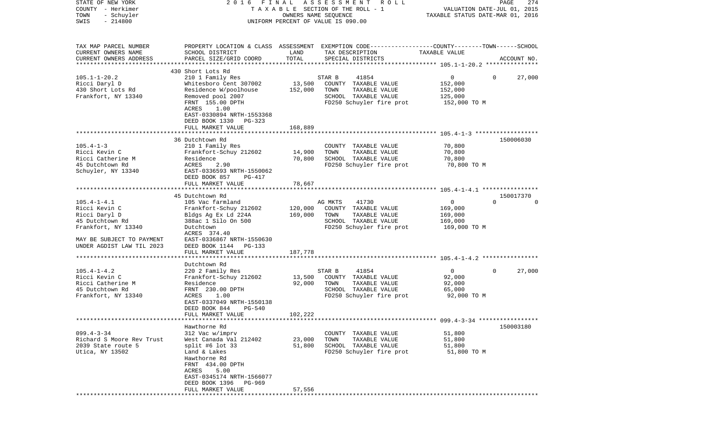| STATE OF NEW YORK<br>COUNTY - Herkimer<br>TOWN<br>- Schuyler<br>$-214800$<br>SWIS                                                                       | FINAL<br>2016                                                                                                                                                                                                                    | OWNERS NAME SEQUENCE          | ASSESSMENT<br>R O L L<br>TAXABLE SECTION OF THE ROLL - 1<br>UNIFORM PERCENT OF VALUE IS 090.00                                           | TAXABLE STATUS DATE-MAR 01, 2016                             | PAGE<br>274<br>VALUATION DATE-JUL 01, 2015 |
|---------------------------------------------------------------------------------------------------------------------------------------------------------|----------------------------------------------------------------------------------------------------------------------------------------------------------------------------------------------------------------------------------|-------------------------------|------------------------------------------------------------------------------------------------------------------------------------------|--------------------------------------------------------------|--------------------------------------------|
| TAX MAP PARCEL NUMBER<br>CURRENT OWNERS NAME<br>CURRENT OWNERS ADDRESS<br>**********************                                                        | SCHOOL DISTRICT<br>PARCEL SIZE/GRID COORD                                                                                                                                                                                        | LAND<br>TOTAL                 | PROPERTY LOCATION & CLASS ASSESSMENT EXEMPTION CODE----------------COUNTY-------TOWN------SCHOOL<br>TAX DESCRIPTION<br>SPECIAL DISTRICTS | TAXABLE VALUE                                                | ACCOUNT NO.                                |
| $105.1 - 1 - 20.2$<br>Ricci Daryl D<br>430 Short Lots Rd<br>Frankfort, NY 13340                                                                         | 430 Short Lots Rd<br>210 1 Family Res<br>Whitesboro Cent 307002<br>Residence W/poolhouse<br>Removed pool 2007<br>FRNT 155.00 DPTH<br>ACRES<br>1.00<br>EAST-0330894 NRTH-1553368<br>DEED BOOK 1330<br>PG-323<br>FULL MARKET VALUE | 13,500<br>152,000<br>168,889  | 41854<br>STAR B<br>COUNTY TAXABLE VALUE<br>TOWN<br>TAXABLE VALUE<br>SCHOOL TAXABLE VALUE<br>FD250 Schuyler fire prot                     | 0<br>152,000<br>152,000<br>125,000<br>152,000 TO M           | $\mathbf{0}$<br>27,000                     |
|                                                                                                                                                         |                                                                                                                                                                                                                                  |                               |                                                                                                                                          |                                                              |                                            |
| $105.4 - 1 - 3$<br>Ricci Kevin C<br>Ricci Catherine M<br>45 Dutchtown Rd<br>Schuyler, NY 13340                                                          | 36 Dutchtown Rd<br>210 1 Family Res<br>Frankfort-Schuy 212602<br>Residence<br>ACRES<br>2.90<br>EAST-0336593 NRTH-1550062<br>DEED BOOK 857<br>PG-417                                                                              | 14,900<br>70,800              | COUNTY TAXABLE VALUE<br>TOWN<br>TAXABLE VALUE<br>SCHOOL TAXABLE VALUE<br>FD250 Schuyler fire prot                                        | 70,800<br>70,800<br>70,800<br>70,800 TO M                    | 150006030                                  |
|                                                                                                                                                         | FULL MARKET VALUE                                                                                                                                                                                                                | 78,667                        |                                                                                                                                          |                                                              |                                            |
|                                                                                                                                                         | 45 Dutchtown Rd                                                                                                                                                                                                                  |                               |                                                                                                                                          |                                                              | 150017370                                  |
| $105.4 - 1 - 4.1$<br>Ricci Kevin C<br>Ricci Daryl D<br>45 Dutchtown Rd<br>Frankfort, NY 13340<br>MAY BE SUBJECT TO PAYMENT<br>UNDER AGDIST LAW TIL 2023 | 105 Vac farmland<br>Frankfort-Schuy 212602<br>Bldgs Ag Ex Ld 224A<br>388ac 1 Silo On 500<br>Dutchtown<br>ACRES 374.40<br>EAST-0336867 NRTH-1550630<br>DEED BOOK 1144<br>$PG-133$<br>FULL MARKET VALUE                            | 120,000<br>169,000<br>187,778 | AG MKTS<br>41730<br>COUNTY TAXABLE VALUE<br>TOWN<br>TAXABLE VALUE<br>SCHOOL TAXABLE VALUE<br>FD250 Schuyler fire prot                    | $\mathbf 0$<br>169,000<br>169,000<br>169,000<br>169,000 TO M | $\Omega$<br>$\Omega$                       |
|                                                                                                                                                         | *******************                                                                                                                                                                                                              | ********                      |                                                                                                                                          | ************************* 105.4-1-4.2 ****************       |                                            |
| $105.4 - 1 - 4.2$<br>Ricci Kevin C<br>Ricci Catherine M<br>45 Dutchtown Rd<br>Frankfort, NY 13340                                                       | Dutchtown Rd<br>220 2 Family Res<br>Frankfort-Schuy 212602<br>Residence<br>FRNT 230.00 DPTH<br>ACRES<br>1.00<br>EAST-0337049 NRTH-1550138<br>DEED BOOK 844<br><b>PG-540</b>                                                      | 13,500<br>92,000              | STAR B<br>41854<br>COUNTY TAXABLE VALUE<br>TAXABLE VALUE<br>TOWN<br>SCHOOL TAXABLE VALUE<br>FD250 Schuyler fire prot                     | $\overline{0}$<br>92,000<br>92,000<br>65,000<br>92,000 TO M  | 27,000<br>$\mathbf{0}$                     |
|                                                                                                                                                         | FULL MARKET VALUE                                                                                                                                                                                                                | 102,222                       |                                                                                                                                          |                                                              |                                            |
|                                                                                                                                                         |                                                                                                                                                                                                                                  |                               |                                                                                                                                          |                                                              |                                            |
| $099.4 - 3 - 34$<br>Richard S Moore Rev Trust<br>2039 State route 5<br>Utica, NY 13502                                                                  | Hawthorne Rd<br>312 Vac w/imprv<br>West Canada Val 212402<br>split #6 lot $33$<br>Land & Lakes<br>Hawthorne Rd<br>FRNT 434.00 DPTH<br>5.00<br>ACRES<br>EAST-0345174 NRTH-1566077<br>DEED BOOK 1396<br>PG-969                     | 23,000<br>51,800              | COUNTY TAXABLE VALUE<br>TOWN<br>TAXABLE VALUE<br>SCHOOL TAXABLE VALUE<br>FD250 Schuyler fire prot                                        | 51,800<br>51,800<br>51,800<br>51,800 TO M                    | 150003180                                  |
|                                                                                                                                                         | FULL MARKET VALUE                                                                                                                                                                                                                | 57,556                        |                                                                                                                                          |                                                              |                                            |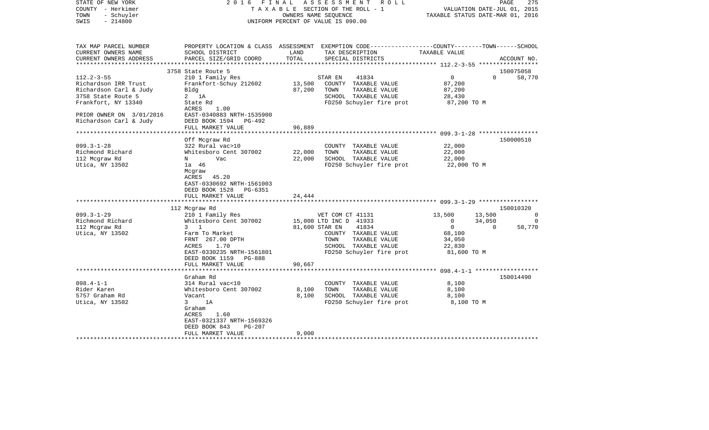| STATE OF NEW YORK<br>COUNTY - Herkimer<br>- Schuyler<br>TOWN<br>$-214800$<br>SWIS                                                                    | F I N A L<br>2016                                                                                                                                                                                                                                                                                                                                          | OWNERS NAME SEQUENCE<br>UNIFORM PERCENT OF VALUE IS 090.00 | ASSESSMENT<br>R O L L<br>TAXABLE SECTION OF THE ROLL - 1                                                                                                                                                                                                      | VALUATION DATE-JUL 01, 2015<br>TAXABLE STATUS DATE-MAR 01, 2016                                                                                  | 275<br>PAGE                                                                |
|------------------------------------------------------------------------------------------------------------------------------------------------------|------------------------------------------------------------------------------------------------------------------------------------------------------------------------------------------------------------------------------------------------------------------------------------------------------------------------------------------------------------|------------------------------------------------------------|---------------------------------------------------------------------------------------------------------------------------------------------------------------------------------------------------------------------------------------------------------------|--------------------------------------------------------------------------------------------------------------------------------------------------|----------------------------------------------------------------------------|
| TAX MAP PARCEL NUMBER<br>CURRENT OWNERS NAME<br>CURRENT OWNERS ADDRESS<br>******************                                                         | PROPERTY LOCATION & CLASS ASSESSMENT EXEMPTION CODE---------------COUNTY-------TOWN------SCHOOL<br>SCHOOL DISTRICT<br>PARCEL SIZE/GRID COORD                                                                                                                                                                                                               | LAND<br>TOTAL<br>**************                            | TAX DESCRIPTION<br>SPECIAL DISTRICTS                                                                                                                                                                                                                          | TAXABLE VALUE                                                                                                                                    | ACCOUNT NO.                                                                |
|                                                                                                                                                      | 3758 State Route 5                                                                                                                                                                                                                                                                                                                                         |                                                            |                                                                                                                                                                                                                                                               |                                                                                                                                                  | 150075058                                                                  |
| $112.2 - 3 - 55$<br>Richardson IRR Trust<br>Richardson Carl & Judy<br>3758 State Route 5<br>Frankfort, NY 13340                                      | 210 1 Family Res<br>Frankfort-Schuy 212602<br>Bldg<br>$2$ 1A<br>State Rd<br>ACRES<br>1.00                                                                                                                                                                                                                                                                  | 13,500<br>87,200                                           | STAR EN<br>41834<br>COUNTY TAXABLE VALUE<br>TOWN<br>TAXABLE VALUE<br>SCHOOL TAXABLE VALUE<br>FD250 Schuyler fire prot                                                                                                                                         | $\overline{0}$<br>87,200<br>87,200<br>28,430<br>87,200 TO M                                                                                      | $\Omega$<br>58,770                                                         |
| PRIOR OWNER ON 3/01/2016<br>Richardson Carl & Judy                                                                                                   | EAST-0340883 NRTH-1535900<br>DEED BOOK 1594<br>$PG-492$<br>FULL MARKET VALUE                                                                                                                                                                                                                                                                               | 96,889                                                     |                                                                                                                                                                                                                                                               |                                                                                                                                                  |                                                                            |
| ***********************                                                                                                                              | **********************                                                                                                                                                                                                                                                                                                                                     |                                                            |                                                                                                                                                                                                                                                               |                                                                                                                                                  |                                                                            |
| $099.3 - 1 - 28$<br>Richmond Richard<br>112 Mcgraw Rd<br>Utica, NY 13502<br>$099.3 - 1 - 29$<br>Richmond Richard<br>112 Mcgraw Rd<br>Utica, NY 13502 | Off Mcgraw Rd<br>322 Rural vac>10<br>Whitesboro Cent 307002<br>N<br>Vac<br>1a 46<br>Mcgraw<br>ACRES 45.20<br>EAST-0330692 NRTH-1561003<br>DEED BOOK 1528<br>PG-6351<br>FULL MARKET VALUE<br>112 Mcgraw Rd<br>210 1 Family Res<br>Whitesboro Cent 307002<br>$3 \quad 1$<br>Farm To Market<br>FRNT 267.00 DPTH<br>1.70<br>ACRES<br>EAST-0330235 NRTH-1561801 | 22,000<br>22,000<br>24,444<br>81,600 STAR EN               | COUNTY TAXABLE VALUE<br>TOWN<br>TAXABLE VALUE<br>SCHOOL TAXABLE VALUE<br>FD250 Schuyler fire prot<br>VET COM CT 41131<br>15,000 LTD INC D 41933<br>41834<br>COUNTY TAXABLE VALUE<br>TOWN<br>TAXABLE VALUE<br>SCHOOL TAXABLE VALUE<br>FD250 Schuyler fire prot | 22,000<br>22,000<br>22,000<br>22,000 TO M<br>13,500<br>13,500<br>$\Omega$<br>34,050<br>$\mathbf{0}$<br>68,100<br>34,050<br>22,830<br>81,600 TO M | 150000510<br>150010320<br>$\overline{0}$<br>$\Omega$<br>58,770<br>$\Omega$ |
|                                                                                                                                                      | DEED BOOK 1159 PG-888<br>FULL MARKET VALUE                                                                                                                                                                                                                                                                                                                 | 90,667                                                     |                                                                                                                                                                                                                                                               |                                                                                                                                                  |                                                                            |
| $098.4 - 1 - 1$<br>Rider Karen<br>5757 Graham Rd<br>Utica, NY 13502                                                                                  | Graham Rd<br>314 Rural vac<10<br>Whitesboro Cent 307002<br>Vacant<br>1A<br>3<br>Graham<br>ACRES<br>1.60<br>EAST-0321337 NRTH-1569326<br>DEED BOOK 843<br><b>PG-207</b>                                                                                                                                                                                     | 8,100<br>8,100                                             | COUNTY TAXABLE VALUE<br>TOWN<br>TAXABLE VALUE<br>SCHOOL TAXABLE VALUE<br>FD250 Schuyler fire prot                                                                                                                                                             | 8,100<br>8,100<br>8,100<br>8,100 TO M                                                                                                            | 150014490                                                                  |
| **********************                                                                                                                               | FULL MARKET VALUE                                                                                                                                                                                                                                                                                                                                          | 9,000                                                      |                                                                                                                                                                                                                                                               |                                                                                                                                                  |                                                                            |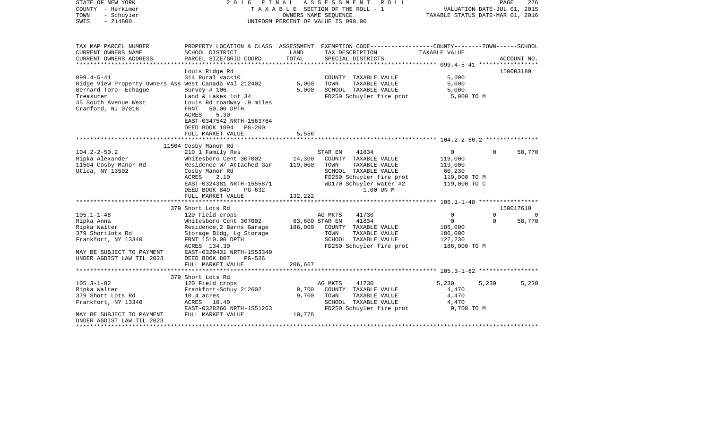| STATE OF NEW YORK<br>FINAL<br>2016<br>COUNTY - Herkimer<br>T A X A B L E SECTION OF THE ROLL - 1<br>TOWN<br>- Schuyler<br>OWNERS NAME SEQUENCE<br>SWIS<br>$-214800$<br>UNIFORM PERCENT OF VALUE IS 090.00 |                                                                                                                                                                                                        | A S S E S S M E N T R O L L |                                                                                                                                                               | PAGE<br>276<br>VALUATION DATE-JUL 01, 2015<br>TAXABLE STATUS DATE-MAR 01, 2016 |                      |                    |
|-----------------------------------------------------------------------------------------------------------------------------------------------------------------------------------------------------------|--------------------------------------------------------------------------------------------------------------------------------------------------------------------------------------------------------|-----------------------------|---------------------------------------------------------------------------------------------------------------------------------------------------------------|--------------------------------------------------------------------------------|----------------------|--------------------|
| TAX MAP PARCEL NUMBER<br>CURRENT OWNERS NAME                                                                                                                                                              | SCHOOL DISTRICT                                                                                                                                                                                        | LAND                        | PROPERTY LOCATION & CLASS ASSESSMENT EXEMPTION CODE---------------COUNTY-------TOWN------SCHOOL<br>TAX DESCRIPTION                                            | TAXABLE VALUE                                                                  |                      |                    |
| CURRENT OWNERS ADDRESS                                                                                                                                                                                    | PARCEL SIZE/GRID COORD                                                                                                                                                                                 | TOTAL                       | SPECIAL DISTRICTS                                                                                                                                             |                                                                                |                      | ACCOUNT NO.        |
| $099.4 - 5 - 41$<br>Ridge View Property Owners Ass West Canada Val 212402<br>Bernard Toro- Echaque<br>Treasurer<br>45 South Avenue West<br>Cranford, NJ 07016                                             | Louis Ridge Rd<br>314 Rural vac<10<br>Survey $# 106$<br>Land & Lakes lot 34<br>Louis Rd roadway .9 miles<br>FRNT 50.00 DPTH<br>5.30<br>ACRES<br>EAST-0347542 NRTH-1563764<br>DEED BOOK 1094 PG-200     | 5,000<br>5,000              | COUNTY TAXABLE VALUE<br>TAXABLE VALUE<br>TOWN<br>SCHOOL TAXABLE VALUE<br>FD250 Schuyler fire prot                                                             | 5,000<br>5,000<br>5,000<br>5,000 TO M                                          |                      | 150003180          |
|                                                                                                                                                                                                           | FULL MARKET VALUE                                                                                                                                                                                      | 5,556                       |                                                                                                                                                               |                                                                                |                      |                    |
|                                                                                                                                                                                                           | 11504 Cosby Manor Rd                                                                                                                                                                                   |                             |                                                                                                                                                               |                                                                                |                      |                    |
| $104.2 - 2 - 50.2$<br>Ripka Alexander<br>11504 Cosby Manor Rd<br>Utica, NY 13502                                                                                                                          | 210 1 Family Res<br>Whitesboro Cent 307002 14,300<br>Residence W/ Attached Gar 119,000<br>Cosby Manor Rd<br>2.10<br>ACRES<br>EAST-0324381 NRTH-1555871<br>DEED BOOK 849<br>PG-632<br>FULL MARKET VALUE | 132,222                     | 41834<br>STAR EN<br>COUNTY TAXABLE VALUE<br>TAXABLE VALUE<br>TOWN<br>SCHOOL TAXABLE VALUE<br>FD250 Schuyler fire prot<br>WD170 Schuyler water #2<br>1.00 UN M | $\overline{0}$<br>119,000<br>119,000<br>60,230<br>119,000 TO M<br>119,000 TO C | $\Omega$             | 58,770             |
|                                                                                                                                                                                                           | 379 Short Lots Rd                                                                                                                                                                                      |                             |                                                                                                                                                               |                                                                                |                      | 150017610          |
| $105.1 - 1 - 48$<br>Ripka Anna<br>Ripka Walter<br>379 Shortlots Rd<br>Frankfort, NY 13340                                                                                                                 | 120 Field crops<br>Whitesboro Cent 307002<br>Residence, 2 Barns Garage<br>Storage Bldg, Lg Storage<br>FRNT 1510.00 DPTH<br>ACRES 134.30                                                                | 63,600 STAR EN              | AG MKTS<br>41730<br>41834<br>186,000 COUNTY TAXABLE VALUE<br>TOWN<br>TAXABLE VALUE<br>SCHOOL TAXABLE VALUE<br>FD250 Schuyler fire prot                        | $\Omega$<br>$\circ$<br>186,000<br>186,000<br>127,230<br>186,000 то м           | $\Omega$<br>$\Omega$ | $\Omega$<br>58,770 |
| MAY BE SUBJECT TO PAYMENT<br>UNDER AGDIST LAW TIL 2023                                                                                                                                                    | EAST-0329431 NRTH-1553349<br>DEED BOOK 807<br>PG-526                                                                                                                                                   |                             |                                                                                                                                                               |                                                                                |                      |                    |
|                                                                                                                                                                                                           | FULL MARKET VALUE                                                                                                                                                                                      | 206,667                     |                                                                                                                                                               |                                                                                |                      |                    |
|                                                                                                                                                                                                           | 379 Short Lots Rd                                                                                                                                                                                      |                             |                                                                                                                                                               |                                                                                |                      |                    |
| $105.3 - 1 - 82$<br>Ripka Walter<br>379 Short Lots Rd<br>Frankfort, NY 13340<br>MAY BE SUBJECT TO PAYMENT                                                                                                 | 120 Field crops<br>Frankfort-Schuy 212602<br>$10.4$ acres<br>ACRES 10.40<br>EAST-0328266 NRTH-1551263<br>FULL MARKET VALUE                                                                             | 9,700<br>9,700<br>10,778    | AG MKTS<br>41730<br>COUNTY TAXABLE VALUE<br>TOWN<br>TAXABLE VALUE<br>SCHOOL TAXABLE VALUE<br>FD250 Schuyler fire prot                                         | 5,230<br>4,470<br>4,470<br>4,470<br>9,700 TO M                                 | 5,230                | 5,230              |
| UNDER AGDIST LAW TIL 2023<br>********************                                                                                                                                                         |                                                                                                                                                                                                        |                             |                                                                                                                                                               |                                                                                |                      |                    |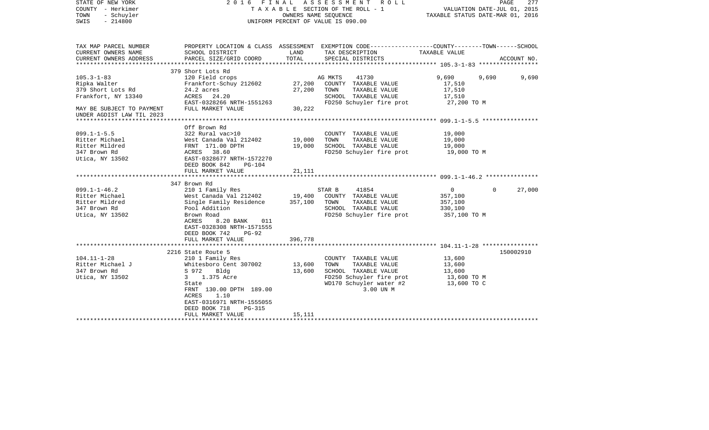| STATE OF NEW YORK<br>COUNTY - Herkimer<br>TOWN<br>- Schuyler<br>$-214800$<br>SWIS | 2016 FINAL ASSESSMENT<br>R O L L<br>TAXABLE SECTION OF THE ROLL - 1<br>OWNERS NAME SEQUENCE<br>UNIFORM PERCENT OF VALUE IS 090.00 |         |                                                                                                                    | PAGE<br>277<br>VALUATION DATE-JUL 01, 2015<br>TAXABLE STATUS DATE-MAR 01, 2016 |                    |  |
|-----------------------------------------------------------------------------------|-----------------------------------------------------------------------------------------------------------------------------------|---------|--------------------------------------------------------------------------------------------------------------------|--------------------------------------------------------------------------------|--------------------|--|
| TAX MAP PARCEL NUMBER<br>CURRENT OWNERS NAME                                      | SCHOOL DISTRICT                                                                                                                   | LAND    | PROPERTY LOCATION & CLASS ASSESSMENT EXEMPTION CODE---------------COUNTY-------TOWN------SCHOOL<br>TAX DESCRIPTION | TAXABLE VALUE                                                                  |                    |  |
| CURRENT OWNERS ADDRESS                                                            | PARCEL SIZE/GRID COORD                                                                                                            | TOTAL   | SPECIAL DISTRICTS                                                                                                  |                                                                                | ACCOUNT NO.        |  |
|                                                                                   |                                                                                                                                   |         |                                                                                                                    |                                                                                |                    |  |
|                                                                                   | 379 Short Lots Rd                                                                                                                 |         |                                                                                                                    |                                                                                |                    |  |
| $105.3 - 1 - 83$                                                                  | 120 Field crops                                                                                                                   |         | AG MKTS<br>41730                                                                                                   | 9,690                                                                          | 9,690<br>9,690     |  |
| Ripka Walter                                                                      | Frankfort-Schuy 212602                                                                                                            | 27,200  | COUNTY TAXABLE VALUE                                                                                               | 17,510                                                                         |                    |  |
| 379 Short Lots Rd                                                                 | 24.2 acres                                                                                                                        | 27,200  | TOWN<br>TAXABLE VALUE                                                                                              | 17,510                                                                         |                    |  |
| Frankfort, NY 13340                                                               | ACRES 24.20<br>EAST-0328266 NRTH-1551263                                                                                          |         | SCHOOL TAXABLE VALUE                                                                                               | 17,510                                                                         |                    |  |
| MAY BE SUBJECT TO PAYMENT                                                         | FULL MARKET VALUE                                                                                                                 | 30,222  | FD250 Schuyler fire prot                                                                                           | 27,200 TO M                                                                    |                    |  |
| UNDER AGDIST LAW TIL 2023                                                         |                                                                                                                                   |         |                                                                                                                    |                                                                                |                    |  |
|                                                                                   |                                                                                                                                   |         |                                                                                                                    |                                                                                |                    |  |
|                                                                                   | Off Brown Rd                                                                                                                      |         |                                                                                                                    |                                                                                |                    |  |
| $099.1 - 1 - 5.5$                                                                 | 322 Rural vac>10                                                                                                                  |         | COUNTY TAXABLE VALUE                                                                                               | 19,000                                                                         |                    |  |
| Ritter Michael                                                                    | West Canada Val 212402                                                                                                            | 19,000  | TOWN<br>TAXABLE VALUE                                                                                              | 19,000                                                                         |                    |  |
| Ritter Mildred                                                                    | FRNT 171.00 DPTH                                                                                                                  | 19,000  | SCHOOL TAXABLE VALUE                                                                                               | 19,000                                                                         |                    |  |
| 347 Brown Rd                                                                      | ACRES 38.60                                                                                                                       |         | FD250 Schuyler fire prot                                                                                           | 19,000 TO M                                                                    |                    |  |
| Utica, NY 13502                                                                   | EAST-0328677 NRTH-1572270                                                                                                         |         |                                                                                                                    |                                                                                |                    |  |
|                                                                                   | DEED BOOK 842<br>PG-104                                                                                                           |         |                                                                                                                    |                                                                                |                    |  |
|                                                                                   | FULL MARKET VALUE                                                                                                                 | 21,111  |                                                                                                                    |                                                                                |                    |  |
|                                                                                   |                                                                                                                                   |         |                                                                                                                    |                                                                                |                    |  |
|                                                                                   | 347 Brown Rd                                                                                                                      |         |                                                                                                                    |                                                                                |                    |  |
| $099.1 - 1 - 46.2$                                                                | 210 1 Family Res                                                                                                                  |         | STAR B<br>41854                                                                                                    | $\circ$                                                                        | $\Omega$<br>27,000 |  |
| Ritter Michael                                                                    | West Canada Val 212402                                                                                                            | 19,400  | COUNTY TAXABLE VALUE                                                                                               | 357,100                                                                        |                    |  |
| Ritter Mildred                                                                    | Single Family Residence                                                                                                           | 357,100 | TAXABLE VALUE<br>TOWN                                                                                              | 357,100                                                                        |                    |  |
| 347 Brown Rd                                                                      | Pool Addition                                                                                                                     |         | SCHOOL TAXABLE VALUE                                                                                               | 330,100                                                                        |                    |  |
| Utica, NY 13502                                                                   | Brown Road<br>ACRES                                                                                                               |         | FD250 Schuyler fire prot                                                                                           | 357,100 TO M                                                                   |                    |  |
|                                                                                   | 8.20 BANK<br>011<br>EAST-0328308 NRTH-1571555                                                                                     |         |                                                                                                                    |                                                                                |                    |  |
|                                                                                   | DEED BOOK 742<br>$PG-92$                                                                                                          |         |                                                                                                                    |                                                                                |                    |  |
|                                                                                   | FULL MARKET VALUE                                                                                                                 | 396,778 |                                                                                                                    |                                                                                |                    |  |
|                                                                                   |                                                                                                                                   |         |                                                                                                                    |                                                                                |                    |  |
|                                                                                   | 2216 State Route 5                                                                                                                |         |                                                                                                                    |                                                                                | 150002910          |  |
| $104.11 - 1 - 28$                                                                 | 210 1 Family Res                                                                                                                  |         | COUNTY TAXABLE VALUE                                                                                               | 13,600                                                                         |                    |  |
| Ritter Michael J                                                                  | Whitesboro Cent 307002                                                                                                            | 13,600  | TOWN<br>TAXABLE VALUE                                                                                              | 13,600                                                                         |                    |  |
| 347 Brown Rd                                                                      | S 972<br>Bldg                                                                                                                     | 13,600  | SCHOOL TAXABLE VALUE                                                                                               | 13,600                                                                         |                    |  |
| Utica, NY 13502                                                                   | 1.375 Acre<br>3                                                                                                                   |         | FD250 Schuyler fire prot                                                                                           | 13,600 TO M                                                                    |                    |  |
|                                                                                   | State                                                                                                                             |         | WD170 Schuyler water #2                                                                                            | 13,600 TO C                                                                    |                    |  |
|                                                                                   | FRNT 130.00 DPTH 189.00                                                                                                           |         | 3.00 UN M                                                                                                          |                                                                                |                    |  |
|                                                                                   | 1.10<br>ACRES                                                                                                                     |         |                                                                                                                    |                                                                                |                    |  |
|                                                                                   | EAST-0316971 NRTH-1555055                                                                                                         |         |                                                                                                                    |                                                                                |                    |  |
|                                                                                   | DEED BOOK 718<br>$PG-315$                                                                                                         |         |                                                                                                                    |                                                                                |                    |  |
|                                                                                   | FULL MARKET VALUE                                                                                                                 | 15,111  |                                                                                                                    |                                                                                |                    |  |
|                                                                                   | ***********************                                                                                                           |         |                                                                                                                    |                                                                                |                    |  |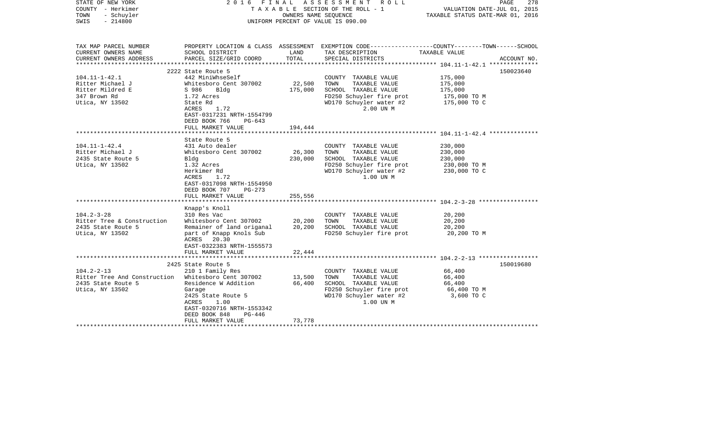| STATE OF NEW YORK<br>2016<br>COUNTY - Herkimer<br>TOWN<br>- Schuyler<br>SWIS<br>$-214800$ |                                                      |         | FINAL ASSESSMENT ROLL<br>TAXABLE SECTION OF THE ROLL - 1<br>OWNERS NAME SEOUENCE<br>UNIFORM PERCENT OF VALUE IS 090.00 | PAGE<br>278<br>VALUATION DATE-JUL 01, 2015<br>TAXABLE STATUS DATE-MAR 01, 2016                  |  |  |
|-------------------------------------------------------------------------------------------|------------------------------------------------------|---------|------------------------------------------------------------------------------------------------------------------------|-------------------------------------------------------------------------------------------------|--|--|
|                                                                                           |                                                      |         |                                                                                                                        |                                                                                                 |  |  |
| TAX MAP PARCEL NUMBER                                                                     |                                                      |         |                                                                                                                        | PROPERTY LOCATION & CLASS ASSESSMENT EXEMPTION CODE---------------COUNTY-------TOWN------SCHOOL |  |  |
| CURRENT OWNERS NAME                                                                       | SCHOOL DISTRICT                                      | LAND    | TAX DESCRIPTION                                                                                                        | TAXABLE VALUE                                                                                   |  |  |
| CURRENT OWNERS ADDRESS                                                                    | PARCEL SIZE/GRID COORD                               | TOTAL   | SPECIAL DISTRICTS                                                                                                      | ACCOUNT NO.                                                                                     |  |  |
|                                                                                           | 2222 State Route 5                                   |         |                                                                                                                        | 150023640                                                                                       |  |  |
| $104.11 - 1 - 42.1$                                                                       | 442 MiniWhseSelf                                     |         | COUNTY TAXABLE VALUE                                                                                                   | 175,000                                                                                         |  |  |
| Ritter Michael J                                                                          | Whitesboro Cent 307002                               | 22,500  | TAXABLE VALUE<br>TOWN                                                                                                  | 175,000                                                                                         |  |  |
| Ritter Mildred E                                                                          | S 986 Bldg                                           | 175,000 | SCHOOL TAXABLE VALUE                                                                                                   | 175,000                                                                                         |  |  |
| 347 Brown Rd                                                                              | 1.72 Acres                                           |         | FD250 Schuyler fire prot                                                                                               | 175,000 TO M                                                                                    |  |  |
| Utica, NY 13502                                                                           | State Rd                                             |         | WD170 Schuyler water #2                                                                                                | 175,000 TO C                                                                                    |  |  |
|                                                                                           | 1.72<br>ACRES                                        |         | 2.00 UN M                                                                                                              |                                                                                                 |  |  |
|                                                                                           | EAST-0317231 NRTH-1554799                            |         |                                                                                                                        |                                                                                                 |  |  |
|                                                                                           | DEED BOOK 766<br>PG-643                              |         |                                                                                                                        |                                                                                                 |  |  |
|                                                                                           | FULL MARKET VALUE<br>******************              | 194,444 |                                                                                                                        |                                                                                                 |  |  |
|                                                                                           | State Route 5                                        |         |                                                                                                                        |                                                                                                 |  |  |
| $104.11 - 1 - 42.4$                                                                       | 431 Auto dealer                                      |         | COUNTY TAXABLE VALUE                                                                                                   | 230,000                                                                                         |  |  |
| Ritter Michael J                                                                          | Whitesboro Cent 307002                               | 26,300  | TOWN<br>TAXABLE VALUE                                                                                                  | 230,000                                                                                         |  |  |
| 2435 State Route 5                                                                        | Bldg                                                 | 230,000 | SCHOOL TAXABLE VALUE                                                                                                   | 230,000                                                                                         |  |  |
| Utica, NY 13502                                                                           | 1.32 Acres                                           |         | FD250 Schuyler fire prot                                                                                               | 230,000 TO M                                                                                    |  |  |
|                                                                                           | Herkimer Rd                                          |         | WD170 Schuyler water #2                                                                                                | 230,000 TO C                                                                                    |  |  |
|                                                                                           | ACRES<br>1.72                                        |         | 1.00 UN M                                                                                                              |                                                                                                 |  |  |
|                                                                                           | EAST-0317098 NRTH-1554950                            |         |                                                                                                                        |                                                                                                 |  |  |
|                                                                                           | DEED BOOK 707<br>PG-273<br>FULL MARKET VALUE         | 255,556 |                                                                                                                        |                                                                                                 |  |  |
|                                                                                           |                                                      |         |                                                                                                                        |                                                                                                 |  |  |
|                                                                                           | Knapp's Knoll                                        |         |                                                                                                                        |                                                                                                 |  |  |
| $104.2 - 3 - 28$                                                                          | 310 Res Vac                                          |         | COUNTY TAXABLE VALUE                                                                                                   | 20,200                                                                                          |  |  |
| Ritter Tree & Construction                                                                | Whitesboro Cent 307002                               | 20,200  | TOWN<br>TAXABLE VALUE                                                                                                  | 20,200                                                                                          |  |  |
| 2435 State Route 5                                                                        | Remainer of land origanal                            | 20,200  | SCHOOL TAXABLE VALUE                                                                                                   | 20,200                                                                                          |  |  |
| Utica, NY 13502                                                                           | part of Knapp Knols Sub                              |         | FD250 Schuyler fire prot                                                                                               | 20,200 TO M                                                                                     |  |  |
|                                                                                           | ACRES 20.30                                          |         |                                                                                                                        |                                                                                                 |  |  |
|                                                                                           | EAST-0322383 NRTH-1555573                            |         |                                                                                                                        |                                                                                                 |  |  |
|                                                                                           | FULL MARKET VALUE                                    | 22,444  |                                                                                                                        |                                                                                                 |  |  |
|                                                                                           | 2425 State Route 5                                   |         |                                                                                                                        | 150019680                                                                                       |  |  |
| $104.2 - 2 - 13$                                                                          | 210 1 Family Res                                     |         | COUNTY TAXABLE VALUE                                                                                                   | 66,400                                                                                          |  |  |
| Ritter Tree And Construction Whitesboro Cent 307002                                       |                                                      | 13,500  | TAXABLE VALUE<br>TOWN                                                                                                  | 66,400                                                                                          |  |  |
| 2435 State Route 5                                                                        | Residence W Addition                                 | 66,400  | SCHOOL TAXABLE VALUE                                                                                                   | 66,400                                                                                          |  |  |
| Utica, NY 13502                                                                           | Garage                                               |         | FD250 Schuyler fire prot                                                                                               | 66,400 TO M                                                                                     |  |  |
|                                                                                           | 2425 State Route 5                                   |         | WD170 Schuyler water #2                                                                                                | 3,600 TO C                                                                                      |  |  |
|                                                                                           | 1.00<br>ACRES                                        |         | 1.00 UN M                                                                                                              |                                                                                                 |  |  |
|                                                                                           | EAST-0320716 NRTH-1553342<br>DEED BOOK 848<br>PG-446 |         |                                                                                                                        |                                                                                                 |  |  |
|                                                                                           | FULL MARKET VALUE                                    | 73,778  |                                                                                                                        |                                                                                                 |  |  |
|                                                                                           |                                                      |         |                                                                                                                        |                                                                                                 |  |  |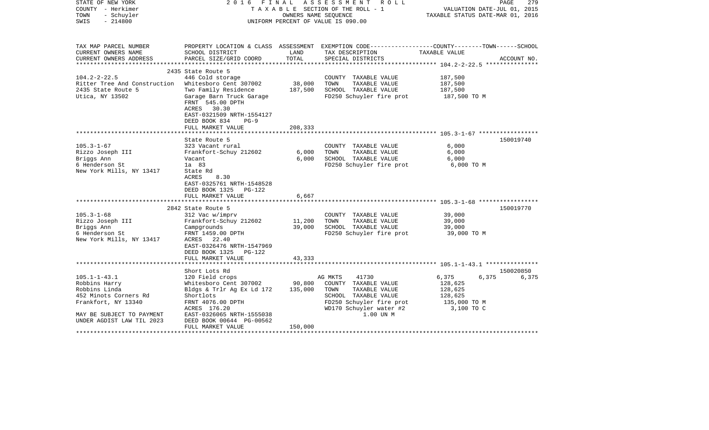| STATE OF NEW YORK<br>COUNTY - Herkimer<br>TOWN<br>- Schuyler<br>$-214800$<br>SWIS                                                                              |                                                                                                                                                                                                                                |                            | 2016 FINAL ASSESSMENT ROLL<br>TAXABLE SECTION OF THE ROLL - 1<br>OWNERS NAME SEOUENCE<br>UNIFORM PERCENT OF VALUE IS 090.00                                                | VALUATION DATE-JUL 01, 2015<br>TAXABLE STATUS DATE-MAR 01, 2016 | PAGE<br>279                 |
|----------------------------------------------------------------------------------------------------------------------------------------------------------------|--------------------------------------------------------------------------------------------------------------------------------------------------------------------------------------------------------------------------------|----------------------------|----------------------------------------------------------------------------------------------------------------------------------------------------------------------------|-----------------------------------------------------------------|-----------------------------|
| TAX MAP PARCEL NUMBER<br>CURRENT OWNERS NAME<br>CURRENT OWNERS ADDRESS                                                                                         | SCHOOL DISTRICT<br>PARCEL SIZE/GRID COORD                                                                                                                                                                                      | LAND<br>TOTAL              | PROPERTY LOCATION & CLASS ASSESSMENT EXEMPTION CODE---------------COUNTY-------TOWN------SCHOOL<br>TAX DESCRIPTION TAXABLE VALUE<br>SPECIAL DISTRICTS                      |                                                                 | ACCOUNT NO.                 |
| $104.2 - 2 - 22.5$<br>Ritter Tree And Construction Whitesboro Cent 307002<br>2435 State Route 5<br>Utica, NY 13502                                             | 2435 State Route 5<br>446 Cold storage<br>Two Family Residence<br>Garage Barn Truck Garage<br>FRNT 545.00 DPTH<br>ACRES 30.30<br>EAST-0321509 NRTH-1554127<br>DEED BOOK 834<br>$PG-9$                                          | 38,000<br>187,500          | COUNTY TAXABLE VALUE<br>TOWN<br>TAXABLE VALUE<br>SCHOOL TAXABLE VALUE<br>FD250 Schuyler fire prot                                                                          | 187,500<br>187,500<br>187,500<br>187,500 TO M                   |                             |
|                                                                                                                                                                | FULL MARKET VALUE<br>State Route 5                                                                                                                                                                                             | 208,333                    |                                                                                                                                                                            |                                                                 | 150019740                   |
| $105.3 - 1 - 67$<br>Rizzo Joseph III<br>Briggs Ann<br>6 Henderson St<br>New York Mills, NY 13417                                                               | 323 Vacant rural<br>Frankfort-Schuy 212602<br>Vacant<br>1a 83<br>State Rd<br>8.30<br>ACRES<br>EAST-0325761 NRTH-1548528<br>DEED BOOK 1325 PG-122<br>FULL MARKET VALUE                                                          | 6,000<br>6,000<br>6,667    | COUNTY TAXABLE VALUE<br>TOWN<br>TAXABLE VALUE<br>SCHOOL TAXABLE VALUE<br>FD250 Schuyler fire prot                                                                          | 6,000<br>6,000<br>6,000<br>6,000 TO M                           |                             |
|                                                                                                                                                                |                                                                                                                                                                                                                                |                            |                                                                                                                                                                            |                                                                 |                             |
| $105.3 - 1 - 68$<br>Rizzo Joseph III<br>Briggs Ann<br>6 Henderson St<br>New York Mills, NY 13417                                                               | 2842 State Route 5<br>312 Vac w/imprv<br>Frankfort-Schuy 212602<br>Campgrounds<br>FRNT 1459.00 DPTH<br>ACRES 22.40<br>EAST-0326476 NRTH-1547969<br>DEED BOOK 1325 PG-122<br>FULL MARKET VALUE                                  | 11,200<br>39,000<br>43,333 | COUNTY TAXABLE VALUE<br>TAXABLE VALUE<br>TOWN<br>SCHOOL TAXABLE VALUE<br>FD250 Schuyler fire prot 39,000 TO M                                                              | 39,000<br>39,000<br>39,000                                      | 150019770                   |
|                                                                                                                                                                |                                                                                                                                                                                                                                |                            |                                                                                                                                                                            |                                                                 |                             |
| $105.1 - 1 - 43.1$<br>Robbins Harry<br>Robbins Linda<br>452 Minots Corners Rd<br>Frankfort, NY 13340<br>MAY BE SUBJECT TO PAYMENT<br>UNDER AGDIST LAW TIL 2023 | Short Lots Rd<br>120 Field crops<br>Whitesboro Cent 307002 90,800<br>Bldgs & Trlr Ag Ex Ld 172<br>Shortlots<br>FRNT 4076.00 DPTH<br>ACRES 176.20<br>EAST-0326065 NRTH-1555038<br>DEED BOOK 00644 PG-00562<br>FULL MARKET VALUE | 135,000<br>150,000         | AG MKTS<br>41730<br>COUNTY TAXABLE VALUE<br>TAXABLE VALUE<br>TOWN<br>SCHOOL TAXABLE VALUE<br>FD250 Schuyler fire prot 135,000 TO M<br>WD170 Schuyler water #2<br>1.00 UN M | 6,375<br>128,625<br>128,625<br>128,625<br>3,100 TO C            | 150020850<br>6,375<br>6,375 |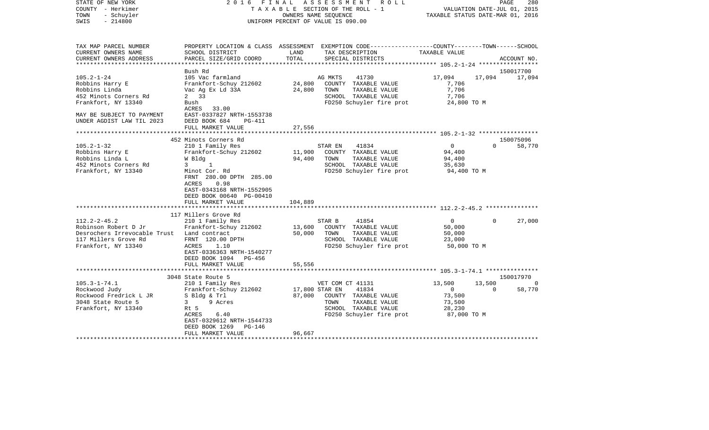| COUNTY<br>– Herkimer<br>TOWN<br>- Schuyler<br>SWIS<br>$-214800$                                                           | T A X A B L E SECTION OF THE ROLL - 1<br>OWNERS NAME SEQUENCE<br>UNIFORM PERCENT OF VALUE IS 090.00                                                                                                                                |                             |                                                                                                                                                  | VALUATION DATE-JUL 01, 2015<br>TAXABLE STATUS DATE-MAR 01, 2016 |             |                     |
|---------------------------------------------------------------------------------------------------------------------------|------------------------------------------------------------------------------------------------------------------------------------------------------------------------------------------------------------------------------------|-----------------------------|--------------------------------------------------------------------------------------------------------------------------------------------------|-----------------------------------------------------------------|-------------|---------------------|
| TAX MAP PARCEL NUMBER<br>CURRENT OWNERS NAME<br>CURRENT OWNERS ADDRESS<br>***********************                         | SCHOOL DISTRICT<br>PARCEL SIZE/GRID COORD<br>**********************                                                                                                                                                                | LAND<br>TOTAL               | PROPERTY LOCATION & CLASS ASSESSMENT EXEMPTION CODE---------------COUNTY-------TOWN-----SCHOOL<br>TAX DESCRIPTION<br>SPECIAL DISTRICTS           | TAXABLE VALUE                                                   |             | ACCOUNT NO.         |
|                                                                                                                           | Bush Rd                                                                                                                                                                                                                            |                             |                                                                                                                                                  |                                                                 |             | 150017700           |
| $105.2 - 1 - 24$<br>Robbins Harry E<br>Robbins Linda<br>452 Minots Corners Rd<br>Frankfort, NY 13340                      | 105 Vac farmland<br>Frankfort-Schuy 212602<br>Vac Ag Ex Ld 33A<br>2 33<br>Bush<br>ACRES<br>33.00<br>EAST-0337827 NRTH-1553738                                                                                                      | 24,800<br>24,800            | 41730<br>AG MKTS<br>COUNTY TAXABLE VALUE<br>TOWN<br>TAXABLE VALUE<br>SCHOOL TAXABLE VALUE<br>FD250 Schuyler fire prot                            | 17,094<br>7,706<br>7,706<br>7,706<br>24,800 TO M                | 17,094      | 17,094              |
| MAY BE SUBJECT TO PAYMENT<br>UNDER AGDIST LAW TIL 2023                                                                    | DEED BOOK 684<br>PG-411<br>FULL MARKET VALUE                                                                                                                                                                                       | 27,556                      |                                                                                                                                                  |                                                                 |             |                     |
|                                                                                                                           |                                                                                                                                                                                                                                    |                             |                                                                                                                                                  |                                                                 |             |                     |
| $105.2 - 1 - 32$<br>Robbins Harry E<br>Robbins Linda L<br>452 Minots Corners Rd<br>Frankfort, NY 13340                    | 452 Minots Corners Rd<br>210 1 Family Res<br>Frankfort-Schuy 212602<br>W Bldg<br>1<br>3<br>Minot Cor. Rd<br>FRNT 280.00 DPTH 285.00<br>0.98<br>ACRES<br>EAST-0343168 NRTH-1552905<br>DEED BOOK 00640 PG-00410<br>FULL MARKET VALUE | 11,900<br>94,400<br>104,889 | STAR EN<br>41834<br>COUNTY TAXABLE VALUE<br>TOWN<br>TAXABLE VALUE<br>SCHOOL TAXABLE VALUE<br>FD250 Schuyler fire prot                            | 0<br>94,400<br>94,400<br>35,630<br>94,400 TO M                  | $\Omega$    | 150075096<br>58,770 |
|                                                                                                                           |                                                                                                                                                                                                                                    |                             | **************************** 112.2-2-45.2 ***************                                                                                        |                                                                 |             |                     |
| $112.2 - 2 - 45.2$<br>Robinson Robert D Jr<br>Desrochers Irrevocable Trust<br>117 Millers Grove Rd<br>Frankfort, NY 13340 | 117 Millers Grove Rd<br>210 1 Family Res<br>Frankfort-Schuy 212602<br>Land contract<br>FRNT 120.00 DPTH<br>ACRES<br>1.10<br>EAST-0336363 NRTH-1540277<br>DEED BOOK 1094<br>PG-456                                                  | 13,600<br>50,000            | 41854<br>STAR B<br>COUNTY TAXABLE VALUE<br>TAXABLE VALUE<br>TOWN<br>SCHOOL TAXABLE VALUE<br>FD250 Schuyler fire prot                             | $\mathbf 0$<br>50,000<br>50,000<br>23,000<br>50,000 TO M        | $\Omega$    | 27,000              |
|                                                                                                                           | FULL MARKET VALUE                                                                                                                                                                                                                  | 55,556                      |                                                                                                                                                  |                                                                 |             |                     |
|                                                                                                                           | ***************************                                                                                                                                                                                                        |                             |                                                                                                                                                  |                                                                 |             |                     |
| $105.3 - 1 - 74.1$<br>Rockwood Judy<br>Rockwood Fredrick L JR<br>3048 State Route 5<br>Frankfort, NY 13340                | 3048 State Route 5<br>210 1 Family Res<br>Frankfort-Schuy 212602<br>S Bldg & Trl<br>9 Acres<br>3<br>Rt 5<br>ACRES<br>6.40<br>EAST-0329612 NRTH-1544733<br>DEED BOOK 1269<br>PG-146                                                 | 87,000                      | VET COM CT 41131<br>41834<br>17,800 STAR EN<br>COUNTY TAXABLE VALUE<br>TAXABLE VALUE<br>TOWN<br>SCHOOL TAXABLE VALUE<br>FD250 Schuyler fire prot | 13,500<br>0<br>73,500<br>73,500<br>28,230<br>87,000 TO M        | 13,500<br>0 | 150017970<br>58,770 |
|                                                                                                                           | FULL MARKET VALUE                                                                                                                                                                                                                  | 96,667                      |                                                                                                                                                  |                                                                 |             |                     |

STATE OF NEW YORK 2016 FINAL ASSESSMENT ROLL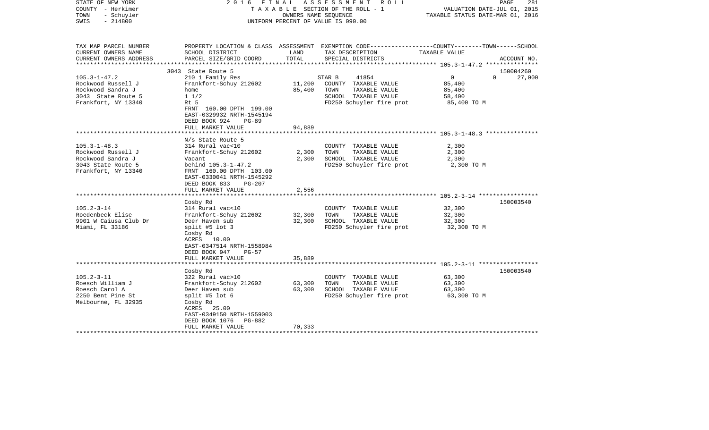| STATE OF NEW YORK<br>COUNTY - Herkimer<br>- Schuyler<br>TOWN<br>$-214800$<br>SWIS |                                                                                                       | OWNERS NAME SEQUENCE | 2016 FINAL ASSESSMENT ROLL<br>T A X A B L E SECTION OF THE ROLL - 1<br>UNIFORM PERCENT OF VALUE IS 090.00 | PAGE<br>VALUATION DATE-JUL 01, 2015<br>TAXABLE STATUS DATE-MAR 01, 2016                          | 281    |
|-----------------------------------------------------------------------------------|-------------------------------------------------------------------------------------------------------|----------------------|-----------------------------------------------------------------------------------------------------------|--------------------------------------------------------------------------------------------------|--------|
| TAX MAP PARCEL NUMBER                                                             |                                                                                                       |                      |                                                                                                           | PROPERTY LOCATION & CLASS ASSESSMENT EXEMPTION CODE----------------COUNTY-------TOWN------SCHOOL |        |
| CURRENT OWNERS NAME                                                               | SCHOOL DISTRICT                                                                                       | LAND                 | TAX DESCRIPTION                                                                                           | TAXABLE VALUE                                                                                    |        |
| CURRENT OWNERS ADDRESS<br>***********************                                 | PARCEL SIZE/GRID COORD                                                                                | TOTAL                | SPECIAL DISTRICTS                                                                                         | ACCOUNT NO.                                                                                      |        |
|                                                                                   | 3043 State Route 5                                                                                    |                      |                                                                                                           | 150004260                                                                                        |        |
| $105.3 - 1 - 47.2$                                                                | 210 1 Family Res                                                                                      |                      | STAR B<br>41854                                                                                           | $\overline{0}$<br>$\Omega$                                                                       | 27,000 |
| Rockwood Russell J                                                                | Frankfort-Schuy 212602                                                                                | 11,200               | COUNTY TAXABLE VALUE                                                                                      | 85,400                                                                                           |        |
| Rockwood Sandra J                                                                 | home                                                                                                  | 85,400               | TOWN<br>TAXABLE VALUE                                                                                     | 85,400                                                                                           |        |
| 3043 State Route 5                                                                | $1 \frac{1}{2}$                                                                                       |                      | SCHOOL TAXABLE VALUE                                                                                      | 58,400                                                                                           |        |
| Frankfort, NY 13340                                                               | Rt 5                                                                                                  |                      | FD250 Schuyler fire prot                                                                                  | 85,400 TO M                                                                                      |        |
|                                                                                   | FRNT 160.00 DPTH 199.00<br>EAST-0329932 NRTH-1545194<br>DEED BOOK 924<br>$PG-89$<br>FULL MARKET VALUE | 94,889               |                                                                                                           |                                                                                                  |        |
|                                                                                   |                                                                                                       |                      |                                                                                                           |                                                                                                  |        |
|                                                                                   | N/s State Route 5                                                                                     |                      |                                                                                                           |                                                                                                  |        |
| $105.3 - 1 - 48.3$                                                                | 314 Rural vac<10                                                                                      |                      | COUNTY TAXABLE VALUE                                                                                      | 2,300                                                                                            |        |
| Rockwood Russell J                                                                | Frankfort-Schuy 212602                                                                                | 2,300                | TOWN<br>TAXABLE VALUE                                                                                     | 2,300                                                                                            |        |
| Rockwood Sandra J                                                                 | Vacant                                                                                                | 2,300                | SCHOOL TAXABLE VALUE                                                                                      | 2,300                                                                                            |        |
| 3043 State Route 5                                                                | behind 105.3-1-47.2                                                                                   |                      | FD250 Schuyler fire prot                                                                                  | 2,300 TO M                                                                                       |        |
| Frankfort, NY 13340                                                               | FRNT 160.00 DPTH 103.00<br>EAST-0330041 NRTH-1545292<br>DEED BOOK 833<br><b>PG-207</b>                |                      |                                                                                                           |                                                                                                  |        |
|                                                                                   | FULL MARKET VALUE                                                                                     | 2,556                |                                                                                                           |                                                                                                  |        |
|                                                                                   |                                                                                                       |                      |                                                                                                           |                                                                                                  |        |
|                                                                                   | Cosby Rd                                                                                              |                      |                                                                                                           | 150003540                                                                                        |        |
| $105.2 - 3 - 14$                                                                  | 314 Rural vac<10                                                                                      |                      | COUNTY TAXABLE VALUE                                                                                      | 32,300                                                                                           |        |
| Roedenbeck Elise                                                                  | Frankfort-Schuy 212602                                                                                | 32,300               | TOWN<br>TAXABLE VALUE                                                                                     | 32,300                                                                                           |        |
| 9901 W Caiusa Club Dr                                                             | Deer Haven sub                                                                                        | 32,300               | SCHOOL TAXABLE VALUE                                                                                      | 32,300                                                                                           |        |
| Miami, FL 33186                                                                   | split #5 lot $3$<br>Cosby Rd<br>ACRES 10.00<br>EAST-0347514 NRTH-1558984<br>DEED BOOK 947<br>$PG-57$  |                      | FD250 Schuyler fire prot                                                                                  | 32,300 TO M                                                                                      |        |
|                                                                                   | FULL MARKET VALUE                                                                                     | 35,889               |                                                                                                           |                                                                                                  |        |
|                                                                                   | *********************                                                                                 |                      |                                                                                                           |                                                                                                  |        |
|                                                                                   | Cosby Rd                                                                                              |                      |                                                                                                           | 150003540                                                                                        |        |
| $105.2 - 3 - 11$                                                                  | 322 Rural vac>10                                                                                      |                      | COUNTY TAXABLE VALUE                                                                                      | 63,300                                                                                           |        |
| Roesch William J<br>Roesch Carol A                                                | Frankfort-Schuy 212602<br>Deer Haven sub                                                              | 63,300<br>63,300     | TAXABLE VALUE<br>TOWN<br>SCHOOL TAXABLE VALUE                                                             | 63,300<br>63,300                                                                                 |        |
| 2250 Bent Pine St                                                                 | split #5 lot $6$                                                                                      |                      | FD250 Schuyler fire prot                                                                                  | 63,300 TO M                                                                                      |        |
| Melbourne, FL 32935                                                               | Cosby Rd                                                                                              |                      |                                                                                                           |                                                                                                  |        |
|                                                                                   | ACRES 25.00                                                                                           |                      |                                                                                                           |                                                                                                  |        |
|                                                                                   | EAST-0349150 NRTH-1559003                                                                             |                      |                                                                                                           |                                                                                                  |        |
|                                                                                   | DEED BOOK 1076 PG-882                                                                                 |                      |                                                                                                           |                                                                                                  |        |
|                                                                                   | FULL MARKET VALUE                                                                                     | 70,333               |                                                                                                           |                                                                                                  |        |
|                                                                                   |                                                                                                       |                      |                                                                                                           |                                                                                                  |        |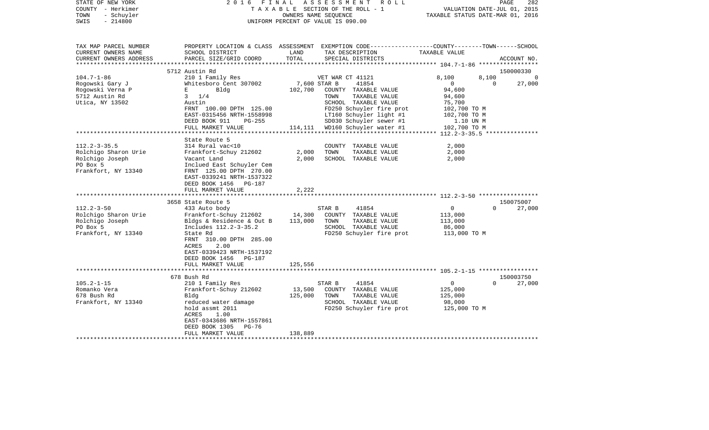| STATE OF NEW YORK<br>COUNTY - Herkimer<br>- Schuyler<br>TOWN<br>$-214800$<br>SWIS | 2 0 1 6<br>FINAL                                     |                   | ASSESSMENT<br>R O L L<br>TAXABLE SECTION OF THE ROLL - 1<br>OWNERS NAME SEQUENCE<br>UNIFORM PERCENT OF VALUE IS 090.00                  | TAXABLE STATUS DATE-MAR 01, 2016                | 282<br>PAGE<br>VALUATION DATE-JUL 01, 2015 |
|-----------------------------------------------------------------------------------|------------------------------------------------------|-------------------|-----------------------------------------------------------------------------------------------------------------------------------------|-------------------------------------------------|--------------------------------------------|
| TAX MAP PARCEL NUMBER<br>CURRENT OWNERS NAME<br>CURRENT OWNERS ADDRESS            | SCHOOL DISTRICT<br>PARCEL SIZE/GRID COORD            | LAND<br>TOTAL     | PROPERTY LOCATION & CLASS ASSESSMENT EXEMPTION CODE---------------COUNTY-------TOWN------SCHOOL<br>TAX DESCRIPTION<br>SPECIAL DISTRICTS | TAXABLE VALUE                                   | ACCOUNT NO.                                |
| ******************                                                                |                                                      | ****************  |                                                                                                                                         | ***************** 104.7-1-86 ****************** |                                            |
|                                                                                   | 5712 Austin Rd                                       |                   |                                                                                                                                         |                                                 | 150000330                                  |
| $104.7 - 1 - 86$                                                                  | 210 1 Family Res                                     |                   | VET WAR CT 41121                                                                                                                        | 8,100                                           | 8,100                                      |
| Rogowski Gary J                                                                   | Whitesboro Cent 307002                               |                   | 7,600 STAR B<br>41854                                                                                                                   | $\Omega$                                        | 27,000<br>$\Omega$                         |
| Rogowski Verna P                                                                  | Е<br>Bldg                                            | 102,700           | COUNTY TAXABLE VALUE                                                                                                                    | 94,600                                          |                                            |
| 5712 Austin Rd                                                                    | $3 \frac{1}{4}$                                      |                   | TOWN<br>TAXABLE VALUE                                                                                                                   | 94,600                                          |                                            |
| Utica, NY 13502                                                                   | Austin                                               |                   | SCHOOL TAXABLE VALUE                                                                                                                    | 75,700                                          |                                            |
|                                                                                   | FRNT 100.00 DPTH 125.00<br>EAST-0315456 NRTH-1558998 |                   | FD250 Schuyler fire prot<br>LT160 Schuyler light #1                                                                                     | 102,700 TO M<br>102,700 TO M                    |                                            |
|                                                                                   | DEED BOOK 911<br>PG-255                              |                   | SD030 Schuyler sewer #1                                                                                                                 | 1.10 UN M                                       |                                            |
|                                                                                   | FULL MARKET VALUE                                    | 114,111           | WD160 Schuyler water #1                                                                                                                 | 102,700 TO M                                    |                                            |
|                                                                                   |                                                      |                   |                                                                                                                                         |                                                 |                                            |
|                                                                                   | State Route 5                                        |                   |                                                                                                                                         |                                                 |                                            |
| $112.2 - 3 - 35.5$                                                                | 314 Rural vac<10                                     |                   | COUNTY TAXABLE VALUE                                                                                                                    | 2,000                                           |                                            |
| Rolchigo Sharon Urie                                                              | Frankfort-Schuy 212602                               | 2,000             | TOWN<br>TAXABLE VALUE                                                                                                                   | 2,000                                           |                                            |
| Rolchigo Joseph                                                                   | Vacant Land                                          | 2,000             | SCHOOL TAXABLE VALUE                                                                                                                    | 2,000                                           |                                            |
| PO Box 5<br>Frankfort, NY 13340                                                   | Inclued East Schuyler Cem<br>FRNT 125.00 DPTH 270.00 |                   |                                                                                                                                         |                                                 |                                            |
|                                                                                   | EAST-0339241 NRTH-1537322                            |                   |                                                                                                                                         |                                                 |                                            |
|                                                                                   | DEED BOOK 1456<br>PG-187                             |                   |                                                                                                                                         |                                                 |                                            |
|                                                                                   | FULL MARKET VALUE                                    | 2,222             |                                                                                                                                         |                                                 |                                            |
|                                                                                   |                                                      |                   |                                                                                                                                         |                                                 |                                            |
|                                                                                   | 3658 State Route 5                                   |                   |                                                                                                                                         |                                                 | 150075007                                  |
| $112.2 - 3 - 50$                                                                  | 433 Auto body                                        |                   | STAR B<br>41854                                                                                                                         | 0                                               | $\Omega$<br>27,000                         |
| Rolchigo Sharon Urie                                                              | Frankfort-Schuy 212602                               | 14,300            | COUNTY TAXABLE VALUE                                                                                                                    | 113,000                                         |                                            |
| Rolchigo Joseph                                                                   | Bldgs & Residence & Out B                            | 113,000           | TOWN<br>TAXABLE VALUE                                                                                                                   | 113,000                                         |                                            |
| PO Box 5                                                                          | Includes 112.2-3-35.2                                |                   | SCHOOL TAXABLE VALUE                                                                                                                    | 86,000                                          |                                            |
| Frankfort, NY 13340                                                               | State Rd<br>FRNT 310.00 DPTH 285.00                  |                   | FD250 Schuyler fire prot                                                                                                                | 113,000 TO M                                    |                                            |
|                                                                                   | ACRES<br>2.00                                        |                   |                                                                                                                                         |                                                 |                                            |
|                                                                                   | EAST-0339423 NRTH-1537192                            |                   |                                                                                                                                         |                                                 |                                            |
|                                                                                   | DEED BOOK 1456<br><b>PG-187</b>                      |                   |                                                                                                                                         |                                                 |                                            |
|                                                                                   | FULL MARKET VALUE                                    | 125,556           |                                                                                                                                         |                                                 |                                            |
|                                                                                   |                                                      |                   |                                                                                                                                         |                                                 |                                            |
|                                                                                   | 678 Bush Rd                                          |                   |                                                                                                                                         |                                                 | 150003750                                  |
| $105.2 - 1 - 15$                                                                  | 210 1 Family Res                                     |                   | STAR B<br>41854                                                                                                                         | 0                                               | 27,000<br>$\Omega$                         |
| Romanko Vera<br>678 Bush Rd                                                       | Frankfort-Schuy 212602<br>Bldg                       | 13,500<br>125,000 | COUNTY TAXABLE VALUE<br>TOWN<br>TAXABLE VALUE                                                                                           | 125,000<br>125,000                              |                                            |
| Frankfort, NY 13340                                                               | reduced water damage                                 |                   | SCHOOL TAXABLE VALUE                                                                                                                    | 98,000                                          |                                            |
|                                                                                   | hold assmt 2011                                      |                   | FD250 Schuyler fire prot                                                                                                                | 125,000 TO M                                    |                                            |
|                                                                                   | ACRES<br>1.00                                        |                   |                                                                                                                                         |                                                 |                                            |
|                                                                                   | EAST-0343686 NRTH-1557861                            |                   |                                                                                                                                         |                                                 |                                            |
|                                                                                   | $PG-76$<br>DEED BOOK 1305                            |                   |                                                                                                                                         |                                                 |                                            |
| **********************                                                            | FULL MARKET VALUE                                    | 138,889           |                                                                                                                                         |                                                 |                                            |
|                                                                                   |                                                      |                   |                                                                                                                                         |                                                 |                                            |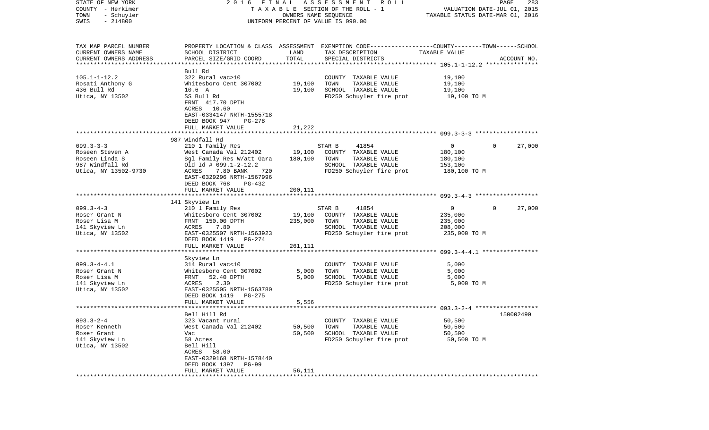| STATE OF NEW YORK                       | 2016 FINAL                                  |                                  | A S S E S S M E N T<br>R O L L                                                                  |                | 283<br>PAGE           |
|-----------------------------------------|---------------------------------------------|----------------------------------|-------------------------------------------------------------------------------------------------|----------------|-----------------------|
| COUNTY - Herkimer                       | TAXABLE SECTION OF THE ROLL - 1             | VALUATION DATE-JUL 01, 2015      |                                                                                                 |                |                       |
| TOWN<br>- Schuyler<br>$-214800$<br>SWIS |                                             | TAXABLE STATUS DATE-MAR 01, 2016 |                                                                                                 |                |                       |
|                                         |                                             |                                  | UNIFORM PERCENT OF VALUE IS 090.00                                                              |                |                       |
|                                         |                                             |                                  |                                                                                                 |                |                       |
| TAX MAP PARCEL NUMBER                   |                                             |                                  | PROPERTY LOCATION & CLASS ASSESSMENT EXEMPTION CODE---------------COUNTY-------TOWN------SCHOOL |                |                       |
| CURRENT OWNERS NAME                     | SCHOOL DISTRICT                             | LAND                             | TAX DESCRIPTION                                                                                 | TAXABLE VALUE  |                       |
| CURRENT OWNERS ADDRESS                  | PARCEL SIZE/GRID COORD                      | TOTAL                            | SPECIAL DISTRICTS                                                                               |                | ACCOUNT NO.           |
| ************************                |                                             |                                  |                                                                                                 |                |                       |
|                                         | Bull Rd                                     |                                  |                                                                                                 |                |                       |
| $105.1 - 1 - 12.2$                      | 322 Rural vac>10                            |                                  | COUNTY TAXABLE VALUE                                                                            | 19,100         |                       |
| Rosati Anthony G                        | Whitesboro Cent 307002                      | 19,100                           | TOWN<br>TAXABLE VALUE                                                                           | 19,100         |                       |
| 436 Bull Rd                             | $10.6\quad A$                               | 19,100                           | SCHOOL TAXABLE VALUE                                                                            | 19,100         |                       |
| Utica, NY 13502                         | SS Bull Rd<br>FRNT 417.70 DPTH              |                                  | FD250 Schuyler fire prot                                                                        | 19,100 TO M    |                       |
|                                         | ACRES 10.60                                 |                                  |                                                                                                 |                |                       |
|                                         | EAST-0334147 NRTH-1555718                   |                                  |                                                                                                 |                |                       |
|                                         | DEED BOOK 947<br>PG-278                     |                                  |                                                                                                 |                |                       |
|                                         | FULL MARKET VALUE                           | 21,222                           |                                                                                                 |                |                       |
|                                         |                                             |                                  |                                                                                                 |                |                       |
|                                         | 987 Windfall Rd                             |                                  |                                                                                                 |                |                       |
| $099.3 - 3 - 3$                         | 210 1 Family Res                            |                                  | 41854<br>STAR B                                                                                 | $\overline{0}$ | 27,000<br>$\Omega$    |
| Roseen Steven A                         | West Canada Val 212402                      | 19,100                           | COUNTY TAXABLE VALUE                                                                            | 180,100        |                       |
| Roseen Linda S                          | Sgl Family Res W/att Gara                   | 180,100                          | TAXABLE VALUE<br>TOWN                                                                           | 180,100        |                       |
| 987 Windfall Rd                         | Old Id # $099.1 - 2 - 12.2$                 |                                  | SCHOOL TAXABLE VALUE                                                                            | 153,100        |                       |
| Utica, NY 13502-9730                    | 7.80 BANK<br>ACRES<br>720                   |                                  | FD250 Schuyler fire prot                                                                        | 180,100 TO M   |                       |
|                                         | EAST-0329296 NRTH-1567996                   |                                  |                                                                                                 |                |                       |
|                                         | DEED BOOK 768<br>PG-432                     |                                  |                                                                                                 |                |                       |
|                                         | FULL MARKET VALUE                           | 200,111                          |                                                                                                 |                |                       |
|                                         | 141 Skyview Ln                              |                                  |                                                                                                 |                |                       |
| $099.3 - 4 - 3$                         | 210 1 Family Res                            |                                  | STAR B<br>41854                                                                                 | $\overline{0}$ | 27,000<br>$\mathbf 0$ |
| Roser Grant N                           | Whitesboro Cent 307002                      | 19,100                           | COUNTY TAXABLE VALUE                                                                            | 235,000        |                       |
| Roser Lisa M                            | FRNT 150.00 DPTH                            | 235,000                          | TOWN<br>TAXABLE VALUE                                                                           | 235,000        |                       |
| 141 Skyview Ln                          | 7.80<br>ACRES                               |                                  | SCHOOL TAXABLE VALUE                                                                            | 208,000        |                       |
| Utica, NY 13502                         | EAST-0325507 NRTH-1563923                   |                                  | FD250 Schuyler fire prot                                                                        | 235,000 TO M   |                       |
|                                         | DEED BOOK 1419 PG-274                       |                                  |                                                                                                 |                |                       |
|                                         | FULL MARKET VALUE                           | 261,111                          |                                                                                                 |                |                       |
|                                         | *************************                   |                                  |                                                                                                 |                |                       |
|                                         | Skyview Ln                                  |                                  |                                                                                                 |                |                       |
| $099.3 - 4 - 4.1$                       | 314 Rural vac<10                            |                                  | COUNTY TAXABLE VALUE                                                                            | 5,000          |                       |
| Roser Grant N                           | Whitesboro Cent 307002                      | 5,000                            | TOWN<br>TAXABLE VALUE                                                                           | 5,000          |                       |
| Roser Lisa M                            | FRNT<br>52.40 DPTH                          | 5,000                            | SCHOOL TAXABLE VALUE                                                                            | 5,000          |                       |
| 141 Skyview Ln                          | 2.30<br>ACRES                               |                                  | FD250 Schuyler fire prot                                                                        | 5,000 TO M     |                       |
| Utica, NY 13502                         | EAST-0325505 NRTH-1563780<br>DEED BOOK 1419 |                                  |                                                                                                 |                |                       |
|                                         | PG-275<br>FULL MARKET VALUE                 | 5,556                            |                                                                                                 |                |                       |
|                                         |                                             |                                  |                                                                                                 |                |                       |
|                                         | Bell Hill Rd                                |                                  |                                                                                                 |                | 150002490             |
| $093.3 - 2 - 4$                         | 323 Vacant rural                            |                                  | COUNTY TAXABLE VALUE                                                                            | 50,500         |                       |
| Roser Kenneth                           | West Canada Val 212402                      | 50,500                           | TAXABLE VALUE<br>TOWN                                                                           | 50,500         |                       |
| Roser Grant                             | Vac                                         | 50,500                           | SCHOOL TAXABLE VALUE                                                                            | 50,500         |                       |
| 141 Skyview Ln                          | 58 Acres                                    |                                  | FD250 Schuyler fire prot                                                                        | 50,500 TO M    |                       |
| Utica, NY 13502                         | Bell Hill                                   |                                  |                                                                                                 |                |                       |
|                                         | ACRES<br>58.00                              |                                  |                                                                                                 |                |                       |
|                                         | EAST-0329168 NRTH-1578440                   |                                  |                                                                                                 |                |                       |
|                                         | DEED BOOK 1397 PG-99                        |                                  |                                                                                                 |                |                       |
|                                         | FULL MARKET VALUE                           | 56,111                           |                                                                                                 |                |                       |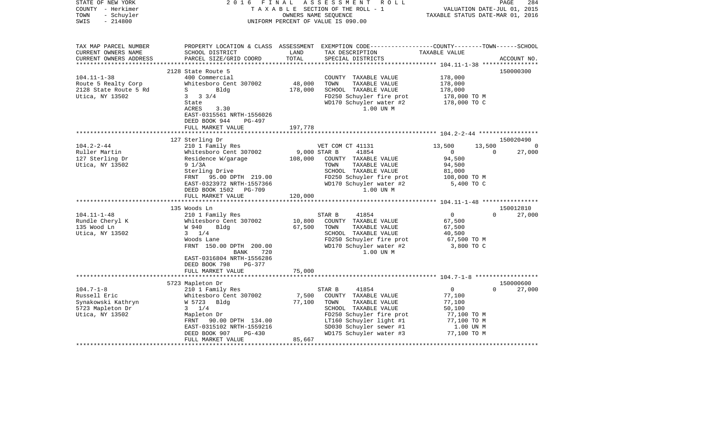| STATE OF NEW YORK<br>COUNTY - Herkimer<br>- Schuyler<br>TOWN<br>$-214800$<br>SWIS | 2 0 1 6<br>FINAL                          |               | ASSESSMENT ROLL<br>TAXABLE SECTION OF THE ROLL - 1<br>OWNERS NAME SEQUENCE<br>UNIFORM PERCENT OF VALUE IS 090.00                        | VALUATION DATE-JUL 01, 2015<br>TAXABLE STATUS DATE-MAR 01, 2016 | 284<br>PAGE        |
|-----------------------------------------------------------------------------------|-------------------------------------------|---------------|-----------------------------------------------------------------------------------------------------------------------------------------|-----------------------------------------------------------------|--------------------|
| TAX MAP PARCEL NUMBER<br>CURRENT OWNERS NAME<br>CURRENT OWNERS ADDRESS            | SCHOOL DISTRICT<br>PARCEL SIZE/GRID COORD | LAND<br>TOTAL | PROPERTY LOCATION & CLASS ASSESSMENT EXEMPTION CODE---------------COUNTY-------TOWN------SCHOOL<br>TAX DESCRIPTION<br>SPECIAL DISTRICTS | TAXABLE VALUE                                                   | ACCOUNT NO.        |
|                                                                                   |                                           |               |                                                                                                                                         |                                                                 |                    |
| $104.11 - 1 - 38$                                                                 | 2128 State Route 5<br>400 Commercial      |               |                                                                                                                                         | 178,000                                                         | 150000300          |
| Route 5 Realty Corp                                                               | Whitesboro Cent 307002                    | 48,000        | COUNTY TAXABLE VALUE<br>TOWN<br>TAXABLE VALUE                                                                                           | 178,000                                                         |                    |
| 2128 State Route 5 Rd                                                             | Bldg<br>S                                 | 178,000       | SCHOOL TAXABLE VALUE                                                                                                                    | 178,000                                                         |                    |
| Utica, NY 13502                                                                   | $3 \t3 \t3 \t3 \t4$                       |               | FD250 Schuyler fire prot                                                                                                                | 178,000 TO M                                                    |                    |
|                                                                                   | State                                     |               | WD170 Schuyler water #2                                                                                                                 | 178,000 TO C                                                    |                    |
|                                                                                   | ACRES<br>3.30                             |               | 1.00 UN M                                                                                                                               |                                                                 |                    |
|                                                                                   | EAST-0315561 NRTH-1556026                 |               |                                                                                                                                         |                                                                 |                    |
|                                                                                   | DEED BOOK 944<br>PG-497                   |               |                                                                                                                                         |                                                                 |                    |
|                                                                                   | FULL MARKET VALUE                         | 197,778       |                                                                                                                                         |                                                                 |                    |
|                                                                                   | 127 Sterling Dr                           |               |                                                                                                                                         |                                                                 | 150020490          |
| $104.2 - 2 - 44$                                                                  | 210 1 Family Res                          |               | VET COM CT 41131                                                                                                                        | 13,500<br>13,500                                                | $\Omega$           |
| Ruller Martin                                                                     | Whitesboro Cent 307002                    | 9,000 STAR B  | 41854                                                                                                                                   | $\overline{0}$                                                  | $\Omega$<br>27,000 |
| 127 Sterling Dr                                                                   | Residence W/garage                        | 108,000       | COUNTY TAXABLE VALUE                                                                                                                    | 94,500                                                          |                    |
| Utica, NY 13502                                                                   | $9 \frac{1}{3A}$                          |               | TOWN<br>TAXABLE VALUE                                                                                                                   | 94,500                                                          |                    |
|                                                                                   | Sterling Drive                            |               | SCHOOL TAXABLE VALUE                                                                                                                    | 81,000                                                          |                    |
|                                                                                   | FRNT<br>95.00 DPTH 219.00                 |               | FD250 Schuyler fire prot                                                                                                                | 108,000 TO M                                                    |                    |
|                                                                                   | EAST-0323972 NRTH-1557366                 |               | WD170 Schuyler water #2                                                                                                                 | 5,400 TO C                                                      |                    |
|                                                                                   | DEED BOOK 1502 PG-709                     |               | 1.00 UN M                                                                                                                               |                                                                 |                    |
|                                                                                   | FULL MARKET VALUE                         | 120,000       |                                                                                                                                         |                                                                 |                    |
|                                                                                   | 135 Woods Ln                              |               |                                                                                                                                         |                                                                 | 150012810          |
| $104.11 - 1 - 48$                                                                 | 210 1 Family Res                          |               | 41854<br>STAR B                                                                                                                         | $\mathbf 0$                                                     | $\Omega$<br>27,000 |
| Rundle Cheryl K                                                                   | Whitesboro Cent 307002                    | 10,800        | COUNTY TAXABLE VALUE                                                                                                                    | 67,500                                                          |                    |
| 135 Wood Ln                                                                       | W 940<br>Bldg                             | 67,500        | TAXABLE VALUE<br>TOWN                                                                                                                   | 67,500                                                          |                    |
| Utica, NY 13502                                                                   | $3 \t1/4$                                 |               | SCHOOL TAXABLE VALUE                                                                                                                    | 40,500                                                          |                    |
|                                                                                   | Woods Lane                                |               | FD250 Schuyler fire prot                                                                                                                | 67,500 TO M                                                     |                    |
|                                                                                   | FRNT 150.00 DPTH 200.00                   |               | WD170 Schuyler water #2                                                                                                                 | 3,800 TO C                                                      |                    |
|                                                                                   | 720<br>BANK                               |               | 1.00 UN M                                                                                                                               |                                                                 |                    |
|                                                                                   | EAST-0316804 NRTH-1556286                 |               |                                                                                                                                         |                                                                 |                    |
|                                                                                   | DEED BOOK 798<br>PG-377                   |               |                                                                                                                                         |                                                                 |                    |
|                                                                                   | FULL MARKET VALUE                         | 75,000        |                                                                                                                                         |                                                                 |                    |
|                                                                                   | 5723 Mapleton Dr                          |               |                                                                                                                                         |                                                                 | 150000600          |
| $104.7 - 1 - 8$                                                                   | 210 1 Family Res                          |               | 41854<br>STAR B                                                                                                                         | $\overline{0}$                                                  | $\Omega$<br>27,000 |
| Russell Eric                                                                      | Whitesboro Cent 307002                    | 7,500         | COUNTY TAXABLE VALUE                                                                                                                    | 77,100                                                          |                    |
| Synakowski Kathryn                                                                | W 5723 Bldg                               | 77,100        | TOWN<br>TAXABLE VALUE                                                                                                                   | 77,100                                                          |                    |
| 5723 Mapleton Dr                                                                  | $3 \t1/4$                                 |               | SCHOOL TAXABLE VALUE                                                                                                                    | 50,100                                                          |                    |
| Utica, NY 13502                                                                   | Mapleton Dr                               |               | FD250 Schuyler fire prot                                                                                                                | 77,100 TO M                                                     |                    |
|                                                                                   | FRNT 90.00 DPTH 134.00                    |               | LT160 Schuyler light #1                                                                                                                 | 77,100 TO M                                                     |                    |
|                                                                                   | EAST-0315102 NRTH-1559216                 |               | SD030 Schuyler sewer #1                                                                                                                 | 1.00 UN M                                                       |                    |
|                                                                                   | DEED BOOK 907<br>$PG-430$                 |               | WD175 Schuyler water #3                                                                                                                 | 77,100 TO M                                                     |                    |
|                                                                                   | FULL MARKET VALUE                         | 85,667        |                                                                                                                                         |                                                                 |                    |
|                                                                                   |                                           |               |                                                                                                                                         |                                                                 |                    |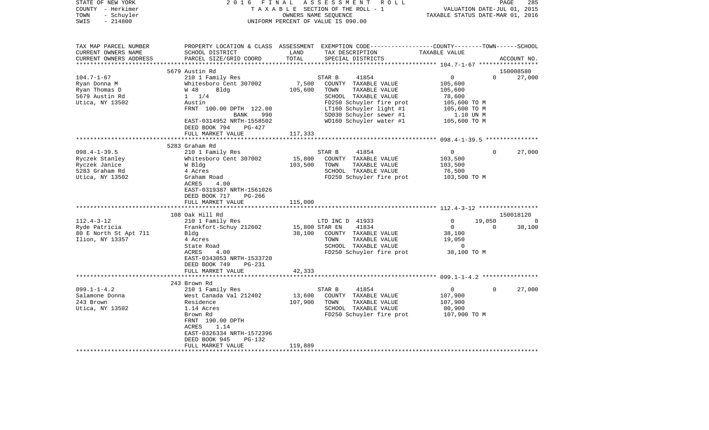| TAXABLE SECTION OF THE ROLL - 1<br>TOWN<br>- Schuyler<br>OWNERS NAME SEQUENCE<br>TAXABLE STATUS DATE-MAR 01, 2016<br>$-214800$<br>SWIS<br>UNIFORM PERCENT OF VALUE IS 090.00<br>TAX MAP PARCEL NUMBER<br>PROPERTY LOCATION & CLASS ASSESSMENT EXEMPTION CODE---------------COUNTY-------TOWN------SCHOOL<br>CURRENT OWNERS NAME<br>SCHOOL DISTRICT<br>LAND<br>TAX DESCRIPTION<br>TAXABLE VALUE<br>TOTAL<br>CURRENT OWNERS ADDRESS<br>PARCEL SIZE/GRID COORD<br>SPECIAL DISTRICTS<br>ACCOUNT NO.<br>5679 Austin Rd<br>150008580<br>$104.7 - 1 - 67$<br>$\Omega$<br>210 1 Family Res<br>41854<br>0<br>27,000<br>STAR B<br>Whitesboro Cent 307002<br>7,500<br>COUNTY TAXABLE VALUE<br>Ryan Donna M<br>105,600<br>Ryan Thomas D<br>105,600<br>TOWN<br>TAXABLE VALUE<br>W 48<br>Bldg<br>105,600<br>$1 \t1/4$<br>SCHOOL TAXABLE VALUE<br>5679 Austin Rd<br>78,600<br>FD250 Schuyler fire prot<br>Utica, NY 13502<br>Austin<br>105,600 TO M<br>LT160 Schuyler light #1<br>FRNT 100.00 DPTH 122.00<br>105,600 TO M<br>SD030 Schuyler sewer #1<br>990<br>1.10 UN M<br>BANK<br>WD160 Schuyler water #1<br>105,600 TO M<br>EAST-0314952 NRTH-1558502<br>DEED BOOK 794<br>PG-427<br>117,333<br>FULL MARKET VALUE<br>***************************<br>5283 Graham Rd<br>$098.4 - 1 - 39.5$<br>210 1 Family Res<br>STAR B<br>41854<br>$\Omega$<br>$\Omega$<br>27,000<br>Ryczek Stanley<br>Whitesboro Cent 307002<br>15,800<br>COUNTY TAXABLE VALUE<br>103,500<br>103,500<br>TAXABLE VALUE<br>103,500<br>Ryczek Janice<br>W Bldg<br>TOWN<br>5283 Graham Rd<br>SCHOOL TAXABLE VALUE<br>4 Acres<br>76,500<br>Utica, NY 13502<br>FD250 Schuyler fire prot<br>103,500 TO M<br>Graham Road<br>ACRES<br>4.00<br>EAST-0319387 NRTH-1561026<br>DEED BOOK 717<br>PG-266<br>FULL MARKET VALUE<br>115,000<br>***************************<br>108 Oak Hill Rd<br>150018120<br>$112.4 - 3 - 12$<br>19,050<br>210 1 Family Res<br>LTD INC D 41933<br>$\mathbf 0$<br>0<br>Frankfort-Schuy 212602<br>15,800 STAR EN<br>41834<br>$\Omega$<br>38,100<br>Ryde Patricia<br>$\Omega$<br>38,100<br>80 E North St Apt 711<br>Bldg<br>38,100<br>COUNTY TAXABLE VALUE<br>Ilion, NY 13357<br>TOWN<br>TAXABLE VALUE<br>19,050<br>4 Acres<br>SCHOOL TAXABLE VALUE<br>State Road<br>0<br>ACRES<br>4.00<br>FD250 Schuyler fire prot<br>38,100 TO M<br>EAST-0343053 NRTH-1533720<br>DEED BOOK 749<br>PG-231<br>FULL MARKET VALUE<br>42,333<br>243 Brown Rd<br>$099.1 - 1 - 4.2$<br>210 1 Family Res<br>STAR B<br>41854<br>$\Omega$<br>$\Omega$<br>27,000<br>Salamone Donna<br>West Canada Val 212402<br>13,600<br>COUNTY TAXABLE VALUE<br>107,900<br>107,900<br>243 Brown<br>Residence<br>TOWN<br>TAXABLE VALUE<br>107,900<br>Utica, NY 13502<br>1.14 Acres<br>SCHOOL TAXABLE VALUE<br>80,900<br>FD250 Schuyler fire prot<br>107,900 TO M<br>Brown Rd<br>FRNT 190.00 DPTH<br>ACRES<br>1.14<br>EAST-0326334 NRTH-1572396<br>DEED BOOK 945<br>PG-132<br>119,889<br>FULL MARKET VALUE | STATE OF NEW YORK | 2 0 1 6 | FINAL                       | ASSESSMENT<br>R O L L |  | PAGE | 285 |  |
|-----------------------------------------------------------------------------------------------------------------------------------------------------------------------------------------------------------------------------------------------------------------------------------------------------------------------------------------------------------------------------------------------------------------------------------------------------------------------------------------------------------------------------------------------------------------------------------------------------------------------------------------------------------------------------------------------------------------------------------------------------------------------------------------------------------------------------------------------------------------------------------------------------------------------------------------------------------------------------------------------------------------------------------------------------------------------------------------------------------------------------------------------------------------------------------------------------------------------------------------------------------------------------------------------------------------------------------------------------------------------------------------------------------------------------------------------------------------------------------------------------------------------------------------------------------------------------------------------------------------------------------------------------------------------------------------------------------------------------------------------------------------------------------------------------------------------------------------------------------------------------------------------------------------------------------------------------------------------------------------------------------------------------------------------------------------------------------------------------------------------------------------------------------------------------------------------------------------------------------------------------------------------------------------------------------------------------------------------------------------------------------------------------------------------------------------------------------------------------------------------------------------------------------------------------------------------------------------------------------------------------------------------------------------------------------------------------------------------------------------------------------------------------------------------------------------------------------------------------------------------------------------------------------------------------------|-------------------|---------|-----------------------------|-----------------------|--|------|-----|--|
|                                                                                                                                                                                                                                                                                                                                                                                                                                                                                                                                                                                                                                                                                                                                                                                                                                                                                                                                                                                                                                                                                                                                                                                                                                                                                                                                                                                                                                                                                                                                                                                                                                                                                                                                                                                                                                                                                                                                                                                                                                                                                                                                                                                                                                                                                                                                                                                                                                                                                                                                                                                                                                                                                                                                                                                                                                                                                                                                   | COUNTY - Herkimer |         | VALUATION DATE-JUL 01, 2015 |                       |  |      |     |  |
|                                                                                                                                                                                                                                                                                                                                                                                                                                                                                                                                                                                                                                                                                                                                                                                                                                                                                                                                                                                                                                                                                                                                                                                                                                                                                                                                                                                                                                                                                                                                                                                                                                                                                                                                                                                                                                                                                                                                                                                                                                                                                                                                                                                                                                                                                                                                                                                                                                                                                                                                                                                                                                                                                                                                                                                                                                                                                                                                   |                   |         |                             |                       |  |      |     |  |
|                                                                                                                                                                                                                                                                                                                                                                                                                                                                                                                                                                                                                                                                                                                                                                                                                                                                                                                                                                                                                                                                                                                                                                                                                                                                                                                                                                                                                                                                                                                                                                                                                                                                                                                                                                                                                                                                                                                                                                                                                                                                                                                                                                                                                                                                                                                                                                                                                                                                                                                                                                                                                                                                                                                                                                                                                                                                                                                                   |                   |         |                             |                       |  |      |     |  |
|                                                                                                                                                                                                                                                                                                                                                                                                                                                                                                                                                                                                                                                                                                                                                                                                                                                                                                                                                                                                                                                                                                                                                                                                                                                                                                                                                                                                                                                                                                                                                                                                                                                                                                                                                                                                                                                                                                                                                                                                                                                                                                                                                                                                                                                                                                                                                                                                                                                                                                                                                                                                                                                                                                                                                                                                                                                                                                                                   |                   |         |                             |                       |  |      |     |  |
|                                                                                                                                                                                                                                                                                                                                                                                                                                                                                                                                                                                                                                                                                                                                                                                                                                                                                                                                                                                                                                                                                                                                                                                                                                                                                                                                                                                                                                                                                                                                                                                                                                                                                                                                                                                                                                                                                                                                                                                                                                                                                                                                                                                                                                                                                                                                                                                                                                                                                                                                                                                                                                                                                                                                                                                                                                                                                                                                   |                   |         |                             |                       |  |      |     |  |
|                                                                                                                                                                                                                                                                                                                                                                                                                                                                                                                                                                                                                                                                                                                                                                                                                                                                                                                                                                                                                                                                                                                                                                                                                                                                                                                                                                                                                                                                                                                                                                                                                                                                                                                                                                                                                                                                                                                                                                                                                                                                                                                                                                                                                                                                                                                                                                                                                                                                                                                                                                                                                                                                                                                                                                                                                                                                                                                                   |                   |         |                             |                       |  |      |     |  |
|                                                                                                                                                                                                                                                                                                                                                                                                                                                                                                                                                                                                                                                                                                                                                                                                                                                                                                                                                                                                                                                                                                                                                                                                                                                                                                                                                                                                                                                                                                                                                                                                                                                                                                                                                                                                                                                                                                                                                                                                                                                                                                                                                                                                                                                                                                                                                                                                                                                                                                                                                                                                                                                                                                                                                                                                                                                                                                                                   |                   |         |                             |                       |  |      |     |  |
|                                                                                                                                                                                                                                                                                                                                                                                                                                                                                                                                                                                                                                                                                                                                                                                                                                                                                                                                                                                                                                                                                                                                                                                                                                                                                                                                                                                                                                                                                                                                                                                                                                                                                                                                                                                                                                                                                                                                                                                                                                                                                                                                                                                                                                                                                                                                                                                                                                                                                                                                                                                                                                                                                                                                                                                                                                                                                                                                   |                   |         |                             |                       |  |      |     |  |
|                                                                                                                                                                                                                                                                                                                                                                                                                                                                                                                                                                                                                                                                                                                                                                                                                                                                                                                                                                                                                                                                                                                                                                                                                                                                                                                                                                                                                                                                                                                                                                                                                                                                                                                                                                                                                                                                                                                                                                                                                                                                                                                                                                                                                                                                                                                                                                                                                                                                                                                                                                                                                                                                                                                                                                                                                                                                                                                                   |                   |         |                             |                       |  |      |     |  |
|                                                                                                                                                                                                                                                                                                                                                                                                                                                                                                                                                                                                                                                                                                                                                                                                                                                                                                                                                                                                                                                                                                                                                                                                                                                                                                                                                                                                                                                                                                                                                                                                                                                                                                                                                                                                                                                                                                                                                                                                                                                                                                                                                                                                                                                                                                                                                                                                                                                                                                                                                                                                                                                                                                                                                                                                                                                                                                                                   |                   |         |                             |                       |  |      |     |  |
|                                                                                                                                                                                                                                                                                                                                                                                                                                                                                                                                                                                                                                                                                                                                                                                                                                                                                                                                                                                                                                                                                                                                                                                                                                                                                                                                                                                                                                                                                                                                                                                                                                                                                                                                                                                                                                                                                                                                                                                                                                                                                                                                                                                                                                                                                                                                                                                                                                                                                                                                                                                                                                                                                                                                                                                                                                                                                                                                   |                   |         |                             |                       |  |      |     |  |
|                                                                                                                                                                                                                                                                                                                                                                                                                                                                                                                                                                                                                                                                                                                                                                                                                                                                                                                                                                                                                                                                                                                                                                                                                                                                                                                                                                                                                                                                                                                                                                                                                                                                                                                                                                                                                                                                                                                                                                                                                                                                                                                                                                                                                                                                                                                                                                                                                                                                                                                                                                                                                                                                                                                                                                                                                                                                                                                                   |                   |         |                             |                       |  |      |     |  |
|                                                                                                                                                                                                                                                                                                                                                                                                                                                                                                                                                                                                                                                                                                                                                                                                                                                                                                                                                                                                                                                                                                                                                                                                                                                                                                                                                                                                                                                                                                                                                                                                                                                                                                                                                                                                                                                                                                                                                                                                                                                                                                                                                                                                                                                                                                                                                                                                                                                                                                                                                                                                                                                                                                                                                                                                                                                                                                                                   |                   |         |                             |                       |  |      |     |  |
|                                                                                                                                                                                                                                                                                                                                                                                                                                                                                                                                                                                                                                                                                                                                                                                                                                                                                                                                                                                                                                                                                                                                                                                                                                                                                                                                                                                                                                                                                                                                                                                                                                                                                                                                                                                                                                                                                                                                                                                                                                                                                                                                                                                                                                                                                                                                                                                                                                                                                                                                                                                                                                                                                                                                                                                                                                                                                                                                   |                   |         |                             |                       |  |      |     |  |
|                                                                                                                                                                                                                                                                                                                                                                                                                                                                                                                                                                                                                                                                                                                                                                                                                                                                                                                                                                                                                                                                                                                                                                                                                                                                                                                                                                                                                                                                                                                                                                                                                                                                                                                                                                                                                                                                                                                                                                                                                                                                                                                                                                                                                                                                                                                                                                                                                                                                                                                                                                                                                                                                                                                                                                                                                                                                                                                                   |                   |         |                             |                       |  |      |     |  |
|                                                                                                                                                                                                                                                                                                                                                                                                                                                                                                                                                                                                                                                                                                                                                                                                                                                                                                                                                                                                                                                                                                                                                                                                                                                                                                                                                                                                                                                                                                                                                                                                                                                                                                                                                                                                                                                                                                                                                                                                                                                                                                                                                                                                                                                                                                                                                                                                                                                                                                                                                                                                                                                                                                                                                                                                                                                                                                                                   |                   |         |                             |                       |  |      |     |  |
|                                                                                                                                                                                                                                                                                                                                                                                                                                                                                                                                                                                                                                                                                                                                                                                                                                                                                                                                                                                                                                                                                                                                                                                                                                                                                                                                                                                                                                                                                                                                                                                                                                                                                                                                                                                                                                                                                                                                                                                                                                                                                                                                                                                                                                                                                                                                                                                                                                                                                                                                                                                                                                                                                                                                                                                                                                                                                                                                   |                   |         |                             |                       |  |      |     |  |
|                                                                                                                                                                                                                                                                                                                                                                                                                                                                                                                                                                                                                                                                                                                                                                                                                                                                                                                                                                                                                                                                                                                                                                                                                                                                                                                                                                                                                                                                                                                                                                                                                                                                                                                                                                                                                                                                                                                                                                                                                                                                                                                                                                                                                                                                                                                                                                                                                                                                                                                                                                                                                                                                                                                                                                                                                                                                                                                                   |                   |         |                             |                       |  |      |     |  |
|                                                                                                                                                                                                                                                                                                                                                                                                                                                                                                                                                                                                                                                                                                                                                                                                                                                                                                                                                                                                                                                                                                                                                                                                                                                                                                                                                                                                                                                                                                                                                                                                                                                                                                                                                                                                                                                                                                                                                                                                                                                                                                                                                                                                                                                                                                                                                                                                                                                                                                                                                                                                                                                                                                                                                                                                                                                                                                                                   |                   |         |                             |                       |  |      |     |  |
|                                                                                                                                                                                                                                                                                                                                                                                                                                                                                                                                                                                                                                                                                                                                                                                                                                                                                                                                                                                                                                                                                                                                                                                                                                                                                                                                                                                                                                                                                                                                                                                                                                                                                                                                                                                                                                                                                                                                                                                                                                                                                                                                                                                                                                                                                                                                                                                                                                                                                                                                                                                                                                                                                                                                                                                                                                                                                                                                   |                   |         |                             |                       |  |      |     |  |
|                                                                                                                                                                                                                                                                                                                                                                                                                                                                                                                                                                                                                                                                                                                                                                                                                                                                                                                                                                                                                                                                                                                                                                                                                                                                                                                                                                                                                                                                                                                                                                                                                                                                                                                                                                                                                                                                                                                                                                                                                                                                                                                                                                                                                                                                                                                                                                                                                                                                                                                                                                                                                                                                                                                                                                                                                                                                                                                                   |                   |         |                             |                       |  |      |     |  |
|                                                                                                                                                                                                                                                                                                                                                                                                                                                                                                                                                                                                                                                                                                                                                                                                                                                                                                                                                                                                                                                                                                                                                                                                                                                                                                                                                                                                                                                                                                                                                                                                                                                                                                                                                                                                                                                                                                                                                                                                                                                                                                                                                                                                                                                                                                                                                                                                                                                                                                                                                                                                                                                                                                                                                                                                                                                                                                                                   |                   |         |                             |                       |  |      |     |  |
|                                                                                                                                                                                                                                                                                                                                                                                                                                                                                                                                                                                                                                                                                                                                                                                                                                                                                                                                                                                                                                                                                                                                                                                                                                                                                                                                                                                                                                                                                                                                                                                                                                                                                                                                                                                                                                                                                                                                                                                                                                                                                                                                                                                                                                                                                                                                                                                                                                                                                                                                                                                                                                                                                                                                                                                                                                                                                                                                   |                   |         |                             |                       |  |      |     |  |
|                                                                                                                                                                                                                                                                                                                                                                                                                                                                                                                                                                                                                                                                                                                                                                                                                                                                                                                                                                                                                                                                                                                                                                                                                                                                                                                                                                                                                                                                                                                                                                                                                                                                                                                                                                                                                                                                                                                                                                                                                                                                                                                                                                                                                                                                                                                                                                                                                                                                                                                                                                                                                                                                                                                                                                                                                                                                                                                                   |                   |         |                             |                       |  |      |     |  |
|                                                                                                                                                                                                                                                                                                                                                                                                                                                                                                                                                                                                                                                                                                                                                                                                                                                                                                                                                                                                                                                                                                                                                                                                                                                                                                                                                                                                                                                                                                                                                                                                                                                                                                                                                                                                                                                                                                                                                                                                                                                                                                                                                                                                                                                                                                                                                                                                                                                                                                                                                                                                                                                                                                                                                                                                                                                                                                                                   |                   |         |                             |                       |  |      |     |  |
|                                                                                                                                                                                                                                                                                                                                                                                                                                                                                                                                                                                                                                                                                                                                                                                                                                                                                                                                                                                                                                                                                                                                                                                                                                                                                                                                                                                                                                                                                                                                                                                                                                                                                                                                                                                                                                                                                                                                                                                                                                                                                                                                                                                                                                                                                                                                                                                                                                                                                                                                                                                                                                                                                                                                                                                                                                                                                                                                   |                   |         |                             |                       |  |      |     |  |
|                                                                                                                                                                                                                                                                                                                                                                                                                                                                                                                                                                                                                                                                                                                                                                                                                                                                                                                                                                                                                                                                                                                                                                                                                                                                                                                                                                                                                                                                                                                                                                                                                                                                                                                                                                                                                                                                                                                                                                                                                                                                                                                                                                                                                                                                                                                                                                                                                                                                                                                                                                                                                                                                                                                                                                                                                                                                                                                                   |                   |         |                             |                       |  |      |     |  |
|                                                                                                                                                                                                                                                                                                                                                                                                                                                                                                                                                                                                                                                                                                                                                                                                                                                                                                                                                                                                                                                                                                                                                                                                                                                                                                                                                                                                                                                                                                                                                                                                                                                                                                                                                                                                                                                                                                                                                                                                                                                                                                                                                                                                                                                                                                                                                                                                                                                                                                                                                                                                                                                                                                                                                                                                                                                                                                                                   |                   |         |                             |                       |  |      |     |  |
|                                                                                                                                                                                                                                                                                                                                                                                                                                                                                                                                                                                                                                                                                                                                                                                                                                                                                                                                                                                                                                                                                                                                                                                                                                                                                                                                                                                                                                                                                                                                                                                                                                                                                                                                                                                                                                                                                                                                                                                                                                                                                                                                                                                                                                                                                                                                                                                                                                                                                                                                                                                                                                                                                                                                                                                                                                                                                                                                   |                   |         |                             |                       |  |      |     |  |
|                                                                                                                                                                                                                                                                                                                                                                                                                                                                                                                                                                                                                                                                                                                                                                                                                                                                                                                                                                                                                                                                                                                                                                                                                                                                                                                                                                                                                                                                                                                                                                                                                                                                                                                                                                                                                                                                                                                                                                                                                                                                                                                                                                                                                                                                                                                                                                                                                                                                                                                                                                                                                                                                                                                                                                                                                                                                                                                                   |                   |         |                             |                       |  |      |     |  |
|                                                                                                                                                                                                                                                                                                                                                                                                                                                                                                                                                                                                                                                                                                                                                                                                                                                                                                                                                                                                                                                                                                                                                                                                                                                                                                                                                                                                                                                                                                                                                                                                                                                                                                                                                                                                                                                                                                                                                                                                                                                                                                                                                                                                                                                                                                                                                                                                                                                                                                                                                                                                                                                                                                                                                                                                                                                                                                                                   |                   |         |                             |                       |  |      |     |  |
|                                                                                                                                                                                                                                                                                                                                                                                                                                                                                                                                                                                                                                                                                                                                                                                                                                                                                                                                                                                                                                                                                                                                                                                                                                                                                                                                                                                                                                                                                                                                                                                                                                                                                                                                                                                                                                                                                                                                                                                                                                                                                                                                                                                                                                                                                                                                                                                                                                                                                                                                                                                                                                                                                                                                                                                                                                                                                                                                   |                   |         |                             |                       |  |      |     |  |
|                                                                                                                                                                                                                                                                                                                                                                                                                                                                                                                                                                                                                                                                                                                                                                                                                                                                                                                                                                                                                                                                                                                                                                                                                                                                                                                                                                                                                                                                                                                                                                                                                                                                                                                                                                                                                                                                                                                                                                                                                                                                                                                                                                                                                                                                                                                                                                                                                                                                                                                                                                                                                                                                                                                                                                                                                                                                                                                                   |                   |         |                             |                       |  |      |     |  |
|                                                                                                                                                                                                                                                                                                                                                                                                                                                                                                                                                                                                                                                                                                                                                                                                                                                                                                                                                                                                                                                                                                                                                                                                                                                                                                                                                                                                                                                                                                                                                                                                                                                                                                                                                                                                                                                                                                                                                                                                                                                                                                                                                                                                                                                                                                                                                                                                                                                                                                                                                                                                                                                                                                                                                                                                                                                                                                                                   |                   |         |                             |                       |  |      |     |  |
|                                                                                                                                                                                                                                                                                                                                                                                                                                                                                                                                                                                                                                                                                                                                                                                                                                                                                                                                                                                                                                                                                                                                                                                                                                                                                                                                                                                                                                                                                                                                                                                                                                                                                                                                                                                                                                                                                                                                                                                                                                                                                                                                                                                                                                                                                                                                                                                                                                                                                                                                                                                                                                                                                                                                                                                                                                                                                                                                   |                   |         |                             |                       |  |      |     |  |
|                                                                                                                                                                                                                                                                                                                                                                                                                                                                                                                                                                                                                                                                                                                                                                                                                                                                                                                                                                                                                                                                                                                                                                                                                                                                                                                                                                                                                                                                                                                                                                                                                                                                                                                                                                                                                                                                                                                                                                                                                                                                                                                                                                                                                                                                                                                                                                                                                                                                                                                                                                                                                                                                                                                                                                                                                                                                                                                                   |                   |         |                             |                       |  |      |     |  |
|                                                                                                                                                                                                                                                                                                                                                                                                                                                                                                                                                                                                                                                                                                                                                                                                                                                                                                                                                                                                                                                                                                                                                                                                                                                                                                                                                                                                                                                                                                                                                                                                                                                                                                                                                                                                                                                                                                                                                                                                                                                                                                                                                                                                                                                                                                                                                                                                                                                                                                                                                                                                                                                                                                                                                                                                                                                                                                                                   |                   |         |                             |                       |  |      |     |  |
|                                                                                                                                                                                                                                                                                                                                                                                                                                                                                                                                                                                                                                                                                                                                                                                                                                                                                                                                                                                                                                                                                                                                                                                                                                                                                                                                                                                                                                                                                                                                                                                                                                                                                                                                                                                                                                                                                                                                                                                                                                                                                                                                                                                                                                                                                                                                                                                                                                                                                                                                                                                                                                                                                                                                                                                                                                                                                                                                   |                   |         |                             |                       |  |      |     |  |
|                                                                                                                                                                                                                                                                                                                                                                                                                                                                                                                                                                                                                                                                                                                                                                                                                                                                                                                                                                                                                                                                                                                                                                                                                                                                                                                                                                                                                                                                                                                                                                                                                                                                                                                                                                                                                                                                                                                                                                                                                                                                                                                                                                                                                                                                                                                                                                                                                                                                                                                                                                                                                                                                                                                                                                                                                                                                                                                                   |                   |         |                             |                       |  |      |     |  |
|                                                                                                                                                                                                                                                                                                                                                                                                                                                                                                                                                                                                                                                                                                                                                                                                                                                                                                                                                                                                                                                                                                                                                                                                                                                                                                                                                                                                                                                                                                                                                                                                                                                                                                                                                                                                                                                                                                                                                                                                                                                                                                                                                                                                                                                                                                                                                                                                                                                                                                                                                                                                                                                                                                                                                                                                                                                                                                                                   |                   |         |                             |                       |  |      |     |  |
|                                                                                                                                                                                                                                                                                                                                                                                                                                                                                                                                                                                                                                                                                                                                                                                                                                                                                                                                                                                                                                                                                                                                                                                                                                                                                                                                                                                                                                                                                                                                                                                                                                                                                                                                                                                                                                                                                                                                                                                                                                                                                                                                                                                                                                                                                                                                                                                                                                                                                                                                                                                                                                                                                                                                                                                                                                                                                                                                   |                   |         |                             |                       |  |      |     |  |
|                                                                                                                                                                                                                                                                                                                                                                                                                                                                                                                                                                                                                                                                                                                                                                                                                                                                                                                                                                                                                                                                                                                                                                                                                                                                                                                                                                                                                                                                                                                                                                                                                                                                                                                                                                                                                                                                                                                                                                                                                                                                                                                                                                                                                                                                                                                                                                                                                                                                                                                                                                                                                                                                                                                                                                                                                                                                                                                                   |                   |         |                             |                       |  |      |     |  |
|                                                                                                                                                                                                                                                                                                                                                                                                                                                                                                                                                                                                                                                                                                                                                                                                                                                                                                                                                                                                                                                                                                                                                                                                                                                                                                                                                                                                                                                                                                                                                                                                                                                                                                                                                                                                                                                                                                                                                                                                                                                                                                                                                                                                                                                                                                                                                                                                                                                                                                                                                                                                                                                                                                                                                                                                                                                                                                                                   |                   |         |                             |                       |  |      |     |  |
|                                                                                                                                                                                                                                                                                                                                                                                                                                                                                                                                                                                                                                                                                                                                                                                                                                                                                                                                                                                                                                                                                                                                                                                                                                                                                                                                                                                                                                                                                                                                                                                                                                                                                                                                                                                                                                                                                                                                                                                                                                                                                                                                                                                                                                                                                                                                                                                                                                                                                                                                                                                                                                                                                                                                                                                                                                                                                                                                   |                   |         |                             |                       |  |      |     |  |
|                                                                                                                                                                                                                                                                                                                                                                                                                                                                                                                                                                                                                                                                                                                                                                                                                                                                                                                                                                                                                                                                                                                                                                                                                                                                                                                                                                                                                                                                                                                                                                                                                                                                                                                                                                                                                                                                                                                                                                                                                                                                                                                                                                                                                                                                                                                                                                                                                                                                                                                                                                                                                                                                                                                                                                                                                                                                                                                                   |                   |         |                             |                       |  |      |     |  |
|                                                                                                                                                                                                                                                                                                                                                                                                                                                                                                                                                                                                                                                                                                                                                                                                                                                                                                                                                                                                                                                                                                                                                                                                                                                                                                                                                                                                                                                                                                                                                                                                                                                                                                                                                                                                                                                                                                                                                                                                                                                                                                                                                                                                                                                                                                                                                                                                                                                                                                                                                                                                                                                                                                                                                                                                                                                                                                                                   |                   |         |                             |                       |  |      |     |  |
|                                                                                                                                                                                                                                                                                                                                                                                                                                                                                                                                                                                                                                                                                                                                                                                                                                                                                                                                                                                                                                                                                                                                                                                                                                                                                                                                                                                                                                                                                                                                                                                                                                                                                                                                                                                                                                                                                                                                                                                                                                                                                                                                                                                                                                                                                                                                                                                                                                                                                                                                                                                                                                                                                                                                                                                                                                                                                                                                   |                   |         |                             |                       |  |      |     |  |
|                                                                                                                                                                                                                                                                                                                                                                                                                                                                                                                                                                                                                                                                                                                                                                                                                                                                                                                                                                                                                                                                                                                                                                                                                                                                                                                                                                                                                                                                                                                                                                                                                                                                                                                                                                                                                                                                                                                                                                                                                                                                                                                                                                                                                                                                                                                                                                                                                                                                                                                                                                                                                                                                                                                                                                                                                                                                                                                                   |                   |         |                             |                       |  |      |     |  |
|                                                                                                                                                                                                                                                                                                                                                                                                                                                                                                                                                                                                                                                                                                                                                                                                                                                                                                                                                                                                                                                                                                                                                                                                                                                                                                                                                                                                                                                                                                                                                                                                                                                                                                                                                                                                                                                                                                                                                                                                                                                                                                                                                                                                                                                                                                                                                                                                                                                                                                                                                                                                                                                                                                                                                                                                                                                                                                                                   |                   |         |                             |                       |  |      |     |  |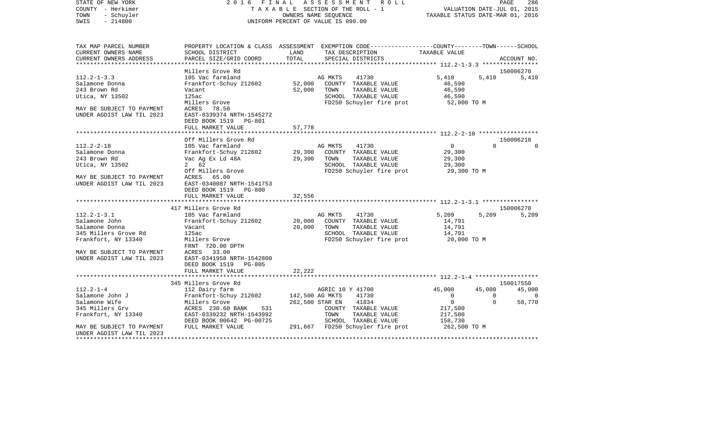|      | STATE OF NEW YORK | 2016 FINAL ASSESSMENT ROLL         | -286<br>PAGE                     |
|------|-------------------|------------------------------------|----------------------------------|
|      | COUNTY - Herkimer | TAXABLE SECTION OF THE ROLL - 1    | VALUATION DATE-JUL 01, 2015      |
|      | TOWN - Schuyler   | OWNERS NAME SEOUENCE               | TAXABLE STATUS DATE-MAR 01, 2016 |
| SWIS | $-214800$         | UNIFORM PERCENT OF VALUE IS 090.00 |                                  |
|      |                   |                                    |                                  |

| TAX MAP PARCEL NUMBER<br>CURRENT OWNERS NAME<br>CURRENT OWNERS ADDRESS                                                                                        | SCHOOL DISTRICT<br>PARCEL SIZE/GRID COORD                                                                                                                                                                            | LAND<br>TOTAL              | PROPERTY LOCATION & CLASS ASSESSMENT EXEMPTION CODE----------------COUNTY-------TOWN------SCHOOL<br>TAX DESCRIPTION<br>SPECIAL DISTRICTS                                           | TAXABLE VALUE                                                                         | ACCOUNT NO.                                                                |
|---------------------------------------------------------------------------------------------------------------------------------------------------------------|----------------------------------------------------------------------------------------------------------------------------------------------------------------------------------------------------------------------|----------------------------|------------------------------------------------------------------------------------------------------------------------------------------------------------------------------------|---------------------------------------------------------------------------------------|----------------------------------------------------------------------------|
|                                                                                                                                                               |                                                                                                                                                                                                                      |                            |                                                                                                                                                                                    |                                                                                       |                                                                            |
|                                                                                                                                                               | Millers Grove Rd                                                                                                                                                                                                     |                            |                                                                                                                                                                                    |                                                                                       | 150006270                                                                  |
| $112.2 - 1 - 3.3$<br>Salamone Donna<br>243 Brown Rd<br>Utica, NY 13502                                                                                        | 105 Vac farmland<br>Frankfort-Schuy 212602<br>Vacant<br>125ac<br>Millers Grove                                                                                                                                       | 52,000<br>52,000           | 41730<br>AG MKTS<br>COUNTY TAXABLE VALUE<br>TOWN<br>TAXABLE VALUE<br>SCHOOL TAXABLE VALUE<br>FD250 Schuyler fire prot 52,000 TO M                                                  | 5,410<br>46,590<br>46,590<br>46,590                                                   | 5,410<br>5,410                                                             |
| MAY BE SUBJECT TO PAYMENT<br>UNDER AGDIST LAW TIL 2023                                                                                                        | ACRES 78.50<br>EAST-0339374 NRTH-1545272<br>DEED BOOK 1519 PG-801<br>FULL MARKET VALUE                                                                                                                               | 57,778                     |                                                                                                                                                                                    |                                                                                       |                                                                            |
|                                                                                                                                                               |                                                                                                                                                                                                                      |                            |                                                                                                                                                                                    |                                                                                       |                                                                            |
| $112.2 - 2 - 18$<br>Salamone Donna<br>243 Brown Rd<br>Utica, NY 13502<br>MAY BE SUBJECT TO PAYMENT<br>UNDER AGDIST LAW TIL 2023                               | Off Millers Grove Rd<br>105 Vac farmland<br>Frankfort-Schuy 212602<br>Vac Ag Ex Ld 48A<br>2 62<br>Off Millers Grove<br>ACRES 65.00<br>EAST-0340087 NRTH-1541753<br>DEED BOOK 1519 PG-800                             | 29,300                     | AG MKTS<br>41730<br>AG MKTS       41730<br>29,300    COUNTY   TAXABLE VALUE<br>TOWN<br>TAXABLE VALUE<br>SCHOOL TAXABLE VALUE<br>FD250 Schuyler fire prot 29,300 TO M               | 0<br>29,300<br>29,300<br>29,300                                                       | 150006210<br>$\Omega$                                                      |
|                                                                                                                                                               | FULL MARKET VALUE                                                                                                                                                                                                    | 32,556                     |                                                                                                                                                                                    |                                                                                       |                                                                            |
|                                                                                                                                                               |                                                                                                                                                                                                                      |                            |                                                                                                                                                                                    |                                                                                       |                                                                            |
| $112.2 - 1 - 3.1$<br>Salamone John<br>Salamone Donna<br>345 Millers Grove Rd<br>Frankfort, NY 13340<br>MAY BE SUBJECT TO PAYMENT<br>UNDER AGDIST LAW TIL 2023 | 417 Millers Grove Rd<br>105 Vac farmland<br>Frankfort-Schuy 212602<br>Vacant<br>125ac<br>Millers Grove<br>FRNT 720.00 DPTH<br>ACRES 33.00<br>EAST-0341958 NRTH-1542800<br>DEED BOOK 1519 PG-805<br>FULL MARKET VALUE | 20,000<br>20,000<br>22,222 | AG MKTS<br>41730<br>COUNTY TAXABLE VALUE<br>TOWN<br>TAXABLE VALUE<br>SCHOOL TAXABLE VALUE<br>FD250 Schuyler fire prot                                                              | 5,209<br>14,791<br>14,791<br>14,791<br>20,000 TO M                                    | 150006270<br>5,209<br>5,209                                                |
|                                                                                                                                                               |                                                                                                                                                                                                                      |                            |                                                                                                                                                                                    |                                                                                       |                                                                            |
|                                                                                                                                                               | 345 Millers Grove Rd                                                                                                                                                                                                 |                            |                                                                                                                                                                                    |                                                                                       | 150017550                                                                  |
| $112.2 - 1 - 4$<br>Salamone John J<br>Salamone Wife<br>345 Millers Grv<br>Frankfort, NY 13340<br>MAY BE SUBJECT TO PAYMENT                                    | 112 Dairy farm<br>Frankfort-Schuy 212602<br>Millers Grove<br>531<br>ACRES 230.60 BANK<br>EAST-0339232 NRTH-1543992<br>DEED BOOK 00642 PG-00725<br>FULL MARKET VALUE                                                  |                            | AGRIC 10 Y 41700<br>142,500 AG MKTS 41730<br>41834<br>262,500 STAR EN<br>COUNTY TAXABLE VALUE<br>TOWN<br>TAXABLE VALUE<br>SCHOOL TAXABLE VALUE<br>291,667 FD250 Schuyler fire prot | 45,000<br>$\Omega$<br>$\overline{0}$<br>217,500<br>217,500<br>158,730<br>262,500 TO M | 45,000<br>45,000<br>$\overline{0}$<br>$\overline{0}$<br>$\Omega$<br>58,770 |
| UNDER AGDIST LAW TIL 2023                                                                                                                                     |                                                                                                                                                                                                                      |                            |                                                                                                                                                                                    | ************************************                                                  |                                                                            |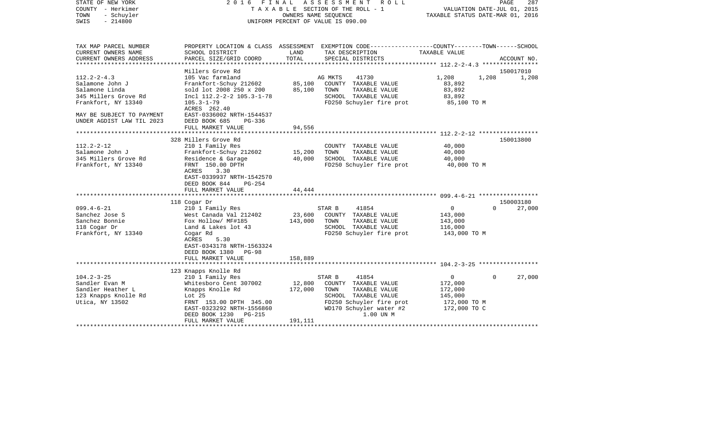| STATE OF NEW YORK      |                           |            | 2016 FINAL ASSESSMENT ROLL         | 287<br>PAGE                                                  |  |  |
|------------------------|---------------------------|------------|------------------------------------|--------------------------------------------------------------|--|--|
| - Herkimer<br>COUNTY   |                           |            | TAXABLE SECTION OF THE ROLL - 1    | VALUATION DATE-JUL 01, 2015                                  |  |  |
| - Schuyler<br>TOWN     |                           |            | OWNERS NAME SEOUENCE               | TAXABLE STATUS DATE-MAR 01, 2016                             |  |  |
| SWIS<br>$-214800$      |                           |            | UNIFORM PERCENT OF VALUE IS 090.00 |                                                              |  |  |
|                        |                           |            |                                    |                                                              |  |  |
|                        |                           |            |                                    |                                                              |  |  |
|                        |                           |            |                                    |                                                              |  |  |
| TAX MAP PARCEL NUMBER  | PROPERTY LOCATION & CLASS | ASSESSMENT |                                    | EXEMPTION CODE-----------------COUNTY-------TOWN------SCHOOL |  |  |
| CURRENT OWNERS NAME    | SCHOOL DISTRICT           | LAND       | TAX DESCRIPTION                    | TAXABLE VALUE                                                |  |  |
| CURRENT OWNERS ADDRESS | PARCEL SIZE/GRID COORD    | TOTAL      | SPECIAL DISTRICTS                  | ACCOUNT NO.                                                  |  |  |
|                        |                           |            |                                    |                                                              |  |  |

|                                                                                                                                                                 | Millers Grove Rd                                                                                                                                                                                                      |                                                                                                                                                                                              | 150017010                                                                                             |  |  |
|-----------------------------------------------------------------------------------------------------------------------------------------------------------------|-----------------------------------------------------------------------------------------------------------------------------------------------------------------------------------------------------------------------|----------------------------------------------------------------------------------------------------------------------------------------------------------------------------------------------|-------------------------------------------------------------------------------------------------------|--|--|
| $112.2 - 2 - 4.3$<br>Salamone John J<br>Salamone Linda<br>345 Millers Grove Rd<br>Frankfort, NY 13340<br>MAY BE SUBJECT TO PAYMENT<br>UNDER AGDIST LAW TIL 2023 | 105 Vac farmland<br>Frankfort-Schuy 212602<br>sold lot 2008 250 x 200<br>Incl 112.2-2-2 105.3-1-78<br>$105.3 - 1 - 79$<br>ACRES 262.40<br>EAST-0336002 NRTH-1544537<br>DEED BOOK 685<br>$PG-336$<br>FULL MARKET VALUE | AG MKTS<br>41730<br>85,100<br>COUNTY TAXABLE VALUE<br>85,100<br>TOWN<br>TAXABLE VALUE<br>SCHOOL TAXABLE VALUE<br>FD250 Schuyler fire prot<br>94,556                                          | 1,208<br>1,208<br>1,208<br>83,892<br>83,892<br>83,892<br>85,100 TO M                                  |  |  |
|                                                                                                                                                                 |                                                                                                                                                                                                                       |                                                                                                                                                                                              |                                                                                                       |  |  |
| $112.2 - 2 - 12$<br>Salamone John J<br>345 Millers Grove Rd<br>Frankfort, NY 13340                                                                              | 328 Millers Grove Rd<br>210 1 Family Res<br>Frankfort-Schuy 212602<br>Residence & Garage<br>FRNT 150.00 DPTH<br>3.30<br>ACRES<br>EAST-0339937 NRTH-1542570<br>DEED BOOK 844<br>$PG-254$<br>FULL MARKET VALUE          | COUNTY TAXABLE VALUE<br>15,200<br>TOWN<br>TAXABLE VALUE<br>SCHOOL TAXABLE VALUE<br>40,000<br>FD250 Schuyler fire prot<br>44,444                                                              | 150013800<br>40,000<br>40,000<br>40,000<br>40,000 TO M                                                |  |  |
|                                                                                                                                                                 |                                                                                                                                                                                                                       |                                                                                                                                                                                              |                                                                                                       |  |  |
| $099.4 - 6 - 21$<br>Sanchez Jose S<br>Sanchez Bonnie<br>118 Cogar Dr<br>Frankfort, NY 13340                                                                     | 118 Cogar Dr<br>210 1 Family Res<br>West Canada Val 212402<br>Fox Hollow/ MF#185<br>Land & Lakes lot 43<br>Cogar Rd<br>ACRES<br>5.30<br>EAST-0343178 NRTH-1563324<br>DEED BOOK 1380 PG-98<br>FULL MARKET VALUE        | STAR B<br>41854<br>23,600<br>COUNTY TAXABLE VALUE<br>143,000<br>TOWN<br>TAXABLE VALUE<br>SCHOOL TAXABLE VALUE<br>FD250 Schuyler fire prot<br>158,889                                         | 150003180<br>0<br>$\Omega$<br>27,000<br>143,000<br>143,000<br>116,000<br>143,000 TO M                 |  |  |
|                                                                                                                                                                 |                                                                                                                                                                                                                       |                                                                                                                                                                                              |                                                                                                       |  |  |
| $104.2 - 3 - 25$<br>Sandler Evan M<br>Sandler Heather L<br>123 Knapps Knolle Rd<br>Utica, NY 13502                                                              | 123 Knapps Knolle Rd<br>210 1 Family Res<br>Whitesboro Cent 307002<br>Knapps Knolle Rd<br>Lot 25<br>FRNT 153.00 DPTH 345.00<br>EAST-0323292 NRTH-1556860<br>DEED BOOK 1230<br>PG-215<br>FULL MARKET VALUE             | STAR B<br>41854<br>12,800<br>COUNTY TAXABLE VALUE<br>172,000<br>TOWN<br>TAXABLE VALUE<br>SCHOOL TAXABLE VALUE<br>FD250 Schuyler fire prot<br>WD170 Schuyler water #2<br>1.00 UN M<br>191,111 | $\mathbf 0$<br>$\mathbf 0$<br>27,000<br>172,000<br>172,000<br>145,000<br>172,000 TO M<br>172,000 TO C |  |  |
|                                                                                                                                                                 |                                                                                                                                                                                                                       |                                                                                                                                                                                              |                                                                                                       |  |  |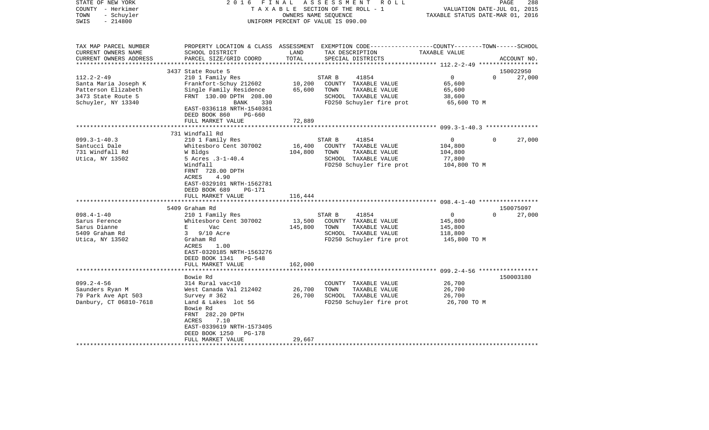| TAX MAP PARCEL NUMBER<br>PROPERTY LOCATION & CLASS ASSESSMENT EXEMPTION CODE----------------COUNTY-------TOWN------SCHOOL<br>CURRENT OWNERS NAME<br>TAX DESCRIPTION<br>SCHOOL DISTRICT<br>LAND<br>TAXABLE VALUE<br>PARCEL SIZE/GRID COORD<br>TOTAL<br>CURRENT OWNERS ADDRESS<br>SPECIAL DISTRICTS<br>ACCOUNT NO.<br>3437 State Route 5<br>150022950<br>$112.2 - 2 - 49$<br>210 1 Family Res<br>$\Omega$<br>27,000<br>STAR B<br>41854<br>$\Omega$<br>10,200<br>Santa Maria Joseph K<br>Frankfort-Schuy 212602<br>COUNTY TAXABLE VALUE<br>65,600<br>Patterson Elizabeth<br>Single Family Residence<br>65,600<br>TOWN<br>TAXABLE VALUE<br>65,600<br>3473 State Route 5<br>FRNT 130.00 DPTH 208.00<br>SCHOOL TAXABLE VALUE<br>38,600<br>FD250 Schuyler fire prot<br>BANK<br>330<br>65,600 TO M<br>EAST-0336118 NRTH-1540361<br>DEED BOOK 860<br>PG-660<br>72,889<br>FULL MARKET VALUE<br>731 Windfall Rd<br>$099.3 - 1 - 40.3$<br>210 1 Family Res<br>$\overline{0}$<br>27,000<br>STAR B<br>41854<br>$\Omega$<br>16,400<br>Santucci Dale<br>Whitesboro Cent 307002<br>COUNTY TAXABLE VALUE<br>104,800<br>731 Windfall Rd<br>W Bldgs<br>104,800<br>TOWN<br>TAXABLE VALUE<br>104,800<br>Utica, NY 13502<br>5 Acres .3-1-40.4<br>SCHOOL TAXABLE VALUE<br>77,800<br>Windfall<br>FD250 Schuyler fire prot<br>104,800 TO M<br>FRNT 728.00 DPTH<br>ACRES<br>4.90<br>EAST-0329101 NRTH-1562781<br>DEED BOOK 689<br>PG-171<br>FULL MARKET VALUE<br>116,444<br>150075097<br>5409 Graham Rd<br>$098.4 - 1 - 40$<br>210 1 Family Res<br>41854<br>0<br>$\Omega$<br>27,000<br>STAR B<br>13,500<br>Whitesboro Cent 307002<br>145,800<br>Sarus Ference<br>COUNTY TAXABLE VALUE<br>Sarus Dianne<br>E<br>Vac<br>145,800<br>TOWN<br>TAXABLE VALUE<br>145,800<br>5409 Graham Rd<br>3<br>$9/10$ Acre<br>SCHOOL TAXABLE VALUE<br>118,800<br>FD250 Schuyler fire prot<br>Utica, NY 13502<br>Graham Rd<br>145,800 TO M<br>1.00<br>ACRES<br>EAST-0320185 NRTH-1563276<br>DEED BOOK 1341<br>PG-548<br>162,000<br>FULL MARKET VALUE<br>******************<br>************<br>Bowie Rd<br>150003180<br>$099.2 - 4 - 56$<br>314 Rural vac<10<br>COUNTY TAXABLE VALUE<br>26,700<br>26,700<br>26,700<br>Saunders Ryan M<br>West Canada Val 212402<br>TOWN<br>TAXABLE VALUE<br>79 Park Ave Apt 503<br>26,700<br>26,700<br>Survey $# 362$<br>SCHOOL TAXABLE VALUE<br>Danbury, CT 06810-7618<br>FD250 Schuyler fire prot<br>26,700 TO M<br>Land & Lakes lot 56<br>Bowie Rd<br>FRNT 282.20 DPTH<br>ACRES<br>7.10<br>EAST-0339619 NRTH-1573405<br>DEED BOOK 1250<br>PG-178<br>29,667<br>FULL MARKET VALUE | COUNTY<br>- Herkimer<br>TOWN<br>- Schuyler<br>$-214800$<br>SWIS | T A X A B L E SECTION OF THE ROLL - 1<br>OWNERS NAME SEQUENCE<br>UNIFORM PERCENT OF VALUE IS 090.00 |  |  | VALUATION DATE-JUL 01, 2015<br>TAXABLE STATUS DATE-MAR 01, 2016 |
|-------------------------------------------------------------------------------------------------------------------------------------------------------------------------------------------------------------------------------------------------------------------------------------------------------------------------------------------------------------------------------------------------------------------------------------------------------------------------------------------------------------------------------------------------------------------------------------------------------------------------------------------------------------------------------------------------------------------------------------------------------------------------------------------------------------------------------------------------------------------------------------------------------------------------------------------------------------------------------------------------------------------------------------------------------------------------------------------------------------------------------------------------------------------------------------------------------------------------------------------------------------------------------------------------------------------------------------------------------------------------------------------------------------------------------------------------------------------------------------------------------------------------------------------------------------------------------------------------------------------------------------------------------------------------------------------------------------------------------------------------------------------------------------------------------------------------------------------------------------------------------------------------------------------------------------------------------------------------------------------------------------------------------------------------------------------------------------------------------------------------------------------------------------------------------------------------------------------------------------------------------------------------------------------------------------------------------------------------------------------------------------------------------------------------------------------------------------------------------------------------------------------------------------------------------------------|-----------------------------------------------------------------|-----------------------------------------------------------------------------------------------------|--|--|-----------------------------------------------------------------|
|                                                                                                                                                                                                                                                                                                                                                                                                                                                                                                                                                                                                                                                                                                                                                                                                                                                                                                                                                                                                                                                                                                                                                                                                                                                                                                                                                                                                                                                                                                                                                                                                                                                                                                                                                                                                                                                                                                                                                                                                                                                                                                                                                                                                                                                                                                                                                                                                                                                                                                                                                                   |                                                                 |                                                                                                     |  |  |                                                                 |
|                                                                                                                                                                                                                                                                                                                                                                                                                                                                                                                                                                                                                                                                                                                                                                                                                                                                                                                                                                                                                                                                                                                                                                                                                                                                                                                                                                                                                                                                                                                                                                                                                                                                                                                                                                                                                                                                                                                                                                                                                                                                                                                                                                                                                                                                                                                                                                                                                                                                                                                                                                   |                                                                 |                                                                                                     |  |  |                                                                 |
|                                                                                                                                                                                                                                                                                                                                                                                                                                                                                                                                                                                                                                                                                                                                                                                                                                                                                                                                                                                                                                                                                                                                                                                                                                                                                                                                                                                                                                                                                                                                                                                                                                                                                                                                                                                                                                                                                                                                                                                                                                                                                                                                                                                                                                                                                                                                                                                                                                                                                                                                                                   |                                                                 |                                                                                                     |  |  |                                                                 |
|                                                                                                                                                                                                                                                                                                                                                                                                                                                                                                                                                                                                                                                                                                                                                                                                                                                                                                                                                                                                                                                                                                                                                                                                                                                                                                                                                                                                                                                                                                                                                                                                                                                                                                                                                                                                                                                                                                                                                                                                                                                                                                                                                                                                                                                                                                                                                                                                                                                                                                                                                                   |                                                                 |                                                                                                     |  |  |                                                                 |
|                                                                                                                                                                                                                                                                                                                                                                                                                                                                                                                                                                                                                                                                                                                                                                                                                                                                                                                                                                                                                                                                                                                                                                                                                                                                                                                                                                                                                                                                                                                                                                                                                                                                                                                                                                                                                                                                                                                                                                                                                                                                                                                                                                                                                                                                                                                                                                                                                                                                                                                                                                   |                                                                 |                                                                                                     |  |  |                                                                 |
|                                                                                                                                                                                                                                                                                                                                                                                                                                                                                                                                                                                                                                                                                                                                                                                                                                                                                                                                                                                                                                                                                                                                                                                                                                                                                                                                                                                                                                                                                                                                                                                                                                                                                                                                                                                                                                                                                                                                                                                                                                                                                                                                                                                                                                                                                                                                                                                                                                                                                                                                                                   |                                                                 |                                                                                                     |  |  |                                                                 |
|                                                                                                                                                                                                                                                                                                                                                                                                                                                                                                                                                                                                                                                                                                                                                                                                                                                                                                                                                                                                                                                                                                                                                                                                                                                                                                                                                                                                                                                                                                                                                                                                                                                                                                                                                                                                                                                                                                                                                                                                                                                                                                                                                                                                                                                                                                                                                                                                                                                                                                                                                                   |                                                                 |                                                                                                     |  |  |                                                                 |
|                                                                                                                                                                                                                                                                                                                                                                                                                                                                                                                                                                                                                                                                                                                                                                                                                                                                                                                                                                                                                                                                                                                                                                                                                                                                                                                                                                                                                                                                                                                                                                                                                                                                                                                                                                                                                                                                                                                                                                                                                                                                                                                                                                                                                                                                                                                                                                                                                                                                                                                                                                   |                                                                 |                                                                                                     |  |  |                                                                 |
|                                                                                                                                                                                                                                                                                                                                                                                                                                                                                                                                                                                                                                                                                                                                                                                                                                                                                                                                                                                                                                                                                                                                                                                                                                                                                                                                                                                                                                                                                                                                                                                                                                                                                                                                                                                                                                                                                                                                                                                                                                                                                                                                                                                                                                                                                                                                                                                                                                                                                                                                                                   |                                                                 |                                                                                                     |  |  |                                                                 |
|                                                                                                                                                                                                                                                                                                                                                                                                                                                                                                                                                                                                                                                                                                                                                                                                                                                                                                                                                                                                                                                                                                                                                                                                                                                                                                                                                                                                                                                                                                                                                                                                                                                                                                                                                                                                                                                                                                                                                                                                                                                                                                                                                                                                                                                                                                                                                                                                                                                                                                                                                                   | Schuyler, NY 13340                                              |                                                                                                     |  |  |                                                                 |
|                                                                                                                                                                                                                                                                                                                                                                                                                                                                                                                                                                                                                                                                                                                                                                                                                                                                                                                                                                                                                                                                                                                                                                                                                                                                                                                                                                                                                                                                                                                                                                                                                                                                                                                                                                                                                                                                                                                                                                                                                                                                                                                                                                                                                                                                                                                                                                                                                                                                                                                                                                   |                                                                 |                                                                                                     |  |  |                                                                 |
|                                                                                                                                                                                                                                                                                                                                                                                                                                                                                                                                                                                                                                                                                                                                                                                                                                                                                                                                                                                                                                                                                                                                                                                                                                                                                                                                                                                                                                                                                                                                                                                                                                                                                                                                                                                                                                                                                                                                                                                                                                                                                                                                                                                                                                                                                                                                                                                                                                                                                                                                                                   |                                                                 |                                                                                                     |  |  |                                                                 |
|                                                                                                                                                                                                                                                                                                                                                                                                                                                                                                                                                                                                                                                                                                                                                                                                                                                                                                                                                                                                                                                                                                                                                                                                                                                                                                                                                                                                                                                                                                                                                                                                                                                                                                                                                                                                                                                                                                                                                                                                                                                                                                                                                                                                                                                                                                                                                                                                                                                                                                                                                                   |                                                                 |                                                                                                     |  |  |                                                                 |
|                                                                                                                                                                                                                                                                                                                                                                                                                                                                                                                                                                                                                                                                                                                                                                                                                                                                                                                                                                                                                                                                                                                                                                                                                                                                                                                                                                                                                                                                                                                                                                                                                                                                                                                                                                                                                                                                                                                                                                                                                                                                                                                                                                                                                                                                                                                                                                                                                                                                                                                                                                   |                                                                 |                                                                                                     |  |  |                                                                 |
|                                                                                                                                                                                                                                                                                                                                                                                                                                                                                                                                                                                                                                                                                                                                                                                                                                                                                                                                                                                                                                                                                                                                                                                                                                                                                                                                                                                                                                                                                                                                                                                                                                                                                                                                                                                                                                                                                                                                                                                                                                                                                                                                                                                                                                                                                                                                                                                                                                                                                                                                                                   |                                                                 |                                                                                                     |  |  |                                                                 |
|                                                                                                                                                                                                                                                                                                                                                                                                                                                                                                                                                                                                                                                                                                                                                                                                                                                                                                                                                                                                                                                                                                                                                                                                                                                                                                                                                                                                                                                                                                                                                                                                                                                                                                                                                                                                                                                                                                                                                                                                                                                                                                                                                                                                                                                                                                                                                                                                                                                                                                                                                                   |                                                                 |                                                                                                     |  |  |                                                                 |
|                                                                                                                                                                                                                                                                                                                                                                                                                                                                                                                                                                                                                                                                                                                                                                                                                                                                                                                                                                                                                                                                                                                                                                                                                                                                                                                                                                                                                                                                                                                                                                                                                                                                                                                                                                                                                                                                                                                                                                                                                                                                                                                                                                                                                                                                                                                                                                                                                                                                                                                                                                   |                                                                 |                                                                                                     |  |  |                                                                 |
|                                                                                                                                                                                                                                                                                                                                                                                                                                                                                                                                                                                                                                                                                                                                                                                                                                                                                                                                                                                                                                                                                                                                                                                                                                                                                                                                                                                                                                                                                                                                                                                                                                                                                                                                                                                                                                                                                                                                                                                                                                                                                                                                                                                                                                                                                                                                                                                                                                                                                                                                                                   |                                                                 |                                                                                                     |  |  |                                                                 |
|                                                                                                                                                                                                                                                                                                                                                                                                                                                                                                                                                                                                                                                                                                                                                                                                                                                                                                                                                                                                                                                                                                                                                                                                                                                                                                                                                                                                                                                                                                                                                                                                                                                                                                                                                                                                                                                                                                                                                                                                                                                                                                                                                                                                                                                                                                                                                                                                                                                                                                                                                                   |                                                                 |                                                                                                     |  |  |                                                                 |
|                                                                                                                                                                                                                                                                                                                                                                                                                                                                                                                                                                                                                                                                                                                                                                                                                                                                                                                                                                                                                                                                                                                                                                                                                                                                                                                                                                                                                                                                                                                                                                                                                                                                                                                                                                                                                                                                                                                                                                                                                                                                                                                                                                                                                                                                                                                                                                                                                                                                                                                                                                   |                                                                 |                                                                                                     |  |  |                                                                 |
|                                                                                                                                                                                                                                                                                                                                                                                                                                                                                                                                                                                                                                                                                                                                                                                                                                                                                                                                                                                                                                                                                                                                                                                                                                                                                                                                                                                                                                                                                                                                                                                                                                                                                                                                                                                                                                                                                                                                                                                                                                                                                                                                                                                                                                                                                                                                                                                                                                                                                                                                                                   |                                                                 |                                                                                                     |  |  |                                                                 |
|                                                                                                                                                                                                                                                                                                                                                                                                                                                                                                                                                                                                                                                                                                                                                                                                                                                                                                                                                                                                                                                                                                                                                                                                                                                                                                                                                                                                                                                                                                                                                                                                                                                                                                                                                                                                                                                                                                                                                                                                                                                                                                                                                                                                                                                                                                                                                                                                                                                                                                                                                                   |                                                                 |                                                                                                     |  |  |                                                                 |
|                                                                                                                                                                                                                                                                                                                                                                                                                                                                                                                                                                                                                                                                                                                                                                                                                                                                                                                                                                                                                                                                                                                                                                                                                                                                                                                                                                                                                                                                                                                                                                                                                                                                                                                                                                                                                                                                                                                                                                                                                                                                                                                                                                                                                                                                                                                                                                                                                                                                                                                                                                   |                                                                 |                                                                                                     |  |  |                                                                 |
|                                                                                                                                                                                                                                                                                                                                                                                                                                                                                                                                                                                                                                                                                                                                                                                                                                                                                                                                                                                                                                                                                                                                                                                                                                                                                                                                                                                                                                                                                                                                                                                                                                                                                                                                                                                                                                                                                                                                                                                                                                                                                                                                                                                                                                                                                                                                                                                                                                                                                                                                                                   |                                                                 |                                                                                                     |  |  |                                                                 |
|                                                                                                                                                                                                                                                                                                                                                                                                                                                                                                                                                                                                                                                                                                                                                                                                                                                                                                                                                                                                                                                                                                                                                                                                                                                                                                                                                                                                                                                                                                                                                                                                                                                                                                                                                                                                                                                                                                                                                                                                                                                                                                                                                                                                                                                                                                                                                                                                                                                                                                                                                                   |                                                                 |                                                                                                     |  |  |                                                                 |
|                                                                                                                                                                                                                                                                                                                                                                                                                                                                                                                                                                                                                                                                                                                                                                                                                                                                                                                                                                                                                                                                                                                                                                                                                                                                                                                                                                                                                                                                                                                                                                                                                                                                                                                                                                                                                                                                                                                                                                                                                                                                                                                                                                                                                                                                                                                                                                                                                                                                                                                                                                   |                                                                 |                                                                                                     |  |  |                                                                 |
|                                                                                                                                                                                                                                                                                                                                                                                                                                                                                                                                                                                                                                                                                                                                                                                                                                                                                                                                                                                                                                                                                                                                                                                                                                                                                                                                                                                                                                                                                                                                                                                                                                                                                                                                                                                                                                                                                                                                                                                                                                                                                                                                                                                                                                                                                                                                                                                                                                                                                                                                                                   |                                                                 |                                                                                                     |  |  |                                                                 |
|                                                                                                                                                                                                                                                                                                                                                                                                                                                                                                                                                                                                                                                                                                                                                                                                                                                                                                                                                                                                                                                                                                                                                                                                                                                                                                                                                                                                                                                                                                                                                                                                                                                                                                                                                                                                                                                                                                                                                                                                                                                                                                                                                                                                                                                                                                                                                                                                                                                                                                                                                                   |                                                                 |                                                                                                     |  |  |                                                                 |
|                                                                                                                                                                                                                                                                                                                                                                                                                                                                                                                                                                                                                                                                                                                                                                                                                                                                                                                                                                                                                                                                                                                                                                                                                                                                                                                                                                                                                                                                                                                                                                                                                                                                                                                                                                                                                                                                                                                                                                                                                                                                                                                                                                                                                                                                                                                                                                                                                                                                                                                                                                   |                                                                 |                                                                                                     |  |  |                                                                 |
|                                                                                                                                                                                                                                                                                                                                                                                                                                                                                                                                                                                                                                                                                                                                                                                                                                                                                                                                                                                                                                                                                                                                                                                                                                                                                                                                                                                                                                                                                                                                                                                                                                                                                                                                                                                                                                                                                                                                                                                                                                                                                                                                                                                                                                                                                                                                                                                                                                                                                                                                                                   |                                                                 |                                                                                                     |  |  |                                                                 |
|                                                                                                                                                                                                                                                                                                                                                                                                                                                                                                                                                                                                                                                                                                                                                                                                                                                                                                                                                                                                                                                                                                                                                                                                                                                                                                                                                                                                                                                                                                                                                                                                                                                                                                                                                                                                                                                                                                                                                                                                                                                                                                                                                                                                                                                                                                                                                                                                                                                                                                                                                                   |                                                                 |                                                                                                     |  |  |                                                                 |
|                                                                                                                                                                                                                                                                                                                                                                                                                                                                                                                                                                                                                                                                                                                                                                                                                                                                                                                                                                                                                                                                                                                                                                                                                                                                                                                                                                                                                                                                                                                                                                                                                                                                                                                                                                                                                                                                                                                                                                                                                                                                                                                                                                                                                                                                                                                                                                                                                                                                                                                                                                   |                                                                 |                                                                                                     |  |  |                                                                 |
|                                                                                                                                                                                                                                                                                                                                                                                                                                                                                                                                                                                                                                                                                                                                                                                                                                                                                                                                                                                                                                                                                                                                                                                                                                                                                                                                                                                                                                                                                                                                                                                                                                                                                                                                                                                                                                                                                                                                                                                                                                                                                                                                                                                                                                                                                                                                                                                                                                                                                                                                                                   |                                                                 |                                                                                                     |  |  |                                                                 |
|                                                                                                                                                                                                                                                                                                                                                                                                                                                                                                                                                                                                                                                                                                                                                                                                                                                                                                                                                                                                                                                                                                                                                                                                                                                                                                                                                                                                                                                                                                                                                                                                                                                                                                                                                                                                                                                                                                                                                                                                                                                                                                                                                                                                                                                                                                                                                                                                                                                                                                                                                                   |                                                                 |                                                                                                     |  |  |                                                                 |
|                                                                                                                                                                                                                                                                                                                                                                                                                                                                                                                                                                                                                                                                                                                                                                                                                                                                                                                                                                                                                                                                                                                                                                                                                                                                                                                                                                                                                                                                                                                                                                                                                                                                                                                                                                                                                                                                                                                                                                                                                                                                                                                                                                                                                                                                                                                                                                                                                                                                                                                                                                   |                                                                 |                                                                                                     |  |  |                                                                 |
|                                                                                                                                                                                                                                                                                                                                                                                                                                                                                                                                                                                                                                                                                                                                                                                                                                                                                                                                                                                                                                                                                                                                                                                                                                                                                                                                                                                                                                                                                                                                                                                                                                                                                                                                                                                                                                                                                                                                                                                                                                                                                                                                                                                                                                                                                                                                                                                                                                                                                                                                                                   |                                                                 |                                                                                                     |  |  |                                                                 |
|                                                                                                                                                                                                                                                                                                                                                                                                                                                                                                                                                                                                                                                                                                                                                                                                                                                                                                                                                                                                                                                                                                                                                                                                                                                                                                                                                                                                                                                                                                                                                                                                                                                                                                                                                                                                                                                                                                                                                                                                                                                                                                                                                                                                                                                                                                                                                                                                                                                                                                                                                                   |                                                                 |                                                                                                     |  |  |                                                                 |
|                                                                                                                                                                                                                                                                                                                                                                                                                                                                                                                                                                                                                                                                                                                                                                                                                                                                                                                                                                                                                                                                                                                                                                                                                                                                                                                                                                                                                                                                                                                                                                                                                                                                                                                                                                                                                                                                                                                                                                                                                                                                                                                                                                                                                                                                                                                                                                                                                                                                                                                                                                   |                                                                 |                                                                                                     |  |  |                                                                 |
|                                                                                                                                                                                                                                                                                                                                                                                                                                                                                                                                                                                                                                                                                                                                                                                                                                                                                                                                                                                                                                                                                                                                                                                                                                                                                                                                                                                                                                                                                                                                                                                                                                                                                                                                                                                                                                                                                                                                                                                                                                                                                                                                                                                                                                                                                                                                                                                                                                                                                                                                                                   |                                                                 |                                                                                                     |  |  |                                                                 |
|                                                                                                                                                                                                                                                                                                                                                                                                                                                                                                                                                                                                                                                                                                                                                                                                                                                                                                                                                                                                                                                                                                                                                                                                                                                                                                                                                                                                                                                                                                                                                                                                                                                                                                                                                                                                                                                                                                                                                                                                                                                                                                                                                                                                                                                                                                                                                                                                                                                                                                                                                                   |                                                                 |                                                                                                     |  |  |                                                                 |
|                                                                                                                                                                                                                                                                                                                                                                                                                                                                                                                                                                                                                                                                                                                                                                                                                                                                                                                                                                                                                                                                                                                                                                                                                                                                                                                                                                                                                                                                                                                                                                                                                                                                                                                                                                                                                                                                                                                                                                                                                                                                                                                                                                                                                                                                                                                                                                                                                                                                                                                                                                   |                                                                 |                                                                                                     |  |  |                                                                 |
|                                                                                                                                                                                                                                                                                                                                                                                                                                                                                                                                                                                                                                                                                                                                                                                                                                                                                                                                                                                                                                                                                                                                                                                                                                                                                                                                                                                                                                                                                                                                                                                                                                                                                                                                                                                                                                                                                                                                                                                                                                                                                                                                                                                                                                                                                                                                                                                                                                                                                                                                                                   |                                                                 |                                                                                                     |  |  |                                                                 |
|                                                                                                                                                                                                                                                                                                                                                                                                                                                                                                                                                                                                                                                                                                                                                                                                                                                                                                                                                                                                                                                                                                                                                                                                                                                                                                                                                                                                                                                                                                                                                                                                                                                                                                                                                                                                                                                                                                                                                                                                                                                                                                                                                                                                                                                                                                                                                                                                                                                                                                                                                                   |                                                                 |                                                                                                     |  |  |                                                                 |
|                                                                                                                                                                                                                                                                                                                                                                                                                                                                                                                                                                                                                                                                                                                                                                                                                                                                                                                                                                                                                                                                                                                                                                                                                                                                                                                                                                                                                                                                                                                                                                                                                                                                                                                                                                                                                                                                                                                                                                                                                                                                                                                                                                                                                                                                                                                                                                                                                                                                                                                                                                   |                                                                 |                                                                                                     |  |  |                                                                 |
|                                                                                                                                                                                                                                                                                                                                                                                                                                                                                                                                                                                                                                                                                                                                                                                                                                                                                                                                                                                                                                                                                                                                                                                                                                                                                                                                                                                                                                                                                                                                                                                                                                                                                                                                                                                                                                                                                                                                                                                                                                                                                                                                                                                                                                                                                                                                                                                                                                                                                                                                                                   |                                                                 |                                                                                                     |  |  |                                                                 |
|                                                                                                                                                                                                                                                                                                                                                                                                                                                                                                                                                                                                                                                                                                                                                                                                                                                                                                                                                                                                                                                                                                                                                                                                                                                                                                                                                                                                                                                                                                                                                                                                                                                                                                                                                                                                                                                                                                                                                                                                                                                                                                                                                                                                                                                                                                                                                                                                                                                                                                                                                                   |                                                                 |                                                                                                     |  |  |                                                                 |

PAGE 288

STATE OF NEW YORK 2 0 1 6 F I N A L A S S E S S M E N T R O L L PAGE 288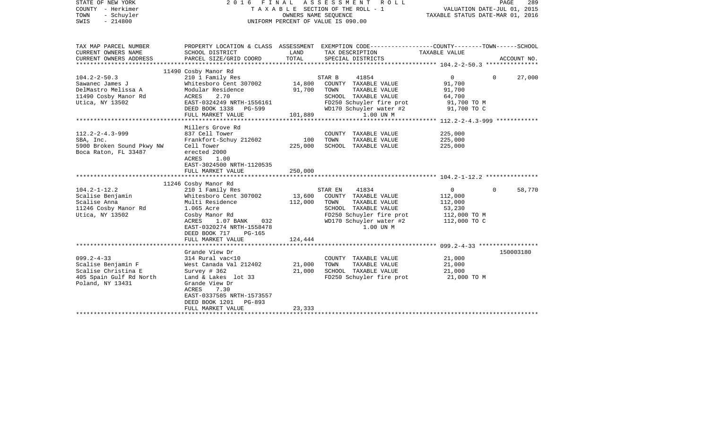| STATE OF NEW YORK<br>COUNTY - Herkimer<br>- Schuyler<br>TOWN<br>$-214800$<br>SWIS                            | FINAL ASSESSMENT<br>ROLL<br>2016<br>T A X A B L E SECTION OF THE ROLL - 1<br>OWNERS NAME SEQUENCE<br>UNIFORM PERCENT OF VALUE IS 090.00                                                                                           |                              |                                                                                                                                                               | VALUATION DATE-JUL 01, 2015<br>TAXABLE STATUS DATE-MAR 01, 2016                            | PAGE<br>289 |
|--------------------------------------------------------------------------------------------------------------|-----------------------------------------------------------------------------------------------------------------------------------------------------------------------------------------------------------------------------------|------------------------------|---------------------------------------------------------------------------------------------------------------------------------------------------------------|--------------------------------------------------------------------------------------------|-------------|
| TAX MAP PARCEL NUMBER<br>CURRENT OWNERS NAME<br>CURRENT OWNERS ADDRESS<br>**********************             | SCHOOL DISTRICT<br>PARCEL SIZE/GRID COORD<br>***********************                                                                                                                                                              | LAND<br>TOTAL                | PROPERTY LOCATION & CLASS ASSESSMENT EXEMPTION CODE---------------COUNTY-------TOWN-----SCHOOL<br>TAX DESCRIPTION<br>SPECIAL DISTRICTS                        | TAXABLE VALUE                                                                              | ACCOUNT NO. |
| $104.2 - 2 - 50.3$<br>Sawanec James J<br>DelMastro Melissa A<br>11490 Cosby Manor Rd<br>Utica, NY 13502      | 11490 Cosby Manor Rd<br>210 1 Family Res<br>Whitesboro Cent 307002<br>Modular Residence<br>ACRES<br>2.70<br>EAST-0324249 NRTH-1556161<br>DEED BOOK 1338<br>PG-599<br>FULL MARKET VALUE                                            | 14,800<br>91,700<br>101,889  | STAR B<br>41854<br>COUNTY TAXABLE VALUE<br>TOWN<br>TAXABLE VALUE<br>SCHOOL TAXABLE VALUE<br>FD250 Schuyler fire prot<br>WD170 Schuyler water #2<br>1.00 UN M  | $\overline{0}$<br>0<br>91,700<br>91,700<br>64,700<br>91,700 TO M<br>91,700 TO C            | 27,000      |
| $112.2 - 2 - 4.3 - 999$<br>SBA, Inc.<br>5900 Broken Sound Pkwy NW<br>Boca Raton, FL 33487                    | Millers Grove Rd<br>837 Cell Tower<br>Frankfort-Schuy 212602<br>Cell Tower<br>erected 2000<br>ACRES<br>1.00<br>EAST-3024500 NRTH-1120535<br>FULL MARKET VALUE                                                                     | 100<br>225,000<br>250,000    | COUNTY TAXABLE VALUE<br>TOWN<br>TAXABLE VALUE<br>SCHOOL TAXABLE VALUE                                                                                         | 225,000<br>225,000<br>225,000                                                              |             |
| $104.2 - 1 - 12.2$<br>Scalise Benjamin<br>Scalise Anna<br>11246 Cosby Manor Rd<br>Utica, NY 13502            | 11246 Cosby Manor Rd<br>210 1 Family Res<br>Whitesboro Cent 307002<br>Multi Residence<br>1.065 Acre<br>Cosby Manor Rd<br>1.07 BANK<br>032<br>ACRES<br>EAST-0320274 NRTH-1558478<br>DEED BOOK 717<br>$PG-165$<br>FULL MARKET VALUE | 13,600<br>112,000<br>124,444 | 41834<br>STAR EN<br>COUNTY TAXABLE VALUE<br>TOWN<br>TAXABLE VALUE<br>SCHOOL TAXABLE VALUE<br>FD250 Schuyler fire prot<br>WD170 Schuyler water #2<br>1.00 UN M | $\overline{0}$<br>$\Omega$<br>112,000<br>112,000<br>53,230<br>112,000 TO M<br>112,000 TO C | 58,770      |
| $099.2 - 4 - 33$<br>Scalise Benjamin F<br>Scalise Christina E<br>405 Spain Gulf Rd North<br>Poland, NY 13431 | Grande View Dr<br>314 Rural vac<10<br>West Canada Val 212402<br>Survey # 362<br>Land & Lakes lot 33<br>Grande View Dr<br>ACRES<br>7.30<br>EAST-0337585 NRTH-1573557<br>DEED BOOK 1201<br>PG-893<br>FULL MARKET VALUE              | 21,000<br>21,000<br>23,333   | COUNTY TAXABLE VALUE<br>TOWN<br>TAXABLE VALUE<br>SCHOOL TAXABLE VALUE<br>FD250 Schuyler fire prot<br>*******************************                          | 21,000<br>21,000<br>21,000<br>21,000 TO M                                                  | 150003180   |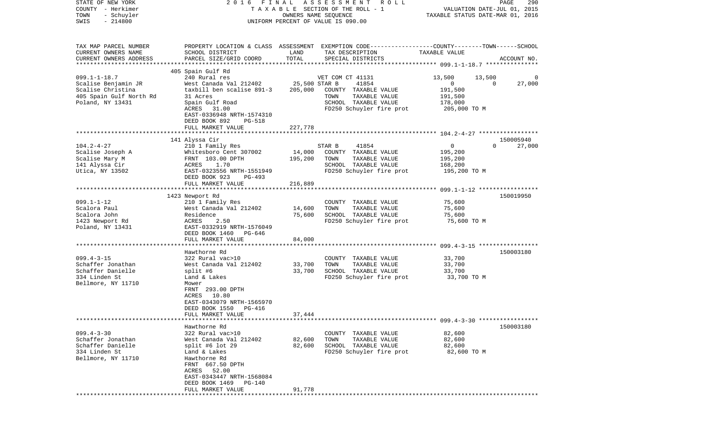| COUNTY<br>- Herkimer<br>- Schuyler<br>TOWN<br>SWIS<br>$-214800$ | TAXABLE<br>SECTION OF THE ROLL - 1<br>OWNERS NAME SEQUENCE<br>UNIFORM PERCENT OF VALUE IS 090.00 |               |                                                                                                  | VALUATION DATE-JUL 01, 2015<br>TAXABLE STATUS DATE-MAR 01, 2016 |                       |  |
|-----------------------------------------------------------------|--------------------------------------------------------------------------------------------------|---------------|--------------------------------------------------------------------------------------------------|-----------------------------------------------------------------|-----------------------|--|
| TAX MAP PARCEL NUMBER                                           |                                                                                                  |               | PROPERTY LOCATION & CLASS ASSESSMENT EXEMPTION CODE----------------COUNTY-------TOWN------SCHOOL |                                                                 |                       |  |
| CURRENT OWNERS NAME                                             | SCHOOL DISTRICT                                                                                  | LAND          | TAX DESCRIPTION                                                                                  | TAXABLE VALUE                                                   |                       |  |
| CURRENT OWNERS ADDRESS                                          | PARCEL SIZE/GRID COORD                                                                           | TOTAL         | SPECIAL DISTRICTS                                                                                |                                                                 | ACCOUNT NO.           |  |
|                                                                 |                                                                                                  |               |                                                                                                  |                                                                 |                       |  |
|                                                                 | 405 Spain Gulf Rd                                                                                |               |                                                                                                  |                                                                 |                       |  |
| $099.1 - 1 - 18.7$                                              | 240 Rural res                                                                                    |               | VET COM CT 41131                                                                                 | 13,500                                                          | 13,500<br>0           |  |
| Scalise Benjamin JR                                             | West Canada Val 212402                                                                           | 25,500 STAR B | 41854                                                                                            | $\mathbf 0$                                                     | $\Omega$<br>27,000    |  |
| Scalise Christina<br>405 Spain Gulf North Rd                    | taxbill ben scalise 891-3<br>31 Acres                                                            | 205,000       | COUNTY TAXABLE VALUE<br>TAXABLE VALUE<br>TOWN                                                    | 191,500<br>191,500                                              |                       |  |
| Poland, NY 13431                                                | Spain Gulf Road                                                                                  |               | SCHOOL TAXABLE VALUE                                                                             | 178,000                                                         |                       |  |
|                                                                 | 31.00<br>ACRES                                                                                   |               | FD250 Schuyler fire prot                                                                         | 205,000 TO M                                                    |                       |  |
|                                                                 | EAST-0336948 NRTH-1574310                                                                        |               |                                                                                                  |                                                                 |                       |  |
|                                                                 | DEED BOOK 892<br>PG-518                                                                          |               |                                                                                                  |                                                                 |                       |  |
|                                                                 | FULL MARKET VALUE                                                                                | 227,778       |                                                                                                  |                                                                 |                       |  |
|                                                                 |                                                                                                  |               |                                                                                                  |                                                                 |                       |  |
|                                                                 | 141 Alyssa Cir                                                                                   |               |                                                                                                  | $\mathbf{0}$                                                    | 150005940<br>$\Omega$ |  |
| $104.2 - 4 - 27$<br>Scalise Joseph A                            | 210 1 Family Res<br>Whitesboro Cent 307002                                                       | 14,000        | STAR B<br>41854<br>COUNTY TAXABLE VALUE                                                          | 195,200                                                         | 27,000                |  |
| Scalise Mary M                                                  | FRNT 103.00 DPTH                                                                                 | 195,200       | TOWN<br>TAXABLE VALUE                                                                            | 195,200                                                         |                       |  |
| 141 Alyssa Cir                                                  | 1.70<br>ACRES                                                                                    |               | SCHOOL TAXABLE VALUE                                                                             | 168,200                                                         |                       |  |
| Utica, NY 13502                                                 | EAST-0323556 NRTH-1551949                                                                        |               | FD250 Schuyler fire prot                                                                         | 195,200 TO M                                                    |                       |  |
|                                                                 | DEED BOOK 923<br>PG-493                                                                          |               |                                                                                                  |                                                                 |                       |  |
|                                                                 | FULL MARKET VALUE                                                                                | 216,889       |                                                                                                  |                                                                 |                       |  |
|                                                                 | ***********************                                                                          | ***********   |                                                                                                  | ********************** 099.1-1-12 *****************             |                       |  |
|                                                                 | 1423 Newport Rd                                                                                  |               |                                                                                                  |                                                                 | 150019950             |  |
| $099.1 - 1 - 12$<br>Scalora Paul                                | 210 1 Family Res<br>West Canada Val 212402                                                       | 14,600        | COUNTY TAXABLE VALUE<br>TOWN<br>TAXABLE VALUE                                                    | 75,600<br>75,600                                                |                       |  |
| Scalora John                                                    | Residence                                                                                        | 75,600        | SCHOOL TAXABLE VALUE                                                                             | 75,600                                                          |                       |  |
| 1423 Newport Rd                                                 | ACRES<br>2.50                                                                                    |               | FD250 Schuyler fire prot                                                                         | 75,600 TO M                                                     |                       |  |
| Poland, NY 13431                                                | EAST-0332919 NRTH-1576049                                                                        |               |                                                                                                  |                                                                 |                       |  |
|                                                                 | DEED BOOK 1460<br>PG-646                                                                         |               |                                                                                                  |                                                                 |                       |  |
|                                                                 | FULL MARKET VALUE                                                                                | 84,000        |                                                                                                  |                                                                 |                       |  |
|                                                                 |                                                                                                  |               |                                                                                                  |                                                                 |                       |  |
| $099.4 - 3 - 15$                                                | Hawthorne Rd<br>322 Rural vac>10                                                                 |               |                                                                                                  | 33,700                                                          | 150003180             |  |
| Schaffer Jonathan                                               | West Canada Val 212402                                                                           | 33,700        | COUNTY TAXABLE VALUE<br>TOWN<br>TAXABLE VALUE                                                    | 33,700                                                          |                       |  |
| Schaffer Danielle                                               | split #6                                                                                         | 33,700        | SCHOOL TAXABLE VALUE                                                                             | 33,700                                                          |                       |  |
| 334 Linden St                                                   | Land & Lakes                                                                                     |               | FD250 Schuyler fire prot                                                                         | 33,700 TO M                                                     |                       |  |
| Bellmore, NY 11710                                              | Mower                                                                                            |               |                                                                                                  |                                                                 |                       |  |
|                                                                 | FRNT 293.00 DPTH                                                                                 |               |                                                                                                  |                                                                 |                       |  |
|                                                                 | 10.80<br>ACRES                                                                                   |               |                                                                                                  |                                                                 |                       |  |
|                                                                 | EAST-0343079 NRTH-1565970                                                                        |               |                                                                                                  |                                                                 |                       |  |
|                                                                 | DEED BOOK 1550<br>PG-416<br>FULL MARKET VALUE                                                    | 37,444        |                                                                                                  |                                                                 |                       |  |
|                                                                 |                                                                                                  |               |                                                                                                  |                                                                 |                       |  |
|                                                                 | Hawthorne Rd                                                                                     |               |                                                                                                  |                                                                 | 150003180             |  |
| $099.4 - 3 - 30$                                                | 322 Rural vac>10                                                                                 |               | TAXABLE VALUE<br>COUNTY                                                                          | 82,600                                                          |                       |  |
| Schaffer Jonathan                                               | West Canada Val 212402                                                                           | 82,600        | TOWN<br>TAXABLE VALUE                                                                            | 82,600                                                          |                       |  |
| Schaffer Danielle                                               | split #6 lot $29$                                                                                | 82,600        | SCHOOL TAXABLE VALUE                                                                             | 82,600                                                          |                       |  |
| 334 Linden St                                                   | Land & Lakes                                                                                     |               | FD250 Schuyler fire prot                                                                         | 82,600 TO M                                                     |                       |  |
| Bellmore, NY 11710                                              | Hawthorne Rd                                                                                     |               |                                                                                                  |                                                                 |                       |  |
|                                                                 | FRNT 667.50 DPTH                                                                                 |               |                                                                                                  |                                                                 |                       |  |
|                                                                 | ACRES<br>52.00<br>EAST-0343447 NRTH-1568084                                                      |               |                                                                                                  |                                                                 |                       |  |
|                                                                 | DEED BOOK 1469<br>PG-140                                                                         |               |                                                                                                  |                                                                 |                       |  |
|                                                                 | FULL MARKET VALUE                                                                                | 91,778        |                                                                                                  |                                                                 |                       |  |
|                                                                 |                                                                                                  |               |                                                                                                  |                                                                 |                       |  |

PAGE 290

STATE OF NEW YORK 2 0 1 6 F I N A L A S S E S S M E N T R O L L PAGE 290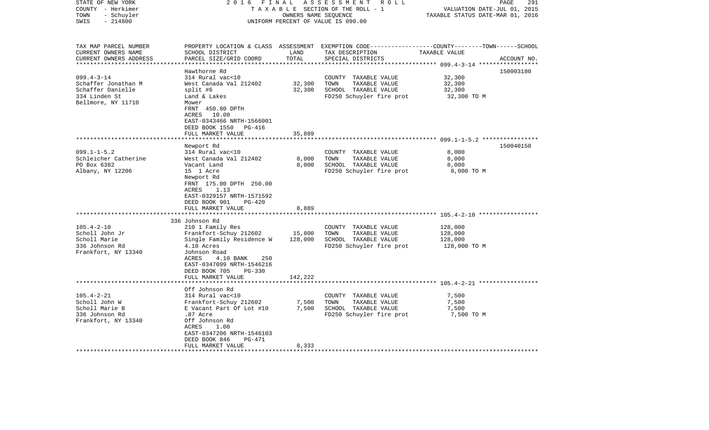| STATE OF NEW YORK<br>COUNTY - Herkimer<br>TOWN<br>- Schuyler<br>$-214800$<br>SWIS                   | FINAL<br>2016<br>TAXABLE SECTION OF THE ROLL - 1<br>UNIFORM PERCENT OF VALUE IS 090.00                                                                                                                                                              | PAGE<br>291<br>VALUATION DATE-JUL 01, 2015<br>TAXABLE STATUS DATE-MAR 01, 2016 |                                                                                                                                          |                                               |             |
|-----------------------------------------------------------------------------------------------------|-----------------------------------------------------------------------------------------------------------------------------------------------------------------------------------------------------------------------------------------------------|--------------------------------------------------------------------------------|------------------------------------------------------------------------------------------------------------------------------------------|-----------------------------------------------|-------------|
| TAX MAP PARCEL NUMBER<br>CURRENT OWNERS NAME<br>CURRENT OWNERS ADDRESS<br>***********************   | SCHOOL DISTRICT<br>PARCEL SIZE/GRID COORD                                                                                                                                                                                                           | LAND<br>TOTAL                                                                  | PROPERTY LOCATION & CLASS ASSESSMENT EXEMPTION CODE----------------COUNTY-------TOWN------SCHOOL<br>TAX DESCRIPTION<br>SPECIAL DISTRICTS | TAXABLE VALUE                                 | ACCOUNT NO. |
| $099.4 - 3 - 14$<br>Schaffer Jonathan M<br>Schaffer Danielle<br>334 Linden St<br>Bellmore, NY 11710 | Hawthorne Rd<br>314 Rural vac<10<br>West Canada Val 212402<br>split #6<br>Land & Lakes<br>Mower<br>FRNT 450.80 DPTH<br>10.00<br>ACRES<br>EAST-0343466 NRTH-1566001<br>DEED BOOK 1550<br>PG-416                                                      | 32,300<br>32,300                                                               | COUNTY TAXABLE VALUE<br>TOWN<br>TAXABLE VALUE<br>SCHOOL TAXABLE VALUE<br>FD250 Schuyler fire prot                                        | 32,300<br>32,300<br>32,300<br>32,300 TO M     | 150003180   |
|                                                                                                     | FULL MARKET VALUE                                                                                                                                                                                                                                   | 35,889                                                                         |                                                                                                                                          |                                               |             |
|                                                                                                     | ***********************<br>Newport Rd                                                                                                                                                                                                               |                                                                                |                                                                                                                                          |                                               | 150040150   |
| $099.1 - 1 - 5.2$<br>Schleicher Catherine<br>PO Box 6382<br>Albany, NY 12206                        | 314 Rural vac<10<br>West Canada Val 212402<br>Vacant Land<br>15 1 Acre<br>Newport Rd<br>FRNT 175.00 DPTH 250.00<br>1.13<br>ACRES<br>EAST-0329157 NRTH-1571592<br>DEED BOOK 901<br>$PG-420$<br>FULL MARKET VALUE                                     | 8,000<br>8,000<br>8,889                                                        | COUNTY TAXABLE VALUE<br>TOWN<br>TAXABLE VALUE<br>SCHOOL TAXABLE VALUE<br>FD250 Schuyler fire prot                                        | 8,000<br>8,000<br>8,000<br>8,000 TO M         |             |
|                                                                                                     | ****************************                                                                                                                                                                                                                        | ************                                                                   |                                                                                                                                          |                                               |             |
| $105.4 - 2 - 10$<br>Scholl John Jr<br>Scholl Marie<br>336 Johnson Rd<br>Frankfort, NY 13340         | 336 Johnson Rd<br>210 1 Family Res<br>Frankfort-Schuy 212602<br>Single Family Residence W<br>4.10 Acres<br>Johnson Road<br>ACRES<br>4.10 BANK<br>250<br>EAST-0347099 NRTH-1546216<br>DEED BOOK 705<br><b>PG-330</b>                                 | 15,800<br>128,000                                                              | COUNTY TAXABLE VALUE<br>TOWN<br>TAXABLE VALUE<br>SCHOOL TAXABLE VALUE<br>FD250 Schuyler fire prot                                        | 128,000<br>128,000<br>128,000<br>128,000 TO M |             |
|                                                                                                     | FULL MARKET VALUE                                                                                                                                                                                                                                   | 142,222                                                                        |                                                                                                                                          |                                               |             |
| $105.4 - 2 - 21$<br>Scholl John W<br>Scholl Marie B<br>336 Johnson Rd<br>Frankfort, NY 13340        | ***************************<br>Off Johnson Rd<br>314 Rural vac<10<br>Frankfort-Schuy 212602<br>E Vacant Part Of Lot #10<br>.87 Acre<br>Off Johnson Rd<br>ACRES<br>1.00<br>EAST-0347206 NRTH-1546103<br>DEED BOOK 846<br>PG-471<br>FULL MARKET VALUE | 7,500<br>7,500<br>8,333                                                        | COUNTY TAXABLE VALUE<br>TOWN<br>TAXABLE VALUE<br>SCHOOL TAXABLE VALUE<br>FD250 Schuyler fire prot                                        | 7,500<br>7,500<br>7,500<br>7,500 TO M         |             |
|                                                                                                     |                                                                                                                                                                                                                                                     |                                                                                |                                                                                                                                          |                                               |             |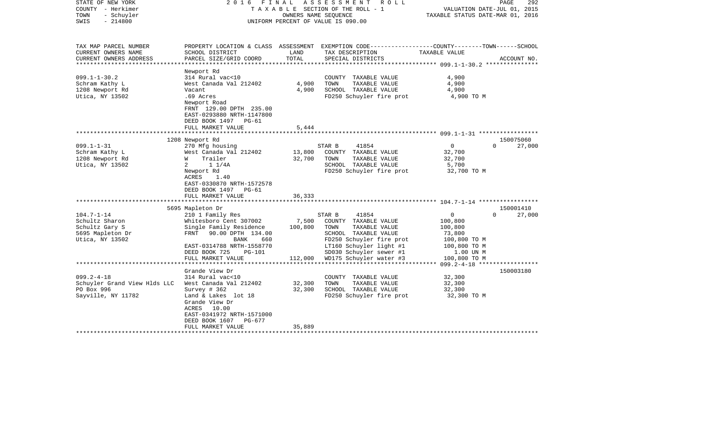| $-214800$<br>SWIS<br>UNIFORM PERCENT OF VALUE IS 090.00<br>TAX MAP PARCEL NUMBER<br>PROPERTY LOCATION & CLASS ASSESSMENT EXEMPTION CODE----------------COUNTY-------TOWN------SCHOOL<br>CURRENT OWNERS NAME<br>SCHOOL DISTRICT<br>LAND<br>TAX DESCRIPTION<br>TAXABLE VALUE<br>TOTAL<br>CURRENT OWNERS ADDRESS<br>PARCEL SIZE/GRID COORD<br>SPECIAL DISTRICTS<br>ACCOUNT NO.<br>*****************<br>Newport Rd<br>$099.1 - 1 - 30.2$<br>314 Rural vac<10<br>4,900<br>COUNTY TAXABLE VALUE<br>4,900<br>Schram Kathy L<br>West Canada Val 212402<br>TOWN<br>TAXABLE VALUE<br>4,900<br>4,900<br>SCHOOL TAXABLE VALUE<br>4,900<br>1208 Newport Rd<br>Vacant<br>Utica, NY 13502<br>.69 Acres<br>FD250 Schuyler fire prot<br>4,900 TO M<br>Newport Road<br>FRNT 129.00 DPTH 235.00<br>EAST-0293880 NRTH-1147800<br>DEED BOOK 1497<br>$PG-61$<br>FULL MARKET VALUE<br>5,444<br>1208 Newport Rd<br>150075060<br>41854<br>27,000<br>$099.1 - 1 - 31$<br>270 Mfg housing<br>STAR B<br>$\overline{0}$<br>$\Omega$<br>Schram Kathy L<br>West Canada Val 212402<br>13,800<br>COUNTY TAXABLE VALUE<br>32,700<br>Trailer<br>1208 Newport Rd<br>32,700<br>TOWN<br>TAXABLE VALUE<br>32,700<br>W<br>Utica, NY 13502<br>SCHOOL TAXABLE VALUE<br>2<br>$1 \t1/4A$<br>5,700<br>FD250 Schuyler fire prot<br>32,700 TO M<br>Newport Rd<br>ACRES<br>1.40<br>EAST-0330870 NRTH-1572578<br>DEED BOOK 1497<br>PG-61<br>FULL MARKET VALUE<br>36,333<br>5695 Mapleton Dr<br>150001410<br>$104.7 - 1 - 14$<br>210 1 Family Res<br>$\mathsf{O}$<br>$\Omega$<br>27,000<br>STAR B<br>41854<br>Schultz Sharon<br>Whitesboro Cent 307002<br>7,500<br>COUNTY TAXABLE VALUE<br>100,800<br>Schultz Gary S<br>Single Family Residence<br>100,800<br>TOWN<br>TAXABLE VALUE<br>100,800<br>5695 Mapleton Dr<br>FRNT<br>90.00 DPTH 134.00<br>SCHOOL TAXABLE VALUE<br>73,800<br>Utica, NY 13502<br>FD250 Schuyler fire prot<br>100,800 TO M<br>BANK<br>660<br>EAST-0314788 NRTH-1558770<br>LT160 Schuyler light #1<br>100,800 TO M<br>SD030 Schuyler sewer #1<br>DEED BOOK 725<br><b>PG-101</b><br>1.00 UN M<br>112,000<br>WD175 Schuyler water #3<br>FULL MARKET VALUE<br>100,800 TO M<br>********************<br>Grande View Dr<br>150003180<br>$099.2 - 4 - 18$<br>32,300<br>314 Rural vac<10<br>COUNTY TAXABLE VALUE<br>Schuyler Grand View Hlds LLC<br>West Canada Val 212402<br>32,300<br>TOWN<br>TAXABLE VALUE<br>32,300<br>PO Box 996<br>32,300<br>Survey $\#$ 362<br>SCHOOL TAXABLE VALUE<br>32,300<br>Sayville, NY 11782<br>Land & Lakes lot 18<br>FD250 Schuyler fire prot<br>32,300 TO M<br>Grande View Dr<br>ACRES 10.00<br>EAST-0341972 NRTH-1571000<br>DEED BOOK 1607<br>PG-677<br>35,889<br>FULL MARKET VALUE<br>****************************** | STATE OF NEW YORK<br>COUNTY - Herkimer<br>TOWN<br>- Schuyler | FINAL<br>2016 | A S S E S S M E N T<br>R O L L<br>TAXABLE SECTION OF THE ROLL - 1<br>OWNERS NAME SEOUENCE | VALUATION DATE-JUL 01, 2015<br>TAXABLE STATUS DATE-MAR 01, 2016 | PAGE<br>292 |
|--------------------------------------------------------------------------------------------------------------------------------------------------------------------------------------------------------------------------------------------------------------------------------------------------------------------------------------------------------------------------------------------------------------------------------------------------------------------------------------------------------------------------------------------------------------------------------------------------------------------------------------------------------------------------------------------------------------------------------------------------------------------------------------------------------------------------------------------------------------------------------------------------------------------------------------------------------------------------------------------------------------------------------------------------------------------------------------------------------------------------------------------------------------------------------------------------------------------------------------------------------------------------------------------------------------------------------------------------------------------------------------------------------------------------------------------------------------------------------------------------------------------------------------------------------------------------------------------------------------------------------------------------------------------------------------------------------------------------------------------------------------------------------------------------------------------------------------------------------------------------------------------------------------------------------------------------------------------------------------------------------------------------------------------------------------------------------------------------------------------------------------------------------------------------------------------------------------------------------------------------------------------------------------------------------------------------------------------------------------------------------------------------------------------------------------------------------------------------------------------------------------------------------------------------------------------------------------------------------------------------------------------------------------------------------------------------------------------|--------------------------------------------------------------|---------------|-------------------------------------------------------------------------------------------|-----------------------------------------------------------------|-------------|
|                                                                                                                                                                                                                                                                                                                                                                                                                                                                                                                                                                                                                                                                                                                                                                                                                                                                                                                                                                                                                                                                                                                                                                                                                                                                                                                                                                                                                                                                                                                                                                                                                                                                                                                                                                                                                                                                                                                                                                                                                                                                                                                                                                                                                                                                                                                                                                                                                                                                                                                                                                                                                                                                                                                    |                                                              |               |                                                                                           |                                                                 |             |
|                                                                                                                                                                                                                                                                                                                                                                                                                                                                                                                                                                                                                                                                                                                                                                                                                                                                                                                                                                                                                                                                                                                                                                                                                                                                                                                                                                                                                                                                                                                                                                                                                                                                                                                                                                                                                                                                                                                                                                                                                                                                                                                                                                                                                                                                                                                                                                                                                                                                                                                                                                                                                                                                                                                    |                                                              |               |                                                                                           |                                                                 |             |
|                                                                                                                                                                                                                                                                                                                                                                                                                                                                                                                                                                                                                                                                                                                                                                                                                                                                                                                                                                                                                                                                                                                                                                                                                                                                                                                                                                                                                                                                                                                                                                                                                                                                                                                                                                                                                                                                                                                                                                                                                                                                                                                                                                                                                                                                                                                                                                                                                                                                                                                                                                                                                                                                                                                    |                                                              |               |                                                                                           |                                                                 |             |
|                                                                                                                                                                                                                                                                                                                                                                                                                                                                                                                                                                                                                                                                                                                                                                                                                                                                                                                                                                                                                                                                                                                                                                                                                                                                                                                                                                                                                                                                                                                                                                                                                                                                                                                                                                                                                                                                                                                                                                                                                                                                                                                                                                                                                                                                                                                                                                                                                                                                                                                                                                                                                                                                                                                    |                                                              |               |                                                                                           |                                                                 |             |
|                                                                                                                                                                                                                                                                                                                                                                                                                                                                                                                                                                                                                                                                                                                                                                                                                                                                                                                                                                                                                                                                                                                                                                                                                                                                                                                                                                                                                                                                                                                                                                                                                                                                                                                                                                                                                                                                                                                                                                                                                                                                                                                                                                                                                                                                                                                                                                                                                                                                                                                                                                                                                                                                                                                    |                                                              |               |                                                                                           |                                                                 |             |
|                                                                                                                                                                                                                                                                                                                                                                                                                                                                                                                                                                                                                                                                                                                                                                                                                                                                                                                                                                                                                                                                                                                                                                                                                                                                                                                                                                                                                                                                                                                                                                                                                                                                                                                                                                                                                                                                                                                                                                                                                                                                                                                                                                                                                                                                                                                                                                                                                                                                                                                                                                                                                                                                                                                    |                                                              |               |                                                                                           |                                                                 |             |
|                                                                                                                                                                                                                                                                                                                                                                                                                                                                                                                                                                                                                                                                                                                                                                                                                                                                                                                                                                                                                                                                                                                                                                                                                                                                                                                                                                                                                                                                                                                                                                                                                                                                                                                                                                                                                                                                                                                                                                                                                                                                                                                                                                                                                                                                                                                                                                                                                                                                                                                                                                                                                                                                                                                    |                                                              |               |                                                                                           |                                                                 |             |
|                                                                                                                                                                                                                                                                                                                                                                                                                                                                                                                                                                                                                                                                                                                                                                                                                                                                                                                                                                                                                                                                                                                                                                                                                                                                                                                                                                                                                                                                                                                                                                                                                                                                                                                                                                                                                                                                                                                                                                                                                                                                                                                                                                                                                                                                                                                                                                                                                                                                                                                                                                                                                                                                                                                    |                                                              |               |                                                                                           |                                                                 |             |
|                                                                                                                                                                                                                                                                                                                                                                                                                                                                                                                                                                                                                                                                                                                                                                                                                                                                                                                                                                                                                                                                                                                                                                                                                                                                                                                                                                                                                                                                                                                                                                                                                                                                                                                                                                                                                                                                                                                                                                                                                                                                                                                                                                                                                                                                                                                                                                                                                                                                                                                                                                                                                                                                                                                    |                                                              |               |                                                                                           |                                                                 |             |
|                                                                                                                                                                                                                                                                                                                                                                                                                                                                                                                                                                                                                                                                                                                                                                                                                                                                                                                                                                                                                                                                                                                                                                                                                                                                                                                                                                                                                                                                                                                                                                                                                                                                                                                                                                                                                                                                                                                                                                                                                                                                                                                                                                                                                                                                                                                                                                                                                                                                                                                                                                                                                                                                                                                    |                                                              |               |                                                                                           |                                                                 |             |
|                                                                                                                                                                                                                                                                                                                                                                                                                                                                                                                                                                                                                                                                                                                                                                                                                                                                                                                                                                                                                                                                                                                                                                                                                                                                                                                                                                                                                                                                                                                                                                                                                                                                                                                                                                                                                                                                                                                                                                                                                                                                                                                                                                                                                                                                                                                                                                                                                                                                                                                                                                                                                                                                                                                    |                                                              |               |                                                                                           |                                                                 |             |
|                                                                                                                                                                                                                                                                                                                                                                                                                                                                                                                                                                                                                                                                                                                                                                                                                                                                                                                                                                                                                                                                                                                                                                                                                                                                                                                                                                                                                                                                                                                                                                                                                                                                                                                                                                                                                                                                                                                                                                                                                                                                                                                                                                                                                                                                                                                                                                                                                                                                                                                                                                                                                                                                                                                    |                                                              |               |                                                                                           |                                                                 |             |
|                                                                                                                                                                                                                                                                                                                                                                                                                                                                                                                                                                                                                                                                                                                                                                                                                                                                                                                                                                                                                                                                                                                                                                                                                                                                                                                                                                                                                                                                                                                                                                                                                                                                                                                                                                                                                                                                                                                                                                                                                                                                                                                                                                                                                                                                                                                                                                                                                                                                                                                                                                                                                                                                                                                    |                                                              |               |                                                                                           |                                                                 |             |
|                                                                                                                                                                                                                                                                                                                                                                                                                                                                                                                                                                                                                                                                                                                                                                                                                                                                                                                                                                                                                                                                                                                                                                                                                                                                                                                                                                                                                                                                                                                                                                                                                                                                                                                                                                                                                                                                                                                                                                                                                                                                                                                                                                                                                                                                                                                                                                                                                                                                                                                                                                                                                                                                                                                    |                                                              |               |                                                                                           |                                                                 |             |
|                                                                                                                                                                                                                                                                                                                                                                                                                                                                                                                                                                                                                                                                                                                                                                                                                                                                                                                                                                                                                                                                                                                                                                                                                                                                                                                                                                                                                                                                                                                                                                                                                                                                                                                                                                                                                                                                                                                                                                                                                                                                                                                                                                                                                                                                                                                                                                                                                                                                                                                                                                                                                                                                                                                    |                                                              |               |                                                                                           |                                                                 |             |
|                                                                                                                                                                                                                                                                                                                                                                                                                                                                                                                                                                                                                                                                                                                                                                                                                                                                                                                                                                                                                                                                                                                                                                                                                                                                                                                                                                                                                                                                                                                                                                                                                                                                                                                                                                                                                                                                                                                                                                                                                                                                                                                                                                                                                                                                                                                                                                                                                                                                                                                                                                                                                                                                                                                    |                                                              |               |                                                                                           |                                                                 |             |
|                                                                                                                                                                                                                                                                                                                                                                                                                                                                                                                                                                                                                                                                                                                                                                                                                                                                                                                                                                                                                                                                                                                                                                                                                                                                                                                                                                                                                                                                                                                                                                                                                                                                                                                                                                                                                                                                                                                                                                                                                                                                                                                                                                                                                                                                                                                                                                                                                                                                                                                                                                                                                                                                                                                    |                                                              |               |                                                                                           |                                                                 |             |
|                                                                                                                                                                                                                                                                                                                                                                                                                                                                                                                                                                                                                                                                                                                                                                                                                                                                                                                                                                                                                                                                                                                                                                                                                                                                                                                                                                                                                                                                                                                                                                                                                                                                                                                                                                                                                                                                                                                                                                                                                                                                                                                                                                                                                                                                                                                                                                                                                                                                                                                                                                                                                                                                                                                    |                                                              |               |                                                                                           |                                                                 |             |
|                                                                                                                                                                                                                                                                                                                                                                                                                                                                                                                                                                                                                                                                                                                                                                                                                                                                                                                                                                                                                                                                                                                                                                                                                                                                                                                                                                                                                                                                                                                                                                                                                                                                                                                                                                                                                                                                                                                                                                                                                                                                                                                                                                                                                                                                                                                                                                                                                                                                                                                                                                                                                                                                                                                    |                                                              |               |                                                                                           |                                                                 |             |
|                                                                                                                                                                                                                                                                                                                                                                                                                                                                                                                                                                                                                                                                                                                                                                                                                                                                                                                                                                                                                                                                                                                                                                                                                                                                                                                                                                                                                                                                                                                                                                                                                                                                                                                                                                                                                                                                                                                                                                                                                                                                                                                                                                                                                                                                                                                                                                                                                                                                                                                                                                                                                                                                                                                    |                                                              |               |                                                                                           |                                                                 |             |
|                                                                                                                                                                                                                                                                                                                                                                                                                                                                                                                                                                                                                                                                                                                                                                                                                                                                                                                                                                                                                                                                                                                                                                                                                                                                                                                                                                                                                                                                                                                                                                                                                                                                                                                                                                                                                                                                                                                                                                                                                                                                                                                                                                                                                                                                                                                                                                                                                                                                                                                                                                                                                                                                                                                    |                                                              |               |                                                                                           |                                                                 |             |
|                                                                                                                                                                                                                                                                                                                                                                                                                                                                                                                                                                                                                                                                                                                                                                                                                                                                                                                                                                                                                                                                                                                                                                                                                                                                                                                                                                                                                                                                                                                                                                                                                                                                                                                                                                                                                                                                                                                                                                                                                                                                                                                                                                                                                                                                                                                                                                                                                                                                                                                                                                                                                                                                                                                    |                                                              |               |                                                                                           |                                                                 |             |
|                                                                                                                                                                                                                                                                                                                                                                                                                                                                                                                                                                                                                                                                                                                                                                                                                                                                                                                                                                                                                                                                                                                                                                                                                                                                                                                                                                                                                                                                                                                                                                                                                                                                                                                                                                                                                                                                                                                                                                                                                                                                                                                                                                                                                                                                                                                                                                                                                                                                                                                                                                                                                                                                                                                    |                                                              |               |                                                                                           |                                                                 |             |
|                                                                                                                                                                                                                                                                                                                                                                                                                                                                                                                                                                                                                                                                                                                                                                                                                                                                                                                                                                                                                                                                                                                                                                                                                                                                                                                                                                                                                                                                                                                                                                                                                                                                                                                                                                                                                                                                                                                                                                                                                                                                                                                                                                                                                                                                                                                                                                                                                                                                                                                                                                                                                                                                                                                    |                                                              |               |                                                                                           |                                                                 |             |
|                                                                                                                                                                                                                                                                                                                                                                                                                                                                                                                                                                                                                                                                                                                                                                                                                                                                                                                                                                                                                                                                                                                                                                                                                                                                                                                                                                                                                                                                                                                                                                                                                                                                                                                                                                                                                                                                                                                                                                                                                                                                                                                                                                                                                                                                                                                                                                                                                                                                                                                                                                                                                                                                                                                    |                                                              |               |                                                                                           |                                                                 |             |
|                                                                                                                                                                                                                                                                                                                                                                                                                                                                                                                                                                                                                                                                                                                                                                                                                                                                                                                                                                                                                                                                                                                                                                                                                                                                                                                                                                                                                                                                                                                                                                                                                                                                                                                                                                                                                                                                                                                                                                                                                                                                                                                                                                                                                                                                                                                                                                                                                                                                                                                                                                                                                                                                                                                    |                                                              |               |                                                                                           |                                                                 |             |
|                                                                                                                                                                                                                                                                                                                                                                                                                                                                                                                                                                                                                                                                                                                                                                                                                                                                                                                                                                                                                                                                                                                                                                                                                                                                                                                                                                                                                                                                                                                                                                                                                                                                                                                                                                                                                                                                                                                                                                                                                                                                                                                                                                                                                                                                                                                                                                                                                                                                                                                                                                                                                                                                                                                    |                                                              |               |                                                                                           |                                                                 |             |
|                                                                                                                                                                                                                                                                                                                                                                                                                                                                                                                                                                                                                                                                                                                                                                                                                                                                                                                                                                                                                                                                                                                                                                                                                                                                                                                                                                                                                                                                                                                                                                                                                                                                                                                                                                                                                                                                                                                                                                                                                                                                                                                                                                                                                                                                                                                                                                                                                                                                                                                                                                                                                                                                                                                    |                                                              |               |                                                                                           |                                                                 |             |
|                                                                                                                                                                                                                                                                                                                                                                                                                                                                                                                                                                                                                                                                                                                                                                                                                                                                                                                                                                                                                                                                                                                                                                                                                                                                                                                                                                                                                                                                                                                                                                                                                                                                                                                                                                                                                                                                                                                                                                                                                                                                                                                                                                                                                                                                                                                                                                                                                                                                                                                                                                                                                                                                                                                    |                                                              |               |                                                                                           |                                                                 |             |
|                                                                                                                                                                                                                                                                                                                                                                                                                                                                                                                                                                                                                                                                                                                                                                                                                                                                                                                                                                                                                                                                                                                                                                                                                                                                                                                                                                                                                                                                                                                                                                                                                                                                                                                                                                                                                                                                                                                                                                                                                                                                                                                                                                                                                                                                                                                                                                                                                                                                                                                                                                                                                                                                                                                    |                                                              |               |                                                                                           |                                                                 |             |
|                                                                                                                                                                                                                                                                                                                                                                                                                                                                                                                                                                                                                                                                                                                                                                                                                                                                                                                                                                                                                                                                                                                                                                                                                                                                                                                                                                                                                                                                                                                                                                                                                                                                                                                                                                                                                                                                                                                                                                                                                                                                                                                                                                                                                                                                                                                                                                                                                                                                                                                                                                                                                                                                                                                    |                                                              |               |                                                                                           |                                                                 |             |
|                                                                                                                                                                                                                                                                                                                                                                                                                                                                                                                                                                                                                                                                                                                                                                                                                                                                                                                                                                                                                                                                                                                                                                                                                                                                                                                                                                                                                                                                                                                                                                                                                                                                                                                                                                                                                                                                                                                                                                                                                                                                                                                                                                                                                                                                                                                                                                                                                                                                                                                                                                                                                                                                                                                    |                                                              |               |                                                                                           |                                                                 |             |
|                                                                                                                                                                                                                                                                                                                                                                                                                                                                                                                                                                                                                                                                                                                                                                                                                                                                                                                                                                                                                                                                                                                                                                                                                                                                                                                                                                                                                                                                                                                                                                                                                                                                                                                                                                                                                                                                                                                                                                                                                                                                                                                                                                                                                                                                                                                                                                                                                                                                                                                                                                                                                                                                                                                    |                                                              |               |                                                                                           |                                                                 |             |
|                                                                                                                                                                                                                                                                                                                                                                                                                                                                                                                                                                                                                                                                                                                                                                                                                                                                                                                                                                                                                                                                                                                                                                                                                                                                                                                                                                                                                                                                                                                                                                                                                                                                                                                                                                                                                                                                                                                                                                                                                                                                                                                                                                                                                                                                                                                                                                                                                                                                                                                                                                                                                                                                                                                    |                                                              |               |                                                                                           |                                                                 |             |
|                                                                                                                                                                                                                                                                                                                                                                                                                                                                                                                                                                                                                                                                                                                                                                                                                                                                                                                                                                                                                                                                                                                                                                                                                                                                                                                                                                                                                                                                                                                                                                                                                                                                                                                                                                                                                                                                                                                                                                                                                                                                                                                                                                                                                                                                                                                                                                                                                                                                                                                                                                                                                                                                                                                    |                                                              |               |                                                                                           |                                                                 |             |
|                                                                                                                                                                                                                                                                                                                                                                                                                                                                                                                                                                                                                                                                                                                                                                                                                                                                                                                                                                                                                                                                                                                                                                                                                                                                                                                                                                                                                                                                                                                                                                                                                                                                                                                                                                                                                                                                                                                                                                                                                                                                                                                                                                                                                                                                                                                                                                                                                                                                                                                                                                                                                                                                                                                    |                                                              |               |                                                                                           |                                                                 |             |
|                                                                                                                                                                                                                                                                                                                                                                                                                                                                                                                                                                                                                                                                                                                                                                                                                                                                                                                                                                                                                                                                                                                                                                                                                                                                                                                                                                                                                                                                                                                                                                                                                                                                                                                                                                                                                                                                                                                                                                                                                                                                                                                                                                                                                                                                                                                                                                                                                                                                                                                                                                                                                                                                                                                    |                                                              |               |                                                                                           |                                                                 |             |
|                                                                                                                                                                                                                                                                                                                                                                                                                                                                                                                                                                                                                                                                                                                                                                                                                                                                                                                                                                                                                                                                                                                                                                                                                                                                                                                                                                                                                                                                                                                                                                                                                                                                                                                                                                                                                                                                                                                                                                                                                                                                                                                                                                                                                                                                                                                                                                                                                                                                                                                                                                                                                                                                                                                    |                                                              |               |                                                                                           |                                                                 |             |
|                                                                                                                                                                                                                                                                                                                                                                                                                                                                                                                                                                                                                                                                                                                                                                                                                                                                                                                                                                                                                                                                                                                                                                                                                                                                                                                                                                                                                                                                                                                                                                                                                                                                                                                                                                                                                                                                                                                                                                                                                                                                                                                                                                                                                                                                                                                                                                                                                                                                                                                                                                                                                                                                                                                    |                                                              |               |                                                                                           |                                                                 |             |
|                                                                                                                                                                                                                                                                                                                                                                                                                                                                                                                                                                                                                                                                                                                                                                                                                                                                                                                                                                                                                                                                                                                                                                                                                                                                                                                                                                                                                                                                                                                                                                                                                                                                                                                                                                                                                                                                                                                                                                                                                                                                                                                                                                                                                                                                                                                                                                                                                                                                                                                                                                                                                                                                                                                    |                                                              |               |                                                                                           |                                                                 |             |
|                                                                                                                                                                                                                                                                                                                                                                                                                                                                                                                                                                                                                                                                                                                                                                                                                                                                                                                                                                                                                                                                                                                                                                                                                                                                                                                                                                                                                                                                                                                                                                                                                                                                                                                                                                                                                                                                                                                                                                                                                                                                                                                                                                                                                                                                                                                                                                                                                                                                                                                                                                                                                                                                                                                    |                                                              |               |                                                                                           |                                                                 |             |
|                                                                                                                                                                                                                                                                                                                                                                                                                                                                                                                                                                                                                                                                                                                                                                                                                                                                                                                                                                                                                                                                                                                                                                                                                                                                                                                                                                                                                                                                                                                                                                                                                                                                                                                                                                                                                                                                                                                                                                                                                                                                                                                                                                                                                                                                                                                                                                                                                                                                                                                                                                                                                                                                                                                    |                                                              |               |                                                                                           |                                                                 |             |
|                                                                                                                                                                                                                                                                                                                                                                                                                                                                                                                                                                                                                                                                                                                                                                                                                                                                                                                                                                                                                                                                                                                                                                                                                                                                                                                                                                                                                                                                                                                                                                                                                                                                                                                                                                                                                                                                                                                                                                                                                                                                                                                                                                                                                                                                                                                                                                                                                                                                                                                                                                                                                                                                                                                    |                                                              |               |                                                                                           |                                                                 |             |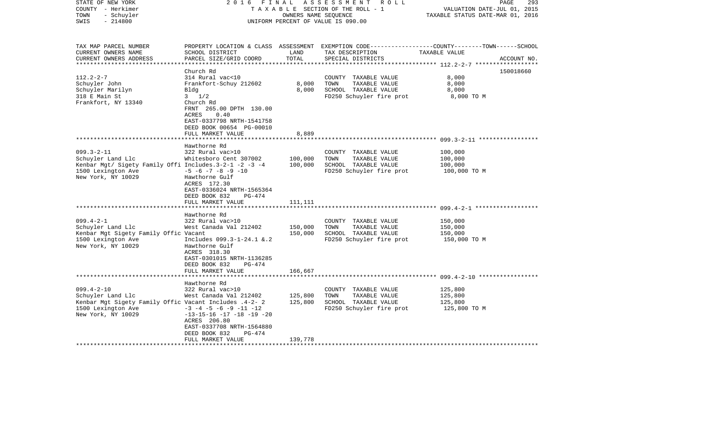| STATE OF NEW YORK<br>COUNTY - Herkimer<br>- Schuyler<br>TOWN<br>$-214800$<br>SWIS                                                           | 2016<br>FINAL                                                                                                                                                                                     | OWNERS NAME SEQUENCE | ASSESSMENT ROLL<br>TAXABLE SECTION OF THE ROLL - 1<br>UNIFORM PERCENT OF VALUE IS 090.00          | 293<br>PAGE<br>VALUATION DATE-JUL 01, 2015<br>TAXABLE STATUS DATE-MAR 01, 2016                                                  |
|---------------------------------------------------------------------------------------------------------------------------------------------|---------------------------------------------------------------------------------------------------------------------------------------------------------------------------------------------------|----------------------|---------------------------------------------------------------------------------------------------|---------------------------------------------------------------------------------------------------------------------------------|
| TAX MAP PARCEL NUMBER<br>CURRENT OWNERS NAME<br>CURRENT OWNERS ADDRESS                                                                      | SCHOOL DISTRICT<br>PARCEL SIZE/GRID COORD                                                                                                                                                         | LAND<br>TOTAL        | TAX DESCRIPTION<br>SPECIAL DISTRICTS                                                              | PROPERTY LOCATION & CLASS ASSESSMENT EXEMPTION CODE---------------COUNTY-------TOWN------SCHOOL<br>TAXABLE VALUE<br>ACCOUNT NO. |
|                                                                                                                                             | Church Rd                                                                                                                                                                                         |                      |                                                                                                   | 150018660                                                                                                                       |
| $112.2 - 2 - 7$                                                                                                                             | 314 Rural vac<10                                                                                                                                                                                  |                      | COUNTY TAXABLE VALUE                                                                              | 8,000                                                                                                                           |
| Schuyler John                                                                                                                               | Frankfort-Schuy 212602                                                                                                                                                                            | 8,000                | TOWN<br>TAXABLE VALUE                                                                             | 8,000                                                                                                                           |
| Schuyler Marilyn                                                                                                                            | Bldg                                                                                                                                                                                              | 8,000                | SCHOOL TAXABLE VALUE                                                                              | 8,000                                                                                                                           |
| 318 E Main St<br>Frankfort, NY 13340                                                                                                        | $3 \frac{1}{2}$<br>Church Rd<br>FRNT 265.00 DPTH 130.00<br>0.40<br>ACRES<br>EAST-0337798 NRTH-1541758<br>DEED BOOK 00654 PG-00010                                                                 |                      | FD250 Schuyler fire prot                                                                          | 8,000 TO M                                                                                                                      |
|                                                                                                                                             | FULL MARKET VALUE                                                                                                                                                                                 | 8,889                |                                                                                                   |                                                                                                                                 |
|                                                                                                                                             |                                                                                                                                                                                                   |                      |                                                                                                   |                                                                                                                                 |
| $099.3 - 2 - 11$<br>Schuyler Land Llc<br>Kenbar Mgt/ Sigety Family Offi Includes.3-2-1 -2 -3 -4<br>1500 Lexington Ave<br>New York, NY 10029 | Hawthorne Rd<br>322 Rural vac>10<br>Whitesboro Cent 307002<br>$-5$ $-6$ $-7$ $-8$ $-9$ $-10$<br>Hawthorne Gulf                                                                                    | 100,000<br>100,000   | COUNTY TAXABLE VALUE<br>TOWN<br>TAXABLE VALUE<br>SCHOOL TAXABLE VALUE<br>FD250 Schuyler fire prot | 100,000<br>100,000<br>100,000<br>100,000 TO M                                                                                   |
|                                                                                                                                             | ACRES 172.30<br>EAST-0336024 NRTH-1565364<br>DEED BOOK 832<br>$PG-474$<br>FULL MARKET VALUE                                                                                                       | 111,111              |                                                                                                   |                                                                                                                                 |
|                                                                                                                                             | Hawthorne Rd                                                                                                                                                                                      |                      |                                                                                                   |                                                                                                                                 |
| $099.4 - 2 - 1$<br>Schuyler Land Llc<br>Kenbar Mgt Sigety Family Offic Vacant<br>1500 Lexington Ave<br>New York, NY 10029                   | 322 Rural vac>10<br>West Canada Val 212402<br>Includes 099.3-1-24.1 &.2<br>Hawthorne Gulf<br>ACRES 318.30                                                                                         | 150,000<br>150,000   | COUNTY TAXABLE VALUE<br>TAXABLE VALUE<br>TOWN<br>SCHOOL TAXABLE VALUE<br>FD250 Schuyler fire prot | 150,000<br>150,000<br>150,000<br>150,000 TO M                                                                                   |
|                                                                                                                                             | EAST-0301015 NRTH-1136285<br>DEED BOOK 832<br>PG-474<br>FULL MARKET VALUE                                                                                                                         | 166,667              |                                                                                                   |                                                                                                                                 |
|                                                                                                                                             | Hawthorne Rd                                                                                                                                                                                      |                      |                                                                                                   |                                                                                                                                 |
| $099.4 - 2 - 10$<br>Schuyler Land Llc<br>Kenbar Mgt Sigety Family Offic Vacant Includes .4-2- 2<br>1500 Lexington Ave<br>New York, NY 10029 | 322 Rural vac>10<br>West Canada Val 212402<br>$-3$ $-4$ $-5$ $-6$ $-9$ $-11$ $-12$<br>$-13-15-16$ $-17$ $-18$ $-19$ $-20$<br>ACRES 206.80<br>EAST-0337708 NRTH-1564880<br>DEED BOOK 832<br>PG-474 | 125,800<br>125,800   | COUNTY TAXABLE VALUE<br>TOWN<br>TAXABLE VALUE<br>SCHOOL TAXABLE VALUE<br>FD250 Schuyler fire prot | 125,800<br>125,800<br>125,800<br>125,800 TO M                                                                                   |
| *******************                                                                                                                         | FULL MARKET VALUE                                                                                                                                                                                 | 139,778              |                                                                                                   |                                                                                                                                 |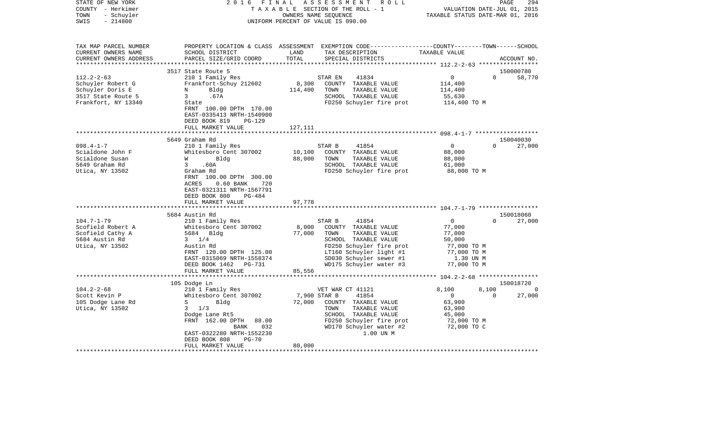| STATE OF NEW YORK<br>COUNTY - Herkimer<br>TOWN<br>- Schuyler<br>SWIS<br>$-214800$ | 2 0 1 6<br>FINAL<br>ASSESSMENT<br>R O L L<br>TAXABLE SECTION OF THE ROLL - 1<br>OWNERS NAME SEQUENCE<br>UNIFORM PERCENT OF VALUE IS 090.00 |                 |                                                                                                                                          | PAGE<br>294<br>VALUATION DATE-JUL 01, 2015<br>TAXABLE STATUS DATE-MAR 01, 2016 |                        |  |
|-----------------------------------------------------------------------------------|--------------------------------------------------------------------------------------------------------------------------------------------|-----------------|------------------------------------------------------------------------------------------------------------------------------------------|--------------------------------------------------------------------------------|------------------------|--|
|                                                                                   |                                                                                                                                            |                 |                                                                                                                                          |                                                                                |                        |  |
| TAX MAP PARCEL NUMBER<br>CURRENT OWNERS NAME<br>CURRENT OWNERS ADDRESS            | SCHOOL DISTRICT<br>PARCEL SIZE/GRID COORD                                                                                                  | LAND<br>TOTAL   | PROPERTY LOCATION & CLASS ASSESSMENT EXEMPTION CODE----------------COUNTY-------TOWN------SCHOOL<br>TAX DESCRIPTION<br>SPECIAL DISTRICTS | TAXABLE VALUE                                                                  | ACCOUNT NO.            |  |
|                                                                                   |                                                                                                                                            |                 |                                                                                                                                          |                                                                                |                        |  |
|                                                                                   | 3517 State Route 5                                                                                                                         |                 |                                                                                                                                          |                                                                                | 150000780              |  |
| $112.2 - 2 - 63$                                                                  | 210 1 Family Res                                                                                                                           |                 | STAR EN<br>41834                                                                                                                         | 0                                                                              | $\mathbf{0}$<br>58,770 |  |
| Schuyler Robert G                                                                 | Frankfort-Schuy 212602                                                                                                                     | 8,300           | COUNTY TAXABLE VALUE                                                                                                                     | 114,400                                                                        |                        |  |
| Schuyler Doris E                                                                  | N<br>Bldg                                                                                                                                  | 114,400         | TOWN<br>TAXABLE VALUE                                                                                                                    | 114,400                                                                        |                        |  |
| 3517 State Route 5                                                                | 3<br>.67A                                                                                                                                  |                 | SCHOOL TAXABLE VALUE                                                                                                                     | 55,630                                                                         |                        |  |
| Frankfort, NY 13340                                                               | State                                                                                                                                      |                 | FD250 Schuyler fire prot                                                                                                                 | 114,400 TO M                                                                   |                        |  |
|                                                                                   | FRNT 100.00 DPTH 170.00<br>EAST-0335413 NRTH-1540900<br>DEED BOOK 819<br>$PG-129$                                                          |                 |                                                                                                                                          |                                                                                |                        |  |
|                                                                                   | FULL MARKET VALUE                                                                                                                          | 127,111         |                                                                                                                                          |                                                                                |                        |  |
|                                                                                   |                                                                                                                                            |                 |                                                                                                                                          |                                                                                |                        |  |
|                                                                                   | 5649 Graham Rd                                                                                                                             |                 |                                                                                                                                          |                                                                                | 150040030              |  |
| $098.4 - 1 - 7$                                                                   | 210 1 Family Res                                                                                                                           |                 | STAR B<br>41854                                                                                                                          | $\circ$                                                                        | 27,000<br>$\Omega$     |  |
| Scialdone John F                                                                  | Whitesboro Cent 307002                                                                                                                     | 10,100          | COUNTY TAXABLE VALUE                                                                                                                     | 88,000                                                                         |                        |  |
| Scialdone Susan                                                                   | W<br>Bldg                                                                                                                                  | 88,000          | TAXABLE VALUE<br>TOWN                                                                                                                    | 88,000                                                                         |                        |  |
| 5649 Graham Rd                                                                    | 3<br>.60A                                                                                                                                  |                 | SCHOOL TAXABLE VALUE                                                                                                                     | 61,000                                                                         |                        |  |
| Utica, NY 13502                                                                   | Graham Rd<br>FRNT 100.00 DPTH 300.00<br>$0.60$ BANK<br>ACRES<br>720<br>EAST-0321311 NRTH-1567791<br>DEED BOOK 800<br>PG-484                |                 | FD250 Schuyler fire prot                                                                                                                 | 88,000 TO M                                                                    |                        |  |
|                                                                                   | FULL MARKET VALUE                                                                                                                          | 97,778          |                                                                                                                                          |                                                                                |                        |  |
|                                                                                   |                                                                                                                                            |                 |                                                                                                                                          |                                                                                |                        |  |
|                                                                                   | 5684 Austin Rd                                                                                                                             |                 |                                                                                                                                          |                                                                                | 150018060              |  |
| $104.7 - 1 - 79$                                                                  | 210 1 Family Res                                                                                                                           |                 | 41854<br>STAR B                                                                                                                          | $\overline{0}$                                                                 | 27,000<br>$\Omega$     |  |
| Scofield Robert A                                                                 | Whitesboro Cent 307002                                                                                                                     | 8,000<br>77,000 | COUNTY TAXABLE VALUE<br>TOWN                                                                                                             | 77,000                                                                         |                        |  |
| Scofield Cathy A<br>5684 Austin Rd                                                | 5684 Bldg<br>$3 \t1/4$                                                                                                                     |                 | TAXABLE VALUE<br>SCHOOL TAXABLE VALUE                                                                                                    | 77,000<br>50,000                                                               |                        |  |
| Utica, NY 13502                                                                   | Austin Rd                                                                                                                                  |                 | FD250 Schuyler fire prot                                                                                                                 | 77,000 TO M                                                                    |                        |  |
|                                                                                   | FRNT 120.00 DPTH 125.00                                                                                                                    |                 | LT160 Schuyler light #1                                                                                                                  | 77,000 TO M                                                                    |                        |  |
|                                                                                   | EAST-0315069 NRTH-1558374                                                                                                                  |                 | SD030 Schuyler sewer #1                                                                                                                  | 1.30 UN M                                                                      |                        |  |
|                                                                                   | DEED BOOK 1462 PG-731                                                                                                                      |                 | WD175 Schuyler water #3                                                                                                                  | 77,000 TO M                                                                    |                        |  |
|                                                                                   | FULL MARKET VALUE                                                                                                                          | 85,556          |                                                                                                                                          |                                                                                |                        |  |
|                                                                                   |                                                                                                                                            |                 |                                                                                                                                          | ********************** 104.2-2-68 ******************                           |                        |  |
|                                                                                   | 105 Dodge Ln                                                                                                                               |                 |                                                                                                                                          |                                                                                | 150018720              |  |
| $104.2 - 2 - 68$                                                                  | 210 1 Family Res                                                                                                                           |                 | VET WAR CT 41121                                                                                                                         | 8,100                                                                          | 8,100<br>$\Omega$      |  |
| Scott Kevin P                                                                     | Whitesboro Cent 307002                                                                                                                     | 7,900 STAR B    | 41854                                                                                                                                    | $\mathbf 0$                                                                    | 27,000<br>$\Omega$     |  |
| 105 Dodge Lane Rd                                                                 | S<br>Bldg                                                                                                                                  | 72,000          | COUNTY TAXABLE VALUE                                                                                                                     | 63,900                                                                         |                        |  |
| Utica, NY 13502                                                                   | $\mathbf{3}$<br>1/3                                                                                                                        |                 | TOWN<br>TAXABLE VALUE                                                                                                                    | 63,900                                                                         |                        |  |
|                                                                                   | Dodge Lane Rt5                                                                                                                             |                 | SCHOOL TAXABLE VALUE                                                                                                                     | 45,000                                                                         |                        |  |
|                                                                                   | FRNT 162.00 DPTH<br>88.00                                                                                                                  |                 | FD250 Schuyler fire prot                                                                                                                 | 72,000 TO M                                                                    |                        |  |
|                                                                                   | 032<br>BANK                                                                                                                                |                 | WD170 Schuyler water #2                                                                                                                  | 72,000 TO C                                                                    |                        |  |
|                                                                                   | EAST-0322280 NRTH-1552230<br>DEED BOOK 808<br>$PG-70$                                                                                      |                 | 1.00 UN M                                                                                                                                |                                                                                |                        |  |
|                                                                                   | FULL MARKET VALUE                                                                                                                          | 80,000          |                                                                                                                                          |                                                                                |                        |  |
|                                                                                   |                                                                                                                                            |                 |                                                                                                                                          |                                                                                |                        |  |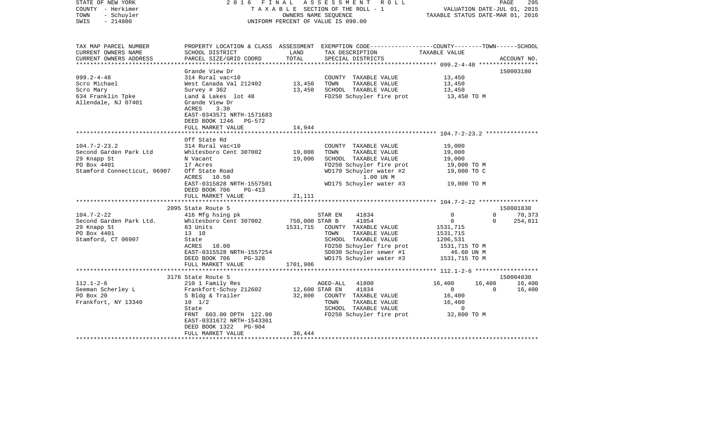| PROPERTY LOCATION & CLASS ASSESSMENT EXEMPTION CODE---------------COUNTY-------TOWN------SCHOOL<br>TAX MAP PARCEL NUMBER<br>TAX DESCRIPTION<br>TAXABLE VALUE<br>CURRENT OWNERS NAME<br>SCHOOL DISTRICT<br>LAND<br>TOTAL<br>CURRENT OWNERS ADDRESS<br>PARCEL SIZE/GRID COORD<br>SPECIAL DISTRICTS<br>ACCOUNT NO.<br>150003180<br>Grande View Dr<br>314 Rural vac<10<br>COUNTY TAXABLE VALUE<br>13,450<br>West Canada Val 212402 13,450<br>TAXABLE VALUE<br>Scro Michael<br>TOWN<br>13,450<br>Survey # 362<br>13,450<br>SCHOOL TAXABLE VALUE<br>13,450<br>FD250 Schuyler fire prot<br>Land & Lakes lot 48<br>13,450 TO M<br>Grande View Dr<br>ACRES<br>3.30<br>EAST-0343571 NRTH-1571683<br>DEED BOOK 1246<br>PG-572<br>FULL MARKET VALUE<br>14,944<br>Off State Rd<br>$104.7 - 2 - 23.2$<br>314 Rural vac<10<br>COUNTY TAXABLE VALUE<br>19,000<br>19,000<br>Second Garden Park Ltd<br>Whitesboro Cent 307002<br>TOWN<br>TAXABLE VALUE<br>19,000<br>19,000<br>29 Knapp St<br>N Vacant<br>SCHOOL TAXABLE VALUE<br>19,000<br>PO Box 4401<br>17 Acres<br>FD250 Schuyler fire prot<br>19,000 TO M<br>Stamford Connecticut, 06907 Off State Road<br>WD170 Schuyler water #2<br>19,000 TO C<br>1.00 UN M<br>ACRES 10.50<br>EAST-0315828 NRTH-1557501<br>WD175 Schuyler water #3 19,000 TO M<br>DEED BOOK 706<br>PG-413<br>FULL MARKET VALUE<br>21,111<br>******************<br>2095 State Route 5<br>150001830<br>$104.7 - 2 - 22$<br>$\mathbf 0$<br>70,373<br>416 Mfg hsing pk<br>STAR EN<br>41834<br>$\Omega$<br>41854<br>Whitesboro Cent 307002 750,000 STAR B<br>Second Garden Park Ltd.<br>$\overline{0}$<br>$\Omega$<br>254,811<br>1531,715<br>COUNTY TAXABLE VALUE<br>29 Knapp St<br>83 Units<br>1531,715<br>PO Box 4401<br>13 10<br>TOWN<br>TAXABLE VALUE<br>1531,715<br>Stamford, CT 06907<br>SCHOOL TAXABLE VALUE<br>1206,531<br>State<br>FD250 Schuyler fire prot<br>ACRES<br>10.00<br>1531,715 TO M<br>EAST-0315528 NRTH-1557254<br>SD030 Schuyler sewer #1<br>46.60 UN M<br>WD175 Schuyler water #3<br>DEED BOOK 706<br>PG-328<br>1531,715 TO M<br>FULL MARKET VALUE<br>1701,906<br>150004830<br>3176 State Route 5<br>210 1 Family Res<br>AGED-ALL 41800<br>16,400<br>16,400<br>16,400<br>Frankfort-Schuy 212602<br>41834<br>12,600 STAR EN<br>$\overline{0}$<br>$\overline{0}$<br>16,400<br>PO Box 20<br>S Bldg & Trailer<br>32,800<br>COUNTY TAXABLE VALUE<br>16,400<br>16,400<br>Frankfort, NY 13340<br>$10 \t 1/2$<br>TOWN<br>TAXABLE VALUE<br>SCHOOL TAXABLE VALUE<br>State<br>$\sim$ 0<br>FD250 Schuyler fire prot 32,800 TO M<br>FRNT 603.00 DPTH 122.00<br>EAST-0331672 NRTH-1543361<br>DEED BOOK 1322<br>PG-904<br>FULL MARKET VALUE<br>36,444<br>*********************** | STATE OF NEW YORK<br>COUNTY - Herkimer<br>TOWN<br>- Schuyler<br>$-214800$<br>SWIS | 2016 | FINAL ASSESSMENT ROLL<br>TAXABLE SECTION OF THE ROLL - 1<br>OWNERS NAME SEQUENCE<br>UNIFORM PERCENT OF VALUE IS 090.00 | VALUATION DATE-JUL 01, 2015<br>TAXABLE STATUS DATE-MAR 01, 2016 | 295<br>PAGE |
|------------------------------------------------------------------------------------------------------------------------------------------------------------------------------------------------------------------------------------------------------------------------------------------------------------------------------------------------------------------------------------------------------------------------------------------------------------------------------------------------------------------------------------------------------------------------------------------------------------------------------------------------------------------------------------------------------------------------------------------------------------------------------------------------------------------------------------------------------------------------------------------------------------------------------------------------------------------------------------------------------------------------------------------------------------------------------------------------------------------------------------------------------------------------------------------------------------------------------------------------------------------------------------------------------------------------------------------------------------------------------------------------------------------------------------------------------------------------------------------------------------------------------------------------------------------------------------------------------------------------------------------------------------------------------------------------------------------------------------------------------------------------------------------------------------------------------------------------------------------------------------------------------------------------------------------------------------------------------------------------------------------------------------------------------------------------------------------------------------------------------------------------------------------------------------------------------------------------------------------------------------------------------------------------------------------------------------------------------------------------------------------------------------------------------------------------------------------------------------------------------------------------------------------------------------------------------------------------------------------------------------------------------------------------------------------|-----------------------------------------------------------------------------------|------|------------------------------------------------------------------------------------------------------------------------|-----------------------------------------------------------------|-------------|
|                                                                                                                                                                                                                                                                                                                                                                                                                                                                                                                                                                                                                                                                                                                                                                                                                                                                                                                                                                                                                                                                                                                                                                                                                                                                                                                                                                                                                                                                                                                                                                                                                                                                                                                                                                                                                                                                                                                                                                                                                                                                                                                                                                                                                                                                                                                                                                                                                                                                                                                                                                                                                                                                                          |                                                                                   |      |                                                                                                                        |                                                                 |             |
|                                                                                                                                                                                                                                                                                                                                                                                                                                                                                                                                                                                                                                                                                                                                                                                                                                                                                                                                                                                                                                                                                                                                                                                                                                                                                                                                                                                                                                                                                                                                                                                                                                                                                                                                                                                                                                                                                                                                                                                                                                                                                                                                                                                                                                                                                                                                                                                                                                                                                                                                                                                                                                                                                          |                                                                                   |      |                                                                                                                        |                                                                 |             |
|                                                                                                                                                                                                                                                                                                                                                                                                                                                                                                                                                                                                                                                                                                                                                                                                                                                                                                                                                                                                                                                                                                                                                                                                                                                                                                                                                                                                                                                                                                                                                                                                                                                                                                                                                                                                                                                                                                                                                                                                                                                                                                                                                                                                                                                                                                                                                                                                                                                                                                                                                                                                                                                                                          |                                                                                   |      |                                                                                                                        |                                                                 |             |
|                                                                                                                                                                                                                                                                                                                                                                                                                                                                                                                                                                                                                                                                                                                                                                                                                                                                                                                                                                                                                                                                                                                                                                                                                                                                                                                                                                                                                                                                                                                                                                                                                                                                                                                                                                                                                                                                                                                                                                                                                                                                                                                                                                                                                                                                                                                                                                                                                                                                                                                                                                                                                                                                                          |                                                                                   |      |                                                                                                                        |                                                                 |             |
|                                                                                                                                                                                                                                                                                                                                                                                                                                                                                                                                                                                                                                                                                                                                                                                                                                                                                                                                                                                                                                                                                                                                                                                                                                                                                                                                                                                                                                                                                                                                                                                                                                                                                                                                                                                                                                                                                                                                                                                                                                                                                                                                                                                                                                                                                                                                                                                                                                                                                                                                                                                                                                                                                          |                                                                                   |      |                                                                                                                        |                                                                 |             |
|                                                                                                                                                                                                                                                                                                                                                                                                                                                                                                                                                                                                                                                                                                                                                                                                                                                                                                                                                                                                                                                                                                                                                                                                                                                                                                                                                                                                                                                                                                                                                                                                                                                                                                                                                                                                                                                                                                                                                                                                                                                                                                                                                                                                                                                                                                                                                                                                                                                                                                                                                                                                                                                                                          | $099.2 - 4 - 48$                                                                  |      |                                                                                                                        |                                                                 |             |
|                                                                                                                                                                                                                                                                                                                                                                                                                                                                                                                                                                                                                                                                                                                                                                                                                                                                                                                                                                                                                                                                                                                                                                                                                                                                                                                                                                                                                                                                                                                                                                                                                                                                                                                                                                                                                                                                                                                                                                                                                                                                                                                                                                                                                                                                                                                                                                                                                                                                                                                                                                                                                                                                                          |                                                                                   |      |                                                                                                                        |                                                                 |             |
|                                                                                                                                                                                                                                                                                                                                                                                                                                                                                                                                                                                                                                                                                                                                                                                                                                                                                                                                                                                                                                                                                                                                                                                                                                                                                                                                                                                                                                                                                                                                                                                                                                                                                                                                                                                                                                                                                                                                                                                                                                                                                                                                                                                                                                                                                                                                                                                                                                                                                                                                                                                                                                                                                          | Scro Mary                                                                         |      |                                                                                                                        |                                                                 |             |
|                                                                                                                                                                                                                                                                                                                                                                                                                                                                                                                                                                                                                                                                                                                                                                                                                                                                                                                                                                                                                                                                                                                                                                                                                                                                                                                                                                                                                                                                                                                                                                                                                                                                                                                                                                                                                                                                                                                                                                                                                                                                                                                                                                                                                                                                                                                                                                                                                                                                                                                                                                                                                                                                                          | 634 Franklin Tpke                                                                 |      |                                                                                                                        |                                                                 |             |
|                                                                                                                                                                                                                                                                                                                                                                                                                                                                                                                                                                                                                                                                                                                                                                                                                                                                                                                                                                                                                                                                                                                                                                                                                                                                                                                                                                                                                                                                                                                                                                                                                                                                                                                                                                                                                                                                                                                                                                                                                                                                                                                                                                                                                                                                                                                                                                                                                                                                                                                                                                                                                                                                                          | Allendale, NJ 07401                                                               |      |                                                                                                                        |                                                                 |             |
|                                                                                                                                                                                                                                                                                                                                                                                                                                                                                                                                                                                                                                                                                                                                                                                                                                                                                                                                                                                                                                                                                                                                                                                                                                                                                                                                                                                                                                                                                                                                                                                                                                                                                                                                                                                                                                                                                                                                                                                                                                                                                                                                                                                                                                                                                                                                                                                                                                                                                                                                                                                                                                                                                          |                                                                                   |      |                                                                                                                        |                                                                 |             |
|                                                                                                                                                                                                                                                                                                                                                                                                                                                                                                                                                                                                                                                                                                                                                                                                                                                                                                                                                                                                                                                                                                                                                                                                                                                                                                                                                                                                                                                                                                                                                                                                                                                                                                                                                                                                                                                                                                                                                                                                                                                                                                                                                                                                                                                                                                                                                                                                                                                                                                                                                                                                                                                                                          |                                                                                   |      |                                                                                                                        |                                                                 |             |
|                                                                                                                                                                                                                                                                                                                                                                                                                                                                                                                                                                                                                                                                                                                                                                                                                                                                                                                                                                                                                                                                                                                                                                                                                                                                                                                                                                                                                                                                                                                                                                                                                                                                                                                                                                                                                                                                                                                                                                                                                                                                                                                                                                                                                                                                                                                                                                                                                                                                                                                                                                                                                                                                                          |                                                                                   |      |                                                                                                                        |                                                                 |             |
|                                                                                                                                                                                                                                                                                                                                                                                                                                                                                                                                                                                                                                                                                                                                                                                                                                                                                                                                                                                                                                                                                                                                                                                                                                                                                                                                                                                                                                                                                                                                                                                                                                                                                                                                                                                                                                                                                                                                                                                                                                                                                                                                                                                                                                                                                                                                                                                                                                                                                                                                                                                                                                                                                          |                                                                                   |      |                                                                                                                        |                                                                 |             |
|                                                                                                                                                                                                                                                                                                                                                                                                                                                                                                                                                                                                                                                                                                                                                                                                                                                                                                                                                                                                                                                                                                                                                                                                                                                                                                                                                                                                                                                                                                                                                                                                                                                                                                                                                                                                                                                                                                                                                                                                                                                                                                                                                                                                                                                                                                                                                                                                                                                                                                                                                                                                                                                                                          |                                                                                   |      |                                                                                                                        |                                                                 |             |
|                                                                                                                                                                                                                                                                                                                                                                                                                                                                                                                                                                                                                                                                                                                                                                                                                                                                                                                                                                                                                                                                                                                                                                                                                                                                                                                                                                                                                                                                                                                                                                                                                                                                                                                                                                                                                                                                                                                                                                                                                                                                                                                                                                                                                                                                                                                                                                                                                                                                                                                                                                                                                                                                                          |                                                                                   |      |                                                                                                                        |                                                                 |             |
|                                                                                                                                                                                                                                                                                                                                                                                                                                                                                                                                                                                                                                                                                                                                                                                                                                                                                                                                                                                                                                                                                                                                                                                                                                                                                                                                                                                                                                                                                                                                                                                                                                                                                                                                                                                                                                                                                                                                                                                                                                                                                                                                                                                                                                                                                                                                                                                                                                                                                                                                                                                                                                                                                          |                                                                                   |      |                                                                                                                        |                                                                 |             |
|                                                                                                                                                                                                                                                                                                                                                                                                                                                                                                                                                                                                                                                                                                                                                                                                                                                                                                                                                                                                                                                                                                                                                                                                                                                                                                                                                                                                                                                                                                                                                                                                                                                                                                                                                                                                                                                                                                                                                                                                                                                                                                                                                                                                                                                                                                                                                                                                                                                                                                                                                                                                                                                                                          |                                                                                   |      |                                                                                                                        |                                                                 |             |
|                                                                                                                                                                                                                                                                                                                                                                                                                                                                                                                                                                                                                                                                                                                                                                                                                                                                                                                                                                                                                                                                                                                                                                                                                                                                                                                                                                                                                                                                                                                                                                                                                                                                                                                                                                                                                                                                                                                                                                                                                                                                                                                                                                                                                                                                                                                                                                                                                                                                                                                                                                                                                                                                                          |                                                                                   |      |                                                                                                                        |                                                                 |             |
|                                                                                                                                                                                                                                                                                                                                                                                                                                                                                                                                                                                                                                                                                                                                                                                                                                                                                                                                                                                                                                                                                                                                                                                                                                                                                                                                                                                                                                                                                                                                                                                                                                                                                                                                                                                                                                                                                                                                                                                                                                                                                                                                                                                                                                                                                                                                                                                                                                                                                                                                                                                                                                                                                          |                                                                                   |      |                                                                                                                        |                                                                 |             |
|                                                                                                                                                                                                                                                                                                                                                                                                                                                                                                                                                                                                                                                                                                                                                                                                                                                                                                                                                                                                                                                                                                                                                                                                                                                                                                                                                                                                                                                                                                                                                                                                                                                                                                                                                                                                                                                                                                                                                                                                                                                                                                                                                                                                                                                                                                                                                                                                                                                                                                                                                                                                                                                                                          |                                                                                   |      |                                                                                                                        |                                                                 |             |
|                                                                                                                                                                                                                                                                                                                                                                                                                                                                                                                                                                                                                                                                                                                                                                                                                                                                                                                                                                                                                                                                                                                                                                                                                                                                                                                                                                                                                                                                                                                                                                                                                                                                                                                                                                                                                                                                                                                                                                                                                                                                                                                                                                                                                                                                                                                                                                                                                                                                                                                                                                                                                                                                                          |                                                                                   |      |                                                                                                                        |                                                                 |             |
|                                                                                                                                                                                                                                                                                                                                                                                                                                                                                                                                                                                                                                                                                                                                                                                                                                                                                                                                                                                                                                                                                                                                                                                                                                                                                                                                                                                                                                                                                                                                                                                                                                                                                                                                                                                                                                                                                                                                                                                                                                                                                                                                                                                                                                                                                                                                                                                                                                                                                                                                                                                                                                                                                          |                                                                                   |      |                                                                                                                        |                                                                 |             |
|                                                                                                                                                                                                                                                                                                                                                                                                                                                                                                                                                                                                                                                                                                                                                                                                                                                                                                                                                                                                                                                                                                                                                                                                                                                                                                                                                                                                                                                                                                                                                                                                                                                                                                                                                                                                                                                                                                                                                                                                                                                                                                                                                                                                                                                                                                                                                                                                                                                                                                                                                                                                                                                                                          |                                                                                   |      |                                                                                                                        |                                                                 |             |
|                                                                                                                                                                                                                                                                                                                                                                                                                                                                                                                                                                                                                                                                                                                                                                                                                                                                                                                                                                                                                                                                                                                                                                                                                                                                                                                                                                                                                                                                                                                                                                                                                                                                                                                                                                                                                                                                                                                                                                                                                                                                                                                                                                                                                                                                                                                                                                                                                                                                                                                                                                                                                                                                                          |                                                                                   |      |                                                                                                                        |                                                                 |             |
|                                                                                                                                                                                                                                                                                                                                                                                                                                                                                                                                                                                                                                                                                                                                                                                                                                                                                                                                                                                                                                                                                                                                                                                                                                                                                                                                                                                                                                                                                                                                                                                                                                                                                                                                                                                                                                                                                                                                                                                                                                                                                                                                                                                                                                                                                                                                                                                                                                                                                                                                                                                                                                                                                          |                                                                                   |      |                                                                                                                        |                                                                 |             |
|                                                                                                                                                                                                                                                                                                                                                                                                                                                                                                                                                                                                                                                                                                                                                                                                                                                                                                                                                                                                                                                                                                                                                                                                                                                                                                                                                                                                                                                                                                                                                                                                                                                                                                                                                                                                                                                                                                                                                                                                                                                                                                                                                                                                                                                                                                                                                                                                                                                                                                                                                                                                                                                                                          |                                                                                   |      |                                                                                                                        |                                                                 |             |
|                                                                                                                                                                                                                                                                                                                                                                                                                                                                                                                                                                                                                                                                                                                                                                                                                                                                                                                                                                                                                                                                                                                                                                                                                                                                                                                                                                                                                                                                                                                                                                                                                                                                                                                                                                                                                                                                                                                                                                                                                                                                                                                                                                                                                                                                                                                                                                                                                                                                                                                                                                                                                                                                                          |                                                                                   |      |                                                                                                                        |                                                                 |             |
|                                                                                                                                                                                                                                                                                                                                                                                                                                                                                                                                                                                                                                                                                                                                                                                                                                                                                                                                                                                                                                                                                                                                                                                                                                                                                                                                                                                                                                                                                                                                                                                                                                                                                                                                                                                                                                                                                                                                                                                                                                                                                                                                                                                                                                                                                                                                                                                                                                                                                                                                                                                                                                                                                          |                                                                                   |      |                                                                                                                        |                                                                 |             |
|                                                                                                                                                                                                                                                                                                                                                                                                                                                                                                                                                                                                                                                                                                                                                                                                                                                                                                                                                                                                                                                                                                                                                                                                                                                                                                                                                                                                                                                                                                                                                                                                                                                                                                                                                                                                                                                                                                                                                                                                                                                                                                                                                                                                                                                                                                                                                                                                                                                                                                                                                                                                                                                                                          |                                                                                   |      |                                                                                                                        |                                                                 |             |
|                                                                                                                                                                                                                                                                                                                                                                                                                                                                                                                                                                                                                                                                                                                                                                                                                                                                                                                                                                                                                                                                                                                                                                                                                                                                                                                                                                                                                                                                                                                                                                                                                                                                                                                                                                                                                                                                                                                                                                                                                                                                                                                                                                                                                                                                                                                                                                                                                                                                                                                                                                                                                                                                                          |                                                                                   |      |                                                                                                                        |                                                                 |             |
|                                                                                                                                                                                                                                                                                                                                                                                                                                                                                                                                                                                                                                                                                                                                                                                                                                                                                                                                                                                                                                                                                                                                                                                                                                                                                                                                                                                                                                                                                                                                                                                                                                                                                                                                                                                                                                                                                                                                                                                                                                                                                                                                                                                                                                                                                                                                                                                                                                                                                                                                                                                                                                                                                          |                                                                                   |      |                                                                                                                        |                                                                 |             |
|                                                                                                                                                                                                                                                                                                                                                                                                                                                                                                                                                                                                                                                                                                                                                                                                                                                                                                                                                                                                                                                                                                                                                                                                                                                                                                                                                                                                                                                                                                                                                                                                                                                                                                                                                                                                                                                                                                                                                                                                                                                                                                                                                                                                                                                                                                                                                                                                                                                                                                                                                                                                                                                                                          |                                                                                   |      |                                                                                                                        |                                                                 |             |
|                                                                                                                                                                                                                                                                                                                                                                                                                                                                                                                                                                                                                                                                                                                                                                                                                                                                                                                                                                                                                                                                                                                                                                                                                                                                                                                                                                                                                                                                                                                                                                                                                                                                                                                                                                                                                                                                                                                                                                                                                                                                                                                                                                                                                                                                                                                                                                                                                                                                                                                                                                                                                                                                                          |                                                                                   |      |                                                                                                                        |                                                                 |             |
|                                                                                                                                                                                                                                                                                                                                                                                                                                                                                                                                                                                                                                                                                                                                                                                                                                                                                                                                                                                                                                                                                                                                                                                                                                                                                                                                                                                                                                                                                                                                                                                                                                                                                                                                                                                                                                                                                                                                                                                                                                                                                                                                                                                                                                                                                                                                                                                                                                                                                                                                                                                                                                                                                          |                                                                                   |      |                                                                                                                        |                                                                 |             |
|                                                                                                                                                                                                                                                                                                                                                                                                                                                                                                                                                                                                                                                                                                                                                                                                                                                                                                                                                                                                                                                                                                                                                                                                                                                                                                                                                                                                                                                                                                                                                                                                                                                                                                                                                                                                                                                                                                                                                                                                                                                                                                                                                                                                                                                                                                                                                                                                                                                                                                                                                                                                                                                                                          |                                                                                   |      |                                                                                                                        |                                                                 |             |
|                                                                                                                                                                                                                                                                                                                                                                                                                                                                                                                                                                                                                                                                                                                                                                                                                                                                                                                                                                                                                                                                                                                                                                                                                                                                                                                                                                                                                                                                                                                                                                                                                                                                                                                                                                                                                                                                                                                                                                                                                                                                                                                                                                                                                                                                                                                                                                                                                                                                                                                                                                                                                                                                                          | $112.1 - 2 - 6$                                                                   |      |                                                                                                                        |                                                                 |             |
|                                                                                                                                                                                                                                                                                                                                                                                                                                                                                                                                                                                                                                                                                                                                                                                                                                                                                                                                                                                                                                                                                                                                                                                                                                                                                                                                                                                                                                                                                                                                                                                                                                                                                                                                                                                                                                                                                                                                                                                                                                                                                                                                                                                                                                                                                                                                                                                                                                                                                                                                                                                                                                                                                          | Seeman Scherley L                                                                 |      |                                                                                                                        |                                                                 |             |
|                                                                                                                                                                                                                                                                                                                                                                                                                                                                                                                                                                                                                                                                                                                                                                                                                                                                                                                                                                                                                                                                                                                                                                                                                                                                                                                                                                                                                                                                                                                                                                                                                                                                                                                                                                                                                                                                                                                                                                                                                                                                                                                                                                                                                                                                                                                                                                                                                                                                                                                                                                                                                                                                                          |                                                                                   |      |                                                                                                                        |                                                                 |             |
|                                                                                                                                                                                                                                                                                                                                                                                                                                                                                                                                                                                                                                                                                                                                                                                                                                                                                                                                                                                                                                                                                                                                                                                                                                                                                                                                                                                                                                                                                                                                                                                                                                                                                                                                                                                                                                                                                                                                                                                                                                                                                                                                                                                                                                                                                                                                                                                                                                                                                                                                                                                                                                                                                          |                                                                                   |      |                                                                                                                        |                                                                 |             |
|                                                                                                                                                                                                                                                                                                                                                                                                                                                                                                                                                                                                                                                                                                                                                                                                                                                                                                                                                                                                                                                                                                                                                                                                                                                                                                                                                                                                                                                                                                                                                                                                                                                                                                                                                                                                                                                                                                                                                                                                                                                                                                                                                                                                                                                                                                                                                                                                                                                                                                                                                                                                                                                                                          |                                                                                   |      |                                                                                                                        |                                                                 |             |
|                                                                                                                                                                                                                                                                                                                                                                                                                                                                                                                                                                                                                                                                                                                                                                                                                                                                                                                                                                                                                                                                                                                                                                                                                                                                                                                                                                                                                                                                                                                                                                                                                                                                                                                                                                                                                                                                                                                                                                                                                                                                                                                                                                                                                                                                                                                                                                                                                                                                                                                                                                                                                                                                                          |                                                                                   |      |                                                                                                                        |                                                                 |             |
|                                                                                                                                                                                                                                                                                                                                                                                                                                                                                                                                                                                                                                                                                                                                                                                                                                                                                                                                                                                                                                                                                                                                                                                                                                                                                                                                                                                                                                                                                                                                                                                                                                                                                                                                                                                                                                                                                                                                                                                                                                                                                                                                                                                                                                                                                                                                                                                                                                                                                                                                                                                                                                                                                          |                                                                                   |      |                                                                                                                        |                                                                 |             |
|                                                                                                                                                                                                                                                                                                                                                                                                                                                                                                                                                                                                                                                                                                                                                                                                                                                                                                                                                                                                                                                                                                                                                                                                                                                                                                                                                                                                                                                                                                                                                                                                                                                                                                                                                                                                                                                                                                                                                                                                                                                                                                                                                                                                                                                                                                                                                                                                                                                                                                                                                                                                                                                                                          |                                                                                   |      |                                                                                                                        |                                                                 |             |
|                                                                                                                                                                                                                                                                                                                                                                                                                                                                                                                                                                                                                                                                                                                                                                                                                                                                                                                                                                                                                                                                                                                                                                                                                                                                                                                                                                                                                                                                                                                                                                                                                                                                                                                                                                                                                                                                                                                                                                                                                                                                                                                                                                                                                                                                                                                                                                                                                                                                                                                                                                                                                                                                                          |                                                                                   |      |                                                                                                                        |                                                                 |             |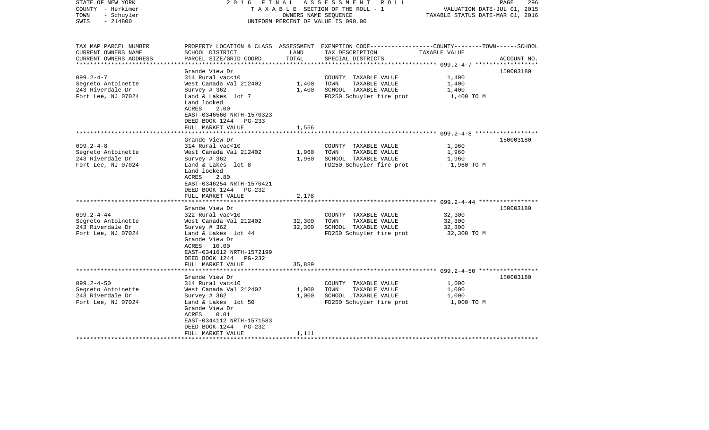| STATE OF NEW YORK<br>COUNTY - Herkimer<br>- Schuyler<br>TOWN<br>$-214800$<br>SWIS                                                                                   | 2016 FINAL                                                                                                                                                                                                                                                                                                                                                                                                      | OWNERS NAME SEQUENCE                        | ASSESSMENT ROLL<br>TAXABLE SECTION OF THE ROLL - 1<br>UNIFORM PERCENT OF VALUE IS 090.00                                                                                                               | VALUATION DATE-JUL 01, 2015<br>TAXABLE STATUS DATE-MAR 01, 2016                    | PAGE<br>296            |
|---------------------------------------------------------------------------------------------------------------------------------------------------------------------|-----------------------------------------------------------------------------------------------------------------------------------------------------------------------------------------------------------------------------------------------------------------------------------------------------------------------------------------------------------------------------------------------------------------|---------------------------------------------|--------------------------------------------------------------------------------------------------------------------------------------------------------------------------------------------------------|------------------------------------------------------------------------------------|------------------------|
| TAX MAP PARCEL NUMBER<br>CURRENT OWNERS NAME<br>CURRENT OWNERS ADDRESS                                                                                              | SCHOOL DISTRICT<br>PARCEL SIZE/GRID COORD                                                                                                                                                                                                                                                                                                                                                                       | LAND<br>TOTAL                               | PROPERTY LOCATION & CLASS ASSESSMENT EXEMPTION CODE---------------COUNTY-------TOWN------SCHOOL<br>TAX DESCRIPTION<br>SPECIAL DISTRICTS                                                                | TAXABLE VALUE                                                                      | ACCOUNT NO.            |
| ***********************                                                                                                                                             |                                                                                                                                                                                                                                                                                                                                                                                                                 |                                             |                                                                                                                                                                                                        |                                                                                    |                        |
| $099.2 - 4 - 7$<br>Segreto Antoinette<br>243 Riverdale Dr<br>Fort Lee, NJ 07024                                                                                     | Grande View Dr<br>314 Rural vac<10<br>West Canada Val 212402<br>Survey $#362$<br>Land & Lakes lot 7<br>Land locked<br>ACRES<br>2.00<br>EAST-0346560 NRTH-1570323                                                                                                                                                                                                                                                | 1,400<br>1,400                              | COUNTY TAXABLE VALUE<br>TOWN<br>TAXABLE VALUE<br>SCHOOL TAXABLE VALUE<br>FD250 Schuyler fire prot                                                                                                      | 1,400<br>1,400<br>1,400<br>1,400 TO M                                              | 150003180              |
|                                                                                                                                                                     | DEED BOOK 1244 PG-233                                                                                                                                                                                                                                                                                                                                                                                           |                                             |                                                                                                                                                                                                        |                                                                                    |                        |
|                                                                                                                                                                     | FULL MARKET VALUE                                                                                                                                                                                                                                                                                                                                                                                               | 1,556<br>*******                            |                                                                                                                                                                                                        |                                                                                    |                        |
| $099.2 - 4 - 8$<br>Segreto Antoinette<br>243 Riverdale Dr<br>Fort Lee, NJ 07024<br>$099.2 - 4 - 44$<br>Segreto Antoinette<br>243 Riverdale Dr<br>Fort Lee, NJ 07024 | Grande View Dr<br>314 Rural vac<10<br>West Canada Val 212402<br>Survey # 362<br>Land & Lakes lot 8<br>Land locked<br>ACRES<br>2.80<br>EAST-0346254 NRTH-1570421<br>DEED BOOK 1244<br>PG-232<br>FULL MARKET VALUE<br>Grande View Dr<br>322 Rural vac>10<br>West Canada Val 212402<br>Survey $#362$<br>Land & Lakes lot 44<br>Grande View Dr<br>ACRES 10.00<br>EAST-0341612 NRTH-1572199<br>DEED BOOK 1244 PG-232 | 1,960<br>1,960<br>2,178<br>32,300<br>32,300 | COUNTY TAXABLE VALUE<br>TAXABLE VALUE<br>TOWN<br>SCHOOL TAXABLE VALUE<br>FD250 Schuyler fire prot<br>COUNTY TAXABLE VALUE<br>TOWN<br>TAXABLE VALUE<br>SCHOOL TAXABLE VALUE<br>FD250 Schuyler fire prot | 1,960<br>1,960<br>1,960<br>1,960 TO M<br>32,300<br>32,300<br>32,300<br>32,300 TO M | 150003180<br>150003180 |
|                                                                                                                                                                     | FULL MARKET VALUE                                                                                                                                                                                                                                                                                                                                                                                               | 35,889                                      |                                                                                                                                                                                                        |                                                                                    |                        |
|                                                                                                                                                                     | Grande View Dr                                                                                                                                                                                                                                                                                                                                                                                                  |                                             |                                                                                                                                                                                                        |                                                                                    | 150003180              |
| $099.2 - 4 - 50$<br>Segreto Antoinette<br>243 Riverdale Dr<br>Fort Lee, NJ 07024                                                                                    | 314 Rural vac<10<br>West Canada Val 212402<br>Survey $# 362$<br>Land & Lakes lot 50<br>Grande View Dr<br>ACRES<br>0.01<br>EAST-0344112 NRTH-1571583<br>DEED BOOK 1244 PG-232<br>FULL MARKET VALUE                                                                                                                                                                                                               | 1,000<br>1,000<br>1,111                     | COUNTY TAXABLE VALUE<br>TOWN<br>TAXABLE VALUE<br>SCHOOL TAXABLE VALUE<br>FD250 Schuyler fire prot                                                                                                      | 1,000<br>1,000<br>1,000<br>1,000 TO M                                              |                        |
|                                                                                                                                                                     |                                                                                                                                                                                                                                                                                                                                                                                                                 |                                             |                                                                                                                                                                                                        |                                                                                    |                        |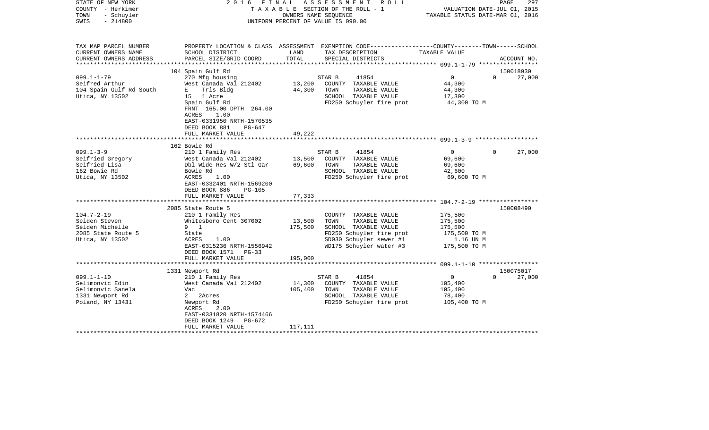| STATE OF NEW YORK<br>COUNTY - Herkimer<br>TOWN<br>- Schuyler<br>$-214800$<br>SWIS               | FINAL<br>2016                                                                                                                                                                                                        |                              | A S S E S S M E N T R O L L<br>TAXABLE SECTION OF THE ROLL - 1<br>OWNERS NAME SEQUENCE<br>UNIFORM PERCENT OF VALUE IS 090.00                            | VALUATION DATE-JUL 01, 2015<br>TAXABLE STATUS DATE-MAR 01, 2016            | 297<br>PAGE                     |
|-------------------------------------------------------------------------------------------------|----------------------------------------------------------------------------------------------------------------------------------------------------------------------------------------------------------------------|------------------------------|---------------------------------------------------------------------------------------------------------------------------------------------------------|----------------------------------------------------------------------------|---------------------------------|
| TAX MAP PARCEL NUMBER<br>CURRENT OWNERS NAME<br>CURRENT OWNERS ADDRESS                          | SCHOOL DISTRICT<br>PARCEL SIZE/GRID COORD                                                                                                                                                                            | LAND<br>TOTAL                | PROPERTY LOCATION & CLASS ASSESSMENT EXEMPTION CODE----------------COUNTY-------TOWN------SCHOOL<br>TAX DESCRIPTION<br>SPECIAL DISTRICTS                | TAXABLE VALUE                                                              | ACCOUNT NO.                     |
| ***********************                                                                         |                                                                                                                                                                                                                      |                              |                                                                                                                                                         |                                                                            |                                 |
| $099.1 - 1 - 79$<br>Seifred Arthur<br>104 Spain Gulf Rd South<br>Utica, NY 13502                | 104 Spain Gulf Rd<br>270 Mfg housing<br>West Canada Val 212402<br>Trls Bldg<br>E a<br>15 1 Acre<br>Spain Gulf Rd<br>FRNT 165.00 DPTH 264.00<br>1.00<br>ACRES<br>EAST-0331950 NRTH-1570535<br>DEED BOOK 881<br>PG-647 | 13,200<br>44,300             | STAR B<br>41854<br>COUNTY TAXABLE VALUE<br>TOWN<br>TAXABLE VALUE<br>SCHOOL TAXABLE VALUE<br>FD250 Schuyler fire prot                                    | 0<br>44,300<br>44,300<br>17,300<br>44,300 TO M                             | 150018930<br>$\Omega$<br>27,000 |
|                                                                                                 | FULL MARKET VALUE                                                                                                                                                                                                    | 49,222                       |                                                                                                                                                         |                                                                            |                                 |
|                                                                                                 |                                                                                                                                                                                                                      |                              |                                                                                                                                                         |                                                                            |                                 |
|                                                                                                 | 162 Bowie Rd                                                                                                                                                                                                         |                              |                                                                                                                                                         |                                                                            |                                 |
| $099.1 - 3 - 9$<br>Seifried Gregory<br>Seifried Lisa<br>162 Bowie Rd<br>Utica, NY 13502         | 210 1 Family Res<br>West Canada Val 212402<br>Dbl Wide Res W/2 Stl Gar<br>Bowie Rd<br>ACRES<br>1.00<br>EAST-0332401 NRTH-1569200<br>DEED BOOK 886<br>PG-105                                                          | 13,500<br>69,600             | STAR B<br>41854<br>COUNTY TAXABLE VALUE<br>TOWN<br>TAXABLE VALUE<br>SCHOOL TAXABLE VALUE<br>FD250 Schuyler fire prot                                    | $\mathbf{0}$<br>69,600<br>69,600<br>42,600<br>69,600 TO M                  | $\Omega$<br>27,000              |
|                                                                                                 | FULL MARKET VALUE                                                                                                                                                                                                    | 77,333                       |                                                                                                                                                         |                                                                            |                                 |
| $104.7 - 2 - 19$<br>Selden Steven<br>Selden Michelle<br>2085 State Route 5<br>Utica, NY 13502   | *************************<br>2085 State Route 5<br>210 1 Family Res<br>Whitesboro Cent 307002<br>9 1<br>State<br>ACRES<br>1.00<br>EAST-0315236 NRTH-1556942                                                          | 13,500<br>175,500            | COUNTY TAXABLE VALUE<br>TOWN<br>TAXABLE VALUE<br>SCHOOL TAXABLE VALUE<br>FD250 Schuyler fire prot<br>SD030 Schuyler sewer #1<br>WD175 Schuyler water #3 | 175,500<br>175,500<br>175,500<br>175,500 TO M<br>1.16 UN M<br>175,500 TO M | 150008490                       |
|                                                                                                 | DEED BOOK 1571<br>PG-33                                                                                                                                                                                              |                              |                                                                                                                                                         |                                                                            |                                 |
|                                                                                                 | FULL MARKET VALUE                                                                                                                                                                                                    | 195,000                      |                                                                                                                                                         |                                                                            |                                 |
|                                                                                                 |                                                                                                                                                                                                                      |                              |                                                                                                                                                         |                                                                            |                                 |
| $099.1 - 1 - 10$<br>Selimonvic Edin<br>Selimonvic Sanela<br>1331 Newport Rd<br>Poland, NY 13431 | 1331 Newport Rd<br>210 1 Family Res<br>West Canada Val 212402<br>Vac<br>$\mathbf{2}$<br>2Acres<br>Newport Rd<br>ACRES<br>2.00<br>EAST-0331820 NRTH-1574466<br>DEED BOOK 1249<br>PG-672<br>FULL MARKET VALUE          | 14,300<br>105,400<br>117,111 | 41854<br>STAR B<br>COUNTY TAXABLE VALUE<br>TAXABLE VALUE<br>TOWN<br>SCHOOL TAXABLE VALUE<br>FD250 Schuyler fire prot                                    | $\overline{0}$<br>105,400<br>105,400<br>78,400<br>105,400 TO M             | 150075017<br>$\Omega$<br>27,000 |
|                                                                                                 |                                                                                                                                                                                                                      |                              | *******************************                                                                                                                         |                                                                            |                                 |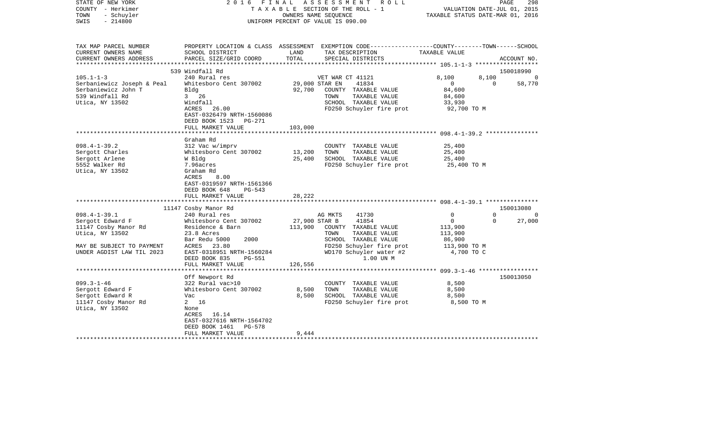| STATE OF NEW YORK<br>COUNTY - Herkimer<br>- Schuyler<br>TOWN<br>$-214800$<br>SWIS | 2 0 1 6<br>FINAL                          |                  | ASSESSMENT<br>R O L L<br>T A X A B L E SECTION OF THE ROLL - 1<br>OWNERS NAME SEOUENCE<br>UNIFORM PERCENT OF VALUE IS 090.00            | VALUATION DATE-JUL 01, 2015<br>TAXABLE STATUS DATE-MAR 01, 2016 | PAGE<br>298           |
|-----------------------------------------------------------------------------------|-------------------------------------------|------------------|-----------------------------------------------------------------------------------------------------------------------------------------|-----------------------------------------------------------------|-----------------------|
| TAX MAP PARCEL NUMBER<br>CURRENT OWNERS NAME<br>CURRENT OWNERS ADDRESS            | SCHOOL DISTRICT<br>PARCEL SIZE/GRID COORD | LAND<br>TOTAL    | PROPERTY LOCATION & CLASS ASSESSMENT EXEMPTION CODE---------------COUNTY-------TOWN------SCHOOL<br>TAX DESCRIPTION<br>SPECIAL DISTRICTS | TAXABLE VALUE                                                   | ACCOUNT NO.           |
| **********************                                                            |                                           |                  |                                                                                                                                         |                                                                 |                       |
| $105.1 - 1 - 3$                                                                   | 539 Windfall Rd<br>240 Rural res          |                  | VET WAR CT 41121                                                                                                                        | 8,100<br>8,100                                                  | 150018990<br>$\Omega$ |
| Serbaniewicz Joseph & Peal                                                        | Whitesboro Cent 307002                    |                  | 29,000 STAR EN<br>41834                                                                                                                 | $\overline{0}$<br>$\mathbf 0$                                   | 58,770                |
| Serbaniewicz John T                                                               | Bldg                                      | 92,700           | COUNTY TAXABLE VALUE                                                                                                                    | 84,600                                                          |                       |
| 539 Windfall Rd                                                                   | $3 \t 26$                                 |                  | TAXABLE VALUE<br>TOWN                                                                                                                   | 84,600                                                          |                       |
| Utica, NY 13502                                                                   | Windfall                                  |                  | SCHOOL TAXABLE VALUE                                                                                                                    | 33,930                                                          |                       |
|                                                                                   | ACRES<br>26.00                            |                  | FD250 Schuyler fire prot                                                                                                                | 92,700 TO M                                                     |                       |
|                                                                                   | EAST-0326479 NRTH-1560086                 |                  |                                                                                                                                         |                                                                 |                       |
|                                                                                   | DEED BOOK 1523<br>PG-271                  |                  |                                                                                                                                         |                                                                 |                       |
|                                                                                   | FULL MARKET VALUE                         | 103,000          |                                                                                                                                         |                                                                 |                       |
|                                                                                   |                                           |                  |                                                                                                                                         | ******************* 098.4-1-39.2 ***************                |                       |
|                                                                                   | Graham Rd                                 |                  |                                                                                                                                         |                                                                 |                       |
| $098.4 - 1 - 39.2$                                                                | 312 Vac w/imprv                           |                  | COUNTY TAXABLE VALUE                                                                                                                    | 25,400                                                          |                       |
| Sergott Charles<br>Sergott Arlene                                                 | Whitesboro Cent 307002<br>W Bldg          | 13,200<br>25,400 | TAXABLE VALUE<br>TOWN<br>SCHOOL TAXABLE VALUE                                                                                           | 25,400<br>25,400                                                |                       |
| 5552 Walker Rd                                                                    | 7.96acres                                 |                  | FD250 Schuyler fire prot                                                                                                                | 25,400 TO M                                                     |                       |
| Utica, NY 13502                                                                   | Graham Rd                                 |                  |                                                                                                                                         |                                                                 |                       |
|                                                                                   | 8.00<br>ACRES                             |                  |                                                                                                                                         |                                                                 |                       |
|                                                                                   | EAST-0319597 NRTH-1561366                 |                  |                                                                                                                                         |                                                                 |                       |
|                                                                                   | DEED BOOK 648<br>PG-543                   |                  |                                                                                                                                         |                                                                 |                       |
|                                                                                   | FULL MARKET VALUE                         | 28,222           |                                                                                                                                         |                                                                 |                       |
|                                                                                   |                                           |                  |                                                                                                                                         |                                                                 |                       |
|                                                                                   | 11147 Cosby Manor Rd                      |                  |                                                                                                                                         |                                                                 | 150013080             |
| $098.4 - 1 - 39.1$                                                                | 240 Rural res                             |                  | AG MKTS<br>41730                                                                                                                        | $\Omega$<br>$\Omega$                                            | $\Omega$              |
| Sergott Edward F                                                                  | Whitesboro Cent 307002                    | 27,900 STAR B    | 41854                                                                                                                                   | $\mathbf 0$<br>$\Omega$                                         | 27,000                |
| 11147 Cosby Manor Rd                                                              | Residence & Barn                          | 113,900          | COUNTY TAXABLE VALUE                                                                                                                    | 113,900                                                         |                       |
| Utica, NY 13502                                                                   | 23.8 Acres                                |                  | TAXABLE VALUE<br>TOWN                                                                                                                   | 113,900                                                         |                       |
|                                                                                   | 2000<br>Bar Redu 5000                     |                  | SCHOOL TAXABLE VALUE                                                                                                                    | 86,900                                                          |                       |
| MAY BE SUBJECT TO PAYMENT<br>UNDER AGDIST LAW TIL 2023                            | ACRES 23.80<br>EAST-0318951 NRTH-1560284  |                  | FD250 Schuyler fire prot<br>WD170 Schuyler water #2                                                                                     | 113,900 TO M<br>4,700 TO C                                      |                       |
|                                                                                   | DEED BOOK 835<br>PG-551                   |                  | 1.00 UN M                                                                                                                               |                                                                 |                       |
|                                                                                   | FULL MARKET VALUE                         | 126,556          |                                                                                                                                         |                                                                 |                       |
|                                                                                   | ******************                        | ************     |                                                                                                                                         | ************************ 099.3-1-46 ******************          |                       |
|                                                                                   | Off Newport Rd                            |                  |                                                                                                                                         |                                                                 | 150013050             |
| $099.3 - 1 - 46$                                                                  | 322 Rural vac>10                          |                  | COUNTY TAXABLE VALUE                                                                                                                    | 8,500                                                           |                       |
| Sergott Edward F                                                                  | Whitesboro Cent 307002                    | 8,500            | TOWN<br>TAXABLE VALUE                                                                                                                   | 8,500                                                           |                       |
| Sergott Edward R                                                                  | Vac                                       | 8,500            | SCHOOL TAXABLE VALUE                                                                                                                    | 8,500                                                           |                       |
| 11147 Cosby Manor Rd                                                              | 2 16                                      |                  | FD250 Schuyler fire prot                                                                                                                | 8,500 TO M                                                      |                       |
| Utica, NY 13502                                                                   | None                                      |                  |                                                                                                                                         |                                                                 |                       |
|                                                                                   | ACRES 16.14                               |                  |                                                                                                                                         |                                                                 |                       |
|                                                                                   | EAST-0327616 NRTH-1564702                 |                  |                                                                                                                                         |                                                                 |                       |
|                                                                                   | DEED BOOK 1461<br>PG-578                  |                  |                                                                                                                                         |                                                                 |                       |
|                                                                                   | FULL MARKET VALUE                         | 9,444            |                                                                                                                                         |                                                                 |                       |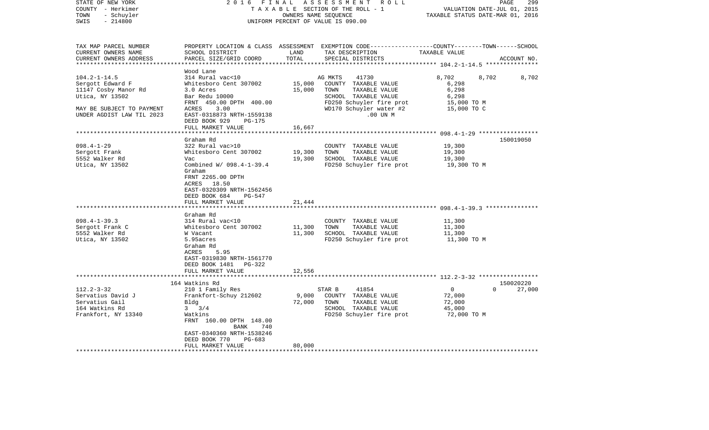| STATE OF NEW YORK<br>COUNTY - Herkimer<br>- Schuyler<br>TOWN<br>$-214800$<br>SWIS                                                                    | 2016 FINAL                                                                                                                                                                                                                                                                                                                                                                                                                                   |                                                                           | ASSESSMENT ROLL<br>TAXABLE SECTION OF THE ROLL - 1<br>OWNERS NAME SEQUENCE<br>UNIFORM PERCENT OF VALUE IS 090.00                                                                                       | VALUATION DATE-JUL 01, 2015<br>TAXABLE STATUS DATE-MAR 01, 2016                        | PAGE<br>299        |
|------------------------------------------------------------------------------------------------------------------------------------------------------|----------------------------------------------------------------------------------------------------------------------------------------------------------------------------------------------------------------------------------------------------------------------------------------------------------------------------------------------------------------------------------------------------------------------------------------------|---------------------------------------------------------------------------|--------------------------------------------------------------------------------------------------------------------------------------------------------------------------------------------------------|----------------------------------------------------------------------------------------|--------------------|
| TAX MAP PARCEL NUMBER<br>CURRENT OWNERS NAME<br>CURRENT OWNERS ADDRESS<br>************************                                                   | SCHOOL DISTRICT<br>PARCEL SIZE/GRID COORD                                                                                                                                                                                                                                                                                                                                                                                                    | LAND<br>TOTAL                                                             | PROPERTY LOCATION & CLASS ASSESSMENT EXEMPTION CODE---------------COUNTY-------TOWN------SCHOOL<br>TAX DESCRIPTION<br>SPECIAL DISTRICTS                                                                | TAXABLE VALUE                                                                          | ACCOUNT NO.        |
| $104.2 - 1 - 14.5$<br>Sergott Edward F<br>11147 Cosby Manor Rd<br>Utica, NY 13502<br>MAY BE SUBJECT TO PAYMENT<br>UNDER AGDIST LAW TIL 2023          | Wood Lane<br>314 Rural vac<10<br>Whitesboro Cent 307002<br>3.0 Acres<br>Bar Redu 10000<br>FRNT 450.00 DPTH 400.00<br>ACRES<br>3.00<br>EAST-0318873 NRTH-1559138<br>DEED BOOK 929<br>PG-175<br>FULL MARKET VALUE                                                                                                                                                                                                                              | 15,000<br>15,000<br>16,667                                                | AG MKTS<br>41730<br>COUNTY TAXABLE VALUE<br>TAXABLE VALUE<br>TOWN<br>SCHOOL TAXABLE VALUE<br>FD250 Schuyler fire prot<br>WD170 Schuyler water #2<br>$.00$ UN $M$                                       | 8,702<br>8,702<br>6,298<br>6,298<br>6,298<br>15,000 TO M<br>15,000 TO C                | 8,702              |
|                                                                                                                                                      |                                                                                                                                                                                                                                                                                                                                                                                                                                              |                                                                           |                                                                                                                                                                                                        |                                                                                        |                    |
| $098.4 - 1 - 29$<br>Sergott Frank<br>5552 Walker Rd<br>Utica, NY 13502<br>$098.4 - 1 - 39.3$<br>Sergott Frank C<br>5552 Walker Rd<br>Utica, NY 13502 | Graham Rd<br>322 Rural vac>10<br>Whitesboro Cent 307002<br>Vac<br>Combined W/ 098.4-1-39.4<br>Graham<br>FRNT 2265.00 DPTH<br>ACRES<br>18.50<br>EAST-0320309 NRTH-1562456<br>DEED BOOK 684<br>PG-547<br>FULL MARKET VALUE<br>*******************<br>Graham Rd<br>314 Rural vac<10<br>Whitesboro Cent 307002<br>W Vacant<br>5.95acres<br>Graham Rd<br>ACRES<br>5.95<br>EAST-0319830 NRTH-1561770<br>DEED BOOK 1481 PG-322<br>FULL MARKET VALUE | 19,300<br>19,300<br>21,444<br>*************<br>11,300<br>11,300<br>12,556 | COUNTY TAXABLE VALUE<br>TOWN<br>TAXABLE VALUE<br>SCHOOL TAXABLE VALUE<br>FD250 Schuyler fire prot<br>COUNTY TAXABLE VALUE<br>TOWN<br>TAXABLE VALUE<br>SCHOOL TAXABLE VALUE<br>FD250 Schuyler fire prot | 19,300<br>19,300<br>19,300<br>19,300 TO M<br>11,300<br>11,300<br>11,300<br>11,300 TO M | 150019050          |
|                                                                                                                                                      | 164 Watkins Rd                                                                                                                                                                                                                                                                                                                                                                                                                               |                                                                           |                                                                                                                                                                                                        |                                                                                        | 150020220          |
| $112.2 - 3 - 32$<br>Servatius David J<br>Servatius Gail<br>164 Watkins Rd<br>Frankfort, NY 13340                                                     | 210 1 Family Res<br>Frankfort-Schuy 212602<br>Bldg<br>$3 \frac{3}{4}$<br>Watkins<br>FRNT 160.00 DPTH 148.00<br>BANK<br>740<br>EAST-0340360 NRTH-1538246<br>DEED BOOK 770<br>PG-683<br>FULL MARKET VALUE                                                                                                                                                                                                                                      | 9,000<br>72,000<br>80,000                                                 | STAR B<br>41854<br>COUNTY TAXABLE VALUE<br>TOWN<br>TAXABLE VALUE<br>SCHOOL TAXABLE VALUE<br>FD250 Schuyler fire prot                                                                                   | $\overline{0}$<br>72,000<br>72,000<br>45,000<br>72,000 TO M                            | 27,000<br>$\Omega$ |
|                                                                                                                                                      |                                                                                                                                                                                                                                                                                                                                                                                                                                              |                                                                           |                                                                                                                                                                                                        |                                                                                        |                    |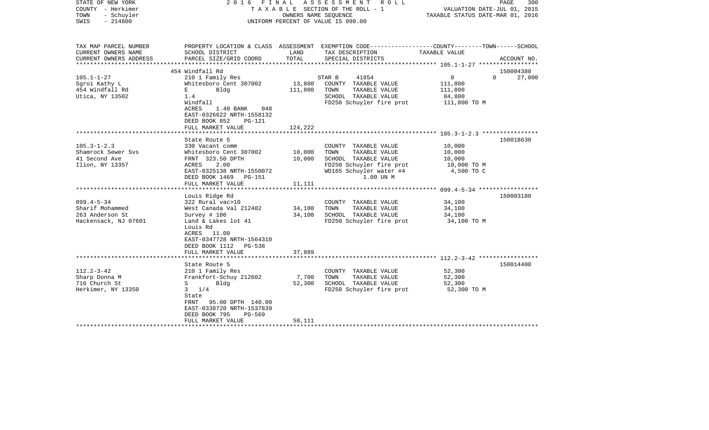| STATE OF NEW YORK<br>COUNTY - Herkimer<br>TOWN<br>- Schuyler<br>$-214800$<br>SWIS                                                                             | 2016                                                                                                                                                                                                                                                                                                                                                                                                          | OWNERS NAME SEQUENCE                           | FINAL ASSESSMENT ROLL<br>TAXABLE SECTION OF THE ROLL - 1<br>UNIFORM PERCENT OF VALUE IS 090.00                                                                                                                                                 | PAGE<br>300<br>VALUATION DATE-JUL 01, 2015<br>TAXABLE STATUS DATE-MAR 01, 2016                       |                        |
|---------------------------------------------------------------------------------------------------------------------------------------------------------------|---------------------------------------------------------------------------------------------------------------------------------------------------------------------------------------------------------------------------------------------------------------------------------------------------------------------------------------------------------------------------------------------------------------|------------------------------------------------|------------------------------------------------------------------------------------------------------------------------------------------------------------------------------------------------------------------------------------------------|------------------------------------------------------------------------------------------------------|------------------------|
| TAX MAP PARCEL NUMBER<br>CURRENT OWNERS NAME<br>CURRENT OWNERS ADDRESS                                                                                        | SCHOOL DISTRICT<br>PARCEL SIZE/GRID COORD                                                                                                                                                                                                                                                                                                                                                                     | LAND<br>TOTAL                                  | PROPERTY LOCATION & CLASS ASSESSMENT EXEMPTION CODE----------------COUNTY-------TOWN------SCHOOL<br>TAX DESCRIPTION<br>SPECIAL DISTRICTS                                                                                                       | TAXABLE VALUE                                                                                        | ACCOUNT NO.            |
| *************                                                                                                                                                 |                                                                                                                                                                                                                                                                                                                                                                                                               |                                                |                                                                                                                                                                                                                                                | ********************* 105.1-1-27 ******************                                                  |                        |
|                                                                                                                                                               | 454 Windfall Rd                                                                                                                                                                                                                                                                                                                                                                                               |                                                |                                                                                                                                                                                                                                                |                                                                                                      | 150004380              |
| $105.1 - 1 - 27$<br>Sgroi Kathy L<br>454 Windfall Rd<br>Utica, NY 13502                                                                                       | 210 1 Family Res<br>Whitesboro Cent 307002<br>Bldg<br>E<br>1.4<br>Windfall<br>ACRES<br>$1.40$ BANK<br>048<br>EAST-0326622 NRTH-1558132<br>DEED BOOK 852<br>$PG-121$                                                                                                                                                                                                                                           | 13,800<br>111,800                              | 41854<br>STAR B<br>COUNTY TAXABLE VALUE<br>TOWN<br>TAXABLE VALUE<br>SCHOOL TAXABLE VALUE<br>FD250 Schuyler fire prot                                                                                                                           | $\overline{0}$<br>111,800<br>111,800<br>84,800<br>111,800 TO M                                       | 27,000<br>$\Omega$     |
|                                                                                                                                                               | FULL MARKET VALUE                                                                                                                                                                                                                                                                                                                                                                                             | 124,222                                        |                                                                                                                                                                                                                                                |                                                                                                      |                        |
| $105.3 - 1 - 2.3$<br>Shamrock Sewer Svs<br>41 Second Ave<br>Ilion, NY 13357<br>$099.4 - 5 - 34$<br>Sharif Mohammed<br>263 Anderson St<br>Hackensack, NJ 07601 | State Route 5<br>330 Vacant comm<br>Whitesboro Cent 307002<br>FRNT 323.50 DPTH<br>ACRES<br>2.00<br>EAST-0325138 NRTH-1550072<br>DEED BOOK 1469<br>PG-151<br>FULL MARKET VALUE<br>******************************<br>Louis Ridge Rd<br>322 Rural vac>10<br>West Canada Val 212402<br>Survey # 106<br>Land & Lakes lot 41<br>Louis Rd<br>ACRES<br>11.00<br>EAST-0347728 NRTH-1564310<br>DEED BOOK 1112<br>PG-538 | 10,000<br>10,000<br>11,111<br>34,100<br>34,100 | COUNTY TAXABLE VALUE<br>TAXABLE VALUE<br>TOWN<br>SCHOOL TAXABLE VALUE<br>FD250 Schuyler fire prot<br>WD165 Schuyler water #4<br>1.00 UN M<br>COUNTY TAXABLE VALUE<br>TAXABLE VALUE<br>TOWN<br>SCHOOL TAXABLE VALUE<br>FD250 Schuyler fire prot | 10,000<br>10,000<br>10,000<br>10,000 TO M<br>4,500 TO C<br>34,100<br>34,100<br>34,100<br>34,100 TO M | 150018630<br>150003180 |
|                                                                                                                                                               | FULL MARKET VALUE                                                                                                                                                                                                                                                                                                                                                                                             | 37,889                                         |                                                                                                                                                                                                                                                |                                                                                                      |                        |
| $112.2 - 3 - 42$<br>Sharp Donna M<br>716 Church St<br>Herkimer, NY 13350                                                                                      | State Route 5<br>210 1 Family Res<br>Frankfort-Schuy 212602<br>Bldg<br>$S \qquad \qquad$<br>$3 \frac{1}{4}$<br>State<br>95.00 DPTH 140.00<br>FRNT<br>EAST-0338720 NRTH-1537839<br>DEED BOOK 795<br>PG-569<br>FULL MARKET VALUE                                                                                                                                                                                | 7,700<br>52,300<br>58,111                      | COUNTY TAXABLE VALUE<br>TAXABLE VALUE<br>TOWN<br>SCHOOL TAXABLE VALUE<br>FD250 Schuyler fire prot                                                                                                                                              | 52,300<br>52,300<br>52,300<br>52,300 TO M                                                            | 150014400              |
|                                                                                                                                                               |                                                                                                                                                                                                                                                                                                                                                                                                               |                                                |                                                                                                                                                                                                                                                |                                                                                                      |                        |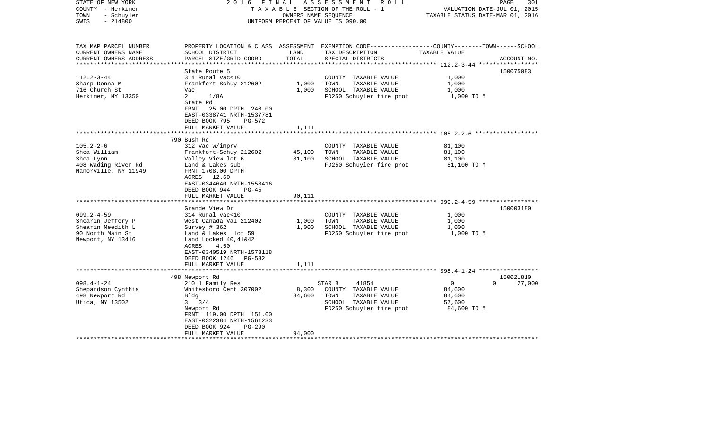| STATE OF NEW YORK<br>COUNTY - Herkimer<br>- Schuyler<br>TOWN<br>$-214800$<br>SWIS               | FINAL<br>2016                                                                                                         | OWNERS NAME SEOUENCE              | ASSESSMENT<br>R O L L<br>T A X A B L E SECTION OF THE ROLL - 1<br>UNIFORM PERCENT OF VALUE IS 090.00                                     | VALUATION DATE-JUL 01, 2015<br>TAXABLE STATUS DATE-MAR 01, 2016 | $\mathop{\mathtt{PAGE}}$<br>301 |
|-------------------------------------------------------------------------------------------------|-----------------------------------------------------------------------------------------------------------------------|-----------------------------------|------------------------------------------------------------------------------------------------------------------------------------------|-----------------------------------------------------------------|---------------------------------|
| TAX MAP PARCEL NUMBER<br>CURRENT OWNERS NAME<br>CURRENT OWNERS ADDRESS<br>********************* | SCHOOL DISTRICT<br>PARCEL SIZE/GRID COORD<br>***********************                                                  | LAND<br>TOTAL<br>**************** | PROPERTY LOCATION & CLASS ASSESSMENT EXEMPTION CODE----------------COUNTY-------TOWN------SCHOOL<br>TAX DESCRIPTION<br>SPECIAL DISTRICTS | TAXABLE VALUE                                                   | ACCOUNT NO.                     |
|                                                                                                 |                                                                                                                       |                                   |                                                                                                                                          |                                                                 |                                 |
| $112.2 - 3 - 44$                                                                                | State Route 5<br>314 Rural vac<10                                                                                     |                                   | COUNTY TAXABLE VALUE                                                                                                                     | 1,000                                                           | 150075083                       |
| Sharp Donna M                                                                                   | Frankfort-Schuy 212602                                                                                                | 1,000                             | TOWN<br>TAXABLE VALUE                                                                                                                    | 1,000                                                           |                                 |
| 716 Church St                                                                                   | Vac                                                                                                                   | 1,000                             | SCHOOL TAXABLE VALUE                                                                                                                     | 1,000                                                           |                                 |
| Herkimer, NY 13350                                                                              | $\overline{a}$<br>1/8A                                                                                                |                                   | FD250 Schuyler fire prot                                                                                                                 | 1,000 TO M                                                      |                                 |
|                                                                                                 | State Rd<br>FRNT<br>25.00 DPTH 240.00<br>EAST-0338741 NRTH-1537781<br>DEED BOOK 795<br>PG-572<br>FULL MARKET VALUE    | 1,111                             |                                                                                                                                          |                                                                 |                                 |
|                                                                                                 |                                                                                                                       |                                   |                                                                                                                                          |                                                                 |                                 |
|                                                                                                 | 790 Bush Rd                                                                                                           |                                   |                                                                                                                                          |                                                                 |                                 |
| $105.2 - 2 - 6$                                                                                 | 312 Vac w/imprv                                                                                                       |                                   | COUNTY TAXABLE VALUE                                                                                                                     | 81,100                                                          |                                 |
| Shea William                                                                                    | Frankfort-Schuy 212602                                                                                                | 45,100                            | TAXABLE VALUE<br>TOWN                                                                                                                    | 81,100                                                          |                                 |
| Shea Lynn                                                                                       | Valley View lot 6                                                                                                     | 81,100                            | SCHOOL TAXABLE VALUE                                                                                                                     | 81,100                                                          |                                 |
| 408 Wading River Rd<br>Manorville, NY 11949                                                     | Land & Lakes sub<br>FRNT 1708.00 DPTH<br>ACRES 12.60<br>EAST-0344640 NRTH-1558416<br>DEED BOOK 944<br>$PG-45$         |                                   | FD250 Schuyler fire prot                                                                                                                 | 81,100 TO M                                                     |                                 |
|                                                                                                 | FULL MARKET VALUE                                                                                                     | 90,111                            |                                                                                                                                          |                                                                 |                                 |
|                                                                                                 |                                                                                                                       |                                   |                                                                                                                                          |                                                                 |                                 |
|                                                                                                 | Grande View Dr                                                                                                        |                                   |                                                                                                                                          |                                                                 | 150003180                       |
| $099.2 - 4 - 59$                                                                                | 314 Rural vac<10                                                                                                      |                                   | COUNTY TAXABLE VALUE                                                                                                                     | 1,000                                                           |                                 |
| Shearin Jeffery P                                                                               | West Canada Val 212402                                                                                                | 1,000                             | TOWN<br>TAXABLE VALUE                                                                                                                    | 1,000                                                           |                                 |
| Shearin Meedith L                                                                               | Survey # 362                                                                                                          | 1,000                             | SCHOOL TAXABLE VALUE                                                                                                                     | 1,000                                                           |                                 |
| 90 North Main St<br>Newport, NY 13416                                                           | Land & Lakes lot 59<br>Land Locked $40,41\&42$<br>ACRES<br>4.50<br>EAST-0340519 NRTH-1573118<br>DEED BOOK 1246 PG-532 |                                   | FD250 Schuyler fire prot                                                                                                                 | 1,000 TO M                                                      |                                 |
|                                                                                                 | FULL MARKET VALUE                                                                                                     | 1,111                             |                                                                                                                                          |                                                                 |                                 |
|                                                                                                 | ***************************                                                                                           |                                   |                                                                                                                                          |                                                                 |                                 |
|                                                                                                 | 498 Newport Rd                                                                                                        |                                   |                                                                                                                                          |                                                                 | 150021810                       |
| $098.4 - 1 - 24$                                                                                | 210 1 Family Res                                                                                                      |                                   | STAR B<br>41854                                                                                                                          | $\overline{0}$                                                  | $\Omega$<br>27,000              |
| Shepardson Cynthia                                                                              | Whitesboro Cent 307002                                                                                                | 8,300                             | COUNTY TAXABLE VALUE                                                                                                                     | 84,600                                                          |                                 |
| 498 Newport Rd                                                                                  | Bldg                                                                                                                  | 84,600                            | TAXABLE VALUE<br>TOWN<br>SCHOOL TAXABLE VALUE                                                                                            | 84,600                                                          |                                 |
| Utica, NY 13502                                                                                 | $3 \frac{3}{4}$                                                                                                       |                                   |                                                                                                                                          | 57,600                                                          |                                 |
|                                                                                                 | Newport Rd<br>FRNT 119.00 DPTH 151.00<br>EAST-0322384 NRTH-1561233<br>DEED BOOK 924<br>PG-290                         |                                   | FD250 Schuyler fire prot                                                                                                                 | 84,600 TO M                                                     |                                 |
|                                                                                                 | FULL MARKET VALUE                                                                                                     | 94,000                            |                                                                                                                                          |                                                                 |                                 |
|                                                                                                 |                                                                                                                       |                                   |                                                                                                                                          |                                                                 |                                 |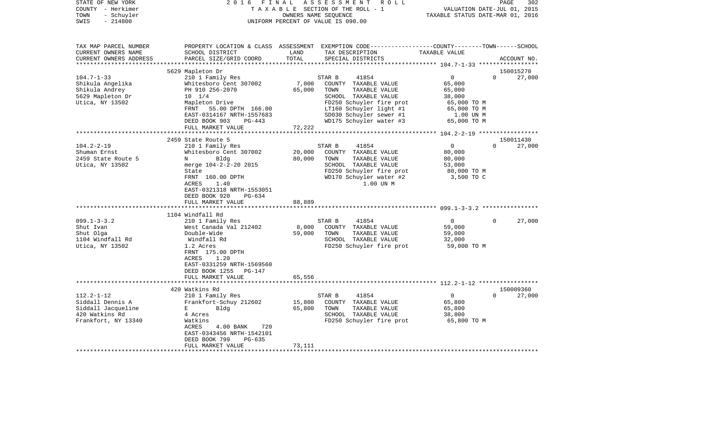| STATE OF NEW YORK<br>COUNTY - Herkimer<br>TOWN<br>- Schuyler<br>$-214800$<br>SWIS                                                            | 2 0 1 6                                                                                                                                                                                                                                                                                                            | FINAL                                         | ASSESSMENT ROLL<br>TAXABLE SECTION OF THE ROLL - 1<br>OWNERS NAME SEQUENCE<br>UNIFORM PERCENT OF VALUE IS 090.00                                                                                                                                         | 302<br>PAGE<br>VALUATION DATE-JUL 01, 2015<br>TAXABLE STATUS DATE-MAR 01, 2016                                            |                                              |  |
|----------------------------------------------------------------------------------------------------------------------------------------------|--------------------------------------------------------------------------------------------------------------------------------------------------------------------------------------------------------------------------------------------------------------------------------------------------------------------|-----------------------------------------------|----------------------------------------------------------------------------------------------------------------------------------------------------------------------------------------------------------------------------------------------------------|---------------------------------------------------------------------------------------------------------------------------|----------------------------------------------|--|
| TAX MAP PARCEL NUMBER<br>CURRENT OWNERS NAME<br>CURRENT OWNERS ADDRESS                                                                       | SCHOOL DISTRICT<br>PARCEL SIZE/GRID COORD                                                                                                                                                                                                                                                                          | LAND<br>TOTAL                                 | PROPERTY LOCATION & CLASS ASSESSMENT EXEMPTION CODE---------------COUNTY-------TOWN------SCHOOL<br>TAX DESCRIPTION<br>SPECIAL DISTRICTS                                                                                                                  | TAXABLE VALUE                                                                                                             | ACCOUNT NO.                                  |  |
|                                                                                                                                              |                                                                                                                                                                                                                                                                                                                    |                                               |                                                                                                                                                                                                                                                          |                                                                                                                           |                                              |  |
| $104.7 - 1 - 33$                                                                                                                             | 5629 Mapleton Dr<br>210 1 Family Res                                                                                                                                                                                                                                                                               |                                               | STAR B<br>41854                                                                                                                                                                                                                                          | $\overline{0}$                                                                                                            | 150015270<br>$\Omega$<br>27,000              |  |
| Shikula Angelika<br>Shikula Andrey<br>5629 Mapleton Dr<br>Utica, NY 13502                                                                    | Whitesboro Cent 307002<br>PH 910 256-2070<br>$10 \t 1/4$<br>Mapleton Drive                                                                                                                                                                                                                                         | 7,000<br>65,000                               | COUNTY TAXABLE VALUE<br>TOWN<br>TAXABLE VALUE<br>SCHOOL TAXABLE VALUE<br>FD250 Schuyler fire prot                                                                                                                                                        | 65,000<br>65,000<br>38,000<br>65,000 TO M                                                                                 |                                              |  |
|                                                                                                                                              | FRNT 55.00 DPTH 166.00<br>EAST-0314167 NRTH-1557683<br>DEED BOOK 903<br>$PG-443$<br>FULL MARKET VALUE                                                                                                                                                                                                              | 72,222                                        | LT160 Schuyler light #1<br>SD030 Schuyler sewer #1<br>WD175 Schuyler water #3                                                                                                                                                                            | 65,000 TO M<br>1.00 UN M<br>65,000 TO M                                                                                   |                                              |  |
|                                                                                                                                              |                                                                                                                                                                                                                                                                                                                    | ************                                  |                                                                                                                                                                                                                                                          |                                                                                                                           |                                              |  |
|                                                                                                                                              | 2459 State Route 5                                                                                                                                                                                                                                                                                                 |                                               |                                                                                                                                                                                                                                                          |                                                                                                                           | 150011430                                    |  |
| $104.2 - 2 - 19$<br>Shuman Ernst<br>2459 State Route 5<br>Utica, NY 13502<br>$099.1 - 3 - 3.2$<br>Shut Ivan<br>Shut Olga<br>1104 Windfall Rd | 210 1 Family Res<br>Whitesboro Cent 307002<br>Bldg<br>N<br>merge 104-2-2-20 2015<br>State<br>FRNT 160.00 DPTH<br><b>ACRES</b><br>1.40<br>EAST-0321318 NRTH-1553051<br>DEED BOOK 920<br>PG-634<br>FULL MARKET VALUE<br>1104 Windfall Rd<br>210 1 Family Res<br>West Canada Val 212402<br>Double-Wide<br>Windfall Rd | 20,000<br>80,000<br>88,889<br>8,000<br>59,000 | 41854<br>STAR B<br>COUNTY TAXABLE VALUE<br>TOWN<br>TAXABLE VALUE<br>SCHOOL TAXABLE VALUE<br>FD250 Schuyler fire prot<br>WD170 Schuyler water #2<br>1.00 UN M<br>41854<br>STAR B<br>COUNTY TAXABLE VALUE<br>TAXABLE VALUE<br>TOWN<br>SCHOOL TAXABLE VALUE | $\overline{0}$<br>80,000<br>80,000<br>53,000<br>80,000 TO M<br>3,500 TO C<br>$\overline{0}$<br>59,000<br>59,000<br>32,000 | $\mathbf{0}$<br>27,000<br>$\Omega$<br>27,000 |  |
| Utica, NY 13502                                                                                                                              | 1.2 Acres<br>FRNT 175.00 DPTH<br>1.20<br>ACRES<br>EAST-0331259 NRTH-1569560<br>DEED BOOK 1255<br>PG-147<br>FULL MARKET VALUE<br>**********************                                                                                                                                                             | 65,556                                        | FD250 Schuyler fire prot                                                                                                                                                                                                                                 | 59,000 TO M                                                                                                               |                                              |  |
|                                                                                                                                              | 420 Watkins Rd                                                                                                                                                                                                                                                                                                     |                                               |                                                                                                                                                                                                                                                          |                                                                                                                           | 150009360                                    |  |
| $112.2 - 1 - 12$<br>Siddall Dennis A<br>Siddall Jacqueline<br>420 Watkins Rd<br>Frankfort, NY 13340                                          | 210 1 Family Res<br>Frankfort-Schuy 212602<br>E<br>Bldg<br>4 Acres<br>Watkins<br>ACRES<br>4.00 BANK<br>720<br>EAST-0343456 NRTH-1542101<br>DEED BOOK 799<br>PG-635<br>FULL MARKET VALUE                                                                                                                            | 15,800<br>65,800<br>73,111                    | 41854<br>STAR B<br>COUNTY TAXABLE VALUE<br>TOWN<br>TAXABLE VALUE<br>SCHOOL TAXABLE VALUE<br>FD250 Schuyler fire prot                                                                                                                                     | $\overline{0}$<br>65,800<br>65,800<br>38,800<br>65,800 TO M                                                               | $\Omega$<br>27,000                           |  |
|                                                                                                                                              |                                                                                                                                                                                                                                                                                                                    |                                               |                                                                                                                                                                                                                                                          |                                                                                                                           |                                              |  |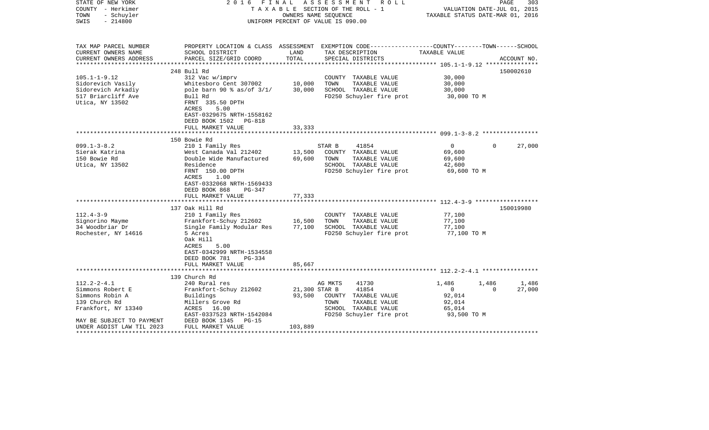| STATE OF NEW YORK<br>COUNTY - Herkimer<br>- Schuyler<br>TOWN<br>$-214800$<br>SWIS | 2016<br>F I N A L                                                                                            |               | ASSESSMENT<br>R O L L<br>TAXABLE SECTION OF THE ROLL - 1<br>OWNERS NAME SEOUENCE<br>UNIFORM PERCENT OF VALUE IS 090.00 | TAXABLE STATUS DATE-MAR 01, 2016 | PAGE<br>303<br>VALUATION DATE-JUL 01, 2015 |
|-----------------------------------------------------------------------------------|--------------------------------------------------------------------------------------------------------------|---------------|------------------------------------------------------------------------------------------------------------------------|----------------------------------|--------------------------------------------|
| TAX MAP PARCEL NUMBER<br>CURRENT OWNERS NAME                                      | SCHOOL DISTRICT                                                                                              | LAND          | PROPERTY LOCATION & CLASS ASSESSMENT EXEMPTION CODE---------------COUNTY-------TOWN------SCHOOL<br>TAX DESCRIPTION     | TAXABLE VALUE                    |                                            |
| CURRENT OWNERS ADDRESS<br>************************                                | PARCEL SIZE/GRID COORD                                                                                       | TOTAL         | SPECIAL DISTRICTS                                                                                                      |                                  | ACCOUNT NO.                                |
|                                                                                   | 248 Bull Rd                                                                                                  |               |                                                                                                                        |                                  | 150002610                                  |
| $105.1 - 1 - 9.12$                                                                | 312 Vac w/imprv                                                                                              |               | COUNTY TAXABLE VALUE                                                                                                   | 30,000                           |                                            |
| Sidorevich Vasily                                                                 | Whitesboro Cent 307002                                                                                       | 10,000        | TOWN<br>TAXABLE VALUE                                                                                                  | 30,000                           |                                            |
| Sidorevich Arkadiy                                                                | pole barn 90 % as/of $3/1/$                                                                                  | 30,000        | SCHOOL TAXABLE VALUE                                                                                                   | 30,000                           |                                            |
| 517 Briarcliff Ave                                                                | Bull Rd                                                                                                      |               | FD250 Schuyler fire prot                                                                                               | 30,000 TO M                      |                                            |
| Utica, NY 13502                                                                   | FRNT 335.50 DPTH<br>ACRES<br>5.00<br>EAST-0329675 NRTH-1558162<br>DEED BOOK 1502 PG-818<br>FULL MARKET VALUE | 33,333        |                                                                                                                        |                                  |                                            |
|                                                                                   |                                                                                                              |               |                                                                                                                        |                                  |                                            |
|                                                                                   | 150 Bowie Rd                                                                                                 |               |                                                                                                                        |                                  |                                            |
| $099.1 - 3 - 8.2$                                                                 | 210 1 Family Res                                                                                             |               | 41854<br>STAR B                                                                                                        | $\overline{0}$                   | 27,000<br>$\Omega$                         |
| Sierak Katrina                                                                    | West Canada Val 212402                                                                                       | 13,500        | COUNTY TAXABLE VALUE                                                                                                   | 69,600                           |                                            |
| 150 Bowie Rd                                                                      | Double Wide Manufactured                                                                                     | 69,600        | TAXABLE VALUE<br>TOWN                                                                                                  | 69,600                           |                                            |
| Utica, NY 13502                                                                   | Residence                                                                                                    |               | SCHOOL TAXABLE VALUE                                                                                                   | 42,600                           |                                            |
|                                                                                   | FRNT 150.00 DPTH<br>1.00<br>ACRES<br>EAST-0332068 NRTH-1569433<br>DEED BOOK 868<br>PG-347                    |               | FD250 Schuyler fire prot                                                                                               | 69,600 TO M                      |                                            |
|                                                                                   | FULL MARKET VALUE                                                                                            | 77,333        |                                                                                                                        |                                  |                                            |
|                                                                                   | 137 Oak Hill Rd                                                                                              |               |                                                                                                                        |                                  | 150019980                                  |
| $112.4 - 3 - 9$                                                                   | 210 1 Family Res                                                                                             |               | COUNTY TAXABLE VALUE                                                                                                   | 77,100                           |                                            |
| Signorino Mayme                                                                   | Frankfort-Schuy 212602                                                                                       | 16,500        | TAXABLE VALUE<br>TOWN                                                                                                  | 77,100                           |                                            |
| 34 Woodbriar Dr                                                                   | Single Family Modular Res                                                                                    | 77,100        | SCHOOL TAXABLE VALUE                                                                                                   | 77,100                           |                                            |
| Rochester, NY 14616                                                               | 5 Acres<br>Oak Hill<br>ACRES<br>5.00<br>EAST-0342999 NRTH-1534558<br>DEED BOOK 781<br>$PG-334$               |               | FD250 Schuyler fire prot                                                                                               | 77,100 TO M                      |                                            |
|                                                                                   | FULL MARKET VALUE                                                                                            | 85,667        |                                                                                                                        |                                  |                                            |
|                                                                                   |                                                                                                              |               |                                                                                                                        |                                  |                                            |
|                                                                                   | 139 Church Rd                                                                                                |               |                                                                                                                        |                                  |                                            |
| $112.2 - 2 - 4.1$                                                                 | 240 Rural res                                                                                                |               | 41730<br>AG MKTS                                                                                                       | 1,486                            | 1,486<br>1,486                             |
| Simmons Robert E                                                                  | Frankfort-Schuy 212602                                                                                       | 21,300 STAR B | 41854                                                                                                                  | $\mathbf{0}$                     | 27,000<br>$\Omega$                         |
| Simmons Robin A                                                                   | Buildings                                                                                                    | 93,500        | COUNTY TAXABLE VALUE                                                                                                   | 92,014                           |                                            |
| 139 Church Rd                                                                     | Millers Grove Rd                                                                                             |               | TOWN<br>TAXABLE VALUE                                                                                                  | 92,014                           |                                            |
| Frankfort, NY 13340                                                               | ACRES 16.00<br>EAST-0337523 NRTH-1542084                                                                     |               | SCHOOL TAXABLE VALUE                                                                                                   | 65,014                           |                                            |
| MAY BE SUBJECT TO PAYMENT                                                         | DEED BOOK 1345<br>$PG-15$                                                                                    |               | FD250 Schuyler fire prot                                                                                               | 93,500 TO M                      |                                            |
| UNDER AGDIST LAW TIL 2023                                                         | FULL MARKET VALUE                                                                                            | 103,889       |                                                                                                                        |                                  |                                            |
| *********************                                                             | ******************************                                                                               |               |                                                                                                                        |                                  |                                            |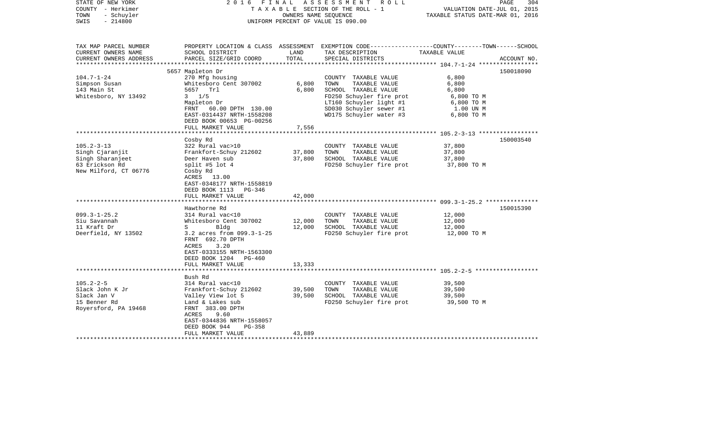| STATE OF NEW YORK<br>COUNTY - Herkimer<br>- Schuyler<br>TOWN<br>$-214800$<br>SWIS         |                                                                                                                                                                                                        | OWNERS NAME SEQUENCE       | 2016 FINAL ASSESSMENT ROLL<br>TAXABLE SECTION OF THE ROLL - 1<br>UNIFORM PERCENT OF VALUE IS 090.00                                                                                | VALUATION DATE-JUL 01, 2015<br>TAXABLE STATUS DATE-MAR 01, 2016                | PAGE<br>304 |
|-------------------------------------------------------------------------------------------|--------------------------------------------------------------------------------------------------------------------------------------------------------------------------------------------------------|----------------------------|------------------------------------------------------------------------------------------------------------------------------------------------------------------------------------|--------------------------------------------------------------------------------|-------------|
| TAX MAP PARCEL NUMBER<br>CURRENT OWNERS NAME<br>CURRENT OWNERS ADDRESS                    | SCHOOL DISTRICT<br>PARCEL SIZE/GRID COORD                                                                                                                                                              | LAND<br>TOTAL              | PROPERTY LOCATION & CLASS ASSESSMENT EXEMPTION CODE---------------COUNTY-------TOWN------SCHOOL<br>TAX DESCRIPTION<br>SPECIAL DISTRICTS                                            | TAXABLE VALUE                                                                  | ACCOUNT NO. |
| ********************                                                                      |                                                                                                                                                                                                        |                            |                                                                                                                                                                                    |                                                                                |             |
| $104.7 - 1 - 24$<br>Simpson Susan<br>143 Main St<br>Whitesboro, NY 13492                  | 5657 Mapleton Dr<br>270 Mfg housing<br>Whitesboro Cent 307002<br>5657 Trl<br>$3 \frac{1}{5}$<br>Mapleton Dr<br>FRNT 60.00 DPTH 130.00<br>EAST-0314437 NRTH-1558208<br>DEED BOOK 00653 PG-00256         | 6,800<br>6,800             | COUNTY TAXABLE VALUE<br>TOWN<br>TAXABLE VALUE<br>SCHOOL TAXABLE VALUE<br>FD250 Schuyler fire prot<br>LT160 Schuyler light #1<br>SD030 Schuyler sewer #1<br>WD175 Schuyler water #3 | 6,800<br>6,800<br>6,800<br>6,800 ТО М<br>6,800 TO M<br>1.00 UN M<br>6,800 TO M | 150018090   |
|                                                                                           | FULL MARKET VALUE                                                                                                                                                                                      | 7,556                      |                                                                                                                                                                                    |                                                                                |             |
| $105.2 - 3 - 13$                                                                          | Cosby Rd<br>322 Rural vac>10                                                                                                                                                                           |                            | COUNTY TAXABLE VALUE                                                                                                                                                               | 37,800                                                                         | 150003540   |
| Singh Cjaranjit<br>Singh Sharanjeet<br>63 Erickson Rd<br>New Milford, CT 06776            | Frankfort-Schuy 212602<br>Deer Haven sub<br>split #5 lot 4<br>Cosby Rd<br>ACRES 13.00<br>EAST-0348177 NRTH-1558819<br>DEED BOOK 1113 PG-346<br>FULL MARKET VALUE                                       | 37,800<br>37,800<br>42,000 | TOWN<br>TAXABLE VALUE<br>SCHOOL TAXABLE VALUE<br>FD250 Schuyler fire prot                                                                                                          | 37,800<br>37,800<br>37,800 TO M                                                |             |
|                                                                                           |                                                                                                                                                                                                        |                            |                                                                                                                                                                                    |                                                                                |             |
| $099.3 - 1 - 25.2$<br>Siu Savannah<br>11 Kraft Dr<br>Deerfield, NY 13502                  | Hawthorne Rd<br>314 Rural vac<10<br>Whitesboro Cent 307002<br>$S \sim$<br>Bldg<br>3.2 acres from 099.3-1-25<br>FRNT 692.70 DPTH<br>ACRES<br>3.20<br>EAST-0333155 NRTH-1563300<br>DEED BOOK 1204 PG-460 | 12,000<br>12,000           | COUNTY TAXABLE VALUE<br>TAXABLE VALUE<br>TOWN<br>SCHOOL TAXABLE VALUE<br>FD250 Schuyler fire prot                                                                                  | 12,000<br>12,000<br>12,000<br>12,000 TO M                                      | 150015390   |
|                                                                                           | FULL MARKET VALUE<br>***************************                                                                                                                                                       | 13,333                     |                                                                                                                                                                                    |                                                                                |             |
|                                                                                           | Bush Rd                                                                                                                                                                                                |                            |                                                                                                                                                                                    |                                                                                |             |
| $105.2 - 2 - 5$<br>Slack John K Jr<br>Slack Jan V<br>15 Benner Rd<br>Royersford, PA 19468 | 314 Rural vac<10<br>Frankfort-Schuy 212602<br>Valley View lot 5<br>Land & Lakes sub<br>FRNT 383.00 DPTH<br>ACRES<br>9.60<br>EAST-0344836 NRTH-1558057<br>DEED BOOK 944<br>$PG-358$                     | 39,500<br>39,500           | COUNTY TAXABLE VALUE<br>TOWN<br>TAXABLE VALUE<br>SCHOOL TAXABLE VALUE<br>FD250 Schuyler fire prot                                                                                  | 39,500<br>39,500<br>39,500<br>39,500 TO M                                      |             |
|                                                                                           | FULL MARKET VALUE                                                                                                                                                                                      | 43,889                     |                                                                                                                                                                                    |                                                                                |             |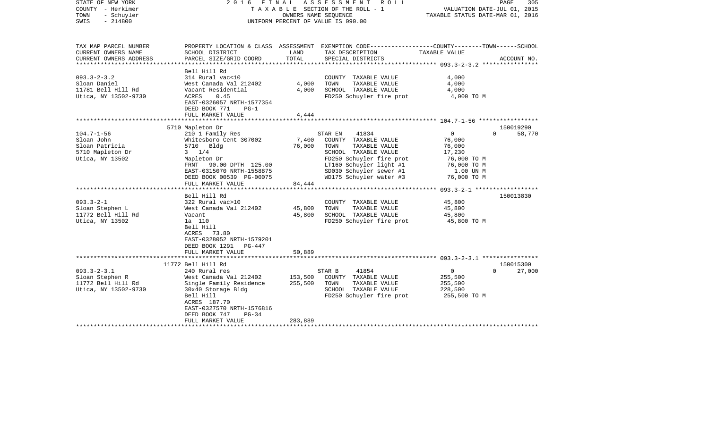| STATE OF NEW YORK<br>COUNTY - Herkimer<br>TOWN<br>- Schuyler<br>$-214800$<br>SWIS       |                                                                                                                                                                                                                        | OWNERS NAME SEQUENCE          | 2016 FINAL ASSESSMENT<br>ROLL<br>TAXABLE SECTION OF THE ROLL - 1<br>UNIFORM PERCENT OF VALUE IS 090.00                                                                                                 | VALUATION DATE-JUL 01, 2015<br>TAXABLE STATUS DATE-MAR 01, 2016                                      | PAGE<br>305        |
|-----------------------------------------------------------------------------------------|------------------------------------------------------------------------------------------------------------------------------------------------------------------------------------------------------------------------|-------------------------------|--------------------------------------------------------------------------------------------------------------------------------------------------------------------------------------------------------|------------------------------------------------------------------------------------------------------|--------------------|
| TAX MAP PARCEL NUMBER<br>CURRENT OWNERS NAME<br>CURRENT OWNERS ADDRESS                  | SCHOOL DISTRICT<br>PARCEL SIZE/GRID COORD                                                                                                                                                                              | LAND<br>TOTAL                 | PROPERTY LOCATION & CLASS ASSESSMENT EXEMPTION CODE----------------COUNTY-------TOWN------SCHOOL<br>TAX DESCRIPTION<br>SPECIAL DISTRICTS                                                               | TAXABLE VALUE                                                                                        | ACCOUNT NO.        |
| *********************                                                                   |                                                                                                                                                                                                                        |                               |                                                                                                                                                                                                        |                                                                                                      |                    |
| $093.3 - 2 - 3.2$<br>Sloan Daniel<br>11781 Bell Hill Rd<br>Utica, NY 13502-9730         | Bell Hill Rd<br>314 Rural vac<10<br>West Canada Val 212402<br>Vacant Residential<br>ACRES<br>0.45<br>EAST-0326057 NRTH-1577354<br>DEED BOOK 771<br>$PG-1$                                                              | 4,000<br>4,000                | COUNTY TAXABLE VALUE<br>TOWN<br>TAXABLE VALUE<br>SCHOOL TAXABLE VALUE<br>FD250 Schuyler fire prot                                                                                                      | 4,000<br>4,000<br>4,000<br>4,000 TO M                                                                |                    |
|                                                                                         | FULL MARKET VALUE                                                                                                                                                                                                      | 4,444                         |                                                                                                                                                                                                        |                                                                                                      |                    |
|                                                                                         | 5710 Mapleton Dr                                                                                                                                                                                                       |                               |                                                                                                                                                                                                        |                                                                                                      | 150019290          |
| $104.7 - 1 - 56$<br>Sloan John<br>Sloan Patricia<br>5710 Mapleton Dr<br>Utica, NY 13502 | 210 1 Family Res<br>Whitesboro Cent 307002<br>5710 Bldg<br>$3 \t1/4$<br>Mapleton Dr<br>FRNT 90.00 DPTH 125.00<br>EAST-0315070 NRTH-1558875<br>DEED BOOK 00539 PG-00075<br>FULL MARKET VALUE<br>*********************** | 7,400<br>76,000<br>84,444     | STAR EN<br>41834<br>COUNTY TAXABLE VALUE<br>TOWN<br>TAXABLE VALUE<br>SCHOOL TAXABLE VALUE<br>FD250 Schuyler fire prot<br>LT160 Schuyler light #1<br>SD030 Schuyler sewer #1<br>WD175 Schuyler water #3 | $\mathbf{0}$<br>76,000<br>76,000<br>17,230<br>76,000 TO M<br>76,000 TO M<br>1.00 UN M<br>76,000 TO M | 58,770<br>$\Omega$ |
|                                                                                         | Bell Hill Rd                                                                                                                                                                                                           |                               |                                                                                                                                                                                                        |                                                                                                      | 150013830          |
| $093.3 - 2 - 1$<br>Sloan Stephen L<br>11772 Bell Hill Rd<br>Utica, NY 13502             | 322 Rural vac>10<br>West Canada Val 212402<br>Vacant<br>1a 110<br>Bell Hill<br>ACRES 73.80<br>EAST-0328052 NRTH-1579201<br>DEED BOOK 1291<br>PG-447<br>FULL MARKET VALUE                                               | 45,800<br>45,800<br>50,889    | COUNTY TAXABLE VALUE<br>TOWN<br>TAXABLE VALUE<br>SCHOOL TAXABLE VALUE<br>FD250 Schuyler fire prot                                                                                                      | 45,800<br>45,800<br>45,800<br>45,800 TO M                                                            |                    |
|                                                                                         | 11772 Bell Hill Rd                                                                                                                                                                                                     |                               |                                                                                                                                                                                                        |                                                                                                      | 150015300          |
| $093.3 - 2 - 3.1$<br>Sloan Stephen R<br>11772 Bell Hill Rd<br>Utica, NY 13502-9730      | 240 Rural res<br>West Canada Val 212402<br>Single Family Residence<br>30x40 Storage Bldg<br>Bell Hill<br>ACRES 187.70<br>EAST-0327570 NRTH-1576816<br>DEED BOOK 747<br>$PG-34$<br>FULL MARKET VALUE                    | 153,500<br>255,500<br>283,889 | 41854<br>STAR B<br>COUNTY TAXABLE VALUE<br>TOWN<br>TAXABLE VALUE<br>SCHOOL TAXABLE VALUE<br>FD250 Schuyler fire prot                                                                                   | $\overline{0}$<br>255,500<br>255,500<br>228,500<br>255,500 TO M                                      | $\Omega$<br>27,000 |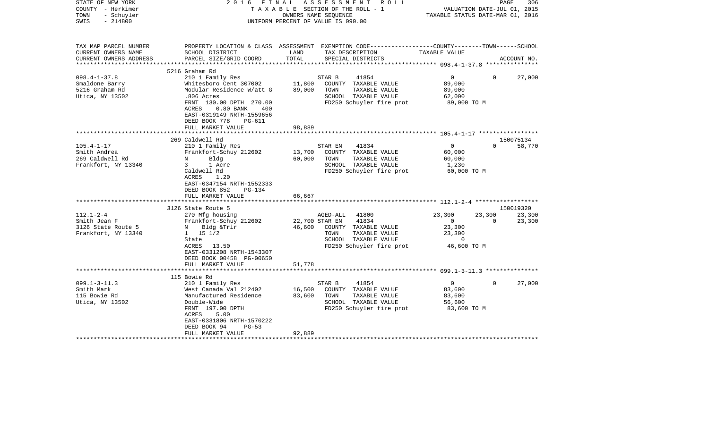| STATE OF NEW YORK<br>COUNTY - Herkimer<br>- Schuyler<br>TOWN<br>$-214800$<br>SWIS | 2016<br>FINAL                                                                                                                               | TAXABLE SECTION OF THE ROLL - 1<br>OWNERS NAME SEQUENCE<br>UNIFORM PERCENT OF VALUE IS 090.00 | ASSESSMENT | R O L L                              | VALUATION DATE-JUL 01, 2015<br>TAXABLE STATUS DATE-MAR 01, 2016 | PAGE     | 306         |
|-----------------------------------------------------------------------------------|---------------------------------------------------------------------------------------------------------------------------------------------|-----------------------------------------------------------------------------------------------|------------|--------------------------------------|-----------------------------------------------------------------|----------|-------------|
| TAX MAP PARCEL NUMBER<br>CURRENT OWNERS NAME<br>CURRENT OWNERS ADDRESS            | PROPERTY LOCATION & CLASS ASSESSMENT EXEMPTION CODE---------------COUNTY-------TOWN-----SCHOOL<br>SCHOOL DISTRICT<br>PARCEL SIZE/GRID COORD | LAND<br>TOTAL                                                                                 |            | TAX DESCRIPTION<br>SPECIAL DISTRICTS | TAXABLE VALUE                                                   |          | ACCOUNT NO. |
| ***********************                                                           |                                                                                                                                             |                                                                                               |            |                                      |                                                                 |          |             |
|                                                                                   | 5216 Graham Rd                                                                                                                              |                                                                                               |            |                                      |                                                                 | $\Omega$ |             |
| $098.4 - 1 - 37.8$<br>Smaldone Barry                                              | 210 1 Family Res<br>Whitesboro Cent 307002                                                                                                  | 11,800                                                                                        | STAR B     | 41854<br>COUNTY TAXABLE VALUE        | $\overline{0}$<br>89,000                                        |          | 27,000      |
| 5216 Graham Rd                                                                    | Modular Residence W/att G                                                                                                                   | 89,000                                                                                        | TOWN       | TAXABLE VALUE                        | 89,000                                                          |          |             |
| Utica, NY 13502                                                                   | .806 Acres                                                                                                                                  |                                                                                               |            | SCHOOL TAXABLE VALUE                 | 62,000                                                          |          |             |
|                                                                                   | FRNT 130.00 DPTH 270.00<br>ACRES<br>$0.80$ BANK<br>400<br>EAST-0319149 NRTH-1559656<br>DEED BOOK 778<br><b>PG-611</b>                       |                                                                                               |            | FD250 Schuyler fire prot             | 89,000 TO M                                                     |          |             |
|                                                                                   | FULL MARKET VALUE                                                                                                                           | 98,889                                                                                        |            |                                      |                                                                 |          |             |
|                                                                                   |                                                                                                                                             | * * * * * * * * *                                                                             |            |                                      |                                                                 |          |             |
|                                                                                   | 269 Caldwell Rd                                                                                                                             |                                                                                               |            |                                      |                                                                 |          | 150075134   |
| $105.4 - 1 - 17$                                                                  | 210 1 Family Res                                                                                                                            |                                                                                               | STAR EN    | 41834                                | $\overline{0}$                                                  | $\Omega$ | 58,770      |
| Smith Andrea                                                                      | Frankfort-Schuy 212602                                                                                                                      | 13,700                                                                                        |            | COUNTY TAXABLE VALUE                 | 60,000                                                          |          |             |
| 269 Caldwell Rd                                                                   | Bldg<br>N                                                                                                                                   | 60,000                                                                                        | TOWN       | TAXABLE VALUE                        | 60,000                                                          |          |             |
| Frankfort, NY 13340                                                               | $3^{\circ}$<br>1 Acre                                                                                                                       |                                                                                               |            | SCHOOL TAXABLE VALUE                 | 1,230                                                           |          |             |
|                                                                                   | Caldwell Rd<br>1.20<br>ACRES<br>EAST-0347154 NRTH-1552333<br>DEED BOOK 852<br>$PG-134$                                                      |                                                                                               |            | FD250 Schuyler fire prot             | 60,000 TO M                                                     |          |             |
|                                                                                   | FULL MARKET VALUE                                                                                                                           | 66,667                                                                                        |            |                                      |                                                                 |          |             |
|                                                                                   | 3126 State Route 5                                                                                                                          |                                                                                               |            |                                      |                                                                 |          | 150019320   |
| $112.1 - 2 - 4$                                                                   | 270 Mfg housing                                                                                                                             |                                                                                               | AGED-ALL   | 41800                                | 23,300                                                          | 23,300   | 23,300      |
| Smith Jean F                                                                      | Frankfort-Schuy 212602                                                                                                                      | 22,700 STAR EN                                                                                |            | 41834                                | $\overline{0}$                                                  | $\Omega$ | 23,300      |
| 3126 State Route 5                                                                | N Bldg &Trlr                                                                                                                                | 46,600                                                                                        |            | COUNTY TAXABLE VALUE                 | 23,300                                                          |          |             |
| Frankfort, NY 13340                                                               | $1 \t 15 \t 1/2$                                                                                                                            |                                                                                               | TOWN       | TAXABLE VALUE                        | 23,300                                                          |          |             |
|                                                                                   | State                                                                                                                                       |                                                                                               |            | SCHOOL TAXABLE VALUE                 | $\mathbf 0$                                                     |          |             |
|                                                                                   | ACRES<br>13.50<br>EAST-0331208 NRTH-1543307<br>DEED BOOK 00458 PG-00650                                                                     |                                                                                               |            | FD250 Schuyler fire prot             | 46,600 TO M                                                     |          |             |
|                                                                                   | FULL MARKET VALUE                                                                                                                           | 51,778                                                                                        |            |                                      |                                                                 |          |             |
|                                                                                   |                                                                                                                                             |                                                                                               |            |                                      |                                                                 |          |             |
|                                                                                   | 115 Bowie Rd                                                                                                                                |                                                                                               |            |                                      |                                                                 |          |             |
| $099.1 - 3 - 11.3$                                                                | 210 1 Family Res                                                                                                                            |                                                                                               | STAR B     | 41854                                | $\overline{0}$                                                  | $\Omega$ | 27,000      |
| Smith Mark                                                                        | West Canada Val 212402                                                                                                                      | 16,500                                                                                        |            | COUNTY TAXABLE VALUE                 | 83,600                                                          |          |             |
| 115 Bowie Rd                                                                      | Manufactured Residence                                                                                                                      | 83,600                                                                                        | TOWN       | TAXABLE VALUE                        | 83,600                                                          |          |             |
| Utica, NY 13502                                                                   | Double-Wide                                                                                                                                 |                                                                                               |            | SCHOOL TAXABLE VALUE                 | 56,600                                                          |          |             |
|                                                                                   | FRNT 197.00 DPTH<br>ACRES<br>5.00                                                                                                           |                                                                                               |            | FD250 Schuyler fire prot             | 83,600 TO M                                                     |          |             |
|                                                                                   | EAST-0331806 NRTH-1570222                                                                                                                   |                                                                                               |            |                                      |                                                                 |          |             |
|                                                                                   | DEED BOOK 94<br>$PG-53$                                                                                                                     |                                                                                               |            |                                      |                                                                 |          |             |
|                                                                                   | FULL MARKET VALUE                                                                                                                           | 92,889                                                                                        |            |                                      |                                                                 |          |             |
|                                                                                   |                                                                                                                                             |                                                                                               |            |                                      |                                                                 |          |             |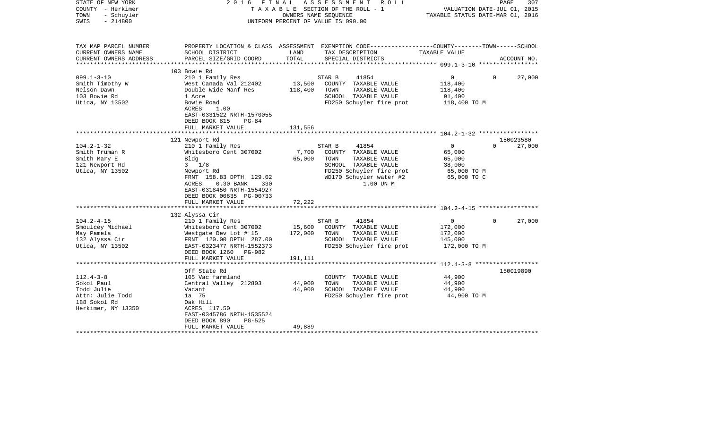| STATE OF NEW YORK<br>COUNTY - Herkimer<br>- Schuyler<br>TOWN<br>$-214800$<br>SWIS | 2016 FINAL                                            |         | A S S E S S M E N T R O L L<br>TAXABLE SECTION OF THE ROLL - 1<br>OWNERS NAME SEOUENCE<br>UNIFORM PERCENT OF VALUE IS 090.00 | VALUATION DATE-JUL 01, 2015<br>TAXABLE STATUS DATE-MAR 01, 2016 | PAGE<br>307        |
|-----------------------------------------------------------------------------------|-------------------------------------------------------|---------|------------------------------------------------------------------------------------------------------------------------------|-----------------------------------------------------------------|--------------------|
| TAX MAP PARCEL NUMBER<br>CURRENT OWNERS NAME                                      | SCHOOL DISTRICT                                       | LAND    | PROPERTY LOCATION & CLASS ASSESSMENT EXEMPTION CODE---------------COUNTY-------TOWN------SCHOOL<br>TAX DESCRIPTION           | TAXABLE VALUE                                                   |                    |
| CURRENT OWNERS ADDRESS                                                            | PARCEL SIZE/GRID COORD                                | TOTAL   | SPECIAL DISTRICTS                                                                                                            |                                                                 | ACCOUNT NO.        |
|                                                                                   | 103 Bowie Rd                                          |         |                                                                                                                              |                                                                 |                    |
| $099.1 - 3 - 10$                                                                  | 210 1 Family Res                                      |         | STAR B<br>41854                                                                                                              | $0 \qquad \qquad$                                               | 27,000<br>$\Omega$ |
| Smith Timothy W                                                                   | West Canada Val 212402                                | 13,500  | COUNTY TAXABLE VALUE                                                                                                         | 118,400                                                         |                    |
| Nelson Dawn                                                                       | Double Wide Manf Res                                  | 118,400 | TOWN<br>TAXABLE VALUE                                                                                                        | 118,400                                                         |                    |
| 103 Bowie Rd                                                                      | 1 Acre                                                |         | SCHOOL TAXABLE VALUE                                                                                                         | 91,400                                                          |                    |
| Utica, NY 13502                                                                   | Bowie Road<br>ACRES<br>1.00                           |         | FD250 Schuyler fire prot                                                                                                     | 118,400 TO M                                                    |                    |
|                                                                                   | EAST-0331522 NRTH-1570055<br>DEED BOOK 815<br>$PG-84$ |         |                                                                                                                              |                                                                 |                    |
|                                                                                   | FULL MARKET VALUE                                     | 131,556 |                                                                                                                              |                                                                 |                    |
|                                                                                   |                                                       |         |                                                                                                                              |                                                                 |                    |
|                                                                                   | 121 Newport Rd                                        |         |                                                                                                                              |                                                                 | 150023580          |
| $104.2 - 1 - 32$                                                                  | 210 1 Family Res                                      |         | 41854<br>STAR B                                                                                                              | $\overline{0}$                                                  | $\Omega$<br>27,000 |
| Smith Truman R                                                                    | Whitesboro Cent 307002                                | 7,700   | COUNTY TAXABLE VALUE                                                                                                         | 65,000                                                          |                    |
| Smith Mary E                                                                      | Bldg                                                  | 65,000  | TAXABLE VALUE<br>TOWN                                                                                                        | 65,000                                                          |                    |
| 121 Newport Rd                                                                    | $3 \t1/8$                                             |         | SCHOOL TAXABLE VALUE                                                                                                         | 38,000                                                          |                    |
| Utica, NY 13502                                                                   | Newport Rd                                            |         | FD250 Schuyler fire prot                                                                                                     | 65,000 TO M                                                     |                    |
|                                                                                   | FRNT 158.83 DPTH 129.02                               |         | WD170 Schuyler water #2                                                                                                      | 65,000 TO C                                                     |                    |
|                                                                                   | $0.30$ BANK<br>ACRES<br>330                           |         | 1.00 UN M                                                                                                                    |                                                                 |                    |
|                                                                                   | EAST-0318450 NRTH-1554927                             |         |                                                                                                                              |                                                                 |                    |
|                                                                                   | DEED BOOK 00635 PG-00733                              |         |                                                                                                                              |                                                                 |                    |
|                                                                                   | FULL MARKET VALUE                                     | 72,222  |                                                                                                                              |                                                                 |                    |
|                                                                                   |                                                       |         |                                                                                                                              |                                                                 |                    |
| $104.2 - 4 - 15$                                                                  | 132 Alyssa Cir<br>210 1 Family Res                    |         | STAR B<br>41854                                                                                                              | $0 \qquad \qquad$                                               | 27,000<br>$\Omega$ |
| Smoulcey Michael                                                                  | Whitesboro Cent 307002                                | 15,600  | COUNTY TAXABLE VALUE                                                                                                         | 172,000                                                         |                    |
| May Pamela                                                                        | Westgate Dev Lot # 15                                 | 172,000 | TOWN<br>TAXABLE VALUE                                                                                                        | 172,000                                                         |                    |
| 132 Alyssa Cir                                                                    | FRNT 120.00 DPTH 287.00                               |         | SCHOOL TAXABLE VALUE                                                                                                         | 145,000                                                         |                    |
| Utica, NY 13502                                                                   | EAST-0323477 NRTH-1552373                             |         | FD250 Schuyler fire prot                                                                                                     | 172,000 TO M                                                    |                    |
|                                                                                   | DEED BOOK 1260 PG-982                                 |         |                                                                                                                              |                                                                 |                    |
|                                                                                   | FULL MARKET VALUE                                     | 191,111 |                                                                                                                              |                                                                 |                    |
|                                                                                   |                                                       |         |                                                                                                                              |                                                                 |                    |
|                                                                                   | Off State Rd                                          |         |                                                                                                                              |                                                                 | 150019890          |
| $112.4 - 3 - 8$                                                                   | 105 Vac farmland                                      |         | COUNTY TAXABLE VALUE                                                                                                         | 44,900                                                          |                    |
| Sokol Paul                                                                        | Central Valley 212803                                 | 44,900  | TOWN<br>TAXABLE VALUE                                                                                                        | 44,900                                                          |                    |
| Todd Julie                                                                        | Vacant                                                | 44,900  | SCHOOL TAXABLE VALUE                                                                                                         | 44,900                                                          |                    |
| Attn: Julie Todd                                                                  | 1a 75                                                 |         | FD250 Schuyler fire prot                                                                                                     | 44,900 TO M                                                     |                    |
| 188 Sokol Rd                                                                      | Oak Hill                                              |         |                                                                                                                              |                                                                 |                    |
| Herkimer, NY 13350                                                                | ACRES 117.50                                          |         |                                                                                                                              |                                                                 |                    |
|                                                                                   | EAST-0345786 NRTH-1535524                             |         |                                                                                                                              |                                                                 |                    |
|                                                                                   | DEED BOOK 890<br>PG-525                               |         |                                                                                                                              |                                                                 |                    |
|                                                                                   | FULL MARKET VALUE                                     | 49,889  |                                                                                                                              |                                                                 |                    |
|                                                                                   |                                                       |         | *******************************                                                                                              |                                                                 |                    |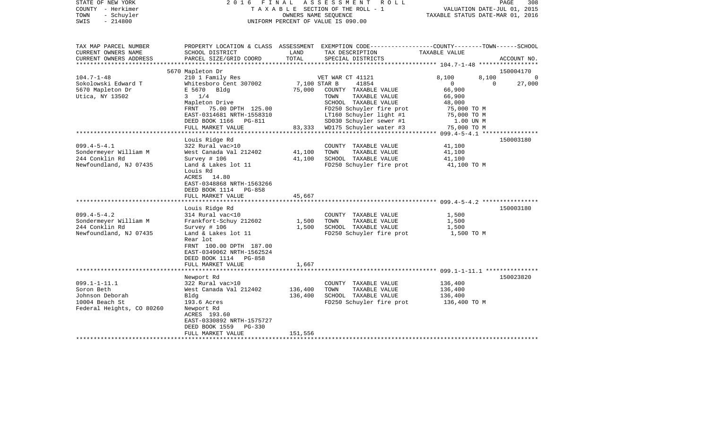| STATE OF NEW YORK<br>COUNTY - Herkimer<br>TOWN<br>- Schuyler<br>$-214800$<br>SWIS                  | 2016 FINAL                                                                                                                                                                    |                        | A S S E S S M E N T R O L L<br>TAXABLE SECTION OF THE ROLL - 1<br>OWNERS NAME SEQUENCE<br>UNIFORM PERCENT OF VALUE IS 090.00                                                         | VALUATION DATE-JUL 01, 2015<br>TAXABLE STATUS DATE-MAR 01, 2016                                     | PAGE<br>308             |
|----------------------------------------------------------------------------------------------------|-------------------------------------------------------------------------------------------------------------------------------------------------------------------------------|------------------------|--------------------------------------------------------------------------------------------------------------------------------------------------------------------------------------|-----------------------------------------------------------------------------------------------------|-------------------------|
| TAX MAP PARCEL NUMBER<br>CURRENT OWNERS NAME<br>CURRENT OWNERS ADDRESS<br>**********************   | SCHOOL DISTRICT<br>PARCEL SIZE/GRID COORD                                                                                                                                     | LAND<br>TOTAL          | PROPERTY LOCATION & CLASS ASSESSMENT EXEMPTION CODE---------------COUNTY-------TOWN------SCHOOL<br>TAX DESCRIPTION<br>SPECIAL DISTRICTS                                              | TAXABLE VALUE<br>********************* 104.7-1-48 ******************                                | ACCOUNT NO.             |
|                                                                                                    | 5670 Mapleton Dr                                                                                                                                                              |                        |                                                                                                                                                                                      |                                                                                                     | 150004170               |
| $104.7 - 1 - 48$<br>Sokolowski Edward T<br>5670 Mapleton Dr<br>Utica, NY 13502                     | 210 1 Family Res<br>Whitesboro Cent 307002<br>E 5670 Bldg<br>$3 \t1/4$<br>Mapleton Drive<br>FRNT 75.00 DPTH 125.00<br>EAST-0314681 NRTH-1558310<br>DEED BOOK 1166 PG-811      | 7,100 STAR B<br>75,000 | VET WAR CT 41121<br>41854<br>COUNTY TAXABLE VALUE<br>TOWN<br>TAXABLE VALUE<br>SCHOOL TAXABLE VALUE<br>FD250 Schuyler fire prot<br>LT160 Schuyler light #1<br>SD030 Schuyler sewer #1 | 8,100<br>8,100<br>$\Omega$<br>66,900<br>66,900<br>48,000<br>75,000 TO M<br>75,000 TO M<br>1.00 UN M | 0<br>27,000<br>$\Omega$ |
|                                                                                                    | FULL MARKET VALUE                                                                                                                                                             | 83,333                 | WD175 Schuyler water #3                                                                                                                                                              | 75,000 TO M                                                                                         |                         |
| $099.4 - 5 - 4.1$<br>Sondermeyer William M<br>244 Conklin Rd                                       | Louis Ridge Rd<br>322 Rural vac>10<br>West Canada Val 212402<br>Survey # 106                                                                                                  | 41,100<br>41,100       | COUNTY TAXABLE VALUE<br>TOWN<br>TAXABLE VALUE<br>SCHOOL TAXABLE VALUE                                                                                                                | 41,100<br>41,100<br>41,100                                                                          | 150003180               |
| Newfoundland, NJ 07435                                                                             | Land & Lakes lot 11<br>Louis Rd<br>ACRES 14.80<br>EAST-0348868 NRTH-1563266<br>DEED BOOK 1114 PG-858<br>FULL MARKET VALUE                                                     | 45,667                 | FD250 Schuyler fire prot                                                                                                                                                             | 41,100 TO M                                                                                         |                         |
|                                                                                                    | Louis Ridge Rd                                                                                                                                                                |                        |                                                                                                                                                                                      |                                                                                                     | 150003180               |
| $099.4 - 5 - 4.2$<br>Sondermeyer William M<br>244 Conklin Rd<br>Newfoundland, NJ 07435             | 314 Rural vac<10<br>Frankfort-Schuy 212602<br>Survey # 106<br>Land & Lakes lot 11<br>Rear lot<br>FRNT 100.00 DPTH 187.00                                                      | 1,500<br>1,500         | COUNTY TAXABLE VALUE<br>TAXABLE VALUE<br>TOWN<br>SCHOOL TAXABLE VALUE<br>FD250 Schuyler fire prot                                                                                    | 1,500<br>1,500<br>1,500<br>1,500 TO M                                                               |                         |
|                                                                                                    | EAST-0349062 NRTH-1562524<br>DEED BOOK 1114 PG-858<br>FULL MARKET VALUE                                                                                                       | 1,667                  |                                                                                                                                                                                      |                                                                                                     |                         |
| $099.1 - 1 - 11.1$<br>Soron Beth<br>Johnson Deborah<br>10004 Beach St<br>Federal Heights, CO 80260 | Newport Rd<br>322 Rural vac>10<br>West Canada Val 212402<br>Bldg<br>193.6 Acres<br>Newport Rd<br>ACRES 193.60<br>EAST-0330892 NRTH-1575727<br><b>PG-330</b><br>DEED BOOK 1559 | 136,400<br>136,400     | COUNTY TAXABLE VALUE<br>TOWN<br>TAXABLE VALUE<br>SCHOOL TAXABLE VALUE<br>FD250 Schuyler fire prot                                                                                    | 136,400<br>136,400<br>136,400<br>136,400 TO M                                                       | 150023820               |
| ************************                                                                           | FULL MARKET VALUE                                                                                                                                                             | 151,556                |                                                                                                                                                                                      |                                                                                                     |                         |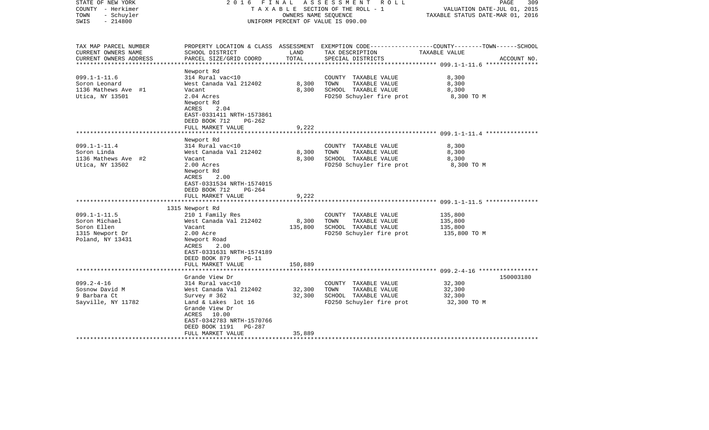| STATE OF NEW YORK<br>COUNTY - Herkimer<br>- Schuyler<br>TOWN<br>$-214800$<br>SWIS                | 2016 FINAL                                                                                                                                                                                               | OWNERS NAME SEOUENCE                 | ASSESSMENT<br>R O L L<br>TAXABLE SECTION OF THE ROLL - 1<br>UNIFORM PERCENT OF VALUE IS 090.00    | 309<br>PAGE<br>VALUATION DATE-JUL 01, 2015<br>TAXABLE STATUS DATE-MAR 01, 2016                                                   |
|--------------------------------------------------------------------------------------------------|----------------------------------------------------------------------------------------------------------------------------------------------------------------------------------------------------------|--------------------------------------|---------------------------------------------------------------------------------------------------|----------------------------------------------------------------------------------------------------------------------------------|
| TAX MAP PARCEL NUMBER<br>CURRENT OWNERS NAME<br>CURRENT OWNERS ADDRESS<br>********************** | SCHOOL DISTRICT<br>PARCEL SIZE/GRID COORD                                                                                                                                                                | LAND<br>TOTAL                        | TAX DESCRIPTION<br>SPECIAL DISTRICTS                                                              | PROPERTY LOCATION & CLASS ASSESSMENT EXEMPTION CODE----------------COUNTY-------TOWN------SCHOOL<br>TAXABLE VALUE<br>ACCOUNT NO. |
| $099.1 - 1 - 11.6$<br>Soron Leonard<br>1136 Mathews Ave #1<br>Utica, NY 13501                    | Newport Rd<br>314 Rural vac<10<br>West Canada Val 212402<br>Vacant<br>2.04 Acres<br>Newport Rd<br>ACRES<br>2.04<br>EAST-0331411 NRTH-1573861<br>DEED BOOK 712<br>$PG-262$<br>FULL MARKET VALUE           | 8,300<br>8,300<br>9,222              | COUNTY TAXABLE VALUE<br>TOWN<br>TAXABLE VALUE<br>SCHOOL TAXABLE VALUE<br>FD250 Schuyler fire prot | 8,300<br>8,300<br>8,300<br>8,300 TO M                                                                                            |
|                                                                                                  |                                                                                                                                                                                                          |                                      |                                                                                                   | ************************** 099.1-1-11.4 ***************                                                                          |
| $099.1 - 1 - 11.4$<br>Soron Linda<br>1136 Mathews Ave #2<br>Utica, NY 13502                      | Newport Rd<br>314 Rural vac<10<br>West Canada Val 212402<br>Vacant<br>2.00 Acres<br>Newport Rd<br>ACRES<br>2.00<br>EAST-0331534 NRTH-1574015<br>DEED BOOK 712<br>$PG-264$                                | 8,300<br>8,300                       | COUNTY TAXABLE VALUE<br>TAXABLE VALUE<br>TOWN<br>SCHOOL TAXABLE VALUE<br>FD250 Schuyler fire prot | 8,300<br>8,300<br>8,300<br>8,300 TO M                                                                                            |
|                                                                                                  | FULL MARKET VALUE<br>*********************                                                                                                                                                               | 9,222<br>* * * * * * * * * * * * * * |                                                                                                   |                                                                                                                                  |
| $099.1 - 1 - 11.5$<br>Soron Michael<br>Soron Ellen<br>1315 Newport Dr<br>Poland, NY 13431        | 1315 Newport Rd<br>210 1 Family Res<br>West Canada Val 212402<br>Vacant<br>2.00 Acre<br>Newport Road<br>ACRES<br>2.00<br>EAST-0331631 NRTH-1574189<br>DEED BOOK 879<br>$PG-11$                           | 8,300<br>135,800                     | COUNTY TAXABLE VALUE<br>TAXABLE VALUE<br>TOWN<br>SCHOOL TAXABLE VALUE<br>FD250 Schuyler fire prot | 135,800<br>135,800<br>135,800<br>135,800 TO M                                                                                    |
|                                                                                                  | FULL MARKET VALUE<br>********************                                                                                                                                                                | 150,889<br>*********                 |                                                                                                   |                                                                                                                                  |
|                                                                                                  | Grande View Dr                                                                                                                                                                                           |                                      |                                                                                                   | 150003180                                                                                                                        |
| $099.2 - 4 - 16$<br>Sosnow David M<br>9 Barbara Ct<br>Sayville, NY 11782                         | 314 Rural vac<10<br>West Canada Val 212402<br>Survey $#362$<br>Land & Lakes lot 16<br>Grande View Dr<br>ACRES 10.00<br>EAST-0342783 NRTH-1570766<br>DEED BOOK 1191<br><b>PG-287</b><br>FULL MARKET VALUE | 32,300<br>32,300<br>35,889           | COUNTY TAXABLE VALUE<br>TOWN<br>TAXABLE VALUE<br>SCHOOL TAXABLE VALUE<br>FD250 Schuyler fire prot | 32,300<br>32,300<br>32,300<br>32,300 TO M                                                                                        |
|                                                                                                  |                                                                                                                                                                                                          |                                      |                                                                                                   |                                                                                                                                  |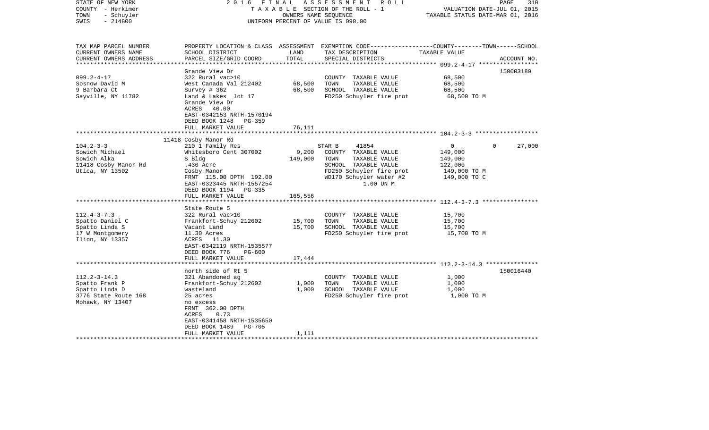| STATE OF NEW YORK<br>COUNTY - Herkimer<br>- Schuyler<br>TOWN<br>$-214800$<br>SWIS                  | 2016 FINAL                                                                                                                                                                                                             | OWNERS NAME SEQUENCE        | A S S E S S M E N T R O L L<br>TAXABLE SECTION OF THE ROLL - 1<br>UNIFORM PERCENT OF VALUE IS 090.00                                                         | VALUATION DATE-JUL 01, 2015<br>TAXABLE STATUS DATE-MAR 01, 2016               | 310<br>PAGE        |
|----------------------------------------------------------------------------------------------------|------------------------------------------------------------------------------------------------------------------------------------------------------------------------------------------------------------------------|-----------------------------|--------------------------------------------------------------------------------------------------------------------------------------------------------------|-------------------------------------------------------------------------------|--------------------|
| TAX MAP PARCEL NUMBER<br>CURRENT OWNERS NAME<br>CURRENT OWNERS ADDRESS<br>**********************   | SCHOOL DISTRICT<br>PARCEL SIZE/GRID COORD                                                                                                                                                                              | LAND<br>TOTAL               | PROPERTY LOCATION & CLASS ASSESSMENT EXEMPTION CODE---------------COUNTY-------TOWN------SCHOOL<br>TAX DESCRIPTION<br>SPECIAL DISTRICTS                      | TAXABLE VALUE                                                                 | ACCOUNT NO.        |
| $099.2 - 4 - 17$<br>Sosnow David M<br>9 Barbara Ct<br>Sayville, NY 11782                           | Grande View Dr<br>322 Rural vac>10<br>West Canada Val 212402<br>Survey $# 362$<br>Land & Lakes lot 17<br>Grande View Dr<br>ACRES 40.00<br>EAST-0342153 NRTH-1570194<br>DEED BOOK 1248<br>$PG-359$<br>FULL MARKET VALUE | 68,500<br>68,500<br>76,111  | COUNTY TAXABLE VALUE<br>TOWN<br>TAXABLE VALUE<br>SCHOOL TAXABLE VALUE<br>FD250 Schuyler fire prot                                                            | 68,500<br>68,500<br>68,500<br>68,500 TO M                                     | 150003180          |
|                                                                                                    |                                                                                                                                                                                                                        |                             |                                                                                                                                                              |                                                                               |                    |
| $104.2 - 3 - 3$<br>Sowich Michael<br>Sowich Alka<br>11418 Cosby Manor Rd<br>Utica, NY 13502        | 11418 Cosby Manor Rd<br>210 1 Family Res<br>Whitesboro Cent 307002<br>S Bldg<br>.430 Acre<br>Cosby Manor<br>FRNT 115.00 DPTH 192.00<br>EAST-0323445 NRTH-1557254<br>DEED BOOK 1194 PG-335<br>FULL MARKET VALUE         | 9,200<br>149,000<br>165,556 | 41854<br>STAR B<br>COUNTY TAXABLE VALUE<br>TAXABLE VALUE<br>TOWN<br>SCHOOL TAXABLE VALUE<br>FD250 Schuyler fire prot<br>WD170 Schuyler water #2<br>1.00 UN M | $\mathbf{0}$<br>149,000<br>149,000<br>122,000<br>149,000 TO M<br>149,000 TO C | $\Omega$<br>27,000 |
|                                                                                                    |                                                                                                                                                                                                                        |                             |                                                                                                                                                              |                                                                               |                    |
| $112.4 - 3 - 7.3$<br>Spatto Daniel C<br>Spatto Linda S<br>17 W Montgomery<br>Ilion, NY 13357       | State Route 5<br>322 Rural vac>10<br>Frankfort-Schuy 212602<br>Vacant Land<br>11.30 Acres<br>ACRES 11.30<br>EAST-0342119 NRTH-1535577<br>DEED BOOK 776<br><b>PG-600</b>                                                | 15,700<br>15,700            | COUNTY TAXABLE VALUE<br>TOWN<br>TAXABLE VALUE<br>SCHOOL TAXABLE VALUE<br>FD250 Schuyler fire prot                                                            | 15,700<br>15,700<br>15,700<br>15,700 TO M                                     |                    |
|                                                                                                    | FULL MARKET VALUE                                                                                                                                                                                                      | 17,444                      |                                                                                                                                                              |                                                                               |                    |
|                                                                                                    | *******************<br>north side of Rt 5                                                                                                                                                                              |                             | ****************************** 112.2-3-14.3 ***************                                                                                                  |                                                                               | 150016440          |
| $112.2 - 3 - 14.3$<br>Spatto Frank P<br>Spatto Linda D<br>3776 State Route 168<br>Mohawk, NY 13407 | 321 Abandoned ag<br>Frankfort-Schuy 212602<br>wasteland<br>25 acres<br>no excess<br>FRNT 362.00 DPTH<br>ACRES<br>0.73<br>EAST-0341458 NRTH-1535650<br>DEED BOOK 1489<br><b>PG-705</b>                                  | 1,000<br>1,000              | COUNTY TAXABLE VALUE<br>TOWN<br>TAXABLE VALUE<br>SCHOOL TAXABLE VALUE<br>FD250 Schuyler fire prot                                                            | 1,000<br>1,000<br>1,000<br>1,000 TO M                                         |                    |
|                                                                                                    | FULL MARKET VALUE                                                                                                                                                                                                      | 1,111                       |                                                                                                                                                              |                                                                               |                    |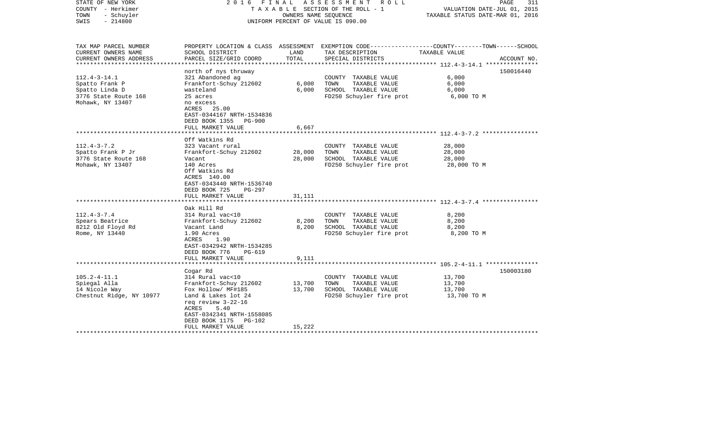| STATE OF NEW YORK<br>COUNTY - Herkimer<br>- Schuyler<br>TOWN<br>$-214800$<br>SWIS                  |                                                                                                                                                                                                                          | OWNERS NAME SEQUENCE       | 2016 FINAL ASSESSMENT<br>R O L L<br>TAXABLE SECTION OF THE ROLL - 1<br>UNIFORM PERCENT OF VALUE IS 090.00                                | VALUATION DATE-JUL 01, 2015<br>TAXABLE STATUS DATE-MAR 01, 2016 | PAGE<br>311 |
|----------------------------------------------------------------------------------------------------|--------------------------------------------------------------------------------------------------------------------------------------------------------------------------------------------------------------------------|----------------------------|------------------------------------------------------------------------------------------------------------------------------------------|-----------------------------------------------------------------|-------------|
| TAX MAP PARCEL NUMBER<br>CURRENT OWNERS NAME<br>CURRENT OWNERS ADDRESS<br>*********************    | SCHOOL DISTRICT<br>PARCEL SIZE/GRID COORD                                                                                                                                                                                | LAND<br>TOTAL              | PROPERTY LOCATION & CLASS ASSESSMENT EXEMPTION CODE----------------COUNTY-------TOWN------SCHOOL<br>TAX DESCRIPTION<br>SPECIAL DISTRICTS | TAXABLE VALUE                                                   | ACCOUNT NO. |
| $112.4 - 3 - 14.1$<br>Spatto Frank P<br>Spatto Linda D<br>3776 State Route 168<br>Mohawk, NY 13407 | north of nys thruway<br>321 Abandoned ag<br>Frankfort-Schuy 212602<br>wasteland<br>25 acres<br>no excess<br>ACRES 25.00<br>EAST-0344167 NRTH-1534836<br>DEED BOOK 1355<br><b>PG-900</b><br>FULL MARKET VALUE             | 6,000<br>6,000<br>6,667    | COUNTY TAXABLE VALUE<br>TOWN<br>TAXABLE VALUE<br>SCHOOL TAXABLE VALUE<br>FD250 Schuyler fire prot                                        | 6,000<br>6,000<br>6,000<br>6,000 TO M                           | 150016440   |
|                                                                                                    | ***************************                                                                                                                                                                                              |                            |                                                                                                                                          |                                                                 |             |
| $112.4 - 3 - 7.2$<br>Spatto Frank P Jr<br>3776 State Route 168<br>Mohawk, NY 13407                 | Off Watkins Rd<br>323 Vacant rural<br>Frankfort-Schuy 212602<br>Vacant<br>140 Acres<br>Off Watkins Rd<br>ACRES 140.00<br>EAST-0343440 NRTH-1536740<br>DEED BOOK 725<br>PG-297                                            | 28,000<br>28,000           | COUNTY TAXABLE VALUE<br>TOWN<br>TAXABLE VALUE<br>SCHOOL TAXABLE VALUE<br>FD250 Schuyler fire prot                                        | 28,000<br>28,000<br>28,000<br>28,000 TO M                       |             |
|                                                                                                    | FULL MARKET VALUE                                                                                                                                                                                                        | 31,111                     |                                                                                                                                          |                                                                 |             |
| $112.4 - 3 - 7.4$<br>Spears Beatrice<br>8212 Old Floyd Rd<br>Rome, NY 13440                        | Oak Hill Rd<br>314 Rural vac<10<br>Frankfort-Schuy 212602<br>Vacant Land<br>1.90 Acres<br>ACRES<br>1.90<br>EAST-0342942 NRTH-1534285<br>DEED BOOK 776<br>$PG-619$<br>FULL MARKET VALUE                                   | 8,200<br>8,200<br>9,111    | COUNTY TAXABLE VALUE<br>TOWN<br>TAXABLE VALUE<br>SCHOOL TAXABLE VALUE<br>FD250 Schuyler fire prot                                        | 8,200<br>8,200<br>8,200<br>8,200 TO M                           |             |
|                                                                                                    |                                                                                                                                                                                                                          |                            |                                                                                                                                          |                                                                 |             |
| $105.2 - 4 - 11.1$<br>Spiegal Alla<br>14 Nicole Way<br>Chestnut Ridge, NY 10977                    | Cogar Rd<br>314 Rural vac<10<br>Frankfort-Schuy 212602<br>Fox Hollow/ MF#185<br>Land & Lakes lot 24<br>req review 3-22-16<br>ACRES<br>5.40<br>EAST-0342341 NRTH-1558085<br>DEED BOOK 1175<br>PG-102<br>FULL MARKET VALUE | 13,700<br>13,700<br>15,222 | COUNTY TAXABLE VALUE<br>TOWN<br>TAXABLE VALUE<br>SCHOOL TAXABLE VALUE<br>FD250 Schuyler fire prot                                        | 13,700<br>13,700<br>13,700<br>13,700 TO M                       | 150003180   |
|                                                                                                    |                                                                                                                                                                                                                          |                            |                                                                                                                                          |                                                                 |             |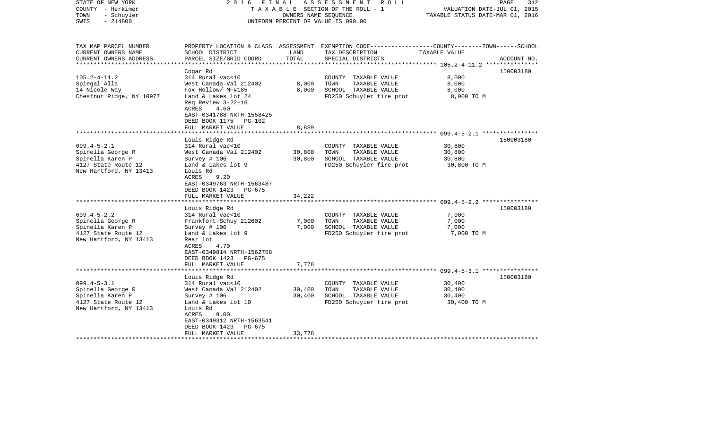| STATE OF NEW YORK<br>COUNTY - Herkimer<br>- Schuyler<br>TOWN<br>$-214800$<br>SWIS                           | FINAL<br>2016                                                                                                                                                                         | OWNERS NAME SEQUENCE | ASSESSMENT<br>R O L L<br>TAXABLE SECTION OF THE ROLL - 1<br>UNIFORM PERCENT OF VALUE IS 090.00                                           | VALUATION DATE-JUL 01, 2015<br>TAXABLE STATUS DATE-MAR 01, 2016 | PAGE<br>312 |
|-------------------------------------------------------------------------------------------------------------|---------------------------------------------------------------------------------------------------------------------------------------------------------------------------------------|----------------------|------------------------------------------------------------------------------------------------------------------------------------------|-----------------------------------------------------------------|-------------|
| TAX MAP PARCEL NUMBER<br>CURRENT OWNERS NAME<br>CURRENT OWNERS ADDRESS                                      | SCHOOL DISTRICT<br>PARCEL SIZE/GRID COORD                                                                                                                                             | LAND<br>TOTAL        | PROPERTY LOCATION & CLASS ASSESSMENT EXEMPTION CODE----------------COUNTY-------TOWN------SCHOOL<br>TAX DESCRIPTION<br>SPECIAL DISTRICTS | TAXABLE VALUE                                                   | ACCOUNT NO. |
| ********************                                                                                        |                                                                                                                                                                                       | *************        |                                                                                                                                          | ***************************    105.2-4-11.2    ***************  |             |
| $105.2 - 4 - 11.2$<br>Spiegal Alla<br>14 Nicole Way<br>Chestnut Ridge, NY 10977                             | Cogar Rd<br>314 Rural vac<10<br>West Canada Val 212402<br>Fox Hollow/ MF#185<br>Land & Lakes lot 24<br>Req Review 3-22-16<br>ACRES<br>4.60<br>EAST-0341788 NRTH-1558425               | 8,000<br>8,000       | COUNTY TAXABLE VALUE<br>TOWN<br>TAXABLE VALUE<br>SCHOOL TAXABLE VALUE<br>FD250 Schuyler fire prot                                        | 8,000<br>8,000<br>8,000<br>8,000 TO M                           | 150003180   |
|                                                                                                             | DEED BOOK 1175<br>PG-102<br>FULL MARKET VALUE                                                                                                                                         | 8,889                |                                                                                                                                          |                                                                 |             |
|                                                                                                             | Louis Ridge Rd                                                                                                                                                                        |                      |                                                                                                                                          | *************************** 099.4-5-2.1 ****************        | 150003180   |
| $099.4 - 5 - 2.1$<br>Spinella George R<br>Spinella Karen P<br>4127 State Route 12<br>New Hartford, NY 13413 | 314 Rural vac<10<br>West Canada Val 212402<br>Survey # 106<br>Land & Lakes lot 9<br>Louis Rd<br>ACRES<br>9.20<br>EAST-0349763 NRTH-1563487<br>DEED BOOK 1423<br>PG-675                | 30,800<br>30,800     | COUNTY TAXABLE VALUE<br>TOWN<br>TAXABLE VALUE<br>SCHOOL TAXABLE VALUE<br>FD250 Schuyler fire prot                                        | 30,800<br>30,800<br>30,800<br>30,800 TO M                       |             |
|                                                                                                             | FULL MARKET VALUE                                                                                                                                                                     | 34,222               |                                                                                                                                          |                                                                 |             |
| $099.4 - 5 - 2.2$<br>Spinella George R<br>Spinella Karen P<br>4127 State Route 12<br>New Hartford, NY 13413 | Louis Ridge Rd<br>314 Rural vac<10<br>Frankfort-Schuy 212602<br>Survey # 106<br>Land & Lakes lot 9<br>Rear lot<br>ACRES<br>4.70<br>EAST-0349814 NRTH-1562758<br>DEED BOOK 1423 PG-675 | 7,000<br>7,000       | COUNTY TAXABLE VALUE<br>TOWN<br>TAXABLE VALUE<br>SCHOOL TAXABLE VALUE<br>FD250 Schuyler fire prot                                        | 7,000<br>7,000<br>7,000<br>7,000 TO M                           | 150003180   |
|                                                                                                             | FULL MARKET VALUE                                                                                                                                                                     | 7,778                |                                                                                                                                          |                                                                 |             |
| $099.4 - 5 - 3.1$<br>Spinella George R<br>Spinella Karen P                                                  | Louis Ridge Rd<br>314 Rural vac<10<br>West Canada Val 212402<br>Survey # 106                                                                                                          | 30,400<br>30,400     | COUNTY TAXABLE VALUE<br>TOWN<br>TAXABLE VALUE<br>SCHOOL TAXABLE VALUE                                                                    | 30,400<br>30,400<br>30,400                                      | 150003180   |
| 4127 State Route 12<br>New Hartford, NY 13413                                                               | Land & Lakes lot 10<br>Louis Rd<br>ACRES<br>9.00<br>EAST-0349312 NRTH-1563541<br>DEED BOOK 1423<br>PG-675<br>FULL MARKET VALUE                                                        | 33,778               | FD250 Schuyler fire prot                                                                                                                 | 30,400 TO M                                                     |             |
|                                                                                                             |                                                                                                                                                                                       |                      | *******************************                                                                                                          |                                                                 |             |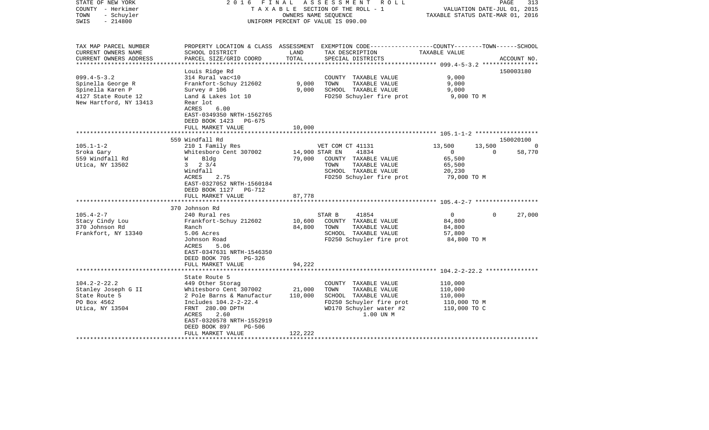| STATE OF NEW YORK<br>COUNTY - Herkimer<br>- Schuyler<br>TOWN<br>$-214800$<br>SWIS                                                                  | F I N A L<br>2016                                                                                                                                                                                                                                                                 |                                                        | ASSESSMENT ROLL<br>TAXABLE SECTION OF THE ROLL - 1<br>OWNERS NAME SEOUENCE<br>UNIFORM PERCENT OF VALUE IS 090.00                                                                                                                                       | VALUATION DATE-JUL 01, 2015<br>TAXABLE STATUS DATE-MAR 01, 2016                                                                      | PAGE                    | 313                         |
|----------------------------------------------------------------------------------------------------------------------------------------------------|-----------------------------------------------------------------------------------------------------------------------------------------------------------------------------------------------------------------------------------------------------------------------------------|--------------------------------------------------------|--------------------------------------------------------------------------------------------------------------------------------------------------------------------------------------------------------------------------------------------------------|--------------------------------------------------------------------------------------------------------------------------------------|-------------------------|-----------------------------|
| TAX MAP PARCEL NUMBER<br>CURRENT OWNERS NAME<br>CURRENT OWNERS ADDRESS                                                                             | SCHOOL DISTRICT<br>PARCEL SIZE/GRID COORD                                                                                                                                                                                                                                         | LAND<br>TOTAL                                          | PROPERTY LOCATION & CLASS ASSESSMENT EXEMPTION CODE----------------COUNTY-------TOWN------SCHOOL<br>TAX DESCRIPTION<br>SPECIAL DISTRICTS                                                                                                               | TAXABLE VALUE                                                                                                                        |                         | ACCOUNT NO.                 |
| **********************                                                                                                                             |                                                                                                                                                                                                                                                                                   |                                                        |                                                                                                                                                                                                                                                        |                                                                                                                                      |                         |                             |
| $099.4 - 5 - 3.2$<br>Spinella George R<br>Spinella Karen P<br>4127 State Route 12<br>New Hartford, NY 13413                                        | Louis Ridge Rd<br>314 Rural vac<10<br>Frankfort-Schuy 212602<br>Survey # 106<br>Land & Lakes lot 10<br>Rear lot<br>ACRES<br>6.00<br>EAST-0349350 NRTH-1562765                                                                                                                     | 9,000<br>9,000                                         | COUNTY TAXABLE VALUE<br>TOWN<br>TAXABLE VALUE<br>SCHOOL TAXABLE VALUE<br>FD250 Schuyler fire prot                                                                                                                                                      | 9,000<br>9,000<br>9,000<br>9,000 TO M                                                                                                |                         | 150003180                   |
|                                                                                                                                                    | DEED BOOK 1423<br>PG-675<br>FULL MARKET VALUE                                                                                                                                                                                                                                     | 10,000                                                 |                                                                                                                                                                                                                                                        |                                                                                                                                      |                         |                             |
|                                                                                                                                                    |                                                                                                                                                                                                                                                                                   |                                                        |                                                                                                                                                                                                                                                        |                                                                                                                                      |                         |                             |
|                                                                                                                                                    | 559 Windfall Rd                                                                                                                                                                                                                                                                   |                                                        |                                                                                                                                                                                                                                                        |                                                                                                                                      |                         | 150020100                   |
| $105.1 - 1 - 2$<br>Sroka Gary<br>559 Windfall Rd<br>Utica, NY 13502<br>$105.4 - 2 - 7$<br>Stacy Cindy Lou<br>370 Johnson Rd<br>Frankfort, NY 13340 | 210 1 Family Res<br>Whitesboro Cent 307002<br>W Bldg<br>$3 \t2 \t3/4$<br>Windfall<br>ACRES<br>2.75<br>EAST-0327052 NRTH-1560184<br>DEED BOOK 1127 PG-712<br>FULL MARKET VALUE<br>370 Johnson Rd<br>240 Rural res<br>Frankfort-Schuy 212602<br>Ranch<br>5.06 Acres<br>Johnson Road | 14,900 STAR EN<br>79,000<br>87,778<br>10,600<br>84,800 | VET COM CT 41131<br>41834<br>COUNTY TAXABLE VALUE<br>TOWN<br>TAXABLE VALUE<br>SCHOOL TAXABLE VALUE<br>FD250 Schuyler fire prot<br>STAR B<br>41854<br>COUNTY TAXABLE VALUE<br>TAXABLE VALUE<br>TOWN<br>SCHOOL TAXABLE VALUE<br>FD250 Schuyler fire prot | 13,500<br>$\overline{0}$<br>65,500<br>65,500<br>20,230<br>79,000 TO M<br>$\overline{0}$<br>84,800<br>84,800<br>57,800<br>84,800 TO M | 13,500<br>$\Omega$<br>0 | $\circ$<br>58,770<br>27,000 |
| $104.2 - 2 - 22.2$<br>Stanley Joseph G II<br>State Route 5                                                                                         | ACRES<br>5.06<br>EAST-0347631 NRTH-1546350<br>DEED BOOK 705<br>PG-326<br>FULL MARKET VALUE<br>State Route 5<br>449 Other Storag<br>Whitesboro Cent 307002                                                                                                                         | 94,222<br>21,000<br>110,000                            | COUNTY TAXABLE VALUE<br>TOWN<br>TAXABLE VALUE<br>SCHOOL TAXABLE VALUE                                                                                                                                                                                  | 110,000<br>110,000<br>110,000                                                                                                        |                         |                             |
| PO Box 4562<br>Utica, NY 13504                                                                                                                     | 2 Pole Barns & Manufactur<br>Includes 104.2-2-22.4<br>FRNT 280.00 DPTH<br>ACRES<br>2.60<br>EAST-0320578 NRTH-1552919<br>DEED BOOK 897<br><b>PG-506</b><br>FULL MARKET VALUE                                                                                                       | 122,222                                                | FD250 Schuyler fire prot<br>WD170 Schuyler water #2<br>1.00 UN M                                                                                                                                                                                       | 110,000 TO M<br>110,000 TO C                                                                                                         |                         |                             |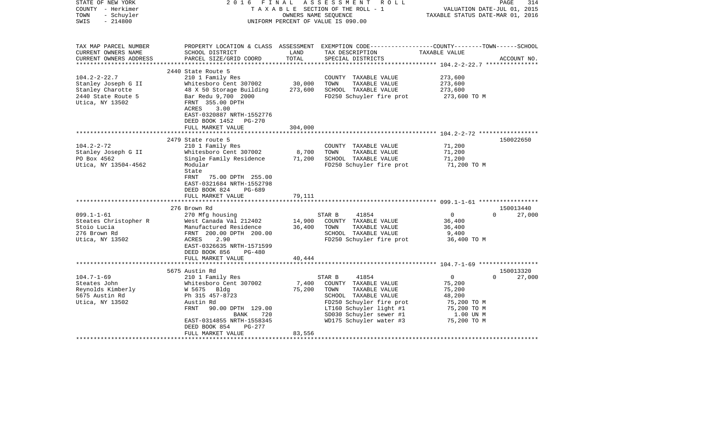| STATE OF NEW YORK<br>COUNTY - Herkimer             | 2016                                                                                       | FINAL                 | A S S E S S M E N T<br>R O L L<br>TAXABLE SECTION OF THE ROLL - 1                                | VALUATION DATE-JUL 01, 2015      | 314<br>PAGE        |
|----------------------------------------------------|--------------------------------------------------------------------------------------------|-----------------------|--------------------------------------------------------------------------------------------------|----------------------------------|--------------------|
| TOWN<br>- Schuyler                                 |                                                                                            |                       | OWNERS NAME SEQUENCE                                                                             | TAXABLE STATUS DATE-MAR 01, 2016 |                    |
| SWIS<br>$-214800$                                  |                                                                                            |                       | UNIFORM PERCENT OF VALUE IS 090.00                                                               |                                  |                    |
| TAX MAP PARCEL NUMBER                              |                                                                                            |                       | PROPERTY LOCATION & CLASS ASSESSMENT EXEMPTION CODE----------------COUNTY-------TOWN------SCHOOL |                                  |                    |
| CURRENT OWNERS NAME                                | SCHOOL DISTRICT                                                                            | LAND                  | TAX DESCRIPTION                                                                                  | TAXABLE VALUE                    |                    |
| CURRENT OWNERS ADDRESS<br>************************ | PARCEL SIZE/GRID COORD                                                                     | TOTAL                 | SPECIAL DISTRICTS                                                                                |                                  | ACCOUNT NO.        |
|                                                    | 2440 State Route 5                                                                         |                       |                                                                                                  |                                  |                    |
| $104.2 - 2 - 22.7$                                 | 210 1 Family Res                                                                           |                       | COUNTY TAXABLE VALUE                                                                             | 273,600                          |                    |
| Stanley Joseph G II                                | Whitesboro Cent 307002                                                                     | 30,000                | TOWN<br>TAXABLE VALUE                                                                            | 273,600                          |                    |
| Stanley Charotte                                   | 48 X 50 Storage Building                                                                   | 273,600               | SCHOOL TAXABLE VALUE                                                                             | 273,600                          |                    |
| 2440 State Route 5                                 | Bar Redu 9,700 2000                                                                        |                       | FD250 Schuyler fire prot                                                                         | 273,600 TO M                     |                    |
| Utica, NY 13502                                    | FRNT 355.00 DPTH<br>ACRES<br>3.00<br>EAST-0320887 NRTH-1552776                             |                       |                                                                                                  |                                  |                    |
|                                                    | DEED BOOK 1452<br>PG-270                                                                   |                       |                                                                                                  |                                  |                    |
|                                                    | FULL MARKET VALUE<br>***********************                                               | 304,000<br>********** |                                                                                                  |                                  |                    |
|                                                    | 2479 State route 5                                                                         |                       |                                                                                                  |                                  | 150022650          |
| $104.2 - 2 - 72$                                   | 210 1 Family Res                                                                           |                       | COUNTY TAXABLE VALUE                                                                             | 71,200                           |                    |
| Stanley Joseph G II                                | Whitesboro Cent 307002                                                                     | 8,700                 | TAXABLE VALUE<br>TOWN                                                                            | 71,200                           |                    |
| PO Box 4562                                        | Single Family Residence                                                                    | 71,200                | SCHOOL TAXABLE VALUE                                                                             | 71,200                           |                    |
| Utica, NY 13504-4562                               | Modular                                                                                    |                       | FD250 Schuyler fire prot                                                                         | 71,200 TO M                      |                    |
|                                                    | State<br>75.00 DPTH 255.00<br>FRNT<br>EAST-0321684 NRTH-1552798<br>DEED BOOK 824<br>PG-689 |                       |                                                                                                  |                                  |                    |
|                                                    | FULL MARKET VALUE                                                                          | 79,111                |                                                                                                  |                                  |                    |
|                                                    | *******************                                                                        |                       |                                                                                                  |                                  |                    |
|                                                    | 276 Brown Rd                                                                               |                       |                                                                                                  |                                  | 150013440          |
| $099.1 - 1 - 61$                                   | 270 Mfg housing                                                                            |                       | STAR B<br>41854                                                                                  | $\overline{0}$                   | $\Omega$<br>27,000 |
| Steates Christopher R                              | West Canada Val 212402                                                                     | 14,900                | COUNTY TAXABLE VALUE                                                                             | 36,400                           |                    |
| Stoio Lucia<br>276 Brown Rd                        | Manufactured Residence<br>FRNT 200.00 DPTH 200.00                                          | 36,400                | TOWN<br>TAXABLE VALUE<br>SCHOOL TAXABLE VALUE                                                    | 36,400<br>9,400                  |                    |
| Utica, NY 13502                                    | 2.90<br>ACRES                                                                              |                       | FD250 Schuyler fire prot                                                                         | 36,400 TO M                      |                    |
|                                                    | EAST-0326635 NRTH-1571599                                                                  |                       |                                                                                                  |                                  |                    |
|                                                    | DEED BOOK 856<br>PG-480                                                                    |                       |                                                                                                  |                                  |                    |
|                                                    | FULL MARKET VALUE                                                                          | 40,444                |                                                                                                  |                                  |                    |
|                                                    |                                                                                            |                       |                                                                                                  |                                  |                    |
|                                                    | 5675 Austin Rd                                                                             |                       |                                                                                                  |                                  | 150013320          |
| $104.7 - 1 - 69$                                   | 210 1 Family Res                                                                           |                       | STAR B<br>41854                                                                                  | $\overline{0}$                   | $\Omega$<br>27,000 |
| Steates John                                       | Whitesboro Cent 307002                                                                     | 7,400                 | COUNTY TAXABLE VALUE                                                                             | 75,200                           |                    |
| Reynolds Kimberly                                  | W 5675 Bldg                                                                                | 75,200                | TOWN<br>TAXABLE VALUE                                                                            | 75,200                           |                    |
| 5675 Austin Rd                                     | Ph 315 457-8723<br>Austin Rd                                                               |                       | SCHOOL TAXABLE VALUE                                                                             | 48,200                           |                    |
| Utica, NY 13502                                    | FRNT<br>90.00 DPTH 129.00                                                                  |                       | FD250 Schuyler fire prot<br>LT160 Schuyler light #1                                              | 75,200 TO M<br>75,200 TO M       |                    |
|                                                    | 720<br>BANK                                                                                |                       | SD030 Schuyler sewer #1                                                                          | 1.00 UN M                        |                    |
|                                                    | EAST-0314855 NRTH-1558345                                                                  |                       | WD175 Schuyler water #3                                                                          | 75,200 TO M                      |                    |
|                                                    | DEED BOOK 854<br>PG-277                                                                    |                       |                                                                                                  |                                  |                    |
|                                                    | FULL MARKET VALUE                                                                          | 83,556                |                                                                                                  |                                  |                    |
|                                                    |                                                                                            |                       |                                                                                                  |                                  |                    |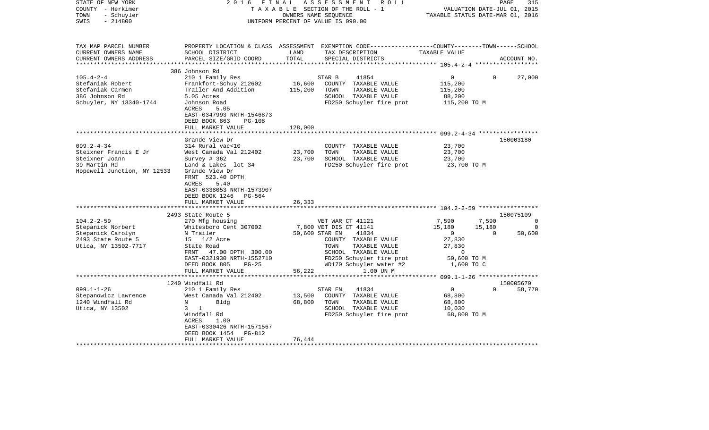| STATE OF NEW YORK<br>COUNTY - Herkimer<br>- Schuyler<br>TOWN<br>$-214800$<br>SWIS                          | 2016<br>FINAL                                                                                                                                                                                                       | OWNERS NAME SEQUENCE        | A S S E S S M E N T<br>R O L L<br>TAXABLE SECTION OF THE ROLL - 1<br>UNIFORM PERCENT OF VALUE IS 090.00                                                                                          | TAXABLE STATUS DATE-MAR 01, 2016                                                                     | PAGE<br>VALUATION DATE-JUL 01, 2015 | 315                     |
|------------------------------------------------------------------------------------------------------------|---------------------------------------------------------------------------------------------------------------------------------------------------------------------------------------------------------------------|-----------------------------|--------------------------------------------------------------------------------------------------------------------------------------------------------------------------------------------------|------------------------------------------------------------------------------------------------------|-------------------------------------|-------------------------|
| TAX MAP PARCEL NUMBER<br>CURRENT OWNERS NAME<br>CURRENT OWNERS ADDRESS                                     | SCHOOL DISTRICT<br>PARCEL SIZE/GRID COORD                                                                                                                                                                           | LAND<br>TOTAL               | PROPERTY LOCATION & CLASS ASSESSMENT EXEMPTION CODE----------------COUNTY-------TOWN------SCHOOL<br>TAX DESCRIPTION<br>SPECIAL DISTRICTS                                                         | TAXABLE VALUE                                                                                        |                                     | ACCOUNT NO.             |
|                                                                                                            | 386 Johnson Rd                                                                                                                                                                                                      |                             |                                                                                                                                                                                                  |                                                                                                      |                                     |                         |
| $105.4 - 2 - 4$<br>Stefaniak Robert<br>Stefaniak Carmen<br>386 Johnson Rd<br>Schuyler, NY 13340-1744       | 210 1 Family Res<br>Frankfort-Schuy 212602<br>Trailer And Addition<br>5.05 Acres<br>Johnson Road<br>ACRES<br>5.05<br>EAST-0347993 NRTH-1546873                                                                      | 16,600<br>115,200           | 41854<br>STAR B<br>COUNTY TAXABLE VALUE<br>TOWN<br>TAXABLE VALUE<br>SCHOOL TAXABLE VALUE<br>FD250 Schuyler fire prot                                                                             | $\overline{0}$<br>115,200<br>115,200<br>88,200<br>115,200 TO M                                       | $\Omega$                            | 27,000                  |
|                                                                                                            | DEED BOOK 863<br>$PG-108$                                                                                                                                                                                           |                             |                                                                                                                                                                                                  |                                                                                                      |                                     |                         |
|                                                                                                            | FULL MARKET VALUE                                                                                                                                                                                                   | 128,000                     |                                                                                                                                                                                                  |                                                                                                      |                                     |                         |
|                                                                                                            | *******************<br>Grande View Dr                                                                                                                                                                               | * * * * * * * * * * * * * * |                                                                                                                                                                                                  |                                                                                                      |                                     |                         |
| $099.2 - 4 - 34$<br>Steixner Francis E Jr<br>Steixner Joann<br>39 Martin Rd<br>Hopewell Junction, NY 12533 | 314 Rural vac<10<br>West Canada Val 212402<br>Survey # 362<br>Land & Lakes lot 34<br>Grande View Dr<br>FRNT 523.40 DPTH<br>5.40<br>ACRES<br>EAST-0338053 NRTH-1573907<br>DEED BOOK 1246 PG-564<br>FULL MARKET VALUE | 23,700<br>23,700<br>26,333  | COUNTY TAXABLE VALUE<br>TOWN<br>TAXABLE VALUE<br>SCHOOL TAXABLE VALUE<br>FD250 Schuyler fire prot                                                                                                | 23,700<br>23,700<br>23,700<br>23,700 TO M                                                            |                                     | 150003180               |
|                                                                                                            |                                                                                                                                                                                                                     |                             |                                                                                                                                                                                                  |                                                                                                      |                                     |                         |
|                                                                                                            | 2493 State Route 5                                                                                                                                                                                                  |                             |                                                                                                                                                                                                  |                                                                                                      |                                     | 150075109               |
| $104.2 - 2 - 59$<br>Stepanick Norbert<br>Stepanick Carolyn<br>2493 State Route 5<br>Utica, NY 13502-7717   | 270 Mfg housing<br>Whitesboro Cent 307002<br>N Trailer<br>15 1/2 Acre<br>State Road<br>FRNT<br>47.00 DPTH 300.00<br>EAST-0321930 NRTH-1552710<br>DEED BOOK 805<br>$PG-25$<br>FULL MARKET VALUE                      | 50,600 STAR EN<br>56,222    | VET WAR CT 41121<br>7,800 VET DIS CT 41141<br>41834<br>COUNTY TAXABLE VALUE<br>TAXABLE VALUE<br>TOWN<br>SCHOOL TAXABLE VALUE<br>FD250 Schuyler fire prot<br>WD170 Schuyler water #2<br>1.00 UN M | 7,590<br>15,180<br>$\overline{0}$<br>27,830<br>27,830<br>$\overline{0}$<br>50,600 TO M<br>1,600 TO C | 7,590<br>15,180<br>$\overline{0}$   | $\Omega$<br>0<br>50,600 |
|                                                                                                            | *************************                                                                                                                                                                                           |                             |                                                                                                                                                                                                  | ***************** 099.1-1-26 ******************                                                      |                                     |                         |
| $099.1 - 1 - 26$<br>Stepanowicz Lawrence<br>1240 Windfall Rd<br>Utica, NY 13502                            | 1240 Windfall Rd<br>210 1 Family Res<br>West Canada Val 212402<br>N<br>Bldg<br>$3 \quad 1$<br>Windfall Rd<br>ACRES<br>1.00<br>EAST-0330426 NRTH-1571567<br>DEED BOOK 1454<br>PG-812<br>FULL MARKET VALUE            | 13,500<br>68,800<br>76,444  | STAR EN<br>41834<br>COUNTY TAXABLE VALUE<br>TOWN<br>TAXABLE VALUE<br>SCHOOL TAXABLE VALUE<br>FD250 Schuyler fire prot                                                                            | $\overline{0}$<br>68,800<br>68,800<br>10,030<br>68,800 TO M                                          | $\Omega$                            | 150005670<br>58,770     |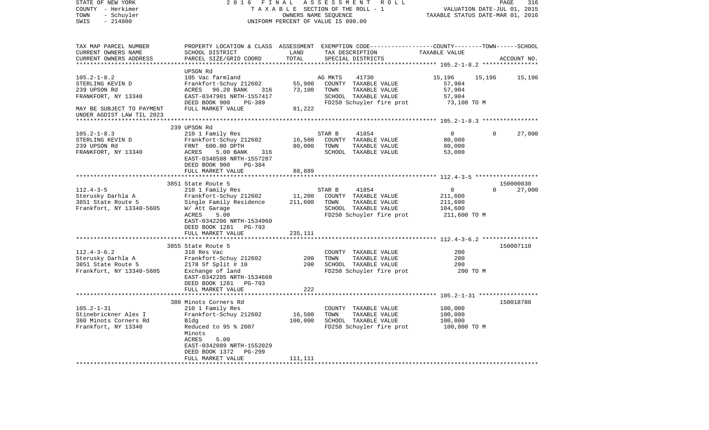| STATE OF NEW YORK<br>COUNTY - Herkimer<br>TOWN<br>- Schuyler<br>$-214800$<br>SWIS                                                      | 2 0 1 6<br>FINAL                                                                                                                                                                                               | TAXABLE SECTION OF THE ROLL - 1<br>OWNERS NAME SEQUENCE<br>UNIFORM PERCENT OF VALUE IS 090.00 | ASSESSMENT      | R O L L                                                                                            | TAXABLE STATUS DATE-MAR 01, 2016                                     | VALUATION DATE-JUL 01, 2015 | PAGE<br>316 |
|----------------------------------------------------------------------------------------------------------------------------------------|----------------------------------------------------------------------------------------------------------------------------------------------------------------------------------------------------------------|-----------------------------------------------------------------------------------------------|-----------------|----------------------------------------------------------------------------------------------------|----------------------------------------------------------------------|-----------------------------|-------------|
| TAX MAP PARCEL NUMBER<br>CURRENT OWNERS NAME<br>CURRENT OWNERS ADDRESS                                                                 | PROPERTY LOCATION & CLASS ASSESSMENT EXEMPTION CODE---------------COUNTY-------TOWN------SCHOOL<br>SCHOOL DISTRICT<br>PARCEL SIZE/GRID COORD                                                                   | LAND<br>TOTAL<br>*************                                                                |                 | TAX DESCRIPTION<br>SPECIAL DISTRICTS                                                               | TAXABLE VALUE<br>********************* 105.2-1-8.2 ***************** |                             | ACCOUNT NO. |
| $105.2 - 1 - 8.2$<br>STERLING KEVIN D<br>239 UPSON Rd<br>FRANKFORT, NY 13340<br>MAY BE SUBJECT TO PAYMENT<br>UNDER AGDIST LAW TIL 2023 | UPSON Rd<br>105 Vac farmland<br>Frankfort-Schuy 212602<br>ACRES 96.20 BANK<br>316<br>EAST-0347901 NRTH-1557417<br>DEED BOOK 900<br>PG-389<br>FULL MARKET VALUE                                                 | 55,900<br>73,100<br>81,222                                                                    | AG MKTS<br>TOWN | 41730<br>COUNTY TAXABLE VALUE<br>TAXABLE VALUE<br>SCHOOL TAXABLE VALUE<br>FD250 Schuyler fire prot | 15,196<br>57,904<br>57,904<br>57,904<br>73,100 TO M                  | 15,196                      | 15,196      |
|                                                                                                                                        |                                                                                                                                                                                                                |                                                                                               |                 |                                                                                                    |                                                                      |                             |             |
| $105.2 - 1 - 8.3$<br>STERLING KEVIN D<br>239 UPSON Rd<br>FRANKFORT, NY 13340                                                           | 239 UPSON Rd<br>210 1 Family Res<br>Frankfort-Schuy 212602<br>FRNT 600.00 DPTH<br>ACRES<br>5.00 BANK<br>316<br>EAST-0348588 NRTH-1557287<br>DEED BOOK 900<br>PG-384<br>FULL MARKET VALUE                       | 16,500<br>80,000<br>88,889<br>*********                                                       | STAR B<br>TOWN  | 41854<br>COUNTY TAXABLE VALUE<br>TAXABLE VALUE<br>SCHOOL TAXABLE VALUE                             | $\overline{0}$<br>80,000<br>80,000<br>53,000                         | $\Omega$                    | 27,000      |
|                                                                                                                                        | 3851 State Route 5                                                                                                                                                                                             |                                                                                               |                 |                                                                                                    |                                                                      |                             | 150000030   |
| $112.4 - 3 - 5$<br>Sterusky Darhla A<br>3851 State Route 5<br>Frankfort, NY 13340-5605                                                 | 210 1 Family Res<br>Frankfort-Schuy 212602<br>Single Family Residence<br>W/ Att Garage<br>5.00<br>ACRES<br>EAST-0342206 NRTH-1534960<br>DEED BOOK 1281 PG-793                                                  | 11,200<br>211,600                                                                             | STAR B<br>TOWN  | 41854<br>COUNTY TAXABLE VALUE<br>TAXABLE VALUE<br>SCHOOL TAXABLE VALUE<br>FD250 Schuyler fire prot | $\overline{0}$<br>211,600<br>211,600<br>184,600<br>211,600 TO M      | $\Omega$                    | 27,000      |
|                                                                                                                                        | FULL MARKET VALUE<br>************************                                                                                                                                                                  | 235,111                                                                                       |                 |                                                                                                    |                                                                      |                             |             |
| $112.4 - 3 - 6.2$<br>Sterusky Darhla A<br>3851 State Route 5<br>Frankfort, NY 13340-5605                                               | 3855 State Route 5<br>310 Res Vac<br>Frankfort-Schuy 212602<br>2178 Sf Split # 10<br>Exchange of land<br>EAST-0342285 NRTH-1534660<br>DEED BOOK 1281<br>PG-793<br>FULL MARKET VALUE                            | 200<br>200<br>222                                                                             | TOWN            | COUNTY TAXABLE VALUE<br>TAXABLE VALUE<br>SCHOOL TAXABLE VALUE<br>FD250 Schuyler fire prot          | 200<br>200<br>200<br>200 TO M                                        |                             | 150007110   |
|                                                                                                                                        |                                                                                                                                                                                                                |                                                                                               |                 |                                                                                                    |                                                                      |                             |             |
| $105.2 - 1 - 31$<br>Stinebrickner Alex I<br>380 Minots Corners Rd<br>Frankfort, NY 13340                                               | 380 Minots Corners Rd<br>210 1 Family Res<br>Frankfort-Schuy 212602<br>Bldg<br>Reduced to 95 % 2007<br>Minots<br>ACRES<br>5.00<br>EAST-0342089 NRTH-1552029<br>DEED BOOK 1372<br>$PG-299$<br>FULL MARKET VALUE | 16,500<br>100,000<br>111,111                                                                  | TOWN            | COUNTY TAXABLE VALUE<br>TAXABLE VALUE<br>SCHOOL TAXABLE VALUE<br>FD250 Schuyler fire prot          | 100,000<br>100,000<br>100,000<br>100,000 TO M                        |                             | 150018780   |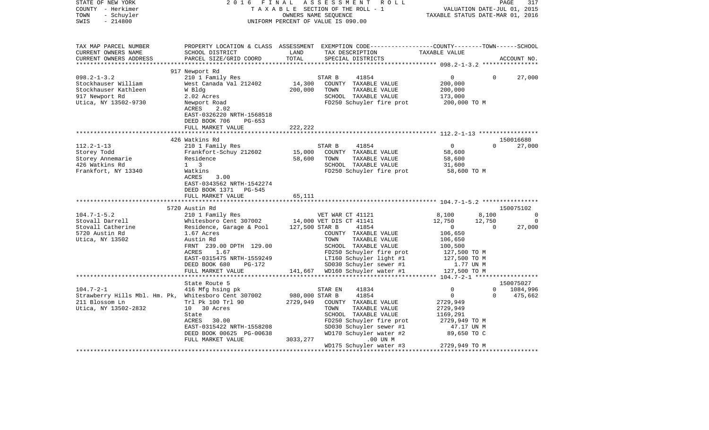| STATE OF NEW YORK<br>COUNTY - Herkimer<br>- Schuyler<br>TOWN<br>$-214800$<br>SWIS | 2 0 1 6<br>FINAL                                   |                | ASSESSMENT<br>R O L L<br>TAXABLE SECTION OF THE ROLL - 1<br>OWNERS NAME SEQUENCE<br>UNIFORM PERCENT OF VALUE IS 090.00                  | VALUATION DATE-JUL 01, 2015<br>TAXABLE STATUS DATE-MAR 01, 2016 | PAGE               | 317                     |
|-----------------------------------------------------------------------------------|----------------------------------------------------|----------------|-----------------------------------------------------------------------------------------------------------------------------------------|-----------------------------------------------------------------|--------------------|-------------------------|
| TAX MAP PARCEL NUMBER<br>CURRENT OWNERS NAME<br>CURRENT OWNERS ADDRESS            | SCHOOL DISTRICT<br>PARCEL SIZE/GRID COORD          | LAND<br>TOTAL  | PROPERTY LOCATION & CLASS ASSESSMENT EXEMPTION CODE---------------COUNTY-------TOWN------SCHOOL<br>TAX DESCRIPTION<br>SPECIAL DISTRICTS | TAXABLE VALUE                                                   |                    | ACCOUNT NO.             |
|                                                                                   | 917 Newport Rd                                     |                |                                                                                                                                         |                                                                 |                    |                         |
| $098.2 - 1 - 3.2$                                                                 | 210 1 Family Res                                   |                | STAR B<br>41854                                                                                                                         | 0                                                               | $\Omega$           | 27,000                  |
| Stockhauser William                                                               | West Canada Val 212402                             | 14,300         | COUNTY TAXABLE VALUE                                                                                                                    | 200,000                                                         |                    |                         |
| Stockhauser Kathleen                                                              | W Bldg                                             | 200,000        | TOWN<br>TAXABLE VALUE                                                                                                                   | 200,000                                                         |                    |                         |
| 917 Newport Rd                                                                    | 2.02 Acres                                         |                | SCHOOL TAXABLE VALUE                                                                                                                    | 173,000                                                         |                    |                         |
| Utica, NY 13502-9730                                                              | Newport Road                                       |                | FD250 Schuyler fire prot                                                                                                                | 200,000 TO M                                                    |                    |                         |
|                                                                                   | ACRES<br>2.02<br>EAST-0326220 NRTH-1568518         |                |                                                                                                                                         |                                                                 |                    |                         |
|                                                                                   | DEED BOOK 706<br>$PG-653$                          |                |                                                                                                                                         |                                                                 |                    |                         |
|                                                                                   | FULL MARKET VALUE                                  | 222,222        |                                                                                                                                         |                                                                 |                    |                         |
|                                                                                   |                                                    |                |                                                                                                                                         |                                                                 |                    |                         |
|                                                                                   | 426 Watkins Rd                                     |                |                                                                                                                                         |                                                                 |                    | 150016680               |
| $112.2 - 1 - 13$                                                                  | 210 1 Family Res                                   |                | 41854<br>STAR B                                                                                                                         | $\overline{0}$                                                  | $\Omega$           | 27,000                  |
| Storey Todd                                                                       | Frankfort-Schuy 212602                             | 15,000         | COUNTY TAXABLE VALUE                                                                                                                    | 58,600                                                          |                    |                         |
| Storey Annemarie                                                                  | Residence                                          | 58,600         | TAXABLE VALUE<br>TOWN                                                                                                                   | 58,600                                                          |                    |                         |
| 426 Watkins Rd                                                                    | $1 \quad 3$                                        |                | SCHOOL TAXABLE VALUE                                                                                                                    | 31,600                                                          |                    |                         |
| Frankfort, NY 13340                                                               | Watkins                                            |                | FD250 Schuyler fire prot                                                                                                                | 58,600 TO M                                                     |                    |                         |
|                                                                                   | ACRES<br>3.00                                      |                |                                                                                                                                         |                                                                 |                    |                         |
|                                                                                   | EAST-0343562 NRTH-1542274                          |                |                                                                                                                                         |                                                                 |                    |                         |
|                                                                                   | DEED BOOK 1371<br>PG-545                           |                |                                                                                                                                         |                                                                 |                    |                         |
|                                                                                   | FULL MARKET VALUE                                  | 65,111         |                                                                                                                                         |                                                                 |                    |                         |
|                                                                                   |                                                    |                |                                                                                                                                         |                                                                 |                    |                         |
|                                                                                   | 5720 Austin Rd                                     |                |                                                                                                                                         |                                                                 |                    | 150075102               |
| $104.7 - 1 - 5.2$<br>Stovall Darrell                                              | 210 1 Family Res                                   |                | VET WAR CT 41121                                                                                                                        | 8,100                                                           | 8,100              | $\Omega$<br>$\mathbf 0$ |
| Stovall Catherine                                                                 | Whitesboro Cent 307002<br>Residence, Garage & Pool | 127,500 STAR B | 14,000 VET DIS CT 41141<br>41854                                                                                                        | 12,750<br>$\overline{0}$                                        | 12,750<br>$\Omega$ | 27,000                  |
| 5720 Austin Rd                                                                    | 1.67 Acres                                         |                | COUNTY TAXABLE VALUE                                                                                                                    | 106,650                                                         |                    |                         |
| Utica, NY 13502                                                                   | Austin Rd                                          |                | TOWN<br>TAXABLE VALUE                                                                                                                   | 106,650                                                         |                    |                         |
|                                                                                   | FRNT 239.00 DPTH 129.00                            |                | SCHOOL TAXABLE VALUE                                                                                                                    | 100,500                                                         |                    |                         |
|                                                                                   | ACRES<br>1.67                                      |                | FD250 Schuyler fire prot                                                                                                                | 127,500 TO M                                                    |                    |                         |
|                                                                                   | EAST-0315475 NRTH-1559249                          |                | LT160 Schuyler light #1                                                                                                                 | 127,500 TO M                                                    |                    |                         |
|                                                                                   | DEED BOOK 680<br>PG-172                            |                | SD030 Schuyler sewer #1                                                                                                                 | 1.77 UN M                                                       |                    |                         |
|                                                                                   | FULL MARKET VALUE                                  |                | 141,667 WD160 Schuyler water #1                                                                                                         | 127,500 TO M                                                    |                    |                         |
|                                                                                   | *************************************              |                |                                                                                                                                         |                                                                 |                    |                         |
|                                                                                   | State Route 5                                      |                |                                                                                                                                         |                                                                 |                    | 150075027               |
| $104.7 - 2 - 1$                                                                   | 416 Mfg hsing pk                                   |                | STAR EN<br>41834                                                                                                                        | $\mathbf 0$                                                     | $\Omega$           | 1084,996                |
| Strawberry Hills Mbl. Hm. Pk, Whitesboro Cent 307002                              |                                                    | 980,000 STAR B | 41854                                                                                                                                   | $\overline{0}$                                                  | $\Omega$           | 475,662                 |
| 211 Blossom Ln                                                                    | Trl Pk 100 Trl 90                                  | 2729,949       | COUNTY TAXABLE VALUE                                                                                                                    | 2729,949                                                        |                    |                         |
| Utica, NY 13502-2832                                                              | 10 30 Acres                                        |                | TAXABLE VALUE<br>TOWN                                                                                                                   | 2729,949                                                        |                    |                         |
|                                                                                   | State                                              |                | SCHOOL TAXABLE VALUE                                                                                                                    | 1169,291                                                        |                    |                         |
|                                                                                   | ACRES<br>30.00                                     |                | FD250 Schuyler fire prot                                                                                                                | 2729,949 TO M                                                   |                    |                         |
|                                                                                   | EAST-0315422 NRTH-1558208                          |                | SD030 Schuyler sewer #1                                                                                                                 | 47.17 UN M                                                      |                    |                         |
|                                                                                   | DEED BOOK 00625 PG-00638<br>FULL MARKET VALUE      | 3033,277       | WD170 Schuyler water #2<br>$.00$ UN $M$                                                                                                 | 89,650 TO C                                                     |                    |                         |
|                                                                                   |                                                    |                | WD175 Schuyler water #3                                                                                                                 | 2729,949 TO M                                                   |                    |                         |
|                                                                                   |                                                    |                | *****************                                                                                                                       |                                                                 |                    |                         |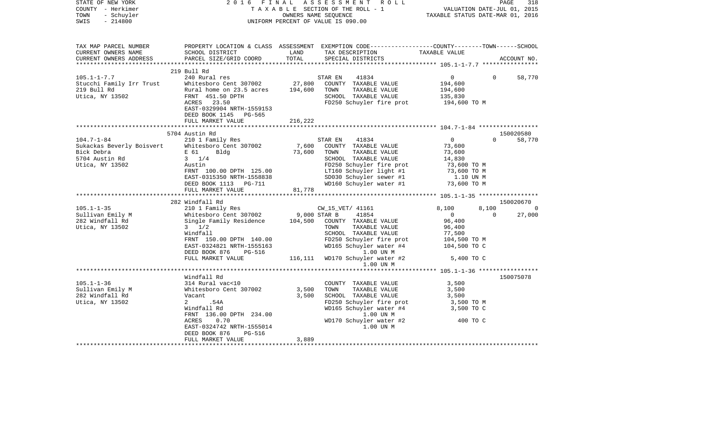| STATE OF NEW YORK<br>COUNTY - Herkimer<br>TOWN<br>- Schuyler<br>$-214800$<br>SWIS                                                                                                                                              |                                                                                                           |         | $\begin{tabular}{lllllllllllllllllllll} \hline 2&0&1&6&F\text{I}\text{N}\text{A}\text{L}&\text{A}\text{S}\text{S}\text{E}\text{S}\text{S}\text{M}\text{E}\text{N}\text{T}&\text{R}\text{O}\text{L}\text{L} &\text{PAGE} &318\\ &T\text{A}\text{X}\text{A}\text{B}\text{L}\text{E}&\text{SECTION OF THE ROLL}-1 &\text{VALUATION DATE-JUL} &01,\text{ 2015}\\ & \text{OWNERS NAME SEQUENCE} &\text{TXABLE STATUS DATE-MAR} &01,\text{ 2016}\\ & \text$ |                                  |                          |
|--------------------------------------------------------------------------------------------------------------------------------------------------------------------------------------------------------------------------------|-----------------------------------------------------------------------------------------------------------|---------|-------------------------------------------------------------------------------------------------------------------------------------------------------------------------------------------------------------------------------------------------------------------------------------------------------------------------------------------------------------------------------------------------------------------------------------------------------|----------------------------------|--------------------------|
| TAX MAP PARCEL NUMBER<br>CURRENT OWNERS NAME<br>CURRENT OWNERS ADDRESS                                                                                                                                                         | SCHOOL DISTRICT<br>PARCEL SIZE/GRID COORD                                                                 |         | PROPERTY LOCATION & CLASS ASSESSMENT EXEMPTION CODE---------------COUNTY-------TOWN------SCHOOL<br>LAND TAX DESCRIPTION TAXABLE VALUE COORD TOTAL SPECIAL DISTRICTS                                                                                                                                                                                                                                                                                   |                                  | ACCOUNT NO.              |
|                                                                                                                                                                                                                                | 219 Bull Rd                                                                                               |         |                                                                                                                                                                                                                                                                                                                                                                                                                                                       |                                  |                          |
| $105.1 - 1 - 7.7$                                                                                                                                                                                                              | 240 Rural res                                                                                             |         | 41834<br>STAR EN                                                                                                                                                                                                                                                                                                                                                                                                                                      | $\overline{0}$                   | 58,770<br>$\overline{0}$ |
|                                                                                                                                                                                                                                | Whitesboro Cent 307002 27,800 COUNTY TAXABLE VALUE<br>Rural home on 23.5 acres 194,600 TOWN TAXABLE VALUE |         |                                                                                                                                                                                                                                                                                                                                                                                                                                                       | 194,600                          |                          |
| Stucchi Family Irr Trust<br>219 Bull Rd<br>Utica, NY 13502                                                                                                                                                                     |                                                                                                           |         |                                                                                                                                                                                                                                                                                                                                                                                                                                                       | 194,600<br>135,830               |                          |
|                                                                                                                                                                                                                                | FRNT 451.50 DPTH<br>$\mathbf{H}$<br>ACRES 23.50                                                           |         | SCHOOL TAXABLE VALUE<br>FD250 Schuyler fire prot 194,600 TO M                                                                                                                                                                                                                                                                                                                                                                                         |                                  |                          |
|                                                                                                                                                                                                                                | EAST-0329904 NRTH-1559153                                                                                 |         |                                                                                                                                                                                                                                                                                                                                                                                                                                                       |                                  |                          |
|                                                                                                                                                                                                                                | DEED BOOK 1145 PG-565                                                                                     |         |                                                                                                                                                                                                                                                                                                                                                                                                                                                       |                                  |                          |
|                                                                                                                                                                                                                                | FULL MARKET VALUE                                                                                         | 216,222 |                                                                                                                                                                                                                                                                                                                                                                                                                                                       |                                  |                          |
|                                                                                                                                                                                                                                |                                                                                                           |         |                                                                                                                                                                                                                                                                                                                                                                                                                                                       |                                  |                          |
|                                                                                                                                                                                                                                | 5704 Austin Rd                                                                                            |         |                                                                                                                                                                                                                                                                                                                                                                                                                                                       |                                  | 150020580                |
| $104.7 - 1 - 84$                                                                                                                                                                                                               | 210 1 Family Res                                                                                          |         | STAR EN<br>41834                                                                                                                                                                                                                                                                                                                                                                                                                                      | $\overline{0}$                   | $\Omega$<br>58,770       |
|                                                                                                                                                                                                                                |                                                                                                           |         |                                                                                                                                                                                                                                                                                                                                                                                                                                                       | 73,600                           |                          |
| Example of the structure of the structure of the structure of the structure of the structure of the structure of the structure of the structure of the structure of the structure of the structure of the structure of the str |                                                                                                           |         |                                                                                                                                                                                                                                                                                                                                                                                                                                                       |                                  |                          |
|                                                                                                                                                                                                                                |                                                                                                           |         |                                                                                                                                                                                                                                                                                                                                                                                                                                                       |                                  |                          |
|                                                                                                                                                                                                                                |                                                                                                           |         |                                                                                                                                                                                                                                                                                                                                                                                                                                                       |                                  |                          |
|                                                                                                                                                                                                                                |                                                                                                           |         |                                                                                                                                                                                                                                                                                                                                                                                                                                                       |                                  |                          |
|                                                                                                                                                                                                                                |                                                                                                           |         | Fig. 500 CHE 307002<br>Fig. 51 Bldg 73,600 TOWN TAXABLE VALUE<br>TOWN TAXABLE VALUE<br>TOWN TAXABLE VALUE<br>SCHOOL TAXABLE VALUE<br>TOP SCHOOL TAXABLE VALUE<br>FRNT 100.00 DPTH 125.00<br>FRNT 100.00 DPTH 125.00<br>FRNT 100.00 DPTH 125.00                                                                                                                                                                                                        |                                  |                          |
|                                                                                                                                                                                                                                | FULL MARKET VALUE                                                                                         | 81,778  |                                                                                                                                                                                                                                                                                                                                                                                                                                                       |                                  |                          |
|                                                                                                                                                                                                                                |                                                                                                           |         |                                                                                                                                                                                                                                                                                                                                                                                                                                                       |                                  |                          |
|                                                                                                                                                                                                                                | 282 Windfall Rd                                                                                           |         |                                                                                                                                                                                                                                                                                                                                                                                                                                                       |                                  | 150020670                |
| 105.1-1-35<br>202 Windiali Rd<br>210 1 Family Res<br>202 Windial Rd<br>282 Windfall Rd<br>282 Windfall Rd<br>282 Windfall Rd<br>282 Windfall Rd<br>282 Windfall Rd<br>282 Windfall Rd<br>282 Windfall Rd                       |                                                                                                           |         |                                                                                                                                                                                                                                                                                                                                                                                                                                                       | 8,100<br>8,100                   |                          |
|                                                                                                                                                                                                                                |                                                                                                           |         |                                                                                                                                                                                                                                                                                                                                                                                                                                                       | $\overline{0}$<br>$\overline{0}$ | 27,000                   |
|                                                                                                                                                                                                                                |                                                                                                           |         |                                                                                                                                                                                                                                                                                                                                                                                                                                                       | 96,400                           |                          |
| Utica, NY 13502                                                                                                                                                                                                                | $3 \frac{1}{2}$                                                                                           |         | TOWN TAXABLE VALUE                                                                                                                                                                                                                                                                                                                                                                                                                                    | 96,400                           |                          |
|                                                                                                                                                                                                                                | Windfall                                                                                                  |         | SCHOOL TAXABLE VALUE                                                                                                                                                                                                                                                                                                                                                                                                                                  | 77,500<br>104,500 TO M           |                          |
|                                                                                                                                                                                                                                |                                                                                                           |         |                                                                                                                                                                                                                                                                                                                                                                                                                                                       |                                  |                          |
|                                                                                                                                                                                                                                |                                                                                                           |         |                                                                                                                                                                                                                                                                                                                                                                                                                                                       | 104,500 TO C                     |                          |
|                                                                                                                                                                                                                                |                                                                                                           |         | FRNT 150.00 DPTH 140.00<br>EAST-0324821 NRTH-1555163<br>DEED BOOK 876 PG-516<br>FULL MARKET VALUE 116,111 WD170 Schuyler water #2                                                                                                                                                                                                                                                                                                                     | 5,400 TO C                       |                          |
|                                                                                                                                                                                                                                |                                                                                                           |         | 1.00 UN M                                                                                                                                                                                                                                                                                                                                                                                                                                             |                                  |                          |
|                                                                                                                                                                                                                                |                                                                                                           |         |                                                                                                                                                                                                                                                                                                                                                                                                                                                       |                                  |                          |
|                                                                                                                                                                                                                                | Windfall Rd                                                                                               |         |                                                                                                                                                                                                                                                                                                                                                                                                                                                       |                                  | 150075078                |
| $105.1 - 1 - 36$                                                                                                                                                                                                               | 314 Rural vac<10                                                                                          |         | COUNTY TAXABLE VALUE                                                                                                                                                                                                                                                                                                                                                                                                                                  |                                  |                          |
|                                                                                                                                                                                                                                |                                                                                                           |         | TAXABLE VALUE 3,500<br>TAXABLE VALUE 3,500<br>TOWN                                                                                                                                                                                                                                                                                                                                                                                                    |                                  |                          |
| Sullivan Emily M<br>Sullivan Emily M<br>282 Windfall Rd<br>282 Windfall Rd<br>282 Windfall Rd<br>282 Windfall Rd<br>282 Windfall Rd<br>282 Windfall Rd<br>282 Windfall Rd                                                      |                                                                                                           |         | SCHOOL TAXABLE VALUE                                                                                                                                                                                                                                                                                                                                                                                                                                  | 3,500                            |                          |
| Utica, NY 13502                                                                                                                                                                                                                | 2 .54A                                                                                                    |         | FD250 Schuyler fire prot<br>WD165 Schuyler water #4 3,500 TO M<br>3,500 TO M                                                                                                                                                                                                                                                                                                                                                                          |                                  |                          |
|                                                                                                                                                                                                                                | FRNT 136.00 DPTH 234.00<br>ACRES 0.70<br>EAST-0324742 NRTH-1555014<br>DEED BOOK 876 PG-516                |         |                                                                                                                                                                                                                                                                                                                                                                                                                                                       |                                  |                          |
|                                                                                                                                                                                                                                |                                                                                                           |         | 1.00 UN M                                                                                                                                                                                                                                                                                                                                                                                                                                             |                                  |                          |
|                                                                                                                                                                                                                                |                                                                                                           |         | WD170 Schuyler water #2                                                                                                                                                                                                                                                                                                                                                                                                                               | 400 TO C                         |                          |
|                                                                                                                                                                                                                                |                                                                                                           |         | 1.00 UN M                                                                                                                                                                                                                                                                                                                                                                                                                                             |                                  |                          |
|                                                                                                                                                                                                                                | FULL MARKET VALUE                                                                                         | 3,889   |                                                                                                                                                                                                                                                                                                                                                                                                                                                       |                                  |                          |
|                                                                                                                                                                                                                                |                                                                                                           |         |                                                                                                                                                                                                                                                                                                                                                                                                                                                       |                                  |                          |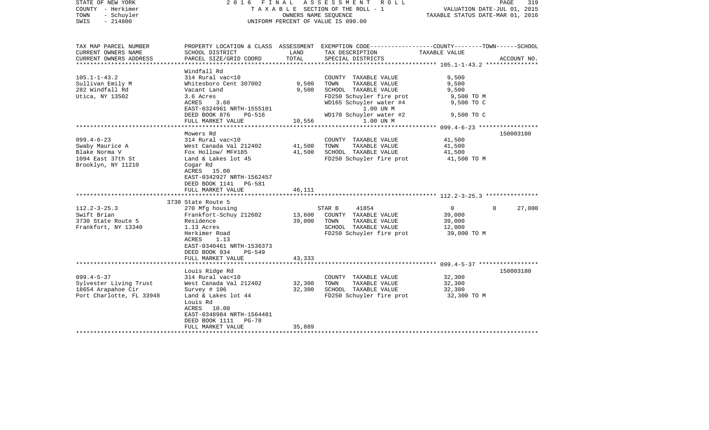| STATE OF NEW YORK<br>COUNTY - Herkimer<br>- Schuyler<br>TOWN<br>$-214800$<br>SWIS               |                                                                                                                                                                                                            |                            | 2016 FINAL ASSESSMENT ROLL<br>T A X A B L E SECTION OF THE ROLL - 1<br>OWNERS NAME SEOUENCE<br>UNIFORM PERCENT OF VALUE IS 090.00                                    | VALUATION DATE-JUL 01, 2015<br>TAXABLE STATUS DATE-MAR 01, 2016         | PAGE<br>319 |
|-------------------------------------------------------------------------------------------------|------------------------------------------------------------------------------------------------------------------------------------------------------------------------------------------------------------|----------------------------|----------------------------------------------------------------------------------------------------------------------------------------------------------------------|-------------------------------------------------------------------------|-------------|
| TAX MAP PARCEL NUMBER<br>CURRENT OWNERS NAME<br>CURRENT OWNERS ADDRESS                          | SCHOOL DISTRICT<br>PARCEL SIZE/GRID COORD                                                                                                                                                                  | LAND<br>TOTAL              | PROPERTY LOCATION & CLASS ASSESSMENT EXEMPTION CODE----------------COUNTY-------TOWN------SCHOOL<br>TAX DESCRIPTION<br>SPECIAL DISTRICTS                             | TAXABLE VALUE                                                           | ACCOUNT NO. |
| ******************                                                                              |                                                                                                                                                                                                            |                            |                                                                                                                                                                      | ************************* 105.1-1-43.2 ****************                 |             |
| $105.1 - 1 - 43.2$<br>Sullivan Emily M<br>282 Windfall Rd<br>Utica, NY 13502                    | Windfall Rd<br>314 Rural vac<10<br>Whitesboro Cent 307002<br>Vacant Land<br>3.6 Acres<br>ACRES<br>3.60<br>EAST-0324961 NRTH-1555101<br>DEED BOOK 876<br>PG-516                                             | 9,500<br>9,500             | COUNTY TAXABLE VALUE<br>TOWN<br>TAXABLE VALUE<br>SCHOOL TAXABLE VALUE<br>FD250 Schuyler fire prot<br>WD165 Schuyler water #4<br>1.00 UN M<br>WD170 Schuyler water #2 | 9,500<br>9,500<br>9,500<br>9,500 TO M<br>9,500 TO C<br>9,500 TO C       |             |
|                                                                                                 | FULL MARKET VALUE                                                                                                                                                                                          | 10,556                     | 1.00 UN M                                                                                                                                                            |                                                                         |             |
| $099.4 - 6 - 23$<br>Swaby Maurice A<br>Blake Norma V<br>1094 East 37th St<br>Brooklyn, NY 11210 | Mowers Rd<br>314 Rural vac<10<br>West Canada Val 212402<br>Fox Hollow/ MF#185<br>Land & Lakes lot 45<br>Cogar Rd<br>ACRES 15.00<br>EAST-0342927 NRTH-1562457<br>DEED BOOK 1141 PG-581<br>FULL MARKET VALUE | 41,500<br>41,500<br>46,111 | COUNTY TAXABLE VALUE<br>TOWN<br>TAXABLE VALUE<br>SCHOOL TAXABLE VALUE<br>FD250 Schuyler fire prot                                                                    | 41,500<br>41,500<br>41,500<br>41,500 TO M                               | 150003180   |
|                                                                                                 |                                                                                                                                                                                                            |                            |                                                                                                                                                                      |                                                                         |             |
| $112.2 - 3 - 25.3$<br>Swift Brian<br>3730 State Route 5<br>Frankfort, NY 13340                  | 3730 State Route 5<br>270 Mfg housing<br>Frankfort-Schuy 212602<br>Residence<br>1.13 Acres<br>Herkimer Road<br>1.13<br>ACRES<br>EAST-0340461 NRTH-1536373<br>DEED BOOK 934<br>$PG-549$                     | 13,600<br>39,000           | 41854<br>STAR B<br>COUNTY TAXABLE VALUE<br>TAXABLE VALUE<br>TOWN<br>SCHOOL TAXABLE VALUE<br>FD250 Schuyler fire prot                                                 | $\overline{0}$<br>$\Omega$<br>39,000<br>39,000<br>12,000<br>39,000 TO M | 27,000      |
|                                                                                                 | FULL MARKET VALUE                                                                                                                                                                                          | 43,333                     |                                                                                                                                                                      |                                                                         |             |
| $099.4 - 5 - 37$<br>Sylvester Living Trust<br>18654 Arapahoe Cir<br>Port Charlotte, FL 33948    | Louis Ridge Rd<br>314 Rural vac<10<br>West Canada Val 212402<br>Survey $\#$ 106<br>Land & Lakes lot 44<br>Louis Rd<br>ACRES 10.00<br>EAST-0348984 NRTH-1564481<br>DEED BOOK 1111<br>PG-78                  | 32,300<br>32,300           | COUNTY TAXABLE VALUE<br>TAXABLE VALUE<br>TOWN<br>SCHOOL TAXABLE VALUE<br>FD250 Schuyler fire prot                                                                    | 32,300<br>32,300<br>32,300<br>32,300 TO M                               | 150003180   |
|                                                                                                 | FULL MARKET VALUE                                                                                                                                                                                          | 35,889                     |                                                                                                                                                                      |                                                                         |             |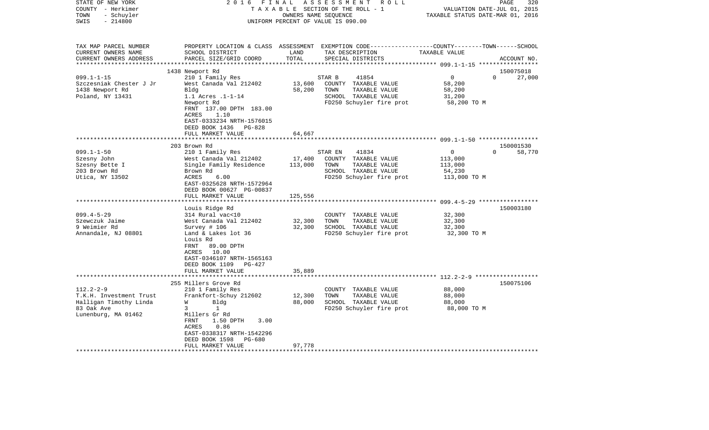| STATE OF NEW YORK<br>COUNTY - Herkimer<br>TOWN<br>- Schuyler<br>$-214800$<br>SWIS                         | 2 0 1 6                                                                                                                                                                                                                           | FINAL<br>OWNERS NAME SEQUENCE | ASSESSMENT ROLL<br>TAXABLE SECTION OF THE ROLL - 1<br>UNIFORM PERCENT OF VALUE IS 090.00                                                 | TAXABLE STATUS DATE-MAR 01, 2016                      | 320<br>PAGE<br>VALUATION DATE-JUL 01, 2015 |
|-----------------------------------------------------------------------------------------------------------|-----------------------------------------------------------------------------------------------------------------------------------------------------------------------------------------------------------------------------------|-------------------------------|------------------------------------------------------------------------------------------------------------------------------------------|-------------------------------------------------------|--------------------------------------------|
| TAX MAP PARCEL NUMBER<br>CURRENT OWNERS NAME<br>CURRENT OWNERS ADDRESS                                    | SCHOOL DISTRICT<br>PARCEL SIZE/GRID COORD                                                                                                                                                                                         | LAND<br>TOTAL                 | PROPERTY LOCATION & CLASS ASSESSMENT EXEMPTION CODE----------------COUNTY-------TOWN------SCHOOL<br>TAX DESCRIPTION<br>SPECIAL DISTRICTS | TAXABLE VALUE                                         | ACCOUNT NO.                                |
|                                                                                                           | 1438 Newport Rd                                                                                                                                                                                                                   |                               |                                                                                                                                          |                                                       | 150075018                                  |
| $099.1 - 1 - 15$<br>Szczesniak Chester J Jr<br>1438 Newport Rd<br>Poland, NY 13431                        | 210 1 Family Res<br>West Canada Val 212402<br>Bldg<br>1.1 Acres .1-1-14<br>Newport Rd<br>FRNT 137.00 DPTH 183.00<br>1.10<br>ACRES<br>EAST-0333234 NRTH-1576015<br>DEED BOOK 1436<br>PG-828                                        | 13,600<br>58,200              | STAR B<br>41854<br>COUNTY TAXABLE VALUE<br>TAXABLE VALUE<br>TOWN<br>SCHOOL TAXABLE VALUE<br>FD250 Schuyler fire prot                     | $\Omega$<br>58,200<br>58,200<br>31,200<br>58,200 TO M | $\Omega$<br>27,000                         |
|                                                                                                           | FULL MARKET VALUE                                                                                                                                                                                                                 | 64,667                        |                                                                                                                                          |                                                       |                                            |
|                                                                                                           | *************************                                                                                                                                                                                                         |                               |                                                                                                                                          |                                                       |                                            |
| $099.1 - 1 - 50$<br>Szesny John<br>Szesny Bette I<br>203 Brown Rd<br>Utica, NY 13502                      | 203 Brown Rd<br>210 1 Family Res<br>West Canada Val 212402<br>Single Family Residence<br>Brown Rd<br><b>ACRES</b><br>6.00<br>EAST-0325628 NRTH-1572964<br>DEED BOOK 00627 PG-00837<br>FULL MARKET VALUE<br>********************** | 17,400<br>113,000<br>125,556  | STAR EN<br>41834<br>COUNTY TAXABLE VALUE<br>TOWN<br>TAXABLE VALUE<br>SCHOOL TAXABLE VALUE<br>FD250 Schuyler fire prot                    | 0<br>113,000<br>113,000<br>54,230<br>113,000 TO M     | 150001530<br>$\Omega$<br>58,770            |
|                                                                                                           | Louis Ridge Rd                                                                                                                                                                                                                    |                               |                                                                                                                                          |                                                       | 150003180                                  |
| $099.4 - 5 - 29$<br>Szewczuk Jaime<br>9 Weimier Rd<br>Annandale, NJ 08801                                 | 314 Rural vac<10<br>West Canada Val 212402<br>Survey # 106<br>Land & Lakes lot 36<br>Louis Rd<br>FRNT<br>89.00 DPTH<br>10.00<br>ACRES<br>EAST-0346107 NRTH-1565163<br>DEED BOOK 1109<br>PG-427                                    | 32,300<br>32,300              | COUNTY TAXABLE VALUE<br>TOWN<br>TAXABLE VALUE<br>SCHOOL TAXABLE VALUE<br>FD250 Schuyler fire prot                                        | 32,300<br>32,300<br>32,300<br>32,300 TO M             |                                            |
|                                                                                                           | FULL MARKET VALUE                                                                                                                                                                                                                 | 35,889                        |                                                                                                                                          |                                                       |                                            |
|                                                                                                           | 255 Millers Grove Rd                                                                                                                                                                                                              |                               |                                                                                                                                          |                                                       | 150075106                                  |
| $112.2 - 2 - 9$<br>T.K.H. Investment Trust<br>Halligan Timothy Linda<br>83 Oak Ave<br>Lunenburg, MA 01462 | 210 1 Family Res<br>Frankfort-Schuy 212602<br>Bldg<br>W<br>3<br>1<br>Millers Gr Rd<br>FRNT<br>1.50 DPTH<br>3.00<br>ACRES<br>0.86<br>EAST-0338317 NRTH-1542296<br>DEED BOOK 1598<br>PG-680                                         | 12,300<br>88,000              | COUNTY TAXABLE VALUE<br>TOWN<br>TAXABLE VALUE<br>SCHOOL TAXABLE VALUE<br>FD250 Schuyler fire prot                                        | 88,000<br>88,000<br>88,000<br>88,000 TO M             |                                            |
|                                                                                                           | FULL MARKET VALUE                                                                                                                                                                                                                 | 97,778                        |                                                                                                                                          |                                                       |                                            |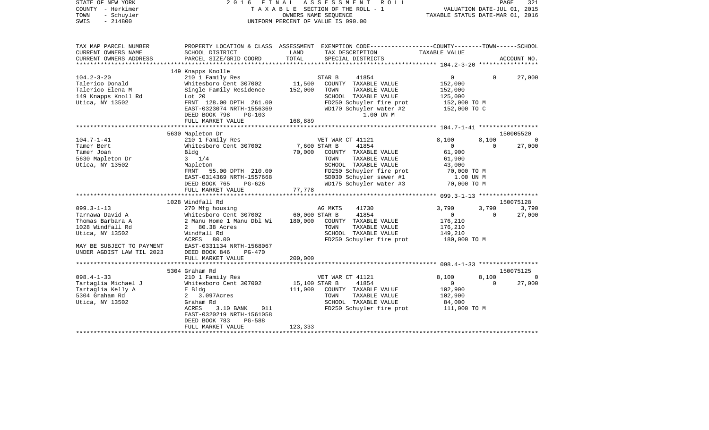| STATE OF NEW YORK<br>COUNTY - Herkimer<br>TOWN<br>- Schuyler<br>$-214800$<br>SWIS | 2 0 1 6                                             |               | FINAL ASSESSMENT ROLL<br>TAXABLE SECTION OF THE ROLL - 1<br>OWNERS NAME SEOUENCE<br>UNIFORM PERCENT OF VALUE IS 090.00 | VALUATION DATE-JUL 01, 2015<br>TAXABLE STATUS DATE-MAR 01, 2016 |             | PAGE<br>321 |
|-----------------------------------------------------------------------------------|-----------------------------------------------------|---------------|------------------------------------------------------------------------------------------------------------------------|-----------------------------------------------------------------|-------------|-------------|
| TAX MAP PARCEL NUMBER                                                             |                                                     |               | PROPERTY LOCATION & CLASS ASSESSMENT EXEMPTION CODE---------------COUNTY-------TOWN------SCHOOL                        |                                                                 |             |             |
| CURRENT OWNERS NAME                                                               | SCHOOL DISTRICT                                     | LAND          | TAX DESCRIPTION                                                                                                        | TAXABLE VALUE                                                   |             |             |
| CURRENT OWNERS ADDRESS                                                            | PARCEL SIZE/GRID COORD                              | TOTAL         | SPECIAL DISTRICTS                                                                                                      |                                                                 |             | ACCOUNT NO. |
|                                                                                   |                                                     |               |                                                                                                                        |                                                                 |             |             |
| $104.2 - 3 - 20$                                                                  | 149 Knapps Knolle<br>210 1 Family Res               |               | STAR B<br>41854                                                                                                        | $\overline{0}$                                                  | $\Omega$    | 27,000      |
| Talerico Donald                                                                   | Whitesboro Cent 307002                              | 11,500        | COUNTY TAXABLE VALUE                                                                                                   | 152,000                                                         |             |             |
| Talerico Elena M                                                                  | Single Family Residence                             | 152,000       | TOWN<br>TAXABLE VALUE                                                                                                  | 152,000                                                         |             |             |
| 149 Knapps Knoll Rd                                                               | Lot $20$                                            |               | SCHOOL TAXABLE VALUE                                                                                                   | 125,000                                                         |             |             |
| Utica, NY 13502                                                                   | FRNT 128.00 DPTH 261.00                             |               | FD250 Schuyler fire prot                                                                                               | 152,000 TO M                                                    |             |             |
|                                                                                   | EAST-0323074 NRTH-1556369                           |               | WD170 Schuyler water #2                                                                                                | 152,000 TO C                                                    |             |             |
|                                                                                   | DEED BOOK 798<br>PG-103                             |               | 1.00 UN M                                                                                                              |                                                                 |             |             |
|                                                                                   | FULL MARKET VALUE                                   | 168,889       |                                                                                                                        |                                                                 |             |             |
|                                                                                   |                                                     |               |                                                                                                                        |                                                                 |             |             |
|                                                                                   | 5630 Mapleton Dr                                    |               |                                                                                                                        |                                                                 |             | 150005520   |
| $104.7 - 1 - 41$                                                                  | 210 1 Family Res                                    |               | VET WAR CT 41121                                                                                                       | 8,100                                                           | 8,100       | $\Omega$    |
| Tamer Bert                                                                        | Whitesboro Cent 307002                              | 7,600 STAR B  | 41854                                                                                                                  | $\overline{0}$                                                  | $\mathbf 0$ | 27,000      |
| Tamer Joan                                                                        | Bldg                                                | 70,000        | COUNTY TAXABLE VALUE                                                                                                   | 61,900                                                          |             |             |
| 5630 Mapleton Dr                                                                  | $3 \t1/4$                                           |               | TOWN<br>TAXABLE VALUE                                                                                                  | 61,900                                                          |             |             |
| Utica, NY 13502                                                                   | Mapleton                                            |               | SCHOOL TAXABLE VALUE                                                                                                   | 43,000                                                          |             |             |
|                                                                                   | FRNT 55.00 DPTH 210.00<br>EAST-0314369 NRTH-1557668 |               | FD250 Schuyler fire prot<br>SD030 Schuyler sewer #1                                                                    | 70,000 TO M                                                     |             |             |
|                                                                                   | DEED BOOK 765<br>PG-626                             |               | WD175 Schuyler water #3                                                                                                | 1.00 UN M<br>70,000 TO M                                        |             |             |
|                                                                                   | FULL MARKET VALUE                                   | 77,778        |                                                                                                                        |                                                                 |             |             |
|                                                                                   | ********************************                    |               |                                                                                                                        |                                                                 |             |             |
|                                                                                   | 1028 Windfall Rd                                    |               |                                                                                                                        |                                                                 |             | 150075128   |
| $099.3 - 1 - 13$                                                                  | 270 Mfg housing                                     |               | AG MKTS<br>41730                                                                                                       | 3,790                                                           | 3,790       | 3,790       |
| Tarnawa David A                                                                   | Whitesboro Cent 307002                              | 60,000 STAR B | 41854                                                                                                                  | $\mathbf{0}$                                                    | $\Omega$    | 27,000      |
| Thomas Barbara A                                                                  | 2 Manu Home 1 Manu Dbl Wi                           | 180,000       | COUNTY TAXABLE VALUE                                                                                                   | 176,210                                                         |             |             |
| 1028 Windfall Rd                                                                  | 2 80.38 Acres                                       |               | TOWN<br>TAXABLE VALUE                                                                                                  | 176,210                                                         |             |             |
| Utica, NY 13502                                                                   | Windfall Rd                                         |               | SCHOOL TAXABLE VALUE                                                                                                   | 149,210                                                         |             |             |
|                                                                                   | ACRES<br>80.00                                      |               | FD250 Schuyler fire prot                                                                                               | 180,000 TO M                                                    |             |             |
| MAY BE SUBJECT TO PAYMENT                                                         | EAST-0331134 NRTH-1568067                           |               |                                                                                                                        |                                                                 |             |             |
| UNDER AGDIST LAW TIL 2023                                                         | DEED BOOK 846<br>$PG-470$                           |               |                                                                                                                        |                                                                 |             |             |
|                                                                                   | FULL MARKET VALUE                                   | 200,000       |                                                                                                                        |                                                                 |             |             |
|                                                                                   |                                                     |               |                                                                                                                        |                                                                 |             | 150075125   |
| $098.4 - 1 - 33$                                                                  | 5304 Graham Rd<br>210 1 Family Res                  |               | VET WAR CT 41121                                                                                                       | 8,100                                                           | 8,100       | $\Omega$    |
| Tartaglia Michael J                                                               | Whitesboro Cent 307002                              | 15,100 STAR B | 41854                                                                                                                  | $\mathbf{0}$                                                    | $\Omega$    | 27,000      |
| Tartaglia Kelly A                                                                 | E Bldg                                              | 111,000       | COUNTY TAXABLE VALUE                                                                                                   | 102,900                                                         |             |             |
| 5304 Graham Rd                                                                    | 2 3.097Acres                                        |               | TOWN<br>TAXABLE VALUE                                                                                                  | 102,900                                                         |             |             |
| Utica, NY 13502                                                                   | Graham Rd                                           |               | SCHOOL TAXABLE VALUE                                                                                                   | 84,000                                                          |             |             |
|                                                                                   | ACRES<br>3.10 BANK<br>011                           |               | FD250 Schuyler fire prot                                                                                               | 111,000 TO M                                                    |             |             |
|                                                                                   | EAST-0320219 NRTH-1561058                           |               |                                                                                                                        |                                                                 |             |             |
|                                                                                   | DEED BOOK 783<br>PG-588                             |               |                                                                                                                        |                                                                 |             |             |
|                                                                                   | FULL MARKET VALUE                                   | 123,333       |                                                                                                                        |                                                                 |             |             |
|                                                                                   |                                                     |               |                                                                                                                        |                                                                 |             |             |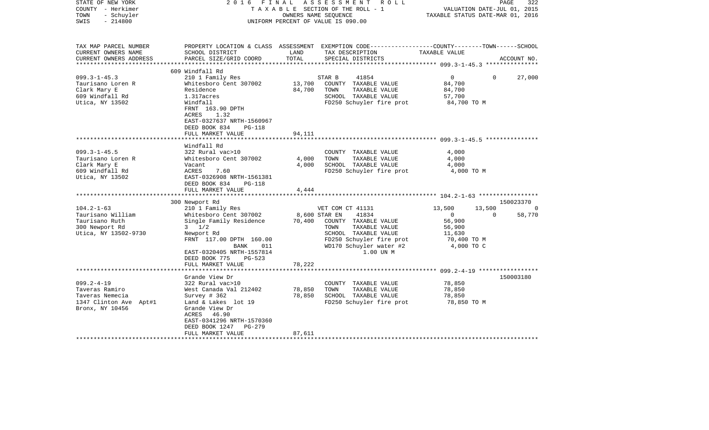| STATE OF NEW YORK<br>COUNTY - Herkimer<br>- Schuyler<br>TOWN<br>$-214800$<br>SWIS                  | 2016 FINAL                                                                                                                                                                                                             | OWNERS NAME SEQUENCE       | ASSESSMENT ROLL<br>T A X A B L E SECTION OF THE ROLL - 1<br>UNIFORM PERCENT OF VALUE IS 090.00                                                                      | VALUATION DATE-JUL 01, 2015<br>TAXABLE STATUS DATE-MAR 01, 2016                             | 322<br>PAGE        |
|----------------------------------------------------------------------------------------------------|------------------------------------------------------------------------------------------------------------------------------------------------------------------------------------------------------------------------|----------------------------|---------------------------------------------------------------------------------------------------------------------------------------------------------------------|---------------------------------------------------------------------------------------------|--------------------|
| TAX MAP PARCEL NUMBER<br>CURRENT OWNERS NAME<br>CURRENT OWNERS ADDRESS<br>***********************  | SCHOOL DISTRICT<br>PARCEL SIZE/GRID COORD                                                                                                                                                                              | LAND<br>TOTAL              | PROPERTY LOCATION & CLASS ASSESSMENT EXEMPTION CODE---------------COUNTY-------TOWN-----SCHOOL<br>TAX DESCRIPTION<br>SPECIAL DISTRICTS                              | TAXABLE VALUE                                                                               | ACCOUNT NO.        |
| $099.3 - 1 - 45.3$<br>Taurisano Loren R<br>Clark Mary E<br>609 Windfall Rd<br>Utica, NY 13502      | 609 Windfall Rd<br>210 1 Family Res<br>Whitesboro Cent 307002<br>Residence<br>1.317acres<br>Windfall<br>FRNT 163.90 DPTH<br>ACRES<br>1.32<br>EAST-0327637 NRTH-1560967<br>DEED BOOK 834<br>PG-118<br>FULL MARKET VALUE | 13,700<br>84,700<br>94,111 | 41854<br>STAR B<br>COUNTY TAXABLE VALUE<br>TOWN<br>TAXABLE VALUE<br>SCHOOL TAXABLE VALUE<br>FD250 Schuyler fire prot                                                | $\overline{0}$<br>84,700<br>84,700<br>57,700<br>84,700 TO M                                 | $\Omega$<br>27,000 |
|                                                                                                    |                                                                                                                                                                                                                        |                            |                                                                                                                                                                     |                                                                                             |                    |
| $099.3 - 1 - 45.5$<br>Taurisano Loren R<br>Clark Mary E<br>609 Windfall Rd<br>Utica, NY 13502      | Windfall Rd<br>322 Rural vac>10<br>Whitesboro Cent 307002<br>Vacant<br>ACRES<br>7.60<br>EAST-0326908 NRTH-1561381<br>DEED BOOK 834<br>PG-118<br>FULL MARKET VALUE                                                      | 4,000<br>4,000<br>4,444    | COUNTY TAXABLE VALUE<br>TOWN<br>TAXABLE VALUE<br>SCHOOL TAXABLE VALUE<br>FD250 Schuyler fire prot                                                                   | 4,000<br>4,000<br>4,000<br>4,000 TO M                                                       |                    |
|                                                                                                    |                                                                                                                                                                                                                        |                            |                                                                                                                                                                     |                                                                                             | 150023370          |
| $104.2 - 1 - 63$                                                                                   | 300 Newport Rd<br>210 1 Family Res                                                                                                                                                                                     |                            | VET COM CT 41131                                                                                                                                                    | 13,500<br>13,500                                                                            | 0                  |
| Taurisano William<br>Taurisano Ruth<br>300 Newport Rd<br>Utica, NY 13502-9730                      | Whitesboro Cent 307002<br>Single Family Residence<br>$3 \frac{1}{2}$<br>Newport Rd<br>FRNT 117.00 DPTH 160.00<br>BANK<br>011<br>EAST-0320405 NRTH-1557814<br>DEED BOOK 775<br><b>PG-523</b>                            | 70,400                     | 8,600 STAR EN<br>41834<br>COUNTY TAXABLE VALUE<br>TAXABLE VALUE<br>TOWN<br>SCHOOL TAXABLE VALUE<br>FD250 Schuyler fire prot<br>WD170 Schuyler water #2<br>1.00 UN M | $\overline{0}$<br>$\overline{0}$<br>56,900<br>56,900<br>11,630<br>70,400 TO M<br>4,000 TO C | 58,770             |
|                                                                                                    | FULL MARKET VALUE<br>***********************                                                                                                                                                                           | 78,222                     |                                                                                                                                                                     |                                                                                             |                    |
| $099.2 - 4 - 19$<br>Taveras Ramiro<br>Taveras Nemecia<br>1347 Clinton Ave Apt#1<br>Bronx, NY 10456 | Grande View Dr<br>322 Rural vac>10<br>West Canada Val 212402<br>Survey # 362<br>Land & Lakes lot 19<br>Grande View Dr<br>ACRES 46.90<br>EAST-0341296 NRTH-1570360                                                      | 78,850<br>78,850           | COUNTY TAXABLE VALUE<br>TOWN<br>TAXABLE VALUE<br>SCHOOL TAXABLE VALUE<br>FD250 Schuyler fire prot                                                                   | 78,850<br>78,850<br>78,850<br>78,850 TO M                                                   | 150003180          |
|                                                                                                    | DEED BOOK 1247 PG-279<br>FULL MARKET VALUE                                                                                                                                                                             | 87,611                     |                                                                                                                                                                     |                                                                                             |                    |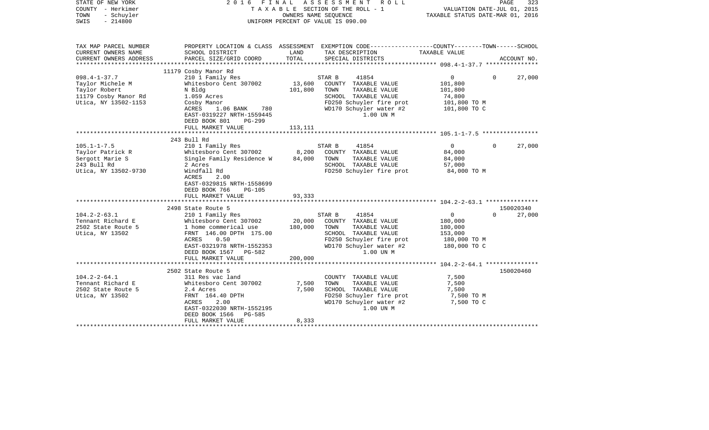| STATE OF NEW YORK<br>COUNTY - Herkimer<br>TOWN<br>- Schuyler<br>SWIS<br>$-214800$                       |                                                                                                                                                                                                                  |                              | 2016 FINAL ASSESSMENT<br>ROLL<br>TAXABLE SECTION OF THE ROLL - 1<br>OWNERS NAME SEOUENCE<br>UNIFORM PERCENT OF VALUE IS 090.00                               | VALUATION DATE-JUL 01, 2015<br>TAXABLE STATUS DATE-MAR 01, 2016                 | PAGE<br>323                     |
|---------------------------------------------------------------------------------------------------------|------------------------------------------------------------------------------------------------------------------------------------------------------------------------------------------------------------------|------------------------------|--------------------------------------------------------------------------------------------------------------------------------------------------------------|---------------------------------------------------------------------------------|---------------------------------|
| TAX MAP PARCEL NUMBER<br>CURRENT OWNERS NAME                                                            | SCHOOL DISTRICT                                                                                                                                                                                                  | LAND<br>TOTAL                | PROPERTY LOCATION & CLASS ASSESSMENT EXEMPTION CODE---------------COUNTY-------TOWN-----SCHOOL<br>TAX DESCRIPTION                                            | TAXABLE VALUE                                                                   |                                 |
| CURRENT OWNERS ADDRESS                                                                                  | PARCEL SIZE/GRID COORD                                                                                                                                                                                           |                              | SPECIAL DISTRICTS                                                                                                                                            |                                                                                 | ACCOUNT NO.                     |
| $098.4 - 1 - 37.7$<br>Taylor Michele M<br>Taylor Robert<br>11179 Cosby Manor Rd<br>Utica, NY 13502-1153 | 11179 Cosby Manor Rd<br>210 1 Family Res<br>Whitesboro Cent 307002<br>N Bldg<br>1.059 Acres<br>Cosby Manor<br>ACRES<br>1.06 BANK<br>780                                                                          | 13,600<br>101,800            | 41854<br>STAR B<br>COUNTY TAXABLE VALUE<br>TAXABLE VALUE<br>TOWN<br>SCHOOL TAXABLE VALUE<br>FD250 Schuyler fire prot<br>WD170 Schuyler water #2              | $\overline{0}$<br>101,800<br>101,800<br>74,800<br>101,800 TO M<br>101,800 TO C  | 27,000<br>0                     |
|                                                                                                         | EAST-0319227 NRTH-1559445<br>DEED BOOK 801<br>PG-299<br>FULL MARKET VALUE                                                                                                                                        | 113,111                      | 1.00 UN M                                                                                                                                                    |                                                                                 |                                 |
|                                                                                                         | 243 Bull Rd                                                                                                                                                                                                      |                              |                                                                                                                                                              |                                                                                 |                                 |
| $105.1 - 1 - 7.5$<br>Taylor Patrick R<br>Sergott Marie S<br>243 Bull Rd<br>Utica, NY 13502-9730         | 210 1 Family Res<br>Whitesboro Cent 307002<br>Single Family Residence W<br>2 Acres<br>Windfall Rd<br><b>ACRES</b><br>2.00<br>EAST-0329815 NRTH-1558699<br>DEED BOOK 766<br><b>PG-105</b><br>FULL MARKET VALUE    | 8,200<br>84,000<br>93,333    | STAR B<br>41854<br>COUNTY TAXABLE VALUE<br>TOWN<br>TAXABLE VALUE<br>SCHOOL TAXABLE VALUE<br>FD250 Schuyler fire prot                                         | $\overline{0}$<br>84,000<br>84,000<br>57,000<br>84,000 TO M                     | 27,000<br>$\Omega$              |
|                                                                                                         |                                                                                                                                                                                                                  |                              |                                                                                                                                                              |                                                                                 |                                 |
| $104.2 - 2 - 63.1$<br>Tennant Richard E<br>2502 State Route 5<br>Utica, NY 13502                        | 2498 State Route 5<br>210 1 Family Res<br>Whitesboro Cent 307002<br>1 home commerical use<br>FRNT 146.00 DPTH 175.00<br>0.50<br>ACRES<br>EAST-0321978 NRTH-1552353<br>DEED BOOK 1567 PG-582<br>FULL MARKET VALUE | 20,000<br>180,000<br>200,000 | 41854<br>STAR B<br>COUNTY TAXABLE VALUE<br>TOWN<br>TAXABLE VALUE<br>SCHOOL TAXABLE VALUE<br>FD250 Schuyler fire prot<br>WD170 Schuyler water #2<br>1.00 UN M | $\overline{0}$<br>180,000<br>180,000<br>153,000<br>180,000 TO M<br>180,000 TO C | 150020340<br>$\Omega$<br>27,000 |
|                                                                                                         |                                                                                                                                                                                                                  |                              |                                                                                                                                                              |                                                                                 |                                 |
| $104.2 - 2 - 64.1$<br>Tennant Richard E<br>2502 State Route 5<br>Utica, NY 13502                        | 2502 State Route 5<br>311 Res vac land<br>Whitesboro Cent 307002<br>2.4 Acres<br>FRNT 164.40 DPTH<br>ACRES<br>2.00<br>EAST-0322030 NRTH-1552195<br>DEED BOOK 1566<br>PG-585<br>FULL MARKET VALUE                 | 7,500<br>7,500<br>8,333      | COUNTY TAXABLE VALUE<br>TOWN<br>TAXABLE VALUE<br>SCHOOL TAXABLE VALUE<br>FD250 Schuyler fire prot<br>WD170 Schuyler water #2<br>1.00 UN M                    | 7,500<br>7,500<br>7,500<br>7,500 TO M<br>7,500 TO C                             | 150020460                       |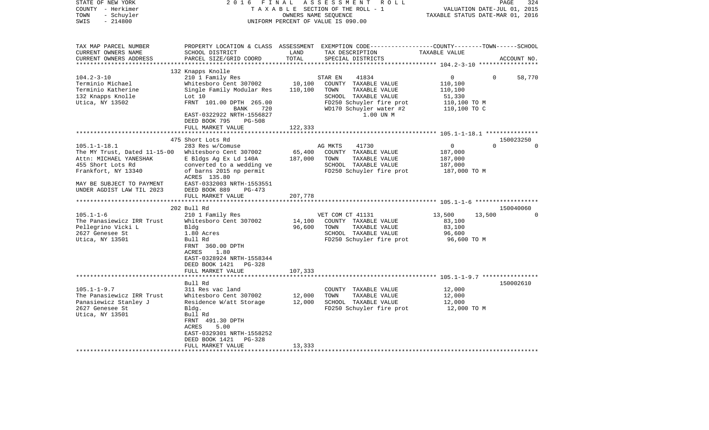| STATE OF NEW YORK<br>COUNTY - Herkimer<br>TOWN<br>- Schuyler<br>$-214800$<br>SWIS                                        | 2 0 1 6<br>FINAL                                                                                                                                                                         |                   | ASSESSMENT<br>R O L L<br>TAXABLE SECTION OF THE ROLL - 1<br>OWNERS NAME SEQUENCE<br>UNIFORM PERCENT OF VALUE IS 090.00                   | TAXABLE STATUS DATE-MAR 01, 2016                             | PAGE<br>VALUATION DATE-JUL 01, 2015 | 324         |
|--------------------------------------------------------------------------------------------------------------------------|------------------------------------------------------------------------------------------------------------------------------------------------------------------------------------------|-------------------|------------------------------------------------------------------------------------------------------------------------------------------|--------------------------------------------------------------|-------------------------------------|-------------|
|                                                                                                                          |                                                                                                                                                                                          |                   |                                                                                                                                          |                                                              |                                     |             |
| TAX MAP PARCEL NUMBER<br>CURRENT OWNERS NAME<br>CURRENT OWNERS ADDRESS                                                   | SCHOOL DISTRICT<br>PARCEL SIZE/GRID COORD                                                                                                                                                | LAND<br>TOTAL     | PROPERTY LOCATION & CLASS ASSESSMENT EXEMPTION CODE----------------COUNTY-------TOWN------SCHOOL<br>TAX DESCRIPTION<br>SPECIAL DISTRICTS | TAXABLE VALUE                                                |                                     | ACCOUNT NO. |
| ************************                                                                                                 |                                                                                                                                                                                          |                   |                                                                                                                                          |                                                              |                                     |             |
| $104.2 - 3 - 10$<br>Terminio Michael                                                                                     | 132 Knapps Knolle<br>210 1 Family Res<br>Whitesboro Cent 307002                                                                                                                          | 10,100            | 41834<br>STAR EN<br>COUNTY TAXABLE VALUE                                                                                                 | 0<br>110,100                                                 | $\Omega$                            | 58,770      |
| Terminio Katherine<br>132 Knapps Knolle<br>Utica, NY 13502                                                               | Single Family Modular Res<br>Lot 10<br>FRNT 101.00 DPTH 265.00<br>BANK<br>720<br>EAST-0322922 NRTH-1556827<br>DEED BOOK 795<br>$PG-508$                                                  | 110,100           | TOWN<br>TAXABLE VALUE<br>SCHOOL TAXABLE VALUE<br>FD250 Schuyler fire prot<br>WD170 Schuyler water #2<br>1.00 UN M                        | 110,100<br>51,330<br>110,100 TO M<br>110,100 TO C            |                                     |             |
|                                                                                                                          | FULL MARKET VALUE                                                                                                                                                                        | 122,333           |                                                                                                                                          |                                                              |                                     |             |
|                                                                                                                          | *******************<br>475 Short Lots Rd                                                                                                                                                 |                   |                                                                                                                                          |                                                              | 150023250                           |             |
| $105.1 - 1 - 18.1$<br>The MY Trust, Dated 11-15-00<br>Attn: MICHAEL YANESHAK<br>455 Short Lots Rd<br>Frankfort, NY 13340 | 283 Res w/Comuse<br>Whitesboro Cent 307002<br>E Bldgs Ag Ex Ld 140A<br>converted to a wedding ve<br>of barns 2015 np permit<br>ACRES 135.80                                              | 65,400<br>187,000 | 41730<br>AG MKTS<br>COUNTY TAXABLE VALUE<br>TAXABLE VALUE<br>TOWN<br>SCHOOL TAXABLE VALUE<br>FD250 Schuyler fire prot                    | $\mathbf 0$<br>187,000<br>187,000<br>187,000<br>187,000 TO M | $\Omega$                            | $\Omega$    |
| MAY BE SUBJECT TO PAYMENT<br>UNDER AGDIST LAW TIL 2023                                                                   | EAST-0332003 NRTH-1553551<br>DEED BOOK 889<br>PG-473<br>FULL MARKET VALUE                                                                                                                | 207,778           |                                                                                                                                          |                                                              |                                     |             |
|                                                                                                                          | *************************                                                                                                                                                                |                   |                                                                                                                                          |                                                              |                                     |             |
| $105.1 - 1 - 6$<br>The Panasiewicz IRR Trust<br>Pellegrino Vicki L<br>2627 Genesee St<br>Utica, NY 13501                 | 202 Bull Rd<br>210 1 Family Res<br>Whitesboro Cent 307002<br>Bldg<br>1.80 Acres<br>Bull Rd<br>FRNT 360.00 DPTH<br>ACRES<br>1.80<br>EAST-0328924 NRTH-1558344<br>DEED BOOK 1421<br>PG-328 | 14,100<br>96,600  | VET COM CT 41131<br>COUNTY TAXABLE VALUE<br>TOWN<br>TAXABLE VALUE<br>SCHOOL TAXABLE VALUE<br>FD250 Schuyler fire prot                    | 13,500<br>83,100<br>83,100<br>96,600<br>96,600 то м          | 150040060<br>13,500                 | $\Omega$    |
|                                                                                                                          | FULL MARKET VALUE                                                                                                                                                                        | 107,333           |                                                                                                                                          |                                                              |                                     |             |
|                                                                                                                          | Bull Rd                                                                                                                                                                                  |                   |                                                                                                                                          |                                                              | 150002610                           |             |
| $105.1 - 1 - 9.7$<br>The Panasiewicz IRR Trust<br>Panasiewicz Stanley J<br>2627 Genesee St<br>Utica, NY 13501            | 311 Res vac land<br>Whitesboro Cent 307002<br>Residence W/att Storage<br>Bldg.<br>Bull Rd<br>FRNT 491.30 DPTH<br>ACRES<br>5.00<br>EAST-0329301 NRTH-1558252<br>DEED BOOK 1421<br>PG-328  | 12,000<br>12,000  | COUNTY TAXABLE VALUE<br>TOWN<br>TAXABLE VALUE<br>SCHOOL TAXABLE VALUE<br>FD250 Schuyler fire prot                                        | 12,000<br>12,000<br>12,000<br>12,000 TO M                    |                                     |             |
|                                                                                                                          | FULL MARKET VALUE                                                                                                                                                                        | 13,333            |                                                                                                                                          |                                                              |                                     |             |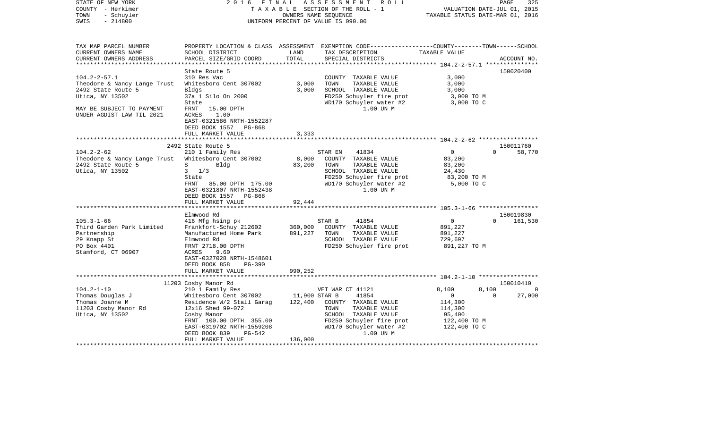| STATE OF NEW YORK<br>COUNTY - Herkimer<br>- Schuyler<br>TOWN<br>$-214800$<br>SWIS                                | 2 0 1 6<br>FINAL                                                                                                                                                                                 | OWNERS NAME SEQUENCE     | ASSESSMENT ROLL<br>TAXABLE SECTION OF THE ROLL - 1<br>UNIFORM PERCENT OF VALUE IS 090.00                                                                               | VALUATION DATE-JUL 01, 2015<br>TAXABLE STATUS DATE-MAR 01, 2016                                  | 325<br>PAGE                    |
|------------------------------------------------------------------------------------------------------------------|--------------------------------------------------------------------------------------------------------------------------------------------------------------------------------------------------|--------------------------|------------------------------------------------------------------------------------------------------------------------------------------------------------------------|--------------------------------------------------------------------------------------------------|--------------------------------|
| TAX MAP PARCEL NUMBER<br>CURRENT OWNERS NAME<br>CURRENT OWNERS ADDRESS                                           | SCHOOL DISTRICT<br>PARCEL SIZE/GRID COORD                                                                                                                                                        | LAND<br>TOTAL            | PROPERTY LOCATION & CLASS ASSESSMENT EXEMPTION CODE---------------COUNTY-------TOWN------SCHOOL<br>TAX DESCRIPTION<br>SPECIAL DISTRICTS                                | TAXABLE VALUE                                                                                    | ACCOUNT NO.                    |
|                                                                                                                  | State Route 5                                                                                                                                                                                    |                          |                                                                                                                                                                        |                                                                                                  | 150020400                      |
| $104.2 - 2 - 57.1$<br>Theodore & Nancy Lange Trust<br>2492 State Route 5<br>Utica, NY 13502                      | 310 Res Vac<br>Whitesboro Cent 307002<br>Bldgs<br>37a 1 Silo On 2000<br>State                                                                                                                    | 3,000<br>3,000           | COUNTY TAXABLE VALUE<br>TOWN<br>TAXABLE VALUE<br>SCHOOL TAXABLE VALUE<br>FD250 Schuyler fire prot<br>WD170 Schuyler water #2                                           | 3,000<br>3,000<br>3,000<br>3,000 TO M<br>3,000 TO C                                              |                                |
| MAY BE SUBJECT TO PAYMENT<br>UNDER AGDIST LAW TIL 2021                                                           | FRNT 15.00 DPTH<br>1.00<br>ACRES<br>EAST-0321586 NRTH-1552287<br>DEED BOOK 1557 PG-868<br>FULL MARKET VALUE                                                                                      | 3,333                    | 1.00 UN M                                                                                                                                                              |                                                                                                  |                                |
|                                                                                                                  | 2492 State Route 5                                                                                                                                                                               |                          |                                                                                                                                                                        |                                                                                                  | 150011760                      |
| $104.2 - 2 - 62$<br>Theodore & Nancy Lange Trust<br>2492 State Route 5<br>Utica, NY 13502                        | 210 1 Family Res<br>Whitesboro Cent 307002<br>S<br>Bldg<br>$3 \t1/3$<br>State<br>FRNT 85.00 DPTH 175.00<br>EAST-0321807 NRTH-1552438<br>DEED BOOK 1557<br>PG-868                                 | 8,000<br>83,200          | 41834<br>STAR EN<br>COUNTY TAXABLE VALUE<br>TOWN<br>TAXABLE VALUE<br>SCHOOL TAXABLE VALUE<br>FD250 Schuyler fire prot<br>WD170 Schuyler water #2<br>1.00 UN M          | $\overline{0}$<br>83,200<br>83,200<br>24,430<br>83,200 TO M<br>5,000 TO C                        | $\Omega$<br>58,770             |
|                                                                                                                  | FULL MARKET VALUE                                                                                                                                                                                | 92,444                   |                                                                                                                                                                        |                                                                                                  |                                |
|                                                                                                                  | Elmwood Rd                                                                                                                                                                                       |                          |                                                                                                                                                                        |                                                                                                  | 150019830                      |
| $105.3 - 1 - 66$<br>Third Garden Park Limited<br>Partnership<br>29 Knapp St<br>PO Box 4401<br>Stamford, CT 06907 | 416 Mfg hsing pk<br>Frankfort-Schuy 212602<br>Manufactured Home Park<br>Elmwood Rd<br>FRNT 2718.00 DPTH<br>ACRES<br>9.60<br>EAST-0327028 NRTH-1548601<br>DEED BOOK 858<br>$PG-390$               | 360,000<br>891,227       | 41854<br>STAR B<br>COUNTY TAXABLE VALUE<br>TOWN<br>TAXABLE VALUE<br>SCHOOL TAXABLE VALUE<br>FD250 Schuyler fire prot                                                   | $\circ$<br>891,227<br>891,227<br>729,697<br>891,227 TO M                                         | $\Omega$<br>161,530            |
|                                                                                                                  | FULL MARKET VALUE                                                                                                                                                                                | 990,252                  |                                                                                                                                                                        |                                                                                                  |                                |
|                                                                                                                  | 11203 Cosby Manor Rd                                                                                                                                                                             |                          |                                                                                                                                                                        |                                                                                                  | 150010410                      |
| $104.2 - 1 - 10$<br>Thomas Douglas J<br>Thomas Joanne M<br>11203 Cosby Manor Rd<br>Utica, NY 13502               | 210 1 Family Res<br>Whitesboro Cent 307002<br>Residence W/2 Stall Garag<br>12x16 Shed 99-072<br>Cosby Manor<br>FRNT 100.00 DPTH 355.00<br>EAST-0319702 NRTH-1559208<br>DEED BOOK 839<br>$PG-542$ | 11,900 STAR B<br>122,400 | VET WAR CT 41121<br>41854<br>COUNTY TAXABLE VALUE<br>TAXABLE VALUE<br>TOWN<br>SCHOOL TAXABLE VALUE<br>FD250 Schuyler fire prot<br>WD170 Schuyler water #2<br>1.00 UN M | 8,100<br>8,100<br>$\overline{0}$<br>114,300<br>114,300<br>95,400<br>122,400 TO M<br>122,400 TO C | $\Omega$<br>27,000<br>$\Omega$ |
|                                                                                                                  | FULL MARKET VALUE                                                                                                                                                                                | 136,000                  |                                                                                                                                                                        |                                                                                                  |                                |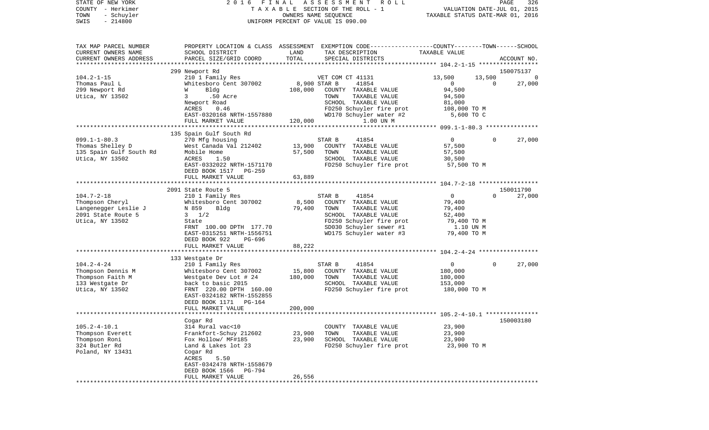| STATE OF NEW YORK<br>COUNTY - Herkimer<br>- Schuyler<br>TOWN<br>$-214800$<br>SWIS | 2016<br>FINAL                              |                 | ASSESSMENT<br>ROLL<br>TAXABLE SECTION OF THE ROLL - 1<br>OWNERS NAME SEQUENCE<br>UNIFORM PERCENT OF VALUE IS 090.00                      | VALUATION DATE-JUL 01, 2015<br>TAXABLE STATUS DATE-MAR 01, 2016 |                    | PAGE<br>326 |
|-----------------------------------------------------------------------------------|--------------------------------------------|-----------------|------------------------------------------------------------------------------------------------------------------------------------------|-----------------------------------------------------------------|--------------------|-------------|
| TAX MAP PARCEL NUMBER<br>CURRENT OWNERS NAME<br>CURRENT OWNERS ADDRESS            | SCHOOL DISTRICT<br>PARCEL SIZE/GRID COORD  | LAND<br>TOTAL   | PROPERTY LOCATION & CLASS ASSESSMENT EXEMPTION CODE----------------COUNTY-------TOWN------SCHOOL<br>TAX DESCRIPTION<br>SPECIAL DISTRICTS | TAXABLE VALUE                                                   |                    | ACCOUNT NO. |
| **********************                                                            |                                            |                 |                                                                                                                                          |                                                                 |                    |             |
|                                                                                   | 299 Newport Rd                             |                 |                                                                                                                                          |                                                                 |                    | 150075137   |
| $104.2 - 1 - 15$<br>Thomas Paul L                                                 | 210 1 Family Res<br>Whitesboro Cent 307002 | 8,900 STAR B    | VET COM CT 41131<br>41854                                                                                                                | 13,500<br>$\mathbf{0}$                                          | 13,500<br>$\Omega$ | 27,000      |
| 299 Newport Rd                                                                    | Bldg<br>W                                  | 108,000         | COUNTY TAXABLE VALUE                                                                                                                     | 94,500                                                          |                    |             |
| Utica, NY 13502                                                                   | .50 Acre<br>3                              |                 | TAXABLE VALUE<br>TOWN                                                                                                                    | 94,500                                                          |                    |             |
|                                                                                   | Newport Road                               |                 | SCHOOL TAXABLE VALUE                                                                                                                     | 81,000                                                          |                    |             |
|                                                                                   | ACRES<br>0.46                              |                 | FD250 Schuyler fire prot                                                                                                                 | 108,000 TO M                                                    |                    |             |
|                                                                                   | EAST-0320168 NRTH-1557880                  |                 | WD170 Schuyler water #2                                                                                                                  | 5,600 TO C                                                      |                    |             |
|                                                                                   | FULL MARKET VALUE                          | 120,000         | 1.00 UN M                                                                                                                                |                                                                 |                    |             |
|                                                                                   |                                            |                 |                                                                                                                                          |                                                                 |                    |             |
|                                                                                   | 135 Spain Gulf South Rd                    |                 |                                                                                                                                          |                                                                 |                    |             |
| $099.1 - 1 - 80.3$<br>Thomas Shelley D                                            | 270 Mfg housing<br>West Canada Val 212402  | 13,900          | 41854<br>STAR B<br>COUNTY TAXABLE VALUE                                                                                                  | $\overline{0}$<br>57,500                                        | $\Omega$           | 27,000      |
| 135 Spain Gulf South Rd                                                           | Mobile Home                                | 57,500          | TAXABLE VALUE<br>TOWN                                                                                                                    | 57,500                                                          |                    |             |
| Utica, NY 13502                                                                   | ACRES<br>1.50                              |                 | SCHOOL TAXABLE VALUE                                                                                                                     | 30,500                                                          |                    |             |
|                                                                                   | EAST-0332022 NRTH-1571170                  |                 | FD250 Schuyler fire prot                                                                                                                 | 57,500 TO M                                                     |                    |             |
|                                                                                   | DEED BOOK 1517<br>PG-259                   |                 |                                                                                                                                          |                                                                 |                    |             |
|                                                                                   | FULL MARKET VALUE                          | 63,889          |                                                                                                                                          |                                                                 |                    |             |
|                                                                                   |                                            |                 |                                                                                                                                          |                                                                 |                    |             |
|                                                                                   | 2091 State Route 5                         |                 |                                                                                                                                          |                                                                 |                    | 150011790   |
| $104.7 - 2 - 18$                                                                  | 210 1 Family Res                           |                 | STAR B<br>41854                                                                                                                          | $\overline{0}$                                                  | $\Omega$           | 27,000      |
| Thompson Cheryl<br>Langenegger Leslie J                                           | Whitesboro Cent 307002<br>Bldg             | 8,500<br>79,400 | COUNTY TAXABLE VALUE<br>TAXABLE VALUE<br>TOWN                                                                                            | 79,400                                                          |                    |             |
| 2091 State Route 5                                                                | N 859<br>$3 \frac{1}{2}$                   |                 | SCHOOL TAXABLE VALUE                                                                                                                     | 79,400<br>52,400                                                |                    |             |
| Utica, NY 13502                                                                   | State                                      |                 | FD250 Schuyler fire prot                                                                                                                 | 79,400 TO M                                                     |                    |             |
|                                                                                   | FRNT 100.00 DPTH 177.70                    |                 | SD030 Schuyler sewer #1                                                                                                                  | 1.10 UN M                                                       |                    |             |
|                                                                                   | EAST-0315251 NRTH-1556751                  |                 | WD175 Schuyler water #3                                                                                                                  | 79,400 TO M                                                     |                    |             |
|                                                                                   | DEED BOOK 922<br>PG-696                    |                 |                                                                                                                                          |                                                                 |                    |             |
|                                                                                   | FULL MARKET VALUE                          | 88,222          |                                                                                                                                          |                                                                 |                    |             |
|                                                                                   |                                            |                 |                                                                                                                                          |                                                                 |                    |             |
|                                                                                   | 133 Westgate Dr                            |                 |                                                                                                                                          |                                                                 | $\Omega$           |             |
| $104.2 - 4 - 24$<br>Thompson Dennis M                                             | 210 1 Family Res<br>Whitesboro Cent 307002 | 15,800          | 41854<br>STAR B<br>COUNTY TAXABLE VALUE                                                                                                  | $\overline{0}$<br>180,000                                       |                    | 27,000      |
| Thompson Faith M                                                                  | Westgate Dev Lot # 24                      | 180,000         | TOWN<br>TAXABLE VALUE                                                                                                                    | 180,000                                                         |                    |             |
| 133 Westgate Dr                                                                   | back to basic 2015                         |                 | SCHOOL TAXABLE VALUE                                                                                                                     | 153,000                                                         |                    |             |
| Utica, NY 13502                                                                   | FRNT 220.00 DPTH 160.00                    |                 | FD250 Schuyler fire prot                                                                                                                 | 180,000 TO M                                                    |                    |             |
|                                                                                   | EAST-0324182 NRTH-1552855                  |                 |                                                                                                                                          |                                                                 |                    |             |
|                                                                                   | DEED BOOK 1171<br>PG-164                   |                 |                                                                                                                                          |                                                                 |                    |             |
|                                                                                   | FULL MARKET VALUE                          | 200,000         |                                                                                                                                          |                                                                 |                    |             |
|                                                                                   |                                            |                 | ***************************** 105.2-4-10.1 **************                                                                                |                                                                 |                    |             |
| $105.2 - 4 - 10.1$                                                                | Cogar Rd                                   |                 | TAXABLE VALUE                                                                                                                            |                                                                 |                    | 150003180   |
| Thompson Everett                                                                  | 314 Rural vac<10<br>Frankfort-Schuy 212602 | 23,900          | COUNTY<br>TOWN<br>TAXABLE VALUE                                                                                                          | 23,900<br>23,900                                                |                    |             |
| Thompson Roni                                                                     | Fox Hollow/ MF#185                         | 23,900          | SCHOOL TAXABLE VALUE                                                                                                                     | 23,900                                                          |                    |             |
| 324 Butler Rd                                                                     | Land & Lakes lot 23                        |                 | FD250 Schuyler fire prot                                                                                                                 | 23,900 TO M                                                     |                    |             |
| Poland, NY 13431                                                                  | Cogar Rd                                   |                 |                                                                                                                                          |                                                                 |                    |             |
|                                                                                   | 5.50<br>ACRES                              |                 |                                                                                                                                          |                                                                 |                    |             |
|                                                                                   | EAST-0342478 NRTH-1558679                  |                 |                                                                                                                                          |                                                                 |                    |             |
|                                                                                   | DEED BOOK 1566<br>PG-794                   |                 |                                                                                                                                          |                                                                 |                    |             |
|                                                                                   | FULL MARKET VALUE                          | 26,556          |                                                                                                                                          |                                                                 |                    |             |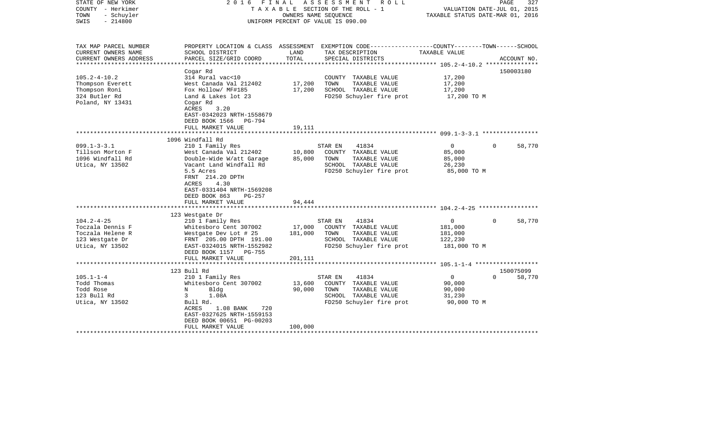| STATE OF NEW YORK<br>COUNTY - Herkimer<br>TOWN<br>- Schuyler<br>$-214800$<br>SWIS | 2016                                                                                                                  | FINAL            | ASSESSMENT ROLL<br>TAXABLE SECTION OF THE ROLL - 1<br>OWNERS NAME SEOUENCE<br>UNIFORM PERCENT OF VALUE IS 090.00 | TAXABLE STATUS DATE-MAR 01, 2016             | PAGE<br>327<br>VALUATION DATE-JUL 01, 2015 |
|-----------------------------------------------------------------------------------|-----------------------------------------------------------------------------------------------------------------------|------------------|------------------------------------------------------------------------------------------------------------------|----------------------------------------------|--------------------------------------------|
| TAX MAP PARCEL NUMBER                                                             |                                                                                                                       |                  | PROPERTY LOCATION & CLASS ASSESSMENT EXEMPTION CODE----------------COUNTY-------TOWN------SCHOOL                 |                                              |                                            |
| CURRENT OWNERS NAME<br>CURRENT OWNERS ADDRESS                                     | SCHOOL DISTRICT<br>PARCEL SIZE/GRID COORD                                                                             | LAND<br>TOTAL    | TAX DESCRIPTION<br>SPECIAL DISTRICTS                                                                             | TAXABLE VALUE                                | ACCOUNT NO.                                |
|                                                                                   |                                                                                                                       |                  |                                                                                                                  |                                              |                                            |
|                                                                                   | Cogar Rd                                                                                                              |                  |                                                                                                                  |                                              | 150003180                                  |
| $105.2 - 4 - 10.2$                                                                | 314 Rural vac<10                                                                                                      |                  | COUNTY TAXABLE VALUE                                                                                             | 17,200                                       |                                            |
| Thompson Everett                                                                  | West Canada Val 212402                                                                                                | 17,200           | TOWN<br>TAXABLE VALUE                                                                                            | 17,200                                       |                                            |
| Thompson Roni                                                                     | Fox Hollow/ MF#185                                                                                                    | 17,200           | SCHOOL TAXABLE VALUE                                                                                             | 17,200                                       |                                            |
| 324 Butler Rd                                                                     | Land & Lakes lot 23                                                                                                   |                  | FD250 Schuyler fire prot                                                                                         | 17,200 TO M                                  |                                            |
| Poland, NY 13431                                                                  | Cogar Rd<br>ACRES<br>3.20<br>EAST-0342023 NRTH-1558679<br>DEED BOOK 1566<br>PG-794                                    |                  |                                                                                                                  |                                              |                                            |
|                                                                                   | FULL MARKET VALUE                                                                                                     | 19,111           |                                                                                                                  |                                              |                                            |
|                                                                                   | 1096 Windfall Rd                                                                                                      |                  |                                                                                                                  |                                              |                                            |
| $099.1 - 3 - 3.1$<br>Tillson Morton F<br>1096 Windfall Rd<br>Utica, NY 13502      | 210 1 Family Res<br>West Canada Val 212402<br>Double-Wide W/att Garage<br>Vacant Land Windfall Rd                     | 10,800<br>85,000 | STAR EN<br>41834<br>COUNTY TAXABLE VALUE<br>TOWN<br>TAXABLE VALUE<br>SCHOOL TAXABLE VALUE                        | $\overline{0}$<br>85,000<br>85,000<br>26,230 | 58,770<br>$\Omega$                         |
|                                                                                   | 5.5 Acres                                                                                                             |                  | FD250 Schuyler fire prot                                                                                         | 85,000 TO M                                  |                                            |
|                                                                                   | FRNT 214.20 DPTH<br>ACRES<br>4.30<br>EAST-0331404 NRTH-1569208<br>DEED BOOK 863<br>PG-257<br>FULL MARKET VALUE        | 94,444           |                                                                                                                  |                                              |                                            |
|                                                                                   | 123 Westgate Dr                                                                                                       |                  |                                                                                                                  |                                              |                                            |
| $104.2 - 4 - 25$                                                                  | 210 1 Family Res                                                                                                      |                  | STAR EN<br>41834                                                                                                 | $\mathbf 0$                                  | $\Omega$<br>58,770                         |
| Toczala Dennis F                                                                  | Whitesboro Cent 307002                                                                                                | 17,000           | COUNTY TAXABLE VALUE                                                                                             | 181,000                                      |                                            |
| Toczala Helene R                                                                  | Westgate Dev Lot # 25                                                                                                 | 181,000          | TOWN<br>TAXABLE VALUE                                                                                            | 181,000                                      |                                            |
| 123 Westgate Dr                                                                   | FRNT 205.00 DPTH 191.00                                                                                               |                  | SCHOOL TAXABLE VALUE                                                                                             | 122,230                                      |                                            |
| Utica, NY 13502                                                                   | EAST-0324015 NRTH-1552982                                                                                             |                  | FD250 Schuyler fire prot                                                                                         | 181,000 TO M                                 |                                            |
|                                                                                   | DEED BOOK 1157 PG-755                                                                                                 |                  |                                                                                                                  |                                              |                                            |
|                                                                                   | FULL MARKET VALUE<br>**********************                                                                           | 201,111          |                                                                                                                  |                                              |                                            |
|                                                                                   | 123 Bull Rd                                                                                                           |                  |                                                                                                                  |                                              | 150075099                                  |
| $105.1 - 1 - 4$                                                                   | 210 1 Family Res                                                                                                      |                  | 41834<br>STAR EN                                                                                                 | $\mathbf 0$                                  | $\Omega$<br>58,770                         |
| Todd Thomas                                                                       | Whitesboro Cent 307002                                                                                                | 13,600           | COUNTY TAXABLE VALUE                                                                                             | 90,000                                       |                                            |
| Todd Rose                                                                         | N<br>Bldg                                                                                                             | 90,000           | TOWN<br>TAXABLE VALUE                                                                                            | 90,000                                       |                                            |
| 123 Bull Rd                                                                       | $\mathbf{3}$<br>1.08A                                                                                                 |                  | SCHOOL TAXABLE VALUE                                                                                             | 31,230                                       |                                            |
| Utica, NY 13502                                                                   | Bull Rd.<br>720<br>ACRES<br>$1.08$ BANK<br>EAST-0327625 NRTH-1559153<br>DEED BOOK 00651 PG-00203<br>FULL MARKET VALUE | 100,000          | FD250 Schuyler fire prot                                                                                         | 90,000 TO M                                  |                                            |
|                                                                                   |                                                                                                                       |                  |                                                                                                                  |                                              |                                            |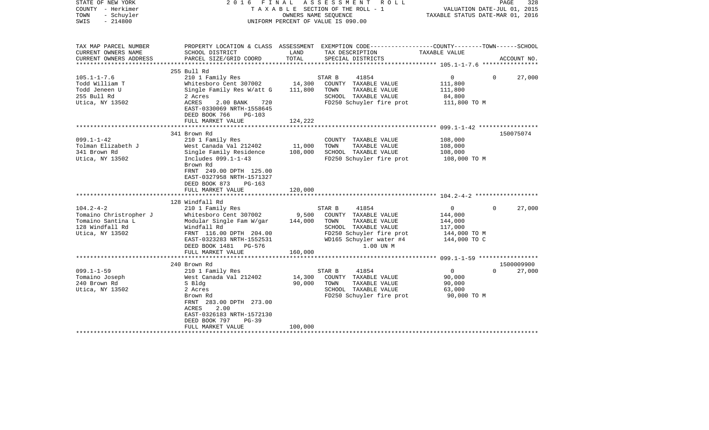| STATE OF NEW YORK<br>COUNTY - Herkimer<br>TOWN<br>- Schuyler<br>$-214800$<br>SWIS | FINAL<br>2016                                                                                                                                      |                  | ASSESSMENT<br>R O L L<br>TAXABLE SECTION OF THE ROLL - 1<br>OWNERS NAME SEQUENCE<br>UNIFORM PERCENT OF VALUE IS 090.00                    | TAXABLE STATUS DATE-MAR 01, 2016                              | PAGE<br>328<br>VALUATION DATE-JUL 01, 2015 |
|-----------------------------------------------------------------------------------|----------------------------------------------------------------------------------------------------------------------------------------------------|------------------|-------------------------------------------------------------------------------------------------------------------------------------------|---------------------------------------------------------------|--------------------------------------------|
| TAX MAP PARCEL NUMBER                                                             | SCHOOL DISTRICT                                                                                                                                    | LAND             | PROPERTY LOCATION & CLASS ASSESSMENT EXEMPTION CODE----------------COUNTY-------TOWN------SCHOOL                                          | TAXABLE VALUE                                                 |                                            |
| CURRENT OWNERS NAME<br>CURRENT OWNERS ADDRESS<br>**********************           | PARCEL SIZE/GRID COORD                                                                                                                             | TOTAL            | TAX DESCRIPTION<br>SPECIAL DISTRICTS                                                                                                      |                                                               | ACCOUNT NO.                                |
|                                                                                   | 255 Bull Rd                                                                                                                                        |                  |                                                                                                                                           |                                                               |                                            |
| $105.1 - 1 - 7.6$                                                                 | 210 1 Family Res                                                                                                                                   |                  | STAR B<br>41854                                                                                                                           | $\overline{0}$                                                | $\Omega$<br>27,000                         |
| Todd William T                                                                    | Whitesboro Cent 307002                                                                                                                             | 14,300           | COUNTY TAXABLE VALUE                                                                                                                      | 111,800                                                       |                                            |
| Todd Jeneen U                                                                     | Single Family Res W/att G                                                                                                                          | 111,800          | TAXABLE VALUE<br>TOWN                                                                                                                     | 111,800                                                       |                                            |
| 255 Bull Rd                                                                       | 2 Acres                                                                                                                                            |                  | SCHOOL TAXABLE VALUE                                                                                                                      | 84,800                                                        |                                            |
| Utica, NY 13502                                                                   | ACRES<br>2.00 BANK<br>720<br>EAST-0330069 NRTH-1558645<br>DEED BOOK 766<br><b>PG-103</b>                                                           |                  | FD250 Schuyler fire prot                                                                                                                  | 111,800 TO M                                                  |                                            |
|                                                                                   | FULL MARKET VALUE                                                                                                                                  | 124,222          |                                                                                                                                           |                                                               |                                            |
|                                                                                   |                                                                                                                                                    |                  |                                                                                                                                           |                                                               |                                            |
| $099.1 - 1 - 42$                                                                  | 341 Brown Rd<br>210 1 Family Res                                                                                                                   |                  |                                                                                                                                           | 108,000                                                       | 150075074                                  |
| Tolman Elizabeth J                                                                | West Canada Val 212402                                                                                                                             | 11,000           | COUNTY TAXABLE VALUE<br>TAXABLE VALUE<br>TOWN                                                                                             | 108,000                                                       |                                            |
| 341 Brown Rd                                                                      | Single Family Residence                                                                                                                            | 108,000          | SCHOOL TAXABLE VALUE                                                                                                                      | 108,000                                                       |                                            |
| Utica, NY 13502                                                                   | Includes 099.1-1-43<br>Brown Rd<br>FRNT 249.00 DPTH 125.00<br>EAST-0327958 NRTH-1571327                                                            |                  | FD250 Schuyler fire prot                                                                                                                  | 108,000 TO M                                                  |                                            |
|                                                                                   | DEED BOOK 873<br>$PG-163$                                                                                                                          |                  |                                                                                                                                           |                                                               |                                            |
|                                                                                   | FULL MARKET VALUE                                                                                                                                  | 120,000          |                                                                                                                                           |                                                               |                                            |
|                                                                                   |                                                                                                                                                    |                  |                                                                                                                                           |                                                               |                                            |
| $104.2 - 4 - 2$                                                                   | 128 Windfall Rd<br>210 1 Family Res                                                                                                                |                  | 41854<br>STAR B                                                                                                                           | $\overline{0}$                                                | 27,000<br>$\Omega$                         |
| Tomaino Christropher J<br>Tomaino Santina L<br>128 Windfall Rd<br>Utica, NY 13502 | Whitesboro Cent 307002<br>Modular Single Fam W/gar<br>Windfall Rd<br>FRNT 116.00 DPTH 204.00<br>EAST-0323283 NRTH-1552531<br>DEED BOOK 1481 PG-576 | 9,500<br>144,000 | COUNTY TAXABLE VALUE<br>TOWN<br>TAXABLE VALUE<br>SCHOOL TAXABLE VALUE<br>FD250 Schuyler fire prot<br>WD165 Schuyler water #4<br>1.00 UN M | 144,000<br>144,000<br>117,000<br>144,000 TO M<br>144,000 TO C |                                            |
|                                                                                   | FULL MARKET VALUE                                                                                                                                  | 160,000          |                                                                                                                                           |                                                               |                                            |
|                                                                                   | *************************                                                                                                                          |                  |                                                                                                                                           |                                                               |                                            |
|                                                                                   | 240 Brown Rd                                                                                                                                       |                  |                                                                                                                                           |                                                               | 1500009900                                 |
| $099.1 - 1 - 59$                                                                  | 210 1 Family Res                                                                                                                                   |                  | STAR B<br>41854                                                                                                                           | $\overline{0}$                                                | 27,000<br>$\Omega$                         |
| Tomaino Joseph<br>240 Brown Rd<br>Utica, NY 13502                                 | West Canada Val 212402<br>S Bldg<br>2 Acres                                                                                                        | 14,300<br>90,000 | COUNTY TAXABLE VALUE<br>TOWN<br>TAXABLE VALUE<br>SCHOOL TAXABLE VALUE                                                                     | 90,000<br>90,000<br>63,000                                    |                                            |
|                                                                                   | Brown Rd<br>FRNT 283.00 DPTH 273.00<br>2.00<br>ACRES<br>EAST-0326183 NRTH-1572130<br>DEED BOOK 797<br>$PG-39$<br>FULL MARKET VALUE                 | 100,000          | FD250 Schuyler fire prot                                                                                                                  | 90,000 TO M                                                   |                                            |
|                                                                                   |                                                                                                                                                    |                  | ******************************                                                                                                            |                                                               |                                            |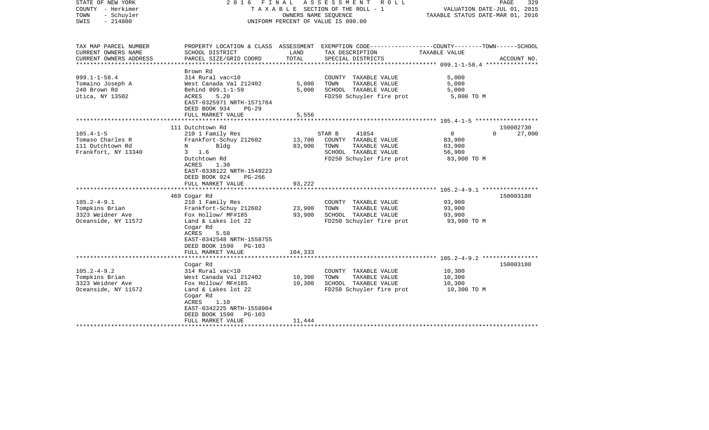| STATE OF NEW YORK<br>COUNTY - Herkimer<br>- Schuyler<br>TOWN<br>$-214800$<br>SWIS | 2016 FINAL                                                                                                                                                                                                      | OWNERS NAME SEQUENCE                      | A S S E S S M E N T<br>R O L L<br>TAXABLE SECTION OF THE ROLL - 1<br>UNIFORM PERCENT OF VALUE IS 090.00              | VALUATION DATE-JUL 01, 2015<br>TAXABLE STATUS DATE-MAR 01, 2016  | PAGE<br>329 |
|-----------------------------------------------------------------------------------|-----------------------------------------------------------------------------------------------------------------------------------------------------------------------------------------------------------------|-------------------------------------------|----------------------------------------------------------------------------------------------------------------------|------------------------------------------------------------------|-------------|
| TAX MAP PARCEL NUMBER<br>CURRENT OWNERS NAME                                      | SCHOOL DISTRICT                                                                                                                                                                                                 | LAND                                      | PROPERTY LOCATION & CLASS ASSESSMENT EXEMPTION CODE---------------COUNTY-------TOWN------SCHOOL<br>TAX DESCRIPTION   | TAXABLE VALUE                                                    |             |
| CURRENT OWNERS ADDRESS<br>*******************                                     | PARCEL SIZE/GRID COORD                                                                                                                                                                                          | TOTAL                                     | SPECIAL DISTRICTS<br>****************************                                                                    | ****************** 099.1-1-58.4 ****************                 | ACCOUNT NO. |
|                                                                                   | Brown Rd                                                                                                                                                                                                        |                                           |                                                                                                                      |                                                                  |             |
| $099.1 - 1 - 58.4$<br>Tomaino Joseph A<br>240 Brown Rd<br>Utica, NY 13502         | 314 Rural vac<10<br>West Canada Val 212402<br>Behind 099.1-1-59<br>ACRES<br>5.20<br>EAST-0325971 NRTH-1571764<br>DEED BOOK 934<br>$PG-29$                                                                       | 5,000<br>5,000                            | COUNTY TAXABLE VALUE<br>TOWN<br>TAXABLE VALUE<br>SCHOOL TAXABLE VALUE<br>FD250 Schuyler fire prot                    | 5,000<br>5,000<br>5,000<br>5,000 TO M                            |             |
|                                                                                   | FULL MARKET VALUE                                                                                                                                                                                               | 5,556                                     |                                                                                                                      |                                                                  |             |
|                                                                                   | 111 Dutchtown Rd                                                                                                                                                                                                |                                           |                                                                                                                      |                                                                  | 150002730   |
| $105.4 - 1 - 5$<br>Tomaso Charles R<br>111 Dutchtown Rd<br>Frankfort, NY 13340    | 210 1 Family Res<br>Frankfort-Schuy 212602<br>Bldg<br>N<br>$3 \t1.6$<br>Dutchtown Rd<br>ACRES<br>1.30<br>EAST-0338122 NRTH-1549223<br>DEED BOOK 924<br>$PG-266$<br>FULL MARKET VALUE<br>*********************** | 13,700<br>83,900<br>93,222<br>*********** | STAR B<br>41854<br>COUNTY TAXABLE VALUE<br>TOWN<br>TAXABLE VALUE<br>SCHOOL TAXABLE VALUE<br>FD250 Schuyler fire prot | $\circ$<br>$\Omega$<br>83,900<br>83,900<br>56,900<br>83,900 TO M | 27,000      |
|                                                                                   | 469 Cogar Rd                                                                                                                                                                                                    |                                           |                                                                                                                      |                                                                  | 150003180   |
| $105.2 - 4 - 9.1$<br>Tompkins Brian<br>3323 Weidner Ave<br>Oceanside, NY 11572    | 210 1 Family Res<br>Frankfort-Schuy 212602<br>Fox Hollow/ MF#185<br>Land & Lakes lot 22<br>Cogar Rd<br>ACRES<br>5.50<br>EAST-0342548 NRTH-1558755<br>DEED BOOK 1590<br>$PG-103$<br>FULL MARKET VALUE            | 23,900<br>93,900<br>104,333               | COUNTY TAXABLE VALUE<br>TOWN<br>TAXABLE VALUE<br>SCHOOL TAXABLE VALUE<br>FD250 Schuyler fire prot                    | 93,900<br>93,900<br>93,900<br>93,900 TO M                        |             |
|                                                                                   |                                                                                                                                                                                                                 |                                           |                                                                                                                      |                                                                  |             |
| $105.2 - 4 - 9.2$<br>Tompkins Brian<br>3323 Weidner Ave<br>Oceanside, NY 11572    | Cogar Rd<br>314 Rural vac<10<br>West Canada Val 212402<br>Fox Hollow/ MF#185<br>Land & Lakes lot 22<br>Cogar Rd<br>ACRES<br>1.10<br>EAST-0342225 NRTH-1558904<br>DEED BOOK 1590<br>PG-103                       | 10,300<br>10,300                          | COUNTY TAXABLE VALUE<br>TOWN<br>TAXABLE VALUE<br>SCHOOL TAXABLE VALUE<br>FD250 Schuyler fire prot                    | 10,300<br>10,300<br>10,300<br>10,300 TO M                        | 150003180   |
|                                                                                   | FULL MARKET VALUE                                                                                                                                                                                               | 11,444                                    |                                                                                                                      |                                                                  |             |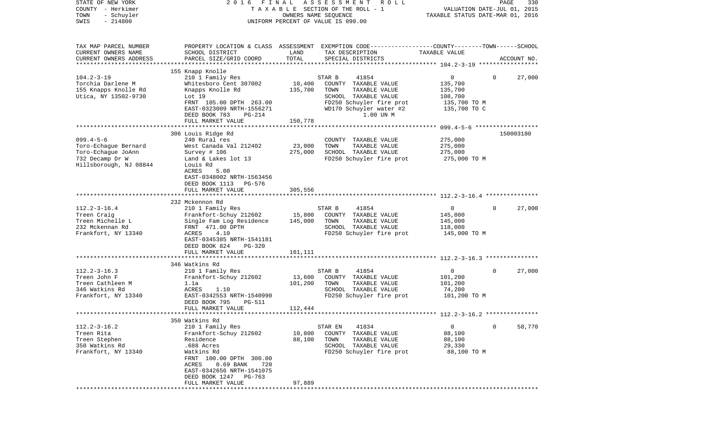| STATE OF NEW YORK<br>COUNTY - Herkimer<br>TOWN<br>- Schuyler                                               | FINAL<br>2016                                                                                                                                                                                                                               | OWNERS NAME SEQUENCE         | A S S E S S M E N T R O L L<br>TAXABLE SECTION OF THE ROLL - 1                                                                                               | VALUATION DATE-JUL 01, 2015<br>TAXABLE STATUS DATE-MAR 01, 2016    | PAGE        | 330         |
|------------------------------------------------------------------------------------------------------------|---------------------------------------------------------------------------------------------------------------------------------------------------------------------------------------------------------------------------------------------|------------------------------|--------------------------------------------------------------------------------------------------------------------------------------------------------------|--------------------------------------------------------------------|-------------|-------------|
| $-214800$<br>SWIS                                                                                          |                                                                                                                                                                                                                                             |                              | UNIFORM PERCENT OF VALUE IS 090.00                                                                                                                           |                                                                    |             |             |
| TAX MAP PARCEL NUMBER<br>CURRENT OWNERS NAME<br>CURRENT OWNERS ADDRESS                                     | SCHOOL DISTRICT<br>PARCEL SIZE/GRID COORD                                                                                                                                                                                                   | LAND<br>TOTAL                | PROPERTY LOCATION & CLASS ASSESSMENT EXEMPTION CODE---------------COUNTY-------TOWN------SCHOOL<br>TAX DESCRIPTION<br>SPECIAL DISTRICTS                      | TAXABLE VALUE                                                      |             | ACCOUNT NO. |
| *********************                                                                                      |                                                                                                                                                                                                                                             |                              |                                                                                                                                                              |                                                                    |             |             |
| $104.2 - 3 - 19$<br>Torchia Darlene M<br>155 Knapps Knolle Rd<br>Utica, NY 13502-9730                      | 155 Knapp Knolle<br>210 1 Family Res<br>Whitesboro Cent 307002<br>Knapps Knolle Rd<br>Lot 19<br>FRNT 105.00 DPTH 263.00<br>EAST-0323009 NRTH-1556271<br>DEED BOOK 783<br><b>PG-214</b>                                                      | 10,400<br>135,700            | STAR B<br>41854<br>COUNTY TAXABLE VALUE<br>TOWN<br>TAXABLE VALUE<br>SCHOOL TAXABLE VALUE<br>FD250 Schuyler fire prot<br>WD170 Schuyler water #2<br>1.00 UN M | 0<br>135,700<br>135,700<br>108,700<br>135,700 TO M<br>135,700 TO C | $\Omega$    | 27,000      |
|                                                                                                            | FULL MARKET VALUE                                                                                                                                                                                                                           | 150,778                      |                                                                                                                                                              |                                                                    |             |             |
| $099.4 - 5 - 6$<br>Toro-Echaque Bernard<br>Toro-Echaque JoAnn<br>732 Decamp Dr W<br>Hillsborough, NJ 08844 | 306 Louis Ridge Rd<br>240 Rural res<br>West Canada Val 212402<br>Survey # 106<br>Land & Lakes lot 13<br>Louis Rd<br>ACRES<br>5.00<br>EAST-0348002 NRTH-1563456<br>DEED BOOK 1113 PG-576                                                     | 23,000<br>275,000            | COUNTY TAXABLE VALUE<br>TOWN<br>TAXABLE VALUE<br>SCHOOL TAXABLE VALUE<br>FD250 Schuyler fire prot                                                            | 275,000<br>275,000<br>275,000<br>275,000 TO M                      |             | 150003180   |
|                                                                                                            | FULL MARKET VALUE                                                                                                                                                                                                                           | 305,556                      |                                                                                                                                                              |                                                                    |             |             |
|                                                                                                            |                                                                                                                                                                                                                                             |                              |                                                                                                                                                              |                                                                    |             |             |
| $112.2 - 3 - 16.4$<br>Treen Craig<br>Treen Michelle L<br>232 Mckennan Rd<br>Frankfort, NY 13340            | 232 Mckennon Rd<br>210 1 Family Res<br>Frankfort-Schuy 212602<br>Single Fam Log Residence<br>FRNT 471.00 DPTH<br>ACRES<br>4.10<br>EAST-0345385 NRTH-1541181<br>DEED BOOK 824<br><b>PG-320</b><br>FULL MARKET VALUE                          | 15,800<br>145,000<br>161,111 | 41854<br>STAR B<br>COUNTY TAXABLE VALUE<br>TOWN<br>TAXABLE VALUE<br>SCHOOL TAXABLE VALUE<br>FD250 Schuyler fire prot                                         | 0<br>145,000<br>145,000<br>118,000<br>145,000 TO M                 | $\Omega$    | 27,000      |
|                                                                                                            |                                                                                                                                                                                                                                             | ************                 | ************************************* 112.2-3-16.3 ****************                                                                                          |                                                                    |             |             |
|                                                                                                            | 346 Watkins Rd                                                                                                                                                                                                                              |                              |                                                                                                                                                              |                                                                    |             |             |
| $112.2 - 3 - 16.3$<br>Treen John F<br>Treen Cathleen M<br>346 Watkins Rd<br>Frankfort, NY 13340            | 210 1 Family Res<br>Frankfort-Schuy 212602<br>1.1a<br>1.10<br>ACRES<br>EAST-0342553 NRTH-1540990<br>DEED BOOK 795<br>PG-511                                                                                                                 | 13,600<br>101,200            | STAR B<br>41854<br>COUNTY TAXABLE VALUE<br>TAXABLE VALUE<br>TOWN<br>SCHOOL TAXABLE VALUE<br>FD250 Schuyler fire prot                                         | 0<br>101,200<br>101,200<br>74,200<br>101,200 TO M                  | $\Omega$    | 27,000      |
|                                                                                                            | FULL MARKET VALUE                                                                                                                                                                                                                           | 112,444                      |                                                                                                                                                              |                                                                    |             |             |
|                                                                                                            |                                                                                                                                                                                                                                             |                              |                                                                                                                                                              |                                                                    |             |             |
| $112.2 - 3 - 16.2$<br>Treen Rita<br>Treen Stephen<br>350 Watkins Rd<br>Frankfort, NY 13340                 | 350 Watkins Rd<br>210 1 Family Res<br>Frankfort-Schuy 212602<br>Residence<br>.688 Acres<br>Watkins Rd<br>FRNT 100.00 DPTH 300.00<br>0.69 BANK<br>720<br>ACRES<br>EAST-0342656 NRTH-1541075<br>DEED BOOK 1247<br>PG-763<br>FULL MARKET VALUE | 10,800<br>88,100<br>97,889   | 41834<br>STAR EN<br>COUNTY<br>TAXABLE VALUE<br>TAXABLE VALUE<br>TOWN<br>SCHOOL<br>TAXABLE VALUE<br>FD250 Schuyler fire prot                                  | 0<br>88,100<br>88,100<br>29,330<br>88,100 TO M                     | $\mathbf 0$ | 58,770      |
|                                                                                                            |                                                                                                                                                                                                                                             |                              |                                                                                                                                                              |                                                                    |             |             |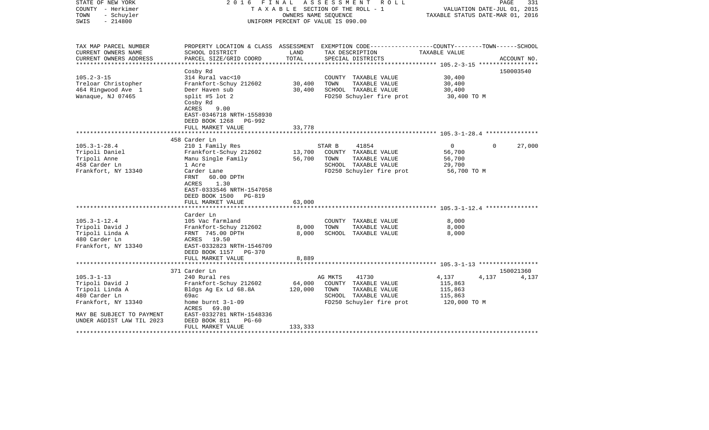| STATE OF NEW YORK<br>COUNTY - Herkimer<br>- Schuyler<br>TOWN<br>$-214800$<br>SWIS | FINAL<br>2016                                                                                                  | OWNERS NAME SEQUENCE | ASSESSMENT ROLL<br>TAXABLE SECTION OF THE ROLL - 1<br>UNIFORM PERCENT OF VALUE IS 090.00 |                | PAGE<br>331<br>VALUATION DATE-JUL 01, 2015<br>TAXABLE STATUS DATE-MAR 01, 2016 |  |
|-----------------------------------------------------------------------------------|----------------------------------------------------------------------------------------------------------------|----------------------|------------------------------------------------------------------------------------------|----------------|--------------------------------------------------------------------------------|--|
| TAX MAP PARCEL NUMBER<br>CURRENT OWNERS NAME                                      | PROPERTY LOCATION & CLASS ASSESSMENT<br>SCHOOL DISTRICT                                                        | LAND                 | EXEMPTION CODE-----------------COUNTY-------TOWN------SCHOOL<br>TAX DESCRIPTION          | TAXABLE VALUE  |                                                                                |  |
| CURRENT OWNERS ADDRESS<br>****************                                        | PARCEL SIZE/GRID COORD                                                                                         | TOTAL                | SPECIAL DISTRICTS                                                                        |                | ACCOUNT NO.                                                                    |  |
|                                                                                   | Cosby Rd                                                                                                       |                      |                                                                                          |                | 150003540                                                                      |  |
| $105.2 - 3 - 15$                                                                  | 314 Rural vac<10                                                                                               |                      | COUNTY TAXABLE VALUE                                                                     | 30,400         |                                                                                |  |
| Treloar Christopher                                                               | Frankfort-Schuy 212602                                                                                         | 30,400               | TOWN<br>TAXABLE VALUE                                                                    | 30,400         |                                                                                |  |
| 464 Ringwood Ave 1                                                                | Deer Haven sub                                                                                                 | 30,400               | SCHOOL TAXABLE VALUE                                                                     | 30,400         |                                                                                |  |
| Wanaque, NJ 07465                                                                 | split #5 lot 2<br>Cosby Rd<br>ACRES<br>9.00<br>EAST-0346718 NRTH-1558930<br>DEED BOOK 1268<br>PG-992           |                      | FD250 Schuyler fire prot                                                                 | 30,400 TO M    |                                                                                |  |
|                                                                                   | FULL MARKET VALUE<br>********************************                                                          | 33,778               |                                                                                          |                |                                                                                |  |
|                                                                                   | 458 Carder Ln                                                                                                  |                      |                                                                                          |                |                                                                                |  |
| $105.3 - 1 - 28.4$                                                                | 210 1 Family Res                                                                                               |                      | 41854<br>STAR B                                                                          | $\overline{0}$ | 27,000<br>$\Omega$                                                             |  |
| Tripoli Daniel                                                                    | Frankfort-Schuy 212602                                                                                         | 13,700               | COUNTY TAXABLE VALUE                                                                     | 56,700         |                                                                                |  |
| Tripoli Anne                                                                      | Manu Single Family                                                                                             | 56,700               | TOWN<br>TAXABLE VALUE                                                                    | 56,700         |                                                                                |  |
| 458 Carder Ln                                                                     | 1 Acre                                                                                                         |                      | SCHOOL TAXABLE VALUE                                                                     | 29,700         |                                                                                |  |
| Frankfort, NY 13340                                                               | Carder Lane                                                                                                    |                      | FD250 Schuyler fire prot                                                                 | 56,700 TO M    |                                                                                |  |
|                                                                                   | FRNT<br>60.00 DPTH<br>ACRES<br>1.30<br>EAST-0333546 NRTH-1547058<br>DEED BOOK 1500 PG-819<br>FULL MARKET VALUE | 63,000               |                                                                                          |                |                                                                                |  |
|                                                                                   |                                                                                                                |                      |                                                                                          |                |                                                                                |  |
|                                                                                   | Carder Ln                                                                                                      |                      |                                                                                          |                |                                                                                |  |
| $105.3 - 1 - 12.4$                                                                | 105 Vac farmland                                                                                               |                      | COUNTY TAXABLE VALUE                                                                     | 8,000          |                                                                                |  |
| Tripoli David J                                                                   | Frankfort-Schuy 212602                                                                                         | 8,000                | TOWN<br>TAXABLE VALUE                                                                    | 8,000          |                                                                                |  |
| Tripoli Linda A<br>480 Carder Ln                                                  | FRNT 745.00 DPTH<br>ACRES 19.50                                                                                | 8,000                | SCHOOL TAXABLE VALUE                                                                     | 8,000          |                                                                                |  |
| Frankfort, NY 13340                                                               | EAST-0332823 NRTH-1546709                                                                                      |                      |                                                                                          |                |                                                                                |  |
|                                                                                   | DEED BOOK 1157 PG-370                                                                                          |                      |                                                                                          |                |                                                                                |  |
|                                                                                   | FULL MARKET VALUE                                                                                              | 8,889                |                                                                                          |                |                                                                                |  |
|                                                                                   | 371 Carder Ln                                                                                                  |                      |                                                                                          |                | 150021360                                                                      |  |
| $105.3 - 1 - 13$                                                                  | 240 Rural res                                                                                                  |                      | AG MKTS<br>41730                                                                         | 4,137          | 4,137<br>4,137                                                                 |  |
| Tripoli David J                                                                   | Frankfort-Schuy 212602                                                                                         | 64,000               | COUNTY TAXABLE VALUE                                                                     | 115,863        |                                                                                |  |
| Tripoli Linda A                                                                   | Bldgs Ag Ex Ld 68.8A                                                                                           | 120,000              | TAXABLE VALUE<br>TOWN                                                                    | 115,863        |                                                                                |  |
| 480 Carder Ln                                                                     | 69ac                                                                                                           |                      | SCHOOL TAXABLE VALUE                                                                     | 115,863        |                                                                                |  |
| Frankfort, NY 13340                                                               | home burnt $3-1-09$                                                                                            |                      | FD250 Schuyler fire prot                                                                 | 120,000 TO M   |                                                                                |  |
|                                                                                   | ACRES<br>69.80                                                                                                 |                      |                                                                                          |                |                                                                                |  |
| MAY BE SUBJECT TO PAYMENT                                                         | EAST-0332781 NRTH-1548336                                                                                      |                      |                                                                                          |                |                                                                                |  |
| UNDER AGDIST LAW TIL 2023                                                         | DEED BOOK 811<br>$PG-60$                                                                                       |                      |                                                                                          |                |                                                                                |  |
|                                                                                   | FULL MARKET VALUE                                                                                              | 133,333              |                                                                                          |                |                                                                                |  |
| * * * * * * * * * * * * * * *                                                     |                                                                                                                |                      |                                                                                          |                |                                                                                |  |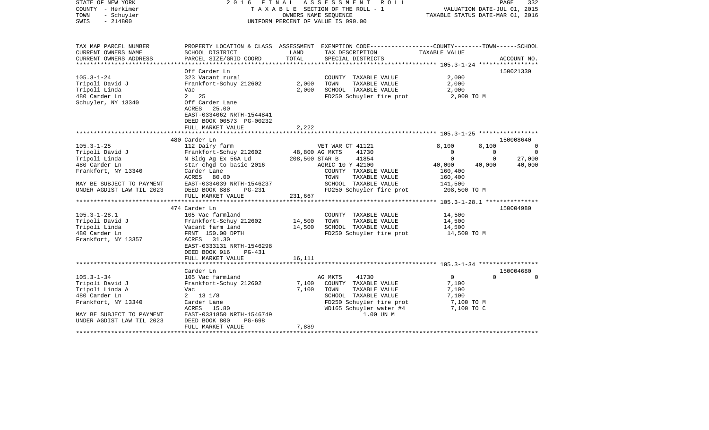| STATE OF NEW YORK<br>COUNTY - Herkimer<br>- Schuyler<br>TOWN<br>$-214800$<br>SWIS |                                                                                            |                | 2016 FINAL ASSESSMENT ROLL<br>TAXABLE SECTION OF THE ROLL - 1<br>OWNERS NAME SEQUENCE<br>UNIFORM PERCENT OF VALUE IS 090.00 | VALUATION DATE-JUL 01, 2015<br>TAXABLE STATUS DATE-MAR 01, 2016 | PAGE     | 332                      |
|-----------------------------------------------------------------------------------|--------------------------------------------------------------------------------------------|----------------|-----------------------------------------------------------------------------------------------------------------------------|-----------------------------------------------------------------|----------|--------------------------|
| TAX MAP PARCEL NUMBER<br>CURRENT OWNERS NAME                                      | SCHOOL DISTRICT                                                                            | LAND           | PROPERTY LOCATION & CLASS ASSESSMENT EXEMPTION CODE---------------COUNTY-------TOWN------SCHOOL<br>TAX DESCRIPTION          | TAXABLE VALUE                                                   |          |                          |
| CURRENT OWNERS ADDRESS<br>**********************                                  | PARCEL SIZE/GRID COORD                                                                     | TOTAL          | SPECIAL DISTRICTS                                                                                                           |                                                                 |          | ACCOUNT NO.              |
|                                                                                   | Off Carder Ln                                                                              |                |                                                                                                                             |                                                                 |          | 150021330                |
| $105.3 - 1 - 24$                                                                  | 323 Vacant rural                                                                           |                | COUNTY TAXABLE VALUE                                                                                                        | 2,000                                                           |          |                          |
| Tripoli David J                                                                   | Frankfort-Schuy 212602                                                                     | 2,000          | TOWN<br>TAXABLE VALUE                                                                                                       | 2,000                                                           |          |                          |
| Tripoli Linda                                                                     | Vac                                                                                        | 2,000          | SCHOOL TAXABLE VALUE                                                                                                        | 2,000                                                           |          |                          |
| 480 Carder Ln                                                                     | 2 25                                                                                       |                | FD250 Schuyler fire prot                                                                                                    | 2,000 TO M                                                      |          |                          |
| Schuyler, NY 13340                                                                | Off Carder Lane<br>ACRES<br>25.00<br>EAST-0334062 NRTH-1544841<br>DEED BOOK 00573 PG-00232 |                |                                                                                                                             |                                                                 |          |                          |
|                                                                                   | FULL MARKET VALUE                                                                          | 2,222          |                                                                                                                             |                                                                 |          |                          |
|                                                                                   |                                                                                            |                |                                                                                                                             |                                                                 |          |                          |
|                                                                                   | 480 Carder Ln                                                                              |                |                                                                                                                             |                                                                 |          | 150008640                |
| $105.3 - 1 - 25$                                                                  | 112 Dairy farm                                                                             |                | VET WAR CT 41121                                                                                                            | 8,100                                                           | 8,100    | $\overline{\phantom{0}}$ |
| Tripoli David J                                                                   | Frankfort-Schuy 212602                                                                     | 48,800 AG MKTS | 41730                                                                                                                       | $\Omega$                                                        | $\Omega$ | $\Omega$                 |
| Tripoli Linda                                                                     | N Bldg Ag Ex 56A Ld                                                                        | 208,500 STAR B | 41854                                                                                                                       | $\Omega$                                                        | $\Omega$ | 27,000                   |
| 480 Carder Ln                                                                     | star chgd to basic 2016                                                                    |                | AGRIC 10 Y 42100                                                                                                            | 40,000                                                          | 40,000   | 40,000                   |
| Frankfort, NY 13340                                                               | Carder Lane                                                                                |                | COUNTY TAXABLE VALUE                                                                                                        | 160,400                                                         |          |                          |
|                                                                                   | ACRES<br>80.00                                                                             |                | TAXABLE VALUE<br>TOWN                                                                                                       | 160,400                                                         |          |                          |
| MAY BE SUBJECT TO PAYMENT                                                         | EAST-0334039 NRTH-1546237                                                                  |                | SCHOOL TAXABLE VALUE                                                                                                        | 141,500                                                         |          |                          |
| UNDER AGDIST LAW TIL 2023                                                         | DEED BOOK 888<br>$PG-231$                                                                  |                | FD250 Schuyler fire prot                                                                                                    | 208,500 TO M                                                    |          |                          |
|                                                                                   | FULL MARKET VALUE                                                                          | 231,667        |                                                                                                                             |                                                                 |          |                          |
|                                                                                   |                                                                                            |                |                                                                                                                             |                                                                 |          |                          |
|                                                                                   | 474 Carder Ln                                                                              |                |                                                                                                                             |                                                                 |          | 150004980                |
| $105.3 - 1 - 28.1$                                                                | 105 Vac farmland                                                                           |                | COUNTY TAXABLE VALUE                                                                                                        | 14,500                                                          |          |                          |
| Tripoli David J                                                                   | Frankfort-Schuy 212602                                                                     | 14,500         | TAXABLE VALUE<br>TOWN                                                                                                       | 14,500                                                          |          |                          |
| Tripoli Linda                                                                     | Vacant farm land                                                                           | 14,500         | SCHOOL TAXABLE VALUE                                                                                                        | 14,500                                                          |          |                          |
| 480 Carder Ln                                                                     | FRNT 150.00 DPTH                                                                           |                | FD250 Schuyler fire prot                                                                                                    | 14,500 TO M                                                     |          |                          |
| Frankfort, NY 13357                                                               | ACRES 31.30                                                                                |                |                                                                                                                             |                                                                 |          |                          |
|                                                                                   | EAST-0333131 NRTH-1546298                                                                  |                |                                                                                                                             |                                                                 |          |                          |
|                                                                                   | DEED BOOK 916<br>$PG-431$                                                                  |                |                                                                                                                             |                                                                 |          |                          |
|                                                                                   | FULL MARKET VALUE                                                                          | 16,111         |                                                                                                                             |                                                                 |          |                          |
|                                                                                   | Carder Ln                                                                                  |                |                                                                                                                             |                                                                 |          | 150004680                |
| $105.3 - 1 - 34$                                                                  | 105 Vac farmland                                                                           |                | 41730<br>AG MKTS                                                                                                            | $\circ$                                                         | $\Omega$ | $\Omega$                 |
| Tripoli David J                                                                   | Frankfort-Schuy 212602                                                                     | 7,100          | COUNTY TAXABLE VALUE                                                                                                        | 7,100                                                           |          |                          |
| Tripoli Linda A                                                                   | Vac                                                                                        | 7,100          | TAXABLE VALUE<br>TOWN                                                                                                       | 7,100                                                           |          |                          |
| 480 Carder Ln                                                                     | $2 \t13 \t1/8$                                                                             |                | SCHOOL TAXABLE VALUE                                                                                                        | 7,100                                                           |          |                          |
| Frankfort, NY 13340                                                               | Carder Lane                                                                                |                | FD250 Schuyler fire prot                                                                                                    | 7,100 TO M                                                      |          |                          |
|                                                                                   | ACRES 15.80                                                                                |                | WD165 Schuyler water #4                                                                                                     | 7,100 TO C                                                      |          |                          |
| MAY BE SUBJECT TO PAYMENT                                                         | EAST-0331850 NRTH-1546749                                                                  |                | 1.00 UN M                                                                                                                   |                                                                 |          |                          |
| UNDER AGDIST LAW TIL 2023                                                         | DEED BOOK 800<br>PG-698                                                                    |                |                                                                                                                             |                                                                 |          |                          |
|                                                                                   | FULL MARKET VALUE                                                                          | 7,889          |                                                                                                                             |                                                                 |          |                          |
| * * * * * * * * * * * * * * *                                                     |                                                                                            |                |                                                                                                                             |                                                                 |          |                          |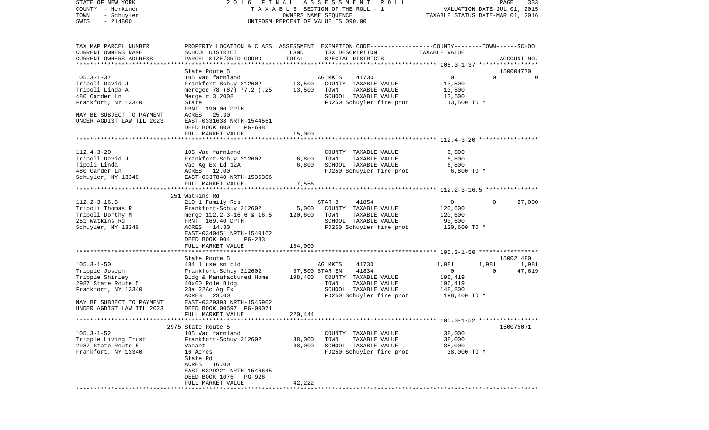| STATE OF NEW YORK                                   | 2016 FINAL                                    |                | ASSESSMENT<br>ROLL                                                                              |                                  | PAGE     | 333                      |
|-----------------------------------------------------|-----------------------------------------------|----------------|-------------------------------------------------------------------------------------------------|----------------------------------|----------|--------------------------|
| COUNTY - Herkimer                                   |                                               |                | TAXABLE SECTION OF THE ROLL - 1                                                                 | VALUATION DATE-JUL 01, 2015      |          |                          |
| TOWN<br>- Schuyler<br>$-214800$                     |                                               |                | OWNERS NAME SEQUENCE                                                                            | TAXABLE STATUS DATE-MAR 01, 2016 |          |                          |
| SWIS                                                |                                               |                | UNIFORM PERCENT OF VALUE IS 090.00                                                              |                                  |          |                          |
|                                                     |                                               |                |                                                                                                 |                                  |          |                          |
|                                                     |                                               |                |                                                                                                 |                                  |          |                          |
| TAX MAP PARCEL NUMBER                               |                                               |                | PROPERTY LOCATION & CLASS ASSESSMENT EXEMPTION CODE---------------COUNTY-------TOWN------SCHOOL |                                  |          |                          |
| CURRENT OWNERS NAME                                 | SCHOOL DISTRICT                               | LAND           | TAX DESCRIPTION                                                                                 | TAXABLE VALUE                    |          |                          |
| CURRENT OWNERS ADDRESS<br>************************* | PARCEL SIZE/GRID COORD                        | TOTAL          | SPECIAL DISTRICTS                                                                               |                                  |          | ACCOUNT NO.              |
|                                                     |                                               |                |                                                                                                 |                                  |          |                          |
| $105.3 - 1 - 37$                                    | State Route 5<br>105 Vac farmland             |                | AG MKTS<br>41730                                                                                | $\mathbf 0$                      | $\Omega$ | 150004770<br>$\mathbf 0$ |
| Tripoli David J                                     | Frankfort-Schuy 212602                        | 13,500         | COUNTY TAXABLE VALUE                                                                            | 13,500                           |          |                          |
| Tripoli Linda A                                     | mereged 78 (87) 77.2 (.25                     | 13,500         | TOWN<br>TAXABLE VALUE                                                                           | 13,500                           |          |                          |
| 480 Carder Ln                                       | Merge # 3 2008                                |                | SCHOOL TAXABLE VALUE                                                                            | 13,500                           |          |                          |
| Frankfort, NY 13340                                 | State                                         |                | FD250 Schuyler fire prot                                                                        | 13,500 TO M                      |          |                          |
|                                                     | FRNT 190.00 DPTH                              |                |                                                                                                 |                                  |          |                          |
| MAY BE SUBJECT TO PAYMENT                           | ACRES 25.30                                   |                |                                                                                                 |                                  |          |                          |
| UNDER AGDIST LAW TIL 2023                           | EAST-0331638 NRTH-1544561                     |                |                                                                                                 |                                  |          |                          |
|                                                     | DEED BOOK 800<br>PG-698                       |                |                                                                                                 |                                  |          |                          |
|                                                     | FULL MARKET VALUE                             | 15,000         |                                                                                                 |                                  |          |                          |
|                                                     |                                               |                |                                                                                                 |                                  |          |                          |
|                                                     |                                               |                |                                                                                                 |                                  |          |                          |
| $112.4 - 3 - 20$                                    | 105 Vac farmland                              |                | COUNTY TAXABLE VALUE                                                                            | 6,800                            |          |                          |
| Tripoli David J                                     | Frankfort-Schuy 212602                        | 6,800          | TOWN<br>TAXABLE VALUE                                                                           | 6,800                            |          |                          |
| Tipoli Linda                                        | Vac Ag Ex Ld 12A                              | 6,800          | SCHOOL TAXABLE VALUE                                                                            | 6,800                            |          |                          |
| 480 Carder Ln                                       | ACRES 12.00                                   |                | FD250 Schuyler fire prot                                                                        | 6,800 TO M                       |          |                          |
| Schuyler, NY 13340                                  | EAST-0337840 NRTH-1536306                     |                |                                                                                                 |                                  |          |                          |
|                                                     | FULL MARKET VALUE                             | 7,556          |                                                                                                 |                                  |          |                          |
|                                                     |                                               |                |                                                                                                 |                                  |          |                          |
|                                                     | 251 Watkins Rd                                |                |                                                                                                 |                                  |          |                          |
| $112.2 - 3 - 16.5$                                  | 210 1 Family Res                              |                | 41854<br>STAR B                                                                                 | $\mathbf 0$                      | $\Omega$ | 27,000                   |
| Tripoli Thomas R                                    | Frankfort-Schuy 212602                        | 5,000          | COUNTY TAXABLE VALUE<br>TOWN<br>TAXABLE VALUE                                                   | 120,600                          |          |                          |
| Tripoli Dorthy M<br>251 Watkins Rd                  | merge 112.2-3-16.6 & 16.5<br>FRNT 169.40 DPTH | 120,600        | SCHOOL TAXABLE VALUE                                                                            | 120,600<br>93,600                |          |                          |
| Schuyler, NY 13340                                  | ACRES 14.30                                   |                | FD250 Schuyler fire prot                                                                        | 120,600 TO M                     |          |                          |
|                                                     | EAST-0340451 NRTH-1540162                     |                |                                                                                                 |                                  |          |                          |
|                                                     | DEED BOOK 904<br>PG-233                       |                |                                                                                                 |                                  |          |                          |
|                                                     | FULL MARKET VALUE                             | 134,000        |                                                                                                 |                                  |          |                          |
|                                                     | ****************************                  |                |                                                                                                 |                                  |          |                          |
|                                                     | State Route 5                                 |                |                                                                                                 |                                  |          | 150021480                |
| $105.3 - 1 - 50$                                    | 484 1 use sm bld                              |                | AG MKTS<br>41730                                                                                | 1,981                            | 1,981    | 1,981                    |
| Tripple Joseph                                      | Frankfort-Schuy 212602                        | 37,500 STAR EN | 41834                                                                                           | 0                                | $\Omega$ | 47,619                   |
| Tripple Shirley                                     | Bldg & Manufactured Home                      | 198,400        | COUNTY TAXABLE VALUE                                                                            | 196,419                          |          |                          |
| 2987 State Route 5                                  | 40x60 Pole Bldg                               |                | TAXABLE VALUE<br>TOWN                                                                           | 196,419                          |          |                          |
| Frankfort, NY 13340                                 | 23a 22Ac Ag Ex                                |                | SCHOOL TAXABLE VALUE                                                                            | 148,800                          |          |                          |
|                                                     | ACRES 23.00                                   |                | FD250 Schuyler fire prot                                                                        | 198,400 TO M                     |          |                          |
| MAY BE SUBJECT TO PAYMENT                           | EAST-0329393 NRTH-1545902                     |                |                                                                                                 |                                  |          |                          |
| UNDER AGDIST LAW TIL 2023                           | DEED BOOK 00597 PG-00071                      |                |                                                                                                 |                                  |          |                          |
|                                                     | FULL MARKET VALUE                             | 220,444        |                                                                                                 |                                  |          |                          |
|                                                     |                                               |                |                                                                                                 |                                  |          |                          |
|                                                     | 2975 State Route 5                            |                |                                                                                                 |                                  |          | 150075071                |
| $105.3 - 1 - 52$                                    | 105 Vac farmland                              |                | COUNTY TAXABLE VALUE                                                                            | 38,000                           |          |                          |
| Tripple Living Trust                                | Frankfort-Schuy 212602                        | 38,000         | TOWN<br>TAXABLE VALUE                                                                           | 38,000                           |          |                          |
| 2987 State Route 5                                  | Vacant                                        | 38,000         | SCHOOL TAXABLE VALUE                                                                            | 38,000                           |          |                          |
| Frankfort, NY 13340                                 | 16 Acres<br>State Rd                          |                | FD250 Schuyler fire prot                                                                        | 38,000 TO M                      |          |                          |
|                                                     | ACRES 16.00                                   |                |                                                                                                 |                                  |          |                          |
|                                                     | EAST-0329221 NRTH-1546645                     |                |                                                                                                 |                                  |          |                          |
|                                                     | DEED BOOK 1076<br>PG-926                      |                |                                                                                                 |                                  |          |                          |
|                                                     | FULL MARKET VALUE                             | 42,222         |                                                                                                 |                                  |          |                          |
| **************                                      |                                               |                |                                                                                                 |                                  |          |                          |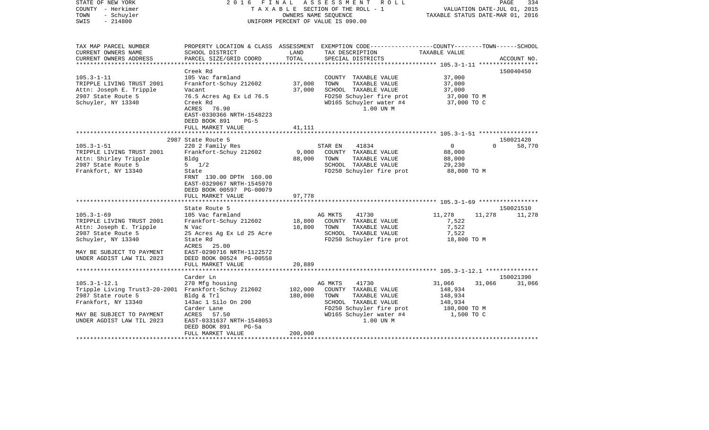| STATE OF NEW YORK<br>COUNTY - Herkimer<br>- Schuyler<br>TOWN<br>$-214800$<br>SWIS                                                                                                 |                                                                                                                                                                                                          |                           | 2016 FINAL ASSESSMENT ROLL<br>TAXABLE SECTION OF THE ROLL - 1<br>OWNERS NAME SEQUENCE<br>UNIFORM PERCENT OF VALUE IS 090.00                                   | VALUATION DATE-JUL 01, 2015<br>TAXABLE STATUS DATE-MAR 01, 2016       | PAGE     | 334                 |
|-----------------------------------------------------------------------------------------------------------------------------------------------------------------------------------|----------------------------------------------------------------------------------------------------------------------------------------------------------------------------------------------------------|---------------------------|---------------------------------------------------------------------------------------------------------------------------------------------------------------|-----------------------------------------------------------------------|----------|---------------------|
| TAX MAP PARCEL NUMBER<br>CURRENT OWNERS NAME                                                                                                                                      | SCHOOL DISTRICT                                                                                                                                                                                          | LAND                      | PROPERTY LOCATION & CLASS ASSESSMENT EXEMPTION CODE----------------COUNTY-------TOWN-----SCHOOL<br>TAX DESCRIPTION                                            | TAXABLE VALUE                                                         |          |                     |
| CURRENT OWNERS ADDRESS<br>**********************                                                                                                                                  | PARCEL SIZE/GRID COORD                                                                                                                                                                                   | TOTAL                     | SPECIAL DISTRICTS                                                                                                                                             |                                                                       |          | ACCOUNT NO.         |
|                                                                                                                                                                                   | Creek Rd                                                                                                                                                                                                 |                           |                                                                                                                                                               |                                                                       |          | 150040450           |
| $105.3 - 1 - 11$<br>TRIPPLE LIVING TRUST 2001<br>Attn: Joseph E. Tripple<br>2987 State Route 5<br>Schuyler, NY 13340                                                              | 105 Vac farmland<br>Frankfort-Schuy 212602<br>Vacant<br>76.5 Acres Ag Ex Ld 76.5<br>Creek Rd<br>ACRES 76.90                                                                                              | 37,000<br>37,000          | COUNTY TAXABLE VALUE<br>TOWN<br>TAXABLE VALUE<br>SCHOOL TAXABLE VALUE<br>FD250 Schuyler fire prot<br>WD165 Schuyler water #4<br>1.00 UN M                     | 37,000<br>37,000<br>37,000<br>37,000 TO M<br>37,000 TO C              |          |                     |
|                                                                                                                                                                                   | EAST-0330366 NRTH-1548223<br>DEED BOOK 891<br>$PG-5$                                                                                                                                                     |                           |                                                                                                                                                               |                                                                       |          |                     |
|                                                                                                                                                                                   | FULL MARKET VALUE                                                                                                                                                                                        | 41,111                    |                                                                                                                                                               |                                                                       |          |                     |
|                                                                                                                                                                                   |                                                                                                                                                                                                          |                           |                                                                                                                                                               |                                                                       |          |                     |
|                                                                                                                                                                                   | 2987 State Route 5                                                                                                                                                                                       |                           |                                                                                                                                                               |                                                                       |          | 150021420           |
| $105.3 - 1 - 51$<br>TRIPPLE LIVING TRUST 2001<br>Attn: Shirley Tripple<br>2987 State Route 5<br>Frankfort, NY 13340                                                               | 220 2 Family Res<br>Frankfort-Schuy 212602<br>Bldg<br>$5 \frac{1}{2}$<br>State<br>FRNT 130.00 DPTH 160.00<br>EAST-0329067 NRTH-1545970<br>DEED BOOK 00597 PG-00079<br>FULL MARKET VALUE<br>State Route 5 | 9,000<br>88,000<br>97,778 | 41834<br>STAR EN<br>COUNTY TAXABLE VALUE<br>TAXABLE VALUE<br>TOWN<br>SCHOOL TAXABLE VALUE<br>FD250 Schuyler fire prot                                         | $\overline{0}$<br>88,000<br>88,000<br>29,230<br>88,000 TO M           | $\Omega$ | 58,770<br>150021510 |
| $105.3 - 1 - 69$                                                                                                                                                                  | 105 Vac farmland                                                                                                                                                                                         |                           | 41730<br>AG MKTS                                                                                                                                              | 11,278                                                                | 11,278   | 11,278              |
| TRIPPLE LIVING TRUST 2001<br>Attn: Joseph E. Tripple<br>2987 State Route 5<br>Schuyler, NY 13340<br>MAY BE SUBJECT TO PAYMENT<br>UNDER AGDIST LAW TIL 2023                        | Frankfort-Schuy 212602<br>N Vac<br>25 Acres Ag Ex Ld 25 Acre<br>State Rd<br>ACRES 25.00<br>EAST-0290716 NRTH-1122572<br>DEED BOOK 00524 PG-00558                                                         | 18,800<br>18,800          | COUNTY TAXABLE VALUE<br>TOWN<br>TAXABLE VALUE<br>SCHOOL TAXABLE VALUE<br>FD250 Schuyler fire prot                                                             | 7,522<br>7,522<br>7,522<br>18,800 TO M                                |          |                     |
|                                                                                                                                                                                   | FULL MARKET VALUE                                                                                                                                                                                        | 20,889                    |                                                                                                                                                               |                                                                       |          |                     |
|                                                                                                                                                                                   | Carder Ln                                                                                                                                                                                                |                           |                                                                                                                                                               |                                                                       |          | 150021390           |
| $105.3 - 1 - 12.1$<br>Tripple Living Trust3-20-2001 Frankfort-Schuy 212602<br>2987 State route 5<br>Frankfort, NY 13340<br>MAY BE SUBJECT TO PAYMENT<br>UNDER AGDIST LAW TIL 2023 | 270 Mfg housing<br>Bldg & Trl<br>143ac 1 Silo On 200<br>Carder Lane<br>ACRES 57.50<br>EAST-0331637 NRTH-1548053<br>DEED BOOK 891<br>$PG-5a$                                                              | 102,000<br>180,000        | AG MKTS<br>41730<br>COUNTY TAXABLE VALUE<br>TAXABLE VALUE<br>TOWN<br>SCHOOL TAXABLE VALUE<br>FD250 Schuyler fire prot<br>WD165 Schuyler water #4<br>1.00 UN M | 31,066<br>148,934<br>148,934<br>148,934<br>180,000 TO M<br>1,500 TO C | 31,066   | 31,066              |
|                                                                                                                                                                                   | FULL MARKET VALUE                                                                                                                                                                                        | 200,000                   |                                                                                                                                                               |                                                                       |          |                     |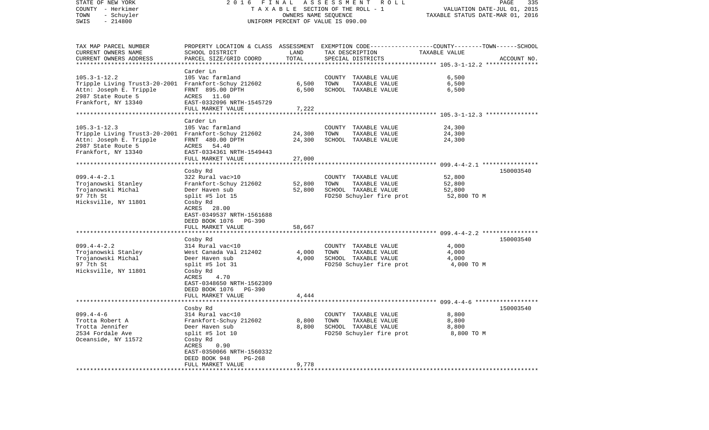| STATE OF NEW YORK<br>COUNTY - Herkimer<br>TOWN<br>- Schuyler<br>$-214800$<br>SWIS                                                                  | FINAL<br>2016                                                                                                                                                                      | OWNERS NAME SEQUENCE | A S S E S S M E N T<br>R O L L<br>TAXABLE SECTION OF THE ROLL - 1<br>UNIFORM PERCENT OF VALUE IS 090.00 | VALUATION DATE-JUL 01, 2015<br>TAXABLE STATUS DATE-MAR 01, 2016 | PAGE<br>335 |
|----------------------------------------------------------------------------------------------------------------------------------------------------|------------------------------------------------------------------------------------------------------------------------------------------------------------------------------------|----------------------|---------------------------------------------------------------------------------------------------------|-----------------------------------------------------------------|-------------|
| TAX MAP PARCEL NUMBER<br>CURRENT OWNERS NAME<br>CURRENT OWNERS ADDRESS                                                                             | PROPERTY LOCATION & CLASS ASSESSMENT EXEMPTION CODE----------------COUNTY-------TOWN------SCHOOL<br>SCHOOL DISTRICT<br>PARCEL SIZE/GRID COORD                                      | LAND<br>TOTAL        | TAX DESCRIPTION<br>SPECIAL DISTRICTS                                                                    | TAXABLE VALUE                                                   | ACCOUNT NO. |
| *********************                                                                                                                              |                                                                                                                                                                                    |                      |                                                                                                         |                                                                 |             |
| $105.3 - 1 - 12.2$<br>Tripple Living Trust3-20-2001 Frankfort-Schuy 212602<br>Attn: Joseph E. Tripple<br>2987 State Route 5<br>Frankfort, NY 13340 | Carder Ln<br>105 Vac farmland<br>FRNT 895.00 DPTH<br>ACRES 11.60<br>EAST-0332096 NRTH-1545729                                                                                      | 6,500<br>6,500       | COUNTY TAXABLE VALUE<br>TOWN<br>TAXABLE VALUE<br>SCHOOL TAXABLE VALUE                                   | 6,500<br>6,500<br>6,500                                         |             |
|                                                                                                                                                    | FULL MARKET VALUE                                                                                                                                                                  | 7,222                |                                                                                                         |                                                                 |             |
|                                                                                                                                                    | *******************                                                                                                                                                                | ********             |                                                                                                         |                                                                 |             |
| $105.3 - 1 - 12.3$<br>Tripple Living Trust3-20-2001 Frankfort-Schuy 212602<br>Attn: Joseph E. Tripple<br>2987 State Route 5<br>Frankfort, NY 13340 | Carder Ln<br>105 Vac farmland<br>FRNT 480.00 DPTH<br>ACRES 54.40<br>EAST-0334361 NRTH-1549443                                                                                      | 24,300<br>24,300     | COUNTY TAXABLE VALUE<br>TOWN<br>TAXABLE VALUE<br>SCHOOL TAXABLE VALUE                                   | 24,300<br>24,300<br>24,300                                      |             |
|                                                                                                                                                    | FULL MARKET VALUE                                                                                                                                                                  | 27,000               |                                                                                                         |                                                                 |             |
|                                                                                                                                                    | ***********************                                                                                                                                                            |                      |                                                                                                         |                                                                 |             |
| $099.4 - 4 - 2.1$<br>Trojanowski Stanley<br>Trojanowski Michal<br>97 7th St                                                                        | Cosby Rd<br>322 Rural vac>10<br>Frankfort-Schuy 212602<br>Deer Haven sub<br>split #5 lot $15$                                                                                      | 52,800<br>52,800     | COUNTY TAXABLE VALUE<br>TOWN<br>TAXABLE VALUE<br>SCHOOL TAXABLE VALUE<br>FD250 Schuyler fire prot       | 52,800<br>52,800<br>52,800<br>52,800 TO M                       | 150003540   |
| Hicksville, NY 11801                                                                                                                               | Cosby Rd<br>ACRES 28.00<br>EAST-0349537 NRTH-1561688<br>DEED BOOK 1076<br>PG-390<br>FULL MARKET VALUE                                                                              | 58,667               |                                                                                                         |                                                                 |             |
|                                                                                                                                                    | *********************                                                                                                                                                              |                      |                                                                                                         |                                                                 |             |
|                                                                                                                                                    | Cosby Rd                                                                                                                                                                           |                      |                                                                                                         |                                                                 | 150003540   |
| $099.4 - 4 - 2.2$<br>Trojanowski Stanley<br>Trojanowski Michal<br>97 7th St<br>Hicksville, NY 11801                                                | 314 Rural vac<10<br>West Canada Val 212402<br>Deer Haven sub<br>split #5 lot $31$<br>Cosby Rd<br>ACRES<br>4.70<br>EAST-0348650 NRTH-1562309<br>DEED BOOK 1076<br>PG-390            | 4,000<br>4,000       | COUNTY TAXABLE VALUE<br>TOWN<br>TAXABLE VALUE<br>SCHOOL TAXABLE VALUE<br>FD250 Schuyler fire prot       | 4,000<br>4,000<br>4,000<br>4,000 TO M                           |             |
|                                                                                                                                                    | FULL MARKET VALUE                                                                                                                                                                  | 4,444                |                                                                                                         |                                                                 |             |
|                                                                                                                                                    |                                                                                                                                                                                    |                      |                                                                                                         |                                                                 |             |
| $099.4 - 4 - 6$<br>Trotta Robert A<br>Trotta Jennifer<br>2534 Fordale Ave<br>Oceanside, NY 11572                                                   | Cosby Rd<br>314 Rural vac<10<br>Frankfort-Schuy 212602<br>Deer Haven sub<br>split #5 lot 10<br>Cosby Rd<br>ACRES<br>0.90<br>EAST-0350066 NRTH-1560332<br>DEED BOOK 948<br>$PG-268$ | 8,800<br>8,800       | COUNTY TAXABLE VALUE<br>TAXABLE VALUE<br>TOWN<br>SCHOOL TAXABLE VALUE<br>FD250 Schuyler fire prot       | 8,800<br>8,800<br>8,800<br>8,800 TO M                           | 150003540   |
|                                                                                                                                                    | FULL MARKET VALUE                                                                                                                                                                  | 9,778                |                                                                                                         |                                                                 |             |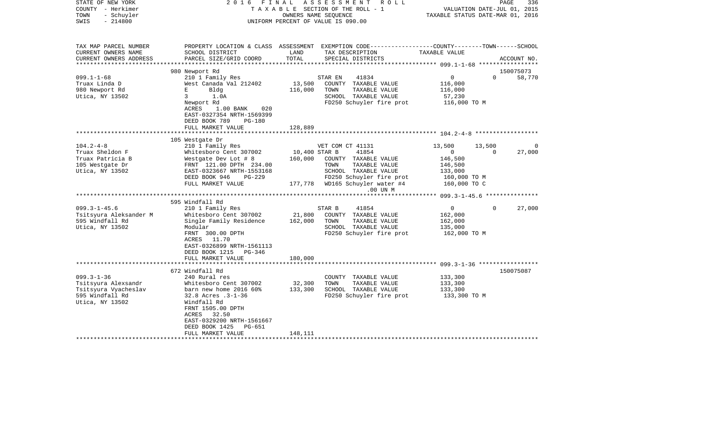| STATE OF NEW YORK<br>COUNTY - Herkimer<br>- Schuyler<br>TOWN<br>$-214800$<br>SWIS                     | 2016<br>FINAL                                                                                                                                                                                                          |                          | ASSESSMENT<br>R O L L<br>TAXABLE SECTION OF THE ROLL - 1<br>OWNERS NAME SEQUENCE<br>UNIFORM PERCENT OF VALUE IS 090.00                   | TAXABLE STATUS DATE-MAR 01, 2016                                | PAGE<br>VALUATION DATE-JUL 01, 2015 | 336         |
|-------------------------------------------------------------------------------------------------------|------------------------------------------------------------------------------------------------------------------------------------------------------------------------------------------------------------------------|--------------------------|------------------------------------------------------------------------------------------------------------------------------------------|-----------------------------------------------------------------|-------------------------------------|-------------|
| TAX MAP PARCEL NUMBER<br>CURRENT OWNERS NAME<br>CURRENT OWNERS ADDRESS<br>*******************         | SCHOOL DISTRICT<br>PARCEL SIZE/GRID COORD                                                                                                                                                                              | LAND<br>TOTAL            | PROPERTY LOCATION & CLASS ASSESSMENT EXEMPTION CODE----------------COUNTY-------TOWN------SCHOOL<br>TAX DESCRIPTION<br>SPECIAL DISTRICTS | TAXABLE VALUE                                                   |                                     | ACCOUNT NO. |
|                                                                                                       | 980 Newport Rd                                                                                                                                                                                                         |                          |                                                                                                                                          |                                                                 |                                     | 150075073   |
| $099.1 - 1 - 68$<br>Truax Linda D<br>980 Newport Rd<br>Utica, NY 13502                                | 210 1 Family Res<br>West Canada Val 212402<br>Е<br>Bldg<br>$\mathbf{3}$<br>1.0A<br>Newport Rd<br>ACRES<br>$1.00$ BANK<br>020<br>EAST-0327354 NRTH-1569399                                                              | 13,500<br>116,000        | 41834<br>STAR EN<br>COUNTY TAXABLE VALUE<br>TOWN<br>TAXABLE VALUE<br>SCHOOL TAXABLE VALUE<br>FD250 Schuyler fire prot                    | $\overline{0}$<br>116,000<br>116,000<br>57,230<br>116,000 TO M  | $\Omega$                            | 58,770      |
|                                                                                                       | DEED BOOK 789<br><b>PG-180</b>                                                                                                                                                                                         |                          |                                                                                                                                          |                                                                 |                                     |             |
|                                                                                                       | FULL MARKET VALUE                                                                                                                                                                                                      | 128,889                  |                                                                                                                                          |                                                                 |                                     |             |
|                                                                                                       | 105 Westgate Dr                                                                                                                                                                                                        |                          |                                                                                                                                          |                                                                 |                                     |             |
| $104.2 - 4 - 8$                                                                                       | 210 1 Family Res                                                                                                                                                                                                       |                          | VET COM CT 41131                                                                                                                         | 13,500                                                          | 13,500                              | $\Omega$    |
| Truax Sheldon F<br>Truax Patricia B<br>105 Westgate Dr<br>Utica, NY 13502                             | Whitesboro Cent 307002<br>Westgate Dev Lot # 8<br>FRNT 121.00 DPTH 234.00<br>EAST-0323667 NRTH-1553168<br>DEED BOOK 946<br>PG-229                                                                                      | 10,400 STAR B<br>160,000 | 41854<br>COUNTY TAXABLE VALUE<br>TOWN<br>TAXABLE VALUE<br>SCHOOL TAXABLE VALUE<br>FD250 Schuyler fire prot                               | $\overline{0}$<br>146,500<br>146,500<br>133,000<br>160,000 TO M | 0                                   | 27,000      |
|                                                                                                       | FULL MARKET VALUE                                                                                                                                                                                                      |                          | 177,778 WD165 Schuyler water #4<br>.00 UN M                                                                                              | 160,000 TO C                                                    |                                     |             |
|                                                                                                       |                                                                                                                                                                                                                        |                          |                                                                                                                                          |                                                                 |                                     |             |
|                                                                                                       | 595 Windfall Rd                                                                                                                                                                                                        |                          |                                                                                                                                          |                                                                 |                                     |             |
| $099.3 - 1 - 45.6$<br>Tsitsyura Aleksander M<br>595 Windfall Rd<br>Utica, NY 13502                    | 210 1 Family Res<br>Whitesboro Cent 307002<br>Single Family Residence<br>Modular<br>FRNT 300.00 DPTH<br>ACRES 11.70<br>EAST-0326899 NRTH-1561113                                                                       | 21,800<br>162,000        | STAR B<br>41854<br>COUNTY TAXABLE VALUE<br>TOWN<br>TAXABLE VALUE<br>SCHOOL TAXABLE VALUE<br>FD250 Schuyler fire prot                     | 0<br>162,000<br>162,000<br>135,000<br>162,000 TO M              | $\Omega$                            | 27,000      |
|                                                                                                       | DEED BOOK 1215 PG-346<br>FULL MARKET VALUE                                                                                                                                                                             | 180,000                  |                                                                                                                                          |                                                                 |                                     |             |
|                                                                                                       | ************************                                                                                                                                                                                               |                          |                                                                                                                                          |                                                                 |                                     | 150075087   |
| $099.3 - 1 - 36$<br>Tsitsyura Alexsandr<br>Tsitsyura Vyacheslav<br>595 Windfall Rd<br>Utica, NY 13502 | 672 Windfall Rd<br>240 Rural res<br>Whitesboro Cent 307002<br>barn new home 2016 60%<br>32.8 Acres .3-1-36<br>Windfall Rd<br>FRNT 1505.00 DPTH<br>ACRES 32.50<br>EAST-0329200 NRTH-1561667<br>DEED BOOK 1425<br>PG-651 | 32,300<br>133,300        | COUNTY TAXABLE VALUE<br>TOWN<br>TAXABLE VALUE<br>SCHOOL TAXABLE VALUE<br>FD250 Schuyler fire prot                                        | 133,300<br>133,300<br>133,300<br>133,300 TO M                   |                                     |             |
|                                                                                                       | FULL MARKET VALUE                                                                                                                                                                                                      | 148,111                  |                                                                                                                                          |                                                                 |                                     |             |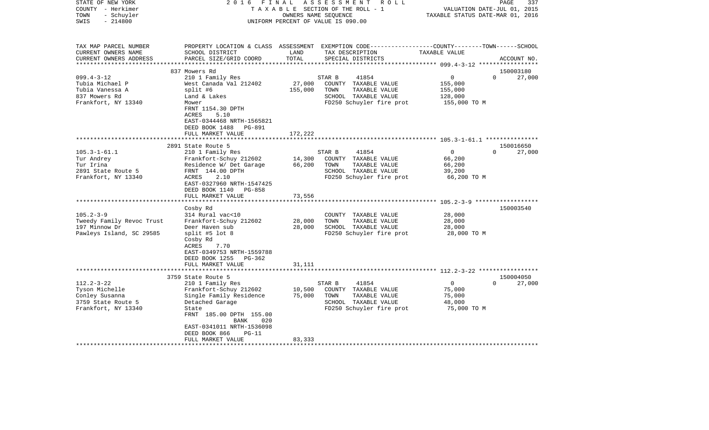| STATE OF NEW YORK<br>COUNTY - Herkimer<br>- Schuyler<br>TOWN<br>$-214800$<br>SWIS | 2 0 1 6<br>FINAL                                      | OWNERS NAME SEQUENCE | ASSESSMENT<br>R O L L<br>TAXABLE SECTION OF THE ROLL - 1<br>UNIFORM PERCENT OF VALUE IS 090.00                                          | VALUATION DATE-JUL 01, 2015<br>TAXABLE STATUS DATE-MAR 01, 2016 | 337<br>PAGE                     |
|-----------------------------------------------------------------------------------|-------------------------------------------------------|----------------------|-----------------------------------------------------------------------------------------------------------------------------------------|-----------------------------------------------------------------|---------------------------------|
| TAX MAP PARCEL NUMBER<br>CURRENT OWNERS NAME<br>CURRENT OWNERS ADDRESS            | SCHOOL DISTRICT<br>PARCEL SIZE/GRID COORD             | LAND<br>TOTAL        | PROPERTY LOCATION & CLASS ASSESSMENT EXEMPTION CODE---------------COUNTY-------TOWN------SCHOOL<br>TAX DESCRIPTION<br>SPECIAL DISTRICTS | TAXABLE VALUE                                                   | ACCOUNT NO.                     |
| ************************                                                          |                                                       |                      |                                                                                                                                         |                                                                 |                                 |
| $099.4 - 3 - 12$                                                                  | 837 Mowers Rd<br>210 1 Family Res                     |                      | 41854<br>STAR B                                                                                                                         | 0                                                               | 150003180<br>$\Omega$<br>27,000 |
| Tubia Michael P                                                                   | West Canada Val 212402                                | 27,000               | COUNTY TAXABLE VALUE                                                                                                                    | 155,000                                                         |                                 |
| Tubia Vanessa A                                                                   | split #6                                              | 155,000              | TAXABLE VALUE<br>TOWN                                                                                                                   | 155,000                                                         |                                 |
| 837 Mowers Rd                                                                     | Land & Lakes                                          |                      | SCHOOL TAXABLE VALUE                                                                                                                    | 128,000                                                         |                                 |
| Frankfort, NY 13340                                                               | Mower                                                 |                      | FD250 Schuyler fire prot                                                                                                                | 155,000 TO M                                                    |                                 |
|                                                                                   | FRNT 1154.30 DPTH                                     |                      |                                                                                                                                         |                                                                 |                                 |
|                                                                                   | ACRES<br>5.10                                         |                      |                                                                                                                                         |                                                                 |                                 |
|                                                                                   | EAST-0344468 NRTH-1565821<br>DEED BOOK 1488 PG-891    |                      |                                                                                                                                         |                                                                 |                                 |
|                                                                                   | FULL MARKET VALUE                                     | 172,222              |                                                                                                                                         |                                                                 |                                 |
|                                                                                   |                                                       |                      |                                                                                                                                         |                                                                 |                                 |
|                                                                                   | 2891 State Route 5                                    |                      |                                                                                                                                         |                                                                 | 150016650                       |
| $105.3 - 1 - 61.1$                                                                | 210 1 Family Res                                      |                      | 41854<br>STAR B                                                                                                                         | $\mathbf{0}$                                                    | 27,000<br>$\Omega$              |
| Tur Andrey                                                                        | Frankfort-Schuy 212602                                | 14,300               | COUNTY TAXABLE VALUE                                                                                                                    | 66,200                                                          |                                 |
| Tur Irina                                                                         | Residence W/ Det Garage                               | 66,200               | TOWN<br>TAXABLE VALUE                                                                                                                   | 66,200                                                          |                                 |
| 2891 State Route 5                                                                | FRNT 144.00 DPTH                                      |                      | SCHOOL TAXABLE VALUE                                                                                                                    | 39,200                                                          |                                 |
| Frankfort, NY 13340                                                               | 2.10<br>ACRES                                         |                      | FD250 Schuyler fire prot                                                                                                                | 66,200 TO M                                                     |                                 |
|                                                                                   | EAST-0327960 NRTH-1547425<br>DEED BOOK 1140<br>PG-858 |                      |                                                                                                                                         |                                                                 |                                 |
|                                                                                   | FULL MARKET VALUE                                     | 73,556               |                                                                                                                                         |                                                                 |                                 |
|                                                                                   | *******************                                   |                      |                                                                                                                                         | ************************ 105.2-3-9 *******************          |                                 |
|                                                                                   | Cosby Rd                                              |                      |                                                                                                                                         |                                                                 | 150003540                       |
| $105.2 - 3 - 9$                                                                   | 314 Rural vac<10                                      |                      | COUNTY TAXABLE VALUE                                                                                                                    | 28,000                                                          |                                 |
| Tweedy Family Revoc Trust                                                         | Frankfort-Schuy 212602                                | 28,000               | TOWN<br>TAXABLE VALUE                                                                                                                   | 28,000                                                          |                                 |
| 197 Minnow Dr                                                                     | Deer Haven sub                                        | 28,000               | SCHOOL TAXABLE VALUE                                                                                                                    | 28,000                                                          |                                 |
| Pawleys Island, SC 29585                                                          | split #5 lot 8                                        |                      | FD250 Schuyler fire prot                                                                                                                | 28,000 TO M                                                     |                                 |
|                                                                                   | Cosby Rd                                              |                      |                                                                                                                                         |                                                                 |                                 |
|                                                                                   | ACRES<br>7.70<br>EAST-0349753 NRTH-1559788            |                      |                                                                                                                                         |                                                                 |                                 |
|                                                                                   | DEED BOOK 1255<br>PG-362                              |                      |                                                                                                                                         |                                                                 |                                 |
|                                                                                   | FULL MARKET VALUE                                     | 31,111               |                                                                                                                                         |                                                                 |                                 |
|                                                                                   |                                                       |                      |                                                                                                                                         |                                                                 |                                 |
|                                                                                   | 3759 State Route 5                                    |                      |                                                                                                                                         |                                                                 | 150004050                       |
| $112.2 - 3 - 22$                                                                  | 210 1 Family Res                                      |                      | STAR B<br>41854                                                                                                                         | $\overline{0}$                                                  | $\Omega$<br>27,000              |
| Tyson Michelle                                                                    | Frankfort-Schuy 212602                                | 10,500               | COUNTY TAXABLE VALUE                                                                                                                    | 75,000                                                          |                                 |
| Conley Susanna                                                                    | Single Family Residence                               | 75,000               | TOWN<br>TAXABLE VALUE                                                                                                                   | 75,000                                                          |                                 |
| 3759 State Route 5                                                                | Detached Garage                                       |                      | SCHOOL TAXABLE VALUE                                                                                                                    | 48,000                                                          |                                 |
| Frankfort, NY 13340                                                               | State<br>FRNT 185.00 DPTH 155.00                      |                      | FD250 Schuyler fire prot                                                                                                                | 75,000 TO M                                                     |                                 |
|                                                                                   | BANK<br>020                                           |                      |                                                                                                                                         |                                                                 |                                 |
|                                                                                   | EAST-0341011 NRTH-1536098                             |                      |                                                                                                                                         |                                                                 |                                 |
|                                                                                   | DEED BOOK 866<br>$PG-11$                              |                      |                                                                                                                                         |                                                                 |                                 |
|                                                                                   | FULL MARKET VALUE                                     | 83,333               |                                                                                                                                         |                                                                 |                                 |
|                                                                                   |                                                       |                      |                                                                                                                                         |                                                                 |                                 |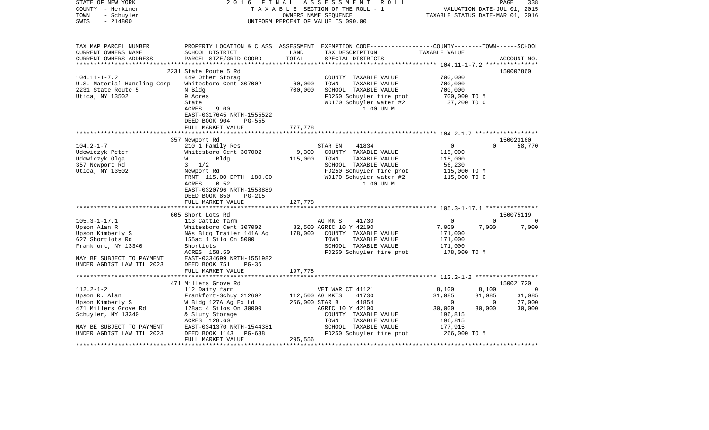| STATE OF NEW YORK<br>COUNTY - Herkimer<br>- Schuyler<br>TOWN<br>$-214800$<br>SWIS | 2 0 1 6<br>FINAL                               | OWNERS NAME SEQUENCE              | ASSESSMENT<br>R O L L<br>TAXABLE SECTION OF THE ROLL - 1<br>UNIFORM PERCENT OF VALUE IS 090.00                                           | TAXABLE STATUS DATE-MAR 01, 2016 | VALUATION DATE-JUL 01, 2015 | 338<br>PAGE      |
|-----------------------------------------------------------------------------------|------------------------------------------------|-----------------------------------|------------------------------------------------------------------------------------------------------------------------------------------|----------------------------------|-----------------------------|------------------|
| TAX MAP PARCEL NUMBER<br>CURRENT OWNERS NAME<br>CURRENT OWNERS ADDRESS            | SCHOOL DISTRICT<br>PARCEL SIZE/GRID COORD      | LAND<br>TOTAL                     | PROPERTY LOCATION & CLASS ASSESSMENT EXEMPTION CODE----------------COUNTY-------TOWN------SCHOOL<br>TAX DESCRIPTION<br>SPECIAL DISTRICTS | TAXABLE VALUE                    |                             | ACCOUNT NO.      |
|                                                                                   |                                                |                                   |                                                                                                                                          |                                  |                             |                  |
|                                                                                   | 2231 State Route 5 Rd                          |                                   |                                                                                                                                          |                                  |                             | 150007860        |
| $104.11 - 1 - 7.2$                                                                | 449 Other Storag                               |                                   | COUNTY TAXABLE VALUE                                                                                                                     | 700,000                          |                             |                  |
| U.S. Material Handling Corp                                                       | Whitesboro Cent 307002                         | 60,000                            | TOWN<br>TAXABLE VALUE                                                                                                                    | 700,000                          |                             |                  |
| 2231 State Route 5                                                                | N Bldg                                         | 700,000                           | SCHOOL TAXABLE VALUE                                                                                                                     | 700,000                          |                             |                  |
| Utica, NY 13502                                                                   | 9 Acres                                        |                                   | FD250 Schuyler fire prot                                                                                                                 | 700,000 TO M                     |                             |                  |
|                                                                                   | State                                          |                                   | WD170 Schuyler water #2                                                                                                                  | 37,200 TO C                      |                             |                  |
|                                                                                   | <b>ACRES</b><br>9.00                           |                                   | 1.00 UN M                                                                                                                                |                                  |                             |                  |
|                                                                                   | EAST-0317645 NRTH-1555522<br>$PG-555$          |                                   |                                                                                                                                          |                                  |                             |                  |
|                                                                                   | DEED BOOK 904<br>FULL MARKET VALUE             | 777,778                           |                                                                                                                                          |                                  |                             |                  |
|                                                                                   | **************************                     |                                   |                                                                                                                                          |                                  |                             |                  |
|                                                                                   | 357 Newport Rd                                 |                                   |                                                                                                                                          |                                  |                             | 150023160        |
| $104.2 - 1 - 7$                                                                   | 210 1 Family Res                               |                                   | 41834<br>STAR EN                                                                                                                         | $\mathbf{0}$                     | $\Omega$                    | 58,770           |
| Udowiczyk Peter                                                                   | Whitesboro Cent 307002                         | 9,300                             | COUNTY TAXABLE VALUE                                                                                                                     | 115,000                          |                             |                  |
| Udowiczyk Olga                                                                    | W<br>Bldg                                      | 115,000                           | TOWN<br>TAXABLE VALUE                                                                                                                    | 115,000                          |                             |                  |
| 357 Newport Rd                                                                    | $3 \frac{1}{2}$                                |                                   | SCHOOL TAXABLE VALUE                                                                                                                     | 56,230                           |                             |                  |
| Utica, NY 13502                                                                   | Newport Rd                                     |                                   | FD250 Schuyler fire prot                                                                                                                 | 115,000 TO M                     |                             |                  |
|                                                                                   | FRNT 115.00 DPTH 180.00                        |                                   | WD170 Schuyler water #2                                                                                                                  | 115,000 TO C                     |                             |                  |
|                                                                                   | 0.52<br>ACRES                                  |                                   | 1.00 UN M                                                                                                                                |                                  |                             |                  |
|                                                                                   | EAST-0320796 NRTH-1558889                      |                                   |                                                                                                                                          |                                  |                             |                  |
|                                                                                   | DEED BOOK 850<br>PG-215                        |                                   |                                                                                                                                          |                                  |                             |                  |
|                                                                                   | FULL MARKET VALUE                              | 127,778                           |                                                                                                                                          |                                  |                             |                  |
|                                                                                   | 605 Short Lots Rd                              |                                   |                                                                                                                                          |                                  |                             | 150075119        |
| $105.3 - 1 - 17.1$                                                                | 113 Cattle farm                                |                                   | AG MKTS<br>41730                                                                                                                         | 0                                | $\Omega$                    | $\Omega$         |
| Upson Alan R                                                                      | Whitesboro Cent 307002                         |                                   | 82,500 AGRIC 10 Y 42100                                                                                                                  | 7,000                            | 7,000                       | 7,000            |
| Upson Kimberly S                                                                  | N&s Bldg Trailer 141A Ag                       | 178,000                           | COUNTY TAXABLE VALUE                                                                                                                     | 171,000                          |                             |                  |
| 627 Shortlots Rd                                                                  | 155ac 1 Silo On 5000                           |                                   | TOWN<br>TAXABLE VALUE                                                                                                                    | 171,000                          |                             |                  |
| Frankfort, NY 13340                                                               | Shortlots                                      |                                   | SCHOOL TAXABLE VALUE                                                                                                                     | 171,000                          |                             |                  |
|                                                                                   | ACRES 158.50                                   |                                   | FD250 Schuyler fire prot                                                                                                                 | 178,000 TO M                     |                             |                  |
| MAY BE SUBJECT TO PAYMENT                                                         | EAST-0334699 NRTH-1551982                      |                                   |                                                                                                                                          |                                  |                             |                  |
| UNDER AGDIST LAW TIL 2023                                                         | DEED BOOK 751<br>$PG-36$                       |                                   |                                                                                                                                          |                                  |                             |                  |
|                                                                                   | FULL MARKET VALUE                              | 197,778                           |                                                                                                                                          |                                  |                             |                  |
|                                                                                   | **********************                         |                                   |                                                                                                                                          |                                  |                             |                  |
|                                                                                   | 471 Millers Grove Rd                           |                                   |                                                                                                                                          |                                  |                             | 150021720        |
| $112.2 - 1 - 2$                                                                   | 112 Dairy farm                                 |                                   | VET WAR CT 41121                                                                                                                         | 8,100                            | 8,100                       | $\Omega$         |
| Upson R. Alan                                                                     | Frankfort-Schuy 212602                         | 112,500 AG MKTS<br>266,000 STAR B | 41730<br>41854                                                                                                                           | 31,085<br>$\overline{0}$         | 31,085<br>$\Omega$          | 31,085<br>27,000 |
| Upson Kimberly S<br>471 Millers Grove Rd                                          | W Bldg 127A Ag Ex Ld<br>128ac 4 Silos On 30000 |                                   | AGRIC 10 Y 42100                                                                                                                         | 30,000                           | 30,000                      | 30,000           |
| Schuyler, NY 13340                                                                | & Slury Storage                                |                                   | COUNTY TAXABLE VALUE                                                                                                                     | 196,815                          |                             |                  |
|                                                                                   | ACRES 128.60                                   |                                   | TAXABLE VALUE<br>TOWN                                                                                                                    | 196,815                          |                             |                  |
| MAY BE SUBJECT TO PAYMENT                                                         | EAST-0341370 NRTH-1544381                      |                                   | SCHOOL TAXABLE VALUE                                                                                                                     | 177,915                          |                             |                  |
| UNDER AGDIST LAW TIL 2023                                                         | DEED BOOK 1143<br>PG-638                       |                                   | FD250 Schuyler fire prot                                                                                                                 | 266,000 TO M                     |                             |                  |
|                                                                                   | FULL MARKET VALUE                              | 295,556                           |                                                                                                                                          |                                  |                             |                  |
|                                                                                   |                                                |                                   |                                                                                                                                          |                                  | *********************       |                  |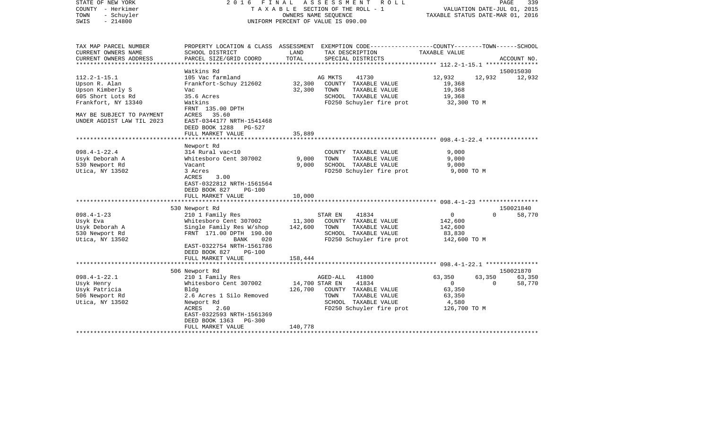| TAX MAP PARCEL NUMBER<br>PROPERTY LOCATION & CLASS ASSESSMENT EXEMPTION CODE---------------COUNTY-------TOWN------SCHOOL<br>CURRENT OWNERS NAME<br>SCHOOL DISTRICT<br>LAND<br>TAX DESCRIPTION<br>TAXABLE VALUE<br>TOTAL<br>CURRENT OWNERS ADDRESS<br>PARCEL SIZE/GRID COORD<br>SPECIAL DISTRICTS<br>ACCOUNT NO.<br>Watkins Rd<br>150015030<br>$112.2 - 1 - 15.1$<br>105 Vac farmland<br>AG MKTS<br>41730<br>12,932<br>12,932<br>12,932<br>32,300<br>Upson R. Alan<br>Frankfort-Schuy 212602<br>COUNTY TAXABLE VALUE<br>19,368<br>Upson Kimberly S<br>32,300<br>TOWN<br>TAXABLE VALUE<br>19,368<br>Vac<br>605 Short Lots Rd<br>35.6 Acres<br>SCHOOL TAXABLE VALUE<br>19,368<br>Frankfort, NY 13340<br>FD250 Schuyler fire prot<br>32,300 TO M<br>Watkins<br>FRNT 135.00 DPTH<br>MAY BE SUBJECT TO PAYMENT<br>ACRES 35.60<br>UNDER AGDIST LAW TIL 2023<br>EAST-0344177 NRTH-1541468<br>DEED BOOK 1288 PG-527<br>FULL MARKET VALUE<br>35,889<br>*************************<br>Newport Rd<br>$098.4 - 1 - 22.4$<br>9,000<br>314 Rural vac<10<br>COUNTY TAXABLE VALUE<br>9,000<br>9,000<br>Usyk Deborah A<br>Whitesboro Cent 307002<br>TOWN<br>TAXABLE VALUE<br>9,000<br>SCHOOL TAXABLE VALUE<br>9,000<br>530 Newport Rd<br>Vacant<br>Utica, NY 13502<br>FD250 Schuyler fire prot 9,000 TO M<br>3 Acres<br>ACRES<br>3.00<br>EAST-0322812 NRTH-1561564<br>DEED BOOK 827<br><b>PG-100</b><br>10,000<br>FULL MARKET VALUE<br>530 Newport Rd<br>150021840<br>$098.4 - 1 - 23$<br>210 1 Family Res<br>$\overline{0}$<br>$\Omega$<br>58,770<br>STAR EN<br>41834<br>Whitesboro Cent 307002<br>11,300<br>COUNTY TAXABLE VALUE<br>142,600<br>Usyk Eva<br>142,600<br>Usyk Deborah A<br>Single Family Res W/shop<br>TOWN<br>TAXABLE VALUE<br>142,600<br>FRNT 171.00 DPTH 190.00<br>SCHOOL TAXABLE VALUE<br>530 Newport Rd<br>83,830<br>FD250 Schuyler fire prot<br>Utica, NY 13502<br>BANK<br>142,600 TO M<br>020<br>EAST-0322754 NRTH-1561786<br>DEED BOOK 827 PG-100<br>FULL MARKET VALUE<br>158,444<br>506 Newport Rd<br>150021870<br>$098.4 - 1 - 22.1$<br>63,350<br>63,350<br>210 1 Family Res<br>AGED-ALL<br>41800<br>63,350<br>Whitesboro Cent 307002<br>14,700 STAR EN<br>41834<br>$\overline{0}$<br>58,770<br>Usyk Henry<br>$\overline{0}$<br>126,700<br>63,350<br>Usyk Patricia<br>Bldg<br>COUNTY TAXABLE VALUE<br>506 Newport Rd<br>TOWN<br>TAXABLE VALUE<br>63,350<br>2.6 Acres 1 Silo Removed<br>Utica, NY 13502<br>SCHOOL TAXABLE VALUE<br>4,580<br>Newport Rd<br>FD250 Schuyler fire prot<br>ACRES<br>2.60<br>126,700 ТО М<br>EAST-0322593 NRTH-1561369<br>DEED BOOK 1363<br>PG-300<br>140,778<br>FULL MARKET VALUE | STATE OF NEW YORK<br>COUNTY - Herkimer<br>TOWN<br>- Schuyler<br>$-214800$<br>SWIS | 2016 FINAL ASSESSMENT ROLL<br>TAXABLE SECTION OF THE ROLL - 1<br>OWNERS NAME SEOUENCE<br>UNIFORM PERCENT OF VALUE IS 090.00 |  |  | PAGE<br>339<br>VALUATION DATE-JUL 01, 2015<br>TAXABLE STATUS DATE-MAR 01, 2016 |  |  |
|-------------------------------------------------------------------------------------------------------------------------------------------------------------------------------------------------------------------------------------------------------------------------------------------------------------------------------------------------------------------------------------------------------------------------------------------------------------------------------------------------------------------------------------------------------------------------------------------------------------------------------------------------------------------------------------------------------------------------------------------------------------------------------------------------------------------------------------------------------------------------------------------------------------------------------------------------------------------------------------------------------------------------------------------------------------------------------------------------------------------------------------------------------------------------------------------------------------------------------------------------------------------------------------------------------------------------------------------------------------------------------------------------------------------------------------------------------------------------------------------------------------------------------------------------------------------------------------------------------------------------------------------------------------------------------------------------------------------------------------------------------------------------------------------------------------------------------------------------------------------------------------------------------------------------------------------------------------------------------------------------------------------------------------------------------------------------------------------------------------------------------------------------------------------------------------------------------------------------------------------------------------------------------------------------------------------------------------------------------------------------------------------------------------------------------------------------------------------------------------------------------------------------------------------------------------------------------------------------------------------|-----------------------------------------------------------------------------------|-----------------------------------------------------------------------------------------------------------------------------|--|--|--------------------------------------------------------------------------------|--|--|
|                                                                                                                                                                                                                                                                                                                                                                                                                                                                                                                                                                                                                                                                                                                                                                                                                                                                                                                                                                                                                                                                                                                                                                                                                                                                                                                                                                                                                                                                                                                                                                                                                                                                                                                                                                                                                                                                                                                                                                                                                                                                                                                                                                                                                                                                                                                                                                                                                                                                                                                                                                                                                   |                                                                                   |                                                                                                                             |  |  |                                                                                |  |  |
|                                                                                                                                                                                                                                                                                                                                                                                                                                                                                                                                                                                                                                                                                                                                                                                                                                                                                                                                                                                                                                                                                                                                                                                                                                                                                                                                                                                                                                                                                                                                                                                                                                                                                                                                                                                                                                                                                                                                                                                                                                                                                                                                                                                                                                                                                                                                                                                                                                                                                                                                                                                                                   |                                                                                   |                                                                                                                             |  |  |                                                                                |  |  |
|                                                                                                                                                                                                                                                                                                                                                                                                                                                                                                                                                                                                                                                                                                                                                                                                                                                                                                                                                                                                                                                                                                                                                                                                                                                                                                                                                                                                                                                                                                                                                                                                                                                                                                                                                                                                                                                                                                                                                                                                                                                                                                                                                                                                                                                                                                                                                                                                                                                                                                                                                                                                                   |                                                                                   |                                                                                                                             |  |  |                                                                                |  |  |
|                                                                                                                                                                                                                                                                                                                                                                                                                                                                                                                                                                                                                                                                                                                                                                                                                                                                                                                                                                                                                                                                                                                                                                                                                                                                                                                                                                                                                                                                                                                                                                                                                                                                                                                                                                                                                                                                                                                                                                                                                                                                                                                                                                                                                                                                                                                                                                                                                                                                                                                                                                                                                   |                                                                                   |                                                                                                                             |  |  |                                                                                |  |  |
|                                                                                                                                                                                                                                                                                                                                                                                                                                                                                                                                                                                                                                                                                                                                                                                                                                                                                                                                                                                                                                                                                                                                                                                                                                                                                                                                                                                                                                                                                                                                                                                                                                                                                                                                                                                                                                                                                                                                                                                                                                                                                                                                                                                                                                                                                                                                                                                                                                                                                                                                                                                                                   |                                                                                   |                                                                                                                             |  |  |                                                                                |  |  |
|                                                                                                                                                                                                                                                                                                                                                                                                                                                                                                                                                                                                                                                                                                                                                                                                                                                                                                                                                                                                                                                                                                                                                                                                                                                                                                                                                                                                                                                                                                                                                                                                                                                                                                                                                                                                                                                                                                                                                                                                                                                                                                                                                                                                                                                                                                                                                                                                                                                                                                                                                                                                                   |                                                                                   |                                                                                                                             |  |  |                                                                                |  |  |
|                                                                                                                                                                                                                                                                                                                                                                                                                                                                                                                                                                                                                                                                                                                                                                                                                                                                                                                                                                                                                                                                                                                                                                                                                                                                                                                                                                                                                                                                                                                                                                                                                                                                                                                                                                                                                                                                                                                                                                                                                                                                                                                                                                                                                                                                                                                                                                                                                                                                                                                                                                                                                   |                                                                                   |                                                                                                                             |  |  |                                                                                |  |  |
|                                                                                                                                                                                                                                                                                                                                                                                                                                                                                                                                                                                                                                                                                                                                                                                                                                                                                                                                                                                                                                                                                                                                                                                                                                                                                                                                                                                                                                                                                                                                                                                                                                                                                                                                                                                                                                                                                                                                                                                                                                                                                                                                                                                                                                                                                                                                                                                                                                                                                                                                                                                                                   |                                                                                   |                                                                                                                             |  |  |                                                                                |  |  |
|                                                                                                                                                                                                                                                                                                                                                                                                                                                                                                                                                                                                                                                                                                                                                                                                                                                                                                                                                                                                                                                                                                                                                                                                                                                                                                                                                                                                                                                                                                                                                                                                                                                                                                                                                                                                                                                                                                                                                                                                                                                                                                                                                                                                                                                                                                                                                                                                                                                                                                                                                                                                                   |                                                                                   |                                                                                                                             |  |  |                                                                                |  |  |
|                                                                                                                                                                                                                                                                                                                                                                                                                                                                                                                                                                                                                                                                                                                                                                                                                                                                                                                                                                                                                                                                                                                                                                                                                                                                                                                                                                                                                                                                                                                                                                                                                                                                                                                                                                                                                                                                                                                                                                                                                                                                                                                                                                                                                                                                                                                                                                                                                                                                                                                                                                                                                   |                                                                                   |                                                                                                                             |  |  |                                                                                |  |  |
|                                                                                                                                                                                                                                                                                                                                                                                                                                                                                                                                                                                                                                                                                                                                                                                                                                                                                                                                                                                                                                                                                                                                                                                                                                                                                                                                                                                                                                                                                                                                                                                                                                                                                                                                                                                                                                                                                                                                                                                                                                                                                                                                                                                                                                                                                                                                                                                                                                                                                                                                                                                                                   |                                                                                   |                                                                                                                             |  |  |                                                                                |  |  |
|                                                                                                                                                                                                                                                                                                                                                                                                                                                                                                                                                                                                                                                                                                                                                                                                                                                                                                                                                                                                                                                                                                                                                                                                                                                                                                                                                                                                                                                                                                                                                                                                                                                                                                                                                                                                                                                                                                                                                                                                                                                                                                                                                                                                                                                                                                                                                                                                                                                                                                                                                                                                                   |                                                                                   |                                                                                                                             |  |  |                                                                                |  |  |
|                                                                                                                                                                                                                                                                                                                                                                                                                                                                                                                                                                                                                                                                                                                                                                                                                                                                                                                                                                                                                                                                                                                                                                                                                                                                                                                                                                                                                                                                                                                                                                                                                                                                                                                                                                                                                                                                                                                                                                                                                                                                                                                                                                                                                                                                                                                                                                                                                                                                                                                                                                                                                   |                                                                                   |                                                                                                                             |  |  |                                                                                |  |  |
|                                                                                                                                                                                                                                                                                                                                                                                                                                                                                                                                                                                                                                                                                                                                                                                                                                                                                                                                                                                                                                                                                                                                                                                                                                                                                                                                                                                                                                                                                                                                                                                                                                                                                                                                                                                                                                                                                                                                                                                                                                                                                                                                                                                                                                                                                                                                                                                                                                                                                                                                                                                                                   |                                                                                   |                                                                                                                             |  |  |                                                                                |  |  |
|                                                                                                                                                                                                                                                                                                                                                                                                                                                                                                                                                                                                                                                                                                                                                                                                                                                                                                                                                                                                                                                                                                                                                                                                                                                                                                                                                                                                                                                                                                                                                                                                                                                                                                                                                                                                                                                                                                                                                                                                                                                                                                                                                                                                                                                                                                                                                                                                                                                                                                                                                                                                                   |                                                                                   |                                                                                                                             |  |  |                                                                                |  |  |
|                                                                                                                                                                                                                                                                                                                                                                                                                                                                                                                                                                                                                                                                                                                                                                                                                                                                                                                                                                                                                                                                                                                                                                                                                                                                                                                                                                                                                                                                                                                                                                                                                                                                                                                                                                                                                                                                                                                                                                                                                                                                                                                                                                                                                                                                                                                                                                                                                                                                                                                                                                                                                   |                                                                                   |                                                                                                                             |  |  |                                                                                |  |  |
|                                                                                                                                                                                                                                                                                                                                                                                                                                                                                                                                                                                                                                                                                                                                                                                                                                                                                                                                                                                                                                                                                                                                                                                                                                                                                                                                                                                                                                                                                                                                                                                                                                                                                                                                                                                                                                                                                                                                                                                                                                                                                                                                                                                                                                                                                                                                                                                                                                                                                                                                                                                                                   |                                                                                   |                                                                                                                             |  |  |                                                                                |  |  |
|                                                                                                                                                                                                                                                                                                                                                                                                                                                                                                                                                                                                                                                                                                                                                                                                                                                                                                                                                                                                                                                                                                                                                                                                                                                                                                                                                                                                                                                                                                                                                                                                                                                                                                                                                                                                                                                                                                                                                                                                                                                                                                                                                                                                                                                                                                                                                                                                                                                                                                                                                                                                                   |                                                                                   |                                                                                                                             |  |  |                                                                                |  |  |
|                                                                                                                                                                                                                                                                                                                                                                                                                                                                                                                                                                                                                                                                                                                                                                                                                                                                                                                                                                                                                                                                                                                                                                                                                                                                                                                                                                                                                                                                                                                                                                                                                                                                                                                                                                                                                                                                                                                                                                                                                                                                                                                                                                                                                                                                                                                                                                                                                                                                                                                                                                                                                   |                                                                                   |                                                                                                                             |  |  |                                                                                |  |  |
|                                                                                                                                                                                                                                                                                                                                                                                                                                                                                                                                                                                                                                                                                                                                                                                                                                                                                                                                                                                                                                                                                                                                                                                                                                                                                                                                                                                                                                                                                                                                                                                                                                                                                                                                                                                                                                                                                                                                                                                                                                                                                                                                                                                                                                                                                                                                                                                                                                                                                                                                                                                                                   |                                                                                   |                                                                                                                             |  |  |                                                                                |  |  |
|                                                                                                                                                                                                                                                                                                                                                                                                                                                                                                                                                                                                                                                                                                                                                                                                                                                                                                                                                                                                                                                                                                                                                                                                                                                                                                                                                                                                                                                                                                                                                                                                                                                                                                                                                                                                                                                                                                                                                                                                                                                                                                                                                                                                                                                                                                                                                                                                                                                                                                                                                                                                                   |                                                                                   |                                                                                                                             |  |  |                                                                                |  |  |
|                                                                                                                                                                                                                                                                                                                                                                                                                                                                                                                                                                                                                                                                                                                                                                                                                                                                                                                                                                                                                                                                                                                                                                                                                                                                                                                                                                                                                                                                                                                                                                                                                                                                                                                                                                                                                                                                                                                                                                                                                                                                                                                                                                                                                                                                                                                                                                                                                                                                                                                                                                                                                   |                                                                                   |                                                                                                                             |  |  |                                                                                |  |  |
|                                                                                                                                                                                                                                                                                                                                                                                                                                                                                                                                                                                                                                                                                                                                                                                                                                                                                                                                                                                                                                                                                                                                                                                                                                                                                                                                                                                                                                                                                                                                                                                                                                                                                                                                                                                                                                                                                                                                                                                                                                                                                                                                                                                                                                                                                                                                                                                                                                                                                                                                                                                                                   |                                                                                   |                                                                                                                             |  |  |                                                                                |  |  |
|                                                                                                                                                                                                                                                                                                                                                                                                                                                                                                                                                                                                                                                                                                                                                                                                                                                                                                                                                                                                                                                                                                                                                                                                                                                                                                                                                                                                                                                                                                                                                                                                                                                                                                                                                                                                                                                                                                                                                                                                                                                                                                                                                                                                                                                                                                                                                                                                                                                                                                                                                                                                                   |                                                                                   |                                                                                                                             |  |  |                                                                                |  |  |
|                                                                                                                                                                                                                                                                                                                                                                                                                                                                                                                                                                                                                                                                                                                                                                                                                                                                                                                                                                                                                                                                                                                                                                                                                                                                                                                                                                                                                                                                                                                                                                                                                                                                                                                                                                                                                                                                                                                                                                                                                                                                                                                                                                                                                                                                                                                                                                                                                                                                                                                                                                                                                   |                                                                                   |                                                                                                                             |  |  |                                                                                |  |  |
|                                                                                                                                                                                                                                                                                                                                                                                                                                                                                                                                                                                                                                                                                                                                                                                                                                                                                                                                                                                                                                                                                                                                                                                                                                                                                                                                                                                                                                                                                                                                                                                                                                                                                                                                                                                                                                                                                                                                                                                                                                                                                                                                                                                                                                                                                                                                                                                                                                                                                                                                                                                                                   |                                                                                   |                                                                                                                             |  |  |                                                                                |  |  |
|                                                                                                                                                                                                                                                                                                                                                                                                                                                                                                                                                                                                                                                                                                                                                                                                                                                                                                                                                                                                                                                                                                                                                                                                                                                                                                                                                                                                                                                                                                                                                                                                                                                                                                                                                                                                                                                                                                                                                                                                                                                                                                                                                                                                                                                                                                                                                                                                                                                                                                                                                                                                                   |                                                                                   |                                                                                                                             |  |  |                                                                                |  |  |
|                                                                                                                                                                                                                                                                                                                                                                                                                                                                                                                                                                                                                                                                                                                                                                                                                                                                                                                                                                                                                                                                                                                                                                                                                                                                                                                                                                                                                                                                                                                                                                                                                                                                                                                                                                                                                                                                                                                                                                                                                                                                                                                                                                                                                                                                                                                                                                                                                                                                                                                                                                                                                   |                                                                                   |                                                                                                                             |  |  |                                                                                |  |  |
|                                                                                                                                                                                                                                                                                                                                                                                                                                                                                                                                                                                                                                                                                                                                                                                                                                                                                                                                                                                                                                                                                                                                                                                                                                                                                                                                                                                                                                                                                                                                                                                                                                                                                                                                                                                                                                                                                                                                                                                                                                                                                                                                                                                                                                                                                                                                                                                                                                                                                                                                                                                                                   |                                                                                   |                                                                                                                             |  |  |                                                                                |  |  |
|                                                                                                                                                                                                                                                                                                                                                                                                                                                                                                                                                                                                                                                                                                                                                                                                                                                                                                                                                                                                                                                                                                                                                                                                                                                                                                                                                                                                                                                                                                                                                                                                                                                                                                                                                                                                                                                                                                                                                                                                                                                                                                                                                                                                                                                                                                                                                                                                                                                                                                                                                                                                                   |                                                                                   |                                                                                                                             |  |  |                                                                                |  |  |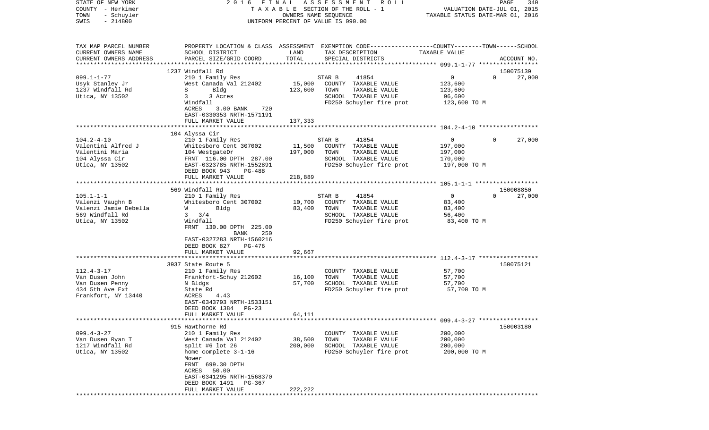| COUNTY<br>– Herkimer<br>TOWN<br>- Schuyler<br>SWIS<br>$-214800$                                    |                                                                                                                                                                                                                      | T A X A B L E SECTION OF THE ROLL - 1<br>OWNERS NAME SEQUENCE<br>UNIFORM PERCENT OF VALUE IS 090.00 |                                                                                                                                         |                                                               | VALUATION DATE-JUL 01, 2015<br>TAXABLE STATUS DATE-MAR 01, 2016 |  |  |
|----------------------------------------------------------------------------------------------------|----------------------------------------------------------------------------------------------------------------------------------------------------------------------------------------------------------------------|-----------------------------------------------------------------------------------------------------|-----------------------------------------------------------------------------------------------------------------------------------------|---------------------------------------------------------------|-----------------------------------------------------------------|--|--|
| TAX MAP PARCEL NUMBER<br>CURRENT OWNERS NAME<br>CURRENT OWNERS ADDRESS                             | SCHOOL DISTRICT<br>PARCEL SIZE/GRID COORD                                                                                                                                                                            | LAND<br>TOTAL                                                                                       | PROPERTY LOCATION & CLASS ASSESSMENT EXEMPTION CODE---------------COUNTY-------TOWN------SCHOOL<br>TAX DESCRIPTION<br>SPECIAL DISTRICTS | TAXABLE VALUE                                                 | ACCOUNT NO.                                                     |  |  |
| *******************                                                                                |                                                                                                                                                                                                                      |                                                                                                     |                                                                                                                                         |                                                               |                                                                 |  |  |
| $099.1 - 1 - 77$                                                                                   | 1237 Windfall Rd<br>210 1 Family Res                                                                                                                                                                                 |                                                                                                     | STAR B<br>41854                                                                                                                         | $\overline{0}$                                                | 150075139<br>$\Omega$<br>27,000                                 |  |  |
| Usyk Stanley Jr<br>1237 Windfall Rd<br>Utica, NY 13502                                             | West Canada Val 212402<br>S<br>Bldg<br>3 Acres<br>3<br>Windfall<br>ACRES<br>$3.00$ BANK<br>720<br>EAST-0330353 NRTH-1571191                                                                                          | 15,000<br>123,600                                                                                   | COUNTY TAXABLE VALUE<br>TOWN<br>TAXABLE VALUE<br>SCHOOL TAXABLE VALUE<br>FD250 Schuyler fire prot                                       | 123,600<br>123,600<br>96,600<br>123,600 TO M                  |                                                                 |  |  |
|                                                                                                    | FULL MARKET VALUE                                                                                                                                                                                                    | 137,333                                                                                             |                                                                                                                                         |                                                               |                                                                 |  |  |
|                                                                                                    |                                                                                                                                                                                                                      |                                                                                                     |                                                                                                                                         |                                                               |                                                                 |  |  |
| $104.2 - 4 - 10$<br>Valentini Alfred J<br>Valentini Maria<br>104 Alyssa Cir<br>Utica, NY 13502     | 104 Alyssa Cir<br>210 1 Family Res<br>Whitesboro Cent 307002<br>104 WestgateDr<br>FRNT 116.00 DPTH 287.00<br>EAST-0323785 NRTH-1552891<br>DEED BOOK 943<br>$PG-488$                                                  | 11,500<br>197,000                                                                                   | STAR B<br>41854<br>COUNTY TAXABLE VALUE<br>TOWN<br>TAXABLE VALUE<br>SCHOOL TAXABLE VALUE<br>FD250 Schuyler fire prot                    | $\mathbf{0}$<br>197,000<br>197,000<br>170,000<br>197,000 TO M | 27,000<br>$\Omega$                                              |  |  |
|                                                                                                    | FULL MARKET VALUE                                                                                                                                                                                                    | 218,889                                                                                             |                                                                                                                                         |                                                               |                                                                 |  |  |
|                                                                                                    | 569 Windfall Rd                                                                                                                                                                                                      |                                                                                                     |                                                                                                                                         |                                                               | 150008850                                                       |  |  |
| $105.1 - 1 - 1$<br>Valenzi Vaughn B<br>Valenzi Jamie Debella<br>569 Windfall Rd<br>Utica, NY 13502 | 210 1 Family Res<br>Whitesboro Cent 307002<br>Bldg<br>W<br>3/4<br>3<br>Windfall<br>FRNT 130.00 DPTH 225.00<br>BANK<br>250<br>EAST-0327283 NRTH-1560216                                                               | 10,700<br>83,400                                                                                    | 41854<br>STAR B<br>COUNTY TAXABLE VALUE<br>TOWN<br>TAXABLE VALUE<br>SCHOOL TAXABLE VALUE<br>FD250 Schuyler fire prot                    | $\overline{0}$<br>83,400<br>83,400<br>56,400<br>83,400 TO M   | $\Omega$<br>27,000                                              |  |  |
|                                                                                                    | DEED BOOK 827<br>PG-476                                                                                                                                                                                              | 92,667                                                                                              |                                                                                                                                         |                                                               |                                                                 |  |  |
| $112.4 - 3 - 17$<br>Van Dusen John<br>Van Dusen Penny<br>434 5th Ave Ext                           | FULL MARKET VALUE<br>3937 State Route 5<br>210 1 Family Res<br>Frankfort-Schuy 212602<br>N Bldgs<br>State Rd                                                                                                         | 16,100<br>57,700                                                                                    | COUNTY TAXABLE VALUE<br>TOWN<br>TAXABLE VALUE<br>SCHOOL TAXABLE VALUE<br>FD250 Schuyler fire prot                                       | 57,700<br>57,700<br>57,700<br>57,700 TO M                     | 150075121                                                       |  |  |
| Frankfort, NY 13440                                                                                | ACRES<br>4.43<br>EAST-0343793 NRTH-1533151<br>DEED BOOK 1384<br>$PG-23$<br>FULL MARKET VALUE                                                                                                                         | 64,111                                                                                              |                                                                                                                                         |                                                               |                                                                 |  |  |
|                                                                                                    | **************************                                                                                                                                                                                           |                                                                                                     |                                                                                                                                         |                                                               |                                                                 |  |  |
| $099.4 - 3 - 27$<br>Van Dusen Ryan T<br>1217 Windfall Rd<br>Utica, NY 13502                        | 915 Hawthorne Rd<br>210 1 Family Res<br>West Canada Val 212402<br>split #6 lot 26<br>home complete 3-1-16<br>Mower<br>FRNT<br>699.30 DPTH<br>ACRES<br>50.00<br>EAST-0341295 NRTH-1568370<br>DEED BOOK 1491<br>PG-367 | 38,500<br>200,000                                                                                   | COUNTY<br>TAXABLE VALUE<br>TOWN<br>TAXABLE VALUE<br>SCHOOL TAXABLE VALUE<br>FD250 Schuyler fire prot                                    | 200,000<br>200,000<br>200,000<br>200,000 TO M                 | 150003180                                                       |  |  |
|                                                                                                    | FULL MARKET VALUE                                                                                                                                                                                                    | 222,222                                                                                             |                                                                                                                                         |                                                               |                                                                 |  |  |

PAGE 340

STATE OF NEW YORK 2 0 1 6 F I N A L A S S E S S M E N T R O L L PAGE 340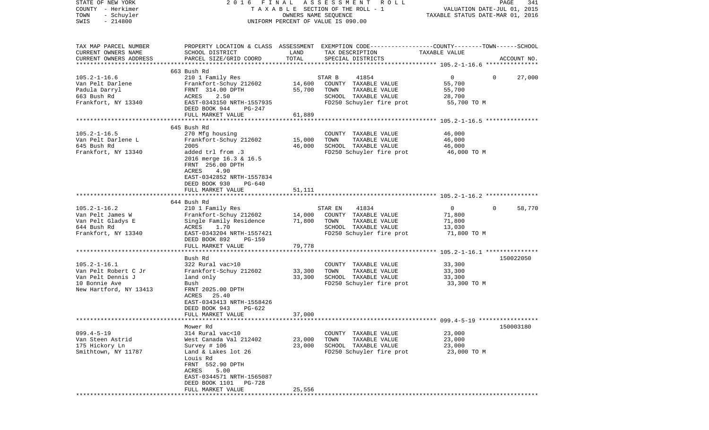| STATE OF NEW YORK<br>COUNTY - Herkimer<br>TOWN<br>- Schuyler<br>$-214800$<br>SWIS                          | 2016 FINAL                                                                                                                                                                                                                   |                            | A S S E S S M E N T<br>R O L L<br>TAXABLE SECTION OF THE ROLL - 1<br>OWNERS NAME SEQUENCE<br>UNIFORM PERCENT OF VALUE IS 090.00         | VALUATION DATE-JUL 01, 2015<br>TAXABLE STATUS DATE-MAR 01, 2016 | PAGE<br>341            |
|------------------------------------------------------------------------------------------------------------|------------------------------------------------------------------------------------------------------------------------------------------------------------------------------------------------------------------------------|----------------------------|-----------------------------------------------------------------------------------------------------------------------------------------|-----------------------------------------------------------------|------------------------|
| TAX MAP PARCEL NUMBER<br>CURRENT OWNERS NAME<br>CURRENT OWNERS ADDRESS<br>**************************       | SCHOOL DISTRICT<br>PARCEL SIZE/GRID COORD                                                                                                                                                                                    | LAND<br>TOTAL              | PROPERTY LOCATION & CLASS ASSESSMENT EXEMPTION CODE---------------COUNTY-------TOWN------SCHOOL<br>TAX DESCRIPTION<br>SPECIAL DISTRICTS | TAXABLE VALUE                                                   | ACCOUNT NO.            |
| $105.2 - 1 - 16.6$<br>Van Pelt Darlene<br>Padula Darryl<br>663 Bush Rd<br>Frankfort, NY 13340              | 663 Bush Rd<br>210 1 Family Res<br>Frankfort-Schuy 212602<br>FRNT 314.00 DPTH<br>ACRES<br>2.50<br>EAST-0343150 NRTH-1557935<br>DEED BOOK 944<br>PG-247<br>FULL MARKET VALUE                                                  | 14,600<br>55,700<br>61,889 | 41854<br>STAR B<br>COUNTY TAXABLE VALUE<br>TOWN<br>TAXABLE VALUE<br>SCHOOL TAXABLE VALUE<br>FD250 Schuyler fire prot                    | $\overline{0}$<br>55,700<br>55,700<br>28,700<br>55,700 TO M     | $\mathbf{0}$<br>27,000 |
|                                                                                                            |                                                                                                                                                                                                                              |                            |                                                                                                                                         |                                                                 |                        |
| $105.2 - 1 - 16.5$<br>Van Pelt Darlene L<br>645 Bush Rd<br>Frankfort, NY 13340                             | 645 Bush Rd<br>270 Mfg housing<br>Frankfort-Schuy 212602<br>2005<br>added trl from .3<br>2016 merge 16.3 & 16.5<br>FRNT 256.00 DPTH<br>ACRES<br>4.90<br>EAST-0342852 NRTH-1557834<br>DEED BOOK 930<br>PG-640                 | 15,000<br>46,000           | COUNTY TAXABLE VALUE<br>TOWN<br>TAXABLE VALUE<br>SCHOOL TAXABLE VALUE<br>FD250 Schuyler fire prot                                       | 46,000<br>46,000<br>46,000<br>46,000 TO M                       |                        |
|                                                                                                            | FULL MARKET VALUE                                                                                                                                                                                                            | 51,111                     |                                                                                                                                         |                                                                 |                        |
|                                                                                                            |                                                                                                                                                                                                                              |                            |                                                                                                                                         |                                                                 |                        |
|                                                                                                            | 644 Bush Rd                                                                                                                                                                                                                  |                            |                                                                                                                                         |                                                                 |                        |
| $105.2 - 1 - 16.2$<br>Van Pelt James W<br>Van Pelt Gladys E<br>644 Bush Rd<br>Frankfort, NY 13340          | 210 1 Family Res<br>Frankfort-Schuy 212602<br>Single Family Residence<br>ACRES<br>1.70<br>EAST-0343204 NRTH-1557421<br>DEED BOOK 892<br>PG-159                                                                               | 14,000<br>71,800           | 41834<br>STAR EN<br>COUNTY TAXABLE VALUE<br>TOWN<br>TAXABLE VALUE<br>SCHOOL TAXABLE VALUE<br>FD250 Schuyler fire prot                   | $\overline{0}$<br>71,800<br>71,800<br>13,030<br>71,800 TO M     | 58,770<br>$\Omega$     |
|                                                                                                            | FULL MARKET VALUE<br>**************************                                                                                                                                                                              | 79,778                     |                                                                                                                                         |                                                                 |                        |
| $105.2 - 1 - 16.1$<br>Van Pelt Robert C Jr<br>Van Pelt Dennis J<br>10 Bonnie Ave<br>New Hartford, NY 13413 | Bush Rd<br>322 Rural vac>10<br>Frankfort-Schuy 212602<br>land only<br>Bush<br>FRNT 2025.00 DPTH<br>ACRES 25.40<br>EAST-0343413 NRTH-1558426<br>DEED BOOK 943<br>PG-622<br>FULL MARKET VALUE                                  | 33,300<br>33,300<br>37,000 | COUNTY TAXABLE VALUE<br>TOWN<br>TAXABLE VALUE<br>SCHOOL TAXABLE VALUE<br>FD250 Schuyler fire prot                                       | 33,300<br>33,300<br>33,300<br>33,300 TO M                       | 150022050              |
|                                                                                                            |                                                                                                                                                                                                                              |                            |                                                                                                                                         |                                                                 |                        |
| $099.4 - 5 - 19$<br>Van Steen Astrid<br>175 Hickory Ln<br>Smithtown, NY 11787                              | Mower Rd<br>314 Rural vac<10<br>West Canada Val 212402<br>Survey # 106<br>Land & Lakes lot 26<br>Louis Rd<br>FRNT 552.90 DPTH<br>5.00<br>ACRES<br>EAST-0344571 NRTH-1565087<br>DEED BOOK 1101<br>PG-728<br>FULL MARKET VALUE | 23,000<br>23,000<br>25,556 | COUNTY TAXABLE VALUE<br>TAXABLE VALUE<br>TOWN<br>SCHOOL TAXABLE VALUE<br>FD250 Schuyler fire prot                                       | 23,000<br>23,000<br>23,000<br>23,000 TO M                       | 150003180              |
|                                                                                                            |                                                                                                                                                                                                                              |                            |                                                                                                                                         |                                                                 |                        |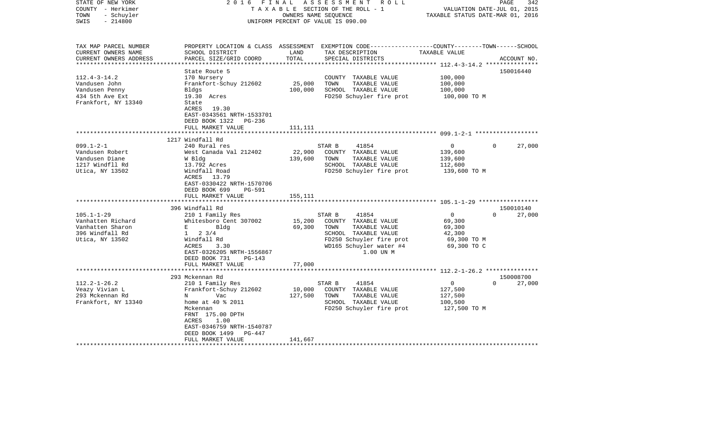| STATE OF NEW YORK<br>COUNTY - Herkimer<br>- Schuyler<br>TOWN<br>$-214800$<br>SWIS | 2 0 1 6<br>FINAL                                       | OWNERS NAME SEQUENCE        | ASSESSMENT ROLL<br>TAXABLE SECTION OF THE ROLL - 1<br>UNIFORM PERCENT OF VALUE IS 090.00                                                 | VALUATION DATE-JUL 01, 2015<br>TAXABLE STATUS DATE-MAR 01, 2016 | 342<br>PAGE        |
|-----------------------------------------------------------------------------------|--------------------------------------------------------|-----------------------------|------------------------------------------------------------------------------------------------------------------------------------------|-----------------------------------------------------------------|--------------------|
| TAX MAP PARCEL NUMBER<br>CURRENT OWNERS NAME<br>CURRENT OWNERS ADDRESS            | SCHOOL DISTRICT<br>PARCEL SIZE/GRID COORD              | LAND<br>TOTAL               | PROPERTY LOCATION & CLASS ASSESSMENT EXEMPTION CODE----------------COUNTY-------TOWN------SCHOOL<br>TAX DESCRIPTION<br>SPECIAL DISTRICTS | TAXABLE VALUE                                                   | ACCOUNT NO.        |
| *************************                                                         |                                                        |                             |                                                                                                                                          |                                                                 |                    |
| $112.4 - 3 - 14.2$                                                                | State Route 5<br>170 Nursery                           |                             | COUNTY TAXABLE VALUE                                                                                                                     | 100,000                                                         | 150016440          |
| Vandusen John                                                                     | Frankfort-Schuy 212602                                 | 25,000                      | TOWN<br>TAXABLE VALUE                                                                                                                    | 100,000                                                         |                    |
| Vandusen Penny                                                                    | Bldgs                                                  | 100,000                     | SCHOOL TAXABLE VALUE                                                                                                                     | 100,000                                                         |                    |
| 434 5th Ave Ext                                                                   | 19.30 Acres                                            |                             | FD250 Schuyler fire prot                                                                                                                 | 100,000 TO M                                                    |                    |
| Frankfort, NY 13340                                                               | State                                                  |                             |                                                                                                                                          |                                                                 |                    |
|                                                                                   | ACRES 19.30                                            |                             |                                                                                                                                          |                                                                 |                    |
|                                                                                   | EAST-0343561 NRTH-1533701                              |                             |                                                                                                                                          |                                                                 |                    |
|                                                                                   | DEED BOOK 1322<br>PG-236                               |                             |                                                                                                                                          |                                                                 |                    |
|                                                                                   | FULL MARKET VALUE<br>********************              | 111,111<br>**************** |                                                                                                                                          |                                                                 |                    |
|                                                                                   | 1217 Windfall Rd                                       |                             |                                                                                                                                          |                                                                 |                    |
| $099.1 - 2 - 1$                                                                   | 240 Rural res                                          |                             | 41854<br>STAR B                                                                                                                          | $\mathbf{0}$                                                    | $\Omega$<br>27,000 |
| Vandusen Robert                                                                   | West Canada Val 212402                                 | 22,900                      | COUNTY TAXABLE VALUE                                                                                                                     | 139,600                                                         |                    |
| Vandusen Diane                                                                    | W Bldg                                                 | 139,600                     | TOWN<br>TAXABLE VALUE                                                                                                                    | 139,600                                                         |                    |
| 1217 Windfll Rd                                                                   | 13.792 Acres                                           |                             | SCHOOL TAXABLE VALUE                                                                                                                     | 112,600                                                         |                    |
| Utica, NY 13502                                                                   | Windfall Road                                          |                             | FD250 Schuyler fire prot                                                                                                                 | 139,600 ТО М                                                    |                    |
|                                                                                   | ACRES 13.79                                            |                             |                                                                                                                                          |                                                                 |                    |
|                                                                                   | EAST-0330422 NRTH-1570706                              |                             |                                                                                                                                          |                                                                 |                    |
|                                                                                   | DEED BOOK 699<br>PG-591                                |                             |                                                                                                                                          |                                                                 |                    |
|                                                                                   | FULL MARKET VALUE<br>************************          | 155,111                     |                                                                                                                                          |                                                                 |                    |
|                                                                                   | 396 Windfall Rd                                        |                             |                                                                                                                                          |                                                                 | 150010140          |
| $105.1 - 1 - 29$                                                                  | 210 1 Family Res                                       |                             | 41854<br>STAR B                                                                                                                          | $\mathbf{0}$                                                    | $\Omega$<br>27,000 |
| Vanhatten Richard                                                                 | Whitesboro Cent 307002                                 | 15,200                      | COUNTY TAXABLE VALUE                                                                                                                     | 69,300                                                          |                    |
| Vanhatten Sharon                                                                  | $\mathbf{E}$ and $\mathbf{E}$ and $\mathbf{E}$<br>Bldg | 69,300                      | TOWN<br>TAXABLE VALUE                                                                                                                    | 69,300                                                          |                    |
| 396 Windfall Rd                                                                   | $1 \t2 \t3/4$                                          |                             | SCHOOL TAXABLE VALUE                                                                                                                     | 42,300                                                          |                    |
| Utica, NY 13502                                                                   | Windfall Rd                                            |                             | FD250 Schuyler fire prot                                                                                                                 | 69,300 то м                                                     |                    |
|                                                                                   | ACRES<br>3.30                                          |                             | WD165 Schuyler water #4                                                                                                                  | 69,300 TO C                                                     |                    |
|                                                                                   | EAST-0326205 NRTH-1556867                              |                             | 1.00 UN M                                                                                                                                |                                                                 |                    |
|                                                                                   | DEED BOOK 731<br>PG-143<br>FULL MARKET VALUE           | 77,000                      |                                                                                                                                          |                                                                 |                    |
|                                                                                   |                                                        |                             |                                                                                                                                          |                                                                 |                    |
|                                                                                   | 293 Mckennan Rd                                        |                             |                                                                                                                                          |                                                                 | 150008700          |
| $112.2 - 1 - 26.2$                                                                | 210 1 Family Res                                       |                             | STAR B<br>41854                                                                                                                          | $\overline{0}$                                                  | $\Omega$<br>27,000 |
| Veazy Vivian L                                                                    | Frankfort-Schuy 212602                                 | 10,000                      | COUNTY TAXABLE VALUE                                                                                                                     | 127,500                                                         |                    |
| 293 Mckennan Rd                                                                   | Vac<br>N                                               | 127,500                     | TOWN<br>TAXABLE VALUE                                                                                                                    | 127,500                                                         |                    |
| Frankfort, NY 13340                                                               | home at 40 % 2011                                      |                             | SCHOOL TAXABLE VALUE                                                                                                                     | 100,500                                                         |                    |
|                                                                                   | Mckennan                                               |                             | FD250 Schuyler fire prot                                                                                                                 | 127,500 TO M                                                    |                    |
|                                                                                   | FRNT 175.00 DPTH                                       |                             |                                                                                                                                          |                                                                 |                    |
|                                                                                   | ACRES<br>1.00<br>EAST-0346759 NRTH-1540787             |                             |                                                                                                                                          |                                                                 |                    |
|                                                                                   | DEED BOOK 1499<br>PG-447                               |                             |                                                                                                                                          |                                                                 |                    |
|                                                                                   | FULL MARKET VALUE                                      | 141,667                     |                                                                                                                                          |                                                                 |                    |
|                                                                                   |                                                        |                             |                                                                                                                                          |                                                                 |                    |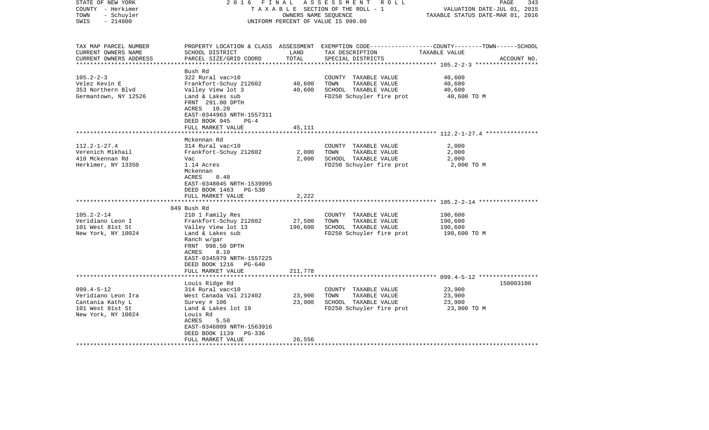| STATE OF NEW YORK<br>COUNTY - Herkimer<br>- Schuyler<br>TOWN<br>$-214800$<br>SWIS                    | 2016 FINAL                                                                                                                                                                                                       | OWNERS NAME SEQUENCE    | ASSESSMENT ROLL<br>TAXABLE SECTION OF THE ROLL - 1<br>UNIFORM PERCENT OF VALUE IS 090.00          | 343<br>PAGE<br>VALUATION DATE-JUL 01, 2015<br>TAXABLE STATUS DATE-MAR 01, 2016                                                  |
|------------------------------------------------------------------------------------------------------|------------------------------------------------------------------------------------------------------------------------------------------------------------------------------------------------------------------|-------------------------|---------------------------------------------------------------------------------------------------|---------------------------------------------------------------------------------------------------------------------------------|
| TAX MAP PARCEL NUMBER<br>CURRENT OWNERS NAME<br>CURRENT OWNERS ADDRESS                               | SCHOOL DISTRICT<br>PARCEL SIZE/GRID COORD                                                                                                                                                                        | LAND<br>TOTAL           | TAX DESCRIPTION<br>SPECIAL DISTRICTS                                                              | PROPERTY LOCATION & CLASS ASSESSMENT EXEMPTION CODE---------------COUNTY-------TOWN------SCHOOL<br>TAXABLE VALUE<br>ACCOUNT NO. |
| $105.2 - 2 - 3$<br>Velez Kevin E<br>353 Northern Blvd<br>Germantown, NY 12526                        | Bush Rd<br>322 Rural vac>10<br>Frankfort-Schuy 212602<br>Valley View lot 3<br>Land & Lakes sub<br>FRNT 291.00 DPTH<br>ACRES 10.20<br>EAST-0344963 NRTH-1557311<br>DEED BOOK 945<br>$PG-4$                        | 40,600<br>40,600        | COUNTY TAXABLE VALUE<br>TOWN<br>TAXABLE VALUE<br>SCHOOL TAXABLE VALUE<br>FD250 Schuyler fire prot | 40,600<br>40,600<br>40,600<br>40,600 TO M                                                                                       |
|                                                                                                      | FULL MARKET VALUE                                                                                                                                                                                                | 45,111                  |                                                                                                   |                                                                                                                                 |
|                                                                                                      | ******************                                                                                                                                                                                               | **************          |                                                                                                   |                                                                                                                                 |
| $112.2 - 1 - 27.4$<br>Verenich Mikhail<br>410 Mckennan Rd<br>Herkimer, NY 13350                      | Mckennan Rd<br>314 Rural vac<10<br>Frankfort-Schuy 212602<br>Vac<br>1.14 Acres<br>Mckennan<br>ACRES<br>0.40<br>EAST-0348045 NRTH-1539995<br>DEED BOOK 1463 PG-530<br>FULL MARKET VALUE<br>********************** | 2,000<br>2,000<br>2,222 | COUNTY TAXABLE VALUE<br>TOWN<br>TAXABLE VALUE<br>SCHOOL TAXABLE VALUE<br>FD250 Schuyler fire prot | 2,000<br>2,000<br>2,000<br>2,000 TO M                                                                                           |
|                                                                                                      | 849 Bush Rd                                                                                                                                                                                                      |                         |                                                                                                   |                                                                                                                                 |
| $105.2 - 2 - 14$<br>Veridiano Leon I<br>101 West 81st St<br>New York, NY 10024                       | 210 1 Family Res<br>Frankfort-Schuy 212602<br>Valley View lot 13<br>Land & Lakes sub<br>Ranch w/gar<br>FRNT 998.50 DPTH<br>8.10<br>ACRES<br>EAST-0345979 NRTH-1557225<br>DEED BOOK 1216<br>$PG-640$              | 27,500<br>190,600       | COUNTY TAXABLE VALUE<br>TOWN<br>TAXABLE VALUE<br>SCHOOL TAXABLE VALUE<br>FD250 Schuyler fire prot | 190,600<br>190,600<br>190,600<br>190,600 TO M                                                                                   |
|                                                                                                      | FULL MARKET VALUE                                                                                                                                                                                                | 211,778                 |                                                                                                   |                                                                                                                                 |
| $099.4 - 5 - 12$<br>Veridiano Leon Ira<br>Cantania Kathy L<br>101 West 81st St<br>New York, NY 10024 | *****************************<br>Louis Ridge Rd<br>314 Rural vac<10<br>West Canada Val 212402<br>Survey $# 106$<br>Land & Lakes lot 19<br>Louis Rd<br>5.50<br>ACRES                                              | 23,900<br>23,900        | COUNTY TAXABLE VALUE<br>TOWN<br>TAXABLE VALUE<br>SCHOOL TAXABLE VALUE<br>FD250 Schuyler fire prot | 150003180<br>23,900<br>23,900<br>23,900<br>23,900 TO M                                                                          |
|                                                                                                      | EAST-0346009 NRTH-1563916<br>DEED BOOK 1139<br>PG-336<br>FULL MARKET VALUE                                                                                                                                       | 26,556                  |                                                                                                   |                                                                                                                                 |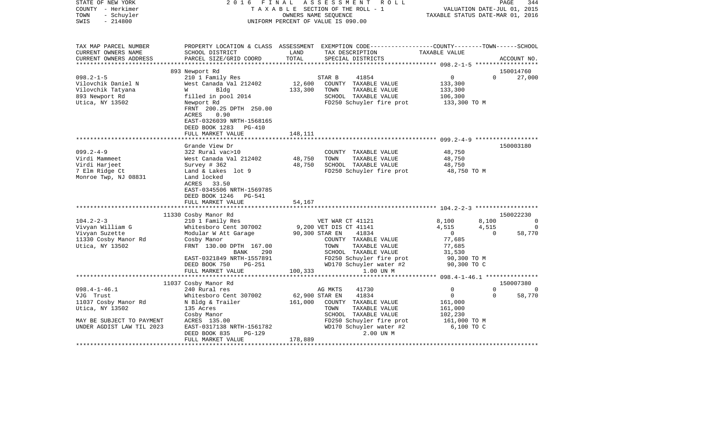| STATE OF NEW YORK<br>COUNTY - Herkimer<br>- Schuyler<br>TOWN<br>$-214800$<br>SWIS                | 2016                                                                                                                                                                                                 | OWNERS NAME SEOUENCE  | FINAL ASSESSMENT ROLL<br>TAXABLE SECTION OF THE ROLL - 1<br>UNIFORM PERCENT OF VALUE IS 090.00                                                         | VALUATION DATE-JUL 01, 2015<br>TAXABLE STATUS DATE-MAR 01, 2016               |                                  | PAGE<br>344                    |
|--------------------------------------------------------------------------------------------------|------------------------------------------------------------------------------------------------------------------------------------------------------------------------------------------------------|-----------------------|--------------------------------------------------------------------------------------------------------------------------------------------------------|-------------------------------------------------------------------------------|----------------------------------|--------------------------------|
| TAX MAP PARCEL NUMBER<br>CURRENT OWNERS NAME<br>CURRENT OWNERS ADDRESS                           | SCHOOL DISTRICT<br>PARCEL SIZE/GRID COORD                                                                                                                                                            | LAND<br>LAND<br>TOTAL | PROPERTY LOCATION & CLASS ASSESSMENT EXEMPTION CODE----------------COUNTY-------TOWN------SCHOOL<br>TAX DESCRIPTION TAXABLE VALUE<br>SPECIAL DISTRICTS |                                                                               |                                  | ACCOUNT NO.                    |
|                                                                                                  | 893 Newport Rd                                                                                                                                                                                       |                       |                                                                                                                                                        |                                                                               |                                  | 150014760                      |
| $098.2 - 1 - 5$                                                                                  | 210 1 Family Res                                                                                                                                                                                     |                       | STAR B<br>41854                                                                                                                                        | $\overline{0}$                                                                | $\Omega$                         | 27,000                         |
| Vilovchik Daniel N<br>Vilovchik Tatyana<br>893 Newport Rd<br>Utica, NY 13502                     | West Canada Val 212402<br>Bldg<br><b>W</b><br>filled in pool 2014<br>Newport Rd<br>FRNT 200.25 DPTH 250.00<br>ACRES<br>0.90                                                                          | 133,300               | 12,600 COUNTY TAXABLE VALUE<br>TAXABLE VALUE<br>TOWN<br>SCHOOL TAXABLE VALUE<br>FD250 Schuyler fire prot 133,300 TO M                                  | 133,300<br>133,300<br>106,300                                                 |                                  |                                |
|                                                                                                  | EAST-0326039 NRTH-1568165<br>DEED BOOK 1283 PG-410<br>FULL MARKET VALUE                                                                                                                              | 148,111               |                                                                                                                                                        |                                                                               |                                  |                                |
|                                                                                                  | Grande View Dr                                                                                                                                                                                       |                       |                                                                                                                                                        |                                                                               |                                  | 150003180                      |
| $099.2 - 4 - 9$<br>Virdi Mammeet<br>Virdi Harjeet<br>7 Elm Ridge Ct<br>Monroe Twp, NJ 08831      | 322 Rural vac>10<br>West Canada Val 212402 48,750<br>Survey # 362 48,750<br>Land & Lakes lot 9<br>Land locked<br>ACRES 33.50<br>EAST-0345506 NRTH-1569785<br>DEED BOOK 1246 PG-541                   |                       | COUNTY TAXABLE VALUE<br>TOWN<br>TAXABLE VALUE<br>SCHOOL TAXABLE VALUE<br>FD250 Schuyler fire prot 48,750 TO M                                          | 48,750<br>48,750<br>10,750                                                    |                                  |                                |
|                                                                                                  | FULL MARKET VALUE                                                                                                                                                                                    | 54,167                |                                                                                                                                                        |                                                                               |                                  |                                |
|                                                                                                  |                                                                                                                                                                                                      |                       |                                                                                                                                                        |                                                                               |                                  |                                |
|                                                                                                  | 11330 Cosby Manor Rd                                                                                                                                                                                 |                       |                                                                                                                                                        |                                                                               |                                  | 150022230                      |
| $104.2 - 2 - 3$<br>Vivyan William G<br>Vivyan Suzette<br>11330 Cosby Manor Rd<br>Utica, NY 13502 | VET WAR CT 41121<br>Whitesboro Cent 307002 9,200 VET DIS CT 41141<br>Modular W Att Garage 90,300 STAR EN 41834<br>Cosby Manor<br>FRNT 130.00 DPTH 167.00<br>BANK<br>290<br>EAST-0321849 NRTH-1557891 |                       | COUNTY TAXABLE VALUE<br>TOWN<br>TAXABLE VALUE<br>SCHOOL TAXABLE VALUE<br>FD250 Schuyler fire prot<br>WD170 Schuyler water #2                           | 8,100<br>4,515<br>$\overline{0}$<br>77,685<br>77,685<br>31,530<br>90,300 TO M | 8,100<br>4,515<br>$\overline{0}$ | $\sim$ 0<br>$\Omega$<br>58,770 |
|                                                                                                  | PG-251<br>DEED BOOK 750                                                                                                                                                                              |                       |                                                                                                                                                        | 90,300 TO C                                                                   |                                  |                                |
|                                                                                                  | FULL MARKET VALUE                                                                                                                                                                                    |                       | 100,333<br>1.00 UN M                                                                                                                                   |                                                                               |                                  |                                |
|                                                                                                  | 11037 Cosby Manor Rd                                                                                                                                                                                 |                       |                                                                                                                                                        |                                                                               |                                  | 150007380                      |
| $098.4 - 1 - 46.1$                                                                               | 240 Rural res                                                                                                                                                                                        |                       | AG MKTS<br>41730                                                                                                                                       | $\overline{0}$                                                                | $\Omega$                         | 0                              |
| VJG Trust<br>11037 Cosby Manor Rd<br>Utica, NY 13502<br>MAY BE SUBJECT TO PAYMENT                | Whitesboro Cent 307002<br>N Bldg & Trailer 161,000<br>135 Acres<br>Cosby Manor<br>ACRES 135.00                                                                                                       | 62,900 STAR EN        | 41834<br>COUNTY TAXABLE VALUE<br>TOWN<br>TAXABLE VALUE<br>SCHOOL TAXABLE VALUE<br>FD250 Schuyler fire prot                                             | $\overline{0}$<br>161,000<br>161,000<br>102,230<br>161,000 TO M               | $\Omega$                         | 58,770                         |
| UNDER AGDIST LAW TIL 2023                                                                        | EAST-0317138 NRTH-1561782<br>DEED BOOK 835<br>PG-129<br>FULL MARKET VALUE                                                                                                                            | 178,889               | WD170 Schuyler water #2<br>2.00 UN M                                                                                                                   | 6,100 TO C                                                                    |                                  |                                |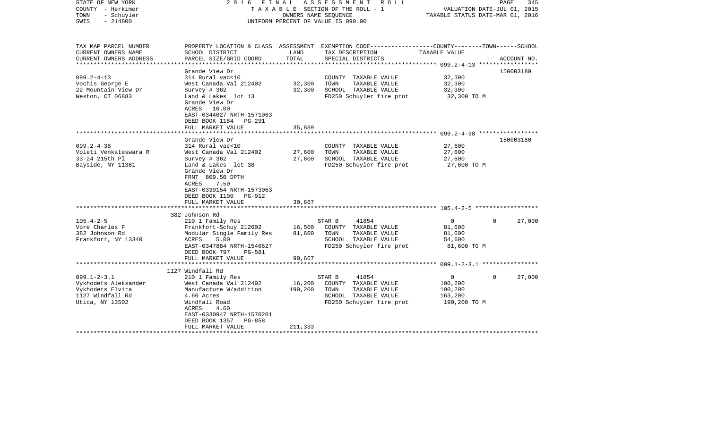| STATE OF NEW YORK<br>COUNTY - Herkimer<br>TOWN<br>- Schuyler<br>$-214800$<br>SWIS                                             |                                                                                                                                                                                                                                       |                              | 2016 FINAL ASSESSMENT ROLL<br>TAXABLE SECTION OF THE ROLL - 1<br>OWNERS NAME SEOUENCE<br>UNIFORM PERCENT OF VALUE IS 090.00             | VALUATION DATE-JUL 01, 2015<br>TAXABLE STATUS DATE-MAR 01, 2016 | PAGE<br>345        |
|-------------------------------------------------------------------------------------------------------------------------------|---------------------------------------------------------------------------------------------------------------------------------------------------------------------------------------------------------------------------------------|------------------------------|-----------------------------------------------------------------------------------------------------------------------------------------|-----------------------------------------------------------------|--------------------|
| TAX MAP PARCEL NUMBER<br>CURRENT OWNERS NAME<br>CURRENT OWNERS ADDRESS                                                        | SCHOOL DISTRICT<br>PARCEL SIZE/GRID COORD                                                                                                                                                                                             | LAND<br>TOTAL                | PROPERTY LOCATION & CLASS ASSESSMENT EXEMPTION CODE---------------COUNTY-------TOWN------SCHOOL<br>TAX DESCRIPTION<br>SPECIAL DISTRICTS | TAXABLE VALUE                                                   | ACCOUNT NO.        |
| ***********************                                                                                                       |                                                                                                                                                                                                                                       |                              |                                                                                                                                         |                                                                 |                    |
| $099.2 - 4 - 13$<br>Vochis George E<br>22 Mountain View Dr<br>Weston, CT 06883                                                | Grande View Dr<br>314 Rural vac<10<br>West Canada Val 212402<br>Survey # 362<br>Land & Lakes lot 13<br>Grande View Dr<br>ACRES 10.00<br>EAST-0344027 NRTH-1571063<br>DEED BOOK 1184 PG-291<br>FULL MARKET VALUE                       | 32,300<br>32,300<br>35,889   | COUNTY TAXABLE VALUE<br>TOWN<br>TAXABLE VALUE<br>SCHOOL TAXABLE VALUE<br>FD250 Schuyler fire prot                                       | 32,300<br>32,300<br>32,300<br>32,300 TO M                       | 150003180          |
|                                                                                                                               | **********************                                                                                                                                                                                                                |                              |                                                                                                                                         |                                                                 |                    |
| $099.2 - 4 - 38$<br>Voleti Venkateswara R<br>33-24 215th Pl<br>Bayside, NY 11361                                              | Grande View Dr<br>314 Rural vac<10<br>West Canada Val 212402<br>Survey # 362<br>Land & Lakes lot 38<br>Grande View Dr<br>FRNT 809.50 DPTH<br>ACRES<br>7.50<br>EAST-0339154 NRTH-1573063<br>DEED BOOK 1190 PG-912<br>FULL MARKET VALUE | 27,600<br>27,600<br>30,667   | COUNTY TAXABLE VALUE<br>TOWN<br>TAXABLE VALUE<br>SCHOOL TAXABLE VALUE<br>FD250 Schuyler fire prot                                       | 27,600<br>27,600<br>27,600<br>27,600 TO M                       | 150003180          |
|                                                                                                                               | 382 Johnson Rd                                                                                                                                                                                                                        |                              |                                                                                                                                         |                                                                 |                    |
| $105.4 - 2 - 5$<br>Vore Charles F<br>382 Johnson Rd<br>Frankfort, NY 13340                                                    | 210 1 Family Res<br>Frankfort-Schuy 212602<br>Modular Single Family Res<br>ACRES<br>5.00<br>EAST-0347884 NRTH-1546627<br>DEED BOOK 797<br>PG-581<br>FULL MARKET VALUE                                                                 | 16,500<br>81,600<br>90,667   | STAR B<br>41854<br>COUNTY TAXABLE VALUE<br>TOWN<br>TAXABLE VALUE<br>SCHOOL TAXABLE VALUE<br>FD250 Schuyler fire prot                    | $\overline{0}$<br>81,600<br>81,600<br>54,600<br>81,600 TO M     | $\Omega$<br>27,000 |
|                                                                                                                               |                                                                                                                                                                                                                                       |                              |                                                                                                                                         |                                                                 |                    |
| $099.1 - 2 - 3.1$<br>Vykhodets Aleksander<br>Vykhodets Elvira<br>1127 Windfall Rd<br>Utica, NY 13502<br>********************* | 1127 Windfall Rd<br>210 1 Family Res<br>West Canada Val 212402<br>Manufacture W/addition<br>4.60 Acres<br>Windfall Road<br>ACRES<br>4.60<br>EAST-0330947 NRTH-1570201<br>DEED BOOK 1357 PG-858<br>FULL MARKET VALUE                   | 16,200<br>190,200<br>211,333 | STAR B<br>41854<br>COUNTY TAXABLE VALUE<br>TOWN<br>TAXABLE VALUE<br>SCHOOL TAXABLE VALUE<br>FD250 Schuyler fire prot                    | $\overline{0}$<br>190,200<br>190,200<br>163,200<br>190,200 TO M | $\Omega$<br>27,000 |
|                                                                                                                               |                                                                                                                                                                                                                                       |                              |                                                                                                                                         |                                                                 |                    |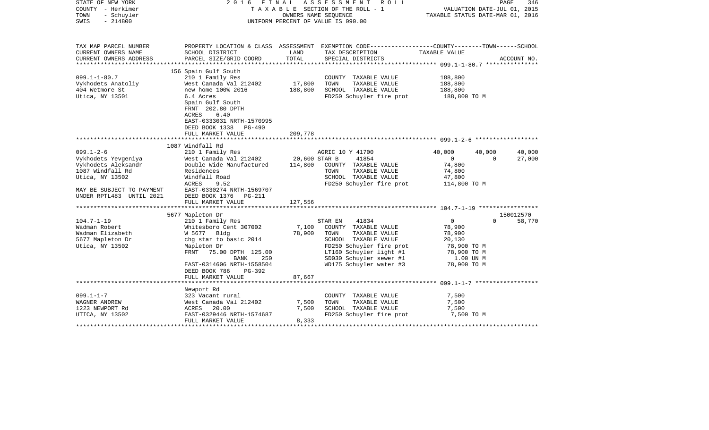| STATE OF NEW YORK<br>COUNTY - Herkimer<br>TOWN<br>- Schuyler<br>$-214800$<br>SWIS | 2016                                                                                                                     | FINAL   | A S S E S S M E N T R O L L<br>TAXABLE SECTION OF THE ROLL - 1<br>OWNERS NAME SEQUENCE<br>UNIFORM PERCENT OF VALUE IS 090.00 | VALUATION DATE-JUL 01, 2015<br>TAXABLE STATUS DATE-MAR 01, 2016 | PAGE<br>346         |
|-----------------------------------------------------------------------------------|--------------------------------------------------------------------------------------------------------------------------|---------|------------------------------------------------------------------------------------------------------------------------------|-----------------------------------------------------------------|---------------------|
| TAX MAP PARCEL NUMBER<br>CURRENT OWNERS NAME                                      | SCHOOL DISTRICT                                                                                                          | LAND    | PROPERTY LOCATION & CLASS ASSESSMENT EXEMPTION CODE---------------COUNTY-------TOWN------SCHOOL<br>TAX DESCRIPTION           | TAXABLE VALUE                                                   |                     |
| CURRENT OWNERS ADDRESS                                                            | PARCEL SIZE/GRID COORD                                                                                                   | TOTAL   | SPECIAL DISTRICTS                                                                                                            |                                                                 | ACCOUNT NO.         |
| $099.1 - 1 - 80.7$                                                                | 156 Spain Gulf South<br>210 1 Family Res                                                                                 |         | COUNTY TAXABLE VALUE                                                                                                         | 188,800                                                         |                     |
| Vykhodets Anatoliy                                                                | West Canada Val 212402                                                                                                   | 17,800  | TAXABLE VALUE<br>TOWN                                                                                                        | 188,800                                                         |                     |
| 404 Wetmore St                                                                    | new home 100% 2016                                                                                                       | 188,800 | SCHOOL TAXABLE VALUE                                                                                                         | 188,800                                                         |                     |
| Utica, NY 13501                                                                   | 6.4 Acres<br>Spain Gulf South<br>FRNT 202.80 DPTH<br>ACRES<br>6.40<br>EAST-0333031 NRTH-1570995<br>DEED BOOK 1338 PG-490 |         | FD250 Schuyler fire prot                                                                                                     | 188,800 TO M                                                    |                     |
|                                                                                   | FULL MARKET VALUE                                                                                                        | 209,778 |                                                                                                                              |                                                                 |                     |
|                                                                                   | 1087 Windfall Rd                                                                                                         |         |                                                                                                                              |                                                                 |                     |
| $099.1 - 2 - 6$                                                                   | 210 1 Family Res                                                                                                         |         | AGRIC 10 Y 41700                                                                                                             | 40,000<br>40,000                                                | 40,000              |
| Vykhodets Yevgeniya                                                               |                                                                                                                          |         | 41854                                                                                                                        | $\Omega$<br>$\overline{0}$                                      | 27,000              |
| Vykhodets Aleksandr<br>1087 Windfall Rd<br>Utica, NY 13502                        | West Canada Val 212402 20,600 STAR B<br>Double Wide Manufactured 114,800 COUNT<br>Residences<br>Windfall Road            |         | COUNTY TAXABLE VALUE<br>TAXABLE VALUE<br>TOWN<br>SCHOOL TAXABLE VALUE                                                        | 74,800<br>74,800<br>47,800                                      |                     |
| MAY BE SUBJECT TO PAYMENT<br>UNDER RPTL483 UNTIL 2021                             | ACRES<br>9.52<br>EAST-0330274 NRTH-1569707<br>DEED BOOK 1376 PG-211                                                      |         | FD250 Schuyler fire prot                                                                                                     | 114,800 TO M                                                    |                     |
|                                                                                   | FULL MARKET VALUE                                                                                                        | 127,556 |                                                                                                                              |                                                                 |                     |
|                                                                                   |                                                                                                                          |         |                                                                                                                              |                                                                 |                     |
| $104.7 - 1 - 19$                                                                  | 5677 Mapleton Dr<br>210 1 Family Res                                                                                     |         | STAR EN<br>41834                                                                                                             | $\mathbf 0$<br>$\Omega$                                         | 150012570<br>58,770 |
| Wadman Robert                                                                     | Whitesboro Cent 307002                                                                                                   | 7,100   | COUNTY TAXABLE VALUE                                                                                                         | 78,900                                                          |                     |
| Wadman Elizabeth                                                                  | W 5677 Bldg                                                                                                              | 78,900  | TOWN<br>TAXABLE VALUE                                                                                                        | 78,900                                                          |                     |
| 5677 Mapleton Dr                                                                  | chg star to basic 2014                                                                                                   |         | SCHOOL TAXABLE VALUE                                                                                                         | 20,130                                                          |                     |
| Utica, NY 13502                                                                   | Mapleton Dr                                                                                                              |         | FD250 Schuyler fire prot                                                                                                     | 78,900 TO M                                                     |                     |
|                                                                                   | FRNT 75.00 DPTH 125.00                                                                                                   |         | LT160 Schuyler light #1                                                                                                      | 78,900 TO M                                                     |                     |
|                                                                                   | BANK<br>250<br>EAST-0314606 NRTH-1558504                                                                                 |         | SD030 Schuyler sewer #1<br>WD175 Schuyler water #3                                                                           | 1.00 UN M<br>78,900 TO M                                        |                     |
|                                                                                   | DEED BOOK 786<br>PG-392<br>FULL MARKET VALUE                                                                             | 87,667  |                                                                                                                              |                                                                 |                     |
|                                                                                   |                                                                                                                          |         |                                                                                                                              |                                                                 |                     |
|                                                                                   | Newport Rd                                                                                                               |         |                                                                                                                              |                                                                 |                     |
| $099.1 - 1 - 7$                                                                   | 323 Vacant rural                                                                                                         |         | COUNTY TAXABLE VALUE                                                                                                         | 7,500                                                           |                     |
| WAGNER ANDREW                                                                     | West Canada Val 212402                                                                                                   | 7,500   | TOWN<br>TAXABLE VALUE                                                                                                        | 7,500                                                           |                     |
| 1223 NEWPORT Rd                                                                   | ACRES 20.00                                                                                                              | 7,500   | SCHOOL TAXABLE VALUE                                                                                                         | 7,500                                                           |                     |
| UTICA, NY 13502                                                                   | EAST-0329446 NRTH-1574687                                                                                                | 8,333   | FD250 Schuyler fire prot                                                                                                     | 7,500 TO M                                                      |                     |
|                                                                                   | FULL MARKET VALUE                                                                                                        |         |                                                                                                                              |                                                                 |                     |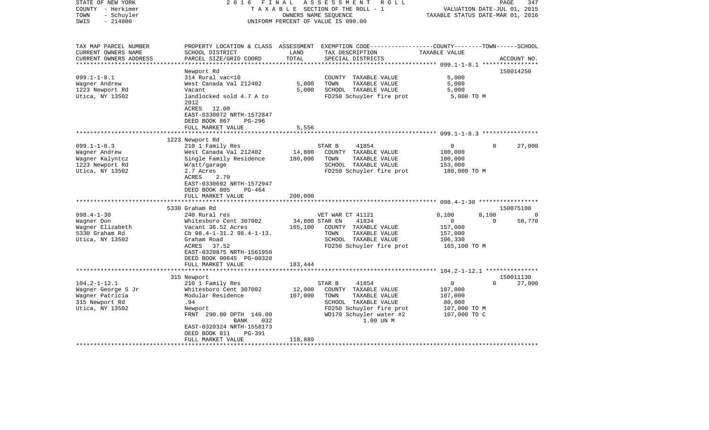| STATE OF NEW YORK<br>COUNTY - Herkimer<br>- Schuyler<br>TOWN<br>$-214800$<br>SWIS                    | 2 0 1 6<br>FINAL                                                                                        | OWNERS NAME SEQUENCE                   | ASSESSMENT<br>R O L L<br>TAXABLE SECTION OF THE ROLL - 1<br>UNIFORM PERCENT OF VALUE IS 090.00                                          | TAXABLE STATUS DATE-MAR 01, 2016 | 347<br>PAGE<br>VALUATION DATE-JUL 01, 2015 |
|------------------------------------------------------------------------------------------------------|---------------------------------------------------------------------------------------------------------|----------------------------------------|-----------------------------------------------------------------------------------------------------------------------------------------|----------------------------------|--------------------------------------------|
| TAX MAP PARCEL NUMBER<br>CURRENT OWNERS NAME<br>CURRENT OWNERS ADDRESS<br>************************** | SCHOOL DISTRICT<br>PARCEL SIZE/GRID COORD                                                               | LAND<br>TOTAL                          | PROPERTY LOCATION & CLASS ASSESSMENT EXEMPTION CODE---------------COUNTY-------TOWN------SCHOOL<br>TAX DESCRIPTION<br>SPECIAL DISTRICTS | TAXABLE VALUE                    | ACCOUNT NO.                                |
|                                                                                                      | Newport Rd                                                                                              |                                        |                                                                                                                                         |                                  | 150014250                                  |
| $099.1 - 1 - 8.1$                                                                                    | 314 Rural vac<10                                                                                        |                                        | COUNTY TAXABLE VALUE                                                                                                                    | 5,000                            |                                            |
| Wagner Andrew                                                                                        | West Canada Val 212402                                                                                  | 5,000                                  | TOWN<br>TAXABLE VALUE                                                                                                                   | 5,000                            |                                            |
| 1223 Newport Rd                                                                                      | Vacant                                                                                                  | 5,000                                  | SCHOOL TAXABLE VALUE                                                                                                                    | 5,000                            |                                            |
| Utica, NY 13502                                                                                      | landlocked sold 4.7 A to<br>2012<br>ACRES 12.00<br>EAST-0330072 NRTH-1572847<br>DEED BOOK 867<br>PG-296 |                                        | FD250 Schuyler fire prot                                                                                                                | 5,000 TO M                       |                                            |
|                                                                                                      | FULL MARKET VALUE                                                                                       | 5,556                                  |                                                                                                                                         |                                  |                                            |
|                                                                                                      |                                                                                                         | * * * * * * * * * * * * * *            |                                                                                                                                         |                                  |                                            |
|                                                                                                      | 1223 Newport Rd                                                                                         |                                        |                                                                                                                                         |                                  |                                            |
| $099.1 - 1 - 8.3$                                                                                    | 210 1 Family Res                                                                                        |                                        | STAR B<br>41854                                                                                                                         | $\mathbf{0}$                     | $\Omega$<br>27,000                         |
| Wagner Andrew                                                                                        | West Canada Val 212402                                                                                  | 14,800                                 | COUNTY TAXABLE VALUE                                                                                                                    | 180,000                          |                                            |
| Wagner Kalyntcz                                                                                      | Single Family Residence                                                                                 | 180,000                                | TOWN<br>TAXABLE VALUE                                                                                                                   | 180,000                          |                                            |
| 1223 Newport Rd                                                                                      | W/att/garage<br>2.7 Acres                                                                               |                                        | SCHOOL TAXABLE VALUE<br>FD250 Schuyler fire prot                                                                                        | 153,000                          |                                            |
| Utica, NY 13502                                                                                      | ACRES<br>2.70<br>EAST-0330692 NRTH-1572947<br>DEED BOOK 805<br>$PG-464$                                 |                                        |                                                                                                                                         | 180,000 TO M                     |                                            |
|                                                                                                      | FULL MARKET VALUE<br>**********************                                                             | 200,000<br>* * * * * * * * * * * * * * |                                                                                                                                         |                                  |                                            |
|                                                                                                      | 5330 Graham Rd                                                                                          |                                        |                                                                                                                                         |                                  | 150075108                                  |
| $098.4 - 1 - 30$                                                                                     | 240 Rural res                                                                                           |                                        | VET WAR CT 41121                                                                                                                        | 8,100                            | 8,100<br>0                                 |
| Wagner Don                                                                                           | Whitesboro Cent 307002                                                                                  | 34,800 STAR EN                         | 41834                                                                                                                                   | $\mathbf{0}$                     | 58,770<br>$\Omega$                         |
| Wagner Elizabeth                                                                                     | Vacant 36.52 Acres                                                                                      | 165,100                                | COUNTY TAXABLE VALUE                                                                                                                    | 157,000                          |                                            |
| 5330 Graham Rd                                                                                       | Cb $98.4 - 1 - 31.2$ $98.4 - 1 - 13.$                                                                   |                                        | TOWN<br>TAXABLE VALUE                                                                                                                   | 157,000                          |                                            |
| Utica, NY 13502                                                                                      | Graham Road                                                                                             |                                        | SCHOOL TAXABLE VALUE                                                                                                                    | 106,330                          |                                            |
|                                                                                                      | ACRES<br>37.52<br>EAST-0320875 NRTH-1561950<br>DEED BOOK 00645 PG-00320<br>FULL MARKET VALUE            | 183,444                                | FD250 Schuyler fire prot                                                                                                                | 165,100 TO M                     |                                            |
|                                                                                                      |                                                                                                         |                                        |                                                                                                                                         |                                  |                                            |
|                                                                                                      | 315 Newport                                                                                             |                                        |                                                                                                                                         |                                  | 150011130                                  |
| $104.2 - 1 - 12.1$                                                                                   | 210 1 Family Res                                                                                        |                                        | 41854<br>STAR B                                                                                                                         | $\overline{0}$                   | $\Omega$<br>27,000                         |
| Wagner George S Jr                                                                                   | Whitesboro Cent 307002                                                                                  | 12,900                                 | COUNTY TAXABLE VALUE                                                                                                                    | 107,000                          |                                            |
| Wagner Patricia                                                                                      | Modular Residence                                                                                       | 107,000                                | TOWN<br>TAXABLE VALUE                                                                                                                   | 107,000                          |                                            |
| 315 Newport Rd                                                                                       | .94                                                                                                     |                                        | SCHOOL TAXABLE VALUE                                                                                                                    | 80,000                           |                                            |
| Utica, NY 13502                                                                                      | Newport<br>FRNT 290.00 DPTH 140.00<br>BANK<br>032                                                       |                                        | FD250 Schuyler fire prot<br>WD170 Schuyler water #2<br>1.00 UN M                                                                        | 107,000 TO M<br>107,000 TO C     |                                            |
|                                                                                                      | EAST-0320324 NRTH-1558173<br>DEED BOOK 811<br><b>PG-391</b>                                             |                                        |                                                                                                                                         |                                  |                                            |
|                                                                                                      | FULL MARKET VALUE                                                                                       | 118,889                                |                                                                                                                                         |                                  |                                            |
|                                                                                                      |                                                                                                         |                                        |                                                                                                                                         |                                  |                                            |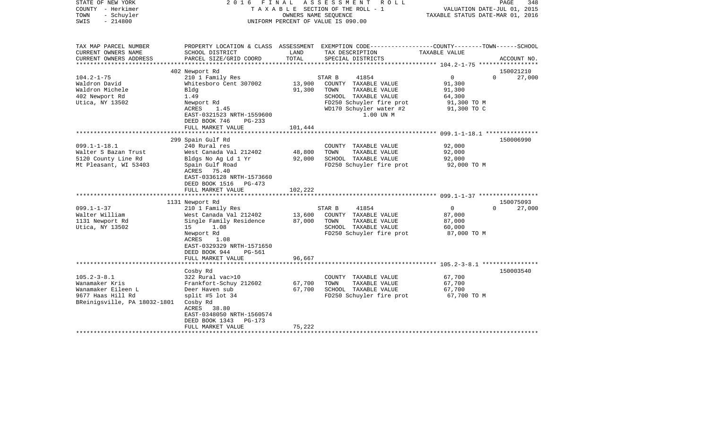| STATE OF NEW YORK<br>COUNTY - Herkimer<br>- Schuyler<br>TOWN<br>$-214800$<br>SWIS         | 2016 FINAL                                                                                            |                  | ASSESSMENT<br>R O L L<br>TAXABLE SECTION OF THE ROLL - 1<br>OWNERS NAME SEOUENCE<br>UNIFORM PERCENT OF VALUE IS 090.00                          | PAGE<br>348<br>VALUATION DATE-JUL 01, 2015<br>TAXABLE STATUS DATE-MAR 01, 2016                                                  |
|-------------------------------------------------------------------------------------------|-------------------------------------------------------------------------------------------------------|------------------|-------------------------------------------------------------------------------------------------------------------------------------------------|---------------------------------------------------------------------------------------------------------------------------------|
| TAX MAP PARCEL NUMBER<br>CURRENT OWNERS NAME<br>CURRENT OWNERS ADDRESS                    | SCHOOL DISTRICT<br>PARCEL SIZE/GRID COORD                                                             | LAND<br>TOTAL    | TAX DESCRIPTION<br>SPECIAL DISTRICTS                                                                                                            | PROPERTY LOCATION & CLASS ASSESSMENT EXEMPTION CODE---------------COUNTY-------TOWN------SCHOOL<br>TAXABLE VALUE<br>ACCOUNT NO. |
| ********************                                                                      |                                                                                                       |                  |                                                                                                                                                 |                                                                                                                                 |
|                                                                                           | 402 Newport Rd                                                                                        |                  |                                                                                                                                                 | 150021210                                                                                                                       |
| $104.2 - 1 - 75$<br>Waldron David<br>Waldron Michele<br>402 Newport Rd<br>Utica, NY 13502 | 210 1 Family Res<br>Whitesboro Cent 307002<br>Bldg<br>1.49<br>Newport Rd<br>ACRES<br>1.45             | 13,900<br>91,300 | STAR B<br>41854<br>COUNTY TAXABLE VALUE<br>TOWN<br>TAXABLE VALUE<br>SCHOOL TAXABLE VALUE<br>FD250 Schuyler fire prot<br>WD170 Schuyler water #2 | 0<br>$\Omega$<br>27,000<br>91,300<br>91,300<br>64,300<br>91,300 TO M<br>91,300 TO C                                             |
|                                                                                           | EAST-0321523 NRTH-1559600                                                                             |                  | 1.00 UN M                                                                                                                                       |                                                                                                                                 |
|                                                                                           | DEED BOOK 746<br>$PG-233$                                                                             |                  |                                                                                                                                                 |                                                                                                                                 |
|                                                                                           | FULL MARKET VALUE                                                                                     | 101,444          |                                                                                                                                                 |                                                                                                                                 |
|                                                                                           |                                                                                                       |                  |                                                                                                                                                 |                                                                                                                                 |
|                                                                                           | 299 Spain Gulf Rd                                                                                     |                  |                                                                                                                                                 | 150006990                                                                                                                       |
| $099.1 - 1 - 18.1$                                                                        | 240 Rural res                                                                                         |                  | COUNTY TAXABLE VALUE                                                                                                                            | 92,000                                                                                                                          |
| Walter S Bazan Trust                                                                      | West Canada Val 212402                                                                                | 48,800           | TOWN<br>TAXABLE VALUE                                                                                                                           | 92,000                                                                                                                          |
| 5120 County Line Rd                                                                       | Bldgs No Ag Ld 1 Yr                                                                                   | 92,000           | SCHOOL TAXABLE VALUE                                                                                                                            | 92,000                                                                                                                          |
| Mt Pleasant, WI 53403                                                                     | Spain Gulf Road<br>ACRES 75.40<br>EAST-0336128 NRTH-1573660<br>DEED BOOK 1516 PG-473                  |                  | FD250 Schuyler fire prot                                                                                                                        | 92,000 TO M                                                                                                                     |
|                                                                                           | FULL MARKET VALUE                                                                                     | 102,222          |                                                                                                                                                 |                                                                                                                                 |
|                                                                                           |                                                                                                       |                  |                                                                                                                                                 |                                                                                                                                 |
|                                                                                           | 1131 Newport Rd                                                                                       |                  |                                                                                                                                                 | 150075093                                                                                                                       |
| $099.1 - 1 - 37$                                                                          | 210 1 Family Res                                                                                      |                  | 41854<br>STAR B                                                                                                                                 | 27,000<br>$\overline{0}$<br>$\Omega$                                                                                            |
| Walter William                                                                            | West Canada Val 212402                                                                                | 13,600           | COUNTY TAXABLE VALUE                                                                                                                            | 87,000                                                                                                                          |
| 1131 Newport Rd                                                                           | Single Family Residence                                                                               | 87,000           | TOWN<br>TAXABLE VALUE                                                                                                                           | 87,000                                                                                                                          |
| Utica, NY 13502                                                                           | 15<br>1.08<br>Newport Rd<br>1.08<br>ACRES<br>EAST-0329329 NRTH-1571650<br>DEED BOOK 944<br>PG-561     |                  | SCHOOL TAXABLE VALUE<br>FD250 Schuyler fire prot                                                                                                | 60,000<br>87,000 TO M                                                                                                           |
|                                                                                           | FULL MARKET VALUE                                                                                     | 96,667           |                                                                                                                                                 |                                                                                                                                 |
|                                                                                           |                                                                                                       |                  |                                                                                                                                                 |                                                                                                                                 |
|                                                                                           | Cosby Rd                                                                                              |                  |                                                                                                                                                 | 150003540                                                                                                                       |
| $105.2 - 3 - 8.1$                                                                         | 322 Rural vac>10                                                                                      |                  | COUNTY TAXABLE VALUE                                                                                                                            | 67,700                                                                                                                          |
| Wanamaker Kris                                                                            | Frankfort-Schuy 212602                                                                                | 67,700           | TAXABLE VALUE<br>TOWN                                                                                                                           | 67,700                                                                                                                          |
| Wanamaker Eileen L                                                                        | Deer Haven sub                                                                                        | 67,700           | SCHOOL TAXABLE VALUE                                                                                                                            | 67,700                                                                                                                          |
| 9677 Haas Hill Rd<br>BReinigsville, PA 18032-1801                                         | split #5 lot $34$<br>Cosby Rd<br>ACRES 38.80<br>EAST-0348050 NRTH-1560574<br>DEED BOOK 1343<br>PG-173 |                  | FD250 Schuyler fire prot                                                                                                                        | 67,700 TO M                                                                                                                     |
|                                                                                           | FULL MARKET VALUE                                                                                     | 75,222           |                                                                                                                                                 |                                                                                                                                 |
|                                                                                           |                                                                                                       |                  |                                                                                                                                                 |                                                                                                                                 |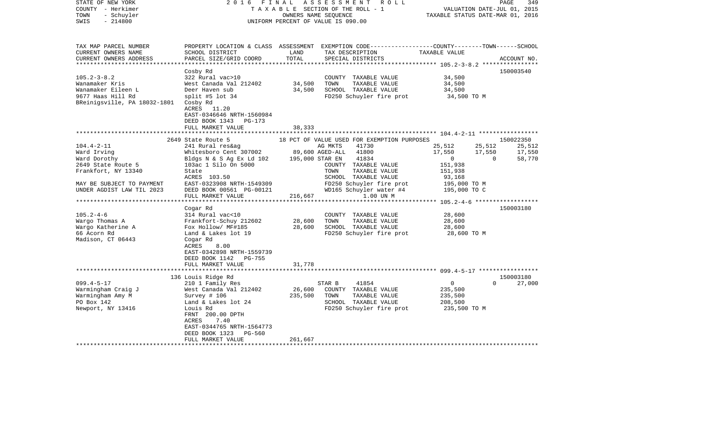| STATE OF NEW YORK<br>COUNTY - Herkimer<br>- Schuyler<br>TOWN<br>$-214800$<br>SWIS | 2016<br>FINAL                                                                 | OWNERS NAME SEQUENCE | A S S E S S M E N T<br>R O L L<br>TAXABLE SECTION OF THE ROLL - 1<br>UNIFORM PERCENT OF VALUE IS 090.00                                 |                              | PAGE<br>349<br>VALUATION DATE-JUL 01, 2015<br>TAXABLE STATUS DATE-MAR 01, 2016 |
|-----------------------------------------------------------------------------------|-------------------------------------------------------------------------------|----------------------|-----------------------------------------------------------------------------------------------------------------------------------------|------------------------------|--------------------------------------------------------------------------------|
| TAX MAP PARCEL NUMBER<br>CURRENT OWNERS NAME<br>CURRENT OWNERS ADDRESS            | SCHOOL DISTRICT<br>PARCEL SIZE/GRID COORD                                     | LAND<br>TOTAL        | PROPERTY LOCATION & CLASS ASSESSMENT EXEMPTION CODE---------------COUNTY-------TOWN------SCHOOL<br>TAX DESCRIPTION<br>SPECIAL DISTRICTS | TAXABLE VALUE                | ACCOUNT NO.                                                                    |
|                                                                                   |                                                                               |                      |                                                                                                                                         |                              |                                                                                |
| $105.2 - 3 - 8.2$                                                                 | Cosby Rd<br>322 Rural vac>10                                                  |                      |                                                                                                                                         | 34,500                       | 150003540                                                                      |
| Wanamaker Kris                                                                    | West Canada Val 212402                                                        | 34,500               | COUNTY TAXABLE VALUE<br>TOWN<br>TAXABLE VALUE                                                                                           | 34,500                       |                                                                                |
| Wanamaker Eileen L                                                                | Deer Haven sub                                                                | 34,500               | SCHOOL TAXABLE VALUE                                                                                                                    | 34,500                       |                                                                                |
| 9677 Haas Hill Rd<br>BReinigsville, PA 18032-1801                                 | split #5 lot $34$<br>Cosby Rd<br>ACRES 11.20<br>EAST-0346646 NRTH-1560984     |                      | FD250 Schuyler fire prot                                                                                                                | 34,500 TO M                  |                                                                                |
|                                                                                   | DEED BOOK 1343<br>PG-173                                                      |                      |                                                                                                                                         |                              |                                                                                |
|                                                                                   | FULL MARKET VALUE                                                             | 38,333               |                                                                                                                                         |                              |                                                                                |
|                                                                                   | 2649 State Route 5                                                            |                      | 18 PCT OF VALUE USED FOR EXEMPTION PURPOSES                                                                                             |                              | 150022350                                                                      |
| $104.4 - 2 - 11$                                                                  | 241 Rural res&ag                                                              |                      | 41730<br>AG MKTS                                                                                                                        | 25,512                       | 25,512<br>25,512                                                               |
| Ward Irving                                                                       | Whitesboro Cent 307002                                                        |                      | 89,600 AGED-ALL 41800                                                                                                                   | 17,550                       | 17,550<br>17,550                                                               |
| Ward Dorothy                                                                      | Bldgs N & S Ag Ex Ld 102                                                      | 195,000 STAR EN      | 41834                                                                                                                                   | $\mathbf{0}$                 | $\Omega$<br>58,770                                                             |
| 2649 State Route 5                                                                | 103ac 1 Silo On 5000                                                          |                      | COUNTY TAXABLE VALUE                                                                                                                    | 151,938                      |                                                                                |
| Frankfort, NY 13340                                                               | State                                                                         |                      | TOWN<br>TAXABLE VALUE                                                                                                                   | 151,938                      |                                                                                |
|                                                                                   | ACRES 103.50                                                                  |                      | SCHOOL TAXABLE VALUE                                                                                                                    | 93,168                       |                                                                                |
| MAY BE SUBJECT TO PAYMENT<br>UNDER AGDIST LAW TIL 2023                            | EAST-0323908 NRTH-1549309<br>DEED BOOK 00561 PG-00121                         |                      | FD250 Schuyler fire prot<br>WD165 Schuyler water #4                                                                                     | 195,000 TO M<br>195,000 TO C |                                                                                |
|                                                                                   | FULL MARKET VALUE                                                             | 216,667              | 1.00 UN M                                                                                                                               |                              |                                                                                |
|                                                                                   | ***********************                                                       | ************         |                                                                                                                                         |                              |                                                                                |
|                                                                                   | Cogar Rd                                                                      |                      |                                                                                                                                         |                              | 150003180                                                                      |
| $105.2 - 4 - 6$                                                                   | 314 Rural vac<10                                                              |                      | COUNTY TAXABLE VALUE                                                                                                                    | 28,600                       |                                                                                |
| Wargo Thomas A                                                                    | Frankfort-Schuy 212602                                                        | 28,600               | TOWN<br>TAXABLE VALUE                                                                                                                   | 28,600                       |                                                                                |
| Wargo Katherine A                                                                 | Fox Hollow/ MF#185                                                            | 28,600               | SCHOOL TAXABLE VALUE                                                                                                                    | 28,600                       |                                                                                |
| 66 Acorn Rd<br>Madison, CT 06443                                                  | Land & Lakes lot 19<br>Cogar Rd<br>ACRES<br>8.00<br>EAST-0342898 NRTH-1559739 |                      | FD250 Schuyler fire prot                                                                                                                | 28,600 TO M                  |                                                                                |
|                                                                                   | DEED BOOK 1142<br>PG-755                                                      |                      |                                                                                                                                         |                              |                                                                                |
|                                                                                   | FULL MARKET VALUE                                                             | 31,778               |                                                                                                                                         |                              |                                                                                |
|                                                                                   | ******************                                                            |                      |                                                                                                                                         |                              |                                                                                |
|                                                                                   | 136 Louis Ridge Rd                                                            |                      |                                                                                                                                         |                              | 150003180                                                                      |
| $099.4 - 5 - 17$                                                                  | 210 1 Family Res                                                              |                      | STAR B<br>41854                                                                                                                         | $\overline{0}$               | $\Omega$<br>27,000                                                             |
| Warmingham Craig J                                                                | West Canada Val 212402                                                        | 26,600<br>235,500    | COUNTY TAXABLE VALUE<br>TOWN<br>TAXABLE VALUE                                                                                           | 235,500<br>235,500           |                                                                                |
| Warmingham Amy M<br>PO Box 142                                                    | Survey $# 106$<br>Land & Lakes lot 24                                         |                      | SCHOOL TAXABLE VALUE                                                                                                                    | 208,500                      |                                                                                |
| Newport, NY 13416                                                                 | Louis Rd                                                                      |                      | FD250 Schuyler fire prot                                                                                                                | 235,500 TO M                 |                                                                                |
|                                                                                   | FRNT 200.00 DPTH<br>ACRES<br>7.40                                             |                      |                                                                                                                                         |                              |                                                                                |
|                                                                                   | EAST-0344765 NRTH-1564773                                                     |                      |                                                                                                                                         |                              |                                                                                |
|                                                                                   | DEED BOOK 1323<br>PG-560                                                      |                      |                                                                                                                                         |                              |                                                                                |
|                                                                                   | FULL MARKET VALUE                                                             | 261,667              |                                                                                                                                         |                              |                                                                                |
|                                                                                   |                                                                               |                      |                                                                                                                                         |                              |                                                                                |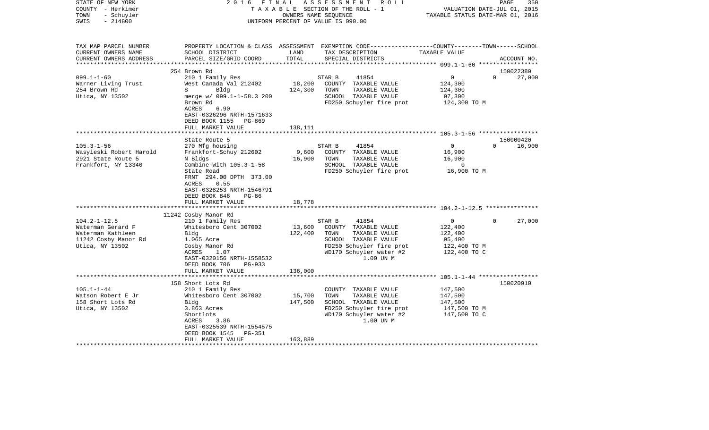| COUNTY<br>- Herkimer<br>TOWN<br>- Schuyler                                                              |                                                                                                                                                               |                   | T A X A B L E SECTION OF THE ROLL - 1<br>OWNERS NAME SEQUENCE                                                                                                | TAXABLE STATUS DATE-MAR 01, 2016                                         | VALUATION DATE-JUL 01, 2015 |
|---------------------------------------------------------------------------------------------------------|---------------------------------------------------------------------------------------------------------------------------------------------------------------|-------------------|--------------------------------------------------------------------------------------------------------------------------------------------------------------|--------------------------------------------------------------------------|-----------------------------|
| SWIS<br>$-214800$                                                                                       |                                                                                                                                                               |                   | UNIFORM PERCENT OF VALUE IS 090.00                                                                                                                           |                                                                          |                             |
| TAX MAP PARCEL NUMBER<br>CURRENT OWNERS NAME<br>CURRENT OWNERS ADDRESS                                  | PROPERTY LOCATION & CLASS ASSESSMENT EXEMPTION CODE---------------COUNTY-------TOWN------SCHOOL<br>SCHOOL DISTRICT<br>PARCEL SIZE/GRID COORD                  | LAND<br>TOTAL     | TAX DESCRIPTION<br>SPECIAL DISTRICTS                                                                                                                         | TAXABLE VALUE                                                            | ACCOUNT NO.                 |
|                                                                                                         | ************************                                                                                                                                      |                   | *************************                                                                                                                                    | ************ 099.1-1-60 ******************                               |                             |
|                                                                                                         | 254 Brown Rd                                                                                                                                                  |                   |                                                                                                                                                              |                                                                          | 150022380                   |
| $099.1 - 1 - 60$<br>Warner Living Trust                                                                 | 210 1 Family Res<br>West Canada Val 212402                                                                                                                    | 18,200            | 41854<br>STAR B<br>COUNTY TAXABLE VALUE                                                                                                                      | 0<br>124,300                                                             | $\Omega$<br>27,000          |
| 254 Brown Rd<br>Utica, NY 13502                                                                         | Bldg<br>S<br>merge w/ 099.1-1-58.3 200<br>Brown Rd<br>6.90<br>ACRES<br>EAST-0326296 NRTH-1571633<br>DEED BOOK 1155<br>PG-869                                  | 124,300           | TOWN<br>TAXABLE VALUE<br>SCHOOL TAXABLE VALUE<br>FD250 Schuyler fire prot                                                                                    | 124,300<br>97,300<br>124,300 TO M                                        |                             |
|                                                                                                         | FULL MARKET VALUE                                                                                                                                             | 138,111           |                                                                                                                                                              |                                                                          |                             |
|                                                                                                         | State Route 5                                                                                                                                                 |                   |                                                                                                                                                              |                                                                          | 150000420                   |
| $105.3 - 1 - 56$                                                                                        | 270 Mfg housing                                                                                                                                               |                   | 41854<br>STAR B                                                                                                                                              | $\mathbf{0}$                                                             | 16,900<br>$\Omega$          |
| Wasyleski Robert Harold<br>2921 State Route 5<br>Frankfort, NY 13340                                    | Frankfort-Schuy 212602<br>N Bldgs<br>Combine With 105.3-1-58                                                                                                  | 9,600<br>16,900   | COUNTY TAXABLE VALUE<br>TAXABLE VALUE<br>TOWN<br>SCHOOL TAXABLE VALUE                                                                                        | 16,900<br>16,900<br>0                                                    |                             |
|                                                                                                         | State Road<br>FRNT 294.00 DPTH 373.00<br>ACRES<br>0.55<br>EAST-0328253 NRTH-1546791<br>DEED BOOK 846<br>$PG-86$<br>FULL MARKET VALUE                          | 18,778            | FD250 Schuyler fire prot                                                                                                                                     | 16,900 TO M                                                              |                             |
|                                                                                                         |                                                                                                                                                               |                   |                                                                                                                                                              |                                                                          |                             |
|                                                                                                         | 11242 Cosby Manor Rd                                                                                                                                          |                   |                                                                                                                                                              |                                                                          |                             |
| $104.2 - 1 - 12.5$<br>Waterman Gerard F<br>Waterman Kathleen<br>11242 Cosby Manor Rd<br>Utica, NY 13502 | 210 1 Family Res<br>Whitesboro Cent 307002<br>Bldg<br>1.065 Acre<br>Cosby Manor Rd<br>ACRES<br>1.07<br>EAST-0320156 NRTH-1558532<br>DEED BOOK 706<br>$PG-933$ | 13,600<br>122,400 | STAR B<br>41854<br>COUNTY TAXABLE VALUE<br>TOWN<br>TAXABLE VALUE<br>SCHOOL TAXABLE VALUE<br>FD250 Schuyler fire prot<br>WD170 Schuyler water #2<br>1.00 UN M | $\Omega$<br>122,400<br>122,400<br>95,400<br>122,400 TO M<br>122,400 TO C | $\Omega$<br>27,000          |
|                                                                                                         | FULL MARKET VALUE                                                                                                                                             | 136,000           |                                                                                                                                                              |                                                                          |                             |
|                                                                                                         | 158 Short Lots Rd                                                                                                                                             |                   |                                                                                                                                                              |                                                                          | 150020910                   |
| $105.1 - 1 - 44$<br>Watson Robert E Jr                                                                  | 210 1 Family Res<br>Whitesboro Cent 307002                                                                                                                    | 15,700            | COUNTY TAXABLE VALUE<br>TOWN<br>TAXABLE VALUE                                                                                                                | 147,500<br>147,500                                                       |                             |
| 158 Short Lots Rd<br>Utica, NY 13502                                                                    | Bldg<br>3.863 Acres<br>Shortlots<br>ACRES<br>3.86<br>EAST-0325539 NRTH-1554575<br><b>PG-351</b><br>DEED BOOK 1545                                             | 147,500           | SCHOOL TAXABLE VALUE<br>FD250 Schuyler fire prot<br>WD170 Schuyler water #2<br>1.00 UN M                                                                     | 147,500<br>147,500 TO M<br>147,500 TO C                                  |                             |
| **********************                                                                                  | FULL MARKET VALUE                                                                                                                                             | 163,889           |                                                                                                                                                              |                                                                          |                             |

PAGE 350

STATE OF NEW YORK 2 0 1 6 F I N A L A S S E S S M E N T R O L L PAGE 350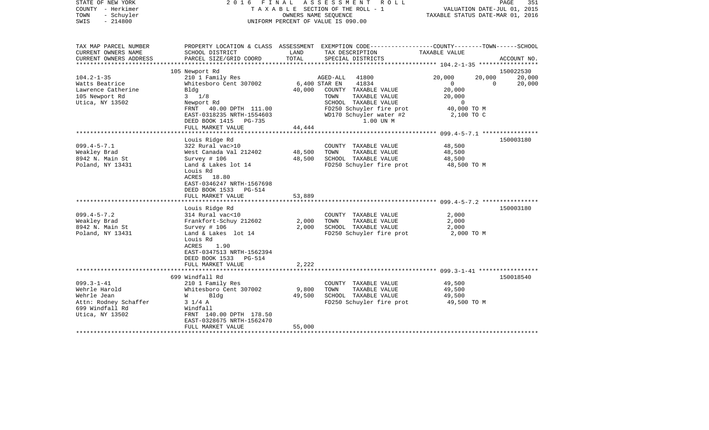| STATE OF NEW YORK<br>COUNTY - Herkimer<br>TOWN<br>- Schuyler<br>$-214800$<br>SWIS |                                                                                                                             | TAXABLE SECTION OF THE ROLL - 1<br>UNIFORM PERCENT OF VALUE IS 090.00 | OWNERS NAME SEOUENCE | 2016 FINAL ASSESSMENT ROLL                       | TAXABLE STATUS DATE-MAR 01, 2016 | VALUATION DATE-JUL 01, 2015 | PAGE<br>351 |
|-----------------------------------------------------------------------------------|-----------------------------------------------------------------------------------------------------------------------------|-----------------------------------------------------------------------|----------------------|--------------------------------------------------|----------------------------------|-----------------------------|-------------|
| TAX MAP PARCEL NUMBER                                                             | PROPERTY LOCATION & CLASS ASSESSMENT EXEMPTION CODE----------------COUNTY-------TOWN------SCHOOL                            |                                                                       |                      |                                                  |                                  |                             |             |
| CURRENT OWNERS NAME<br>CURRENT OWNERS ADDRESS                                     | SCHOOL DISTRICT<br>PARCEL SIZE/GRID COORD                                                                                   | LAND<br>TOTAL                                                         |                      | TAX DESCRIPTION<br>SPECIAL DISTRICTS             | TAXABLE VALUE                    |                             | ACCOUNT NO. |
| **********************                                                            |                                                                                                                             |                                                                       |                      |                                                  |                                  |                             |             |
|                                                                                   | 105 Newport Rd                                                                                                              |                                                                       |                      |                                                  |                                  |                             | 150022530   |
| $104.2 - 1 - 35$                                                                  | 210 1 Family Res                                                                                                            |                                                                       | AGED-ALL 41800       |                                                  | 20,000                           | 20,000                      | 20,000      |
| Watts Beatrice                                                                    | Whitesboro Cent 307002                                                                                                      |                                                                       | 6,400 STAR EN        | 41834                                            | $\Omega$                         | $\overline{0}$              | 20,000      |
| Lawrence Catherine<br>105 Newport Rd                                              | Bldg<br>$3 \frac{1}{8}$                                                                                                     | 40,000                                                                | TOWN                 | COUNTY TAXABLE VALUE<br>TAXABLE VALUE            | 20,000                           |                             |             |
| Utica, NY 13502                                                                   | Newport Rd                                                                                                                  |                                                                       |                      | SCHOOL TAXABLE VALUE                             | 20,000<br>$\overline{0}$         |                             |             |
|                                                                                   | FRNT 40.00 DPTH 111.00                                                                                                      |                                                                       |                      | FD250 Schuyler fire prot                         | 40,000 TO M                      |                             |             |
|                                                                                   | EAST-0318235 NRTH-1554603                                                                                                   |                                                                       |                      | WD170 Schuyler water #2                          | 2,100 TO C                       |                             |             |
|                                                                                   | DEED BOOK 1415 PG-735                                                                                                       |                                                                       |                      | 1.00 UN M                                        |                                  |                             |             |
|                                                                                   | FULL MARKET VALUE                                                                                                           | 44,444                                                                |                      |                                                  |                                  |                             |             |
|                                                                                   | Louis Ridge Rd                                                                                                              |                                                                       |                      |                                                  |                                  |                             | 150003180   |
| $099.4 - 5 - 7.1$                                                                 | 322 Rural vac>10                                                                                                            |                                                                       |                      | COUNTY TAXABLE VALUE                             | 48,500                           |                             |             |
| Weakley Brad                                                                      | West Canada Val 212402                                                                                                      | 48,500                                                                | TOWN                 | TAXABLE VALUE                                    | 48,500                           |                             |             |
| 8942 N. Main St                                                                   | Survey # 106                                                                                                                | 48,500                                                                |                      | SCHOOL TAXABLE VALUE                             | 48,500                           |                             |             |
| Poland, NY 13431                                                                  | Land & Lakes lot 14<br>Louis Rd<br>ACRES 18.80<br>EAST-0346247 NRTH-1567698<br>DEED BOOK 1533<br>PG-514                     |                                                                       |                      | FD250 Schuyler fire prot                         | 48,500 TO M                      |                             |             |
|                                                                                   | FULL MARKET VALUE                                                                                                           | 53,889                                                                |                      |                                                  |                                  |                             |             |
|                                                                                   | Louis Ridge Rd                                                                                                              |                                                                       |                      |                                                  |                                  |                             | 150003180   |
| $099.4 - 5 - 7.2$                                                                 | 314 Rural vac<10                                                                                                            |                                                                       |                      | COUNTY TAXABLE VALUE                             | 2,000                            |                             |             |
| Weakley Brad                                                                      | Frankfort-Schuy 212602                                                                                                      | 2,000                                                                 | TOWN                 | TAXABLE VALUE                                    | 2,000                            |                             |             |
| 8942 N. Main St                                                                   | Survey $# 106$                                                                                                              | 2,000                                                                 |                      | SCHOOL TAXABLE VALUE                             | 2,000                            |                             |             |
| Poland, NY 13431                                                                  | Land & Lakes lot 14<br>Louis Rd<br>ACRES<br>1.90<br>EAST-0347513 NRTH-1562394<br>DEED BOOK 1533 PG-514<br>FULL MARKET VALUE | 2,222                                                                 |                      | FD250 Schuyler fire prot                         | 2,000 TO M                       |                             |             |
|                                                                                   |                                                                                                                             |                                                                       |                      |                                                  |                                  |                             |             |
|                                                                                   | 699 Windfall Rd                                                                                                             |                                                                       |                      |                                                  |                                  |                             | 150018540   |
| $099.3 - 1 - 41$                                                                  | 210 1 Family Res                                                                                                            |                                                                       |                      | COUNTY TAXABLE VALUE                             | 49,500                           |                             |             |
| Wehrle Harold                                                                     | Whitesboro Cent 307002                                                                                                      | 9,800                                                                 | TOWN                 | TAXABLE VALUE                                    | 49,500                           |                             |             |
| Wehrle Jean                                                                       | <b>W</b><br>Bldg<br>$3 \frac{1}{4} A$                                                                                       | 49,500                                                                |                      | SCHOOL TAXABLE VALUE<br>FD250 Schuyler fire prot | 49,500<br>49,500 TO M            |                             |             |
| Attn: Rodney Schaffer<br>699 Windfall Rd                                          | Windfall                                                                                                                    |                                                                       |                      |                                                  |                                  |                             |             |
| Utica, NY 13502                                                                   | FRNT 140.00 DPTH 178.50                                                                                                     |                                                                       |                      |                                                  |                                  |                             |             |
|                                                                                   | EAST-0328675 NRTH-1562470                                                                                                   |                                                                       |                      |                                                  |                                  |                             |             |
|                                                                                   | FULL MARKET VALUE                                                                                                           | 55,000                                                                |                      |                                                  |                                  |                             |             |
|                                                                                   |                                                                                                                             |                                                                       |                      |                                                  |                                  |                             |             |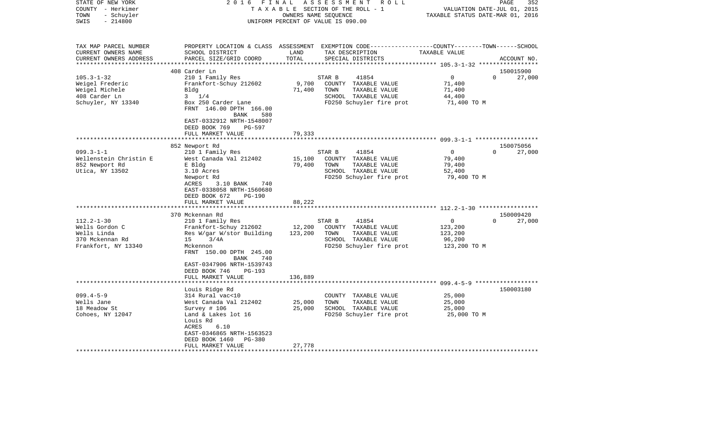| STATE OF NEW YORK<br>COUNTY - Herkimer        | 2016<br>FINAL                             |               | ASSESSMENT<br>R O L L<br>TAXABLE SECTION OF THE ROLL - 1                                        |                                  | 352<br>PAGE<br>VALUATION DATE-JUL 01, 2015 |
|-----------------------------------------------|-------------------------------------------|---------------|-------------------------------------------------------------------------------------------------|----------------------------------|--------------------------------------------|
| TOWN<br>- Schuyler<br>$-214800$<br>SWIS       |                                           |               | OWNERS NAME SEQUENCE<br>UNIFORM PERCENT OF VALUE IS 090.00                                      | TAXABLE STATUS DATE-MAR 01, 2016 |                                            |
|                                               |                                           |               |                                                                                                 |                                  |                                            |
| TAX MAP PARCEL NUMBER                         |                                           |               | PROPERTY LOCATION & CLASS ASSESSMENT EXEMPTION CODE---------------COUNTY-------TOWN------SCHOOL |                                  |                                            |
| CURRENT OWNERS NAME<br>CURRENT OWNERS ADDRESS | SCHOOL DISTRICT<br>PARCEL SIZE/GRID COORD | LAND<br>TOTAL | TAX DESCRIPTION<br>SPECIAL DISTRICTS                                                            | TAXABLE VALUE                    | ACCOUNT NO.                                |
|                                               | 408 Carder Ln                             |               |                                                                                                 |                                  | 150015900                                  |
| $105.3 - 1 - 32$                              | 210 1 Family Res                          |               | STAR B<br>41854                                                                                 | 0                                | $\Omega$<br>27,000                         |
| Weigel Frederic                               | Frankfort-Schuy 212602                    | 9,700         | COUNTY TAXABLE VALUE                                                                            | 71,400                           |                                            |
| Weigel Michele                                | Bldg                                      | 71,400        | TOWN<br>TAXABLE VALUE                                                                           | 71,400                           |                                            |
| 408 Carder Ln                                 | $3 \t1/4$                                 |               | SCHOOL TAXABLE VALUE                                                                            | 44,400                           |                                            |
| Schuyler, NY 13340                            | Box 250 Carder Lane                       |               | FD250 Schuyler fire prot                                                                        | 71,400 TO M                      |                                            |
|                                               | FRNT 146.00 DPTH 166.00                   |               |                                                                                                 |                                  |                                            |
|                                               | <b>BANK</b><br>580                        |               |                                                                                                 |                                  |                                            |
|                                               | EAST-0332912 NRTH-1548007                 |               |                                                                                                 |                                  |                                            |
|                                               | DEED BOOK 769<br>PG-597                   |               |                                                                                                 |                                  |                                            |
|                                               | FULL MARKET VALUE                         | 79,333        |                                                                                                 |                                  |                                            |
|                                               | 852 Newport Rd                            |               |                                                                                                 |                                  | 150075056                                  |
| $099.3 - 1 - 1$                               | 210 1 Family Res                          |               | STAR B<br>41854                                                                                 | $\mathbf{0}$                     | 27,000<br>$\Omega$                         |
| Wellenstein Christin E                        | West Canada Val 212402                    | 15,100        | COUNTY TAXABLE VALUE                                                                            | 79,400                           |                                            |
| 852 Newport Rd                                | E Bldg                                    | 79,400        | TOWN<br>TAXABLE VALUE                                                                           | 79,400                           |                                            |
| Utica, NY 13502                               | 3.10 Acres                                |               | SCHOOL TAXABLE VALUE                                                                            | 52,400                           |                                            |
|                                               | Newport Rd                                |               | FD250 Schuyler fire prot                                                                        | 79,400 TO M                      |                                            |
|                                               | ACRES<br>3.10 BANK<br>740                 |               |                                                                                                 |                                  |                                            |
|                                               | EAST-0338058 NRTH-1560680                 |               |                                                                                                 |                                  |                                            |
|                                               | DEED BOOK 672<br>PG-190                   |               |                                                                                                 |                                  |                                            |
|                                               | FULL MARKET VALUE                         | 88,222        |                                                                                                 |                                  |                                            |
|                                               |                                           |               |                                                                                                 |                                  |                                            |
|                                               | 370 Mckennan Rd                           |               |                                                                                                 |                                  | 150009420                                  |
| $112.2 - 1 - 30$                              | 210 1 Family Res                          |               | 41854<br>STAR B                                                                                 | $\mathbf{0}$                     | 27,000<br>$\Omega$                         |
| Wells Gordon C                                | Frankfort-Schuy 212602                    | 12,200        | COUNTY TAXABLE VALUE                                                                            | 123,200                          |                                            |
| Wells Linda                                   | Res W/gar W/stor Building                 | 123,200       | TOWN<br>TAXABLE VALUE                                                                           | 123,200                          |                                            |
| 370 Mckennan Rd                               | 3/4A<br>15                                |               | SCHOOL TAXABLE VALUE                                                                            | 96,200                           |                                            |
| Frankfort, NY 13340                           | Mckennon<br>FRNT 150.00 DPTH 245.00       |               | FD250 Schuyler fire prot                                                                        | 123,200 TO M                     |                                            |
|                                               | 740<br>BANK                               |               |                                                                                                 |                                  |                                            |
|                                               | EAST-0347906 NRTH-1539743                 |               |                                                                                                 |                                  |                                            |
|                                               | DEED BOOK 746<br>$PG-193$                 |               |                                                                                                 |                                  |                                            |
|                                               | FULL MARKET VALUE                         | 136,889       |                                                                                                 |                                  |                                            |
|                                               |                                           |               |                                                                                                 |                                  |                                            |
|                                               | Louis Ridge Rd                            |               |                                                                                                 |                                  | 150003180                                  |
| $099.4 - 5 - 9$                               | 314 Rural vac<10                          |               | COUNTY TAXABLE VALUE                                                                            | 25,000                           |                                            |
| Wells Jane                                    | West Canada Val 212402                    | 25,000        | TOWN<br>TAXABLE VALUE                                                                           | 25,000                           |                                            |
| 18 Meadow St                                  | Survey $# 106$                            | 25,000        | SCHOOL TAXABLE VALUE                                                                            | 25,000                           |                                            |
| Cohoes, NY 12047                              | Land & Lakes lot 16                       |               | FD250 Schuyler fire prot                                                                        | 25,000 TO M                      |                                            |
|                                               | Louis Rd                                  |               |                                                                                                 |                                  |                                            |
|                                               | 6.10<br>ACRES                             |               |                                                                                                 |                                  |                                            |
|                                               | EAST-0346865 NRTH-1563523                 |               |                                                                                                 |                                  |                                            |
|                                               | DEED BOOK 1460<br><b>PG-380</b>           |               |                                                                                                 |                                  |                                            |
|                                               | FULL MARKET VALUE                         | 27,778        |                                                                                                 |                                  |                                            |
|                                               |                                           |               |                                                                                                 |                                  |                                            |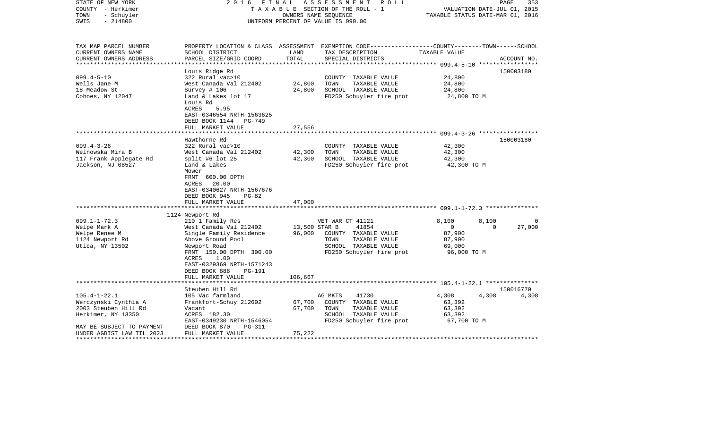| STATE OF NEW YORK<br>COUNTY - Herkimer<br>- Schuyler<br>TOWN<br>SWIS<br>$-214800$                                                                  | FINAL<br>2016                                                                                                                                                                                                              |                            | ASSESSMENT<br>R O L L<br>TAXABLE SECTION OF THE ROLL - 1<br>OWNERS NAME SEQUENCE<br>UNIFORM PERCENT OF VALUE IS 090.00                  | TAXABLE STATUS DATE-MAR 01, 2016                                            | PAGE<br>353<br>VALUATION DATE-JUL 01, 2015 |
|----------------------------------------------------------------------------------------------------------------------------------------------------|----------------------------------------------------------------------------------------------------------------------------------------------------------------------------------------------------------------------------|----------------------------|-----------------------------------------------------------------------------------------------------------------------------------------|-----------------------------------------------------------------------------|--------------------------------------------|
| TAX MAP PARCEL NUMBER<br>CURRENT OWNERS NAME<br>CURRENT OWNERS ADDRESS                                                                             | SCHOOL DISTRICT<br>PARCEL SIZE/GRID COORD                                                                                                                                                                                  | LAND<br>TOTAL              | PROPERTY LOCATION & CLASS ASSESSMENT EXEMPTION CODE---------------COUNTY-------TOWN------SCHOOL<br>TAX DESCRIPTION<br>SPECIAL DISTRICTS | TAXABLE VALUE                                                               | ACCOUNT NO.                                |
| $099.4 - 5 - 10$<br>Wells Jane M<br>18 Meadow St<br>Cohoes, NY 12047                                                                               | Louis Ridge Rd<br>322 Rural vac>10<br>West Canada Val 212402<br>Survey # 106<br>Land & Lakes lot 17<br>Louis Rd<br>ACRES<br>5.95<br>EAST-0346554 NRTH-1563625<br>DEED BOOK 1144 PG-749<br>FULL MARKET VALUE                | 24,800<br>24,800<br>27,556 | COUNTY TAXABLE VALUE<br>TOWN<br>TAXABLE VALUE<br>SCHOOL TAXABLE VALUE<br>FD250 Schuyler fire prot                                       | 24,800<br>24,800<br>24,800<br>24,800 TO M                                   | 150003180                                  |
|                                                                                                                                                    | **********************                                                                                                                                                                                                     |                            |                                                                                                                                         |                                                                             |                                            |
| $099.4 - 3 - 26$<br>Welnowska Mira B<br>117 Frank Applegate Rd<br>Jackson, NJ 08527                                                                | Hawthorne Rd<br>322 Rural vac>10<br>West Canada Val 212402<br>split #6 lot $25$<br>Land & Lakes<br>Mower<br>FRNT 600.00 DPTH<br>ACRES<br>20.00<br>EAST-0340627 NRTH-1567676<br>DEED BOOK 945<br>PG-82<br>FULL MARKET VALUE | 42,300<br>42,300<br>47,000 | COUNTY TAXABLE VALUE<br>TAXABLE VALUE<br>TOWN<br>SCHOOL TAXABLE VALUE<br>FD250 Schuyler fire prot                                       | 42,300<br>42,300<br>42,300<br>42,300 TO M                                   | 150003180                                  |
|                                                                                                                                                    | 1124 Newport Rd                                                                                                                                                                                                            |                            |                                                                                                                                         |                                                                             |                                            |
| $099.1 - 1 - 72.3$<br>Welpe Mark A<br>Welpe Renee M<br>1124 Newport Rd<br>Utica, NY 13502                                                          | 210 1 Family Res<br>West Canada Val 212402<br>Single Family Residence<br>Above Ground Pool<br>Newport Road<br>FRNT 150.00 DPTH 300.00<br>1.00<br>ACRES<br>EAST-0329369 NRTH-1571243<br>DEED BOOK 888<br>PG-191             | 13,500 STAR B<br>96,000    | VET WAR CT 41121<br>41854<br>COUNTY TAXABLE VALUE<br>TAXABLE VALUE<br>TOWN<br>SCHOOL TAXABLE VALUE<br>FD250 Schuyler fire prot          | 8,100<br>8,100<br>$\mathbf{0}$<br>87,900<br>87,900<br>69,000<br>96,000 TO M | $\Omega$<br>27,000<br>$\Omega$             |
|                                                                                                                                                    | FULL MARKET VALUE                                                                                                                                                                                                          | 106,667                    |                                                                                                                                         |                                                                             |                                            |
| $105.4 - 1 - 22.1$<br>Werczynski Cynthia A<br>2003 Steuben Hill Rd<br>Herkimer, NY 13350<br>MAY BE SUBJECT TO PAYMENT<br>UNDER AGDIST LAW TIL 2023 | Steuben Hill Rd<br>105 Vac farmland<br>Frankfort-Schuy 212602<br>Vacant<br>ACRES 182.30<br>EAST-0349230 NRTH-1546054<br>DEED BOOK 870<br>PG-311<br>FULL MARKET VALUE                                                       | 67,700<br>67,700<br>75,222 | 41730<br>AG MKTS<br>COUNTY TAXABLE VALUE<br>TOWN<br>TAXABLE VALUE<br>SCHOOL TAXABLE VALUE<br>FD250 Schuyler fire prot                   | 4,308<br>4,308<br>63,392<br>63,392<br>63,392<br>67,700 TO M                 | 150016770<br>4,308                         |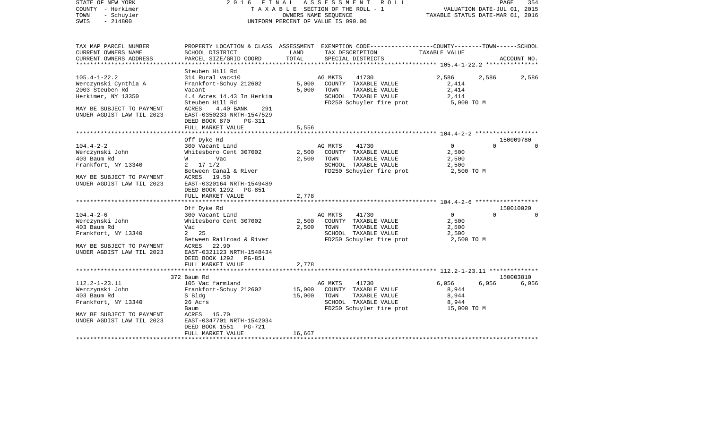| STATE OF NEW YORK<br>COUNTY - Herkimer<br>TOWN<br>- Schuyler<br>$-214800$<br>SWIS |                                                    |        | 2016 FINAL ASSESSMENT ROLL<br>TAXABLE SECTION OF THE ROLL - 1<br>OWNERS NAME SEOUENCE<br>UNIFORM PERCENT OF VALUE IS 090.00 |                                                 | PAGE<br>VALUATION DATE-JUL 01, 2015<br>TAXABLE STATUS DATE-MAR 01, 2016 | 354      |
|-----------------------------------------------------------------------------------|----------------------------------------------------|--------|-----------------------------------------------------------------------------------------------------------------------------|-------------------------------------------------|-------------------------------------------------------------------------|----------|
| TAX MAP PARCEL NUMBER<br>CURRENT OWNERS NAME                                      | SCHOOL DISTRICT                                    | LAND   | PROPERTY LOCATION & CLASS ASSESSMENT EXEMPTION CODE----------------COUNTY-------TOWN------SCHOOL<br>TAX DESCRIPTION         | TAXABLE VALUE                                   |                                                                         |          |
| CURRENT OWNERS ADDRESS                                                            | PARCEL SIZE/GRID COORD                             | TOTAL  | SPECIAL DISTRICTS<br>***************************                                                                            | ****************** 105.4-1-22.2 *************** | ACCOUNT NO.                                                             |          |
|                                                                                   | Steuben Hill Rd                                    |        |                                                                                                                             |                                                 |                                                                         |          |
| $105.4 - 1 - 22.2$                                                                | 314 Rural vac<10                                   |        | AG MKTS<br>41730                                                                                                            | 2,586                                           | 2,586                                                                   | 2,586    |
| Werczynski Cynthia A                                                              | Frankfort-Schuy 212602                             | 5,000  | COUNTY TAXABLE VALUE                                                                                                        | 2,414                                           |                                                                         |          |
| 2003 Steuben Rd                                                                   | Vacant                                             | 5,000  | TOWN<br>TAXABLE VALUE                                                                                                       | 2,414                                           |                                                                         |          |
| Herkimer, NY 13350                                                                | 4.4 Acres 14.43 In Herkim<br>Steuben Hill Rd       |        | SCHOOL TAXABLE VALUE<br>FD250 Schuyler fire prot                                                                            | 2,414<br>5,000 TO M                             |                                                                         |          |
| MAY BE SUBJECT TO PAYMENT                                                         | ACRES<br>4.40 BANK<br>291                          |        |                                                                                                                             |                                                 |                                                                         |          |
| UNDER AGDIST LAW TIL 2023                                                         | EAST-0350233 NRTH-1547529                          |        |                                                                                                                             |                                                 |                                                                         |          |
|                                                                                   | DEED BOOK 870<br>PG-311                            |        |                                                                                                                             |                                                 |                                                                         |          |
|                                                                                   | FULL MARKET VALUE                                  | 5,556  |                                                                                                                             |                                                 |                                                                         |          |
|                                                                                   |                                                    |        |                                                                                                                             |                                                 |                                                                         |          |
| $104.4 - 2 - 2$                                                                   | Off Dyke Rd<br>300 Vacant Land                     |        | AG MKTS<br>41730                                                                                                            | $\overline{0}$                                  | 150009780<br>$\Omega$                                                   | $\Omega$ |
| Werczynski John                                                                   | Whitesboro Cent 307002                             | 2,500  | COUNTY TAXABLE VALUE                                                                                                        | 2,500                                           |                                                                         |          |
| 403 Baum Rd                                                                       | W Vac                                              | 2,500  | TAXABLE VALUE<br>TOWN                                                                                                       | 2,500                                           |                                                                         |          |
| Frankfort, NY 13340                                                               | $2 \t17 \t1/2$                                     |        | SCHOOL TAXABLE VALUE                                                                                                        | 2,500                                           |                                                                         |          |
|                                                                                   | Between Canal & River                              |        | FD250 Schuyler fire prot                                                                                                    | 2,500 TO M                                      |                                                                         |          |
| MAY BE SUBJECT TO PAYMENT                                                         | ACRES 19.50                                        |        |                                                                                                                             |                                                 |                                                                         |          |
| UNDER AGDIST LAW TIL 2023                                                         | EAST-0320164 NRTH-1549489                          |        |                                                                                                                             |                                                 |                                                                         |          |
|                                                                                   | DEED BOOK 1292 PG-851                              |        |                                                                                                                             |                                                 |                                                                         |          |
|                                                                                   | FULL MARKET VALUE                                  | 2,778  |                                                                                                                             |                                                 |                                                                         |          |
|                                                                                   | Off Dyke Rd                                        |        |                                                                                                                             |                                                 | 150010020                                                               |          |
| $104.4 - 2 - 6$                                                                   | 300 Vacant Land                                    |        | AG MKTS<br>41730                                                                                                            | $\overline{0}$                                  | $\Omega$                                                                | $\Omega$ |
| Werczynski John                                                                   | Whitesboro Cent 307002                             | 2,500  | COUNTY TAXABLE VALUE                                                                                                        | 2,500                                           |                                                                         |          |
| 403 Baum Rd                                                                       | Vac                                                | 2,500  | TOWN<br>TAXABLE VALUE                                                                                                       | 2,500                                           |                                                                         |          |
| Frankfort, NY 13340                                                               | 2 25                                               |        | SCHOOL TAXABLE VALUE                                                                                                        | 2,500                                           |                                                                         |          |
|                                                                                   | Between Railroad & River                           |        | FD250 Schuyler fire prot                                                                                                    | 2,500 TO M                                      |                                                                         |          |
| MAY BE SUBJECT TO PAYMENT                                                         | ACRES 22.90                                        |        |                                                                                                                             |                                                 |                                                                         |          |
| UNDER AGDIST LAW TIL 2023                                                         | EAST-0321123 NRTH-1548434<br>DEED BOOK 1292 PG-851 |        |                                                                                                                             |                                                 |                                                                         |          |
|                                                                                   | FULL MARKET VALUE                                  | 2,778  |                                                                                                                             |                                                 |                                                                         |          |
|                                                                                   |                                                    |        |                                                                                                                             |                                                 |                                                                         |          |
|                                                                                   | 372 Baum Rd                                        |        |                                                                                                                             |                                                 | 150003810                                                               |          |
| $112.2 - 1 - 23.11$                                                               | 105 Vac farmland                                   |        | AG MKTS<br>41730                                                                                                            | 6,056                                           | 6,056                                                                   | 6,056    |
| Werczynski John                                                                   | Frankfort-Schuy 212602                             | 15,000 | COUNTY TAXABLE VALUE                                                                                                        | 8,944                                           |                                                                         |          |
| 403 Baum Rd                                                                       | S Bldg                                             | 15,000 | TOWN<br>TAXABLE VALUE                                                                                                       | 8,944                                           |                                                                         |          |
| Frankfort, NY 13340                                                               | 26 Acrs                                            |        | SCHOOL TAXABLE VALUE                                                                                                        | 8,944                                           |                                                                         |          |
| MAY BE SUBJECT TO PAYMENT                                                         | Baum<br>ACRES 15.70                                |        | FD250 Schuyler fire prot                                                                                                    | 15,000 TO M                                     |                                                                         |          |
| UNDER AGDIST LAW TIL 2023                                                         | EAST-0347701 NRTH-1542034                          |        |                                                                                                                             |                                                 |                                                                         |          |
|                                                                                   | PG-721<br>DEED BOOK 1551                           |        |                                                                                                                             |                                                 |                                                                         |          |
|                                                                                   | FULL MARKET VALUE                                  | 16,667 |                                                                                                                             |                                                 |                                                                         |          |
| *************************                                                         |                                                    |        |                                                                                                                             |                                                 |                                                                         |          |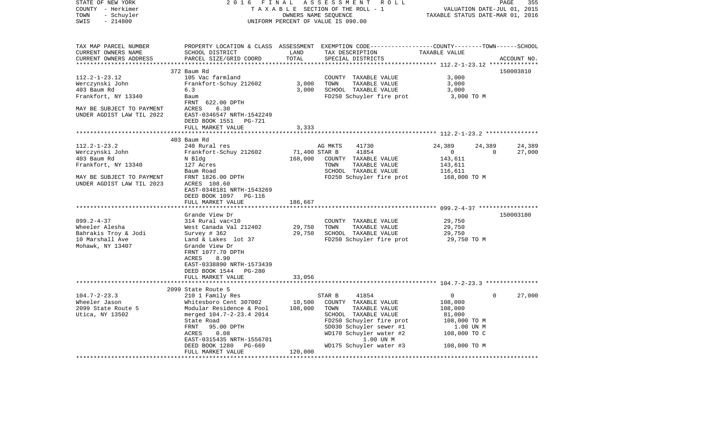| STATE OF NEW YORK<br>COUNTY - Herkimer<br>- Schuyler<br>TOWN<br>SWIS<br>$-214800$ | 2 0 1 6<br>FINAL<br>ASSESSMENT<br>R O L L<br>TAXABLE SECTION OF THE ROLL - 1<br>OWNERS NAME SEQUENCE<br>UNIFORM PERCENT OF VALUE IS 090.00 |                      |                                                                                                  | 355<br>PAGE<br>VALUATION DATE-JUL 01,<br>2015<br>TAXABLE STATUS DATE-MAR 01, 2016 |             |             |
|-----------------------------------------------------------------------------------|--------------------------------------------------------------------------------------------------------------------------------------------|----------------------|--------------------------------------------------------------------------------------------------|-----------------------------------------------------------------------------------|-------------|-------------|
| TAX MAP PARCEL NUMBER                                                             |                                                                                                                                            |                      | PROPERTY LOCATION & CLASS ASSESSMENT EXEMPTION CODE----------------COUNTY-------TOWN------SCHOOL |                                                                                   |             |             |
| CURRENT OWNERS NAME                                                               | SCHOOL DISTRICT                                                                                                                            | LAND                 | TAX DESCRIPTION                                                                                  | TAXABLE VALUE                                                                     |             |             |
| CURRENT OWNERS ADDRESS<br>***********************                                 | PARCEL SIZE/GRID COORD                                                                                                                     | TOTAL<br>*********** | SPECIAL DISTRICTS                                                                                |                                                                                   |             | ACCOUNT NO. |
|                                                                                   | 372 Baum Rd                                                                                                                                |                      | ************************************* 112.2-1-23.12 **************                               |                                                                                   |             | 150003810   |
| $112.2 - 1 - 23.12$                                                               | 105 Vac farmland                                                                                                                           |                      | COUNTY<br>TAXABLE VALUE                                                                          | 3,000                                                                             |             |             |
| Werczynski John                                                                   | Frankfort-Schuy 212602                                                                                                                     | 3,000                | TOWN<br>TAXABLE VALUE                                                                            | 3,000                                                                             |             |             |
| 403 Baum Rd                                                                       | 6.3                                                                                                                                        | 3,000                | SCHOOL TAXABLE VALUE                                                                             | 3,000                                                                             |             |             |
| Frankfort, NY 13340                                                               | Baum                                                                                                                                       |                      | FD250 Schuyler fire prot                                                                         | 3,000 TO M                                                                        |             |             |
|                                                                                   | FRNT<br>622.00 DPTH                                                                                                                        |                      |                                                                                                  |                                                                                   |             |             |
| MAY BE SUBJECT TO PAYMENT                                                         | 6.30<br>ACRES                                                                                                                              |                      |                                                                                                  |                                                                                   |             |             |
| UNDER AGDIST LAW TIL 2022                                                         | EAST-0346547 NRTH-1542249                                                                                                                  |                      |                                                                                                  |                                                                                   |             |             |
|                                                                                   | DEED BOOK 1551<br>PG-721                                                                                                                   |                      |                                                                                                  |                                                                                   |             |             |
|                                                                                   | FULL MARKET VALUE                                                                                                                          | 3,333                | ****************************** 112.2-1-23.2 ***************                                      |                                                                                   |             |             |
|                                                                                   | 403 Baum Rd                                                                                                                                |                      |                                                                                                  |                                                                                   |             |             |
| $112.2 - 1 - 23.2$                                                                | 240 Rural res                                                                                                                              |                      | AG MKTS<br>41730                                                                                 | 24,389                                                                            | 24,389      | 24,389      |
| Werczynski John                                                                   | Frankfort-Schuy 212602                                                                                                                     | 71,400 STAR B        | 41854                                                                                            | $\mathbf{0}$                                                                      | $\mathbf 0$ | 27,000      |
| 403 Baum Rd                                                                       | N Bldg                                                                                                                                     | 168,000              | COUNTY TAXABLE VALUE                                                                             | 143,611                                                                           |             |             |
| Frankfort, NY 13340                                                               | 127 Acres                                                                                                                                  |                      | TOWN<br>TAXABLE VALUE                                                                            | 143,611                                                                           |             |             |
|                                                                                   | Baum Road                                                                                                                                  |                      | SCHOOL TAXABLE VALUE                                                                             | 116,611                                                                           |             |             |
| MAY BE SUBJECT TO PAYMENT                                                         | FRNT 1826.00 DPTH                                                                                                                          |                      | FD250 Schuyler fire prot                                                                         | 168,000 TO M                                                                      |             |             |
| UNDER AGDIST LAW TIL 2023                                                         | ACRES 108.60                                                                                                                               |                      |                                                                                                  |                                                                                   |             |             |
|                                                                                   | EAST-0348181 NRTH-1543269                                                                                                                  |                      |                                                                                                  |                                                                                   |             |             |
|                                                                                   | DEED BOOK 1097<br>PG-116<br>FULL MARKET VALUE                                                                                              | 186,667              |                                                                                                  |                                                                                   |             |             |
|                                                                                   |                                                                                                                                            | *********            |                                                                                                  |                                                                                   |             |             |
|                                                                                   | Grande View Dr                                                                                                                             |                      |                                                                                                  |                                                                                   |             | 150003180   |
| $099.2 - 4 - 37$                                                                  | 314 Rural vac<10                                                                                                                           |                      | COUNTY<br>TAXABLE VALUE                                                                          | 29,750                                                                            |             |             |
| Wheeler Alesha                                                                    | West Canada Val 212402                                                                                                                     | 29,750               | TAXABLE VALUE<br>TOWN                                                                            | 29,750                                                                            |             |             |
| Bahrakis Troy & Jodi                                                              | Survey $# 362$                                                                                                                             | 29,750               | SCHOOL TAXABLE VALUE                                                                             | 29,750                                                                            |             |             |
| 10 Marshall Ave                                                                   | Land & Lakes lot 37                                                                                                                        |                      | FD250 Schuyler fire prot                                                                         | 29,750 TO M                                                                       |             |             |
| Mohawk, NY 13407                                                                  | Grande View Dr                                                                                                                             |                      |                                                                                                  |                                                                                   |             |             |
|                                                                                   | FRNT 1077.70 DPTH                                                                                                                          |                      |                                                                                                  |                                                                                   |             |             |
|                                                                                   | ACRES<br>8.90                                                                                                                              |                      |                                                                                                  |                                                                                   |             |             |
|                                                                                   | EAST-0338890 NRTH-1573439<br>DEED BOOK 1544<br>PG-280                                                                                      |                      |                                                                                                  |                                                                                   |             |             |
|                                                                                   | FULL MARKET VALUE                                                                                                                          | 33,056               |                                                                                                  |                                                                                   |             |             |
|                                                                                   | *************************                                                                                                                  | ***********          | ****************************** 104.7-2-23.3 ***************                                      |                                                                                   |             |             |
|                                                                                   | 2099 State Route 5                                                                                                                         |                      |                                                                                                  |                                                                                   |             |             |
| $104.7 - 2 - 23.3$                                                                | 210 1 Family Res                                                                                                                           |                      | STAR B<br>41854                                                                                  | 0                                                                                 | $\mathbf 0$ | 27,000      |
| Wheeler Jason                                                                     | Whitesboro Cent 307002                                                                                                                     | 10,500               | COUNTY TAXABLE VALUE                                                                             | 108,000                                                                           |             |             |
| 2099 State Route 5                                                                | Modular Residence & Pool                                                                                                                   | 108,000              | TOWN<br>TAXABLE VALUE                                                                            | 108,000                                                                           |             |             |
| Utica, NY 13502                                                                   | merged 104.7-2-23.4 2014                                                                                                                   |                      | SCHOOL TAXABLE VALUE                                                                             | 81,000                                                                            |             |             |
|                                                                                   | State Road                                                                                                                                 |                      | FD250 Schuyler fire prot                                                                         | 108,000 TO M                                                                      |             |             |
|                                                                                   | FRNT<br>95.00 DPTH                                                                                                                         |                      | SD030 Schuyler sewer #1                                                                          | 1.00 UN M                                                                         |             |             |
|                                                                                   | ACRES<br>0.08                                                                                                                              |                      | WD170 Schuyler water #2                                                                          | 108,000 TO C                                                                      |             |             |
|                                                                                   | EAST-0315435 NRTH-1556701<br>DEED BOOK 1280<br>PG-669                                                                                      |                      | 1.00 UN M<br>WD175 Schuyler water #3                                                             | 108,000 TO M                                                                      |             |             |
|                                                                                   | FULL MARKET VALUE                                                                                                                          | 120,000              |                                                                                                  |                                                                                   |             |             |
|                                                                                   |                                                                                                                                            |                      |                                                                                                  |                                                                                   |             |             |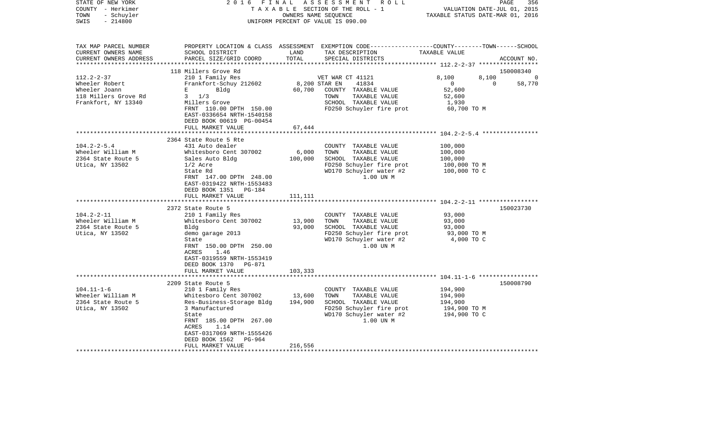| STATE OF NEW YORK<br>COUNTY - Herkimer<br>- Schuyler<br>TOWN<br>$-214800$<br>SWIS                   | 2016<br>FINAL                                                                                                     |               | A S S E S S M E N T<br>R O L L<br>TAXABLE SECTION OF THE ROLL - 1<br>OWNERS NAME SEQUENCE<br>UNIFORM PERCENT OF VALUE IS 090.00         | VALUATION DATE-JUL 01, 2015<br>TAXABLE STATUS DATE-MAR 01, 2016 | PAGE<br>356 |
|-----------------------------------------------------------------------------------------------------|-------------------------------------------------------------------------------------------------------------------|---------------|-----------------------------------------------------------------------------------------------------------------------------------------|-----------------------------------------------------------------|-------------|
| TAX MAP PARCEL NUMBER<br>CURRENT OWNERS NAME<br>CURRENT OWNERS ADDRESS<br>************************* | SCHOOL DISTRICT<br>PARCEL SIZE/GRID COORD                                                                         | LAND<br>TOTAL | PROPERTY LOCATION & CLASS ASSESSMENT EXEMPTION CODE---------------COUNTY-------TOWN------SCHOOL<br>TAX DESCRIPTION<br>SPECIAL DISTRICTS | TAXABLE VALUE                                                   | ACCOUNT NO. |
|                                                                                                     | 118 Millers Grove Rd                                                                                              |               |                                                                                                                                         |                                                                 | 150008340   |
| $112.2 - 2 - 37$                                                                                    | 210 1 Family Res                                                                                                  |               | VET WAR CT 41121                                                                                                                        | 8,100<br>8,100                                                  |             |
| Wheeler Robert                                                                                      | Frankfort-Schuy 212602                                                                                            | 8,200 STAR EN | 41834                                                                                                                                   | $\overline{0}$<br>$\overline{0}$                                | 58,770      |
| Wheeler Joann                                                                                       | E<br>Bldg                                                                                                         | 60,700        | COUNTY TAXABLE VALUE                                                                                                                    | 52,600                                                          |             |
| 118 Millers Grove Rd                                                                                | $3 \frac{1}{3}$                                                                                                   |               | TOWN<br>TAXABLE VALUE                                                                                                                   | 52,600                                                          |             |
| Frankfort, NY 13340                                                                                 | Millers Grove                                                                                                     |               | SCHOOL TAXABLE VALUE                                                                                                                    | 1,930                                                           |             |
|                                                                                                     | FRNT 110.00 DPTH 150.00<br>EAST-0336654 NRTH-1540158<br>DEED BOOK 00619 PG-00454<br>FULL MARKET VALUE             | 67,444        | FD250 Schuyler fire prot                                                                                                                | 60,700 TO M                                                     |             |
|                                                                                                     | *********************                                                                                             |               |                                                                                                                                         |                                                                 |             |
|                                                                                                     | 2364 State Route 5 Rte                                                                                            |               |                                                                                                                                         |                                                                 |             |
| $104.2 - 2 - 5.4$                                                                                   | 431 Auto dealer                                                                                                   |               | COUNTY TAXABLE VALUE                                                                                                                    | 100,000                                                         |             |
| Wheeler William M                                                                                   | Whitesboro Cent 307002                                                                                            | 6,000         | TOWN<br>TAXABLE VALUE                                                                                                                   | 100,000                                                         |             |
| 2364 State Route 5                                                                                  | Sales Auto Bldg                                                                                                   | 100,000       | SCHOOL TAXABLE VALUE                                                                                                                    | 100,000                                                         |             |
| Utica, NY 13502                                                                                     | $1/2$ Acre                                                                                                        |               | FD250 Schuyler fire prot                                                                                                                | 100,000 TO M                                                    |             |
|                                                                                                     | State Rd<br>FRNT 147.00 DPTH 248.00<br>EAST-0319422 NRTH-1553483<br>DEED BOOK 1351<br>PG-184<br>FULL MARKET VALUE | 111,111       | WD170 Schuyler water #2<br>1.00 UN M                                                                                                    | 100,000 TO C                                                    |             |
|                                                                                                     |                                                                                                                   |               |                                                                                                                                         |                                                                 |             |
|                                                                                                     | 2372 State Route 5                                                                                                |               |                                                                                                                                         |                                                                 | 150023730   |
| $104.2 - 2 - 11$                                                                                    | 210 1 Family Res                                                                                                  |               | COUNTY TAXABLE VALUE                                                                                                                    | 93,000                                                          |             |
| Wheeler William M                                                                                   | Whitesboro Cent 307002                                                                                            | 13,900        | TOWN<br>TAXABLE VALUE                                                                                                                   | 93,000                                                          |             |
| 2364 State Route 5<br>Utica, NY 13502                                                               | Bldg<br>demo garage 2013                                                                                          | 93,000        | SCHOOL TAXABLE VALUE<br>FD250 Schuyler fire prot                                                                                        | 93,000<br>93,000 TO M                                           |             |
|                                                                                                     | State                                                                                                             |               | WD170 Schuyler water #2                                                                                                                 | 4,000 TO C                                                      |             |
|                                                                                                     | FRNT 150.00 DPTH 250.00<br>ACRES<br>1.46<br>EAST-0319559 NRTH-1553419                                             |               | 1.00 UN M                                                                                                                               |                                                                 |             |
|                                                                                                     | DEED BOOK 1370 PG-871                                                                                             |               |                                                                                                                                         |                                                                 |             |
|                                                                                                     | FULL MARKET VALUE                                                                                                 | 103,333       |                                                                                                                                         |                                                                 |             |
|                                                                                                     | 2209 State Route 5                                                                                                |               |                                                                                                                                         |                                                                 | 150008790   |
| $104.11 - 1 - 6$                                                                                    | 210 1 Family Res                                                                                                  |               | COUNTY TAXABLE VALUE                                                                                                                    | 194,900                                                         |             |
| Wheeler William M                                                                                   | Whitesboro Cent 307002                                                                                            | 13,600        | TAXABLE VALUE<br>TOWN                                                                                                                   | 194,900                                                         |             |
| 2364 State Route 5                                                                                  | Res-Business-Storage Bldg                                                                                         | 194,900       | SCHOOL TAXABLE VALUE                                                                                                                    | 194,900                                                         |             |
| Utica, NY 13502                                                                                     | 3 Manufactured                                                                                                    |               | FD250 Schuyler fire prot                                                                                                                | 194,900 TO M                                                    |             |
|                                                                                                     | State                                                                                                             |               | WD170 Schuyler water #2                                                                                                                 | 194,900 TO C                                                    |             |
|                                                                                                     | FRNT 185.00 DPTH 267.00<br>ACRES<br>1.14                                                                          |               | 1.00 UN M                                                                                                                               |                                                                 |             |
|                                                                                                     | EAST-0317069 NRTH-1555426                                                                                         |               |                                                                                                                                         |                                                                 |             |
|                                                                                                     | DEED BOOK 1562<br>PG-964                                                                                          |               |                                                                                                                                         |                                                                 |             |
|                                                                                                     | FULL MARKET VALUE                                                                                                 | 216,556       |                                                                                                                                         |                                                                 |             |
|                                                                                                     |                                                                                                                   |               |                                                                                                                                         |                                                                 |             |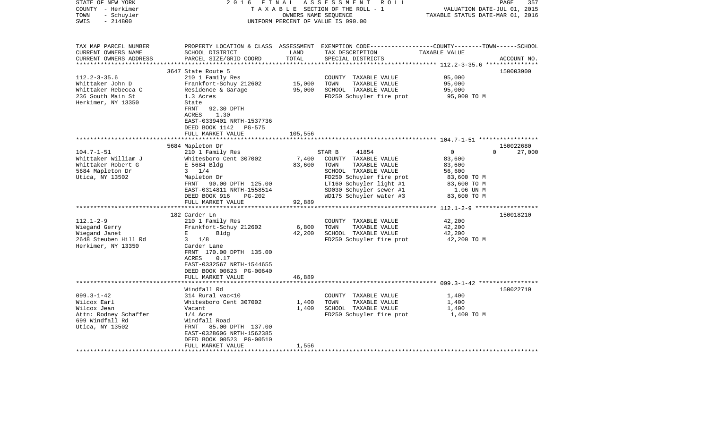| STATE OF NEW YORK<br>COUNTY - Herkimer<br>TOWN<br>- Schuyler<br>$-214800$<br>SWIS                                                                                                                       | 2 0 1 6<br>FINAL                                                                                                                                                                                                                                                                                                                                                                                                                           | OWNERS NAME SEQUENCE                         | ASSESSMENT<br>R O L L<br>TAXABLE SECTION OF THE ROLL - 1<br>UNIFORM PERCENT OF VALUE IS 090.00                                                                                                                                                                                                             | VALUATION DATE-JUL 01, 2015<br>TAXABLE STATUS DATE-MAR 01, 2016                                                                                  | PAGE<br>357                                  |
|---------------------------------------------------------------------------------------------------------------------------------------------------------------------------------------------------------|--------------------------------------------------------------------------------------------------------------------------------------------------------------------------------------------------------------------------------------------------------------------------------------------------------------------------------------------------------------------------------------------------------------------------------------------|----------------------------------------------|------------------------------------------------------------------------------------------------------------------------------------------------------------------------------------------------------------------------------------------------------------------------------------------------------------|--------------------------------------------------------------------------------------------------------------------------------------------------|----------------------------------------------|
| TAX MAP PARCEL NUMBER<br>CURRENT OWNERS NAME<br>CURRENT OWNERS ADDRESS<br>*************************                                                                                                     | SCHOOL DISTRICT<br>PARCEL SIZE/GRID COORD                                                                                                                                                                                                                                                                                                                                                                                                  | LAND<br>TOTAL                                | PROPERTY LOCATION & CLASS ASSESSMENT EXEMPTION CODE---------------COUNTY-------TOWN------SCHOOL<br>TAX DESCRIPTION<br>SPECIAL DISTRICTS                                                                                                                                                                    | TAXABLE VALUE                                                                                                                                    | ACCOUNT NO.                                  |
|                                                                                                                                                                                                         | 3647 State Route 5                                                                                                                                                                                                                                                                                                                                                                                                                         |                                              |                                                                                                                                                                                                                                                                                                            |                                                                                                                                                  | 150003900                                    |
| $112.2 - 3 - 35.6$<br>Whittaker John D<br>Whittaker Rebecca C<br>236 South Main St<br>Herkimer, NY 13350                                                                                                | 210 1 Family Res<br>Frankfort-Schuy 212602<br>Residence & Garage<br>1.3 Acres<br>State<br>FRNT<br>92.30 DPTH<br>1.30<br>ACRES<br>EAST-0339401 NRTH-1537736                                                                                                                                                                                                                                                                                 | 15,000<br>95,000                             | COUNTY TAXABLE VALUE<br>TOWN<br>TAXABLE VALUE<br>SCHOOL TAXABLE VALUE<br>FD250 Schuyler fire prot                                                                                                                                                                                                          | 95,000<br>95,000<br>95,000<br>95,000 TO M                                                                                                        |                                              |
|                                                                                                                                                                                                         | DEED BOOK 1142<br>PG-575                                                                                                                                                                                                                                                                                                                                                                                                                   |                                              |                                                                                                                                                                                                                                                                                                            |                                                                                                                                                  |                                              |
|                                                                                                                                                                                                         | FULL MARKET VALUE                                                                                                                                                                                                                                                                                                                                                                                                                          | 105,556                                      |                                                                                                                                                                                                                                                                                                            |                                                                                                                                                  |                                              |
|                                                                                                                                                                                                         |                                                                                                                                                                                                                                                                                                                                                                                                                                            |                                              |                                                                                                                                                                                                                                                                                                            |                                                                                                                                                  |                                              |
| $104.7 - 1 - 51$<br>Whittaker William J<br>Whittaker Robert G<br>5684 Mapleton Dr<br>Utica, NY 13502<br>$112.1 - 2 - 9$<br>Wiegand Gerry<br>Wiegand Janet<br>2648 Steuben Hill Rd<br>Herkimer, NY 13350 | 5684 Mapleton Dr<br>210 1 Family Res<br>Whitesboro Cent 307002<br>E 5684 Bldg<br>$3 \t1/4$<br>Mapleton Dr<br>FRNT 90.00 DPTH 125.00<br>EAST-0314811 NRTH-1558514<br>DEED BOOK 916<br><b>PG-202</b><br>FULL MARKET VALUE<br>182 Carder Ln<br>210 1 Family Res<br>Frankfort-Schuy 212602<br>E<br>Bldg<br>1/8<br>3<br>Carder Lane<br>FRNT 170.00 DPTH 135.00<br><b>ACRES</b><br>0.17<br>EAST-0332567 NRTH-1544655<br>DEED BOOK 00623 PG-00640 | 7,400<br>83,600<br>92,889<br>6,800<br>42,200 | 41854<br>STAR B<br>COUNTY TAXABLE VALUE<br>TOWN<br>TAXABLE VALUE<br>SCHOOL TAXABLE VALUE<br>FD250 Schuyler fire prot<br>LT160 Schuyler light #1<br>SD030 Schuyler sewer #1<br>WD175 Schuyler water #3<br>COUNTY TAXABLE VALUE<br>TOWN<br>TAXABLE VALUE<br>SCHOOL TAXABLE VALUE<br>FD250 Schuyler fire prot | $\mathbf 0$<br>83,600<br>83,600<br>56,600<br>83,600 TO M<br>83,600 TO M<br>1.06 UN M<br>83,600 TO M<br>42,200<br>42,200<br>42,200<br>42,200 TO M | 150022680<br>$\Omega$<br>27,000<br>150018210 |
|                                                                                                                                                                                                         | FULL MARKET VALUE                                                                                                                                                                                                                                                                                                                                                                                                                          | 46,889                                       |                                                                                                                                                                                                                                                                                                            |                                                                                                                                                  |                                              |
| $099.3 - 1 - 42$<br>Wilcox Earl<br>Wilcox Jean<br>Attn: Rodney Schaffer<br>699 Windfall Rd<br>Utica, NY 13502<br>*******************                                                                    | Windfall Rd<br>314 Rural vac<10<br>Whitesboro Cent 307002<br>Vacant<br>$1/4$ Acre<br>Windfall Road<br>FRNT<br>85.00 DPTH 137.00<br>EAST-0328606 NRTH-1562385<br>DEED BOOK 00523 PG-00510<br>FULL MARKET VALUE                                                                                                                                                                                                                              | 1,400<br>1,400<br>1,556                      | COUNTY TAXABLE VALUE<br>TOWN<br>TAXABLE VALUE<br>SCHOOL TAXABLE VALUE<br>FD250 Schuyler fire prot                                                                                                                                                                                                          | 1,400<br>1,400<br>1,400<br>1,400 TO M                                                                                                            | 150022710                                    |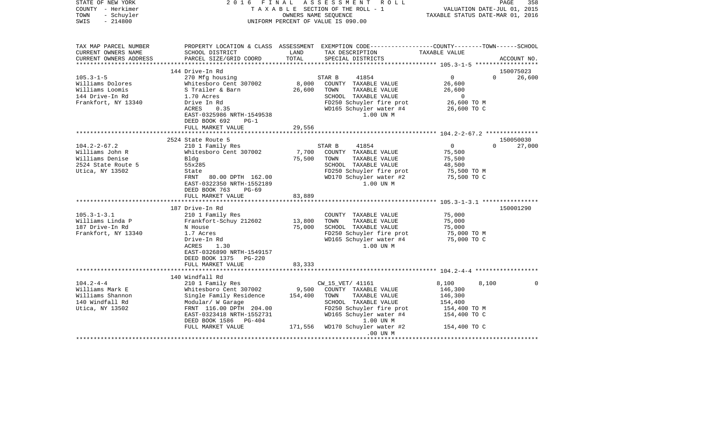| STATE OF NEW YORK<br>COUNTY - Herkimer<br>TOWN<br>- Schuyler<br>$-214800$<br>SWIS | 2016 FINAL                                         |               | ASSESSMENT<br>R O L L<br>TAXABLE SECTION OF THE ROLL - 1<br>OWNERS NAME SEOUENCE<br>UNIFORM PERCENT OF VALUE IS 090.00                   | VALUATION DATE-JUL 01, 2015<br>TAXABLE STATUS DATE-MAR 01, 2016 | PAGE<br>358        |
|-----------------------------------------------------------------------------------|----------------------------------------------------|---------------|------------------------------------------------------------------------------------------------------------------------------------------|-----------------------------------------------------------------|--------------------|
| TAX MAP PARCEL NUMBER<br>CURRENT OWNERS NAME<br>CURRENT OWNERS ADDRESS            | SCHOOL DISTRICT<br>PARCEL SIZE/GRID COORD          | LAND<br>TOTAL | PROPERTY LOCATION & CLASS ASSESSMENT EXEMPTION CODE----------------COUNTY-------TOWN------SCHOOL<br>TAX DESCRIPTION<br>SPECIAL DISTRICTS | TAXABLE VALUE                                                   | ACCOUNT NO.        |
| *********************                                                             |                                                    |               |                                                                                                                                          |                                                                 |                    |
|                                                                                   | 144 Drive-In Rd                                    |               |                                                                                                                                          |                                                                 | 150075023          |
| $105.3 - 1 - 5$                                                                   | 270 Mfg housing                                    |               | 41854<br>STAR B                                                                                                                          | $0 \qquad \qquad$                                               | 26,600<br>$\Omega$ |
| Williams Dolores                                                                  | Whitesboro Cent 307002                             | 8,000         | COUNTY TAXABLE VALUE                                                                                                                     | 26,600                                                          |                    |
| Williams Loomis                                                                   | S Trailer & Barn                                   | 26,600        | TOWN<br>TAXABLE VALUE                                                                                                                    | 26,600<br>$\overline{0}$                                        |                    |
| 144 Drive-In Rd<br>Frankfort, NY 13340                                            | 1.70 Acres<br>Drive In Rd                          |               | SCHOOL TAXABLE VALUE<br>FD250 Schuyler fire prot                                                                                         | 26,600 TO M                                                     |                    |
|                                                                                   | 0.35<br>ACRES                                      |               | WD165 Schuyler water #4                                                                                                                  | 26,600 TO C                                                     |                    |
|                                                                                   | EAST-0325986 NRTH-1549538                          |               | 1.00 UN M                                                                                                                                |                                                                 |                    |
|                                                                                   | DEED BOOK 692<br>$PG-1$                            |               |                                                                                                                                          |                                                                 |                    |
|                                                                                   | FULL MARKET VALUE                                  | 29,556        |                                                                                                                                          |                                                                 |                    |
|                                                                                   |                                                    |               |                                                                                                                                          |                                                                 |                    |
|                                                                                   | 2524 State Route 5                                 |               |                                                                                                                                          |                                                                 | 150050030          |
| $104.2 - 2 - 67.2$                                                                | 210 1 Family Res                                   |               | 41854<br>STAR B                                                                                                                          | 0                                                               | $\Omega$<br>27,000 |
| Williams John R                                                                   | Whitesboro Cent 307002                             | 7,700         | COUNTY TAXABLE VALUE                                                                                                                     | 75,500                                                          |                    |
| Williams Denise                                                                   | Blda                                               | 75,500        | TOWN<br>TAXABLE VALUE                                                                                                                    | 75,500                                                          |                    |
| 2524 State Route 5<br>Utica, NY 13502                                             | 55x285<br>State                                    |               | SCHOOL TAXABLE VALUE<br>FD250 Schuyler fire prot                                                                                         | 48,500<br>75,500 TO M                                           |                    |
|                                                                                   | FRNT 80.00 DPTH 162.00                             |               | WD170 Schuyler water #2                                                                                                                  | 75,500 TO C                                                     |                    |
|                                                                                   | EAST-0322350 NRTH-1552189                          |               | 1.00 UN M                                                                                                                                |                                                                 |                    |
|                                                                                   | DEED BOOK 763<br>PG-69                             |               |                                                                                                                                          |                                                                 |                    |
|                                                                                   | FULL MARKET VALUE                                  | 83,889        |                                                                                                                                          |                                                                 |                    |
|                                                                                   | ***********************                            |               |                                                                                                                                          |                                                                 |                    |
|                                                                                   | 187 Drive-In Rd                                    |               |                                                                                                                                          |                                                                 | 150001290          |
| $105.3 - 1 - 3.1$                                                                 | 210 1 Family Res                                   |               | COUNTY TAXABLE VALUE                                                                                                                     | 75,000                                                          |                    |
| Williams Linda P                                                                  | Frankfort-Schuy 212602                             | 13,800        | TAXABLE VALUE<br>TOWN                                                                                                                    | 75,000                                                          |                    |
| 187 Drive-In Rd                                                                   | N House                                            | 75,000        | SCHOOL TAXABLE VALUE                                                                                                                     | 75,000                                                          |                    |
| Frankfort, NY 13340                                                               | 1.7 Acres                                          |               | FD250 Schuyler fire prot                                                                                                                 | 75,000 TO M                                                     |                    |
|                                                                                   | Drive-In Rd<br>1.30<br>ACRES                       |               | WD165 Schuyler water #4<br>1.00 UN M                                                                                                     | 75,000 TO C                                                     |                    |
|                                                                                   | EAST-0326890 NRTH-1549157                          |               |                                                                                                                                          |                                                                 |                    |
|                                                                                   | DEED BOOK 1375 PG-220                              |               |                                                                                                                                          |                                                                 |                    |
|                                                                                   | FULL MARKET VALUE                                  | 83,333        |                                                                                                                                          |                                                                 |                    |
|                                                                                   |                                                    |               |                                                                                                                                          |                                                                 |                    |
|                                                                                   | 140 Windfall Rd                                    |               |                                                                                                                                          |                                                                 |                    |
| $104.2 - 4 - 4$                                                                   | 210 1 Family Res                                   |               | CW_15_VET/ 41161                                                                                                                         | 8,100<br>8.100                                                  | $\Omega$           |
| Williams Mark E                                                                   | Whitesboro Cent 307002                             | 9,500         | COUNTY TAXABLE VALUE                                                                                                                     | 146,300                                                         |                    |
| Williams Shannon                                                                  | Single Family Residence                            | 154,400       | TOWN<br>TAXABLE VALUE                                                                                                                    | 146,300                                                         |                    |
| 140 Windfall Rd                                                                   | Modular/ W Garage                                  |               | SCHOOL TAXABLE VALUE                                                                                                                     | 154,400                                                         |                    |
| Utica, NY 13502                                                                   | FRNT 116.00 DPTH 204.00                            |               | FD250 Schuyler fire prot                                                                                                                 | 154,400 TO M                                                    |                    |
|                                                                                   | EAST-0323418 NRTH-1552731<br>DEED BOOK 1586 PG-404 |               | WD165 Schuyler water #4<br>1.00 UN M                                                                                                     | 154,400 TO C                                                    |                    |
|                                                                                   | FULL MARKET VALUE                                  |               | 171,556 WD170 Schuyler water #2                                                                                                          | 154,400 TO C                                                    |                    |
|                                                                                   |                                                    |               | .00 UN M                                                                                                                                 |                                                                 |                    |
|                                                                                   |                                                    |               |                                                                                                                                          |                                                                 |                    |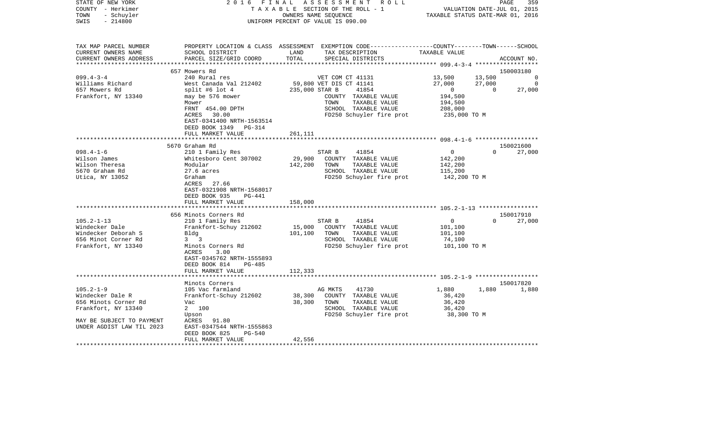| STATE OF NEW YORK<br>COUNTY - Herkimer<br>- Schuyler<br>TOWN<br>$-214800$<br>SWIS | 2016 FINAL                                     | ASSESSMENT ROLL<br>TAXABLE SECTION OF THE ROLL - 1<br>OWNERS NAME SEQUENCE<br>UNIFORM PERCENT OF VALUE IS 090.00                                         | 359<br>PAGE<br>VALUATION DATE-JUL 01, 2015<br>TAXABLE STATUS DATE-MAR 01, 2016 |
|-----------------------------------------------------------------------------------|------------------------------------------------|----------------------------------------------------------------------------------------------------------------------------------------------------------|--------------------------------------------------------------------------------|
| TAX MAP PARCEL NUMBER<br>CURRENT OWNERS NAME<br>CURRENT OWNERS ADDRESS            | SCHOOL DISTRICT<br>PARCEL SIZE/GRID COORD      | PROPERTY LOCATION & CLASS ASSESSMENT EXEMPTION CODE---------------COUNTY-------TOWN------SCHOOL<br>LAND<br>TAX DESCRIPTION<br>TOTAL<br>SPECIAL DISTRICTS | TAXABLE VALUE<br>ACCOUNT NO.                                                   |
|                                                                                   | 657 Mowers Rd                                  |                                                                                                                                                          | 150003180                                                                      |
| $099.4 - 3 - 4$                                                                   | 240 Rural res                                  | VET COM CT 41131                                                                                                                                         | 13,500<br>13,500<br>$\overline{0}$                                             |
| Williams Richard                                                                  | West Canada Val 212402                         | 59,800 VET DIS CT 41141                                                                                                                                  | 27,000<br>27,000<br>0                                                          |
| 657 Mowers Rd                                                                     | split #6 lot $4$                               | 235,000 STAR B<br>41854                                                                                                                                  | $\overline{0}$<br>$\Omega$<br>27,000                                           |
| Frankfort, NY 13340                                                               | may be 576 mower                               | COUNTY TAXABLE VALUE                                                                                                                                     | 194,500                                                                        |
|                                                                                   | Mower                                          | TAXABLE VALUE<br>TOWN                                                                                                                                    | 194,500                                                                        |
|                                                                                   | FRNT 454.00 DPTH                               | SCHOOL TAXABLE VALUE                                                                                                                                     | 208,000                                                                        |
|                                                                                   | ACRES 30.00                                    | FD250 Schuyler fire prot                                                                                                                                 | 235,000 TO M                                                                   |
|                                                                                   | EAST-0341400 NRTH-1563514                      |                                                                                                                                                          |                                                                                |
|                                                                                   | DEED BOOK 1349 PG-314                          |                                                                                                                                                          |                                                                                |
|                                                                                   | FULL MARKET VALUE                              | 261,111                                                                                                                                                  |                                                                                |
|                                                                                   |                                                |                                                                                                                                                          |                                                                                |
| $098.4 - 1 - 6$                                                                   | 5670 Graham Rd<br>210 1 Family Res             | 41854<br>STAR B                                                                                                                                          | 150021600<br>$\mathbf 0$<br>$\Omega$<br>27,000                                 |
| Wilson James                                                                      | Whitesboro Cent 307002                         | 29,900<br>COUNTY TAXABLE VALUE                                                                                                                           | 142,200                                                                        |
| Wilson Theresa                                                                    | Modular                                        | 142,200<br>TOWN<br>TAXABLE VALUE                                                                                                                         | 142,200                                                                        |
| 5670 Graham Rd                                                                    | $27.6$ acres                                   | SCHOOL TAXABLE VALUE                                                                                                                                     | 115,200                                                                        |
| Utica, NY 13052                                                                   | Graham                                         | FD250 Schuyler fire prot                                                                                                                                 | 142,200 TO M                                                                   |
|                                                                                   | 27.66<br>ACRES                                 |                                                                                                                                                          |                                                                                |
|                                                                                   | EAST-0321908 NRTH-1568017                      |                                                                                                                                                          |                                                                                |
|                                                                                   | DEED BOOK 935<br>PG-441                        |                                                                                                                                                          |                                                                                |
|                                                                                   | FULL MARKET VALUE                              | 158,000                                                                                                                                                  |                                                                                |
|                                                                                   |                                                |                                                                                                                                                          |                                                                                |
|                                                                                   | 656 Minots Corners Rd                          |                                                                                                                                                          | 150017910                                                                      |
| $105.2 - 1 - 13$                                                                  | 210 1 Family Res                               | 41854<br>STAR B                                                                                                                                          | 0<br>$\Omega$<br>27,000                                                        |
| Windecker Dale                                                                    | Frankfort-Schuy 212602                         | 15,000<br>COUNTY TAXABLE VALUE                                                                                                                           | 101,100                                                                        |
| Windecker Deborah S                                                               | Bldg                                           | 101,100<br>TOWN<br>TAXABLE VALUE                                                                                                                         | 101,100                                                                        |
| 656 Minot Corner Rd                                                               | $3 \quad 3$<br>Minots Corners Rd               | SCHOOL TAXABLE VALUE                                                                                                                                     | 74,100                                                                         |
| Frankfort, NY 13340                                                               | 3.00<br>ACRES                                  | FD250 Schuyler fire prot                                                                                                                                 | 101,100 TO M                                                                   |
|                                                                                   | EAST-0345762 NRTH-1555893                      |                                                                                                                                                          |                                                                                |
|                                                                                   | DEED BOOK 814<br><b>PG-485</b>                 |                                                                                                                                                          |                                                                                |
|                                                                                   | FULL MARKET VALUE                              | 112,333                                                                                                                                                  |                                                                                |
|                                                                                   | *******************                            |                                                                                                                                                          |                                                                                |
|                                                                                   | Minots Corners                                 |                                                                                                                                                          | 150017820                                                                      |
| $105.2 - 1 - 9$                                                                   | 105 Vac farmland                               | 41730<br>AG MKTS                                                                                                                                         | 1,880<br>1,880<br>1,880                                                        |
| Windecker Dale R                                                                  | Frankfort-Schuy 212602                         | 38,300<br>COUNTY TAXABLE VALUE                                                                                                                           | 36,420                                                                         |
| 656 Minots Corner Rd                                                              | Vac                                            | 38,300<br>TOWN<br>TAXABLE VALUE                                                                                                                          | 36,420                                                                         |
| Frankfort, NY 13340                                                               | 2 100                                          | SCHOOL TAXABLE VALUE                                                                                                                                     | 36,420                                                                         |
|                                                                                   | Upson                                          | FD250 Schuyler fire prot                                                                                                                                 | 38,300 TO M                                                                    |
| MAY BE SUBJECT TO PAYMENT                                                         | ACRES 91.80                                    |                                                                                                                                                          |                                                                                |
| UNDER AGDIST LAW TIL 2023                                                         | EAST-0347544 NRTH-1555863                      |                                                                                                                                                          |                                                                                |
|                                                                                   | DEED BOOK 825<br>$PG-540$<br>FULL MARKET VALUE | 42,556                                                                                                                                                   |                                                                                |
|                                                                                   |                                                |                                                                                                                                                          |                                                                                |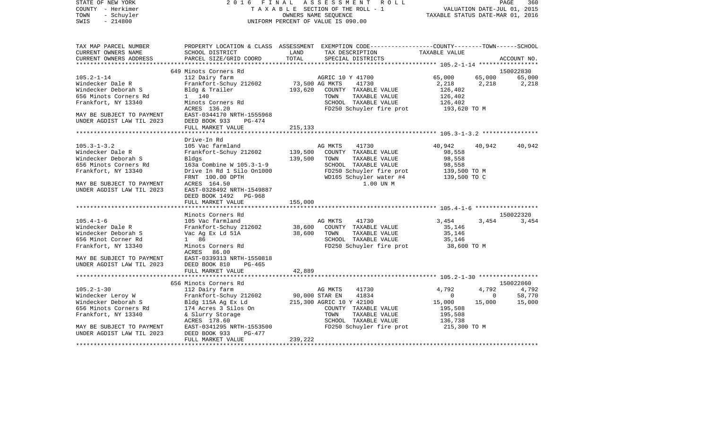| COUNTY<br>- Herkimer      | T A X A B L E SECTION OF THE ROLL - 1        | VALUATION DATE-JUL 01, 2015 |                                                                                                |                                  |             |             |  |
|---------------------------|----------------------------------------------|-----------------------------|------------------------------------------------------------------------------------------------|----------------------------------|-------------|-------------|--|
| - Schuyler<br>TOWN        |                                              |                             | OWNERS NAME SEQUENCE                                                                           | TAXABLE STATUS DATE-MAR 01, 2016 |             |             |  |
| SWIS<br>$-214800$         |                                              |                             | UNIFORM PERCENT OF VALUE IS 090.00                                                             |                                  |             |             |  |
|                           |                                              |                             |                                                                                                |                                  |             |             |  |
| TAX MAP PARCEL NUMBER     |                                              |                             | PROPERTY LOCATION & CLASS ASSESSMENT EXEMPTION CODE---------------COUNTY-------TOWN-----SCHOOL |                                  |             |             |  |
| CURRENT OWNERS NAME       | SCHOOL DISTRICT                              | LAND                        | TAX DESCRIPTION                                                                                | TAXABLE VALUE                    |             |             |  |
| CURRENT OWNERS ADDRESS    | PARCEL SIZE/GRID COORD                       | TOTAL                       | SPECIAL DISTRICTS                                                                              |                                  |             | ACCOUNT NO. |  |
|                           |                                              |                             |                                                                                                |                                  |             |             |  |
|                           | 649 Minots Corners Rd                        |                             |                                                                                                |                                  |             | 150022830   |  |
| $105.2 - 1 - 14$          | 112 Dairy farm                               |                             | AGRIC 10 Y 41700                                                                               | 65,000                           | 65,000      | 65,000      |  |
| Windecker Dale R          | Frankfort-Schuy 212602                       | 73,500 AG MKTS              | 41730                                                                                          | 2,218                            | 2,218       | 2,218       |  |
| Windecker Deborah S       | Bldg & Trailer                               | 193,620                     | COUNTY TAXABLE VALUE                                                                           | 126,402                          |             |             |  |
| 656 Minots Corners Rd     | 1 140                                        |                             | TOWN<br>TAXABLE VALUE                                                                          | 126,402                          |             |             |  |
| Frankfort, NY 13340       | Minots Corners Rd                            |                             | SCHOOL TAXABLE VALUE                                                                           | 126,402                          |             |             |  |
|                           | ACRES 136.20                                 |                             | FD250 Schuyler fire prot                                                                       | 193,620 TO M                     |             |             |  |
| MAY BE SUBJECT TO PAYMENT | EAST-0344170 NRTH-1555968                    |                             |                                                                                                |                                  |             |             |  |
| UNDER AGDIST LAW TIL 2023 | DEED BOOK 933<br>PG-474                      |                             |                                                                                                |                                  |             |             |  |
|                           | FULL MARKET VALUE                            | 215, 133                    |                                                                                                |                                  |             |             |  |
|                           |                                              |                             |                                                                                                |                                  |             |             |  |
|                           | Drive-In Rd                                  |                             |                                                                                                |                                  |             |             |  |
| $105.3 - 1 - 3.2$         | 105 Vac farmland                             |                             | 41730<br>AG MKTS                                                                               | 40,942                           | 40,942      | 40,942      |  |
| Windecker Dale R          | Frankfort-Schuy 212602                       | 139,500                     | COUNTY TAXABLE VALUE                                                                           | 98,558                           |             |             |  |
| Windecker Deborah S       | Bldgs                                        | 139,500                     | TOWN<br>TAXABLE VALUE                                                                          | 98,558                           |             |             |  |
| 656 Minots Corners Rd     | 163a Combine W 105.3-1-9                     |                             | SCHOOL TAXABLE VALUE                                                                           | 98,558                           |             |             |  |
| Frankfort, NY 13340       | Drive In Rd 1 Silo 0n1000                    |                             | FD250 Schuyler fire prot<br>WD165 Schuyler water #4                                            | 139,500 TO M<br>139,500 TO C     |             |             |  |
| MAY BE SUBJECT TO PAYMENT | FRNT 100.00 DPTH<br>ACRES 164.50             |                             | 1.00 UN M                                                                                      |                                  |             |             |  |
| UNDER AGDIST LAW TIL 2023 | EAST-0328492 NRTH-1549887                    |                             |                                                                                                |                                  |             |             |  |
|                           | DEED BOOK 1492<br>PG-968                     |                             |                                                                                                |                                  |             |             |  |
|                           | FULL MARKET VALUE                            | 155,000                     |                                                                                                |                                  |             |             |  |
|                           |                                              |                             |                                                                                                |                                  |             |             |  |
|                           | Minots Corners Rd                            |                             |                                                                                                |                                  |             | 150022320   |  |
| $105.4 - 1 - 6$           | 105 Vac farmland                             |                             | AG MKTS<br>41730                                                                               | 3,454                            | 3,454       | 3,454       |  |
| Windecker Dale R          | Frankfort-Schuy 212602                       | 38,600                      | COUNTY TAXABLE VALUE                                                                           | 35,146                           |             |             |  |
| Windecker Deborah S       | Vac Ag Ex Ld 51A                             | 38,600                      | TOWN<br>TAXABLE VALUE                                                                          | 35,146                           |             |             |  |
| 656 Minot Corner Rd       | 1 86                                         |                             | SCHOOL TAXABLE VALUE                                                                           | 35,146                           |             |             |  |
| Frankfort, NY 13340       | Minots Corners Rd                            |                             | FD250 Schuyler fire prot                                                                       | 38,600 TO M                      |             |             |  |
|                           | ACRES<br>86.00                               |                             |                                                                                                |                                  |             |             |  |
| MAY BE SUBJECT TO PAYMENT | EAST-0339313 NRTH-1550818                    |                             |                                                                                                |                                  |             |             |  |
| UNDER AGDIST LAW TIL 2023 | DEED BOOK 810<br>$PG-465$                    |                             |                                                                                                |                                  |             |             |  |
|                           | FULL MARKET VALUE                            | 42,889                      |                                                                                                |                                  |             |             |  |
|                           |                                              |                             |                                                                                                |                                  |             |             |  |
|                           | 656 Minots Corners Rd                        |                             |                                                                                                |                                  |             | 150022860   |  |
| $105.2 - 1 - 30$          | 112 Dairy farm                               |                             | 41730<br>AG MKTS                                                                               | 4,792                            | 4,792       | 4,792       |  |
| Windecker Leroy W         | Frankfort-Schuy 212602                       | 90,000 STAR EN              | 41834                                                                                          | $\mathbf{0}$                     | $\mathbf 0$ | 58,770      |  |
| Windecker Deborah S       | Bldg 115A Ag Ex Ld                           |                             | 215,300 AGRIC 10 Y 42100                                                                       | 15,000                           | 15,000      | 15,000      |  |
| 656 Minots Corners Rd     | 174 Acres 3 Silos On                         |                             | COUNTY TAXABLE VALUE                                                                           | 195,508                          |             |             |  |
| Frankfort, NY 13340       | & Slurry Storage                             |                             | TOWN<br>TAXABLE VALUE                                                                          | 195,508                          |             |             |  |
|                           | ACRES 178.60                                 |                             | SCHOOL TAXABLE VALUE                                                                           | 136,738                          |             |             |  |
| MAY BE SUBJECT TO PAYMENT | EAST-0341295 NRTH-1553500                    |                             | FD250 Schuyler fire prot                                                                       | 215,300 TO M                     |             |             |  |
| UNDER AGDIST LAW TIL 2023 | DEED BOOK 933<br>PG-477<br>FULL MARKET VALUE | 239,222                     |                                                                                                |                                  |             |             |  |
| ********************      |                                              |                             |                                                                                                |                                  |             |             |  |

PAGE 360

STATE OF NEW YORK 2 0 1 6 F I N A L A S S E S S M E N T R O L L PAGE 360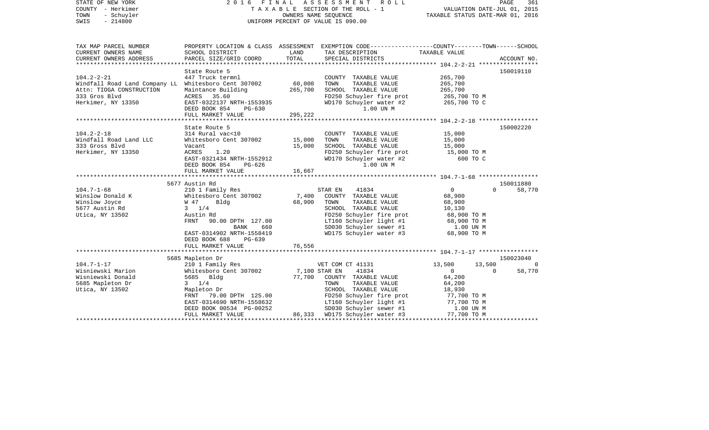| STATE OF NEW YORK<br>COUNTY - Herkimer<br>TOWN<br>- Schuyler<br>SWIS<br>$-214800$  |                                                                           | OWNERS NAME SEQUENCE | 2016 FINAL ASSESSMENT<br>R O L L<br>TAXABLE SECTION OF THE ROLL - 1<br>UNIFORM PERCENT OF VALUE IS 090.00                              | PAGE<br>361<br>VALUATION DATE-JUL 01, 2015<br>TAXABLE STATUS DATE-MAR 01, 2016 |                          |  |
|------------------------------------------------------------------------------------|---------------------------------------------------------------------------|----------------------|----------------------------------------------------------------------------------------------------------------------------------------|--------------------------------------------------------------------------------|--------------------------|--|
| TAX MAP PARCEL NUMBER<br>CURRENT OWNERS NAME<br>CURRENT OWNERS ADDRESS             | SCHOOL DISTRICT<br>PARCEL SIZE/GRID COORD                                 | LAND<br>TOTAL        | PROPERTY LOCATION & CLASS ASSESSMENT EXEMPTION CODE---------------COUNTY-------TOWN-----SCHOOL<br>TAX DESCRIPTION<br>SPECIAL DISTRICTS | TAXABLE VALUE                                                                  | ACCOUNT NO.              |  |
|                                                                                    |                                                                           |                      |                                                                                                                                        |                                                                                |                          |  |
| $104.2 - 2 - 21$<br>Windfall Road Land Company LL Whitesboro Cent 307002           | State Route 5<br>447 Truck termnl                                         | 60,000               | COUNTY TAXABLE VALUE<br>TAXABLE VALUE<br>TOWN                                                                                          | 265,700<br>265,700                                                             | 150019110                |  |
| Attn: TIOGA CONSTRUCTION<br>333 Gros Blvd<br>Herkimer, NY 13350                    | Maintance Building<br>ACRES 35.60<br>EAST-0322137 NRTH-1553935            | 265,700              | SCHOOL TAXABLE VALUE<br>FD250 Schuyler fire prot<br>WD170 Schuyler water #2                                                            | 265,700<br>265,700 TO M<br>265,700 TO C                                        |                          |  |
|                                                                                    | DEED BOOK 854<br>PG-630<br>FULL MARKET VALUE                              | 295,222              | 1.00 UN M                                                                                                                              |                                                                                |                          |  |
|                                                                                    | State Route 5                                                             |                      |                                                                                                                                        |                                                                                | 150002220                |  |
| $104.2 - 2 - 18$<br>Windfall Road Land LLC<br>333 Gross Blvd<br>Herkimer, NY 13350 | 314 Rural vac<10<br>Whitesboro Cent 307002<br>Vacant<br>ACRES<br>1.20     | 15,000<br>15,000     | COUNTY TAXABLE VALUE<br>TAXABLE VALUE<br>TOWN<br>SCHOOL TAXABLE VALUE<br>FD250 Schuyler fire prot                                      | 15,000<br>15,000<br>15,000<br>15,000 TO M                                      |                          |  |
|                                                                                    | EAST-0321434 NRTH-1552912<br>DEED BOOK 854<br>PG-626<br>FULL MARKET VALUE | 16,667               | WD170 Schuyler water #2<br>1.00 UN M                                                                                                   | 600 TO C                                                                       |                          |  |
|                                                                                    |                                                                           |                      |                                                                                                                                        |                                                                                |                          |  |
|                                                                                    | 5677 Austin Rd                                                            |                      |                                                                                                                                        |                                                                                | 150011880                |  |
| $104.7 - 1 - 68$                                                                   | 210 1 Family Res                                                          |                      | 41834<br>STAR EN                                                                                                                       | $\overline{0}$<br>$\Omega$                                                     | 58,770                   |  |
| Winslow Donald K<br>Winslow Joyce                                                  | Whitesboro Cent 307002<br>W 47<br>Bldg                                    | 7,400<br>68,900      | COUNTY TAXABLE VALUE<br>TOWN<br>TAXABLE VALUE                                                                                          | 68,900<br>68,900                                                               |                          |  |
| 5677 Austin Rd                                                                     | $3 \t1/4$                                                                 |                      | SCHOOL TAXABLE VALUE                                                                                                                   | 10,130                                                                         |                          |  |
| Utica, NY 13502                                                                    | Austin Rd<br>FRNT<br>90.00 DPTH 127.00<br>BANK<br>660                     |                      | FD250 Schuyler fire prot<br>LT160 Schuyler light #1<br>SD030 Schuyler sewer #1                                                         | 68,900 TO M<br>68,900 TO M<br>1.00 UN M                                        |                          |  |
|                                                                                    | EAST-0314902 NRTH-1558419<br>DEED BOOK 688<br>PG-639<br>FULL MARKET VALUE | 76,556               | WD175 Schuyler water #3                                                                                                                | 68,900 TO M                                                                    |                          |  |
|                                                                                    |                                                                           |                      |                                                                                                                                        |                                                                                |                          |  |
|                                                                                    | 5685 Mapleton Dr                                                          |                      |                                                                                                                                        |                                                                                | 150023040                |  |
| $104.7 - 1 - 17$<br>Wisniewski Marion                                              | 210 1 Family Res<br>Whitesboro Cent 307002                                | 7,100 STAR EN        | VET COM CT 41131<br>41834                                                                                                              | 13,500<br>13,500<br>$\overline{0}$<br>$\overline{0}$                           | $\overline{0}$<br>58,770 |  |
| Wisniewski Donald<br>5685 Mapleton Dr                                              | 5685 Bldg<br>$3 \frac{1}{4}$                                              | 77,700               | COUNTY TAXABLE VALUE<br>TAXABLE VALUE<br>TOWN                                                                                          | 64,200<br>64,200                                                               |                          |  |
| Utica, NY 13502                                                                    | Mapleton Dr<br>FRNT 79.00 DPTH 125.00<br>EAST-0314690 NRTH-1558632        |                      | SCHOOL TAXABLE VALUE<br>FD250 Schuyler fire prot<br>LT160 Schuyler light #1                                                            | 18,930<br>77,700 TO M<br>77,700 TO M                                           |                          |  |
|                                                                                    | DEED BOOK 00534 PG-00252<br>FULL MARKET VALUE                             |                      | SD030 Schuyler sewer #1<br>86,333 WD175 Schuyler water #3                                                                              | 1.00 UN M<br>77,700 TO M                                                       |                          |  |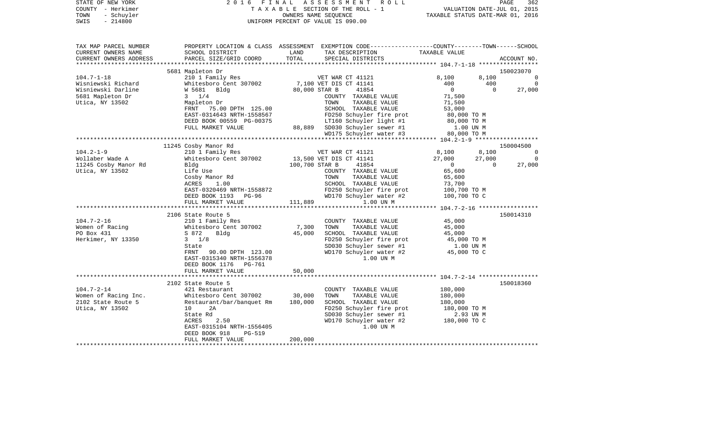| STATE OF NEW YORK<br>COUNTY - Herkimer<br>- Schuyler<br>TOWN<br>$-214800$<br>SWIS | 2016 FINAL ASSESSMENT ROLL<br>UNIFORM PERCENT OF VALUE IS 090.00                              |                 | PAGE<br>362<br>TAXABLE SECTION OF THE ROLL - 1<br>OWNERS NAME SECTION OF THE ROLL - 1<br>TAXABLE STATUS DATE-MAR 01, 2016                                                               |                       |                       |                             |
|-----------------------------------------------------------------------------------|-----------------------------------------------------------------------------------------------|-----------------|-----------------------------------------------------------------------------------------------------------------------------------------------------------------------------------------|-----------------------|-----------------------|-----------------------------|
| TAX MAP PARCEL NUMBER<br>CURRENT OWNERS NAME<br>CURRENT OWNERS ADDRESS            | SCHOOL DISTRICT<br>PARCEL SIZE/GRID COORD                                                     | LAND<br>TOTAL   | PROPERTY LOCATION & CLASS ASSESSMENT EXEMPTION CODE----------------COUNTY-------TOWN------SCHOOL<br>TAX DESCRIPTION TAXABLE VALUE<br>SPECIAL DISTRICTS                                  |                       |                       | ACCOUNT NO.                 |
|                                                                                   |                                                                                               |                 |                                                                                                                                                                                         |                       |                       |                             |
|                                                                                   | 5681 Mapleton Dr                                                                              |                 |                                                                                                                                                                                         |                       |                       | 150023070                   |
| $104.7 - 1 - 18$                                                                  | 210 1 Family Res<br>Whitesboro Cent 307002                                                    |                 | VET WAR CT 41121                                                                                                                                                                        | 8,100                 |                       | 8,100 0<br>$\overline{0}$   |
| Wisniewski Richard<br>Wisniewski Darline                                          | W 5681 Bldg                                                                                   |                 | 7,100 VET DIS CT 41141<br>80,000 STAR B<br>41854                                                                                                                                        | 400<br>$\overline{0}$ | 400<br>$\overline{0}$ | 27,000                      |
| 5681 Mapleton Dr                                                                  | $3 \t1/4$                                                                                     |                 | COUNTY TAXABLE VALUE                                                                                                                                                                    | 71,500                |                       |                             |
| Utica, NY 13502                                                                   | Mapleton Dr                                                                                   |                 | TOWN<br>TAXABLE VALUE                                                                                                                                                                   | 71,500                |                       |                             |
|                                                                                   | FRNT 75.00 DPTH 125.00                                                                        |                 | SCHOOL TAXABLE VALUE                                                                                                                                                                    | 53,000                |                       |                             |
|                                                                                   | EAST-0314643 NRTH-1558567                                                                     |                 | %58567 FD250 Schuyler fire prot 80,000 TO M<br>1.00 TO M LT160 Schuyler light #1 80,000 TO M<br>88,889 SD030 Schuyler sewer #1 1.00 UN M<br>1.00 UN MD175 Schuyler water #3 80,000 TO M |                       |                       |                             |
|                                                                                   | DEED BOOK 00559 PG-00375                                                                      |                 |                                                                                                                                                                                         |                       |                       |                             |
|                                                                                   | FULL MARKET VALUE                                                                             |                 |                                                                                                                                                                                         |                       |                       |                             |
|                                                                                   |                                                                                               |                 |                                                                                                                                                                                         |                       |                       |                             |
|                                                                                   |                                                                                               |                 |                                                                                                                                                                                         |                       |                       |                             |
| $104.2 - 1 - 9$                                                                   | 11245 Cosby Manor Rd<br>210 1 Family Res                                                      |                 | VET WAR CT 41121                                                                                                                                                                        | 8,100                 | 8,100                 | 150004500<br>$\overline{0}$ |
| Wollaber Wade A                                                                   | Whitesboro Cent 307002                                                                        |                 |                                                                                                                                                                                         | 27,000                | 27,000                | $\overline{0}$              |
| 11245 Cosby Manor Rd                                                              | Bldg                                                                                          |                 | 13,500 VET DIS CT 41141<br>100,700 STAR B 41854                                                                                                                                         | $\overline{0}$        | $\overline{0}$        | 27,000                      |
| Utica, NY 13502                                                                   | Life Use                                                                                      |                 | COUNTY TAXABLE VALUE                                                                                                                                                                    | 65,600                |                       |                             |
|                                                                                   | Cosby Manor Rd                                                                                |                 | TOWN<br>TAXABLE VALUE                                                                                                                                                                   | 65,600                |                       |                             |
|                                                                                   | 1.00<br>ACRES                                                                                 |                 | SCHOOL TAXABLE VALUE                                                                                                                                                                    | 73,700                |                       |                             |
|                                                                                   | EAST-0320469 NRTH-1558872                                                                     |                 | FD250 Schuyler fire prot                                                                                                                                                                | 100,700 TO M          |                       |                             |
|                                                                                   | DEED BOOK 1193 PG-96<br>FULL MARKET VALUE                                                     | 111,889         | WD170 Schuyler water #2<br>1.00 UN M                                                                                                                                                    | 100,700 TO C          |                       |                             |
|                                                                                   |                                                                                               |                 |                                                                                                                                                                                         |                       |                       |                             |
|                                                                                   | 2106 State Route 5<br>210 1 Family Res<br>210 1 Family Res<br>Whitesboro Cent 3<br>8 872 Bldg |                 |                                                                                                                                                                                         |                       |                       | 150014310                   |
| $104.7 - 2 - 16$                                                                  |                                                                                               |                 | COUNTY TAXABLE VALUE                                                                                                                                                                    | 45,000                |                       |                             |
| Women of Racing<br>PO Box 431                                                     | Whitesboro Cent 307002                                                                        | 7,300<br>45,000 | TOWN<br>TAXABLE VALUE<br>SCHOOL TAXABLE VALUE                                                                                                                                           | 45,000<br>45,000      |                       |                             |
| Herkimer, NY 13350                                                                | $3 \frac{1}{8}$                                                                               |                 |                                                                                                                                                                                         |                       |                       |                             |
|                                                                                   | State                                                                                         |                 |                                                                                                                                                                                         |                       |                       |                             |
|                                                                                   | FRNT<br>90.00 DPTH 123.00                                                                     |                 | FD250 Schuyler fire prot $45,000$ TO M<br>SD030 Schuyler sewer #1 1.00 UN M<br>WD170 Schuyler water #2 $45,000$ TO C                                                                    |                       |                       |                             |
|                                                                                   | EAST-0315340 NRTH-1556378                                                                     |                 | 1.00 UN M                                                                                                                                                                               |                       |                       |                             |
|                                                                                   | DEED BOOK 1176 PG-761                                                                         |                 |                                                                                                                                                                                         |                       |                       |                             |
|                                                                                   | FULL MARKET VALUE                                                                             | 50,000          |                                                                                                                                                                                         |                       |                       |                             |
|                                                                                   |                                                                                               |                 |                                                                                                                                                                                         |                       |                       |                             |
|                                                                                   | 2102 State Route 5                                                                            |                 |                                                                                                                                                                                         |                       |                       | 150018360                   |
| $104.7 - 2 - 14$                                                                  | 421 Restaurant<br>Whitesboro Cent 307002                                                      | 30,000          | COUNTY TAXABLE VALUE<br>TOWN<br>TAXABLE VALUE                                                                                                                                           | 180,000<br>180,000    |                       |                             |
| Women of Racing Inc.<br>2102 State Route 5                                        | Restaurant/bar/banquet Rm                                                                     | 180,000         | SCHOOL TAXABLE VALUE                                                                                                                                                                    | 180,000               |                       |                             |
| Utica, NY 13502                                                                   | 10<br>2A                                                                                      |                 | FD250 Schuyler fire prot<br>SD030 Schuyler sewer #1 2.93 UN M<br>WD170 Schuyler water #2 180,000 TO C                                                                                   |                       |                       |                             |
|                                                                                   | State Rd                                                                                      |                 |                                                                                                                                                                                         |                       |                       |                             |
|                                                                                   | ACRES<br>2.50                                                                                 |                 |                                                                                                                                                                                         |                       |                       |                             |
|                                                                                   | EAST-0315104 NRTH-1556405                                                                     |                 | 1.00 UN M                                                                                                                                                                               |                       |                       |                             |
|                                                                                   | DEED BOOK 918<br>PG-519                                                                       |                 |                                                                                                                                                                                         |                       |                       |                             |
|                                                                                   | FULL MARKET VALUE                                                                             | 200,000         |                                                                                                                                                                                         |                       |                       |                             |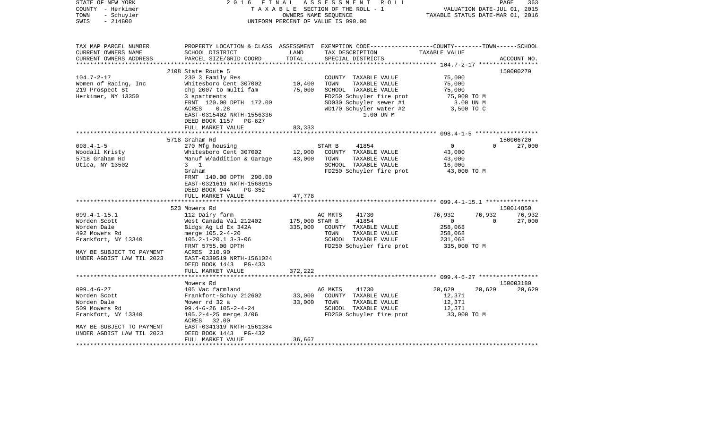| STATE OF NEW YORK<br>COUNTY - Herkimer<br>- Schuyler<br>TOWN<br>$-214800$<br>SWIS | 2 0 1 6<br>FINAL                                      | ASSESSMENT<br>R O L L<br>TAXABLE SECTION OF THE ROLL - 1<br>OWNERS NAME SEQUENCE<br>UNIFORM PERCENT OF VALUE IS 090.00 | PAGE<br>363<br>VALUATION DATE-JUL 01, 2015<br>TAXABLE STATUS DATE-MAR 01, 2016                                                          |                         |                              |  |
|-----------------------------------------------------------------------------------|-------------------------------------------------------|------------------------------------------------------------------------------------------------------------------------|-----------------------------------------------------------------------------------------------------------------------------------------|-------------------------|------------------------------|--|
| TAX MAP PARCEL NUMBER<br>CURRENT OWNERS NAME<br>CURRENT OWNERS ADDRESS            | SCHOOL DISTRICT<br>PARCEL SIZE/GRID COORD             | LAND<br>TOTAL                                                                                                          | PROPERTY LOCATION & CLASS ASSESSMENT EXEMPTION CODE---------------COUNTY-------TOWN------SCHOOL<br>TAX DESCRIPTION<br>SPECIAL DISTRICTS | TAXABLE VALUE           | ACCOUNT NO.                  |  |
|                                                                                   |                                                       |                                                                                                                        |                                                                                                                                         |                         |                              |  |
|                                                                                   | 2108 State Route 5                                    |                                                                                                                        |                                                                                                                                         |                         | 150000270                    |  |
| $104.7 - 2 - 17$                                                                  | 230 3 Family Res                                      |                                                                                                                        | COUNTY TAXABLE VALUE                                                                                                                    | 75,000                  |                              |  |
| Women of Racing, Inc                                                              | Whitesboro Cent 307002                                | 10,400                                                                                                                 | TOWN<br>TAXABLE VALUE                                                                                                                   | 75,000                  |                              |  |
| 219 Prospect St                                                                   | chg 2007 to multi fam                                 | 75,000                                                                                                                 | SCHOOL TAXABLE VALUE                                                                                                                    | 75,000                  |                              |  |
| Herkimer, NY 13350                                                                | 3 apartments                                          |                                                                                                                        | FD250 Schuyler fire prot                                                                                                                | 75,000 TO M             |                              |  |
|                                                                                   | FRNT 120.00 DPTH 172.00<br>0.28<br>ACRES              |                                                                                                                        | SD030 Schuyler sewer #1<br>WD170 Schuyler water #2                                                                                      | 3.00 UN M<br>3,500 TO C |                              |  |
|                                                                                   | EAST-0315402 NRTH-1556336                             |                                                                                                                        | 1.00 UN M                                                                                                                               |                         |                              |  |
|                                                                                   | DEED BOOK 1157<br>PG-627                              |                                                                                                                        |                                                                                                                                         |                         |                              |  |
|                                                                                   | FULL MARKET VALUE                                     | 83,333                                                                                                                 |                                                                                                                                         |                         |                              |  |
| *************************************                                             |                                                       |                                                                                                                        |                                                                                                                                         |                         |                              |  |
|                                                                                   | 5718 Graham Rd                                        |                                                                                                                        |                                                                                                                                         |                         | 150006720                    |  |
| $098.4 - 1 - 5$                                                                   | 270 Mfg housing                                       |                                                                                                                        | STAR B<br>41854                                                                                                                         | $\circ$                 | $\Omega$<br>27,000           |  |
| Woodall Kristy                                                                    | Whitesboro Cent 307002                                | 12,900                                                                                                                 | COUNTY TAXABLE VALUE                                                                                                                    | 43,000                  |                              |  |
| 5718 Graham Rd                                                                    | Manuf W/addition & Garage                             | 43,000                                                                                                                 | TOWN<br>TAXABLE VALUE                                                                                                                   | 43,000                  |                              |  |
| Utica, NY 13502                                                                   | $3 \quad 1$                                           |                                                                                                                        | SCHOOL TAXABLE VALUE                                                                                                                    | 16,000                  |                              |  |
|                                                                                   | Graham                                                |                                                                                                                        | FD250 Schuyler fire prot                                                                                                                | 43,000 TO M             |                              |  |
|                                                                                   | FRNT 140.00 DPTH 290.00                               |                                                                                                                        |                                                                                                                                         |                         |                              |  |
|                                                                                   | EAST-0321619 NRTH-1568915                             |                                                                                                                        |                                                                                                                                         |                         |                              |  |
|                                                                                   | DEED BOOK 944<br>PG-352                               |                                                                                                                        |                                                                                                                                         |                         |                              |  |
|                                                                                   | FULL MARKET VALUE                                     | 47,778                                                                                                                 |                                                                                                                                         |                         |                              |  |
|                                                                                   |                                                       |                                                                                                                        |                                                                                                                                         |                         |                              |  |
|                                                                                   | 523 Mowers Rd                                         |                                                                                                                        |                                                                                                                                         |                         | 150014850                    |  |
| $099.4 - 1 - 15.1$                                                                | 112 Dairy farm                                        |                                                                                                                        | AG MKTS<br>41730                                                                                                                        | 76,932<br>$\circ$       | 76,932<br>76,932<br>$\Omega$ |  |
| Worden Scott<br>Worden Dale                                                       | West Canada Val 212402                                | 175,000 STAR B<br>335,000                                                                                              | 41854<br>COUNTY TAXABLE VALUE                                                                                                           | 258,068                 | 27,000                       |  |
| 492 Mowers Rd                                                                     | Bldgs Ag Ld Ex 342A<br>merge 105.2-4-20               |                                                                                                                        | TOWN<br>TAXABLE VALUE                                                                                                                   | 258,068                 |                              |  |
| Frankfort, NY 13340                                                               | $105.2 - 1 - 20.1$ 3-3-06                             |                                                                                                                        | SCHOOL TAXABLE VALUE                                                                                                                    | 231,068                 |                              |  |
|                                                                                   | FRNT 5755.00 DPTH                                     |                                                                                                                        | FD250 Schuyler fire prot                                                                                                                | 335,000 TO M            |                              |  |
| MAY BE SUBJECT TO PAYMENT                                                         | ACRES 210.90                                          |                                                                                                                        |                                                                                                                                         |                         |                              |  |
| UNDER AGDIST LAW TIL 2023                                                         | EAST-0339519 NRTH-1561024                             |                                                                                                                        |                                                                                                                                         |                         |                              |  |
|                                                                                   | DEED BOOK 1443<br>PG-433                              |                                                                                                                        |                                                                                                                                         |                         |                              |  |
|                                                                                   | FULL MARKET VALUE                                     | 372,222                                                                                                                |                                                                                                                                         |                         |                              |  |
|                                                                                   | ************************                              |                                                                                                                        |                                                                                                                                         |                         |                              |  |
|                                                                                   | Mowers Rd                                             |                                                                                                                        |                                                                                                                                         |                         | 150003180                    |  |
| $099.4 - 6 - 27$                                                                  | 105 Vac farmland                                      |                                                                                                                        | AG MKTS<br>41730                                                                                                                        | 20,629                  | 20,629<br>20,629             |  |
| Worden Scott                                                                      | Frankfort-Schuy 212602                                | 33,000                                                                                                                 | COUNTY TAXABLE VALUE                                                                                                                    | 12,371                  |                              |  |
| Worden Dale                                                                       | Mower rd 32 a                                         | 33,000                                                                                                                 | TOWN<br>TAXABLE VALUE                                                                                                                   | 12,371                  |                              |  |
| 509 Mowers Rd                                                                     | $99.4 - 6 - 26$ $105 - 2 - 4 - 24$                    |                                                                                                                        | SCHOOL TAXABLE VALUE                                                                                                                    | 12,371                  |                              |  |
| Frankfort, NY 13340                                                               | 105.2-4-25 merge 3/06                                 |                                                                                                                        | FD250 Schuyler fire prot                                                                                                                | 33,000 TO M             |                              |  |
|                                                                                   | ACRES 32.00                                           |                                                                                                                        |                                                                                                                                         |                         |                              |  |
| MAY BE SUBJECT TO PAYMENT<br>UNDER AGDIST LAW TIL 2023                            | EAST-0341319 NRTH-1561384<br>DEED BOOK 1443<br>PG-432 |                                                                                                                        |                                                                                                                                         |                         |                              |  |
|                                                                                   | FULL MARKET VALUE                                     | 36,667                                                                                                                 |                                                                                                                                         |                         |                              |  |
|                                                                                   |                                                       |                                                                                                                        |                                                                                                                                         |                         |                              |  |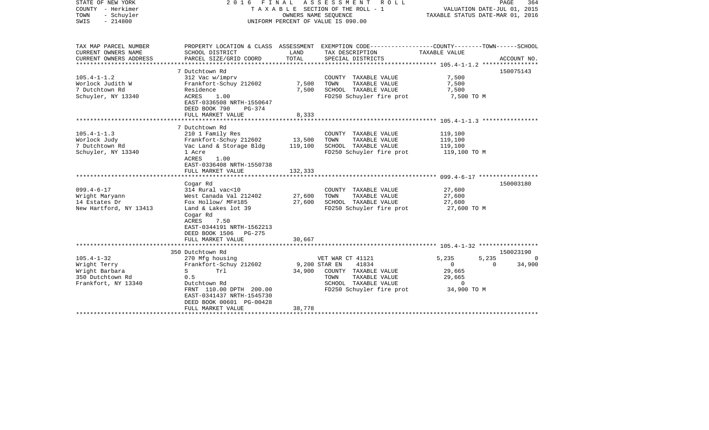| STATE OF NEW YORK<br>COUNTY - Herkimer<br>- Schuyler<br>TOWN<br>$-214800$<br>SWIS | 2 0 1 6<br>FINAL<br>TAXABLE SECTION OF THE ROLL - 1<br>UNIFORM PERCENT OF VALUE IS 090.00                                   | PAGE<br>364<br>VALUATION DATE-JUL 01, 2015<br>TAXABLE STATUS DATE-MAR 01, 2016 |                                                                                                                                          |                                          |             |
|-----------------------------------------------------------------------------------|-----------------------------------------------------------------------------------------------------------------------------|--------------------------------------------------------------------------------|------------------------------------------------------------------------------------------------------------------------------------------|------------------------------------------|-------------|
| TAX MAP PARCEL NUMBER<br>CURRENT OWNERS NAME<br>CURRENT OWNERS ADDRESS            | SCHOOL DISTRICT<br>PARCEL SIZE/GRID COORD                                                                                   | LAND<br>TOTAL                                                                  | PROPERTY LOCATION & CLASS ASSESSMENT EXEMPTION CODE----------------COUNTY-------TOWN------SCHOOL<br>TAX DESCRIPTION<br>SPECIAL DISTRICTS | TAXABLE VALUE                            | ACCOUNT NO. |
| *******************                                                               |                                                                                                                             | **************                                                                 |                                                                                                                                          |                                          |             |
|                                                                                   | 7 Dutchtown Rd                                                                                                              |                                                                                |                                                                                                                                          |                                          | 150075143   |
| $105.4 - 1 - 1.2$                                                                 | 312 Vac w/imprv                                                                                                             |                                                                                | COUNTY TAXABLE VALUE                                                                                                                     | 7,500                                    |             |
| Worlock Judith W                                                                  | Frankfort-Schuy 212602                                                                                                      | 7,500                                                                          | TOWN<br>TAXABLE VALUE                                                                                                                    | 7,500                                    |             |
| 7 Dutchtown Rd                                                                    | Residence                                                                                                                   | 7,500                                                                          | SCHOOL TAXABLE VALUE                                                                                                                     | 7,500                                    |             |
| Schuyler, NY 13340                                                                | ACRES<br>1.00<br>EAST-0336508 NRTH-1550647<br>DEED BOOK 790<br>PG-374                                                       |                                                                                | FD250 Schuyler fire prot                                                                                                                 | 7,500 TO M                               |             |
|                                                                                   | FULL MARKET VALUE                                                                                                           | 8,333                                                                          |                                                                                                                                          |                                          |             |
|                                                                                   |                                                                                                                             |                                                                                |                                                                                                                                          |                                          |             |
|                                                                                   | 7 Dutchtown Rd                                                                                                              |                                                                                |                                                                                                                                          |                                          |             |
| $105.4 - 1 - 1.3$                                                                 | 210 1 Family Res                                                                                                            |                                                                                | COUNTY TAXABLE VALUE                                                                                                                     | 119,100                                  |             |
| Worlock Judy<br>7 Dutchtown Rd                                                    | Frankfort-Schuy 212602<br>Vac Land & Storage Bldg                                                                           | 13,500<br>119,100                                                              | TOWN<br>TAXABLE VALUE<br>SCHOOL TAXABLE VALUE                                                                                            | 119,100<br>119,100                       |             |
| Schuyler, NY 13340                                                                | 1 Acre                                                                                                                      |                                                                                | FD250 Schuyler fire prot                                                                                                                 | 119,100 TO M                             |             |
|                                                                                   | ACRES<br>1.00<br>EAST-0336408 NRTH-1550738<br>FULL MARKET VALUE                                                             | 132,333                                                                        |                                                                                                                                          |                                          |             |
|                                                                                   |                                                                                                                             |                                                                                |                                                                                                                                          | ********** 099.4-6-17 ****************** |             |
|                                                                                   | Cogar Rd                                                                                                                    |                                                                                |                                                                                                                                          |                                          | 150003180   |
| $099.4 - 6 - 17$                                                                  | 314 Rural vac<10                                                                                                            |                                                                                | COUNTY TAXABLE VALUE                                                                                                                     | 27,600                                   |             |
| Wright Maryann                                                                    | West Canada Val 212402                                                                                                      | 27,600                                                                         | TOWN<br>TAXABLE VALUE                                                                                                                    | 27,600                                   |             |
| 14 Estates Dr                                                                     | Fox Hollow/ MF#185                                                                                                          | 27,600                                                                         | SCHOOL TAXABLE VALUE                                                                                                                     | 27,600                                   |             |
| New Hartford, NY 13413                                                            | Land & Lakes lot 39<br>Cogar Rd<br>ACRES<br>7.50<br>EAST-0344191 NRTH-1562213<br>DEED BOOK 1506 PG-275<br>FULL MARKET VALUE | 30,667                                                                         | FD250 Schuyler fire prot                                                                                                                 | 27,600 TO M                              |             |
|                                                                                   |                                                                                                                             |                                                                                |                                                                                                                                          |                                          |             |
|                                                                                   | 350 Dutchtown Rd                                                                                                            |                                                                                |                                                                                                                                          |                                          | 150023190   |
| $105.4 - 1 - 32$                                                                  | 270 Mfg housing                                                                                                             |                                                                                | VET WAR CT 41121                                                                                                                         | 5,235<br>5,235                           | $\Omega$    |
| Wright Terry                                                                      | Frankfort-Schuy 212602                                                                                                      |                                                                                | 41834<br>9,200 STAR EN                                                                                                                   | $\overline{0}$<br>$\Omega$               | 34,900      |
| Wright Barbara                                                                    | S<br>Trl                                                                                                                    | 34,900                                                                         | COUNTY TAXABLE VALUE                                                                                                                     | 29,665                                   |             |
| 350 Dutchtown Rd<br>Frankfort, NY 13340                                           | 0.5<br>Dutchtown Rd                                                                                                         |                                                                                | TAXABLE VALUE<br>TOWN<br>SCHOOL TAXABLE VALUE                                                                                            | 29,665<br>$\mathbf 0$                    |             |
|                                                                                   | FRNT 110.00 DPTH 200.00                                                                                                     |                                                                                | FD250 Schuyler fire prot                                                                                                                 | 34,900 TO M                              |             |
|                                                                                   | EAST-0341437 NRTH-1545730                                                                                                   |                                                                                |                                                                                                                                          |                                          |             |
|                                                                                   | DEED BOOK 00601 PG-00428                                                                                                    |                                                                                |                                                                                                                                          |                                          |             |
|                                                                                   | FULL MARKET VALUE                                                                                                           | 38,778                                                                         |                                                                                                                                          |                                          |             |
|                                                                                   |                                                                                                                             |                                                                                |                                                                                                                                          |                                          |             |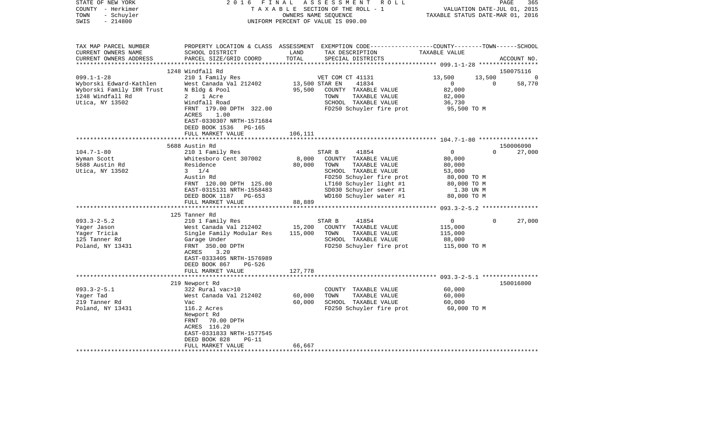| STATE OF NEW YORK<br>COUNTY - Herkimer<br>- Schuyler<br>TOWN<br>$-214800$<br>SWIS                                                                             | 2 0 1 6<br>FINAL<br>TAXABLE SECTION OF THE ROLL - 1<br>UNIFORM PERCENT OF VALUE IS 090.00                                                                                                                                                                                                                                                                                                                                                                                | 365<br>PAGE<br>VALUATION DATE-JUL 01, 2015<br>TAXABLE STATUS DATE-MAR 01, 2016 |                                                                                                                                                                                                                                                                                                                               |                                                                                                                                                             |                                                          |
|---------------------------------------------------------------------------------------------------------------------------------------------------------------|--------------------------------------------------------------------------------------------------------------------------------------------------------------------------------------------------------------------------------------------------------------------------------------------------------------------------------------------------------------------------------------------------------------------------------------------------------------------------|--------------------------------------------------------------------------------|-------------------------------------------------------------------------------------------------------------------------------------------------------------------------------------------------------------------------------------------------------------------------------------------------------------------------------|-------------------------------------------------------------------------------------------------------------------------------------------------------------|----------------------------------------------------------|
| TAX MAP PARCEL NUMBER<br>CURRENT OWNERS NAME<br>CURRENT OWNERS ADDRESS                                                                                        | SCHOOL DISTRICT<br>PARCEL SIZE/GRID COORD                                                                                                                                                                                                                                                                                                                                                                                                                                | LAND<br>TOTAL                                                                  | PROPERTY LOCATION & CLASS ASSESSMENT EXEMPTION CODE---------------COUNTY-------TOWN------SCHOOL<br>TAX DESCRIPTION<br>SPECIAL DISTRICTS                                                                                                                                                                                       | TAXABLE VALUE                                                                                                                                               | ACCOUNT NO.                                              |
|                                                                                                                                                               | 1248 Windfall Rd                                                                                                                                                                                                                                                                                                                                                                                                                                                         |                                                                                |                                                                                                                                                                                                                                                                                                                               |                                                                                                                                                             | 150075116                                                |
| $099.1 - 1 - 28$<br>Wyborski Edward-Kathlen<br>Wyborski Family IRR Trust<br>1248 Windfall Rd<br>Utica, NY 13502                                               | 210 1 Family Res<br>West Canada Val 212402<br>N Bldg & Pool<br>2 1 Acre<br>Windfall Road<br>FRNT 179.00 DPTH 322.00<br>ACRES<br>1.00                                                                                                                                                                                                                                                                                                                                     | 13,500 STAR EN<br>95,500                                                       | VET COM CT 41131<br>41834<br>COUNTY TAXABLE VALUE<br>TOWN<br>TAXABLE VALUE<br>SCHOOL TAXABLE VALUE<br>FD250 Schuyler fire prot                                                                                                                                                                                                | 13,500<br>$\overline{0}$<br>82,000<br>82,000<br>36,730<br>95,500 TO M                                                                                       | 13,500<br>$\Omega$<br>$\Omega$<br>58,770                 |
|                                                                                                                                                               | EAST-0330307 NRTH-1571684<br>DEED BOOK 1536 PG-165<br>FULL MARKET VALUE                                                                                                                                                                                                                                                                                                                                                                                                  | 106,111                                                                        |                                                                                                                                                                                                                                                                                                                               |                                                                                                                                                             |                                                          |
|                                                                                                                                                               |                                                                                                                                                                                                                                                                                                                                                                                                                                                                          |                                                                                |                                                                                                                                                                                                                                                                                                                               |                                                                                                                                                             |                                                          |
| $104.7 - 1 - 80$<br>Wyman Scott<br>5688 Austin Rd<br>Utica, NY 13502<br>$093.3 - 2 - 5.2$<br>Yager Jason<br>Yaqer Tricia<br>125 Tanner Rd<br>Poland, NY 13431 | 5688 Austin Rd<br>210 1 Family Res<br>Whitesboro Cent 307002<br>Residence<br>$3 \frac{1}{4}$<br>Austin Rd<br>FRNT 120.00 DPTH 125.00<br>EAST-0315131 NRTH-1558483<br>DEED BOOK 1187 PG-653<br>FULL MARKET VALUE<br>***********************<br>125 Tanner Rd<br>210 1 Family Res<br>West Canada Val 212402<br>Single Family Modular Res<br>Garage Under<br>FRNT 350.00 DPTH<br>ACRES<br>3.20<br>EAST-0333405 NRTH-1576989<br>DEED BOOK 867<br>PG-526<br>FULL MARKET VALUE | 8,000<br>80,000<br>88,889<br>15,200<br>115,000<br>127,778                      | STAR B<br>41854<br>COUNTY TAXABLE VALUE<br>TOWN<br>TAXABLE VALUE<br>SCHOOL TAXABLE VALUE<br>FD250 Schuyler fire prot<br>LT160 Schuyler light #1<br>SD030 Schuyler sewer #1<br>WD160 Schuyler water #1<br>41854<br>STAR B<br>COUNTY TAXABLE VALUE<br>TOWN<br>TAXABLE VALUE<br>SCHOOL TAXABLE VALUE<br>FD250 Schuyler fire prot | 0<br>80,000<br>80,000<br>53,000<br>80,000 TO M<br>80,000 TO M<br>1.30 UN M<br>80,000 TO M<br>$\overline{0}$<br>115,000<br>115,000<br>88,000<br>115,000 TO M | 150006090<br>$\Omega$<br>27,000<br>$\mathbf 0$<br>27,000 |
|                                                                                                                                                               |                                                                                                                                                                                                                                                                                                                                                                                                                                                                          |                                                                                |                                                                                                                                                                                                                                                                                                                               |                                                                                                                                                             |                                                          |
| $093.3 - 2 - 5.1$<br>Yager Tad<br>219 Tanner Rd<br>Poland, NY 13431                                                                                           | 219 Newport Rd<br>322 Rural vac>10<br>West Canada Val 212402<br>Vac<br>116.2 Acres<br>Newport Rd<br>70.00 DPTH<br>FRNT<br>ACRES 116.20<br>EAST-0331833 NRTH-1577545<br>DEED BOOK 828<br>$PG-11$<br>FULL MARKET VALUE                                                                                                                                                                                                                                                     | 60,000<br>60,000<br>66,667                                                     | COUNTY TAXABLE VALUE<br>TOWN<br>TAXABLE VALUE<br>SCHOOL TAXABLE VALUE<br>FD250 Schuyler fire prot                                                                                                                                                                                                                             | 60,000<br>60,000<br>60,000<br>60,000 TO M                                                                                                                   | 150016800                                                |
|                                                                                                                                                               |                                                                                                                                                                                                                                                                                                                                                                                                                                                                          |                                                                                |                                                                                                                                                                                                                                                                                                                               |                                                                                                                                                             |                                                          |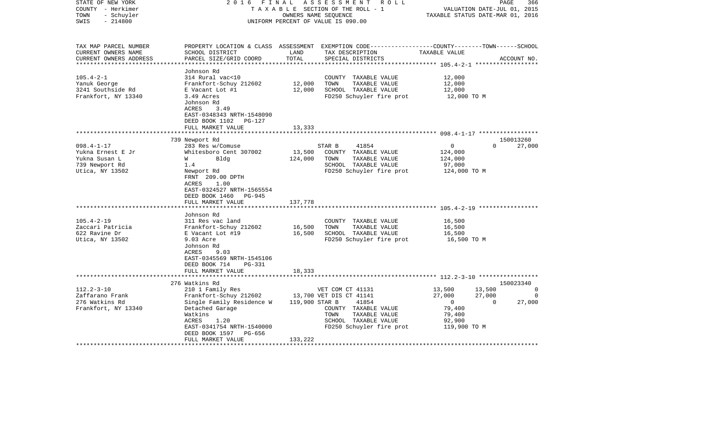| STATE OF NEW YORK<br>COUNTY - Herkimer<br>- Schuyler<br>TOWN<br>$-214800$<br>SWIS                                                                    | 2 0 1 6<br>FINAL<br>TAXABLE SECTION OF THE ROLL - 1<br>UNIFORM PERCENT OF VALUE IS 090.00                                                                                                                                                                                                                                                  | PAGE<br>366<br>VALUATION DATE-JUL 01, 2015<br>TAXABLE STATUS DATE-MAR 01, 2016 |                                                                                                                                                                                               |                                                                                            |                                                  |
|------------------------------------------------------------------------------------------------------------------------------------------------------|--------------------------------------------------------------------------------------------------------------------------------------------------------------------------------------------------------------------------------------------------------------------------------------------------------------------------------------------|--------------------------------------------------------------------------------|-----------------------------------------------------------------------------------------------------------------------------------------------------------------------------------------------|--------------------------------------------------------------------------------------------|--------------------------------------------------|
| TAX MAP PARCEL NUMBER<br>CURRENT OWNERS NAME<br>CURRENT OWNERS ADDRESS                                                                               | SCHOOL DISTRICT<br>PARCEL SIZE/GRID COORD                                                                                                                                                                                                                                                                                                  | LAND<br>TOTAL                                                                  | PROPERTY LOCATION & CLASS ASSESSMENT EXEMPTION CODE----------------COUNTY-------TOWN------SCHOOL<br>TAX DESCRIPTION<br>SPECIAL DISTRICTS                                                      | TAXABLE VALUE                                                                              | ACCOUNT NO.                                      |
| $105.4 - 2 - 1$<br>Yanuk George<br>3241 Southside Rd<br>Frankfort, NY 13340                                                                          | Johnson Rd<br>314 Rural vac<10<br>Frankfort-Schuy 212602<br>E Vacant Lot #1<br>3.49 Acres<br>Johnson Rd<br>ACRES<br>3.49<br>EAST-0348343 NRTH-1548090<br>DEED BOOK 1102<br>PG-127                                                                                                                                                          | 12,000<br>12,000                                                               | COUNTY TAXABLE VALUE<br>TOWN<br>TAXABLE VALUE<br>SCHOOL TAXABLE VALUE<br>FD250 Schuyler fire prot                                                                                             | 12,000<br>12,000<br>12,000<br>12,000 TO M                                                  |                                                  |
|                                                                                                                                                      | FULL MARKET VALUE                                                                                                                                                                                                                                                                                                                          | 13,333                                                                         |                                                                                                                                                                                               |                                                                                            |                                                  |
| $098.4 - 1 - 17$<br>Yukna Ernest E Jr<br>Yukna Susan L<br>739 Newport Rd<br>Utica, NY 13502<br>$105.4 - 2 - 19$<br>Zaccari Patricia<br>622 Ravine Dr | * * * * * * * * * * * * * * * * * * *<br>739 Newport Rd<br>283 Res w/Comuse<br>Whitesboro Cent 307002<br>Bldg<br>W<br>1.4<br>Newport Rd<br>FRNT 209.00 DPTH<br>1.00<br>ACRES<br>EAST-0324527 NRTH-1565554<br>DEED BOOK 1460<br>PG-945<br>FULL MARKET VALUE<br>Johnson Rd<br>311 Res vac land<br>Frankfort-Schuy 212602<br>E Vacant Lot #19 | *************<br>13,500<br>124,000<br>137,778<br>16,500<br>16,500              | 41854<br>STAR B<br>COUNTY TAXABLE VALUE<br>TOWN<br>TAXABLE VALUE<br>SCHOOL TAXABLE VALUE<br>FD250 Schuyler fire prot<br>COUNTY TAXABLE VALUE<br>TOWN<br>TAXABLE VALUE<br>SCHOOL TAXABLE VALUE | $\mathsf{O}$<br>124,000<br>124,000<br>97,000<br>124,000 TO M<br>16,500<br>16,500<br>16,500 | 150013260<br>$\Omega$<br>27,000                  |
| Utica, NY 13502<br>$112.2 - 3 - 10$<br>Zaffarano Frank<br>276 Watkins Rd<br>Frankfort, NY 13340                                                      | 9.03 Acre<br>Johnson Rd<br>ACRES<br>9.03<br>EAST-0345569 NRTH-1545106<br>DEED BOOK 714<br>PG-331<br>FULL MARKET VALUE<br>276 Watkins Rd<br>210 1 Family Res<br>Frankfort-Schuy 212602<br>Single Family Residence W<br>Detached Garage                                                                                                      | 18,333<br>119,900 STAR B                                                       | FD250 Schuyler fire prot<br>VET COM CT 41131<br>13,700 VET DIS CT 41141<br>41854<br>COUNTY TAXABLE VALUE                                                                                      | 16,500 TO M<br>13,500<br>13,500<br>27,000<br>27,000<br>$\overline{0}$<br>79,400            | 150023340<br>$\Omega$<br>0<br>$\Omega$<br>27,000 |
|                                                                                                                                                      | Watkins<br>1.20<br>ACRES<br>EAST-0341754 NRTH-1540000<br>DEED BOOK 1597<br>PG-656<br>FULL MARKET VALUE                                                                                                                                                                                                                                     | 133,222                                                                        | TAXABLE VALUE<br>TOWN<br>SCHOOL TAXABLE VALUE<br>FD250 Schuyler fire prot                                                                                                                     | 79,400<br>92,900<br>119,900 TO M                                                           |                                                  |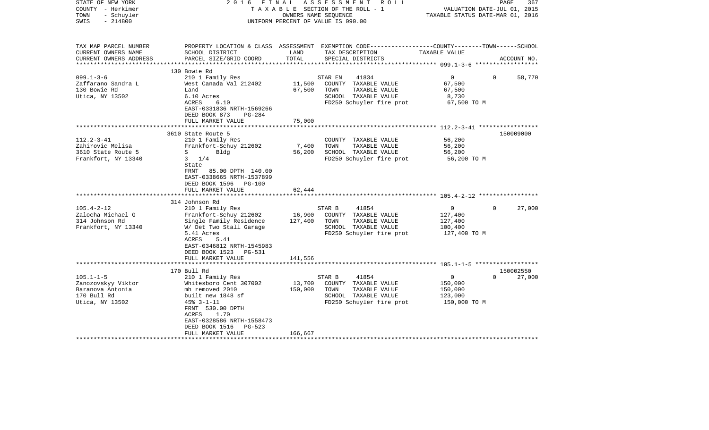| STATE OF NEW YORK<br>COUNTY - Herkimer<br>- Schuyler<br>TOWN<br>$-214800$<br>SWIS                | 2016 FINAL                                                                                                                                                                                                                  | ASSESSMENT<br>R O L L<br>T A X A B L E SECTION OF THE ROLL - 1<br>OWNERS NAME SEOUENCE<br>UNIFORM PERCENT OF VALUE IS 090.00 | PAGE<br>367<br>VALUATION DATE-JUL 01, 2015<br>TAXABLE STATUS DATE-MAR 01, 2016                                                           |                                                                 |                                 |  |
|--------------------------------------------------------------------------------------------------|-----------------------------------------------------------------------------------------------------------------------------------------------------------------------------------------------------------------------------|------------------------------------------------------------------------------------------------------------------------------|------------------------------------------------------------------------------------------------------------------------------------------|-----------------------------------------------------------------|---------------------------------|--|
| TAX MAP PARCEL NUMBER<br>CURRENT OWNERS NAME<br>CURRENT OWNERS ADDRESS<br>********************** | SCHOOL DISTRICT<br>PARCEL SIZE/GRID COORD                                                                                                                                                                                   | LAND<br>TOTAL                                                                                                                | PROPERTY LOCATION & CLASS ASSESSMENT EXEMPTION CODE----------------COUNTY-------TOWN------SCHOOL<br>TAX DESCRIPTION<br>SPECIAL DISTRICTS | TAXABLE VALUE                                                   | ACCOUNT NO.                     |  |
|                                                                                                  | 130 Bowie Rd                                                                                                                                                                                                                |                                                                                                                              |                                                                                                                                          |                                                                 |                                 |  |
| $099.1 - 3 - 6$<br>Zaffarano Sandra L<br>130 Bowie Rd<br>Utica, NY 13502                         | 210 1 Family Res<br>West Canada Val 212402<br>Land<br>6.10 Acres<br>ACRES<br>6.10<br>EAST-0331836 NRTH-1569266<br>DEED BOOK 873<br>$PG-284$                                                                                 | 11,500<br>67,500                                                                                                             | 41834<br>STAR EN<br>COUNTY TAXABLE VALUE<br>TOWN<br>TAXABLE VALUE<br>SCHOOL TAXABLE VALUE<br>FD250 Schuyler fire prot                    | $\overline{0}$<br>67,500<br>67,500<br>8,730<br>67,500 TO M      | $\Omega$<br>58,770              |  |
|                                                                                                  | FULL MARKET VALUE                                                                                                                                                                                                           | 75,000                                                                                                                       |                                                                                                                                          |                                                                 |                                 |  |
|                                                                                                  |                                                                                                                                                                                                                             |                                                                                                                              |                                                                                                                                          |                                                                 |                                 |  |
| $112.2 - 3 - 41$<br>Zahirovic Melisa<br>3610 State Route 5<br>Frankfort, NY 13340                | 3610 State Route 5<br>210 1 Family Res<br>Frankfort-Schuy 212602<br>$S \qquad \qquad$<br>Bldg<br>$3 \t1/4$<br>State<br>FRNT<br>85.00 DPTH 140.00<br>EAST-0338665 NRTH-1537899<br>DEED BOOK 1596 PG-100<br>FULL MARKET VALUE | 7,400<br>56,200<br>62,444                                                                                                    | COUNTY TAXABLE VALUE<br>TOWN<br>TAXABLE VALUE<br>SCHOOL TAXABLE VALUE<br>FD250 Schuyler fire prot                                        | 56,200<br>56,200<br>56,200<br>56,200 TO M                       | 150009000                       |  |
|                                                                                                  | 314 Johnson Rd                                                                                                                                                                                                              |                                                                                                                              |                                                                                                                                          |                                                                 |                                 |  |
| $105.4 - 2 - 12$<br>Zalocha Michael G<br>314 Johnson Rd<br>Frankfort, NY 13340                   | 210 1 Family Res<br>Frankfort-Schuy 212602<br>Single Family Residence<br>W/ Det Two Stall Garage<br>5.41 Acres<br>ACRES<br>5.41<br>EAST-0346812 NRTH-1545983<br>DEED BOOK 1523 PG-531<br>FULL MARKET VALUE                  | 16,900<br>127,400<br>141,556                                                                                                 | STAR B<br>41854<br>COUNTY TAXABLE VALUE<br>TOWN<br>TAXABLE VALUE<br>SCHOOL TAXABLE VALUE<br>FD250 Schuyler fire prot                     | $\overline{0}$<br>127,400<br>127,400<br>100,400<br>127,400 TO M | $\mathbf{0}$<br>27,000          |  |
|                                                                                                  |                                                                                                                                                                                                                             |                                                                                                                              |                                                                                                                                          |                                                                 |                                 |  |
| $105.1 - 1 - 5$<br>Zanozovskyy Viktor                                                            | 170 Bull Rd<br>210 1 Family Res<br>Whitesboro Cent 307002                                                                                                                                                                   | 13,700                                                                                                                       | 41854<br>STAR B<br>COUNTY TAXABLE VALUE                                                                                                  | $\overline{0}$<br>150,000                                       | 150002550<br>$\Omega$<br>27,000 |  |
| Baranova Antonia<br>170 Bull Rd<br>Utica, NY 13502                                               | mh removed 2010<br>built new 1848 sf<br>$45% - 3 - 1 - 11$<br>FRNT 530.00 DPTH<br>ACRES<br>1.70<br>EAST-0328586 NRTH-1558473<br>DEED BOOK 1516<br>$PG-523$<br>FULL MARKET VALUE                                             | 150,000<br>166,667                                                                                                           | TOWN<br>TAXABLE VALUE<br>SCHOOL TAXABLE VALUE<br>FD250 Schuyler fire prot                                                                | 150,000<br>123,000<br>150,000 TO M                              |                                 |  |
|                                                                                                  |                                                                                                                                                                                                                             |                                                                                                                              |                                                                                                                                          |                                                                 |                                 |  |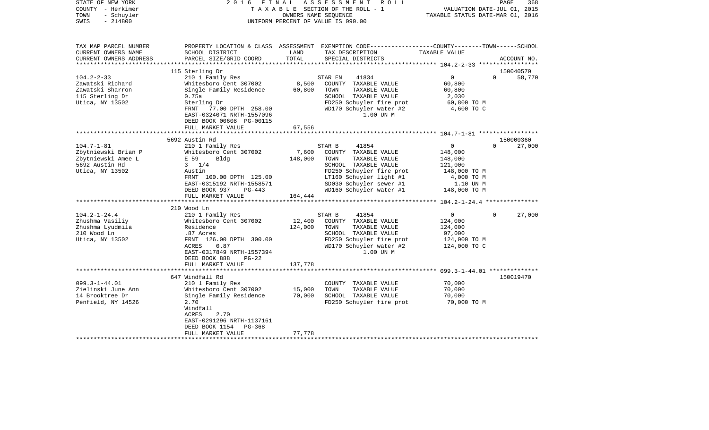| STATE OF NEW YORK<br>COUNTY - Herkimer<br>- Schuyler<br>TOWN<br>$-214800$<br>SWIS                 | 2016 FINAL                                          |               | A S S E S S M E N T R O L L<br>PAGE<br>368<br>TAXABLE SECTION OF THE ROLL - 1<br>VALUATION DATE-JUL 01, 2015<br>TAXABLE STATUS DATE-MAR 01, 2016<br>OWNERS NAME SEQUENCE<br>UNIFORM PERCENT OF VALUE IS 090.00 |                                             |                    |  |
|---------------------------------------------------------------------------------------------------|-----------------------------------------------------|---------------|----------------------------------------------------------------------------------------------------------------------------------------------------------------------------------------------------------------|---------------------------------------------|--------------------|--|
| TAX MAP PARCEL NUMBER<br>CURRENT OWNERS NAME<br>CURRENT OWNERS ADDRESS<br>*********************** | SCHOOL DISTRICT<br>PARCEL SIZE/GRID COORD           | LAND<br>TOTAL | PROPERTY LOCATION & CLASS ASSESSMENT EXEMPTION CODE---------------COUNTY-------TOWN------SCHOOL<br>TAX DESCRIPTION<br>SPECIAL DISTRICTS                                                                        | TAXABLE VALUE                               | ACCOUNT NO.        |  |
|                                                                                                   | 115 Sterling Dr                                     |               |                                                                                                                                                                                                                |                                             | 150040570          |  |
| $104.2 - 2 - 33$                                                                                  | 210 1 Family Res                                    |               | 41834<br>STAR EN                                                                                                                                                                                               | $\overline{0}$                              | $\Omega$<br>58,770 |  |
| Zawatski Richard                                                                                  | Whitesboro Cent 307002                              | 8,500         | COUNTY TAXABLE VALUE                                                                                                                                                                                           | 60,800                                      |                    |  |
| Zawatski Sharron                                                                                  | Single Family Residence                             | 60,800        | TOWN<br>TAXABLE VALUE                                                                                                                                                                                          | 60,800                                      |                    |  |
| 115 Sterling Dr                                                                                   | 0.75a                                               |               | SCHOOL TAXABLE VALUE                                                                                                                                                                                           | 2,030                                       |                    |  |
| Utica, NY 13502                                                                                   | Sterling Dr                                         |               | FD250 Schuyler fire prot<br>WD170 Schuyler water #2                                                                                                                                                            | 60,800 TO M<br>4,600 TO C                   |                    |  |
|                                                                                                   | FRNT 77.00 DPTH 258.00<br>EAST-0324071 NRTH-1557096 |               | 1.00 UN M                                                                                                                                                                                                      |                                             |                    |  |
|                                                                                                   | DEED BOOK 00608 PG-00115                            |               |                                                                                                                                                                                                                |                                             |                    |  |
|                                                                                                   | FULL MARKET VALUE                                   | 67,556        |                                                                                                                                                                                                                |                                             |                    |  |
|                                                                                                   |                                                     | *********     |                                                                                                                                                                                                                | ************* 104.7-1-81 ****************** |                    |  |
|                                                                                                   | 5692 Austin Rd                                      |               |                                                                                                                                                                                                                |                                             | 150000360          |  |
| $104.7 - 1 - 81$                                                                                  | 210 1 Family Res                                    |               | STAR B<br>41854                                                                                                                                                                                                | $\overline{0}$                              | $\Omega$<br>27,000 |  |
| Zbytniewski Brian P                                                                               | Whitesboro Cent 307002                              | 7,600         | COUNTY TAXABLE VALUE                                                                                                                                                                                           | 148,000                                     |                    |  |
| Zbytniewski Amee L                                                                                | E 59<br>Bldg                                        | 148,000       | TOWN<br>TAXABLE VALUE                                                                                                                                                                                          | 148,000                                     |                    |  |
| 5692 Austin Rd                                                                                    | $3 \t1/4$                                           |               | SCHOOL TAXABLE VALUE                                                                                                                                                                                           | 121,000                                     |                    |  |
| Utica, NY 13502                                                                                   | Austin<br>FRNT 100.00 DPTH 125.00                   |               | FD250 Schuyler fire prot<br>LT160 Schuyler light #1                                                                                                                                                            | 148,000 TO M<br>4,000 TO M                  |                    |  |
|                                                                                                   | EAST-0315192 NRTH-1558571                           |               | SD030 Schuyler sewer #1                                                                                                                                                                                        | 1.10 UN M                                   |                    |  |
|                                                                                                   | DEED BOOK 937<br>PG-443                             |               | WD160 Schuyler water #1                                                                                                                                                                                        | 148,000 TO M                                |                    |  |
|                                                                                                   | FULL MARKET VALUE                                   | 164,444       |                                                                                                                                                                                                                |                                             |                    |  |
|                                                                                                   |                                                     |               |                                                                                                                                                                                                                |                                             |                    |  |
|                                                                                                   | 210 Wood Ln                                         |               |                                                                                                                                                                                                                |                                             |                    |  |
| $104.2 - 1 - 24.4$                                                                                | 210 1 Family Res                                    |               | 41854<br>STAR B                                                                                                                                                                                                | $\Omega$                                    | $\Omega$<br>27,000 |  |
| Zhushma Vasiliy                                                                                   | Whitesboro Cent 307002                              | 12,400        | COUNTY TAXABLE VALUE                                                                                                                                                                                           | 124,000                                     |                    |  |
| Zhushma Lyudmila                                                                                  | Residence                                           | 124,000       | TOWN<br>TAXABLE VALUE                                                                                                                                                                                          | 124,000                                     |                    |  |
| 210 Wood Ln                                                                                       | .87 Acres                                           |               | SCHOOL TAXABLE VALUE                                                                                                                                                                                           | 97,000                                      |                    |  |
| Utica, NY 13502                                                                                   | FRNT 126.00 DPTH 300.00<br>ACRES<br>0.87            |               | FD250 Schuyler fire prot<br>WD170 Schuyler water #2                                                                                                                                                            | 124,000 TO M<br>124,000 TO C                |                    |  |
|                                                                                                   | EAST-0317849 NRTH-1557394                           |               | 1.00 UN M                                                                                                                                                                                                      |                                             |                    |  |
|                                                                                                   | DEED BOOK 888<br>PG-22                              |               |                                                                                                                                                                                                                |                                             |                    |  |
|                                                                                                   | FULL MARKET VALUE                                   | 137,778       |                                                                                                                                                                                                                |                                             |                    |  |
|                                                                                                   | ******************************                      |               |                                                                                                                                                                                                                |                                             |                    |  |
|                                                                                                   | 647 Windfall Rd                                     |               |                                                                                                                                                                                                                |                                             | 150019470          |  |
| $099.3 - 1 - 44.01$                                                                               | 210 1 Family Res                                    |               | COUNTY TAXABLE VALUE                                                                                                                                                                                           | 70,000                                      |                    |  |
| Zielinski June Ann                                                                                | Whitesboro Cent 307002                              | 15,000        | TAXABLE VALUE<br>TOWN                                                                                                                                                                                          | 70,000                                      |                    |  |
| 14 Brooktree Dr                                                                                   | Single Family Residence                             | 70,000        | SCHOOL TAXABLE VALUE                                                                                                                                                                                           | 70,000                                      |                    |  |
| Penfield, NY 14526                                                                                | 2.70                                                |               | FD250 Schuyler fire prot                                                                                                                                                                                       | 70,000 TO M                                 |                    |  |
|                                                                                                   | Windfall<br>ACRES<br>2.70                           |               |                                                                                                                                                                                                                |                                             |                    |  |
|                                                                                                   | EAST-0291296 NRTH-1137161                           |               |                                                                                                                                                                                                                |                                             |                    |  |
|                                                                                                   | DEED BOOK 1154<br>PG-368                            |               |                                                                                                                                                                                                                |                                             |                    |  |
|                                                                                                   | FULL MARKET VALUE                                   | 77,778        |                                                                                                                                                                                                                |                                             |                    |  |
|                                                                                                   |                                                     |               |                                                                                                                                                                                                                |                                             |                    |  |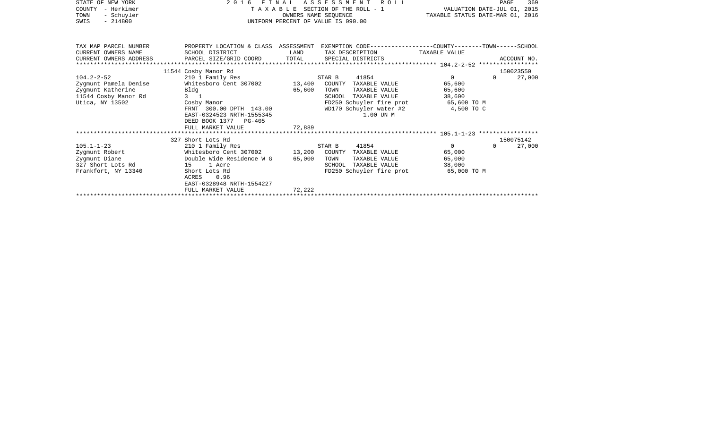| STATE OF NEW YORK<br>COUNTY - Herkimer<br>- Schuyler<br>TOWN<br>$-214800$<br>SWIS                         | 2016<br>FINAL<br>TAXABLE SECTION OF THE ROLL - 1<br>UNIFORM PERCENT OF VALUE IS 090.00                                                                                                        | VALUATION DATE-JUL 01, 2015<br>TAXABLE STATUS DATE-MAR 01, 2016 | PAGE                                                                                                                                                                        | 369                                                        |          |                     |
|-----------------------------------------------------------------------------------------------------------|-----------------------------------------------------------------------------------------------------------------------------------------------------------------------------------------------|-----------------------------------------------------------------|-----------------------------------------------------------------------------------------------------------------------------------------------------------------------------|------------------------------------------------------------|----------|---------------------|
| TAX MAP PARCEL NUMBER<br>CURRENT OWNERS NAME<br>CURRENT OWNERS ADDRESS                                    | SCHOOL DISTRICT                                                                                                                                                                               | LAND                                                            | PROPERTY LOCATION & CLASS ASSESSMENT EXEMPTION CODE---------------COUNTY-------TOWN------SCHOOL<br>TAX DESCRIPTION                                                          | TAXABLE VALUE                                              |          |                     |
|                                                                                                           | 11544 Cosby Manor Rd                                                                                                                                                                          |                                                                 |                                                                                                                                                                             |                                                            |          | 150023550           |
| $104.2 - 2 - 52$<br>Zygmunt Pamela Denise<br>Zygmunt Katherine<br>11544 Cosby Manor Rd<br>Utica, NY 13502 | 210 1 Family Res<br>Whitesboro Cent 307002 13,400<br>Bldg<br>$3 \quad 1$<br>Cosby Manor<br>FRNT 300.00 DPTH 143.00<br>EAST-0324523 NRTH-1555345<br>DEED BOOK 1377 PG-405<br>FULL MARKET VALUE | 65,600<br>72,889                                                | 41854<br>STAR B<br>COUNTY TAXABLE VALUE<br>TAXABLE VALUE<br>TOWN<br>TAXABLE VALUE<br>SCHOOL<br>FD250 Schuyler fire prot 65,600 TO M<br>WD170 Schuyler water #2<br>1.00 UN M | $\overline{0}$<br>65,600<br>65,600<br>38,600<br>4,500 TO C | $\Omega$ | 27,000              |
|                                                                                                           |                                                                                                                                                                                               |                                                                 |                                                                                                                                                                             |                                                            |          |                     |
| $105.1 - 1 - 23$                                                                                          | 327 Short Lots Rd<br>210 1 Family Res                                                                                                                                                         |                                                                 | 41854<br>STAR B                                                                                                                                                             | $\overline{0}$                                             | $\Omega$ | 150075142<br>27,000 |
| Zygmunt Robert<br>Zygmunt Diane<br>327 Short Lots Rd<br>Frankfort, NY 13340                               | Whitesboro Cent 307002 13,200<br>Double Wide Residence W G<br>15 1 Acre<br>Short Lots Rd<br>0.96<br>ACRES<br>EAST-0328948 NRTH-1554227                                                        | 65,000                                                          | COUNTY TAXABLE VALUE<br>TOWN<br>TAXABLE VALUE<br>TAXABLE VALUE<br>SCHOOL<br>FD250 Schuyler fire prot                                                                        | 65,000<br>65,000<br>38,000<br>65,000 TO M                  |          |                     |
|                                                                                                           | FULL MARKET VALUE                                                                                                                                                                             | 72,222                                                          |                                                                                                                                                                             |                                                            |          |                     |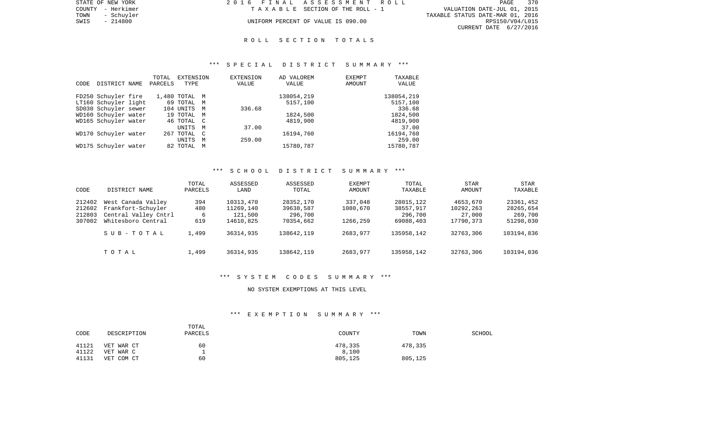|      | STATE OF NEW YORK | 2016 FINAL ASSESSMENT ROLL         |                                  | PAGE            | 370 |
|------|-------------------|------------------------------------|----------------------------------|-----------------|-----|
|      | COUNTY - Herkimer | TAXABLE SECTION OF THE ROLL - 1    | VALUATION DATE-JUL 01, 2015      |                 |     |
| TOWN | - Schuvler        |                                    | TAXABLE STATUS DATE-MAR 01, 2016 |                 |     |
| SWIS | - 214800          | UNIFORM PERCENT OF VALUE IS 090.00 |                                  | RPS150/V04/L015 |     |
|      |                   |                                    | CURRENT DATE 6/27/2016           |                 |     |

# R O L L S E C T I O N T O T A L S

## \*\*\* S P E C I A L D I S T R I C T S U M M A R Y \*\*\*

|      |                      | TOTAL   | EXTENSION     |              | <b>EXTENSION</b> | AD VALOREM | <b>EXEMPT</b> | TAXABLE    |
|------|----------------------|---------|---------------|--------------|------------------|------------|---------------|------------|
| CODE | DISTRICT NAME        | PARCELS | TYPE          |              | VALUE            | VALUE      | <b>AMOUNT</b> | VALUE      |
|      |                      |         |               |              |                  |            |               |            |
|      | FD250 Schuyler fire  |         | 1,480 TOTAL M |              |                  | 138054,219 |               | 138054,219 |
|      | LT160 Schuyler light |         | 69 TOTAL M    |              |                  | 5157,100   |               | 5157,100   |
|      | SD030 Schuyler sewer |         | 104 UNITS     | M            | 336.68           |            |               | 336.68     |
|      | WD160 Schuyler water |         | 19 TOTAL M    |              |                  | 1824,500   |               | 1824,500   |
|      | WD165 Schuyler water |         | 46 TOTAL C    |              |                  | 4819,900   |               | 4819,900   |
|      |                      |         | UNITS         | M            | 37.00            |            |               | 37.00      |
|      | WD170 Schuyler water |         | 267 TOTAL     | $\mathbb{C}$ |                  | 16194,760  |               | 16194,760  |
|      |                      |         | <b>UNITS</b>  | M            | 259.00           |            |               | 259.00     |
|      | WD175 Schuyler water |         | 82 TOTAL M    |              |                  | 15780,787  |               | 15780,787  |
|      |                      |         |               |              |                  |            |               |            |

# \*\*\* S C H O O L D I S T R I C T S U M M A R Y \*\*\*

| CODE                                 | DISTRICT NAME                                                                          | TOTAL<br>PARCELS       | ASSESSED<br>LAND                               | ASSESSED<br>TOTAL                              | EXEMPT<br>AMOUNT                | TOTAL<br>TAXABLE                               | <b>STAR</b><br>AMOUNT                        | <b>STAR</b><br>TAXABLE                         |
|--------------------------------------|----------------------------------------------------------------------------------------|------------------------|------------------------------------------------|------------------------------------------------|---------------------------------|------------------------------------------------|----------------------------------------------|------------------------------------------------|
| 212402<br>212602<br>212803<br>307002 | West Canada Valley<br>Frankfort-Schuyler<br>Central Valley Cntrl<br>Whitesboro Central | 394<br>480<br>6<br>619 | 10313,470<br>11269,140<br>121,500<br>14610,825 | 28352,170<br>39638,587<br>296,700<br>70354,662 | 337,048<br>1080,670<br>1266,259 | 28015,122<br>38557,917<br>296,700<br>69088,403 | 4653,670<br>10292,263<br>27,000<br>17790,373 | 23361,452<br>28265,654<br>269,700<br>51298,030 |
|                                      | SUB-TOTAL                                                                              | 1,499                  | 36314,935                                      | 138642,119                                     | 2683,977                        | 135958,142                                     | 32763,306                                    | 103194,836                                     |
|                                      | TOTAL                                                                                  | 1,499                  | 36314,935                                      | 138642, 119                                    | 2683,977                        | 135958,142                                     | 32763,306                                    | 103194,836                                     |

## \*\*\* S Y S T E M C O D E S S U M M A R Y \*\*\*

# NO SYSTEM EXEMPTIONS AT THIS LEVEL

# \*\*\* E X E M P T I O N S U M M A R Y \*\*\*

| CODE  | DESCRIPTION   | TOTAL<br>PARCELS | COUNTY  | TOWN    | <b>SCHOOL</b> |
|-------|---------------|------------------|---------|---------|---------------|
| 41121 | VET WAR CT    | 60               | 478,335 | 478,335 |               |
| 41122 | VET WAR C     |                  | 8,100   |         |               |
| 41131 | COM CT<br>VET | 60               | 805,125 | 805,125 |               |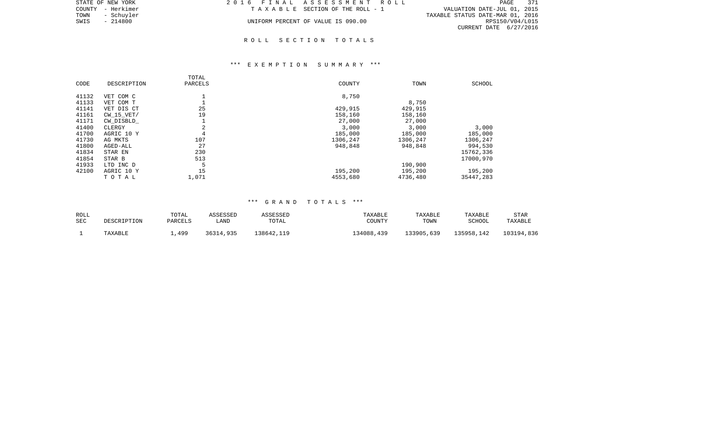| STATE OF NEW YORK  | 2016 FINAL ASSESSMENT ROLL         | PAGE<br>371                      |
|--------------------|------------------------------------|----------------------------------|
| COUNTY - Herkimer  | TAXABLE SECTION OF THE ROLL - 1    | VALUATION DATE-JUL 01, 2015      |
| TOWN<br>- Schuvler |                                    | TAXABLE STATUS DATE-MAR 01, 2016 |
| SWIS<br>- 214800   | UNIFORM PERCENT OF VALUE IS 090.00 | RPS150/V04/L015                  |
|                    |                                    | CURRENT DATE 6/27/2016           |

# \*\*\* E X E M P T I O N S U M M A R Y \*\*\*

| CODE  | DESCRIPTION    | TOTAL<br>PARCELS | COUNTY   | TOWN     | SCHOOL    |
|-------|----------------|------------------|----------|----------|-----------|
| 41132 | VET COM C      |                  | 8,750    |          |           |
| 41133 | VET COM T      |                  |          | 8,750    |           |
| 41141 | VET DIS CT     | 25               | 429,915  | 429,915  |           |
| 41161 | $CW$ 15 $VET/$ | 19               | 158,160  | 158,160  |           |
| 41171 | CW DISBLD      | ┻                | 27,000   | 27,000   |           |
| 41400 | CLERGY         | 2                | 3,000    | 3,000    | 3,000     |
| 41700 | AGRIC 10 Y     | 4                | 185,000  | 185,000  | 185,000   |
| 41730 | AG MKTS        | 107              | 1306,247 | 1306,247 | 1306,247  |
| 41800 | AGED-ALL       | 27               | 948,848  | 948,848  | 994,530   |
| 41834 | STAR EN        | 230              |          |          | 15762,336 |
| 41854 | STAR B         | 513              |          |          | 17000,970 |
| 41933 | LTD INC D      | 5                |          | 190,900  |           |
| 42100 | AGRIC 10 Y     | 15               | 195,200  | 195,200  | 195,200   |
|       | TOTAL          | 1,071            | 4553,680 | 4736,480 | 35447,283 |

| ROLL       | DESCRIPTION | TOTAL          | ASSESSED  | ASSESSED   | TAXABLE    | TAXABLE    | TAXABLE    | <b>STAR</b> |
|------------|-------------|----------------|-----------|------------|------------|------------|------------|-------------|
| <b>SEC</b> |             | <b>PARCELS</b> | LAND      | TOTAL      | COUNTY     | TOWN       | SCHOOL     | TAXABLE     |
|            | TAXABLE     | .499           | 36314,935 | 138642,119 | 134088,439 | 133905,639 | 135958,142 | 103194,836  |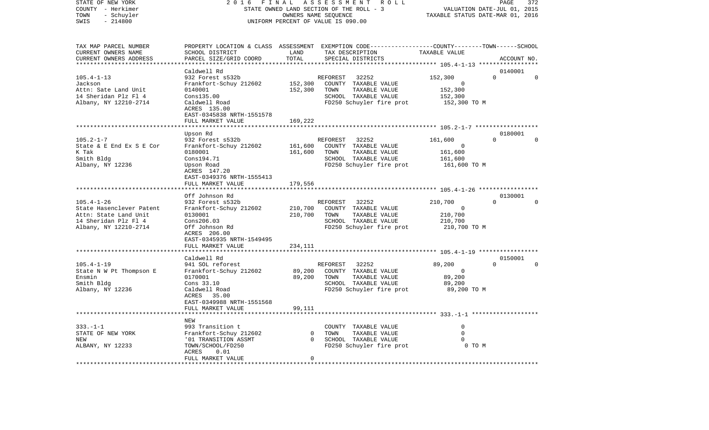|                                                                                                                                     | OWNERS NAME SEQUENCE                                                                                 |                                                                                                     | VALUATION DATE-JUL 01, 2015<br>TAXABLE STATUS DATE-MAR 01, 2016                                                                                                                                                                                                                                                                                                                                                                                                                                                                                                                                                                                                                            |  |  |
|-------------------------------------------------------------------------------------------------------------------------------------|------------------------------------------------------------------------------------------------------|-----------------------------------------------------------------------------------------------------|--------------------------------------------------------------------------------------------------------------------------------------------------------------------------------------------------------------------------------------------------------------------------------------------------------------------------------------------------------------------------------------------------------------------------------------------------------------------------------------------------------------------------------------------------------------------------------------------------------------------------------------------------------------------------------------------|--|--|
| SCHOOL DISTRICT<br>PARCEL SIZE/GRID COORD                                                                                           | LAND<br>TAX DESCRIPTION<br>TOTAL<br>SPECIAL DISTRICTS                                                | TAXABLE VALUE                                                                                       | ACCOUNT NO.                                                                                                                                                                                                                                                                                                                                                                                                                                                                                                                                                                                                                                                                                |  |  |
| Caldwell Rd                                                                                                                         |                                                                                                      |                                                                                                     | 0140001                                                                                                                                                                                                                                                                                                                                                                                                                                                                                                                                                                                                                                                                                    |  |  |
| 932 Forest s532b<br>Frankfort-Schuy 212602<br>0140001<br>Cons135.00<br>Caldwell Road<br>ACRES 135.00<br>EAST-0345838 NRTH-1551578   | REFOREST<br>32252<br>152,300<br>152,300<br>TOWN                                                      | 152,300<br>0<br>152,300<br>152,300<br>152,300 TO M                                                  | $\Omega$<br>$\Omega$                                                                                                                                                                                                                                                                                                                                                                                                                                                                                                                                                                                                                                                                       |  |  |
| ********************                                                                                                                |                                                                                                      |                                                                                                     |                                                                                                                                                                                                                                                                                                                                                                                                                                                                                                                                                                                                                                                                                            |  |  |
| Upson Rd<br>932 Forest s532b<br>Frankfort-Schuy 212602<br>0180001<br>Cons194.71<br>Upson Road<br>ACRES 147.20                       | REFOREST<br>32252<br>161,600<br>161,600<br>TOWN                                                      | 161,600<br>0<br>161,600<br>161,600<br>161,600 TO M                                                  | 0180001<br>$\Omega$<br>$\Omega$                                                                                                                                                                                                                                                                                                                                                                                                                                                                                                                                                                                                                                                            |  |  |
| FULL MARKET VALUE                                                                                                                   | 179,556                                                                                              |                                                                                                     |                                                                                                                                                                                                                                                                                                                                                                                                                                                                                                                                                                                                                                                                                            |  |  |
|                                                                                                                                     |                                                                                                      |                                                                                                     |                                                                                                                                                                                                                                                                                                                                                                                                                                                                                                                                                                                                                                                                                            |  |  |
| 932 Forest s532b<br>Frankfort-Schuy 212602<br>0130001<br>Cons206.03<br>Off Johnson Rd<br>ACRES 206.00<br>EAST-0345935 NRTH-1549495  | 32252<br>REFOREST<br>210,700<br>210,700<br>TOWN                                                      | 210,700<br>$\Omega$<br>210,700<br>210,700<br>210,700 TO M                                           | 0130001<br>$\Omega$<br>$\Omega$                                                                                                                                                                                                                                                                                                                                                                                                                                                                                                                                                                                                                                                            |  |  |
| FULL MARKET VALUE                                                                                                                   | 234,111                                                                                              |                                                                                                     |                                                                                                                                                                                                                                                                                                                                                                                                                                                                                                                                                                                                                                                                                            |  |  |
|                                                                                                                                     |                                                                                                      |                                                                                                     | 0150001                                                                                                                                                                                                                                                                                                                                                                                                                                                                                                                                                                                                                                                                                    |  |  |
| 941 SOL reforest<br>Frankfort-Schuy 212602<br>0170001<br>Cons 33.10<br>Caldwell Road<br>ACRES<br>35.00<br>EAST-0349988 NRTH-1551568 | REFOREST<br>32252<br>89,200<br>89,200<br>TOWN                                                        | 89,200<br>$\Omega$<br>89,200<br>89,200<br>89,200 TO M                                               | $\Omega$<br>$\Omega$                                                                                                                                                                                                                                                                                                                                                                                                                                                                                                                                                                                                                                                                       |  |  |
|                                                                                                                                     |                                                                                                      |                                                                                                     |                                                                                                                                                                                                                                                                                                                                                                                                                                                                                                                                                                                                                                                                                            |  |  |
| NEW<br>993 Transition t<br>Frankfort-Schuy 212602<br>'01 TRANSITION ASSMT<br>TOWN/SCHOOL/FD250<br>ACRES<br>0.01                     | $\circ$<br>TOWN<br>$\cap$                                                                            | $\Omega$<br>$\Omega$<br>$\Omega$<br>0 TO M                                                          |                                                                                                                                                                                                                                                                                                                                                                                                                                                                                                                                                                                                                                                                                            |  |  |
|                                                                                                                                     | FULL MARKET VALUE<br>EAST-0349376 NRTH-1555413<br>Off Johnson Rd<br>Caldwell Rd<br>FULL MARKET VALUE | STATE OWNED LAND SECTION OF THE ROLL - 3<br>UNIFORM PERCENT OF VALUE IS 090.00<br>169,222<br>99,111 | PROPERTY LOCATION & CLASS ASSESSMENT EXEMPTION CODE---------------COUNTY-------TOWN-----SCHOOL<br>COUNTY TAXABLE VALUE<br>TAXABLE VALUE<br>SCHOOL TAXABLE VALUE<br>FD250 Schuyler fire prot<br>COUNTY TAXABLE VALUE<br>TAXABLE VALUE<br>SCHOOL TAXABLE VALUE<br>FD250 Schuyler fire prot<br>COUNTY TAXABLE VALUE<br>TAXABLE VALUE<br>SCHOOL TAXABLE VALUE<br>FD250 Schuyler fire prot<br>********* 105.4-1-19 ****************<br>COUNTY TAXABLE VALUE<br>TAXABLE VALUE<br>SCHOOL TAXABLE VALUE<br>FD250 Schuyler fire prot<br>********************************* 333.-1-1 *******************<br>COUNTY TAXABLE VALUE<br>TAXABLE VALUE<br>SCHOOL TAXABLE VALUE<br>FD250 Schuyler fire prot |  |  |

PAGE 372

STATE OF NEW YORK 2 0 1 6 F I N A L A S S E S S M E N T R O L L PAGE 372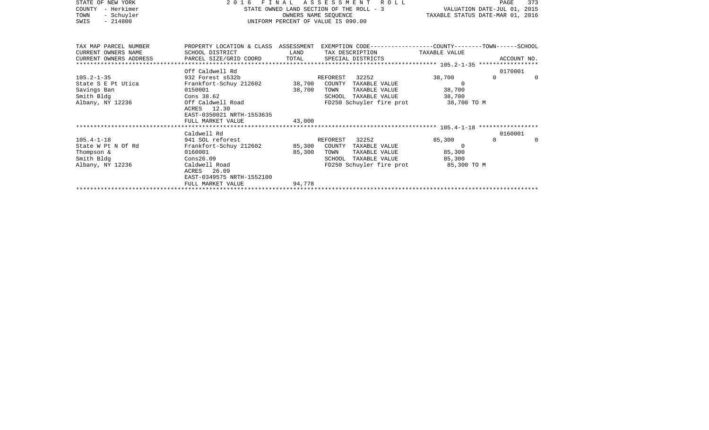| STATE OF NEW YORK                      | 2016                                                 | FINAL                              | ROLL<br>A S S E S S M E N T                                                                     |                       | PAGE                | 373      |
|----------------------------------------|------------------------------------------------------|------------------------------------|-------------------------------------------------------------------------------------------------|-----------------------|---------------------|----------|
| - Herkimer<br>COUNTY                   | STATE OWNED LAND SECTION OF THE ROLL - 3             | VALUATION DATE-JUL 01, 2015        |                                                                                                 |                       |                     |          |
| - Schuyler<br>TOWN                     |                                                      | OWNERS NAME SEQUENCE               | TAXABLE STATUS DATE-MAR 01, 2016                                                                |                       |                     |          |
| SWIS<br>$-214800$                      |                                                      | UNIFORM PERCENT OF VALUE IS 090.00 |                                                                                                 |                       |                     |          |
|                                        |                                                      |                                    |                                                                                                 |                       |                     |          |
|                                        |                                                      |                                    |                                                                                                 |                       |                     |          |
| TAX MAP PARCEL NUMBER                  |                                                      |                                    | PROPERTY LOCATION & CLASS ASSESSMENT EXEMPTION CODE---------------COUNTY-------TOWN------SCHOOL |                       |                     |          |
| CURRENT OWNERS NAME                    | SCHOOL DISTRICT                                      | LAND                               | TAX DESCRIPTION TAXABLE VALUE                                                                   |                       |                     |          |
| CURRENT OWNERS ADDRESS                 | PARCEL SIZE/GRID COORD                               | TOTAL                              | SPECIAL DISTRICTS                                                                               |                       | ACCOUNT NO.         |          |
|                                        |                                                      |                                    |                                                                                                 |                       |                     |          |
|                                        | Off Caldwell Rd                                      |                                    |                                                                                                 |                       | 0170001             |          |
| $105.2 - 1 - 35$                       | 932 Forest s532b R.<br>Frankfort-Schuy 212602 38,700 |                                    | 32252<br>REFOREST                                                                               | 38,700                | $\Omega$            | $\Omega$ |
| State S E Pt Utica                     |                                                      |                                    | COUNTY TAXABLE VALUE                                                                            | $\Omega$              |                     |          |
| Savings Ban                            | 0150001                                              | 38,700                             | TOWN<br>TAXABLE VALUE                                                                           | 38,700                |                     |          |
| Smith Bldg                             | Cons 38.62<br>Off Caldwell Road                      |                                    | SCHOOL TAXABLE VALUE                                                                            | 38,700                |                     |          |
| Albany, NY 12236                       |                                                      |                                    | FD250 Schuyler fire prot                                                                        | 38,700 TO M           |                     |          |
|                                        | ACRES 12.30                                          |                                    |                                                                                                 |                       |                     |          |
|                                        | EAST-0350021 NRTH-1553635                            |                                    |                                                                                                 |                       |                     |          |
|                                        | FULL MARKET VALUE                                    | 43,000                             |                                                                                                 |                       |                     |          |
|                                        |                                                      |                                    |                                                                                                 |                       |                     |          |
|                                        | Caldwell Rd                                          |                                    |                                                                                                 |                       | 0160001<br>$\Omega$ |          |
| $105.4 - 1 - 18$<br>State W Pt N Of Rd | 941 SOL reforest                                     |                                    | 32252<br>REFOREST                                                                               | 85,300<br>$\Omega$    |                     | $\Omega$ |
|                                        | Frankfort-Schuy 212602<br>0160001                    | 85,300                             | COUNTY TAXABLE VALUE                                                                            |                       |                     |          |
| Thompson &                             |                                                      | 85,300                             | TOWN<br>TAXABLE VALUE                                                                           | 85,300                |                     |          |
| Smith Bldg<br>Albany, NY 12236         | Cons26.09<br>Caldwell Road                           |                                    | TAXABLE VALUE<br>SCHOOL<br>FD250 Schuyler fire prot                                             | 85,300<br>85,300 TO M |                     |          |
|                                        |                                                      |                                    |                                                                                                 |                       |                     |          |

FULL MARKET VALUE 94,778 \*\*\*\*\*\*\*\*\*\*\*\*\*\*\*\*\*\*\*\*\*\*\*\*\*\*\*\*\*\*\*\*\*\*\*\*\*\*\*\*\*\*\*\*\*\*\*\*\*\*\*\*\*\*\*\*\*\*\*\*\*\*\*\*\*\*\*\*\*\*\*\*\*\*\*\*\*\*\*\*\*\*\*\*\*\*\*\*\*\*\*\*\*\*\*\*\*\*\*\*\*\*\*\*\*\*\*\*\*\*\*\*\*\*\*\*\*\*\*\*\*\*\*\*\*\*\*\*\*\*\*\*

EAST-0349575 NRTH-1552100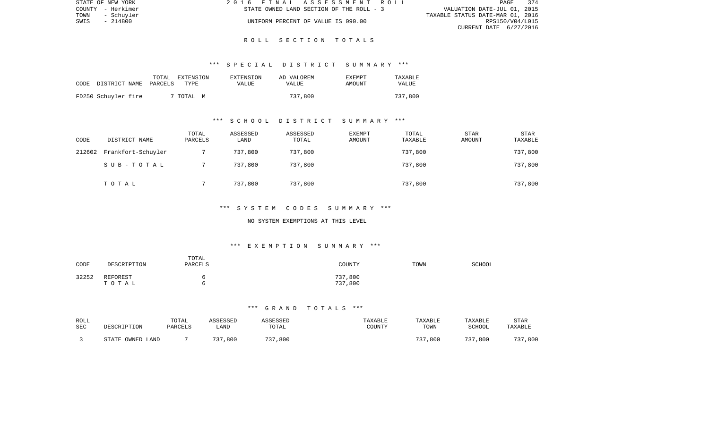| STATE OF NEW YORK |            | 2016 FINAL ASSESSMENT ROLL |                                          |                                  | PAGE 374        |  |
|-------------------|------------|----------------------------|------------------------------------------|----------------------------------|-----------------|--|
| COUNTY - Herkimer |            |                            | STATE OWNED LAND SECTION OF THE ROLL - 3 | VALUATION DATE-JUL 01, 2015      |                 |  |
| TOWN              | - Schuvler |                            |                                          | TAXABLE STATUS DATE-MAR 01, 2016 |                 |  |
| SWIS              | - 214800   |                            | UNIFORM PERCENT OF VALUE IS 090.00       |                                  | RPS150/V04/L015 |  |
|                   |            |                            |                                          | CURRENT DATE 6/27/2016           |                 |  |

## \*\*\* S P E C I A L D I S T R I C T S U M M A R Y \*\*\*

| CODE | DISTRICT NAME       | TOTAL<br>PARCELS | EXTENSION<br>TYPE | EXTENSION<br>VALUE | AD VALOREM<br>VALUE | <b>EXEMPT</b><br><b>AMOUNT</b> | TAXABLE<br>VALUE |
|------|---------------------|------------------|-------------------|--------------------|---------------------|--------------------------------|------------------|
|      | FD250 Schuyler fire |                  | 7 TOTAL M         |                    | 737,800             |                                | 737,800          |

# \*\*\* S C H O O L D I S T R I C T S U M M A R Y \*\*\*

| CODE   | DISTRICT NAME      | TOTAL<br>PARCELS | ASSESSED<br>LAND | ASSESSED<br>TOTAL | <b>EXEMPT</b><br>AMOUNT | TOTAL<br>TAXABLE | STAR<br>AMOUNT | STAR<br>TAXABLE |
|--------|--------------------|------------------|------------------|-------------------|-------------------------|------------------|----------------|-----------------|
| 212602 | Frankfort-Schuyler |                  | 737,800          | 737,800           |                         | 737,800          |                | 737,800         |
|        | SUB-TOTAL          |                  | 737,800          | 737,800           |                         | 737,800          |                | 737,800         |
|        | TOTAL              |                  | 737,800          | 737,800           |                         | 737,800          |                | 737,800         |

#### \*\*\* S Y S T E M C O D E S S U M M A R Y \*\*\*

### NO SYSTEM EXEMPTIONS AT THIS LEVEL

# \*\*\* E X E M P T I O N S U M M A R Y \*\*\*

| CODE  | DESCRIPTION       | TOTAL<br>PARCELS | COUNTY             | TOWN | SCHOOL |
|-------|-------------------|------------------|--------------------|------|--------|
| 32252 | REFOREST<br>TOTAL | n<br>n           | 737,800<br>737,800 |      |        |

| ROLL | DESCRIPTION      | TOTAL   | ASSESSED | ASSESSED | TAXABLE | TAXABLE | TAXABLE | STAR    |
|------|------------------|---------|----------|----------|---------|---------|---------|---------|
| SEC  |                  | PARCELS | LAND     | TOTAL    | COUNTY  | TOWN    | SCHOOL  | TAXABLE |
|      | STATE OWNED LAND |         | 737,800  | 737,800  |         | 737,800 | 737,800 | 737,800 |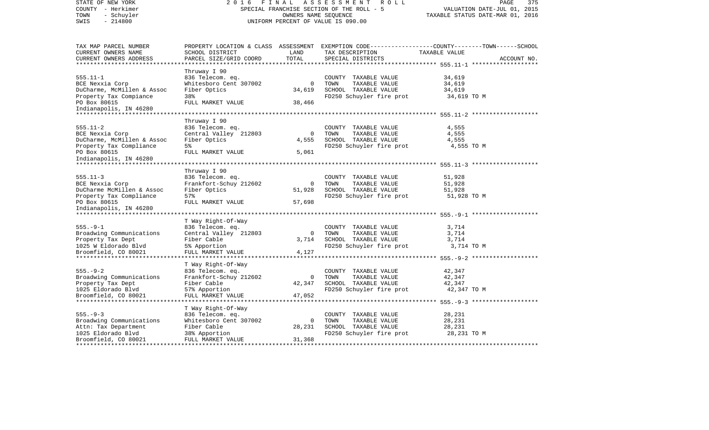| STATE OF NEW YORK<br>COUNTY - Herkimer<br>TOWN<br>- Schuyler<br>$-214800$<br>SWIS                                                                              | FINAL<br>2016<br>SPECIAL FRANCHISE SECTION OF THE ROLL - 5<br>UNIFORM PERCENT OF VALUE IS 090.00                      | PAGE<br>375<br>VALUATION DATE-JUL 01, 2015<br>TAXABLE STATUS DATE-MAR 01, 2016 |                                                                                                   |                                                                                                                                |
|----------------------------------------------------------------------------------------------------------------------------------------------------------------|-----------------------------------------------------------------------------------------------------------------------|--------------------------------------------------------------------------------|---------------------------------------------------------------------------------------------------|--------------------------------------------------------------------------------------------------------------------------------|
| TAX MAP PARCEL NUMBER<br>CURRENT OWNERS NAME<br>CURRENT OWNERS ADDRESS<br>************************                                                             | SCHOOL DISTRICT<br>PARCEL SIZE/GRID COORD                                                                             | LAND<br>TOTAL                                                                  | TAX DESCRIPTION<br>SPECIAL DISTRICTS                                                              | PROPERTY LOCATION & CLASS ASSESSMENT EXEMPTION CODE---------------COUNTY-------TOWN-----SCHOOL<br>TAXABLE VALUE<br>ACCOUNT NO. |
| $555.11 - 1$<br>BCE Nexxia Corp<br>DuCharme, McMillen & Assoc<br>Property Tax Compiance<br>PO Box 80615<br>Indianapolis, IN 46280                              | Thruway I 90<br>836 Telecom. eq.<br>Whitesboro Cent 307002<br>Fiber Optics<br>38%<br>FULL MARKET VALUE                | $\mathbf{0}$<br>34,619<br>38,466                                               | COUNTY TAXABLE VALUE<br>TOWN<br>TAXABLE VALUE<br>SCHOOL TAXABLE VALUE<br>FD250 Schuyler fire prot | 34,619<br>34,619<br>34,619<br>34,619 TO M                                                                                      |
| $555.11 - 2$<br>BCE Nexxia Corp<br>DuCharme, McMillen & Assoc<br>Property Tax Compliance<br>PO Box 80615<br>Indianapolis, IN 46280                             | Thruway I 90<br>836 Telecom. eq.<br>Central Valley 212803<br>Fiber Optics<br>5%<br>FULL MARKET VALUE                  | $\mathbf 0$<br>4,555<br>5,061                                                  | COUNTY TAXABLE VALUE<br>TOWN<br>TAXABLE VALUE<br>SCHOOL TAXABLE VALUE<br>FD250 Schuyler fire prot | 4,555<br>4,555<br>4,555<br>4,555 TO M                                                                                          |
| $555.11 - 3$<br>BCE Nexxia Corp<br>DuCharme McMillen & Assoc<br>Property Tax Compliance<br>PO Box 80615<br>Indianapolis, IN 46280<br>************************* | Thruway I 90<br>836 Telecom. eq.<br>Frankfort-Schuy 212602<br>Fiber Optics<br>57%<br>FULL MARKET VALUE                | 0<br>51,928<br>57,698                                                          | COUNTY TAXABLE VALUE<br>TOWN<br>TAXABLE VALUE<br>SCHOOL TAXABLE VALUE<br>FD250 Schuyler fire prot | 51,928<br>51,928<br>51,928<br>51,928 TO M                                                                                      |
| $555. - 9 - 1$<br>Broadwing Communications<br>Property Tax Dept<br>1025 W Eldorado Blvd<br>Broomfield, CO 80021<br>*************************                   | T Way Right-Of-Way<br>836 Telecom. eq.<br>Central Valley 212803<br>Fiber Cable<br>5% Apportion<br>FULL MARKET VALUE   | $\Omega$<br>3,714<br>4,127                                                     | COUNTY TAXABLE VALUE<br>TAXABLE VALUE<br>TOWN<br>SCHOOL TAXABLE VALUE<br>FD250 Schuyler fire prot | 3,714<br>3,714<br>3,714<br>3,714 TO M                                                                                          |
| $555. - 9 - 2$<br>Broadwing Communications<br>Property Tax Dept<br>1025 Eldorado Blvd<br>Broomfield, CO 80021                                                  | T Way Right-Of-Way<br>836 Telecom. eq.<br>Frankfort-Schuy 212602<br>Fiber Cable<br>57% Apportion<br>FULL MARKET VALUE | $\Omega$<br>42,347<br>47,052                                                   | COUNTY TAXABLE VALUE<br>TOWN<br>TAXABLE VALUE<br>SCHOOL TAXABLE VALUE<br>FD250 Schuyler fire prot | 42,347<br>42,347<br>42,347<br>42,347 TO M<br>********************* 555.-9-3 *******************                                |
| $555. - 9 - 3$<br>Broadwing Communications<br>Attn: Tax Department<br>1025 Eldorado Blvd<br>Broomfield, CO 80021                                               | T Way Right-Of-Way<br>836 Telecom. eq.<br>Whitesboro Cent 307002<br>Fiber Cable<br>38% Apportion<br>FULL MARKET VALUE | $\Omega$<br>28,231<br>31,368                                                   | COUNTY TAXABLE VALUE<br>TOWN<br>TAXABLE VALUE<br>SCHOOL TAXABLE VALUE<br>FD250 Schuyler fire prot | 28,231<br>28,231<br>28,231<br>28,231 TO M                                                                                      |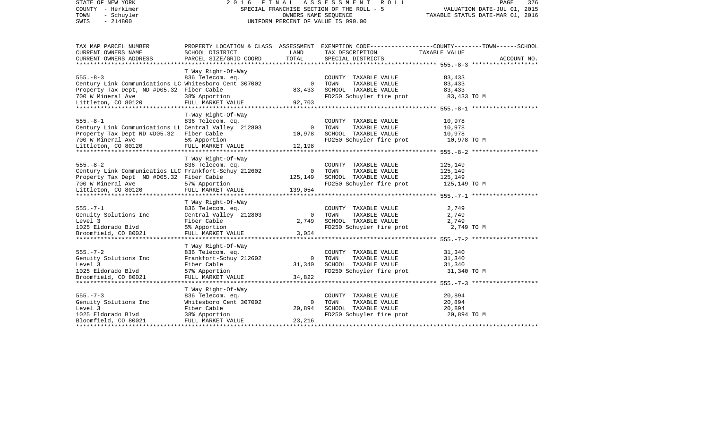| STATE OF NEW YORK<br>COUNTY - Herkimer<br>TOWN<br>- Schuyler<br>$-214800$<br>SWIS                                                                               | 2016                                                                                                                  | FINAL<br>OWNERS NAME SEQUENCE      | A S S E S S M E N T<br>R O L L<br>SPECIAL FRANCHISE SECTION OF THE ROLL - 5<br>UNIFORM PERCENT OF VALUE IS 090.00 | PAGE<br>376<br>VALUATION DATE-JUL 01, 2015<br>TAXABLE STATUS DATE-MAR 01, 2016                                                        |  |
|-----------------------------------------------------------------------------------------------------------------------------------------------------------------|-----------------------------------------------------------------------------------------------------------------------|------------------------------------|-------------------------------------------------------------------------------------------------------------------|---------------------------------------------------------------------------------------------------------------------------------------|--|
| TAX MAP PARCEL NUMBER<br>CURRENT OWNERS NAME                                                                                                                    | SCHOOL DISTRICT                                                                                                       | LAND                               | TAX DESCRIPTION                                                                                                   | PROPERTY LOCATION & CLASS ASSESSMENT EXEMPTION CODE----------------COUNTY-------TOWN------SCHOOL<br>TAXABLE VALUE                     |  |
| CURRENT OWNERS ADDRESS                                                                                                                                          | PARCEL SIZE/GRID COORD                                                                                                | TOTAL                              | SPECIAL DISTRICTS                                                                                                 | ACCOUNT NO.<br>************** 555. -8-3 ****************                                                                              |  |
| $555. - 8 - 3$<br>Century Link Communications LC Whitesboro Cent 307002<br>Property Tax Dept, ND #D05.32 Fiber Cable<br>700 W Mineral Ave                       | T Way Right-Of-Way<br>836 Telecom. eq.<br>38% Apportion                                                               | $\mathbf 0$<br>83,433              | COUNTY TAXABLE VALUE<br>TOWN<br>TAXABLE VALUE<br>SCHOOL TAXABLE VALUE<br>FD250 Schuyler fire prot                 | 83,433<br>83,433<br>83,433<br>83,433 TO M                                                                                             |  |
| Littleton, CO 80120                                                                                                                                             | FULL MARKET VALUE                                                                                                     | 92,703                             |                                                                                                                   |                                                                                                                                       |  |
| $555. - 8 - 1$<br>Century Link Communications LL Central Valley 212803<br>Property Tax Dept ND #D05.32<br>700 W Mineral Ave<br>Littleton, CO 80120              | T-Way Right-Of-Way<br>836 Telecom. eq.<br>Fiber Cable<br>5% Apportion<br>FULL MARKET VALUE                            | $\Omega$<br>10,978<br>12,198       | COUNTY TAXABLE VALUE<br>TAXABLE VALUE<br>TOWN<br>SCHOOL TAXABLE VALUE<br>FD250 Schuyler fire prot                 | ********* 555. - 8-1 ********************<br>10,978<br>10,978<br>10,978<br>10,978 TO M<br>********* 555. - 8 - 2 ******************** |  |
| $555. - 8 - 2$<br>Century Link Communicatios LLC Frankfort-Schuy 212602<br>Property Tax Dept ND #D05.32 Fiber Cable<br>700 W Mineral Ave<br>Littleton, CO 80120 | T Way Right-Of-Way<br>836 Telecom. eq.<br>57% Apportion<br>FULL MARKET VALUE                                          | $\mathbf 0$<br>125,149<br>139,054  | COUNTY TAXABLE VALUE<br>TOWN<br>TAXABLE VALUE<br>SCHOOL TAXABLE VALUE<br>FD250 Schuyler fire prot                 | 125,149<br>125,149<br>125,149<br>125,149 TO M                                                                                         |  |
| $555. - 7 - 1$<br>Genuity Solutions Inc<br>Level 3<br>1025 Eldorado Blvd<br>Broomfield, CO 80021                                                                | T Way Right-Of-Way<br>836 Telecom. eq.<br>Central Valley 212803<br>Fiber Cable<br>5% Apportion<br>FULL MARKET VALUE   | $\Omega$<br>2,749<br>3,054         | COUNTY TAXABLE VALUE<br>TAXABLE VALUE<br>TOWN<br>SCHOOL TAXABLE VALUE<br>FD250 Schuyler fire prot                 | 2,749<br>2,749<br>2,749<br>2,749 TO M                                                                                                 |  |
| $555. - 7 - 2$<br>Genuity Solutions Inc<br>Level 3<br>1025 Eldorado Blvd<br>Broomfield, CO 80021                                                                | T Way Right-Of-Way<br>836 Telecom. eq.<br>Frankfort-Schuy 212602<br>Fiber Cable<br>57% Apportion<br>FULL MARKET VALUE | $\mathbf 0$<br>31,340<br>34,822    | COUNTY TAXABLE VALUE<br>TOWN<br>TAXABLE VALUE<br>SCHOOL TAXABLE VALUE<br>FD250 Schuyler fire prot                 | 31,340<br>31,340<br>31,340<br>31,340 TO M                                                                                             |  |
| $555. - 7 - 3$<br>Genuity Solutions Inc<br>Level 3<br>1025 Eldorado Blvd<br>Bloomfield, CO 80021<br>*********************                                       | T Way Right-Of-Way<br>836 Telecom. eq.<br>Whitesboro Cent 307002<br>Fiber Cable<br>38% Apportion<br>FULL MARKET VALUE | $\overline{0}$<br>20,894<br>23,216 | COUNTY TAXABLE VALUE<br>TOWN<br>TAXABLE VALUE<br>SCHOOL TAXABLE VALUE<br>FD250 Schuyler fire prot                 | 20,894<br>20,894<br>20,894<br>20,894 TO M                                                                                             |  |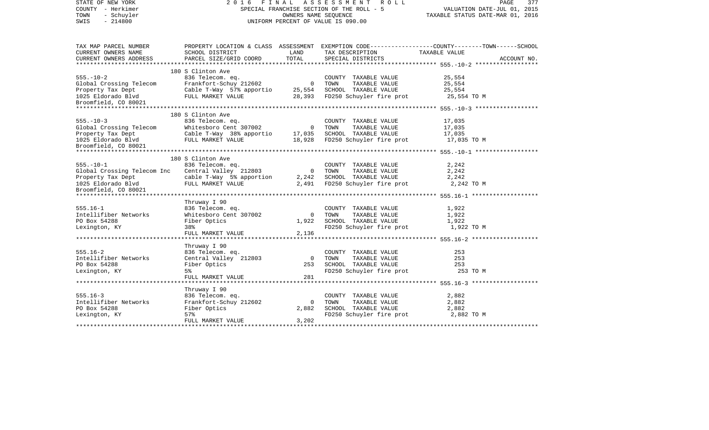| STATE OF NEW YORK<br>COUNTY - Herkimer<br>TOWN<br>- Schuyler<br>$-214800$<br>SWIS | 2016 FINAL ASSESSMENT ROLL<br>SPECIAL FRANCHISE SECTION OF THE ROLL - 5<br>UNIFORM PERCENT OF VALUE IS 090.00 | PAGE<br>377<br>VALUATION DATE-JUL 01, 2015<br>TAXABLE STATUS DATE-MAR 01, 2016 |                                                  |                                                                                                                 |
|-----------------------------------------------------------------------------------|---------------------------------------------------------------------------------------------------------------|--------------------------------------------------------------------------------|--------------------------------------------------|-----------------------------------------------------------------------------------------------------------------|
| TAX MAP PARCEL NUMBER<br>CURRENT OWNERS NAME                                      | SCHOOL DISTRICT                                                                                               | LAND                                                                           | TAX DESCRIPTION                                  | PROPERTY LOCATION & CLASS ASSESSMENT EXEMPTION CODE---------------COUNTY-------TOWN-----SCHOOL<br>TAXABLE VALUE |
| CURRENT OWNERS ADDRESS                                                            | PARCEL SIZE/GRID COORD                                                                                        | TOTAL                                                                          | SPECIAL DISTRICTS                                | ACCOUNT NO.                                                                                                     |
|                                                                                   | 180 S Clinton Ave                                                                                             |                                                                                |                                                  |                                                                                                                 |
| $555. - 10 - 2$                                                                   | 836 Telecom. eq.                                                                                              |                                                                                | COUNTY TAXABLE VALUE                             | 25,554                                                                                                          |
| Global Crossing Telecom                                                           | 836 Telecom. ey.<br>Frankfort-Schuy 212602                                                                    | 0 TOWN                                                                         | TAXABLE VALUE                                    | 25,554                                                                                                          |
| Property Tax Dept                                                                 | Cable T-Way $57\frac{2}{3}$ apportio 25,554                                                                   |                                                                                | SCHOOL TAXABLE VALUE                             | 25,554                                                                                                          |
| 1025 Eldorado Blvd                                                                | FULL MARKET VALUE                                                                                             |                                                                                | 28,393 FD250 Schuyler fire prot                  | 25,554 TO M                                                                                                     |
| Broomfield, CO 80021                                                              |                                                                                                               |                                                                                |                                                  |                                                                                                                 |
|                                                                                   |                                                                                                               |                                                                                |                                                  |                                                                                                                 |
| $555. - 10 - 3$                                                                   | 180 S Clinton Ave                                                                                             |                                                                                |                                                  |                                                                                                                 |
|                                                                                   | 836 Telecom. eq.<br>oso rerecom: eq.<br>Whitesboro Cent 307002                                                | 0 TOWN                                                                         | COUNTY TAXABLE VALUE<br>TAXABLE VALUE            | 17,035<br>17,035                                                                                                |
|                                                                                   | Cable T-Way 38% apportio 17,035                                                                               |                                                                                | SCHOOL TAXABLE VALUE                             | 17,035                                                                                                          |
| Slobal Crossing Telecom<br>Property Tax Dept<br>1025 Eldorado Blvd                | FULL MARKET VALUE                                                                                             |                                                                                | 18,928 FD250 Schuyler fire prot                  | 17,035 TO M                                                                                                     |
| 1025 Eldorado Blvd<br>Broomfield, CO 80021                                        |                                                                                                               |                                                                                |                                                  |                                                                                                                 |
|                                                                                   |                                                                                                               |                                                                                |                                                  |                                                                                                                 |
|                                                                                   | 180 S Clinton Ave                                                                                             |                                                                                |                                                  |                                                                                                                 |
| $555. - 10 - 1$                                                                   | 836 Telecom. eq.<br>Central Valley 212803                                                                     |                                                                                | COUNTY TAXABLE VALUE                             | 2,242                                                                                                           |
| Global Crossing Telecom Inc                                                       |                                                                                                               |                                                                                | 0 TOWN<br>TAXABLE VALUE                          | 2,242                                                                                                           |
| Property Tax Dept<br>1025 Fldorado Blvd                                           | cable T-Way 5% apportion 2,242                                                                                |                                                                                | SCHOOL TAXABLE VALUE                             | 2,242                                                                                                           |
| 1025 Eldorado Blvd<br>Broomfield, CO 80021                                        | FULL MARKET VALUE                                                                                             |                                                                                | 2,491 FD250 Schuyler fire prot                   | 2,242 TO M                                                                                                      |
|                                                                                   |                                                                                                               |                                                                                |                                                  |                                                                                                                 |
|                                                                                   | Thruway I 90                                                                                                  |                                                                                |                                                  |                                                                                                                 |
| $555.16 - 1$                                                                      | 836 Telecom. eq.                                                                                              |                                                                                | COUNTY TAXABLE VALUE                             | 1,922                                                                                                           |
| Intellifiber Networks                                                             | Whitesboro Cent 307002                                                                                        | $\overline{0}$                                                                 | TOWN<br>TAXABLE VALUE                            | 1,922                                                                                                           |
| PO Box 54288                                                                      | Fiber Optics                                                                                                  |                                                                                | 1,922 SCHOOL TAXABLE VALUE                       | 1,922                                                                                                           |
| Lexington, KY                                                                     | 38%                                                                                                           |                                                                                | FD250 Schuyler fire prot                         | 1,922 TO M                                                                                                      |
|                                                                                   | FULL MARKET VALUE                                                                                             | 2,136                                                                          |                                                  |                                                                                                                 |
|                                                                                   | Thruway I 90                                                                                                  |                                                                                |                                                  |                                                                                                                 |
| $555.16 - 2$                                                                      | 836 Telecom. eq.                                                                                              |                                                                                | COUNTY TAXABLE VALUE                             | 253                                                                                                             |
| Intellifiber Networks                                                             | Central Valley 212803                                                                                         | $\overline{0}$                                                                 | TOWN<br>TAXABLE VALUE                            | 253                                                                                                             |
| PO Box 54288                                                                      | Fiber Optics                                                                                                  | 253                                                                            | SCHOOL TAXABLE VALUE                             | 253                                                                                                             |
| Lexington, KY                                                                     | 5 <sup>8</sup>                                                                                                |                                                                                | FD250 Schuyler fire prot                         | 253 TO M                                                                                                        |
|                                                                                   | FULL MARKET VALUE                                                                                             | 281                                                                            |                                                  |                                                                                                                 |
|                                                                                   |                                                                                                               |                                                                                |                                                  |                                                                                                                 |
|                                                                                   | Thruway I 90                                                                                                  |                                                                                |                                                  |                                                                                                                 |
| $555.16 - 3$                                                                      | 836 Telecom. eq.                                                                                              |                                                                                | COUNTY TAXABLE VALUE                             | 2,882                                                                                                           |
| Intellifiber Networks                                                             | Frankfort-Schuy 212602                                                                                        | $\overline{0}$                                                                 | TOWN<br>TAXABLE VALUE                            | 2,882                                                                                                           |
| PO Box 54288                                                                      | Fiber Optics<br>57%                                                                                           | 2,882                                                                          | SCHOOL TAXABLE VALUE<br>FD250 Schuyler fire prot | 2,882<br>2,882 TO M                                                                                             |
| Lexington, KY                                                                     | FULL MARKET VALUE                                                                                             | 3,202                                                                          |                                                  |                                                                                                                 |
|                                                                                   |                                                                                                               |                                                                                |                                                  |                                                                                                                 |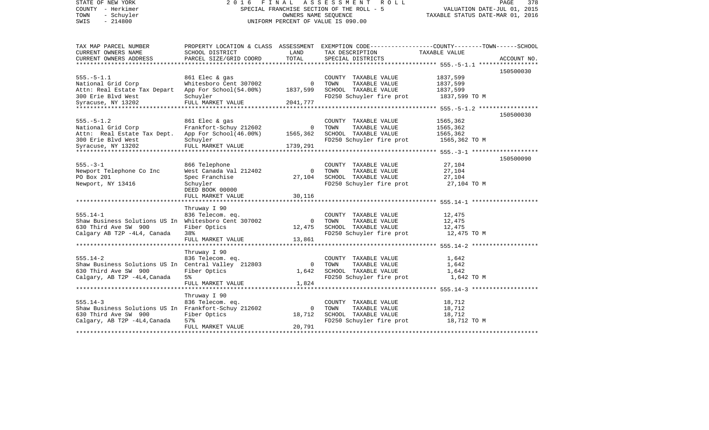| STATE OF NEW YORK<br>COUNTY - Herkimer               | 2016<br>FINAL<br>SPECIAL FRANCHISE SECTION OF THE ROLL - 5 | PAGE<br>378<br>VALUATION DATE-JUL 01, 2015<br>TAXABLE STATUS DATE-MAR 01, 2016 |                                                                                                  |                       |             |
|------------------------------------------------------|------------------------------------------------------------|--------------------------------------------------------------------------------|--------------------------------------------------------------------------------------------------|-----------------------|-------------|
| TOWN<br>- Schuyler<br>$-214800$<br>SWIS              |                                                            |                                                                                | OWNERS NAME SEQUENCE<br>UNIFORM PERCENT OF VALUE IS 090.00                                       |                       |             |
| TAX MAP PARCEL NUMBER                                |                                                            |                                                                                | PROPERTY LOCATION & CLASS ASSESSMENT EXEMPTION CODE----------------COUNTY-------TOWN------SCHOOL |                       |             |
| CURRENT OWNERS NAME                                  | SCHOOL DISTRICT                                            | LAND                                                                           | TAX DESCRIPTION                                                                                  | TAXABLE VALUE         |             |
| CURRENT OWNERS ADDRESS                               | PARCEL SIZE/GRID COORD                                     | TOTAL                                                                          | SPECIAL DISTRICTS                                                                                |                       | ACCOUNT NO. |
|                                                      |                                                            |                                                                                |                                                                                                  |                       |             |
|                                                      |                                                            |                                                                                |                                                                                                  |                       | 150500030   |
| $555. - 5 - 1.1$                                     | 861 Elec & gas                                             |                                                                                | COUNTY TAXABLE VALUE                                                                             | 1837,599              |             |
| National Grid Corp                                   | Whitesboro Cent 307002                                     | $\overline{0}$                                                                 | TOWN<br>TAXABLE VALUE                                                                            | 1837,599              |             |
| Attn: Real Estate Tax Depart App For School(54.00%)  |                                                            | 1837,599                                                                       | SCHOOL TAXABLE VALUE                                                                             | 1837,599              |             |
| 300 Erie Blvd West<br>Syracuse, NY 13202             | Schuyler<br>FULL MARKET VALUE                              | 2041,777                                                                       | FD250 Schuyler fire prot 1837,599 TO M                                                           |                       |             |
|                                                      |                                                            |                                                                                |                                                                                                  |                       |             |
|                                                      |                                                            |                                                                                |                                                                                                  |                       | 150500030   |
| $555. - 5 - 1.2$                                     | 861 Elec & gas                                             |                                                                                | COUNTY TAXABLE VALUE                                                                             | 1565,362              |             |
| National Grid Corp                                   | Frankfort-Schuy 212602                                     | $\overline{0}$                                                                 | TOWN<br>TAXABLE VALUE                                                                            | 1565,362              |             |
| Attn: Real Estate Tax Dept. App For School (46.00%)  |                                                            | 1565,362                                                                       | SCHOOL TAXABLE VALUE                                                                             | 1565,362              |             |
| 300 Erie Blvd West                                   | Schuyler                                                   |                                                                                | FD250 Schuyler fire prot                                                                         | 1565,362 TO M         |             |
| Syracuse, NY 13202                                   | FULL MARKET VALUE                                          | 1739,291                                                                       |                                                                                                  |                       |             |
|                                                      |                                                            |                                                                                |                                                                                                  |                       |             |
| $555. - 3 - 1$                                       |                                                            |                                                                                |                                                                                                  |                       | 150500090   |
|                                                      | 866 Telephone<br>West Canada Val 212402                    | $\Omega$                                                                       | COUNTY TAXABLE VALUE<br>TAXABLE VALUE<br>TOWN                                                    | 27,104<br>27,104      |             |
| Newport Telephone Co Inc<br>PO Box 201               | Spec Franchise                                             | 27,104                                                                         | SCHOOL TAXABLE VALUE                                                                             | 27,104                |             |
| Newport, NY 13416                                    | Schuyler                                                   |                                                                                | FD250 Schuyler fire prot                                                                         | 27,104 TO M           |             |
|                                                      | DEED BOOK 00000                                            |                                                                                |                                                                                                  |                       |             |
|                                                      | FULL MARKET VALUE                                          | 30,116                                                                         |                                                                                                  |                       |             |
|                                                      |                                                            |                                                                                |                                                                                                  |                       |             |
|                                                      | Thruway I 90                                               |                                                                                |                                                                                                  |                       |             |
| 555.14-1                                             | 836 Telecom. eq.                                           |                                                                                | COUNTY TAXABLE VALUE                                                                             | 12,475                |             |
| Shaw Business Solutions US In Whitesboro Cent 307002 |                                                            | $\overline{0}$                                                                 | TAXABLE VALUE<br>TOWN                                                                            | 12,475                |             |
| 630 Third Ave SW 900                                 | Fiber Optics                                               | 12,475                                                                         | SCHOOL TAXABLE VALUE                                                                             | 12,475                |             |
| Calgary AB T2P -4L4, Canada                          | 38%<br>FULL MARKET VALUE                                   | 13,861                                                                         | FD250 Schuyler fire prot                                                                         | 12,475 TO M           |             |
|                                                      |                                                            |                                                                                |                                                                                                  |                       |             |
|                                                      | Thruway I 90                                               |                                                                                |                                                                                                  |                       |             |
| $555.14 - 2$                                         | 836 Telecom. eq.                                           |                                                                                | COUNTY TAXABLE VALUE                                                                             | 1,642                 |             |
| Shaw Business Solutions US In Central Valley 212803  |                                                            | $\overline{0}$                                                                 | TOWN<br>TAXABLE VALUE                                                                            | 1,642                 |             |
| 630 Third Ave SW 900                                 | Fiber Optics                                               | 1,642                                                                          | SCHOOL TAXABLE VALUE                                                                             | 1,642                 |             |
| Calgary, AB T2P -4L4, Canada                         | 5 %                                                        |                                                                                | FD250 Schuyler fire prot                                                                         | 1,642 TO M            |             |
|                                                      | FULL MARKET VALUE                                          | 1,824                                                                          |                                                                                                  |                       |             |
|                                                      |                                                            |                                                                                |                                                                                                  |                       |             |
|                                                      | Thruway I 90                                               |                                                                                |                                                                                                  |                       |             |
| 555.14-3                                             | 836 Telecom. eq.                                           |                                                                                | COUNTY TAXABLE VALUE                                                                             | 18,712                |             |
| Shaw Business Solutions US In Frankfort-Schuy 212602 |                                                            | $\overline{0}$                                                                 | TOWN<br>TAXABLE VALUE                                                                            | 18,712                |             |
| 630 Third Ave SW 900<br>Calgary, AB T2P -4L4, Canada | Fiber Optics<br>57%                                        | 18,712                                                                         | SCHOOL TAXABLE VALUE<br>FD250 Schuyler fire prot                                                 | 18,712<br>18,712 TO M |             |
|                                                      | FULL MARKET VALUE                                          | 20,791                                                                         |                                                                                                  |                       |             |
|                                                      |                                                            |                                                                                |                                                                                                  |                       |             |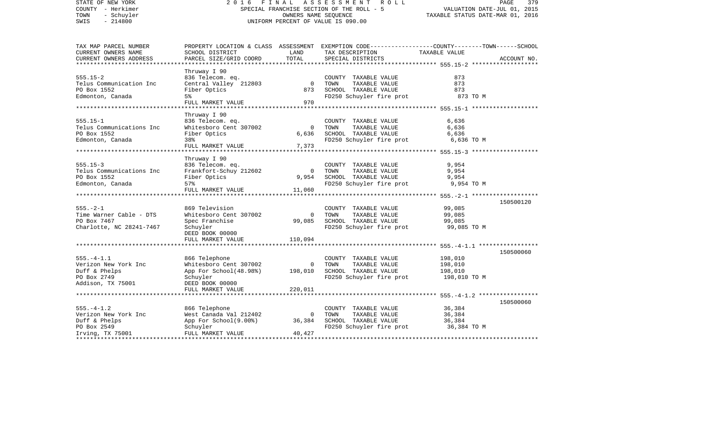| STATE OF NEW YORK                        | 2 0 1 6                                    | FINAL                              | A S S E S S M E N T<br>R O L L                | PAGE                                                                                           | 379         |  |  |  |
|------------------------------------------|--------------------------------------------|------------------------------------|-----------------------------------------------|------------------------------------------------------------------------------------------------|-------------|--|--|--|
| COUNTY - Herkimer                        | SPECIAL FRANCHISE SECTION OF THE ROLL - 5  | VALUATION DATE-JUL 01, 2015        |                                               |                                                                                                |             |  |  |  |
| TOWN<br>- Schuyler                       |                                            | TAXABLE STATUS DATE-MAR 01, 2016   |                                               |                                                                                                |             |  |  |  |
| SWIS<br>$-214800$                        |                                            | UNIFORM PERCENT OF VALUE IS 090.00 |                                               |                                                                                                |             |  |  |  |
| TAX MAP PARCEL NUMBER                    |                                            |                                    |                                               | PROPERTY LOCATION & CLASS ASSESSMENT EXEMPTION CODE---------------COUNTY-------TOWN-----SCHOOL |             |  |  |  |
| CURRENT OWNERS NAME                      | SCHOOL DISTRICT                            | LAND                               | TAX DESCRIPTION                               | TAXABLE VALUE                                                                                  |             |  |  |  |
| CURRENT OWNERS ADDRESS                   | PARCEL SIZE/GRID COORD                     | TOTAL                              | SPECIAL DISTRICTS                             |                                                                                                | ACCOUNT NO. |  |  |  |
| **************************               |                                            |                                    |                                               |                                                                                                |             |  |  |  |
|                                          | Thruway I 90                               |                                    |                                               |                                                                                                |             |  |  |  |
| $555.15 - 2$                             | 836 Telecom. eq.                           |                                    | COUNTY TAXABLE VALUE                          | 873                                                                                            |             |  |  |  |
| Telus Communication Inc                  | Central Valley 212803                      | $\overline{0}$                     | TOWN<br>TAXABLE VALUE                         | 873                                                                                            |             |  |  |  |
| PO Box 1552                              | Fiber Optics                               | 873                                | SCHOOL TAXABLE VALUE                          | 873                                                                                            |             |  |  |  |
| Edmonton, Canada                         | 5%                                         |                                    | FD250 Schuyler fire prot                      | 873 TO M                                                                                       |             |  |  |  |
|                                          | FULL MARKET VALUE                          | 970                                |                                               |                                                                                                |             |  |  |  |
|                                          |                                            |                                    |                                               |                                                                                                |             |  |  |  |
|                                          | Thruway I 90                               |                                    |                                               |                                                                                                |             |  |  |  |
| $555.15 - 1$<br>Telus Communications Inc | 836 Telecom. eq.<br>Whitesboro Cent 307002 | $\overline{0}$                     | COUNTY TAXABLE VALUE<br>TOWN<br>TAXABLE VALUE | 6,636<br>6,636                                                                                 |             |  |  |  |
| PO Box 1552                              | Fiber Optics                               | 6,636                              | SCHOOL TAXABLE VALUE                          | 6,636                                                                                          |             |  |  |  |
| Edmonton, Canada                         | 38%                                        |                                    | FD250 Schuyler fire prot                      | 6,636 TO M                                                                                     |             |  |  |  |
|                                          | FULL MARKET VALUE                          | 7,373                              |                                               |                                                                                                |             |  |  |  |
|                                          |                                            |                                    |                                               | ********************************* 555.15-3 *******************                                 |             |  |  |  |
|                                          | Thruway I 90                               |                                    |                                               |                                                                                                |             |  |  |  |
| $555.15 - 3$                             | 836 Telecom. eq.                           |                                    | COUNTY TAXABLE VALUE                          | 9,954                                                                                          |             |  |  |  |
| Telus Communications Inc                 | Frankfort-Schuy 212602                     | $\mathbf 0$                        | TAXABLE VALUE<br>TOWN                         | 9,954                                                                                          |             |  |  |  |
| PO Box 1552                              | Fiber Optics                               | 9,954                              | SCHOOL TAXABLE VALUE                          | 9,954                                                                                          |             |  |  |  |
| Edmonton, Canada                         | 57%                                        |                                    | FD250 Schuyler fire prot                      | 9,954 TO M                                                                                     |             |  |  |  |
|                                          | FULL MARKET VALUE                          | 11,060                             |                                               |                                                                                                |             |  |  |  |
|                                          |                                            |                                    |                                               |                                                                                                |             |  |  |  |
|                                          |                                            |                                    |                                               |                                                                                                | 150500120   |  |  |  |
| $555. - 2 - 1$                           | 869 Television                             |                                    | COUNTY TAXABLE VALUE                          | 99,085                                                                                         |             |  |  |  |
| Time Warner Cable - DTS                  | Whitesboro Cent 307002                     | $\Omega$                           | TAXABLE VALUE<br>TOWN                         | 99,085                                                                                         |             |  |  |  |
| PO Box 7467                              | Spec Franchise                             | 99,085                             | SCHOOL TAXABLE VALUE                          | 99,085                                                                                         |             |  |  |  |
| Charlotte, NC 28241-7467                 | Schuyler                                   |                                    | FD250 Schuyler fire prot                      | 99,085 TO M                                                                                    |             |  |  |  |
|                                          | DEED BOOK 00000                            |                                    |                                               |                                                                                                |             |  |  |  |
|                                          | FULL MARKET VALUE                          | 110,094                            |                                               |                                                                                                |             |  |  |  |
|                                          |                                            |                                    |                                               |                                                                                                | 150500060   |  |  |  |
| $555. - 4 - 1.1$                         | 866 Telephone                              |                                    | COUNTY TAXABLE VALUE                          | 198,010                                                                                        |             |  |  |  |
| Verizon New York Inc                     | Whitesboro Cent 307002                     | $\mathbf 0$                        | TOWN<br>TAXABLE VALUE                         | 198,010                                                                                        |             |  |  |  |
| Duff & Phelps                            | App For School(48.98%)                     | 198,010                            | SCHOOL TAXABLE VALUE                          | 198,010                                                                                        |             |  |  |  |
| PO Box 2749                              | Schuyler                                   |                                    | FD250 Schuyler fire prot                      | 198,010 TO M                                                                                   |             |  |  |  |
| Addison, TX 75001                        | DEED BOOK 00000                            |                                    |                                               |                                                                                                |             |  |  |  |
|                                          | FULL MARKET VALUE                          | 220,011                            |                                               |                                                                                                |             |  |  |  |
|                                          |                                            |                                    |                                               |                                                                                                |             |  |  |  |
|                                          |                                            |                                    |                                               |                                                                                                | 150500060   |  |  |  |
| $555. - 4 - 1.2$                         | 866 Telephone                              |                                    | COUNTY TAXABLE VALUE                          | 36,384                                                                                         |             |  |  |  |
| Verizon New York Inc                     | West Canada Val 212402                     | $\mathbf 0$                        | TAXABLE VALUE<br>TOWN                         | 36,384                                                                                         |             |  |  |  |
| Duff & Phelps                            | App For School(9.00%)                      | 36,384                             | SCHOOL TAXABLE VALUE                          | 36,384                                                                                         |             |  |  |  |
| PO Box 2549                              | Schuyler                                   |                                    | FD250 Schuyler fire prot                      | 36,384 TO M                                                                                    |             |  |  |  |
| Irving, TX 75001                         | FULL MARKET VALUE                          | 40,427                             |                                               |                                                                                                |             |  |  |  |
|                                          |                                            |                                    |                                               | **************************                                                                     |             |  |  |  |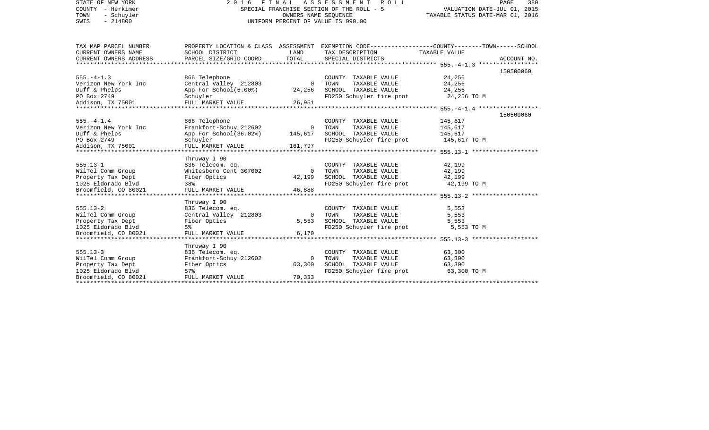| STATE OF NEW YORK<br>COUNTY - Herkimer<br>TOWN<br>- Schuyler<br>$-214800$<br>SWIS                    | 2016 FINAL ASSESSMENT<br>SPECIAL FRANCHISE SECTION OF THE ROLL - 5<br>UNIFORM PERCENT OF VALUE IS 090.00 | PAGE<br>380<br>VALUATION DATE-JUL 01, 2015<br>TAXABLE STATUS DATE-MAR 01, 2016 |                                                                                                               |                                                                                                                                 |
|------------------------------------------------------------------------------------------------------|----------------------------------------------------------------------------------------------------------|--------------------------------------------------------------------------------|---------------------------------------------------------------------------------------------------------------|---------------------------------------------------------------------------------------------------------------------------------|
| TAX MAP PARCEL NUMBER<br>CURRENT OWNERS NAME<br>CURRENT OWNERS ADDRESS                               | SCHOOL DISTRICT<br>PARCEL SIZE/GRID COORD                                                                | LAND<br>TOTAL                                                                  | TAX DESCRIPTION<br>SPECIAL DISTRICTS                                                                          | PROPERTY LOCATION & CLASS ASSESSMENT EXEMPTION CODE---------------COUNTY-------TOWN------SCHOOL<br>TAXABLE VALUE<br>ACCOUNT NO. |
|                                                                                                      |                                                                                                          |                                                                                |                                                                                                               | 150500060                                                                                                                       |
| $555. - 4 - 1.3$<br>Verizon New York Inc<br>Duff & Phelps<br>PO Box 2749<br>Addison, TX 75001        | 866 Telephone<br>Central Valley 212803<br>App For School(6.00%)<br>Schuyler<br>FULL MARKET VALUE         | $\overline{0}$<br>24,256<br>26,951                                             | COUNTY TAXABLE VALUE<br>TOWN<br>TAXABLE VALUE<br>SCHOOL TAXABLE VALUE<br>FD250 Schuyler fire prot 24,256 TO M | 24,256<br>24,256<br>24,256                                                                                                      |
|                                                                                                      |                                                                                                          |                                                                                |                                                                                                               |                                                                                                                                 |
| $555. - 4 - 1.4$<br>Verizon New York Inc<br>Duff & Phelps                                            | 866 Telephone<br>Frankfort-Schuy 212602<br>App For School(36.02%)                                        | $\overline{0}$<br>145,617                                                      | COUNTY TAXABLE VALUE<br>TAXABLE VALUE<br>TOWN<br>SCHOOL TAXABLE VALUE                                         | 150500060<br>145,617<br>145,617<br>145,617                                                                                      |
| PO Box 2749                                                                                          | Schuyler                                                                                                 |                                                                                | FD250 Schuyler fire prot                                                                                      | 145,617 TO M                                                                                                                    |
| Addison, TX 75001                                                                                    | FULL MARKET VALUE                                                                                        | 161,797                                                                        |                                                                                                               |                                                                                                                                 |
| $555.13 - 1$<br>WilTel Comm Group<br>Property Tax Dept<br>1025 Eldorado Blvd<br>Broomfield, CO 80021 | Thruway I 90<br>836 Telecom. eq.<br>Whitesboro Cent 307002<br>Fiber Optics<br>38%<br>FULL MARKET VALUE   | $\overline{0}$<br>42,199<br>46,888                                             | COUNTY TAXABLE VALUE<br>TOWN<br>TAXABLE VALUE<br>SCHOOL TAXABLE VALUE<br>FD250 Schuyler fire prot             | 42,199<br>42,199<br>42,199<br>42,199 TO M                                                                                       |
|                                                                                                      | Thruway I 90                                                                                             |                                                                                |                                                                                                               |                                                                                                                                 |
| $555.13 - 2$<br>WilTel Comm Group<br>Property Tax Dept<br>1025 Eldorado Blvd                         | 836 Telecom. eq.<br>Central Valley 212803<br>Fiber Optics<br>5%                                          | $\Omega$<br>5,553                                                              | COUNTY TAXABLE VALUE<br>TOWN<br>TAXABLE VALUE<br>SCHOOL TAXABLE VALUE<br>FD250 Schuyler fire prot             | 5,553<br>5,553<br>5,553<br>5,553 TO M                                                                                           |
| Broomfield, CO 80021                                                                                 | FULL MARKET VALUE                                                                                        | 6,170                                                                          |                                                                                                               |                                                                                                                                 |
| $555.13 - 3$<br>WilTel Comm Group<br>Property Tax Dept                                               | Thruway I 90<br>836 Telecom. eq.<br>Frankfort-Schuy 212602<br>Fiber Optics                               | $\overline{0}$<br>63,300                                                       | COUNTY TAXABLE VALUE<br>TOWN<br>TAXABLE VALUE<br>SCHOOL TAXABLE VALUE                                         | 63,300<br>63,300<br>63,300                                                                                                      |
| 1025 Eldorado Blvd<br>Broomfield, CO 80021                                                           | 57%<br>FULL MARKET VALUE                                                                                 | 70,333                                                                         | FD250 Schuyler fire prot 63,300 TO M                                                                          |                                                                                                                                 |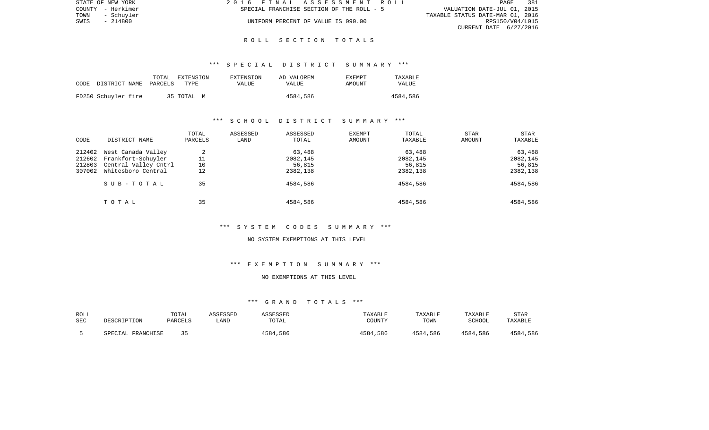| STATE OF NEW YORK  | 2016 FINAL ASSESSMENT ROLL                | 381<br><b>PAGE</b>               |
|--------------------|-------------------------------------------|----------------------------------|
| COUNTY - Herkimer  | SPECIAL FRANCHISE SECTION OF THE ROLL - 5 | VALUATION DATE-JUL 01, 2015      |
| TOWN<br>- Schuvler |                                           | TAXABLE STATUS DATE-MAR 01, 2016 |
| - 214800<br>SWIS   | UNIFORM PERCENT OF VALUE IS 090.00        | RPS150/V04/L015                  |
|                    |                                           | CURRENT DATE 6/27/2016           |

## \*\*\* S P E C I A L D I S T R I C T S U M M A R Y \*\*\*

| CODE | DISTRICT NAME PARCELS | TOTAL | EXTENSION<br>TYPE | EXTENSION<br>VALUE | AD VALOREM<br>VALUE | EXEMPT<br>AMOUNT | TAXABLE<br>VALUE |
|------|-----------------------|-------|-------------------|--------------------|---------------------|------------------|------------------|
|      | FD250 Schuyler fire   |       | 35 TOTAL M        |                    | 4584,586            |                  | 4584,586         |

# \*\*\* S C H O O L D I S T R I C T S U M M A R Y \*\*\*

| CODE                                 | DISTRICT NAME                                                                          | TOTAL<br>PARCELS    | ASSESSED<br>LAND | ASSESSED<br>TOTAL                        | EXEMPT<br>AMOUNT | TOTAL<br>TAXABLE                         | <b>STAR</b><br>AMOUNT | <b>STAR</b><br>TAXABLE                   |
|--------------------------------------|----------------------------------------------------------------------------------------|---------------------|------------------|------------------------------------------|------------------|------------------------------------------|-----------------------|------------------------------------------|
| 212402<br>212602<br>212803<br>307002 | West Canada Valley<br>Frankfort-Schuyler<br>Central Valley Cntrl<br>Whitesboro Central | 2<br>11<br>10<br>12 |                  | 63,488<br>2082,145<br>56,815<br>2382,138 |                  | 63,488<br>2082,145<br>56,815<br>2382,138 |                       | 63,488<br>2082,145<br>56,815<br>2382,138 |
|                                      | SUB-TOTAL                                                                              | 35                  |                  | 4584,586                                 |                  | 4584,586                                 |                       | 4584,586                                 |
|                                      | TOTAL                                                                                  | 35                  |                  | 4584,586                                 |                  | 4584,586                                 |                       | 4584,586                                 |

\*\*\* S Y S T E M C O D E S S U M M A R Y \*\*\*

#### NO SYSTEM EXEMPTIONS AT THIS LEVEL

# \*\*\* E X E M P T I O N S U M M A R Y \*\*\*

## NO EXEMPTIONS AT THIS LEVEL

| ROLL<br>SEC | DESCRIPTION       | TOTAL<br>PARCELS | ASSESSED<br>∟AND | ASSESSED<br>TOTAL | TAXABLE<br>COUNTY | TAXABLE<br>TOWN | TAXABLE<br>SCHOOL | <b>STAR</b><br>TAXABLE |
|-------------|-------------------|------------------|------------------|-------------------|-------------------|-----------------|-------------------|------------------------|
|             | SPECIAL FRANCHISE |                  |                  | 4584,586          | 4584,586          | 4584,586        | 4584,586          | 4584,586               |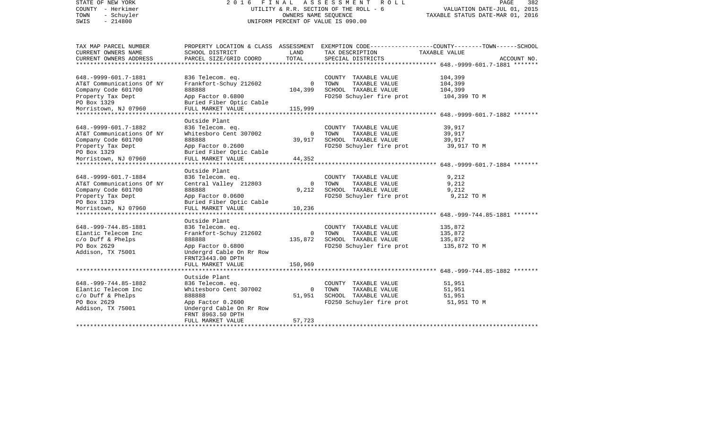| STATE OF NEW YORK<br>COUNTY - Herkimer<br>TOWN<br>- Schuyler<br>$-214800$<br>SWIS                                                                                       | 2016 FINAL ASSESSMENT ROLL<br>UTILITY & R.R. SECTION OF THE ROLL - 6<br>UNIFORM PERCENT OF VALUE IS 090.00                                                                                        | PAGE<br>382<br>VALUATION DATE-JUL 01, 2015<br>TAXABLE STATUS DATE-MAR 01, 2016 |                                                                                                   |                                                                                                                                  |
|-------------------------------------------------------------------------------------------------------------------------------------------------------------------------|---------------------------------------------------------------------------------------------------------------------------------------------------------------------------------------------------|--------------------------------------------------------------------------------|---------------------------------------------------------------------------------------------------|----------------------------------------------------------------------------------------------------------------------------------|
| TAX MAP PARCEL NUMBER<br>CURRENT OWNERS NAME<br>CURRENT OWNERS ADDRESS<br>*******************                                                                           | SCHOOL DISTRICT<br>PARCEL SIZE/GRID COORD                                                                                                                                                         | LAND<br>TOTAL                                                                  | TAX DESCRIPTION<br>SPECIAL DISTRICTS                                                              | PROPERTY LOCATION & CLASS ASSESSMENT EXEMPTION CODE---------------COUNTY-------TOWN------SCHOOL<br>TAXABLE VALUE<br>ACCOUNT NO.  |
| 648. - 9999 - 601. 7 - 1881<br>AT&T Communications Of NY<br>Company Code 601700<br>Property Tax Dept<br>PO Box 1329<br>Morristown, NJ 07960<br>***********************  | 836 Telecom. eq.<br>Frankfort-Schuy 212602<br>888888<br>App Factor 0.6800<br>Buried Fiber Optic Cable<br>FULL MARKET VALUE                                                                        | $\mathbf 0$<br>104,399<br>115,999                                              | COUNTY TAXABLE VALUE<br>TOWN<br>TAXABLE VALUE<br>SCHOOL TAXABLE VALUE<br>FD250 Schuyler fire prot | 104,399<br>104,399<br>104,399<br>104,399 TO M                                                                                    |
| 648. - 9999 - 601. 7 - 1882<br>AT&T Communications Of NY<br>Company Code 601700<br>Property Tax Dept<br>PO Box 1329<br>Morristown, NJ 07960<br>************************ | Outside Plant<br>836 Telecom. eq.<br>Whitesboro Cent 307002<br>888888<br>App Factor 0.2600<br>Buried Fiber Optic Cable<br>FULL MARKET VALUE<br>***************************                        | 0<br>39,917<br>44,352                                                          | COUNTY TAXABLE VALUE<br>TAXABLE VALUE<br>TOWN<br>SCHOOL TAXABLE VALUE<br>FD250 Schuyler fire prot | 39,917<br>39,917<br>39,917<br>39,917 TO M                                                                                        |
| 648. - 9999 - 601. 7 - 1884<br>AT&T Communications Of NY<br>Company Code 601700<br>Property Tax Dept<br>PO Box 1329<br>Morristown, NJ 07960                             | Outside Plant<br>836 Telecom. eq.<br>Central Valley 212803<br>888888<br>App Factor 0.0600<br>Buried Fiber Optic Cable<br>FULL MARKET VALUE                                                        | $\mathbf 0$<br>9,212<br>10,236                                                 | COUNTY TAXABLE VALUE<br>TOWN<br>TAXABLE VALUE<br>SCHOOL TAXABLE VALUE<br>FD250 Schuyler fire prot | 9,212<br>9,212<br>9,212<br>9,212 TO M                                                                                            |
| 648. - 999 - 744. 85 - 1881<br>Elantic Telecom Inc<br>$c/O$ Duff & Phelps<br>PO Box 2629<br>Addison, TX 75001                                                           | * * * * * * * * * * * * * * *<br>Outside Plant<br>836 Telecom. eq.<br>Frankfort-Schuy 212602<br>888888<br>App Factor 0.6800<br>Undergrd Cable On Rr Row<br>FRNT23443.00 DPTH<br>FULL MARKET VALUE | $\mathbf{0}$<br>135,872<br>150,969                                             | COUNTY TAXABLE VALUE<br>TOWN<br>TAXABLE VALUE<br>SCHOOL TAXABLE VALUE<br>FD250 Schuyler fire prot | ******************** 648.-999-744.85-1881 *******<br>135,872<br>135,872<br>135,872<br>135,872 TO M                               |
| 648. - 999 - 744. 85 - 1882<br>Elantic Telecom Inc<br>$c/o$ Duff & Phelps<br>PO Box 2629<br>Addison, TX 75001                                                           | ********************<br>Outside Plant<br>836 Telecom. eq.<br>Whitesboro Cent 307002<br>888888<br>App Factor 0.2600<br>Undergrd Cable On Rr Row<br>FRNT 8963.50 DPTH<br>FULL MARKET VALUE          | $\mathbf{0}$<br>51,951<br>57,723                                               | COUNTY TAXABLE VALUE<br>TOWN<br>TAXABLE VALUE<br>SCHOOL TAXABLE VALUE<br>FD250 Schuyler fire prot | *******************************    648.-999-744.85-1882                     *******<br>51,951<br>51,951<br>51,951<br>51,951 TO M |
|                                                                                                                                                                         |                                                                                                                                                                                                   |                                                                                |                                                                                                   |                                                                                                                                  |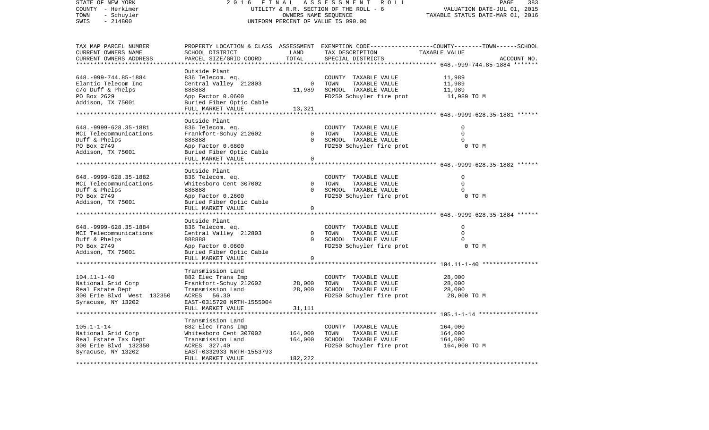| STATE OF NEW YORK<br>COUNTY - Herkimer | 2016<br>FINAL<br>UTILITY & R.R. SECTION OF THE ROLL - 6 | PAGE<br>383<br>VALUATION DATE-JUL 01, 2015 |                                               |                                                                                                  |
|----------------------------------------|---------------------------------------------------------|--------------------------------------------|-----------------------------------------------|--------------------------------------------------------------------------------------------------|
| TOWN<br>- Schuyler                     |                                                         | TAXABLE STATUS DATE-MAR 01, 2016           |                                               |                                                                                                  |
| $-214800$<br>SWIS                      |                                                         |                                            | UNIFORM PERCENT OF VALUE IS 090.00            |                                                                                                  |
|                                        |                                                         |                                            |                                               |                                                                                                  |
| TAX MAP PARCEL NUMBER                  |                                                         |                                            |                                               | PROPERTY LOCATION & CLASS ASSESSMENT EXEMPTION CODE----------------COUNTY-------TOWN------SCHOOL |
| CURRENT OWNERS NAME                    | SCHOOL DISTRICT                                         | LAND                                       | TAX DESCRIPTION                               | TAXABLE VALUE                                                                                    |
| CURRENT OWNERS ADDRESS                 | PARCEL SIZE/GRID COORD                                  | TOTAL<br>*******                           | SPECIAL DISTRICTS                             | ACCOUNT NO.                                                                                      |
|                                        | Outside Plant                                           |                                            |                                               | ********* 648.-999-744.85-1884 *******                                                           |
| 648. - 999 - 744. 85 - 1884            | 836 Telecom. eq.                                        |                                            | COUNTY TAXABLE VALUE                          | 11,989                                                                                           |
| Elantic Telecom Inc                    | Central Valley 212803                                   | $\mathbf 0$                                | TOWN<br>TAXABLE VALUE                         | 11,989                                                                                           |
| $c/O$ Duff & Phelps                    | 888888                                                  | 11,989                                     | SCHOOL TAXABLE VALUE                          | 11,989                                                                                           |
| PO Box 2629                            | App Factor 0.0600                                       |                                            | FD250 Schuyler fire prot                      | 11,989 TO M                                                                                      |
| Addison, TX 75001                      | Buried Fiber Optic Cable                                |                                            |                                               |                                                                                                  |
|                                        | FULL MARKET VALUE                                       | 13,321                                     |                                               |                                                                                                  |
|                                        |                                                         |                                            |                                               | ********************** 648.-9999-628.35-1881 ******                                              |
|                                        | Outside Plant                                           |                                            |                                               |                                                                                                  |
| 648. - 9999 - 628. 35 - 1881           | 836 Telecom. eq.                                        |                                            | COUNTY TAXABLE VALUE                          | 0                                                                                                |
| MCI Telecommunications                 | Frankfort-Schuy 212602                                  | $\mathbf 0$                                | TOWN<br>TAXABLE VALUE                         | $\mathbf 0$                                                                                      |
| Duff & Phelps                          | 888888                                                  | $\Omega$                                   | SCHOOL TAXABLE VALUE                          | $\Omega$                                                                                         |
| PO Box 2749                            | App Factor 0.6800                                       |                                            | FD250 Schuyler fire prot                      | 0 TO M                                                                                           |
| Addison, TX 75001                      | Buried Fiber Optic Cable                                |                                            |                                               |                                                                                                  |
|                                        | FULL MARKET VALUE                                       | $\Omega$                                   |                                               |                                                                                                  |
| *****************************          |                                                         |                                            |                                               |                                                                                                  |
|                                        | Outside Plant                                           |                                            |                                               |                                                                                                  |
| 648. - 9999 - 628. 35 - 1882           | 836 Telecom. eq.                                        | $\Omega$                                   | COUNTY TAXABLE VALUE                          | $\mathbf 0$<br>$\Omega$                                                                          |
| MCI Telecommunications                 | Whitesboro Cent 307002<br>888888                        | $\Omega$                                   | TOWN<br>TAXABLE VALUE<br>SCHOOL TAXABLE VALUE | $\Omega$                                                                                         |
| Duff & Phelps<br>PO Box 2749           | App Factor 0.2600                                       |                                            | FD250 Schuyler fire prot                      | 0 TO M                                                                                           |
| Addison, TX 75001                      | Buried Fiber Optic Cable                                |                                            |                                               |                                                                                                  |
|                                        | FULL MARKET VALUE                                       | $\mathbf 0$                                |                                               |                                                                                                  |
|                                        |                                                         |                                            |                                               |                                                                                                  |
|                                        | Outside Plant                                           |                                            |                                               |                                                                                                  |
| 648. - 9999 - 628. 35 - 1884           | 836 Telecom. eq.                                        |                                            | COUNTY TAXABLE VALUE                          | $\mathbf 0$                                                                                      |
| MCI Telecommunications                 | Central Valley 212803                                   | $\Omega$                                   | TOWN<br>TAXABLE VALUE                         | $\Omega$                                                                                         |
| Duff & Phelps                          | 888888                                                  | $\Omega$                                   | SCHOOL TAXABLE VALUE                          | 0                                                                                                |
| PO Box 2749                            | App Factor 0.0600                                       |                                            | FD250 Schuyler fire prot                      | 0 TO M                                                                                           |
| Addison, TX 75001                      | Buried Fiber Optic Cable                                |                                            |                                               |                                                                                                  |
|                                        | FULL MARKET VALUE<br>***********************            | $\mathbf 0$                                |                                               |                                                                                                  |
|                                        |                                                         |                                            |                                               |                                                                                                  |
| $104.11 - 1 - 40$                      | Transmission Land<br>882 Elec Trans Imp                 |                                            |                                               | 28,000                                                                                           |
| National Grid Corp                     | Frankfort-Schuy 212602                                  | 28,000                                     | COUNTY TAXABLE VALUE<br>TOWN<br>TAXABLE VALUE | 28,000                                                                                           |
| Real Estate Dept                       | Tramsmission Land                                       | 28,000                                     | SCHOOL TAXABLE VALUE                          | 28,000                                                                                           |
| 300 Erie Blvd West 132350              | ACRES<br>56.30                                          |                                            | FD250 Schuyler fire prot                      | 28,000 TO M                                                                                      |
| Syracuse, NY 13202                     | EAST-0315720 NRTH-1555004                               |                                            |                                               |                                                                                                  |
|                                        | FULL MARKET VALUE                                       | 31,111                                     |                                               |                                                                                                  |
|                                        |                                                         |                                            |                                               | ********** 105.1-1-14 ***                                                                        |
|                                        | Transmission Land                                       |                                            |                                               |                                                                                                  |
| $105.1 - 1 - 14$                       | 882 Elec Trans Imp                                      |                                            | COUNTY TAXABLE VALUE                          | 164,000                                                                                          |
| National Grid Corp                     | Whitesboro Cent 307002                                  | 164,000                                    | TOWN<br>TAXABLE VALUE                         | 164,000                                                                                          |
| Real Estate Tax Dept                   | Transmission Land                                       | 164,000                                    | SCHOOL TAXABLE VALUE                          | 164,000                                                                                          |
| 300 Erie Blvd 132350                   | ACRES 327.40                                            |                                            | FD250 Schuyler fire prot                      | 164,000 TO M                                                                                     |
| Syracuse, NY 13202                     | EAST-0332933 NRTH-1553793                               |                                            |                                               |                                                                                                  |
|                                        | FULL MARKET VALUE                                       | 182,222                                    |                                               |                                                                                                  |
|                                        |                                                         |                                            |                                               |                                                                                                  |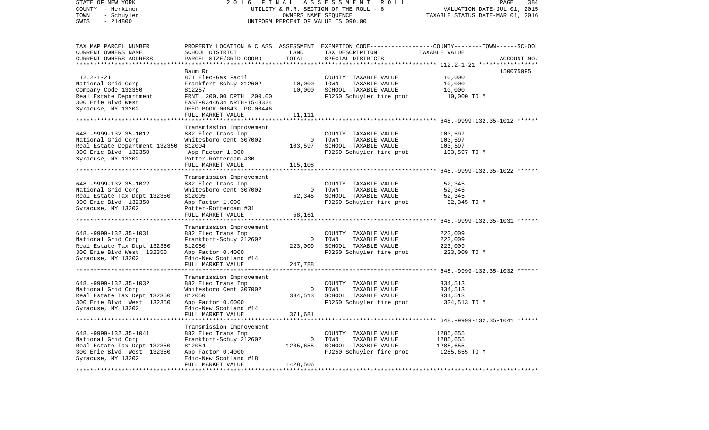| STATE OF NEW YORK<br>COUNTY - Herkimer<br>TOWN<br>- Schuyler<br>$-214800$<br>SWIS | 2016 FINAL ASSESSMENT ROLL<br>UTILITY & R.R. SECTION OF THE ROLL - 6<br>UNIFORM PERCENT OF VALUE IS 090.00 | 384<br>PAGE<br>VALUATION DATE-JUL 01, 2015<br>TAXABLE STATUS DATE-MAR 01, 2016 |                                                                                                  |               |             |
|-----------------------------------------------------------------------------------|------------------------------------------------------------------------------------------------------------|--------------------------------------------------------------------------------|--------------------------------------------------------------------------------------------------|---------------|-------------|
| TAX MAP PARCEL NUMBER                                                             |                                                                                                            |                                                                                | PROPERTY LOCATION & CLASS ASSESSMENT EXEMPTION CODE----------------COUNTY-------TOWN------SCHOOL |               |             |
| CURRENT OWNERS NAME                                                               | SCHOOL DISTRICT                                                                                            | LAND                                                                           | TAX DESCRIPTION                                                                                  | TAXABLE VALUE |             |
| CURRENT OWNERS ADDRESS<br>************************                                | PARCEL SIZE/GRID COORD                                                                                     | TOTAL                                                                          | SPECIAL DISTRICTS                                                                                |               | ACCOUNT NO. |
|                                                                                   |                                                                                                            |                                                                                |                                                                                                  |               |             |
| $112.2 - 1 - 21$                                                                  | Baum Rd<br>871 Elec-Gas Facil                                                                              |                                                                                | COUNTY TAXABLE VALUE                                                                             | 10,000        | 150075095   |
| National Grid Corp                                                                | Frankfort-Schuy 212602                                                                                     | 10,000                                                                         | TOWN<br>TAXABLE VALUE                                                                            | 10,000        |             |
| Company Code 132350                                                               | 812257                                                                                                     | 10,000                                                                         | SCHOOL TAXABLE VALUE                                                                             | 10,000        |             |
| Real Estate Department                                                            | FRNT 200.00 DPTH 200.00                                                                                    |                                                                                | FD250 Schuyler fire prot                                                                         | 10,000 TO M   |             |
| 300 Erie Blvd West                                                                | EAST-0344634 NRTH-1543324                                                                                  |                                                                                |                                                                                                  |               |             |
| Syracuse, NY 13202                                                                | DEED BOOK 00643 PG-00446                                                                                   |                                                                                |                                                                                                  |               |             |
|                                                                                   | FULL MARKET VALUE                                                                                          | 11,111                                                                         |                                                                                                  |               |             |
|                                                                                   |                                                                                                            |                                                                                |                                                                                                  |               |             |
|                                                                                   | Transmission Improvement                                                                                   |                                                                                |                                                                                                  |               |             |
| 648. - 9999 - 132. 35 - 1012                                                      | 882 Elec Trans Imp                                                                                         |                                                                                | COUNTY TAXABLE VALUE                                                                             | 103,597       |             |
| National Grid Corp                                                                | Whitesboro Cent 307002                                                                                     | $\mathbf{0}$                                                                   | TAXABLE VALUE<br>TOWN                                                                            | 103,597       |             |
| Real Estate Department 132350                                                     | 812004                                                                                                     | 103,597                                                                        | SCHOOL TAXABLE VALUE                                                                             | 103,597       |             |
| 300 Erie Blvd 132350                                                              | App Factor 1.000                                                                                           |                                                                                | FD250 Schuyler fire prot                                                                         | 103,597 TO M  |             |
| Syracuse, NY 13202                                                                | Potter-Rotterdam #30                                                                                       |                                                                                |                                                                                                  |               |             |
|                                                                                   | FULL MARKET VALUE                                                                                          | 115,108                                                                        |                                                                                                  |               |             |
|                                                                                   |                                                                                                            |                                                                                |                                                                                                  |               |             |
| 648. - 9999 - 132. 35 - 1022                                                      | Tramsmission Improvement<br>882 Elec Trans Imp                                                             |                                                                                | COUNTY TAXABLE VALUE                                                                             | 52,345        |             |
| National Grid Corp                                                                | Whitesboro Cent 307002                                                                                     | $\mathbf{0}$                                                                   | TAXABLE VALUE<br>TOWN                                                                            | 52,345        |             |
| Real Estate Tax Dept 132350                                                       | 812005                                                                                                     | 52,345                                                                         | SCHOOL TAXABLE VALUE                                                                             | 52,345        |             |
| 300 Erie Blvd 132350                                                              | App Factor 1.000                                                                                           |                                                                                | FD250 Schuyler fire prot                                                                         | 52,345 TO M   |             |
| Syracuse, NY 13202                                                                | Potter-Rotterdam #31                                                                                       |                                                                                |                                                                                                  |               |             |
|                                                                                   | FULL MARKET VALUE                                                                                          | 58,161                                                                         |                                                                                                  |               |             |
|                                                                                   |                                                                                                            |                                                                                |                                                                                                  |               |             |
|                                                                                   | Transmission Improvement                                                                                   |                                                                                |                                                                                                  |               |             |
| 648. - 9999 - 132. 35 - 1031                                                      | 882 Elec Trans Imp                                                                                         |                                                                                | COUNTY TAXABLE VALUE                                                                             | 223,009       |             |
| National Grid Corp                                                                | Frankfort-Schuy 212602                                                                                     | $\overline{0}$                                                                 | TOWN<br>TAXABLE VALUE                                                                            | 223,009       |             |
| Real Estate Tax Dept 132350                                                       | 812050                                                                                                     | 223,009                                                                        | SCHOOL TAXABLE VALUE                                                                             | 223,009       |             |
| 300 Erie Blvd West 132350                                                         | App Factor 0.4000                                                                                          |                                                                                | FD250 Schuyler fire prot                                                                         | 223,009 TO M  |             |
| Syracuse, NY 13202                                                                | Edic-New Scotland #14                                                                                      |                                                                                |                                                                                                  |               |             |
| ***************************                                                       | FULL MARKET VALUE                                                                                          | 247,788                                                                        |                                                                                                  |               |             |
|                                                                                   | Transmission Improvement                                                                                   |                                                                                |                                                                                                  |               |             |
| 648. - 9999 - 132. 35 - 1032                                                      | 882 Elec Trans Imp                                                                                         |                                                                                | COUNTY TAXABLE VALUE                                                                             | 334,513       |             |
| National Grid Corp                                                                | Whitesboro Cent 307002                                                                                     | $\overline{0}$                                                                 | TAXABLE VALUE<br>TOWN                                                                            | 334,513       |             |
| Real Estate Tax Dept 132350                                                       | 812050                                                                                                     | 334,513                                                                        | SCHOOL TAXABLE VALUE                                                                             | 334,513       |             |
| 300 Erie Blvd West 132350                                                         | App Factor 0.6000                                                                                          |                                                                                | FD250 Schuyler fire prot                                                                         | 334,513 TO M  |             |
| Syracuse, NY 13202                                                                | Edic-New Scotland #14                                                                                      |                                                                                |                                                                                                  |               |             |
|                                                                                   | FULL MARKET VALUE                                                                                          | 371,681                                                                        |                                                                                                  |               |             |
|                                                                                   |                                                                                                            |                                                                                |                                                                                                  |               |             |
|                                                                                   | Transmission Improvement                                                                                   |                                                                                |                                                                                                  |               |             |
| 648. - 9999 - 132. 35 - 1041                                                      | 882 Elec Trans Imp                                                                                         |                                                                                | COUNTY TAXABLE VALUE                                                                             | 1285,655      |             |
| National Grid Corp                                                                | Frankfort-Schuy 212602                                                                                     | $\circ$                                                                        | TAXABLE VALUE<br>TOWN                                                                            | 1285,655      |             |
| Real Estate Tax Dept 132350                                                       | 812054                                                                                                     | 1285,655                                                                       | SCHOOL TAXABLE VALUE                                                                             | 1285,655      |             |
| 300 Erie Blvd West 132350                                                         | App Factor 0.4000                                                                                          |                                                                                | FD250 Schuyler fire prot                                                                         | 1285,655 TO M |             |
| Syracuse, NY 13202                                                                | Edic-New Scotland #18<br>FULL MARKET VALUE                                                                 | 1428,506                                                                       |                                                                                                  |               |             |
|                                                                                   |                                                                                                            |                                                                                |                                                                                                  |               |             |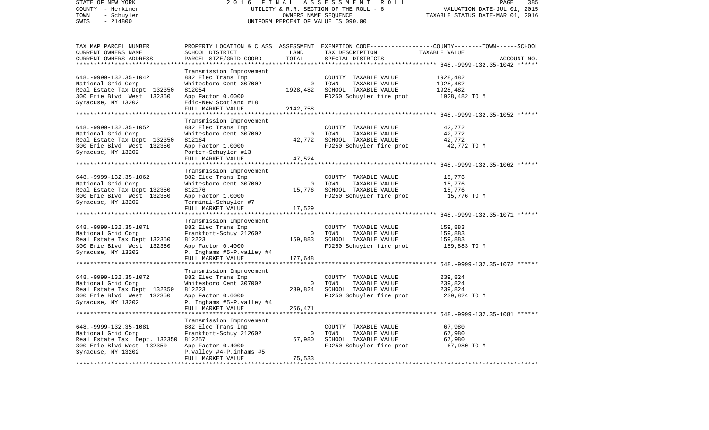| STATE OF NEW YORK<br>COUNTY - Herkimer<br>TOWN<br>- Schuyler<br>$-214800$<br>SWIS                                                                            | 2 0 1 6                                                                                                                                                                            | FINAL<br>ASSESSMENT<br>R O L L<br>UTILITY & R.R. SECTION OF THE ROLL - 6<br>OWNERS NAME SEQUENCE<br>UNIFORM PERCENT OF VALUE IS 090.00 |                                                                                                   |                                                                                                                                  |  |
|--------------------------------------------------------------------------------------------------------------------------------------------------------------|------------------------------------------------------------------------------------------------------------------------------------------------------------------------------------|----------------------------------------------------------------------------------------------------------------------------------------|---------------------------------------------------------------------------------------------------|----------------------------------------------------------------------------------------------------------------------------------|--|
| TAX MAP PARCEL NUMBER<br>CURRENT OWNERS NAME<br>CURRENT OWNERS ADDRESS<br>**********************                                                             | SCHOOL DISTRICT<br>PARCEL SIZE/GRID COORD<br>***********************                                                                                                               | LAND<br>TOTAL                                                                                                                          | TAX DESCRIPTION<br>SPECIAL DISTRICTS                                                              | PROPERTY LOCATION & CLASS ASSESSMENT EXEMPTION CODE----------------COUNTY-------TOWN------SCHOOL<br>TAXABLE VALUE<br>ACCOUNT NO. |  |
| 648. - 9999 - 132. 35 - 1042<br>National Grid Corp<br>Real Estate Tax Dept 132350<br>300 Erie Blvd West 132350<br>Syracuse, NY 13202                         | Transmission Improvement<br>882 Elec Trans Imp<br>Whitesboro Cent 307002<br>812054<br>App Factor 0.6000<br>Edic-New Scotland #18<br>FULL MARKET VALUE                              | $\overline{0}$<br>1928,482<br>2142,758                                                                                                 | COUNTY TAXABLE VALUE<br>TOWN<br>TAXABLE VALUE<br>SCHOOL TAXABLE VALUE<br>FD250 Schuyler fire prot | 1928,482<br>1928,482<br>1928,482<br>1928,482 TO M                                                                                |  |
| 648. - 9999 - 132. 35 - 1052<br>National Grid Corp<br>Real Estate Tax Dept 132350<br>300 Erie Blvd West 132350<br>Syracuse, NY 13202<br>*******************  | Transmission Improvement<br>882 Elec Trans Imp<br>Whitesboro Cent 307002<br>812164<br>App Factor 1.0000<br>Porter-Schuyler #13<br>FULL MARKET VALUE<br>*************************** | $\overline{0}$<br>42,772<br>47,524                                                                                                     | COUNTY TAXABLE VALUE<br>TOWN<br>TAXABLE VALUE<br>SCHOOL TAXABLE VALUE<br>FD250 Schuyler fire prot | 42,772<br>42,772<br>42,772<br>42,772 TO M                                                                                        |  |
| 648. - 9999 - 132. 35 - 1062<br>National Grid Corp<br>Real Estate Tax Dept 132350<br>300 Erie Blvd West 132350<br>Syracuse, NY 13202                         | Transmission Improvement<br>882 Elec Trans Imp<br>Whitesboro Cent 307002<br>812176<br>App Factor 1.0000<br>Terminal-Schuyler #7<br>FULL MARKET VALUE                               | $\mathbf{0}$<br>15,776<br>17,529                                                                                                       | COUNTY TAXABLE VALUE<br>TOWN<br>TAXABLE VALUE<br>SCHOOL TAXABLE VALUE<br>FD250 Schuyler fire prot | 15,776<br>15,776<br>15,776<br>15,776 TO M                                                                                        |  |
| 648. - 9999 - 132. 35 - 1071<br>National Grid Corp<br>Real Estate Tax Dept 132350<br>300 Erie Blvd West 132350<br>Syracuse, NY 13202                         | Transmission Improvement<br>882 Elec Trans Imp<br>Frankfort-Schuy 212602<br>812223<br>App Factor 0.4000<br>P. Inghams #5-P.valley #4<br>FULL MARKET VALUE                          | $\Omega$<br>159,883<br>177,648                                                                                                         | COUNTY TAXABLE VALUE<br>TOWN<br>TAXABLE VALUE<br>SCHOOL TAXABLE VALUE<br>FD250 Schuyler fire prot | **************** 648.-9999-132.35-1071 ******<br>159,883<br>159,883<br>159,883<br>159,883 TO M                                   |  |
| ********************<br>648. - 9999 - 132. 35 - 1072<br>National Grid Corp<br>Real Estate Tax Dept 132350<br>300 Erie Blvd West 132350<br>Syracuse, NY 13202 | ********************<br>Transmission Improvement<br>882 Elec Trans Imp<br>Whitesboro Cent 307002<br>812223<br>App Factor 0.6000<br>P. Inghams #5-P.valley #4<br>FULL MARKET VALUE  | $\overline{0}$<br>239,824<br>266,471                                                                                                   | COUNTY TAXABLE VALUE<br>TOWN<br>TAXABLE VALUE<br>SCHOOL TAXABLE VALUE<br>FD250 Schuyler fire prot | 239,824<br>239,824<br>239,824<br>239,824 TO M                                                                                    |  |
| 648. - 9999 - 132. 35 - 1081<br>National Grid Corp<br>Real Estate Tax Dept. 132350<br>300 Erie Blvd West 132350<br>Syracuse, NY 13202                        | Transmission Improvement<br>882 Elec Trans Imp<br>Frankfort-Schuy 212602<br>812257<br>App Factor 0.4000<br>P.valley #4-P.inhams #5<br>FULL MARKET VALUE                            | $\Omega$<br>67,980<br>75,533                                                                                                           | COUNTY TAXABLE VALUE<br>TOWN<br>TAXABLE VALUE<br>SCHOOL TAXABLE VALUE<br>FD250 Schuyler fire prot | 67,980<br>67,980<br>67,980<br>67,980 TO M                                                                                        |  |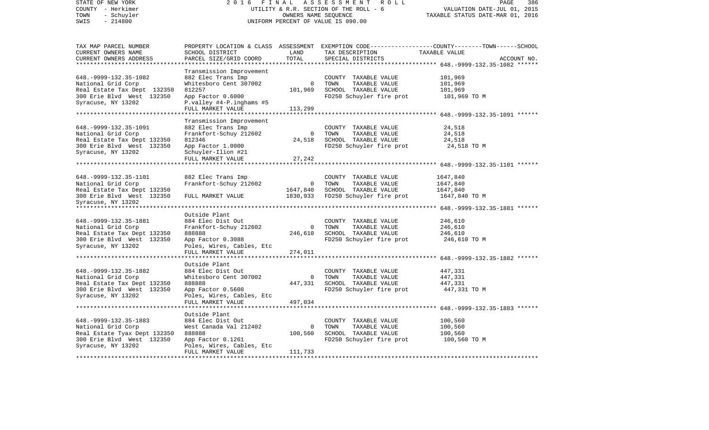| STATE OF NEW YORK                                        | 2 0 1 6                                        |                      | FINAL ASSESSMENT<br>ROLL                         | 386<br>PAGE                                                                                      |  |  |
|----------------------------------------------------------|------------------------------------------------|----------------------|--------------------------------------------------|--------------------------------------------------------------------------------------------------|--|--|
| COUNTY - Herkimer                                        |                                                |                      | UTILITY & R.R. SECTION OF THE ROLL - 6           | VALUATION DATE-JUL 01, 2015                                                                      |  |  |
| - Schuyler<br>TOWN                                       |                                                |                      | OWNERS NAME SEQUENCE                             | TAXABLE STATUS DATE-MAR 01, 2016                                                                 |  |  |
| SWIS<br>$-214800$                                        | UNIFORM PERCENT OF VALUE IS 090.00             |                      |                                                  |                                                                                                  |  |  |
|                                                          |                                                |                      |                                                  |                                                                                                  |  |  |
| TAX MAP PARCEL NUMBER                                    |                                                |                      |                                                  | PROPERTY LOCATION & CLASS ASSESSMENT EXEMPTION CODE----------------COUNTY-------TOWN------SCHOOL |  |  |
| CURRENT OWNERS NAME                                      | SCHOOL DISTRICT                                | LAND                 | TAX DESCRIPTION                                  | TAXABLE VALUE                                                                                    |  |  |
| CURRENT OWNERS ADDRESS                                   | PARCEL SIZE/GRID COORD                         | TOTAL                | SPECIAL DISTRICTS                                | ACCOUNT NO.                                                                                      |  |  |
| ***********************                                  |                                                |                      |                                                  |                                                                                                  |  |  |
|                                                          | Transmission Improvement                       |                      |                                                  |                                                                                                  |  |  |
| 648. - 9999 - 132. 35 - 1082                             | 882 Elec Trans Imp                             |                      | COUNTY TAXABLE VALUE                             | 101,969                                                                                          |  |  |
| National Grid Corp                                       | Whitesboro Cent 307002<br>812257               | $\overline{0}$       | TOWN<br>TAXABLE VALUE                            | 101,969                                                                                          |  |  |
| Real Estate Tax Dept 132350<br>300 Erie Blvd West 132350 | App Factor 0.6000                              | 101,969              | SCHOOL TAXABLE VALUE<br>FD250 Schuyler fire prot | 101,969                                                                                          |  |  |
| Syracuse, NY 13202                                       | P.valley #4-P.inghams #5                       |                      |                                                  | 101,969 TO M                                                                                     |  |  |
|                                                          | FULL MARKET VALUE                              | 113,299              |                                                  |                                                                                                  |  |  |
| **********************                                   |                                                |                      |                                                  |                                                                                                  |  |  |
|                                                          | Transmission Improvement                       |                      |                                                  |                                                                                                  |  |  |
| 648. - 9999 - 132. 35 - 1091                             | 882 Elec Trans Imp                             |                      | COUNTY TAXABLE VALUE                             | 24,518                                                                                           |  |  |
| National Grid Corp                                       | Frankfort-Schuy 212602                         | $\overline{0}$       | TOWN<br>TAXABLE VALUE                            | 24,518                                                                                           |  |  |
| Real Estate Tax Dept 132350                              | 812346                                         | 24,518               | SCHOOL TAXABLE VALUE                             | 24,518                                                                                           |  |  |
| 300 Erie Blvd West 132350                                | App Factor 1.0000                              |                      | FD250 Schuyler fire prot                         | 24,518 TO M                                                                                      |  |  |
| Syracuse, NY 13202                                       | Schuyler-Ilion #21                             |                      |                                                  |                                                                                                  |  |  |
|                                                          | FULL MARKET VALUE                              | 27,242               |                                                  |                                                                                                  |  |  |
|                                                          |                                                |                      |                                                  |                                                                                                  |  |  |
|                                                          |                                                |                      |                                                  |                                                                                                  |  |  |
| 648. - 9999 - 132. 35 - 1101                             | 882 Elec Trans Imp                             |                      | COUNTY TAXABLE VALUE                             | 1647,840                                                                                         |  |  |
| National Grid Corp                                       | Frankfort-Schuy 212602                         | $\overline{0}$       | TOWN<br>TAXABLE VALUE                            | 1647,840                                                                                         |  |  |
| Real Estate Tax Dept 132350                              |                                                | 1647,840<br>1830,933 | SCHOOL TAXABLE VALUE                             | 1647,840                                                                                         |  |  |
| 300 Erie Blvd West 132350<br>Syracuse, NY 13202          | FULL MARKET VALUE                              |                      | FD250 Schuyler fire prot                         | 1647,840 TO M                                                                                    |  |  |
| ************************                                 |                                                |                      |                                                  |                                                                                                  |  |  |
|                                                          | Outside Plant                                  |                      |                                                  |                                                                                                  |  |  |
| 648. - 9999 - 132. 35 - 1881                             | 884 Elec Dist Out                              |                      | COUNTY TAXABLE VALUE                             | 246,610                                                                                          |  |  |
| National Grid Corp                                       | Frankfort-Schuy 212602                         | $\overline{0}$       | TOWN<br>TAXABLE VALUE                            | 246,610                                                                                          |  |  |
| Real Estate Tax Dept 132350                              | 888888                                         | 246,610              | SCHOOL TAXABLE VALUE                             | 246,610                                                                                          |  |  |
| 300 Erie Blvd West 132350                                | App Factor 0.3088                              |                      | FD250 Schuyler fire prot                         | 246,610 TO M                                                                                     |  |  |
| Syracuse, NY 13202                                       | Poles, Wires, Cables, Etc                      |                      |                                                  |                                                                                                  |  |  |
|                                                          | FULL MARKET VALUE                              | 274,011              |                                                  |                                                                                                  |  |  |
| *******************                                      |                                                |                      |                                                  |                                                                                                  |  |  |
|                                                          | Outside Plant                                  |                      |                                                  |                                                                                                  |  |  |
| 648. - 9999 - 132. 35 - 1882                             | 884 Elec Dist Out                              |                      | COUNTY TAXABLE VALUE                             | 447,331                                                                                          |  |  |
| National Grid Corp                                       | Whitesboro Cent 307002                         | $\overline{0}$       | TOWN<br>TAXABLE VALUE                            | 447,331                                                                                          |  |  |
| Real Estate Tax Dept 132350                              | 888888                                         | 447,331              | SCHOOL TAXABLE VALUE                             | 447,331                                                                                          |  |  |
| 300 Erie Blvd West 132350                                | App Factor 0.5608                              |                      | FD250 Schuyler fire prot                         | 447,331 TO M                                                                                     |  |  |
| Syracuse, NY 13202                                       | Poles, Wires, Cables, Etc<br>FULL MARKET VALUE | 497,034              |                                                  |                                                                                                  |  |  |
|                                                          |                                                |                      |                                                  | ********************** 648.-9999-132.35-1883 ******                                              |  |  |
|                                                          | Outside Plant                                  |                      |                                                  |                                                                                                  |  |  |
| 648. - 9999 - 132. 35 - 1883                             | 884 Elec Dist Out                              |                      | COUNTY TAXABLE VALUE                             | 100,560                                                                                          |  |  |
| National Grid Corp                                       | West Canada Val 212402                         | $\Omega$             | TOWN<br>TAXABLE VALUE                            | 100,560                                                                                          |  |  |
| Real Estate Tyax Dept 132350                             | 888888                                         | 100,560              | SCHOOL TAXABLE VALUE                             | 100,560                                                                                          |  |  |
| 300 Erie Blvd West 132350                                | App Factor 0.1261                              |                      | FD250 Schuyler fire prot                         | 100,560 TO M                                                                                     |  |  |
| Syracuse, NY 13202                                       | Poles, Wires, Cables, Etc                      |                      |                                                  |                                                                                                  |  |  |
|                                                          | FULL MARKET VALUE                              | 111,733              |                                                  |                                                                                                  |  |  |
|                                                          |                                                |                      |                                                  |                                                                                                  |  |  |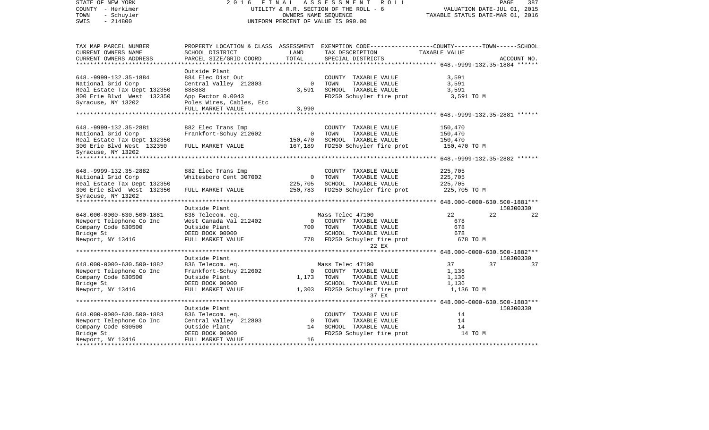| STATE OF NEW YORK<br>COUNTY - Herkimer<br>TOWN<br>- Schuyler<br>$-214800$<br>SWIS | FINAL ASSESSMENT ROLL<br>2016<br>UTILITY & R.R. SECTION OF THE ROLL - 6<br>UNIFORM PERCENT OF VALUE IS 090.00                                                                | PAGE<br>387<br>VALUATION DATE-JUL 01, 2015<br>TAXABLE STATUS DATE-MAR 01, 2016 |                                                                                                                                                        |                         |             |
|-----------------------------------------------------------------------------------|------------------------------------------------------------------------------------------------------------------------------------------------------------------------------|--------------------------------------------------------------------------------|--------------------------------------------------------------------------------------------------------------------------------------------------------|-------------------------|-------------|
| TAX MAP PARCEL NUMBER<br>CURRENT OWNERS NAME<br>CURRENT OWNERS ADDRESS            | SCHOOL DISTRICT<br>PARCEL SIZE/GRID COORD                                                                                                                                    | LAND<br>TOTAL                                                                  | PROPERTY LOCATION & CLASS ASSESSMENT EXEMPTION CODE----------------COUNTY-------TOWN------SCHOOL<br>TAX DESCRIPTION TAXABLE VALUE<br>SPECIAL DISTRICTS |                         | ACCOUNT NO. |
|                                                                                   |                                                                                                                                                                              |                                                                                |                                                                                                                                                        |                         |             |
| 648. - 9999 - 132. 35 - 1884<br>National Grid Corp<br>Real Estate Tax Dept 132350 | Outside Plant<br>884 Elec Dist Out<br>Central Valley 212803<br>888888                                                                                                        |                                                                                | COUNTY TAXABLE VALUE<br>0 TOWN<br>TAXABLE VALUE<br>3,591 SCHOOL TAXABLE VALUE                                                                          | 3,591<br>3,591<br>3,591 |             |
| 300 Erie Blvd West 132350<br>Syracuse, NY 13202                                   | App Factor 0.0043<br>Poles Wires, Cables, Etc                                                                                                                                |                                                                                | FD250 Schuyler fire prot                                                                                                                               | 3,591 TO M              |             |
|                                                                                   | FULL MARKET VALUE                                                                                                                                                            | 3,990                                                                          |                                                                                                                                                        |                         |             |
|                                                                                   |                                                                                                                                                                              |                                                                                |                                                                                                                                                        |                         |             |
|                                                                                   |                                                                                                                                                                              |                                                                                |                                                                                                                                                        |                         |             |
| 648. - 9999 - 132. 35 - 2881                                                      | 882 Elec Trans Imp                                                                                                                                                           |                                                                                | COUNTY TAXABLE VALUE                                                                                                                                   | 150,470                 |             |
| National Grid Corp                                                                | Frankfort-Schuy 212602                                                                                                                                                       | $\overline{0}$                                                                 | TOWN<br>TAXABLE VALUE                                                                                                                                  | 150,470                 |             |
| Real Estate Tax Dept 132350<br>300 Erie Blvd West 132350                          | FULL MARKET VALUE                                                                                                                                                            | 150,470<br>167,189                                                             | SCHOOL TAXABLE VALUE<br>FD250 Schuyler fire prot                                                                                                       | 150,470<br>150,470 TO M |             |
| Syracuse, NY 13202                                                                |                                                                                                                                                                              |                                                                                |                                                                                                                                                        |                         |             |
|                                                                                   |                                                                                                                                                                              |                                                                                |                                                                                                                                                        |                         |             |
|                                                                                   |                                                                                                                                                                              |                                                                                |                                                                                                                                                        |                         |             |
| 648. - 9999 - 132. 35 - 2882                                                      | 882 Elec Trans Imp                                                                                                                                                           |                                                                                | COUNTY TAXABLE VALUE                                                                                                                                   | 225,705                 |             |
| National Grid Corp                                                                | Whitesboro Cent 307002                                                                                                                                                       | $\overline{0}$                                                                 | TOWN<br>TAXABLE VALUE                                                                                                                                  | 225,705                 |             |
| Real Estate Tax Dept 132350                                                       |                                                                                                                                                                              |                                                                                | 225,705 SCHOOL TAXABLE VALUE                                                                                                                           | 225,705                 |             |
| 300 Erie Blvd West 132350                                                         | FULL MARKET VALUE                                                                                                                                                            |                                                                                | 250,783 FD250 Schuyler fire prot                                                                                                                       | 225,705 TO M            |             |
| Syracuse, NY 13202                                                                |                                                                                                                                                                              |                                                                                |                                                                                                                                                        |                         |             |
|                                                                                   | Outside Plant                                                                                                                                                                |                                                                                |                                                                                                                                                        |                         | 150300330   |
| 648.000-0000-630.500-1881                                                         | 836 Telecom. eq.<br>836 Telecom. eq. 636 Mass Telec 47100<br>84 Mass Telec 47100<br>86 Mass Telec 47100<br>86 Mass Telec 47100<br>86 Mass Telec 47100<br>86 Mass Telec 47100 |                                                                                |                                                                                                                                                        | 22                      | 22<br>22    |
| Newport Telephone Co Inc                                                          |                                                                                                                                                                              |                                                                                |                                                                                                                                                        | 678                     |             |
| Company Code 630500                                                               |                                                                                                                                                                              |                                                                                |                                                                                                                                                        | 678                     |             |
| Bridge St                                                                         |                                                                                                                                                                              |                                                                                | SCHOOL TAXABLE VALUE                                                                                                                                   | 678                     |             |
| Newport, NY 13416                                                                 |                                                                                                                                                                              |                                                                                |                                                                                                                                                        | 678 TO M                |             |
|                                                                                   |                                                                                                                                                                              |                                                                                | 22 EX                                                                                                                                                  |                         |             |
|                                                                                   | Outside Plant                                                                                                                                                                |                                                                                |                                                                                                                                                        |                         | 150300330   |
| 648.000-0000-630.500-1882                                                         | 836 Telecom. eq.                                                                                                                                                             |                                                                                | Mass Telec 47100                                                                                                                                       | 37                      | 37<br>37    |
| Newport Telephone Co Inc                                                          | Frankfort-Schuy 212602                                                                                                                                                       |                                                                                | 0 COUNTY TAXABLE VALUE                                                                                                                                 | 1,136                   |             |
| Company Code 630500                                                               | Outside Plant                                                                                                                                                                | 1,173 TOWN                                                                     | TAXABLE VALUE                                                                                                                                          | 1,136                   |             |
| Bridge St                                                                         | DEED BOOK 00000                                                                                                                                                              |                                                                                | SCHOOL TAXABLE VALUE                                                                                                                                   | 1,136                   |             |
| Newport, NY 13416                                                                 | FULL MARKET VALUE                                                                                                                                                            |                                                                                | 1,303 FD250 Schuyler fire prot                                                                                                                         | 1,136 TO M              |             |
|                                                                                   |                                                                                                                                                                              |                                                                                | 37 EX                                                                                                                                                  |                         |             |
|                                                                                   | Outside Plant                                                                                                                                                                |                                                                                |                                                                                                                                                        |                         | 150300330   |
| 648.000-0000-630.500-1883                                                         | 836 Telecom. eq.                                                                                                                                                             |                                                                                | COUNTY TAXABLE VALUE                                                                                                                                   | 14                      |             |
| Newport Telephone Co Inc                                                          | Central Valley 212803                                                                                                                                                        | $\overline{0}$                                                                 | TOWN<br>TAXABLE VALUE                                                                                                                                  | 14                      |             |
| Company Code 630500                                                               | Outside Plant                                                                                                                                                                |                                                                                | 14 SCHOOL TAXABLE VALUE                                                                                                                                | 14                      |             |
| Bridge St                                                                         | DEED BOOK 00000                                                                                                                                                              |                                                                                | FD250 Schuyler fire prot                                                                                                                               | 14 TO M                 |             |
| Newport, NY 13416                                                                 | FULL MARKET VALUE                                                                                                                                                            | 16                                                                             |                                                                                                                                                        |                         |             |
|                                                                                   |                                                                                                                                                                              |                                                                                |                                                                                                                                                        |                         |             |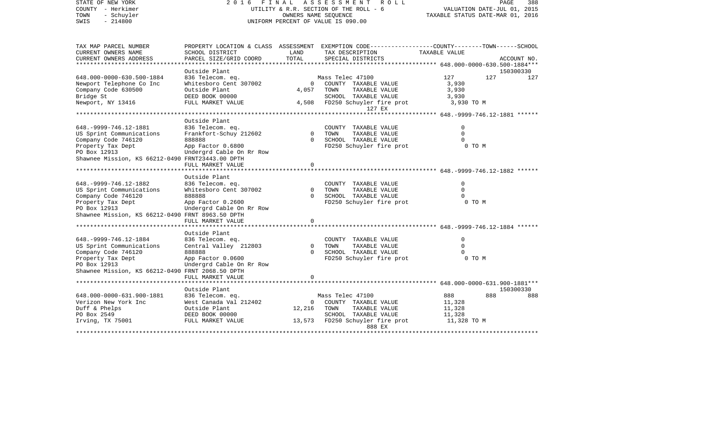| STATE OF NEW YORK<br>COUNTY - Herkimer<br>- Schuyler<br>TOWN<br>$-214800$<br>SWIS | 2016                                                                                            | FINAL                | A S S E S S M E N T<br>R O L L<br>UTILITY & R.R. SECTION OF THE ROLL - 6<br>OWNERS NAME SEQUENCE<br>UNIFORM PERCENT OF VALUE IS 090.00 |                                               | PAGE<br>388<br>VALUATION DATE-JUL 01, 2015<br>TAXABLE STATUS DATE-MAR 01, 2016 |  |  |
|-----------------------------------------------------------------------------------|-------------------------------------------------------------------------------------------------|----------------------|----------------------------------------------------------------------------------------------------------------------------------------|-----------------------------------------------|--------------------------------------------------------------------------------|--|--|
| TAX MAP PARCEL NUMBER                                                             | PROPERTY LOCATION & CLASS ASSESSMENT EXEMPTION CODE----------------COUNTY-------TOWN-----SCHOOL |                      |                                                                                                                                        |                                               |                                                                                |  |  |
| CURRENT OWNERS NAME                                                               | SCHOOL DISTRICT                                                                                 | LAND                 | TAX DESCRIPTION                                                                                                                        | TAXABLE VALUE                                 |                                                                                |  |  |
| CURRENT OWNERS ADDRESS                                                            | PARCEL SIZE/GRID COORD                                                                          | TOTAL                | SPECIAL DISTRICTS                                                                                                                      | ************ 648.000-0000-630.500-1884***     | ACCOUNT NO.                                                                    |  |  |
|                                                                                   | Outside Plant                                                                                   |                      |                                                                                                                                        |                                               | 150300330                                                                      |  |  |
| 648.000-0000-630.500-1884                                                         | 836 Telecom. eq.                                                                                |                      | Mass Telec 47100                                                                                                                       | 127                                           | 127<br>127                                                                     |  |  |
| Newport Telephone Co Inc                                                          | Whitesboro Cent 307002                                                                          | 0                    | COUNTY TAXABLE VALUE                                                                                                                   | 3,930                                         |                                                                                |  |  |
| Company Code 630500                                                               | Outside Plant                                                                                   | 4,057                | TOWN<br>TAXABLE VALUE                                                                                                                  | 3,930                                         |                                                                                |  |  |
| Bridge St                                                                         | DEED BOOK 00000                                                                                 |                      | SCHOOL TAXABLE VALUE                                                                                                                   | 3,930                                         |                                                                                |  |  |
| Newport, NY 13416                                                                 | FULL MARKET VALUE                                                                               | 4,508                | FD250 Schuyler fire prot                                                                                                               | 3,930 TO M                                    |                                                                                |  |  |
|                                                                                   |                                                                                                 |                      | 127 EX                                                                                                                                 |                                               |                                                                                |  |  |
|                                                                                   |                                                                                                 |                      |                                                                                                                                        | **************** 648.-9999-746.12-1881 ****** |                                                                                |  |  |
|                                                                                   | Outside Plant                                                                                   |                      |                                                                                                                                        |                                               |                                                                                |  |  |
| 648. - 9999 - 746. 12 - 1881                                                      | 836 Telecom. eq.                                                                                | $\mathbf{0}$         | COUNTY TAXABLE VALUE<br>TOWN                                                                                                           | $\Omega$<br>$\mathbf 0$                       |                                                                                |  |  |
| US Sprint Communications<br>Company Code 746120                                   | Frankfort-Schuy 212602<br>888888                                                                | $\Omega$             | TAXABLE VALUE<br>SCHOOL TAXABLE VALUE                                                                                                  | $\Omega$                                      |                                                                                |  |  |
| Property Tax Dept                                                                 | App Factor 0.6800                                                                               |                      | FD250 Schuyler fire prot                                                                                                               | 0 TO M                                        |                                                                                |  |  |
| PO Box 12913                                                                      | Undergrd Cable On Rr Row                                                                        |                      |                                                                                                                                        |                                               |                                                                                |  |  |
| Shawnee Mission, KS 66212-0490 FRNT23443.00 DPTH                                  |                                                                                                 |                      |                                                                                                                                        |                                               |                                                                                |  |  |
|                                                                                   | FULL MARKET VALUE                                                                               | $\Omega$             |                                                                                                                                        |                                               |                                                                                |  |  |
|                                                                                   |                                                                                                 |                      |                                                                                                                                        |                                               |                                                                                |  |  |
|                                                                                   | Outside Plant                                                                                   |                      |                                                                                                                                        |                                               |                                                                                |  |  |
| 648. - 9999 - 746. 12 - 1882                                                      | 836 Telecom. eq.                                                                                |                      | COUNTY TAXABLE VALUE                                                                                                                   | 0                                             |                                                                                |  |  |
| US Sprint Communications                                                          | Whitesboro Cent 307002                                                                          | $\Omega$<br>$\Omega$ | TOWN<br>TAXABLE VALUE                                                                                                                  | $\Omega$<br>$\Omega$                          |                                                                                |  |  |
| Company Code 746120<br>Property Tax Dept                                          | 888888                                                                                          |                      | SCHOOL TAXABLE VALUE<br>FD250 Schuyler fire prot                                                                                       | 0 TO M                                        |                                                                                |  |  |
| PO Box 12913                                                                      | App Factor 0.2600<br>Undergrd Cable On Rr Row                                                   |                      |                                                                                                                                        |                                               |                                                                                |  |  |
| Shawnee Mission, KS 66212-0490 FRNT 8963.50 DPTH                                  |                                                                                                 |                      |                                                                                                                                        |                                               |                                                                                |  |  |
|                                                                                   | FULL MARKET VALUE                                                                               | $\Omega$             |                                                                                                                                        |                                               |                                                                                |  |  |
|                                                                                   |                                                                                                 |                      |                                                                                                                                        |                                               |                                                                                |  |  |
|                                                                                   | Outside Plant                                                                                   |                      |                                                                                                                                        |                                               |                                                                                |  |  |
| 648. - 9999 - 746. 12 - 1884                                                      | 836 Telecom. eq.                                                                                |                      | COUNTY TAXABLE VALUE                                                                                                                   | $\mathbf 0$                                   |                                                                                |  |  |
| US Sprint Communications                                                          | Central Valley 212803                                                                           | $\Omega$             | TOWN<br>TAXABLE VALUE                                                                                                                  | $\Omega$                                      |                                                                                |  |  |
| Company Code 746120                                                               | 888888                                                                                          | $\Omega$             | SCHOOL TAXABLE VALUE                                                                                                                   | $\Omega$                                      |                                                                                |  |  |
| Property Tax Dept                                                                 | App Factor 0.0600                                                                               |                      | FD250 Schuyler fire prot                                                                                                               | 0 TO M                                        |                                                                                |  |  |
| PO Box 12913                                                                      | Undergrd Cable On Rr Row                                                                        |                      |                                                                                                                                        |                                               |                                                                                |  |  |
| Shawnee Mission, KS 66212-0490 FRNT 2068.50 DPTH                                  | FULL MARKET VALUE                                                                               | 0                    |                                                                                                                                        |                                               |                                                                                |  |  |
|                                                                                   | *****************************                                                                   |                      |                                                                                                                                        |                                               |                                                                                |  |  |
|                                                                                   | Outside Plant                                                                                   |                      |                                                                                                                                        |                                               | 150300330                                                                      |  |  |
| 648.000-0000-631.900-1881                                                         | 836 Telecom. eq.                                                                                |                      | Mass Telec 47100                                                                                                                       | 888                                           | 888<br>888                                                                     |  |  |
| Verizon New York Inc                                                              | West Canada Val 212402                                                                          | 0                    | COUNTY TAXABLE VALUE                                                                                                                   | 11,328                                        |                                                                                |  |  |
| Duff & Phelps                                                                     | Outside Plant                                                                                   | 12,216               | TOWN<br>TAXABLE VALUE                                                                                                                  | 11,328                                        |                                                                                |  |  |
| PO Box 2549                                                                       | DEED BOOK 00000                                                                                 |                      | SCHOOL TAXABLE VALUE                                                                                                                   | 11,328                                        |                                                                                |  |  |
| Irving, TX 75001                                                                  | FULL MARKET VALUE                                                                               | 13,573               | FD250 Schuyler fire prot                                                                                                               | 11,328 TO M                                   |                                                                                |  |  |
|                                                                                   |                                                                                                 |                      | 888 EX<br>***********                                                                                                                  |                                               |                                                                                |  |  |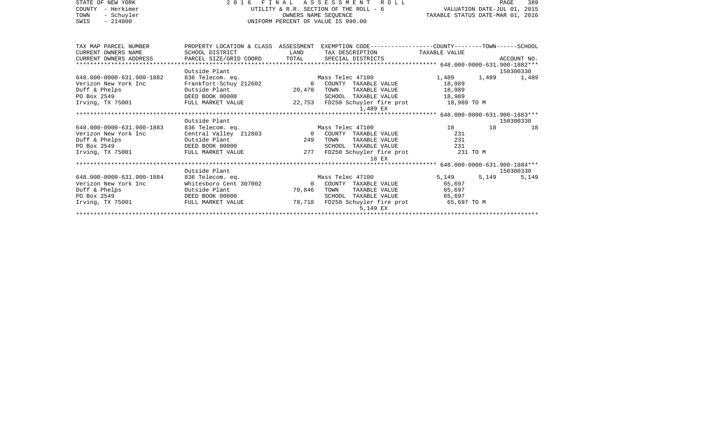| STATE OF NEW YORK                                 | 2016 FINAL ASSESSMENT ROLL                 |                      |                                                                                                  | 389<br>PAGE                      |    |             |
|---------------------------------------------------|--------------------------------------------|----------------------|--------------------------------------------------------------------------------------------------|----------------------------------|----|-------------|
| - Herkimer<br>COUNTY                              |                                            |                      | UTILITY & R.R. SECTION OF THE ROLL - 6                                                           | VALUATION DATE-JUL 01, 2015      |    |             |
| TOWN<br>- Schuyler                                |                                            | OWNERS NAME SEOUENCE |                                                                                                  | TAXABLE STATUS DATE-MAR 01, 2016 |    |             |
| SWIS<br>$-214800$                                 |                                            |                      | UNIFORM PERCENT OF VALUE IS 090.00                                                               |                                  |    |             |
|                                                   |                                            |                      |                                                                                                  |                                  |    |             |
|                                                   |                                            |                      |                                                                                                  |                                  |    |             |
|                                                   |                                            |                      |                                                                                                  |                                  |    |             |
| TAX MAP PARCEL NUMBER                             |                                            |                      | PROPERTY LOCATION & CLASS ASSESSMENT EXEMPTION CODE----------------COUNTY-------TOWN------SCHOOL |                                  |    |             |
| CURRENT OWNERS NAME                               | SCHOOL DISTRICT                            | LAND                 | TAX DESCRIPTION TAXABLE VALUE                                                                    |                                  |    |             |
| CURRENT OWNERS ADDRESS                            | PARCEL SIZE/GRID COORD                     | TOTAL                | SPECIAL DISTRICTS                                                                                |                                  |    | ACCOUNT NO. |
|                                                   | Outside Plant                              |                      |                                                                                                  |                                  |    |             |
|                                                   |                                            |                      |                                                                                                  |                                  |    | 150300330   |
| 648.000-0000-631.900-1882<br>Verizon New York Inc | 836 Telecom. eq.<br>Frankfort-Schuy 212602 |                      | Mass Telec 47100<br>0 COUNTY TAXABLE VALUE                                                       | 1,489 1,489<br>18,989            |    | 1,489       |
| Duff & Phelps                                     | Outside Plant                              |                      | TAXABLE VALUE 18,989<br>TOWN                                                                     |                                  |    |             |
| PO Box 2549                                       | DEED BOOK 00000                            | 20,478               |                                                                                                  |                                  |    |             |
| Irving, TX 75001                                  |                                            |                      | SCHOOL TAXABLE VALUE 18,989                                                                      |                                  |    |             |
|                                                   | FULL MARKET VALUE                          |                      | 22,753 FD250 Schuyler fire prot 18,989 TO M<br>1,489 EX                                          |                                  |    |             |
|                                                   |                                            |                      |                                                                                                  |                                  |    |             |
|                                                   | Outside Plant                              |                      |                                                                                                  |                                  |    | 150300330   |
| 648.000-0000-631.900-1883                         | 836 Telecom. eq.                           |                      | Mass Telec 47100                                                                                 | 18                               | 18 | 18          |
| Verizon New York Inc                              | Central Valley 212803 0                    |                      | COUNTY TAXABLE VALUE                                                                             | 231                              |    |             |
| Duff & Phelps                                     | Outside Plant                              | 249                  | TOWN<br>TAXABLE VALUE                                                                            | 231                              |    |             |
| PO Box 2549                                       | DEED BOOK 00000                            |                      | SCHOOL TAXABLE VALUE                                                                             | 231                              |    |             |
| Irving, TX 75001 FULL MARKET VALUE                |                                            | 277                  | FD250 Schuyler fire prot                                                                         | 231 TO M                         |    |             |
|                                                   |                                            |                      | 18 EX                                                                                            |                                  |    |             |
|                                                   |                                            |                      |                                                                                                  |                                  |    |             |
|                                                   | Outside Plant                              |                      |                                                                                                  |                                  |    | 150300330   |
| 648.000-0000-631.900-1884                         | 836 Telecom. eq.                           |                      | Mass Telec 47100                                                                                 | 5, 149 5, 149                    |    | 5,149       |
| Verizon New York Inc                              | Whitesboro Cent 307002                     | $\overline{0}$       | COUNTY TAXABLE VALUE                                                                             | 65,697                           |    |             |
| Duff & Phelps                                     | Outside Plant                              | 70,846               | TOWN<br>TAXABLE VALUE                                                                            | 65,697                           |    |             |
| PO Box 2549                                       | DEED BOOK 00000                            |                      | SCHOOL TAXABLE VALUE                                                                             | 65,697                           |    |             |
| Irving, TX 75001                                  | FULL MARKET VALUE                          | 78,718               | FD250 Schuyler fire prot 65,697 TO M                                                             |                                  |    |             |
|                                                   |                                            |                      | 5,149 EX                                                                                         |                                  |    |             |
|                                                   |                                            |                      |                                                                                                  |                                  |    |             |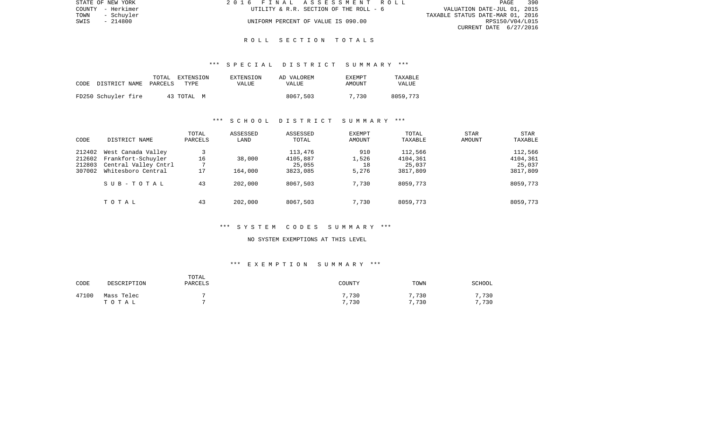| STATE OF NEW YORK  | 2016 FINAL ASSESSMENT ROLL             | 390<br>PAGE                      |
|--------------------|----------------------------------------|----------------------------------|
| COUNTY - Herkimer  | UTILITY & R.R. SECTION OF THE ROLL - 6 | VALUATION DATE-JUL 01, 2015      |
| TOWN<br>- Schuvler |                                        | TAXABLE STATUS DATE-MAR 01, 2016 |
| - 214800<br>SWIS   | UNIFORM PERCENT OF VALUE IS 090.00     | RPS150/V04/L015                  |
|                    |                                        | CURRENT DATE 6/27/2016           |

# \*\*\* S P E C I A L D I S T R I C T S U M M A R Y \*\*\*

| CODE | DISTRICT NAME       | TOTAL<br>PARCELS | EXTENSION<br>TYPE | EXTENSION<br>VALUE | AD VALOREM<br>VALUE | <b>EXEMPT</b><br>AMOUNT | TAXABLE<br>VALUE |
|------|---------------------|------------------|-------------------|--------------------|---------------------|-------------------------|------------------|
|      | FD250 Schuyler fire |                  | 43 TOTAL M        |                    | 8067,503            | 7,730                   | 8059,773         |

# \*\*\* S C H O O L D I S T R I C T S U M M A R Y \*\*\*

| CODE                                 | DISTRICT NAME                                                                          | TOTAL<br>PARCELS         | ASSESSED<br>LAND  | ASSESSED<br>TOTAL                         | <b>EXEMPT</b><br>AMOUNT     | TOTAL<br>TAXABLE                          | <b>STAR</b><br>AMOUNT | <b>STAR</b><br>TAXABLE                    |
|--------------------------------------|----------------------------------------------------------------------------------------|--------------------------|-------------------|-------------------------------------------|-----------------------------|-------------------------------------------|-----------------------|-------------------------------------------|
| 212402<br>212602<br>212803<br>307002 | West Canada Valley<br>Frankfort-Schuyler<br>Central Valley Cntrl<br>Whitesboro Central | 16<br>$\mathbf{r}$<br>17 | 38,000<br>164,000 | 113,476<br>4105,887<br>25,055<br>3823,085 | 910<br>1,526<br>18<br>5,276 | 112,566<br>4104,361<br>25,037<br>3817,809 |                       | 112,566<br>4104,361<br>25,037<br>3817,809 |
|                                      | SUB-TOTAL                                                                              | 43                       | 202,000           | 8067,503                                  | 7,730                       | 8059,773                                  |                       | 8059,773                                  |
|                                      | TOTAL                                                                                  | 43                       | 202,000           | 8067,503                                  | 7,730                       | 8059,773                                  |                       | 8059,773                                  |

# \*\*\* S Y S T E M C O D E S S U M M A R Y \*\*\*

#### NO SYSTEM EXEMPTIONS AT THIS LEVEL

# \*\*\* E X E M P T I O N S U M M A R Y \*\*\*

| CODE  | DESCRIPTION         | TOTAL<br><b>PARCELS</b> | COUNTY         | TOWN         | <b>SCHOOL</b> |
|-------|---------------------|-------------------------|----------------|--------------|---------------|
| 47100 | Mass Telec<br>тотаь |                         | 7,730<br>7,730 | ,730<br>,730 | ,730<br>,730  |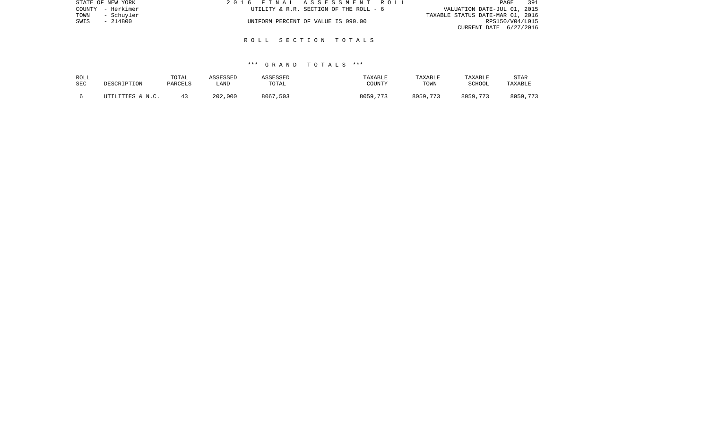| STATE OF NEW YORK  | 2016 FINAL ASSESSMENT ROLL             | 391<br>PAGE                      |
|--------------------|----------------------------------------|----------------------------------|
| COUNTY - Herkimer  | UTILITY & R.R. SECTION OF THE ROLL - 6 | VALUATION DATE-JUL 01, 2015      |
| TOWN<br>- Schuyler |                                        | TAXABLE STATUS DATE-MAR 01, 2016 |
| SWIS<br>- 214800   | UNIFORM PERCENT OF VALUE IS 090.00     | RPS150/V04/L015                  |
|                    |                                        | CURRENT DATE 6/27/2016           |
|                    |                                        |                                  |

| ROLL<br>SEC | DESCRIPTION      | TOTAL<br>PARCELS | ASSESSED<br>LAND | ASSESSED<br>TOTAL | TAXABLE<br>COUNTY | TAXABLE<br>TOWN | TAXABLE<br>SCHOOL | <b>STAR</b><br>TAXABLE |
|-------------|------------------|------------------|------------------|-------------------|-------------------|-----------------|-------------------|------------------------|
|             | UTILITIES & N.C. |                  | 202,000          | 8067,503          | 8059,773          | 8059,773        | 8059,773          | 8059,773               |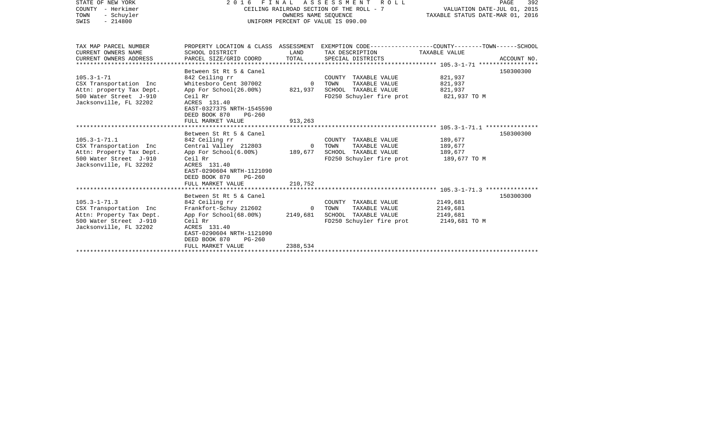| STATE OF NEW YORK<br>COUNTY - Herkimer<br>TOWN<br>- Schuyler<br>SWIS<br>$-214800$                                            | 2016 FINAL ASSESSMENT<br>CEILING RAILROAD SECTION OF THE ROLL - 7<br>UNIFORM PERCENT OF VALUE IS 090.00                                                                                                 | VALUATION DATE-JUL 01, 2015<br>TAXABLE STATUS DATE-MAR 01, 2016 | PAGE<br>392                                                                                                                             |                                                   |             |
|------------------------------------------------------------------------------------------------------------------------------|---------------------------------------------------------------------------------------------------------------------------------------------------------------------------------------------------------|-----------------------------------------------------------------|-----------------------------------------------------------------------------------------------------------------------------------------|---------------------------------------------------|-------------|
| TAX MAP PARCEL NUMBER<br>CURRENT OWNERS NAME<br>CURRENT OWNERS ADDRESS                                                       | SCHOOL DISTRICT<br>PARCEL SIZE/GRID COORD                                                                                                                                                               | LAND<br>TOTAL                                                   | PROPERTY LOCATION & CLASS ASSESSMENT EXEMPTION CODE---------------COUNTY-------TOWN------SCHOOL<br>TAX DESCRIPTION<br>SPECIAL DISTRICTS | TAXABLE VALUE                                     | ACCOUNT NO. |
| $105.3 - 1 - 71$<br>CSX Transportation Inc<br>Attn: property Tax Dept.<br>500 Water Street J-910<br>Jacksonville, FL 32202   | Between St Rt 5 & Canel<br>842 Ceiling rr<br>Whitesboro Cent 307002<br>App For School(26.00%)<br>Ceil Rr<br>ACRES 131.40<br>EAST-0327375 NRTH-1545590<br>DEED BOOK 870<br>$PG-260$<br>FULL MARKET VALUE | $\Omega$<br>821,937<br>913,263                                  | COUNTY TAXABLE VALUE<br>TOWN<br>TAXABLE VALUE<br>SCHOOL TAXABLE VALUE<br>FD250 Schuyler fire prot 821,937 TO M                          | 821,937<br>821,937<br>821,937                     | 150300300   |
| $105.3 - 1 - 71.1$<br>CSX Transportation Inc<br>Attn: Property Tax Dept.<br>500 Water Street J-910<br>Jacksonville, FL 32202 | Between St Rt 5 & Canel<br>842 Ceiling rr<br>Central Valley 212803<br>App For School(6.00%)<br>Ceil Rr<br>ACRES 131.40<br>EAST-0290604 NRTH-1121090<br>DEED BOOK 870<br>$PG-260$<br>FULL MARKET VALUE   | $\overline{0}$<br>189,677<br>210,752                            | COUNTY TAXABLE VALUE<br>TAXABLE VALUE<br>TOWN<br>SCHOOL TAXABLE VALUE<br>FD250 Schuyler fire prot                                       | 189,677<br>189,677<br>189,677<br>189,677 TO M     | 150300300   |
| $105.3 - 1 - 71.3$<br>CSX Transportation Inc<br>Attn: Property Tax Dept.<br>500 Water Street J-910<br>Jacksonville, FL 32202 | Between St Rt 5 & Canel<br>842 Ceiling rr<br>Frankfort-Schuy 212602<br>App For School(68.00%)<br>Ceil Rr<br>ACRES 131.40<br>EAST-0290604 NRTH-1121090<br>DEED BOOK 870<br>$PG-260$<br>FULL MARKET VALUE | $\Omega$<br>2149,681<br>2388,534                                | COUNTY TAXABLE VALUE<br>TOWN<br>TAXABLE VALUE<br>SCHOOL TAXABLE VALUE<br>FD250 Schuyler fire prot                                       | 2149,681<br>2149,681<br>2149,681<br>2149,681 TO M | 150300300   |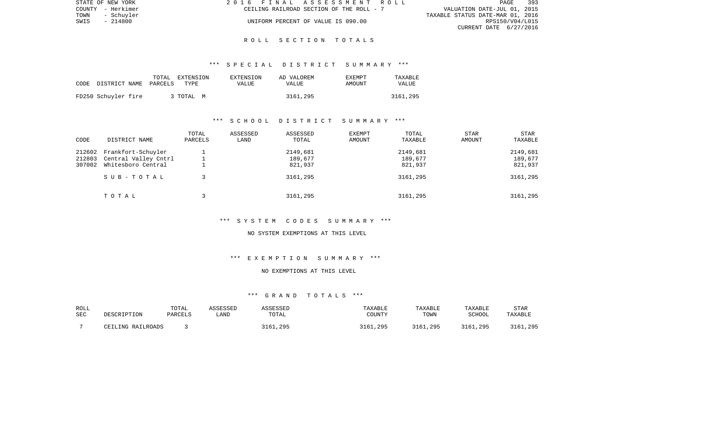| STATE OF NEW YORK  | 2016 FINAL ASSESSMENT ROLL               | 393<br>PAGE                      |
|--------------------|------------------------------------------|----------------------------------|
| COUNTY - Herkimer  | CEILING RAILROAD SECTION OF THE ROLL - 7 | VALUATION DATE-JUL 01, 2015      |
| TOWN<br>- Schuvler |                                          | TAXABLE STATUS DATE-MAR 01, 2016 |
| - 214800<br>SWIS   | UNIFORM PERCENT OF VALUE IS 090.00       | RPS150/V04/L015                  |
|                    |                                          | CURRENT DATE 6/27/2016           |

## \*\*\* S P E C I A L D I S T R I C T S U M M A R Y \*\*\*

| CODE | DISTRICT NAME       | TOTAL<br>PARCELS | EXTENSION<br>TYPE | EXTENSION<br>VALUE | AD VALOREM<br><b>VALUE</b> | <b>EXEMPT</b><br>AMOUNT | TAXABLE<br><b>VALUE</b> |
|------|---------------------|------------------|-------------------|--------------------|----------------------------|-------------------------|-------------------------|
|      | FD250 Schuyler fire |                  | 3 TOTAL<br>M      |                    | 3161,295                   |                         | 3161,295                |

# \*\*\* S C H O O L D I S T R I C T S U M M A R Y \*\*\*

| CODE             | DISTRICT NAME                                                    | TOTAL<br>PARCELS | ASSESSED<br>LAND | ASSESSED<br>TOTAL   | <b>EXEMPT</b><br>AMOUNT | TOTAL<br>TAXABLE    | STAR<br>AMOUNT | <b>STAR</b><br>TAXABLE |
|------------------|------------------------------------------------------------------|------------------|------------------|---------------------|-------------------------|---------------------|----------------|------------------------|
| 212602<br>212803 | Frankfort-Schuyler<br>Central Valley Cntrl<br>Whitesboro Central |                  |                  | 2149,681<br>189,677 |                         | 2149,681<br>189,677 |                | 2149,681<br>189,677    |
| 307002           | SUB-TOTAL                                                        |                  |                  | 821,937<br>3161,295 |                         | 821,937<br>3161,295 |                | 821,937<br>3161,295    |
|                  | TOTAL                                                            |                  |                  | 3161,295            |                         | 3161,295            |                | 3161,295               |

\*\*\* S Y S T E M C O D E S S U M M A R Y \*\*\*

NO SYSTEM EXEMPTIONS AT THIS LEVEL

\*\*\* E X E M P T I O N S U M M A R Y \*\*\*

# NO EXEMPTIONS AT THIS LEVEL

| ROLL       |                   | TOTAL   | ASSESSED | `SSESSED | <b>TAXABLE</b>  | TAXABLE  | TAXABLE  | STAR           |
|------------|-------------------|---------|----------|----------|-----------------|----------|----------|----------------|
| <b>SEC</b> | DESCRIPTION       | PARCELS | LAND     | TOTAL    | <b>COUNTY</b>   | TOWN     | SCHOOL   | <b>TAXABLE</b> |
|            | CEILING RAILROADS |         |          | 3161,295 | . . 295<br>3161 | 3161,295 | 3161,295 | 3161,295       |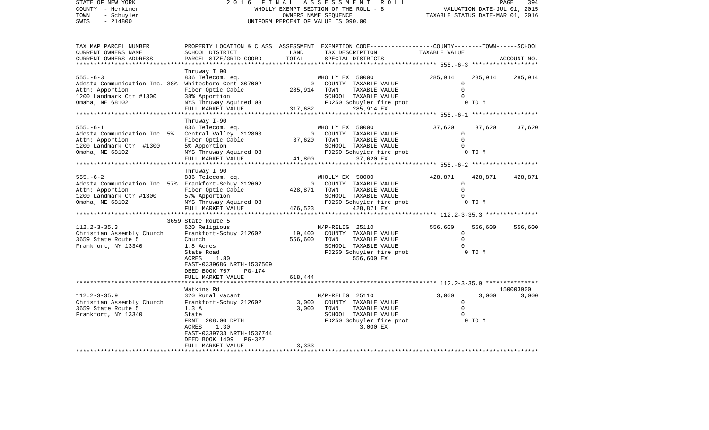STATE OF NEW YORK 2016 FINAL ASSESSMENT ROLL COUNTY - Herkimer (2000) 2000 WHOLLY EXEMPT SECTION OF THE ROLL - 8<br>
TOWN - Schuyler (2000) 2000 WHOLLY DATES NAME SEQUENCE<br>
SWIS - 214800 WHOLLY DATE-DRIVERS NAME SEQUENCE TOWN - Schuyler OWNERS NAME SEQUENCE TAXABLE STATUS DATE-MAR 01, 2016 SWIS - 214800 UNIFORM PERCENT OF VALUE IS 090.00

| TAX MAP PARCEL NUMBER                                |                                               |                           | PROPERTY LOCATION & CLASS ASSESSMENT EXEMPTION CODE----------------COUNTY-------TOWN------SCHOOL |                     |         |             |
|------------------------------------------------------|-----------------------------------------------|---------------------------|--------------------------------------------------------------------------------------------------|---------------------|---------|-------------|
| CURRENT OWNERS NAME                                  | SCHOOL DISTRICT                               | LAND                      | TAX DESCRIPTION                                                                                  | TAXABLE VALUE       |         |             |
| CURRENT OWNERS ADDRESS                               | PARCEL SIZE/GRID COORD                        | TOTAL                     | SPECIAL DISTRICTS                                                                                |                     |         | ACCOUNT NO. |
|                                                      | Thruway I 90                                  |                           |                                                                                                  |                     |         |             |
| $555. - 6 - 3$                                       | 836 Telecom. eq.                              |                           | WHOLLY EX 50000                                                                                  | 285,914             | 285,914 | 285,914     |
| Adesta Communication Inc. 38%                        | Whitesboro Cent 307002                        | $\Omega$                  | COUNTY TAXABLE VALUE                                                                             |                     |         |             |
| Attn: Apportion                                      | Fiber Optic Cable                             | 285,914                   | TOWN<br>TAXABLE VALUE                                                                            | $\Omega$            |         |             |
| 1200 Landmark Ctr #1300                              | 38% Apportion                                 |                           | SCHOOL TAXABLE VALUE                                                                             |                     |         |             |
| Omaha, NE 68102                                      | NYS Thruway Aquired 03                        |                           | FD250 Schuyler fire prot                                                                         |                     | 0 TO M  |             |
|                                                      | FULL MARKET VALUE<br>*********************    | 317,682                   | 285,914 EX                                                                                       |                     |         |             |
|                                                      | Thruway I-90                                  |                           |                                                                                                  |                     |         |             |
| $555. - 6 - 1$                                       | 836 Telecom. eq.                              |                           | WHOLLY EX 50000                                                                                  | 37,620              | 37,620  | 37,620      |
| Adesta Communication Inc. 5%                         | Central Valley 212803                         | $\Omega$                  | COUNTY TAXABLE VALUE                                                                             | 0                   |         |             |
| Attn: Apportion                                      | Fiber Optic Cable                             | 37,620                    | TAXABLE VALUE<br>TOWN                                                                            | $\Omega$            |         |             |
| 1200 Landmark Ctr #1300                              | 5% Apportion                                  |                           | SCHOOL TAXABLE VALUE                                                                             |                     |         |             |
| Omaha, NE 68102                                      | NYS Thruway Aquired 03                        |                           | FD250 Schuyler fire prot                                                                         |                     | 0 TO M  |             |
|                                                      | FULL MARKET VALUE<br>********************     | 41,800                    | 37,620 EX                                                                                        |                     |         |             |
|                                                      |                                               |                           |                                                                                                  |                     |         |             |
| $555. - 6 - 2$                                       | Thruway I 90<br>836 Telecom. eq.              |                           | WHOLLY EX 50000                                                                                  | 428,871             | 428,871 | 428,871     |
| Adesta Communication Inc. 57% Frankfort-Schuy 212602 |                                               | $\mathbf{0}$              | COUNTY TAXABLE VALUE                                                                             | $\Omega$            |         |             |
| Attn: Apportion                                      | Fiber Optic Cable                             | 428,871                   | TOWN<br>TAXABLE VALUE                                                                            | $\Omega$            |         |             |
| 1200 Landmark Ctr #1300                              | 57% Apportion                                 |                           | SCHOOL TAXABLE VALUE                                                                             |                     |         |             |
| Omaha, NE 68102                                      | NYS Thruway Aquired 03                        |                           | FD250 Schuyler fire prot                                                                         |                     | 0 TO M  |             |
|                                                      | FULL MARKET VALUE                             | 476,523                   | 428,871 EX                                                                                       |                     |         |             |
|                                                      | ******************                            | * * * * * * * * * * * * * |                                                                                                  |                     |         |             |
|                                                      | 3659 State Route 5                            |                           |                                                                                                  |                     |         |             |
| $112.2 - 3 - 35.3$                                   | 620 Religious<br>Frankfort-Schuy 212602       | 19,400                    | $N/P-RELLIG$ 25110<br>COUNTY TAXABLE VALUE                                                       | 556,600<br>$\Omega$ | 556,600 | 556,600     |
| Christian Assembly Church<br>3659 State Route 5      | Church                                        | 556,600                   | TOWN<br>TAXABLE VALUE                                                                            | $\Omega$            |         |             |
| Frankfort, NY 13340                                  | 1.8 Acres                                     |                           | SCHOOL TAXABLE VALUE                                                                             |                     |         |             |
|                                                      | State Road                                    |                           | FD250 Schuyler fire prot                                                                         |                     | 0 TO M  |             |
|                                                      | 1.80<br>ACRES                                 |                           | 556,600 EX                                                                                       |                     |         |             |
|                                                      | EAST-0339686 NRTH-1537509                     |                           |                                                                                                  |                     |         |             |
|                                                      | DEED BOOK 757<br>PG-174                       |                           |                                                                                                  |                     |         |             |
|                                                      | FULL MARKET VALUE                             | 618,444                   |                                                                                                  |                     |         |             |
|                                                      | Watkins Rd                                    |                           |                                                                                                  |                     |         | 150003900   |
| $112.2 - 3 - 35.9$                                   | 320 Rural vacant                              |                           | N/P-RELIG 25110                                                                                  | 3,000               | 3,000   | 3,000       |
| Christian Assembly Church                            | Frankfort-Schuy 212602                        | 3,000                     | COUNTY TAXABLE VALUE                                                                             | $\Omega$            |         |             |
| 3659 State Route 5                                   | 1.3A                                          | 3,000                     | TOWN<br>TAXABLE VALUE                                                                            | $\Omega$            |         |             |
| Frankfort, NY 13340                                  | State                                         |                           | SCHOOL TAXABLE VALUE                                                                             |                     |         |             |
|                                                      | FRNT 208.00 DPTH                              |                           | FD250 Schuyler fire prot                                                                         |                     | 0 TO M  |             |
|                                                      | 1.30<br>ACRES                                 |                           | 3,000 EX                                                                                         |                     |         |             |
|                                                      | EAST-0339733 NRTH-1537744                     |                           |                                                                                                  |                     |         |             |
|                                                      | DEED BOOK 1409<br>PG-327<br>FULL MARKET VALUE | 3,333                     |                                                                                                  |                     |         |             |
|                                                      |                                               |                           |                                                                                                  |                     |         |             |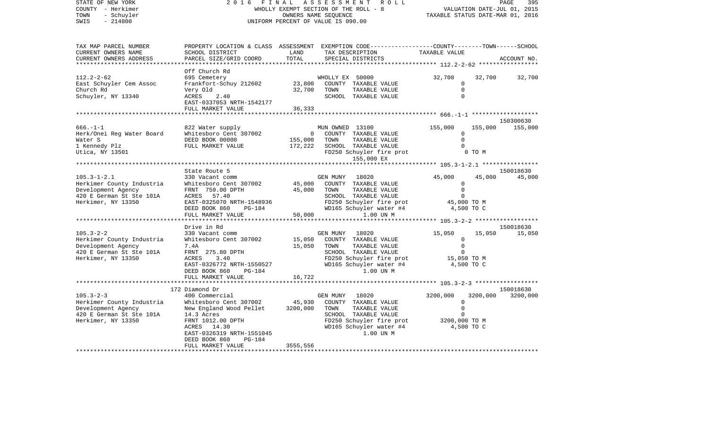| STATE OF NEW YORK<br>COUNTY - Herkimer<br>TOWN<br>- Schuyler<br>$-214800$<br>SWIS                                      | 2 0 1 6<br>FINAL<br>WHOLLY EXEMPT SECTION OF THE ROLL - 8<br>UNIFORM PERCENT OF VALUE IS 090.00                                                                                                                      | R O L L                        | 395<br>PAGE<br>VALUATION DATE-JUL 01, 2015<br>TAXABLE STATUS DATE-MAR 01, 2016                                                                                 |                                                                     |                   |                       |
|------------------------------------------------------------------------------------------------------------------------|----------------------------------------------------------------------------------------------------------------------------------------------------------------------------------------------------------------------|--------------------------------|----------------------------------------------------------------------------------------------------------------------------------------------------------------|---------------------------------------------------------------------|-------------------|-----------------------|
| TAX MAP PARCEL NUMBER<br>CURRENT OWNERS NAME<br>CURRENT OWNERS ADDRESS                                                 | PROPERTY LOCATION & CLASS ASSESSMENT EXEMPTION CODE----------------COUNTY-------TOWN------SCHOOL<br>SCHOOL DISTRICT<br>PARCEL SIZE/GRID COORD                                                                        | LAND<br>TOTAL                  | TAX DESCRIPTION<br>SPECIAL DISTRICTS                                                                                                                           | TAXABLE VALUE                                                       |                   | ACCOUNT NO.           |
| $112.2 - 2 - 62$<br>East Schuyler Cem Assoc<br>Church Rd<br>Schuyler, NY 13340                                         | Off Church Rd<br>695 Cemetery<br>Frankfort-Schuy 212602<br>Very Old<br>2.40<br>ACRES<br>EAST-0337053 NRTH-1542177<br>FULL MARKET VALUE                                                                               | 23,800<br>32,700<br>36,333     | WHOLLY EX 50000<br>COUNTY TAXABLE VALUE<br>TOWN<br>TAXABLE VALUE<br>SCHOOL TAXABLE VALUE                                                                       | 32,700<br>$\mathbf 0$<br>$\mathbf 0$<br>$\Omega$                    | 32,700            | 32,700                |
|                                                                                                                        |                                                                                                                                                                                                                      |                                |                                                                                                                                                                | ************* 666.-1-1 ********************                         |                   |                       |
| $666. - 1 - 1$<br>Herk/Onei Reg Water Board<br>Water S<br>1 Kennedy Plz<br>Utica, NY 13501                             | 822 Water supply<br>Whitesboro Cent 307002<br>DEED BOOK 00000<br>FULL MARKET VALUE                                                                                                                                   | 0<br>155,000<br>172,222        | MUN OWNED 13100<br>COUNTY TAXABLE VALUE<br>TOWN<br>TAXABLE VALUE<br>SCHOOL TAXABLE VALUE<br>FD250 Schuyler fire prot<br>155,000 EX                             | 155,000<br>0<br>$\Omega$<br>$\Omega$                                | 155,000<br>0 TO M | 150300630<br>155,000  |
|                                                                                                                        |                                                                                                                                                                                                                      |                                |                                                                                                                                                                | ******* 105.3-1-2.1 *****************                               |                   |                       |
| $105.3 - 1 - 2.1$<br>Herkimer County Industria<br>Development Agency<br>420 E German St Ste 101A<br>Herkimer, NY 13350 | State Route 5<br>330 Vacant comm<br>Whitesboro Cent 307002<br>FRNT 759.00 DPTH<br>ACRES<br>57.40<br>EAST-0325070 NRTH-1548936<br>DEED BOOK 860<br>PG-184<br>FULL MARKET VALUE                                        | 45,000<br>45,000<br>50,000     | GEN MUNY<br>18020<br>COUNTY TAXABLE VALUE<br>TOWN<br>TAXABLE VALUE<br>SCHOOL TAXABLE VALUE<br>FD250 Schuyler fire prot<br>WD165 Schuyler water #4<br>1.00 UN M | 45,000<br>0<br>$\mathbf 0$<br>$\Omega$<br>45,000 TO M<br>4,500 TO C | 45,000            | 150018630<br>45,000   |
|                                                                                                                        |                                                                                                                                                                                                                      |                                |                                                                                                                                                                | ******* 105.3-2-2 ******************                                |                   |                       |
| $105.3 - 2 - 2$<br>Herkimer County Industria<br>Development Agency<br>420 E German St Ste 101A<br>Herkimer, NY 13350   | Drive in Rd<br>330 Vacant comm<br>Whitesboro Cent 307002<br>7.4A<br>FRNT 275.80 DPTH<br>ACRES<br>3.40<br>EAST-0326772 NRTH-1550527<br>DEED BOOK 860<br><b>PG-184</b><br>FULL MARKET VALUE                            | 15,050<br>15,050<br>16,722     | GEN MUNY<br>18020<br>COUNTY TAXABLE VALUE<br>TAXABLE VALUE<br>TOWN<br>SCHOOL TAXABLE VALUE<br>FD250 Schuyler fire prot<br>WD165 Schuyler water #4<br>1.00 UN M | 15,050<br>0<br>$\mathbf 0$<br>$\Omega$<br>15,050 TO M<br>4,500 TO C | 15,050            | 150018630<br>15,050   |
|                                                                                                                        | ******************                                                                                                                                                                                                   |                                |                                                                                                                                                                |                                                                     |                   |                       |
| $105.3 - 2 - 3$<br>Herkimer County Industria<br>Development Agency<br>420 E German St Ste 101A<br>Herkimer, NY 13350   | 172 Diamond Dr<br>400 Commercial<br>Whitesboro Cent 307002<br>New England Wood Pellet<br>14.3 Acres<br>FRNT 1012.00 DPTH<br>ACRES 14.30<br>EAST-0326319 NRTH-1551045<br>DEED BOOK 860<br>PG-184<br>FULL MARKET VALUE | 45,930<br>3200,000<br>3555,556 | GEN MUNY<br>18020<br>COUNTY TAXABLE VALUE<br>TOWN<br>TAXABLE VALUE<br>SCHOOL TAXABLE VALUE<br>FD250 Schuyler fire prot<br>WD165 Schuyler water #4<br>1.00 UN M | 3200,000<br>0<br>0<br>O<br>3200,000 TO M<br>4,500 TO C              | 3200,000          | 150018630<br>3200,000 |
|                                                                                                                        |                                                                                                                                                                                                                      |                                |                                                                                                                                                                |                                                                     |                   |                       |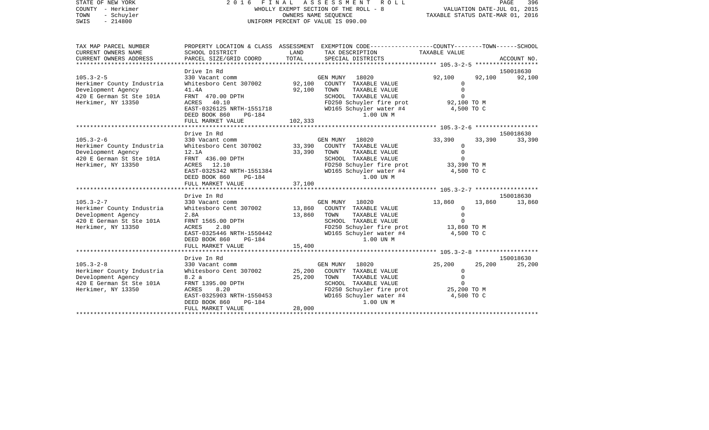| STATE OF NEW YORK         |                                              |                                                                      | 2016 FINAL ASSESSMENT<br>R O L L                                                                |                  | PAGE<br>396 |
|---------------------------|----------------------------------------------|----------------------------------------------------------------------|-------------------------------------------------------------------------------------------------|------------------|-------------|
| COUNTY - Herkimer         | WHOLLY EXEMPT SECTION OF THE ROLL - 8        | VALUATION DATE-JUL 01, 2015<br>2015 TAXABLE STATUS DATE-MAR 01, 2016 |                                                                                                 |                  |             |
| - Schuyler<br>TOWN        |                                              |                                                                      |                                                                                                 |                  |             |
| SWIS<br>$-214800$         |                                              |                                                                      | UNIFORM PERCENT OF VALUE IS 090.00                                                              |                  |             |
|                           |                                              |                                                                      |                                                                                                 |                  |             |
| TAX MAP PARCEL NUMBER     |                                              |                                                                      | PROPERTY LOCATION & CLASS ASSESSMENT EXEMPTION CODE----------------COUNTY-------TOWN-----SCHOOL |                  |             |
| CURRENT OWNERS NAME       | SCHOOL DISTRICT                              | LAND                                                                 | TAX DESCRIPTION                                                                                 | TAXABLE VALUE    |             |
| CURRENT OWNERS ADDRESS    | PARCEL SIZE/GRID COORD                       | TOTAL                                                                | SPECIAL DISTRICTS                                                                               |                  | ACCOUNT NO. |
|                           |                                              |                                                                      |                                                                                                 |                  |             |
|                           | Drive In Rd                                  |                                                                      |                                                                                                 |                  | 150018630   |
| $105.3 - 2 - 5$           | 330 Vacant comm                              |                                                                      | GEN MUNY 18020                                                                                  | 92,100<br>92,100 | 92,100      |
| Herkimer County Industria | Whitesboro Cent 307002                       |                                                                      | 92,100 COUNTY TAXABLE VALUE                                                                     | $\mathbf{0}$     |             |
| Development Agency        | 41.4A                                        | 92,100                                                               | TAXABLE VALUE<br>TOWN                                                                           | $\circ$          |             |
| 420 E German St Ste 101A  | FRNT 470.00 DPTH                             |                                                                      | SCHOOL TAXABLE VALUE                                                                            | $\circ$          |             |
| Herkimer, NY 13350        | ACRES 40.10                                  |                                                                      | FD250 Schuyler fire prot 92,100 TO M                                                            |                  |             |
|                           | EAST-0326125 NRTH-1551718                    |                                                                      | WD165 Schuyler water #4                                                                         | 4,500 TO C       |             |
|                           | DEED BOOK 860<br>PG-184                      |                                                                      | 1.00 UN M                                                                                       |                  |             |
|                           | FULL MARKET VALUE                            | 102,333                                                              |                                                                                                 |                  |             |
|                           |                                              |                                                                      |                                                                                                 |                  | 150018630   |
| $105.3 - 2 - 6$           | Drive In Rd<br>330 Vacant comm               |                                                                      | GEN MUNY 18020                                                                                  | 33,390<br>33,390 | 33,390      |
| Herkimer County Industria | Whitesboro Cent 307002                       | 33,390                                                               | COUNTY TAXABLE VALUE                                                                            | $\Omega$         |             |
| Development Agency        | 12.1A                                        | 33,390                                                               | TOWN<br>TAXABLE VALUE                                                                           | $\mathbf 0$      |             |
| 420 E German St Ste 101A  | FRNT 436.00 DPTH                             |                                                                      | SCHOOL TAXABLE VALUE                                                                            | $\mathbf 0$      |             |
| Herkimer, NY 13350        | ACRES 12.10                                  |                                                                      | FD250 Schuyler fire prot                                                                        | 33,390 TO M      |             |
|                           | EAST-0325342 NRTH-1551384                    |                                                                      | WD165 Schuyler water #4                                                                         | 4,500 TO C       |             |
|                           | DEED BOOK 860<br>PG-184                      |                                                                      | 1.00 UN M                                                                                       |                  |             |
|                           | FULL MARKET VALUE                            | 37,100                                                               |                                                                                                 |                  |             |
|                           |                                              |                                                                      |                                                                                                 |                  |             |
|                           | Drive In Rd                                  |                                                                      |                                                                                                 |                  | 150018630   |
| $105.3 - 2 - 7$           | 330 Vacant comm                              |                                                                      | GEN MUNY 18020                                                                                  | 13,860<br>13,860 | 13,860      |
| Herkimer County Industria | Whitesboro Cent 307002                       | 13,860                                                               | COUNTY TAXABLE VALUE                                                                            | $\circ$          |             |
| Development Agency        | 2.8A                                         | 13,860                                                               | TAXABLE VALUE<br>TOWN                                                                           | $\mathbf 0$      |             |
| 420 E German St Ste 101A  | FRNT 1565.00 DPTH                            |                                                                      | SCHOOL TAXABLE VALUE                                                                            | $\Omega$         |             |
| Herkimer, NY 13350        | ACRES<br>2.80                                |                                                                      | FD250 Schuyler fire prot                                                                        | 13,860 TO M      |             |
|                           | EAST-0325446 NRTH-1550442                    |                                                                      | WD165 Schuyler water #4<br>1.00 UN M                                                            | 4,500 TO C       |             |
|                           | DEED BOOK 860<br>PG-184<br>FULL MARKET VALUE | 15,400                                                               |                                                                                                 |                  |             |
|                           |                                              |                                                                      |                                                                                                 |                  |             |
|                           | Drive In Rd                                  |                                                                      |                                                                                                 |                  | 150018630   |
| $105.3 - 2 - 8$           | 330 Vacant comm                              |                                                                      | GEN MUNY 18020                                                                                  | 25,200<br>25,200 | 25,200      |
| Herkimer County Industria | Whitesboro Cent 307002                       | 25,200                                                               | COUNTY TAXABLE VALUE                                                                            | $\overline{0}$   |             |
| Development Agency        | 8.2a                                         | 25,200                                                               | TOWN<br>TAXABLE VALUE                                                                           | $\mathbf 0$      |             |
| 420 E German St Ste 101A  | FRNT 1395.00 DPTH                            |                                                                      | SCHOOL TAXABLE VALUE                                                                            | $\Omega$         |             |
| Herkimer, NY 13350        | 8.20<br>ACRES                                |                                                                      | FD250 Schuyler fire prot 25,200 TO M                                                            |                  |             |
|                           | EAST-0325903 NRTH-1550453                    |                                                                      | WD165 Schuyler water #4                                                                         | 4,500 TO C       |             |
|                           | DEED BOOK 860<br>PG-184                      |                                                                      | 1.00 UN M                                                                                       |                  |             |
|                           | FULL MARKET VALUE                            | 28,000                                                               |                                                                                                 |                  |             |
|                           |                                              |                                                                      |                                                                                                 |                  |             |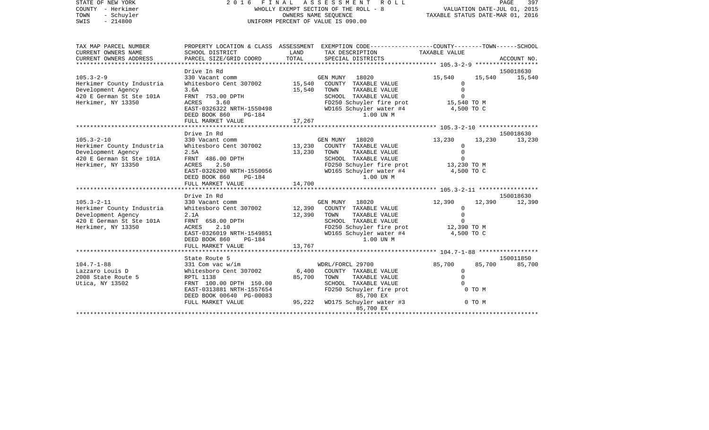STATE OF NEW YORK 2 0 1 6 F I N A L A S S E S S M E N T R O L L PAGE 397COUNTY - Herkimer WHOLLY EXEMPT SECTION OF THE ROLL - 8 VALUATION DATE-JUL 01, 2015 TOWN - Schuyler COWNERS NAME SEQUENCE TAXABLE STATUS DATE-MAR 01, 2016 SWIS - 214800 UNIFORM PERCENT OF VALUE IS 090.00TAX MAP PARCEL NUMBER PROPERTY LOCATION & CLASS ASSESSMENT EXEMPTION CODE------------------COUNTY--------TOWN------SCHOOL CURRENT OWNERS NAME SCHOOL DISTRICT LAND TAX DESCRIPTION TAXABLE VALUECURRENT OWNERS ADDRESS PARCEL SIZE/GRID COORD TOTAL SPECIAL DISTRICTS ACCOUNT NO. \*\*\*\*\*\*\*\*\*\*\*\*\*\*\*\*\*\*\*\*\*\*\*\*\*\*\*\*\*\*\*\*\*\*\*\*\*\*\*\*\*\*\*\*\*\*\*\*\*\*\*\*\*\*\*\*\*\*\*\*\*\*\*\*\*\*\*\*\*\*\*\*\*\*\*\*\*\*\*\*\*\*\*\*\*\*\*\*\*\*\*\*\*\*\*\*\*\*\*\*\*\*\* 105.3-2-9 \*\*\*\*\*\*\*\*\*\*\*\*\*\*\*\*\*\* Drive In Rd 150018630105.3-2-9 330 Vacant comm GEN MUNY 18020 15,540 15,540 15,540 Herkimer County Industria Whitesboro Cent 307002 15,540 COUNTY TAXABLE VALUE 0 Development Agency 3.6A 15,540 TOWN TAXABLE VALUE 0 420 E German St Ste 101A FRNT 753.00 DPTH SCHOOL TAXABLE VALUE O Herkimer, NY 13350 ACRES 3.60 FD250 Schuyler fire prot 15,540 TO M EAST-0326322 NRTH-1550498 WD165 Schuyler water #4 4,500 TO C DEED BOOK 860 PG-184 1.00 UN MFULL MARKET VALUE 17,267 \*\*\*\*\*\*\*\*\*\*\*\*\*\*\*\*\*\*\*\*\*\*\*\*\*\*\*\*\*\*\*\*\*\*\*\*\*\*\*\*\*\*\*\*\*\*\*\*\*\*\*\*\*\*\*\*\*\*\*\*\*\*\*\*\*\*\*\*\*\*\*\*\*\*\*\*\*\*\*\*\*\*\*\*\*\*\*\*\*\*\*\*\*\*\*\*\*\*\*\*\*\*\* 105.3-2-10 \*\*\*\*\*\*\*\*\*\*\*\*\*\*\*\*\* Drive In Rd 150018630105.3-2-10 330 Vacant comm GEN MUNY 18020 13,230 13,230 13,230 Herkimer County Industria Whitesboro Cent 307002 13,230 COUNTY TAXABLE VALUE 0 Development Agency 2.5A 13,230 TOWN TAXABLE VALUE 0 420 E German St Ste 101A FRNT 486.00 DPTH SCHOOL TAXABLE VALUE 0 Herkimer, NY 13350 ACRES 2.50 FD250 Schuyler fire prot 13,230 TO M EAST-0326200 NRTH-1550056 WD165 Schuyler water #4 4,500 TO C DEED BOOK 860 PG-184 1.00 UN MFULL MARKET VALUE 14,700 \*\*\*\*\*\*\*\*\*\*\*\*\*\*\*\*\*\*\*\*\*\*\*\*\*\*\*\*\*\*\*\*\*\*\*\*\*\*\*\*\*\*\*\*\*\*\*\*\*\*\*\*\*\*\*\*\*\*\*\*\*\*\*\*\*\*\*\*\*\*\*\*\*\*\*\*\*\*\*\*\*\*\*\*\*\*\*\*\*\*\*\*\*\*\*\*\*\*\*\*\*\*\* 105.3-2-11 \*\*\*\*\*\*\*\*\*\*\*\*\*\*\*\*\* Drive In Rd 150018630105.3-2-11 330 Vacant comm GEN MUNY 18020 12,390 12,390 12,390 Herkimer County Industria Whitesboro Cent 307002 12,390 COUNTY TAXABLE VALUE 0 Development Agency 2.1A 12,390 TOWN TAXABLE VALUE 0<br>420 E German St Ste 101A FRNT 658.00 DPTH SCHOOL TAXABLE VALUE 0 420 E German St Ste 101A FRNT 658.00 DPTH SCHOOL TAXABLE VALUE 0 Herkimer, NY 13350 ACRES 2.10 FD250 Schuyler fire prot 12,390 TO M EAST-0326019 NRTH-1549851 WD165 Schuyler water #4 4,500 TO C DEED BOOK 860 PG-184 1.00 UN MFULL MARKET VALUE 13,767 \*\*\*\*\*\*\*\*\*\*\*\*\*\*\*\*\*\*\*\*\*\*\*\*\*\*\*\*\*\*\*\*\*\*\*\*\*\*\*\*\*\*\*\*\*\*\*\*\*\*\*\*\*\*\*\*\*\*\*\*\*\*\*\*\*\*\*\*\*\*\*\*\*\*\*\*\*\*\*\*\*\*\*\*\*\*\*\*\*\*\*\*\*\*\*\*\*\*\*\*\*\*\* 104.7-1-88 \*\*\*\*\*\*\*\*\*\*\*\*\*\*\*\*\* State Route 5 150011850104.7-1-88 331 Com vac w/im WDRL/FORCL 29700 85,700 85,700 85,700 Lazzaro Louis D Whitesboro Cent 307002 6,400 COUNTY TAXABLE VALUE 0 2008 State Route 5 **RPTL 1138** 85,700 TOWN TAXABLE VALUE 0 Utica, NY 13502 FRNT 100.00 DPTH 150.00 SCHOOL TAXABLE VALUE 0 EAST-0313881 NRTH-1557654 FD250 Schuyler fire prot 6 0 TO M<br>DEED BOOK 00640 PG-00083 85,700 EX DEED BOOK 00640 PG-00083 FULL MARKET VALUE  $95,222$  WD175 Schuyler water #3 0 TO M 85,700 EX

\*\*\*\*\*\*\*\*\*\*\*\*\*\*\*\*\*\*\*\*\*\*\*\*\*\*\*\*\*\*\*\*\*\*\*\*\*\*\*\*\*\*\*\*\*\*\*\*\*\*\*\*\*\*\*\*\*\*\*\*\*\*\*\*\*\*\*\*\*\*\*\*\*\*\*\*\*\*\*\*\*\*\*\*\*\*\*\*\*\*\*\*\*\*\*\*\*\*\*\*\*\*\*\*\*\*\*\*\*\*\*\*\*\*\*\*\*\*\*\*\*\*\*\*\*\*\*\*\*\*\*\*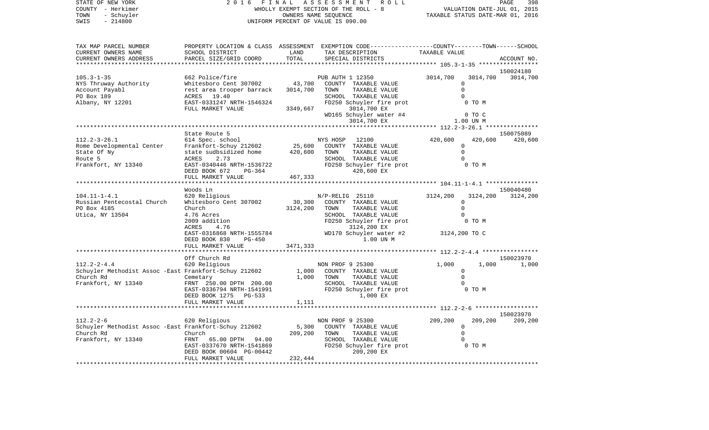COUNTY - Herkimer WHOLLY EXEMPT SECTION OF THE ROLL - 8 VALUATION DATE-JUL 01, 2015 TOWN - Schuyler COWNERS NAME SEQUENCE TAXABLE STATUS DATE-MAR 01, 2016 SWIS - 214800 UNIFORM PERCENT OF VALUE IS 090.00TAX MAP PARCEL NUMBER PROPERTY LOCATION & CLASS ASSESSMENT EXEMPTION CODE------------------COUNTY--------TOWN------SCHOOL CURRENT OWNERS NAME SCHOOL DISTRICT LAND TAX DESCRIPTION TAXABLE VALUECURRENT OWNERS ADDRESS PARCEL SIZE/GRID COORD TOTAL SPECIAL DISTRICTS ACCOUNT NO. \*\*\*\*\*\*\*\*\*\*\*\*\*\*\*\*\*\*\*\*\*\*\*\*\*\*\*\*\*\*\*\*\*\*\*\*\*\*\*\*\*\*\*\*\*\*\*\*\*\*\*\*\*\*\*\*\*\*\*\*\*\*\*\*\*\*\*\*\*\*\*\*\*\*\*\*\*\*\*\*\*\*\*\*\*\*\*\*\*\*\*\*\*\*\*\*\*\*\*\*\*\*\* 105.3-1-35 \*\*\*\*\*\*\*\*\*\*\*\*\*\*\*\*\* 150024180105.3-1-35 662 Police/fire PUB AUTH 1 12350 3014,700 3014,700 3014,700 NYS Thruway Authority Whitesboro Cent 307002 43,700 COUNTY TAXABLE VALUE 0 Account Payabl **Rest** area trooper barrack 3014,700 TOWN TAXABLE VALUE **0** PO Box 189 ACRES 19.40 CONSTRUCT SCHOOL TAXABLE VALUE 0 Albany, NY 12201 EAST-0331247 NRTH-1546324 FD250 Schuyler fire prot 0 TO M FULL MARKET VALUE 3349,667 3014,700 EX WD165 Schuyler water #4 0 TO C 3014,700 EX 1.00 UN M \*\*\*\*\*\*\*\*\*\*\*\*\*\*\*\*\*\*\*\*\*\*\*\*\*\*\*\*\*\*\*\*\*\*\*\*\*\*\*\*\*\*\*\*\*\*\*\*\*\*\*\*\*\*\*\*\*\*\*\*\*\*\*\*\*\*\*\*\*\*\*\*\*\*\*\*\*\*\*\*\*\*\*\*\*\*\*\*\*\*\*\*\*\*\*\*\*\*\*\*\*\*\* 112.2-3-26.1 \*\*\*\*\*\*\*\*\*\*\*\*\*\*\* State Route 5 150075089112.2-3-26.1 614 Spec. school NYS HOSP 12100 420,600 420,600 420,600 Rome Developmental Center Frankfort-Schuy 212602 25,600 COUNTY TAXABLE VALUE 0 State Of Ny  $\begin{array}{ccccccc} \text{State}\end{array}$  state sudbsidized home  $\begin{array}{ccccccc} 420,600 & \text{TOWN} & \text{TAXABLE}\end{array}$  TAXABLE VALUE 0 Route 5 ACRES 2.73 SCHOOL TAXABLE VALUE 0Frankfort, NY 13340 **EAST-0340446 NRTH-1536722** FD250 Schuyler fire prot 6 TO M DEED BOOK 672 PG-364 420,600 EX FULL MARKET VALUE 467, 333 \*\*\*\*\*\*\*\*\*\*\*\*\*\*\*\*\*\*\*\*\*\*\*\*\*\*\*\*\*\*\*\*\*\*\*\*\*\*\*\*\*\*\*\*\*\*\*\*\*\*\*\*\*\*\*\*\*\*\*\*\*\*\*\*\*\*\*\*\*\*\*\*\*\*\*\*\*\*\*\*\*\*\*\*\*\*\*\*\*\*\*\*\*\*\*\*\*\*\*\*\*\*\* 104.11-1-4.1 \*\*\*\*\*\*\*\*\*\*\*\*\*\*\* Woods Ln 150040480150040480 104.11-1-4.1 620 Religious N/P-RELIG 25110 3124,200 3124,200 3124,200 Russian Pentecostal Church Whitesboro Cent 307002 30,300 COUNTY TAXABLE VALUE 0 PO Box 4185 Church Church 3124,200 TOWN TAXABLE VALUE 0 Utica, NY 13504 4.76 Acres SCHOOL TAXABLE VALUE 0 2009 addition FD250 Schuyler fire prot 0 TO M ACRES 4.76 3124,200 EX EAST-0316868 NRTH-1555784 WD170 Schuyler water #2 3124,200 TO C DEED BOOK 830 PG-450 1.00 UN MFULL MARKET VALUE 3471,333 \*\*\*\*\*\*\*\*\*\*\*\*\*\*\*\*\*\*\*\*\*\*\*\*\*\*\*\*\*\*\*\*\*\*\*\*\*\*\*\*\*\*\*\*\*\*\*\*\*\*\*\*\*\*\*\*\*\*\*\*\*\*\*\*\*\*\*\*\*\*\*\*\*\*\*\*\*\*\*\*\*\*\*\*\*\*\*\*\*\*\*\*\*\*\*\*\*\*\*\*\*\*\* 112.2-2-4.4 \*\*\*\*\*\*\*\*\*\*\*\*\*\*\*\* Off Church Rd 150023970112.2-2-4.4 620 Religious NON PROF 9 25300 1,000 1,000 1,000 Schuyler Methodist Assoc -East Frankfort-Schuy 212602 1,000 COUNTY TAXABLE VALUE 0 Church Rd Cemetary 1,000 TOWN TAXABLE VALUE 0 Frankfort, NY 13340 FRNT 250.00 DPTH 200.00 SCHOOL TAXABLE VALUE 0 EAST-0336794 NRTH-1541991 FD250 Schuyler fire prot 0 TO M<br>DEED BOOK 1275 PG-533 1.000 EX DEED BOOK 1275 PG-533 FULL MARKET VALUE 1,111 \*\*\*\*\*\*\*\*\*\*\*\*\*\*\*\*\*\*\*\*\*\*\*\*\*\*\*\*\*\*\*\*\*\*\*\*\*\*\*\*\*\*\*\*\*\*\*\*\*\*\*\*\*\*\*\*\*\*\*\*\*\*\*\*\*\*\*\*\*\*\*\*\*\*\*\*\*\*\*\*\*\*\*\*\*\*\*\*\*\*\*\*\*\*\*\*\*\*\*\*\*\*\* 112.2-2-6 \*\*\*\*\*\*\*\*\*\*\*\*\*\*\*\*\*\* 150023970112.2-2-6 620 Religious NON PROF 9 25300 209,200 209,200 209,200 Schuyler Methodist Assoc -East Frankfort-Schuy 212602 5,300 COUNTY TAXABLE VALUE 0 Church Rd Church 209,200 TOWN TAXABLE VALUE 0 Frankfort, NY 13340 FRNT 65.00 DPTH 94.00 SCHOOL TAXABLE VALUE 0 EAST-0337670 NRTH-1541869 FD250 Schuyler fire prot 0 TO M DEED BOOK 00604 PG-00442 209,200 EX FULL MARKET VALUE 232,444 \*\*\*\*\*\*\*\*\*\*\*\*\*\*\*\*\*\*\*\*\*\*\*\*\*\*\*\*\*\*\*\*\*\*\*\*\*\*\*\*\*\*\*\*\*\*\*\*\*\*\*\*\*\*\*\*\*\*\*\*\*\*\*\*\*\*\*\*\*\*\*\*\*\*\*\*\*\*\*\*\*\*\*\*\*\*\*\*\*\*\*\*\*\*\*\*\*\*\*\*\*\*\*\*\*\*\*\*\*\*\*\*\*\*\*\*\*\*\*\*\*\*\*\*\*\*\*\*\*\*\*\*

STATE OF NEW YORK 2 0 1 6 F I N A L A S S E S S M E N T R O L L PAGE 398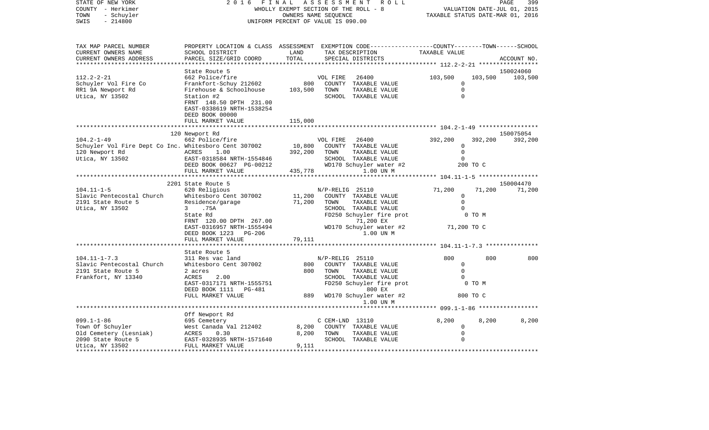| STATE OF NEW YORK<br>COUNTY - Herkimer<br>TOWN<br>- Schuyler<br>SWIS<br>$-214800$                              | 2016                                                                                                                                                          | FINAL<br>ASSESSMENT<br>WHOLLY EXEMPT SECTION OF THE ROLL - 8<br>OWNERS NAME SEQUENCE<br>UNIFORM PERCENT OF VALUE IS 090.00 | PAGE<br>399<br>VALUATION DATE-JUL 01, 2015<br>TAXABLE STATUS DATE-MAR 01, 2016                                                                            |                                                |                           |             |
|----------------------------------------------------------------------------------------------------------------|---------------------------------------------------------------------------------------------------------------------------------------------------------------|----------------------------------------------------------------------------------------------------------------------------|-----------------------------------------------------------------------------------------------------------------------------------------------------------|------------------------------------------------|---------------------------|-------------|
| TAX MAP PARCEL NUMBER<br>CURRENT OWNERS NAME<br>CURRENT OWNERS ADDRESS                                         | PROPERTY LOCATION & CLASS ASSESSMENT EXEMPTION CODE---------------COUNTY-------TOWN------SCHOOL<br>SCHOOL DISTRICT<br>PARCEL SIZE/GRID COORD                  | LAND<br>TOTAL                                                                                                              | TAX DESCRIPTION<br>SPECIAL DISTRICTS                                                                                                                      | TAXABLE VALUE                                  |                           | ACCOUNT NO. |
|                                                                                                                | State Route 5                                                                                                                                                 |                                                                                                                            |                                                                                                                                                           |                                                |                           | 150024060   |
| $112.2 - 2 - 21$<br>Schuyler Vol Fire Co<br>RR1 9A Newport Rd<br>Utica, NY 13502                               | 662 Police/fire<br>Frankfort-Schuy 212602<br>Firehouse & Schoolhouse<br>Station #2<br>FRNT 148.50 DPTH 231.00<br>EAST-0338619 NRTH-1538254<br>DEED BOOK 00000 | 800<br>103,500                                                                                                             | 26400<br>VOL FIRE<br>COUNTY TAXABLE VALUE<br>TOWN<br>TAXABLE VALUE<br>SCHOOL TAXABLE VALUE                                                                | 103,500<br>0<br>$\Omega$<br>$\Omega$           | 103,500                   | 103,500     |
|                                                                                                                | FULL MARKET VALUE                                                                                                                                             | 115,000                                                                                                                    |                                                                                                                                                           |                                                |                           |             |
|                                                                                                                | 120 Newport Rd                                                                                                                                                |                                                                                                                            |                                                                                                                                                           |                                                |                           | 150075054   |
| $104.2 - 1 - 49$<br>Schuyler Vol Fire Dept Co Inc. Whitesboro Cent 307002<br>120 Newport Rd<br>Utica, NY 13502 | 662 Police/fire<br>ACRES<br>1.00<br>EAST-0318584 NRTH-1554846                                                                                                 | 10,800<br>392,200                                                                                                          | 26400<br>VOL FIRE<br>COUNTY TAXABLE VALUE<br>TOWN<br>TAXABLE VALUE<br>SCHOOL TAXABLE VALUE                                                                | 392,200<br>$\Omega$<br>$\mathbf 0$<br>$\Omega$ | 392,200                   | 392,200     |
|                                                                                                                | DEED BOOK 00627 PG-00212                                                                                                                                      |                                                                                                                            | WD170 Schuyler water #2                                                                                                                                   |                                                | 200 TO C                  |             |
|                                                                                                                | FULL MARKET VALUE                                                                                                                                             | 435,778                                                                                                                    | 1.00 UN M                                                                                                                                                 |                                                |                           |             |
|                                                                                                                | 2201 State Route 5                                                                                                                                            |                                                                                                                            |                                                                                                                                                           |                                                |                           | 150004470   |
| $104.11 - 1 - 5$                                                                                               | 620 Religious                                                                                                                                                 |                                                                                                                            | N/P-RELIG 25110                                                                                                                                           | 71,200                                         | 71,200                    | 71,200      |
| Slavic Pentecostal Church                                                                                      | Whitesboro Cent 307002                                                                                                                                        | 11,200                                                                                                                     | COUNTY TAXABLE VALUE                                                                                                                                      | $\circ$                                        |                           |             |
| 2191 State Route 5                                                                                             | Residence/garage                                                                                                                                              | 71,200                                                                                                                     | TAXABLE VALUE<br>TOWN                                                                                                                                     | $\Omega$                                       |                           |             |
| Utica, NY 13502                                                                                                | $\mathbf{3}$<br>.75A                                                                                                                                          |                                                                                                                            | SCHOOL TAXABLE VALUE                                                                                                                                      |                                                |                           |             |
|                                                                                                                | State Rd                                                                                                                                                      |                                                                                                                            | FD250 Schuyler fire prot                                                                                                                                  |                                                | 0 TO M                    |             |
|                                                                                                                | FRNT 120.00 DPTH 267.00<br>EAST-0316957 NRTH-1555494<br>DEED BOOK 1223<br>PG-206                                                                              |                                                                                                                            | 71,200 EX<br>WD170 Schuyler water #2<br>1.00 UN M                                                                                                         | 71,200 TO C                                    |                           |             |
|                                                                                                                | FULL MARKET VALUE                                                                                                                                             | 79,111                                                                                                                     |                                                                                                                                                           |                                                |                           |             |
|                                                                                                                |                                                                                                                                                               |                                                                                                                            |                                                                                                                                                           | ************************* 104.11-1-7.3 ****    |                           |             |
|                                                                                                                | State Route 5                                                                                                                                                 |                                                                                                                            |                                                                                                                                                           |                                                |                           |             |
| $104.11 - 1 - 7.3$<br>Slavic Pentecostal Church<br>2191 State Route 5<br>Frankfort, NY 13340                   | 311 Res vac land<br>Whitesboro Cent 307002<br>2 acres<br>ACRES<br>2.00<br>EAST-0317171 NRTH-1555751<br>DEED BOOK 1111 PG-481<br>FULL MARKET VALUE             | 800<br>800<br>889                                                                                                          | N/P-RELIG 25110<br>COUNTY TAXABLE VALUE<br>TOWN<br>TAXABLE VALUE<br>SCHOOL TAXABLE VALUE<br>FD250 Schuyler fire prot<br>800 EX<br>WD170 Schuyler water #2 | 800<br>0<br>$\Omega$<br>$\Omega$               | 800<br>0 TO M<br>800 TO C | 800         |
|                                                                                                                |                                                                                                                                                               |                                                                                                                            | 1.00 UN M                                                                                                                                                 |                                                |                           |             |
|                                                                                                                | Off Newport Rd                                                                                                                                                |                                                                                                                            |                                                                                                                                                           |                                                |                           |             |
| $099.1 - 1 - 86$                                                                                               | 695 Cemetery                                                                                                                                                  |                                                                                                                            | C CEM-LND 13110                                                                                                                                           | 8,200                                          | 8,200                     | 8,200       |
| Town Of Schuyler                                                                                               | West Canada Val 212402                                                                                                                                        | 8,200                                                                                                                      | COUNTY TAXABLE VALUE                                                                                                                                      | $\mathbf 0$                                    |                           |             |
| Old Cemetery (Lesniak)                                                                                         | ACRES<br>0.30                                                                                                                                                 | 8,200                                                                                                                      | TOWN<br>TAXABLE VALUE                                                                                                                                     | $\mathbf 0$                                    |                           |             |
| 2090 State Route 5<br>Utica, NY 13502                                                                          | EAST-0328935 NRTH-1571640<br>FULL MARKET VALUE                                                                                                                | 9,111<br>*****************                                                                                                 | SCHOOL TAXABLE VALUE                                                                                                                                      | $\Omega$                                       |                           |             |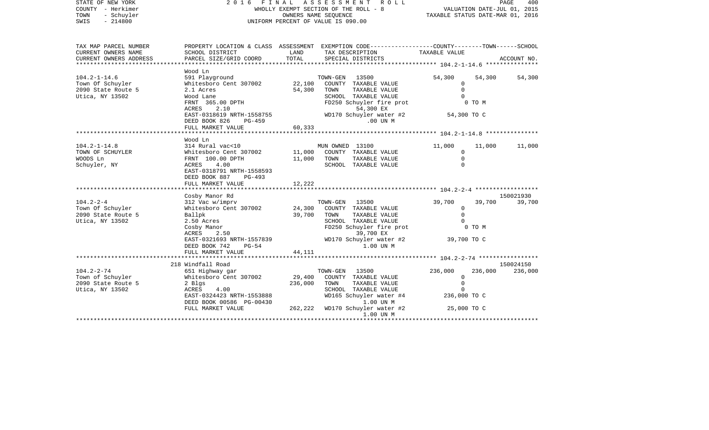| STATE OF NEW YORK<br>COUNTY - Herkimer<br>- Schuyler<br>TOWN<br>$-214800$<br>SWIS | 2016<br>FINAL<br>WHOLLY EXEMPT SECTION OF THE ROLL - 8<br>UNIFORM PERCENT OF VALUE IS 090.00 | PAGE<br>400<br>VALUATION DATE-JUL 01, 2015<br>TAXABLE STATUS DATE-MAR 01, 2016 |                                                                                                                     |                                          |         |             |
|-----------------------------------------------------------------------------------|----------------------------------------------------------------------------------------------|--------------------------------------------------------------------------------|---------------------------------------------------------------------------------------------------------------------|------------------------------------------|---------|-------------|
| TAX MAP PARCEL NUMBER<br>CURRENT OWNERS NAME                                      | SCHOOL DISTRICT                                                                              | LAND                                                                           | PROPERTY LOCATION & CLASS ASSESSMENT EXEMPTION CODE----------------COUNTY-------TOWN------SCHOOL<br>TAX DESCRIPTION | TAXABLE VALUE                            |         |             |
| CURRENT OWNERS ADDRESS<br>**********************                                  | PARCEL SIZE/GRID COORD<br>*******************                                                | TOTAL                                                                          | SPECIAL DISTRICTS                                                                                                   |                                          |         | ACCOUNT NO. |
|                                                                                   | Wood Ln                                                                                      |                                                                                |                                                                                                                     |                                          |         |             |
| $104.2 - 1 - 14.6$                                                                | 591 Playground                                                                               |                                                                                | TOWN-GEN<br>13500                                                                                                   | 54,300                                   | 54,300  | 54,300      |
| Town Of Schuyler                                                                  | Whitesboro Cent 307002<br>2.1 Acres                                                          | 22,100<br>54,300                                                               | COUNTY TAXABLE VALUE<br>TOWN                                                                                        | 0<br>$\Omega$                            |         |             |
| 2090 State Route 5<br>Utica, NY 13502                                             |                                                                                              |                                                                                | TAXABLE VALUE<br>SCHOOL TAXABLE VALUE                                                                               | $\Omega$                                 |         |             |
|                                                                                   | Wood Lane<br>FRNT 365.00 DPTH                                                                |                                                                                | FD250 Schuyler fire prot                                                                                            |                                          | 0 TO M  |             |
|                                                                                   | ACRES<br>2.10                                                                                |                                                                                | 54,300 EX                                                                                                           |                                          |         |             |
|                                                                                   | EAST-0318619 NRTH-1558755                                                                    |                                                                                | WD170 Schuyler water #2                                                                                             | 54,300 TO C                              |         |             |
|                                                                                   | DEED BOOK 826<br>PG-459                                                                      |                                                                                | .00 UN M                                                                                                            |                                          |         |             |
|                                                                                   | FULL MARKET VALUE                                                                            | 60,333                                                                         |                                                                                                                     |                                          |         |             |
|                                                                                   | ******************                                                                           | ************                                                                   |                                                                                                                     | ************** 104.2-1-14.8 ************ |         |             |
|                                                                                   | Wood Ln                                                                                      |                                                                                |                                                                                                                     |                                          |         |             |
| $104.2 - 1 - 14.8$                                                                | 314 Rural vac<10                                                                             |                                                                                | MUN OWNED 13100                                                                                                     | 11,000                                   | 11,000  | 11,000      |
| TOWN OF SCHUYLER                                                                  | Whitesboro Cent 307002                                                                       | 11,000                                                                         | COUNTY TAXABLE VALUE                                                                                                | $\mathbf 0$                              |         |             |
| WOODS Ln                                                                          | FRNT 100.00 DPTH                                                                             | 11,000                                                                         | TAXABLE VALUE<br>TOWN                                                                                               | $\Omega$                                 |         |             |
| Schuyler, NY                                                                      | ACRES<br>4.00                                                                                |                                                                                | SCHOOL TAXABLE VALUE                                                                                                | $\Omega$                                 |         |             |
|                                                                                   | EAST-0318791 NRTH-1558593                                                                    |                                                                                |                                                                                                                     |                                          |         |             |
|                                                                                   | DEED BOOK 887<br>PG-493                                                                      | 12,222                                                                         |                                                                                                                     |                                          |         |             |
|                                                                                   | FULL MARKET VALUE                                                                            |                                                                                |                                                                                                                     |                                          |         |             |
|                                                                                   | Cosby Manor Rd                                                                               |                                                                                |                                                                                                                     |                                          |         | 150021930   |
| $104.2 - 2 - 4$                                                                   | 312 Vac w/imprv                                                                              |                                                                                | TOWN-GEN<br>13500                                                                                                   | 39,700                                   | 39,700  | 39,700      |
| Town Of Schuyler                                                                  | Whitesboro Cent 307002                                                                       | 24,300                                                                         | COUNTY TAXABLE VALUE                                                                                                | $\mathbf 0$                              |         |             |
| 2090 State Route 5                                                                | Ballpk                                                                                       | 39,700                                                                         | TAXABLE VALUE<br>TOWN                                                                                               | $\Omega$                                 |         |             |
| Utica, NY 13502                                                                   | 2.50 Acres                                                                                   |                                                                                | SCHOOL TAXABLE VALUE                                                                                                | $\Omega$                                 |         |             |
|                                                                                   | Cosby Manor                                                                                  |                                                                                | FD250 Schuyler fire prot                                                                                            |                                          | 0 TO M  |             |
|                                                                                   | <b>ACRES</b><br>2.50                                                                         |                                                                                | 39,700 EX                                                                                                           |                                          |         |             |
|                                                                                   | EAST-0321693 NRTH-1557839                                                                    |                                                                                | WD170 Schuyler water #2                                                                                             | 39,700 TO C                              |         |             |
|                                                                                   | DEED BOOK 742<br>$PG-54$                                                                     |                                                                                | 1.00 UN M                                                                                                           |                                          |         |             |
|                                                                                   | FULL MARKET VALUE                                                                            | 44,111                                                                         |                                                                                                                     |                                          |         |             |
|                                                                                   | *********************                                                                        |                                                                                |                                                                                                                     |                                          |         |             |
|                                                                                   | 218 Windfall Road                                                                            |                                                                                |                                                                                                                     |                                          |         | 150024150   |
| $104.2 - 2 - 74$                                                                  | 651 Highway gar                                                                              |                                                                                | TOWN-GEN<br>13500                                                                                                   | 236,000                                  | 236,000 | 236,000     |
| Town of Schuyler                                                                  | Whitesboro Cent 307002                                                                       | 29,400                                                                         | COUNTY TAXABLE VALUE                                                                                                | $\mathbf 0$                              |         |             |
| 2090 State Route 5                                                                | 2 Blgs                                                                                       | 236,000                                                                        | TAXABLE VALUE<br>TOWN                                                                                               | $\mathbf 0$                              |         |             |
| Utica, NY 13502                                                                   | ACRES<br>4.00                                                                                |                                                                                | SCHOOL TAXABLE VALUE                                                                                                |                                          |         |             |
|                                                                                   | EAST-0324423 NRTH-1553888                                                                    |                                                                                | WD165 Schuyler water #4                                                                                             | 236,000 TO C                             |         |             |
|                                                                                   | DEED BOOK 00586 PG-00430<br>FULL MARKET VALUE                                                | 262,222                                                                        | 1.00 UN M<br>WD170 Schuyler water #2                                                                                | 25,000 TO C                              |         |             |
|                                                                                   |                                                                                              |                                                                                | 1.00 UN M                                                                                                           |                                          |         |             |
|                                                                                   |                                                                                              |                                                                                |                                                                                                                     |                                          |         |             |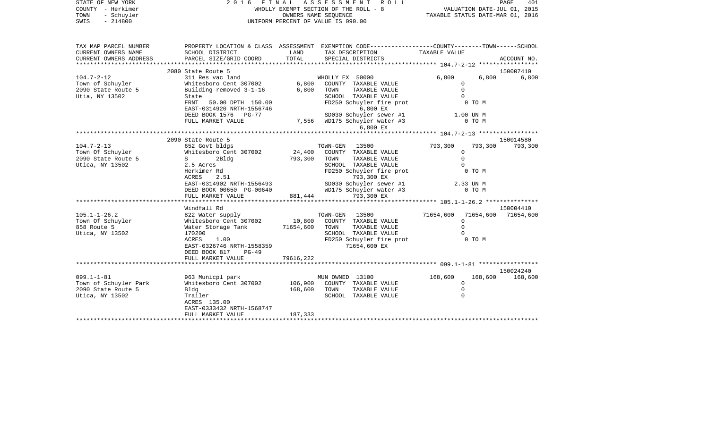| COUNTY<br>– Herkimer<br>TOWN<br>- Schuyler<br>SWIS<br>$-214800$        |                                                                                                                                                 |               | OWNERS NAME SEQUENCE<br>UNIFORM PERCENT OF VALUE IS 090.00 |                         | WHOLLY EXEMPT SECTION OF THE ROLL - 8 WALUATION DATE-JUL 01, 2015<br>OWNERS NAME SEQUENCE COMERTY TAXABLE STATUS DATE-MAR 01, 2016 |                     |  |
|------------------------------------------------------------------------|-------------------------------------------------------------------------------------------------------------------------------------------------|---------------|------------------------------------------------------------|-------------------------|------------------------------------------------------------------------------------------------------------------------------------|---------------------|--|
| TAX MAP PARCEL NUMBER<br>CURRENT OWNERS NAME<br>CURRENT OWNERS ADDRESS | PROPERTY LOCATION & CLASS ASSESSMENT EXEMPTION CODE-----------------COUNTY--------TOWN------SCHOOL<br>SCHOOL DISTRICT<br>PARCEL SIZE/GRID COORD | LAND<br>TOTAL | TAX DESCRIPTION<br>SPECIAL DISTRICTS                       | TAXABLE VALUE           |                                                                                                                                    | ACCOUNT NO.         |  |
|                                                                        | 2080 State Route 5                                                                                                                              |               |                                                            |                         |                                                                                                                                    | 150007410           |  |
| $104.7 - 2 - 12$                                                       | 311 Res vac land                                                                                                                                |               | WHOLLY EX 50000                                            | 6,800                   | 6,800                                                                                                                              | 6,800               |  |
| Town of Schuyler                                                       | Whitesboro Cent 307002 6,800                                                                                                                    |               | COUNTY TAXABLE VALUE                                       | $\mathbf{0}$            |                                                                                                                                    |                     |  |
| 2090 State Route 5                                                     | Building removed 3-1-16                                                                                                                         | 6,800         | TAXABLE VALUE<br>TOWN                                      | $\Omega$                |                                                                                                                                    |                     |  |
| Utia, NY 13502                                                         | State                                                                                                                                           |               | SCHOOL TAXABLE VALUE                                       | $\Omega$                |                                                                                                                                    |                     |  |
|                                                                        | FRNT<br>50.00 DPTH 150.00<br>EAST-0314920 NRTH-1556746                                                                                          |               | FD250 Schuyler fire prot<br>6,800 EX                       | 0 TO M                  |                                                                                                                                    |                     |  |
|                                                                        | DEED BOOK 1576 PG-77<br>FULL MARKET VALUE                                                                                                       |               | SD030 Schuyler sewer #1<br>7,556 WD175 Schuyler water #3   | 1.00 UN M               | 0 TO M                                                                                                                             |                     |  |
|                                                                        |                                                                                                                                                 |               | 6,800 EX                                                   |                         |                                                                                                                                    |                     |  |
|                                                                        | 2090 State Route 5                                                                                                                              |               |                                                            |                         |                                                                                                                                    | 150014580           |  |
| $104.7 - 2 - 13$                                                       | 652 Govt bldgs                                                                                                                                  |               | TOWN-GEN 13500                                             | 793,300                 | 793,300                                                                                                                            | 793,300             |  |
| Town Of Schuyler                                                       | Whitesboro Cent 307002                                                                                                                          | 24,400        | COUNTY TAXABLE VALUE                                       | $\Omega$                |                                                                                                                                    |                     |  |
| 2090 State Route 5                                                     | $S \sim$<br>2Bldg                                                                                                                               | 793,300       | TOWN<br>TAXABLE VALUE                                      | $\Omega$                |                                                                                                                                    |                     |  |
| Utica, NY 13502                                                        | 2.5 Acres                                                                                                                                       |               | SCHOOL TAXABLE VALUE                                       |                         |                                                                                                                                    |                     |  |
|                                                                        | Herkimer Rd                                                                                                                                     |               | FD250 Schuyler fire prot                                   |                         | 0 TO M                                                                                                                             |                     |  |
|                                                                        | 2.51<br>ACRES<br>EAST-0314902 NRTH-1556493                                                                                                      |               | 793,300 EX<br>SD030 Schuyler sewer #1                      | 2.33 UN M               |                                                                                                                                    |                     |  |
|                                                                        | DEED BOOK 00650 PG-00640                                                                                                                        |               | WD175 Schuyler water #3                                    |                         | 0 TO M                                                                                                                             |                     |  |
|                                                                        | FULL MARKET VALUE                                                                                                                               |               | 881,444<br>793,300 EX                                      |                         |                                                                                                                                    |                     |  |
|                                                                        |                                                                                                                                                 |               |                                                            |                         |                                                                                                                                    |                     |  |
|                                                                        | Windfall Rd                                                                                                                                     |               |                                                            |                         |                                                                                                                                    | 150004410           |  |
| $105.1 - 1 - 26.2$                                                     | 822 Water supply                                                                                                                                |               | TOWN-GEN 13500                                             | 71654,600               |                                                                                                                                    | 71654,600 71654,600 |  |
| Town Of Schuyler                                                       | Whitesboro Cent <sup>307002</sup>                                                                                                               | 10,800        | COUNTY TAXABLE VALUE                                       | $\cap$                  |                                                                                                                                    |                     |  |
| 858 Route 5                                                            | Water Storage Tank 71654,600                                                                                                                    |               | TOWN<br>TAXABLE VALUE<br>SCHOOL TAXABLE VALUE              | $\cap$                  |                                                                                                                                    |                     |  |
| Utica, NY 13502                                                        | 170200<br>ACRES<br>1.00                                                                                                                         |               | FD250 Schuyler fire prot 0 TO M                            |                         |                                                                                                                                    |                     |  |
|                                                                        | EAST-0326746 NRTH-1558359                                                                                                                       |               | 71654,600 EX                                               |                         |                                                                                                                                    |                     |  |
|                                                                        | DEED BOOK 817<br>$PG-49$                                                                                                                        |               |                                                            |                         |                                                                                                                                    |                     |  |
|                                                                        | FULL MARKET VALUE                                                                                                                               | 79616,222     |                                                            |                         |                                                                                                                                    |                     |  |
|                                                                        |                                                                                                                                                 |               |                                                            |                         |                                                                                                                                    |                     |  |
|                                                                        |                                                                                                                                                 |               |                                                            |                         |                                                                                                                                    | 150024240           |  |
| $099.1 - 1 - 81$                                                       | 963 Municpl park                                                                                                                                |               | MUN OWNED 13100                                            | 168,600                 | 168,600                                                                                                                            | 168,600             |  |
| Town of Schuyler Park                                                  | Whitesboro Cent 307002                                                                                                                          | 106,900       | COUNTY TAXABLE VALUE<br>TAXABLE VALUE                      | $\Omega$<br>$\mathbf 0$ |                                                                                                                                    |                     |  |
| 2090 State Route 5<br>Utica, NY 13502                                  | Bldg<br>Trailer                                                                                                                                 | 168,600       | TOWN<br>SCHOOL TAXABLE VALUE                               | $\Omega$                |                                                                                                                                    |                     |  |
|                                                                        | ACRES 135.00                                                                                                                                    |               |                                                            |                         |                                                                                                                                    |                     |  |
|                                                                        | EAST-0333432 NRTH-1568747                                                                                                                       |               |                                                            |                         |                                                                                                                                    |                     |  |
|                                                                        | FULL MARKET VALUE                                                                                                                               | 187,333       |                                                            |                         |                                                                                                                                    |                     |  |
|                                                                        |                                                                                                                                                 |               |                                                            |                         |                                                                                                                                    |                     |  |

PAGE 401

STATE OF NEW YORK 2 0 1 6 F I N A L A S S E S S M E N T R O L L PAGE 401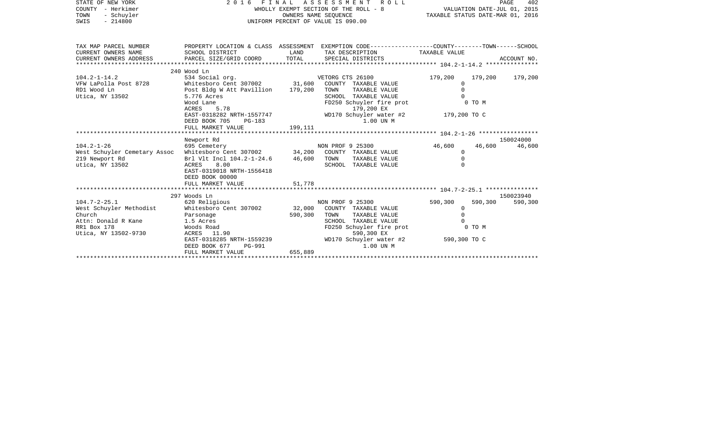| STATE OF NEW YORK<br>COUNTY - Herkimer<br>- Schuyler<br>TOWN<br>$-214800$<br>SWIS                                                                                                                                                  | 2016 FINAL ASSESSMENT ROLL<br>WHOLLY EXEMPT SECTION OF THE ROLL - 8<br>UNIFORM PERCENT OF VALUE IS 090.00                          | VALUATION DATE-JUL 01, 2015<br>TAXABLE STATUS DATE-MAR 01, 2016 |                                                                                                                                                                | PAGE<br>402                                         |                   |             |
|------------------------------------------------------------------------------------------------------------------------------------------------------------------------------------------------------------------------------------|------------------------------------------------------------------------------------------------------------------------------------|-----------------------------------------------------------------|----------------------------------------------------------------------------------------------------------------------------------------------------------------|-----------------------------------------------------|-------------------|-------------|
| TAX MAP PARCEL NUMBER<br>CURRENT OWNERS NAME<br>CURRENT OWNERS ADDRESS                                                                                                                                                             | SCHOOL DISTRICT<br>PARCEL SIZE/GRID COORD                                                                                          | LAND<br>TOTAL                                                   | PROPERTY LOCATION & CLASS ASSESSMENT EXEMPTION CODE---------------COUNTY-------TOWN-----SCHOOL<br>TAX DESCRIPTION TAXABLE VALUE<br>SPECIAL DISTRICTS           |                                                     |                   | ACCOUNT NO. |
|                                                                                                                                                                                                                                    | 240 Wood Ln                                                                                                                        |                                                                 |                                                                                                                                                                |                                                     |                   |             |
| $104.2 - 1 - 14.2$<br>VFW LaPolla Post 8728<br>RD1 Wood Ln<br>Utica, NY 13502                                                                                                                                                      | 534 Social org.<br>Whitesboro Cent 307002 31,600<br>Post Bldg W Att Pavillion 179,200<br>5.776 Acres<br>Wood Lane<br>ACRES<br>5.78 |                                                                 | VETORG CTS 26100<br>COUNTY TAXABLE VALUE<br>TOWN<br>TAXABLE VALUE<br>SCHOOL TAXABLE VALUE<br>FD250 Schuyler fire prot<br>179,200 EX                            | 179,200<br>$\mathbf{0}$<br>$\Omega$<br>$\cap$       | 179,200<br>0 TO M | 179,200     |
|                                                                                                                                                                                                                                    | EAST-0318282 NRTH-1557747                                                                                                          |                                                                 | WD170 Schuyler water #2 179,200 TO C                                                                                                                           |                                                     |                   |             |
|                                                                                                                                                                                                                                    | DEED BOOK 705<br>PG-183<br>FULL MARKET VALUE                                                                                       | 199,111                                                         | 1.00 UN M                                                                                                                                                      |                                                     |                   |             |
|                                                                                                                                                                                                                                    |                                                                                                                                    |                                                                 |                                                                                                                                                                |                                                     |                   |             |
|                                                                                                                                                                                                                                    | Newport Rd                                                                                                                         |                                                                 |                                                                                                                                                                |                                                     |                   | 150024000   |
|                                                                                                                                                                                                                                    |                                                                                                                                    |                                                                 |                                                                                                                                                                | 46,600                                              | 46,600            | 46,600      |
|                                                                                                                                                                                                                                    |                                                                                                                                    |                                                                 |                                                                                                                                                                | $\mathbf{0}$                                        |                   |             |
| 695 Cemetery (1995 Cemetery 1995 Cemetery 1995 Cemetery 1995 Cemetery 1997 25300 NON PROF<br>219 Newport Rd Brl Vlt Incl 104.2-1-24.6 46,600 TOWN TAXABLE VALUE<br>219 Newport Rd Brl Vlt Incl 104.2-1-24.6 46,600 TOWN TAXABLE VA | EAST-0319018 NRTH-1556418<br>DEED BOOK 00000                                                                                       |                                                                 | TAXABLE VALUE                                                                                                                                                  | $\Omega$<br>$\Omega$                                |                   |             |
|                                                                                                                                                                                                                                    | FULL MARKET VALUE                                                                                                                  | 51,778                                                          |                                                                                                                                                                |                                                     |                   |             |
|                                                                                                                                                                                                                                    |                                                                                                                                    |                                                                 |                                                                                                                                                                |                                                     |                   |             |
|                                                                                                                                                                                                                                    | 297 Woods Ln                                                                                                                       |                                                                 |                                                                                                                                                                |                                                     |                   | 150023940   |
| $104.7 - 2 - 25.1$<br>West Schuyler Methodist<br>Church<br>Attn: Donald R Kane<br>RR1 Box 178<br>Utica, NY 13502-9730                                                                                                              | 620 Religious<br>Whitesboro Cent 307002<br>Parsonage<br>1.5 Acres<br>Woods Road<br>ACRES 11.90<br>EAST-0318285 NRTH-1559239        | 32,000<br>590,300                                               | NON PROF 9 25300<br>COUNTY TAXABLE VALUE<br>TOWN<br>TAXABLE VALUE<br>SCHOOL TAXABLE VALUE<br>FD250 Schuyler fire prot<br>590,300 EX<br>WD170 Schuyler water #2 | 590,300<br>$\mathbf{0}$<br>$\Omega$<br>590,300 TO C | 590,300<br>0 TO M | 590,300     |
|                                                                                                                                                                                                                                    | DEED BOOK 677<br>PG-991<br>FULL MARKET VALUE                                                                                       | 655,889                                                         | 1.00 UN M                                                                                                                                                      |                                                     |                   |             |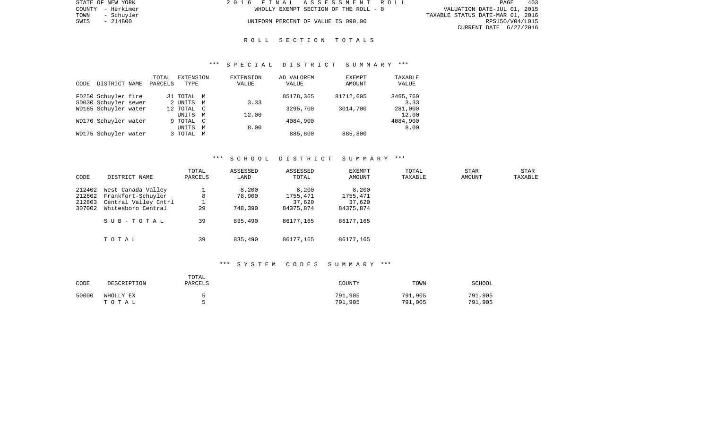| STATE OF NEW YORK  | 2016 FINAL ASSESSMENT ROLL            | 403<br>PAGE                      |
|--------------------|---------------------------------------|----------------------------------|
| COUNTY - Herkimer  | WHOLLY EXEMPT SECTION OF THE ROLL - 8 | VALUATION DATE-JUL 01, 2015      |
| TOWN<br>- Schuvler |                                       | TAXABLE STATUS DATE-MAR 01, 2016 |
| - 214800<br>SWIS   | UNIFORM PERCENT OF VALUE IS 090.00    | RPS150/V04/L015                  |
|                    |                                       | CURRENT DATE 6/27/2016           |

| STATE OF NEW YORK |            |
|-------------------|------------|
| <b>COUNTY</b>     | - Herkimer |
| TOWN              | - Schuyler |
| SWIS              | $-214800$  |

#### R O L L S E C T I O N T O T A L S

#### \*\*\* S P E C I A L D I S T R I C T S U M M A R Y \*\*\*

| CODE | DISTRICT NAME        | TOTAL<br>PARCELS | EXTENSION<br>TYPE |                | EXTENSION<br>VALUE | AD VALOREM<br>VALUE | EXEMPT<br>AMOUNT | TAXABLE<br>VALUE |
|------|----------------------|------------------|-------------------|----------------|--------------------|---------------------|------------------|------------------|
|      | FD250 Schuyler fire  |                  | 31 TOTAL M        |                |                    | 85178,365           | 81712,605        | 3465,760         |
|      | SD030 Schuyler sewer |                  | 2 UNITS           | M              | 3.33               |                     |                  | 3.33             |
|      | WD165 Schuyler water |                  | 12 TOTAL C        |                |                    | 3295,700            | 3014,700         | 281,000          |
|      |                      |                  | UNITS             | M              | 12.00              |                     |                  | 12.00            |
|      | WD170 Schuyler water |                  | 9 TOTAL           | $\overline{C}$ |                    | 4084,900            |                  | 4084,900         |
|      |                      |                  | UNITS             | M              | 8.00               |                     |                  | 8.00             |
|      | WD175 Schuyler water |                  | 3 TOTAL           | M              |                    | 885,800             | 885,800          |                  |

#### \*\*\* S C H O O L D I S T R I C T S U M M A R Y \*\*\*

| CODE                                 | DISTRICT NAME                                                                          | TOTAL<br>PARCELS | ASSESSED<br>LAND           | ASSESSED<br>TOTAL                        | <b>EXEMPT</b><br>AMOUNT                  | TOTAL<br>TAXABLE | STAR<br>AMOUNT | STAR<br>TAXABLE |
|--------------------------------------|----------------------------------------------------------------------------------------|------------------|----------------------------|------------------------------------------|------------------------------------------|------------------|----------------|-----------------|
| 212402<br>212602<br>212803<br>307002 | West Canada Valley<br>Frankfort-Schuyler<br>Central Valley Cntrl<br>Whitesboro Central | 8<br>29          | 8,200<br>78,900<br>748,390 | 8,200<br>1755,471<br>37,620<br>84375,874 | 8,200<br>1755,471<br>37,620<br>84375,874 |                  |                |                 |
|                                      | SUB-TOTAL                                                                              | 39<br>39         | 835,490                    | 86177,165                                | 86177,165                                |                  |                |                 |
|                                      | TOTAL                                                                                  |                  | 835,490                    | 86177,165                                | 86177,165                                |                  |                |                 |

## \*\*\* S Y S T E M C O D E S S U M M A R Y \*\*\*

| CODE  | DESCRIPTION        | TOTAL<br><b>PARCELS</b> | COUNTY             | TOWN               | SCHOOL             |
|-------|--------------------|-------------------------|--------------------|--------------------|--------------------|
| 50000 | WHOLLY EX<br>тотаь |                         | 791,905<br>791,905 | 791,905<br>791,905 | 791,905<br>791,905 |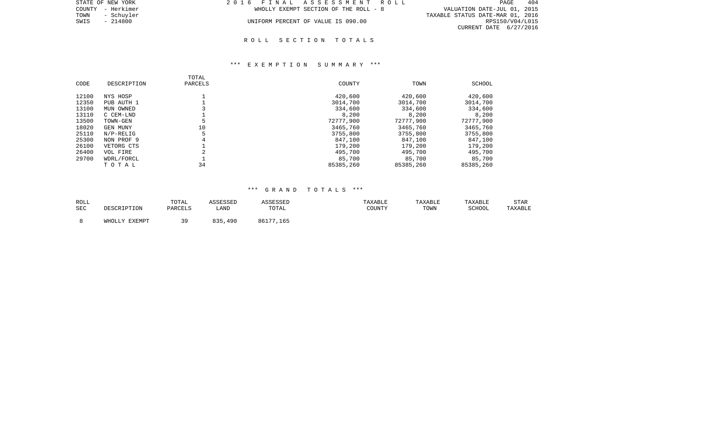| STATE OF NEW YORK  | 2016 FINAL ASSESSMENT ROLL            | 404<br>PAGE                      |
|--------------------|---------------------------------------|----------------------------------|
| COUNTY - Herkimer  | WHOLLY EXEMPT SECTION OF THE ROLL - 8 | VALUATION DATE-JUL 01, 2015      |
| TOWN<br>- Schuvler |                                       | TAXABLE STATUS DATE-MAR 01, 2016 |
| SWIS<br>- 214800   | UNIFORM PERCENT OF VALUE IS 090.00    | RPS150/V04/L015                  |
|                    |                                       | CURRENT DATE 6/27/2016           |
|                    |                                       |                                  |

#### R O L L S E C T I O N T O T A L S

#### \*\*\* E X E M P T I O N S U M M A R Y \*\*\*

| CODE           | DESCRIPTION             | TOTAL<br>PARCELS | COUNTY                | TOWN                  | SCHOOL                |
|----------------|-------------------------|------------------|-----------------------|-----------------------|-----------------------|
| 12100          | NYS HOSP                |                  | 420,600               | 420,600               | 420,600               |
| 12350<br>13100 | PUB AUTH 1<br>MUN OWNED |                  | 3014,700<br>334,600   | 3014,700<br>334,600   | 3014,700<br>334,600   |
| 13110          | C CEM-LND               |                  | 8,200                 | 8,200                 | 8,200                 |
| 13500<br>18020 | TOWN-GEN<br>GEN MUNY    | 10               | 72777,900<br>3465,760 | 72777,900<br>3465,760 | 72777,900<br>3465,760 |
| 25110          | $N/P-RELLIG$            |                  | 3755,800              | 3755,800              | 3755,800              |
| 25300          | NON PROF 9              |                  | 847,100               | 847,100               | 847,100               |
| 26100          | VETORG CTS              |                  | 179,200               | 179,200               | 179,200               |
| 26400          | VOL FIRE                |                  | 495,700               | 495,700               | 495,700               |
| 29700          | WDRL/FORCL              |                  | 85,700                | 85,700                | 85,700                |
|                | TOTAL                   | 34               | 85385,260             | 85385,260             | 85385,260             |

### \*\*\* G R A N D T O T A L S \*\*\*

| ROLL |               | TOTAL   | ASSESSED | <b>ASSESSED</b> | TAXABLE | TAXABLE | TAXABLE | STAR    |
|------|---------------|---------|----------|-----------------|---------|---------|---------|---------|
| SEC  | DESCRIPTION   | PARCELS | LAND     | TOTAL           | COUNTY  | TOWN    | SCHOOL  | TAXABLE |
|      | WHOLLY EXEMPT | 3 Q     | 835,490  | 86177,165       |         |         |         |         |
|      |               |         |          |                 |         |         |         |         |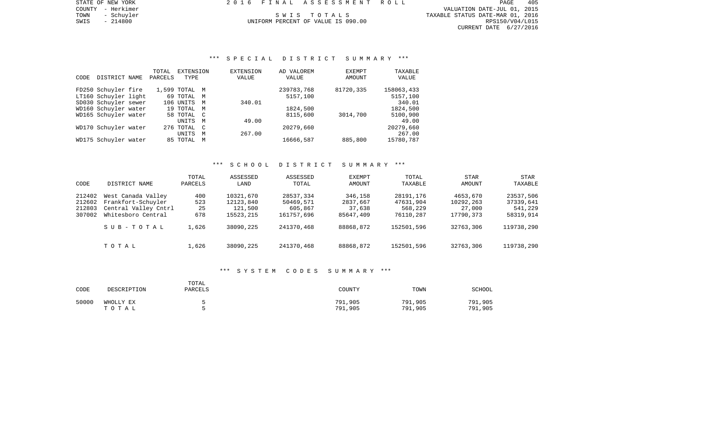COUNTY - Herkimer VALUATION DATE-JUL 01, 2015 TOWN - Schuyler Summary S W I S T O T A L S TO T A L S TAXABLE STATUS DATE-MAR 01, 2016 SWIS - 214800 UNIFORM PERCENT OF VALUE IS 090.00 POWER TOWN - 2016 ARE OIL 2016<br>SWIS - 214800 214800 UNIFORM PERCENT OF VALUE IS 090.00 RPS150/V04/L015 CURRENT DATE 6/27/2016

# \*\*\* S P E C I A L D I S T R I C T S U M M A R Y \*\*\*

|      |                      | TOTAL   | <b>EXTENSION</b> |              | <b>EXTENSION</b> | AD VALOREM | <b>EXEMPT</b> | TAXABLE    |
|------|----------------------|---------|------------------|--------------|------------------|------------|---------------|------------|
| CODE | DISTRICT NAME        | PARCELS | TYPE             |              | VALUE            | VALUE      | <b>AMOUNT</b> | VALUE      |
|      |                      |         |                  |              |                  |            |               |            |
|      | FD250 Schuyler fire  |         | 1,599 TOTAL M    |              |                  | 239783,768 | 81720,335     | 158063,433 |
|      | LT160 Schuyler light |         | 69 TOTAL M       |              |                  | 5157,100   |               | 5157,100   |
|      | SD030 Schuyler sewer |         | 106 UNITS        | M            | 340.01           |            |               | 340.01     |
|      | WD160 Schuyler water |         | 19 TOTAL M       |              |                  | 1824,500   |               | 1824,500   |
|      | WD165 Schuyler water |         | 58 TOTAL C       |              |                  | 8115,600   | 3014,700      | 5100,900   |
|      |                      |         | UNITS            | M            | 49.00            |            |               | 49.00      |
|      | WD170 Schuyler water |         | 276 TOTAL        | $\mathbb{C}$ |                  | 20279,660  |               | 20279,660  |
|      |                      |         | <b>UNITS</b>     | M            | 267.00           |            |               | 267.00     |
|      | WD175 Schuyler water |         | 85 TOTAL         | M            |                  | 16666,587  | 885,800       | 15780,787  |
|      |                      |         |                  |              |                  |            |               |            |

### \*\*\* S C H O O L D I S T R I C T S U M M A R Y \*\*\*

| CODE                                 | DISTRICT NAME                                                                          | TOTAL<br>PARCELS        | ASSESSED<br>LAND                               | ASSESSED<br>TOTAL                               | <b>EXEMPT</b><br>AMOUNT                    | TOTAL<br>TAXABLE                               | STAR<br>AMOUNT                               | STAR<br>TAXABLE                                |
|--------------------------------------|----------------------------------------------------------------------------------------|-------------------------|------------------------------------------------|-------------------------------------------------|--------------------------------------------|------------------------------------------------|----------------------------------------------|------------------------------------------------|
| 212402<br>212602<br>212803<br>307002 | West Canada Valley<br>Frankfort-Schuyler<br>Central Valley Cntrl<br>Whitesboro Central | 400<br>523<br>25<br>678 | 10321,670<br>12123,840<br>121,500<br>15523,215 | 28537,334<br>50469,571<br>605,867<br>161757,696 | 346,158<br>2837,667<br>37,638<br>85647,409 | 28191,176<br>47631,904<br>568,229<br>76110,287 | 4653,670<br>10292,263<br>27,000<br>17790,373 | 23537,506<br>37339,641<br>541,229<br>58319,914 |
|                                      | SUB-TOTAL                                                                              | 1,626                   | 38090,225                                      | 241370,468                                      | 88868,872                                  | 152501,596                                     | 32763,306                                    | 119738,290                                     |
|                                      | TOTAL                                                                                  | 1,626                   | 38090,225                                      | 241370,468                                      | 88868,872                                  | 152501,596                                     | 32763,306                                    | 119738,290                                     |

#### \*\*\* S Y S T E M C O D E S S U M M A R Y \*\*\*

| CODE  | DESCRIPTION        | TOTAL<br>PARCELS | COUNTY             | TOWN               | SCHOOL             |
|-------|--------------------|------------------|--------------------|--------------------|--------------------|
| 50000 | WHOLLY EX<br>тотаь |                  | 791,905<br>791,905 | 791,905<br>791,905 | 791,905<br>791,905 |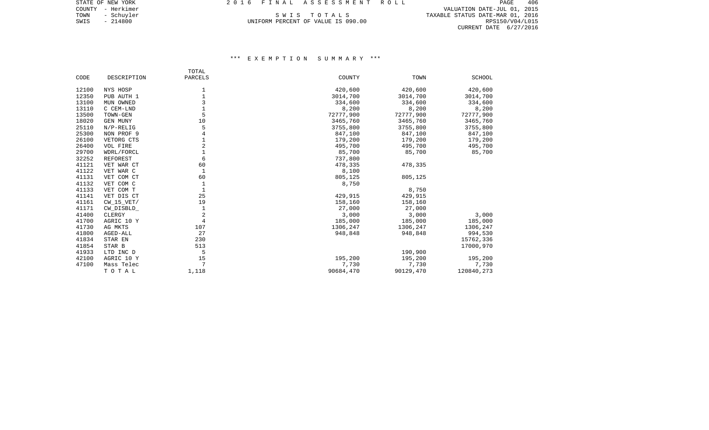COUNTY - Herkimer VALUATION DATE-JUL 01, 2015 TOWN - Schuyler Summary S W I S T O T A L S TO T A L S TAXABLE STATUS DATE-MAR 01, 2016 SWIS - 214800 UNIFORM PERCENT OF VALUE IS 090.00 POWER TOWN - 2016 ARE OIL 2016<br>SWIS - 214800 214800 UNIFORM PERCENT OF VALUE IS 090.00 RPS150/V04/L015 CURRENT DATE 6/27/2016

## \*\*\* E X E M P T I O N S U M M A R Y \*\*\*

|       |                 | TOTAL          |           |           |            |
|-------|-----------------|----------------|-----------|-----------|------------|
| CODE  | DESCRIPTION     | PARCELS        | COUNTY    | TOWN      | SCHOOL     |
| 12100 | NYS HOSP        | 1              | 420,600   | 420,600   | 420,600    |
| 12350 | PUB AUTH 1      | $\mathbf{1}$   | 3014,700  | 3014,700  | 3014,700   |
| 13100 | MUN OWNED       | 3              | 334,600   | 334,600   | 334,600    |
| 13110 | C CEM-LND       | $\mathbf{1}$   | 8,200     | 8,200     | 8,200      |
| 13500 | TOWN-GEN        | 5              | 72777,900 | 72777,900 | 72777,900  |
| 18020 | GEN MUNY        | 10             | 3465,760  | 3465,760  | 3465,760   |
| 25110 | $N/P-RELIG$     | 5              | 3755,800  | 3755,800  | 3755,800   |
| 25300 | NON PROF 9      | $\overline{4}$ | 847,100   | 847,100   | 847,100    |
| 26100 | VETORG CTS      |                | 179,200   | 179,200   | 179,200    |
| 26400 | VOL FIRE        | $\overline{2}$ | 495,700   | 495,700   | 495,700    |
| 29700 | WDRL/FORCL      | $\mathbf{1}$   | 85,700    | 85,700    | 85,700     |
| 32252 | <b>REFOREST</b> | 6              | 737,800   |           |            |
| 41121 | VET WAR CT      | 60             | 478,335   | 478,335   |            |
| 41122 | VET WAR C       | 1              | 8,100     |           |            |
| 41131 | VET COM CT      | 60             | 805,125   | 805,125   |            |
| 41132 | VET COM C       | 1              | 8,750     |           |            |
| 41133 | VET COM T       | $\mathbf 1$    |           | 8,750     |            |
| 41141 | VET DIS CT      | 25             | 429,915   | 429,915   |            |
| 41161 | $CW_15_VET/$    | 19             | 158,160   | 158,160   |            |
| 41171 | CW_DISBLD_      | $\mathbf 1$    | 27,000    | 27,000    |            |
| 41400 | CLERGY          | 2              | 3,000     | 3,000     | 3,000      |
| 41700 | AGRIC 10 Y      | $\overline{4}$ | 185,000   | 185,000   | 185,000    |
| 41730 | AG MKTS         | 107            | 1306,247  | 1306,247  | 1306,247   |
| 41800 | AGED-ALL        | 27             | 948,848   | 948,848   | 994,530    |
| 41834 | STAR EN         | 230            |           |           | 15762,336  |
| 41854 | STAR B          | 513            |           |           | 17000,970  |
| 41933 | LTD INC D       | 5              |           | 190,900   |            |
| 42100 | AGRIC 10 Y      | 15             | 195,200   | 195,200   | 195,200    |
| 47100 | Mass Telec      | 7              | 7,730     | 7,730     | 7,730      |
|       | TOTAL           | 1,118          | 90684,470 | 90129,470 | 120840,273 |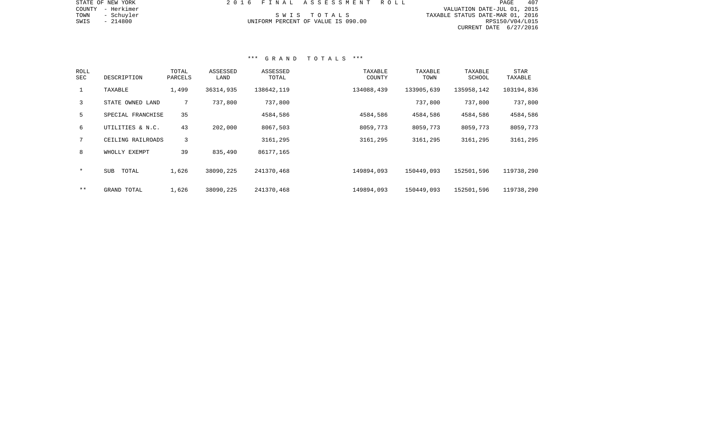| STATE OF NEW YORK  | 2016 FINAL ASSESSMENT ROLL         | 407<br>PAGE                      |
|--------------------|------------------------------------|----------------------------------|
| COUNTY - Herkimer  |                                    | VALUATION DATE-JUL 01, 2015      |
| TOWN<br>- Schuyler | SWIS TOTALS                        | TAXABLE STATUS DATE-MAR 01, 2016 |
| SWIS<br>- 214800   | UNIFORM PERCENT OF VALUE IS 090.00 | RPS150/V04/L015                  |
|                    |                                    | CURRENT DATE 6/27/2016           |
|                    |                                    |                                  |
|                    |                                    |                                  |

#### \*\*\* G R A N D T O T A L S \*\*\*

| ROLL<br>SEC  | DESCRIPTION         | TOTAL<br>PARCELS | ASSESSED<br>LAND | ASSESSED<br>TOTAL | TAXABLE<br>COUNTY | TAXABLE<br>TOWN | TAXABLE<br><b>SCHOOL</b> | STAR<br>TAXABLE |
|--------------|---------------------|------------------|------------------|-------------------|-------------------|-----------------|--------------------------|-----------------|
| $\mathbf{1}$ | TAXABLE             | 1,499            | 36314,935        | 138642,119        | 134088,439        | 133905,639      | 135958,142               | 103194,836      |
| 3            | STATE OWNED LAND    | $7^{\circ}$      | 737,800          | 737,800           |                   | 737,800         | 737,800                  | 737,800         |
| 5            | SPECIAL FRANCHISE   | 35               |                  | 4584,586          | 4584,586          | 4584,586        | 4584,586                 | 4584,586        |
| 6            | UTILITIES & N.C.    | 43               | 202,000          | 8067,503          | 8059,773          | 8059,773        | 8059,773                 | 8059,773        |
|              | CEILING RAILROADS   | 3                |                  | 3161,295          | 3161,295          | 3161,295        | 3161,295                 | 3161,295        |
| 8            | WHOLLY EXEMPT       | 39               | 835,490          | 86177,165         |                   |                 |                          |                 |
| $\star$      | TOTAL<br><b>SUB</b> | 1,626            | 38090,225        | 241370,468        | 149894,093        | 150449,093      | 152501,596               | 119738,290      |
| $* *$        | GRAND TOTAL         | 1,626            | 38090,225        | 241370,468        | 149894,093        | 150449,093      | 152501,596               | 119738,290      |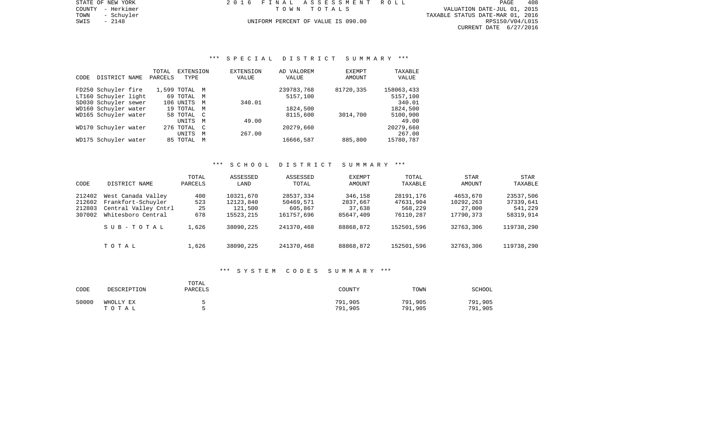PAGE 408 TOWN - Schuyler TAXABLE STATUS DATE-MAR 01, 2016 SWIS - 2148<br>
SWIS - 2148 - 2148<br>
SWIS - 2148 - 2148<br>
UNIFORM PERCENT OF VALUE IS 090.00 TAXABLE STATUS DATE-MAR 01, 2016 CURRENT DATE 6/27/2016

STATE OF NEW YORK 2016 FINAL ASSESSMENT ROLL COUNTY - Herkimer T O W N T O T A L S VALUATION DATE-JUL 01, 2015

# \*\*\* S P E C I A L D I S T R I C T S U M M A R Y \*\*\*

|      |                      | TOTAL   | EXTENSION     |   | <b>EXTENSION</b> | AD VALOREM | <b>EXEMPT</b> | TAXABLE    |
|------|----------------------|---------|---------------|---|------------------|------------|---------------|------------|
| CODE | DISTRICT NAME        | PARCELS | TYPE          |   | VALUE            | VALUE      | AMOUNT        | VALUE      |
|      |                      |         |               |   |                  |            |               |            |
|      | FD250 Schuyler fire  |         | 1,599 TOTAL M |   |                  | 239783,768 | 81720,335     | 158063,433 |
|      | LT160 Schuyler light |         | 69 TOTAL M    |   |                  | 5157,100   |               | 5157,100   |
|      | SD030 Schuyler sewer |         | 106 UNITS     | M | 340.01           |            |               | 340.01     |
|      | WD160 Schuyler water |         | 19 TOTAL M    |   |                  | 1824,500   |               | 1824,500   |
|      | WD165 Schuyler water |         | 58 TOTAL C    |   |                  | 8115,600   | 3014,700      | 5100,900   |
|      |                      |         | UNITS         | M | 49.00            |            |               | 49.00      |
|      | WD170 Schuyler water |         | 276 TOTAL C   |   |                  | 20279,660  |               | 20279,660  |
|      |                      |         | <b>UNITS</b>  | M | 267.00           |            |               | 267.00     |
|      | WD175 Schuyler water |         | 85 TOTAL      | M |                  | 16666,587  | 885,800       | 15780,787  |
|      |                      |         |               |   |                  |            |               |            |

### \*\*\* S C H O O L D I S T R I C T S U M M A R Y \*\*\*

| CODE                                 | DISTRICT NAME                                                                          | TOTAL<br>PARCELS        | ASSESSED<br>LAND                               | ASSESSED<br>TOTAL                               | <b>EXEMPT</b><br>AMOUNT                    | TOTAL<br>TAXABLE                               | STAR<br>AMOUNT                               | STAR<br>TAXABLE                                |
|--------------------------------------|----------------------------------------------------------------------------------------|-------------------------|------------------------------------------------|-------------------------------------------------|--------------------------------------------|------------------------------------------------|----------------------------------------------|------------------------------------------------|
| 212402<br>212602<br>212803<br>307002 | West Canada Valley<br>Frankfort-Schuyler<br>Central Valley Cntrl<br>Whitesboro Central | 400<br>523<br>25<br>678 | 10321,670<br>12123,840<br>121,500<br>15523,215 | 28537,334<br>50469,571<br>605,867<br>161757,696 | 346,158<br>2837,667<br>37,638<br>85647,409 | 28191,176<br>47631,904<br>568,229<br>76110,287 | 4653,670<br>10292,263<br>27,000<br>17790,373 | 23537,506<br>37339,641<br>541,229<br>58319,914 |
|                                      | SUB-TOTAL                                                                              | 1,626                   | 38090,225                                      | 241370,468                                      | 88868,872                                  | 152501,596                                     | 32763,306                                    | 119738,290                                     |
|                                      | TOTAL                                                                                  | 1,626                   | 38090,225                                      | 241370,468                                      | 88868,872                                  | 152501,596                                     | 32763,306                                    | 119738,290                                     |

#### \*\*\* S Y S T E M C O D E S S U M M A R Y \*\*\*

| CODE  | DESCRIPTION        | TOTAL<br>PARCELS | COUNTY             | TOWN               | SCHOOL             |
|-------|--------------------|------------------|--------------------|--------------------|--------------------|
| 50000 | WHOLLY EX<br>TOTAL |                  | 791,905<br>791,905 | 791,905<br>791,905 | 791,905<br>791,905 |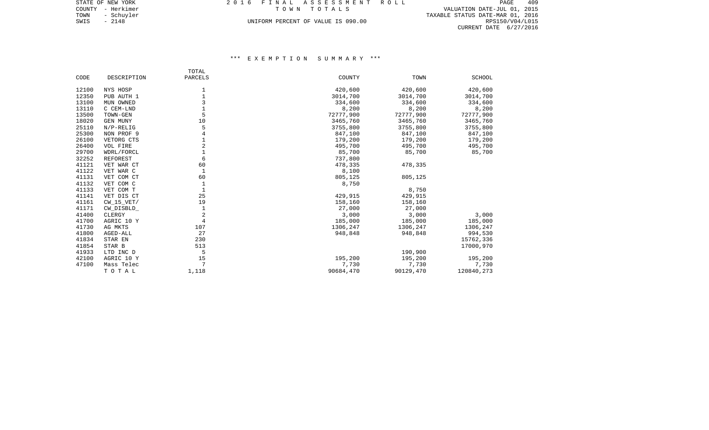TOWN - Schuyler TAXABLE STATUS DATE-MAR 01, 2016 SWIS - 2148<br>
SWIS - 2148 - 2148<br>
SWIS - 2148 - 2148<br>
UNIFORM PERCENT OF VALUE IS 090.00 TAXABLE STATUS DATE-MAR 01, 2016 CURRENT DATE 6/27/2016

## \*\*\* E X E M P T I O N S U M M A R Y \*\*\*

|       |                 | TOTAL          |           |           |             |
|-------|-----------------|----------------|-----------|-----------|-------------|
| CODE  | DESCRIPTION     | PARCELS        | COUNTY    | TOWN      | SCHOOL      |
| 12100 | NYS HOSP        | 1              | 420,600   | 420,600   | 420,600     |
| 12350 | PUB AUTH 1      |                | 3014,700  | 3014,700  | 3014,700    |
| 13100 | MUN OWNED       | 3              | 334,600   | 334,600   | 334,600     |
| 13110 | C CEM-LND       |                | 8,200     | 8,200     | 8,200       |
| 13500 | TOWN-GEN        | 5              | 72777,900 | 72777,900 | 72777,900   |
| 18020 | GEN MUNY        | 10             | 3465,760  | 3465,760  | 3465,760    |
| 25110 | $N/P-RELIG$     | 5              | 3755,800  | 3755,800  | 3755,800    |
| 25300 | NON PROF 9      | 4              | 847,100   | 847,100   | 847,100     |
| 26100 | VETORG CTS      |                | 179,200   | 179,200   | 179,200     |
| 26400 | VOL FIRE        | $\overline{2}$ | 495,700   | 495,700   | 495,700     |
| 29700 | WDRL/FORCL      |                | 85,700    | 85,700    | 85,700      |
| 32252 | <b>REFOREST</b> | 6              | 737,800   |           |             |
| 41121 | VET WAR CT      | 60             | 478,335   | 478,335   |             |
| 41122 | VET WAR C       |                | 8,100     |           |             |
| 41131 | VET COM CT      | 60             | 805,125   | 805,125   |             |
| 41132 | VET COM C       | 1              | 8,750     |           |             |
| 41133 | VET COM T       |                |           | 8,750     |             |
| 41141 | VET DIS CT      | 25             | 429,915   | 429,915   |             |
| 41161 | $CW_15_VET/$    | 19             | 158,160   | 158,160   |             |
| 41171 | CW_DISBLD_      |                | 27,000    | 27,000    |             |
| 41400 | CLERGY          | $\overline{2}$ | 3,000     | 3,000     | 3,000       |
| 41700 | AGRIC 10 Y      | $\overline{4}$ | 185,000   | 185,000   | 185,000     |
| 41730 | AG MKTS         | 107            | 1306,247  | 1306,247  | 1306,247    |
| 41800 | AGED-ALL        | 27             | 948,848   | 948,848   | 994,530     |
| 41834 | STAR EN         | 230            |           |           | 15762,336   |
| 41854 | STAR B          | 513            |           |           | 17000,970   |
| 41933 | LTD INC D       | 5              |           | 190,900   |             |
| 42100 | AGRIC 10 Y      | 15             | 195,200   | 195,200   | 195,200     |
| 47100 | Mass Telec      | 7              | 7,730     | 7,730     | 7,730       |
|       | TOTAL           | 1,118          | 90684,470 | 90129,470 | 120840, 273 |